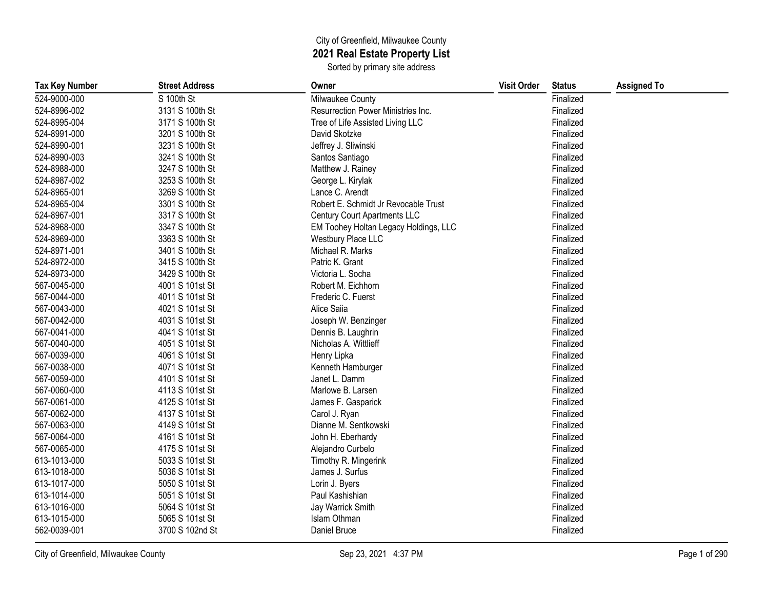## City of Greenfield, Milwaukee County **2021 Real Estate Property List**

Sorted by primary site address

| <b>Tax Key Number</b> | <b>Street Address</b> | Owner                                 | <b>Visit Order</b> | <b>Status</b> | <b>Assigned To</b> |
|-----------------------|-----------------------|---------------------------------------|--------------------|---------------|--------------------|
| 524-9000-000          | S 100th St            | Milwaukee County                      |                    | Finalized     |                    |
| 524-8996-002          | 3131 S 100th St       | Resurrection Power Ministries Inc.    |                    | Finalized     |                    |
| 524-8995-004          | 3171 S 100th St       | Tree of Life Assisted Living LLC      |                    | Finalized     |                    |
| 524-8991-000          | 3201 S 100th St       | David Skotzke                         |                    | Finalized     |                    |
| 524-8990-001          | 3231 S 100th St       | Jeffrey J. Sliwinski                  |                    | Finalized     |                    |
| 524-8990-003          | 3241 S 100th St       | Santos Santiago                       |                    | Finalized     |                    |
| 524-8988-000          | 3247 S 100th St       | Matthew J. Rainey                     |                    | Finalized     |                    |
| 524-8987-002          | 3253 S 100th St       | George L. Kirylak                     |                    | Finalized     |                    |
| 524-8965-001          | 3269 S 100th St       | Lance C. Arendt                       |                    | Finalized     |                    |
| 524-8965-004          | 3301 S 100th St       | Robert E. Schmidt Jr Revocable Trust  |                    | Finalized     |                    |
| 524-8967-001          | 3317 S 100th St       | <b>Century Court Apartments LLC</b>   |                    | Finalized     |                    |
| 524-8968-000          | 3347 S 100th St       | EM Toohey Holtan Legacy Holdings, LLC |                    | Finalized     |                    |
| 524-8969-000          | 3363 S 100th St       | Westbury Place LLC                    |                    | Finalized     |                    |
| 524-8971-001          | 3401 S 100th St       | Michael R. Marks                      |                    | Finalized     |                    |
| 524-8972-000          | 3415 S 100th St       | Patric K. Grant                       |                    | Finalized     |                    |
| 524-8973-000          | 3429 S 100th St       | Victoria L. Socha                     |                    | Finalized     |                    |
| 567-0045-000          | 4001 S 101st St       | Robert M. Eichhorn                    |                    | Finalized     |                    |
| 567-0044-000          | 4011 S 101st St       | Frederic C. Fuerst                    |                    | Finalized     |                    |
| 567-0043-000          | 4021 S 101st St       | Alice Saiia                           |                    | Finalized     |                    |
| 567-0042-000          | 4031 S 101st St       | Joseph W. Benzinger                   |                    | Finalized     |                    |
| 567-0041-000          | 4041 S 101st St       | Dennis B. Laughrin                    |                    | Finalized     |                    |
| 567-0040-000          | 4051 S 101st St       | Nicholas A. Wittlieff                 |                    | Finalized     |                    |
| 567-0039-000          | 4061 S 101st St       | Henry Lipka                           |                    | Finalized     |                    |
| 567-0038-000          | 4071 S 101st St       | Kenneth Hamburger                     |                    | Finalized     |                    |
| 567-0059-000          | 4101 S 101st St       | Janet L. Damm                         |                    | Finalized     |                    |
| 567-0060-000          | 4113 S 101st St       | Marlowe B. Larsen                     |                    | Finalized     |                    |
| 567-0061-000          | 4125 S 101st St       | James F. Gasparick                    |                    | Finalized     |                    |
| 567-0062-000          | 4137 S 101st St       | Carol J. Ryan                         |                    | Finalized     |                    |
| 567-0063-000          | 4149 S 101st St       | Dianne M. Sentkowski                  |                    | Finalized     |                    |
| 567-0064-000          | 4161 S 101st St       | John H. Eberhardy                     |                    | Finalized     |                    |
| 567-0065-000          | 4175 S 101st St       | Alejandro Curbelo                     |                    | Finalized     |                    |
| 613-1013-000          | 5033 S 101st St       | Timothy R. Mingerink                  |                    | Finalized     |                    |
| 613-1018-000          | 5036 S 101st St       | James J. Surfus                       |                    | Finalized     |                    |
| 613-1017-000          | 5050 S 101st St       | Lorin J. Byers                        |                    | Finalized     |                    |
| 613-1014-000          | 5051 S 101st St       | Paul Kashishian                       |                    | Finalized     |                    |
| 613-1016-000          | 5064 S 101st St       | Jay Warrick Smith                     |                    | Finalized     |                    |
| 613-1015-000          | 5065 S 101st St       | Islam Othman                          |                    | Finalized     |                    |
| 562-0039-001          | 3700 S 102nd St       | Daniel Bruce                          |                    | Finalized     |                    |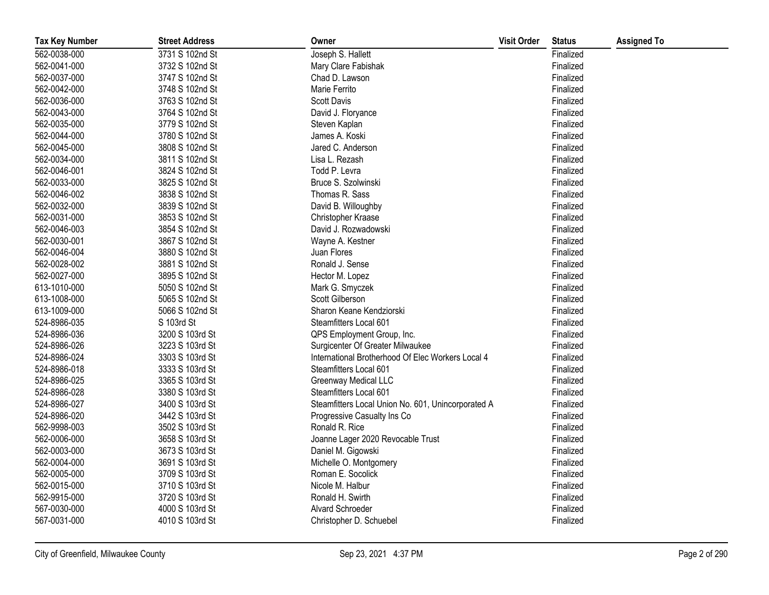| <b>Tax Key Number</b> | <b>Street Address</b> | Owner                                              | <b>Visit Order</b> | <b>Status</b> | <b>Assigned To</b> |
|-----------------------|-----------------------|----------------------------------------------------|--------------------|---------------|--------------------|
| 562-0038-000          | 3731 S 102nd St       | Joseph S. Hallett                                  |                    | Finalized     |                    |
| 562-0041-000          | 3732 S 102nd St       | Mary Clare Fabishak                                |                    | Finalized     |                    |
| 562-0037-000          | 3747 S 102nd St       | Chad D. Lawson                                     |                    | Finalized     |                    |
| 562-0042-000          | 3748 S 102nd St       | Marie Ferrito                                      |                    | Finalized     |                    |
| 562-0036-000          | 3763 S 102nd St       | <b>Scott Davis</b>                                 |                    | Finalized     |                    |
| 562-0043-000          | 3764 S 102nd St       | David J. Floryance                                 |                    | Finalized     |                    |
| 562-0035-000          | 3779 S 102nd St       | Steven Kaplan                                      |                    | Finalized     |                    |
| 562-0044-000          | 3780 S 102nd St       | James A. Koski                                     |                    | Finalized     |                    |
| 562-0045-000          | 3808 S 102nd St       | Jared C. Anderson                                  |                    | Finalized     |                    |
| 562-0034-000          | 3811 S 102nd St       | Lisa L. Rezash                                     |                    | Finalized     |                    |
| 562-0046-001          | 3824 S 102nd St       | Todd P. Levra                                      |                    | Finalized     |                    |
| 562-0033-000          | 3825 S 102nd St       | Bruce S. Szolwinski                                |                    | Finalized     |                    |
| 562-0046-002          | 3838 S 102nd St       | Thomas R. Sass                                     |                    | Finalized     |                    |
| 562-0032-000          | 3839 S 102nd St       | David B. Willoughby                                |                    | Finalized     |                    |
| 562-0031-000          | 3853 S 102nd St       | Christopher Kraase                                 |                    | Finalized     |                    |
| 562-0046-003          | 3854 S 102nd St       | David J. Rozwadowski                               |                    | Finalized     |                    |
| 562-0030-001          | 3867 S 102nd St       | Wayne A. Kestner                                   |                    | Finalized     |                    |
| 562-0046-004          | 3880 S 102nd St       | Juan Flores                                        |                    | Finalized     |                    |
| 562-0028-002          | 3881 S 102nd St       | Ronald J. Sense                                    |                    | Finalized     |                    |
| 562-0027-000          | 3895 S 102nd St       | Hector M. Lopez                                    |                    | Finalized     |                    |
| 613-1010-000          | 5050 S 102nd St       | Mark G. Smyczek                                    |                    | Finalized     |                    |
| 613-1008-000          | 5065 S 102nd St       | Scott Gilberson                                    |                    | Finalized     |                    |
| 613-1009-000          | 5066 S 102nd St       | Sharon Keane Kendziorski                           |                    | Finalized     |                    |
| 524-8986-035          | S 103rd St            | Steamfitters Local 601                             |                    | Finalized     |                    |
| 524-8986-036          | 3200 S 103rd St       | QPS Employment Group, Inc.                         |                    | Finalized     |                    |
| 524-8986-026          | 3223 S 103rd St       | Surgicenter Of Greater Milwaukee                   |                    | Finalized     |                    |
| 524-8986-024          | 3303 S 103rd St       | International Brotherhood Of Elec Workers Local 4  |                    | Finalized     |                    |
| 524-8986-018          | 3333 S 103rd St       | Steamfitters Local 601                             |                    | Finalized     |                    |
| 524-8986-025          | 3365 S 103rd St       | <b>Greenway Medical LLC</b>                        |                    | Finalized     |                    |
| 524-8986-028          | 3380 S 103rd St       | Steamfitters Local 601                             |                    | Finalized     |                    |
| 524-8986-027          | 3400 S 103rd St       | Steamfitters Local Union No. 601, Unincorporated A |                    | Finalized     |                    |
| 524-8986-020          | 3442 S 103rd St       | Progressive Casualty Ins Co                        |                    | Finalized     |                    |
| 562-9998-003          | 3502 S 103rd St       | Ronald R. Rice                                     |                    | Finalized     |                    |
| 562-0006-000          | 3658 S 103rd St       | Joanne Lager 2020 Revocable Trust                  |                    | Finalized     |                    |
| 562-0003-000          | 3673 S 103rd St       | Daniel M. Gigowski                                 |                    | Finalized     |                    |
| 562-0004-000          | 3691 S 103rd St       | Michelle O. Montgomery                             |                    | Finalized     |                    |
| 562-0005-000          | 3709 S 103rd St       | Roman E. Socolick                                  |                    | Finalized     |                    |
| 562-0015-000          | 3710 S 103rd St       | Nicole M. Halbur                                   |                    | Finalized     |                    |
| 562-9915-000          | 3720 S 103rd St       | Ronald H. Swirth                                   |                    | Finalized     |                    |
| 567-0030-000          | 4000 S 103rd St       | Alvard Schroeder                                   |                    | Finalized     |                    |
| 567-0031-000          | 4010 S 103rd St       | Christopher D. Schuebel                            |                    | Finalized     |                    |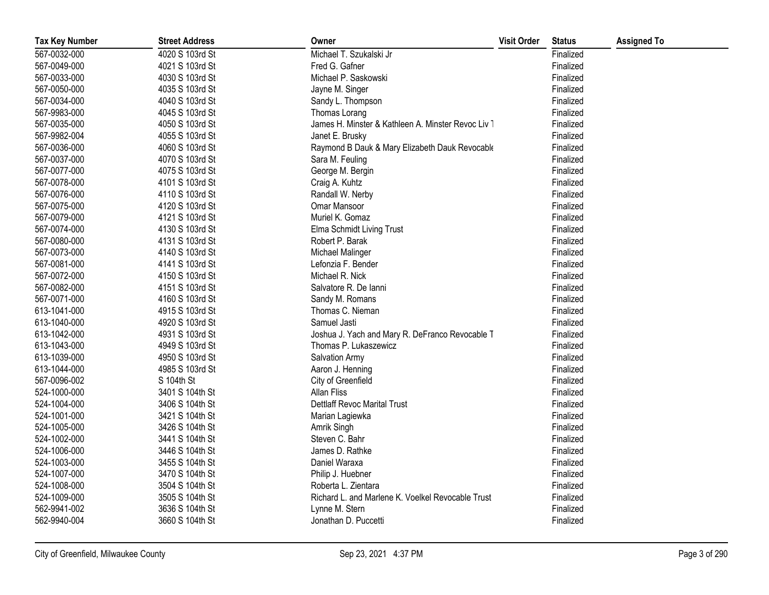| <b>Tax Key Number</b> | <b>Street Address</b> | Owner                                              | <b>Visit Order</b> | <b>Status</b> | <b>Assigned To</b> |
|-----------------------|-----------------------|----------------------------------------------------|--------------------|---------------|--------------------|
| 567-0032-000          | 4020 S 103rd St       | Michael T. Szukalski Jr                            |                    | Finalized     |                    |
| 567-0049-000          | 4021 S 103rd St       | Fred G. Gafner                                     |                    | Finalized     |                    |
| 567-0033-000          | 4030 S 103rd St       | Michael P. Saskowski                               |                    | Finalized     |                    |
| 567-0050-000          | 4035 S 103rd St       | Jayne M. Singer                                    |                    | Finalized     |                    |
| 567-0034-000          | 4040 S 103rd St       | Sandy L. Thompson                                  |                    | Finalized     |                    |
| 567-9983-000          | 4045 S 103rd St       | Thomas Lorang                                      |                    | Finalized     |                    |
| 567-0035-000          | 4050 S 103rd St       | James H. Minster & Kathleen A. Minster Revoc Liv 1 |                    | Finalized     |                    |
| 567-9982-004          | 4055 S 103rd St       | Janet E. Brusky                                    |                    | Finalized     |                    |
| 567-0036-000          | 4060 S 103rd St       | Raymond B Dauk & Mary Elizabeth Dauk Revocable     |                    | Finalized     |                    |
| 567-0037-000          | 4070 S 103rd St       | Sara M. Feuling                                    |                    | Finalized     |                    |
| 567-0077-000          | 4075 S 103rd St       | George M. Bergin                                   |                    | Finalized     |                    |
| 567-0078-000          | 4101 S 103rd St       | Craig A. Kuhtz                                     |                    | Finalized     |                    |
| 567-0076-000          | 4110 S 103rd St       | Randall W. Nerby                                   |                    | Finalized     |                    |
| 567-0075-000          | 4120 S 103rd St       | Omar Mansoor                                       |                    | Finalized     |                    |
| 567-0079-000          | 4121 S 103rd St       | Muriel K. Gomaz                                    |                    | Finalized     |                    |
| 567-0074-000          | 4130 S 103rd St       | Elma Schmidt Living Trust                          |                    | Finalized     |                    |
| 567-0080-000          | 4131 S 103rd St       | Robert P. Barak                                    |                    | Finalized     |                    |
| 567-0073-000          | 4140 S 103rd St       | Michael Malinger                                   |                    | Finalized     |                    |
| 567-0081-000          | 4141 S 103rd St       | Lefonzia F. Bender                                 |                    | Finalized     |                    |
| 567-0072-000          | 4150 S 103rd St       | Michael R. Nick                                    |                    | Finalized     |                    |
| 567-0082-000          | 4151 S 103rd St       | Salvatore R. De lanni                              |                    | Finalized     |                    |
| 567-0071-000          | 4160 S 103rd St       | Sandy M. Romans                                    |                    | Finalized     |                    |
| 613-1041-000          | 4915 S 103rd St       | Thomas C. Nieman                                   |                    | Finalized     |                    |
| 613-1040-000          | 4920 S 103rd St       | Samuel Jasti                                       |                    | Finalized     |                    |
| 613-1042-000          | 4931 S 103rd St       | Joshua J. Yach and Mary R. DeFranco Revocable T    |                    | Finalized     |                    |
| 613-1043-000          | 4949 S 103rd St       | Thomas P. Lukaszewicz                              |                    | Finalized     |                    |
| 613-1039-000          | 4950 S 103rd St       | Salvation Army                                     |                    | Finalized     |                    |
| 613-1044-000          | 4985 S 103rd St       | Aaron J. Henning                                   |                    | Finalized     |                    |
| 567-0096-002          | S 104th St            | City of Greenfield                                 |                    | Finalized     |                    |
| 524-1000-000          | 3401 S 104th St       | <b>Allan Fliss</b>                                 |                    | Finalized     |                    |
| 524-1004-000          | 3406 S 104th St       | <b>Dettlaff Revoc Marital Trust</b>                |                    | Finalized     |                    |
| 524-1001-000          | 3421 S 104th St       | Marian Lagiewka                                    |                    | Finalized     |                    |
| 524-1005-000          | 3426 S 104th St       | Amrik Singh                                        |                    | Finalized     |                    |
| 524-1002-000          | 3441 S 104th St       | Steven C. Bahr                                     |                    | Finalized     |                    |
| 524-1006-000          | 3446 S 104th St       | James D. Rathke                                    |                    | Finalized     |                    |
| 524-1003-000          | 3455 S 104th St       | Daniel Waraxa                                      |                    | Finalized     |                    |
| 524-1007-000          | 3470 S 104th St       | Philip J. Huebner                                  |                    | Finalized     |                    |
| 524-1008-000          | 3504 S 104th St       | Roberta L. Zientara                                |                    | Finalized     |                    |
| 524-1009-000          | 3505 S 104th St       | Richard L. and Marlene K. Voelkel Revocable Trust  |                    | Finalized     |                    |
| 562-9941-002          | 3636 S 104th St       | Lynne M. Stern                                     |                    | Finalized     |                    |
| 562-9940-004          | 3660 S 104th St       | Jonathan D. Puccetti                               |                    | Finalized     |                    |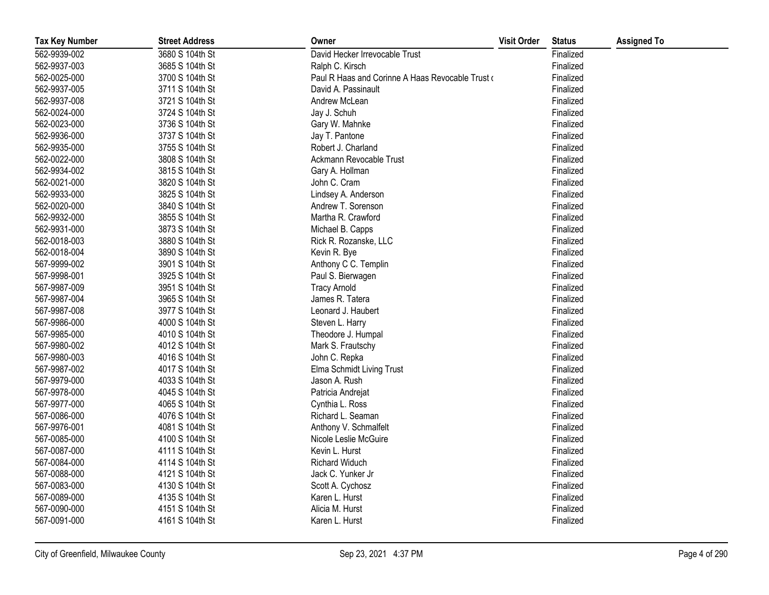| <b>Tax Key Number</b> | <b>Street Address</b> | Owner                                             | <b>Visit Order</b> | <b>Status</b> | <b>Assigned To</b> |
|-----------------------|-----------------------|---------------------------------------------------|--------------------|---------------|--------------------|
| 562-9939-002          | 3680 S 104th St       | David Hecker Irrevocable Trust                    |                    | Finalized     |                    |
| 562-9937-003          | 3685 S 104th St       | Ralph C. Kirsch                                   |                    | Finalized     |                    |
| 562-0025-000          | 3700 S 104th St       | Paul R Haas and Corinne A Haas Revocable Trust of |                    | Finalized     |                    |
| 562-9937-005          | 3711 S 104th St       | David A. Passinault                               |                    | Finalized     |                    |
| 562-9937-008          | 3721 S 104th St       | Andrew McLean                                     |                    | Finalized     |                    |
| 562-0024-000          | 3724 S 104th St       | Jay J. Schuh                                      |                    | Finalized     |                    |
| 562-0023-000          | 3736 S 104th St       | Gary W. Mahnke                                    |                    | Finalized     |                    |
| 562-9936-000          | 3737 S 104th St       | Jay T. Pantone                                    |                    | Finalized     |                    |
| 562-9935-000          | 3755 S 104th St       | Robert J. Charland                                |                    | Finalized     |                    |
| 562-0022-000          | 3808 S 104th St       | Ackmann Revocable Trust                           |                    | Finalized     |                    |
| 562-9934-002          | 3815 S 104th St       | Gary A. Hollman                                   |                    | Finalized     |                    |
| 562-0021-000          | 3820 S 104th St       | John C. Cram                                      |                    | Finalized     |                    |
| 562-9933-000          | 3825 S 104th St       | Lindsey A. Anderson                               |                    | Finalized     |                    |
| 562-0020-000          | 3840 S 104th St       | Andrew T. Sorenson                                |                    | Finalized     |                    |
| 562-9932-000          | 3855 S 104th St       | Martha R. Crawford                                |                    | Finalized     |                    |
| 562-9931-000          | 3873 S 104th St       | Michael B. Capps                                  |                    | Finalized     |                    |
| 562-0018-003          | 3880 S 104th St       | Rick R. Rozanske, LLC                             |                    | Finalized     |                    |
| 562-0018-004          | 3890 S 104th St       | Kevin R. Bye                                      |                    | Finalized     |                    |
| 567-9999-002          | 3901 S 104th St       | Anthony C C. Templin                              |                    | Finalized     |                    |
| 567-9998-001          | 3925 S 104th St       | Paul S. Bierwagen                                 |                    | Finalized     |                    |
| 567-9987-009          | 3951 S 104th St       | <b>Tracy Arnold</b>                               |                    | Finalized     |                    |
| 567-9987-004          | 3965 S 104th St       | James R. Tatera                                   |                    | Finalized     |                    |
| 567-9987-008          | 3977 S 104th St       | Leonard J. Haubert                                |                    | Finalized     |                    |
| 567-9986-000          | 4000 S 104th St       | Steven L. Harry                                   |                    | Finalized     |                    |
| 567-9985-000          | 4010 S 104th St       | Theodore J. Humpal                                |                    | Finalized     |                    |
| 567-9980-002          | 4012 S 104th St       | Mark S. Frautschy                                 |                    | Finalized     |                    |
| 567-9980-003          | 4016 S 104th St       | John C. Repka                                     |                    | Finalized     |                    |
| 567-9987-002          | 4017 S 104th St       | Elma Schmidt Living Trust                         |                    | Finalized     |                    |
| 567-9979-000          | 4033 S 104th St       | Jason A. Rush                                     |                    | Finalized     |                    |
| 567-9978-000          | 4045 S 104th St       | Patricia Andrejat                                 |                    | Finalized     |                    |
| 567-9977-000          | 4065 S 104th St       | Cynthia L. Ross                                   |                    | Finalized     |                    |
| 567-0086-000          | 4076 S 104th St       | Richard L. Seaman                                 |                    | Finalized     |                    |
| 567-9976-001          | 4081 S 104th St       | Anthony V. Schmalfelt                             |                    | Finalized     |                    |
| 567-0085-000          | 4100 S 104th St       | Nicole Leslie McGuire                             |                    | Finalized     |                    |
| 567-0087-000          | 4111 S 104th St       | Kevin L. Hurst                                    |                    | Finalized     |                    |
| 567-0084-000          | 4114 S 104th St       | <b>Richard Widuch</b>                             |                    | Finalized     |                    |
| 567-0088-000          | 4121 S 104th St       | Jack C. Yunker Jr                                 |                    | Finalized     |                    |
| 567-0083-000          | 4130 S 104th St       | Scott A. Cychosz                                  |                    | Finalized     |                    |
| 567-0089-000          | 4135 S 104th St       | Karen L. Hurst                                    |                    | Finalized     |                    |
| 567-0090-000          | 4151 S 104th St       | Alicia M. Hurst                                   |                    | Finalized     |                    |
| 567-0091-000          | 4161 S 104th St       | Karen L. Hurst                                    |                    | Finalized     |                    |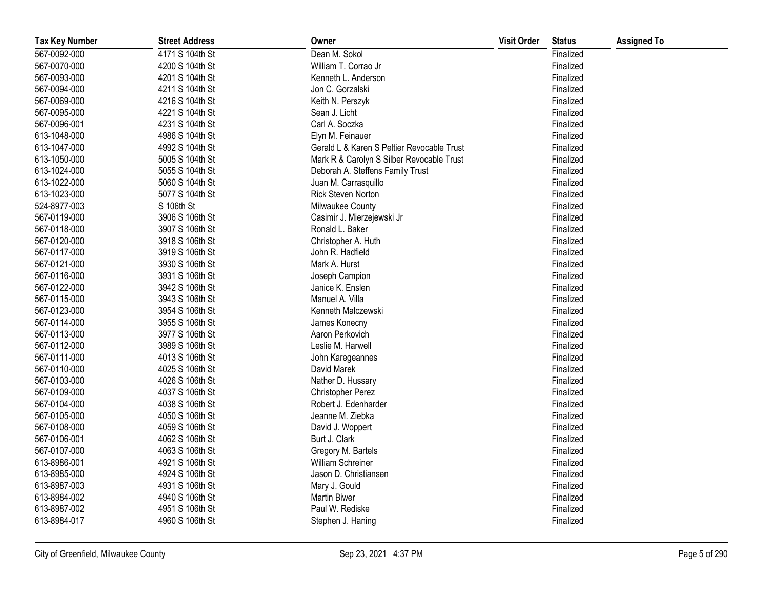| <b>Tax Key Number</b> | <b>Street Address</b> | Owner                                      | <b>Visit Order</b> | <b>Status</b> | <b>Assigned To</b> |
|-----------------------|-----------------------|--------------------------------------------|--------------------|---------------|--------------------|
| 567-0092-000          | 4171 S 104th St       | Dean M. Sokol                              |                    | Finalized     |                    |
| 567-0070-000          | 4200 S 104th St       | William T. Corrao Jr                       |                    | Finalized     |                    |
| 567-0093-000          | 4201 S 104th St       | Kenneth L. Anderson                        |                    | Finalized     |                    |
| 567-0094-000          | 4211 S 104th St       | Jon C. Gorzalski                           |                    | Finalized     |                    |
| 567-0069-000          | 4216 S 104th St       | Keith N. Perszyk                           |                    | Finalized     |                    |
| 567-0095-000          | 4221 S 104th St       | Sean J. Licht                              |                    | Finalized     |                    |
| 567-0096-001          | 4231 S 104th St       | Carl A. Soczka                             |                    | Finalized     |                    |
| 613-1048-000          | 4986 S 104th St       | Elyn M. Feinauer                           |                    | Finalized     |                    |
| 613-1047-000          | 4992 S 104th St       | Gerald L & Karen S Peltier Revocable Trust |                    | Finalized     |                    |
| 613-1050-000          | 5005 S 104th St       | Mark R & Carolyn S Silber Revocable Trust  |                    | Finalized     |                    |
| 613-1024-000          | 5055 S 104th St       | Deborah A. Steffens Family Trust           |                    | Finalized     |                    |
| 613-1022-000          | 5060 S 104th St       | Juan M. Carrasquillo                       |                    | Finalized     |                    |
| 613-1023-000          | 5077 S 104th St       | Rick Steven Norton                         |                    | Finalized     |                    |
| 524-8977-003          | S 106th St            | Milwaukee County                           |                    | Finalized     |                    |
| 567-0119-000          | 3906 S 106th St       | Casimir J. Mierzejewski Jr                 |                    | Finalized     |                    |
| 567-0118-000          | 3907 S 106th St       | Ronald L. Baker                            |                    | Finalized     |                    |
| 567-0120-000          | 3918 S 106th St       | Christopher A. Huth                        |                    | Finalized     |                    |
| 567-0117-000          | 3919 S 106th St       | John R. Hadfield                           |                    | Finalized     |                    |
| 567-0121-000          | 3930 S 106th St       | Mark A. Hurst                              |                    | Finalized     |                    |
| 567-0116-000          | 3931 S 106th St       | Joseph Campion                             |                    | Finalized     |                    |
| 567-0122-000          | 3942 S 106th St       | Janice K. Enslen                           |                    | Finalized     |                    |
| 567-0115-000          | 3943 S 106th St       | Manuel A. Villa                            |                    | Finalized     |                    |
| 567-0123-000          | 3954 S 106th St       | Kenneth Malczewski                         |                    | Finalized     |                    |
| 567-0114-000          | 3955 S 106th St       | James Konecny                              |                    | Finalized     |                    |
| 567-0113-000          | 3977 S 106th St       | Aaron Perkovich                            |                    | Finalized     |                    |
| 567-0112-000          | 3989 S 106th St       | Leslie M. Harwell                          |                    | Finalized     |                    |
| 567-0111-000          | 4013 S 106th St       | John Karegeannes                           |                    | Finalized     |                    |
| 567-0110-000          | 4025 S 106th St       | David Marek                                |                    | Finalized     |                    |
| 567-0103-000          | 4026 S 106th St       | Nather D. Hussary                          |                    | Finalized     |                    |
| 567-0109-000          | 4037 S 106th St       | Christopher Perez                          |                    | Finalized     |                    |
| 567-0104-000          | 4038 S 106th St       | Robert J. Edenharder                       |                    | Finalized     |                    |
| 567-0105-000          | 4050 S 106th St       | Jeanne M. Ziebka                           |                    | Finalized     |                    |
| 567-0108-000          | 4059 S 106th St       | David J. Woppert                           |                    | Finalized     |                    |
| 567-0106-001          | 4062 S 106th St       | Burt J. Clark                              |                    | Finalized     |                    |
| 567-0107-000          | 4063 S 106th St       | Gregory M. Bartels                         |                    | Finalized     |                    |
| 613-8986-001          | 4921 S 106th St       | William Schreiner                          |                    | Finalized     |                    |
| 613-8985-000          | 4924 S 106th St       | Jason D. Christiansen                      |                    | Finalized     |                    |
| 613-8987-003          | 4931 S 106th St       | Mary J. Gould                              |                    | Finalized     |                    |
| 613-8984-002          | 4940 S 106th St       | <b>Martin Biwer</b>                        |                    | Finalized     |                    |
| 613-8987-002          | 4951 S 106th St       | Paul W. Rediske                            |                    | Finalized     |                    |
| 613-8984-017          | 4960 S 106th St       | Stephen J. Haning                          |                    | Finalized     |                    |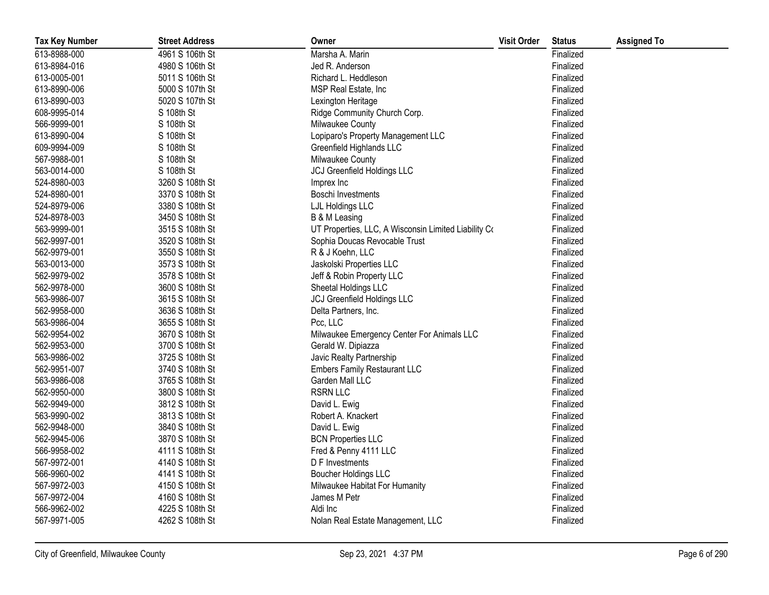| <b>Tax Key Number</b> | <b>Street Address</b> | Owner                                                | <b>Visit Order</b> | <b>Status</b> | <b>Assigned To</b> |
|-----------------------|-----------------------|------------------------------------------------------|--------------------|---------------|--------------------|
| 613-8988-000          | 4961 S 106th St       | Marsha A. Marin                                      |                    | Finalized     |                    |
| 613-8984-016          | 4980 S 106th St       | Jed R. Anderson                                      |                    | Finalized     |                    |
| 613-0005-001          | 5011 S 106th St       | Richard L. Heddleson                                 |                    | Finalized     |                    |
| 613-8990-006          | 5000 S 107th St       | MSP Real Estate, Inc                                 |                    | Finalized     |                    |
| 613-8990-003          | 5020 S 107th St       | Lexington Heritage                                   |                    | Finalized     |                    |
| 608-9995-014          | S 108th St            | Ridge Community Church Corp.                         |                    | Finalized     |                    |
| 566-9999-001          | S 108th St            | Milwaukee County                                     |                    | Finalized     |                    |
| 613-8990-004          | S 108th St            | Lopiparo's Property Management LLC                   |                    | Finalized     |                    |
| 609-9994-009          | S 108th St            | Greenfield Highlands LLC                             |                    | Finalized     |                    |
| 567-9988-001          | S 108th St            | Milwaukee County                                     |                    | Finalized     |                    |
| 563-0014-000          | S 108th St            | <b>JCJ Greenfield Holdings LLC</b>                   |                    | Finalized     |                    |
| 524-8980-003          | 3260 S 108th St       | Imprex Inc                                           |                    | Finalized     |                    |
| 524-8980-001          | 3370 S 108th St       | Boschi Investments                                   |                    | Finalized     |                    |
| 524-8979-006          | 3380 S 108th St       | LJL Holdings LLC                                     |                    | Finalized     |                    |
| 524-8978-003          | 3450 S 108th St       | B & M Leasing                                        |                    | Finalized     |                    |
| 563-9999-001          | 3515 S 108th St       | UT Properties, LLC, A Wisconsin Limited Liability Co |                    | Finalized     |                    |
| 562-9997-001          | 3520 S 108th St       | Sophia Doucas Revocable Trust                        |                    | Finalized     |                    |
| 562-9979-001          | 3550 S 108th St       | R & J Koehn, LLC                                     |                    | Finalized     |                    |
| 563-0013-000          | 3573 S 108th St       | Jaskolski Properties LLC                             |                    | Finalized     |                    |
| 562-9979-002          | 3578 S 108th St       | Jeff & Robin Property LLC                            |                    | Finalized     |                    |
| 562-9978-000          | 3600 S 108th St       | Sheetal Holdings LLC                                 |                    | Finalized     |                    |
| 563-9986-007          | 3615 S 108th St       | <b>JCJ Greenfield Holdings LLC</b>                   |                    | Finalized     |                    |
| 562-9958-000          | 3636 S 108th St       | Delta Partners, Inc.                                 |                    | Finalized     |                    |
| 563-9986-004          | 3655 S 108th St       | Pcc, LLC                                             |                    | Finalized     |                    |
| 562-9954-002          | 3670 S 108th St       | Milwaukee Emergency Center For Animals LLC           |                    | Finalized     |                    |
| 562-9953-000          | 3700 S 108th St       | Gerald W. Dipiazza                                   |                    | Finalized     |                    |
| 563-9986-002          | 3725 S 108th St       | Javic Realty Partnership                             |                    | Finalized     |                    |
| 562-9951-007          | 3740 S 108th St       | <b>Embers Family Restaurant LLC</b>                  |                    | Finalized     |                    |
| 563-9986-008          | 3765 S 108th St       | Garden Mall LLC                                      |                    | Finalized     |                    |
| 562-9950-000          | 3800 S 108th St       | <b>RSRN LLC</b>                                      |                    | Finalized     |                    |
| 562-9949-000          | 3812 S 108th St       | David L. Ewig                                        |                    | Finalized     |                    |
| 563-9990-002          | 3813 S 108th St       | Robert A. Knackert                                   |                    | Finalized     |                    |
| 562-9948-000          | 3840 S 108th St       | David L. Ewig                                        |                    | Finalized     |                    |
| 562-9945-006          | 3870 S 108th St       | <b>BCN Properties LLC</b>                            |                    | Finalized     |                    |
| 566-9958-002          | 4111 S 108th St       | Fred & Penny 4111 LLC                                |                    | Finalized     |                    |
| 567-9972-001          | 4140 S 108th St       | D F Investments                                      |                    | Finalized     |                    |
| 566-9960-002          | 4141 S 108th St       | Boucher Holdings LLC                                 |                    | Finalized     |                    |
| 567-9972-003          | 4150 S 108th St       | Milwaukee Habitat For Humanity                       |                    | Finalized     |                    |
| 567-9972-004          | 4160 S 108th St       | James M Petr                                         |                    | Finalized     |                    |
| 566-9962-002          | 4225 S 108th St       | Aldi Inc                                             |                    | Finalized     |                    |
| 567-9971-005          | 4262 S 108th St       | Nolan Real Estate Management, LLC                    |                    | Finalized     |                    |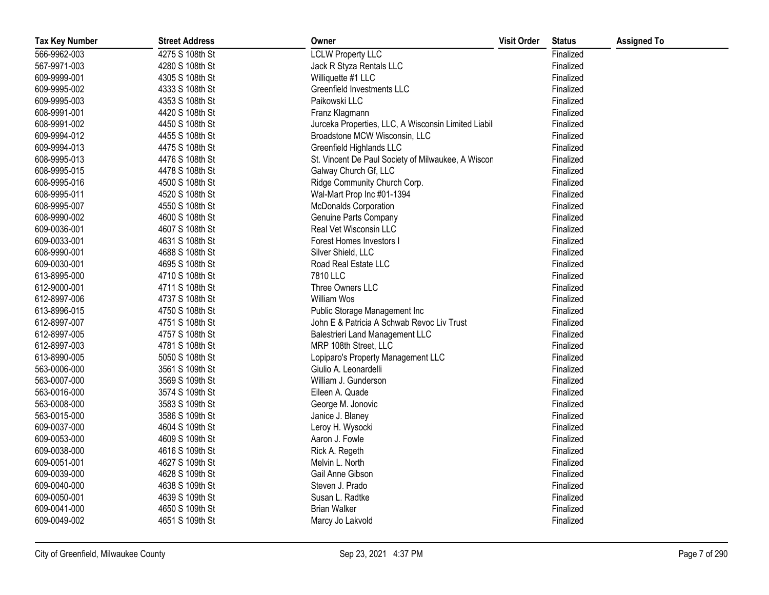| <b>Tax Key Number</b> | <b>Street Address</b> | Owner                                                | <b>Visit Order</b> | <b>Status</b> | <b>Assigned To</b> |
|-----------------------|-----------------------|------------------------------------------------------|--------------------|---------------|--------------------|
| 566-9962-003          | 4275 S 108th St       | <b>LCLW Property LLC</b>                             |                    | Finalized     |                    |
| 567-9971-003          | 4280 S 108th St       | Jack R Styza Rentals LLC                             |                    | Finalized     |                    |
| 609-9999-001          | 4305 S 108th St       | Williquette #1 LLC                                   |                    | Finalized     |                    |
| 609-9995-002          | 4333 S 108th St       | Greenfield Investments LLC                           |                    | Finalized     |                    |
| 609-9995-003          | 4353 S 108th St       | Paikowski LLC                                        |                    | Finalized     |                    |
| 608-9991-001          | 4420 S 108th St       | Franz Klagmann                                       |                    | Finalized     |                    |
| 608-9991-002          | 4450 S 108th St       | Jurceka Properties, LLC, A Wisconsin Limited Liabili |                    | Finalized     |                    |
| 609-9994-012          | 4455 S 108th St       | Broadstone MCW Wisconsin, LLC                        |                    | Finalized     |                    |
| 609-9994-013          | 4475 S 108th St       | Greenfield Highlands LLC                             |                    | Finalized     |                    |
| 608-9995-013          | 4476 S 108th St       | St. Vincent De Paul Society of Milwaukee, A Wiscon   |                    | Finalized     |                    |
| 608-9995-015          | 4478 S 108th St       | Galway Church Gf, LLC                                |                    | Finalized     |                    |
| 608-9995-016          | 4500 S 108th St       | Ridge Community Church Corp.                         |                    | Finalized     |                    |
| 608-9995-011          | 4520 S 108th St       | Wal-Mart Prop Inc #01-1394                           |                    | Finalized     |                    |
| 608-9995-007          | 4550 S 108th St       | <b>McDonalds Corporation</b>                         |                    | Finalized     |                    |
| 608-9990-002          | 4600 S 108th St       | Genuine Parts Company                                |                    | Finalized     |                    |
| 609-0036-001          | 4607 S 108th St       | Real Vet Wisconsin LLC                               |                    | Finalized     |                    |
| 609-0033-001          | 4631 S 108th St       | Forest Homes Investors I                             |                    | Finalized     |                    |
| 608-9990-001          | 4688 S 108th St       | Silver Shield, LLC                                   |                    | Finalized     |                    |
| 609-0030-001          | 4695 S 108th St       | Road Real Estate LLC                                 |                    | Finalized     |                    |
| 613-8995-000          | 4710 S 108th St       | 7810 LLC                                             |                    | Finalized     |                    |
| 612-9000-001          | 4711 S 108th St       | Three Owners LLC                                     |                    | Finalized     |                    |
| 612-8997-006          | 4737 S 108th St       | William Wos                                          |                    | Finalized     |                    |
| 613-8996-015          | 4750 S 108th St       | Public Storage Management Inc                        |                    | Finalized     |                    |
| 612-8997-007          | 4751 S 108th St       | John E & Patricia A Schwab Revoc Liv Trust           |                    | Finalized     |                    |
| 612-8997-005          | 4757 S 108th St       | <b>Balestrieri Land Management LLC</b>               |                    | Finalized     |                    |
| 612-8997-003          | 4781 S 108th St       | MRP 108th Street, LLC                                |                    | Finalized     |                    |
| 613-8990-005          | 5050 S 108th St       | Lopiparo's Property Management LLC                   |                    | Finalized     |                    |
| 563-0006-000          | 3561 S 109th St       | Giulio A. Leonardelli                                |                    | Finalized     |                    |
| 563-0007-000          | 3569 S 109th St       | William J. Gunderson                                 |                    | Finalized     |                    |
| 563-0016-000          | 3574 S 109th St       | Eileen A. Quade                                      |                    | Finalized     |                    |
| 563-0008-000          | 3583 S 109th St       | George M. Jonovic                                    |                    | Finalized     |                    |
| 563-0015-000          | 3586 S 109th St       | Janice J. Blaney                                     |                    | Finalized     |                    |
| 609-0037-000          | 4604 S 109th St       | Leroy H. Wysocki                                     |                    | Finalized     |                    |
| 609-0053-000          | 4609 S 109th St       | Aaron J. Fowle                                       |                    | Finalized     |                    |
| 609-0038-000          | 4616 S 109th St       | Rick A. Regeth                                       |                    | Finalized     |                    |
| 609-0051-001          | 4627 S 109th St       | Melvin L. North                                      |                    | Finalized     |                    |
| 609-0039-000          | 4628 S 109th St       | Gail Anne Gibson                                     |                    | Finalized     |                    |
| 609-0040-000          | 4638 S 109th St       | Steven J. Prado                                      |                    | Finalized     |                    |
| 609-0050-001          | 4639 S 109th St       | Susan L. Radtke                                      |                    | Finalized     |                    |
| 609-0041-000          | 4650 S 109th St       | <b>Brian Walker</b>                                  |                    | Finalized     |                    |
| 609-0049-002          | 4651 S 109th St       | Marcy Jo Lakvold                                     |                    | Finalized     |                    |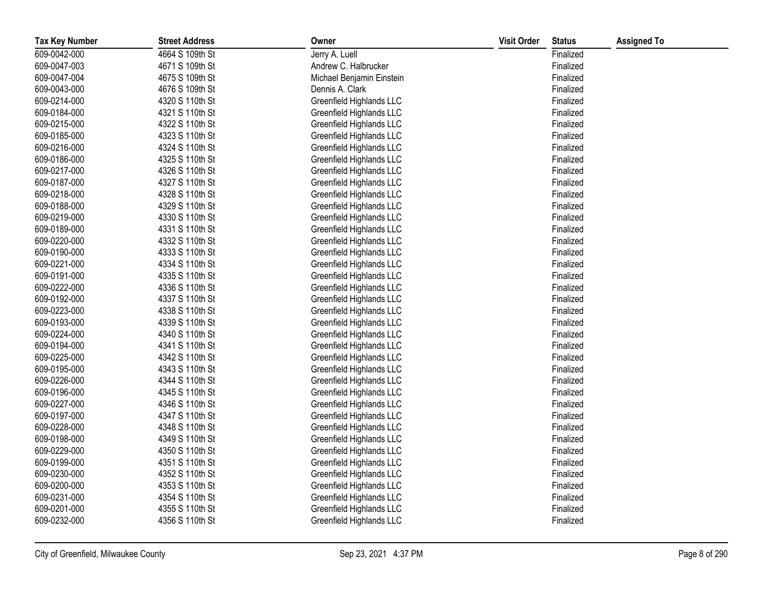| <b>Tax Key Number</b> | <b>Street Address</b> | Owner                     | <b>Visit Order</b> | <b>Status</b> | <b>Assigned To</b> |
|-----------------------|-----------------------|---------------------------|--------------------|---------------|--------------------|
| 609-0042-000          | 4664 S 109th St       | Jerry A. Luell            |                    | Finalized     |                    |
| 609-0047-003          | 4671 S 109th St       | Andrew C. Halbrucker      |                    | Finalized     |                    |
| 609-0047-004          | 4675 S 109th St       | Michael Benjamin Einstein |                    | Finalized     |                    |
| 609-0043-000          | 4676 S 109th St       | Dennis A. Clark           |                    | Finalized     |                    |
| 609-0214-000          | 4320 S 110th St       | Greenfield Highlands LLC  |                    | Finalized     |                    |
| 609-0184-000          | 4321 S 110th St       | Greenfield Highlands LLC  |                    | Finalized     |                    |
| 609-0215-000          | 4322 S 110th St       | Greenfield Highlands LLC  |                    | Finalized     |                    |
| 609-0185-000          | 4323 S 110th St       | Greenfield Highlands LLC  |                    | Finalized     |                    |
| 609-0216-000          | 4324 S 110th St       | Greenfield Highlands LLC  |                    | Finalized     |                    |
| 609-0186-000          | 4325 S 110th St       | Greenfield Highlands LLC  |                    | Finalized     |                    |
| 609-0217-000          | 4326 S 110th St       | Greenfield Highlands LLC  |                    | Finalized     |                    |
| 609-0187-000          | 4327 S 110th St       | Greenfield Highlands LLC  |                    | Finalized     |                    |
| 609-0218-000          | 4328 S 110th St       | Greenfield Highlands LLC  |                    | Finalized     |                    |
| 609-0188-000          | 4329 S 110th St       | Greenfield Highlands LLC  |                    | Finalized     |                    |
| 609-0219-000          | 4330 S 110th St       | Greenfield Highlands LLC  |                    | Finalized     |                    |
| 609-0189-000          | 4331 S 110th St       | Greenfield Highlands LLC  |                    | Finalized     |                    |
| 609-0220-000          | 4332 S 110th St       | Greenfield Highlands LLC  |                    | Finalized     |                    |
| 609-0190-000          | 4333 S 110th St       | Greenfield Highlands LLC  |                    | Finalized     |                    |
| 609-0221-000          | 4334 S 110th St       | Greenfield Highlands LLC  |                    | Finalized     |                    |
| 609-0191-000          | 4335 S 110th St       | Greenfield Highlands LLC  |                    | Finalized     |                    |
| 609-0222-000          | 4336 S 110th St       | Greenfield Highlands LLC  |                    | Finalized     |                    |
| 609-0192-000          | 4337 S 110th St       | Greenfield Highlands LLC  |                    | Finalized     |                    |
| 609-0223-000          | 4338 S 110th St       | Greenfield Highlands LLC  |                    | Finalized     |                    |
| 609-0193-000          | 4339 S 110th St       | Greenfield Highlands LLC  |                    | Finalized     |                    |
| 609-0224-000          | 4340 S 110th St       | Greenfield Highlands LLC  |                    | Finalized     |                    |
| 609-0194-000          | 4341 S 110th St       | Greenfield Highlands LLC  |                    | Finalized     |                    |
| 609-0225-000          | 4342 S 110th St       | Greenfield Highlands LLC  |                    | Finalized     |                    |
| 609-0195-000          | 4343 S 110th St       | Greenfield Highlands LLC  |                    | Finalized     |                    |
| 609-0226-000          | 4344 S 110th St       | Greenfield Highlands LLC  |                    | Finalized     |                    |
| 609-0196-000          | 4345 S 110th St       | Greenfield Highlands LLC  |                    | Finalized     |                    |
| 609-0227-000          | 4346 S 110th St       | Greenfield Highlands LLC  |                    | Finalized     |                    |
| 609-0197-000          | 4347 S 110th St       | Greenfield Highlands LLC  |                    | Finalized     |                    |
| 609-0228-000          | 4348 S 110th St       | Greenfield Highlands LLC  |                    | Finalized     |                    |
| 609-0198-000          | 4349 S 110th St       | Greenfield Highlands LLC  |                    | Finalized     |                    |
| 609-0229-000          | 4350 S 110th St       | Greenfield Highlands LLC  |                    | Finalized     |                    |
| 609-0199-000          | 4351 S 110th St       | Greenfield Highlands LLC  |                    | Finalized     |                    |
| 609-0230-000          | 4352 S 110th St       | Greenfield Highlands LLC  |                    | Finalized     |                    |
| 609-0200-000          | 4353 S 110th St       | Greenfield Highlands LLC  |                    | Finalized     |                    |
| 609-0231-000          | 4354 S 110th St       | Greenfield Highlands LLC  |                    | Finalized     |                    |
| 609-0201-000          | 4355 S 110th St       | Greenfield Highlands LLC  |                    | Finalized     |                    |
| 609-0232-000          | 4356 S 110th St       | Greenfield Highlands LLC  |                    | Finalized     |                    |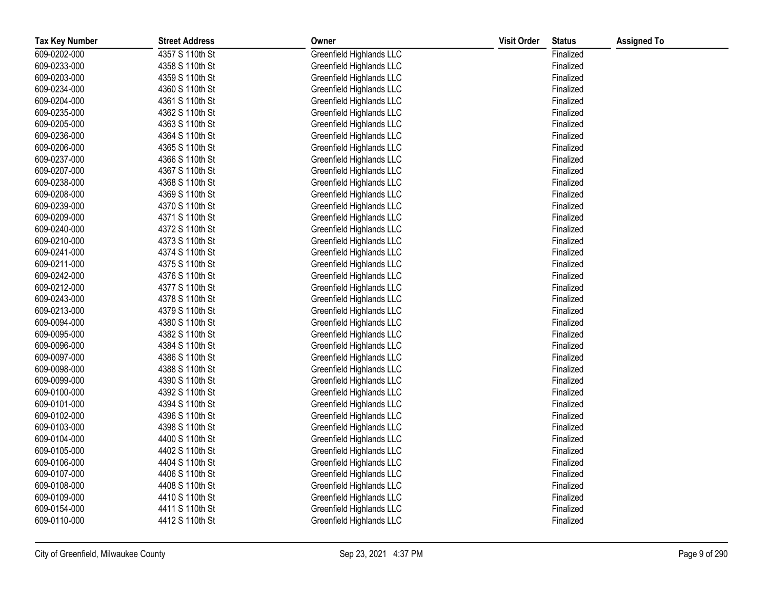| <b>Tax Key Number</b> | <b>Street Address</b> | Owner                    | <b>Visit Order</b> | <b>Status</b> | <b>Assigned To</b> |
|-----------------------|-----------------------|--------------------------|--------------------|---------------|--------------------|
| 609-0202-000          | 4357 S 110th St       | Greenfield Highlands LLC |                    | Finalized     |                    |
| 609-0233-000          | 4358 S 110th St       | Greenfield Highlands LLC |                    | Finalized     |                    |
| 609-0203-000          | 4359 S 110th St       | Greenfield Highlands LLC |                    | Finalized     |                    |
| 609-0234-000          | 4360 S 110th St       | Greenfield Highlands LLC |                    | Finalized     |                    |
| 609-0204-000          | 4361 S 110th St       | Greenfield Highlands LLC |                    | Finalized     |                    |
| 609-0235-000          | 4362 S 110th St       | Greenfield Highlands LLC |                    | Finalized     |                    |
| 609-0205-000          | 4363 S 110th St       | Greenfield Highlands LLC |                    | Finalized     |                    |
| 609-0236-000          | 4364 S 110th St       | Greenfield Highlands LLC |                    | Finalized     |                    |
| 609-0206-000          | 4365 S 110th St       | Greenfield Highlands LLC |                    | Finalized     |                    |
| 609-0237-000          | 4366 S 110th St       | Greenfield Highlands LLC |                    | Finalized     |                    |
| 609-0207-000          | 4367 S 110th St       | Greenfield Highlands LLC |                    | Finalized     |                    |
| 609-0238-000          | 4368 S 110th St       | Greenfield Highlands LLC |                    | Finalized     |                    |
| 609-0208-000          | 4369 S 110th St       | Greenfield Highlands LLC |                    | Finalized     |                    |
| 609-0239-000          | 4370 S 110th St       | Greenfield Highlands LLC |                    | Finalized     |                    |
| 609-0209-000          | 4371 S 110th St       | Greenfield Highlands LLC |                    | Finalized     |                    |
| 609-0240-000          | 4372 S 110th St       | Greenfield Highlands LLC |                    | Finalized     |                    |
| 609-0210-000          | 4373 S 110th St       | Greenfield Highlands LLC |                    | Finalized     |                    |
| 609-0241-000          | 4374 S 110th St       | Greenfield Highlands LLC |                    | Finalized     |                    |
| 609-0211-000          | 4375 S 110th St       | Greenfield Highlands LLC |                    | Finalized     |                    |
| 609-0242-000          | 4376 S 110th St       | Greenfield Highlands LLC |                    | Finalized     |                    |
| 609-0212-000          | 4377 S 110th St       | Greenfield Highlands LLC |                    | Finalized     |                    |
| 609-0243-000          | 4378 S 110th St       | Greenfield Highlands LLC |                    | Finalized     |                    |
| 609-0213-000          | 4379 S 110th St       | Greenfield Highlands LLC |                    | Finalized     |                    |
| 609-0094-000          | 4380 S 110th St       | Greenfield Highlands LLC |                    | Finalized     |                    |
| 609-0095-000          | 4382 S 110th St       | Greenfield Highlands LLC |                    | Finalized     |                    |
| 609-0096-000          | 4384 S 110th St       | Greenfield Highlands LLC |                    | Finalized     |                    |
| 609-0097-000          | 4386 S 110th St       | Greenfield Highlands LLC |                    | Finalized     |                    |
| 609-0098-000          | 4388 S 110th St       | Greenfield Highlands LLC |                    | Finalized     |                    |
| 609-0099-000          | 4390 S 110th St       | Greenfield Highlands LLC |                    | Finalized     |                    |
| 609-0100-000          | 4392 S 110th St       | Greenfield Highlands LLC |                    | Finalized     |                    |
| 609-0101-000          | 4394 S 110th St       | Greenfield Highlands LLC |                    | Finalized     |                    |
| 609-0102-000          | 4396 S 110th St       | Greenfield Highlands LLC |                    | Finalized     |                    |
| 609-0103-000          | 4398 S 110th St       | Greenfield Highlands LLC |                    | Finalized     |                    |
| 609-0104-000          | 4400 S 110th St       | Greenfield Highlands LLC |                    | Finalized     |                    |
| 609-0105-000          | 4402 S 110th St       | Greenfield Highlands LLC |                    | Finalized     |                    |
| 609-0106-000          | 4404 S 110th St       | Greenfield Highlands LLC |                    | Finalized     |                    |
| 609-0107-000          | 4406 S 110th St       | Greenfield Highlands LLC |                    | Finalized     |                    |
| 609-0108-000          | 4408 S 110th St       | Greenfield Highlands LLC |                    | Finalized     |                    |
| 609-0109-000          | 4410 S 110th St       | Greenfield Highlands LLC |                    | Finalized     |                    |
| 609-0154-000          | 4411 S 110th St       | Greenfield Highlands LLC |                    | Finalized     |                    |
| 609-0110-000          | 4412 S 110th St       | Greenfield Highlands LLC |                    | Finalized     |                    |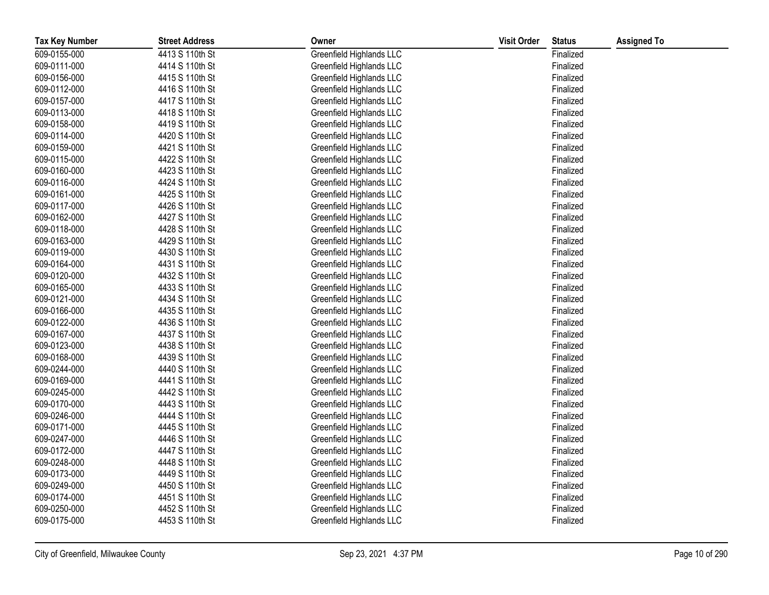| <b>Tax Key Number</b> | <b>Street Address</b> | Owner                    | <b>Visit Order</b> | <b>Status</b> | <b>Assigned To</b> |
|-----------------------|-----------------------|--------------------------|--------------------|---------------|--------------------|
| 609-0155-000          | 4413 S 110th St       | Greenfield Highlands LLC |                    | Finalized     |                    |
| 609-0111-000          | 4414 S 110th St       | Greenfield Highlands LLC |                    | Finalized     |                    |
| 609-0156-000          | 4415 S 110th St       | Greenfield Highlands LLC |                    | Finalized     |                    |
| 609-0112-000          | 4416 S 110th St       | Greenfield Highlands LLC |                    | Finalized     |                    |
| 609-0157-000          | 4417 S 110th St       | Greenfield Highlands LLC |                    | Finalized     |                    |
| 609-0113-000          | 4418 S 110th St       | Greenfield Highlands LLC |                    | Finalized     |                    |
| 609-0158-000          | 4419 S 110th St       | Greenfield Highlands LLC |                    | Finalized     |                    |
| 609-0114-000          | 4420 S 110th St       | Greenfield Highlands LLC |                    | Finalized     |                    |
| 609-0159-000          | 4421 S 110th St       | Greenfield Highlands LLC |                    | Finalized     |                    |
| 609-0115-000          | 4422 S 110th St       | Greenfield Highlands LLC |                    | Finalized     |                    |
| 609-0160-000          | 4423 S 110th St       | Greenfield Highlands LLC |                    | Finalized     |                    |
| 609-0116-000          | 4424 S 110th St       | Greenfield Highlands LLC |                    | Finalized     |                    |
| 609-0161-000          | 4425 S 110th St       | Greenfield Highlands LLC |                    | Finalized     |                    |
| 609-0117-000          | 4426 S 110th St       | Greenfield Highlands LLC |                    | Finalized     |                    |
| 609-0162-000          | 4427 S 110th St       | Greenfield Highlands LLC |                    | Finalized     |                    |
| 609-0118-000          | 4428 S 110th St       | Greenfield Highlands LLC |                    | Finalized     |                    |
| 609-0163-000          | 4429 S 110th St       | Greenfield Highlands LLC |                    | Finalized     |                    |
| 609-0119-000          | 4430 S 110th St       | Greenfield Highlands LLC |                    | Finalized     |                    |
| 609-0164-000          | 4431 S 110th St       | Greenfield Highlands LLC |                    | Finalized     |                    |
| 609-0120-000          | 4432 S 110th St       | Greenfield Highlands LLC |                    | Finalized     |                    |
| 609-0165-000          | 4433 S 110th St       | Greenfield Highlands LLC |                    | Finalized     |                    |
| 609-0121-000          | 4434 S 110th St       | Greenfield Highlands LLC |                    | Finalized     |                    |
| 609-0166-000          | 4435 S 110th St       | Greenfield Highlands LLC |                    | Finalized     |                    |
| 609-0122-000          | 4436 S 110th St       | Greenfield Highlands LLC |                    | Finalized     |                    |
| 609-0167-000          | 4437 S 110th St       | Greenfield Highlands LLC |                    | Finalized     |                    |
| 609-0123-000          | 4438 S 110th St       | Greenfield Highlands LLC |                    | Finalized     |                    |
| 609-0168-000          | 4439 S 110th St       | Greenfield Highlands LLC |                    | Finalized     |                    |
| 609-0244-000          | 4440 S 110th St       | Greenfield Highlands LLC |                    | Finalized     |                    |
| 609-0169-000          | 4441 S 110th St       | Greenfield Highlands LLC |                    | Finalized     |                    |
| 609-0245-000          | 4442 S 110th St       | Greenfield Highlands LLC |                    | Finalized     |                    |
| 609-0170-000          | 4443 S 110th St       | Greenfield Highlands LLC |                    | Finalized     |                    |
| 609-0246-000          | 4444 S 110th St       | Greenfield Highlands LLC |                    | Finalized     |                    |
| 609-0171-000          | 4445 S 110th St       | Greenfield Highlands LLC |                    | Finalized     |                    |
| 609-0247-000          | 4446 S 110th St       | Greenfield Highlands LLC |                    | Finalized     |                    |
| 609-0172-000          | 4447 S 110th St       | Greenfield Highlands LLC |                    | Finalized     |                    |
| 609-0248-000          | 4448 S 110th St       | Greenfield Highlands LLC |                    | Finalized     |                    |
| 609-0173-000          | 4449 S 110th St       | Greenfield Highlands LLC |                    | Finalized     |                    |
| 609-0249-000          | 4450 S 110th St       | Greenfield Highlands LLC |                    | Finalized     |                    |
| 609-0174-000          | 4451 S 110th St       | Greenfield Highlands LLC |                    | Finalized     |                    |
| 609-0250-000          | 4452 S 110th St       | Greenfield Highlands LLC |                    | Finalized     |                    |
| 609-0175-000          | 4453 S 110th St       | Greenfield Highlands LLC |                    | Finalized     |                    |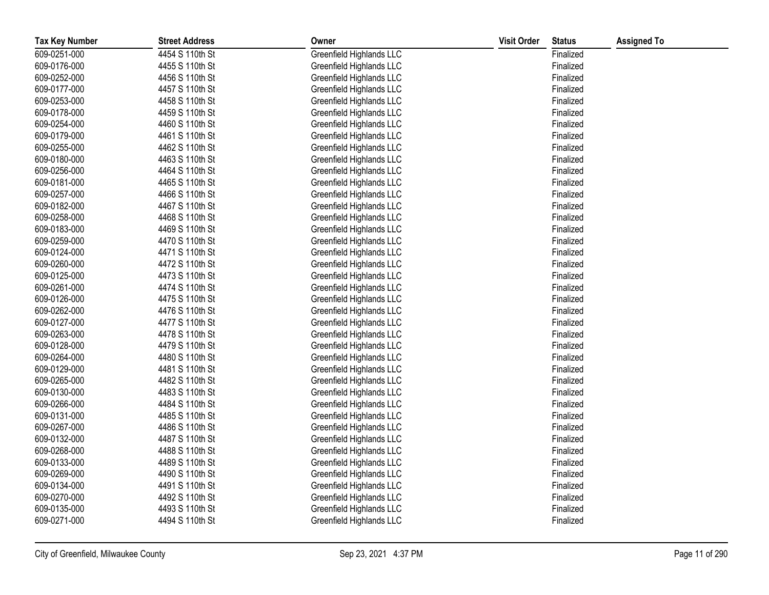| <b>Tax Key Number</b> | <b>Street Address</b> | Owner                    | <b>Visit Order</b> | <b>Status</b> | <b>Assigned To</b> |
|-----------------------|-----------------------|--------------------------|--------------------|---------------|--------------------|
| 609-0251-000          | 4454 S 110th St       | Greenfield Highlands LLC |                    | Finalized     |                    |
| 609-0176-000          | 4455 S 110th St       | Greenfield Highlands LLC |                    | Finalized     |                    |
| 609-0252-000          | 4456 S 110th St       | Greenfield Highlands LLC |                    | Finalized     |                    |
| 609-0177-000          | 4457 S 110th St       | Greenfield Highlands LLC |                    | Finalized     |                    |
| 609-0253-000          | 4458 S 110th St       | Greenfield Highlands LLC |                    | Finalized     |                    |
| 609-0178-000          | 4459 S 110th St       | Greenfield Highlands LLC |                    | Finalized     |                    |
| 609-0254-000          | 4460 S 110th St       | Greenfield Highlands LLC |                    | Finalized     |                    |
| 609-0179-000          | 4461 S 110th St       | Greenfield Highlands LLC |                    | Finalized     |                    |
| 609-0255-000          | 4462 S 110th St       | Greenfield Highlands LLC |                    | Finalized     |                    |
| 609-0180-000          | 4463 S 110th St       | Greenfield Highlands LLC |                    | Finalized     |                    |
| 609-0256-000          | 4464 S 110th St       | Greenfield Highlands LLC |                    | Finalized     |                    |
| 609-0181-000          | 4465 S 110th St       | Greenfield Highlands LLC |                    | Finalized     |                    |
| 609-0257-000          | 4466 S 110th St       | Greenfield Highlands LLC |                    | Finalized     |                    |
| 609-0182-000          | 4467 S 110th St       | Greenfield Highlands LLC |                    | Finalized     |                    |
| 609-0258-000          | 4468 S 110th St       | Greenfield Highlands LLC |                    | Finalized     |                    |
| 609-0183-000          | 4469 S 110th St       | Greenfield Highlands LLC |                    | Finalized     |                    |
| 609-0259-000          | 4470 S 110th St       | Greenfield Highlands LLC |                    | Finalized     |                    |
| 609-0124-000          | 4471 S 110th St       | Greenfield Highlands LLC |                    | Finalized     |                    |
| 609-0260-000          | 4472 S 110th St       | Greenfield Highlands LLC |                    | Finalized     |                    |
| 609-0125-000          | 4473 S 110th St       | Greenfield Highlands LLC |                    | Finalized     |                    |
| 609-0261-000          | 4474 S 110th St       | Greenfield Highlands LLC |                    | Finalized     |                    |
| 609-0126-000          | 4475 S 110th St       | Greenfield Highlands LLC |                    | Finalized     |                    |
| 609-0262-000          | 4476 S 110th St       | Greenfield Highlands LLC |                    | Finalized     |                    |
| 609-0127-000          | 4477 S 110th St       | Greenfield Highlands LLC |                    | Finalized     |                    |
| 609-0263-000          | 4478 S 110th St       | Greenfield Highlands LLC |                    | Finalized     |                    |
| 609-0128-000          | 4479 S 110th St       | Greenfield Highlands LLC |                    | Finalized     |                    |
| 609-0264-000          | 4480 S 110th St       | Greenfield Highlands LLC |                    | Finalized     |                    |
| 609-0129-000          | 4481 S 110th St       | Greenfield Highlands LLC |                    | Finalized     |                    |
| 609-0265-000          | 4482 S 110th St       | Greenfield Highlands LLC |                    | Finalized     |                    |
| 609-0130-000          | 4483 S 110th St       | Greenfield Highlands LLC |                    | Finalized     |                    |
| 609-0266-000          | 4484 S 110th St       | Greenfield Highlands LLC |                    | Finalized     |                    |
| 609-0131-000          | 4485 S 110th St       | Greenfield Highlands LLC |                    | Finalized     |                    |
| 609-0267-000          | 4486 S 110th St       | Greenfield Highlands LLC |                    | Finalized     |                    |
| 609-0132-000          | 4487 S 110th St       | Greenfield Highlands LLC |                    | Finalized     |                    |
| 609-0268-000          | 4488 S 110th St       | Greenfield Highlands LLC |                    | Finalized     |                    |
| 609-0133-000          | 4489 S 110th St       | Greenfield Highlands LLC |                    | Finalized     |                    |
| 609-0269-000          | 4490 S 110th St       | Greenfield Highlands LLC |                    | Finalized     |                    |
| 609-0134-000          | 4491 S 110th St       | Greenfield Highlands LLC |                    | Finalized     |                    |
| 609-0270-000          | 4492 S 110th St       | Greenfield Highlands LLC |                    | Finalized     |                    |
| 609-0135-000          | 4493 S 110th St       | Greenfield Highlands LLC |                    | Finalized     |                    |
| 609-0271-000          | 4494 S 110th St       | Greenfield Highlands LLC |                    | Finalized     |                    |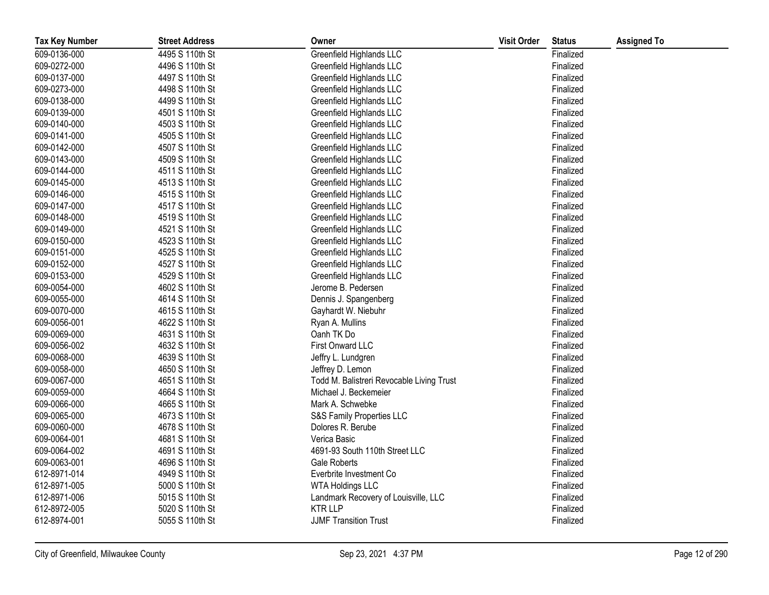| <b>Tax Key Number</b> | <b>Street Address</b> | Owner                                     | <b>Visit Order</b> | <b>Status</b> | <b>Assigned To</b> |
|-----------------------|-----------------------|-------------------------------------------|--------------------|---------------|--------------------|
| 609-0136-000          | 4495 S 110th St       | Greenfield Highlands LLC                  |                    | Finalized     |                    |
| 609-0272-000          | 4496 S 110th St       | Greenfield Highlands LLC                  |                    | Finalized     |                    |
| 609-0137-000          | 4497 S 110th St       | Greenfield Highlands LLC                  |                    | Finalized     |                    |
| 609-0273-000          | 4498 S 110th St       | Greenfield Highlands LLC                  |                    | Finalized     |                    |
| 609-0138-000          | 4499 S 110th St       | Greenfield Highlands LLC                  |                    | Finalized     |                    |
| 609-0139-000          | 4501 S 110th St       | Greenfield Highlands LLC                  |                    | Finalized     |                    |
| 609-0140-000          | 4503 S 110th St       | Greenfield Highlands LLC                  |                    | Finalized     |                    |
| 609-0141-000          | 4505 S 110th St       | Greenfield Highlands LLC                  |                    | Finalized     |                    |
| 609-0142-000          | 4507 S 110th St       | Greenfield Highlands LLC                  |                    | Finalized     |                    |
| 609-0143-000          | 4509 S 110th St       | Greenfield Highlands LLC                  |                    | Finalized     |                    |
| 609-0144-000          | 4511 S 110th St       | Greenfield Highlands LLC                  |                    | Finalized     |                    |
| 609-0145-000          | 4513 S 110th St       | Greenfield Highlands LLC                  |                    | Finalized     |                    |
| 609-0146-000          | 4515 S 110th St       | Greenfield Highlands LLC                  |                    | Finalized     |                    |
| 609-0147-000          | 4517 S 110th St       | Greenfield Highlands LLC                  |                    | Finalized     |                    |
| 609-0148-000          | 4519 S 110th St       | Greenfield Highlands LLC                  |                    | Finalized     |                    |
| 609-0149-000          | 4521 S 110th St       | Greenfield Highlands LLC                  |                    | Finalized     |                    |
| 609-0150-000          | 4523 S 110th St       | Greenfield Highlands LLC                  |                    | Finalized     |                    |
| 609-0151-000          | 4525 S 110th St       | Greenfield Highlands LLC                  |                    | Finalized     |                    |
| 609-0152-000          | 4527 S 110th St       | Greenfield Highlands LLC                  |                    | Finalized     |                    |
| 609-0153-000          | 4529 S 110th St       | Greenfield Highlands LLC                  |                    | Finalized     |                    |
| 609-0054-000          | 4602 S 110th St       | Jerome B. Pedersen                        |                    | Finalized     |                    |
| 609-0055-000          | 4614 S 110th St       | Dennis J. Spangenberg                     |                    | Finalized     |                    |
| 609-0070-000          | 4615 S 110th St       | Gayhardt W. Niebuhr                       |                    | Finalized     |                    |
| 609-0056-001          | 4622 S 110th St       | Ryan A. Mullins                           |                    | Finalized     |                    |
| 609-0069-000          | 4631 S 110th St       | Oanh TK Do                                |                    | Finalized     |                    |
| 609-0056-002          | 4632 S 110th St       | First Onward LLC                          |                    | Finalized     |                    |
| 609-0068-000          | 4639 S 110th St       | Jeffry L. Lundgren                        |                    | Finalized     |                    |
| 609-0058-000          | 4650 S 110th St       | Jeffrey D. Lemon                          |                    | Finalized     |                    |
| 609-0067-000          | 4651 S 110th St       | Todd M. Balistreri Revocable Living Trust |                    | Finalized     |                    |
| 609-0059-000          | 4664 S 110th St       | Michael J. Beckemeier                     |                    | Finalized     |                    |
| 609-0066-000          | 4665 S 110th St       | Mark A. Schwebke                          |                    | Finalized     |                    |
| 609-0065-000          | 4673 S 110th St       | S&S Family Properties LLC                 |                    | Finalized     |                    |
| 609-0060-000          | 4678 S 110th St       | Dolores R. Berube                         |                    | Finalized     |                    |
| 609-0064-001          | 4681 S 110th St       | Verica Basic                              |                    | Finalized     |                    |
| 609-0064-002          | 4691 S 110th St       | 4691-93 South 110th Street LLC            |                    | Finalized     |                    |
| 609-0063-001          | 4696 S 110th St       | <b>Gale Roberts</b>                       |                    | Finalized     |                    |
| 612-8971-014          | 4949 S 110th St       | Everbrite Investment Co                   |                    | Finalized     |                    |
| 612-8971-005          | 5000 S 110th St       | <b>WTA Holdings LLC</b>                   |                    | Finalized     |                    |
| 612-8971-006          | 5015 S 110th St       | Landmark Recovery of Louisville, LLC      |                    | Finalized     |                    |
| 612-8972-005          | 5020 S 110th St       | <b>KTRLLP</b>                             |                    | Finalized     |                    |
| 612-8974-001          | 5055 S 110th St       | <b>JJMF Transition Trust</b>              |                    | Finalized     |                    |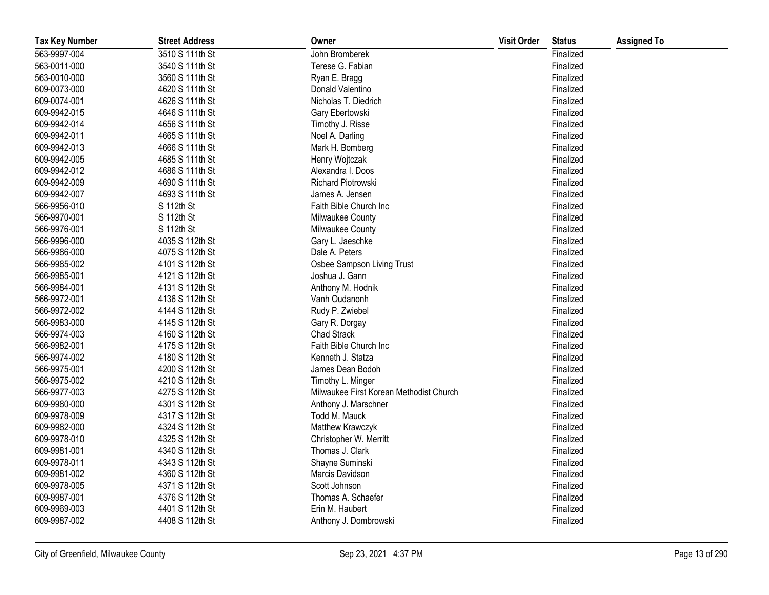| <b>Tax Key Number</b> | <b>Street Address</b> | Owner                                   | <b>Visit Order</b> | <b>Status</b> | <b>Assigned To</b> |
|-----------------------|-----------------------|-----------------------------------------|--------------------|---------------|--------------------|
| 563-9997-004          | 3510 S 111th St       | John Bromberek                          |                    | Finalized     |                    |
| 563-0011-000          | 3540 S 111th St       | Terese G. Fabian                        |                    | Finalized     |                    |
| 563-0010-000          | 3560 S 111th St       | Ryan E. Bragg                           |                    | Finalized     |                    |
| 609-0073-000          | 4620 S 111th St       | Donald Valentino                        |                    | Finalized     |                    |
| 609-0074-001          | 4626 S 111th St       | Nicholas T. Diedrich                    |                    | Finalized     |                    |
| 609-9942-015          | 4646 S 111th St       | Gary Ebertowski                         |                    | Finalized     |                    |
| 609-9942-014          | 4656 S 111th St       | Timothy J. Risse                        |                    | Finalized     |                    |
| 609-9942-011          | 4665 S 111th St       | Noel A. Darling                         |                    | Finalized     |                    |
| 609-9942-013          | 4666 S 111th St       | Mark H. Bomberg                         |                    | Finalized     |                    |
| 609-9942-005          | 4685 S 111th St       | Henry Wojtczak                          |                    | Finalized     |                    |
| 609-9942-012          | 4686 S 111th St       | Alexandra I. Doos                       |                    | Finalized     |                    |
| 609-9942-009          | 4690 S 111th St       | Richard Piotrowski                      |                    | Finalized     |                    |
| 609-9942-007          | 4693 S 111th St       | James A. Jensen                         |                    | Finalized     |                    |
| 566-9956-010          | S 112th St            | Faith Bible Church Inc                  |                    | Finalized     |                    |
| 566-9970-001          | S 112th St            | Milwaukee County                        |                    | Finalized     |                    |
| 566-9976-001          | S 112th St            | Milwaukee County                        |                    | Finalized     |                    |
| 566-9996-000          | 4035 S 112th St       | Gary L. Jaeschke                        |                    | Finalized     |                    |
| 566-9986-000          | 4075 S 112th St       | Dale A. Peters                          |                    | Finalized     |                    |
| 566-9985-002          | 4101 S 112th St       | Osbee Sampson Living Trust              |                    | Finalized     |                    |
| 566-9985-001          | 4121 S 112th St       | Joshua J. Gann                          |                    | Finalized     |                    |
| 566-9984-001          | 4131 S 112th St       | Anthony M. Hodnik                       |                    | Finalized     |                    |
| 566-9972-001          | 4136 S 112th St       | Vanh Oudanonh                           |                    | Finalized     |                    |
| 566-9972-002          | 4144 S 112th St       | Rudy P. Zwiebel                         |                    | Finalized     |                    |
| 566-9983-000          | 4145 S 112th St       | Gary R. Dorgay                          |                    | Finalized     |                    |
| 566-9974-003          | 4160 S 112th St       | <b>Chad Strack</b>                      |                    | Finalized     |                    |
| 566-9982-001          | 4175 S 112th St       | Faith Bible Church Inc                  |                    | Finalized     |                    |
| 566-9974-002          | 4180 S 112th St       | Kenneth J. Statza                       |                    | Finalized     |                    |
| 566-9975-001          | 4200 S 112th St       | James Dean Bodoh                        |                    | Finalized     |                    |
| 566-9975-002          | 4210 S 112th St       | Timothy L. Minger                       |                    | Finalized     |                    |
| 566-9977-003          | 4275 S 112th St       | Milwaukee First Korean Methodist Church |                    | Finalized     |                    |
| 609-9980-000          | 4301 S 112th St       | Anthony J. Marschner                    |                    | Finalized     |                    |
| 609-9978-009          | 4317 S 112th St       | Todd M. Mauck                           |                    | Finalized     |                    |
| 609-9982-000          | 4324 S 112th St       | Matthew Krawczyk                        |                    | Finalized     |                    |
| 609-9978-010          | 4325 S 112th St       | Christopher W. Merritt                  |                    | Finalized     |                    |
| 609-9981-001          | 4340 S 112th St       | Thomas J. Clark                         |                    | Finalized     |                    |
| 609-9978-011          | 4343 S 112th St       | Shayne Suminski                         |                    | Finalized     |                    |
| 609-9981-002          | 4360 S 112th St       | Marcis Davidson                         |                    | Finalized     |                    |
| 609-9978-005          | 4371 S 112th St       | Scott Johnson                           |                    | Finalized     |                    |
| 609-9987-001          | 4376 S 112th St       | Thomas A. Schaefer                      |                    | Finalized     |                    |
| 609-9969-003          | 4401 S 112th St       | Erin M. Haubert                         |                    | Finalized     |                    |
| 609-9987-002          | 4408 S 112th St       | Anthony J. Dombrowski                   |                    | Finalized     |                    |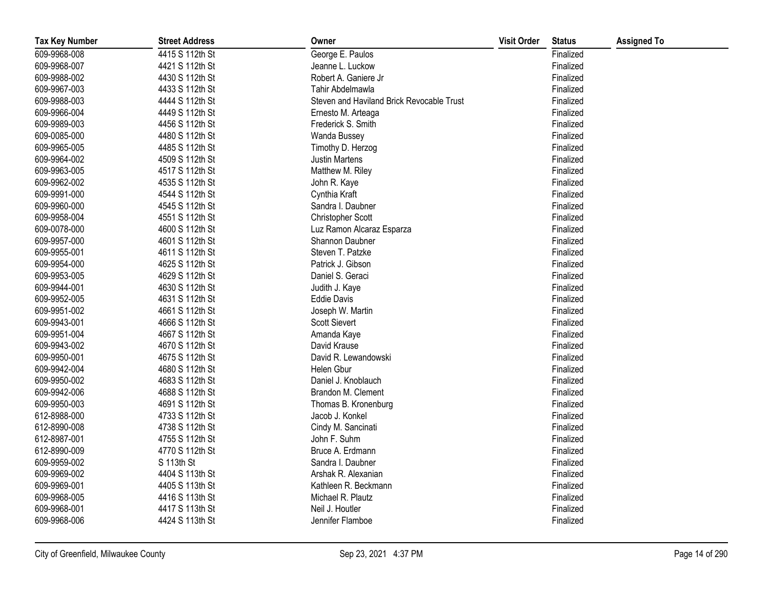| <b>Tax Key Number</b> | <b>Street Address</b> | Owner                                     | <b>Visit Order</b> | <b>Status</b> | <b>Assigned To</b> |
|-----------------------|-----------------------|-------------------------------------------|--------------------|---------------|--------------------|
| 609-9968-008          | 4415 S 112th St       | George E. Paulos                          |                    | Finalized     |                    |
| 609-9968-007          | 4421 S 112th St       | Jeanne L. Luckow                          |                    | Finalized     |                    |
| 609-9988-002          | 4430 S 112th St       | Robert A. Ganiere Jr                      |                    | Finalized     |                    |
| 609-9967-003          | 4433 S 112th St       | Tahir Abdelmawla                          |                    | Finalized     |                    |
| 609-9988-003          | 4444 S 112th St       | Steven and Haviland Brick Revocable Trust |                    | Finalized     |                    |
| 609-9966-004          | 4449 S 112th St       | Ernesto M. Arteaga                        |                    | Finalized     |                    |
| 609-9989-003          | 4456 S 112th St       | Frederick S. Smith                        |                    | Finalized     |                    |
| 609-0085-000          | 4480 S 112th St       | Wanda Bussey                              |                    | Finalized     |                    |
| 609-9965-005          | 4485 S 112th St       | Timothy D. Herzog                         |                    | Finalized     |                    |
| 609-9964-002          | 4509 S 112th St       | <b>Justin Martens</b>                     |                    | Finalized     |                    |
| 609-9963-005          | 4517 S 112th St       | Matthew M. Riley                          |                    | Finalized     |                    |
| 609-9962-002          | 4535 S 112th St       | John R. Kaye                              |                    | Finalized     |                    |
| 609-9991-000          | 4544 S 112th St       | Cynthia Kraft                             |                    | Finalized     |                    |
| 609-9960-000          | 4545 S 112th St       | Sandra I. Daubner                         |                    | Finalized     |                    |
| 609-9958-004          | 4551 S 112th St       | Christopher Scott                         |                    | Finalized     |                    |
| 609-0078-000          | 4600 S 112th St       | Luz Ramon Alcaraz Esparza                 |                    | Finalized     |                    |
| 609-9957-000          | 4601 S 112th St       | Shannon Daubner                           |                    | Finalized     |                    |
| 609-9955-001          | 4611 S 112th St       | Steven T. Patzke                          |                    | Finalized     |                    |
| 609-9954-000          | 4625 S 112th St       | Patrick J. Gibson                         |                    | Finalized     |                    |
| 609-9953-005          | 4629 S 112th St       | Daniel S. Geraci                          |                    | Finalized     |                    |
| 609-9944-001          | 4630 S 112th St       | Judith J. Kaye                            |                    | Finalized     |                    |
| 609-9952-005          | 4631 S 112th St       | <b>Eddie Davis</b>                        |                    | Finalized     |                    |
| 609-9951-002          | 4661 S 112th St       | Joseph W. Martin                          |                    | Finalized     |                    |
| 609-9943-001          | 4666 S 112th St       | Scott Sievert                             |                    | Finalized     |                    |
| 609-9951-004          | 4667 S 112th St       | Amanda Kaye                               |                    | Finalized     |                    |
| 609-9943-002          | 4670 S 112th St       | David Krause                              |                    | Finalized     |                    |
| 609-9950-001          | 4675 S 112th St       | David R. Lewandowski                      |                    | Finalized     |                    |
| 609-9942-004          | 4680 S 112th St       | Helen Gbur                                |                    | Finalized     |                    |
| 609-9950-002          | 4683 S 112th St       | Daniel J. Knoblauch                       |                    | Finalized     |                    |
| 609-9942-006          | 4688 S 112th St       | Brandon M. Clement                        |                    | Finalized     |                    |
| 609-9950-003          | 4691 S 112th St       | Thomas B. Kronenburg                      |                    | Finalized     |                    |
| 612-8988-000          | 4733 S 112th St       | Jacob J. Konkel                           |                    | Finalized     |                    |
| 612-8990-008          | 4738 S 112th St       | Cindy M. Sancinati                        |                    | Finalized     |                    |
| 612-8987-001          | 4755 S 112th St       | John F. Suhm                              |                    | Finalized     |                    |
| 612-8990-009          | 4770 S 112th St       | Bruce A. Erdmann                          |                    | Finalized     |                    |
| 609-9959-002          | S 113th St            | Sandra I. Daubner                         |                    | Finalized     |                    |
| 609-9969-002          | 4404 S 113th St       | Arshak R. Alexanian                       |                    | Finalized     |                    |
| 609-9969-001          | 4405 S 113th St       | Kathleen R. Beckmann                      |                    | Finalized     |                    |
| 609-9968-005          | 4416 S 113th St       | Michael R. Plautz                         |                    | Finalized     |                    |
| 609-9968-001          | 4417 S 113th St       | Neil J. Houtler                           |                    | Finalized     |                    |
| 609-9968-006          | 4424 S 113th St       | Jennifer Flamboe                          |                    | Finalized     |                    |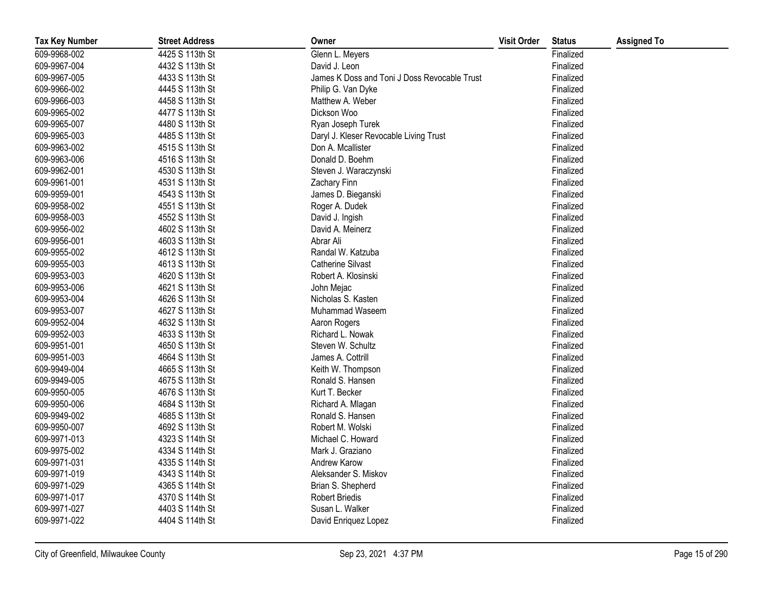| <b>Tax Key Number</b> | <b>Street Address</b> | Owner                                        | <b>Visit Order</b> | <b>Status</b> | <b>Assigned To</b> |
|-----------------------|-----------------------|----------------------------------------------|--------------------|---------------|--------------------|
| 609-9968-002          | 4425 S 113th St       | Glenn L. Meyers                              |                    | Finalized     |                    |
| 609-9967-004          | 4432 S 113th St       | David J. Leon                                |                    | Finalized     |                    |
| 609-9967-005          | 4433 S 113th St       | James K Doss and Toni J Doss Revocable Trust |                    | Finalized     |                    |
| 609-9966-002          | 4445 S 113th St       | Philip G. Van Dyke                           |                    | Finalized     |                    |
| 609-9966-003          | 4458 S 113th St       | Matthew A. Weber                             |                    | Finalized     |                    |
| 609-9965-002          | 4477 S 113th St       | Dickson Woo                                  |                    | Finalized     |                    |
| 609-9965-007          | 4480 S 113th St       | Ryan Joseph Turek                            |                    | Finalized     |                    |
| 609-9965-003          | 4485 S 113th St       | Daryl J. Kleser Revocable Living Trust       |                    | Finalized     |                    |
| 609-9963-002          | 4515 S 113th St       | Don A. Mcallister                            |                    | Finalized     |                    |
| 609-9963-006          | 4516 S 113th St       | Donald D. Boehm                              |                    | Finalized     |                    |
| 609-9962-001          | 4530 S 113th St       | Steven J. Waraczynski                        |                    | Finalized     |                    |
| 609-9961-001          | 4531 S 113th St       | Zachary Finn                                 |                    | Finalized     |                    |
| 609-9959-001          | 4543 S 113th St       | James D. Bieganski                           |                    | Finalized     |                    |
| 609-9958-002          | 4551 S 113th St       | Roger A. Dudek                               |                    | Finalized     |                    |
| 609-9958-003          | 4552 S 113th St       | David J. Ingish                              |                    | Finalized     |                    |
| 609-9956-002          | 4602 S 113th St       | David A. Meinerz                             |                    | Finalized     |                    |
| 609-9956-001          | 4603 S 113th St       | Abrar Ali                                    |                    | Finalized     |                    |
| 609-9955-002          | 4612 S 113th St       | Randal W. Katzuba                            |                    | Finalized     |                    |
| 609-9955-003          | 4613 S 113th St       | <b>Catherine Silvast</b>                     |                    | Finalized     |                    |
| 609-9953-003          | 4620 S 113th St       | Robert A. Klosinski                          |                    | Finalized     |                    |
| 609-9953-006          | 4621 S 113th St       | John Mejac                                   |                    | Finalized     |                    |
| 609-9953-004          | 4626 S 113th St       | Nicholas S. Kasten                           |                    | Finalized     |                    |
| 609-9953-007          | 4627 S 113th St       | Muhammad Waseem                              |                    | Finalized     |                    |
| 609-9952-004          | 4632 S 113th St       | Aaron Rogers                                 |                    | Finalized     |                    |
| 609-9952-003          | 4633 S 113th St       | Richard L. Nowak                             |                    | Finalized     |                    |
| 609-9951-001          | 4650 S 113th St       | Steven W. Schultz                            |                    | Finalized     |                    |
| 609-9951-003          | 4664 S 113th St       | James A. Cottrill                            |                    | Finalized     |                    |
| 609-9949-004          | 4665 S 113th St       | Keith W. Thompson                            |                    | Finalized     |                    |
| 609-9949-005          | 4675 S 113th St       | Ronald S. Hansen                             |                    | Finalized     |                    |
| 609-9950-005          | 4676 S 113th St       | Kurt T. Becker                               |                    | Finalized     |                    |
| 609-9950-006          | 4684 S 113th St       | Richard A. Mlagan                            |                    | Finalized     |                    |
| 609-9949-002          | 4685 S 113th St       | Ronald S. Hansen                             |                    | Finalized     |                    |
| 609-9950-007          | 4692 S 113th St       | Robert M. Wolski                             |                    | Finalized     |                    |
| 609-9971-013          | 4323 S 114th St       | Michael C. Howard                            |                    | Finalized     |                    |
| 609-9975-002          | 4334 S 114th St       | Mark J. Graziano                             |                    | Finalized     |                    |
| 609-9971-031          | 4335 S 114th St       | Andrew Karow                                 |                    | Finalized     |                    |
| 609-9971-019          | 4343 S 114th St       | Aleksander S. Miskov                         |                    | Finalized     |                    |
| 609-9971-029          | 4365 S 114th St       | Brian S. Shepherd                            |                    | Finalized     |                    |
| 609-9971-017          | 4370 S 114th St       | <b>Robert Briedis</b>                        |                    | Finalized     |                    |
| 609-9971-027          | 4403 S 114th St       | Susan L. Walker                              |                    | Finalized     |                    |
| 609-9971-022          | 4404 S 114th St       | David Enriquez Lopez                         |                    | Finalized     |                    |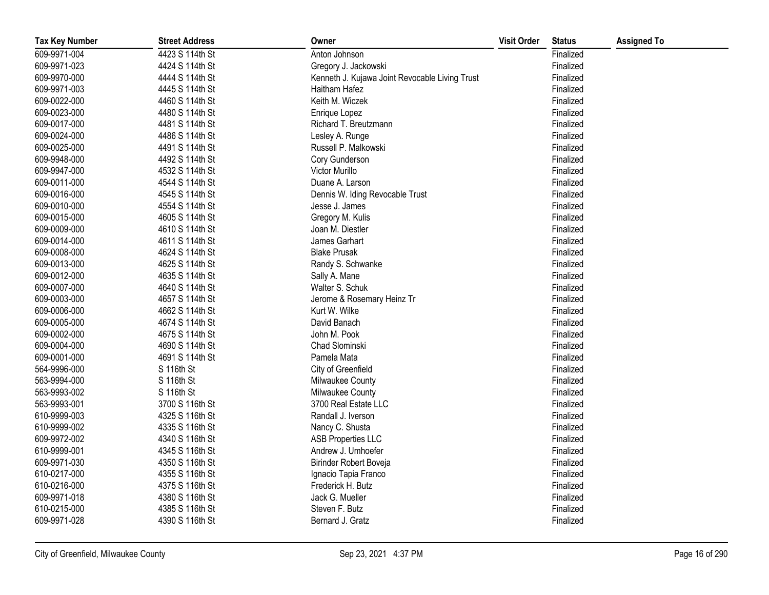| <b>Tax Key Number</b> | <b>Street Address</b> | Owner                                          | <b>Visit Order</b> | <b>Status</b> | <b>Assigned To</b> |
|-----------------------|-----------------------|------------------------------------------------|--------------------|---------------|--------------------|
| 609-9971-004          | 4423 S 114th St       | Anton Johnson                                  |                    | Finalized     |                    |
| 609-9971-023          | 4424 S 114th St       | Gregory J. Jackowski                           |                    | Finalized     |                    |
| 609-9970-000          | 4444 S 114th St       | Kenneth J. Kujawa Joint Revocable Living Trust |                    | Finalized     |                    |
| 609-9971-003          | 4445 S 114th St       | Haitham Hafez                                  |                    | Finalized     |                    |
| 609-0022-000          | 4460 S 114th St       | Keith M. Wiczek                                |                    | Finalized     |                    |
| 609-0023-000          | 4480 S 114th St       | Enrique Lopez                                  |                    | Finalized     |                    |
| 609-0017-000          | 4481 S 114th St       | Richard T. Breutzmann                          |                    | Finalized     |                    |
| 609-0024-000          | 4486 S 114th St       | Lesley A. Runge                                |                    | Finalized     |                    |
| 609-0025-000          | 4491 S 114th St       | Russell P. Malkowski                           |                    | Finalized     |                    |
| 609-9948-000          | 4492 S 114th St       | Cory Gunderson                                 |                    | Finalized     |                    |
| 609-9947-000          | 4532 S 114th St       | Victor Murillo                                 |                    | Finalized     |                    |
| 609-0011-000          | 4544 S 114th St       | Duane A. Larson                                |                    | Finalized     |                    |
| 609-0016-000          | 4545 S 114th St       | Dennis W. Iding Revocable Trust                |                    | Finalized     |                    |
| 609-0010-000          | 4554 S 114th St       | Jesse J. James                                 |                    | Finalized     |                    |
| 609-0015-000          | 4605 S 114th St       | Gregory M. Kulis                               |                    | Finalized     |                    |
| 609-0009-000          | 4610 S 114th St       | Joan M. Diestler                               |                    | Finalized     |                    |
| 609-0014-000          | 4611 S 114th St       | James Garhart                                  |                    | Finalized     |                    |
| 609-0008-000          | 4624 S 114th St       | <b>Blake Prusak</b>                            |                    | Finalized     |                    |
| 609-0013-000          | 4625 S 114th St       | Randy S. Schwanke                              |                    | Finalized     |                    |
| 609-0012-000          | 4635 S 114th St       | Sally A. Mane                                  |                    | Finalized     |                    |
| 609-0007-000          | 4640 S 114th St       | Walter S. Schuk                                |                    | Finalized     |                    |
| 609-0003-000          | 4657 S 114th St       | Jerome & Rosemary Heinz Tr                     |                    | Finalized     |                    |
| 609-0006-000          | 4662 S 114th St       | Kurt W. Wilke                                  |                    | Finalized     |                    |
| 609-0005-000          | 4674 S 114th St       | David Banach                                   |                    | Finalized     |                    |
| 609-0002-000          | 4675 S 114th St       | John M. Pook                                   |                    | Finalized     |                    |
| 609-0004-000          | 4690 S 114th St       | Chad Slominski                                 |                    | Finalized     |                    |
| 609-0001-000          | 4691 S 114th St       | Pamela Mata                                    |                    | Finalized     |                    |
| 564-9996-000          | S 116th St            | City of Greenfield                             |                    | Finalized     |                    |
| 563-9994-000          | S 116th St            | Milwaukee County                               |                    | Finalized     |                    |
| 563-9993-002          | S 116th St            | Milwaukee County                               |                    | Finalized     |                    |
| 563-9993-001          | 3700 S 116th St       | 3700 Real Estate LLC                           |                    | Finalized     |                    |
| 610-9999-003          | 4325 S 116th St       | Randall J. Iverson                             |                    | Finalized     |                    |
| 610-9999-002          | 4335 S 116th St       | Nancy C. Shusta                                |                    | Finalized     |                    |
| 609-9972-002          | 4340 S 116th St       | <b>ASB Properties LLC</b>                      |                    | Finalized     |                    |
| 610-9999-001          | 4345 S 116th St       | Andrew J. Umhoefer                             |                    | Finalized     |                    |
| 609-9971-030          | 4350 S 116th St       | Birinder Robert Boveja                         |                    | Finalized     |                    |
| 610-0217-000          | 4355 S 116th St       | Ignacio Tapia Franco                           |                    | Finalized     |                    |
| 610-0216-000          | 4375 S 116th St       | Frederick H. Butz                              |                    | Finalized     |                    |
| 609-9971-018          | 4380 S 116th St       | Jack G. Mueller                                |                    | Finalized     |                    |
| 610-0215-000          | 4385 S 116th St       | Steven F. Butz                                 |                    | Finalized     |                    |
| 609-9971-028          | 4390 S 116th St       | Bernard J. Gratz                               |                    | Finalized     |                    |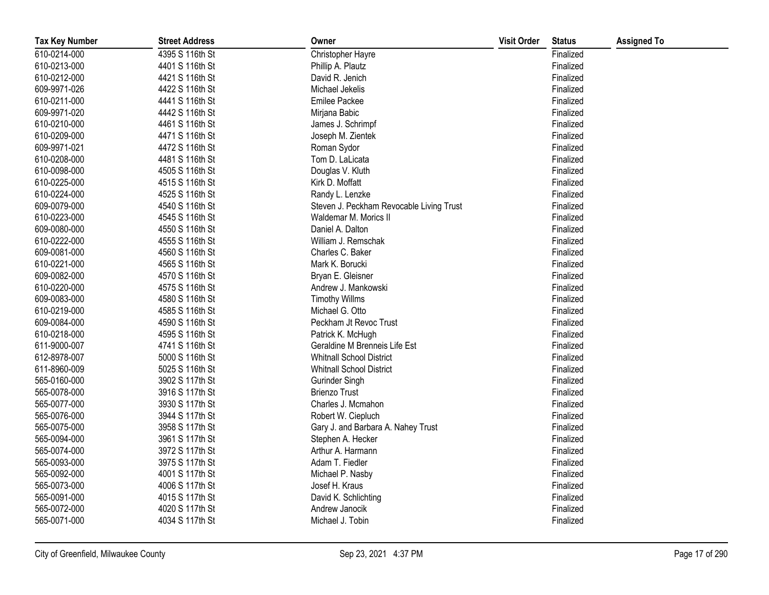| <b>Tax Key Number</b> | <b>Street Address</b> | Owner                                    | <b>Visit Order</b> | <b>Status</b> | <b>Assigned To</b> |
|-----------------------|-----------------------|------------------------------------------|--------------------|---------------|--------------------|
| 610-0214-000          | 4395 S 116th St       | Christopher Hayre                        |                    | Finalized     |                    |
| 610-0213-000          | 4401 S 116th St       | Phillip A. Plautz                        |                    | Finalized     |                    |
| 610-0212-000          | 4421 S 116th St       | David R. Jenich                          |                    | Finalized     |                    |
| 609-9971-026          | 4422 S 116th St       | Michael Jekelis                          |                    | Finalized     |                    |
| 610-0211-000          | 4441 S 116th St       | Emilee Packee                            |                    | Finalized     |                    |
| 609-9971-020          | 4442 S 116th St       | Mirjana Babic                            |                    | Finalized     |                    |
| 610-0210-000          | 4461 S 116th St       | James J. Schrimpf                        |                    | Finalized     |                    |
| 610-0209-000          | 4471 S 116th St       | Joseph M. Zientek                        |                    | Finalized     |                    |
| 609-9971-021          | 4472 S 116th St       | Roman Sydor                              |                    | Finalized     |                    |
| 610-0208-000          | 4481 S 116th St       | Tom D. LaLicata                          |                    | Finalized     |                    |
| 610-0098-000          | 4505 S 116th St       | Douglas V. Kluth                         |                    | Finalized     |                    |
| 610-0225-000          | 4515 S 116th St       | Kirk D. Moffatt                          |                    | Finalized     |                    |
| 610-0224-000          | 4525 S 116th St       | Randy L. Lenzke                          |                    | Finalized     |                    |
| 609-0079-000          | 4540 S 116th St       | Steven J. Peckham Revocable Living Trust |                    | Finalized     |                    |
| 610-0223-000          | 4545 S 116th St       | Waldemar M. Morics II                    |                    | Finalized     |                    |
| 609-0080-000          | 4550 S 116th St       | Daniel A. Dalton                         |                    | Finalized     |                    |
| 610-0222-000          | 4555 S 116th St       | William J. Remschak                      |                    | Finalized     |                    |
| 609-0081-000          | 4560 S 116th St       | Charles C. Baker                         |                    | Finalized     |                    |
| 610-0221-000          | 4565 S 116th St       | Mark K. Borucki                          |                    | Finalized     |                    |
| 609-0082-000          | 4570 S 116th St       | Bryan E. Gleisner                        |                    | Finalized     |                    |
| 610-0220-000          | 4575 S 116th St       | Andrew J. Mankowski                      |                    | Finalized     |                    |
| 609-0083-000          | 4580 S 116th St       | <b>Timothy Willms</b>                    |                    | Finalized     |                    |
| 610-0219-000          | 4585 S 116th St       | Michael G. Otto                          |                    | Finalized     |                    |
| 609-0084-000          | 4590 S 116th St       | Peckham Jt Revoc Trust                   |                    | Finalized     |                    |
| 610-0218-000          | 4595 S 116th St       | Patrick K. McHugh                        |                    | Finalized     |                    |
| 611-9000-007          | 4741 S 116th St       | Geraldine M Brenneis Life Est            |                    | Finalized     |                    |
| 612-8978-007          | 5000 S 116th St       | <b>Whitnall School District</b>          |                    | Finalized     |                    |
| 611-8960-009          | 5025 S 116th St       | Whitnall School District                 |                    | Finalized     |                    |
| 565-0160-000          | 3902 S 117th St       | Gurinder Singh                           |                    | Finalized     |                    |
| 565-0078-000          | 3916 S 117th St       | <b>Brienzo Trust</b>                     |                    | Finalized     |                    |
| 565-0077-000          | 3930 S 117th St       | Charles J. Mcmahon                       |                    | Finalized     |                    |
| 565-0076-000          | 3944 S 117th St       | Robert W. Ciepluch                       |                    | Finalized     |                    |
| 565-0075-000          | 3958 S 117th St       | Gary J. and Barbara A. Nahey Trust       |                    | Finalized     |                    |
| 565-0094-000          | 3961 S 117th St       | Stephen A. Hecker                        |                    | Finalized     |                    |
| 565-0074-000          | 3972 S 117th St       | Arthur A. Harmann                        |                    | Finalized     |                    |
| 565-0093-000          | 3975 S 117th St       | Adam T. Fiedler                          |                    | Finalized     |                    |
| 565-0092-000          | 4001 S 117th St       | Michael P. Nasby                         |                    | Finalized     |                    |
| 565-0073-000          | 4006 S 117th St       | Josef H. Kraus                           |                    | Finalized     |                    |
| 565-0091-000          | 4015 S 117th St       | David K. Schlichting                     |                    | Finalized     |                    |
| 565-0072-000          | 4020 S 117th St       | Andrew Janocik                           |                    | Finalized     |                    |
| 565-0071-000          | 4034 S 117th St       | Michael J. Tobin                         |                    | Finalized     |                    |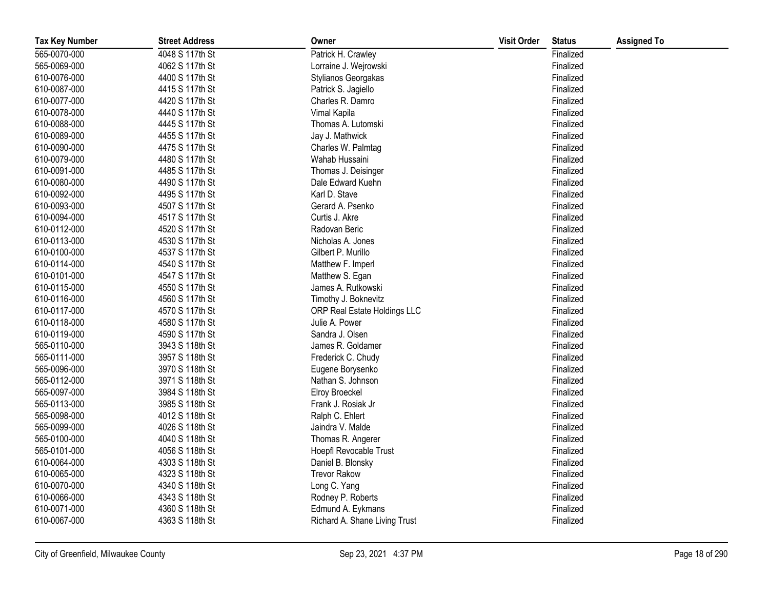| <b>Tax Key Number</b> | <b>Street Address</b> | Owner                         | <b>Visit Order</b> | <b>Status</b> | <b>Assigned To</b> |
|-----------------------|-----------------------|-------------------------------|--------------------|---------------|--------------------|
| 565-0070-000          | 4048 S 117th St       | Patrick H. Crawley            |                    | Finalized     |                    |
| 565-0069-000          | 4062 S 117th St       | Lorraine J. Wejrowski         |                    | Finalized     |                    |
| 610-0076-000          | 4400 S 117th St       | Stylianos Georgakas           |                    | Finalized     |                    |
| 610-0087-000          | 4415 S 117th St       | Patrick S. Jagiello           |                    | Finalized     |                    |
| 610-0077-000          | 4420 S 117th St       | Charles R. Damro              |                    | Finalized     |                    |
| 610-0078-000          | 4440 S 117th St       | Vimal Kapila                  |                    | Finalized     |                    |
| 610-0088-000          | 4445 S 117th St       | Thomas A. Lutomski            |                    | Finalized     |                    |
| 610-0089-000          | 4455 S 117th St       | Jay J. Mathwick               |                    | Finalized     |                    |
| 610-0090-000          | 4475 S 117th St       | Charles W. Palmtag            |                    | Finalized     |                    |
| 610-0079-000          | 4480 S 117th St       | Wahab Hussaini                |                    | Finalized     |                    |
| 610-0091-000          | 4485 S 117th St       | Thomas J. Deisinger           |                    | Finalized     |                    |
| 610-0080-000          | 4490 S 117th St       | Dale Edward Kuehn             |                    | Finalized     |                    |
| 610-0092-000          | 4495 S 117th St       | Karl D. Stave                 |                    | Finalized     |                    |
| 610-0093-000          | 4507 S 117th St       | Gerard A. Psenko              |                    | Finalized     |                    |
| 610-0094-000          | 4517 S 117th St       | Curtis J. Akre                |                    | Finalized     |                    |
| 610-0112-000          | 4520 S 117th St       | Radovan Beric                 |                    | Finalized     |                    |
| 610-0113-000          | 4530 S 117th St       | Nicholas A. Jones             |                    | Finalized     |                    |
| 610-0100-000          | 4537 S 117th St       | Gilbert P. Murillo            |                    | Finalized     |                    |
| 610-0114-000          | 4540 S 117th St       | Matthew F. Imperl             |                    | Finalized     |                    |
| 610-0101-000          | 4547 S 117th St       | Matthew S. Egan               |                    | Finalized     |                    |
| 610-0115-000          | 4550 S 117th St       | James A. Rutkowski            |                    | Finalized     |                    |
| 610-0116-000          | 4560 S 117th St       | Timothy J. Boknevitz          |                    | Finalized     |                    |
| 610-0117-000          | 4570 S 117th St       | ORP Real Estate Holdings LLC  |                    | Finalized     |                    |
| 610-0118-000          | 4580 S 117th St       | Julie A. Power                |                    | Finalized     |                    |
| 610-0119-000          | 4590 S 117th St       | Sandra J. Olsen               |                    | Finalized     |                    |
| 565-0110-000          | 3943 S 118th St       | James R. Goldamer             |                    | Finalized     |                    |
| 565-0111-000          | 3957 S 118th St       | Frederick C. Chudy            |                    | Finalized     |                    |
| 565-0096-000          | 3970 S 118th St       | Eugene Borysenko              |                    | Finalized     |                    |
| 565-0112-000          | 3971 S 118th St       | Nathan S. Johnson             |                    | Finalized     |                    |
| 565-0097-000          | 3984 S 118th St       | <b>Elroy Broeckel</b>         |                    | Finalized     |                    |
| 565-0113-000          | 3985 S 118th St       | Frank J. Rosiak Jr            |                    | Finalized     |                    |
| 565-0098-000          | 4012 S 118th St       | Ralph C. Ehlert               |                    | Finalized     |                    |
| 565-0099-000          | 4026 S 118th St       | Jaindra V. Malde              |                    | Finalized     |                    |
| 565-0100-000          | 4040 S 118th St       | Thomas R. Angerer             |                    | Finalized     |                    |
| 565-0101-000          | 4056 S 118th St       | Hoepfl Revocable Trust        |                    | Finalized     |                    |
| 610-0064-000          | 4303 S 118th St       | Daniel B. Blonsky             |                    | Finalized     |                    |
| 610-0065-000          | 4323 S 118th St       | <b>Trevor Rakow</b>           |                    | Finalized     |                    |
| 610-0070-000          | 4340 S 118th St       | Long C. Yang                  |                    | Finalized     |                    |
| 610-0066-000          | 4343 S 118th St       | Rodney P. Roberts             |                    | Finalized     |                    |
| 610-0071-000          | 4360 S 118th St       | Edmund A. Eykmans             |                    | Finalized     |                    |
| 610-0067-000          | 4363 S 118th St       | Richard A. Shane Living Trust |                    | Finalized     |                    |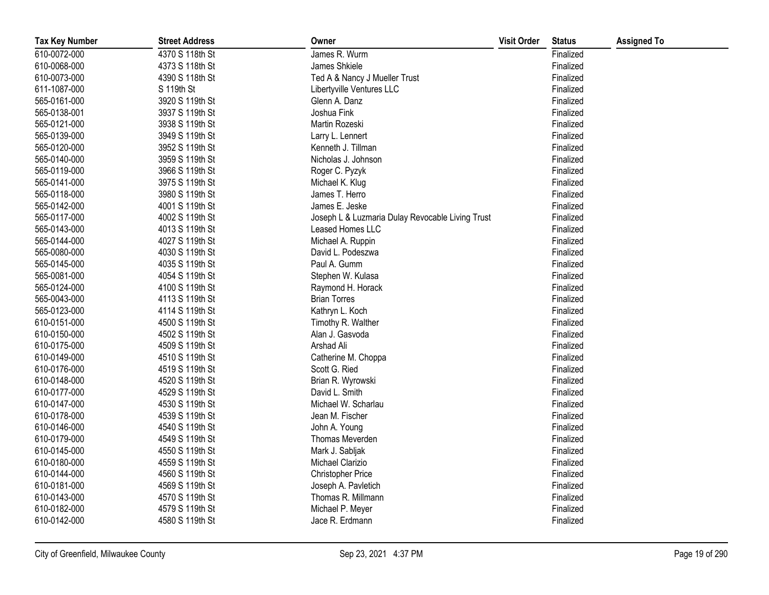| <b>Tax Key Number</b> | <b>Street Address</b> | Owner                                            | <b>Visit Order</b> | <b>Status</b> | <b>Assigned To</b> |
|-----------------------|-----------------------|--------------------------------------------------|--------------------|---------------|--------------------|
| 610-0072-000          | 4370 S 118th St       | James R. Wurm                                    |                    | Finalized     |                    |
| 610-0068-000          | 4373 S 118th St       | James Shkiele                                    |                    | Finalized     |                    |
| 610-0073-000          | 4390 S 118th St       | Ted A & Nancy J Mueller Trust                    |                    | Finalized     |                    |
| 611-1087-000          | S 119th St            | Libertyville Ventures LLC                        |                    | Finalized     |                    |
| 565-0161-000          | 3920 S 119th St       | Glenn A. Danz                                    |                    | Finalized     |                    |
| 565-0138-001          | 3937 S 119th St       | Joshua Fink                                      |                    | Finalized     |                    |
| 565-0121-000          | 3938 S 119th St       | Martin Rozeski                                   |                    | Finalized     |                    |
| 565-0139-000          | 3949 S 119th St       | Larry L. Lennert                                 |                    | Finalized     |                    |
| 565-0120-000          | 3952 S 119th St       | Kenneth J. Tillman                               |                    | Finalized     |                    |
| 565-0140-000          | 3959 S 119th St       | Nicholas J. Johnson                              |                    | Finalized     |                    |
| 565-0119-000          | 3966 S 119th St       | Roger C. Pyzyk                                   |                    | Finalized     |                    |
| 565-0141-000          | 3975 S 119th St       | Michael K. Klug                                  |                    | Finalized     |                    |
| 565-0118-000          | 3980 S 119th St       | James T. Herro                                   |                    | Finalized     |                    |
| 565-0142-000          | 4001 S 119th St       | James E. Jeske                                   |                    | Finalized     |                    |
| 565-0117-000          | 4002 S 119th St       | Joseph L & Luzmaria Dulay Revocable Living Trust |                    | Finalized     |                    |
| 565-0143-000          | 4013 S 119th St       | Leased Homes LLC                                 |                    | Finalized     |                    |
| 565-0144-000          | 4027 S 119th St       | Michael A. Ruppin                                |                    | Finalized     |                    |
| 565-0080-000          | 4030 S 119th St       | David L. Podeszwa                                |                    | Finalized     |                    |
| 565-0145-000          | 4035 S 119th St       | Paul A. Gumm                                     |                    | Finalized     |                    |
| 565-0081-000          | 4054 S 119th St       | Stephen W. Kulasa                                |                    | Finalized     |                    |
| 565-0124-000          | 4100 S 119th St       | Raymond H. Horack                                |                    | Finalized     |                    |
| 565-0043-000          | 4113 S 119th St       | <b>Brian Torres</b>                              |                    | Finalized     |                    |
| 565-0123-000          | 4114 S 119th St       | Kathryn L. Koch                                  |                    | Finalized     |                    |
| 610-0151-000          | 4500 S 119th St       | Timothy R. Walther                               |                    | Finalized     |                    |
| 610-0150-000          | 4502 S 119th St       | Alan J. Gasvoda                                  |                    | Finalized     |                    |
| 610-0175-000          | 4509 S 119th St       | Arshad Ali                                       |                    | Finalized     |                    |
| 610-0149-000          | 4510 S 119th St       | Catherine M. Choppa                              |                    | Finalized     |                    |
| 610-0176-000          | 4519 S 119th St       | Scott G. Ried                                    |                    | Finalized     |                    |
| 610-0148-000          | 4520 S 119th St       | Brian R. Wyrowski                                |                    | Finalized     |                    |
| 610-0177-000          | 4529 S 119th St       | David L. Smith                                   |                    | Finalized     |                    |
| 610-0147-000          | 4530 S 119th St       | Michael W. Scharlau                              |                    | Finalized     |                    |
| 610-0178-000          | 4539 S 119th St       | Jean M. Fischer                                  |                    | Finalized     |                    |
| 610-0146-000          | 4540 S 119th St       | John A. Young                                    |                    | Finalized     |                    |
| 610-0179-000          | 4549 S 119th St       | Thomas Meverden                                  |                    | Finalized     |                    |
| 610-0145-000          | 4550 S 119th St       | Mark J. Sabljak                                  |                    | Finalized     |                    |
| 610-0180-000          | 4559 S 119th St       | Michael Clarizio                                 |                    | Finalized     |                    |
| 610-0144-000          | 4560 S 119th St       | <b>Christopher Price</b>                         |                    | Finalized     |                    |
| 610-0181-000          | 4569 S 119th St       | Joseph A. Pavletich                              |                    | Finalized     |                    |
| 610-0143-000          | 4570 S 119th St       | Thomas R. Millmann                               |                    | Finalized     |                    |
| 610-0182-000          | 4579 S 119th St       | Michael P. Meyer                                 |                    | Finalized     |                    |
| 610-0142-000          | 4580 S 119th St       | Jace R. Erdmann                                  |                    | Finalized     |                    |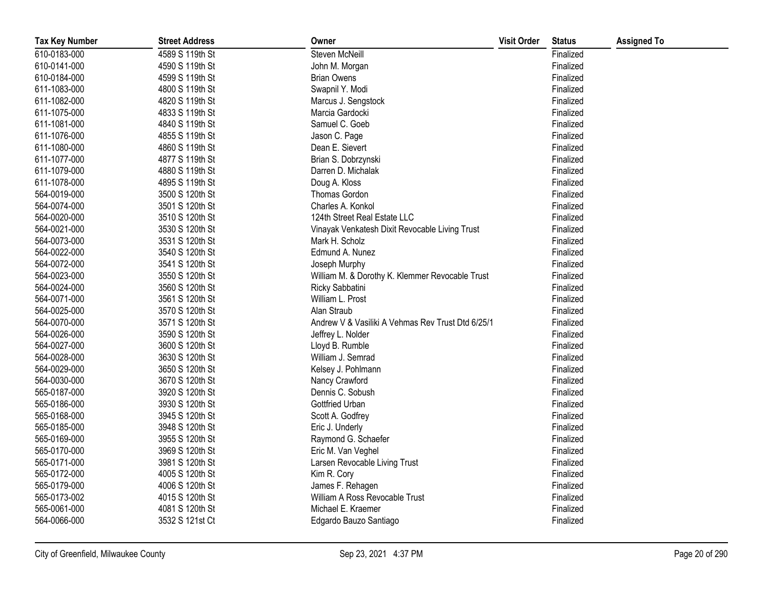| <b>Tax Key Number</b> | <b>Street Address</b> | Owner                                             | <b>Visit Order</b> | <b>Status</b> | <b>Assigned To</b> |
|-----------------------|-----------------------|---------------------------------------------------|--------------------|---------------|--------------------|
| 610-0183-000          | 4589 S 119th St       | Steven McNeill                                    |                    | Finalized     |                    |
| 610-0141-000          | 4590 S 119th St       | John M. Morgan                                    |                    | Finalized     |                    |
| 610-0184-000          | 4599 S 119th St       | <b>Brian Owens</b>                                |                    | Finalized     |                    |
| 611-1083-000          | 4800 S 119th St       | Swapnil Y. Modi                                   |                    | Finalized     |                    |
| 611-1082-000          | 4820 S 119th St       | Marcus J. Sengstock                               |                    | Finalized     |                    |
| 611-1075-000          | 4833 S 119th St       | Marcia Gardocki                                   |                    | Finalized     |                    |
| 611-1081-000          | 4840 S 119th St       | Samuel C. Goeb                                    |                    | Finalized     |                    |
| 611-1076-000          | 4855 S 119th St       | Jason C. Page                                     |                    | Finalized     |                    |
| 611-1080-000          | 4860 S 119th St       | Dean E. Sievert                                   |                    | Finalized     |                    |
| 611-1077-000          | 4877 S 119th St       | Brian S. Dobrzynski                               |                    | Finalized     |                    |
| 611-1079-000          | 4880 S 119th St       | Darren D. Michalak                                |                    | Finalized     |                    |
| 611-1078-000          | 4895 S 119th St       | Doug A. Kloss                                     |                    | Finalized     |                    |
| 564-0019-000          | 3500 S 120th St       | Thomas Gordon                                     |                    | Finalized     |                    |
| 564-0074-000          | 3501 S 120th St       | Charles A. Konkol                                 |                    | Finalized     |                    |
| 564-0020-000          | 3510 S 120th St       | 124th Street Real Estate LLC                      |                    | Finalized     |                    |
| 564-0021-000          | 3530 S 120th St       | Vinayak Venkatesh Dixit Revocable Living Trust    |                    | Finalized     |                    |
| 564-0073-000          | 3531 S 120th St       | Mark H. Scholz                                    |                    | Finalized     |                    |
| 564-0022-000          | 3540 S 120th St       | Edmund A. Nunez                                   |                    | Finalized     |                    |
| 564-0072-000          | 3541 S 120th St       | Joseph Murphy                                     |                    | Finalized     |                    |
| 564-0023-000          | 3550 S 120th St       | William M. & Dorothy K. Klemmer Revocable Trust   |                    | Finalized     |                    |
| 564-0024-000          | 3560 S 120th St       | Ricky Sabbatini                                   |                    | Finalized     |                    |
| 564-0071-000          | 3561 S 120th St       | William L. Prost                                  |                    | Finalized     |                    |
| 564-0025-000          | 3570 S 120th St       | Alan Straub                                       |                    | Finalized     |                    |
| 564-0070-000          | 3571 S 120th St       | Andrew V & Vasiliki A Vehmas Rev Trust Dtd 6/25/1 |                    | Finalized     |                    |
| 564-0026-000          | 3590 S 120th St       | Jeffrey L. Nolder                                 |                    | Finalized     |                    |
| 564-0027-000          | 3600 S 120th St       | Lloyd B. Rumble                                   |                    | Finalized     |                    |
| 564-0028-000          | 3630 S 120th St       | William J. Semrad                                 |                    | Finalized     |                    |
| 564-0029-000          | 3650 S 120th St       | Kelsey J. Pohlmann                                |                    | Finalized     |                    |
| 564-0030-000          | 3670 S 120th St       | Nancy Crawford                                    |                    | Finalized     |                    |
| 565-0187-000          | 3920 S 120th St       | Dennis C. Sobush                                  |                    | Finalized     |                    |
| 565-0186-000          | 3930 S 120th St       | Gottfried Urban                                   |                    | Finalized     |                    |
| 565-0168-000          | 3945 S 120th St       | Scott A. Godfrey                                  |                    | Finalized     |                    |
| 565-0185-000          | 3948 S 120th St       | Eric J. Underly                                   |                    | Finalized     |                    |
| 565-0169-000          | 3955 S 120th St       | Raymond G. Schaefer                               |                    | Finalized     |                    |
| 565-0170-000          | 3969 S 120th St       | Eric M. Van Veghel                                |                    | Finalized     |                    |
| 565-0171-000          | 3981 S 120th St       | Larsen Revocable Living Trust                     |                    | Finalized     |                    |
| 565-0172-000          | 4005 S 120th St       | Kim R. Cory                                       |                    | Finalized     |                    |
| 565-0179-000          | 4006 S 120th St       | James F. Rehagen                                  |                    | Finalized     |                    |
| 565-0173-002          | 4015 S 120th St       | William A Ross Revocable Trust                    |                    | Finalized     |                    |
| 565-0061-000          | 4081 S 120th St       | Michael E. Kraemer                                |                    | Finalized     |                    |
| 564-0066-000          | 3532 S 121st Ct       | Edgardo Bauzo Santiago                            |                    | Finalized     |                    |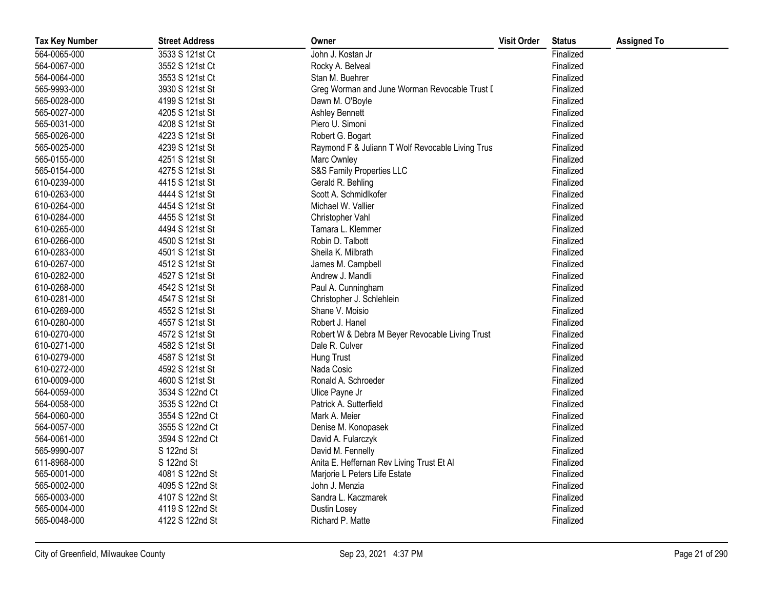| <b>Tax Key Number</b> | <b>Street Address</b> | Owner                                             | <b>Visit Order</b> | <b>Status</b> | <b>Assigned To</b> |
|-----------------------|-----------------------|---------------------------------------------------|--------------------|---------------|--------------------|
| 564-0065-000          | 3533 S 121st Ct       | John J. Kostan Jr                                 |                    | Finalized     |                    |
| 564-0067-000          | 3552 S 121st Ct       | Rocky A. Belveal                                  |                    | Finalized     |                    |
| 564-0064-000          | 3553 S 121st Ct       | Stan M. Buehrer                                   |                    | Finalized     |                    |
| 565-9993-000          | 3930 S 121st St       | Greg Worman and June Worman Revocable Trust D     |                    | Finalized     |                    |
| 565-0028-000          | 4199 S 121st St       | Dawn M. O'Boyle                                   |                    | Finalized     |                    |
| 565-0027-000          | 4205 S 121st St       | Ashley Bennett                                    |                    | Finalized     |                    |
| 565-0031-000          | 4208 S 121st St       | Piero U. Simoni                                   |                    | Finalized     |                    |
| 565-0026-000          | 4223 S 121st St       | Robert G. Bogart                                  |                    | Finalized     |                    |
| 565-0025-000          | 4239 S 121st St       | Raymond F & Juliann T Wolf Revocable Living Trust |                    | Finalized     |                    |
| 565-0155-000          | 4251 S 121st St       | Marc Ownley                                       |                    | Finalized     |                    |
| 565-0154-000          | 4275 S 121st St       | S&S Family Properties LLC                         |                    | Finalized     |                    |
| 610-0239-000          | 4415 S 121st St       | Gerald R. Behling                                 |                    | Finalized     |                    |
| 610-0263-000          | 4444 S 121st St       | Scott A. Schmidlkofer                             |                    | Finalized     |                    |
| 610-0264-000          | 4454 S 121st St       | Michael W. Vallier                                |                    | Finalized     |                    |
| 610-0284-000          | 4455 S 121st St       | Christopher Vahl                                  |                    | Finalized     |                    |
| 610-0265-000          | 4494 S 121st St       | Tamara L. Klemmer                                 |                    | Finalized     |                    |
| 610-0266-000          | 4500 S 121st St       | Robin D. Talbott                                  |                    | Finalized     |                    |
| 610-0283-000          | 4501 S 121st St       | Sheila K. Milbrath                                |                    | Finalized     |                    |
| 610-0267-000          | 4512 S 121st St       | James M. Campbell                                 |                    | Finalized     |                    |
| 610-0282-000          | 4527 S 121st St       | Andrew J. Mandli                                  |                    | Finalized     |                    |
| 610-0268-000          | 4542 S 121st St       | Paul A. Cunningham                                |                    | Finalized     |                    |
| 610-0281-000          | 4547 S 121st St       | Christopher J. Schlehlein                         |                    | Finalized     |                    |
| 610-0269-000          | 4552 S 121st St       | Shane V. Moisio                                   |                    | Finalized     |                    |
| 610-0280-000          | 4557 S 121st St       | Robert J. Hanel                                   |                    | Finalized     |                    |
| 610-0270-000          | 4572 S 121st St       | Robert W & Debra M Beyer Revocable Living Trust   |                    | Finalized     |                    |
| 610-0271-000          | 4582 S 121st St       | Dale R. Culver                                    |                    | Finalized     |                    |
| 610-0279-000          | 4587 S 121st St       | Hung Trust                                        |                    | Finalized     |                    |
| 610-0272-000          | 4592 S 121st St       | Nada Cosic                                        |                    | Finalized     |                    |
| 610-0009-000          | 4600 S 121st St       | Ronald A. Schroeder                               |                    | Finalized     |                    |
| 564-0059-000          | 3534 S 122nd Ct       | Ulice Payne Jr                                    |                    | Finalized     |                    |
| 564-0058-000          | 3535 S 122nd Ct       | Patrick A. Sutterfield                            |                    | Finalized     |                    |
| 564-0060-000          | 3554 S 122nd Ct       | Mark A. Meier                                     |                    | Finalized     |                    |
| 564-0057-000          | 3555 S 122nd Ct       | Denise M. Konopasek                               |                    | Finalized     |                    |
| 564-0061-000          | 3594 S 122nd Ct       | David A. Fularczyk                                |                    | Finalized     |                    |
| 565-9990-007          | S 122nd St            | David M. Fennelly                                 |                    | Finalized     |                    |
| 611-8968-000          | S 122nd St            | Anita E. Heffernan Rev Living Trust Et Al         |                    | Finalized     |                    |
| 565-0001-000          | 4081 S 122nd St       | Marjorie L Peters Life Estate                     |                    | Finalized     |                    |
| 565-0002-000          | 4095 S 122nd St       | John J. Menzia                                    |                    | Finalized     |                    |
| 565-0003-000          | 4107 S 122nd St       | Sandra L. Kaczmarek                               |                    | Finalized     |                    |
| 565-0004-000          | 4119 S 122nd St       | Dustin Losey                                      |                    | Finalized     |                    |
| 565-0048-000          | 4122 S 122nd St       | Richard P. Matte                                  |                    | Finalized     |                    |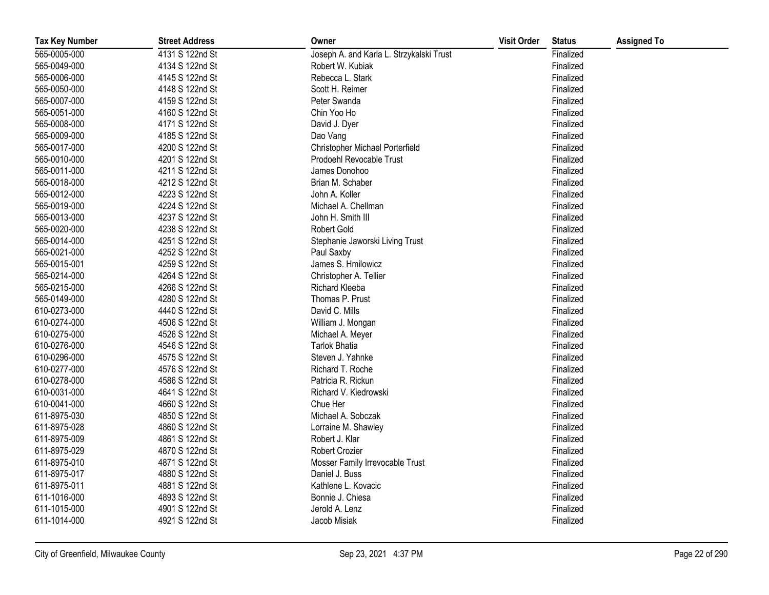| <b>Tax Key Number</b> | <b>Street Address</b> | Owner                                    | <b>Visit Order</b> | <b>Status</b> | <b>Assigned To</b> |
|-----------------------|-----------------------|------------------------------------------|--------------------|---------------|--------------------|
| 565-0005-000          | 4131 S 122nd St       | Joseph A. and Karla L. Strzykalski Trust |                    | Finalized     |                    |
| 565-0049-000          | 4134 S 122nd St       | Robert W. Kubiak                         |                    | Finalized     |                    |
| 565-0006-000          | 4145 S 122nd St       | Rebecca L. Stark                         |                    | Finalized     |                    |
| 565-0050-000          | 4148 S 122nd St       | Scott H. Reimer                          |                    | Finalized     |                    |
| 565-0007-000          | 4159 S 122nd St       | Peter Swanda                             |                    | Finalized     |                    |
| 565-0051-000          | 4160 S 122nd St       | Chin Yoo Ho                              |                    | Finalized     |                    |
| 565-0008-000          | 4171 S 122nd St       | David J. Dyer                            |                    | Finalized     |                    |
| 565-0009-000          | 4185 S 122nd St       | Dao Vang                                 |                    | Finalized     |                    |
| 565-0017-000          | 4200 S 122nd St       | Christopher Michael Porterfield          |                    | Finalized     |                    |
| 565-0010-000          | 4201 S 122nd St       | Prodoehl Revocable Trust                 |                    | Finalized     |                    |
| 565-0011-000          | 4211 S 122nd St       | James Donohoo                            |                    | Finalized     |                    |
| 565-0018-000          | 4212 S 122nd St       | Brian M. Schaber                         |                    | Finalized     |                    |
| 565-0012-000          | 4223 S 122nd St       | John A. Koller                           |                    | Finalized     |                    |
| 565-0019-000          | 4224 S 122nd St       | Michael A. Chellman                      |                    | Finalized     |                    |
| 565-0013-000          | 4237 S 122nd St       | John H. Smith III                        |                    | Finalized     |                    |
| 565-0020-000          | 4238 S 122nd St       | <b>Robert Gold</b>                       |                    | Finalized     |                    |
| 565-0014-000          | 4251 S 122nd St       | Stephanie Jaworski Living Trust          |                    | Finalized     |                    |
| 565-0021-000          | 4252 S 122nd St       | Paul Saxby                               |                    | Finalized     |                    |
| 565-0015-001          | 4259 S 122nd St       | James S. Hmilowicz                       |                    | Finalized     |                    |
| 565-0214-000          | 4264 S 122nd St       | Christopher A. Tellier                   |                    | Finalized     |                    |
| 565-0215-000          | 4266 S 122nd St       | Richard Kleeba                           |                    | Finalized     |                    |
| 565-0149-000          | 4280 S 122nd St       | Thomas P. Prust                          |                    | Finalized     |                    |
| 610-0273-000          | 4440 S 122nd St       | David C. Mills                           |                    | Finalized     |                    |
| 610-0274-000          | 4506 S 122nd St       | William J. Mongan                        |                    | Finalized     |                    |
| 610-0275-000          | 4526 S 122nd St       | Michael A. Meyer                         |                    | Finalized     |                    |
| 610-0276-000          | 4546 S 122nd St       | <b>Tarlok Bhatia</b>                     |                    | Finalized     |                    |
| 610-0296-000          | 4575 S 122nd St       | Steven J. Yahnke                         |                    | Finalized     |                    |
| 610-0277-000          | 4576 S 122nd St       | Richard T. Roche                         |                    | Finalized     |                    |
| 610-0278-000          | 4586 S 122nd St       | Patricia R. Rickun                       |                    | Finalized     |                    |
| 610-0031-000          | 4641 S 122nd St       | Richard V. Kiedrowski                    |                    | Finalized     |                    |
| 610-0041-000          | 4660 S 122nd St       | Chue Her                                 |                    | Finalized     |                    |
| 611-8975-030          | 4850 S 122nd St       | Michael A. Sobczak                       |                    | Finalized     |                    |
| 611-8975-028          | 4860 S 122nd St       | Lorraine M. Shawley                      |                    | Finalized     |                    |
| 611-8975-009          | 4861 S 122nd St       | Robert J. Klar                           |                    | Finalized     |                    |
| 611-8975-029          | 4870 S 122nd St       | <b>Robert Crozier</b>                    |                    | Finalized     |                    |
| 611-8975-010          | 4871 S 122nd St       | Mosser Family Irrevocable Trust          |                    | Finalized     |                    |
| 611-8975-017          | 4880 S 122nd St       | Daniel J. Buss                           |                    | Finalized     |                    |
| 611-8975-011          | 4881 S 122nd St       | Kathlene L. Kovacic                      |                    | Finalized     |                    |
| 611-1016-000          | 4893 S 122nd St       | Bonnie J. Chiesa                         |                    | Finalized     |                    |
| 611-1015-000          | 4901 S 122nd St       | Jerold A. Lenz                           |                    | Finalized     |                    |
| 611-1014-000          | 4921 S 122nd St       | Jacob Misiak                             |                    | Finalized     |                    |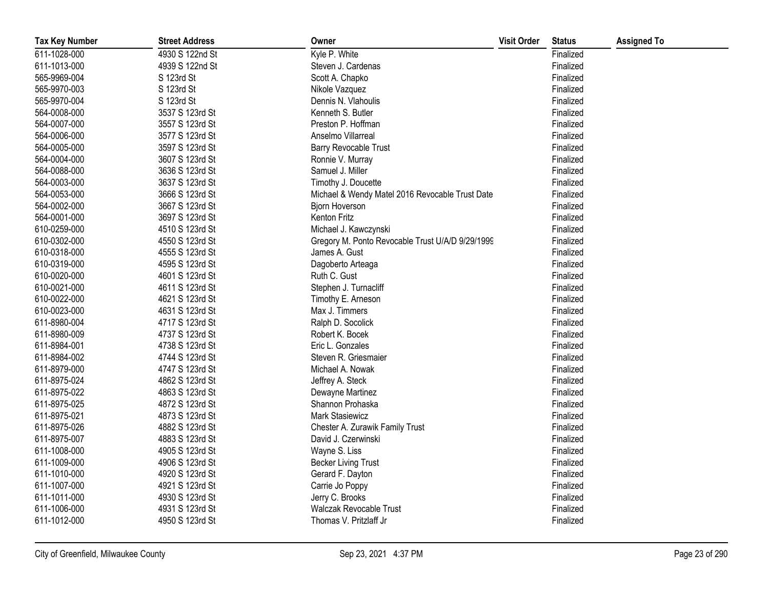| <b>Tax Key Number</b> | <b>Street Address</b> | Owner                                            | <b>Visit Order</b> | <b>Status</b> | <b>Assigned To</b> |
|-----------------------|-----------------------|--------------------------------------------------|--------------------|---------------|--------------------|
| 611-1028-000          | 4930 S 122nd St       | Kyle P. White                                    |                    | Finalized     |                    |
| 611-1013-000          | 4939 S 122nd St       | Steven J. Cardenas                               |                    | Finalized     |                    |
| 565-9969-004          | S 123rd St            | Scott A. Chapko                                  |                    | Finalized     |                    |
| 565-9970-003          | S 123rd St            | Nikole Vazquez                                   |                    | Finalized     |                    |
| 565-9970-004          | S 123rd St            | Dennis N. Vlahoulis                              |                    | Finalized     |                    |
| 564-0008-000          | 3537 S 123rd St       | Kenneth S. Butler                                |                    | Finalized     |                    |
| 564-0007-000          | 3557 S 123rd St       | Preston P. Hoffman                               |                    | Finalized     |                    |
| 564-0006-000          | 3577 S 123rd St       | Anselmo Villarreal                               |                    | Finalized     |                    |
| 564-0005-000          | 3597 S 123rd St       | Barry Revocable Trust                            |                    | Finalized     |                    |
| 564-0004-000          | 3607 S 123rd St       | Ronnie V. Murray                                 |                    | Finalized     |                    |
| 564-0088-000          | 3636 S 123rd St       | Samuel J. Miller                                 |                    | Finalized     |                    |
| 564-0003-000          | 3637 S 123rd St       | Timothy J. Doucette                              |                    | Finalized     |                    |
| 564-0053-000          | 3666 S 123rd St       | Michael & Wendy Matel 2016 Revocable Trust Date  |                    | Finalized     |                    |
| 564-0002-000          | 3667 S 123rd St       | Bjorn Hoverson                                   |                    | Finalized     |                    |
| 564-0001-000          | 3697 S 123rd St       | Kenton Fritz                                     |                    | Finalized     |                    |
| 610-0259-000          | 4510 S 123rd St       | Michael J. Kawczynski                            |                    | Finalized     |                    |
| 610-0302-000          | 4550 S 123rd St       | Gregory M. Ponto Revocable Trust U/A/D 9/29/1999 |                    | Finalized     |                    |
| 610-0318-000          | 4555 S 123rd St       | James A. Gust                                    |                    | Finalized     |                    |
| 610-0319-000          | 4595 S 123rd St       | Dagoberto Arteaga                                |                    | Finalized     |                    |
| 610-0020-000          | 4601 S 123rd St       | Ruth C. Gust                                     |                    | Finalized     |                    |
| 610-0021-000          | 4611 S 123rd St       | Stephen J. Turnacliff                            |                    | Finalized     |                    |
| 610-0022-000          | 4621 S 123rd St       | Timothy E. Arneson                               |                    | Finalized     |                    |
| 610-0023-000          | 4631 S 123rd St       | Max J. Timmers                                   |                    | Finalized     |                    |
| 611-8980-004          | 4717 S 123rd St       | Ralph D. Socolick                                |                    | Finalized     |                    |
| 611-8980-009          | 4737 S 123rd St       | Robert K. Bocek                                  |                    | Finalized     |                    |
| 611-8984-001          | 4738 S 123rd St       | Eric L. Gonzales                                 |                    | Finalized     |                    |
| 611-8984-002          | 4744 S 123rd St       | Steven R. Griesmaier                             |                    | Finalized     |                    |
| 611-8979-000          | 4747 S 123rd St       | Michael A. Nowak                                 |                    | Finalized     |                    |
| 611-8975-024          | 4862 S 123rd St       | Jeffrey A. Steck                                 |                    | Finalized     |                    |
| 611-8975-022          | 4863 S 123rd St       | Dewayne Martinez                                 |                    | Finalized     |                    |
| 611-8975-025          | 4872 S 123rd St       | Shannon Prohaska                                 |                    | Finalized     |                    |
| 611-8975-021          | 4873 S 123rd St       | Mark Stasiewicz                                  |                    | Finalized     |                    |
| 611-8975-026          | 4882 S 123rd St       | Chester A. Zurawik Family Trust                  |                    | Finalized     |                    |
| 611-8975-007          | 4883 S 123rd St       | David J. Czerwinski                              |                    | Finalized     |                    |
| 611-1008-000          | 4905 S 123rd St       | Wayne S. Liss                                    |                    | Finalized     |                    |
| 611-1009-000          | 4906 S 123rd St       | <b>Becker Living Trust</b>                       |                    | Finalized     |                    |
| 611-1010-000          | 4920 S 123rd St       | Gerard F. Dayton                                 |                    | Finalized     |                    |
| 611-1007-000          | 4921 S 123rd St       | Carrie Jo Poppy                                  |                    | Finalized     |                    |
| 611-1011-000          | 4930 S 123rd St       | Jerry C. Brooks                                  |                    | Finalized     |                    |
| 611-1006-000          | 4931 S 123rd St       | Walczak Revocable Trust                          |                    | Finalized     |                    |
| 611-1012-000          | 4950 S 123rd St       | Thomas V. Pritzlaff Jr                           |                    | Finalized     |                    |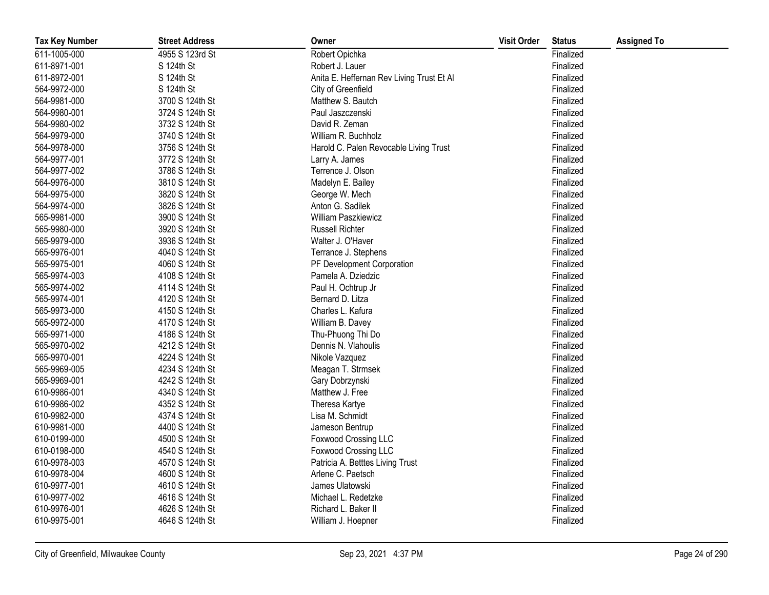| <b>Tax Key Number</b> | <b>Street Address</b> | Owner                                     | <b>Visit Order</b> | <b>Status</b> | <b>Assigned To</b> |
|-----------------------|-----------------------|-------------------------------------------|--------------------|---------------|--------------------|
| 611-1005-000          | 4955 S 123rd St       | Robert Opichka                            |                    | Finalized     |                    |
| 611-8971-001          | S 124th St            | Robert J. Lauer                           |                    | Finalized     |                    |
| 611-8972-001          | S 124th St            | Anita E. Heffernan Rev Living Trust Et Al |                    | Finalized     |                    |
| 564-9972-000          | S 124th St            | City of Greenfield                        |                    | Finalized     |                    |
| 564-9981-000          | 3700 S 124th St       | Matthew S. Bautch                         |                    | Finalized     |                    |
| 564-9980-001          | 3724 S 124th St       | Paul Jaszczenski                          |                    | Finalized     |                    |
| 564-9980-002          | 3732 S 124th St       | David R. Zeman                            |                    | Finalized     |                    |
| 564-9979-000          | 3740 S 124th St       | William R. Buchholz                       |                    | Finalized     |                    |
| 564-9978-000          | 3756 S 124th St       | Harold C. Palen Revocable Living Trust    |                    | Finalized     |                    |
| 564-9977-001          | 3772 S 124th St       | Larry A. James                            |                    | Finalized     |                    |
| 564-9977-002          | 3786 S 124th St       | Terrence J. Olson                         |                    | Finalized     |                    |
| 564-9976-000          | 3810 S 124th St       | Madelyn E. Bailey                         |                    | Finalized     |                    |
| 564-9975-000          | 3820 S 124th St       | George W. Mech                            |                    | Finalized     |                    |
| 564-9974-000          | 3826 S 124th St       | Anton G. Sadilek                          |                    | Finalized     |                    |
| 565-9981-000          | 3900 S 124th St       | William Paszkiewicz                       |                    | Finalized     |                    |
| 565-9980-000          | 3920 S 124th St       | <b>Russell Richter</b>                    |                    | Finalized     |                    |
| 565-9979-000          | 3936 S 124th St       | Walter J. O'Haver                         |                    | Finalized     |                    |
| 565-9976-001          | 4040 S 124th St       | Terrance J. Stephens                      |                    | Finalized     |                    |
| 565-9975-001          | 4060 S 124th St       | PF Development Corporation                |                    | Finalized     |                    |
| 565-9974-003          | 4108 S 124th St       | Pamela A. Dziedzic                        |                    | Finalized     |                    |
| 565-9974-002          | 4114 S 124th St       | Paul H. Ochtrup Jr                        |                    | Finalized     |                    |
| 565-9974-001          | 4120 S 124th St       | Bernard D. Litza                          |                    | Finalized     |                    |
| 565-9973-000          | 4150 S 124th St       | Charles L. Kafura                         |                    | Finalized     |                    |
| 565-9972-000          | 4170 S 124th St       | William B. Davey                          |                    | Finalized     |                    |
| 565-9971-000          | 4186 S 124th St       | Thu-Phuong Thi Do                         |                    | Finalized     |                    |
| 565-9970-002          | 4212 S 124th St       | Dennis N. Vlahoulis                       |                    | Finalized     |                    |
| 565-9970-001          | 4224 S 124th St       | Nikole Vazquez                            |                    | Finalized     |                    |
| 565-9969-005          | 4234 S 124th St       | Meagan T. Strmsek                         |                    | Finalized     |                    |
| 565-9969-001          | 4242 S 124th St       | Gary Dobrzynski                           |                    | Finalized     |                    |
| 610-9986-001          | 4340 S 124th St       | Matthew J. Free                           |                    | Finalized     |                    |
| 610-9986-002          | 4352 S 124th St       | Theresa Kartye                            |                    | Finalized     |                    |
| 610-9982-000          | 4374 S 124th St       | Lisa M. Schmidt                           |                    | Finalized     |                    |
| 610-9981-000          | 4400 S 124th St       | Jameson Bentrup                           |                    | Finalized     |                    |
| 610-0199-000          | 4500 S 124th St       | <b>Foxwood Crossing LLC</b>               |                    | Finalized     |                    |
| 610-0198-000          | 4540 S 124th St       | <b>Foxwood Crossing LLC</b>               |                    | Finalized     |                    |
| 610-9978-003          | 4570 S 124th St       | Patricia A. Betttes Living Trust          |                    | Finalized     |                    |
| 610-9978-004          | 4600 S 124th St       | Arlene C. Paetsch                         |                    | Finalized     |                    |
| 610-9977-001          | 4610 S 124th St       | James Ulatowski                           |                    | Finalized     |                    |
| 610-9977-002          | 4616 S 124th St       | Michael L. Redetzke                       |                    | Finalized     |                    |
| 610-9976-001          | 4626 S 124th St       | Richard L. Baker II                       |                    | Finalized     |                    |
| 610-9975-001          | 4646 S 124th St       | William J. Hoepner                        |                    | Finalized     |                    |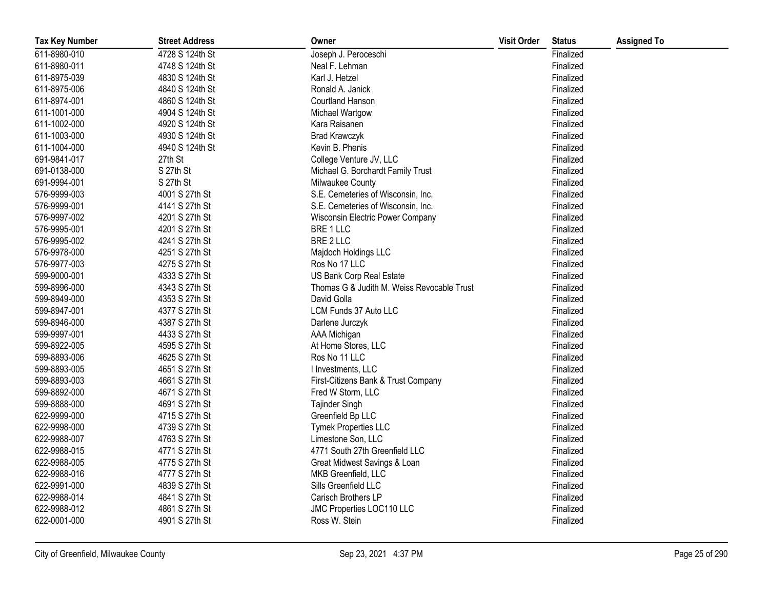| <b>Tax Key Number</b> | <b>Street Address</b> | Owner                                      | <b>Visit Order</b> | <b>Status</b> | <b>Assigned To</b> |
|-----------------------|-----------------------|--------------------------------------------|--------------------|---------------|--------------------|
| 611-8980-010          | 4728 S 124th St       | Joseph J. Peroceschi                       |                    | Finalized     |                    |
| 611-8980-011          | 4748 S 124th St       | Neal F. Lehman                             |                    | Finalized     |                    |
| 611-8975-039          | 4830 S 124th St       | Karl J. Hetzel                             |                    | Finalized     |                    |
| 611-8975-006          | 4840 S 124th St       | Ronald A. Janick                           |                    | Finalized     |                    |
| 611-8974-001          | 4860 S 124th St       | <b>Courtland Hanson</b>                    |                    | Finalized     |                    |
| 611-1001-000          | 4904 S 124th St       | Michael Wartgow                            |                    | Finalized     |                    |
| 611-1002-000          | 4920 S 124th St       | Kara Raisanen                              |                    | Finalized     |                    |
| 611-1003-000          | 4930 S 124th St       | <b>Brad Krawczyk</b>                       |                    | Finalized     |                    |
| 611-1004-000          | 4940 S 124th St       | Kevin B. Phenis                            |                    | Finalized     |                    |
| 691-9841-017          | 27th St               | College Venture JV, LLC                    |                    | Finalized     |                    |
| 691-0138-000          | S 27th St             | Michael G. Borchardt Family Trust          |                    | Finalized     |                    |
| 691-9994-001          | S 27th St             | Milwaukee County                           |                    | Finalized     |                    |
| 576-9999-003          | 4001 S 27th St        | S.E. Cemeteries of Wisconsin, Inc.         |                    | Finalized     |                    |
| 576-9999-001          | 4141 S 27th St        | S.E. Cemeteries of Wisconsin, Inc.         |                    | Finalized     |                    |
| 576-9997-002          | 4201 S 27th St        | Wisconsin Electric Power Company           |                    | Finalized     |                    |
| 576-9995-001          | 4201 S 27th St        | BRE 1 LLC                                  |                    | Finalized     |                    |
| 576-9995-002          | 4241 S 27th St        | BRE 2 LLC                                  |                    | Finalized     |                    |
| 576-9978-000          | 4251 S 27th St        | Majdoch Holdings LLC                       |                    | Finalized     |                    |
| 576-9977-003          | 4275 S 27th St        | Ros No 17 LLC                              |                    | Finalized     |                    |
| 599-9000-001          | 4333 S 27th St        | US Bank Corp Real Estate                   |                    | Finalized     |                    |
| 599-8996-000          | 4343 S 27th St        | Thomas G & Judith M. Weiss Revocable Trust |                    | Finalized     |                    |
| 599-8949-000          | 4353 S 27th St        | David Golla                                |                    | Finalized     |                    |
| 599-8947-001          | 4377 S 27th St        | LCM Funds 37 Auto LLC                      |                    | Finalized     |                    |
| 599-8946-000          | 4387 S 27th St        | Darlene Jurczyk                            |                    | Finalized     |                    |
| 599-9997-001          | 4433 S 27th St        | AAA Michigan                               |                    | Finalized     |                    |
| 599-8922-005          | 4595 S 27th St        | At Home Stores, LLC                        |                    | Finalized     |                    |
| 599-8893-006          | 4625 S 27th St        | Ros No 11 LLC                              |                    | Finalized     |                    |
| 599-8893-005          | 4651 S 27th St        | I Investments, LLC                         |                    | Finalized     |                    |
| 599-8893-003          | 4661 S 27th St        | First-Citizens Bank & Trust Company        |                    | Finalized     |                    |
| 599-8892-000          | 4671 S 27th St        | Fred W Storm, LLC                          |                    | Finalized     |                    |
| 599-8888-000          | 4691 S 27th St        | Tajinder Singh                             |                    | Finalized     |                    |
| 622-9999-000          | 4715 S 27th St        | Greenfield Bp LLC                          |                    | Finalized     |                    |
| 622-9998-000          | 4739 S 27th St        | Tymek Properties LLC                       |                    | Finalized     |                    |
| 622-9988-007          | 4763 S 27th St        | Limestone Son, LLC                         |                    | Finalized     |                    |
| 622-9988-015          | 4771 S 27th St        | 4771 South 27th Greenfield LLC             |                    | Finalized     |                    |
| 622-9988-005          | 4775 S 27th St        | Great Midwest Savings & Loan               |                    | Finalized     |                    |
| 622-9988-016          | 4777 S 27th St        | MKB Greenfield, LLC                        |                    | Finalized     |                    |
| 622-9991-000          | 4839 S 27th St        | Sills Greenfield LLC                       |                    | Finalized     |                    |
| 622-9988-014          | 4841 S 27th St        | Carisch Brothers LP                        |                    | Finalized     |                    |
| 622-9988-012          | 4861 S 27th St        | JMC Properties LOC110 LLC                  |                    | Finalized     |                    |
| 622-0001-000          | 4901 S 27th St        | Ross W. Stein                              |                    | Finalized     |                    |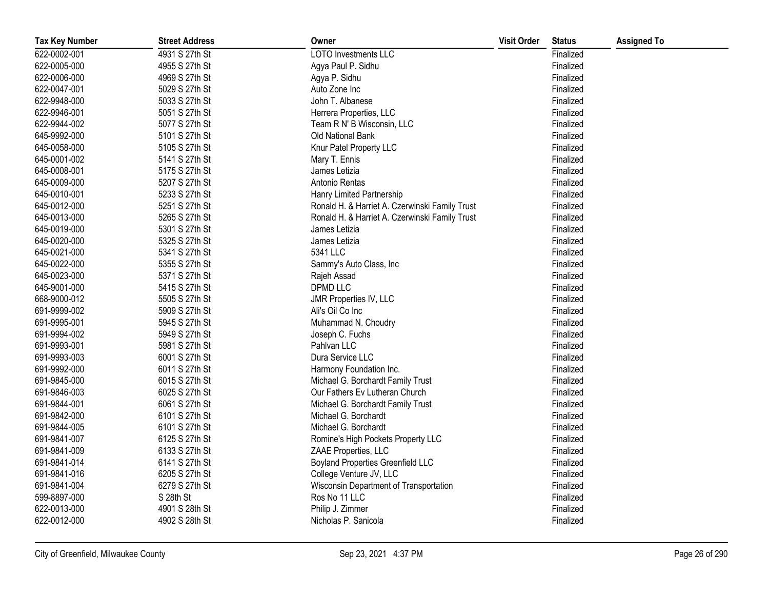| <b>Tax Key Number</b> | <b>Street Address</b> | Owner                                          | <b>Visit Order</b> | <b>Status</b> | <b>Assigned To</b> |
|-----------------------|-----------------------|------------------------------------------------|--------------------|---------------|--------------------|
| 622-0002-001          | 4931 S 27th St        | <b>LOTO Investments LLC</b>                    |                    | Finalized     |                    |
| 622-0005-000          | 4955 S 27th St        | Agya Paul P. Sidhu                             |                    | Finalized     |                    |
| 622-0006-000          | 4969 S 27th St        | Agya P. Sidhu                                  |                    | Finalized     |                    |
| 622-0047-001          | 5029 S 27th St        | Auto Zone Inc                                  |                    | Finalized     |                    |
| 622-9948-000          | 5033 S 27th St        | John T. Albanese                               |                    | Finalized     |                    |
| 622-9946-001          | 5051 S 27th St        | Herrera Properties, LLC                        |                    | Finalized     |                    |
| 622-9944-002          | 5077 S 27th St        | Team R N' B Wisconsin, LLC                     |                    | Finalized     |                    |
| 645-9992-000          | 5101 S 27th St        | <b>Old National Bank</b>                       |                    | Finalized     |                    |
| 645-0058-000          | 5105 S 27th St        | Knur Patel Property LLC                        |                    | Finalized     |                    |
| 645-0001-002          | 5141 S 27th St        | Mary T. Ennis                                  |                    | Finalized     |                    |
| 645-0008-001          | 5175 S 27th St        | James Letizia                                  |                    | Finalized     |                    |
| 645-0009-000          | 5207 S 27th St        | Antonio Rentas                                 |                    | Finalized     |                    |
| 645-0010-001          | 5233 S 27th St        | Hanry Limited Partnership                      |                    | Finalized     |                    |
| 645-0012-000          | 5251 S 27th St        | Ronald H. & Harriet A. Czerwinski Family Trust |                    | Finalized     |                    |
| 645-0013-000          | 5265 S 27th St        | Ronald H. & Harriet A. Czerwinski Family Trust |                    | Finalized     |                    |
| 645-0019-000          | 5301 S 27th St        | James Letizia                                  |                    | Finalized     |                    |
| 645-0020-000          | 5325 S 27th St        | James Letizia                                  |                    | Finalized     |                    |
| 645-0021-000          | 5341 S 27th St        | 5341 LLC                                       |                    | Finalized     |                    |
| 645-0022-000          | 5355 S 27th St        | Sammy's Auto Class, Inc                        |                    | Finalized     |                    |
| 645-0023-000          | 5371 S 27th St        | Rajeh Assad                                    |                    | Finalized     |                    |
| 645-9001-000          | 5415 S 27th St        | <b>DPMD LLC</b>                                |                    | Finalized     |                    |
| 668-9000-012          | 5505 S 27th St        | JMR Properties IV, LLC                         |                    | Finalized     |                    |
| 691-9999-002          | 5909 S 27th St        | Ali's Oil Co Inc                               |                    | Finalized     |                    |
| 691-9995-001          | 5945 S 27th St        | Muhammad N. Choudry                            |                    | Finalized     |                    |
| 691-9994-002          | 5949 S 27th St        | Joseph C. Fuchs                                |                    | Finalized     |                    |
| 691-9993-001          | 5981 S 27th St        | Pahlvan LLC                                    |                    | Finalized     |                    |
| 691-9993-003          | 6001 S 27th St        | Dura Service LLC                               |                    | Finalized     |                    |
| 691-9992-000          | 6011 S 27th St        | Harmony Foundation Inc.                        |                    | Finalized     |                    |
| 691-9845-000          | 6015 S 27th St        | Michael G. Borchardt Family Trust              |                    | Finalized     |                    |
| 691-9846-003          | 6025 S 27th St        | Our Fathers Ev Lutheran Church                 |                    | Finalized     |                    |
| 691-9844-001          | 6061 S 27th St        | Michael G. Borchardt Family Trust              |                    | Finalized     |                    |
| 691-9842-000          | 6101 S 27th St        | Michael G. Borchardt                           |                    | Finalized     |                    |
| 691-9844-005          | 6101 S 27th St        | Michael G. Borchardt                           |                    | Finalized     |                    |
| 691-9841-007          | 6125 S 27th St        | Romine's High Pockets Property LLC             |                    | Finalized     |                    |
| 691-9841-009          | 6133 S 27th St        | ZAAE Properties, LLC                           |                    | Finalized     |                    |
| 691-9841-014          | 6141 S 27th St        | <b>Boyland Properties Greenfield LLC</b>       |                    | Finalized     |                    |
| 691-9841-016          | 6205 S 27th St        | College Venture JV, LLC                        |                    | Finalized     |                    |
| 691-9841-004          | 6279 S 27th St        | Wisconsin Department of Transportation         |                    | Finalized     |                    |
| 599-8897-000          | S 28th St             | Ros No 11 LLC                                  |                    | Finalized     |                    |
| 622-0013-000          | 4901 S 28th St        | Philip J. Zimmer                               |                    | Finalized     |                    |
| 622-0012-000          | 4902 S 28th St        | Nicholas P. Sanicola                           |                    | Finalized     |                    |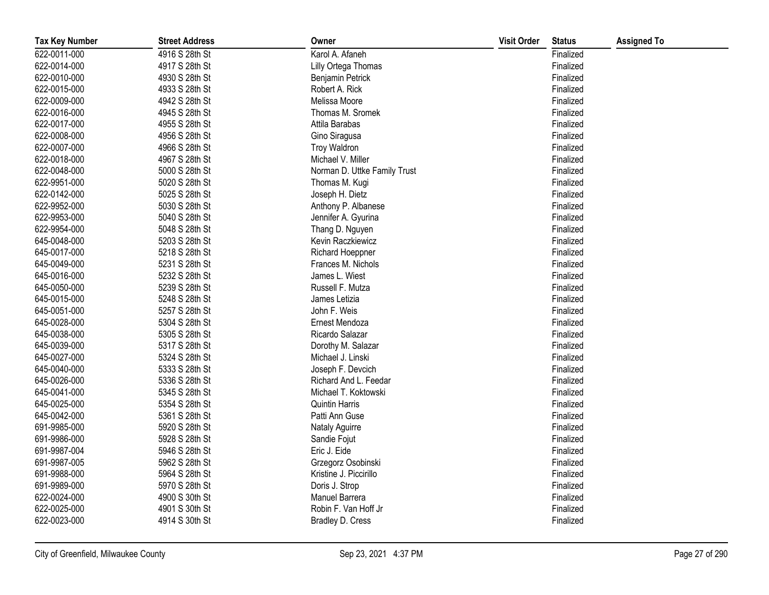| <b>Tax Key Number</b> | <b>Street Address</b> | Owner                        | <b>Visit Order</b> | <b>Status</b> | <b>Assigned To</b> |
|-----------------------|-----------------------|------------------------------|--------------------|---------------|--------------------|
| 622-0011-000          | 4916 S 28th St        | Karol A. Afaneh              |                    | Finalized     |                    |
| 622-0014-000          | 4917 S 28th St        | Lilly Ortega Thomas          |                    | Finalized     |                    |
| 622-0010-000          | 4930 S 28th St        | Benjamin Petrick             |                    | Finalized     |                    |
| 622-0015-000          | 4933 S 28th St        | Robert A. Rick               |                    | Finalized     |                    |
| 622-0009-000          | 4942 S 28th St        | Melissa Moore                |                    | Finalized     |                    |
| 622-0016-000          | 4945 S 28th St        | Thomas M. Sromek             |                    | Finalized     |                    |
| 622-0017-000          | 4955 S 28th St        | Attila Barabas               |                    | Finalized     |                    |
| 622-0008-000          | 4956 S 28th St        | Gino Siragusa                |                    | Finalized     |                    |
| 622-0007-000          | 4966 S 28th St        | <b>Troy Waldron</b>          |                    | Finalized     |                    |
| 622-0018-000          | 4967 S 28th St        | Michael V. Miller            |                    | Finalized     |                    |
| 622-0048-000          | 5000 S 28th St        | Norman D. Uttke Family Trust |                    | Finalized     |                    |
| 622-9951-000          | 5020 S 28th St        | Thomas M. Kugi               |                    | Finalized     |                    |
| 622-0142-000          | 5025 S 28th St        | Joseph H. Dietz              |                    | Finalized     |                    |
| 622-9952-000          | 5030 S 28th St        | Anthony P. Albanese          |                    | Finalized     |                    |
| 622-9953-000          | 5040 S 28th St        | Jennifer A. Gyurina          |                    | Finalized     |                    |
| 622-9954-000          | 5048 S 28th St        | Thang D. Nguyen              |                    | Finalized     |                    |
| 645-0048-000          | 5203 S 28th St        | Kevin Raczkiewicz            |                    | Finalized     |                    |
| 645-0017-000          | 5218 S 28th St        | <b>Richard Hoeppner</b>      |                    | Finalized     |                    |
| 645-0049-000          | 5231 S 28th St        | Frances M. Nichols           |                    | Finalized     |                    |
| 645-0016-000          | 5232 S 28th St        | James L. Wiest               |                    | Finalized     |                    |
| 645-0050-000          | 5239 S 28th St        | Russell F. Mutza             |                    | Finalized     |                    |
| 645-0015-000          | 5248 S 28th St        | James Letizia                |                    | Finalized     |                    |
| 645-0051-000          | 5257 S 28th St        | John F. Weis                 |                    | Finalized     |                    |
| 645-0028-000          | 5304 S 28th St        | Ernest Mendoza               |                    | Finalized     |                    |
| 645-0038-000          | 5305 S 28th St        | Ricardo Salazar              |                    | Finalized     |                    |
| 645-0039-000          | 5317 S 28th St        | Dorothy M. Salazar           |                    | Finalized     |                    |
| 645-0027-000          | 5324 S 28th St        | Michael J. Linski            |                    | Finalized     |                    |
| 645-0040-000          | 5333 S 28th St        | Joseph F. Devcich            |                    | Finalized     |                    |
| 645-0026-000          | 5336 S 28th St        | Richard And L. Feedar        |                    | Finalized     |                    |
| 645-0041-000          | 5345 S 28th St        | Michael T. Koktowski         |                    | Finalized     |                    |
| 645-0025-000          | 5354 S 28th St        | <b>Quintin Harris</b>        |                    | Finalized     |                    |
| 645-0042-000          | 5361 S 28th St        | Patti Ann Guse               |                    | Finalized     |                    |
| 691-9985-000          | 5920 S 28th St        | <b>Nataly Aguirre</b>        |                    | Finalized     |                    |
| 691-9986-000          | 5928 S 28th St        | Sandie Fojut                 |                    | Finalized     |                    |
| 691-9987-004          | 5946 S 28th St        | Eric J. Eide                 |                    | Finalized     |                    |
| 691-9987-005          | 5962 S 28th St        | Grzegorz Osobinski           |                    | Finalized     |                    |
| 691-9988-000          | 5964 S 28th St        | Kristine J. Piccirillo       |                    | Finalized     |                    |
| 691-9989-000          | 5970 S 28th St        | Doris J. Strop               |                    | Finalized     |                    |
| 622-0024-000          | 4900 S 30th St        | Manuel Barrera               |                    | Finalized     |                    |
| 622-0025-000          | 4901 S 30th St        | Robin F. Van Hoff Jr         |                    | Finalized     |                    |
| 622-0023-000          | 4914 S 30th St        | Bradley D. Cress             |                    | Finalized     |                    |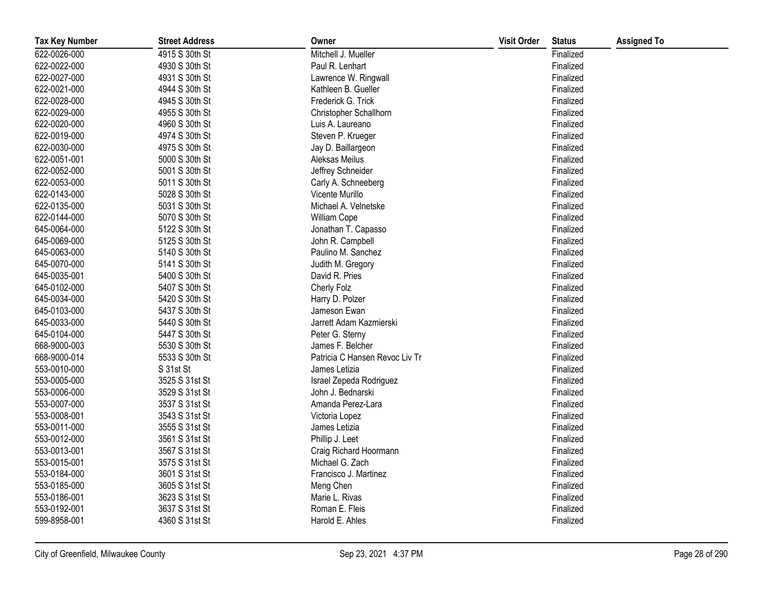| <b>Tax Key Number</b> | <b>Street Address</b> | Owner                          | <b>Visit Order</b> | <b>Status</b> | <b>Assigned To</b> |
|-----------------------|-----------------------|--------------------------------|--------------------|---------------|--------------------|
| 622-0026-000          | 4915 S 30th St        | Mitchell J. Mueller            |                    | Finalized     |                    |
| 622-0022-000          | 4930 S 30th St        | Paul R. Lenhart                |                    | Finalized     |                    |
| 622-0027-000          | 4931 S 30th St        | Lawrence W. Ringwall           |                    | Finalized     |                    |
| 622-0021-000          | 4944 S 30th St        | Kathleen B. Gueller            |                    | Finalized     |                    |
| 622-0028-000          | 4945 S 30th St        | Frederick G. Trick             |                    | Finalized     |                    |
| 622-0029-000          | 4955 S 30th St        | Christopher Schallhorn         |                    | Finalized     |                    |
| 622-0020-000          | 4960 S 30th St        | Luis A. Laureano               |                    | Finalized     |                    |
| 622-0019-000          | 4974 S 30th St        | Steven P. Krueger              |                    | Finalized     |                    |
| 622-0030-000          | 4975 S 30th St        | Jay D. Baillargeon             |                    | Finalized     |                    |
| 622-0051-001          | 5000 S 30th St        | Aleksas Meilus                 |                    | Finalized     |                    |
| 622-0052-000          | 5001 S 30th St        | Jeffrey Schneider              |                    | Finalized     |                    |
| 622-0053-000          | 5011 S 30th St        | Carly A. Schneeberg            |                    | Finalized     |                    |
| 622-0143-000          | 5028 S 30th St        | Vicente Murillo                |                    | Finalized     |                    |
| 622-0135-000          | 5031 S 30th St        | Michael A. Velnetske           |                    | Finalized     |                    |
| 622-0144-000          | 5070 S 30th St        | William Cope                   |                    | Finalized     |                    |
| 645-0064-000          | 5122 S 30th St        | Jonathan T. Capasso            |                    | Finalized     |                    |
| 645-0069-000          | 5125 S 30th St        | John R. Campbell               |                    | Finalized     |                    |
| 645-0063-000          | 5140 S 30th St        | Paulino M. Sanchez             |                    | Finalized     |                    |
| 645-0070-000          | 5141 S 30th St        | Judith M. Gregory              |                    | Finalized     |                    |
| 645-0035-001          | 5400 S 30th St        | David R. Pries                 |                    | Finalized     |                    |
| 645-0102-000          | 5407 S 30th St        | Cherly Folz                    |                    | Finalized     |                    |
| 645-0034-000          | 5420 S 30th St        | Harry D. Polzer                |                    | Finalized     |                    |
| 645-0103-000          | 5437 S 30th St        | Jameson Ewan                   |                    | Finalized     |                    |
| 645-0033-000          | 5440 S 30th St        | Jarrett Adam Kazmierski        |                    | Finalized     |                    |
| 645-0104-000          | 5447 S 30th St        | Peter G. Sterny                |                    | Finalized     |                    |
| 668-9000-003          | 5530 S 30th St        | James F. Belcher               |                    | Finalized     |                    |
| 668-9000-014          | 5533 S 30th St        | Patricia C Hansen Revoc Liv Tr |                    | Finalized     |                    |
| 553-0010-000          | S 31st St             | James Letizia                  |                    | Finalized     |                    |
| 553-0005-000          | 3525 S 31st St        | Israel Zepeda Rodriguez        |                    | Finalized     |                    |
| 553-0006-000          | 3529 S 31st St        | John J. Bednarski              |                    | Finalized     |                    |
| 553-0007-000          | 3537 S 31st St        | Amanda Perez-Lara              |                    | Finalized     |                    |
| 553-0008-001          | 3543 S 31st St        | Victoria Lopez                 |                    | Finalized     |                    |
| 553-0011-000          | 3555 S 31st St        | James Letizia                  |                    | Finalized     |                    |
| 553-0012-000          | 3561 S 31st St        | Phillip J. Leet                |                    | Finalized     |                    |
| 553-0013-001          | 3567 S 31st St        | Craig Richard Hoormann         |                    | Finalized     |                    |
| 553-0015-001          | 3575 S 31st St        | Michael G. Zach                |                    | Finalized     |                    |
| 553-0184-000          | 3601 S 31st St        | Francisco J. Martinez          |                    | Finalized     |                    |
| 553-0185-000          | 3605 S 31st St        | Meng Chen                      |                    | Finalized     |                    |
| 553-0186-001          | 3623 S 31st St        | Marie L. Rivas                 |                    | Finalized     |                    |
| 553-0192-001          | 3637 S 31st St        | Roman E. Fleis                 |                    | Finalized     |                    |
| 599-8958-001          | 4360 S 31st St        | Harold E. Ahles                |                    | Finalized     |                    |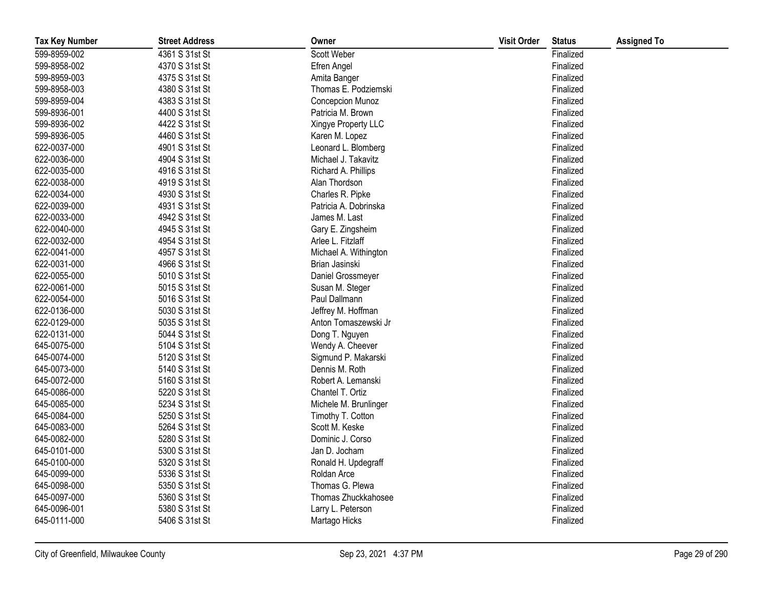| <b>Tax Key Number</b> | <b>Street Address</b> | Owner                 | <b>Visit Order</b> | <b>Status</b> | <b>Assigned To</b> |
|-----------------------|-----------------------|-----------------------|--------------------|---------------|--------------------|
| 599-8959-002          | 4361 S 31st St        | Scott Weber           |                    | Finalized     |                    |
| 599-8958-002          | 4370 S 31st St        | Efren Angel           |                    | Finalized     |                    |
| 599-8959-003          | 4375 S 31st St        | Amita Banger          |                    | Finalized     |                    |
| 599-8958-003          | 4380 S 31st St        | Thomas E. Podziemski  |                    | Finalized     |                    |
| 599-8959-004          | 4383 S 31st St        | Concepcion Munoz      |                    | Finalized     |                    |
| 599-8936-001          | 4400 S 31st St        | Patricia M. Brown     |                    | Finalized     |                    |
| 599-8936-002          | 4422 S 31st St        | Xingye Property LLC   |                    | Finalized     |                    |
| 599-8936-005          | 4460 S 31st St        | Karen M. Lopez        |                    | Finalized     |                    |
| 622-0037-000          | 4901 S 31st St        | Leonard L. Blomberg   |                    | Finalized     |                    |
| 622-0036-000          | 4904 S 31st St        | Michael J. Takavitz   |                    | Finalized     |                    |
| 622-0035-000          | 4916 S 31st St        | Richard A. Phillips   |                    | Finalized     |                    |
| 622-0038-000          | 4919 S 31st St        | Alan Thordson         |                    | Finalized     |                    |
| 622-0034-000          | 4930 S 31st St        | Charles R. Pipke      |                    | Finalized     |                    |
| 622-0039-000          | 4931 S 31st St        | Patricia A. Dobrinska |                    | Finalized     |                    |
| 622-0033-000          | 4942 S 31st St        | James M. Last         |                    | Finalized     |                    |
| 622-0040-000          | 4945 S 31st St        | Gary E. Zingsheim     |                    | Finalized     |                    |
| 622-0032-000          | 4954 S 31st St        | Arlee L. Fitzlaff     |                    | Finalized     |                    |
| 622-0041-000          | 4957 S 31st St        | Michael A. Withington |                    | Finalized     |                    |
| 622-0031-000          | 4966 S 31st St        | Brian Jasinski        |                    | Finalized     |                    |
| 622-0055-000          | 5010 S 31st St        | Daniel Grossmeyer     |                    | Finalized     |                    |
| 622-0061-000          | 5015 S 31st St        | Susan M. Steger       |                    | Finalized     |                    |
| 622-0054-000          | 5016 S 31st St        | Paul Dallmann         |                    | Finalized     |                    |
| 622-0136-000          | 5030 S 31st St        | Jeffrey M. Hoffman    |                    | Finalized     |                    |
| 622-0129-000          | 5035 S 31st St        | Anton Tomaszewski Jr  |                    | Finalized     |                    |
| 622-0131-000          | 5044 S 31st St        | Dong T. Nguyen        |                    | Finalized     |                    |
| 645-0075-000          | 5104 S 31st St        | Wendy A. Cheever      |                    | Finalized     |                    |
| 645-0074-000          | 5120 S 31st St        | Sigmund P. Makarski   |                    | Finalized     |                    |
| 645-0073-000          | 5140 S 31st St        | Dennis M. Roth        |                    | Finalized     |                    |
| 645-0072-000          | 5160 S 31st St        | Robert A. Lemanski    |                    | Finalized     |                    |
| 645-0086-000          | 5220 S 31st St        | Chantel T. Ortiz      |                    | Finalized     |                    |
| 645-0085-000          | 5234 S 31st St        | Michele M. Brunlinger |                    | Finalized     |                    |
| 645-0084-000          | 5250 S 31st St        | Timothy T. Cotton     |                    | Finalized     |                    |
| 645-0083-000          | 5264 S 31st St        | Scott M. Keske        |                    | Finalized     |                    |
| 645-0082-000          | 5280 S 31st St        | Dominic J. Corso      |                    | Finalized     |                    |
| 645-0101-000          | 5300 S 31st St        | Jan D. Jocham         |                    | Finalized     |                    |
| 645-0100-000          | 5320 S 31st St        | Ronald H. Updegraff   |                    | Finalized     |                    |
| 645-0099-000          | 5336 S 31st St        | Roldan Arce           |                    | Finalized     |                    |
| 645-0098-000          | 5350 S 31st St        | Thomas G. Plewa       |                    | Finalized     |                    |
| 645-0097-000          | 5360 S 31st St        | Thomas Zhuckkahosee   |                    | Finalized     |                    |
| 645-0096-001          | 5380 S 31st St        | Larry L. Peterson     |                    | Finalized     |                    |
| 645-0111-000          | 5406 S 31st St        | Martago Hicks         |                    | Finalized     |                    |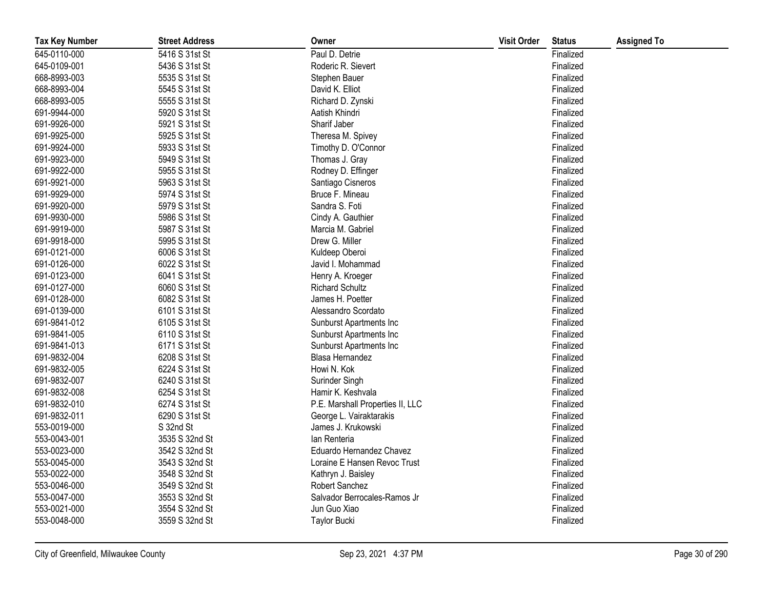| <b>Tax Key Number</b> | <b>Street Address</b> | Owner                            | <b>Visit Order</b> | <b>Status</b> | <b>Assigned To</b> |
|-----------------------|-----------------------|----------------------------------|--------------------|---------------|--------------------|
| 645-0110-000          | 5416 S 31st St        | Paul D. Detrie                   |                    | Finalized     |                    |
| 645-0109-001          | 5436 S 31st St        | Roderic R. Sievert               |                    | Finalized     |                    |
| 668-8993-003          | 5535 S 31st St        | Stephen Bauer                    |                    | Finalized     |                    |
| 668-8993-004          | 5545 S 31st St        | David K. Elliot                  |                    | Finalized     |                    |
| 668-8993-005          | 5555 S 31st St        | Richard D. Zynski                |                    | Finalized     |                    |
| 691-9944-000          | 5920 S 31st St        | Aatish Khindri                   |                    | Finalized     |                    |
| 691-9926-000          | 5921 S 31st St        | Sharif Jaber                     |                    | Finalized     |                    |
| 691-9925-000          | 5925 S 31st St        | Theresa M. Spivey                |                    | Finalized     |                    |
| 691-9924-000          | 5933 S 31st St        | Timothy D. O'Connor              |                    | Finalized     |                    |
| 691-9923-000          | 5949 S 31st St        | Thomas J. Gray                   |                    | Finalized     |                    |
| 691-9922-000          | 5955 S 31st St        | Rodney D. Effinger               |                    | Finalized     |                    |
| 691-9921-000          | 5963 S 31st St        | Santiago Cisneros                |                    | Finalized     |                    |
| 691-9929-000          | 5974 S 31st St        | Bruce F. Mineau                  |                    | Finalized     |                    |
| 691-9920-000          | 5979 S 31st St        | Sandra S. Foti                   |                    | Finalized     |                    |
| 691-9930-000          | 5986 S 31st St        | Cindy A. Gauthier                |                    | Finalized     |                    |
| 691-9919-000          | 5987 S 31st St        | Marcia M. Gabriel                |                    | Finalized     |                    |
| 691-9918-000          | 5995 S 31st St        | Drew G. Miller                   |                    | Finalized     |                    |
| 691-0121-000          | 6006 S 31st St        | Kuldeep Oberoi                   |                    | Finalized     |                    |
| 691-0126-000          | 6022 S 31st St        | Javid I. Mohammad                |                    | Finalized     |                    |
| 691-0123-000          | 6041 S 31st St        | Henry A. Kroeger                 |                    | Finalized     |                    |
| 691-0127-000          | 6060 S 31st St        | <b>Richard Schultz</b>           |                    | Finalized     |                    |
| 691-0128-000          | 6082 S 31st St        | James H. Poetter                 |                    | Finalized     |                    |
| 691-0139-000          | 6101 S 31st St        | Alessandro Scordato              |                    | Finalized     |                    |
| 691-9841-012          | 6105 S 31st St        | Sunburst Apartments Inc          |                    | Finalized     |                    |
| 691-9841-005          | 6110 S 31st St        | Sunburst Apartments Inc          |                    | Finalized     |                    |
| 691-9841-013          | 6171 S 31st St        | Sunburst Apartments Inc          |                    | Finalized     |                    |
| 691-9832-004          | 6208 S 31st St        | Blasa Hernandez                  |                    | Finalized     |                    |
| 691-9832-005          | 6224 S 31st St        | Howi N. Kok                      |                    | Finalized     |                    |
| 691-9832-007          | 6240 S 31st St        | Surinder Singh                   |                    | Finalized     |                    |
| 691-9832-008          | 6254 S 31st St        | Hamir K. Keshvala                |                    | Finalized     |                    |
| 691-9832-010          | 6274 S 31st St        | P.E. Marshall Properties II, LLC |                    | Finalized     |                    |
| 691-9832-011          | 6290 S 31st St        | George L. Vairaktarakis          |                    | Finalized     |                    |
| 553-0019-000          | S 32nd St             | James J. Krukowski               |                    | Finalized     |                    |
| 553-0043-001          | 3535 S 32nd St        | lan Renteria                     |                    | Finalized     |                    |
| 553-0023-000          | 3542 S 32nd St        | Eduardo Hernandez Chavez         |                    | Finalized     |                    |
| 553-0045-000          | 3543 S 32nd St        | Loraine E Hansen Revoc Trust     |                    | Finalized     |                    |
| 553-0022-000          | 3548 S 32nd St        | Kathryn J. Baisley               |                    | Finalized     |                    |
| 553-0046-000          | 3549 S 32nd St        | Robert Sanchez                   |                    | Finalized     |                    |
| 553-0047-000          | 3553 S 32nd St        | Salvador Berrocales-Ramos Jr     |                    | Finalized     |                    |
| 553-0021-000          | 3554 S 32nd St        | Jun Guo Xiao                     |                    | Finalized     |                    |
| 553-0048-000          | 3559 S 32nd St        | <b>Taylor Bucki</b>              |                    | Finalized     |                    |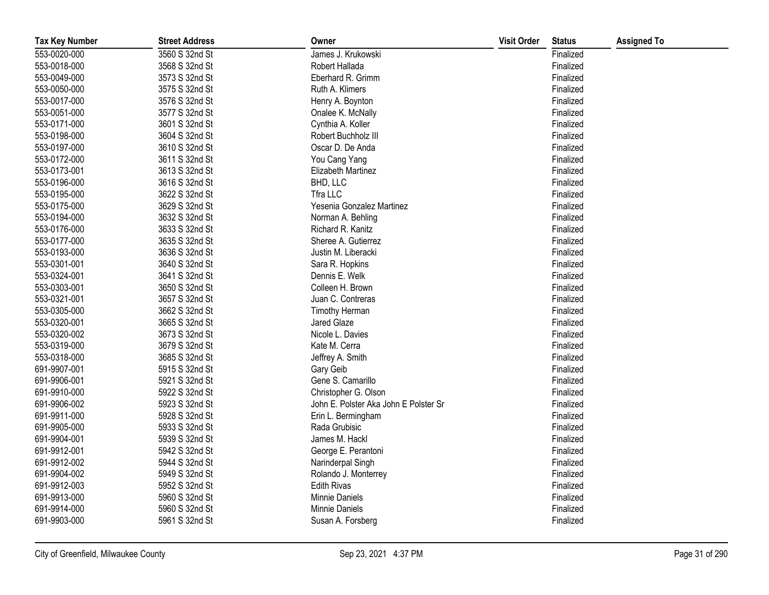| <b>Tax Key Number</b> | <b>Street Address</b> | Owner                                 | <b>Visit Order</b> | <b>Status</b> | <b>Assigned To</b> |
|-----------------------|-----------------------|---------------------------------------|--------------------|---------------|--------------------|
| 553-0020-000          | 3560 S 32nd St        | James J. Krukowski                    |                    | Finalized     |                    |
| 553-0018-000          | 3568 S 32nd St        | Robert Hallada                        |                    | Finalized     |                    |
| 553-0049-000          | 3573 S 32nd St        | Eberhard R. Grimm                     |                    | Finalized     |                    |
| 553-0050-000          | 3575 S 32nd St        | Ruth A. Klimers                       |                    | Finalized     |                    |
| 553-0017-000          | 3576 S 32nd St        | Henry A. Boynton                      |                    | Finalized     |                    |
| 553-0051-000          | 3577 S 32nd St        | Onalee K. McNally                     |                    | Finalized     |                    |
| 553-0171-000          | 3601 S 32nd St        | Cynthia A. Koller                     |                    | Finalized     |                    |
| 553-0198-000          | 3604 S 32nd St        | Robert Buchholz III                   |                    | Finalized     |                    |
| 553-0197-000          | 3610 S 32nd St        | Oscar D. De Anda                      |                    | Finalized     |                    |
| 553-0172-000          | 3611 S 32nd St        | You Cang Yang                         |                    | Finalized     |                    |
| 553-0173-001          | 3613 S 32nd St        | Elizabeth Martinez                    |                    | Finalized     |                    |
| 553-0196-000          | 3616 S 32nd St        | BHD, LLC                              |                    | Finalized     |                    |
| 553-0195-000          | 3622 S 32nd St        | Tfra LLC                              |                    | Finalized     |                    |
| 553-0175-000          | 3629 S 32nd St        | Yesenia Gonzalez Martinez             |                    | Finalized     |                    |
| 553-0194-000          | 3632 S 32nd St        | Norman A. Behling                     |                    | Finalized     |                    |
| 553-0176-000          | 3633 S 32nd St        | Richard R. Kanitz                     |                    | Finalized     |                    |
| 553-0177-000          | 3635 S 32nd St        | Sheree A. Gutierrez                   |                    | Finalized     |                    |
| 553-0193-000          | 3636 S 32nd St        | Justin M. Liberacki                   |                    | Finalized     |                    |
| 553-0301-001          | 3640 S 32nd St        | Sara R. Hopkins                       |                    | Finalized     |                    |
| 553-0324-001          | 3641 S 32nd St        | Dennis E. Welk                        |                    | Finalized     |                    |
| 553-0303-001          | 3650 S 32nd St        | Colleen H. Brown                      |                    | Finalized     |                    |
| 553-0321-001          | 3657 S 32nd St        | Juan C. Contreras                     |                    | Finalized     |                    |
| 553-0305-000          | 3662 S 32nd St        | Timothy Herman                        |                    | Finalized     |                    |
| 553-0320-001          | 3665 S 32nd St        | Jared Glaze                           |                    | Finalized     |                    |
| 553-0320-002          | 3673 S 32nd St        | Nicole L. Davies                      |                    | Finalized     |                    |
| 553-0319-000          | 3679 S 32nd St        | Kate M. Cerra                         |                    | Finalized     |                    |
| 553-0318-000          | 3685 S 32nd St        | Jeffrey A. Smith                      |                    | Finalized     |                    |
| 691-9907-001          | 5915 S 32nd St        | Gary Geib                             |                    | Finalized     |                    |
| 691-9906-001          | 5921 S 32nd St        | Gene S. Camarillo                     |                    | Finalized     |                    |
| 691-9910-000          | 5922 S 32nd St        | Christopher G. Olson                  |                    | Finalized     |                    |
| 691-9906-002          | 5923 S 32nd St        | John E. Polster Aka John E Polster Sr |                    | Finalized     |                    |
| 691-9911-000          | 5928 S 32nd St        | Erin L. Bermingham                    |                    | Finalized     |                    |
| 691-9905-000          | 5933 S 32nd St        | Rada Grubisic                         |                    | Finalized     |                    |
| 691-9904-001          | 5939 S 32nd St        | James M. Hackl                        |                    | Finalized     |                    |
| 691-9912-001          | 5942 S 32nd St        | George E. Perantoni                   |                    | Finalized     |                    |
| 691-9912-002          | 5944 S 32nd St        | Narinderpal Singh                     |                    | Finalized     |                    |
| 691-9904-002          | 5949 S 32nd St        | Rolando J. Monterrey                  |                    | Finalized     |                    |
| 691-9912-003          | 5952 S 32nd St        | <b>Edith Rivas</b>                    |                    | Finalized     |                    |
| 691-9913-000          | 5960 S 32nd St        | Minnie Daniels                        |                    | Finalized     |                    |
| 691-9914-000          | 5960 S 32nd St        | <b>Minnie Daniels</b>                 |                    | Finalized     |                    |
| 691-9903-000          | 5961 S 32nd St        | Susan A. Forsberg                     |                    | Finalized     |                    |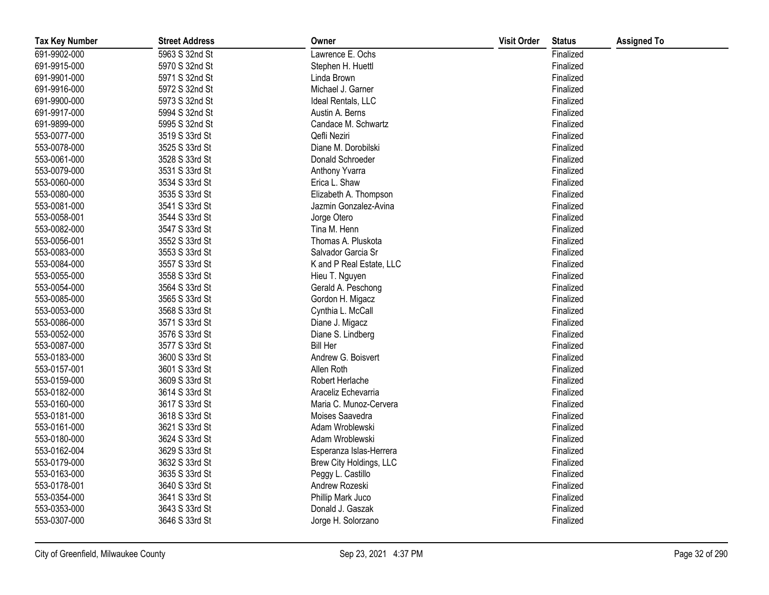| <b>Tax Key Number</b> | <b>Street Address</b> | Owner                    | <b>Visit Order</b> | <b>Status</b> | <b>Assigned To</b> |
|-----------------------|-----------------------|--------------------------|--------------------|---------------|--------------------|
| 691-9902-000          | 5963 S 32nd St        | Lawrence E. Ochs         |                    | Finalized     |                    |
| 691-9915-000          | 5970 S 32nd St        | Stephen H. Huettl        |                    | Finalized     |                    |
| 691-9901-000          | 5971 S 32nd St        | Linda Brown              |                    | Finalized     |                    |
| 691-9916-000          | 5972 S 32nd St        | Michael J. Garner        |                    | Finalized     |                    |
| 691-9900-000          | 5973 S 32nd St        | Ideal Rentals, LLC       |                    | Finalized     |                    |
| 691-9917-000          | 5994 S 32nd St        | Austin A. Berns          |                    | Finalized     |                    |
| 691-9899-000          | 5995 S 32nd St        | Candace M. Schwartz      |                    | Finalized     |                    |
| 553-0077-000          | 3519 S 33rd St        | Qefli Neziri             |                    | Finalized     |                    |
| 553-0078-000          | 3525 S 33rd St        | Diane M. Dorobilski      |                    | Finalized     |                    |
| 553-0061-000          | 3528 S 33rd St        | Donald Schroeder         |                    | Finalized     |                    |
| 553-0079-000          | 3531 S 33rd St        | Anthony Yvarra           |                    | Finalized     |                    |
| 553-0060-000          | 3534 S 33rd St        | Erica L. Shaw            |                    | Finalized     |                    |
| 553-0080-000          | 3535 S 33rd St        | Elizabeth A. Thompson    |                    | Finalized     |                    |
| 553-0081-000          | 3541 S 33rd St        | Jazmin Gonzalez-Avina    |                    | Finalized     |                    |
| 553-0058-001          | 3544 S 33rd St        | Jorge Otero              |                    | Finalized     |                    |
| 553-0082-000          | 3547 S 33rd St        | Tina M. Henn             |                    | Finalized     |                    |
| 553-0056-001          | 3552 S 33rd St        | Thomas A. Pluskota       |                    | Finalized     |                    |
| 553-0083-000          | 3553 S 33rd St        | Salvador Garcia Sr       |                    | Finalized     |                    |
| 553-0084-000          | 3557 S 33rd St        | K and P Real Estate, LLC |                    | Finalized     |                    |
| 553-0055-000          | 3558 S 33rd St        | Hieu T. Nguyen           |                    | Finalized     |                    |
| 553-0054-000          | 3564 S 33rd St        | Gerald A. Peschong       |                    | Finalized     |                    |
| 553-0085-000          | 3565 S 33rd St        | Gordon H. Migacz         |                    | Finalized     |                    |
| 553-0053-000          | 3568 S 33rd St        | Cynthia L. McCall        |                    | Finalized     |                    |
| 553-0086-000          | 3571 S 33rd St        | Diane J. Migacz          |                    | Finalized     |                    |
| 553-0052-000          | 3576 S 33rd St        | Diane S. Lindberg        |                    | Finalized     |                    |
| 553-0087-000          | 3577 S 33rd St        | <b>Bill Her</b>          |                    | Finalized     |                    |
| 553-0183-000          | 3600 S 33rd St        | Andrew G. Boisvert       |                    | Finalized     |                    |
| 553-0157-001          | 3601 S 33rd St        | Allen Roth               |                    | Finalized     |                    |
| 553-0159-000          | 3609 S 33rd St        | Robert Herlache          |                    | Finalized     |                    |
| 553-0182-000          | 3614 S 33rd St        | Araceliz Echevarria      |                    | Finalized     |                    |
| 553-0160-000          | 3617 S 33rd St        | Maria C. Munoz-Cervera   |                    | Finalized     |                    |
| 553-0181-000          | 3618 S 33rd St        | Moises Saavedra          |                    | Finalized     |                    |
| 553-0161-000          | 3621 S 33rd St        | Adam Wroblewski          |                    | Finalized     |                    |
| 553-0180-000          | 3624 S 33rd St        | Adam Wroblewski          |                    | Finalized     |                    |
| 553-0162-004          | 3629 S 33rd St        | Esperanza Islas-Herrera  |                    | Finalized     |                    |
| 553-0179-000          | 3632 S 33rd St        | Brew City Holdings, LLC  |                    | Finalized     |                    |
| 553-0163-000          | 3635 S 33rd St        | Peggy L. Castillo        |                    | Finalized     |                    |
| 553-0178-001          | 3640 S 33rd St        | Andrew Rozeski           |                    | Finalized     |                    |
| 553-0354-000          | 3641 S 33rd St        | Phillip Mark Juco        |                    | Finalized     |                    |
| 553-0353-000          | 3643 S 33rd St        | Donald J. Gaszak         |                    | Finalized     |                    |
| 553-0307-000          | 3646 S 33rd St        | Jorge H. Solorzano       |                    | Finalized     |                    |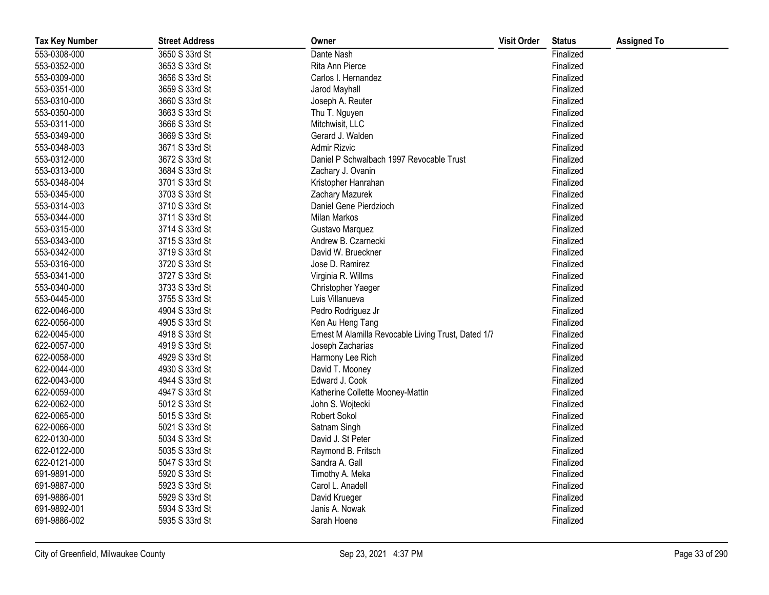| <b>Tax Key Number</b> | <b>Street Address</b> | Owner                                               | <b>Visit Order</b> | <b>Status</b> | <b>Assigned To</b> |
|-----------------------|-----------------------|-----------------------------------------------------|--------------------|---------------|--------------------|
| 553-0308-000          | 3650 S 33rd St        | Dante Nash                                          |                    | Finalized     |                    |
| 553-0352-000          | 3653 S 33rd St        | Rita Ann Pierce                                     |                    | Finalized     |                    |
| 553-0309-000          | 3656 S 33rd St        | Carlos I. Hernandez                                 |                    | Finalized     |                    |
| 553-0351-000          | 3659 S 33rd St        | Jarod Mayhall                                       |                    | Finalized     |                    |
| 553-0310-000          | 3660 S 33rd St        | Joseph A. Reuter                                    |                    | Finalized     |                    |
| 553-0350-000          | 3663 S 33rd St        | Thu T. Nguyen                                       |                    | Finalized     |                    |
| 553-0311-000          | 3666 S 33rd St        | Mitchwisit, LLC                                     |                    | Finalized     |                    |
| 553-0349-000          | 3669 S 33rd St        | Gerard J. Walden                                    |                    | Finalized     |                    |
| 553-0348-003          | 3671 S 33rd St        | Admir Rizvic                                        |                    | Finalized     |                    |
| 553-0312-000          | 3672 S 33rd St        | Daniel P Schwalbach 1997 Revocable Trust            |                    | Finalized     |                    |
| 553-0313-000          | 3684 S 33rd St        | Zachary J. Ovanin                                   |                    | Finalized     |                    |
| 553-0348-004          | 3701 S 33rd St        | Kristopher Hanrahan                                 |                    | Finalized     |                    |
| 553-0345-000          | 3703 S 33rd St        | Zachary Mazurek                                     |                    | Finalized     |                    |
| 553-0314-003          | 3710 S 33rd St        | Daniel Gene Pierdzioch                              |                    | Finalized     |                    |
| 553-0344-000          | 3711 S 33rd St        | Milan Markos                                        |                    | Finalized     |                    |
| 553-0315-000          | 3714 S 33rd St        | Gustavo Marquez                                     |                    | Finalized     |                    |
| 553-0343-000          | 3715 S 33rd St        | Andrew B. Czarnecki                                 |                    | Finalized     |                    |
| 553-0342-000          | 3719 S 33rd St        | David W. Brueckner                                  |                    | Finalized     |                    |
| 553-0316-000          | 3720 S 33rd St        | Jose D. Ramirez                                     |                    | Finalized     |                    |
| 553-0341-000          | 3727 S 33rd St        | Virginia R. Willms                                  |                    | Finalized     |                    |
| 553-0340-000          | 3733 S 33rd St        | Christopher Yaeger                                  |                    | Finalized     |                    |
| 553-0445-000          | 3755 S 33rd St        | Luis Villanueva                                     |                    | Finalized     |                    |
| 622-0046-000          | 4904 S 33rd St        | Pedro Rodriguez Jr                                  |                    | Finalized     |                    |
| 622-0056-000          | 4905 S 33rd St        | Ken Au Heng Tang                                    |                    | Finalized     |                    |
| 622-0045-000          | 4918 S 33rd St        | Ernest M Alamilla Revocable Living Trust, Dated 1/7 |                    | Finalized     |                    |
| 622-0057-000          | 4919 S 33rd St        | Joseph Zacharias                                    |                    | Finalized     |                    |
| 622-0058-000          | 4929 S 33rd St        | Harmony Lee Rich                                    |                    | Finalized     |                    |
| 622-0044-000          | 4930 S 33rd St        | David T. Mooney                                     |                    | Finalized     |                    |
| 622-0043-000          | 4944 S 33rd St        | Edward J. Cook                                      |                    | Finalized     |                    |
| 622-0059-000          | 4947 S 33rd St        | Katherine Collette Mooney-Mattin                    |                    | Finalized     |                    |
| 622-0062-000          | 5012 S 33rd St        | John S. Wojtecki                                    |                    | Finalized     |                    |
| 622-0065-000          | 5015 S 33rd St        | Robert Sokol                                        |                    | Finalized     |                    |
| 622-0066-000          | 5021 S 33rd St        | Satnam Singh                                        |                    | Finalized     |                    |
| 622-0130-000          | 5034 S 33rd St        | David J. St Peter                                   |                    | Finalized     |                    |
| 622-0122-000          | 5035 S 33rd St        | Raymond B. Fritsch                                  |                    | Finalized     |                    |
| 622-0121-000          | 5047 S 33rd St        | Sandra A. Gall                                      |                    | Finalized     |                    |
| 691-9891-000          | 5920 S 33rd St        | Timothy A. Meka                                     |                    | Finalized     |                    |
| 691-9887-000          | 5923 S 33rd St        | Carol L. Anadell                                    |                    | Finalized     |                    |
| 691-9886-001          | 5929 S 33rd St        | David Krueger                                       |                    | Finalized     |                    |
| 691-9892-001          | 5934 S 33rd St        | Janis A. Nowak                                      |                    | Finalized     |                    |
| 691-9886-002          | 5935 S 33rd St        | Sarah Hoene                                         |                    | Finalized     |                    |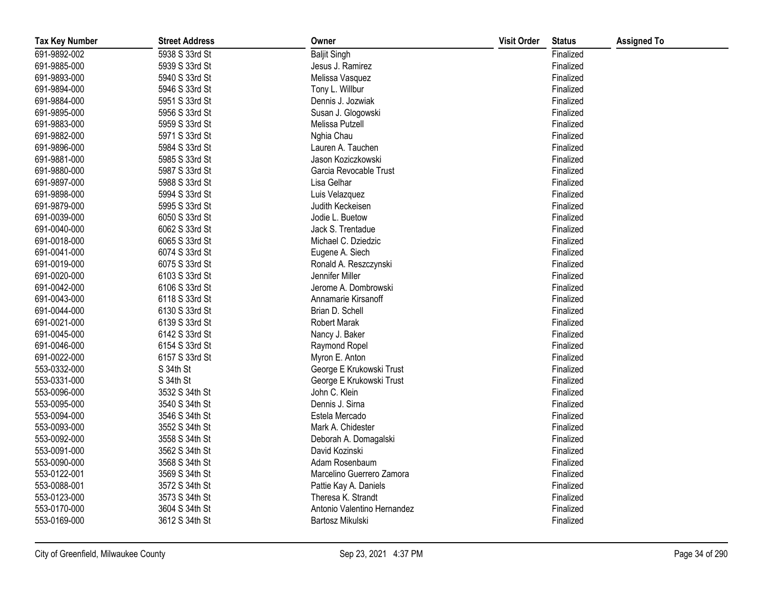| <b>Tax Key Number</b> | <b>Street Address</b> | Owner                       | <b>Visit Order</b> | <b>Status</b> | <b>Assigned To</b> |
|-----------------------|-----------------------|-----------------------------|--------------------|---------------|--------------------|
| 691-9892-002          | 5938 S 33rd St        | <b>Baljit Singh</b>         |                    | Finalized     |                    |
| 691-9885-000          | 5939 S 33rd St        | Jesus J. Ramirez            |                    | Finalized     |                    |
| 691-9893-000          | 5940 S 33rd St        | Melissa Vasquez             |                    | Finalized     |                    |
| 691-9894-000          | 5946 S 33rd St        | Tony L. Willbur             |                    | Finalized     |                    |
| 691-9884-000          | 5951 S 33rd St        | Dennis J. Jozwiak           |                    | Finalized     |                    |
| 691-9895-000          | 5956 S 33rd St        | Susan J. Glogowski          |                    | Finalized     |                    |
| 691-9883-000          | 5959 S 33rd St        | Melissa Putzell             |                    | Finalized     |                    |
| 691-9882-000          | 5971 S 33rd St        | Nghia Chau                  |                    | Finalized     |                    |
| 691-9896-000          | 5984 S 33rd St        | Lauren A. Tauchen           |                    | Finalized     |                    |
| 691-9881-000          | 5985 S 33rd St        | Jason Koziczkowski          |                    | Finalized     |                    |
| 691-9880-000          | 5987 S 33rd St        | Garcia Revocable Trust      |                    | Finalized     |                    |
| 691-9897-000          | 5988 S 33rd St        | Lisa Gelhar                 |                    | Finalized     |                    |
| 691-9898-000          | 5994 S 33rd St        | Luis Velazquez              |                    | Finalized     |                    |
| 691-9879-000          | 5995 S 33rd St        | Judith Keckeisen            |                    | Finalized     |                    |
| 691-0039-000          | 6050 S 33rd St        | Jodie L. Buetow             |                    | Finalized     |                    |
| 691-0040-000          | 6062 S 33rd St        | Jack S. Trentadue           |                    | Finalized     |                    |
| 691-0018-000          | 6065 S 33rd St        | Michael C. Dziedzic         |                    | Finalized     |                    |
| 691-0041-000          | 6074 S 33rd St        | Eugene A. Siech             |                    | Finalized     |                    |
| 691-0019-000          | 6075 S 33rd St        | Ronald A. Reszczynski       |                    | Finalized     |                    |
| 691-0020-000          | 6103 S 33rd St        | Jennifer Miller             |                    | Finalized     |                    |
| 691-0042-000          | 6106 S 33rd St        | Jerome A. Dombrowski        |                    | Finalized     |                    |
| 691-0043-000          | 6118 S 33rd St        | Annamarie Kirsanoff         |                    | Finalized     |                    |
| 691-0044-000          | 6130 S 33rd St        | Brian D. Schell             |                    | Finalized     |                    |
| 691-0021-000          | 6139 S 33rd St        | Robert Marak                |                    | Finalized     |                    |
| 691-0045-000          | 6142 S 33rd St        | Nancy J. Baker              |                    | Finalized     |                    |
| 691-0046-000          | 6154 S 33rd St        | Raymond Ropel               |                    | Finalized     |                    |
| 691-0022-000          | 6157 S 33rd St        | Myron E. Anton              |                    | Finalized     |                    |
| 553-0332-000          | S 34th St             | George E Krukowski Trust    |                    | Finalized     |                    |
| 553-0331-000          | S 34th St             | George E Krukowski Trust    |                    | Finalized     |                    |
| 553-0096-000          | 3532 S 34th St        | John C. Klein               |                    | Finalized     |                    |
| 553-0095-000          | 3540 S 34th St        | Dennis J. Sirna             |                    | Finalized     |                    |
| 553-0094-000          | 3546 S 34th St        | Estela Mercado              |                    | Finalized     |                    |
| 553-0093-000          | 3552 S 34th St        | Mark A. Chidester           |                    | Finalized     |                    |
| 553-0092-000          | 3558 S 34th St        | Deborah A. Domagalski       |                    | Finalized     |                    |
| 553-0091-000          | 3562 S 34th St        | David Kozinski              |                    | Finalized     |                    |
| 553-0090-000          | 3568 S 34th St        | Adam Rosenbaum              |                    | Finalized     |                    |
| 553-0122-001          | 3569 S 34th St        | Marcelino Guerrero Zamora   |                    | Finalized     |                    |
| 553-0088-001          | 3572 S 34th St        | Pattie Kay A. Daniels       |                    | Finalized     |                    |
| 553-0123-000          | 3573 S 34th St        | Theresa K. Strandt          |                    | Finalized     |                    |
| 553-0170-000          | 3604 S 34th St        | Antonio Valentino Hernandez |                    | Finalized     |                    |
| 553-0169-000          | 3612 S 34th St        | Bartosz Mikulski            |                    | Finalized     |                    |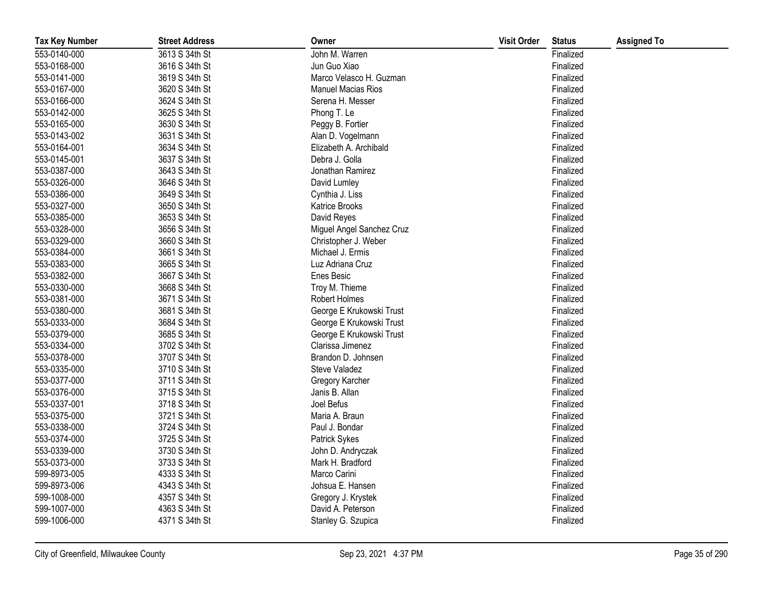| <b>Tax Key Number</b> | <b>Street Address</b> | Owner                     | <b>Visit Order</b> | <b>Status</b> | <b>Assigned To</b> |
|-----------------------|-----------------------|---------------------------|--------------------|---------------|--------------------|
| 553-0140-000          | 3613 S 34th St        | John M. Warren            |                    | Finalized     |                    |
| 553-0168-000          | 3616 S 34th St        | Jun Guo Xiao              |                    | Finalized     |                    |
| 553-0141-000          | 3619 S 34th St        | Marco Velasco H. Guzman   |                    | Finalized     |                    |
| 553-0167-000          | 3620 S 34th St        | <b>Manuel Macias Rios</b> |                    | Finalized     |                    |
| 553-0166-000          | 3624 S 34th St        | Serena H. Messer          |                    | Finalized     |                    |
| 553-0142-000          | 3625 S 34th St        | Phong T. Le               |                    | Finalized     |                    |
| 553-0165-000          | 3630 S 34th St        | Peggy B. Fortier          |                    | Finalized     |                    |
| 553-0143-002          | 3631 S 34th St        | Alan D. Vogelmann         |                    | Finalized     |                    |
| 553-0164-001          | 3634 S 34th St        | Elizabeth A. Archibald    |                    | Finalized     |                    |
| 553-0145-001          | 3637 S 34th St        | Debra J. Golla            |                    | Finalized     |                    |
| 553-0387-000          | 3643 S 34th St        | Jonathan Ramirez          |                    | Finalized     |                    |
| 553-0326-000          | 3646 S 34th St        | David Lumley              |                    | Finalized     |                    |
| 553-0386-000          | 3649 S 34th St        | Cynthia J. Liss           |                    | Finalized     |                    |
| 553-0327-000          | 3650 S 34th St        | Katrice Brooks            |                    | Finalized     |                    |
| 553-0385-000          | 3653 S 34th St        | David Reyes               |                    | Finalized     |                    |
| 553-0328-000          | 3656 S 34th St        | Miguel Angel Sanchez Cruz |                    | Finalized     |                    |
| 553-0329-000          | 3660 S 34th St        | Christopher J. Weber      |                    | Finalized     |                    |
| 553-0384-000          | 3661 S 34th St        | Michael J. Ermis          |                    | Finalized     |                    |
| 553-0383-000          | 3665 S 34th St        | Luz Adriana Cruz          |                    | Finalized     |                    |
| 553-0382-000          | 3667 S 34th St        | <b>Enes Besic</b>         |                    | Finalized     |                    |
| 553-0330-000          | 3668 S 34th St        | Troy M. Thieme            |                    | Finalized     |                    |
| 553-0381-000          | 3671 S 34th St        | Robert Holmes             |                    | Finalized     |                    |
| 553-0380-000          | 3681 S 34th St        | George E Krukowski Trust  |                    | Finalized     |                    |
| 553-0333-000          | 3684 S 34th St        | George E Krukowski Trust  |                    | Finalized     |                    |
| 553-0379-000          | 3685 S 34th St        | George E Krukowski Trust  |                    | Finalized     |                    |
| 553-0334-000          | 3702 S 34th St        | Clarissa Jimenez          |                    | Finalized     |                    |
| 553-0378-000          | 3707 S 34th St        | Brandon D. Johnsen        |                    | Finalized     |                    |
| 553-0335-000          | 3710 S 34th St        | Steve Valadez             |                    | Finalized     |                    |
| 553-0377-000          | 3711 S 34th St        | Gregory Karcher           |                    | Finalized     |                    |
| 553-0376-000          | 3715 S 34th St        | Janis B. Allan            |                    | Finalized     |                    |
| 553-0337-001          | 3718 S 34th St        | Joel Befus                |                    | Finalized     |                    |
| 553-0375-000          | 3721 S 34th St        | Maria A. Braun            |                    | Finalized     |                    |
| 553-0338-000          | 3724 S 34th St        | Paul J. Bondar            |                    | Finalized     |                    |
| 553-0374-000          | 3725 S 34th St        | <b>Patrick Sykes</b>      |                    | Finalized     |                    |
| 553-0339-000          | 3730 S 34th St        | John D. Andryczak         |                    | Finalized     |                    |
| 553-0373-000          | 3733 S 34th St        | Mark H. Bradford          |                    | Finalized     |                    |
| 599-8973-005          | 4333 S 34th St        | Marco Carini              |                    | Finalized     |                    |
| 599-8973-006          | 4343 S 34th St        | Johsua E. Hansen          |                    | Finalized     |                    |
| 599-1008-000          | 4357 S 34th St        | Gregory J. Krystek        |                    | Finalized     |                    |
| 599-1007-000          | 4363 S 34th St        | David A. Peterson         |                    | Finalized     |                    |
| 599-1006-000          | 4371 S 34th St        | Stanley G. Szupica        |                    | Finalized     |                    |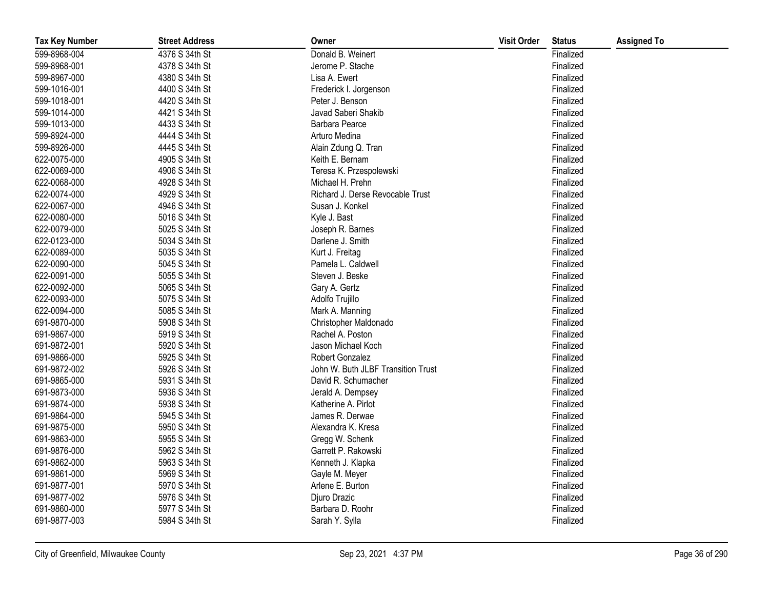| <b>Tax Key Number</b> | <b>Street Address</b> | Owner                              | <b>Visit Order</b> | <b>Status</b> | <b>Assigned To</b> |
|-----------------------|-----------------------|------------------------------------|--------------------|---------------|--------------------|
| 599-8968-004          | 4376 S 34th St        | Donald B. Weinert                  |                    | Finalized     |                    |
| 599-8968-001          | 4378 S 34th St        | Jerome P. Stache                   |                    | Finalized     |                    |
| 599-8967-000          | 4380 S 34th St        | Lisa A. Ewert                      |                    | Finalized     |                    |
| 599-1016-001          | 4400 S 34th St        | Frederick I. Jorgenson             |                    | Finalized     |                    |
| 599-1018-001          | 4420 S 34th St        | Peter J. Benson                    |                    | Finalized     |                    |
| 599-1014-000          | 4421 S 34th St        | Javad Saberi Shakib                |                    | Finalized     |                    |
| 599-1013-000          | 4433 S 34th St        | <b>Barbara Pearce</b>              |                    | Finalized     |                    |
| 599-8924-000          | 4444 S 34th St        | Arturo Medina                      |                    | Finalized     |                    |
| 599-8926-000          | 4445 S 34th St        | Alain Zdung Q. Tran                |                    | Finalized     |                    |
| 622-0075-000          | 4905 S 34th St        | Keith E. Bernam                    |                    | Finalized     |                    |
| 622-0069-000          | 4906 S 34th St        | Teresa K. Przespolewski            |                    | Finalized     |                    |
| 622-0068-000          | 4928 S 34th St        | Michael H. Prehn                   |                    | Finalized     |                    |
| 622-0074-000          | 4929 S 34th St        | Richard J. Derse Revocable Trust   |                    | Finalized     |                    |
| 622-0067-000          | 4946 S 34th St        | Susan J. Konkel                    |                    | Finalized     |                    |
| 622-0080-000          | 5016 S 34th St        | Kyle J. Bast                       |                    | Finalized     |                    |
| 622-0079-000          | 5025 S 34th St        | Joseph R. Barnes                   |                    | Finalized     |                    |
| 622-0123-000          | 5034 S 34th St        | Darlene J. Smith                   |                    | Finalized     |                    |
| 622-0089-000          | 5035 S 34th St        | Kurt J. Freitag                    |                    | Finalized     |                    |
| 622-0090-000          | 5045 S 34th St        | Pamela L. Caldwell                 |                    | Finalized     |                    |
| 622-0091-000          | 5055 S 34th St        | Steven J. Beske                    |                    | Finalized     |                    |
| 622-0092-000          | 5065 S 34th St        | Gary A. Gertz                      |                    | Finalized     |                    |
| 622-0093-000          | 5075 S 34th St        | Adolfo Trujillo                    |                    | Finalized     |                    |
| 622-0094-000          | 5085 S 34th St        | Mark A. Manning                    |                    | Finalized     |                    |
| 691-9870-000          | 5908 S 34th St        | Christopher Maldonado              |                    | Finalized     |                    |
| 691-9867-000          | 5919 S 34th St        | Rachel A. Poston                   |                    | Finalized     |                    |
| 691-9872-001          | 5920 S 34th St        | Jason Michael Koch                 |                    | Finalized     |                    |
| 691-9866-000          | 5925 S 34th St        | Robert Gonzalez                    |                    | Finalized     |                    |
| 691-9872-002          | 5926 S 34th St        | John W. Buth JLBF Transition Trust |                    | Finalized     |                    |
| 691-9865-000          | 5931 S 34th St        | David R. Schumacher                |                    | Finalized     |                    |
| 691-9873-000          | 5936 S 34th St        | Jerald A. Dempsey                  |                    | Finalized     |                    |
| 691-9874-000          | 5938 S 34th St        | Katherine A. Pirlot                |                    | Finalized     |                    |
| 691-9864-000          | 5945 S 34th St        | James R. Derwae                    |                    | Finalized     |                    |
| 691-9875-000          | 5950 S 34th St        | Alexandra K. Kresa                 |                    | Finalized     |                    |
| 691-9863-000          | 5955 S 34th St        | Gregg W. Schenk                    |                    | Finalized     |                    |
| 691-9876-000          | 5962 S 34th St        | Garrett P. Rakowski                |                    | Finalized     |                    |
| 691-9862-000          | 5963 S 34th St        | Kenneth J. Klapka                  |                    | Finalized     |                    |
| 691-9861-000          | 5969 S 34th St        | Gayle M. Meyer                     |                    | Finalized     |                    |
| 691-9877-001          | 5970 S 34th St        | Arlene E. Burton                   |                    | Finalized     |                    |
| 691-9877-002          | 5976 S 34th St        | Djuro Drazic                       |                    | Finalized     |                    |
| 691-9860-000          | 5977 S 34th St        | Barbara D. Roohr                   |                    | Finalized     |                    |
| 691-9877-003          | 5984 S 34th St        | Sarah Y. Sylla                     |                    | Finalized     |                    |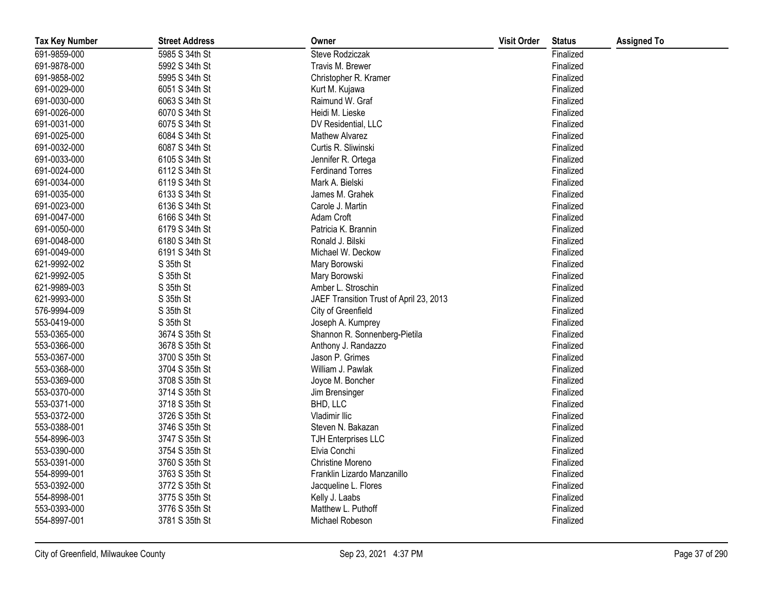| <b>Tax Key Number</b> | <b>Street Address</b> | Owner                                   | <b>Visit Order</b> | <b>Status</b> | <b>Assigned To</b> |
|-----------------------|-----------------------|-----------------------------------------|--------------------|---------------|--------------------|
| 691-9859-000          | 5985 S 34th St        | Steve Rodziczak                         |                    | Finalized     |                    |
| 691-9878-000          | 5992 S 34th St        | Travis M. Brewer                        |                    | Finalized     |                    |
| 691-9858-002          | 5995 S 34th St        | Christopher R. Kramer                   |                    | Finalized     |                    |
| 691-0029-000          | 6051 S 34th St        | Kurt M. Kujawa                          |                    | Finalized     |                    |
| 691-0030-000          | 6063 S 34th St        | Raimund W. Graf                         |                    | Finalized     |                    |
| 691-0026-000          | 6070 S 34th St        | Heidi M. Lieske                         |                    | Finalized     |                    |
| 691-0031-000          | 6075 S 34th St        | DV Residential, LLC                     |                    | Finalized     |                    |
| 691-0025-000          | 6084 S 34th St        | Mathew Alvarez                          |                    | Finalized     |                    |
| 691-0032-000          | 6087 S 34th St        | Curtis R. Sliwinski                     |                    | Finalized     |                    |
| 691-0033-000          | 6105 S 34th St        | Jennifer R. Ortega                      |                    | Finalized     |                    |
| 691-0024-000          | 6112 S 34th St        | <b>Ferdinand Torres</b>                 |                    | Finalized     |                    |
| 691-0034-000          | 6119 S 34th St        | Mark A. Bielski                         |                    | Finalized     |                    |
| 691-0035-000          | 6133 S 34th St        | James M. Grahek                         |                    | Finalized     |                    |
| 691-0023-000          | 6136 S 34th St        | Carole J. Martin                        |                    | Finalized     |                    |
| 691-0047-000          | 6166 S 34th St        | Adam Croft                              |                    | Finalized     |                    |
| 691-0050-000          | 6179 S 34th St        | Patricia K. Brannin                     |                    | Finalized     |                    |
| 691-0048-000          | 6180 S 34th St        | Ronald J. Bilski                        |                    | Finalized     |                    |
| 691-0049-000          | 6191 S 34th St        | Michael W. Deckow                       |                    | Finalized     |                    |
| 621-9992-002          | S 35th St             | Mary Borowski                           |                    | Finalized     |                    |
| 621-9992-005          | S 35th St             | Mary Borowski                           |                    | Finalized     |                    |
| 621-9989-003          | S 35th St             | Amber L. Stroschin                      |                    | Finalized     |                    |
| 621-9993-000          | S 35th St             | JAEF Transition Trust of April 23, 2013 |                    | Finalized     |                    |
| 576-9994-009          | S 35th St             | City of Greenfield                      |                    | Finalized     |                    |
| 553-0419-000          | S 35th St             | Joseph A. Kumprey                       |                    | Finalized     |                    |
| 553-0365-000          | 3674 S 35th St        | Shannon R. Sonnenberg-Pietila           |                    | Finalized     |                    |
| 553-0366-000          | 3678 S 35th St        | Anthony J. Randazzo                     |                    | Finalized     |                    |
| 553-0367-000          | 3700 S 35th St        | Jason P. Grimes                         |                    | Finalized     |                    |
| 553-0368-000          | 3704 S 35th St        | William J. Pawlak                       |                    | Finalized     |                    |
| 553-0369-000          | 3708 S 35th St        | Joyce M. Boncher                        |                    | Finalized     |                    |
| 553-0370-000          | 3714 S 35th St        | Jim Brensinger                          |                    | Finalized     |                    |
| 553-0371-000          | 3718 S 35th St        | BHD, LLC                                |                    | Finalized     |                    |
| 553-0372-000          | 3726 S 35th St        | Vladimir Ilic                           |                    | Finalized     |                    |
| 553-0388-001          | 3746 S 35th St        | Steven N. Bakazan                       |                    | Finalized     |                    |
| 554-8996-003          | 3747 S 35th St        | <b>TJH Enterprises LLC</b>              |                    | Finalized     |                    |
| 553-0390-000          | 3754 S 35th St        | Elvia Conchi                            |                    | Finalized     |                    |
| 553-0391-000          | 3760 S 35th St        | Christine Moreno                        |                    | Finalized     |                    |
| 554-8999-001          | 3763 S 35th St        | Franklin Lizardo Manzanillo             |                    | Finalized     |                    |
| 553-0392-000          | 3772 S 35th St        | Jacqueline L. Flores                    |                    | Finalized     |                    |
| 554-8998-001          | 3775 S 35th St        | Kelly J. Laabs                          |                    | Finalized     |                    |
| 553-0393-000          | 3776 S 35th St        | Matthew L. Puthoff                      |                    | Finalized     |                    |
| 554-8997-001          | 3781 S 35th St        | Michael Robeson                         |                    | Finalized     |                    |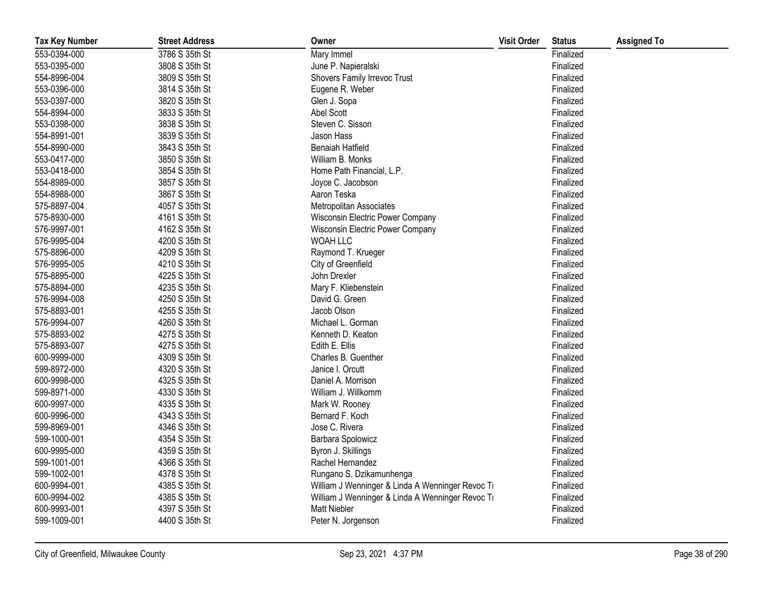| <b>Tax Key Number</b> | <b>Street Address</b> | Owner                                            | <b>Visit Order</b> | <b>Status</b> | <b>Assigned To</b> |
|-----------------------|-----------------------|--------------------------------------------------|--------------------|---------------|--------------------|
| 553-0394-000          | 3786 S 35th St        | Mary Immel                                       |                    | Finalized     |                    |
| 553-0395-000          | 3808 S 35th St        | June P. Napieralski                              |                    | Finalized     |                    |
| 554-8996-004          | 3809 S 35th St        | Shovers Family Irrevoc Trust                     |                    | Finalized     |                    |
| 553-0396-000          | 3814 S 35th St        | Eugene R. Weber                                  |                    | Finalized     |                    |
| 553-0397-000          | 3820 S 35th St        | Glen J. Sopa                                     |                    | Finalized     |                    |
| 554-8994-000          | 3833 S 35th St        | Abel Scott                                       |                    | Finalized     |                    |
| 553-0398-000          | 3838 S 35th St        | Steven C. Sisson                                 |                    | Finalized     |                    |
| 554-8991-001          | 3839 S 35th St        | Jason Hass                                       |                    | Finalized     |                    |
| 554-8990-000          | 3843 S 35th St        | Benaiah Hatfield                                 |                    | Finalized     |                    |
| 553-0417-000          | 3850 S 35th St        | William B. Monks                                 |                    | Finalized     |                    |
| 553-0418-000          | 3854 S 35th St        | Home Path Financial, L.P.                        |                    | Finalized     |                    |
| 554-8989-000          | 3857 S 35th St        | Joyce C. Jacobson                                |                    | Finalized     |                    |
| 554-8988-000          | 3867 S 35th St        | Aaron Teska                                      |                    | Finalized     |                    |
| 575-8897-004          | 4057 S 35th St        | <b>Metropolitan Associates</b>                   |                    | Finalized     |                    |
| 575-8930-000          | 4161 S 35th St        | Wisconsin Electric Power Company                 |                    | Finalized     |                    |
| 576-9997-001          | 4162 S 35th St        | Wisconsin Electric Power Company                 |                    | Finalized     |                    |
| 576-9995-004          | 4200 S 35th St        | WOAH LLC                                         |                    | Finalized     |                    |
| 575-8896-000          | 4209 S 35th St        | Raymond T. Krueger                               |                    | Finalized     |                    |
| 576-9995-005          | 4210 S 35th St        | City of Greenfield                               |                    | Finalized     |                    |
| 575-8895-000          | 4225 S 35th St        | John Drexler                                     |                    | Finalized     |                    |
| 575-8894-000          | 4235 S 35th St        | Mary F. Kliebenstein                             |                    | Finalized     |                    |
| 576-9994-008          | 4250 S 35th St        | David G. Green                                   |                    | Finalized     |                    |
| 575-8893-001          | 4255 S 35th St        | Jacob Olson                                      |                    | Finalized     |                    |
| 576-9994-007          | 4260 S 35th St        | Michael L. Gorman                                |                    | Finalized     |                    |
| 575-8893-002          | 4275 S 35th St        | Kenneth D. Keaton                                |                    | Finalized     |                    |
| 575-8893-007          | 4275 S 35th St        | Edith E. Ellis                                   |                    | Finalized     |                    |
| 600-9999-000          | 4309 S 35th St        | Charles B. Guenther                              |                    | Finalized     |                    |
| 599-8972-000          | 4320 S 35th St        | Janice I. Orcutt                                 |                    | Finalized     |                    |
| 600-9998-000          | 4325 S 35th St        | Daniel A. Morrison                               |                    | Finalized     |                    |
| 599-8971-000          | 4330 S 35th St        | William J. Willkomm                              |                    | Finalized     |                    |
| 600-9997-000          | 4335 S 35th St        | Mark W. Rooney                                   |                    | Finalized     |                    |
| 600-9996-000          | 4343 S 35th St        | Bernard F. Koch                                  |                    | Finalized     |                    |
| 599-8969-001          | 4346 S 35th St        | Jose C. Rivera                                   |                    | Finalized     |                    |
| 599-1000-001          | 4354 S 35th St        | Barbara Spolowicz                                |                    | Finalized     |                    |
| 600-9995-000          | 4359 S 35th St        | Byron J. Skillings                               |                    | Finalized     |                    |
| 599-1001-001          | 4366 S 35th St        | Rachel Hernandez                                 |                    | Finalized     |                    |
| 599-1002-001          | 4378 S 35th St        | Rungano S. Dzikamunhenga                         |                    | Finalized     |                    |
| 600-9994-001          | 4385 S 35th St        | William J Wenninger & Linda A Wenninger Revoc Ti |                    | Finalized     |                    |
| 600-9994-002          | 4385 S 35th St        | William J Wenninger & Linda A Wenninger Revoc Ti |                    | Finalized     |                    |
| 600-9993-001          | 4397 S 35th St        | <b>Matt Niebler</b>                              |                    | Finalized     |                    |
| 599-1009-001          | 4400 S 35th St        | Peter N. Jorgenson                               |                    | Finalized     |                    |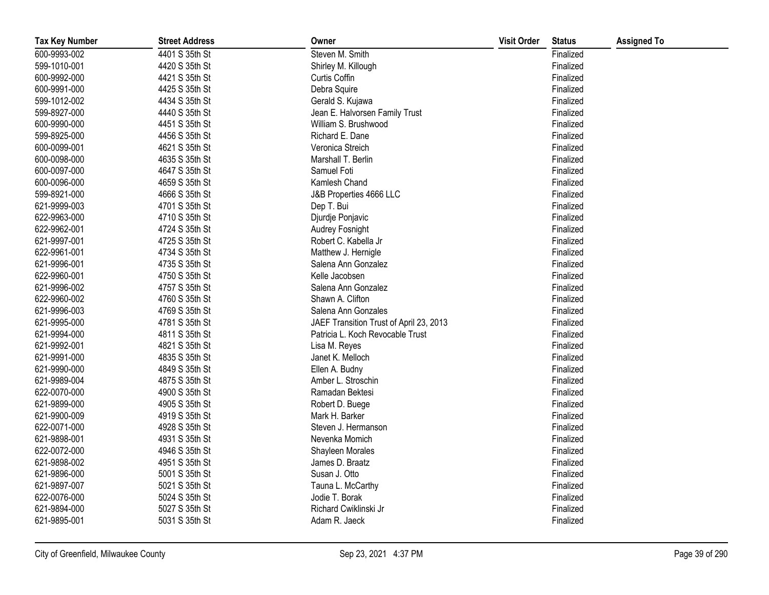| <b>Tax Key Number</b> | <b>Street Address</b> | Owner                                   | <b>Visit Order</b> | <b>Status</b> | <b>Assigned To</b> |
|-----------------------|-----------------------|-----------------------------------------|--------------------|---------------|--------------------|
| 600-9993-002          | 4401 S 35th St        | Steven M. Smith                         |                    | Finalized     |                    |
| 599-1010-001          | 4420 S 35th St        | Shirley M. Killough                     |                    | Finalized     |                    |
| 600-9992-000          | 4421 S 35th St        | Curtis Coffin                           |                    | Finalized     |                    |
| 600-9991-000          | 4425 S 35th St        | Debra Squire                            |                    | Finalized     |                    |
| 599-1012-002          | 4434 S 35th St        | Gerald S. Kujawa                        |                    | Finalized     |                    |
| 599-8927-000          | 4440 S 35th St        | Jean E. Halvorsen Family Trust          |                    | Finalized     |                    |
| 600-9990-000          | 4451 S 35th St        | William S. Brushwood                    |                    | Finalized     |                    |
| 599-8925-000          | 4456 S 35th St        | Richard E. Dane                         |                    | Finalized     |                    |
| 600-0099-001          | 4621 S 35th St        | Veronica Streich                        |                    | Finalized     |                    |
| 600-0098-000          | 4635 S 35th St        | Marshall T. Berlin                      |                    | Finalized     |                    |
| 600-0097-000          | 4647 S 35th St        | Samuel Foti                             |                    | Finalized     |                    |
| 600-0096-000          | 4659 S 35th St        | Kamlesh Chand                           |                    | Finalized     |                    |
| 599-8921-000          | 4666 S 35th St        | J&B Properties 4666 LLC                 |                    | Finalized     |                    |
| 621-9999-003          | 4701 S 35th St        | Dep T. Bui                              |                    | Finalized     |                    |
| 622-9963-000          | 4710 S 35th St        | Djurdje Ponjavic                        |                    | Finalized     |                    |
| 622-9962-001          | 4724 S 35th St        | Audrey Fosnight                         |                    | Finalized     |                    |
| 621-9997-001          | 4725 S 35th St        | Robert C. Kabella Jr                    |                    | Finalized     |                    |
| 622-9961-001          | 4734 S 35th St        | Matthew J. Hernigle                     |                    | Finalized     |                    |
| 621-9996-001          | 4735 S 35th St        | Salena Ann Gonzalez                     |                    | Finalized     |                    |
| 622-9960-001          | 4750 S 35th St        | Kelle Jacobsen                          |                    | Finalized     |                    |
| 621-9996-002          | 4757 S 35th St        | Salena Ann Gonzalez                     |                    | Finalized     |                    |
| 622-9960-002          | 4760 S 35th St        | Shawn A. Clifton                        |                    | Finalized     |                    |
| 621-9996-003          | 4769 S 35th St        | Salena Ann Gonzales                     |                    | Finalized     |                    |
| 621-9995-000          | 4781 S 35th St        | JAEF Transition Trust of April 23, 2013 |                    | Finalized     |                    |
| 621-9994-000          | 4811 S 35th St        | Patricia L. Koch Revocable Trust        |                    | Finalized     |                    |
| 621-9992-001          | 4821 S 35th St        | Lisa M. Reyes                           |                    | Finalized     |                    |
| 621-9991-000          | 4835 S 35th St        | Janet K. Melloch                        |                    | Finalized     |                    |
| 621-9990-000          | 4849 S 35th St        | Ellen A. Budny                          |                    | Finalized     |                    |
| 621-9989-004          | 4875 S 35th St        | Amber L. Stroschin                      |                    | Finalized     |                    |
| 622-0070-000          | 4900 S 35th St        | Ramadan Bektesi                         |                    | Finalized     |                    |
| 621-9899-000          | 4905 S 35th St        | Robert D. Buege                         |                    | Finalized     |                    |
| 621-9900-009          | 4919 S 35th St        | Mark H. Barker                          |                    | Finalized     |                    |
| 622-0071-000          | 4928 S 35th St        | Steven J. Hermanson                     |                    | Finalized     |                    |
| 621-9898-001          | 4931 S 35th St        | Nevenka Momich                          |                    | Finalized     |                    |
| 622-0072-000          | 4946 S 35th St        | Shayleen Morales                        |                    | Finalized     |                    |
| 621-9898-002          | 4951 S 35th St        | James D. Braatz                         |                    | Finalized     |                    |
| 621-9896-000          | 5001 S 35th St        | Susan J. Otto                           |                    | Finalized     |                    |
| 621-9897-007          | 5021 S 35th St        | Tauna L. McCarthy                       |                    | Finalized     |                    |
| 622-0076-000          | 5024 S 35th St        | Jodie T. Borak                          |                    | Finalized     |                    |
| 621-9894-000          | 5027 S 35th St        | Richard Cwiklinski Jr                   |                    | Finalized     |                    |
| 621-9895-001          | 5031 S 35th St        | Adam R. Jaeck                           |                    | Finalized     |                    |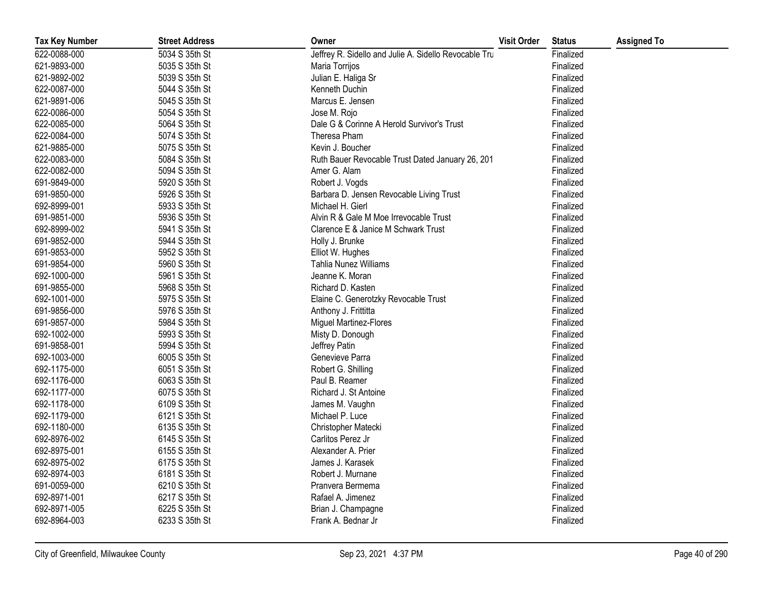| <b>Tax Key Number</b> | <b>Street Address</b> | Owner                                                 | <b>Visit Order</b> | <b>Status</b> | <b>Assigned To</b> |
|-----------------------|-----------------------|-------------------------------------------------------|--------------------|---------------|--------------------|
| 622-0088-000          | 5034 S 35th St        | Jeffrey R. Sidello and Julie A. Sidello Revocable Tru |                    | Finalized     |                    |
| 621-9893-000          | 5035 S 35th St        | Maria Torrijos                                        |                    | Finalized     |                    |
| 621-9892-002          | 5039 S 35th St        | Julian E. Haliga Sr                                   |                    | Finalized     |                    |
| 622-0087-000          | 5044 S 35th St        | Kenneth Duchin                                        |                    | Finalized     |                    |
| 621-9891-006          | 5045 S 35th St        | Marcus E. Jensen                                      |                    | Finalized     |                    |
| 622-0086-000          | 5054 S 35th St        | Jose M. Rojo                                          |                    | Finalized     |                    |
| 622-0085-000          | 5064 S 35th St        | Dale G & Corinne A Herold Survivor's Trust            |                    | Finalized     |                    |
| 622-0084-000          | 5074 S 35th St        | Theresa Pham                                          |                    | Finalized     |                    |
| 621-9885-000          | 5075 S 35th St        | Kevin J. Boucher                                      |                    | Finalized     |                    |
| 622-0083-000          | 5084 S 35th St        | Ruth Bauer Revocable Trust Dated January 26, 201      |                    | Finalized     |                    |
| 622-0082-000          | 5094 S 35th St        | Amer G. Alam                                          |                    | Finalized     |                    |
| 691-9849-000          | 5920 S 35th St        | Robert J. Vogds                                       |                    | Finalized     |                    |
| 691-9850-000          | 5926 S 35th St        | Barbara D. Jensen Revocable Living Trust              |                    | Finalized     |                    |
| 692-8999-001          | 5933 S 35th St        | Michael H. Gierl                                      |                    | Finalized     |                    |
| 691-9851-000          | 5936 S 35th St        | Alvin R & Gale M Moe Irrevocable Trust                |                    | Finalized     |                    |
| 692-8999-002          | 5941 S 35th St        | Clarence E & Janice M Schwark Trust                   |                    | Finalized     |                    |
| 691-9852-000          | 5944 S 35th St        | Holly J. Brunke                                       |                    | Finalized     |                    |
| 691-9853-000          | 5952 S 35th St        | Elliot W. Hughes                                      |                    | Finalized     |                    |
| 691-9854-000          | 5960 S 35th St        | Tahlia Nunez Williams                                 |                    | Finalized     |                    |
| 692-1000-000          | 5961 S 35th St        | Jeanne K. Moran                                       |                    | Finalized     |                    |
| 691-9855-000          | 5968 S 35th St        | Richard D. Kasten                                     |                    | Finalized     |                    |
| 692-1001-000          | 5975 S 35th St        | Elaine C. Generotzky Revocable Trust                  |                    | Finalized     |                    |
| 691-9856-000          | 5976 S 35th St        | Anthony J. Frittitta                                  |                    | Finalized     |                    |
| 691-9857-000          | 5984 S 35th St        | Miguel Martinez-Flores                                |                    | Finalized     |                    |
| 692-1002-000          | 5993 S 35th St        | Misty D. Donough                                      |                    | Finalized     |                    |
| 691-9858-001          | 5994 S 35th St        | Jeffrey Patin                                         |                    | Finalized     |                    |
| 692-1003-000          | 6005 S 35th St        | Genevieve Parra                                       |                    | Finalized     |                    |
| 692-1175-000          | 6051 S 35th St        | Robert G. Shilling                                    |                    | Finalized     |                    |
| 692-1176-000          | 6063 S 35th St        | Paul B. Reamer                                        |                    | Finalized     |                    |
| 692-1177-000          | 6075 S 35th St        | Richard J. St Antoine                                 |                    | Finalized     |                    |
| 692-1178-000          | 6109 S 35th St        | James M. Vaughn                                       |                    | Finalized     |                    |
| 692-1179-000          | 6121 S 35th St        | Michael P. Luce                                       |                    | Finalized     |                    |
| 692-1180-000          | 6135 S 35th St        | Christopher Matecki                                   |                    | Finalized     |                    |
| 692-8976-002          | 6145 S 35th St        | Carlitos Perez Jr                                     |                    | Finalized     |                    |
| 692-8975-001          | 6155 S 35th St        | Alexander A. Prier                                    |                    | Finalized     |                    |
| 692-8975-002          | 6175 S 35th St        | James J. Karasek                                      |                    | Finalized     |                    |
| 692-8974-003          | 6181 S 35th St        | Robert J. Murnane                                     |                    | Finalized     |                    |
| 691-0059-000          | 6210 S 35th St        | Pranvera Bermema                                      |                    | Finalized     |                    |
| 692-8971-001          | 6217 S 35th St        | Rafael A. Jimenez                                     |                    | Finalized     |                    |
| 692-8971-005          | 6225 S 35th St        | Brian J. Champagne                                    |                    | Finalized     |                    |
| 692-8964-003          | 6233 S 35th St        | Frank A. Bednar Jr                                    |                    | Finalized     |                    |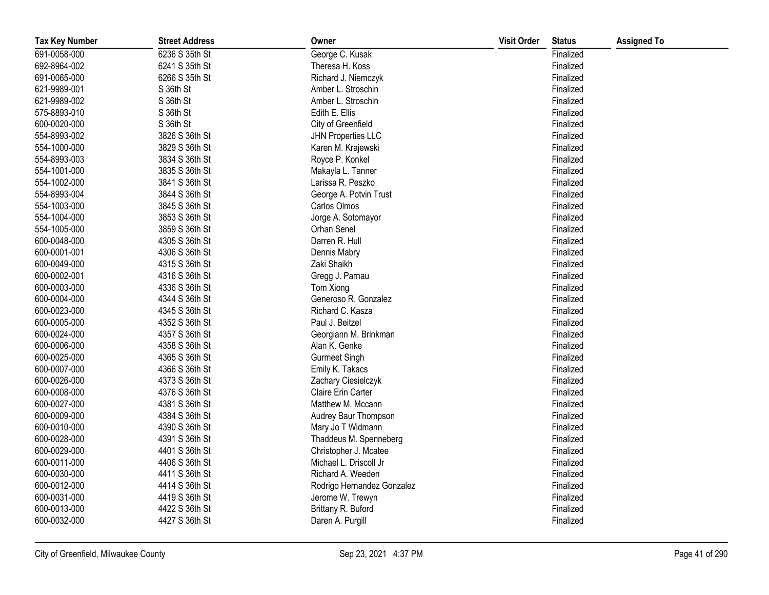| <b>Tax Key Number</b> | <b>Street Address</b> | Owner                      | <b>Visit Order</b> | <b>Status</b> | <b>Assigned To</b> |
|-----------------------|-----------------------|----------------------------|--------------------|---------------|--------------------|
| 691-0058-000          | 6236 S 35th St        | George C. Kusak            |                    | Finalized     |                    |
| 692-8964-002          | 6241 S 35th St        | Theresa H. Koss            |                    | Finalized     |                    |
| 691-0065-000          | 6266 S 35th St        | Richard J. Niemczyk        |                    | Finalized     |                    |
| 621-9989-001          | S 36th St             | Amber L. Stroschin         |                    | Finalized     |                    |
| 621-9989-002          | S 36th St             | Amber L. Stroschin         |                    | Finalized     |                    |
| 575-8893-010          | S 36th St             | Edith E. Ellis             |                    | Finalized     |                    |
| 600-0020-000          | S 36th St             | City of Greenfield         |                    | Finalized     |                    |
| 554-8993-002          | 3826 S 36th St        | <b>JHN Properties LLC</b>  |                    | Finalized     |                    |
| 554-1000-000          | 3829 S 36th St        | Karen M. Krajewski         |                    | Finalized     |                    |
| 554-8993-003          | 3834 S 36th St        | Royce P. Konkel            |                    | Finalized     |                    |
| 554-1001-000          | 3835 S 36th St        | Makayla L. Tanner          |                    | Finalized     |                    |
| 554-1002-000          | 3841 S 36th St        | Larissa R. Peszko          |                    | Finalized     |                    |
| 554-8993-004          | 3844 S 36th St        | George A. Potvin Trust     |                    | Finalized     |                    |
| 554-1003-000          | 3845 S 36th St        | Carlos Olmos               |                    | Finalized     |                    |
| 554-1004-000          | 3853 S 36th St        | Jorge A. Sotomayor         |                    | Finalized     |                    |
| 554-1005-000          | 3859 S 36th St        | Orhan Senel                |                    | Finalized     |                    |
| 600-0048-000          | 4305 S 36th St        | Darren R. Hull             |                    | Finalized     |                    |
| 600-0001-001          | 4306 S 36th St        | Dennis Mabry               |                    | Finalized     |                    |
| 600-0049-000          | 4315 S 36th St        | Zaki Shaikh                |                    | Finalized     |                    |
| 600-0002-001          | 4316 S 36th St        | Gregg J. Parnau            |                    | Finalized     |                    |
| 600-0003-000          | 4336 S 36th St        | Tom Xiong                  |                    | Finalized     |                    |
| 600-0004-000          | 4344 S 36th St        | Generoso R. Gonzalez       |                    | Finalized     |                    |
| 600-0023-000          | 4345 S 36th St        | Richard C. Kasza           |                    | Finalized     |                    |
| 600-0005-000          | 4352 S 36th St        | Paul J. Beitzel            |                    | Finalized     |                    |
| 600-0024-000          | 4357 S 36th St        | Georgiann M. Brinkman      |                    | Finalized     |                    |
| 600-0006-000          | 4358 S 36th St        | Alan K. Genke              |                    | Finalized     |                    |
| 600-0025-000          | 4365 S 36th St        | <b>Gurmeet Singh</b>       |                    | Finalized     |                    |
| 600-0007-000          | 4366 S 36th St        | Emily K. Takacs            |                    | Finalized     |                    |
| 600-0026-000          | 4373 S 36th St        | Zachary Ciesielczyk        |                    | Finalized     |                    |
| 600-0008-000          | 4376 S 36th St        | Claire Erin Carter         |                    | Finalized     |                    |
| 600-0027-000          | 4381 S 36th St        | Matthew M. Mccann          |                    | Finalized     |                    |
| 600-0009-000          | 4384 S 36th St        | Audrey Baur Thompson       |                    | Finalized     |                    |
| 600-0010-000          | 4390 S 36th St        | Mary Jo T Widmann          |                    | Finalized     |                    |
| 600-0028-000          | 4391 S 36th St        | Thaddeus M. Spenneberg     |                    | Finalized     |                    |
| 600-0029-000          | 4401 S 36th St        | Christopher J. Mcatee      |                    | Finalized     |                    |
| 600-0011-000          | 4406 S 36th St        | Michael L. Driscoll Jr     |                    | Finalized     |                    |
| 600-0030-000          | 4411 S 36th St        | Richard A. Weeden          |                    | Finalized     |                    |
| 600-0012-000          | 4414 S 36th St        | Rodrigo Hernandez Gonzalez |                    | Finalized     |                    |
| 600-0031-000          | 4419 S 36th St        | Jerome W. Trewyn           |                    | Finalized     |                    |
| 600-0013-000          | 4422 S 36th St        | Brittany R. Buford         |                    | Finalized     |                    |
| 600-0032-000          | 4427 S 36th St        | Daren A. Purgill           |                    | Finalized     |                    |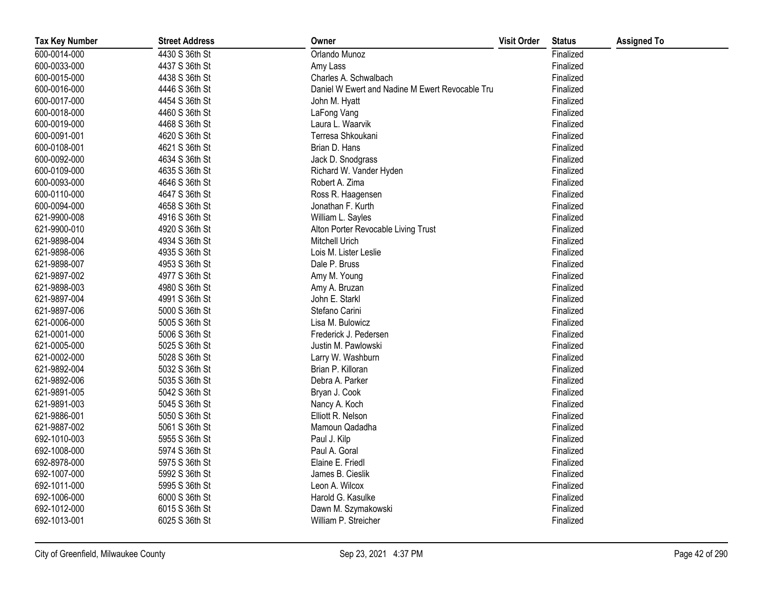| <b>Tax Key Number</b> | <b>Street Address</b> | Owner                                           | <b>Visit Order</b> | <b>Status</b> | <b>Assigned To</b> |
|-----------------------|-----------------------|-------------------------------------------------|--------------------|---------------|--------------------|
| 600-0014-000          | 4430 S 36th St        | Orlando Munoz                                   |                    | Finalized     |                    |
| 600-0033-000          | 4437 S 36th St        | Amy Lass                                        |                    | Finalized     |                    |
| 600-0015-000          | 4438 S 36th St        | Charles A. Schwalbach                           |                    | Finalized     |                    |
| 600-0016-000          | 4446 S 36th St        | Daniel W Ewert and Nadine M Ewert Revocable Tru |                    | Finalized     |                    |
| 600-0017-000          | 4454 S 36th St        | John M. Hyatt                                   |                    | Finalized     |                    |
| 600-0018-000          | 4460 S 36th St        | LaFong Vang                                     |                    | Finalized     |                    |
| 600-0019-000          | 4468 S 36th St        | Laura L. Waarvik                                |                    | Finalized     |                    |
| 600-0091-001          | 4620 S 36th St        | Terresa Shkoukani                               |                    | Finalized     |                    |
| 600-0108-001          | 4621 S 36th St        | Brian D. Hans                                   |                    | Finalized     |                    |
| 600-0092-000          | 4634 S 36th St        | Jack D. Snodgrass                               |                    | Finalized     |                    |
| 600-0109-000          | 4635 S 36th St        | Richard W. Vander Hyden                         |                    | Finalized     |                    |
| 600-0093-000          | 4646 S 36th St        | Robert A. Zima                                  |                    | Finalized     |                    |
| 600-0110-000          | 4647 S 36th St        | Ross R. Haagensen                               |                    | Finalized     |                    |
| 600-0094-000          | 4658 S 36th St        | Jonathan F. Kurth                               |                    | Finalized     |                    |
| 621-9900-008          | 4916 S 36th St        | William L. Sayles                               |                    | Finalized     |                    |
| 621-9900-010          | 4920 S 36th St        | Alton Porter Revocable Living Trust             |                    | Finalized     |                    |
| 621-9898-004          | 4934 S 36th St        | Mitchell Urich                                  |                    | Finalized     |                    |
| 621-9898-006          | 4935 S 36th St        | Lois M. Lister Leslie                           |                    | Finalized     |                    |
| 621-9898-007          | 4953 S 36th St        | Dale P. Bruss                                   |                    | Finalized     |                    |
| 621-9897-002          | 4977 S 36th St        | Amy M. Young                                    |                    | Finalized     |                    |
| 621-9898-003          | 4980 S 36th St        | Amy A. Bruzan                                   |                    | Finalized     |                    |
| 621-9897-004          | 4991 S 36th St        | John E. Starkl                                  |                    | Finalized     |                    |
| 621-9897-006          | 5000 S 36th St        | Stefano Carini                                  |                    | Finalized     |                    |
| 621-0006-000          | 5005 S 36th St        | Lisa M. Bulowicz                                |                    | Finalized     |                    |
| 621-0001-000          | 5006 S 36th St        | Frederick J. Pedersen                           |                    | Finalized     |                    |
| 621-0005-000          | 5025 S 36th St        | Justin M. Pawlowski                             |                    | Finalized     |                    |
| 621-0002-000          | 5028 S 36th St        | Larry W. Washburn                               |                    | Finalized     |                    |
| 621-9892-004          | 5032 S 36th St        | Brian P. Killoran                               |                    | Finalized     |                    |
| 621-9892-006          | 5035 S 36th St        | Debra A. Parker                                 |                    | Finalized     |                    |
| 621-9891-005          | 5042 S 36th St        | Bryan J. Cook                                   |                    | Finalized     |                    |
| 621-9891-003          | 5045 S 36th St        | Nancy A. Koch                                   |                    | Finalized     |                    |
| 621-9886-001          | 5050 S 36th St        | Elliott R. Nelson                               |                    | Finalized     |                    |
| 621-9887-002          | 5061 S 36th St        | Mamoun Qadadha                                  |                    | Finalized     |                    |
| 692-1010-003          | 5955 S 36th St        | Paul J. Kilp                                    |                    | Finalized     |                    |
| 692-1008-000          | 5974 S 36th St        | Paul A. Goral                                   |                    | Finalized     |                    |
| 692-8978-000          | 5975 S 36th St        | Elaine E. Friedl                                |                    | Finalized     |                    |
| 692-1007-000          | 5992 S 36th St        | James B. Cieslik                                |                    | Finalized     |                    |
| 692-1011-000          | 5995 S 36th St        | Leon A. Wilcox                                  |                    | Finalized     |                    |
| 692-1006-000          | 6000 S 36th St        | Harold G. Kasulke                               |                    | Finalized     |                    |
| 692-1012-000          | 6015 S 36th St        | Dawn M. Szymakowski                             |                    | Finalized     |                    |
| 692-1013-001          | 6025 S 36th St        | William P. Streicher                            |                    | Finalized     |                    |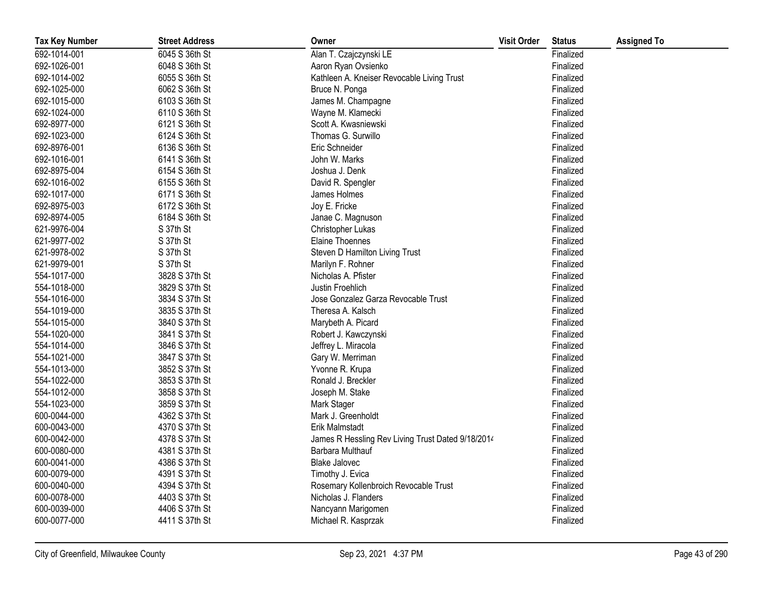| <b>Tax Key Number</b> | <b>Street Address</b> | Owner                                             | <b>Visit Order</b> | <b>Status</b> | <b>Assigned To</b> |
|-----------------------|-----------------------|---------------------------------------------------|--------------------|---------------|--------------------|
| 692-1014-001          | 6045 S 36th St        | Alan T. Czajczynski LE                            |                    | Finalized     |                    |
| 692-1026-001          | 6048 S 36th St        | Aaron Ryan Ovsienko                               |                    | Finalized     |                    |
| 692-1014-002          | 6055 S 36th St        | Kathleen A. Kneiser Revocable Living Trust        |                    | Finalized     |                    |
| 692-1025-000          | 6062 S 36th St        | Bruce N. Ponga                                    |                    | Finalized     |                    |
| 692-1015-000          | 6103 S 36th St        | James M. Champagne                                |                    | Finalized     |                    |
| 692-1024-000          | 6110 S 36th St        | Wayne M. Klamecki                                 |                    | Finalized     |                    |
| 692-8977-000          | 6121 S 36th St        | Scott A. Kwasniewski                              |                    | Finalized     |                    |
| 692-1023-000          | 6124 S 36th St        | Thomas G. Surwillo                                |                    | Finalized     |                    |
| 692-8976-001          | 6136 S 36th St        | Eric Schneider                                    |                    | Finalized     |                    |
| 692-1016-001          | 6141 S 36th St        | John W. Marks                                     |                    | Finalized     |                    |
| 692-8975-004          | 6154 S 36th St        | Joshua J. Denk                                    |                    | Finalized     |                    |
| 692-1016-002          | 6155 S 36th St        | David R. Spengler                                 |                    | Finalized     |                    |
| 692-1017-000          | 6171 S 36th St        | James Holmes                                      |                    | Finalized     |                    |
| 692-8975-003          | 6172 S 36th St        | Joy E. Fricke                                     |                    | Finalized     |                    |
| 692-8974-005          | 6184 S 36th St        | Janae C. Magnuson                                 |                    | Finalized     |                    |
| 621-9976-004          | S 37th St             | Christopher Lukas                                 |                    | Finalized     |                    |
| 621-9977-002          | S 37th St             | Elaine Thoennes                                   |                    | Finalized     |                    |
| 621-9978-002          | S 37th St             | Steven D Hamilton Living Trust                    |                    | Finalized     |                    |
| 621-9979-001          | S 37th St             | Marilyn F. Rohner                                 |                    | Finalized     |                    |
| 554-1017-000          | 3828 S 37th St        | Nicholas A. Pfister                               |                    | Finalized     |                    |
| 554-1018-000          | 3829 S 37th St        | Justin Froehlich                                  |                    | Finalized     |                    |
| 554-1016-000          | 3834 S 37th St        | Jose Gonzalez Garza Revocable Trust               |                    | Finalized     |                    |
| 554-1019-000          | 3835 S 37th St        | Theresa A. Kalsch                                 |                    | Finalized     |                    |
| 554-1015-000          | 3840 S 37th St        | Marybeth A. Picard                                |                    | Finalized     |                    |
| 554-1020-000          | 3841 S 37th St        | Robert J. Kawczynski                              |                    | Finalized     |                    |
| 554-1014-000          | 3846 S 37th St        | Jeffrey L. Miracola                               |                    | Finalized     |                    |
| 554-1021-000          | 3847 S 37th St        | Gary W. Merriman                                  |                    | Finalized     |                    |
| 554-1013-000          | 3852 S 37th St        | Yvonne R. Krupa                                   |                    | Finalized     |                    |
| 554-1022-000          | 3853 S 37th St        | Ronald J. Breckler                                |                    | Finalized     |                    |
| 554-1012-000          | 3858 S 37th St        | Joseph M. Stake                                   |                    | Finalized     |                    |
| 554-1023-000          | 3859 S 37th St        | Mark Stager                                       |                    | Finalized     |                    |
| 600-0044-000          | 4362 S 37th St        | Mark J. Greenholdt                                |                    | Finalized     |                    |
| 600-0043-000          | 4370 S 37th St        | Erik Malmstadt                                    |                    | Finalized     |                    |
| 600-0042-000          | 4378 S 37th St        | James R Hessling Rev Living Trust Dated 9/18/2014 |                    | Finalized     |                    |
| 600-0080-000          | 4381 S 37th St        | Barbara Multhauf                                  |                    | Finalized     |                    |
| 600-0041-000          | 4386 S 37th St        | <b>Blake Jalovec</b>                              |                    | Finalized     |                    |
| 600-0079-000          | 4391 S 37th St        | Timothy J. Evica                                  |                    | Finalized     |                    |
| 600-0040-000          | 4394 S 37th St        | Rosemary Kollenbroich Revocable Trust             |                    | Finalized     |                    |
| 600-0078-000          | 4403 S 37th St        | Nicholas J. Flanders                              |                    | Finalized     |                    |
| 600-0039-000          | 4406 S 37th St        | Nancyann Marigomen                                |                    | Finalized     |                    |
| 600-0077-000          | 4411 S 37th St        | Michael R. Kasprzak                               |                    | Finalized     |                    |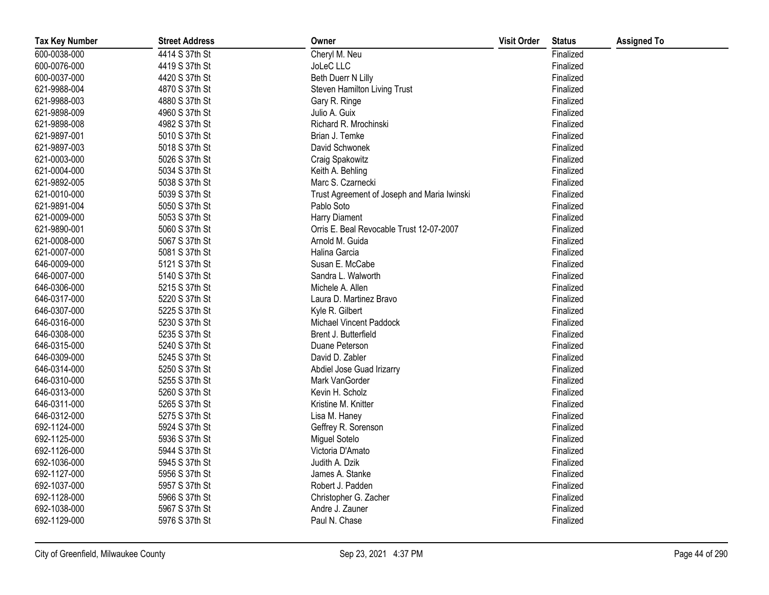| <b>Tax Key Number</b> | <b>Street Address</b> | Owner                                       | <b>Visit Order</b> | <b>Status</b> | <b>Assigned To</b> |
|-----------------------|-----------------------|---------------------------------------------|--------------------|---------------|--------------------|
| 600-0038-000          | 4414 S 37th St        | Cheryl M. Neu                               |                    | Finalized     |                    |
| 600-0076-000          | 4419 S 37th St        | JoLeC LLC                                   |                    | Finalized     |                    |
| 600-0037-000          | 4420 S 37th St        | Beth Duerr N Lilly                          |                    | Finalized     |                    |
| 621-9988-004          | 4870 S 37th St        | Steven Hamilton Living Trust                |                    | Finalized     |                    |
| 621-9988-003          | 4880 S 37th St        | Gary R. Ringe                               |                    | Finalized     |                    |
| 621-9898-009          | 4960 S 37th St        | Julio A. Guix                               |                    | Finalized     |                    |
| 621-9898-008          | 4982 S 37th St        | Richard R. Mrochinski                       |                    | Finalized     |                    |
| 621-9897-001          | 5010 S 37th St        | Brian J. Temke                              |                    | Finalized     |                    |
| 621-9897-003          | 5018 S 37th St        | David Schwonek                              |                    | Finalized     |                    |
| 621-0003-000          | 5026 S 37th St        | Craig Spakowitz                             |                    | Finalized     |                    |
| 621-0004-000          | 5034 S 37th St        | Keith A. Behling                            |                    | Finalized     |                    |
| 621-9892-005          | 5038 S 37th St        | Marc S. Czarnecki                           |                    | Finalized     |                    |
| 621-0010-000          | 5039 S 37th St        | Trust Agreement of Joseph and Maria Iwinski |                    | Finalized     |                    |
| 621-9891-004          | 5050 S 37th St        | Pablo Soto                                  |                    | Finalized     |                    |
| 621-0009-000          | 5053 S 37th St        | Harry Diament                               |                    | Finalized     |                    |
| 621-9890-001          | 5060 S 37th St        | Orris E. Beal Revocable Trust 12-07-2007    |                    | Finalized     |                    |
| 621-0008-000          | 5067 S 37th St        | Arnold M. Guida                             |                    | Finalized     |                    |
| 621-0007-000          | 5081 S 37th St        | Halina Garcia                               |                    | Finalized     |                    |
| 646-0009-000          | 5121 S 37th St        | Susan E. McCabe                             |                    | Finalized     |                    |
| 646-0007-000          | 5140 S 37th St        | Sandra L. Walworth                          |                    | Finalized     |                    |
| 646-0306-000          | 5215 S 37th St        | Michele A. Allen                            |                    | Finalized     |                    |
| 646-0317-000          | 5220 S 37th St        | Laura D. Martinez Bravo                     |                    | Finalized     |                    |
| 646-0307-000          | 5225 S 37th St        | Kyle R. Gilbert                             |                    | Finalized     |                    |
| 646-0316-000          | 5230 S 37th St        | Michael Vincent Paddock                     |                    | Finalized     |                    |
| 646-0308-000          | 5235 S 37th St        | Brent J. Butterfield                        |                    | Finalized     |                    |
| 646-0315-000          | 5240 S 37th St        | Duane Peterson                              |                    | Finalized     |                    |
| 646-0309-000          | 5245 S 37th St        | David D. Zabler                             |                    | Finalized     |                    |
| 646-0314-000          | 5250 S 37th St        | Abdiel Jose Guad Irizarry                   |                    | Finalized     |                    |
| 646-0310-000          | 5255 S 37th St        | Mark VanGorder                              |                    | Finalized     |                    |
| 646-0313-000          | 5260 S 37th St        | Kevin H. Scholz                             |                    | Finalized     |                    |
| 646-0311-000          | 5265 S 37th St        | Kristine M. Knitter                         |                    | Finalized     |                    |
| 646-0312-000          | 5275 S 37th St        | Lisa M. Haney                               |                    | Finalized     |                    |
| 692-1124-000          | 5924 S 37th St        | Geffrey R. Sorenson                         |                    | Finalized     |                    |
| 692-1125-000          | 5936 S 37th St        | Miguel Sotelo                               |                    | Finalized     |                    |
| 692-1126-000          | 5944 S 37th St        | Victoria D'Amato                            |                    | Finalized     |                    |
| 692-1036-000          | 5945 S 37th St        | Judith A. Dzik                              |                    | Finalized     |                    |
| 692-1127-000          | 5956 S 37th St        | James A. Stanke                             |                    | Finalized     |                    |
| 692-1037-000          | 5957 S 37th St        | Robert J. Padden                            |                    | Finalized     |                    |
| 692-1128-000          | 5966 S 37th St        | Christopher G. Zacher                       |                    | Finalized     |                    |
| 692-1038-000          | 5967 S 37th St        | Andre J. Zauner                             |                    | Finalized     |                    |
| 692-1129-000          | 5976 S 37th St        | Paul N. Chase                               |                    | Finalized     |                    |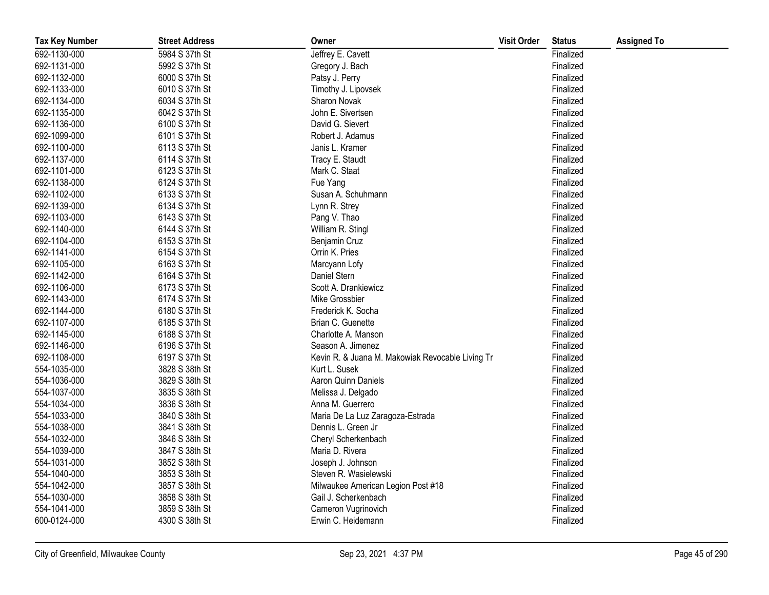| <b>Tax Key Number</b> | <b>Street Address</b> | Owner                                            | <b>Visit Order</b> | <b>Status</b> | <b>Assigned To</b> |
|-----------------------|-----------------------|--------------------------------------------------|--------------------|---------------|--------------------|
| 692-1130-000          | 5984 S 37th St        | Jeffrey E. Cavett                                |                    | Finalized     |                    |
| 692-1131-000          | 5992 S 37th St        | Gregory J. Bach                                  |                    | Finalized     |                    |
| 692-1132-000          | 6000 S 37th St        | Patsy J. Perry                                   |                    | Finalized     |                    |
| 692-1133-000          | 6010 S 37th St        | Timothy J. Lipovsek                              |                    | Finalized     |                    |
| 692-1134-000          | 6034 S 37th St        | Sharon Novak                                     |                    | Finalized     |                    |
| 692-1135-000          | 6042 S 37th St        | John E. Sivertsen                                |                    | Finalized     |                    |
| 692-1136-000          | 6100 S 37th St        | David G. Sievert                                 |                    | Finalized     |                    |
| 692-1099-000          | 6101 S 37th St        | Robert J. Adamus                                 |                    | Finalized     |                    |
| 692-1100-000          | 6113 S 37th St        | Janis L. Kramer                                  |                    | Finalized     |                    |
| 692-1137-000          | 6114 S 37th St        | Tracy E. Staudt                                  |                    | Finalized     |                    |
| 692-1101-000          | 6123 S 37th St        | Mark C. Staat                                    |                    | Finalized     |                    |
| 692-1138-000          | 6124 S 37th St        | Fue Yang                                         |                    | Finalized     |                    |
| 692-1102-000          | 6133 S 37th St        | Susan A. Schuhmann                               |                    | Finalized     |                    |
| 692-1139-000          | 6134 S 37th St        | Lynn R. Strey                                    |                    | Finalized     |                    |
| 692-1103-000          | 6143 S 37th St        | Pang V. Thao                                     |                    | Finalized     |                    |
| 692-1140-000          | 6144 S 37th St        | William R. Stingl                                |                    | Finalized     |                    |
| 692-1104-000          | 6153 S 37th St        | Benjamin Cruz                                    |                    | Finalized     |                    |
| 692-1141-000          | 6154 S 37th St        | Orrin K. Pries                                   |                    | Finalized     |                    |
| 692-1105-000          | 6163 S 37th St        | Marcyann Lofy                                    |                    | Finalized     |                    |
| 692-1142-000          | 6164 S 37th St        | Daniel Stern                                     |                    | Finalized     |                    |
| 692-1106-000          | 6173 S 37th St        | Scott A. Drankiewicz                             |                    | Finalized     |                    |
| 692-1143-000          | 6174 S 37th St        | Mike Grossbier                                   |                    | Finalized     |                    |
| 692-1144-000          | 6180 S 37th St        | Frederick K. Socha                               |                    | Finalized     |                    |
| 692-1107-000          | 6185 S 37th St        | Brian C. Guenette                                |                    | Finalized     |                    |
| 692-1145-000          | 6188 S 37th St        | Charlotte A. Manson                              |                    | Finalized     |                    |
| 692-1146-000          | 6196 S 37th St        | Season A. Jimenez                                |                    | Finalized     |                    |
| 692-1108-000          | 6197 S 37th St        | Kevin R. & Juana M. Makowiak Revocable Living Tr |                    | Finalized     |                    |
| 554-1035-000          | 3828 S 38th St        | Kurt L. Susek                                    |                    | Finalized     |                    |
| 554-1036-000          | 3829 S 38th St        | Aaron Quinn Daniels                              |                    | Finalized     |                    |
| 554-1037-000          | 3835 S 38th St        | Melissa J. Delgado                               |                    | Finalized     |                    |
| 554-1034-000          | 3836 S 38th St        | Anna M. Guerrero                                 |                    | Finalized     |                    |
| 554-1033-000          | 3840 S 38th St        | Maria De La Luz Zaragoza-Estrada                 |                    | Finalized     |                    |
| 554-1038-000          | 3841 S 38th St        | Dennis L. Green Jr                               |                    | Finalized     |                    |
| 554-1032-000          | 3846 S 38th St        | Cheryl Scherkenbach                              |                    | Finalized     |                    |
| 554-1039-000          | 3847 S 38th St        | Maria D. Rivera                                  |                    | Finalized     |                    |
| 554-1031-000          | 3852 S 38th St        | Joseph J. Johnson                                |                    | Finalized     |                    |
| 554-1040-000          | 3853 S 38th St        | Steven R. Wasielewski                            |                    | Finalized     |                    |
| 554-1042-000          | 3857 S 38th St        | Milwaukee American Legion Post #18               |                    | Finalized     |                    |
| 554-1030-000          | 3858 S 38th St        | Gail J. Scherkenbach                             |                    | Finalized     |                    |
| 554-1041-000          | 3859 S 38th St        | Cameron Vugrinovich                              |                    | Finalized     |                    |
| 600-0124-000          | 4300 S 38th St        | Erwin C. Heidemann                               |                    | Finalized     |                    |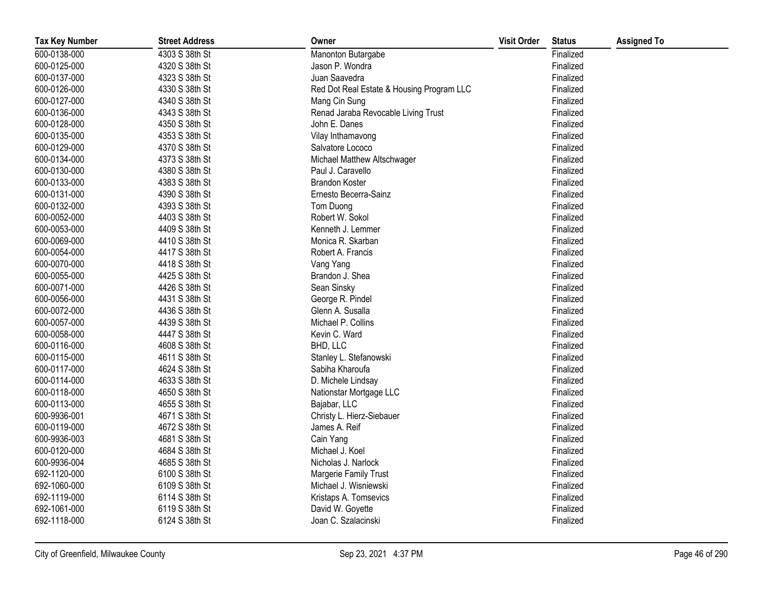| <b>Tax Key Number</b> | <b>Street Address</b> | Owner                                     | <b>Visit Order</b> | <b>Status</b> | <b>Assigned To</b> |
|-----------------------|-----------------------|-------------------------------------------|--------------------|---------------|--------------------|
| 600-0138-000          | 4303 S 38th St        | Manonton Butargabe                        |                    | Finalized     |                    |
| 600-0125-000          | 4320 S 38th St        | Jason P. Wondra                           |                    | Finalized     |                    |
| 600-0137-000          | 4323 S 38th St        | Juan Saavedra                             |                    | Finalized     |                    |
| 600-0126-000          | 4330 S 38th St        | Red Dot Real Estate & Housing Program LLC |                    | Finalized     |                    |
| 600-0127-000          | 4340 S 38th St        | Mang Cin Sung                             |                    | Finalized     |                    |
| 600-0136-000          | 4343 S 38th St        | Renad Jaraba Revocable Living Trust       |                    | Finalized     |                    |
| 600-0128-000          | 4350 S 38th St        | John E. Danes                             |                    | Finalized     |                    |
| 600-0135-000          | 4353 S 38th St        | Vilay Inthamavong                         |                    | Finalized     |                    |
| 600-0129-000          | 4370 S 38th St        | Salvatore Lococo                          |                    | Finalized     |                    |
| 600-0134-000          | 4373 S 38th St        | Michael Matthew Altschwager               |                    | Finalized     |                    |
| 600-0130-000          | 4380 S 38th St        | Paul J. Caravello                         |                    | Finalized     |                    |
| 600-0133-000          | 4383 S 38th St        | Brandon Koster                            |                    | Finalized     |                    |
| 600-0131-000          | 4390 S 38th St        | Ernesto Becerra-Sainz                     |                    | Finalized     |                    |
| 600-0132-000          | 4393 S 38th St        | Tom Duong                                 |                    | Finalized     |                    |
| 600-0052-000          | 4403 S 38th St        | Robert W. Sokol                           |                    | Finalized     |                    |
| 600-0053-000          | 4409 S 38th St        | Kenneth J. Lemmer                         |                    | Finalized     |                    |
| 600-0069-000          | 4410 S 38th St        | Monica R. Skarban                         |                    | Finalized     |                    |
| 600-0054-000          | 4417 S 38th St        | Robert A. Francis                         |                    | Finalized     |                    |
| 600-0070-000          | 4418 S 38th St        | Vang Yang                                 |                    | Finalized     |                    |
| 600-0055-000          | 4425 S 38th St        | Brandon J. Shea                           |                    | Finalized     |                    |
| 600-0071-000          | 4426 S 38th St        | Sean Sinsky                               |                    | Finalized     |                    |
| 600-0056-000          | 4431 S 38th St        | George R. Pindel                          |                    | Finalized     |                    |
| 600-0072-000          | 4436 S 38th St        | Glenn A. Susalla                          |                    | Finalized     |                    |
| 600-0057-000          | 4439 S 38th St        | Michael P. Collins                        |                    | Finalized     |                    |
| 600-0058-000          | 4447 S 38th St        | Kevin C. Ward                             |                    | Finalized     |                    |
| 600-0116-000          | 4608 S 38th St        | BHD, LLC                                  |                    | Finalized     |                    |
| 600-0115-000          | 4611 S 38th St        | Stanley L. Stefanowski                    |                    | Finalized     |                    |
| 600-0117-000          | 4624 S 38th St        | Sabiha Kharoufa                           |                    | Finalized     |                    |
| 600-0114-000          | 4633 S 38th St        | D. Michele Lindsay                        |                    | Finalized     |                    |
| 600-0118-000          | 4650 S 38th St        | Nationstar Mortgage LLC                   |                    | Finalized     |                    |
| 600-0113-000          | 4655 S 38th St        | Bajabar, LLC                              |                    | Finalized     |                    |
| 600-9936-001          | 4671 S 38th St        | Christy L. Hierz-Siebauer                 |                    | Finalized     |                    |
| 600-0119-000          | 4672 S 38th St        | James A. Reif                             |                    | Finalized     |                    |
| 600-9936-003          | 4681 S 38th St        | Cain Yang                                 |                    | Finalized     |                    |
| 600-0120-000          | 4684 S 38th St        | Michael J. Koel                           |                    | Finalized     |                    |
| 600-9936-004          | 4685 S 38th St        | Nicholas J. Narlock                       |                    | Finalized     |                    |
| 692-1120-000          | 6100 S 38th St        | Margerie Family Trust                     |                    | Finalized     |                    |
| 692-1060-000          | 6109 S 38th St        | Michael J. Wisniewski                     |                    | Finalized     |                    |
| 692-1119-000          | 6114 S 38th St        | Kristaps A. Tomsevics                     |                    | Finalized     |                    |
| 692-1061-000          | 6119 S 38th St        | David W. Goyette                          |                    | Finalized     |                    |
| 692-1118-000          | 6124 S 38th St        | Joan C. Szalacinski                       |                    | Finalized     |                    |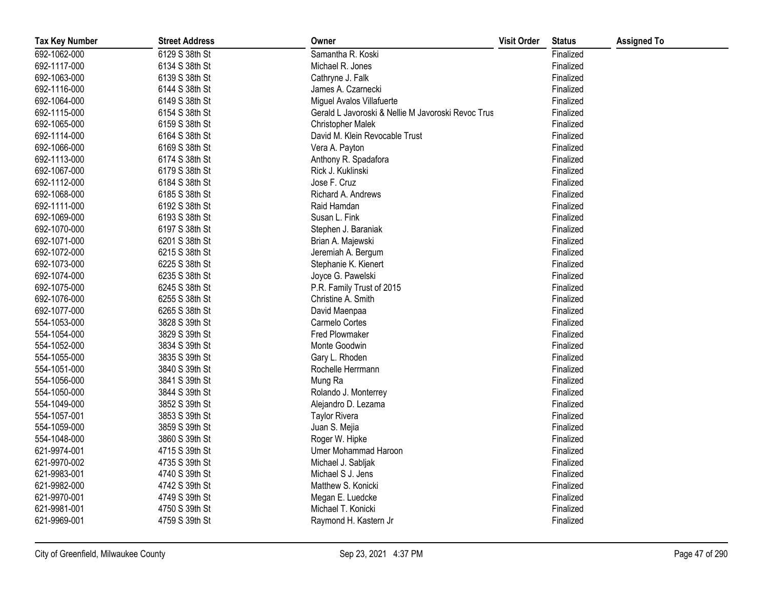| <b>Tax Key Number</b> | <b>Street Address</b> | Owner                                              | <b>Visit Order</b> | <b>Status</b> | <b>Assigned To</b> |
|-----------------------|-----------------------|----------------------------------------------------|--------------------|---------------|--------------------|
| 692-1062-000          | 6129 S 38th St        | Samantha R. Koski                                  |                    | Finalized     |                    |
| 692-1117-000          | 6134 S 38th St        | Michael R. Jones                                   |                    | Finalized     |                    |
| 692-1063-000          | 6139 S 38th St        | Cathryne J. Falk                                   |                    | Finalized     |                    |
| 692-1116-000          | 6144 S 38th St        | James A. Czarnecki                                 |                    | Finalized     |                    |
| 692-1064-000          | 6149 S 38th St        | Miguel Avalos Villafuerte                          |                    | Finalized     |                    |
| 692-1115-000          | 6154 S 38th St        | Gerald L Javoroski & Nellie M Javoroski Revoc Trus |                    | Finalized     |                    |
| 692-1065-000          | 6159 S 38th St        | <b>Christopher Malek</b>                           |                    | Finalized     |                    |
| 692-1114-000          | 6164 S 38th St        | David M. Klein Revocable Trust                     |                    | Finalized     |                    |
| 692-1066-000          | 6169 S 38th St        | Vera A. Payton                                     |                    | Finalized     |                    |
| 692-1113-000          | 6174 S 38th St        | Anthony R. Spadafora                               |                    | Finalized     |                    |
| 692-1067-000          | 6179 S 38th St        | Rick J. Kuklinski                                  |                    | Finalized     |                    |
| 692-1112-000          | 6184 S 38th St        | Jose F. Cruz                                       |                    | Finalized     |                    |
| 692-1068-000          | 6185 S 38th St        | Richard A. Andrews                                 |                    | Finalized     |                    |
| 692-1111-000          | 6192 S 38th St        | Raid Hamdan                                        |                    | Finalized     |                    |
| 692-1069-000          | 6193 S 38th St        | Susan L. Fink                                      |                    | Finalized     |                    |
| 692-1070-000          | 6197 S 38th St        | Stephen J. Baraniak                                |                    | Finalized     |                    |
| 692-1071-000          | 6201 S 38th St        | Brian A. Majewski                                  |                    | Finalized     |                    |
| 692-1072-000          | 6215 S 38th St        | Jeremiah A. Bergum                                 |                    | Finalized     |                    |
| 692-1073-000          | 6225 S 38th St        | Stephanie K. Kienert                               |                    | Finalized     |                    |
| 692-1074-000          | 6235 S 38th St        | Joyce G. Pawelski                                  |                    | Finalized     |                    |
| 692-1075-000          | 6245 S 38th St        | P.R. Family Trust of 2015                          |                    | Finalized     |                    |
| 692-1076-000          | 6255 S 38th St        | Christine A. Smith                                 |                    | Finalized     |                    |
| 692-1077-000          | 6265 S 38th St        | David Maenpaa                                      |                    | Finalized     |                    |
| 554-1053-000          | 3828 S 39th St        | Carmelo Cortes                                     |                    | Finalized     |                    |
| 554-1054-000          | 3829 S 39th St        | Fred Plowmaker                                     |                    | Finalized     |                    |
| 554-1052-000          | 3834 S 39th St        | Monte Goodwin                                      |                    | Finalized     |                    |
| 554-1055-000          | 3835 S 39th St        | Gary L. Rhoden                                     |                    | Finalized     |                    |
| 554-1051-000          | 3840 S 39th St        | Rochelle Herrmann                                  |                    | Finalized     |                    |
| 554-1056-000          | 3841 S 39th St        | Mung Ra                                            |                    | Finalized     |                    |
| 554-1050-000          | 3844 S 39th St        | Rolando J. Monterrey                               |                    | Finalized     |                    |
| 554-1049-000          | 3852 S 39th St        | Alejandro D. Lezama                                |                    | Finalized     |                    |
| 554-1057-001          | 3853 S 39th St        | <b>Taylor Rivera</b>                               |                    | Finalized     |                    |
| 554-1059-000          | 3859 S 39th St        | Juan S. Mejia                                      |                    | Finalized     |                    |
| 554-1048-000          | 3860 S 39th St        | Roger W. Hipke                                     |                    | Finalized     |                    |
| 621-9974-001          | 4715 S 39th St        | Umer Mohammad Haroon                               |                    | Finalized     |                    |
| 621-9970-002          | 4735 S 39th St        | Michael J. Sabljak                                 |                    | Finalized     |                    |
| 621-9983-001          | 4740 S 39th St        | Michael S J. Jens                                  |                    | Finalized     |                    |
| 621-9982-000          | 4742 S 39th St        | Matthew S. Konicki                                 |                    | Finalized     |                    |
| 621-9970-001          | 4749 S 39th St        | Megan E. Luedcke                                   |                    | Finalized     |                    |
| 621-9981-001          | 4750 S 39th St        | Michael T. Konicki                                 |                    | Finalized     |                    |
| 621-9969-001          | 4759 S 39th St        | Raymond H. Kastern Jr                              |                    | Finalized     |                    |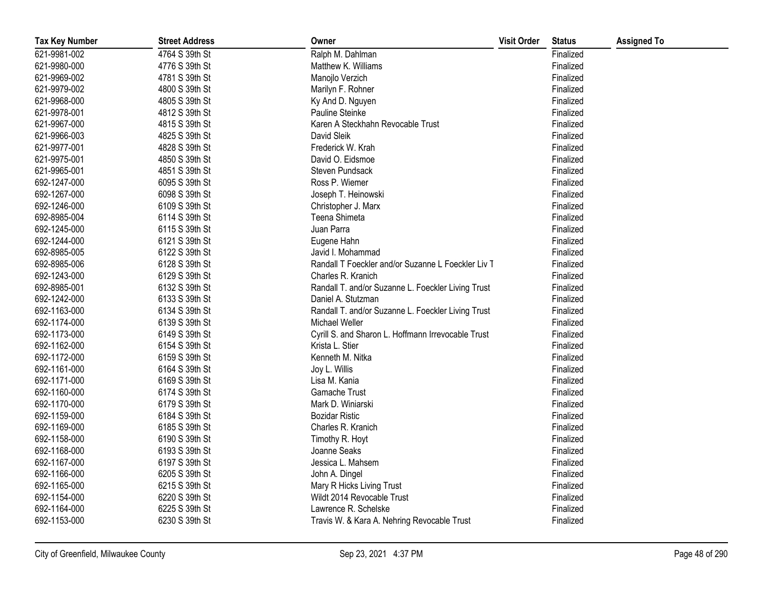| <b>Tax Key Number</b> | <b>Street Address</b> | Owner                                              | <b>Visit Order</b> | <b>Status</b> | <b>Assigned To</b> |
|-----------------------|-----------------------|----------------------------------------------------|--------------------|---------------|--------------------|
| 621-9981-002          | 4764 S 39th St        | Ralph M. Dahlman                                   |                    | Finalized     |                    |
| 621-9980-000          | 4776 S 39th St        | Matthew K. Williams                                |                    | Finalized     |                    |
| 621-9969-002          | 4781 S 39th St        | Manojlo Verzich                                    |                    | Finalized     |                    |
| 621-9979-002          | 4800 S 39th St        | Marilyn F. Rohner                                  |                    | Finalized     |                    |
| 621-9968-000          | 4805 S 39th St        | Ky And D. Nguyen                                   |                    | Finalized     |                    |
| 621-9978-001          | 4812 S 39th St        | Pauline Steinke                                    |                    | Finalized     |                    |
| 621-9967-000          | 4815 S 39th St        | Karen A Steckhahn Revocable Trust                  |                    | Finalized     |                    |
| 621-9966-003          | 4825 S 39th St        | David Sleik                                        |                    | Finalized     |                    |
| 621-9977-001          | 4828 S 39th St        | Frederick W. Krah                                  |                    | Finalized     |                    |
| 621-9975-001          | 4850 S 39th St        | David O. Eidsmoe                                   |                    | Finalized     |                    |
| 621-9965-001          | 4851 S 39th St        | Steven Pundsack                                    |                    | Finalized     |                    |
| 692-1247-000          | 6095 S 39th St        | Ross P. Wiemer                                     |                    | Finalized     |                    |
| 692-1267-000          | 6098 S 39th St        | Joseph T. Heinowski                                |                    | Finalized     |                    |
| 692-1246-000          | 6109 S 39th St        | Christopher J. Marx                                |                    | Finalized     |                    |
| 692-8985-004          | 6114 S 39th St        | Teena Shimeta                                      |                    | Finalized     |                    |
| 692-1245-000          | 6115 S 39th St        | Juan Parra                                         |                    | Finalized     |                    |
| 692-1244-000          | 6121 S 39th St        | Eugene Hahn                                        |                    | Finalized     |                    |
| 692-8985-005          | 6122 S 39th St        | Javid I. Mohammad                                  |                    | Finalized     |                    |
| 692-8985-006          | 6128 S 39th St        | Randall T Foeckler and/or Suzanne L Foeckler Liv T |                    | Finalized     |                    |
| 692-1243-000          | 6129 S 39th St        | Charles R. Kranich                                 |                    | Finalized     |                    |
| 692-8985-001          | 6132 S 39th St        | Randall T. and/or Suzanne L. Foeckler Living Trust |                    | Finalized     |                    |
| 692-1242-000          | 6133 S 39th St        | Daniel A. Stutzman                                 |                    | Finalized     |                    |
| 692-1163-000          | 6134 S 39th St        | Randall T. and/or Suzanne L. Foeckler Living Trust |                    | Finalized     |                    |
| 692-1174-000          | 6139 S 39th St        | Michael Weller                                     |                    | Finalized     |                    |
| 692-1173-000          | 6149 S 39th St        | Cyrill S. and Sharon L. Hoffmann Irrevocable Trust |                    | Finalized     |                    |
| 692-1162-000          | 6154 S 39th St        | Krista L. Stier                                    |                    | Finalized     |                    |
| 692-1172-000          | 6159 S 39th St        | Kenneth M. Nitka                                   |                    | Finalized     |                    |
| 692-1161-000          | 6164 S 39th St        | Joy L. Willis                                      |                    | Finalized     |                    |
| 692-1171-000          | 6169 S 39th St        | Lisa M. Kania                                      |                    | Finalized     |                    |
| 692-1160-000          | 6174 S 39th St        | Gamache Trust                                      |                    | Finalized     |                    |
| 692-1170-000          | 6179 S 39th St        | Mark D. Winiarski                                  |                    | Finalized     |                    |
| 692-1159-000          | 6184 S 39th St        | <b>Bozidar Ristic</b>                              |                    | Finalized     |                    |
| 692-1169-000          | 6185 S 39th St        | Charles R. Kranich                                 |                    | Finalized     |                    |
| 692-1158-000          | 6190 S 39th St        | Timothy R. Hoyt                                    |                    | Finalized     |                    |
| 692-1168-000          | 6193 S 39th St        | Joanne Seaks                                       |                    | Finalized     |                    |
| 692-1167-000          | 6197 S 39th St        | Jessica L. Mahsem                                  |                    | Finalized     |                    |
| 692-1166-000          | 6205 S 39th St        | John A. Dingel                                     |                    | Finalized     |                    |
| 692-1165-000          | 6215 S 39th St        | Mary R Hicks Living Trust                          |                    | Finalized     |                    |
| 692-1154-000          | 6220 S 39th St        | Wildt 2014 Revocable Trust                         |                    | Finalized     |                    |
| 692-1164-000          | 6225 S 39th St        | Lawrence R. Schelske                               |                    | Finalized     |                    |
| 692-1153-000          | 6230 S 39th St        | Travis W. & Kara A. Nehring Revocable Trust        |                    | Finalized     |                    |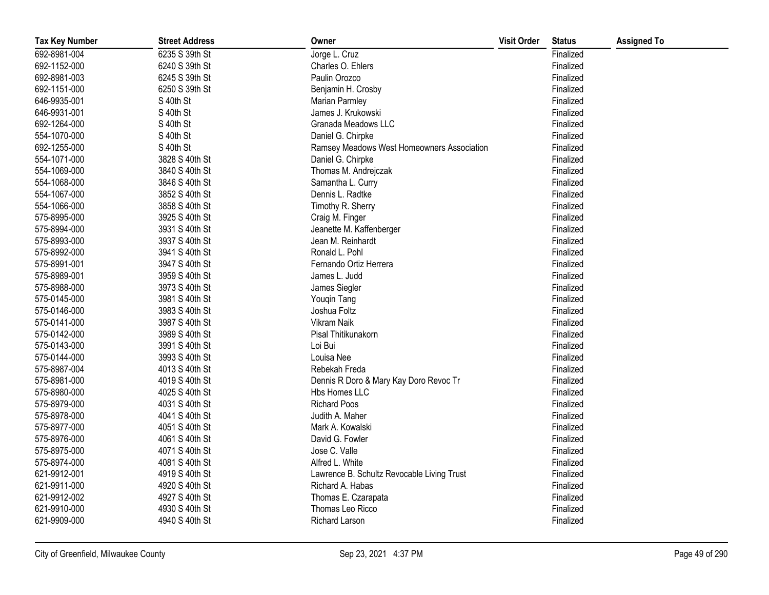| <b>Tax Key Number</b> | <b>Street Address</b> | Owner                                      | <b>Visit Order</b> | <b>Status</b> | <b>Assigned To</b> |
|-----------------------|-----------------------|--------------------------------------------|--------------------|---------------|--------------------|
| 692-8981-004          | 6235 S 39th St        | Jorge L. Cruz                              |                    | Finalized     |                    |
| 692-1152-000          | 6240 S 39th St        | Charles O. Ehlers                          |                    | Finalized     |                    |
| 692-8981-003          | 6245 S 39th St        | Paulin Orozco                              |                    | Finalized     |                    |
| 692-1151-000          | 6250 S 39th St        | Benjamin H. Crosby                         |                    | Finalized     |                    |
| 646-9935-001          | S 40th St             | Marian Parmley                             |                    | Finalized     |                    |
| 646-9931-001          | S 40th St             | James J. Krukowski                         |                    | Finalized     |                    |
| 692-1264-000          | S 40th St             | Granada Meadows LLC                        |                    | Finalized     |                    |
| 554-1070-000          | S 40th St             | Daniel G. Chirpke                          |                    | Finalized     |                    |
| 692-1255-000          | S 40th St             | Ramsey Meadows West Homeowners Association |                    | Finalized     |                    |
| 554-1071-000          | 3828 S 40th St        | Daniel G. Chirpke                          |                    | Finalized     |                    |
| 554-1069-000          | 3840 S 40th St        | Thomas M. Andrejczak                       |                    | Finalized     |                    |
| 554-1068-000          | 3846 S 40th St        | Samantha L. Curry                          |                    | Finalized     |                    |
| 554-1067-000          | 3852 S 40th St        | Dennis L. Radtke                           |                    | Finalized     |                    |
| 554-1066-000          | 3858 S 40th St        | Timothy R. Sherry                          |                    | Finalized     |                    |
| 575-8995-000          | 3925 S 40th St        | Craig M. Finger                            |                    | Finalized     |                    |
| 575-8994-000          | 3931 S 40th St        | Jeanette M. Kaffenberger                   |                    | Finalized     |                    |
| 575-8993-000          | 3937 S 40th St        | Jean M. Reinhardt                          |                    | Finalized     |                    |
| 575-8992-000          | 3941 S 40th St        | Ronald L. Pohl                             |                    | Finalized     |                    |
| 575-8991-001          | 3947 S 40th St        | Fernando Ortiz Herrera                     |                    | Finalized     |                    |
| 575-8989-001          | 3959 S 40th St        | James L. Judd                              |                    | Finalized     |                    |
| 575-8988-000          | 3973 S 40th St        | James Siegler                              |                    | Finalized     |                    |
| 575-0145-000          | 3981 S 40th St        | Youqin Tang                                |                    | Finalized     |                    |
| 575-0146-000          | 3983 S 40th St        | Joshua Foltz                               |                    | Finalized     |                    |
| 575-0141-000          | 3987 S 40th St        | Vikram Naik                                |                    | Finalized     |                    |
| 575-0142-000          | 3989 S 40th St        | Pisal Thitikunakorn                        |                    | Finalized     |                    |
| 575-0143-000          | 3991 S 40th St        | Loi Bui                                    |                    | Finalized     |                    |
| 575-0144-000          | 3993 S 40th St        | Louisa Nee                                 |                    | Finalized     |                    |
| 575-8987-004          | 4013 S 40th St        | Rebekah Freda                              |                    | Finalized     |                    |
| 575-8981-000          | 4019 S 40th St        | Dennis R Doro & Mary Kay Doro Revoc Tr     |                    | Finalized     |                    |
| 575-8980-000          | 4025 S 40th St        | Hbs Homes LLC                              |                    | Finalized     |                    |
| 575-8979-000          | 4031 S 40th St        | <b>Richard Poos</b>                        |                    | Finalized     |                    |
| 575-8978-000          | 4041 S 40th St        | Judith A. Maher                            |                    | Finalized     |                    |
| 575-8977-000          | 4051 S 40th St        | Mark A. Kowalski                           |                    | Finalized     |                    |
| 575-8976-000          | 4061 S 40th St        | David G. Fowler                            |                    | Finalized     |                    |
| 575-8975-000          | 4071 S 40th St        | Jose C. Valle                              |                    | Finalized     |                    |
| 575-8974-000          | 4081 S 40th St        | Alfred L. White                            |                    | Finalized     |                    |
| 621-9912-001          | 4919 S 40th St        | Lawrence B. Schultz Revocable Living Trust |                    | Finalized     |                    |
| 621-9911-000          | 4920 S 40th St        | Richard A. Habas                           |                    | Finalized     |                    |
| 621-9912-002          | 4927 S 40th St        | Thomas E. Czarapata                        |                    | Finalized     |                    |
| 621-9910-000          | 4930 S 40th St        | Thomas Leo Ricco                           |                    | Finalized     |                    |
| 621-9909-000          | 4940 S 40th St        | <b>Richard Larson</b>                      |                    | Finalized     |                    |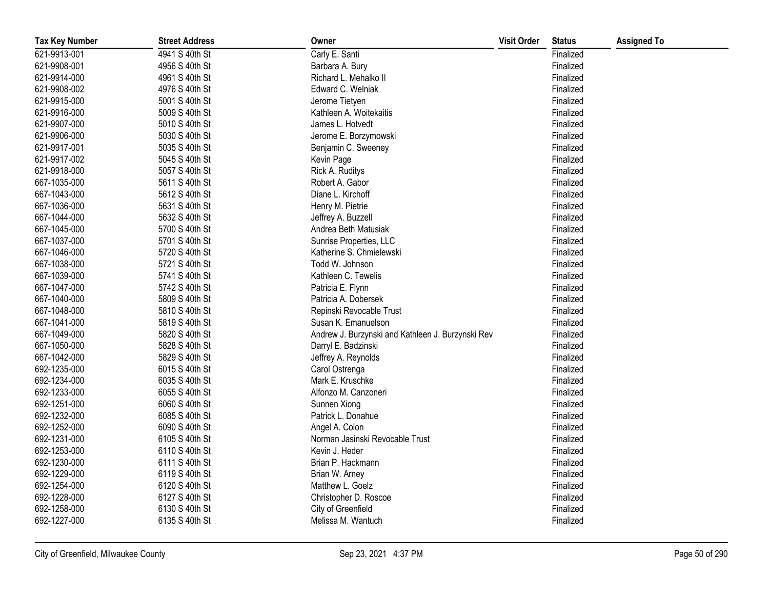| <b>Tax Key Number</b> | <b>Street Address</b> | Owner                                             | <b>Visit Order</b> | <b>Status</b> | <b>Assigned To</b> |
|-----------------------|-----------------------|---------------------------------------------------|--------------------|---------------|--------------------|
| 621-9913-001          | 4941 S 40th St        | Carly E. Santi                                    |                    | Finalized     |                    |
| 621-9908-001          | 4956 S 40th St        | Barbara A. Bury                                   |                    | Finalized     |                    |
| 621-9914-000          | 4961 S 40th St        | Richard L. Mehalko II                             |                    | Finalized     |                    |
| 621-9908-002          | 4976 S 40th St        | Edward C. Welniak                                 |                    | Finalized     |                    |
| 621-9915-000          | 5001 S 40th St        | Jerome Tietyen                                    |                    | Finalized     |                    |
| 621-9916-000          | 5009 S 40th St        | Kathleen A. Woitekaitis                           |                    | Finalized     |                    |
| 621-9907-000          | 5010 S 40th St        | James L. Hotvedt                                  |                    | Finalized     |                    |
| 621-9906-000          | 5030 S 40th St        | Jerome E. Borzymowski                             |                    | Finalized     |                    |
| 621-9917-001          | 5035 S 40th St        | Benjamin C. Sweeney                               |                    | Finalized     |                    |
| 621-9917-002          | 5045 S 40th St        | Kevin Page                                        |                    | Finalized     |                    |
| 621-9918-000          | 5057 S 40th St        | Rick A. Ruditys                                   |                    | Finalized     |                    |
| 667-1035-000          | 5611 S 40th St        | Robert A. Gabor                                   |                    | Finalized     |                    |
| 667-1043-000          | 5612 S 40th St        | Diane L. Kirchoff                                 |                    | Finalized     |                    |
| 667-1036-000          | 5631 S 40th St        | Henry M. Pietrie                                  |                    | Finalized     |                    |
| 667-1044-000          | 5632 S 40th St        | Jeffrey A. Buzzell                                |                    | Finalized     |                    |
| 667-1045-000          | 5700 S 40th St        | Andrea Beth Matusiak                              |                    | Finalized     |                    |
| 667-1037-000          | 5701 S 40th St        | Sunrise Properties, LLC                           |                    | Finalized     |                    |
| 667-1046-000          | 5720 S 40th St        | Katherine S. Chmielewski                          |                    | Finalized     |                    |
| 667-1038-000          | 5721 S 40th St        | Todd W. Johnson                                   |                    | Finalized     |                    |
| 667-1039-000          | 5741 S 40th St        | Kathleen C. Tewelis                               |                    | Finalized     |                    |
| 667-1047-000          | 5742 S 40th St        | Patricia E. Flynn                                 |                    | Finalized     |                    |
| 667-1040-000          | 5809 S 40th St        | Patricia A. Dobersek                              |                    | Finalized     |                    |
| 667-1048-000          | 5810 S 40th St        | Repinski Revocable Trust                          |                    | Finalized     |                    |
| 667-1041-000          | 5819 S 40th St        | Susan K. Emanuelson                               |                    | Finalized     |                    |
| 667-1049-000          | 5820 S 40th St        | Andrew J. Burzynski and Kathleen J. Burzynski Rev |                    | Finalized     |                    |
| 667-1050-000          | 5828 S 40th St        | Darryl E. Badzinski                               |                    | Finalized     |                    |
| 667-1042-000          | 5829 S 40th St        | Jeffrey A. Reynolds                               |                    | Finalized     |                    |
| 692-1235-000          | 6015 S 40th St        | Carol Ostrenga                                    |                    | Finalized     |                    |
| 692-1234-000          | 6035 S 40th St        | Mark E. Kruschke                                  |                    | Finalized     |                    |
| 692-1233-000          | 6055 S 40th St        | Alfonzo M. Canzoneri                              |                    | Finalized     |                    |
| 692-1251-000          | 6060 S 40th St        | Sunnen Xiong                                      |                    | Finalized     |                    |
| 692-1232-000          | 6085 S 40th St        | Patrick L. Donahue                                |                    | Finalized     |                    |
| 692-1252-000          | 6090 S 40th St        | Angel A. Colon                                    |                    | Finalized     |                    |
| 692-1231-000          | 6105 S 40th St        | Norman Jasinski Revocable Trust                   |                    | Finalized     |                    |
| 692-1253-000          | 6110 S 40th St        | Kevin J. Heder                                    |                    | Finalized     |                    |
| 692-1230-000          | 6111 S 40th St        | Brian P. Hackmann                                 |                    | Finalized     |                    |
| 692-1229-000          | 6119 S 40th St        | Brian W. Arney                                    |                    | Finalized     |                    |
| 692-1254-000          | 6120 S 40th St        | Matthew L. Goelz                                  |                    | Finalized     |                    |
| 692-1228-000          | 6127 S 40th St        | Christopher D. Roscoe                             |                    | Finalized     |                    |
| 692-1258-000          | 6130 S 40th St        | City of Greenfield                                |                    | Finalized     |                    |
| 692-1227-000          | 6135 S 40th St        | Melissa M. Wantuch                                |                    | Finalized     |                    |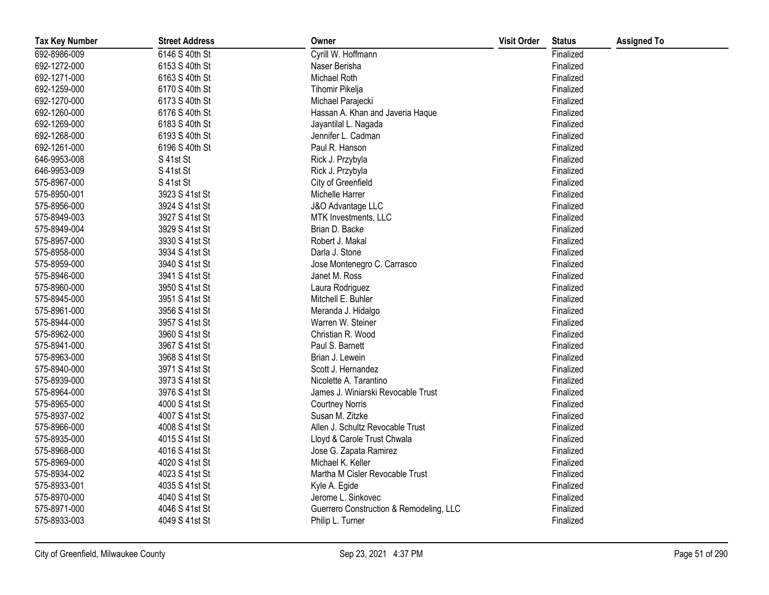| <b>Tax Key Number</b> | <b>Street Address</b> | Owner                                   | <b>Visit Order</b> | <b>Status</b> | <b>Assigned To</b> |
|-----------------------|-----------------------|-----------------------------------------|--------------------|---------------|--------------------|
| 692-8986-009          | 6146 S 40th St        | Cyrill W. Hoffmann                      |                    | Finalized     |                    |
| 692-1272-000          | 6153 S 40th St        | Naser Berisha                           |                    | Finalized     |                    |
| 692-1271-000          | 6163 S 40th St        | Michael Roth                            |                    | Finalized     |                    |
| 692-1259-000          | 6170 S 40th St        | Tihomir Pikelja                         |                    | Finalized     |                    |
| 692-1270-000          | 6173 S 40th St        | Michael Parajecki                       |                    | Finalized     |                    |
| 692-1260-000          | 6176 S 40th St        | Hassan A. Khan and Javeria Haque        |                    | Finalized     |                    |
| 692-1269-000          | 6183 S 40th St        | Jayantilal L. Nagada                    |                    | Finalized     |                    |
| 692-1268-000          | 6193 S 40th St        | Jennifer L. Cadman                      |                    | Finalized     |                    |
| 692-1261-000          | 6196 S 40th St        | Paul R. Hanson                          |                    | Finalized     |                    |
| 646-9953-008          | S 41st St             | Rick J. Przybyla                        |                    | Finalized     |                    |
| 646-9953-009          | S 41st St             | Rick J. Przybyla                        |                    | Finalized     |                    |
| 575-8967-000          | S 41st St             | City of Greenfield                      |                    | Finalized     |                    |
| 575-8950-001          | 3923 S 41st St        | Michelle Harrer                         |                    | Finalized     |                    |
| 575-8956-000          | 3924 S 41st St        | J&O Advantage LLC                       |                    | Finalized     |                    |
| 575-8949-003          | 3927 S 41st St        | MTK Investments, LLC                    |                    | Finalized     |                    |
| 575-8949-004          | 3929 S 41st St        | Brian D. Backe                          |                    | Finalized     |                    |
| 575-8957-000          | 3930 S 41st St        | Robert J. Makal                         |                    | Finalized     |                    |
| 575-8958-000          | 3934 S 41st St        | Darla J. Stone                          |                    | Finalized     |                    |
| 575-8959-000          | 3940 S 41st St        | Jose Montenegro C. Carrasco             |                    | Finalized     |                    |
| 575-8946-000          | 3941 S 41st St        | Janet M. Ross                           |                    | Finalized     |                    |
| 575-8960-000          | 3950 S 41st St        | Laura Rodriguez                         |                    | Finalized     |                    |
| 575-8945-000          | 3951 S 41st St        | Mitchell E. Buhler                      |                    | Finalized     |                    |
| 575-8961-000          | 3956 S 41st St        | Meranda J. Hidalgo                      |                    | Finalized     |                    |
| 575-8944-000          | 3957 S 41st St        | Warren W. Steiner                       |                    | Finalized     |                    |
| 575-8962-000          | 3960 S 41st St        | Christian R. Wood                       |                    | Finalized     |                    |
| 575-8941-000          | 3967 S 41st St        | Paul S. Barnett                         |                    | Finalized     |                    |
| 575-8963-000          | 3968 S 41st St        | Brian J. Lewein                         |                    | Finalized     |                    |
| 575-8940-000          | 3971 S 41st St        | Scott J. Hernandez                      |                    | Finalized     |                    |
| 575-8939-000          | 3973 S 41st St        | Nicolette A. Tarantino                  |                    | Finalized     |                    |
| 575-8964-000          | 3976 S 41st St        | James J. Winiarski Revocable Trust      |                    | Finalized     |                    |
| 575-8965-000          | 4000 S 41st St        | <b>Courtney Norris</b>                  |                    | Finalized     |                    |
| 575-8937-002          | 4007 S 41st St        | Susan M. Zitzke                         |                    | Finalized     |                    |
| 575-8966-000          | 4008 S 41st St        | Allen J. Schultz Revocable Trust        |                    | Finalized     |                    |
| 575-8935-000          | 4015 S 41st St        | Lloyd & Carole Trust Chwala             |                    | Finalized     |                    |
| 575-8968-000          | 4016 S 41st St        | Jose G. Zapata Ramirez                  |                    | Finalized     |                    |
| 575-8969-000          | 4020 S 41st St        | Michael K. Keller                       |                    | Finalized     |                    |
| 575-8934-002          | 4023 S 41st St        | Martha M Cisler Revocable Trust         |                    | Finalized     |                    |
| 575-8933-001          | 4035 S 41st St        | Kyle A. Egide                           |                    | Finalized     |                    |
| 575-8970-000          | 4040 S 41st St        | Jerome L. Sinkovec                      |                    | Finalized     |                    |
| 575-8971-000          | 4046 S 41st St        | Guerrero Construction & Remodeling, LLC |                    | Finalized     |                    |
| 575-8933-003          | 4049 S 41st St        | Philip L. Turner                        |                    | Finalized     |                    |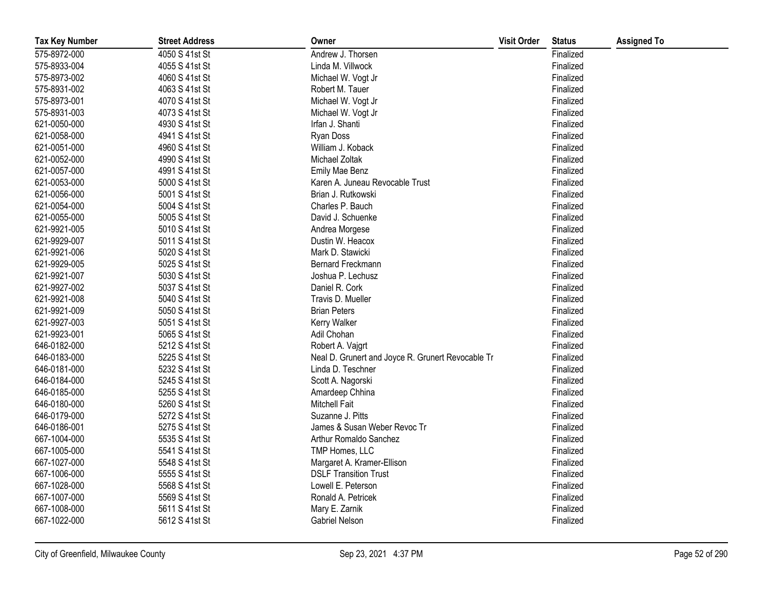| <b>Tax Key Number</b> | <b>Street Address</b> | Owner                                             | <b>Visit Order</b> | <b>Status</b> | <b>Assigned To</b> |
|-----------------------|-----------------------|---------------------------------------------------|--------------------|---------------|--------------------|
| 575-8972-000          | 4050 S 41st St        | Andrew J. Thorsen                                 |                    | Finalized     |                    |
| 575-8933-004          | 4055 S 41st St        | Linda M. Villwock                                 |                    | Finalized     |                    |
| 575-8973-002          | 4060 S 41st St        | Michael W. Vogt Jr                                |                    | Finalized     |                    |
| 575-8931-002          | 4063 S 41st St        | Robert M. Tauer                                   |                    | Finalized     |                    |
| 575-8973-001          | 4070 S 41st St        | Michael W. Vogt Jr                                |                    | Finalized     |                    |
| 575-8931-003          | 4073 S 41st St        | Michael W. Vogt Jr                                |                    | Finalized     |                    |
| 621-0050-000          | 4930 S 41st St        | Irfan J. Shanti                                   |                    | Finalized     |                    |
| 621-0058-000          | 4941 S 41st St        | Ryan Doss                                         |                    | Finalized     |                    |
| 621-0051-000          | 4960 S 41st St        | William J. Koback                                 |                    | Finalized     |                    |
| 621-0052-000          | 4990 S 41st St        | Michael Zoltak                                    |                    | Finalized     |                    |
| 621-0057-000          | 4991 S 41st St        | Emily Mae Benz                                    |                    | Finalized     |                    |
| 621-0053-000          | 5000 S 41st St        | Karen A. Juneau Revocable Trust                   |                    | Finalized     |                    |
| 621-0056-000          | 5001 S 41st St        | Brian J. Rutkowski                                |                    | Finalized     |                    |
| 621-0054-000          | 5004 S 41st St        | Charles P. Bauch                                  |                    | Finalized     |                    |
| 621-0055-000          | 5005 S 41st St        | David J. Schuenke                                 |                    | Finalized     |                    |
| 621-9921-005          | 5010 S 41st St        | Andrea Morgese                                    |                    | Finalized     |                    |
| 621-9929-007          | 5011 S 41st St        | Dustin W. Heacox                                  |                    | Finalized     |                    |
| 621-9921-006          | 5020 S 41st St        | Mark D. Stawicki                                  |                    | Finalized     |                    |
| 621-9929-005          | 5025 S 41st St        | Bernard Freckmann                                 |                    | Finalized     |                    |
| 621-9921-007          | 5030 S 41st St        | Joshua P. Lechusz                                 |                    | Finalized     |                    |
| 621-9927-002          | 5037 S 41st St        | Daniel R. Cork                                    |                    | Finalized     |                    |
| 621-9921-008          | 5040 S 41st St        | Travis D. Mueller                                 |                    | Finalized     |                    |
| 621-9921-009          | 5050 S 41st St        | <b>Brian Peters</b>                               |                    | Finalized     |                    |
| 621-9927-003          | 5051 S 41st St        | Kerry Walker                                      |                    | Finalized     |                    |
| 621-9923-001          | 5065 S 41st St        | Adil Chohan                                       |                    | Finalized     |                    |
| 646-0182-000          | 5212 S 41st St        | Robert A. Vajgrt                                  |                    | Finalized     |                    |
| 646-0183-000          | 5225 S 41st St        | Neal D. Grunert and Joyce R. Grunert Revocable Tr |                    | Finalized     |                    |
| 646-0181-000          | 5232 S 41st St        | Linda D. Teschner                                 |                    | Finalized     |                    |
| 646-0184-000          | 5245 S 41st St        | Scott A. Nagorski                                 |                    | Finalized     |                    |
| 646-0185-000          | 5255 S 41st St        | Amardeep Chhina                                   |                    | Finalized     |                    |
| 646-0180-000          | 5260 S 41st St        | <b>Mitchell Fait</b>                              |                    | Finalized     |                    |
| 646-0179-000          | 5272 S 41st St        | Suzanne J. Pitts                                  |                    | Finalized     |                    |
| 646-0186-001          | 5275 S 41st St        | James & Susan Weber Revoc Tr                      |                    | Finalized     |                    |
| 667-1004-000          | 5535 S 41st St        | Arthur Romaldo Sanchez                            |                    | Finalized     |                    |
| 667-1005-000          | 5541 S 41st St        | TMP Homes, LLC                                    |                    | Finalized     |                    |
| 667-1027-000          | 5548 S 41st St        | Margaret A. Kramer-Ellison                        |                    | Finalized     |                    |
| 667-1006-000          | 5555 S 41st St        | <b>DSLF Transition Trust</b>                      |                    | Finalized     |                    |
| 667-1028-000          | 5568 S 41st St        | Lowell E. Peterson                                |                    | Finalized     |                    |
| 667-1007-000          | 5569 S 41st St        | Ronald A. Petricek                                |                    | Finalized     |                    |
| 667-1008-000          | 5611 S 41st St        | Mary E. Zarnik                                    |                    | Finalized     |                    |
| 667-1022-000          | 5612 S 41st St        | Gabriel Nelson                                    |                    | Finalized     |                    |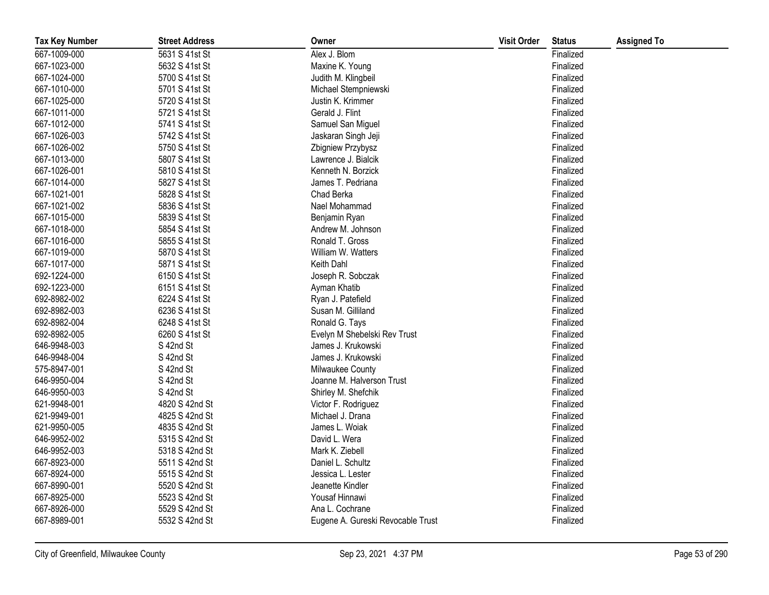| <b>Tax Key Number</b> | <b>Street Address</b> | Owner                             | <b>Visit Order</b> | <b>Status</b> | <b>Assigned To</b> |
|-----------------------|-----------------------|-----------------------------------|--------------------|---------------|--------------------|
| 667-1009-000          | 5631 S 41st St        | Alex J. Blom                      |                    | Finalized     |                    |
| 667-1023-000          | 5632 S 41st St        | Maxine K. Young                   |                    | Finalized     |                    |
| 667-1024-000          | 5700 S 41st St        | Judith M. Klingbeil               |                    | Finalized     |                    |
| 667-1010-000          | 5701 S 41st St        | Michael Stempniewski              |                    | Finalized     |                    |
| 667-1025-000          | 5720 S 41st St        | Justin K. Krimmer                 |                    | Finalized     |                    |
| 667-1011-000          | 5721 S 41st St        | Gerald J. Flint                   |                    | Finalized     |                    |
| 667-1012-000          | 5741 S 41st St        | Samuel San Miguel                 |                    | Finalized     |                    |
| 667-1026-003          | 5742 S 41st St        | Jaskaran Singh Jeji               |                    | Finalized     |                    |
| 667-1026-002          | 5750 S 41st St        | Zbigniew Przybysz                 |                    | Finalized     |                    |
| 667-1013-000          | 5807 S 41st St        | Lawrence J. Bialcik               |                    | Finalized     |                    |
| 667-1026-001          | 5810 S 41st St        | Kenneth N. Borzick                |                    | Finalized     |                    |
| 667-1014-000          | 5827 S 41st St        | James T. Pedriana                 |                    | Finalized     |                    |
| 667-1021-001          | 5828 S 41st St        | Chad Berka                        |                    | Finalized     |                    |
| 667-1021-002          | 5836 S 41st St        | Nael Mohammad                     |                    | Finalized     |                    |
| 667-1015-000          | 5839 S 41st St        | Benjamin Ryan                     |                    | Finalized     |                    |
| 667-1018-000          | 5854 S 41st St        | Andrew M. Johnson                 |                    | Finalized     |                    |
| 667-1016-000          | 5855 S 41st St        | Ronald T. Gross                   |                    | Finalized     |                    |
| 667-1019-000          | 5870 S 41st St        | William W. Watters                |                    | Finalized     |                    |
| 667-1017-000          | 5871 S 41st St        | Keith Dahl                        |                    | Finalized     |                    |
| 692-1224-000          | 6150 S 41st St        | Joseph R. Sobczak                 |                    | Finalized     |                    |
| 692-1223-000          | 6151 S 41st St        | Ayman Khatib                      |                    | Finalized     |                    |
| 692-8982-002          | 6224 S 41st St        | Ryan J. Patefield                 |                    | Finalized     |                    |
| 692-8982-003          | 6236 S 41st St        | Susan M. Gilliland                |                    | Finalized     |                    |
| 692-8982-004          | 6248 S 41st St        | Ronald G. Tays                    |                    | Finalized     |                    |
| 692-8982-005          | 6260 S 41st St        | Evelyn M Shebelski Rev Trust      |                    | Finalized     |                    |
| 646-9948-003          | S 42nd St             | James J. Krukowski                |                    | Finalized     |                    |
| 646-9948-004          | S 42nd St             | James J. Krukowski                |                    | Finalized     |                    |
| 575-8947-001          | S 42nd St             | Milwaukee County                  |                    | Finalized     |                    |
| 646-9950-004          | S 42nd St             | Joanne M. Halverson Trust         |                    | Finalized     |                    |
| 646-9950-003          | S 42nd St             | Shirley M. Shefchik               |                    | Finalized     |                    |
| 621-9948-001          | 4820 S 42nd St        | Victor F. Rodriguez               |                    | Finalized     |                    |
| 621-9949-001          | 4825 S 42nd St        | Michael J. Drana                  |                    | Finalized     |                    |
| 621-9950-005          | 4835 S 42nd St        | James L. Woiak                    |                    | Finalized     |                    |
| 646-9952-002          | 5315 S 42nd St        | David L. Wera                     |                    | Finalized     |                    |
| 646-9952-003          | 5318 S 42nd St        | Mark K. Ziebell                   |                    | Finalized     |                    |
| 667-8923-000          | 5511 S 42nd St        | Daniel L. Schultz                 |                    | Finalized     |                    |
| 667-8924-000          | 5515 S 42nd St        | Jessica L. Lester                 |                    | Finalized     |                    |
| 667-8990-001          | 5520 S 42nd St        | Jeanette Kindler                  |                    | Finalized     |                    |
| 667-8925-000          | 5523 S 42nd St        | Yousaf Hinnawi                    |                    | Finalized     |                    |
| 667-8926-000          | 5529 S 42nd St        | Ana L. Cochrane                   |                    | Finalized     |                    |
| 667-8989-001          | 5532 S 42nd St        | Eugene A. Gureski Revocable Trust |                    | Finalized     |                    |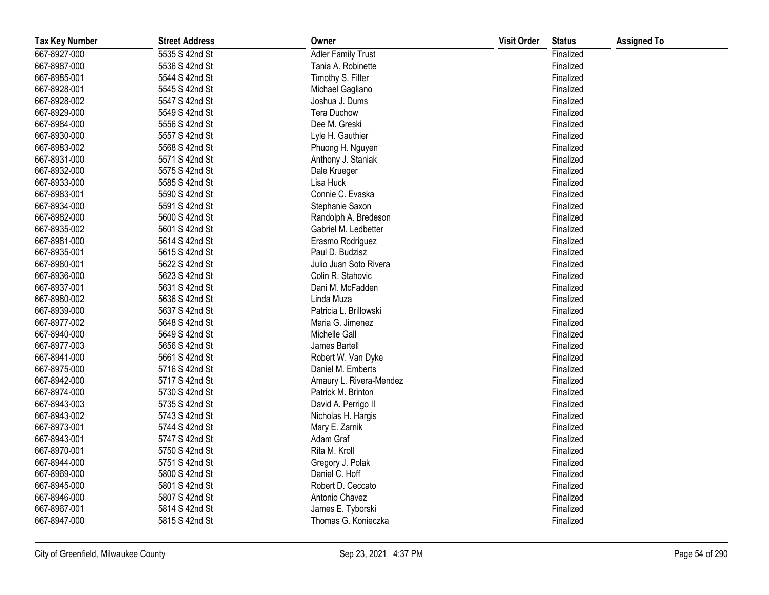| <b>Tax Key Number</b> | <b>Street Address</b> | Owner                     | <b>Visit Order</b> | <b>Status</b> | <b>Assigned To</b> |
|-----------------------|-----------------------|---------------------------|--------------------|---------------|--------------------|
| 667-8927-000          | 5535 S 42nd St        | <b>Adler Family Trust</b> |                    | Finalized     |                    |
| 667-8987-000          | 5536 S 42nd St        | Tania A. Robinette        |                    | Finalized     |                    |
| 667-8985-001          | 5544 S 42nd St        | Timothy S. Filter         |                    | Finalized     |                    |
| 667-8928-001          | 5545 S 42nd St        | Michael Gagliano          |                    | Finalized     |                    |
| 667-8928-002          | 5547 S 42nd St        | Joshua J. Dums            |                    | Finalized     |                    |
| 667-8929-000          | 5549 S 42nd St        | <b>Tera Duchow</b>        |                    | Finalized     |                    |
| 667-8984-000          | 5556 S 42nd St        | Dee M. Greski             |                    | Finalized     |                    |
| 667-8930-000          | 5557 S 42nd St        | Lyle H. Gauthier          |                    | Finalized     |                    |
| 667-8983-002          | 5568 S 42nd St        | Phuong H. Nguyen          |                    | Finalized     |                    |
| 667-8931-000          | 5571 S 42nd St        | Anthony J. Staniak        |                    | Finalized     |                    |
| 667-8932-000          | 5575 S 42nd St        | Dale Krueger              |                    | Finalized     |                    |
| 667-8933-000          | 5585 S 42nd St        | Lisa Huck                 |                    | Finalized     |                    |
| 667-8983-001          | 5590 S 42nd St        | Connie C. Evaska          |                    | Finalized     |                    |
| 667-8934-000          | 5591 S 42nd St        | Stephanie Saxon           |                    | Finalized     |                    |
| 667-8982-000          | 5600 S 42nd St        | Randolph A. Bredeson      |                    | Finalized     |                    |
| 667-8935-002          | 5601 S 42nd St        | Gabriel M. Ledbetter      |                    | Finalized     |                    |
| 667-8981-000          | 5614 S 42nd St        | Erasmo Rodriguez          |                    | Finalized     |                    |
| 667-8935-001          | 5615 S 42nd St        | Paul D. Budzisz           |                    | Finalized     |                    |
| 667-8980-001          | 5622 S 42nd St        | Julio Juan Soto Rivera    |                    | Finalized     |                    |
| 667-8936-000          | 5623 S 42nd St        | Colin R. Stahovic         |                    | Finalized     |                    |
| 667-8937-001          | 5631 S 42nd St        | Dani M. McFadden          |                    | Finalized     |                    |
| 667-8980-002          | 5636 S 42nd St        | Linda Muza                |                    | Finalized     |                    |
| 667-8939-000          | 5637 S 42nd St        | Patricia L. Brillowski    |                    | Finalized     |                    |
| 667-8977-002          | 5648 S 42nd St        | Maria G. Jimenez          |                    | Finalized     |                    |
| 667-8940-000          | 5649 S 42nd St        | Michelle Gall             |                    | Finalized     |                    |
| 667-8977-003          | 5656 S 42nd St        | James Bartell             |                    | Finalized     |                    |
| 667-8941-000          | 5661 S 42nd St        | Robert W. Van Dyke        |                    | Finalized     |                    |
| 667-8975-000          | 5716 S 42nd St        | Daniel M. Emberts         |                    | Finalized     |                    |
| 667-8942-000          | 5717 S 42nd St        | Amaury L. Rivera-Mendez   |                    | Finalized     |                    |
| 667-8974-000          | 5730 S 42nd St        | Patrick M. Brinton        |                    | Finalized     |                    |
| 667-8943-003          | 5735 S 42nd St        | David A. Perrigo II       |                    | Finalized     |                    |
| 667-8943-002          | 5743 S 42nd St        | Nicholas H. Hargis        |                    | Finalized     |                    |
| 667-8973-001          | 5744 S 42nd St        | Mary E. Zarnik            |                    | Finalized     |                    |
| 667-8943-001          | 5747 S 42nd St        | Adam Graf                 |                    | Finalized     |                    |
| 667-8970-001          | 5750 S 42nd St        | Rita M. Kroll             |                    | Finalized     |                    |
| 667-8944-000          | 5751 S 42nd St        | Gregory J. Polak          |                    | Finalized     |                    |
| 667-8969-000          | 5800 S 42nd St        | Daniel C. Hoff            |                    | Finalized     |                    |
| 667-8945-000          | 5801 S 42nd St        | Robert D. Ceccato         |                    | Finalized     |                    |
| 667-8946-000          | 5807 S 42nd St        | Antonio Chavez            |                    | Finalized     |                    |
| 667-8967-001          | 5814 S 42nd St        | James E. Tyborski         |                    | Finalized     |                    |
| 667-8947-000          | 5815 S 42nd St        | Thomas G. Konieczka       |                    | Finalized     |                    |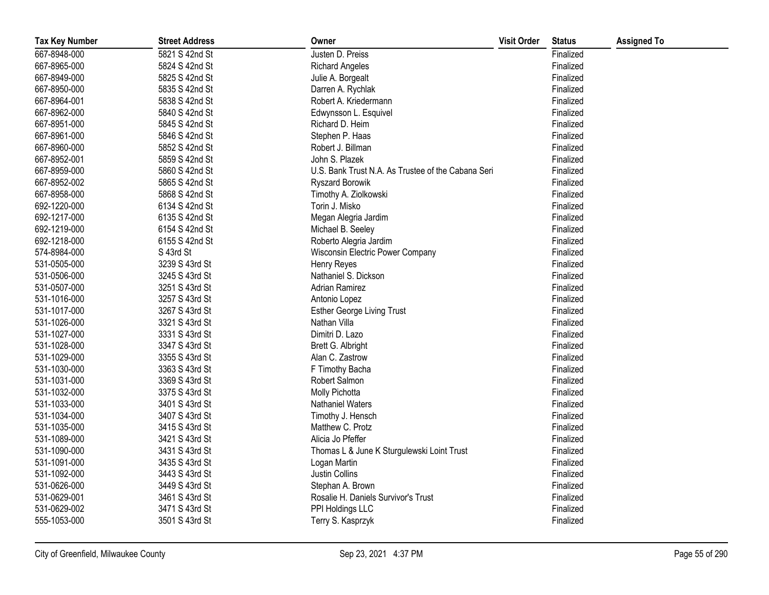| <b>Tax Key Number</b> | <b>Street Address</b> | Owner                                              | <b>Visit Order</b> | <b>Status</b> | <b>Assigned To</b> |
|-----------------------|-----------------------|----------------------------------------------------|--------------------|---------------|--------------------|
| 667-8948-000          | 5821 S 42nd St        | Justen D. Preiss                                   |                    | Finalized     |                    |
| 667-8965-000          | 5824 S 42nd St        | <b>Richard Angeles</b>                             |                    | Finalized     |                    |
| 667-8949-000          | 5825 S 42nd St        | Julie A. Borgealt                                  |                    | Finalized     |                    |
| 667-8950-000          | 5835 S 42nd St        | Darren A. Rychlak                                  |                    | Finalized     |                    |
| 667-8964-001          | 5838 S 42nd St        | Robert A. Kriedermann                              |                    | Finalized     |                    |
| 667-8962-000          | 5840 S 42nd St        | Edwynsson L. Esquivel                              |                    | Finalized     |                    |
| 667-8951-000          | 5845 S 42nd St        | Richard D. Heim                                    |                    | Finalized     |                    |
| 667-8961-000          | 5846 S 42nd St        | Stephen P. Haas                                    |                    | Finalized     |                    |
| 667-8960-000          | 5852 S 42nd St        | Robert J. Billman                                  |                    | Finalized     |                    |
| 667-8952-001          | 5859 S 42nd St        | John S. Plazek                                     |                    | Finalized     |                    |
| 667-8959-000          | 5860 S 42nd St        | U.S. Bank Trust N.A. As Trustee of the Cabana Seri |                    | Finalized     |                    |
| 667-8952-002          | 5865 S 42nd St        | <b>Ryszard Borowik</b>                             |                    | Finalized     |                    |
| 667-8958-000          | 5868 S 42nd St        | Timothy A. Ziolkowski                              |                    | Finalized     |                    |
| 692-1220-000          | 6134 S 42nd St        | Torin J. Misko                                     |                    | Finalized     |                    |
| 692-1217-000          | 6135 S 42nd St        | Megan Alegria Jardim                               |                    | Finalized     |                    |
| 692-1219-000          | 6154 S 42nd St        | Michael B. Seeley                                  |                    | Finalized     |                    |
| 692-1218-000          | 6155 S 42nd St        | Roberto Alegria Jardim                             |                    | Finalized     |                    |
| 574-8984-000          | S 43rd St             | Wisconsin Electric Power Company                   |                    | Finalized     |                    |
| 531-0505-000          | 3239 S 43rd St        | <b>Henry Reyes</b>                                 |                    | Finalized     |                    |
| 531-0506-000          | 3245 S 43rd St        | Nathaniel S. Dickson                               |                    | Finalized     |                    |
| 531-0507-000          | 3251 S 43rd St        | <b>Adrian Ramirez</b>                              |                    | Finalized     |                    |
| 531-1016-000          | 3257 S 43rd St        | Antonio Lopez                                      |                    | Finalized     |                    |
| 531-1017-000          | 3267 S 43rd St        | <b>Esther George Living Trust</b>                  |                    | Finalized     |                    |
| 531-1026-000          | 3321 S 43rd St        | Nathan Villa                                       |                    | Finalized     |                    |
| 531-1027-000          | 3331 S 43rd St        | Dimitri D. Lazo                                    |                    | Finalized     |                    |
| 531-1028-000          | 3347 S 43rd St        | Brett G. Albright                                  |                    | Finalized     |                    |
| 531-1029-000          | 3355 S 43rd St        | Alan C. Zastrow                                    |                    | Finalized     |                    |
| 531-1030-000          | 3363 S 43rd St        | F Timothy Bacha                                    |                    | Finalized     |                    |
| 531-1031-000          | 3369 S 43rd St        | Robert Salmon                                      |                    | Finalized     |                    |
| 531-1032-000          | 3375 S 43rd St        | Molly Pichotta                                     |                    | Finalized     |                    |
| 531-1033-000          | 3401 S 43rd St        | Nathaniel Waters                                   |                    | Finalized     |                    |
| 531-1034-000          | 3407 S 43rd St        | Timothy J. Hensch                                  |                    | Finalized     |                    |
| 531-1035-000          | 3415 S 43rd St        | Matthew C. Protz                                   |                    | Finalized     |                    |
| 531-1089-000          | 3421 S 43rd St        | Alicia Jo Pfeffer                                  |                    | Finalized     |                    |
| 531-1090-000          | 3431 S 43rd St        | Thomas L & June K Sturgulewski Loint Trust         |                    | Finalized     |                    |
| 531-1091-000          | 3435 S 43rd St        | Logan Martin                                       |                    | Finalized     |                    |
| 531-1092-000          | 3443 S 43rd St        | Justin Collins                                     |                    | Finalized     |                    |
| 531-0626-000          | 3449 S 43rd St        | Stephan A. Brown                                   |                    | Finalized     |                    |
| 531-0629-001          | 3461 S 43rd St        | Rosalie H. Daniels Survivor's Trust                |                    | Finalized     |                    |
| 531-0629-002          | 3471 S 43rd St        | PPI Holdings LLC                                   |                    | Finalized     |                    |
| 555-1053-000          | 3501 S 43rd St        | Terry S. Kasprzyk                                  |                    | Finalized     |                    |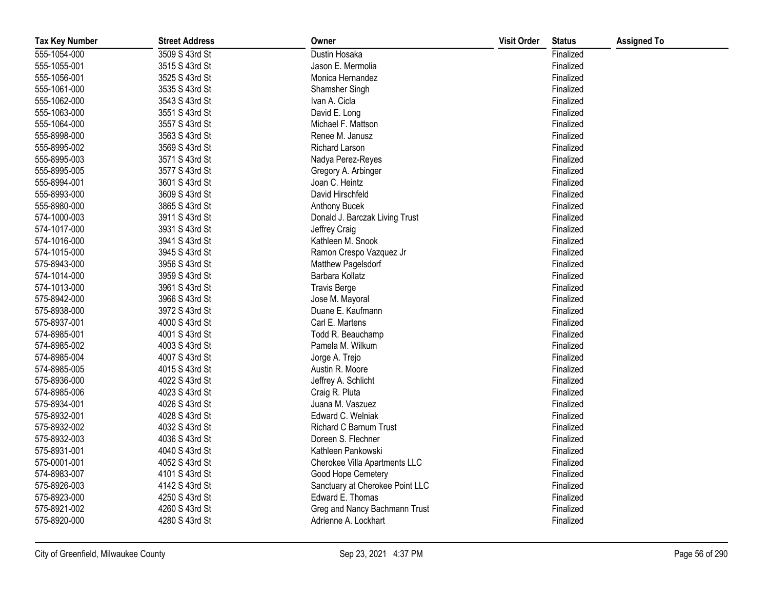| <b>Tax Key Number</b> | <b>Street Address</b> | Owner                           | <b>Visit Order</b> | <b>Status</b> | <b>Assigned To</b> |
|-----------------------|-----------------------|---------------------------------|--------------------|---------------|--------------------|
| 555-1054-000          | 3509 S 43rd St        | Dustin Hosaka                   |                    | Finalized     |                    |
| 555-1055-001          | 3515 S 43rd St        | Jason E. Mermolia               |                    | Finalized     |                    |
| 555-1056-001          | 3525 S 43rd St        | Monica Hernandez                |                    | Finalized     |                    |
| 555-1061-000          | 3535 S 43rd St        | Shamsher Singh                  |                    | Finalized     |                    |
| 555-1062-000          | 3543 S 43rd St        | Ivan A. Cicla                   |                    | Finalized     |                    |
| 555-1063-000          | 3551 S 43rd St        | David E. Long                   |                    | Finalized     |                    |
| 555-1064-000          | 3557 S 43rd St        | Michael F. Mattson              |                    | Finalized     |                    |
| 555-8998-000          | 3563 S 43rd St        | Renee M. Janusz                 |                    | Finalized     |                    |
| 555-8995-002          | 3569 S 43rd St        | Richard Larson                  |                    | Finalized     |                    |
| 555-8995-003          | 3571 S 43rd St        | Nadya Perez-Reyes               |                    | Finalized     |                    |
| 555-8995-005          | 3577 S 43rd St        | Gregory A. Arbinger             |                    | Finalized     |                    |
| 555-8994-001          | 3601 S 43rd St        | Joan C. Heintz                  |                    | Finalized     |                    |
| 555-8993-000          | 3609 S 43rd St        | David Hirschfeld                |                    | Finalized     |                    |
| 555-8980-000          | 3865 S 43rd St        | Anthony Bucek                   |                    | Finalized     |                    |
| 574-1000-003          | 3911 S 43rd St        | Donald J. Barczak Living Trust  |                    | Finalized     |                    |
| 574-1017-000          | 3931 S 43rd St        | Jeffrey Craig                   |                    | Finalized     |                    |
| 574-1016-000          | 3941 S 43rd St        | Kathleen M. Snook               |                    | Finalized     |                    |
| 574-1015-000          | 3945 S 43rd St        | Ramon Crespo Vazquez Jr         |                    | Finalized     |                    |
| 575-8943-000          | 3956 S 43rd St        | Matthew Pagelsdorf              |                    | Finalized     |                    |
| 574-1014-000          | 3959 S 43rd St        | Barbara Kollatz                 |                    | Finalized     |                    |
| 574-1013-000          | 3961 S 43rd St        | <b>Travis Berge</b>             |                    | Finalized     |                    |
| 575-8942-000          | 3966 S 43rd St        | Jose M. Mayoral                 |                    | Finalized     |                    |
| 575-8938-000          | 3972 S 43rd St        | Duane E. Kaufmann               |                    | Finalized     |                    |
| 575-8937-001          | 4000 S 43rd St        | Carl E. Martens                 |                    | Finalized     |                    |
| 574-8985-001          | 4001 S 43rd St        | Todd R. Beauchamp               |                    | Finalized     |                    |
| 574-8985-002          | 4003 S 43rd St        | Pamela M. Wilkum                |                    | Finalized     |                    |
| 574-8985-004          | 4007 S 43rd St        | Jorge A. Trejo                  |                    | Finalized     |                    |
| 574-8985-005          | 4015 S 43rd St        | Austin R. Moore                 |                    | Finalized     |                    |
| 575-8936-000          | 4022 S 43rd St        | Jeffrey A. Schlicht             |                    | Finalized     |                    |
| 574-8985-006          | 4023 S 43rd St        | Craig R. Pluta                  |                    | Finalized     |                    |
| 575-8934-001          | 4026 S 43rd St        | Juana M. Vaszuez                |                    | Finalized     |                    |
| 575-8932-001          | 4028 S 43rd St        | Edward C. Welniak               |                    | Finalized     |                    |
| 575-8932-002          | 4032 S 43rd St        | Richard C Barnum Trust          |                    | Finalized     |                    |
| 575-8932-003          | 4036 S 43rd St        | Doreen S. Flechner              |                    | Finalized     |                    |
| 575-8931-001          | 4040 S 43rd St        | Kathleen Pankowski              |                    | Finalized     |                    |
| 575-0001-001          | 4052 S 43rd St        | Cherokee Villa Apartments LLC   |                    | Finalized     |                    |
| 574-8983-007          | 4101 S 43rd St        | Good Hope Cemetery              |                    | Finalized     |                    |
| 575-8926-003          | 4142 S 43rd St        | Sanctuary at Cherokee Point LLC |                    | Finalized     |                    |
| 575-8923-000          | 4250 S 43rd St        | Edward E. Thomas                |                    | Finalized     |                    |
| 575-8921-002          | 4260 S 43rd St        | Greg and Nancy Bachmann Trust   |                    | Finalized     |                    |
| 575-8920-000          | 4280 S 43rd St        | Adrienne A. Lockhart            |                    | Finalized     |                    |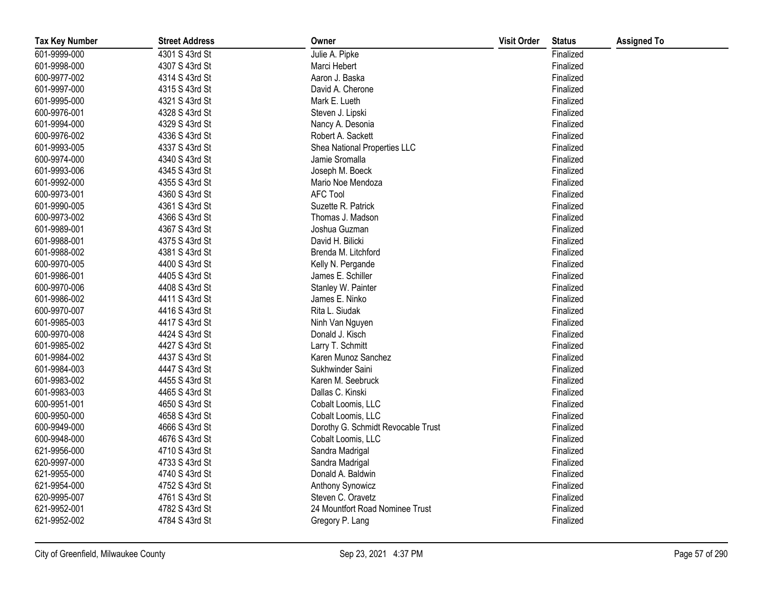| <b>Tax Key Number</b> | <b>Street Address</b> | Owner                              | <b>Visit Order</b> | <b>Status</b> | <b>Assigned To</b> |
|-----------------------|-----------------------|------------------------------------|--------------------|---------------|--------------------|
| 601-9999-000          | 4301 S 43rd St        | Julie A. Pipke                     |                    | Finalized     |                    |
| 601-9998-000          | 4307 S 43rd St        | Marci Hebert                       |                    | Finalized     |                    |
| 600-9977-002          | 4314 S 43rd St        | Aaron J. Baska                     |                    | Finalized     |                    |
| 601-9997-000          | 4315 S 43rd St        | David A. Cherone                   |                    | Finalized     |                    |
| 601-9995-000          | 4321 S 43rd St        | Mark E. Lueth                      |                    | Finalized     |                    |
| 600-9976-001          | 4328 S 43rd St        | Steven J. Lipski                   |                    | Finalized     |                    |
| 601-9994-000          | 4329 S 43rd St        | Nancy A. Desonia                   |                    | Finalized     |                    |
| 600-9976-002          | 4336 S 43rd St        | Robert A. Sackett                  |                    | Finalized     |                    |
| 601-9993-005          | 4337 S 43rd St        | Shea National Properties LLC       |                    | Finalized     |                    |
| 600-9974-000          | 4340 S 43rd St        | Jamie Sromalla                     |                    | Finalized     |                    |
| 601-9993-006          | 4345 S 43rd St        | Joseph M. Boeck                    |                    | Finalized     |                    |
| 601-9992-000          | 4355 S 43rd St        | Mario Noe Mendoza                  |                    | Finalized     |                    |
| 600-9973-001          | 4360 S 43rd St        | <b>AFC Tool</b>                    |                    | Finalized     |                    |
| 601-9990-005          | 4361 S 43rd St        | Suzette R. Patrick                 |                    | Finalized     |                    |
| 600-9973-002          | 4366 S 43rd St        | Thomas J. Madson                   |                    | Finalized     |                    |
| 601-9989-001          | 4367 S 43rd St        | Joshua Guzman                      |                    | Finalized     |                    |
| 601-9988-001          | 4375 S 43rd St        | David H. Bilicki                   |                    | Finalized     |                    |
| 601-9988-002          | 4381 S 43rd St        | Brenda M. Litchford                |                    | Finalized     |                    |
| 600-9970-005          | 4400 S 43rd St        | Kelly N. Pergande                  |                    | Finalized     |                    |
| 601-9986-001          | 4405 S 43rd St        | James E. Schiller                  |                    | Finalized     |                    |
| 600-9970-006          | 4408 S 43rd St        | Stanley W. Painter                 |                    | Finalized     |                    |
| 601-9986-002          | 4411 S 43rd St        | James E. Ninko                     |                    | Finalized     |                    |
| 600-9970-007          | 4416 S 43rd St        | Rita L. Siudak                     |                    | Finalized     |                    |
| 601-9985-003          | 4417 S 43rd St        | Ninh Van Nguyen                    |                    | Finalized     |                    |
| 600-9970-008          | 4424 S 43rd St        | Donald J. Kisch                    |                    | Finalized     |                    |
| 601-9985-002          | 4427 S 43rd St        | Larry T. Schmitt                   |                    | Finalized     |                    |
| 601-9984-002          | 4437 S 43rd St        | Karen Munoz Sanchez                |                    | Finalized     |                    |
| 601-9984-003          | 4447 S 43rd St        | Sukhwinder Saini                   |                    | Finalized     |                    |
| 601-9983-002          | 4455 S 43rd St        | Karen M. Seebruck                  |                    | Finalized     |                    |
| 601-9983-003          | 4465 S 43rd St        | Dallas C. Kinski                   |                    | Finalized     |                    |
| 600-9951-001          | 4650 S 43rd St        | Cobalt Loomis, LLC                 |                    | Finalized     |                    |
| 600-9950-000          | 4658 S 43rd St        | Cobalt Loomis, LLC                 |                    | Finalized     |                    |
| 600-9949-000          | 4666 S 43rd St        | Dorothy G. Schmidt Revocable Trust |                    | Finalized     |                    |
| 600-9948-000          | 4676 S 43rd St        | Cobalt Loomis, LLC                 |                    | Finalized     |                    |
| 621-9956-000          | 4710 S 43rd St        | Sandra Madrigal                    |                    | Finalized     |                    |
| 620-9997-000          | 4733 S 43rd St        | Sandra Madrigal                    |                    | Finalized     |                    |
| 621-9955-000          | 4740 S 43rd St        | Donald A. Baldwin                  |                    | Finalized     |                    |
| 621-9954-000          | 4752 S 43rd St        | Anthony Synowicz                   |                    | Finalized     |                    |
| 620-9995-007          | 4761 S 43rd St        | Steven C. Oravetz                  |                    | Finalized     |                    |
| 621-9952-001          | 4782 S 43rd St        | 24 Mountfort Road Nominee Trust    |                    | Finalized     |                    |
| 621-9952-002          | 4784 S 43rd St        | Gregory P. Lang                    |                    | Finalized     |                    |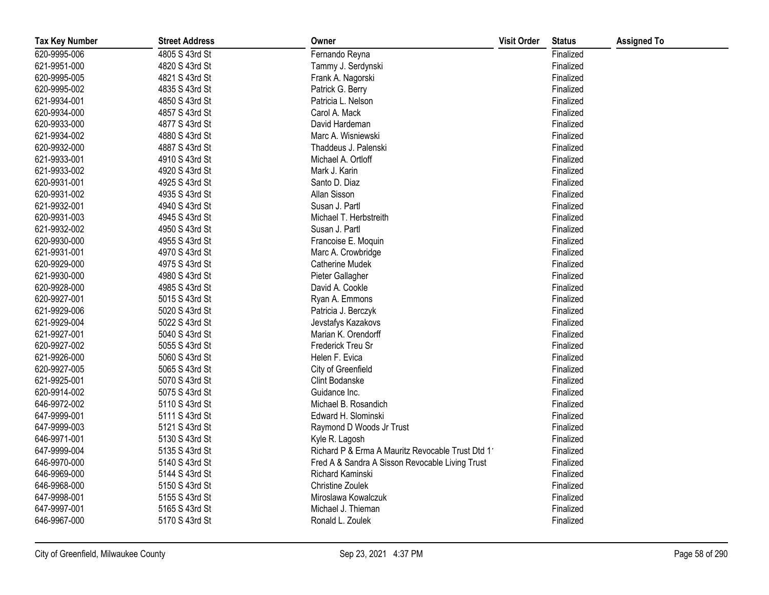| <b>Tax Key Number</b> | <b>Street Address</b> | Owner                                             | <b>Visit Order</b> | <b>Status</b> | <b>Assigned To</b> |
|-----------------------|-----------------------|---------------------------------------------------|--------------------|---------------|--------------------|
| 620-9995-006          | 4805 S 43rd St        | Fernando Reyna                                    |                    | Finalized     |                    |
| 621-9951-000          | 4820 S 43rd St        | Tammy J. Serdynski                                |                    | Finalized     |                    |
| 620-9995-005          | 4821 S 43rd St        | Frank A. Nagorski                                 |                    | Finalized     |                    |
| 620-9995-002          | 4835 S 43rd St        | Patrick G. Berry                                  |                    | Finalized     |                    |
| 621-9934-001          | 4850 S 43rd St        | Patricia L. Nelson                                |                    | Finalized     |                    |
| 620-9934-000          | 4857 S 43rd St        | Carol A. Mack                                     |                    | Finalized     |                    |
| 620-9933-000          | 4877 S 43rd St        | David Hardeman                                    |                    | Finalized     |                    |
| 621-9934-002          | 4880 S 43rd St        | Marc A. Wisniewski                                |                    | Finalized     |                    |
| 620-9932-000          | 4887 S 43rd St        | Thaddeus J. Palenski                              |                    | Finalized     |                    |
| 621-9933-001          | 4910 S 43rd St        | Michael A. Ortloff                                |                    | Finalized     |                    |
| 621-9933-002          | 4920 S 43rd St        | Mark J. Karin                                     |                    | Finalized     |                    |
| 620-9931-001          | 4925 S 43rd St        | Santo D. Diaz                                     |                    | Finalized     |                    |
| 620-9931-002          | 4935 S 43rd St        | Allan Sisson                                      |                    | Finalized     |                    |
| 621-9932-001          | 4940 S 43rd St        | Susan J. Partl                                    |                    | Finalized     |                    |
| 620-9931-003          | 4945 S 43rd St        | Michael T. Herbstreith                            |                    | Finalized     |                    |
| 621-9932-002          | 4950 S 43rd St        | Susan J. Partl                                    |                    | Finalized     |                    |
| 620-9930-000          | 4955 S 43rd St        | Francoise E. Moquin                               |                    | Finalized     |                    |
| 621-9931-001          | 4970 S 43rd St        | Marc A. Crowbridge                                |                    | Finalized     |                    |
| 620-9929-000          | 4975 S 43rd St        | Catherine Mudek                                   |                    | Finalized     |                    |
| 621-9930-000          | 4980 S 43rd St        | Pieter Gallagher                                  |                    | Finalized     |                    |
| 620-9928-000          | 4985 S 43rd St        | David A. Cookle                                   |                    | Finalized     |                    |
| 620-9927-001          | 5015 S 43rd St        | Ryan A. Emmons                                    |                    | Finalized     |                    |
| 621-9929-006          | 5020 S 43rd St        | Patricia J. Berczyk                               |                    | Finalized     |                    |
| 621-9929-004          | 5022 S 43rd St        | Jevstafys Kazakovs                                |                    | Finalized     |                    |
| 621-9927-001          | 5040 S 43rd St        | Marian K. Orendorff                               |                    | Finalized     |                    |
| 620-9927-002          | 5055 S 43rd St        | Frederick Treu Sr                                 |                    | Finalized     |                    |
| 621-9926-000          | 5060 S 43rd St        | Helen F. Evica                                    |                    | Finalized     |                    |
| 620-9927-005          | 5065 S 43rd St        | City of Greenfield                                |                    | Finalized     |                    |
| 621-9925-001          | 5070 S 43rd St        | Clint Bodanske                                    |                    | Finalized     |                    |
| 620-9914-002          | 5075 S 43rd St        | Guidance Inc.                                     |                    | Finalized     |                    |
| 646-9972-002          | 5110 S 43rd St        | Michael B. Rosandich                              |                    | Finalized     |                    |
| 647-9999-001          | 5111 S 43rd St        | Edward H. Slominski                               |                    | Finalized     |                    |
| 647-9999-003          | 5121 S 43rd St        | Raymond D Woods Jr Trust                          |                    | Finalized     |                    |
| 646-9971-001          | 5130 S 43rd St        | Kyle R. Lagosh                                    |                    | Finalized     |                    |
| 647-9999-004          | 5135 S 43rd St        | Richard P & Erma A Mauritz Revocable Trust Dtd 11 |                    | Finalized     |                    |
| 646-9970-000          | 5140 S 43rd St        | Fred A & Sandra A Sisson Revocable Living Trust   |                    | Finalized     |                    |
| 646-9969-000          | 5144 S 43rd St        | Richard Kaminski                                  |                    | Finalized     |                    |
| 646-9968-000          | 5150 S 43rd St        | <b>Christine Zoulek</b>                           |                    | Finalized     |                    |
| 647-9998-001          | 5155 S 43rd St        | Miroslawa Kowalczuk                               |                    | Finalized     |                    |
| 647-9997-001          | 5165 S 43rd St        | Michael J. Thieman                                |                    | Finalized     |                    |
| 646-9967-000          | 5170 S 43rd St        | Ronald L. Zoulek                                  |                    | Finalized     |                    |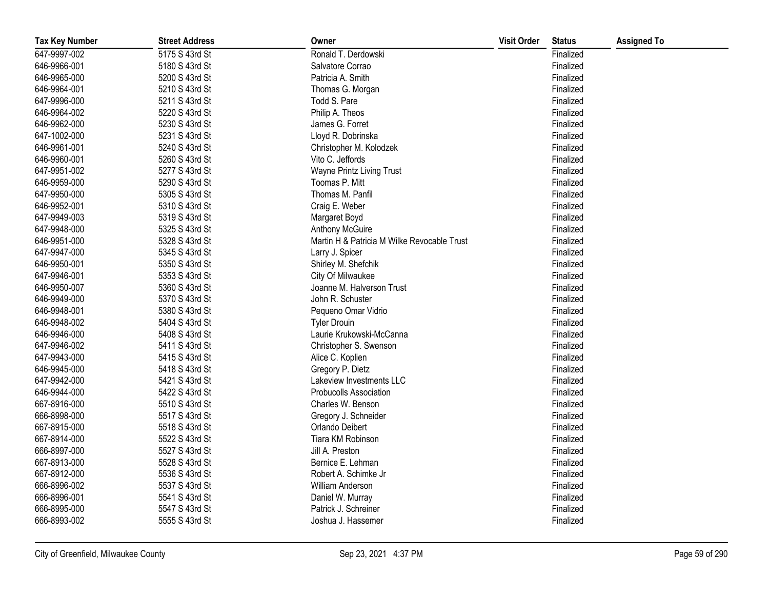| <b>Tax Key Number</b> | <b>Street Address</b> | Owner                                       | <b>Visit Order</b> | <b>Status</b> | <b>Assigned To</b> |
|-----------------------|-----------------------|---------------------------------------------|--------------------|---------------|--------------------|
| 647-9997-002          | 5175 S 43rd St        | Ronald T. Derdowski                         |                    | Finalized     |                    |
| 646-9966-001          | 5180 S 43rd St        | Salvatore Corrao                            |                    | Finalized     |                    |
| 646-9965-000          | 5200 S 43rd St        | Patricia A. Smith                           |                    | Finalized     |                    |
| 646-9964-001          | 5210 S 43rd St        | Thomas G. Morgan                            |                    | Finalized     |                    |
| 647-9996-000          | 5211 S 43rd St        | Todd S. Pare                                |                    | Finalized     |                    |
| 646-9964-002          | 5220 S 43rd St        | Philip A. Theos                             |                    | Finalized     |                    |
| 646-9962-000          | 5230 S 43rd St        | James G. Forret                             |                    | Finalized     |                    |
| 647-1002-000          | 5231 S 43rd St        | Lloyd R. Dobrinska                          |                    | Finalized     |                    |
| 646-9961-001          | 5240 S 43rd St        | Christopher M. Kolodzek                     |                    | Finalized     |                    |
| 646-9960-001          | 5260 S 43rd St        | Vito C. Jeffords                            |                    | Finalized     |                    |
| 647-9951-002          | 5277 S 43rd St        | Wayne Printz Living Trust                   |                    | Finalized     |                    |
| 646-9959-000          | 5290 S 43rd St        | Toomas P. Mitt                              |                    | Finalized     |                    |
| 647-9950-000          | 5305 S 43rd St        | Thomas M. Panfil                            |                    | Finalized     |                    |
| 646-9952-001          | 5310 S 43rd St        | Craig E. Weber                              |                    | Finalized     |                    |
| 647-9949-003          | 5319 S 43rd St        | Margaret Boyd                               |                    | Finalized     |                    |
| 647-9948-000          | 5325 S 43rd St        | Anthony McGuire                             |                    | Finalized     |                    |
| 646-9951-000          | 5328 S 43rd St        | Martin H & Patricia M Wilke Revocable Trust |                    | Finalized     |                    |
| 647-9947-000          | 5345 S 43rd St        | Larry J. Spicer                             |                    | Finalized     |                    |
| 646-9950-001          | 5350 S 43rd St        | Shirley M. Shefchik                         |                    | Finalized     |                    |
| 647-9946-001          | 5353 S 43rd St        | City Of Milwaukee                           |                    | Finalized     |                    |
| 646-9950-007          | 5360 S 43rd St        | Joanne M. Halverson Trust                   |                    | Finalized     |                    |
| 646-9949-000          | 5370 S 43rd St        | John R. Schuster                            |                    | Finalized     |                    |
| 646-9948-001          | 5380 S 43rd St        | Pequeno Omar Vidrio                         |                    | Finalized     |                    |
| 646-9948-002          | 5404 S 43rd St        | <b>Tyler Drouin</b>                         |                    | Finalized     |                    |
| 646-9946-000          | 5408 S 43rd St        | Laurie Krukowski-McCanna                    |                    | Finalized     |                    |
| 647-9946-002          | 5411 S 43rd St        | Christopher S. Swenson                      |                    | Finalized     |                    |
| 647-9943-000          | 5415 S 43rd St        | Alice C. Koplien                            |                    | Finalized     |                    |
| 646-9945-000          | 5418 S 43rd St        | Gregory P. Dietz                            |                    | Finalized     |                    |
| 647-9942-000          | 5421 S 43rd St        | Lakeview Investments LLC                    |                    | Finalized     |                    |
| 646-9944-000          | 5422 S 43rd St        | <b>Probucolls Association</b>               |                    | Finalized     |                    |
| 667-8916-000          | 5510 S 43rd St        | Charles W. Benson                           |                    | Finalized     |                    |
| 666-8998-000          | 5517 S 43rd St        | Gregory J. Schneider                        |                    | Finalized     |                    |
| 667-8915-000          | 5518 S 43rd St        | Orlando Deibert                             |                    | Finalized     |                    |
| 667-8914-000          | 5522 S 43rd St        | Tiara KM Robinson                           |                    | Finalized     |                    |
| 666-8997-000          | 5527 S 43rd St        | Jill A. Preston                             |                    | Finalized     |                    |
| 667-8913-000          | 5528 S 43rd St        | Bernice E. Lehman                           |                    | Finalized     |                    |
| 667-8912-000          | 5536 S 43rd St        | Robert A. Schimke Jr                        |                    | Finalized     |                    |
| 666-8996-002          | 5537 S 43rd St        | William Anderson                            |                    | Finalized     |                    |
| 666-8996-001          | 5541 S 43rd St        | Daniel W. Murray                            |                    | Finalized     |                    |
| 666-8995-000          | 5547 S 43rd St        | Patrick J. Schreiner                        |                    | Finalized     |                    |
| 666-8993-002          | 5555 S 43rd St        | Joshua J. Hassemer                          |                    | Finalized     |                    |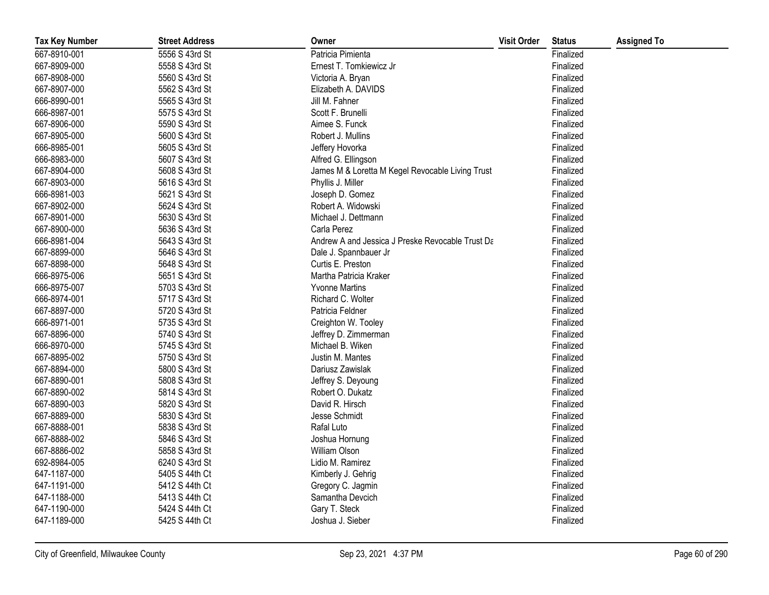| <b>Tax Key Number</b> | <b>Street Address</b> | Owner                                            | <b>Visit Order</b> | <b>Status</b> | <b>Assigned To</b> |
|-----------------------|-----------------------|--------------------------------------------------|--------------------|---------------|--------------------|
| 667-8910-001          | 5556 S 43rd St        | Patricia Pimienta                                |                    | Finalized     |                    |
| 667-8909-000          | 5558 S 43rd St        | Ernest T. Tomkiewicz Jr                          |                    | Finalized     |                    |
| 667-8908-000          | 5560 S 43rd St        | Victoria A. Bryan                                |                    | Finalized     |                    |
| 667-8907-000          | 5562 S 43rd St        | Elizabeth A. DAVIDS                              |                    | Finalized     |                    |
| 666-8990-001          | 5565 S 43rd St        | Jill M. Fahner                                   |                    | Finalized     |                    |
| 666-8987-001          | 5575 S 43rd St        | Scott F. Brunelli                                |                    | Finalized     |                    |
| 667-8906-000          | 5590 S 43rd St        | Aimee S. Funck                                   |                    | Finalized     |                    |
| 667-8905-000          | 5600 S 43rd St        | Robert J. Mullins                                |                    | Finalized     |                    |
| 666-8985-001          | 5605 S 43rd St        | Jeffery Hovorka                                  |                    | Finalized     |                    |
| 666-8983-000          | 5607 S 43rd St        | Alfred G. Ellingson                              |                    | Finalized     |                    |
| 667-8904-000          | 5608 S 43rd St        | James M & Loretta M Kegel Revocable Living Trust |                    | Finalized     |                    |
| 667-8903-000          | 5616 S 43rd St        | Phyllis J. Miller                                |                    | Finalized     |                    |
| 666-8981-003          | 5621 S 43rd St        | Joseph D. Gomez                                  |                    | Finalized     |                    |
| 667-8902-000          | 5624 S 43rd St        | Robert A. Widowski                               |                    | Finalized     |                    |
| 667-8901-000          | 5630 S 43rd St        | Michael J. Dettmann                              |                    | Finalized     |                    |
| 667-8900-000          | 5636 S 43rd St        | Carla Perez                                      |                    | Finalized     |                    |
| 666-8981-004          | 5643 S 43rd St        | Andrew A and Jessica J Preske Revocable Trust Da |                    | Finalized     |                    |
| 667-8899-000          | 5646 S 43rd St        | Dale J. Spannbauer Jr                            |                    | Finalized     |                    |
| 667-8898-000          | 5648 S 43rd St        | Curtis E. Preston                                |                    | Finalized     |                    |
| 666-8975-006          | 5651 S 43rd St        | Martha Patricia Kraker                           |                    | Finalized     |                    |
| 666-8975-007          | 5703 S 43rd St        | <b>Yvonne Martins</b>                            |                    | Finalized     |                    |
| 666-8974-001          | 5717 S 43rd St        | Richard C. Wolter                                |                    | Finalized     |                    |
| 667-8897-000          | 5720 S 43rd St        | Patricia Feldner                                 |                    | Finalized     |                    |
| 666-8971-001          | 5735 S 43rd St        | Creighton W. Tooley                              |                    | Finalized     |                    |
| 667-8896-000          | 5740 S 43rd St        | Jeffrey D. Zimmerman                             |                    | Finalized     |                    |
| 666-8970-000          | 5745 S 43rd St        | Michael B. Wiken                                 |                    | Finalized     |                    |
| 667-8895-002          | 5750 S 43rd St        | Justin M. Mantes                                 |                    | Finalized     |                    |
| 667-8894-000          | 5800 S 43rd St        | Dariusz Zawislak                                 |                    | Finalized     |                    |
| 667-8890-001          | 5808 S 43rd St        | Jeffrey S. Deyoung                               |                    | Finalized     |                    |
| 667-8890-002          | 5814 S 43rd St        | Robert O. Dukatz                                 |                    | Finalized     |                    |
| 667-8890-003          | 5820 S 43rd St        | David R. Hirsch                                  |                    | Finalized     |                    |
| 667-8889-000          | 5830 S 43rd St        | Jesse Schmidt                                    |                    | Finalized     |                    |
| 667-8888-001          | 5838 S 43rd St        | Rafal Luto                                       |                    | Finalized     |                    |
| 667-8888-002          | 5846 S 43rd St        | Joshua Hornung                                   |                    | Finalized     |                    |
| 667-8886-002          | 5858 S 43rd St        | William Olson                                    |                    | Finalized     |                    |
| 692-8984-005          | 6240 S 43rd St        | Lidio M. Ramirez                                 |                    | Finalized     |                    |
| 647-1187-000          | 5405 S 44th Ct        | Kimberly J. Gehrig                               |                    | Finalized     |                    |
| 647-1191-000          | 5412 S 44th Ct        | Gregory C. Jagmin                                |                    | Finalized     |                    |
| 647-1188-000          | 5413 S 44th Ct        | Samantha Devcich                                 |                    | Finalized     |                    |
| 647-1190-000          | 5424 S 44th Ct        | Gary T. Steck                                    |                    | Finalized     |                    |
| 647-1189-000          | 5425 S 44th Ct        | Joshua J. Sieber                                 |                    | Finalized     |                    |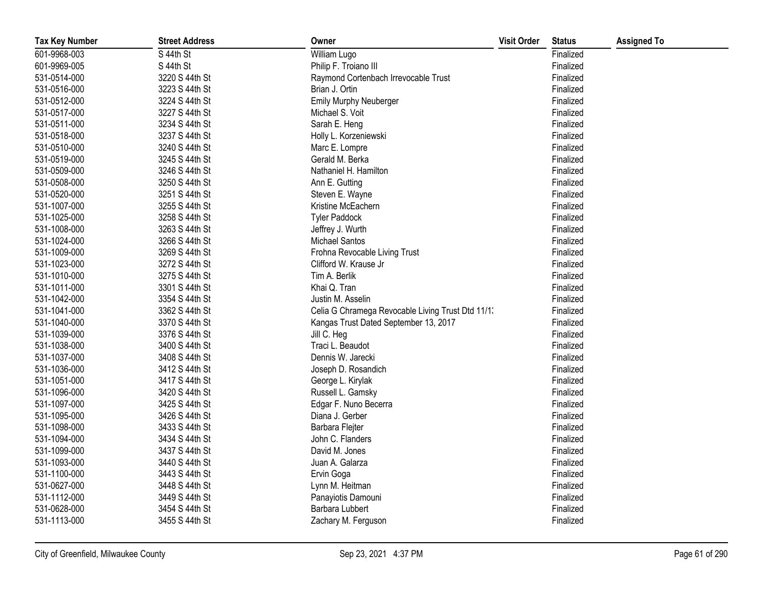| <b>Tax Key Number</b> | <b>Street Address</b> | Owner                                             | <b>Visit Order</b> | <b>Status</b> | <b>Assigned To</b> |
|-----------------------|-----------------------|---------------------------------------------------|--------------------|---------------|--------------------|
| 601-9968-003          | S 44th St             | William Lugo                                      |                    | Finalized     |                    |
| 601-9969-005          | S 44th St             | Philip F. Troiano III                             |                    | Finalized     |                    |
| 531-0514-000          | 3220 S 44th St        | Raymond Cortenbach Irrevocable Trust              |                    | Finalized     |                    |
| 531-0516-000          | 3223 S 44th St        | Brian J. Ortin                                    |                    | Finalized     |                    |
| 531-0512-000          | 3224 S 44th St        | Emily Murphy Neuberger                            |                    | Finalized     |                    |
| 531-0517-000          | 3227 S 44th St        | Michael S. Voit                                   |                    | Finalized     |                    |
| 531-0511-000          | 3234 S 44th St        | Sarah E. Heng                                     |                    | Finalized     |                    |
| 531-0518-000          | 3237 S 44th St        | Holly L. Korzeniewski                             |                    | Finalized     |                    |
| 531-0510-000          | 3240 S 44th St        | Marc E. Lompre                                    |                    | Finalized     |                    |
| 531-0519-000          | 3245 S 44th St        | Gerald M. Berka                                   |                    | Finalized     |                    |
| 531-0509-000          | 3246 S 44th St        | Nathaniel H. Hamilton                             |                    | Finalized     |                    |
| 531-0508-000          | 3250 S 44th St        | Ann E. Gutting                                    |                    | Finalized     |                    |
| 531-0520-000          | 3251 S 44th St        | Steven E. Wayne                                   |                    | Finalized     |                    |
| 531-1007-000          | 3255 S 44th St        | Kristine McEachern                                |                    | Finalized     |                    |
| 531-1025-000          | 3258 S 44th St        | <b>Tyler Paddock</b>                              |                    | Finalized     |                    |
| 531-1008-000          | 3263 S 44th St        | Jeffrey J. Wurth                                  |                    | Finalized     |                    |
| 531-1024-000          | 3266 S 44th St        | <b>Michael Santos</b>                             |                    | Finalized     |                    |
| 531-1009-000          | 3269 S 44th St        | Frohna Revocable Living Trust                     |                    | Finalized     |                    |
| 531-1023-000          | 3272 S 44th St        | Clifford W. Krause Jr                             |                    | Finalized     |                    |
| 531-1010-000          | 3275 S 44th St        | Tim A. Berlik                                     |                    | Finalized     |                    |
| 531-1011-000          | 3301 S 44th St        | Khai Q. Tran                                      |                    | Finalized     |                    |
| 531-1042-000          | 3354 S 44th St        | Justin M. Asselin                                 |                    | Finalized     |                    |
| 531-1041-000          | 3362 S 44th St        | Celia G Chramega Revocable Living Trust Dtd 11/1. |                    | Finalized     |                    |
| 531-1040-000          | 3370 S 44th St        | Kangas Trust Dated September 13, 2017             |                    | Finalized     |                    |
| 531-1039-000          | 3376 S 44th St        | Jill C. Heg                                       |                    | Finalized     |                    |
| 531-1038-000          | 3400 S 44th St        | Traci L. Beaudot                                  |                    | Finalized     |                    |
| 531-1037-000          | 3408 S 44th St        | Dennis W. Jarecki                                 |                    | Finalized     |                    |
| 531-1036-000          | 3412 S 44th St        | Joseph D. Rosandich                               |                    | Finalized     |                    |
| 531-1051-000          | 3417 S 44th St        | George L. Kirylak                                 |                    | Finalized     |                    |
| 531-1096-000          | 3420 S 44th St        | Russell L. Gamsky                                 |                    | Finalized     |                    |
| 531-1097-000          | 3425 S 44th St        | Edgar F. Nuno Becerra                             |                    | Finalized     |                    |
| 531-1095-000          | 3426 S 44th St        | Diana J. Gerber                                   |                    | Finalized     |                    |
| 531-1098-000          | 3433 S 44th St        | Barbara Flejter                                   |                    | Finalized     |                    |
| 531-1094-000          | 3434 S 44th St        | John C. Flanders                                  |                    | Finalized     |                    |
| 531-1099-000          | 3437 S 44th St        | David M. Jones                                    |                    | Finalized     |                    |
| 531-1093-000          | 3440 S 44th St        | Juan A. Galarza                                   |                    | Finalized     |                    |
| 531-1100-000          | 3443 S 44th St        | Ervin Goga                                        |                    | Finalized     |                    |
| 531-0627-000          | 3448 S 44th St        | Lynn M. Heitman                                   |                    | Finalized     |                    |
| 531-1112-000          | 3449 S 44th St        | Panayiotis Damouni                                |                    | Finalized     |                    |
| 531-0628-000          | 3454 S 44th St        | Barbara Lubbert                                   |                    | Finalized     |                    |
| 531-1113-000          | 3455 S 44th St        | Zachary M. Ferguson                               |                    | Finalized     |                    |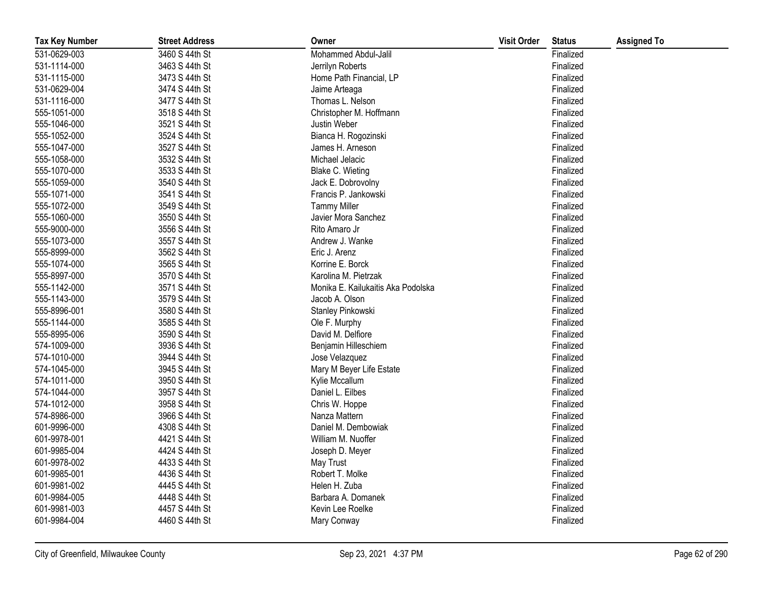| <b>Tax Key Number</b> | <b>Street Address</b> | Owner                              | <b>Visit Order</b> | <b>Status</b> | <b>Assigned To</b> |
|-----------------------|-----------------------|------------------------------------|--------------------|---------------|--------------------|
| 531-0629-003          | 3460 S 44th St        | Mohammed Abdul-Jalil               |                    | Finalized     |                    |
| 531-1114-000          | 3463 S 44th St        | Jerrilyn Roberts                   |                    | Finalized     |                    |
| 531-1115-000          | 3473 S 44th St        | Home Path Financial, LP            |                    | Finalized     |                    |
| 531-0629-004          | 3474 S 44th St        | Jaime Arteaga                      |                    | Finalized     |                    |
| 531-1116-000          | 3477 S 44th St        | Thomas L. Nelson                   |                    | Finalized     |                    |
| 555-1051-000          | 3518 S 44th St        | Christopher M. Hoffmann            |                    | Finalized     |                    |
| 555-1046-000          | 3521 S 44th St        | Justin Weber                       |                    | Finalized     |                    |
| 555-1052-000          | 3524 S 44th St        | Bianca H. Rogozinski               |                    | Finalized     |                    |
| 555-1047-000          | 3527 S 44th St        | James H. Arneson                   |                    | Finalized     |                    |
| 555-1058-000          | 3532 S 44th St        | Michael Jelacic                    |                    | Finalized     |                    |
| 555-1070-000          | 3533 S 44th St        | Blake C. Wieting                   |                    | Finalized     |                    |
| 555-1059-000          | 3540 S 44th St        | Jack E. Dobrovolny                 |                    | Finalized     |                    |
| 555-1071-000          | 3541 S 44th St        | Francis P. Jankowski               |                    | Finalized     |                    |
| 555-1072-000          | 3549 S 44th St        | <b>Tammy Miller</b>                |                    | Finalized     |                    |
| 555-1060-000          | 3550 S 44th St        | Javier Mora Sanchez                |                    | Finalized     |                    |
| 555-9000-000          | 3556 S 44th St        | Rito Amaro Jr                      |                    | Finalized     |                    |
| 555-1073-000          | 3557 S 44th St        | Andrew J. Wanke                    |                    | Finalized     |                    |
| 555-8999-000          | 3562 S 44th St        | Eric J. Arenz                      |                    | Finalized     |                    |
| 555-1074-000          | 3565 S 44th St        | Korrine E. Borck                   |                    | Finalized     |                    |
| 555-8997-000          | 3570 S 44th St        | Karolina M. Pietrzak               |                    | Finalized     |                    |
| 555-1142-000          | 3571 S 44th St        | Monika E. Kailukaitis Aka Podolska |                    | Finalized     |                    |
| 555-1143-000          | 3579 S 44th St        | Jacob A. Olson                     |                    | Finalized     |                    |
| 555-8996-001          | 3580 S 44th St        | Stanley Pinkowski                  |                    | Finalized     |                    |
| 555-1144-000          | 3585 S 44th St        | Ole F. Murphy                      |                    | Finalized     |                    |
| 555-8995-006          | 3590 S 44th St        | David M. Delfiore                  |                    | Finalized     |                    |
| 574-1009-000          | 3936 S 44th St        | Benjamin Hilleschiem               |                    | Finalized     |                    |
| 574-1010-000          | 3944 S 44th St        | Jose Velazquez                     |                    | Finalized     |                    |
| 574-1045-000          | 3945 S 44th St        | Mary M Beyer Life Estate           |                    | Finalized     |                    |
| 574-1011-000          | 3950 S 44th St        | Kylie Mccallum                     |                    | Finalized     |                    |
| 574-1044-000          | 3957 S 44th St        | Daniel L. Eilbes                   |                    | Finalized     |                    |
| 574-1012-000          | 3958 S 44th St        | Chris W. Hoppe                     |                    | Finalized     |                    |
| 574-8986-000          | 3966 S 44th St        | Nanza Mattern                      |                    | Finalized     |                    |
| 601-9996-000          | 4308 S 44th St        | Daniel M. Dembowiak                |                    | Finalized     |                    |
| 601-9978-001          | 4421 S 44th St        | William M. Nuoffer                 |                    | Finalized     |                    |
| 601-9985-004          | 4424 S 44th St        | Joseph D. Meyer                    |                    | Finalized     |                    |
| 601-9978-002          | 4433 S 44th St        | May Trust                          |                    | Finalized     |                    |
| 601-9985-001          | 4436 S 44th St        | Robert T. Molke                    |                    | Finalized     |                    |
| 601-9981-002          | 4445 S 44th St        | Helen H. Zuba                      |                    | Finalized     |                    |
| 601-9984-005          | 4448 S 44th St        | Barbara A. Domanek                 |                    | Finalized     |                    |
| 601-9981-003          | 4457 S 44th St        | Kevin Lee Roelke                   |                    | Finalized     |                    |
| 601-9984-004          | 4460 S 44th St        | Mary Conway                        |                    | Finalized     |                    |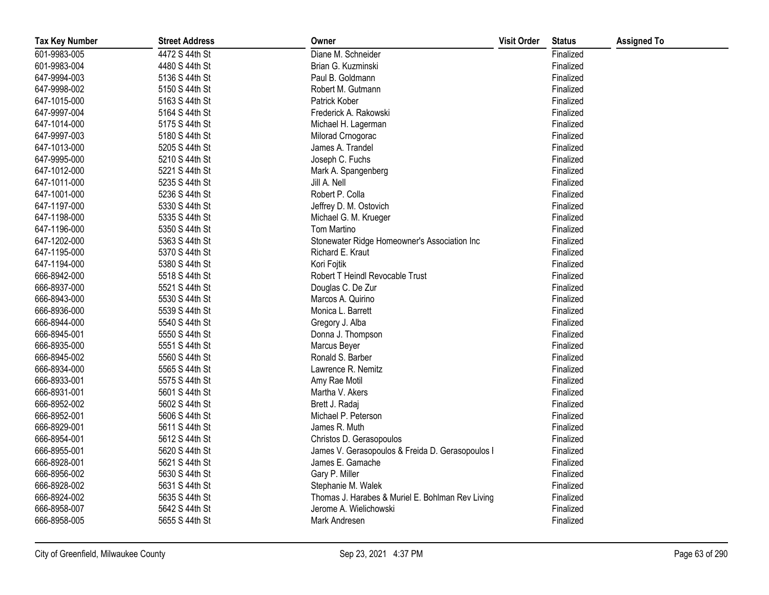| <b>Tax Key Number</b> | <b>Street Address</b> | Owner                                            | <b>Visit Order</b> | <b>Status</b> | <b>Assigned To</b> |
|-----------------------|-----------------------|--------------------------------------------------|--------------------|---------------|--------------------|
| 601-9983-005          | 4472 S 44th St        | Diane M. Schneider                               |                    | Finalized     |                    |
| 601-9983-004          | 4480 S 44th St        | Brian G. Kuzminski                               |                    | Finalized     |                    |
| 647-9994-003          | 5136 S 44th St        | Paul B. Goldmann                                 |                    | Finalized     |                    |
| 647-9998-002          | 5150 S 44th St        | Robert M. Gutmann                                |                    | Finalized     |                    |
| 647-1015-000          | 5163 S 44th St        | Patrick Kober                                    |                    | Finalized     |                    |
| 647-9997-004          | 5164 S 44th St        | Frederick A. Rakowski                            |                    | Finalized     |                    |
| 647-1014-000          | 5175 S 44th St        | Michael H. Lagerman                              |                    | Finalized     |                    |
| 647-9997-003          | 5180 S 44th St        | Milorad Crnogorac                                |                    | Finalized     |                    |
| 647-1013-000          | 5205 S 44th St        | James A. Trandel                                 |                    | Finalized     |                    |
| 647-9995-000          | 5210 S 44th St        | Joseph C. Fuchs                                  |                    | Finalized     |                    |
| 647-1012-000          | 5221 S 44th St        | Mark A. Spangenberg                              |                    | Finalized     |                    |
| 647-1011-000          | 5235 S 44th St        | Jill A. Nell                                     |                    | Finalized     |                    |
| 647-1001-000          | 5236 S 44th St        | Robert P. Colla                                  |                    | Finalized     |                    |
| 647-1197-000          | 5330 S 44th St        | Jeffrey D. M. Ostovich                           |                    | Finalized     |                    |
| 647-1198-000          | 5335 S 44th St        | Michael G. M. Krueger                            |                    | Finalized     |                    |
| 647-1196-000          | 5350 S 44th St        | Tom Martino                                      |                    | Finalized     |                    |
| 647-1202-000          | 5363 S 44th St        | Stonewater Ridge Homeowner's Association Inc     |                    | Finalized     |                    |
| 647-1195-000          | 5370 S 44th St        | Richard E. Kraut                                 |                    | Finalized     |                    |
| 647-1194-000          | 5380 S 44th St        | Kori Fojtik                                      |                    | Finalized     |                    |
| 666-8942-000          | 5518 S 44th St        | Robert T Heindl Revocable Trust                  |                    | Finalized     |                    |
| 666-8937-000          | 5521 S 44th St        | Douglas C. De Zur                                |                    | Finalized     |                    |
| 666-8943-000          | 5530 S 44th St        | Marcos A. Quirino                                |                    | Finalized     |                    |
| 666-8936-000          | 5539 S 44th St        | Monica L. Barrett                                |                    | Finalized     |                    |
| 666-8944-000          | 5540 S 44th St        | Gregory J. Alba                                  |                    | Finalized     |                    |
| 666-8945-001          | 5550 S 44th St        | Donna J. Thompson                                |                    | Finalized     |                    |
| 666-8935-000          | 5551 S 44th St        | Marcus Beyer                                     |                    | Finalized     |                    |
| 666-8945-002          | 5560 S 44th St        | Ronald S. Barber                                 |                    | Finalized     |                    |
| 666-8934-000          | 5565 S 44th St        | Lawrence R. Nemitz                               |                    | Finalized     |                    |
| 666-8933-001          | 5575 S 44th St        | Amy Rae Motil                                    |                    | Finalized     |                    |
| 666-8931-001          | 5601 S 44th St        | Martha V. Akers                                  |                    | Finalized     |                    |
| 666-8952-002          | 5602 S 44th St        | Brett J. Radaj                                   |                    | Finalized     |                    |
| 666-8952-001          | 5606 S 44th St        | Michael P. Peterson                              |                    | Finalized     |                    |
| 666-8929-001          | 5611 S 44th St        | James R. Muth                                    |                    | Finalized     |                    |
| 666-8954-001          | 5612 S 44th St        | Christos D. Gerasopoulos                         |                    | Finalized     |                    |
| 666-8955-001          | 5620 S 44th St        | James V. Gerasopoulos & Freida D. Gerasopoulos I |                    | Finalized     |                    |
| 666-8928-001          | 5621 S 44th St        | James E. Gamache                                 |                    | Finalized     |                    |
| 666-8956-002          | 5630 S 44th St        | Gary P. Miller                                   |                    | Finalized     |                    |
| 666-8928-002          | 5631 S 44th St        | Stephanie M. Walek                               |                    | Finalized     |                    |
| 666-8924-002          | 5635 S 44th St        | Thomas J. Harabes & Muriel E. Bohlman Rev Living |                    | Finalized     |                    |
| 666-8958-007          | 5642 S 44th St        | Jerome A. Wielichowski                           |                    | Finalized     |                    |
| 666-8958-005          | 5655 S 44th St        | Mark Andresen                                    |                    | Finalized     |                    |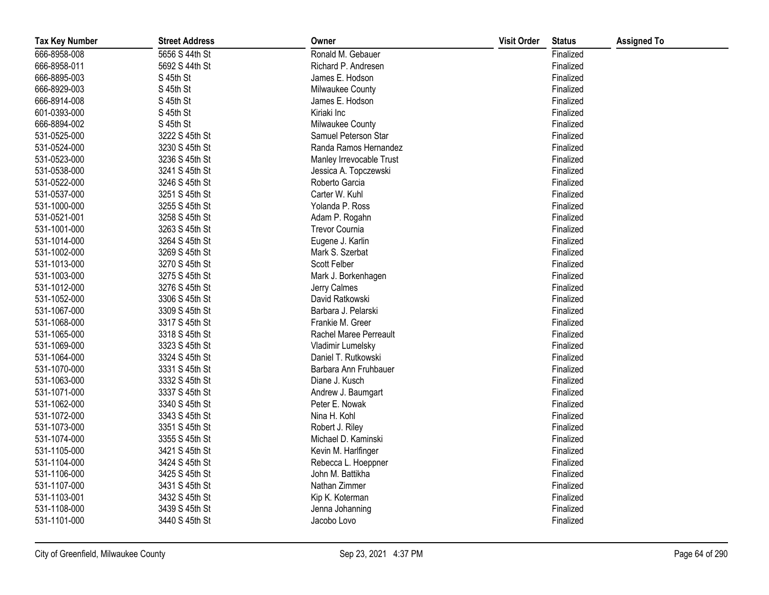| <b>Tax Key Number</b> | <b>Street Address</b> | Owner                    | <b>Visit Order</b> | <b>Status</b> | <b>Assigned To</b> |
|-----------------------|-----------------------|--------------------------|--------------------|---------------|--------------------|
| 666-8958-008          | 5656 S 44th St        | Ronald M. Gebauer        |                    | Finalized     |                    |
| 666-8958-011          | 5692 S 44th St        | Richard P. Andresen      |                    | Finalized     |                    |
| 666-8895-003          | S 45th St             | James E. Hodson          |                    | Finalized     |                    |
| 666-8929-003          | S 45th St             | Milwaukee County         |                    | Finalized     |                    |
| 666-8914-008          | S 45th St             | James E. Hodson          |                    | Finalized     |                    |
| 601-0393-000          | S 45th St             | Kiriaki Inc              |                    | Finalized     |                    |
| 666-8894-002          | S 45th St             | Milwaukee County         |                    | Finalized     |                    |
| 531-0525-000          | 3222 S 45th St        | Samuel Peterson Star     |                    | Finalized     |                    |
| 531-0524-000          | 3230 S 45th St        | Randa Ramos Hernandez    |                    | Finalized     |                    |
| 531-0523-000          | 3236 S 45th St        | Manley Irrevocable Trust |                    | Finalized     |                    |
| 531-0538-000          | 3241 S 45th St        | Jessica A. Topczewski    |                    | Finalized     |                    |
| 531-0522-000          | 3246 S 45th St        | Roberto Garcia           |                    | Finalized     |                    |
| 531-0537-000          | 3251 S 45th St        | Carter W. Kuhl           |                    | Finalized     |                    |
| 531-1000-000          | 3255 S 45th St        | Yolanda P. Ross          |                    | Finalized     |                    |
| 531-0521-001          | 3258 S 45th St        | Adam P. Rogahn           |                    | Finalized     |                    |
| 531-1001-000          | 3263 S 45th St        | Trevor Cournia           |                    | Finalized     |                    |
| 531-1014-000          | 3264 S 45th St        | Eugene J. Karlin         |                    | Finalized     |                    |
| 531-1002-000          | 3269 S 45th St        | Mark S. Szerbat          |                    | Finalized     |                    |
| 531-1013-000          | 3270 S 45th St        | Scott Felber             |                    | Finalized     |                    |
| 531-1003-000          | 3275 S 45th St        | Mark J. Borkenhagen      |                    | Finalized     |                    |
| 531-1012-000          | 3276 S 45th St        | Jerry Calmes             |                    | Finalized     |                    |
| 531-1052-000          | 3306 S 45th St        | David Ratkowski          |                    | Finalized     |                    |
| 531-1067-000          | 3309 S 45th St        | Barbara J. Pelarski      |                    | Finalized     |                    |
| 531-1068-000          | 3317 S 45th St        | Frankie M. Greer         |                    | Finalized     |                    |
| 531-1065-000          | 3318 S 45th St        | Rachel Maree Perreault   |                    | Finalized     |                    |
| 531-1069-000          | 3323 S 45th St        | Vladimir Lumelsky        |                    | Finalized     |                    |
| 531-1064-000          | 3324 S 45th St        | Daniel T. Rutkowski      |                    | Finalized     |                    |
| 531-1070-000          | 3331 S 45th St        | Barbara Ann Fruhbauer    |                    | Finalized     |                    |
| 531-1063-000          | 3332 S 45th St        | Diane J. Kusch           |                    | Finalized     |                    |
| 531-1071-000          | 3337 S 45th St        | Andrew J. Baumgart       |                    | Finalized     |                    |
| 531-1062-000          | 3340 S 45th St        | Peter E. Nowak           |                    | Finalized     |                    |
| 531-1072-000          | 3343 S 45th St        | Nina H. Kohl             |                    | Finalized     |                    |
| 531-1073-000          | 3351 S 45th St        | Robert J. Riley          |                    | Finalized     |                    |
| 531-1074-000          | 3355 S 45th St        | Michael D. Kaminski      |                    | Finalized     |                    |
| 531-1105-000          | 3421 S 45th St        | Kevin M. Harlfinger      |                    | Finalized     |                    |
| 531-1104-000          | 3424 S 45th St        | Rebecca L. Hoeppner      |                    | Finalized     |                    |
| 531-1106-000          | 3425 S 45th St        | John M. Battikha         |                    | Finalized     |                    |
| 531-1107-000          | 3431 S 45th St        | Nathan Zimmer            |                    | Finalized     |                    |
| 531-1103-001          | 3432 S 45th St        | Kip K. Koterman          |                    | Finalized     |                    |
| 531-1108-000          | 3439 S 45th St        | Jenna Johanning          |                    | Finalized     |                    |
| 531-1101-000          | 3440 S 45th St        | Jacobo Lovo              |                    | Finalized     |                    |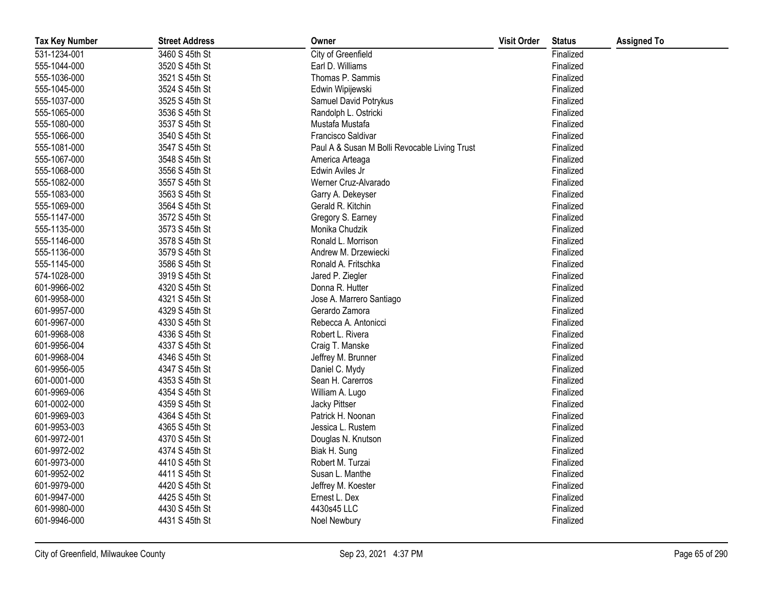| <b>Tax Key Number</b> | <b>Street Address</b> | Owner                                         | <b>Visit Order</b> | <b>Status</b> | <b>Assigned To</b> |
|-----------------------|-----------------------|-----------------------------------------------|--------------------|---------------|--------------------|
| 531-1234-001          | 3460 S 45th St        | City of Greenfield                            |                    | Finalized     |                    |
| 555-1044-000          | 3520 S 45th St        | Earl D. Williams                              |                    | Finalized     |                    |
| 555-1036-000          | 3521 S 45th St        | Thomas P. Sammis                              |                    | Finalized     |                    |
| 555-1045-000          | 3524 S 45th St        | Edwin Wipijewski                              |                    | Finalized     |                    |
| 555-1037-000          | 3525 S 45th St        | Samuel David Potrykus                         |                    | Finalized     |                    |
| 555-1065-000          | 3536 S 45th St        | Randolph L. Ostricki                          |                    | Finalized     |                    |
| 555-1080-000          | 3537 S 45th St        | Mustafa Mustafa                               |                    | Finalized     |                    |
| 555-1066-000          | 3540 S 45th St        | Francisco Saldivar                            |                    | Finalized     |                    |
| 555-1081-000          | 3547 S 45th St        | Paul A & Susan M Bolli Revocable Living Trust |                    | Finalized     |                    |
| 555-1067-000          | 3548 S 45th St        | America Arteaga                               |                    | Finalized     |                    |
| 555-1068-000          | 3556 S 45th St        | Edwin Aviles Jr                               |                    | Finalized     |                    |
| 555-1082-000          | 3557 S 45th St        | Werner Cruz-Alvarado                          |                    | Finalized     |                    |
| 555-1083-000          | 3563 S 45th St        | Garry A. Dekeyser                             |                    | Finalized     |                    |
| 555-1069-000          | 3564 S 45th St        | Gerald R. Kitchin                             |                    | Finalized     |                    |
| 555-1147-000          | 3572 S 45th St        | Gregory S. Earney                             |                    | Finalized     |                    |
| 555-1135-000          | 3573 S 45th St        | Monika Chudzik                                |                    | Finalized     |                    |
| 555-1146-000          | 3578 S 45th St        | Ronald L. Morrison                            |                    | Finalized     |                    |
| 555-1136-000          | 3579 S 45th St        | Andrew M. Drzewiecki                          |                    | Finalized     |                    |
| 555-1145-000          | 3586 S 45th St        | Ronald A. Fritschka                           |                    | Finalized     |                    |
| 574-1028-000          | 3919 S 45th St        | Jared P. Ziegler                              |                    | Finalized     |                    |
| 601-9966-002          | 4320 S 45th St        | Donna R. Hutter                               |                    | Finalized     |                    |
| 601-9958-000          | 4321 S 45th St        | Jose A. Marrero Santiago                      |                    | Finalized     |                    |
| 601-9957-000          | 4329 S 45th St        | Gerardo Zamora                                |                    | Finalized     |                    |
| 601-9967-000          | 4330 S 45th St        | Rebecca A. Antonicci                          |                    | Finalized     |                    |
| 601-9968-008          | 4336 S 45th St        | Robert L. Rivera                              |                    | Finalized     |                    |
| 601-9956-004          | 4337 S 45th St        | Craig T. Manske                               |                    | Finalized     |                    |
| 601-9968-004          | 4346 S 45th St        | Jeffrey M. Brunner                            |                    | Finalized     |                    |
| 601-9956-005          | 4347 S 45th St        | Daniel C. Mydy                                |                    | Finalized     |                    |
| 601-0001-000          | 4353 S 45th St        | Sean H. Carerros                              |                    | Finalized     |                    |
| 601-9969-006          | 4354 S 45th St        | William A. Lugo                               |                    | Finalized     |                    |
| 601-0002-000          | 4359 S 45th St        | Jacky Pittser                                 |                    | Finalized     |                    |
| 601-9969-003          | 4364 S 45th St        | Patrick H. Noonan                             |                    | Finalized     |                    |
| 601-9953-003          | 4365 S 45th St        | Jessica L. Rustem                             |                    | Finalized     |                    |
| 601-9972-001          | 4370 S 45th St        | Douglas N. Knutson                            |                    | Finalized     |                    |
| 601-9972-002          | 4374 S 45th St        | Biak H. Sung                                  |                    | Finalized     |                    |
| 601-9973-000          | 4410 S 45th St        | Robert M. Turzai                              |                    | Finalized     |                    |
| 601-9952-002          | 4411 S 45th St        | Susan L. Manthe                               |                    | Finalized     |                    |
| 601-9979-000          | 4420 S 45th St        | Jeffrey M. Koester                            |                    | Finalized     |                    |
| 601-9947-000          | 4425 S 45th St        | Ernest L. Dex                                 |                    | Finalized     |                    |
| 601-9980-000          | 4430 S 45th St        | 4430s45 LLC                                   |                    | Finalized     |                    |
| 601-9946-000          | 4431 S 45th St        | Noel Newbury                                  |                    | Finalized     |                    |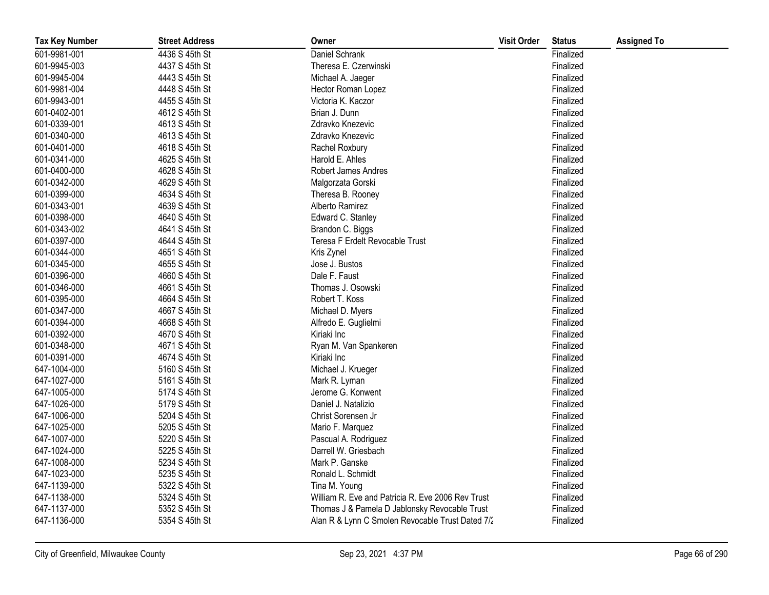| <b>Tax Key Number</b> | <b>Street Address</b> | Owner                                             | <b>Visit Order</b> | <b>Status</b> | <b>Assigned To</b> |
|-----------------------|-----------------------|---------------------------------------------------|--------------------|---------------|--------------------|
| 601-9981-001          | 4436 S 45th St        | Daniel Schrank                                    |                    | Finalized     |                    |
| 601-9945-003          | 4437 S 45th St        | Theresa E. Czerwinski                             |                    | Finalized     |                    |
| 601-9945-004          | 4443 S 45th St        | Michael A. Jaeger                                 |                    | Finalized     |                    |
| 601-9981-004          | 4448 S 45th St        | Hector Roman Lopez                                |                    | Finalized     |                    |
| 601-9943-001          | 4455 S 45th St        | Victoria K. Kaczor                                |                    | Finalized     |                    |
| 601-0402-001          | 4612 S 45th St        | Brian J. Dunn                                     |                    | Finalized     |                    |
| 601-0339-001          | 4613 S 45th St        | Zdravko Knezevic                                  |                    | Finalized     |                    |
| 601-0340-000          | 4613 S 45th St        | Zdravko Knezevic                                  |                    | Finalized     |                    |
| 601-0401-000          | 4618 S 45th St        | Rachel Roxbury                                    |                    | Finalized     |                    |
| 601-0341-000          | 4625 S 45th St        | Harold E. Ahles                                   |                    | Finalized     |                    |
| 601-0400-000          | 4628 S 45th St        | Robert James Andres                               |                    | Finalized     |                    |
| 601-0342-000          | 4629 S 45th St        | Malgorzata Gorski                                 |                    | Finalized     |                    |
| 601-0399-000          | 4634 S 45th St        | Theresa B. Rooney                                 |                    | Finalized     |                    |
| 601-0343-001          | 4639 S 45th St        | Alberto Ramirez                                   |                    | Finalized     |                    |
| 601-0398-000          | 4640 S 45th St        | Edward C. Stanley                                 |                    | Finalized     |                    |
| 601-0343-002          | 4641 S 45th St        | Brandon C. Biggs                                  |                    | Finalized     |                    |
| 601-0397-000          | 4644 S 45th St        | Teresa F Erdelt Revocable Trust                   |                    | Finalized     |                    |
| 601-0344-000          | 4651 S 45th St        | Kris Zynel                                        |                    | Finalized     |                    |
| 601-0345-000          | 4655 S 45th St        | Jose J. Bustos                                    |                    | Finalized     |                    |
| 601-0396-000          | 4660 S 45th St        | Dale F. Faust                                     |                    | Finalized     |                    |
| 601-0346-000          | 4661 S 45th St        | Thomas J. Osowski                                 |                    | Finalized     |                    |
| 601-0395-000          | 4664 S 45th St        | Robert T. Koss                                    |                    | Finalized     |                    |
| 601-0347-000          | 4667 S 45th St        | Michael D. Myers                                  |                    | Finalized     |                    |
| 601-0394-000          | 4668 S 45th St        | Alfredo E. Guglielmi                              |                    | Finalized     |                    |
| 601-0392-000          | 4670 S 45th St        | Kiriaki Inc                                       |                    | Finalized     |                    |
| 601-0348-000          | 4671 S 45th St        | Ryan M. Van Spankeren                             |                    | Finalized     |                    |
| 601-0391-000          | 4674 S 45th St        | Kiriaki Inc                                       |                    | Finalized     |                    |
| 647-1004-000          | 5160 S 45th St        | Michael J. Krueger                                |                    | Finalized     |                    |
| 647-1027-000          | 5161 S 45th St        | Mark R. Lyman                                     |                    | Finalized     |                    |
| 647-1005-000          | 5174 S 45th St        | Jerome G. Konwent                                 |                    | Finalized     |                    |
| 647-1026-000          | 5179 S 45th St        | Daniel J. Natalizio                               |                    | Finalized     |                    |
| 647-1006-000          | 5204 S 45th St        | Christ Sorensen Jr                                |                    | Finalized     |                    |
| 647-1025-000          | 5205 S 45th St        | Mario F. Marquez                                  |                    | Finalized     |                    |
| 647-1007-000          | 5220 S 45th St        | Pascual A. Rodriguez                              |                    | Finalized     |                    |
| 647-1024-000          | 5225 S 45th St        | Darrell W. Griesbach                              |                    | Finalized     |                    |
| 647-1008-000          | 5234 S 45th St        | Mark P. Ganske                                    |                    | Finalized     |                    |
| 647-1023-000          | 5235 S 45th St        | Ronald L. Schmidt                                 |                    | Finalized     |                    |
| 647-1139-000          | 5322 S 45th St        | Tina M. Young                                     |                    | Finalized     |                    |
| 647-1138-000          | 5324 S 45th St        | William R. Eve and Patricia R. Eve 2006 Rev Trust |                    | Finalized     |                    |
| 647-1137-000          | 5352 S 45th St        | Thomas J & Pamela D Jablonsky Revocable Trust     |                    | Finalized     |                    |
| 647-1136-000          | 5354 S 45th St        | Alan R & Lynn C Smolen Revocable Trust Dated 7/2  |                    | Finalized     |                    |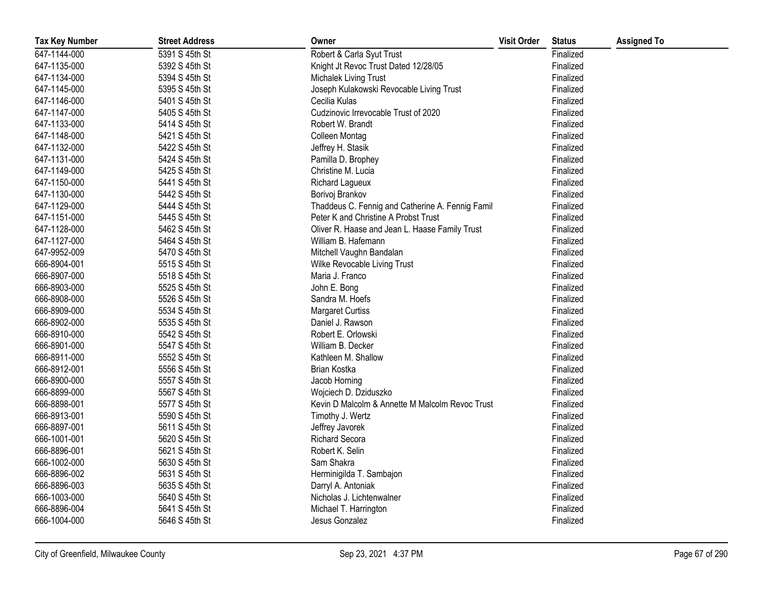| <b>Tax Key Number</b> | <b>Street Address</b> | Owner                                             | <b>Visit Order</b> | <b>Status</b> | <b>Assigned To</b> |
|-----------------------|-----------------------|---------------------------------------------------|--------------------|---------------|--------------------|
| 647-1144-000          | 5391 S 45th St        | Robert & Carla Syut Trust                         |                    | Finalized     |                    |
| 647-1135-000          | 5392 S 45th St        | Knight Jt Revoc Trust Dated 12/28/05              |                    | Finalized     |                    |
| 647-1134-000          | 5394 S 45th St        | Michalek Living Trust                             |                    | Finalized     |                    |
| 647-1145-000          | 5395 S 45th St        | Joseph Kulakowski Revocable Living Trust          |                    | Finalized     |                    |
| 647-1146-000          | 5401 S 45th St        | Cecilia Kulas                                     |                    | Finalized     |                    |
| 647-1147-000          | 5405 S 45th St        | Cudzinovic Irrevocable Trust of 2020              |                    | Finalized     |                    |
| 647-1133-000          | 5414 S 45th St        | Robert W. Brandt                                  |                    | Finalized     |                    |
| 647-1148-000          | 5421 S 45th St        | Colleen Montag                                    |                    | Finalized     |                    |
| 647-1132-000          | 5422 S 45th St        | Jeffrey H. Stasik                                 |                    | Finalized     |                    |
| 647-1131-000          | 5424 S 45th St        | Pamilla D. Brophey                                |                    | Finalized     |                    |
| 647-1149-000          | 5425 S 45th St        | Christine M. Lucia                                |                    | Finalized     |                    |
| 647-1150-000          | 5441 S 45th St        | Richard Lagueux                                   |                    | Finalized     |                    |
| 647-1130-000          | 5442 S 45th St        | Borivoj Brankov                                   |                    | Finalized     |                    |
| 647-1129-000          | 5444 S 45th St        | Thaddeus C. Fennig and Catherine A. Fennig Family |                    | Finalized     |                    |
| 647-1151-000          | 5445 S 45th St        | Peter K and Christine A Probst Trust              |                    | Finalized     |                    |
| 647-1128-000          | 5462 S 45th St        | Oliver R. Haase and Jean L. Haase Family Trust    |                    | Finalized     |                    |
| 647-1127-000          | 5464 S 45th St        | William B. Hafemann                               |                    | Finalized     |                    |
| 647-9952-009          | 5470 S 45th St        | Mitchell Vaughn Bandalan                          |                    | Finalized     |                    |
| 666-8904-001          | 5515 S 45th St        | Wilke Revocable Living Trust                      |                    | Finalized     |                    |
| 666-8907-000          | 5518 S 45th St        | Maria J. Franco                                   |                    | Finalized     |                    |
| 666-8903-000          | 5525 S 45th St        | John E. Bong                                      |                    | Finalized     |                    |
| 666-8908-000          | 5526 S 45th St        | Sandra M. Hoefs                                   |                    | Finalized     |                    |
| 666-8909-000          | 5534 S 45th St        | <b>Margaret Curtiss</b>                           |                    | Finalized     |                    |
| 666-8902-000          | 5535 S 45th St        | Daniel J. Rawson                                  |                    | Finalized     |                    |
| 666-8910-000          | 5542 S 45th St        | Robert E. Orlowski                                |                    | Finalized     |                    |
| 666-8901-000          | 5547 S 45th St        | William B. Decker                                 |                    | Finalized     |                    |
| 666-8911-000          | 5552 S 45th St        | Kathleen M. Shallow                               |                    | Finalized     |                    |
| 666-8912-001          | 5556 S 45th St        | Brian Kostka                                      |                    | Finalized     |                    |
| 666-8900-000          | 5557 S 45th St        | Jacob Horning                                     |                    | Finalized     |                    |
| 666-8899-000          | 5567 S 45th St        | Wojciech D. Dziduszko                             |                    | Finalized     |                    |
| 666-8898-001          | 5577 S 45th St        | Kevin D Malcolm & Annette M Malcolm Revoc Trust   |                    | Finalized     |                    |
| 666-8913-001          | 5590 S 45th St        | Timothy J. Wertz                                  |                    | Finalized     |                    |
| 666-8897-001          | 5611 S 45th St        | Jeffrey Javorek                                   |                    | Finalized     |                    |
| 666-1001-001          | 5620 S 45th St        | <b>Richard Secora</b>                             |                    | Finalized     |                    |
| 666-8896-001          | 5621 S 45th St        | Robert K. Selin                                   |                    | Finalized     |                    |
| 666-1002-000          | 5630 S 45th St        | Sam Shakra                                        |                    | Finalized     |                    |
| 666-8896-002          | 5631 S 45th St        | Herminigilda T. Sambajon                          |                    | Finalized     |                    |
| 666-8896-003          | 5635 S 45th St        | Darryl A. Antoniak                                |                    | Finalized     |                    |
| 666-1003-000          | 5640 S 45th St        | Nicholas J. Lichtenwalner                         |                    | Finalized     |                    |
| 666-8896-004          | 5641 S 45th St        | Michael T. Harrington                             |                    | Finalized     |                    |
| 666-1004-000          | 5646 S 45th St        | Jesus Gonzalez                                    |                    | Finalized     |                    |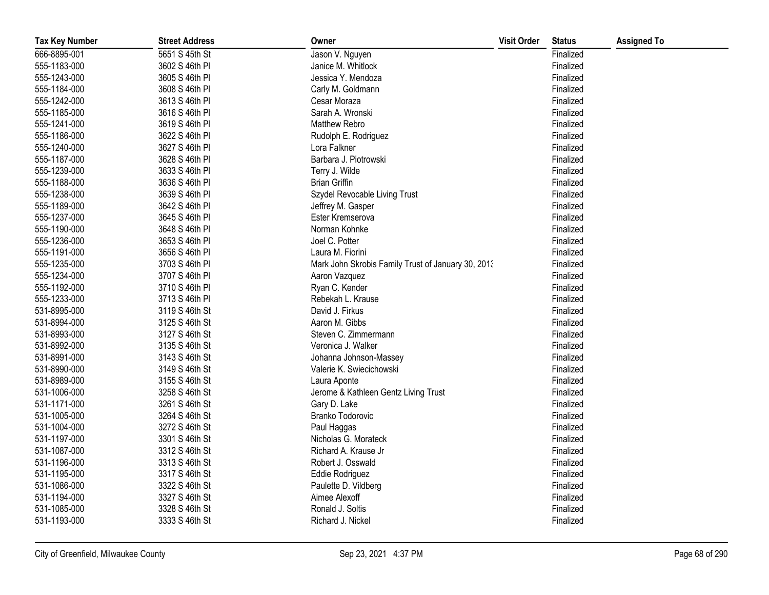| <b>Tax Key Number</b> | <b>Street Address</b> | Owner                                              | <b>Visit Order</b> | <b>Status</b> | <b>Assigned To</b> |
|-----------------------|-----------------------|----------------------------------------------------|--------------------|---------------|--------------------|
| 666-8895-001          | 5651 S 45th St        | Jason V. Nguyen                                    |                    | Finalized     |                    |
| 555-1183-000          | 3602 S 46th PI        | Janice M. Whitlock                                 |                    | Finalized     |                    |
| 555-1243-000          | 3605 S 46th PI        | Jessica Y. Mendoza                                 |                    | Finalized     |                    |
| 555-1184-000          | 3608 S 46th PI        | Carly M. Goldmann                                  |                    | Finalized     |                    |
| 555-1242-000          | 3613 S 46th PI        | Cesar Moraza                                       |                    | Finalized     |                    |
| 555-1185-000          | 3616 S 46th PI        | Sarah A. Wronski                                   |                    | Finalized     |                    |
| 555-1241-000          | 3619 S 46th PI        | <b>Matthew Rebro</b>                               |                    | Finalized     |                    |
| 555-1186-000          | 3622 S 46th PI        | Rudolph E. Rodriguez                               |                    | Finalized     |                    |
| 555-1240-000          | 3627 S 46th PI        | Lora Falkner                                       |                    | Finalized     |                    |
| 555-1187-000          | 3628 S 46th PI        | Barbara J. Piotrowski                              |                    | Finalized     |                    |
| 555-1239-000          | 3633 S 46th PI        | Terry J. Wilde                                     |                    | Finalized     |                    |
| 555-1188-000          | 3636 S 46th PI        | <b>Brian Griffin</b>                               |                    | Finalized     |                    |
| 555-1238-000          | 3639 S 46th PI        | Szydel Revocable Living Trust                      |                    | Finalized     |                    |
| 555-1189-000          | 3642 S 46th PI        | Jeffrey M. Gasper                                  |                    | Finalized     |                    |
| 555-1237-000          | 3645 S 46th PI        | Ester Kremserova                                   |                    | Finalized     |                    |
| 555-1190-000          | 3648 S 46th PI        | Norman Kohnke                                      |                    | Finalized     |                    |
| 555-1236-000          | 3653 S 46th PI        | Joel C. Potter                                     |                    | Finalized     |                    |
| 555-1191-000          | 3656 S 46th PI        | Laura M. Fiorini                                   |                    | Finalized     |                    |
| 555-1235-000          | 3703 S 46th PI        | Mark John Skrobis Family Trust of January 30, 2013 |                    | Finalized     |                    |
| 555-1234-000          | 3707 S 46th PI        | Aaron Vazquez                                      |                    | Finalized     |                    |
| 555-1192-000          | 3710 S 46th PI        | Ryan C. Kender                                     |                    | Finalized     |                    |
| 555-1233-000          | 3713 S 46th PI        | Rebekah L. Krause                                  |                    | Finalized     |                    |
| 531-8995-000          | 3119 S 46th St        | David J. Firkus                                    |                    | Finalized     |                    |
| 531-8994-000          | 3125 S 46th St        | Aaron M. Gibbs                                     |                    | Finalized     |                    |
| 531-8993-000          | 3127 S 46th St        | Steven C. Zimmermann                               |                    | Finalized     |                    |
| 531-8992-000          | 3135 S 46th St        | Veronica J. Walker                                 |                    | Finalized     |                    |
| 531-8991-000          | 3143 S 46th St        | Johanna Johnson-Massey                             |                    | Finalized     |                    |
| 531-8990-000          | 3149 S 46th St        | Valerie K. Swiecichowski                           |                    | Finalized     |                    |
| 531-8989-000          | 3155 S 46th St        | Laura Aponte                                       |                    | Finalized     |                    |
| 531-1006-000          | 3258 S 46th St        | Jerome & Kathleen Gentz Living Trust               |                    | Finalized     |                    |
| 531-1171-000          | 3261 S 46th St        | Gary D. Lake                                       |                    | Finalized     |                    |
| 531-1005-000          | 3264 S 46th St        | Branko Todorovic                                   |                    | Finalized     |                    |
| 531-1004-000          | 3272 S 46th St        | Paul Haggas                                        |                    | Finalized     |                    |
| 531-1197-000          | 3301 S 46th St        | Nicholas G. Morateck                               |                    | Finalized     |                    |
| 531-1087-000          | 3312 S 46th St        | Richard A. Krause Jr                               |                    | Finalized     |                    |
| 531-1196-000          | 3313 S 46th St        | Robert J. Osswald                                  |                    | Finalized     |                    |
| 531-1195-000          | 3317 S 46th St        | Eddie Rodriguez                                    |                    | Finalized     |                    |
| 531-1086-000          | 3322 S 46th St        | Paulette D. Vildberg                               |                    | Finalized     |                    |
| 531-1194-000          | 3327 S 46th St        | Aimee Alexoff                                      |                    | Finalized     |                    |
| 531-1085-000          | 3328 S 46th St        | Ronald J. Soltis                                   |                    | Finalized     |                    |
| 531-1193-000          | 3333 S 46th St        | Richard J. Nickel                                  |                    | Finalized     |                    |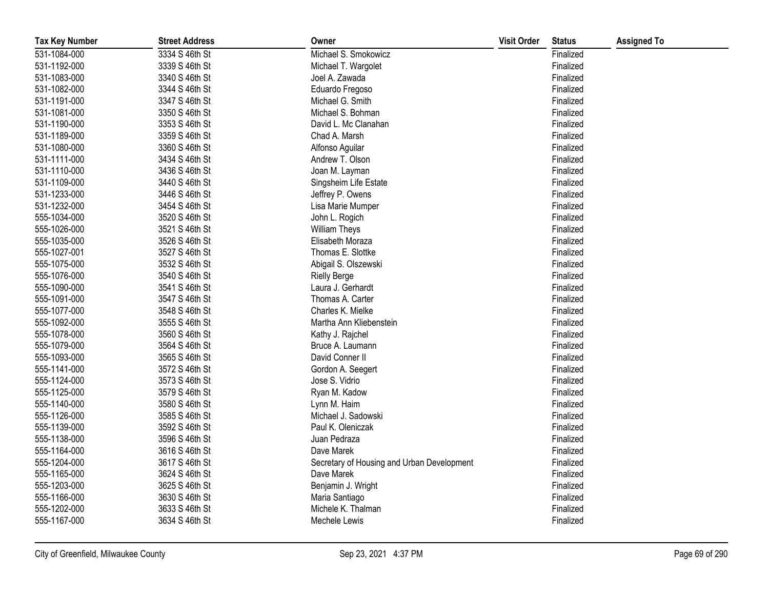| <b>Tax Key Number</b> | <b>Street Address</b> | Owner                                      | <b>Visit Order</b> | <b>Status</b> | <b>Assigned To</b> |
|-----------------------|-----------------------|--------------------------------------------|--------------------|---------------|--------------------|
| 531-1084-000          | 3334 S 46th St        | Michael S. Smokowicz                       |                    | Finalized     |                    |
| 531-1192-000          | 3339 S 46th St        | Michael T. Wargolet                        |                    | Finalized     |                    |
| 531-1083-000          | 3340 S 46th St        | Joel A. Zawada                             |                    | Finalized     |                    |
| 531-1082-000          | 3344 S 46th St        | Eduardo Fregoso                            |                    | Finalized     |                    |
| 531-1191-000          | 3347 S 46th St        | Michael G. Smith                           |                    | Finalized     |                    |
| 531-1081-000          | 3350 S 46th St        | Michael S. Bohman                          |                    | Finalized     |                    |
| 531-1190-000          | 3353 S 46th St        | David L. Mc Clanahan                       |                    | Finalized     |                    |
| 531-1189-000          | 3359 S 46th St        | Chad A. Marsh                              |                    | Finalized     |                    |
| 531-1080-000          | 3360 S 46th St        | Alfonso Aguilar                            |                    | Finalized     |                    |
| 531-1111-000          | 3434 S 46th St        | Andrew T. Olson                            |                    | Finalized     |                    |
| 531-1110-000          | 3436 S 46th St        | Joan M. Layman                             |                    | Finalized     |                    |
| 531-1109-000          | 3440 S 46th St        | Singsheim Life Estate                      |                    | Finalized     |                    |
| 531-1233-000          | 3446 S 46th St        | Jeffrey P. Owens                           |                    | Finalized     |                    |
| 531-1232-000          | 3454 S 46th St        | Lisa Marie Mumper                          |                    | Finalized     |                    |
| 555-1034-000          | 3520 S 46th St        | John L. Rogich                             |                    | Finalized     |                    |
| 555-1026-000          | 3521 S 46th St        | <b>William Theys</b>                       |                    | Finalized     |                    |
| 555-1035-000          | 3526 S 46th St        | Elisabeth Moraza                           |                    | Finalized     |                    |
| 555-1027-001          | 3527 S 46th St        | Thomas E. Slottke                          |                    | Finalized     |                    |
| 555-1075-000          | 3532 S 46th St        | Abigail S. Olszewski                       |                    | Finalized     |                    |
| 555-1076-000          | 3540 S 46th St        | <b>Rielly Berge</b>                        |                    | Finalized     |                    |
| 555-1090-000          | 3541 S 46th St        | Laura J. Gerhardt                          |                    | Finalized     |                    |
| 555-1091-000          | 3547 S 46th St        | Thomas A. Carter                           |                    | Finalized     |                    |
| 555-1077-000          | 3548 S 46th St        | Charles K. Mielke                          |                    | Finalized     |                    |
| 555-1092-000          | 3555 S 46th St        | Martha Ann Kliebenstein                    |                    | Finalized     |                    |
| 555-1078-000          | 3560 S 46th St        | Kathy J. Rajchel                           |                    | Finalized     |                    |
| 555-1079-000          | 3564 S 46th St        | Bruce A. Laumann                           |                    | Finalized     |                    |
| 555-1093-000          | 3565 S 46th St        | David Conner II                            |                    | Finalized     |                    |
| 555-1141-000          | 3572 S 46th St        | Gordon A. Seegert                          |                    | Finalized     |                    |
| 555-1124-000          | 3573 S 46th St        | Jose S. Vidrio                             |                    | Finalized     |                    |
| 555-1125-000          | 3579 S 46th St        | Ryan M. Kadow                              |                    | Finalized     |                    |
| 555-1140-000          | 3580 S 46th St        | Lynn M. Haim                               |                    | Finalized     |                    |
| 555-1126-000          | 3585 S 46th St        | Michael J. Sadowski                        |                    | Finalized     |                    |
| 555-1139-000          | 3592 S 46th St        | Paul K. Oleniczak                          |                    | Finalized     |                    |
| 555-1138-000          | 3596 S 46th St        | Juan Pedraza                               |                    | Finalized     |                    |
| 555-1164-000          | 3616 S 46th St        | Dave Marek                                 |                    | Finalized     |                    |
| 555-1204-000          | 3617 S 46th St        | Secretary of Housing and Urban Development |                    | Finalized     |                    |
| 555-1165-000          | 3624 S 46th St        | Dave Marek                                 |                    | Finalized     |                    |
| 555-1203-000          | 3625 S 46th St        | Benjamin J. Wright                         |                    | Finalized     |                    |
| 555-1166-000          | 3630 S 46th St        | Maria Santiago                             |                    | Finalized     |                    |
| 555-1202-000          | 3633 S 46th St        | Michele K. Thalman                         |                    | Finalized     |                    |
| 555-1167-000          | 3634 S 46th St        | Mechele Lewis                              |                    | Finalized     |                    |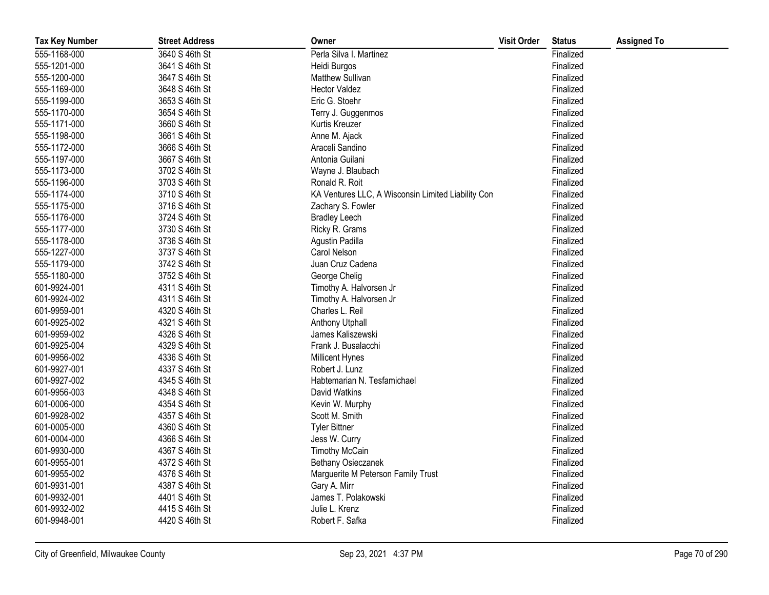| <b>Tax Key Number</b> | <b>Street Address</b> | Owner                                              | <b>Visit Order</b> | <b>Status</b> | <b>Assigned To</b> |
|-----------------------|-----------------------|----------------------------------------------------|--------------------|---------------|--------------------|
| 555-1168-000          | 3640 S 46th St        | Perla Silva I. Martinez                            |                    | Finalized     |                    |
| 555-1201-000          | 3641 S 46th St        | Heidi Burgos                                       |                    | Finalized     |                    |
| 555-1200-000          | 3647 S 46th St        | <b>Matthew Sullivan</b>                            |                    | Finalized     |                    |
| 555-1169-000          | 3648 S 46th St        | <b>Hector Valdez</b>                               |                    | Finalized     |                    |
| 555-1199-000          | 3653 S 46th St        | Eric G. Stoehr                                     |                    | Finalized     |                    |
| 555-1170-000          | 3654 S 46th St        | Terry J. Guggenmos                                 |                    | Finalized     |                    |
| 555-1171-000          | 3660 S 46th St        | Kurtis Kreuzer                                     |                    | Finalized     |                    |
| 555-1198-000          | 3661 S 46th St        | Anne M. Ajack                                      |                    | Finalized     |                    |
| 555-1172-000          | 3666 S 46th St        | Araceli Sandino                                    |                    | Finalized     |                    |
| 555-1197-000          | 3667 S 46th St        | Antonia Guilani                                    |                    | Finalized     |                    |
| 555-1173-000          | 3702 S 46th St        | Wayne J. Blaubach                                  |                    | Finalized     |                    |
| 555-1196-000          | 3703 S 46th St        | Ronald R. Roit                                     |                    | Finalized     |                    |
| 555-1174-000          | 3710 S 46th St        | KA Ventures LLC, A Wisconsin Limited Liability Con |                    | Finalized     |                    |
| 555-1175-000          | 3716 S 46th St        | Zachary S. Fowler                                  |                    | Finalized     |                    |
| 555-1176-000          | 3724 S 46th St        | <b>Bradley Leech</b>                               |                    | Finalized     |                    |
| 555-1177-000          | 3730 S 46th St        | Ricky R. Grams                                     |                    | Finalized     |                    |
| 555-1178-000          | 3736 S 46th St        | Agustin Padilla                                    |                    | Finalized     |                    |
| 555-1227-000          | 3737 S 46th St        | Carol Nelson                                       |                    | Finalized     |                    |
| 555-1179-000          | 3742 S 46th St        | Juan Cruz Cadena                                   |                    | Finalized     |                    |
| 555-1180-000          | 3752 S 46th St        | George Chelig                                      |                    | Finalized     |                    |
| 601-9924-001          | 4311 S 46th St        | Timothy A. Halvorsen Jr                            |                    | Finalized     |                    |
| 601-9924-002          | 4311 S 46th St        | Timothy A. Halvorsen Jr                            |                    | Finalized     |                    |
| 601-9959-001          | 4320 S 46th St        | Charles L. Reil                                    |                    | Finalized     |                    |
| 601-9925-002          | 4321 S 46th St        | Anthony Utphall                                    |                    | Finalized     |                    |
| 601-9959-002          | 4326 S 46th St        | James Kaliszewski                                  |                    | Finalized     |                    |
| 601-9925-004          | 4329 S 46th St        | Frank J. Busalacchi                                |                    | Finalized     |                    |
| 601-9956-002          | 4336 S 46th St        | <b>Millicent Hynes</b>                             |                    | Finalized     |                    |
| 601-9927-001          | 4337 S 46th St        | Robert J. Lunz                                     |                    | Finalized     |                    |
| 601-9927-002          | 4345 S 46th St        | Habtemarian N. Tesfamichael                        |                    | Finalized     |                    |
| 601-9956-003          | 4348 S 46th St        | David Watkins                                      |                    | Finalized     |                    |
| 601-0006-000          | 4354 S 46th St        | Kevin W. Murphy                                    |                    | Finalized     |                    |
| 601-9928-002          | 4357 S 46th St        | Scott M. Smith                                     |                    | Finalized     |                    |
| 601-0005-000          | 4360 S 46th St        | <b>Tyler Bittner</b>                               |                    | Finalized     |                    |
| 601-0004-000          | 4366 S 46th St        | Jess W. Curry                                      |                    | Finalized     |                    |
| 601-9930-000          | 4367 S 46th St        | <b>Timothy McCain</b>                              |                    | Finalized     |                    |
| 601-9955-001          | 4372 S 46th St        | Bethany Osieczanek                                 |                    | Finalized     |                    |
| 601-9955-002          | 4376 S 46th St        | Marguerite M Peterson Family Trust                 |                    | Finalized     |                    |
| 601-9931-001          | 4387 S 46th St        | Gary A. Mirr                                       |                    | Finalized     |                    |
| 601-9932-001          | 4401 S 46th St        | James T. Polakowski                                |                    | Finalized     |                    |
| 601-9932-002          | 4415 S 46th St        | Julie L. Krenz                                     |                    | Finalized     |                    |
| 601-9948-001          | 4420 S 46th St        | Robert F. Safka                                    |                    | Finalized     |                    |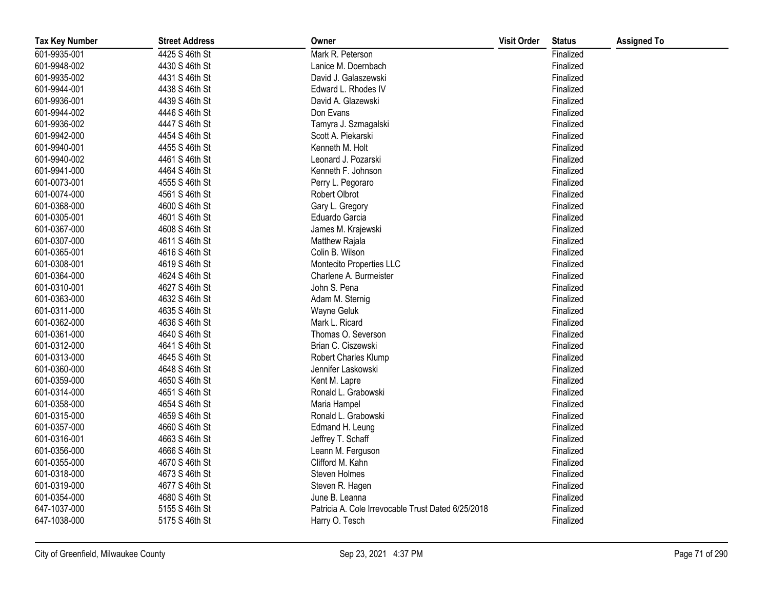| <b>Tax Key Number</b> | <b>Street Address</b> | Owner                                              | <b>Visit Order</b> | <b>Status</b> | <b>Assigned To</b> |
|-----------------------|-----------------------|----------------------------------------------------|--------------------|---------------|--------------------|
| 601-9935-001          | 4425 S 46th St        | Mark R. Peterson                                   |                    | Finalized     |                    |
| 601-9948-002          | 4430 S 46th St        | Lanice M. Doernbach                                |                    | Finalized     |                    |
| 601-9935-002          | 4431 S 46th St        | David J. Galaszewski                               |                    | Finalized     |                    |
| 601-9944-001          | 4438 S 46th St        | Edward L. Rhodes IV                                |                    | Finalized     |                    |
| 601-9936-001          | 4439 S 46th St        | David A. Glazewski                                 |                    | Finalized     |                    |
| 601-9944-002          | 4446 S 46th St        | Don Evans                                          |                    | Finalized     |                    |
| 601-9936-002          | 4447 S 46th St        | Tamyra J. Szmagalski                               |                    | Finalized     |                    |
| 601-9942-000          | 4454 S 46th St        | Scott A. Piekarski                                 |                    | Finalized     |                    |
| 601-9940-001          | 4455 S 46th St        | Kenneth M. Holt                                    |                    | Finalized     |                    |
| 601-9940-002          | 4461 S 46th St        | Leonard J. Pozarski                                |                    | Finalized     |                    |
| 601-9941-000          | 4464 S 46th St        | Kenneth F. Johnson                                 |                    | Finalized     |                    |
| 601-0073-001          | 4555 S 46th St        | Perry L. Pegoraro                                  |                    | Finalized     |                    |
| 601-0074-000          | 4561 S 46th St        | Robert Olbrot                                      |                    | Finalized     |                    |
| 601-0368-000          | 4600 S 46th St        | Gary L. Gregory                                    |                    | Finalized     |                    |
| 601-0305-001          | 4601 S 46th St        | Eduardo Garcia                                     |                    | Finalized     |                    |
| 601-0367-000          | 4608 S 46th St        | James M. Krajewski                                 |                    | Finalized     |                    |
| 601-0307-000          | 4611 S 46th St        | Matthew Rajala                                     |                    | Finalized     |                    |
| 601-0365-001          | 4616 S 46th St        | Colin B. Wilson                                    |                    | Finalized     |                    |
| 601-0308-001          | 4619 S 46th St        | Montecito Properties LLC                           |                    | Finalized     |                    |
| 601-0364-000          | 4624 S 46th St        | Charlene A. Burmeister                             |                    | Finalized     |                    |
| 601-0310-001          | 4627 S 46th St        | John S. Pena                                       |                    | Finalized     |                    |
| 601-0363-000          | 4632 S 46th St        | Adam M. Sternig                                    |                    | Finalized     |                    |
| 601-0311-000          | 4635 S 46th St        | Wayne Geluk                                        |                    | Finalized     |                    |
| 601-0362-000          | 4636 S 46th St        | Mark L. Ricard                                     |                    | Finalized     |                    |
| 601-0361-000          | 4640 S 46th St        | Thomas O. Severson                                 |                    | Finalized     |                    |
| 601-0312-000          | 4641 S 46th St        | Brian C. Ciszewski                                 |                    | Finalized     |                    |
| 601-0313-000          | 4645 S 46th St        | Robert Charles Klump                               |                    | Finalized     |                    |
| 601-0360-000          | 4648 S 46th St        | Jennifer Laskowski                                 |                    | Finalized     |                    |
| 601-0359-000          | 4650 S 46th St        | Kent M. Lapre                                      |                    | Finalized     |                    |
| 601-0314-000          | 4651 S 46th St        | Ronald L. Grabowski                                |                    | Finalized     |                    |
| 601-0358-000          | 4654 S 46th St        | Maria Hampel                                       |                    | Finalized     |                    |
| 601-0315-000          | 4659 S 46th St        | Ronald L. Grabowski                                |                    | Finalized     |                    |
| 601-0357-000          | 4660 S 46th St        | Edmand H. Leung                                    |                    | Finalized     |                    |
| 601-0316-001          | 4663 S 46th St        | Jeffrey T. Schaff                                  |                    | Finalized     |                    |
| 601-0356-000          | 4666 S 46th St        | Leann M. Ferguson                                  |                    | Finalized     |                    |
| 601-0355-000          | 4670 S 46th St        | Clifford M. Kahn                                   |                    | Finalized     |                    |
| 601-0318-000          | 4673 S 46th St        | Steven Holmes                                      |                    | Finalized     |                    |
| 601-0319-000          | 4677 S 46th St        | Steven R. Hagen                                    |                    | Finalized     |                    |
| 601-0354-000          | 4680 S 46th St        | June B. Leanna                                     |                    | Finalized     |                    |
| 647-1037-000          | 5155 S 46th St        | Patricia A. Cole Irrevocable Trust Dated 6/25/2018 |                    | Finalized     |                    |
| 647-1038-000          | 5175 S 46th St        | Harry O. Tesch                                     |                    | Finalized     |                    |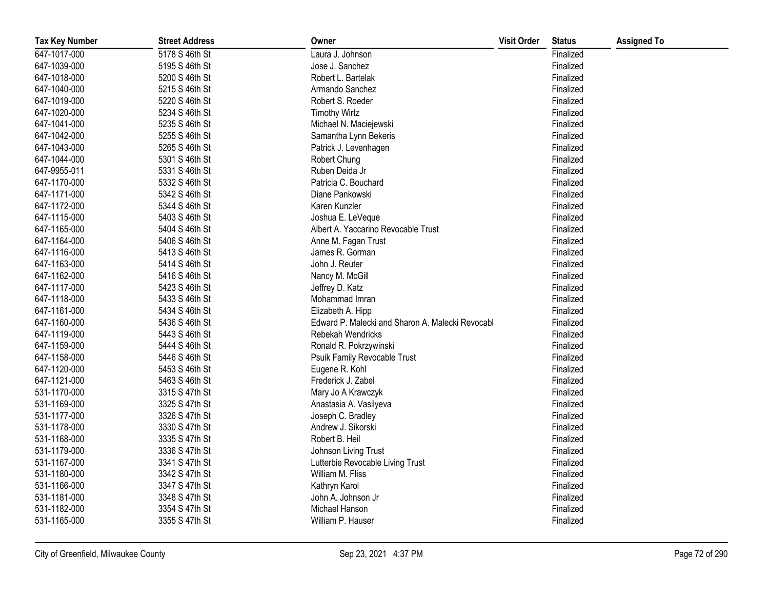| <b>Tax Key Number</b> | <b>Street Address</b> | Owner                                            | <b>Visit Order</b> | <b>Status</b> | <b>Assigned To</b> |
|-----------------------|-----------------------|--------------------------------------------------|--------------------|---------------|--------------------|
| 647-1017-000          | 5178 S 46th St        | Laura J. Johnson                                 |                    | Finalized     |                    |
| 647-1039-000          | 5195 S 46th St        | Jose J. Sanchez                                  |                    | Finalized     |                    |
| 647-1018-000          | 5200 S 46th St        | Robert L. Bartelak                               |                    | Finalized     |                    |
| 647-1040-000          | 5215 S 46th St        | Armando Sanchez                                  |                    | Finalized     |                    |
| 647-1019-000          | 5220 S 46th St        | Robert S. Roeder                                 |                    | Finalized     |                    |
| 647-1020-000          | 5234 S 46th St        | <b>Timothy Wirtz</b>                             |                    | Finalized     |                    |
| 647-1041-000          | 5235 S 46th St        | Michael N. Maciejewski                           |                    | Finalized     |                    |
| 647-1042-000          | 5255 S 46th St        | Samantha Lynn Bekeris                            |                    | Finalized     |                    |
| 647-1043-000          | 5265 S 46th St        | Patrick J. Levenhagen                            |                    | Finalized     |                    |
| 647-1044-000          | 5301 S 46th St        | Robert Chung                                     |                    | Finalized     |                    |
| 647-9955-011          | 5331 S 46th St        | Ruben Deida Jr                                   |                    | Finalized     |                    |
| 647-1170-000          | 5332 S 46th St        | Patricia C. Bouchard                             |                    | Finalized     |                    |
| 647-1171-000          | 5342 S 46th St        | Diane Pankowski                                  |                    | Finalized     |                    |
| 647-1172-000          | 5344 S 46th St        | Karen Kunzler                                    |                    | Finalized     |                    |
| 647-1115-000          | 5403 S 46th St        | Joshua E. LeVeque                                |                    | Finalized     |                    |
| 647-1165-000          | 5404 S 46th St        | Albert A. Yaccarino Revocable Trust              |                    | Finalized     |                    |
| 647-1164-000          | 5406 S 46th St        | Anne M. Fagan Trust                              |                    | Finalized     |                    |
| 647-1116-000          | 5413 S 46th St        | James R. Gorman                                  |                    | Finalized     |                    |
| 647-1163-000          | 5414 S 46th St        | John J. Reuter                                   |                    | Finalized     |                    |
| 647-1162-000          | 5416 S 46th St        | Nancy M. McGill                                  |                    | Finalized     |                    |
| 647-1117-000          | 5423 S 46th St        | Jeffrey D. Katz                                  |                    | Finalized     |                    |
| 647-1118-000          | 5433 S 46th St        | Mohammad Imran                                   |                    | Finalized     |                    |
| 647-1161-000          | 5434 S 46th St        | Elizabeth A. Hipp                                |                    | Finalized     |                    |
| 647-1160-000          | 5436 S 46th St        | Edward P. Malecki and Sharon A. Malecki Revocabl |                    | Finalized     |                    |
| 647-1119-000          | 5443 S 46th St        | Rebekah Wendricks                                |                    | Finalized     |                    |
| 647-1159-000          | 5444 S 46th St        | Ronald R. Pokrzywinski                           |                    | Finalized     |                    |
| 647-1158-000          | 5446 S 46th St        | Psuik Family Revocable Trust                     |                    | Finalized     |                    |
| 647-1120-000          | 5453 S 46th St        | Eugene R. Kohl                                   |                    | Finalized     |                    |
| 647-1121-000          | 5463 S 46th St        | Frederick J. Zabel                               |                    | Finalized     |                    |
| 531-1170-000          | 3315 S 47th St        | Mary Jo A Krawczyk                               |                    | Finalized     |                    |
| 531-1169-000          | 3325 S 47th St        | Anastasia A. Vasilyeva                           |                    | Finalized     |                    |
| 531-1177-000          | 3326 S 47th St        | Joseph C. Bradley                                |                    | Finalized     |                    |
| 531-1178-000          | 3330 S 47th St        | Andrew J. Sikorski                               |                    | Finalized     |                    |
| 531-1168-000          | 3335 S 47th St        | Robert B. Heil                                   |                    | Finalized     |                    |
| 531-1179-000          | 3336 S 47th St        | Johnson Living Trust                             |                    | Finalized     |                    |
| 531-1167-000          | 3341 S 47th St        | Lutterbie Revocable Living Trust                 |                    | Finalized     |                    |
| 531-1180-000          | 3342 S 47th St        | William M. Fliss                                 |                    | Finalized     |                    |
| 531-1166-000          | 3347 S 47th St        | Kathryn Karol                                    |                    | Finalized     |                    |
| 531-1181-000          | 3348 S 47th St        | John A. Johnson Jr                               |                    | Finalized     |                    |
| 531-1182-000          | 3354 S 47th St        | Michael Hanson                                   |                    | Finalized     |                    |
| 531-1165-000          | 3355 S 47th St        | William P. Hauser                                |                    | Finalized     |                    |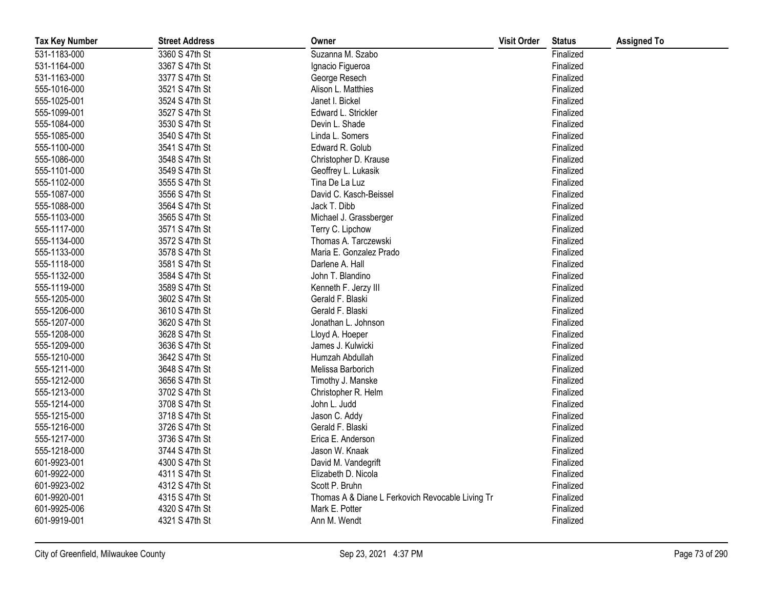| <b>Tax Key Number</b> | <b>Street Address</b> | Owner                                            | <b>Visit Order</b> | <b>Status</b> | <b>Assigned To</b> |
|-----------------------|-----------------------|--------------------------------------------------|--------------------|---------------|--------------------|
| 531-1183-000          | 3360 S 47th St        | Suzanna M. Szabo                                 |                    | Finalized     |                    |
| 531-1164-000          | 3367 S 47th St        | Ignacio Figueroa                                 |                    | Finalized     |                    |
| 531-1163-000          | 3377 S 47th St        | George Resech                                    |                    | Finalized     |                    |
| 555-1016-000          | 3521 S 47th St        | Alison L. Matthies                               |                    | Finalized     |                    |
| 555-1025-001          | 3524 S 47th St        | Janet I. Bickel                                  |                    | Finalized     |                    |
| 555-1099-001          | 3527 S 47th St        | Edward L. Strickler                              |                    | Finalized     |                    |
| 555-1084-000          | 3530 S 47th St        | Devin L. Shade                                   |                    | Finalized     |                    |
| 555-1085-000          | 3540 S 47th St        | Linda L. Somers                                  |                    | Finalized     |                    |
| 555-1100-000          | 3541 S 47th St        | Edward R. Golub                                  |                    | Finalized     |                    |
| 555-1086-000          | 3548 S 47th St        | Christopher D. Krause                            |                    | Finalized     |                    |
| 555-1101-000          | 3549 S 47th St        | Geoffrey L. Lukasik                              |                    | Finalized     |                    |
| 555-1102-000          | 3555 S 47th St        | Tina De La Luz                                   |                    | Finalized     |                    |
| 555-1087-000          | 3556 S 47th St        | David C. Kasch-Beissel                           |                    | Finalized     |                    |
| 555-1088-000          | 3564 S 47th St        | Jack T. Dibb                                     |                    | Finalized     |                    |
| 555-1103-000          | 3565 S 47th St        | Michael J. Grassberger                           |                    | Finalized     |                    |
| 555-1117-000          | 3571 S 47th St        | Terry C. Lipchow                                 |                    | Finalized     |                    |
| 555-1134-000          | 3572 S 47th St        | Thomas A. Tarczewski                             |                    | Finalized     |                    |
| 555-1133-000          | 3578 S 47th St        | Maria E. Gonzalez Prado                          |                    | Finalized     |                    |
| 555-1118-000          | 3581 S 47th St        | Darlene A. Hall                                  |                    | Finalized     |                    |
| 555-1132-000          | 3584 S 47th St        | John T. Blandino                                 |                    | Finalized     |                    |
| 555-1119-000          | 3589 S 47th St        | Kenneth F. Jerzy III                             |                    | Finalized     |                    |
| 555-1205-000          | 3602 S 47th St        | Gerald F. Blaski                                 |                    | Finalized     |                    |
| 555-1206-000          | 3610 S 47th St        | Gerald F. Blaski                                 |                    | Finalized     |                    |
| 555-1207-000          | 3620 S 47th St        | Jonathan L. Johnson                              |                    | Finalized     |                    |
| 555-1208-000          | 3628 S 47th St        | Lloyd A. Hoeper                                  |                    | Finalized     |                    |
| 555-1209-000          | 3636 S 47th St        | James J. Kulwicki                                |                    | Finalized     |                    |
| 555-1210-000          | 3642 S 47th St        | Humzah Abdullah                                  |                    | Finalized     |                    |
| 555-1211-000          | 3648 S 47th St        | Melissa Barborich                                |                    | Finalized     |                    |
| 555-1212-000          | 3656 S 47th St        | Timothy J. Manske                                |                    | Finalized     |                    |
| 555-1213-000          | 3702 S 47th St        | Christopher R. Helm                              |                    | Finalized     |                    |
| 555-1214-000          | 3708 S 47th St        | John L. Judd                                     |                    | Finalized     |                    |
| 555-1215-000          | 3718 S 47th St        | Jason C. Addy                                    |                    | Finalized     |                    |
| 555-1216-000          | 3726 S 47th St        | Gerald F. Blaski                                 |                    | Finalized     |                    |
| 555-1217-000          | 3736 S 47th St        | Erica E. Anderson                                |                    | Finalized     |                    |
| 555-1218-000          | 3744 S 47th St        | Jason W. Knaak                                   |                    | Finalized     |                    |
| 601-9923-001          | 4300 S 47th St        | David M. Vandegrift                              |                    | Finalized     |                    |
| 601-9922-000          | 4311 S 47th St        | Elizabeth D. Nicola                              |                    | Finalized     |                    |
| 601-9923-002          | 4312 S 47th St        | Scott P. Bruhn                                   |                    | Finalized     |                    |
| 601-9920-001          | 4315 S 47th St        | Thomas A & Diane L Ferkovich Revocable Living Tr |                    | Finalized     |                    |
| 601-9925-006          | 4320 S 47th St        | Mark E. Potter                                   |                    | Finalized     |                    |
| 601-9919-001          | 4321 S 47th St        | Ann M. Wendt                                     |                    | Finalized     |                    |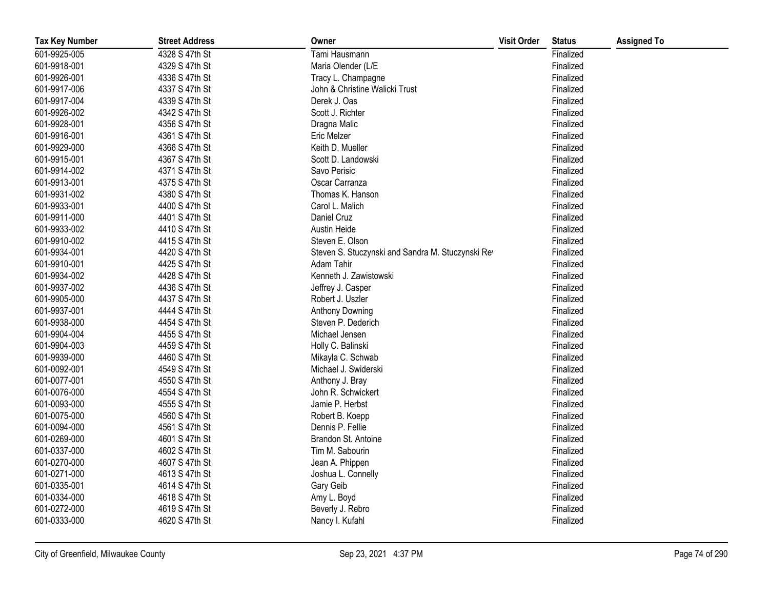| <b>Tax Key Number</b> | <b>Street Address</b> | Owner                                             | <b>Visit Order</b> | <b>Status</b> | <b>Assigned To</b> |
|-----------------------|-----------------------|---------------------------------------------------|--------------------|---------------|--------------------|
| 601-9925-005          | 4328 S 47th St        | Tami Hausmann                                     |                    | Finalized     |                    |
| 601-9918-001          | 4329 S 47th St        | Maria Olender (L/E                                |                    | Finalized     |                    |
| 601-9926-001          | 4336 S 47th St        | Tracy L. Champagne                                |                    | Finalized     |                    |
| 601-9917-006          | 4337 S 47th St        | John & Christine Walicki Trust                    |                    | Finalized     |                    |
| 601-9917-004          | 4339 S 47th St        | Derek J. Oas                                      |                    | Finalized     |                    |
| 601-9926-002          | 4342 S 47th St        | Scott J. Richter                                  |                    | Finalized     |                    |
| 601-9928-001          | 4356 S 47th St        | Dragna Malic                                      |                    | Finalized     |                    |
| 601-9916-001          | 4361 S 47th St        | <b>Eric Melzer</b>                                |                    | Finalized     |                    |
| 601-9929-000          | 4366 S 47th St        | Keith D. Mueller                                  |                    | Finalized     |                    |
| 601-9915-001          | 4367 S 47th St        | Scott D. Landowski                                |                    | Finalized     |                    |
| 601-9914-002          | 4371 S 47th St        | Savo Perisic                                      |                    | Finalized     |                    |
| 601-9913-001          | 4375 S 47th St        | Oscar Carranza                                    |                    | Finalized     |                    |
| 601-9931-002          | 4380 S 47th St        | Thomas K. Hanson                                  |                    | Finalized     |                    |
| 601-9933-001          | 4400 S 47th St        | Carol L. Malich                                   |                    | Finalized     |                    |
| 601-9911-000          | 4401 S 47th St        | Daniel Cruz                                       |                    | Finalized     |                    |
| 601-9933-002          | 4410 S 47th St        | Austin Heide                                      |                    | Finalized     |                    |
| 601-9910-002          | 4415 S 47th St        | Steven E. Olson                                   |                    | Finalized     |                    |
| 601-9934-001          | 4420 S 47th St        | Steven S. Stuczynski and Sandra M. Stuczynski Rev |                    | Finalized     |                    |
| 601-9910-001          | 4425 S 47th St        | Adam Tahir                                        |                    | Finalized     |                    |
| 601-9934-002          | 4428 S 47th St        | Kenneth J. Zawistowski                            |                    | Finalized     |                    |
| 601-9937-002          | 4436 S 47th St        | Jeffrey J. Casper                                 |                    | Finalized     |                    |
| 601-9905-000          | 4437 S 47th St        | Robert J. Uszler                                  |                    | Finalized     |                    |
| 601-9937-001          | 4444 S 47th St        | Anthony Downing                                   |                    | Finalized     |                    |
| 601-9938-000          | 4454 S 47th St        | Steven P. Dederich                                |                    | Finalized     |                    |
| 601-9904-004          | 4455 S 47th St        | Michael Jensen                                    |                    | Finalized     |                    |
| 601-9904-003          | 4459 S 47th St        | Holly C. Balinski                                 |                    | Finalized     |                    |
| 601-9939-000          | 4460 S 47th St        | Mikayla C. Schwab                                 |                    | Finalized     |                    |
| 601-0092-001          | 4549 S 47th St        | Michael J. Swiderski                              |                    | Finalized     |                    |
| 601-0077-001          | 4550 S 47th St        | Anthony J. Bray                                   |                    | Finalized     |                    |
| 601-0076-000          | 4554 S 47th St        | John R. Schwickert                                |                    | Finalized     |                    |
| 601-0093-000          | 4555 S 47th St        | Jamie P. Herbst                                   |                    | Finalized     |                    |
| 601-0075-000          | 4560 S 47th St        | Robert B. Koepp                                   |                    | Finalized     |                    |
| 601-0094-000          | 4561 S 47th St        | Dennis P. Fellie                                  |                    | Finalized     |                    |
| 601-0269-000          | 4601 S 47th St        | Brandon St. Antoine                               |                    | Finalized     |                    |
| 601-0337-000          | 4602 S 47th St        | Tim M. Sabourin                                   |                    | Finalized     |                    |
| 601-0270-000          | 4607 S 47th St        | Jean A. Phippen                                   |                    | Finalized     |                    |
| 601-0271-000          | 4613 S 47th St        | Joshua L. Connelly                                |                    | Finalized     |                    |
| 601-0335-001          | 4614 S 47th St        | Gary Geib                                         |                    | Finalized     |                    |
| 601-0334-000          | 4618 S 47th St        | Amy L. Boyd                                       |                    | Finalized     |                    |
| 601-0272-000          | 4619 S 47th St        | Beverly J. Rebro                                  |                    | Finalized     |                    |
| 601-0333-000          | 4620 S 47th St        | Nancy I. Kufahl                                   |                    | Finalized     |                    |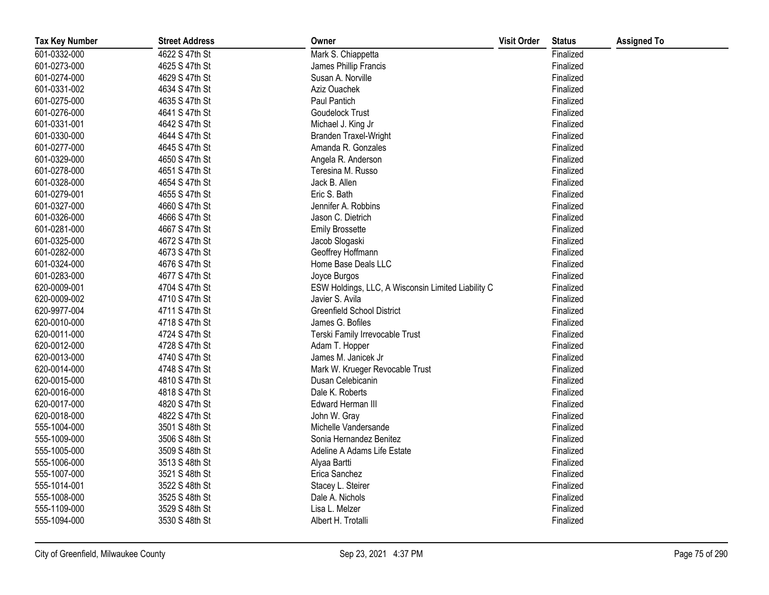| <b>Tax Key Number</b> | <b>Street Address</b> | Owner                                              | <b>Visit Order</b> | <b>Status</b> | <b>Assigned To</b> |
|-----------------------|-----------------------|----------------------------------------------------|--------------------|---------------|--------------------|
| 601-0332-000          | 4622 S 47th St        | Mark S. Chiappetta                                 |                    | Finalized     |                    |
| 601-0273-000          | 4625 S 47th St        | James Phillip Francis                              |                    | Finalized     |                    |
| 601-0274-000          | 4629 S 47th St        | Susan A. Norville                                  |                    | Finalized     |                    |
| 601-0331-002          | 4634 S 47th St        | Aziz Ouachek                                       |                    | Finalized     |                    |
| 601-0275-000          | 4635 S 47th St        | Paul Pantich                                       |                    | Finalized     |                    |
| 601-0276-000          | 4641 S 47th St        | Goudelock Trust                                    |                    | Finalized     |                    |
| 601-0331-001          | 4642 S 47th St        | Michael J. King Jr                                 |                    | Finalized     |                    |
| 601-0330-000          | 4644 S 47th St        | <b>Branden Traxel-Wright</b>                       |                    | Finalized     |                    |
| 601-0277-000          | 4645 S 47th St        | Amanda R. Gonzales                                 |                    | Finalized     |                    |
| 601-0329-000          | 4650 S 47th St        | Angela R. Anderson                                 |                    | Finalized     |                    |
| 601-0278-000          | 4651 S 47th St        | Teresina M. Russo                                  |                    | Finalized     |                    |
| 601-0328-000          | 4654 S 47th St        | Jack B. Allen                                      |                    | Finalized     |                    |
| 601-0279-001          | 4655 S 47th St        | Eric S. Bath                                       |                    | Finalized     |                    |
| 601-0327-000          | 4660 S 47th St        | Jennifer A. Robbins                                |                    | Finalized     |                    |
| 601-0326-000          | 4666 S 47th St        | Jason C. Dietrich                                  |                    | Finalized     |                    |
| 601-0281-000          | 4667 S 47th St        | <b>Emily Brossette</b>                             |                    | Finalized     |                    |
| 601-0325-000          | 4672 S 47th St        | Jacob Slogaski                                     |                    | Finalized     |                    |
| 601-0282-000          | 4673 S 47th St        | Geoffrey Hoffmann                                  |                    | Finalized     |                    |
| 601-0324-000          | 4676 S 47th St        | Home Base Deals LLC                                |                    | Finalized     |                    |
| 601-0283-000          | 4677 S 47th St        | Joyce Burgos                                       |                    | Finalized     |                    |
| 620-0009-001          | 4704 S 47th St        | ESW Holdings, LLC, A Wisconsin Limited Liability C |                    | Finalized     |                    |
| 620-0009-002          | 4710 S 47th St        | Javier S. Avila                                    |                    | Finalized     |                    |
| 620-9977-004          | 4711 S 47th St        | <b>Greenfield School District</b>                  |                    | Finalized     |                    |
| 620-0010-000          | 4718 S 47th St        | James G. Bofiles                                   |                    | Finalized     |                    |
| 620-0011-000          | 4724 S 47th St        | Terski Family Irrevocable Trust                    |                    | Finalized     |                    |
| 620-0012-000          | 4728 S 47th St        | Adam T. Hopper                                     |                    | Finalized     |                    |
| 620-0013-000          | 4740 S 47th St        | James M. Janicek Jr                                |                    | Finalized     |                    |
| 620-0014-000          | 4748 S 47th St        | Mark W. Krueger Revocable Trust                    |                    | Finalized     |                    |
| 620-0015-000          | 4810 S 47th St        | Dusan Celebicanin                                  |                    | Finalized     |                    |
| 620-0016-000          | 4818 S 47th St        | Dale K. Roberts                                    |                    | Finalized     |                    |
| 620-0017-000          | 4820 S 47th St        | Edward Herman III                                  |                    | Finalized     |                    |
| 620-0018-000          | 4822 S 47th St        | John W. Gray                                       |                    | Finalized     |                    |
| 555-1004-000          | 3501 S 48th St        | Michelle Vandersande                               |                    | Finalized     |                    |
| 555-1009-000          | 3506 S 48th St        | Sonia Hernandez Benitez                            |                    | Finalized     |                    |
| 555-1005-000          | 3509 S 48th St        | Adeline A Adams Life Estate                        |                    | Finalized     |                    |
| 555-1006-000          | 3513 S 48th St        | Alyaa Bartti                                       |                    | Finalized     |                    |
| 555-1007-000          | 3521 S 48th St        | Erica Sanchez                                      |                    | Finalized     |                    |
| 555-1014-001          | 3522 S 48th St        | Stacey L. Steirer                                  |                    | Finalized     |                    |
| 555-1008-000          | 3525 S 48th St        | Dale A. Nichols                                    |                    | Finalized     |                    |
| 555-1109-000          | 3529 S 48th St        | Lisa L. Melzer                                     |                    | Finalized     |                    |
| 555-1094-000          | 3530 S 48th St        | Albert H. Trotalli                                 |                    | Finalized     |                    |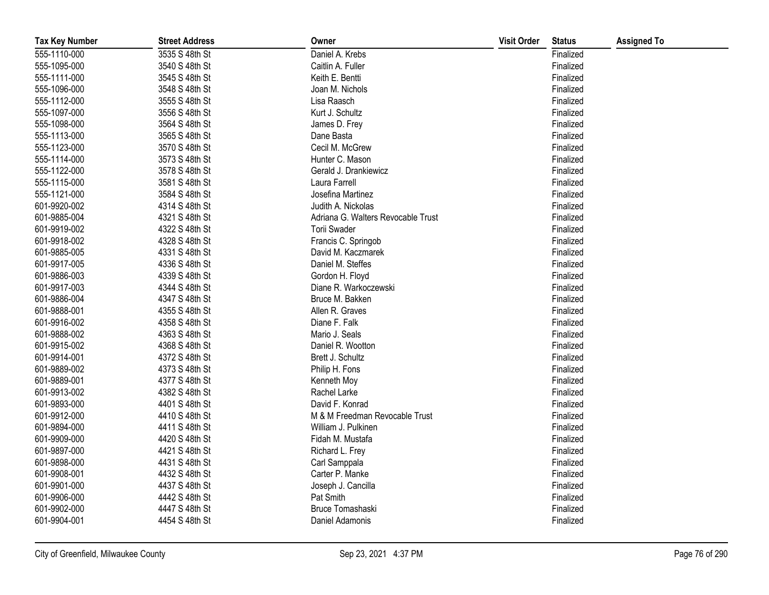| <b>Tax Key Number</b> | <b>Street Address</b> | Owner                              | <b>Visit Order</b> | <b>Status</b> | <b>Assigned To</b> |
|-----------------------|-----------------------|------------------------------------|--------------------|---------------|--------------------|
| 555-1110-000          | 3535 S 48th St        | Daniel A. Krebs                    |                    | Finalized     |                    |
| 555-1095-000          | 3540 S 48th St        | Caitlin A. Fuller                  |                    | Finalized     |                    |
| 555-1111-000          | 3545 S 48th St        | Keith E. Bentti                    |                    | Finalized     |                    |
| 555-1096-000          | 3548 S 48th St        | Joan M. Nichols                    |                    | Finalized     |                    |
| 555-1112-000          | 3555 S 48th St        | Lisa Raasch                        |                    | Finalized     |                    |
| 555-1097-000          | 3556 S 48th St        | Kurt J. Schultz                    |                    | Finalized     |                    |
| 555-1098-000          | 3564 S 48th St        | James D. Frey                      |                    | Finalized     |                    |
| 555-1113-000          | 3565 S 48th St        | Dane Basta                         |                    | Finalized     |                    |
| 555-1123-000          | 3570 S 48th St        | Cecil M. McGrew                    |                    | Finalized     |                    |
| 555-1114-000          | 3573 S 48th St        | Hunter C. Mason                    |                    | Finalized     |                    |
| 555-1122-000          | 3578 S 48th St        | Gerald J. Drankiewicz              |                    | Finalized     |                    |
| 555-1115-000          | 3581 S 48th St        | Laura Farrell                      |                    | Finalized     |                    |
| 555-1121-000          | 3584 S 48th St        | Josefina Martinez                  |                    | Finalized     |                    |
| 601-9920-002          | 4314 S 48th St        | Judith A. Nickolas                 |                    | Finalized     |                    |
| 601-9885-004          | 4321 S 48th St        | Adriana G. Walters Revocable Trust |                    | Finalized     |                    |
| 601-9919-002          | 4322 S 48th St        | Torii Swader                       |                    | Finalized     |                    |
| 601-9918-002          | 4328 S 48th St        | Francis C. Springob                |                    | Finalized     |                    |
| 601-9885-005          | 4331 S 48th St        | David M. Kaczmarek                 |                    | Finalized     |                    |
| 601-9917-005          | 4336 S 48th St        | Daniel M. Steffes                  |                    | Finalized     |                    |
| 601-9886-003          | 4339 S 48th St        | Gordon H. Floyd                    |                    | Finalized     |                    |
| 601-9917-003          | 4344 S 48th St        | Diane R. Warkoczewski              |                    | Finalized     |                    |
| 601-9886-004          | 4347 S 48th St        | Bruce M. Bakken                    |                    | Finalized     |                    |
| 601-9888-001          | 4355 S 48th St        | Allen R. Graves                    |                    | Finalized     |                    |
| 601-9916-002          | 4358 S 48th St        | Diane F. Falk                      |                    | Finalized     |                    |
| 601-9888-002          | 4363 S 48th St        | Mario J. Seals                     |                    | Finalized     |                    |
| 601-9915-002          | 4368 S 48th St        | Daniel R. Wootton                  |                    | Finalized     |                    |
| 601-9914-001          | 4372 S 48th St        | Brett J. Schultz                   |                    | Finalized     |                    |
| 601-9889-002          | 4373 S 48th St        | Philip H. Fons                     |                    | Finalized     |                    |
| 601-9889-001          | 4377 S 48th St        | Kenneth Moy                        |                    | Finalized     |                    |
| 601-9913-002          | 4382 S 48th St        | Rachel Larke                       |                    | Finalized     |                    |
| 601-9893-000          | 4401 S 48th St        | David F. Konrad                    |                    | Finalized     |                    |
| 601-9912-000          | 4410 S 48th St        | M & M Freedman Revocable Trust     |                    | Finalized     |                    |
| 601-9894-000          | 4411 S 48th St        | William J. Pulkinen                |                    | Finalized     |                    |
| 601-9909-000          | 4420 S 48th St        | Fidah M. Mustafa                   |                    | Finalized     |                    |
| 601-9897-000          | 4421 S 48th St        | Richard L. Frey                    |                    | Finalized     |                    |
| 601-9898-000          | 4431 S 48th St        | Carl Samppala                      |                    | Finalized     |                    |
| 601-9908-001          | 4432 S 48th St        | Carter P. Manke                    |                    | Finalized     |                    |
| 601-9901-000          | 4437 S 48th St        | Joseph J. Cancilla                 |                    | Finalized     |                    |
| 601-9906-000          | 4442 S 48th St        | Pat Smith                          |                    | Finalized     |                    |
| 601-9902-000          | 4447 S 48th St        | Bruce Tomashaski                   |                    | Finalized     |                    |
| 601-9904-001          | 4454 S 48th St        | Daniel Adamonis                    |                    | Finalized     |                    |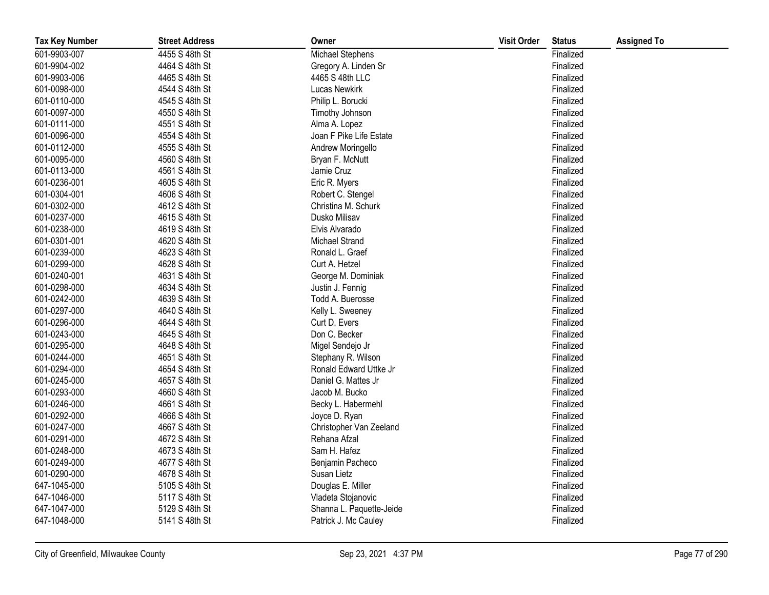| <b>Tax Key Number</b> | <b>Street Address</b> | Owner                    | <b>Visit Order</b> | <b>Status</b> | <b>Assigned To</b> |
|-----------------------|-----------------------|--------------------------|--------------------|---------------|--------------------|
| 601-9903-007          | 4455 S 48th St        | Michael Stephens         |                    | Finalized     |                    |
| 601-9904-002          | 4464 S 48th St        | Gregory A. Linden Sr     |                    | Finalized     |                    |
| 601-9903-006          | 4465 S 48th St        | 4465 S 48th LLC          |                    | Finalized     |                    |
| 601-0098-000          | 4544 S 48th St        | Lucas Newkirk            |                    | Finalized     |                    |
| 601-0110-000          | 4545 S 48th St        | Philip L. Borucki        |                    | Finalized     |                    |
| 601-0097-000          | 4550 S 48th St        | Timothy Johnson          |                    | Finalized     |                    |
| 601-0111-000          | 4551 S 48th St        | Alma A. Lopez            |                    | Finalized     |                    |
| 601-0096-000          | 4554 S 48th St        | Joan F Pike Life Estate  |                    | Finalized     |                    |
| 601-0112-000          | 4555 S 48th St        | Andrew Moringello        |                    | Finalized     |                    |
| 601-0095-000          | 4560 S 48th St        | Bryan F. McNutt          |                    | Finalized     |                    |
| 601-0113-000          | 4561 S 48th St        | Jamie Cruz               |                    | Finalized     |                    |
| 601-0236-001          | 4605 S 48th St        | Eric R. Myers            |                    | Finalized     |                    |
| 601-0304-001          | 4606 S 48th St        | Robert C. Stengel        |                    | Finalized     |                    |
| 601-0302-000          | 4612 S 48th St        | Christina M. Schurk      |                    | Finalized     |                    |
| 601-0237-000          | 4615 S 48th St        | Dusko Milisav            |                    | Finalized     |                    |
| 601-0238-000          | 4619 S 48th St        | Elvis Alvarado           |                    | Finalized     |                    |
| 601-0301-001          | 4620 S 48th St        | Michael Strand           |                    | Finalized     |                    |
| 601-0239-000          | 4623 S 48th St        | Ronald L. Graef          |                    | Finalized     |                    |
| 601-0299-000          | 4628 S 48th St        | Curt A. Hetzel           |                    | Finalized     |                    |
| 601-0240-001          | 4631 S 48th St        | George M. Dominiak       |                    | Finalized     |                    |
| 601-0298-000          | 4634 S 48th St        | Justin J. Fennig         |                    | Finalized     |                    |
| 601-0242-000          | 4639 S 48th St        | Todd A. Buerosse         |                    | Finalized     |                    |
| 601-0297-000          | 4640 S 48th St        | Kelly L. Sweeney         |                    | Finalized     |                    |
| 601-0296-000          | 4644 S 48th St        | Curt D. Evers            |                    | Finalized     |                    |
| 601-0243-000          | 4645 S 48th St        | Don C. Becker            |                    | Finalized     |                    |
| 601-0295-000          | 4648 S 48th St        | Migel Sendejo Jr         |                    | Finalized     |                    |
| 601-0244-000          | 4651 S 48th St        | Stephany R. Wilson       |                    | Finalized     |                    |
| 601-0294-000          | 4654 S 48th St        | Ronald Edward Uttke Jr   |                    | Finalized     |                    |
| 601-0245-000          | 4657 S 48th St        | Daniel G. Mattes Jr      |                    | Finalized     |                    |
| 601-0293-000          | 4660 S 48th St        | Jacob M. Bucko           |                    | Finalized     |                    |
| 601-0246-000          | 4661 S 48th St        | Becky L. Habermehl       |                    | Finalized     |                    |
| 601-0292-000          | 4666 S 48th St        | Joyce D. Ryan            |                    | Finalized     |                    |
| 601-0247-000          | 4667 S 48th St        | Christopher Van Zeeland  |                    | Finalized     |                    |
| 601-0291-000          | 4672 S 48th St        | Rehana Afzal             |                    | Finalized     |                    |
| 601-0248-000          | 4673 S 48th St        | Sam H. Hafez             |                    | Finalized     |                    |
| 601-0249-000          | 4677 S 48th St        | Benjamin Pacheco         |                    | Finalized     |                    |
| 601-0290-000          | 4678 S 48th St        | Susan Lietz              |                    | Finalized     |                    |
| 647-1045-000          | 5105 S 48th St        | Douglas E. Miller        |                    | Finalized     |                    |
| 647-1046-000          | 5117 S 48th St        | Vladeta Stojanovic       |                    | Finalized     |                    |
| 647-1047-000          | 5129 S 48th St        | Shanna L. Paquette-Jeide |                    | Finalized     |                    |
| 647-1048-000          | 5141 S 48th St        | Patrick J. Mc Cauley     |                    | Finalized     |                    |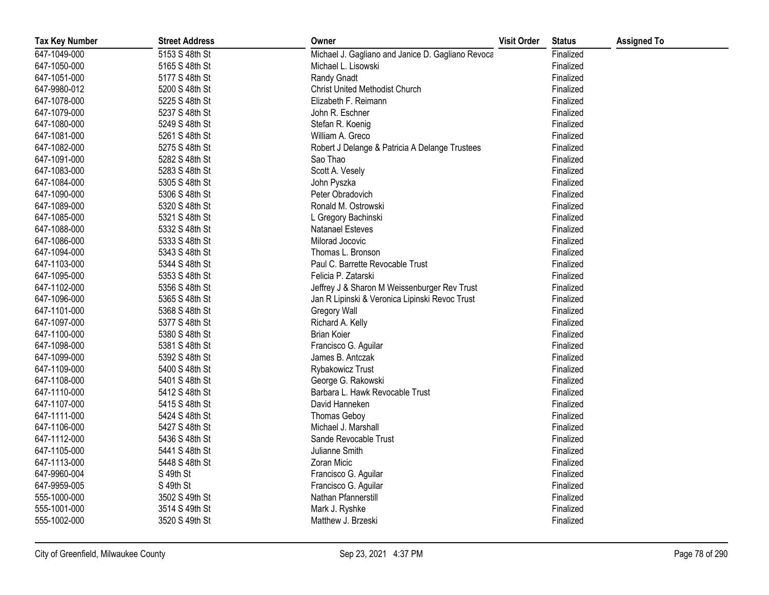| <b>Tax Key Number</b> | <b>Street Address</b> | Owner                                             | <b>Visit Order</b> | <b>Status</b> | <b>Assigned To</b> |
|-----------------------|-----------------------|---------------------------------------------------|--------------------|---------------|--------------------|
| 647-1049-000          | 5153 S 48th St        | Michael J. Gagliano and Janice D. Gagliano Revoca |                    | Finalized     |                    |
| 647-1050-000          | 5165 S 48th St        | Michael L. Lisowski                               |                    | Finalized     |                    |
| 647-1051-000          | 5177 S 48th St        | Randy Gnadt                                       |                    | Finalized     |                    |
| 647-9980-012          | 5200 S 48th St        | <b>Christ United Methodist Church</b>             |                    | Finalized     |                    |
| 647-1078-000          | 5225 S 48th St        | Elizabeth F. Reimann                              |                    | Finalized     |                    |
| 647-1079-000          | 5237 S 48th St        | John R. Eschner                                   |                    | Finalized     |                    |
| 647-1080-000          | 5249 S 48th St        | Stefan R. Koenig                                  |                    | Finalized     |                    |
| 647-1081-000          | 5261 S 48th St        | William A. Greco                                  |                    | Finalized     |                    |
| 647-1082-000          | 5275 S 48th St        | Robert J Delange & Patricia A Delange Trustees    |                    | Finalized     |                    |
| 647-1091-000          | 5282 S 48th St        | Sao Thao                                          |                    | Finalized     |                    |
| 647-1083-000          | 5283 S 48th St        | Scott A. Vesely                                   |                    | Finalized     |                    |
| 647-1084-000          | 5305 S 48th St        | John Pyszka                                       |                    | Finalized     |                    |
| 647-1090-000          | 5306 S 48th St        | Peter Obradovich                                  |                    | Finalized     |                    |
| 647-1089-000          | 5320 S 48th St        | Ronald M. Ostrowski                               |                    | Finalized     |                    |
| 647-1085-000          | 5321 S 48th St        | L Gregory Bachinski                               |                    | Finalized     |                    |
| 647-1088-000          | 5332 S 48th St        | Natanael Esteves                                  |                    | Finalized     |                    |
| 647-1086-000          | 5333 S 48th St        | Milorad Jocovic                                   |                    | Finalized     |                    |
| 647-1094-000          | 5343 S 48th St        | Thomas L. Bronson                                 |                    | Finalized     |                    |
| 647-1103-000          | 5344 S 48th St        | Paul C. Barrette Revocable Trust                  |                    | Finalized     |                    |
| 647-1095-000          | 5353 S 48th St        | Felicia P. Zatarski                               |                    | Finalized     |                    |
| 647-1102-000          | 5356 S 48th St        | Jeffrey J & Sharon M Weissenburger Rev Trust      |                    | Finalized     |                    |
| 647-1096-000          | 5365 S 48th St        | Jan R Lipinski & Veronica Lipinski Revoc Trust    |                    | Finalized     |                    |
| 647-1101-000          | 5368 S 48th St        | Gregory Wall                                      |                    | Finalized     |                    |
| 647-1097-000          | 5377 S 48th St        | Richard A. Kelly                                  |                    | Finalized     |                    |
| 647-1100-000          | 5380 S 48th St        | <b>Brian Koier</b>                                |                    | Finalized     |                    |
| 647-1098-000          | 5381 S 48th St        | Francisco G. Aguilar                              |                    | Finalized     |                    |
| 647-1099-000          | 5392 S 48th St        | James B. Antczak                                  |                    | Finalized     |                    |
| 647-1109-000          | 5400 S 48th St        | Rybakowicz Trust                                  |                    | Finalized     |                    |
| 647-1108-000          | 5401 S 48th St        | George G. Rakowski                                |                    | Finalized     |                    |
| 647-1110-000          | 5412 S 48th St        | Barbara L. Hawk Revocable Trust                   |                    | Finalized     |                    |
| 647-1107-000          | 5415 S 48th St        | David Hanneken                                    |                    | Finalized     |                    |
| 647-1111-000          | 5424 S 48th St        | <b>Thomas Geboy</b>                               |                    | Finalized     |                    |
| 647-1106-000          | 5427 S 48th St        | Michael J. Marshall                               |                    | Finalized     |                    |
| 647-1112-000          | 5436 S 48th St        | Sande Revocable Trust                             |                    | Finalized     |                    |
| 647-1105-000          | 5441 S 48th St        | Julianne Smith                                    |                    | Finalized     |                    |
| 647-1113-000          | 5448 S 48th St        | Zoran Micic                                       |                    | Finalized     |                    |
| 647-9960-004          | S 49th St             | Francisco G. Aguilar                              |                    | Finalized     |                    |
| 647-9959-005          | S 49th St             | Francisco G. Aguilar                              |                    | Finalized     |                    |
| 555-1000-000          | 3502 S 49th St        | Nathan Pfannerstill                               |                    | Finalized     |                    |
| 555-1001-000          | 3514 S 49th St        | Mark J. Ryshke                                    |                    | Finalized     |                    |
| 555-1002-000          | 3520 S 49th St        | Matthew J. Brzeski                                |                    | Finalized     |                    |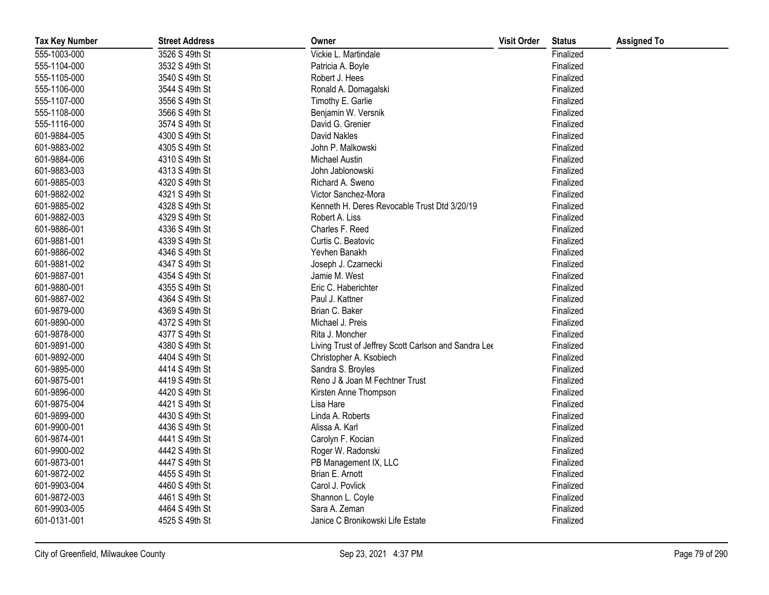| <b>Tax Key Number</b> | <b>Street Address</b> | Owner                                                | <b>Visit Order</b> | <b>Status</b> | <b>Assigned To</b> |
|-----------------------|-----------------------|------------------------------------------------------|--------------------|---------------|--------------------|
| 555-1003-000          | 3526 S 49th St        | Vickie L. Martindale                                 |                    | Finalized     |                    |
| 555-1104-000          | 3532 S 49th St        | Patricia A. Boyle                                    |                    | Finalized     |                    |
| 555-1105-000          | 3540 S 49th St        | Robert J. Hees                                       |                    | Finalized     |                    |
| 555-1106-000          | 3544 S 49th St        | Ronald A. Domagalski                                 |                    | Finalized     |                    |
| 555-1107-000          | 3556 S 49th St        | Timothy E. Garlie                                    |                    | Finalized     |                    |
| 555-1108-000          | 3566 S 49th St        | Benjamin W. Versnik                                  |                    | Finalized     |                    |
| 555-1116-000          | 3574 S 49th St        | David G. Grenier                                     |                    | Finalized     |                    |
| 601-9884-005          | 4300 S 49th St        | David Nakles                                         |                    | Finalized     |                    |
| 601-9883-002          | 4305 S 49th St        | John P. Malkowski                                    |                    | Finalized     |                    |
| 601-9884-006          | 4310 S 49th St        | <b>Michael Austin</b>                                |                    | Finalized     |                    |
| 601-9883-003          | 4313 S 49th St        | John Jablonowski                                     |                    | Finalized     |                    |
| 601-9885-003          | 4320 S 49th St        | Richard A. Sweno                                     |                    | Finalized     |                    |
| 601-9882-002          | 4321 S 49th St        | Victor Sanchez-Mora                                  |                    | Finalized     |                    |
| 601-9885-002          | 4328 S 49th St        | Kenneth H. Deres Revocable Trust Dtd 3/20/19         |                    | Finalized     |                    |
| 601-9882-003          | 4329 S 49th St        | Robert A. Liss                                       |                    | Finalized     |                    |
| 601-9886-001          | 4336 S 49th St        | Charles F. Reed                                      |                    | Finalized     |                    |
| 601-9881-001          | 4339 S 49th St        | Curtis C. Beatovic                                   |                    | Finalized     |                    |
| 601-9886-002          | 4346 S 49th St        | Yevhen Banakh                                        |                    | Finalized     |                    |
| 601-9881-002          | 4347 S 49th St        | Joseph J. Czarnecki                                  |                    | Finalized     |                    |
| 601-9887-001          | 4354 S 49th St        | Jamie M. West                                        |                    | Finalized     |                    |
| 601-9880-001          | 4355 S 49th St        | Eric C. Haberichter                                  |                    | Finalized     |                    |
| 601-9887-002          | 4364 S 49th St        | Paul J. Kattner                                      |                    | Finalized     |                    |
| 601-9879-000          | 4369 S 49th St        | Brian C. Baker                                       |                    | Finalized     |                    |
| 601-9890-000          | 4372 S 49th St        | Michael J. Preis                                     |                    | Finalized     |                    |
| 601-9878-000          | 4377 S 49th St        | Rita J. Moncher                                      |                    | Finalized     |                    |
| 601-9891-000          | 4380 S 49th St        | Living Trust of Jeffrey Scott Carlson and Sandra Lee |                    | Finalized     |                    |
| 601-9892-000          | 4404 S 49th St        | Christopher A. Ksobiech                              |                    | Finalized     |                    |
| 601-9895-000          | 4414 S 49th St        | Sandra S. Broyles                                    |                    | Finalized     |                    |
| 601-9875-001          | 4419 S 49th St        | Reno J & Joan M Fechtner Trust                       |                    | Finalized     |                    |
| 601-9896-000          | 4420 S 49th St        | Kirsten Anne Thompson                                |                    | Finalized     |                    |
| 601-9875-004          | 4421 S 49th St        | Lisa Hare                                            |                    | Finalized     |                    |
| 601-9899-000          | 4430 S 49th St        | Linda A. Roberts                                     |                    | Finalized     |                    |
| 601-9900-001          | 4436 S 49th St        | Alissa A. Karl                                       |                    | Finalized     |                    |
| 601-9874-001          | 4441 S 49th St        | Carolyn F. Kocian                                    |                    | Finalized     |                    |
| 601-9900-002          | 4442 S 49th St        | Roger W. Radonski                                    |                    | Finalized     |                    |
| 601-9873-001          | 4447 S 49th St        | PB Management IX, LLC                                |                    | Finalized     |                    |
| 601-9872-002          | 4455 S 49th St        | Brian E. Arnott                                      |                    | Finalized     |                    |
| 601-9903-004          | 4460 S 49th St        | Carol J. Povlick                                     |                    | Finalized     |                    |
| 601-9872-003          | 4461 S 49th St        | Shannon L. Coyle                                     |                    | Finalized     |                    |
| 601-9903-005          | 4464 S 49th St        | Sara A. Zeman                                        |                    | Finalized     |                    |
| 601-0131-001          | 4525 S 49th St        | Janice C Bronikowski Life Estate                     |                    | Finalized     |                    |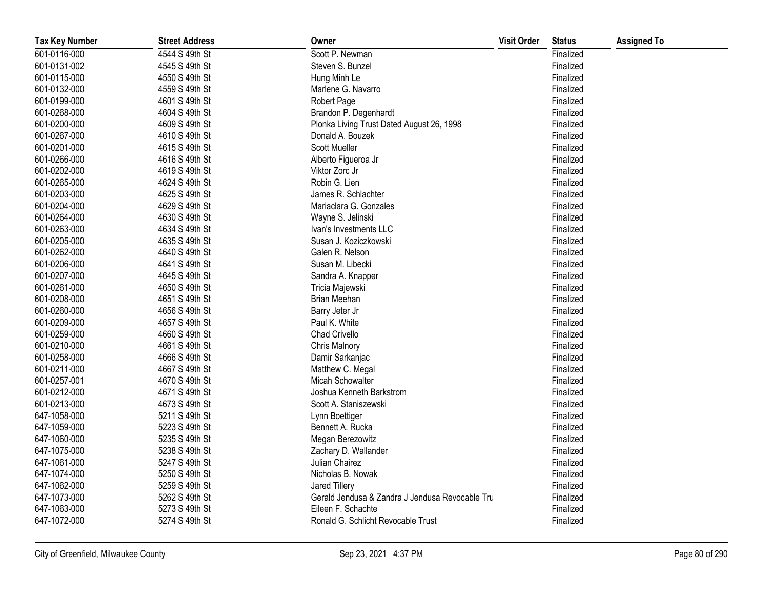| <b>Tax Key Number</b> | <b>Street Address</b> | Owner                                           | <b>Visit Order</b> | <b>Status</b> | <b>Assigned To</b> |
|-----------------------|-----------------------|-------------------------------------------------|--------------------|---------------|--------------------|
| 601-0116-000          | 4544 S 49th St        | Scott P. Newman                                 |                    | Finalized     |                    |
| 601-0131-002          | 4545 S 49th St        | Steven S. Bunzel                                |                    | Finalized     |                    |
| 601-0115-000          | 4550 S 49th St        | Hung Minh Le                                    |                    | Finalized     |                    |
| 601-0132-000          | 4559 S 49th St        | Marlene G. Navarro                              |                    | Finalized     |                    |
| 601-0199-000          | 4601 S 49th St        | Robert Page                                     |                    | Finalized     |                    |
| 601-0268-000          | 4604 S 49th St        | Brandon P. Degenhardt                           |                    | Finalized     |                    |
| 601-0200-000          | 4609 S 49th St        | Plonka Living Trust Dated August 26, 1998       |                    | Finalized     |                    |
| 601-0267-000          | 4610 S 49th St        | Donald A. Bouzek                                |                    | Finalized     |                    |
| 601-0201-000          | 4615 S 49th St        | <b>Scott Mueller</b>                            |                    | Finalized     |                    |
| 601-0266-000          | 4616 S 49th St        | Alberto Figueroa Jr                             |                    | Finalized     |                    |
| 601-0202-000          | 4619 S 49th St        | Viktor Zorc Jr                                  |                    | Finalized     |                    |
| 601-0265-000          | 4624 S 49th St        | Robin G. Lien                                   |                    | Finalized     |                    |
| 601-0203-000          | 4625 S 49th St        | James R. Schlachter                             |                    | Finalized     |                    |
| 601-0204-000          | 4629 S 49th St        | Mariaclara G. Gonzales                          |                    | Finalized     |                    |
| 601-0264-000          | 4630 S 49th St        | Wayne S. Jelinski                               |                    | Finalized     |                    |
| 601-0263-000          | 4634 S 49th St        | Ivan's Investments LLC                          |                    | Finalized     |                    |
| 601-0205-000          | 4635 S 49th St        | Susan J. Koziczkowski                           |                    | Finalized     |                    |
| 601-0262-000          | 4640 S 49th St        | Galen R. Nelson                                 |                    | Finalized     |                    |
| 601-0206-000          | 4641 S 49th St        | Susan M. Libecki                                |                    | Finalized     |                    |
| 601-0207-000          | 4645 S 49th St        | Sandra A. Knapper                               |                    | Finalized     |                    |
| 601-0261-000          | 4650 S 49th St        | Tricia Majewski                                 |                    | Finalized     |                    |
| 601-0208-000          | 4651 S 49th St        | Brian Meehan                                    |                    | Finalized     |                    |
| 601-0260-000          | 4656 S 49th St        | Barry Jeter Jr                                  |                    | Finalized     |                    |
| 601-0209-000          | 4657 S 49th St        | Paul K. White                                   |                    | Finalized     |                    |
| 601-0259-000          | 4660 S 49th St        | Chad Crivello                                   |                    | Finalized     |                    |
| 601-0210-000          | 4661 S 49th St        | Chris Malnory                                   |                    | Finalized     |                    |
| 601-0258-000          | 4666 S 49th St        | Damir Sarkanjac                                 |                    | Finalized     |                    |
| 601-0211-000          | 4667 S 49th St        | Matthew C. Megal                                |                    | Finalized     |                    |
| 601-0257-001          | 4670 S 49th St        | Micah Schowalter                                |                    | Finalized     |                    |
| 601-0212-000          | 4671 S 49th St        | Joshua Kenneth Barkstrom                        |                    | Finalized     |                    |
| 601-0213-000          | 4673 S 49th St        | Scott A. Staniszewski                           |                    | Finalized     |                    |
| 647-1058-000          | 5211 S 49th St        | Lynn Boettiger                                  |                    | Finalized     |                    |
| 647-1059-000          | 5223 S 49th St        | Bennett A. Rucka                                |                    | Finalized     |                    |
| 647-1060-000          | 5235 S 49th St        | Megan Berezowitz                                |                    | Finalized     |                    |
| 647-1075-000          | 5238 S 49th St        | Zachary D. Wallander                            |                    | Finalized     |                    |
| 647-1061-000          | 5247 S 49th St        | Julian Chairez                                  |                    | Finalized     |                    |
| 647-1074-000          | 5250 S 49th St        | Nicholas B. Nowak                               |                    | Finalized     |                    |
| 647-1062-000          | 5259 S 49th St        | Jared Tillery                                   |                    | Finalized     |                    |
| 647-1073-000          | 5262 S 49th St        | Gerald Jendusa & Zandra J Jendusa Revocable Tru |                    | Finalized     |                    |
| 647-1063-000          | 5273 S 49th St        | Eileen F. Schachte                              |                    | Finalized     |                    |
| 647-1072-000          | 5274 S 49th St        | Ronald G. Schlicht Revocable Trust              |                    | Finalized     |                    |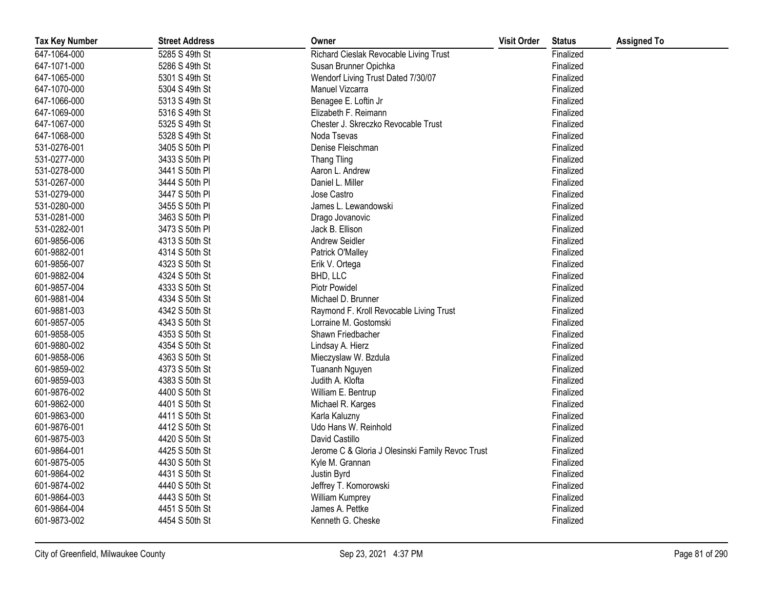| <b>Tax Key Number</b> | <b>Street Address</b> | Owner                                            | <b>Visit Order</b> | <b>Status</b> | <b>Assigned To</b> |
|-----------------------|-----------------------|--------------------------------------------------|--------------------|---------------|--------------------|
| 647-1064-000          | 5285 S 49th St        | Richard Cieslak Revocable Living Trust           |                    | Finalized     |                    |
| 647-1071-000          | 5286 S 49th St        | Susan Brunner Opichka                            |                    | Finalized     |                    |
| 647-1065-000          | 5301 S 49th St        | Wendorf Living Trust Dated 7/30/07               |                    | Finalized     |                    |
| 647-1070-000          | 5304 S 49th St        | Manuel Vizcarra                                  |                    | Finalized     |                    |
| 647-1066-000          | 5313 S 49th St        | Benagee E. Loftin Jr                             |                    | Finalized     |                    |
| 647-1069-000          | 5316 S 49th St        | Elizabeth F. Reimann                             |                    | Finalized     |                    |
| 647-1067-000          | 5325 S 49th St        | Chester J. Skreczko Revocable Trust              |                    | Finalized     |                    |
| 647-1068-000          | 5328 S 49th St        | Noda Tsevas                                      |                    | Finalized     |                    |
| 531-0276-001          | 3405 S 50th PI        | Denise Fleischman                                |                    | Finalized     |                    |
| 531-0277-000          | 3433 S 50th PI        | <b>Thang Tling</b>                               |                    | Finalized     |                    |
| 531-0278-000          | 3441 S 50th PI        | Aaron L. Andrew                                  |                    | Finalized     |                    |
| 531-0267-000          | 3444 S 50th PI        | Daniel L. Miller                                 |                    | Finalized     |                    |
| 531-0279-000          | 3447 S 50th PI        | Jose Castro                                      |                    | Finalized     |                    |
| 531-0280-000          | 3455 S 50th PI        | James L. Lewandowski                             |                    | Finalized     |                    |
| 531-0281-000          | 3463 S 50th PI        | Drago Jovanovic                                  |                    | Finalized     |                    |
| 531-0282-001          | 3473 S 50th PI        | Jack B. Ellison                                  |                    | Finalized     |                    |
| 601-9856-006          | 4313 S 50th St        | Andrew Seidler                                   |                    | Finalized     |                    |
| 601-9882-001          | 4314 S 50th St        | Patrick O'Malley                                 |                    | Finalized     |                    |
| 601-9856-007          | 4323 S 50th St        | Erik V. Ortega                                   |                    | Finalized     |                    |
| 601-9882-004          | 4324 S 50th St        | BHD, LLC                                         |                    | Finalized     |                    |
| 601-9857-004          | 4333 S 50th St        | <b>Piotr Powidel</b>                             |                    | Finalized     |                    |
| 601-9881-004          | 4334 S 50th St        | Michael D. Brunner                               |                    | Finalized     |                    |
| 601-9881-003          | 4342 S 50th St        | Raymond F. Kroll Revocable Living Trust          |                    | Finalized     |                    |
| 601-9857-005          | 4343 S 50th St        | Lorraine M. Gostomski                            |                    | Finalized     |                    |
| 601-9858-005          | 4353 S 50th St        | Shawn Friedbacher                                |                    | Finalized     |                    |
| 601-9880-002          | 4354 S 50th St        | Lindsay A. Hierz                                 |                    | Finalized     |                    |
| 601-9858-006          | 4363 S 50th St        | Mieczyslaw W. Bzdula                             |                    | Finalized     |                    |
| 601-9859-002          | 4373 S 50th St        | Tuananh Nguyen                                   |                    | Finalized     |                    |
| 601-9859-003          | 4383 S 50th St        | Judith A. Klofta                                 |                    | Finalized     |                    |
| 601-9876-002          | 4400 S 50th St        | William E. Bentrup                               |                    | Finalized     |                    |
| 601-9862-000          | 4401 S 50th St        | Michael R. Karges                                |                    | Finalized     |                    |
| 601-9863-000          | 4411 S 50th St        | Karla Kaluzny                                    |                    | Finalized     |                    |
| 601-9876-001          | 4412 S 50th St        | Udo Hans W. Reinhold                             |                    | Finalized     |                    |
| 601-9875-003          | 4420 S 50th St        | David Castillo                                   |                    | Finalized     |                    |
| 601-9864-001          | 4425 S 50th St        | Jerome C & Gloria J Olesinski Family Revoc Trust |                    | Finalized     |                    |
| 601-9875-005          | 4430 S 50th St        | Kyle M. Grannan                                  |                    | Finalized     |                    |
| 601-9864-002          | 4431 S 50th St        | Justin Byrd                                      |                    | Finalized     |                    |
| 601-9874-002          | 4440 S 50th St        | Jeffrey T. Komorowski                            |                    | Finalized     |                    |
| 601-9864-003          | 4443 S 50th St        | William Kumprey                                  |                    | Finalized     |                    |
| 601-9864-004          | 4451 S 50th St        | James A. Pettke                                  |                    | Finalized     |                    |
| 601-9873-002          | 4454 S 50th St        | Kenneth G. Cheske                                |                    | Finalized     |                    |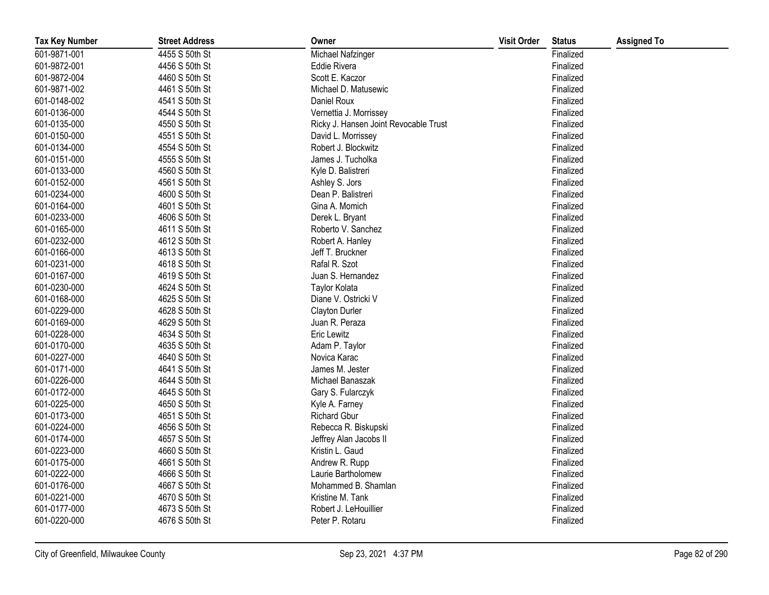| <b>Tax Key Number</b> | <b>Street Address</b> | Owner                                 | <b>Visit Order</b> | <b>Status</b> | <b>Assigned To</b> |
|-----------------------|-----------------------|---------------------------------------|--------------------|---------------|--------------------|
| 601-9871-001          | 4455 S 50th St        | Michael Nafzinger                     |                    | Finalized     |                    |
| 601-9872-001          | 4456 S 50th St        | Eddie Rivera                          |                    | Finalized     |                    |
| 601-9872-004          | 4460 S 50th St        | Scott E. Kaczor                       |                    | Finalized     |                    |
| 601-9871-002          | 4461 S 50th St        | Michael D. Matusewic                  |                    | Finalized     |                    |
| 601-0148-002          | 4541 S 50th St        | Daniel Roux                           |                    | Finalized     |                    |
| 601-0136-000          | 4544 S 50th St        | Vernettia J. Morrissey                |                    | Finalized     |                    |
| 601-0135-000          | 4550 S 50th St        | Ricky J. Hansen Joint Revocable Trust |                    | Finalized     |                    |
| 601-0150-000          | 4551 S 50th St        | David L. Morrissey                    |                    | Finalized     |                    |
| 601-0134-000          | 4554 S 50th St        | Robert J. Blockwitz                   |                    | Finalized     |                    |
| 601-0151-000          | 4555 S 50th St        | James J. Tucholka                     |                    | Finalized     |                    |
| 601-0133-000          | 4560 S 50th St        | Kyle D. Balistreri                    |                    | Finalized     |                    |
| 601-0152-000          | 4561 S 50th St        | Ashley S. Jors                        |                    | Finalized     |                    |
| 601-0234-000          | 4600 S 50th St        | Dean P. Balistreri                    |                    | Finalized     |                    |
| 601-0164-000          | 4601 S 50th St        | Gina A. Momich                        |                    | Finalized     |                    |
| 601-0233-000          | 4606 S 50th St        | Derek L. Bryant                       |                    | Finalized     |                    |
| 601-0165-000          | 4611 S 50th St        | Roberto V. Sanchez                    |                    | Finalized     |                    |
| 601-0232-000          | 4612 S 50th St        | Robert A. Hanley                      |                    | Finalized     |                    |
| 601-0166-000          | 4613 S 50th St        | Jeff T. Bruckner                      |                    | Finalized     |                    |
| 601-0231-000          | 4618 S 50th St        | Rafal R. Szot                         |                    | Finalized     |                    |
| 601-0167-000          | 4619 S 50th St        | Juan S. Hernandez                     |                    | Finalized     |                    |
| 601-0230-000          | 4624 S 50th St        | Taylor Kolata                         |                    | Finalized     |                    |
| 601-0168-000          | 4625 S 50th St        | Diane V. Ostricki V                   |                    | Finalized     |                    |
| 601-0229-000          | 4628 S 50th St        | Clayton Durler                        |                    | Finalized     |                    |
| 601-0169-000          | 4629 S 50th St        | Juan R. Peraza                        |                    | Finalized     |                    |
| 601-0228-000          | 4634 S 50th St        | Eric Lewitz                           |                    | Finalized     |                    |
| 601-0170-000          | 4635 S 50th St        | Adam P. Taylor                        |                    | Finalized     |                    |
| 601-0227-000          | 4640 S 50th St        | Novica Karac                          |                    | Finalized     |                    |
| 601-0171-000          | 4641 S 50th St        | James M. Jester                       |                    | Finalized     |                    |
| 601-0226-000          | 4644 S 50th St        | Michael Banaszak                      |                    | Finalized     |                    |
| 601-0172-000          | 4645 S 50th St        | Gary S. Fularczyk                     |                    | Finalized     |                    |
| 601-0225-000          | 4650 S 50th St        | Kyle A. Farney                        |                    | Finalized     |                    |
| 601-0173-000          | 4651 S 50th St        | <b>Richard Gbur</b>                   |                    | Finalized     |                    |
| 601-0224-000          | 4656 S 50th St        | Rebecca R. Biskupski                  |                    | Finalized     |                    |
| 601-0174-000          | 4657 S 50th St        | Jeffrey Alan Jacobs II                |                    | Finalized     |                    |
| 601-0223-000          | 4660 S 50th St        | Kristin L. Gaud                       |                    | Finalized     |                    |
| 601-0175-000          | 4661 S 50th St        | Andrew R. Rupp                        |                    | Finalized     |                    |
| 601-0222-000          | 4666 S 50th St        | Laurie Bartholomew                    |                    | Finalized     |                    |
| 601-0176-000          | 4667 S 50th St        | Mohammed B. Shamlan                   |                    | Finalized     |                    |
| 601-0221-000          | 4670 S 50th St        | Kristine M. Tank                      |                    | Finalized     |                    |
| 601-0177-000          | 4673 S 50th St        | Robert J. LeHouillier                 |                    | Finalized     |                    |
| 601-0220-000          | 4676 S 50th St        | Peter P. Rotaru                       |                    | Finalized     |                    |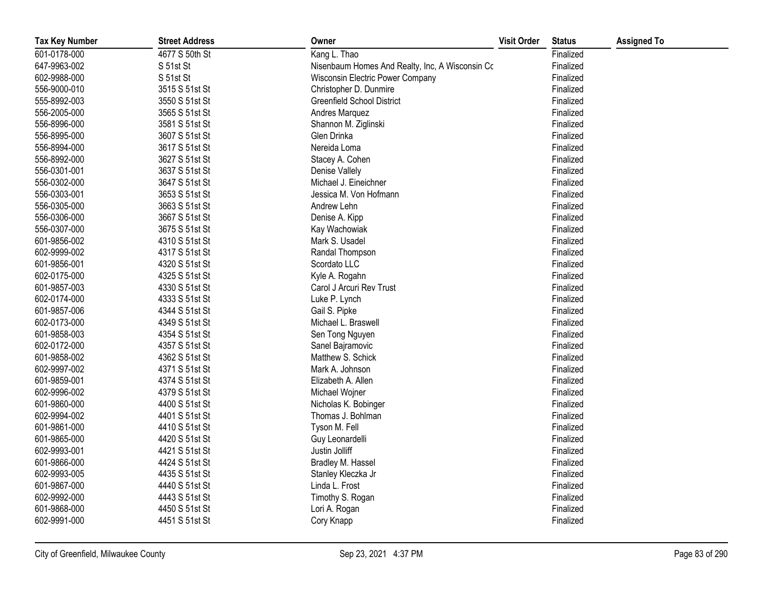| <b>Tax Key Number</b> | <b>Street Address</b> | Owner                                           | <b>Visit Order</b> | <b>Status</b> | <b>Assigned To</b> |
|-----------------------|-----------------------|-------------------------------------------------|--------------------|---------------|--------------------|
| 601-0178-000          | 4677 S 50th St        | Kang L. Thao                                    |                    | Finalized     |                    |
| 647-9963-002          | S 51st St             | Nisenbaum Homes And Realty, Inc, A Wisconsin Cc |                    | Finalized     |                    |
| 602-9988-000          | S 51st St             | Wisconsin Electric Power Company                |                    | Finalized     |                    |
| 556-9000-010          | 3515 S 51st St        | Christopher D. Dunmire                          |                    | Finalized     |                    |
| 555-8992-003          | 3550 S 51st St        | <b>Greenfield School District</b>               |                    | Finalized     |                    |
| 556-2005-000          | 3565 S 51st St        | Andres Marquez                                  |                    | Finalized     |                    |
| 556-8996-000          | 3581 S 51st St        | Shannon M. Ziglinski                            |                    | Finalized     |                    |
| 556-8995-000          | 3607 S 51st St        | Glen Drinka                                     |                    | Finalized     |                    |
| 556-8994-000          | 3617 S 51st St        | Nereida Loma                                    |                    | Finalized     |                    |
| 556-8992-000          | 3627 S 51st St        | Stacey A. Cohen                                 |                    | Finalized     |                    |
| 556-0301-001          | 3637 S 51st St        | Denise Vallely                                  |                    | Finalized     |                    |
| 556-0302-000          | 3647 S 51st St        | Michael J. Eineichner                           |                    | Finalized     |                    |
| 556-0303-001          | 3653 S 51st St        | Jessica M. Von Hofmann                          |                    | Finalized     |                    |
| 556-0305-000          | 3663 S 51st St        | Andrew Lehn                                     |                    | Finalized     |                    |
| 556-0306-000          | 3667 S 51st St        | Denise A. Kipp                                  |                    | Finalized     |                    |
| 556-0307-000          | 3675 S 51st St        | Kay Wachowiak                                   |                    | Finalized     |                    |
| 601-9856-002          | 4310 S 51st St        | Mark S. Usadel                                  |                    | Finalized     |                    |
| 602-9999-002          | 4317 S 51st St        | Randal Thompson                                 |                    | Finalized     |                    |
| 601-9856-001          | 4320 S 51st St        | Scordato LLC                                    |                    | Finalized     |                    |
| 602-0175-000          | 4325 S 51st St        | Kyle A. Rogahn                                  |                    | Finalized     |                    |
| 601-9857-003          | 4330 S 51st St        | Carol J Arcuri Rev Trust                        |                    | Finalized     |                    |
| 602-0174-000          | 4333 S 51st St        | Luke P. Lynch                                   |                    | Finalized     |                    |
| 601-9857-006          | 4344 S 51st St        | Gail S. Pipke                                   |                    | Finalized     |                    |
| 602-0173-000          | 4349 S 51st St        | Michael L. Braswell                             |                    | Finalized     |                    |
| 601-9858-003          | 4354 S 51st St        | Sen Tong Nguyen                                 |                    | Finalized     |                    |
| 602-0172-000          | 4357 S 51st St        | Sanel Bajramovic                                |                    | Finalized     |                    |
| 601-9858-002          | 4362 S 51st St        | Matthew S. Schick                               |                    | Finalized     |                    |
| 602-9997-002          | 4371 S 51st St        | Mark A. Johnson                                 |                    | Finalized     |                    |
| 601-9859-001          | 4374 S 51st St        | Elizabeth A. Allen                              |                    | Finalized     |                    |
| 602-9996-002          | 4379 S 51st St        | Michael Wojner                                  |                    | Finalized     |                    |
| 601-9860-000          | 4400 S 51st St        | Nicholas K. Bobinger                            |                    | Finalized     |                    |
| 602-9994-002          | 4401 S 51st St        | Thomas J. Bohlman                               |                    | Finalized     |                    |
| 601-9861-000          | 4410 S 51st St        | Tyson M. Fell                                   |                    | Finalized     |                    |
| 601-9865-000          | 4420 S 51st St        | Guy Leonardelli                                 |                    | Finalized     |                    |
| 602-9993-001          | 4421 S 51st St        | Justin Jolliff                                  |                    | Finalized     |                    |
| 601-9866-000          | 4424 S 51st St        | Bradley M. Hassel                               |                    | Finalized     |                    |
| 602-9993-005          | 4435 S 51st St        | Stanley Kleczka Jr                              |                    | Finalized     |                    |
| 601-9867-000          | 4440 S 51st St        | Linda L. Frost                                  |                    | Finalized     |                    |
| 602-9992-000          | 4443 S 51st St        | Timothy S. Rogan                                |                    | Finalized     |                    |
| 601-9868-000          | 4450 S 51st St        | Lori A. Rogan                                   |                    | Finalized     |                    |
| 602-9991-000          | 4451 S 51st St        | Cory Knapp                                      |                    | Finalized     |                    |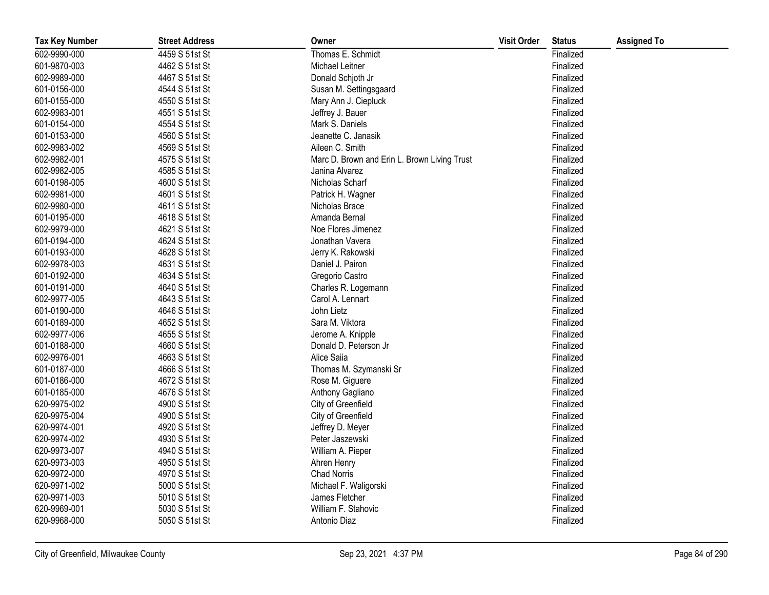| <b>Tax Key Number</b> | <b>Street Address</b> | Owner                                        | <b>Visit Order</b> | <b>Status</b> | <b>Assigned To</b> |
|-----------------------|-----------------------|----------------------------------------------|--------------------|---------------|--------------------|
| 602-9990-000          | 4459 S 51st St        | Thomas E. Schmidt                            |                    | Finalized     |                    |
| 601-9870-003          | 4462 S 51st St        | Michael Leitner                              |                    | Finalized     |                    |
| 602-9989-000          | 4467 S 51st St        | Donald Schjoth Jr                            |                    | Finalized     |                    |
| 601-0156-000          | 4544 S 51st St        | Susan M. Settingsgaard                       |                    | Finalized     |                    |
| 601-0155-000          | 4550 S 51st St        | Mary Ann J. Ciepluck                         |                    | Finalized     |                    |
| 602-9983-001          | 4551 S 51st St        | Jeffrey J. Bauer                             |                    | Finalized     |                    |
| 601-0154-000          | 4554 S 51st St        | Mark S. Daniels                              |                    | Finalized     |                    |
| 601-0153-000          | 4560 S 51st St        | Jeanette C. Janasik                          |                    | Finalized     |                    |
| 602-9983-002          | 4569 S 51st St        | Aileen C. Smith                              |                    | Finalized     |                    |
| 602-9982-001          | 4575 S 51st St        | Marc D. Brown and Erin L. Brown Living Trust |                    | Finalized     |                    |
| 602-9982-005          | 4585 S 51st St        | Janina Alvarez                               |                    | Finalized     |                    |
| 601-0198-005          | 4600 S 51st St        | Nicholas Scharf                              |                    | Finalized     |                    |
| 602-9981-000          | 4601 S 51st St        | Patrick H. Wagner                            |                    | Finalized     |                    |
| 602-9980-000          | 4611 S 51st St        | Nicholas Brace                               |                    | Finalized     |                    |
| 601-0195-000          | 4618 S 51st St        | Amanda Bernal                                |                    | Finalized     |                    |
| 602-9979-000          | 4621 S 51st St        | Noe Flores Jimenez                           |                    | Finalized     |                    |
| 601-0194-000          | 4624 S 51st St        | Jonathan Vavera                              |                    | Finalized     |                    |
| 601-0193-000          | 4628 S 51st St        | Jerry K. Rakowski                            |                    | Finalized     |                    |
| 602-9978-003          | 4631 S 51st St        | Daniel J. Pairon                             |                    | Finalized     |                    |
| 601-0192-000          | 4634 S 51st St        | Gregorio Castro                              |                    | Finalized     |                    |
| 601-0191-000          | 4640 S 51st St        | Charles R. Logemann                          |                    | Finalized     |                    |
| 602-9977-005          | 4643 S 51st St        | Carol A. Lennart                             |                    | Finalized     |                    |
| 601-0190-000          | 4646 S 51st St        | John Lietz                                   |                    | Finalized     |                    |
| 601-0189-000          | 4652 S 51st St        | Sara M. Viktora                              |                    | Finalized     |                    |
| 602-9977-006          | 4655 S 51st St        | Jerome A. Knipple                            |                    | Finalized     |                    |
| 601-0188-000          | 4660 S 51st St        | Donald D. Peterson Jr                        |                    | Finalized     |                    |
| 602-9976-001          | 4663 S 51st St        | Alice Saiia                                  |                    | Finalized     |                    |
| 601-0187-000          | 4666 S 51st St        | Thomas M. Szymanski Sr                       |                    | Finalized     |                    |
| 601-0186-000          | 4672 S 51st St        | Rose M. Giguere                              |                    | Finalized     |                    |
| 601-0185-000          | 4676 S 51st St        | Anthony Gagliano                             |                    | Finalized     |                    |
| 620-9975-002          | 4900 S 51st St        | City of Greenfield                           |                    | Finalized     |                    |
| 620-9975-004          | 4900 S 51st St        | City of Greenfield                           |                    | Finalized     |                    |
| 620-9974-001          | 4920 S 51st St        | Jeffrey D. Meyer                             |                    | Finalized     |                    |
| 620-9974-002          | 4930 S 51st St        | Peter Jaszewski                              |                    | Finalized     |                    |
| 620-9973-007          | 4940 S 51st St        | William A. Pieper                            |                    | Finalized     |                    |
| 620-9973-003          | 4950 S 51st St        | Ahren Henry                                  |                    | Finalized     |                    |
| 620-9972-000          | 4970 S 51st St        | <b>Chad Norris</b>                           |                    | Finalized     |                    |
| 620-9971-002          | 5000 S 51st St        | Michael F. Waligorski                        |                    | Finalized     |                    |
| 620-9971-003          | 5010 S 51st St        | James Fletcher                               |                    | Finalized     |                    |
| 620-9969-001          | 5030 S 51st St        | William F. Stahovic                          |                    | Finalized     |                    |
| 620-9968-000          | 5050 S 51st St        | Antonio Diaz                                 |                    | Finalized     |                    |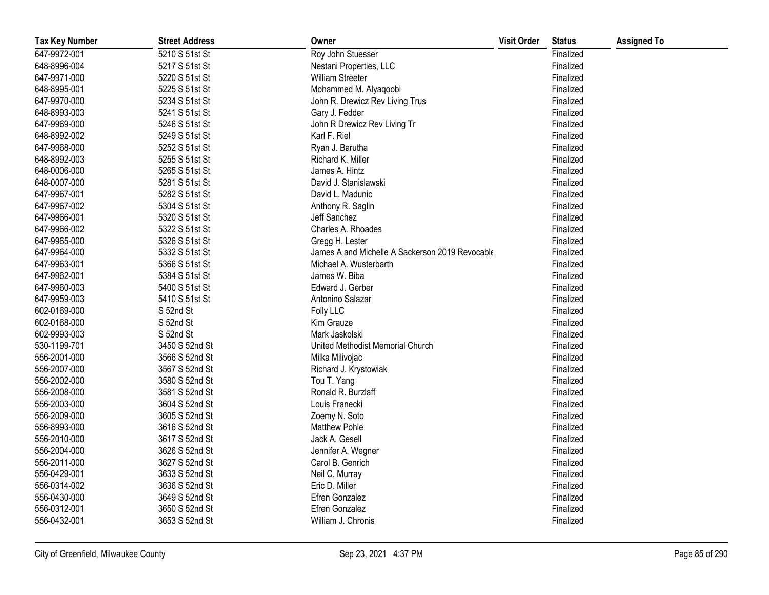| <b>Tax Key Number</b> | <b>Street Address</b> | Owner                                           | <b>Visit Order</b> | <b>Status</b> | <b>Assigned To</b> |
|-----------------------|-----------------------|-------------------------------------------------|--------------------|---------------|--------------------|
| 647-9972-001          | 5210 S 51st St        | Roy John Stuesser                               |                    | Finalized     |                    |
| 648-8996-004          | 5217 S 51st St        | Nestani Properties, LLC                         |                    | Finalized     |                    |
| 647-9971-000          | 5220 S 51st St        | William Streeter                                |                    | Finalized     |                    |
| 648-8995-001          | 5225 S 51st St        | Mohammed M. Alyaqoobi                           |                    | Finalized     |                    |
| 647-9970-000          | 5234 S 51st St        | John R. Drewicz Rev Living Trus                 |                    | Finalized     |                    |
| 648-8993-003          | 5241 S 51st St        | Gary J. Fedder                                  |                    | Finalized     |                    |
| 647-9969-000          | 5246 S 51st St        | John R Drewicz Rev Living Tr                    |                    | Finalized     |                    |
| 648-8992-002          | 5249 S 51st St        | Karl F. Riel                                    |                    | Finalized     |                    |
| 647-9968-000          | 5252 S 51st St        | Ryan J. Barutha                                 |                    | Finalized     |                    |
| 648-8992-003          | 5255 S 51st St        | Richard K. Miller                               |                    | Finalized     |                    |
| 648-0006-000          | 5265 S 51st St        | James A. Hintz                                  |                    | Finalized     |                    |
| 648-0007-000          | 5281 S 51st St        | David J. Stanislawski                           |                    | Finalized     |                    |
| 647-9967-001          | 5282 S 51st St        | David L. Madunic                                |                    | Finalized     |                    |
| 647-9967-002          | 5304 S 51st St        | Anthony R. Saglin                               |                    | Finalized     |                    |
| 647-9966-001          | 5320 S 51st St        | Jeff Sanchez                                    |                    | Finalized     |                    |
| 647-9966-002          | 5322 S 51st St        | Charles A. Rhoades                              |                    | Finalized     |                    |
| 647-9965-000          | 5326 S 51st St        | Gregg H. Lester                                 |                    | Finalized     |                    |
| 647-9964-000          | 5332 S 51st St        | James A and Michelle A Sackerson 2019 Revocable |                    | Finalized     |                    |
| 647-9963-001          | 5366 S 51st St        | Michael A. Wusterbarth                          |                    | Finalized     |                    |
| 647-9962-001          | 5384 S 51st St        | James W. Biba                                   |                    | Finalized     |                    |
| 647-9960-003          | 5400 S 51st St        | Edward J. Gerber                                |                    | Finalized     |                    |
| 647-9959-003          | 5410 S 51st St        | Antonino Salazar                                |                    | Finalized     |                    |
| 602-0169-000          | S 52nd St             | Folly LLC                                       |                    | Finalized     |                    |
| 602-0168-000          | S 52nd St             | Kim Grauze                                      |                    | Finalized     |                    |
| 602-9993-003          | S 52nd St             | Mark Jaskolski                                  |                    | Finalized     |                    |
| 530-1199-701          | 3450 S 52nd St        | United Methodist Memorial Church                |                    | Finalized     |                    |
| 556-2001-000          | 3566 S 52nd St        | Milka Milivojac                                 |                    | Finalized     |                    |
| 556-2007-000          | 3567 S 52nd St        | Richard J. Krystowiak                           |                    | Finalized     |                    |
| 556-2002-000          | 3580 S 52nd St        | Tou T. Yang                                     |                    | Finalized     |                    |
| 556-2008-000          | 3581 S 52nd St        | Ronald R. Burzlaff                              |                    | Finalized     |                    |
| 556-2003-000          | 3604 S 52nd St        | Louis Franecki                                  |                    | Finalized     |                    |
| 556-2009-000          | 3605 S 52nd St        | Zoemy N. Soto                                   |                    | Finalized     |                    |
| 556-8993-000          | 3616 S 52nd St        | <b>Matthew Pohle</b>                            |                    | Finalized     |                    |
| 556-2010-000          | 3617 S 52nd St        | Jack A. Gesell                                  |                    | Finalized     |                    |
| 556-2004-000          | 3626 S 52nd St        | Jennifer A. Wegner                              |                    | Finalized     |                    |
| 556-2011-000          | 3627 S 52nd St        | Carol B. Genrich                                |                    | Finalized     |                    |
| 556-0429-001          | 3633 S 52nd St        | Neil C. Murray                                  |                    | Finalized     |                    |
| 556-0314-002          | 3636 S 52nd St        | Eric D. Miller                                  |                    | Finalized     |                    |
| 556-0430-000          | 3649 S 52nd St        | Efren Gonzalez                                  |                    | Finalized     |                    |
| 556-0312-001          | 3650 S 52nd St        | Efren Gonzalez                                  |                    | Finalized     |                    |
| 556-0432-001          | 3653 S 52nd St        | William J. Chronis                              |                    | Finalized     |                    |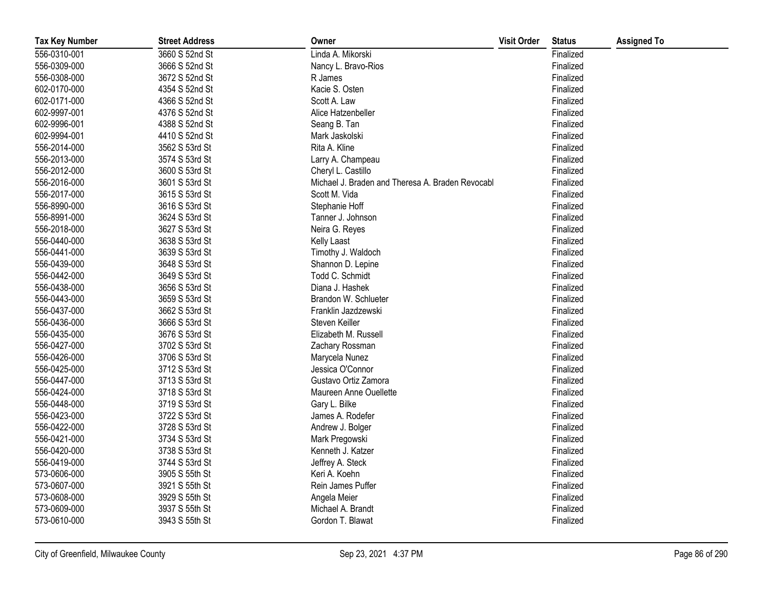| <b>Tax Key Number</b> | <b>Street Address</b> | Owner                                            | <b>Visit Order</b> | <b>Status</b> | <b>Assigned To</b> |
|-----------------------|-----------------------|--------------------------------------------------|--------------------|---------------|--------------------|
| 556-0310-001          | 3660 S 52nd St        | Linda A. Mikorski                                |                    | Finalized     |                    |
| 556-0309-000          | 3666 S 52nd St        | Nancy L. Bravo-Rios                              |                    | Finalized     |                    |
| 556-0308-000          | 3672 S 52nd St        | R James                                          |                    | Finalized     |                    |
| 602-0170-000          | 4354 S 52nd St        | Kacie S. Osten                                   |                    | Finalized     |                    |
| 602-0171-000          | 4366 S 52nd St        | Scott A. Law                                     |                    | Finalized     |                    |
| 602-9997-001          | 4376 S 52nd St        | Alice Hatzenbeller                               |                    | Finalized     |                    |
| 602-9996-001          | 4388 S 52nd St        | Seang B. Tan                                     |                    | Finalized     |                    |
| 602-9994-001          | 4410 S 52nd St        | Mark Jaskolski                                   |                    | Finalized     |                    |
| 556-2014-000          | 3562 S 53rd St        | Rita A. Kline                                    |                    | Finalized     |                    |
| 556-2013-000          | 3574 S 53rd St        | Larry A. Champeau                                |                    | Finalized     |                    |
| 556-2012-000          | 3600 S 53rd St        | Cheryl L. Castillo                               |                    | Finalized     |                    |
| 556-2016-000          | 3601 S 53rd St        | Michael J. Braden and Theresa A. Braden Revocabl |                    | Finalized     |                    |
| 556-2017-000          | 3615 S 53rd St        | Scott M. Vida                                    |                    | Finalized     |                    |
| 556-8990-000          | 3616 S 53rd St        | Stephanie Hoff                                   |                    | Finalized     |                    |
| 556-8991-000          | 3624 S 53rd St        | Tanner J. Johnson                                |                    | Finalized     |                    |
| 556-2018-000          | 3627 S 53rd St        | Neira G. Reyes                                   |                    | Finalized     |                    |
| 556-0440-000          | 3638 S 53rd St        | <b>Kelly Laast</b>                               |                    | Finalized     |                    |
| 556-0441-000          | 3639 S 53rd St        | Timothy J. Waldoch                               |                    | Finalized     |                    |
| 556-0439-000          | 3648 S 53rd St        | Shannon D. Lepine                                |                    | Finalized     |                    |
| 556-0442-000          | 3649 S 53rd St        | Todd C. Schmidt                                  |                    | Finalized     |                    |
| 556-0438-000          | 3656 S 53rd St        | Diana J. Hashek                                  |                    | Finalized     |                    |
| 556-0443-000          | 3659 S 53rd St        | Brandon W. Schlueter                             |                    | Finalized     |                    |
| 556-0437-000          | 3662 S 53rd St        | Franklin Jazdzewski                              |                    | Finalized     |                    |
| 556-0436-000          | 3666 S 53rd St        | Steven Keiller                                   |                    | Finalized     |                    |
| 556-0435-000          | 3676 S 53rd St        | Elizabeth M. Russell                             |                    | Finalized     |                    |
| 556-0427-000          | 3702 S 53rd St        | Zachary Rossman                                  |                    | Finalized     |                    |
| 556-0426-000          | 3706 S 53rd St        | Marycela Nunez                                   |                    | Finalized     |                    |
| 556-0425-000          | 3712 S 53rd St        | Jessica O'Connor                                 |                    | Finalized     |                    |
| 556-0447-000          | 3713 S 53rd St        | Gustavo Ortiz Zamora                             |                    | Finalized     |                    |
| 556-0424-000          | 3718 S 53rd St        | Maureen Anne Ouellette                           |                    | Finalized     |                    |
| 556-0448-000          | 3719 S 53rd St        | Gary L. Bilke                                    |                    | Finalized     |                    |
| 556-0423-000          | 3722 S 53rd St        | James A. Rodefer                                 |                    | Finalized     |                    |
| 556-0422-000          | 3728 S 53rd St        | Andrew J. Bolger                                 |                    | Finalized     |                    |
| 556-0421-000          | 3734 S 53rd St        | Mark Pregowski                                   |                    | Finalized     |                    |
| 556-0420-000          | 3738 S 53rd St        | Kenneth J. Katzer                                |                    | Finalized     |                    |
| 556-0419-000          | 3744 S 53rd St        | Jeffrey A. Steck                                 |                    | Finalized     |                    |
| 573-0606-000          | 3905 S 55th St        | Keri A. Koehn                                    |                    | Finalized     |                    |
| 573-0607-000          | 3921 S 55th St        | Rein James Puffer                                |                    | Finalized     |                    |
| 573-0608-000          | 3929 S 55th St        | Angela Meier                                     |                    | Finalized     |                    |
| 573-0609-000          | 3937 S 55th St        | Michael A. Brandt                                |                    | Finalized     |                    |
| 573-0610-000          | 3943 S 55th St        | Gordon T. Blawat                                 |                    | Finalized     |                    |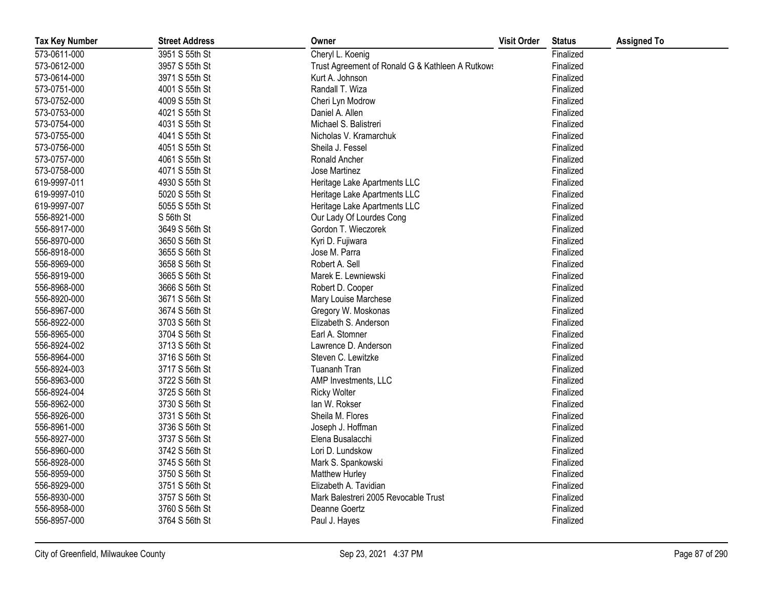| <b>Tax Key Number</b> | <b>Street Address</b> | Owner                                            | <b>Visit Order</b> | <b>Status</b> | <b>Assigned To</b> |
|-----------------------|-----------------------|--------------------------------------------------|--------------------|---------------|--------------------|
| 573-0611-000          | 3951 S 55th St        | Cheryl L. Koenig                                 |                    | Finalized     |                    |
| 573-0612-000          | 3957 S 55th St        | Trust Agreement of Ronald G & Kathleen A Rutkows |                    | Finalized     |                    |
| 573-0614-000          | 3971 S 55th St        | Kurt A. Johnson                                  |                    | Finalized     |                    |
| 573-0751-000          | 4001 S 55th St        | Randall T. Wiza                                  |                    | Finalized     |                    |
| 573-0752-000          | 4009 S 55th St        | Cheri Lyn Modrow                                 |                    | Finalized     |                    |
| 573-0753-000          | 4021 S 55th St        | Daniel A. Allen                                  |                    | Finalized     |                    |
| 573-0754-000          | 4031 S 55th St        | Michael S. Balistreri                            |                    | Finalized     |                    |
| 573-0755-000          | 4041 S 55th St        | Nicholas V. Kramarchuk                           |                    | Finalized     |                    |
| 573-0756-000          | 4051 S 55th St        | Sheila J. Fessel                                 |                    | Finalized     |                    |
| 573-0757-000          | 4061 S 55th St        | Ronald Ancher                                    |                    | Finalized     |                    |
| 573-0758-000          | 4071 S 55th St        | Jose Martinez                                    |                    | Finalized     |                    |
| 619-9997-011          | 4930 S 55th St        | Heritage Lake Apartments LLC                     |                    | Finalized     |                    |
| 619-9997-010          | 5020 S 55th St        | Heritage Lake Apartments LLC                     |                    | Finalized     |                    |
| 619-9997-007          | 5055 S 55th St        | Heritage Lake Apartments LLC                     |                    | Finalized     |                    |
| 556-8921-000          | S 56th St             | Our Lady Of Lourdes Cong                         |                    | Finalized     |                    |
| 556-8917-000          | 3649 S 56th St        | Gordon T. Wieczorek                              |                    | Finalized     |                    |
| 556-8970-000          | 3650 S 56th St        | Kyri D. Fujiwara                                 |                    | Finalized     |                    |
| 556-8918-000          | 3655 S 56th St        | Jose M. Parra                                    |                    | Finalized     |                    |
| 556-8969-000          | 3658 S 56th St        | Robert A. Sell                                   |                    | Finalized     |                    |
| 556-8919-000          | 3665 S 56th St        | Marek E. Lewniewski                              |                    | Finalized     |                    |
| 556-8968-000          | 3666 S 56th St        | Robert D. Cooper                                 |                    | Finalized     |                    |
| 556-8920-000          | 3671 S 56th St        | Mary Louise Marchese                             |                    | Finalized     |                    |
| 556-8967-000          | 3674 S 56th St        | Gregory W. Moskonas                              |                    | Finalized     |                    |
| 556-8922-000          | 3703 S 56th St        | Elizabeth S. Anderson                            |                    | Finalized     |                    |
| 556-8965-000          | 3704 S 56th St        | Earl A. Stomner                                  |                    | Finalized     |                    |
| 556-8924-002          | 3713 S 56th St        | Lawrence D. Anderson                             |                    | Finalized     |                    |
| 556-8964-000          | 3716 S 56th St        | Steven C. Lewitzke                               |                    | Finalized     |                    |
| 556-8924-003          | 3717 S 56th St        | Tuananh Tran                                     |                    | Finalized     |                    |
| 556-8963-000          | 3722 S 56th St        | AMP Investments, LLC                             |                    | Finalized     |                    |
| 556-8924-004          | 3725 S 56th St        | <b>Ricky Wolter</b>                              |                    | Finalized     |                    |
| 556-8962-000          | 3730 S 56th St        | lan W. Rokser                                    |                    | Finalized     |                    |
| 556-8926-000          | 3731 S 56th St        | Sheila M. Flores                                 |                    | Finalized     |                    |
| 556-8961-000          | 3736 S 56th St        | Joseph J. Hoffman                                |                    | Finalized     |                    |
| 556-8927-000          | 3737 S 56th St        | Elena Busalacchi                                 |                    | Finalized     |                    |
| 556-8960-000          | 3742 S 56th St        | Lori D. Lundskow                                 |                    | Finalized     |                    |
| 556-8928-000          | 3745 S 56th St        | Mark S. Spankowski                               |                    | Finalized     |                    |
| 556-8959-000          | 3750 S 56th St        | Matthew Hurley                                   |                    | Finalized     |                    |
| 556-8929-000          | 3751 S 56th St        | Elizabeth A. Tavidian                            |                    | Finalized     |                    |
| 556-8930-000          | 3757 S 56th St        | Mark Balestreri 2005 Revocable Trust             |                    | Finalized     |                    |
| 556-8958-000          | 3760 S 56th St        | Deanne Goertz                                    |                    | Finalized     |                    |
| 556-8957-000          | 3764 S 56th St        | Paul J. Hayes                                    |                    | Finalized     |                    |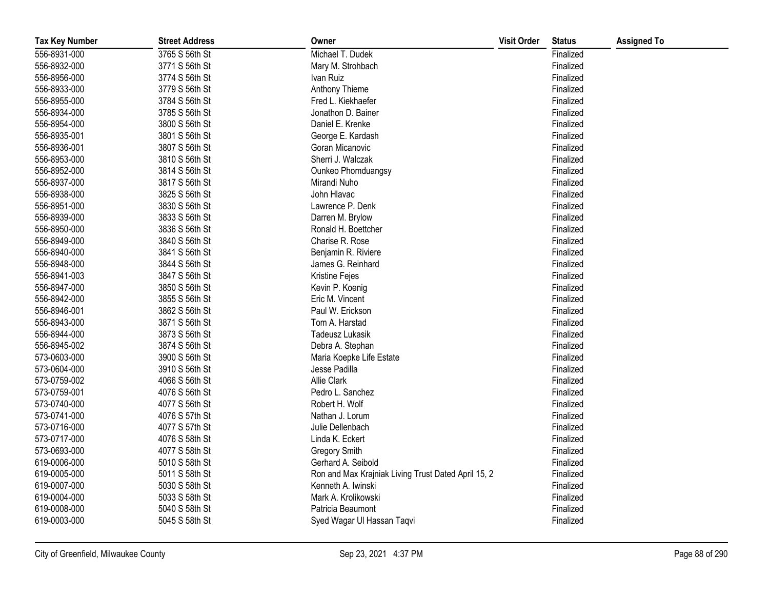| <b>Tax Key Number</b> | <b>Street Address</b> | Owner                                               | <b>Visit Order</b> | <b>Status</b> | <b>Assigned To</b> |
|-----------------------|-----------------------|-----------------------------------------------------|--------------------|---------------|--------------------|
| 556-8931-000          | 3765 S 56th St        | Michael T. Dudek                                    |                    | Finalized     |                    |
| 556-8932-000          | 3771 S 56th St        | Mary M. Strohbach                                   |                    | Finalized     |                    |
| 556-8956-000          | 3774 S 56th St        | Ivan Ruiz                                           |                    | Finalized     |                    |
| 556-8933-000          | 3779 S 56th St        | Anthony Thieme                                      |                    | Finalized     |                    |
| 556-8955-000          | 3784 S 56th St        | Fred L. Kiekhaefer                                  |                    | Finalized     |                    |
| 556-8934-000          | 3785 S 56th St        | Jonathon D. Bainer                                  |                    | Finalized     |                    |
| 556-8954-000          | 3800 S 56th St        | Daniel E. Krenke                                    |                    | Finalized     |                    |
| 556-8935-001          | 3801 S 56th St        | George E. Kardash                                   |                    | Finalized     |                    |
| 556-8936-001          | 3807 S 56th St        | Goran Micanovic                                     |                    | Finalized     |                    |
| 556-8953-000          | 3810 S 56th St        | Sherri J. Walczak                                   |                    | Finalized     |                    |
| 556-8952-000          | 3814 S 56th St        | Ounkeo Phomduangsy                                  |                    | Finalized     |                    |
| 556-8937-000          | 3817 S 56th St        | Mirandi Nuho                                        |                    | Finalized     |                    |
| 556-8938-000          | 3825 S 56th St        | John Hlavac                                         |                    | Finalized     |                    |
| 556-8951-000          | 3830 S 56th St        | Lawrence P. Denk                                    |                    | Finalized     |                    |
| 556-8939-000          | 3833 S 56th St        | Darren M. Brylow                                    |                    | Finalized     |                    |
| 556-8950-000          | 3836 S 56th St        | Ronald H. Boettcher                                 |                    | Finalized     |                    |
| 556-8949-000          | 3840 S 56th St        | Charise R. Rose                                     |                    | Finalized     |                    |
| 556-8940-000          | 3841 S 56th St        | Benjamin R. Riviere                                 |                    | Finalized     |                    |
| 556-8948-000          | 3844 S 56th St        | James G. Reinhard                                   |                    | Finalized     |                    |
| 556-8941-003          | 3847 S 56th St        | Kristine Fejes                                      |                    | Finalized     |                    |
| 556-8947-000          | 3850 S 56th St        | Kevin P. Koenig                                     |                    | Finalized     |                    |
| 556-8942-000          | 3855 S 56th St        | Eric M. Vincent                                     |                    | Finalized     |                    |
| 556-8946-001          | 3862 S 56th St        | Paul W. Erickson                                    |                    | Finalized     |                    |
| 556-8943-000          | 3871 S 56th St        | Tom A. Harstad                                      |                    | Finalized     |                    |
| 556-8944-000          | 3873 S 56th St        | <b>Tadeusz Lukasik</b>                              |                    | Finalized     |                    |
| 556-8945-002          | 3874 S 56th St        | Debra A. Stephan                                    |                    | Finalized     |                    |
| 573-0603-000          | 3900 S 56th St        | Maria Koepke Life Estate                            |                    | Finalized     |                    |
| 573-0604-000          | 3910 S 56th St        | Jesse Padilla                                       |                    | Finalized     |                    |
| 573-0759-002          | 4066 S 56th St        | <b>Allie Clark</b>                                  |                    | Finalized     |                    |
| 573-0759-001          | 4076 S 56th St        | Pedro L. Sanchez                                    |                    | Finalized     |                    |
| 573-0740-000          | 4077 S 56th St        | Robert H. Wolf                                      |                    | Finalized     |                    |
| 573-0741-000          | 4076 S 57th St        | Nathan J. Lorum                                     |                    | Finalized     |                    |
| 573-0716-000          | 4077 S 57th St        | Julie Dellenbach                                    |                    | Finalized     |                    |
| 573-0717-000          | 4076 S 58th St        | Linda K. Eckert                                     |                    | Finalized     |                    |
| 573-0693-000          | 4077 S 58th St        | <b>Gregory Smith</b>                                |                    | Finalized     |                    |
| 619-0006-000          | 5010 S 58th St        | Gerhard A. Seibold                                  |                    | Finalized     |                    |
| 619-0005-000          | 5011 S 58th St        | Ron and Max Krajniak Living Trust Dated April 15, 2 |                    | Finalized     |                    |
| 619-0007-000          | 5030 S 58th St        | Kenneth A. Iwinski                                  |                    | Finalized     |                    |
| 619-0004-000          | 5033 S 58th St        | Mark A. Krolikowski                                 |                    | Finalized     |                    |
| 619-0008-000          | 5040 S 58th St        | Patricia Beaumont                                   |                    | Finalized     |                    |
| 619-0003-000          | 5045 S 58th St        | Syed Wagar Ul Hassan Taqvi                          |                    | Finalized     |                    |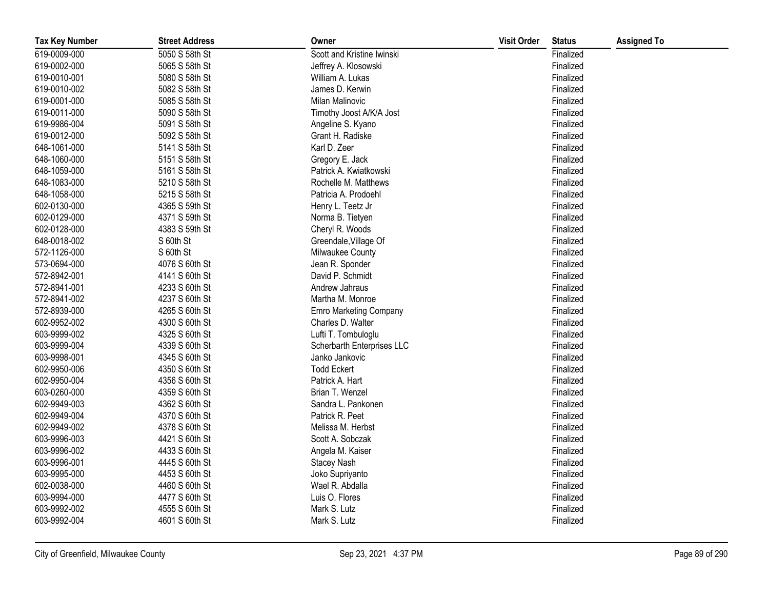| <b>Tax Key Number</b> | <b>Street Address</b> | Owner                      | <b>Visit Order</b> | <b>Status</b> | <b>Assigned To</b> |
|-----------------------|-----------------------|----------------------------|--------------------|---------------|--------------------|
| 619-0009-000          | 5050 S 58th St        | Scott and Kristine Iwinski |                    | Finalized     |                    |
| 619-0002-000          | 5065 S 58th St        | Jeffrey A. Klosowski       |                    | Finalized     |                    |
| 619-0010-001          | 5080 S 58th St        | William A. Lukas           |                    | Finalized     |                    |
| 619-0010-002          | 5082 S 58th St        | James D. Kerwin            |                    | Finalized     |                    |
| 619-0001-000          | 5085 S 58th St        | Milan Malinovic            |                    | Finalized     |                    |
| 619-0011-000          | 5090 S 58th St        | Timothy Joost A/K/A Jost   |                    | Finalized     |                    |
| 619-9986-004          | 5091 S 58th St        | Angeline S. Kyano          |                    | Finalized     |                    |
| 619-0012-000          | 5092 S 58th St        | Grant H. Radiske           |                    | Finalized     |                    |
| 648-1061-000          | 5141 S 58th St        | Karl D. Zeer               |                    | Finalized     |                    |
| 648-1060-000          | 5151 S 58th St        | Gregory E. Jack            |                    | Finalized     |                    |
| 648-1059-000          | 5161 S 58th St        | Patrick A. Kwiatkowski     |                    | Finalized     |                    |
| 648-1083-000          | 5210 S 58th St        | Rochelle M. Matthews       |                    | Finalized     |                    |
| 648-1058-000          | 5215 S 58th St        | Patricia A. Prodoehl       |                    | Finalized     |                    |
| 602-0130-000          | 4365 S 59th St        | Henry L. Teetz Jr          |                    | Finalized     |                    |
| 602-0129-000          | 4371 S 59th St        | Norma B. Tietyen           |                    | Finalized     |                    |
| 602-0128-000          | 4383 S 59th St        | Cheryl R. Woods            |                    | Finalized     |                    |
| 648-0018-002          | S 60th St             | Greendale, Village Of      |                    | Finalized     |                    |
| 572-1126-000          | S 60th St             | Milwaukee County           |                    | Finalized     |                    |
| 573-0694-000          | 4076 S 60th St        | Jean R. Sponder            |                    | Finalized     |                    |
| 572-8942-001          | 4141 S 60th St        | David P. Schmidt           |                    | Finalized     |                    |
| 572-8941-001          | 4233 S 60th St        | Andrew Jahraus             |                    | Finalized     |                    |
| 572-8941-002          | 4237 S 60th St        | Martha M. Monroe           |                    | Finalized     |                    |
| 572-8939-000          | 4265 S 60th St        | Emro Marketing Company     |                    | Finalized     |                    |
| 602-9952-002          | 4300 S 60th St        | Charles D. Walter          |                    | Finalized     |                    |
| 603-9999-002          | 4325 S 60th St        | Lufti T. Tombuloglu        |                    | Finalized     |                    |
| 603-9999-004          | 4339 S 60th St        | Scherbarth Enterprises LLC |                    | Finalized     |                    |
| 603-9998-001          | 4345 S 60th St        | Janko Jankovic             |                    | Finalized     |                    |
| 602-9950-006          | 4350 S 60th St        | <b>Todd Eckert</b>         |                    | Finalized     |                    |
| 602-9950-004          | 4356 S 60th St        | Patrick A. Hart            |                    | Finalized     |                    |
| 603-0260-000          | 4359 S 60th St        | Brian T. Wenzel            |                    | Finalized     |                    |
| 602-9949-003          | 4362 S 60th St        | Sandra L. Pankonen         |                    | Finalized     |                    |
| 602-9949-004          | 4370 S 60th St        | Patrick R. Peet            |                    | Finalized     |                    |
| 602-9949-002          | 4378 S 60th St        | Melissa M. Herbst          |                    | Finalized     |                    |
| 603-9996-003          | 4421 S 60th St        | Scott A. Sobczak           |                    | Finalized     |                    |
| 603-9996-002          | 4433 S 60th St        | Angela M. Kaiser           |                    | Finalized     |                    |
| 603-9996-001          | 4445 S 60th St        | <b>Stacey Nash</b>         |                    | Finalized     |                    |
| 603-9995-000          | 4453 S 60th St        | Joko Supriyanto            |                    | Finalized     |                    |
| 602-0038-000          | 4460 S 60th St        | Wael R. Abdalla            |                    | Finalized     |                    |
| 603-9994-000          | 4477 S 60th St        | Luis O. Flores             |                    | Finalized     |                    |
| 603-9992-002          | 4555 S 60th St        | Mark S. Lutz               |                    | Finalized     |                    |
| 603-9992-004          | 4601 S 60th St        | Mark S. Lutz               |                    | Finalized     |                    |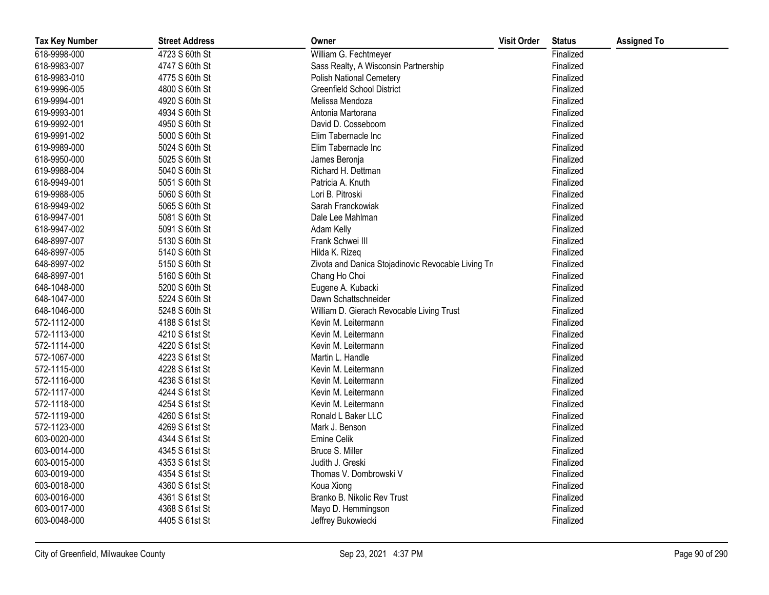| <b>Tax Key Number</b> | <b>Street Address</b> | Owner                                               | <b>Visit Order</b> | <b>Status</b> | <b>Assigned To</b> |
|-----------------------|-----------------------|-----------------------------------------------------|--------------------|---------------|--------------------|
| 618-9998-000          | 4723 S 60th St        | William G. Fechtmeyer                               |                    | Finalized     |                    |
| 618-9983-007          | 4747 S 60th St        | Sass Realty, A Wisconsin Partnership                |                    | Finalized     |                    |
| 618-9983-010          | 4775 S 60th St        | <b>Polish National Cemetery</b>                     |                    | Finalized     |                    |
| 619-9996-005          | 4800 S 60th St        | <b>Greenfield School District</b>                   |                    | Finalized     |                    |
| 619-9994-001          | 4920 S 60th St        | Melissa Mendoza                                     |                    | Finalized     |                    |
| 619-9993-001          | 4934 S 60th St        | Antonia Martorana                                   |                    | Finalized     |                    |
| 619-9992-001          | 4950 S 60th St        | David D. Cosseboom                                  |                    | Finalized     |                    |
| 619-9991-002          | 5000 S 60th St        | Elim Tabernacle Inc                                 |                    | Finalized     |                    |
| 619-9989-000          | 5024 S 60th St        | Elim Tabernacle Inc                                 |                    | Finalized     |                    |
| 618-9950-000          | 5025 S 60th St        | James Beronja                                       |                    | Finalized     |                    |
| 619-9988-004          | 5040 S 60th St        | Richard H. Dettman                                  |                    | Finalized     |                    |
| 618-9949-001          | 5051 S 60th St        | Patricia A. Knuth                                   |                    | Finalized     |                    |
| 619-9988-005          | 5060 S 60th St        | Lori B. Pitroski                                    |                    | Finalized     |                    |
| 618-9949-002          | 5065 S 60th St        | Sarah Franckowiak                                   |                    | Finalized     |                    |
| 618-9947-001          | 5081 S 60th St        | Dale Lee Mahlman                                    |                    | Finalized     |                    |
| 618-9947-002          | 5091 S 60th St        | Adam Kelly                                          |                    | Finalized     |                    |
| 648-8997-007          | 5130 S 60th St        | Frank Schwei III                                    |                    | Finalized     |                    |
| 648-8997-005          | 5140 S 60th St        | Hilda K. Rizeq                                      |                    | Finalized     |                    |
| 648-8997-002          | 5150 S 60th St        | Zivota and Danica Stojadinovic Revocable Living Tru |                    | Finalized     |                    |
| 648-8997-001          | 5160 S 60th St        | Chang Ho Choi                                       |                    | Finalized     |                    |
| 648-1048-000          | 5200 S 60th St        | Eugene A. Kubacki                                   |                    | Finalized     |                    |
| 648-1047-000          | 5224 S 60th St        | Dawn Schattschneider                                |                    | Finalized     |                    |
| 648-1046-000          | 5248 S 60th St        | William D. Gierach Revocable Living Trust           |                    | Finalized     |                    |
| 572-1112-000          | 4188 S 61st St        | Kevin M. Leitermann                                 |                    | Finalized     |                    |
| 572-1113-000          | 4210 S 61st St        | Kevin M. Leitermann                                 |                    | Finalized     |                    |
| 572-1114-000          | 4220 S 61st St        | Kevin M. Leitermann                                 |                    | Finalized     |                    |
| 572-1067-000          | 4223 S 61st St        | Martin L. Handle                                    |                    | Finalized     |                    |
| 572-1115-000          | 4228 S 61st St        | Kevin M. Leitermann                                 |                    | Finalized     |                    |
| 572-1116-000          | 4236 S 61st St        | Kevin M. Leitermann                                 |                    | Finalized     |                    |
| 572-1117-000          | 4244 S 61st St        | Kevin M. Leitermann                                 |                    | Finalized     |                    |
| 572-1118-000          | 4254 S 61st St        | Kevin M. Leitermann                                 |                    | Finalized     |                    |
| 572-1119-000          | 4260 S 61st St        | Ronald L Baker LLC                                  |                    | Finalized     |                    |
| 572-1123-000          | 4269 S 61st St        | Mark J. Benson                                      |                    | Finalized     |                    |
| 603-0020-000          | 4344 S 61st St        | Emine Celik                                         |                    | Finalized     |                    |
| 603-0014-000          | 4345 S 61st St        | Bruce S. Miller                                     |                    | Finalized     |                    |
| 603-0015-000          | 4353 S 61st St        | Judith J. Greski                                    |                    | Finalized     |                    |
| 603-0019-000          | 4354 S 61st St        | Thomas V. Dombrowski V                              |                    | Finalized     |                    |
| 603-0018-000          | 4360 S 61st St        | Koua Xiong                                          |                    | Finalized     |                    |
| 603-0016-000          | 4361 S 61st St        | Branko B. Nikolic Rev Trust                         |                    | Finalized     |                    |
| 603-0017-000          | 4368 S 61st St        | Mayo D. Hemmingson                                  |                    | Finalized     |                    |
| 603-0048-000          | 4405 S 61st St        | Jeffrey Bukowiecki                                  |                    | Finalized     |                    |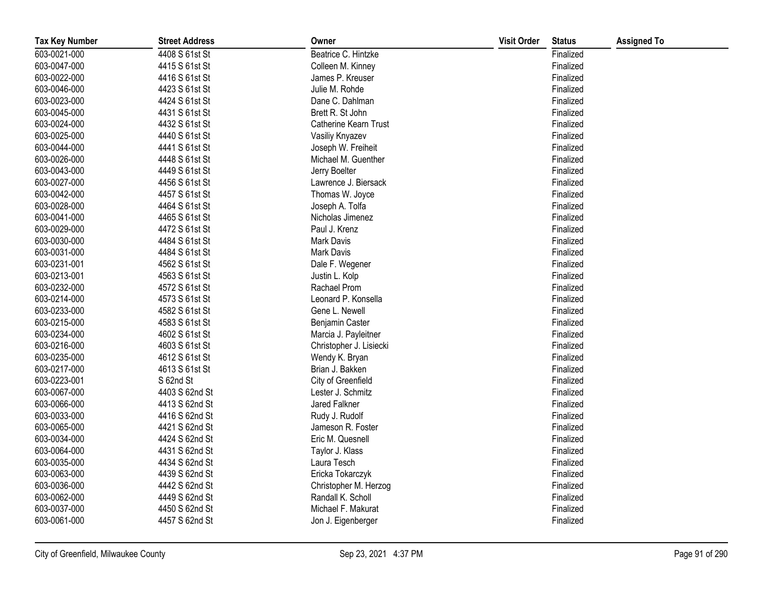| <b>Tax Key Number</b> | <b>Street Address</b> | Owner                   | <b>Visit Order</b> | <b>Status</b> | <b>Assigned To</b> |
|-----------------------|-----------------------|-------------------------|--------------------|---------------|--------------------|
| 603-0021-000          | 4408 S 61st St        | Beatrice C. Hintzke     |                    | Finalized     |                    |
| 603-0047-000          | 4415 S 61st St        | Colleen M. Kinney       |                    | Finalized     |                    |
| 603-0022-000          | 4416 S 61st St        | James P. Kreuser        |                    | Finalized     |                    |
| 603-0046-000          | 4423 S 61st St        | Julie M. Rohde          |                    | Finalized     |                    |
| 603-0023-000          | 4424 S 61st St        | Dane C. Dahlman         |                    | Finalized     |                    |
| 603-0045-000          | 4431 S 61st St        | Brett R. St John        |                    | Finalized     |                    |
| 603-0024-000          | 4432 S 61st St        | Catherine Kearn Trust   |                    | Finalized     |                    |
| 603-0025-000          | 4440 S 61st St        | Vasiliy Knyazev         |                    | Finalized     |                    |
| 603-0044-000          | 4441 S 61st St        | Joseph W. Freiheit      |                    | Finalized     |                    |
| 603-0026-000          | 4448 S 61st St        | Michael M. Guenther     |                    | Finalized     |                    |
| 603-0043-000          | 4449 S 61st St        | Jerry Boelter           |                    | Finalized     |                    |
| 603-0027-000          | 4456 S 61st St        | Lawrence J. Biersack    |                    | Finalized     |                    |
| 603-0042-000          | 4457 S 61st St        | Thomas W. Joyce         |                    | Finalized     |                    |
| 603-0028-000          | 4464 S 61st St        | Joseph A. Tolfa         |                    | Finalized     |                    |
| 603-0041-000          | 4465 S 61st St        | Nicholas Jimenez        |                    | Finalized     |                    |
| 603-0029-000          | 4472 S 61st St        | Paul J. Krenz           |                    | Finalized     |                    |
| 603-0030-000          | 4484 S 61st St        | Mark Davis              |                    | Finalized     |                    |
| 603-0031-000          | 4484 S 61st St        | <b>Mark Davis</b>       |                    | Finalized     |                    |
| 603-0231-001          | 4562 S 61st St        | Dale F. Wegener         |                    | Finalized     |                    |
| 603-0213-001          | 4563 S 61st St        | Justin L. Kolp          |                    | Finalized     |                    |
| 603-0232-000          | 4572 S 61st St        | Rachael Prom            |                    | Finalized     |                    |
| 603-0214-000          | 4573 S 61st St        | Leonard P. Konsella     |                    | Finalized     |                    |
| 603-0233-000          | 4582 S 61st St        | Gene L. Newell          |                    | Finalized     |                    |
| 603-0215-000          | 4583 S 61st St        | Benjamin Caster         |                    | Finalized     |                    |
| 603-0234-000          | 4602 S 61st St        | Marcia J. Payleitner    |                    | Finalized     |                    |
| 603-0216-000          | 4603 S 61st St        | Christopher J. Lisiecki |                    | Finalized     |                    |
| 603-0235-000          | 4612 S 61st St        | Wendy K. Bryan          |                    | Finalized     |                    |
| 603-0217-000          | 4613 S 61st St        | Brian J. Bakken         |                    | Finalized     |                    |
| 603-0223-001          | S 62nd St             | City of Greenfield      |                    | Finalized     |                    |
| 603-0067-000          | 4403 S 62nd St        | Lester J. Schmitz       |                    | Finalized     |                    |
| 603-0066-000          | 4413 S 62nd St        | Jared Falkner           |                    | Finalized     |                    |
| 603-0033-000          | 4416 S 62nd St        | Rudy J. Rudolf          |                    | Finalized     |                    |
| 603-0065-000          | 4421 S 62nd St        | Jameson R. Foster       |                    | Finalized     |                    |
| 603-0034-000          | 4424 S 62nd St        | Eric M. Quesnell        |                    | Finalized     |                    |
| 603-0064-000          | 4431 S 62nd St        | Taylor J. Klass         |                    | Finalized     |                    |
| 603-0035-000          | 4434 S 62nd St        | Laura Tesch             |                    | Finalized     |                    |
| 603-0063-000          | 4439 S 62nd St        | Ericka Tokarczyk        |                    | Finalized     |                    |
| 603-0036-000          | 4442 S 62nd St        | Christopher M. Herzog   |                    | Finalized     |                    |
| 603-0062-000          | 4449 S 62nd St        | Randall K. Scholl       |                    | Finalized     |                    |
| 603-0037-000          | 4450 S 62nd St        | Michael F. Makurat      |                    | Finalized     |                    |
| 603-0061-000          | 4457 S 62nd St        | Jon J. Eigenberger      |                    | Finalized     |                    |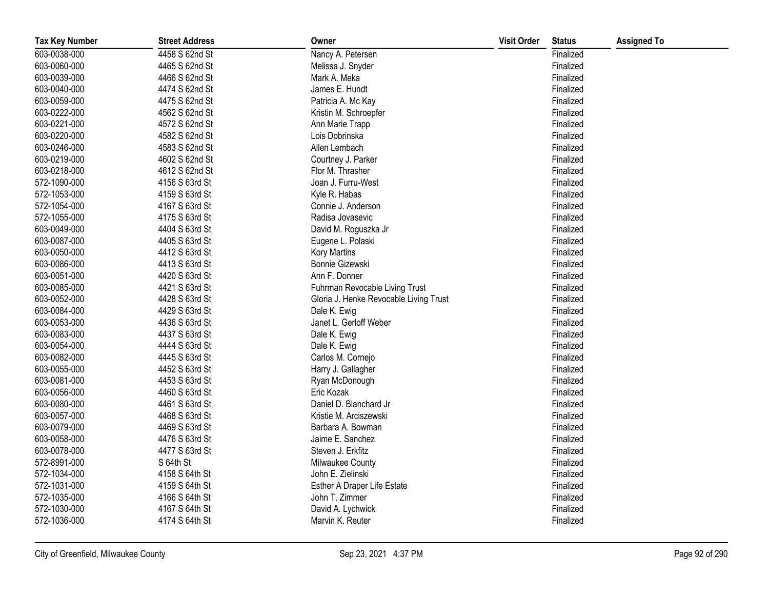| <b>Tax Key Number</b> | <b>Street Address</b> | Owner                                  | <b>Visit Order</b> | <b>Status</b> | <b>Assigned To</b> |
|-----------------------|-----------------------|----------------------------------------|--------------------|---------------|--------------------|
| 603-0038-000          | 4458 S 62nd St        | Nancy A. Petersen                      |                    | Finalized     |                    |
| 603-0060-000          | 4465 S 62nd St        | Melissa J. Snyder                      |                    | Finalized     |                    |
| 603-0039-000          | 4466 S 62nd St        | Mark A. Meka                           |                    | Finalized     |                    |
| 603-0040-000          | 4474 S 62nd St        | James E. Hundt                         |                    | Finalized     |                    |
| 603-0059-000          | 4475 S 62nd St        | Patricia A. Mc Kay                     |                    | Finalized     |                    |
| 603-0222-000          | 4562 S 62nd St        | Kristin M. Schroepfer                  |                    | Finalized     |                    |
| 603-0221-000          | 4572 S 62nd St        | Ann Marie Trapp                        |                    | Finalized     |                    |
| 603-0220-000          | 4582 S 62nd St        | Lois Dobrinska                         |                    | Finalized     |                    |
| 603-0246-000          | 4583 S 62nd St        | Allen Lembach                          |                    | Finalized     |                    |
| 603-0219-000          | 4602 S 62nd St        | Courtney J. Parker                     |                    | Finalized     |                    |
| 603-0218-000          | 4612 S 62nd St        | Flor M. Thrasher                       |                    | Finalized     |                    |
| 572-1090-000          | 4156 S 63rd St        | Joan J. Furru-West                     |                    | Finalized     |                    |
| 572-1053-000          | 4159 S 63rd St        | Kyle R. Habas                          |                    | Finalized     |                    |
| 572-1054-000          | 4167 S 63rd St        | Connie J. Anderson                     |                    | Finalized     |                    |
| 572-1055-000          | 4175 S 63rd St        | Radisa Jovasevic                       |                    | Finalized     |                    |
| 603-0049-000          | 4404 S 63rd St        | David M. Roguszka Jr                   |                    | Finalized     |                    |
| 603-0087-000          | 4405 S 63rd St        | Eugene L. Polaski                      |                    | Finalized     |                    |
| 603-0050-000          | 4412 S 63rd St        | Kory Martins                           |                    | Finalized     |                    |
| 603-0086-000          | 4413 S 63rd St        | Bonnie Gizewski                        |                    | Finalized     |                    |
| 603-0051-000          | 4420 S 63rd St        | Ann F. Donner                          |                    | Finalized     |                    |
| 603-0085-000          | 4421 S 63rd St        | Fuhrman Revocable Living Trust         |                    | Finalized     |                    |
| 603-0052-000          | 4428 S 63rd St        | Gloria J. Henke Revocable Living Trust |                    | Finalized     |                    |
| 603-0084-000          | 4429 S 63rd St        | Dale K. Ewig                           |                    | Finalized     |                    |
| 603-0053-000          | 4436 S 63rd St        | Janet L. Gerloff Weber                 |                    | Finalized     |                    |
| 603-0083-000          | 4437 S 63rd St        | Dale K. Ewig                           |                    | Finalized     |                    |
| 603-0054-000          | 4444 S 63rd St        | Dale K. Ewig                           |                    | Finalized     |                    |
| 603-0082-000          | 4445 S 63rd St        | Carlos M. Cornejo                      |                    | Finalized     |                    |
| 603-0055-000          | 4452 S 63rd St        | Harry J. Gallagher                     |                    | Finalized     |                    |
| 603-0081-000          | 4453 S 63rd St        | Ryan McDonough                         |                    | Finalized     |                    |
| 603-0056-000          | 4460 S 63rd St        | Eric Kozak                             |                    | Finalized     |                    |
| 603-0080-000          | 4461 S 63rd St        | Daniel D. Blanchard Jr                 |                    | Finalized     |                    |
| 603-0057-000          | 4468 S 63rd St        | Kristie M. Arciszewski                 |                    | Finalized     |                    |
| 603-0079-000          | 4469 S 63rd St        | Barbara A. Bowman                      |                    | Finalized     |                    |
| 603-0058-000          | 4476 S 63rd St        | Jaime E. Sanchez                       |                    | Finalized     |                    |
| 603-0078-000          | 4477 S 63rd St        | Steven J. Erkfitz                      |                    | Finalized     |                    |
| 572-8991-000          | S 64th St             | Milwaukee County                       |                    | Finalized     |                    |
| 572-1034-000          | 4158 S 64th St        | John E. Zielinski                      |                    | Finalized     |                    |
| 572-1031-000          | 4159 S 64th St        | Esther A Draper Life Estate            |                    | Finalized     |                    |
| 572-1035-000          | 4166 S 64th St        | John T. Zimmer                         |                    | Finalized     |                    |
| 572-1030-000          | 4167 S 64th St        | David A. Lychwick                      |                    | Finalized     |                    |
| 572-1036-000          | 4174 S 64th St        | Marvin K. Reuter                       |                    | Finalized     |                    |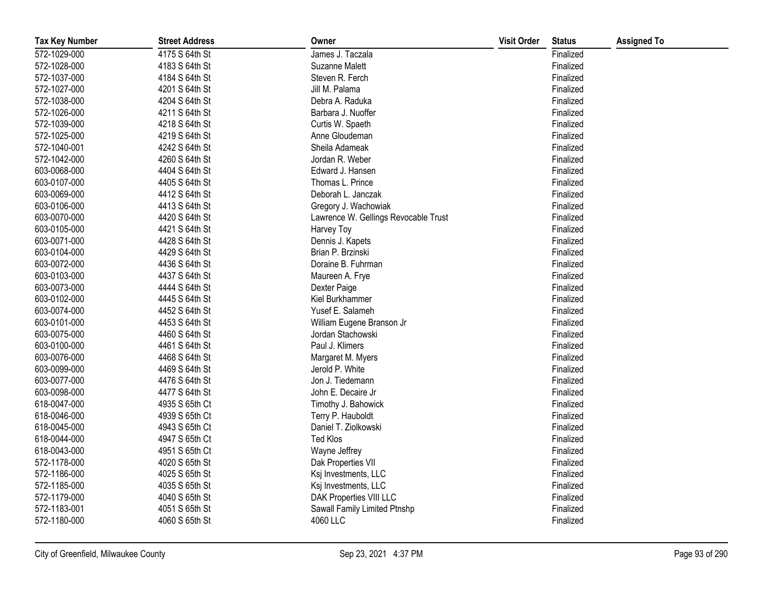| <b>Tax Key Number</b> | <b>Street Address</b> | Owner                                | <b>Visit Order</b> | <b>Status</b> | <b>Assigned To</b> |
|-----------------------|-----------------------|--------------------------------------|--------------------|---------------|--------------------|
| 572-1029-000          | 4175 S 64th St        | James J. Taczala                     |                    | Finalized     |                    |
| 572-1028-000          | 4183 S 64th St        | Suzanne Malett                       |                    | Finalized     |                    |
| 572-1037-000          | 4184 S 64th St        | Steven R. Ferch                      |                    | Finalized     |                    |
| 572-1027-000          | 4201 S 64th St        | Jill M. Palama                       |                    | Finalized     |                    |
| 572-1038-000          | 4204 S 64th St        | Debra A. Raduka                      |                    | Finalized     |                    |
| 572-1026-000          | 4211 S 64th St        | Barbara J. Nuoffer                   |                    | Finalized     |                    |
| 572-1039-000          | 4218 S 64th St        | Curtis W. Spaeth                     |                    | Finalized     |                    |
| 572-1025-000          | 4219 S 64th St        | Anne Gloudeman                       |                    | Finalized     |                    |
| 572-1040-001          | 4242 S 64th St        | Sheila Adameak                       |                    | Finalized     |                    |
| 572-1042-000          | 4260 S 64th St        | Jordan R. Weber                      |                    | Finalized     |                    |
| 603-0068-000          | 4404 S 64th St        | Edward J. Hansen                     |                    | Finalized     |                    |
| 603-0107-000          | 4405 S 64th St        | Thomas L. Prince                     |                    | Finalized     |                    |
| 603-0069-000          | 4412 S 64th St        | Deborah L. Janczak                   |                    | Finalized     |                    |
| 603-0106-000          | 4413 S 64th St        | Gregory J. Wachowiak                 |                    | Finalized     |                    |
| 603-0070-000          | 4420 S 64th St        | Lawrence W. Gellings Revocable Trust |                    | Finalized     |                    |
| 603-0105-000          | 4421 S 64th St        | Harvey Toy                           |                    | Finalized     |                    |
| 603-0071-000          | 4428 S 64th St        | Dennis J. Kapets                     |                    | Finalized     |                    |
| 603-0104-000          | 4429 S 64th St        | Brian P. Brzinski                    |                    | Finalized     |                    |
| 603-0072-000          | 4436 S 64th St        | Doraine B. Fuhrman                   |                    | Finalized     |                    |
| 603-0103-000          | 4437 S 64th St        | Maureen A. Frye                      |                    | Finalized     |                    |
| 603-0073-000          | 4444 S 64th St        | Dexter Paige                         |                    | Finalized     |                    |
| 603-0102-000          | 4445 S 64th St        | Kiel Burkhammer                      |                    | Finalized     |                    |
| 603-0074-000          | 4452 S 64th St        | Yusef E. Salameh                     |                    | Finalized     |                    |
| 603-0101-000          | 4453 S 64th St        | William Eugene Branson Jr            |                    | Finalized     |                    |
| 603-0075-000          | 4460 S 64th St        | Jordan Stachowski                    |                    | Finalized     |                    |
| 603-0100-000          | 4461 S 64th St        | Paul J. Klimers                      |                    | Finalized     |                    |
| 603-0076-000          | 4468 S 64th St        | Margaret M. Myers                    |                    | Finalized     |                    |
| 603-0099-000          | 4469 S 64th St        | Jerold P. White                      |                    | Finalized     |                    |
| 603-0077-000          | 4476 S 64th St        | Jon J. Tiedemann                     |                    | Finalized     |                    |
| 603-0098-000          | 4477 S 64th St        | John E. Decaire Jr                   |                    | Finalized     |                    |
| 618-0047-000          | 4935 S 65th Ct        | Timothy J. Bahowick                  |                    | Finalized     |                    |
| 618-0046-000          | 4939 S 65th Ct        | Terry P. Hauboldt                    |                    | Finalized     |                    |
| 618-0045-000          | 4943 S 65th Ct        | Daniel T. Ziolkowski                 |                    | Finalized     |                    |
| 618-0044-000          | 4947 S 65th Ct        | Ted Klos                             |                    | Finalized     |                    |
| 618-0043-000          | 4951 S 65th Ct        | Wayne Jeffrey                        |                    | Finalized     |                    |
| 572-1178-000          | 4020 S 65th St        | Dak Properties VII                   |                    | Finalized     |                    |
| 572-1186-000          | 4025 S 65th St        | Ksj Investments, LLC                 |                    | Finalized     |                    |
| 572-1185-000          | 4035 S 65th St        | Ksj Investments, LLC                 |                    | Finalized     |                    |
| 572-1179-000          | 4040 S 65th St        | DAK Properties VIII LLC              |                    | Finalized     |                    |
| 572-1183-001          | 4051 S 65th St        | Sawall Family Limited Ptnshp         |                    | Finalized     |                    |
| 572-1180-000          | 4060 S 65th St        | 4060 LLC                             |                    | Finalized     |                    |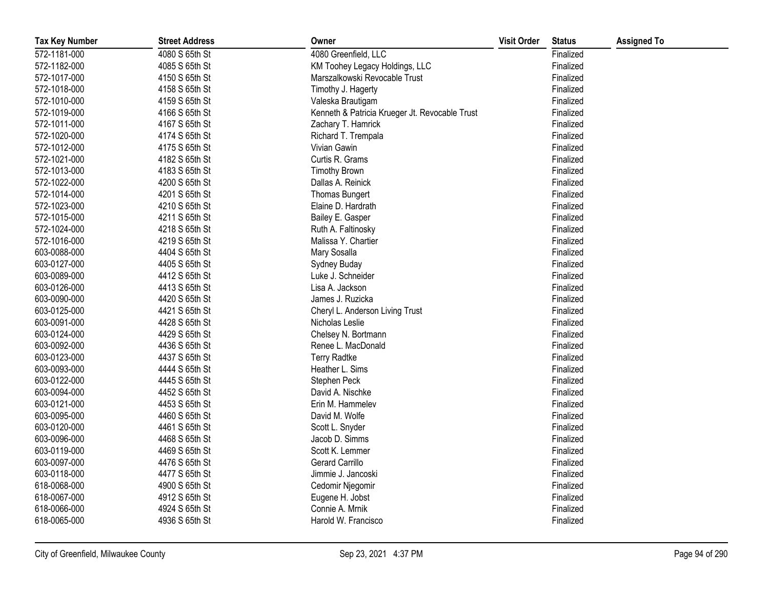| <b>Tax Key Number</b> | <b>Street Address</b> | Owner                                          | <b>Visit Order</b> | <b>Status</b> | <b>Assigned To</b> |
|-----------------------|-----------------------|------------------------------------------------|--------------------|---------------|--------------------|
| 572-1181-000          | 4080 S 65th St        | 4080 Greenfield, LLC                           |                    | Finalized     |                    |
| 572-1182-000          | 4085 S 65th St        | KM Toohey Legacy Holdings, LLC                 |                    | Finalized     |                    |
| 572-1017-000          | 4150 S 65th St        | Marszalkowski Revocable Trust                  |                    | Finalized     |                    |
| 572-1018-000          | 4158 S 65th St        | Timothy J. Hagerty                             |                    | Finalized     |                    |
| 572-1010-000          | 4159 S 65th St        | Valeska Brautigam                              |                    | Finalized     |                    |
| 572-1019-000          | 4166 S 65th St        | Kenneth & Patricia Krueger Jt. Revocable Trust |                    | Finalized     |                    |
| 572-1011-000          | 4167 S 65th St        | Zachary T. Hamrick                             |                    | Finalized     |                    |
| 572-1020-000          | 4174 S 65th St        | Richard T. Trempala                            |                    | Finalized     |                    |
| 572-1012-000          | 4175 S 65th St        | Vivian Gawin                                   |                    | Finalized     |                    |
| 572-1021-000          | 4182 S 65th St        | Curtis R. Grams                                |                    | Finalized     |                    |
| 572-1013-000          | 4183 S 65th St        | <b>Timothy Brown</b>                           |                    | Finalized     |                    |
| 572-1022-000          | 4200 S 65th St        | Dallas A. Reinick                              |                    | Finalized     |                    |
| 572-1014-000          | 4201 S 65th St        | Thomas Bungert                                 |                    | Finalized     |                    |
| 572-1023-000          | 4210 S 65th St        | Elaine D. Hardrath                             |                    | Finalized     |                    |
| 572-1015-000          | 4211 S 65th St        | Bailey E. Gasper                               |                    | Finalized     |                    |
| 572-1024-000          | 4218 S 65th St        | Ruth A. Faltinosky                             |                    | Finalized     |                    |
| 572-1016-000          | 4219 S 65th St        | Malissa Y. Chartier                            |                    | Finalized     |                    |
| 603-0088-000          | 4404 S 65th St        | Mary Sosalla                                   |                    | Finalized     |                    |
| 603-0127-000          | 4405 S 65th St        | Sydney Buday                                   |                    | Finalized     |                    |
| 603-0089-000          | 4412 S 65th St        | Luke J. Schneider                              |                    | Finalized     |                    |
| 603-0126-000          | 4413 S 65th St        | Lisa A. Jackson                                |                    | Finalized     |                    |
| 603-0090-000          | 4420 S 65th St        | James J. Ruzicka                               |                    | Finalized     |                    |
| 603-0125-000          | 4421 S 65th St        | Cheryl L. Anderson Living Trust                |                    | Finalized     |                    |
| 603-0091-000          | 4428 S 65th St        | Nicholas Leslie                                |                    | Finalized     |                    |
| 603-0124-000          | 4429 S 65th St        | Chelsey N. Bortmann                            |                    | Finalized     |                    |
| 603-0092-000          | 4436 S 65th St        | Renee L. MacDonald                             |                    | Finalized     |                    |
| 603-0123-000          | 4437 S 65th St        | <b>Terry Radtke</b>                            |                    | Finalized     |                    |
| 603-0093-000          | 4444 S 65th St        | Heather L. Sims                                |                    | Finalized     |                    |
| 603-0122-000          | 4445 S 65th St        | Stephen Peck                                   |                    | Finalized     |                    |
| 603-0094-000          | 4452 S 65th St        | David A. Nischke                               |                    | Finalized     |                    |
| 603-0121-000          | 4453 S 65th St        | Erin M. Hammelev                               |                    | Finalized     |                    |
| 603-0095-000          | 4460 S 65th St        | David M. Wolfe                                 |                    | Finalized     |                    |
| 603-0120-000          | 4461 S 65th St        | Scott L. Snyder                                |                    | Finalized     |                    |
| 603-0096-000          | 4468 S 65th St        | Jacob D. Simms                                 |                    | Finalized     |                    |
| 603-0119-000          | 4469 S 65th St        | Scott K. Lemmer                                |                    | Finalized     |                    |
| 603-0097-000          | 4476 S 65th St        | Gerard Carrillo                                |                    | Finalized     |                    |
| 603-0118-000          | 4477 S 65th St        | Jimmie J. Jancoski                             |                    | Finalized     |                    |
| 618-0068-000          | 4900 S 65th St        | Cedomir Njegomir                               |                    | Finalized     |                    |
| 618-0067-000          | 4912 S 65th St        | Eugene H. Jobst                                |                    | Finalized     |                    |
| 618-0066-000          | 4924 S 65th St        | Connie A. Mrnik                                |                    | Finalized     |                    |
| 618-0065-000          | 4936 S 65th St        | Harold W. Francisco                            |                    | Finalized     |                    |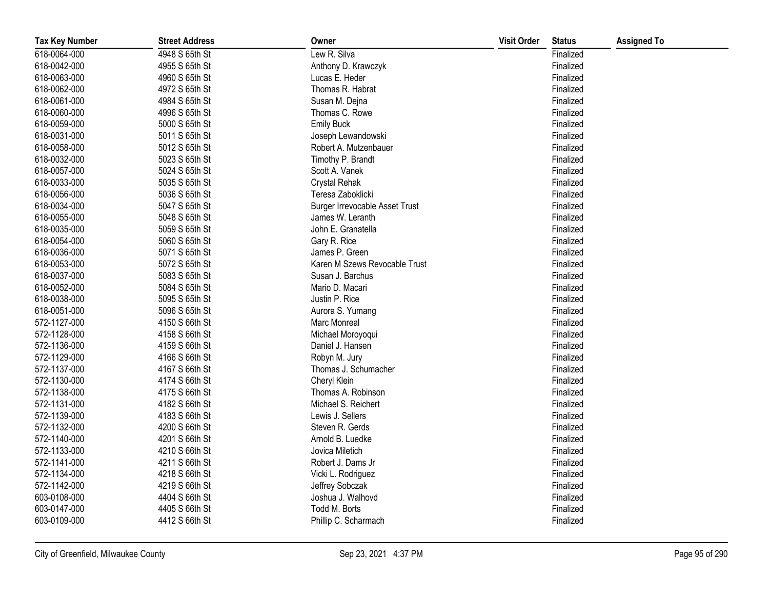| <b>Tax Key Number</b> | <b>Street Address</b> | Owner                                 | <b>Visit Order</b> | <b>Status</b> | <b>Assigned To</b> |
|-----------------------|-----------------------|---------------------------------------|--------------------|---------------|--------------------|
| 618-0064-000          | 4948 S 65th St        | Lew R. Silva                          |                    | Finalized     |                    |
| 618-0042-000          | 4955 S 65th St        | Anthony D. Krawczyk                   |                    | Finalized     |                    |
| 618-0063-000          | 4960 S 65th St        | Lucas E. Heder                        |                    | Finalized     |                    |
| 618-0062-000          | 4972 S 65th St        | Thomas R. Habrat                      |                    | Finalized     |                    |
| 618-0061-000          | 4984 S 65th St        | Susan M. Dejna                        |                    | Finalized     |                    |
| 618-0060-000          | 4996 S 65th St        | Thomas C. Rowe                        |                    | Finalized     |                    |
| 618-0059-000          | 5000 S 65th St        | <b>Emily Buck</b>                     |                    | Finalized     |                    |
| 618-0031-000          | 5011 S 65th St        | Joseph Lewandowski                    |                    | Finalized     |                    |
| 618-0058-000          | 5012 S 65th St        | Robert A. Mutzenbauer                 |                    | Finalized     |                    |
| 618-0032-000          | 5023 S 65th St        | Timothy P. Brandt                     |                    | Finalized     |                    |
| 618-0057-000          | 5024 S 65th St        | Scott A. Vanek                        |                    | Finalized     |                    |
| 618-0033-000          | 5035 S 65th St        | <b>Crystal Rehak</b>                  |                    | Finalized     |                    |
| 618-0056-000          | 5036 S 65th St        | Teresa Zaboklicki                     |                    | Finalized     |                    |
| 618-0034-000          | 5047 S 65th St        | <b>Burger Irrevocable Asset Trust</b> |                    | Finalized     |                    |
| 618-0055-000          | 5048 S 65th St        | James W. Leranth                      |                    | Finalized     |                    |
| 618-0035-000          | 5059 S 65th St        | John E. Granatella                    |                    | Finalized     |                    |
| 618-0054-000          | 5060 S 65th St        | Gary R. Rice                          |                    | Finalized     |                    |
| 618-0036-000          | 5071 S 65th St        | James P. Green                        |                    | Finalized     |                    |
| 618-0053-000          | 5072 S 65th St        | Karen M Szews Revocable Trust         |                    | Finalized     |                    |
| 618-0037-000          | 5083 S 65th St        | Susan J. Barchus                      |                    | Finalized     |                    |
| 618-0052-000          | 5084 S 65th St        | Mario D. Macari                       |                    | Finalized     |                    |
| 618-0038-000          | 5095 S 65th St        | Justin P. Rice                        |                    | Finalized     |                    |
| 618-0051-000          | 5096 S 65th St        | Aurora S. Yumang                      |                    | Finalized     |                    |
| 572-1127-000          | 4150 S 66th St        | Marc Monreal                          |                    | Finalized     |                    |
| 572-1128-000          | 4158 S 66th St        | Michael Moroyoqui                     |                    | Finalized     |                    |
| 572-1136-000          | 4159 S 66th St        | Daniel J. Hansen                      |                    | Finalized     |                    |
| 572-1129-000          | 4166 S 66th St        | Robyn M. Jury                         |                    | Finalized     |                    |
| 572-1137-000          | 4167 S 66th St        | Thomas J. Schumacher                  |                    | Finalized     |                    |
| 572-1130-000          | 4174 S 66th St        | Cheryl Klein                          |                    | Finalized     |                    |
| 572-1138-000          | 4175 S 66th St        | Thomas A. Robinson                    |                    | Finalized     |                    |
| 572-1131-000          | 4182 S 66th St        | Michael S. Reichert                   |                    | Finalized     |                    |
| 572-1139-000          | 4183 S 66th St        | Lewis J. Sellers                      |                    | Finalized     |                    |
| 572-1132-000          | 4200 S 66th St        | Steven R. Gerds                       |                    | Finalized     |                    |
| 572-1140-000          | 4201 S 66th St        | Arnold B. Luedke                      |                    | Finalized     |                    |
| 572-1133-000          | 4210 S 66th St        | Jovica Miletich                       |                    | Finalized     |                    |
| 572-1141-000          | 4211 S 66th St        | Robert J. Dams Jr                     |                    | Finalized     |                    |
| 572-1134-000          | 4218 S 66th St        | Vicki L. Rodriguez                    |                    | Finalized     |                    |
| 572-1142-000          | 4219 S 66th St        | Jeffrey Sobczak                       |                    | Finalized     |                    |
| 603-0108-000          | 4404 S 66th St        | Joshua J. Walhovd                     |                    | Finalized     |                    |
| 603-0147-000          | 4405 S 66th St        | Todd M. Borts                         |                    | Finalized     |                    |
| 603-0109-000          | 4412 S 66th St        | Phillip C. Scharmach                  |                    | Finalized     |                    |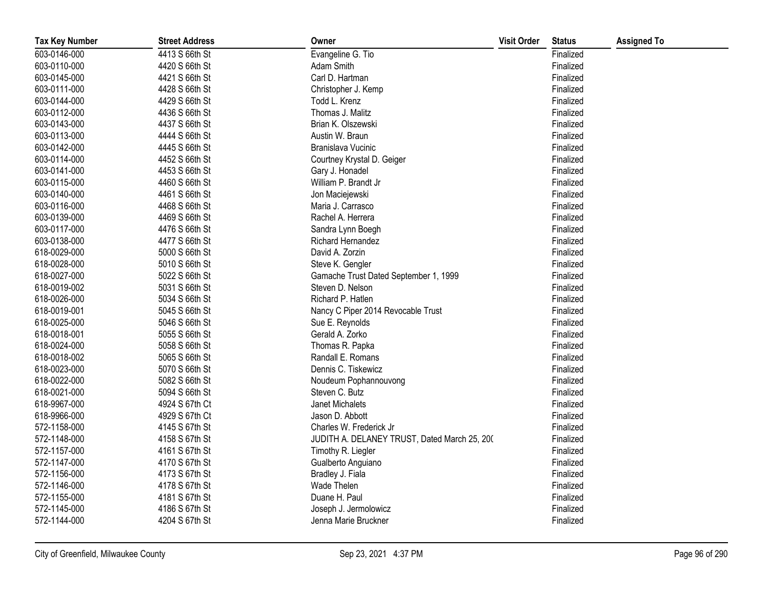| <b>Tax Key Number</b> | <b>Street Address</b> | Owner                                        | <b>Visit Order</b> | <b>Status</b> | <b>Assigned To</b> |
|-----------------------|-----------------------|----------------------------------------------|--------------------|---------------|--------------------|
| 603-0146-000          | 4413 S 66th St        | Evangeline G. Tio                            |                    | Finalized     |                    |
| 603-0110-000          | 4420 S 66th St        | Adam Smith                                   |                    | Finalized     |                    |
| 603-0145-000          | 4421 S 66th St        | Carl D. Hartman                              |                    | Finalized     |                    |
| 603-0111-000          | 4428 S 66th St        | Christopher J. Kemp                          |                    | Finalized     |                    |
| 603-0144-000          | 4429 S 66th St        | Todd L. Krenz                                |                    | Finalized     |                    |
| 603-0112-000          | 4436 S 66th St        | Thomas J. Malitz                             |                    | Finalized     |                    |
| 603-0143-000          | 4437 S 66th St        | Brian K. Olszewski                           |                    | Finalized     |                    |
| 603-0113-000          | 4444 S 66th St        | Austin W. Braun                              |                    | Finalized     |                    |
| 603-0142-000          | 4445 S 66th St        | Branislava Vucinic                           |                    | Finalized     |                    |
| 603-0114-000          | 4452 S 66th St        | Courtney Krystal D. Geiger                   |                    | Finalized     |                    |
| 603-0141-000          | 4453 S 66th St        | Gary J. Honadel                              |                    | Finalized     |                    |
| 603-0115-000          | 4460 S 66th St        | William P. Brandt Jr                         |                    | Finalized     |                    |
| 603-0140-000          | 4461 S 66th St        | Jon Maciejewski                              |                    | Finalized     |                    |
| 603-0116-000          | 4468 S 66th St        | Maria J. Carrasco                            |                    | Finalized     |                    |
| 603-0139-000          | 4469 S 66th St        | Rachel A. Herrera                            |                    | Finalized     |                    |
| 603-0117-000          | 4476 S 66th St        | Sandra Lynn Boegh                            |                    | Finalized     |                    |
| 603-0138-000          | 4477 S 66th St        | Richard Hernandez                            |                    | Finalized     |                    |
| 618-0029-000          | 5000 S 66th St        | David A. Zorzin                              |                    | Finalized     |                    |
| 618-0028-000          | 5010 S 66th St        | Steve K. Gengler                             |                    | Finalized     |                    |
| 618-0027-000          | 5022 S 66th St        | Gamache Trust Dated September 1, 1999        |                    | Finalized     |                    |
| 618-0019-002          | 5031 S 66th St        | Steven D. Nelson                             |                    | Finalized     |                    |
| 618-0026-000          | 5034 S 66th St        | Richard P. Hatlen                            |                    | Finalized     |                    |
| 618-0019-001          | 5045 S 66th St        | Nancy C Piper 2014 Revocable Trust           |                    | Finalized     |                    |
| 618-0025-000          | 5046 S 66th St        | Sue E. Reynolds                              |                    | Finalized     |                    |
| 618-0018-001          | 5055 S 66th St        | Gerald A. Zorko                              |                    | Finalized     |                    |
| 618-0024-000          | 5058 S 66th St        | Thomas R. Papka                              |                    | Finalized     |                    |
| 618-0018-002          | 5065 S 66th St        | Randall E. Romans                            |                    | Finalized     |                    |
| 618-0023-000          | 5070 S 66th St        | Dennis C. Tiskewicz                          |                    | Finalized     |                    |
| 618-0022-000          | 5082 S 66th St        | Noudeum Pophannouvong                        |                    | Finalized     |                    |
| 618-0021-000          | 5094 S 66th St        | Steven C. Butz                               |                    | Finalized     |                    |
| 618-9967-000          | 4924 S 67th Ct        | Janet Michalets                              |                    | Finalized     |                    |
| 618-9966-000          | 4929 S 67th Ct        | Jason D. Abbott                              |                    | Finalized     |                    |
| 572-1158-000          | 4145 S 67th St        | Charles W. Frederick Jr                      |                    | Finalized     |                    |
| 572-1148-000          | 4158 S 67th St        | JUDITH A. DELANEY TRUST, Dated March 25, 200 |                    | Finalized     |                    |
| 572-1157-000          | 4161 S 67th St        | Timothy R. Liegler                           |                    | Finalized     |                    |
| 572-1147-000          | 4170 S 67th St        | Gualberto Anguiano                           |                    | Finalized     |                    |
| 572-1156-000          | 4173 S 67th St        | Bradley J. Fiala                             |                    | Finalized     |                    |
| 572-1146-000          | 4178 S 67th St        | Wade Thelen                                  |                    | Finalized     |                    |
| 572-1155-000          | 4181 S 67th St        | Duane H. Paul                                |                    | Finalized     |                    |
| 572-1145-000          | 4186 S 67th St        | Joseph J. Jermolowicz                        |                    | Finalized     |                    |
| 572-1144-000          | 4204 S 67th St        | Jenna Marie Bruckner                         |                    | Finalized     |                    |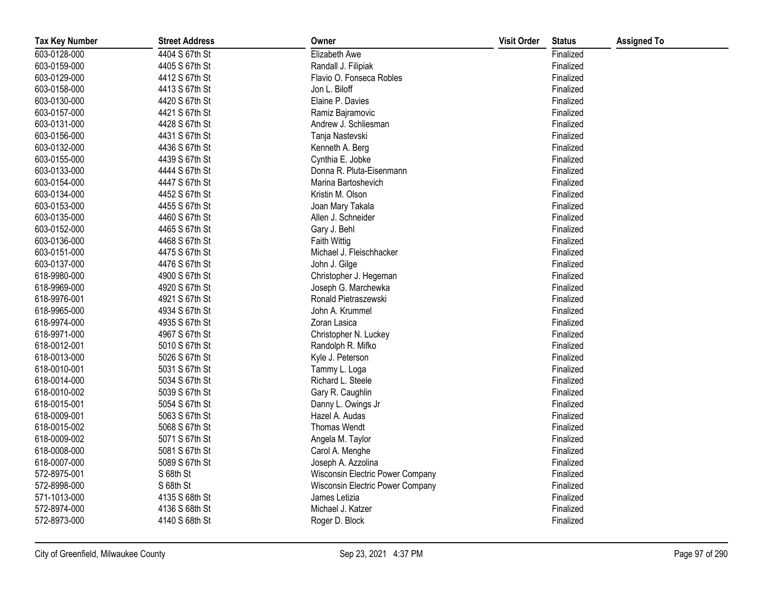| <b>Tax Key Number</b> | <b>Street Address</b> | Owner                            | <b>Visit Order</b> | <b>Status</b> | <b>Assigned To</b> |
|-----------------------|-----------------------|----------------------------------|--------------------|---------------|--------------------|
| 603-0128-000          | 4404 S 67th St        | Elizabeth Awe                    |                    | Finalized     |                    |
| 603-0159-000          | 4405 S 67th St        | Randall J. Filipiak              |                    | Finalized     |                    |
| 603-0129-000          | 4412 S 67th St        | Flavio O. Fonseca Robles         |                    | Finalized     |                    |
| 603-0158-000          | 4413 S 67th St        | Jon L. Biloff                    |                    | Finalized     |                    |
| 603-0130-000          | 4420 S 67th St        | Elaine P. Davies                 |                    | Finalized     |                    |
| 603-0157-000          | 4421 S 67th St        | Ramiz Bajramovic                 |                    | Finalized     |                    |
| 603-0131-000          | 4428 S 67th St        | Andrew J. Schliesman             |                    | Finalized     |                    |
| 603-0156-000          | 4431 S 67th St        | Tanja Nastevski                  |                    | Finalized     |                    |
| 603-0132-000          | 4436 S 67th St        | Kenneth A. Berg                  |                    | Finalized     |                    |
| 603-0155-000          | 4439 S 67th St        | Cynthia E. Jobke                 |                    | Finalized     |                    |
| 603-0133-000          | 4444 S 67th St        | Donna R. Pluta-Eisenmann         |                    | Finalized     |                    |
| 603-0154-000          | 4447 S 67th St        | Marina Bartoshevich              |                    | Finalized     |                    |
| 603-0134-000          | 4452 S 67th St        | Kristin M. Olson                 |                    | Finalized     |                    |
| 603-0153-000          | 4455 S 67th St        | Joan Mary Takala                 |                    | Finalized     |                    |
| 603-0135-000          | 4460 S 67th St        | Allen J. Schneider               |                    | Finalized     |                    |
| 603-0152-000          | 4465 S 67th St        | Gary J. Behl                     |                    | Finalized     |                    |
| 603-0136-000          | 4468 S 67th St        | Faith Wittig                     |                    | Finalized     |                    |
| 603-0151-000          | 4475 S 67th St        | Michael J. Fleischhacker         |                    | Finalized     |                    |
| 603-0137-000          | 4476 S 67th St        | John J. Gilge                    |                    | Finalized     |                    |
| 618-9980-000          | 4900 S 67th St        | Christopher J. Hegeman           |                    | Finalized     |                    |
| 618-9969-000          | 4920 S 67th St        | Joseph G. Marchewka              |                    | Finalized     |                    |
| 618-9976-001          | 4921 S 67th St        | Ronald Pietraszewski             |                    | Finalized     |                    |
| 618-9965-000          | 4934 S 67th St        | John A. Krummel                  |                    | Finalized     |                    |
| 618-9974-000          | 4935 S 67th St        | Zoran Lasica                     |                    | Finalized     |                    |
| 618-9971-000          | 4967 S 67th St        | Christopher N. Luckey            |                    | Finalized     |                    |
| 618-0012-001          | 5010 S 67th St        | Randolph R. Mifko                |                    | Finalized     |                    |
| 618-0013-000          | 5026 S 67th St        | Kyle J. Peterson                 |                    | Finalized     |                    |
| 618-0010-001          | 5031 S 67th St        | Tammy L. Loga                    |                    | Finalized     |                    |
| 618-0014-000          | 5034 S 67th St        | Richard L. Steele                |                    | Finalized     |                    |
| 618-0010-002          | 5039 S 67th St        | Gary R. Caughlin                 |                    | Finalized     |                    |
| 618-0015-001          | 5054 S 67th St        | Danny L. Owings Jr               |                    | Finalized     |                    |
| 618-0009-001          | 5063 S 67th St        | Hazel A. Audas                   |                    | Finalized     |                    |
| 618-0015-002          | 5068 S 67th St        | Thomas Wendt                     |                    | Finalized     |                    |
| 618-0009-002          | 5071 S 67th St        | Angela M. Taylor                 |                    | Finalized     |                    |
| 618-0008-000          | 5081 S 67th St        | Carol A. Menghe                  |                    | Finalized     |                    |
| 618-0007-000          | 5089 S 67th St        | Joseph A. Azzolina               |                    | Finalized     |                    |
| 572-8975-001          | S 68th St             | Wisconsin Electric Power Company |                    | Finalized     |                    |
| 572-8998-000          | S 68th St             | Wisconsin Electric Power Company |                    | Finalized     |                    |
| 571-1013-000          | 4135 S 68th St        | James Letizia                    |                    | Finalized     |                    |
| 572-8974-000          | 4136 S 68th St        | Michael J. Katzer                |                    | Finalized     |                    |
| 572-8973-000          | 4140 S 68th St        | Roger D. Block                   |                    | Finalized     |                    |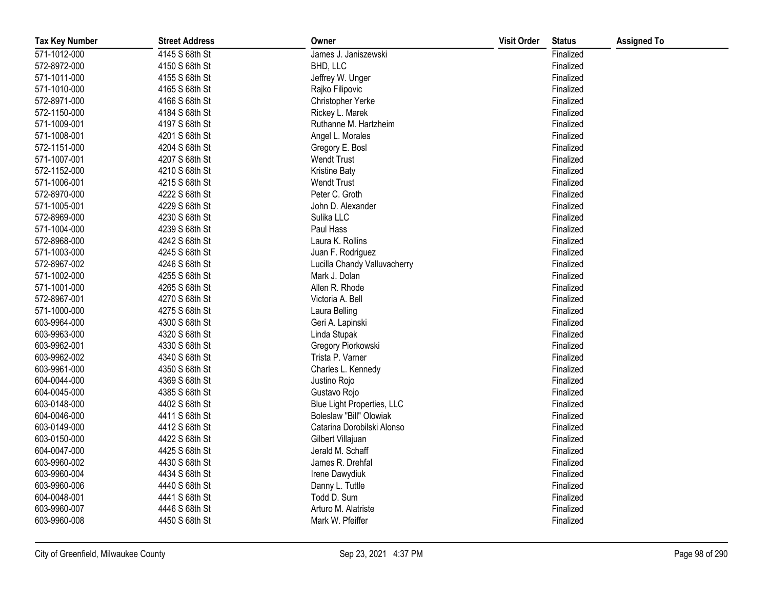| <b>Tax Key Number</b> | <b>Street Address</b> | Owner                        | <b>Visit Order</b> | <b>Status</b> | <b>Assigned To</b> |
|-----------------------|-----------------------|------------------------------|--------------------|---------------|--------------------|
| 571-1012-000          | 4145 S 68th St        | James J. Janiszewski         |                    | Finalized     |                    |
| 572-8972-000          | 4150 S 68th St        | BHD, LLC                     |                    | Finalized     |                    |
| 571-1011-000          | 4155 S 68th St        | Jeffrey W. Unger             |                    | Finalized     |                    |
| 571-1010-000          | 4165 S 68th St        | Rajko Filipovic              |                    | Finalized     |                    |
| 572-8971-000          | 4166 S 68th St        | Christopher Yerke            |                    | Finalized     |                    |
| 572-1150-000          | 4184 S 68th St        | Rickey L. Marek              |                    | Finalized     |                    |
| 571-1009-001          | 4197 S 68th St        | Ruthanne M. Hartzheim        |                    | Finalized     |                    |
| 571-1008-001          | 4201 S 68th St        | Angel L. Morales             |                    | Finalized     |                    |
| 572-1151-000          | 4204 S 68th St        | Gregory E. Bosl              |                    | Finalized     |                    |
| 571-1007-001          | 4207 S 68th St        | <b>Wendt Trust</b>           |                    | Finalized     |                    |
| 572-1152-000          | 4210 S 68th St        | <b>Kristine Baty</b>         |                    | Finalized     |                    |
| 571-1006-001          | 4215 S 68th St        | <b>Wendt Trust</b>           |                    | Finalized     |                    |
| 572-8970-000          | 4222 S 68th St        | Peter C. Groth               |                    | Finalized     |                    |
| 571-1005-001          | 4229 S 68th St        | John D. Alexander            |                    | Finalized     |                    |
| 572-8969-000          | 4230 S 68th St        | Sulika LLC                   |                    | Finalized     |                    |
| 571-1004-000          | 4239 S 68th St        | Paul Hass                    |                    | Finalized     |                    |
| 572-8968-000          | 4242 S 68th St        | Laura K. Rollins             |                    | Finalized     |                    |
| 571-1003-000          | 4245 S 68th St        | Juan F. Rodriguez            |                    | Finalized     |                    |
| 572-8967-002          | 4246 S 68th St        | Lucilla Chandy Valluvacherry |                    | Finalized     |                    |
| 571-1002-000          | 4255 S 68th St        | Mark J. Dolan                |                    | Finalized     |                    |
| 571-1001-000          | 4265 S 68th St        | Allen R. Rhode               |                    | Finalized     |                    |
| 572-8967-001          | 4270 S 68th St        | Victoria A. Bell             |                    | Finalized     |                    |
| 571-1000-000          | 4275 S 68th St        | Laura Belling                |                    | Finalized     |                    |
| 603-9964-000          | 4300 S 68th St        | Geri A. Lapinski             |                    | Finalized     |                    |
| 603-9963-000          | 4320 S 68th St        | Linda Stupak                 |                    | Finalized     |                    |
| 603-9962-001          | 4330 S 68th St        | Gregory Piorkowski           |                    | Finalized     |                    |
| 603-9962-002          | 4340 S 68th St        | Trista P. Varner             |                    | Finalized     |                    |
| 603-9961-000          | 4350 S 68th St        | Charles L. Kennedy           |                    | Finalized     |                    |
| 604-0044-000          | 4369 S 68th St        | Justino Rojo                 |                    | Finalized     |                    |
| 604-0045-000          | 4385 S 68th St        | Gustavo Rojo                 |                    | Finalized     |                    |
| 603-0148-000          | 4402 S 68th St        | Blue Light Properties, LLC   |                    | Finalized     |                    |
| 604-0046-000          | 4411 S 68th St        | Boleslaw "Bill" Olowiak      |                    | Finalized     |                    |
| 603-0149-000          | 4412 S 68th St        | Catarina Dorobilski Alonso   |                    | Finalized     |                    |
| 603-0150-000          | 4422 S 68th St        | Gilbert Villajuan            |                    | Finalized     |                    |
| 604-0047-000          | 4425 S 68th St        | Jerald M. Schaff             |                    | Finalized     |                    |
| 603-9960-002          | 4430 S 68th St        | James R. Drehfal             |                    | Finalized     |                    |
| 603-9960-004          | 4434 S 68th St        | Irene Dawydiuk               |                    | Finalized     |                    |
| 603-9960-006          | 4440 S 68th St        | Danny L. Tuttle              |                    | Finalized     |                    |
| 604-0048-001          | 4441 S 68th St        | Todd D. Sum                  |                    | Finalized     |                    |
| 603-9960-007          | 4446 S 68th St        | Arturo M. Alatriste          |                    | Finalized     |                    |
| 603-9960-008          | 4450 S 68th St        | Mark W. Pfeiffer             |                    | Finalized     |                    |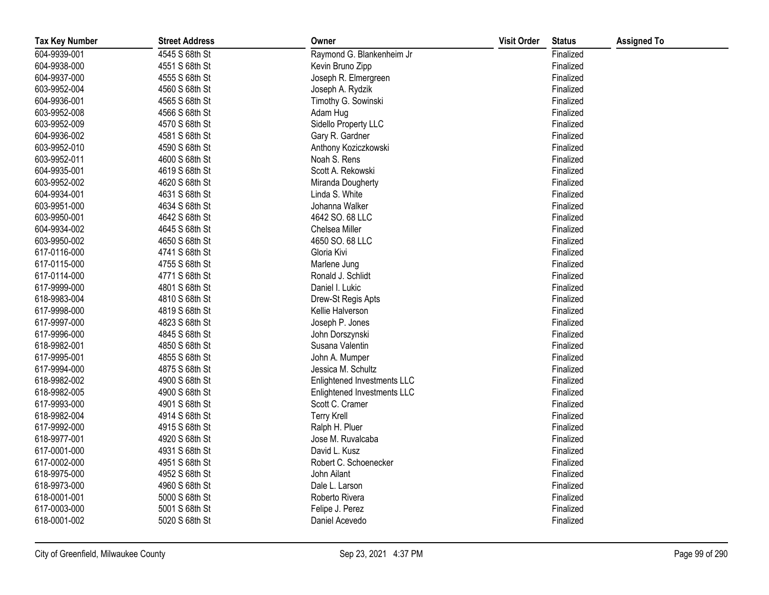| <b>Tax Key Number</b> | <b>Street Address</b> | Owner                       | <b>Visit Order</b> | <b>Status</b> | <b>Assigned To</b> |
|-----------------------|-----------------------|-----------------------------|--------------------|---------------|--------------------|
| 604-9939-001          | 4545 S 68th St        | Raymond G. Blankenheim Jr   |                    | Finalized     |                    |
| 604-9938-000          | 4551 S 68th St        | Kevin Bruno Zipp            |                    | Finalized     |                    |
| 604-9937-000          | 4555 S 68th St        | Joseph R. Elmergreen        |                    | Finalized     |                    |
| 603-9952-004          | 4560 S 68th St        | Joseph A. Rydzik            |                    | Finalized     |                    |
| 604-9936-001          | 4565 S 68th St        | Timothy G. Sowinski         |                    | Finalized     |                    |
| 603-9952-008          | 4566 S 68th St        | Adam Hug                    |                    | Finalized     |                    |
| 603-9952-009          | 4570 S 68th St        | Sidello Property LLC        |                    | Finalized     |                    |
| 604-9936-002          | 4581 S 68th St        | Gary R. Gardner             |                    | Finalized     |                    |
| 603-9952-010          | 4590 S 68th St        | Anthony Koziczkowski        |                    | Finalized     |                    |
| 603-9952-011          | 4600 S 68th St        | Noah S. Rens                |                    | Finalized     |                    |
| 604-9935-001          | 4619 S 68th St        | Scott A. Rekowski           |                    | Finalized     |                    |
| 603-9952-002          | 4620 S 68th St        | Miranda Dougherty           |                    | Finalized     |                    |
| 604-9934-001          | 4631 S 68th St        | Linda S. White              |                    | Finalized     |                    |
| 603-9951-000          | 4634 S 68th St        | Johanna Walker              |                    | Finalized     |                    |
| 603-9950-001          | 4642 S 68th St        | 4642 SO. 68 LLC             |                    | Finalized     |                    |
| 604-9934-002          | 4645 S 68th St        | Chelsea Miller              |                    | Finalized     |                    |
| 603-9950-002          | 4650 S 68th St        | 4650 SO. 68 LLC             |                    | Finalized     |                    |
| 617-0116-000          | 4741 S 68th St        | Gloria Kivi                 |                    | Finalized     |                    |
| 617-0115-000          | 4755 S 68th St        | Marlene Jung                |                    | Finalized     |                    |
| 617-0114-000          | 4771 S 68th St        | Ronald J. Schlidt           |                    | Finalized     |                    |
| 617-9999-000          | 4801 S 68th St        | Daniel I. Lukic             |                    | Finalized     |                    |
| 618-9983-004          | 4810 S 68th St        | Drew-St Regis Apts          |                    | Finalized     |                    |
| 617-9998-000          | 4819 S 68th St        | Kellie Halverson            |                    | Finalized     |                    |
| 617-9997-000          | 4823 S 68th St        | Joseph P. Jones             |                    | Finalized     |                    |
| 617-9996-000          | 4845 S 68th St        | John Dorszynski             |                    | Finalized     |                    |
| 618-9982-001          | 4850 S 68th St        | Susana Valentin             |                    | Finalized     |                    |
| 617-9995-001          | 4855 S 68th St        | John A. Mumper              |                    | Finalized     |                    |
| 617-9994-000          | 4875 S 68th St        | Jessica M. Schultz          |                    | Finalized     |                    |
| 618-9982-002          | 4900 S 68th St        | Enlightened Investments LLC |                    | Finalized     |                    |
| 618-9982-005          | 4900 S 68th St        | Enlightened Investments LLC |                    | Finalized     |                    |
| 617-9993-000          | 4901 S 68th St        | Scott C. Cramer             |                    | Finalized     |                    |
| 618-9982-004          | 4914 S 68th St        | <b>Terry Krell</b>          |                    | Finalized     |                    |
| 617-9992-000          | 4915 S 68th St        | Ralph H. Pluer              |                    | Finalized     |                    |
| 618-9977-001          | 4920 S 68th St        | Jose M. Ruvalcaba           |                    | Finalized     |                    |
| 617-0001-000          | 4931 S 68th St        | David L. Kusz               |                    | Finalized     |                    |
| 617-0002-000          | 4951 S 68th St        | Robert C. Schoenecker       |                    | Finalized     |                    |
| 618-9975-000          | 4952 S 68th St        | John Ailant                 |                    | Finalized     |                    |
| 618-9973-000          | 4960 S 68th St        | Dale L. Larson              |                    | Finalized     |                    |
| 618-0001-001          | 5000 S 68th St        | Roberto Rivera              |                    | Finalized     |                    |
| 617-0003-000          | 5001 S 68th St        | Felipe J. Perez             |                    | Finalized     |                    |
| 618-0001-002          | 5020 S 68th St        | Daniel Acevedo              |                    | Finalized     |                    |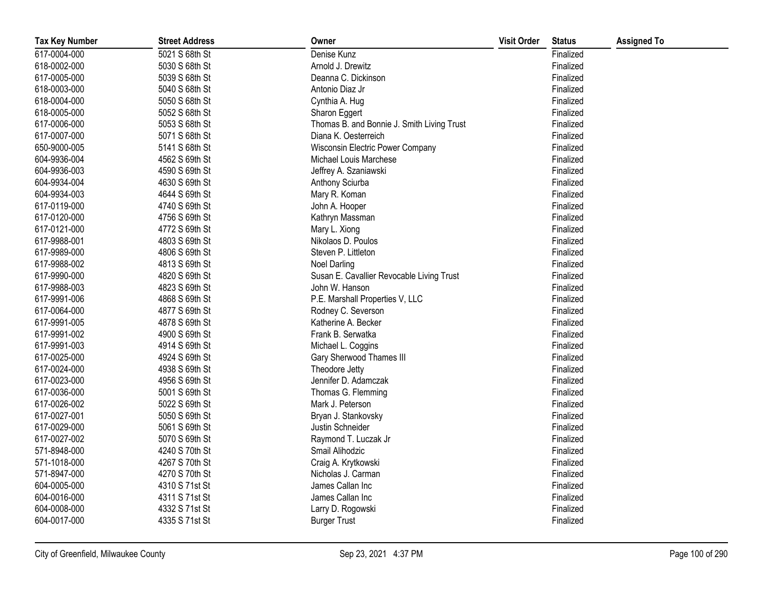| <b>Tax Key Number</b> | <b>Street Address</b> | Owner                                      | <b>Visit Order</b> | <b>Status</b> | <b>Assigned To</b> |
|-----------------------|-----------------------|--------------------------------------------|--------------------|---------------|--------------------|
| 617-0004-000          | 5021 S 68th St        | Denise Kunz                                |                    | Finalized     |                    |
| 618-0002-000          | 5030 S 68th St        | Arnold J. Drewitz                          |                    | Finalized     |                    |
| 617-0005-000          | 5039 S 68th St        | Deanna C. Dickinson                        |                    | Finalized     |                    |
| 618-0003-000          | 5040 S 68th St        | Antonio Diaz Jr                            |                    | Finalized     |                    |
| 618-0004-000          | 5050 S 68th St        | Cynthia A. Hug                             |                    | Finalized     |                    |
| 618-0005-000          | 5052 S 68th St        | Sharon Eggert                              |                    | Finalized     |                    |
| 617-0006-000          | 5053 S 68th St        | Thomas B. and Bonnie J. Smith Living Trust |                    | Finalized     |                    |
| 617-0007-000          | 5071 S 68th St        | Diana K. Oesterreich                       |                    | Finalized     |                    |
| 650-9000-005          | 5141 S 68th St        | Wisconsin Electric Power Company           |                    | Finalized     |                    |
| 604-9936-004          | 4562 S 69th St        | Michael Louis Marchese                     |                    | Finalized     |                    |
| 604-9936-003          | 4590 S 69th St        | Jeffrey A. Szaniawski                      |                    | Finalized     |                    |
| 604-9934-004          | 4630 S 69th St        | Anthony Sciurba                            |                    | Finalized     |                    |
| 604-9934-003          | 4644 S 69th St        | Mary R. Koman                              |                    | Finalized     |                    |
| 617-0119-000          | 4740 S 69th St        | John A. Hooper                             |                    | Finalized     |                    |
| 617-0120-000          | 4756 S 69th St        | Kathryn Massman                            |                    | Finalized     |                    |
| 617-0121-000          | 4772 S 69th St        | Mary L. Xiong                              |                    | Finalized     |                    |
| 617-9988-001          | 4803 S 69th St        | Nikolaos D. Poulos                         |                    | Finalized     |                    |
| 617-9989-000          | 4806 S 69th St        | Steven P. Littleton                        |                    | Finalized     |                    |
| 617-9988-002          | 4813 S 69th St        | <b>Noel Darling</b>                        |                    | Finalized     |                    |
| 617-9990-000          | 4820 S 69th St        | Susan E. Cavallier Revocable Living Trust  |                    | Finalized     |                    |
| 617-9988-003          | 4823 S 69th St        | John W. Hanson                             |                    | Finalized     |                    |
| 617-9991-006          | 4868 S 69th St        | P.E. Marshall Properties V, LLC            |                    | Finalized     |                    |
| 617-0064-000          | 4877 S 69th St        | Rodney C. Severson                         |                    | Finalized     |                    |
| 617-9991-005          | 4878 S 69th St        | Katherine A. Becker                        |                    | Finalized     |                    |
| 617-9991-002          | 4900 S 69th St        | Frank B. Serwatka                          |                    | Finalized     |                    |
| 617-9991-003          | 4914 S 69th St        | Michael L. Coggins                         |                    | Finalized     |                    |
| 617-0025-000          | 4924 S 69th St        | Gary Sherwood Thames III                   |                    | Finalized     |                    |
| 617-0024-000          | 4938 S 69th St        | Theodore Jetty                             |                    | Finalized     |                    |
| 617-0023-000          | 4956 S 69th St        | Jennifer D. Adamczak                       |                    | Finalized     |                    |
| 617-0036-000          | 5001 S 69th St        | Thomas G. Flemming                         |                    | Finalized     |                    |
| 617-0026-002          | 5022 S 69th St        | Mark J. Peterson                           |                    | Finalized     |                    |
| 617-0027-001          | 5050 S 69th St        | Bryan J. Stankovsky                        |                    | Finalized     |                    |
| 617-0029-000          | 5061 S 69th St        | Justin Schneider                           |                    | Finalized     |                    |
| 617-0027-002          | 5070 S 69th St        | Raymond T. Luczak Jr                       |                    | Finalized     |                    |
| 571-8948-000          | 4240 S 70th St        | Smail Alihodzic                            |                    | Finalized     |                    |
| 571-1018-000          | 4267 S 70th St        | Craig A. Krytkowski                        |                    | Finalized     |                    |
| 571-8947-000          | 4270 S 70th St        | Nicholas J. Carman                         |                    | Finalized     |                    |
| 604-0005-000          | 4310 S 71st St        | James Callan Inc                           |                    | Finalized     |                    |
| 604-0016-000          | 4311 S 71st St        | James Callan Inc                           |                    | Finalized     |                    |
| 604-0008-000          | 4332 S 71st St        | Larry D. Rogowski                          |                    | Finalized     |                    |
| 604-0017-000          | 4335 S 71st St        | <b>Burger Trust</b>                        |                    | Finalized     |                    |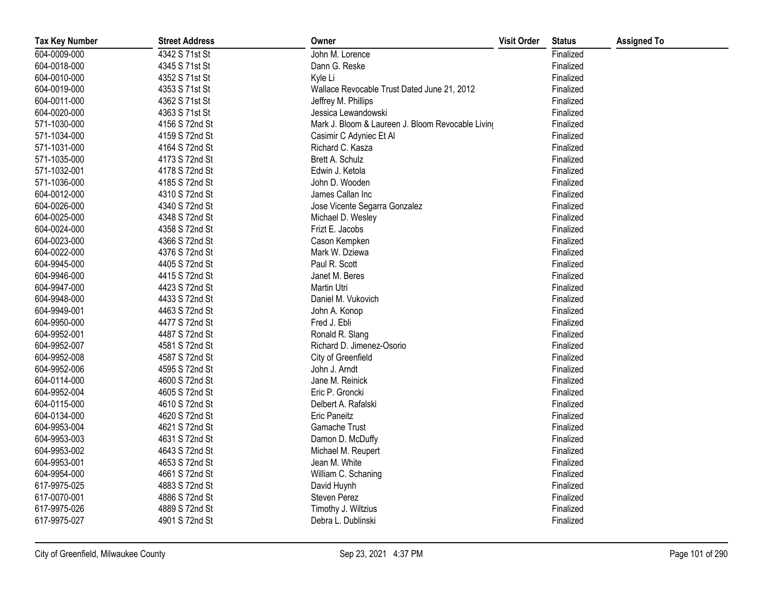| <b>Tax Key Number</b> | <b>Street Address</b> | Owner                                             | <b>Visit Order</b> | <b>Status</b> | <b>Assigned To</b> |
|-----------------------|-----------------------|---------------------------------------------------|--------------------|---------------|--------------------|
| 604-0009-000          | 4342 S 71st St        | John M. Lorence                                   |                    | Finalized     |                    |
| 604-0018-000          | 4345 S 71st St        | Dann G. Reske                                     |                    | Finalized     |                    |
| 604-0010-000          | 4352 S 71st St        | Kyle Li                                           |                    | Finalized     |                    |
| 604-0019-000          | 4353 S 71st St        | Wallace Revocable Trust Dated June 21, 2012       |                    | Finalized     |                    |
| 604-0011-000          | 4362 S 71st St        | Jeffrey M. Phillips                               |                    | Finalized     |                    |
| 604-0020-000          | 4363 S 71st St        | Jessica Lewandowski                               |                    | Finalized     |                    |
| 571-1030-000          | 4156 S 72nd St        | Mark J. Bloom & Laureen J. Bloom Revocable Living |                    | Finalized     |                    |
| 571-1034-000          | 4159 S 72nd St        | Casimir C Adyniec Et Al                           |                    | Finalized     |                    |
| 571-1031-000          | 4164 S 72nd St        | Richard C. Kasza                                  |                    | Finalized     |                    |
| 571-1035-000          | 4173 S 72nd St        | Brett A. Schulz                                   |                    | Finalized     |                    |
| 571-1032-001          | 4178 S 72nd St        | Edwin J. Ketola                                   |                    | Finalized     |                    |
| 571-1036-000          | 4185 S 72nd St        | John D. Wooden                                    |                    | Finalized     |                    |
| 604-0012-000          | 4310 S 72nd St        | James Callan Inc                                  |                    | Finalized     |                    |
| 604-0026-000          | 4340 S 72nd St        | Jose Vicente Segarra Gonzalez                     |                    | Finalized     |                    |
| 604-0025-000          | 4348 S 72nd St        | Michael D. Wesley                                 |                    | Finalized     |                    |
| 604-0024-000          | 4358 S 72nd St        | Frizt E. Jacobs                                   |                    | Finalized     |                    |
| 604-0023-000          | 4366 S 72nd St        | Cason Kempken                                     |                    | Finalized     |                    |
| 604-0022-000          | 4376 S 72nd St        | Mark W. Dziewa                                    |                    | Finalized     |                    |
| 604-9945-000          | 4405 S 72nd St        | Paul R. Scott                                     |                    | Finalized     |                    |
| 604-9946-000          | 4415 S 72nd St        | Janet M. Beres                                    |                    | Finalized     |                    |
| 604-9947-000          | 4423 S 72nd St        | Martin Utri                                       |                    | Finalized     |                    |
| 604-9948-000          | 4433 S 72nd St        | Daniel M. Vukovich                                |                    | Finalized     |                    |
| 604-9949-001          | 4463 S 72nd St        | John A. Konop                                     |                    | Finalized     |                    |
| 604-9950-000          | 4477 S 72nd St        | Fred J. Ebli                                      |                    | Finalized     |                    |
| 604-9952-001          | 4487 S 72nd St        | Ronald R. Slang                                   |                    | Finalized     |                    |
| 604-9952-007          | 4581 S 72nd St        | Richard D. Jimenez-Osorio                         |                    | Finalized     |                    |
| 604-9952-008          | 4587 S 72nd St        | City of Greenfield                                |                    | Finalized     |                    |
| 604-9952-006          | 4595 S 72nd St        | John J. Arndt                                     |                    | Finalized     |                    |
| 604-0114-000          | 4600 S 72nd St        | Jane M. Reinick                                   |                    | Finalized     |                    |
| 604-9952-004          | 4605 S 72nd St        | Eric P. Groncki                                   |                    | Finalized     |                    |
| 604-0115-000          | 4610 S 72nd St        | Delbert A. Rafalski                               |                    | Finalized     |                    |
| 604-0134-000          | 4620 S 72nd St        | <b>Eric Paneitz</b>                               |                    | Finalized     |                    |
| 604-9953-004          | 4621 S 72nd St        | Gamache Trust                                     |                    | Finalized     |                    |
| 604-9953-003          | 4631 S 72nd St        | Damon D. McDuffy                                  |                    | Finalized     |                    |
| 604-9953-002          | 4643 S 72nd St        | Michael M. Reupert                                |                    | Finalized     |                    |
| 604-9953-001          | 4653 S 72nd St        | Jean M. White                                     |                    | Finalized     |                    |
| 604-9954-000          | 4661 S 72nd St        | William C. Schaning                               |                    | Finalized     |                    |
| 617-9975-025          | 4883 S 72nd St        | David Huynh                                       |                    | Finalized     |                    |
| 617-0070-001          | 4886 S 72nd St        | Steven Perez                                      |                    | Finalized     |                    |
| 617-9975-026          | 4889 S 72nd St        | Timothy J. Wiltzius                               |                    | Finalized     |                    |
| 617-9975-027          | 4901 S 72nd St        | Debra L. Dublinski                                |                    | Finalized     |                    |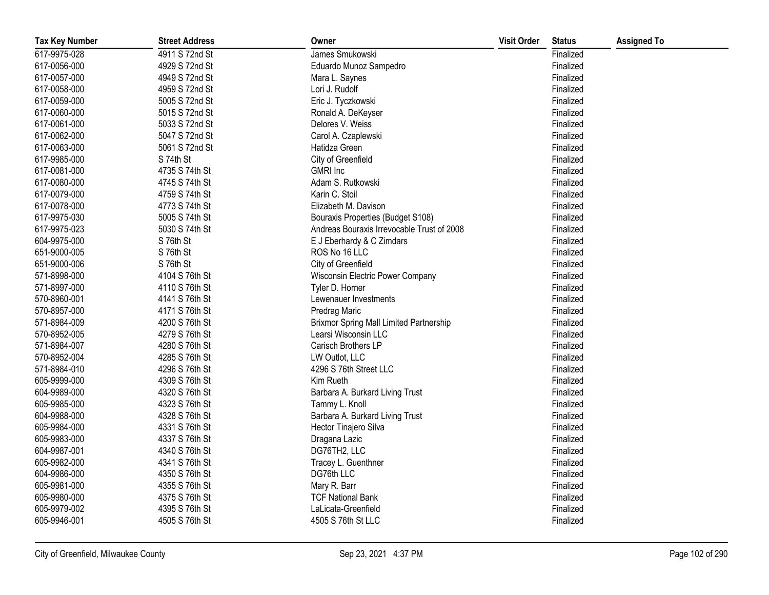| <b>Tax Key Number</b> | <b>Street Address</b> | Owner                                          | <b>Visit Order</b> | <b>Status</b> | <b>Assigned To</b> |
|-----------------------|-----------------------|------------------------------------------------|--------------------|---------------|--------------------|
| 617-9975-028          | 4911 S 72nd St        | James Smukowski                                |                    | Finalized     |                    |
| 617-0056-000          | 4929 S 72nd St        | Eduardo Munoz Sampedro                         |                    | Finalized     |                    |
| 617-0057-000          | 4949 S 72nd St        | Mara L. Saynes                                 |                    | Finalized     |                    |
| 617-0058-000          | 4959 S 72nd St        | Lori J. Rudolf                                 |                    | Finalized     |                    |
| 617-0059-000          | 5005 S 72nd St        | Eric J. Tyczkowski                             |                    | Finalized     |                    |
| 617-0060-000          | 5015 S 72nd St        | Ronald A. DeKeyser                             |                    | Finalized     |                    |
| 617-0061-000          | 5033 S 72nd St        | Delores V. Weiss                               |                    | Finalized     |                    |
| 617-0062-000          | 5047 S 72nd St        | Carol A. Czaplewski                            |                    | Finalized     |                    |
| 617-0063-000          | 5061 S 72nd St        | Hatidza Green                                  |                    | Finalized     |                    |
| 617-9985-000          | S 74th St             | City of Greenfield                             |                    | Finalized     |                    |
| 617-0081-000          | 4735 S 74th St        | <b>GMRI</b> Inc                                |                    | Finalized     |                    |
| 617-0080-000          | 4745 S 74th St        | Adam S. Rutkowski                              |                    | Finalized     |                    |
| 617-0079-000          | 4759 S 74th St        | Karin C. Stoil                                 |                    | Finalized     |                    |
| 617-0078-000          | 4773 S 74th St        | Elizabeth M. Davison                           |                    | Finalized     |                    |
| 617-9975-030          | 5005 S 74th St        | Bouraxis Properties (Budget S108)              |                    | Finalized     |                    |
| 617-9975-023          | 5030 S 74th St        | Andreas Bouraxis Irrevocable Trust of 2008     |                    | Finalized     |                    |
| 604-9975-000          | S 76th St             | E J Eberhardy & C Zimdars                      |                    | Finalized     |                    |
| 651-9000-005          | S 76th St             | ROS No 16 LLC                                  |                    | Finalized     |                    |
| 651-9000-006          | S 76th St             | City of Greenfield                             |                    | Finalized     |                    |
| 571-8998-000          | 4104 S 76th St        | Wisconsin Electric Power Company               |                    | Finalized     |                    |
| 571-8997-000          | 4110 S 76th St        | Tyler D. Horner                                |                    | Finalized     |                    |
| 570-8960-001          | 4141 S 76th St        | Lewenauer Investments                          |                    | Finalized     |                    |
| 570-8957-000          | 4171 S 76th St        | Predrag Maric                                  |                    | Finalized     |                    |
| 571-8984-009          | 4200 S 76th St        | <b>Brixmor Spring Mall Limited Partnership</b> |                    | Finalized     |                    |
| 570-8952-005          | 4279 S 76th St        | Learsi Wisconsin LLC                           |                    | Finalized     |                    |
| 571-8984-007          | 4280 S 76th St        | Carisch Brothers LP                            |                    | Finalized     |                    |
| 570-8952-004          | 4285 S 76th St        | LW Outlot, LLC                                 |                    | Finalized     |                    |
| 571-8984-010          | 4296 S 76th St        | 4296 S 76th Street LLC                         |                    | Finalized     |                    |
| 605-9999-000          | 4309 S 76th St        | Kim Rueth                                      |                    | Finalized     |                    |
| 604-9989-000          | 4320 S 76th St        | Barbara A. Burkard Living Trust                |                    | Finalized     |                    |
| 605-9985-000          | 4323 S 76th St        | Tammy L. Knoll                                 |                    | Finalized     |                    |
| 604-9988-000          | 4328 S 76th St        | Barbara A. Burkard Living Trust                |                    | Finalized     |                    |
| 605-9984-000          | 4331 S 76th St        | Hector Tinajero Silva                          |                    | Finalized     |                    |
| 605-9983-000          | 4337 S 76th St        | Dragana Lazic                                  |                    | Finalized     |                    |
| 604-9987-001          | 4340 S 76th St        | DG76TH2, LLC                                   |                    | Finalized     |                    |
| 605-9982-000          | 4341 S 76th St        | Tracey L. Guenthner                            |                    | Finalized     |                    |
| 604-9986-000          | 4350 S 76th St        | DG76th LLC                                     |                    | Finalized     |                    |
| 605-9981-000          | 4355 S 76th St        | Mary R. Barr                                   |                    | Finalized     |                    |
| 605-9980-000          | 4375 S 76th St        | <b>TCF National Bank</b>                       |                    | Finalized     |                    |
| 605-9979-002          | 4395 S 76th St        | LaLicata-Greenfield                            |                    | Finalized     |                    |
| 605-9946-001          | 4505 S 76th St        | 4505 S 76th St LLC                             |                    | Finalized     |                    |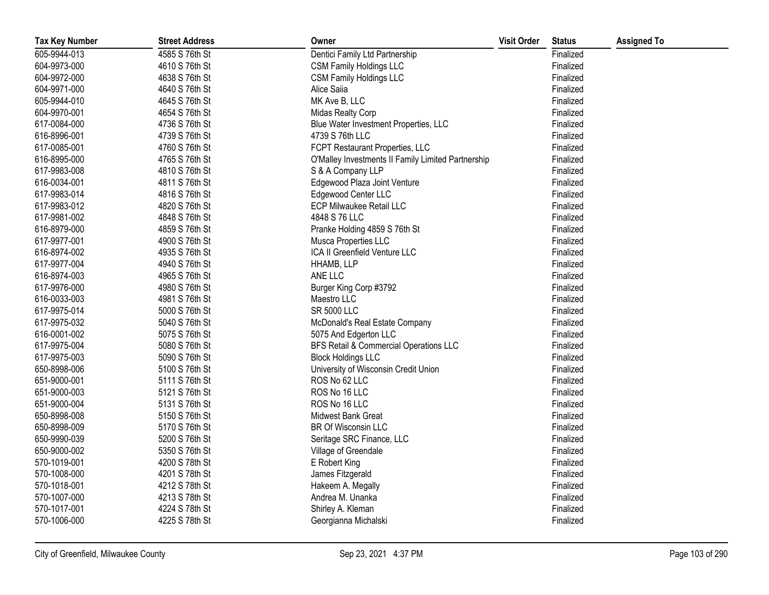| <b>Tax Key Number</b> | <b>Street Address</b> | Owner                                              | <b>Visit Order</b> | <b>Status</b> | <b>Assigned To</b> |
|-----------------------|-----------------------|----------------------------------------------------|--------------------|---------------|--------------------|
| 605-9944-013          | 4585 S 76th St        | Dentici Family Ltd Partnership                     |                    | Finalized     |                    |
| 604-9973-000          | 4610 S 76th St        | <b>CSM Family Holdings LLC</b>                     |                    | Finalized     |                    |
| 604-9972-000          | 4638 S 76th St        | <b>CSM Family Holdings LLC</b>                     |                    | Finalized     |                    |
| 604-9971-000          | 4640 S 76th St        | Alice Saiia                                        |                    | Finalized     |                    |
| 605-9944-010          | 4645 S 76th St        | MK Ave B, LLC                                      |                    | Finalized     |                    |
| 604-9970-001          | 4654 S 76th St        | Midas Realty Corp                                  |                    | Finalized     |                    |
| 617-0084-000          | 4736 S 76th St        | Blue Water Investment Properties, LLC              |                    | Finalized     |                    |
| 616-8996-001          | 4739 S 76th St        | 4739 S 76th LLC                                    |                    | Finalized     |                    |
| 617-0085-001          | 4760 S 76th St        | FCPT Restaurant Properties, LLC                    |                    | Finalized     |                    |
| 616-8995-000          | 4765 S 76th St        | O'Malley Investments II Family Limited Partnership |                    | Finalized     |                    |
| 617-9983-008          | 4810 S 76th St        | S & A Company LLP                                  |                    | Finalized     |                    |
| 616-0034-001          | 4811 S 76th St        | Edgewood Plaza Joint Venture                       |                    | Finalized     |                    |
| 617-9983-014          | 4816 S 76th St        | Edgewood Center LLC                                |                    | Finalized     |                    |
| 617-9983-012          | 4820 S 76th St        | <b>ECP Milwaukee Retail LLC</b>                    |                    | Finalized     |                    |
| 617-9981-002          | 4848 S 76th St        | 4848 S 76 LLC                                      |                    | Finalized     |                    |
| 616-8979-000          | 4859 S 76th St        | Pranke Holding 4859 S 76th St                      |                    | Finalized     |                    |
| 617-9977-001          | 4900 S 76th St        | Musca Properties LLC                               |                    | Finalized     |                    |
| 616-8974-002          | 4935 S 76th St        | ICA II Greenfield Venture LLC                      |                    | Finalized     |                    |
| 617-9977-004          | 4940 S 76th St        | HHAMB, LLP                                         |                    | Finalized     |                    |
| 616-8974-003          | 4965 S 76th St        | ANE LLC                                            |                    | Finalized     |                    |
| 617-9976-000          | 4980 S 76th St        | Burger King Corp #3792                             |                    | Finalized     |                    |
| 616-0033-003          | 4981 S 76th St        | Maestro LLC                                        |                    | Finalized     |                    |
| 617-9975-014          | 5000 S 76th St        | <b>SR 5000 LLC</b>                                 |                    | Finalized     |                    |
| 617-9975-032          | 5040 S 76th St        | McDonald's Real Estate Company                     |                    | Finalized     |                    |
| 616-0001-002          | 5075 S 76th St        | 5075 And Edgerton LLC                              |                    | Finalized     |                    |
| 617-9975-004          | 5080 S 76th St        | BFS Retail & Commercial Operations LLC             |                    | Finalized     |                    |
| 617-9975-003          | 5090 S 76th St        | <b>Block Holdings LLC</b>                          |                    | Finalized     |                    |
| 650-8998-006          | 5100 S 76th St        | University of Wisconsin Credit Union               |                    | Finalized     |                    |
| 651-9000-001          | 5111 S 76th St        | ROS No 62 LLC                                      |                    | Finalized     |                    |
| 651-9000-003          | 5121 S 76th St        | ROS No 16 LLC                                      |                    | Finalized     |                    |
| 651-9000-004          | 5131 S 76th St        | ROS No 16 LLC                                      |                    | Finalized     |                    |
| 650-8998-008          | 5150 S 76th St        | Midwest Bank Great                                 |                    | Finalized     |                    |
| 650-8998-009          | 5170 S 76th St        | BR Of Wisconsin LLC                                |                    | Finalized     |                    |
| 650-9990-039          | 5200 S 76th St        | Seritage SRC Finance, LLC                          |                    | Finalized     |                    |
| 650-9000-002          | 5350 S 76th St        | Village of Greendale                               |                    | Finalized     |                    |
| 570-1019-001          | 4200 S 78th St        | E Robert King                                      |                    | Finalized     |                    |
| 570-1008-000          | 4201 S 78th St        | James Fitzgerald                                   |                    | Finalized     |                    |
| 570-1018-001          | 4212 S 78th St        | Hakeem A. Megally                                  |                    | Finalized     |                    |
| 570-1007-000          | 4213 S 78th St        | Andrea M. Unanka                                   |                    | Finalized     |                    |
| 570-1017-001          | 4224 S 78th St        | Shirley A. Kleman                                  |                    | Finalized     |                    |
| 570-1006-000          | 4225 S 78th St        | Georgianna Michalski                               |                    | Finalized     |                    |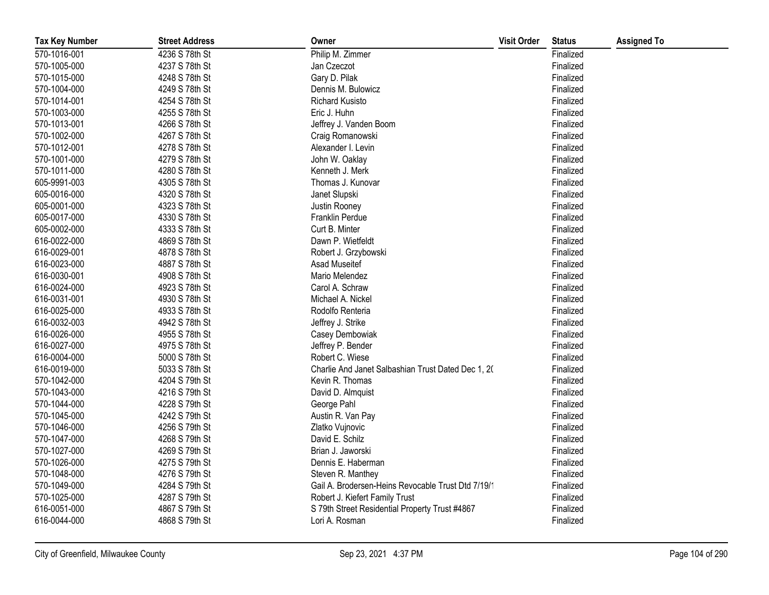| <b>Tax Key Number</b> | <b>Street Address</b> | Owner                                              | <b>Visit Order</b> | <b>Status</b> | <b>Assigned To</b> |
|-----------------------|-----------------------|----------------------------------------------------|--------------------|---------------|--------------------|
| 570-1016-001          | 4236 S 78th St        | Philip M. Zimmer                                   |                    | Finalized     |                    |
| 570-1005-000          | 4237 S 78th St        | Jan Czeczot                                        |                    | Finalized     |                    |
| 570-1015-000          | 4248 S 78th St        | Gary D. Pilak                                      |                    | Finalized     |                    |
| 570-1004-000          | 4249 S 78th St        | Dennis M. Bulowicz                                 |                    | Finalized     |                    |
| 570-1014-001          | 4254 S 78th St        | <b>Richard Kusisto</b>                             |                    | Finalized     |                    |
| 570-1003-000          | 4255 S 78th St        | Eric J. Huhn                                       |                    | Finalized     |                    |
| 570-1013-001          | 4266 S 78th St        | Jeffrey J. Vanden Boom                             |                    | Finalized     |                    |
| 570-1002-000          | 4267 S 78th St        | Craig Romanowski                                   |                    | Finalized     |                    |
| 570-1012-001          | 4278 S 78th St        | Alexander I. Levin                                 |                    | Finalized     |                    |
| 570-1001-000          | 4279 S 78th St        | John W. Oaklay                                     |                    | Finalized     |                    |
| 570-1011-000          | 4280 S 78th St        | Kenneth J. Merk                                    |                    | Finalized     |                    |
| 605-9991-003          | 4305 S 78th St        | Thomas J. Kunovar                                  |                    | Finalized     |                    |
| 605-0016-000          | 4320 S 78th St        | Janet Slupski                                      |                    | Finalized     |                    |
| 605-0001-000          | 4323 S 78th St        | Justin Rooney                                      |                    | Finalized     |                    |
| 605-0017-000          | 4330 S 78th St        | Franklin Perdue                                    |                    | Finalized     |                    |
| 605-0002-000          | 4333 S 78th St        | Curt B. Minter                                     |                    | Finalized     |                    |
| 616-0022-000          | 4869 S 78th St        | Dawn P. Wietfeldt                                  |                    | Finalized     |                    |
| 616-0029-001          | 4878 S 78th St        | Robert J. Grzybowski                               |                    | Finalized     |                    |
| 616-0023-000          | 4887 S 78th St        | Asad Museitef                                      |                    | Finalized     |                    |
| 616-0030-001          | 4908 S 78th St        | Mario Melendez                                     |                    | Finalized     |                    |
| 616-0024-000          | 4923 S 78th St        | Carol A. Schraw                                    |                    | Finalized     |                    |
| 616-0031-001          | 4930 S 78th St        | Michael A. Nickel                                  |                    | Finalized     |                    |
| 616-0025-000          | 4933 S 78th St        | Rodolfo Renteria                                   |                    | Finalized     |                    |
| 616-0032-003          | 4942 S 78th St        | Jeffrey J. Strike                                  |                    | Finalized     |                    |
| 616-0026-000          | 4955 S 78th St        | Casey Dembowiak                                    |                    | Finalized     |                    |
| 616-0027-000          | 4975 S 78th St        | Jeffrey P. Bender                                  |                    | Finalized     |                    |
| 616-0004-000          | 5000 S 78th St        | Robert C. Wiese                                    |                    | Finalized     |                    |
| 616-0019-000          | 5033 S 78th St        | Charlie And Janet Salbashian Trust Dated Dec 1, 20 |                    | Finalized     |                    |
| 570-1042-000          | 4204 S 79th St        | Kevin R. Thomas                                    |                    | Finalized     |                    |
| 570-1043-000          | 4216 S 79th St        | David D. Almquist                                  |                    | Finalized     |                    |
| 570-1044-000          | 4228 S 79th St        | George Pahl                                        |                    | Finalized     |                    |
| 570-1045-000          | 4242 S 79th St        | Austin R. Van Pay                                  |                    | Finalized     |                    |
| 570-1046-000          | 4256 S 79th St        | Zlatko Vujnovic                                    |                    | Finalized     |                    |
| 570-1047-000          | 4268 S 79th St        | David E. Schilz                                    |                    | Finalized     |                    |
| 570-1027-000          | 4269 S 79th St        | Brian J. Jaworski                                  |                    | Finalized     |                    |
| 570-1026-000          | 4275 S 79th St        | Dennis E. Haberman                                 |                    | Finalized     |                    |
| 570-1048-000          | 4276 S 79th St        | Steven R. Manthey                                  |                    | Finalized     |                    |
| 570-1049-000          | 4284 S 79th St        | Gail A. Brodersen-Heins Revocable Trust Dtd 7/19/1 |                    | Finalized     |                    |
| 570-1025-000          | 4287 S 79th St        | Robert J. Kiefert Family Trust                     |                    | Finalized     |                    |
| 616-0051-000          | 4867 S 79th St        | S 79th Street Residential Property Trust #4867     |                    | Finalized     |                    |
| 616-0044-000          | 4868 S 79th St        | Lori A. Rosman                                     |                    | Finalized     |                    |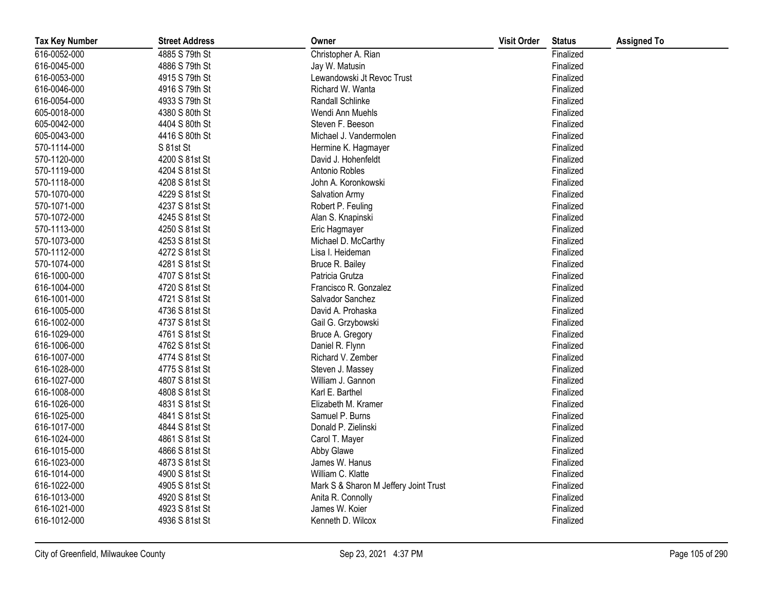| <b>Tax Key Number</b> | <b>Street Address</b> | Owner                                 | <b>Visit Order</b> | <b>Status</b> | <b>Assigned To</b> |
|-----------------------|-----------------------|---------------------------------------|--------------------|---------------|--------------------|
| 616-0052-000          | 4885 S 79th St        | Christopher A. Rian                   |                    | Finalized     |                    |
| 616-0045-000          | 4886 S 79th St        | Jay W. Matusin                        |                    | Finalized     |                    |
| 616-0053-000          | 4915 S 79th St        | Lewandowski Jt Revoc Trust            |                    | Finalized     |                    |
| 616-0046-000          | 4916 S 79th St        | Richard W. Wanta                      |                    | Finalized     |                    |
| 616-0054-000          | 4933 S 79th St        | Randall Schlinke                      |                    | Finalized     |                    |
| 605-0018-000          | 4380 S 80th St        | Wendi Ann Muehls                      |                    | Finalized     |                    |
| 605-0042-000          | 4404 S 80th St        | Steven F. Beeson                      |                    | Finalized     |                    |
| 605-0043-000          | 4416 S 80th St        | Michael J. Vandermolen                |                    | Finalized     |                    |
| 570-1114-000          | S 81st St             | Hermine K. Hagmayer                   |                    | Finalized     |                    |
| 570-1120-000          | 4200 S 81st St        | David J. Hohenfeldt                   |                    | Finalized     |                    |
| 570-1119-000          | 4204 S 81st St        | Antonio Robles                        |                    | Finalized     |                    |
| 570-1118-000          | 4208 S 81st St        | John A. Koronkowski                   |                    | Finalized     |                    |
| 570-1070-000          | 4229 S 81st St        | Salvation Army                        |                    | Finalized     |                    |
| 570-1071-000          | 4237 S 81st St        | Robert P. Feuling                     |                    | Finalized     |                    |
| 570-1072-000          | 4245 S 81st St        | Alan S. Knapinski                     |                    | Finalized     |                    |
| 570-1113-000          | 4250 S 81st St        | Eric Hagmayer                         |                    | Finalized     |                    |
| 570-1073-000          | 4253 S 81st St        | Michael D. McCarthy                   |                    | Finalized     |                    |
| 570-1112-000          | 4272 S 81st St        | Lisa I. Heideman                      |                    | Finalized     |                    |
| 570-1074-000          | 4281 S 81st St        | Bruce R. Bailey                       |                    | Finalized     |                    |
| 616-1000-000          | 4707 S 81st St        | Patricia Grutza                       |                    | Finalized     |                    |
| 616-1004-000          | 4720 S 81st St        | Francisco R. Gonzalez                 |                    | Finalized     |                    |
| 616-1001-000          | 4721 S 81st St        | Salvador Sanchez                      |                    | Finalized     |                    |
| 616-1005-000          | 4736 S 81st St        | David A. Prohaska                     |                    | Finalized     |                    |
| 616-1002-000          | 4737 S 81st St        | Gail G. Grzybowski                    |                    | Finalized     |                    |
| 616-1029-000          | 4761 S 81st St        | Bruce A. Gregory                      |                    | Finalized     |                    |
| 616-1006-000          | 4762 S 81st St        | Daniel R. Flynn                       |                    | Finalized     |                    |
| 616-1007-000          | 4774 S 81st St        | Richard V. Zember                     |                    | Finalized     |                    |
| 616-1028-000          | 4775 S 81st St        | Steven J. Massey                      |                    | Finalized     |                    |
| 616-1027-000          | 4807 S 81st St        | William J. Gannon                     |                    | Finalized     |                    |
| 616-1008-000          | 4808 S 81st St        | Karl E. Barthel                       |                    | Finalized     |                    |
| 616-1026-000          | 4831 S 81st St        | Elizabeth M. Kramer                   |                    | Finalized     |                    |
| 616-1025-000          | 4841 S 81st St        | Samuel P. Burns                       |                    | Finalized     |                    |
| 616-1017-000          | 4844 S 81st St        | Donald P. Zielinski                   |                    | Finalized     |                    |
| 616-1024-000          | 4861 S 81st St        | Carol T. Mayer                        |                    | Finalized     |                    |
| 616-1015-000          | 4866 S 81st St        | Abby Glawe                            |                    | Finalized     |                    |
| 616-1023-000          | 4873 S 81st St        | James W. Hanus                        |                    | Finalized     |                    |
| 616-1014-000          | 4900 S 81st St        | William C. Klatte                     |                    | Finalized     |                    |
| 616-1022-000          | 4905 S 81st St        | Mark S & Sharon M Jeffery Joint Trust |                    | Finalized     |                    |
| 616-1013-000          | 4920 S 81st St        | Anita R. Connolly                     |                    | Finalized     |                    |
| 616-1021-000          | 4923 S 81st St        | James W. Koier                        |                    | Finalized     |                    |
| 616-1012-000          | 4936 S 81st St        | Kenneth D. Wilcox                     |                    | Finalized     |                    |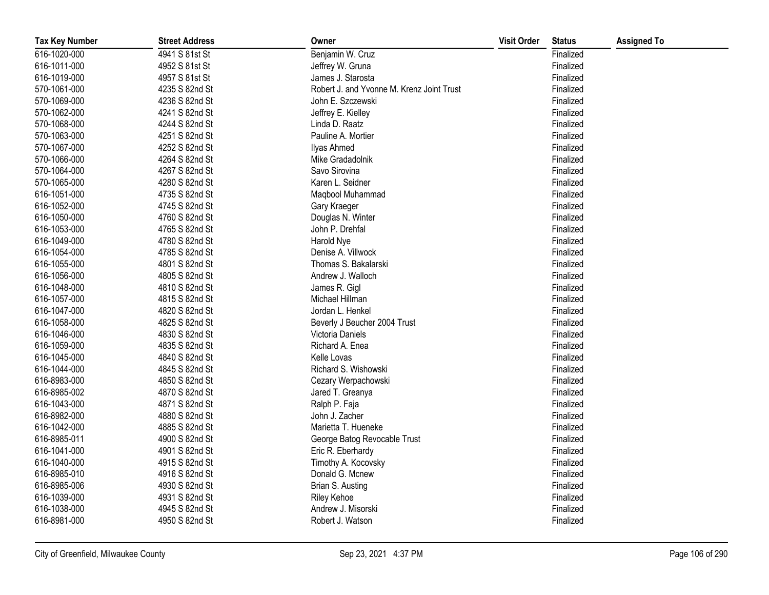| <b>Tax Key Number</b> | <b>Street Address</b> | Owner                                     | <b>Visit Order</b> | <b>Status</b> | <b>Assigned To</b> |
|-----------------------|-----------------------|-------------------------------------------|--------------------|---------------|--------------------|
| 616-1020-000          | 4941 S 81st St        | Benjamin W. Cruz                          |                    | Finalized     |                    |
| 616-1011-000          | 4952 S 81st St        | Jeffrey W. Gruna                          |                    | Finalized     |                    |
| 616-1019-000          | 4957 S 81st St        | James J. Starosta                         |                    | Finalized     |                    |
| 570-1061-000          | 4235 S 82nd St        | Robert J. and Yvonne M. Krenz Joint Trust |                    | Finalized     |                    |
| 570-1069-000          | 4236 S 82nd St        | John E. Szczewski                         |                    | Finalized     |                    |
| 570-1062-000          | 4241 S 82nd St        | Jeffrey E. Kielley                        |                    | Finalized     |                    |
| 570-1068-000          | 4244 S 82nd St        | Linda D. Raatz                            |                    | Finalized     |                    |
| 570-1063-000          | 4251 S 82nd St        | Pauline A. Mortier                        |                    | Finalized     |                    |
| 570-1067-000          | 4252 S 82nd St        | <b>Ilyas Ahmed</b>                        |                    | Finalized     |                    |
| 570-1066-000          | 4264 S 82nd St        | Mike Gradadolnik                          |                    | Finalized     |                    |
| 570-1064-000          | 4267 S 82nd St        | Savo Sirovina                             |                    | Finalized     |                    |
| 570-1065-000          | 4280 S 82nd St        | Karen L. Seidner                          |                    | Finalized     |                    |
| 616-1051-000          | 4735 S 82nd St        | Maqbool Muhammad                          |                    | Finalized     |                    |
| 616-1052-000          | 4745 S 82nd St        | Gary Kraeger                              |                    | Finalized     |                    |
| 616-1050-000          | 4760 S 82nd St        | Douglas N. Winter                         |                    | Finalized     |                    |
| 616-1053-000          | 4765 S 82nd St        | John P. Drehfal                           |                    | Finalized     |                    |
| 616-1049-000          | 4780 S 82nd St        | Harold Nye                                |                    | Finalized     |                    |
| 616-1054-000          | 4785 S 82nd St        | Denise A. Villwock                        |                    | Finalized     |                    |
| 616-1055-000          | 4801 S 82nd St        | Thomas S. Bakalarski                      |                    | Finalized     |                    |
| 616-1056-000          | 4805 S 82nd St        | Andrew J. Walloch                         |                    | Finalized     |                    |
| 616-1048-000          | 4810 S 82nd St        | James R. Gigl                             |                    | Finalized     |                    |
| 616-1057-000          | 4815 S 82nd St        | Michael Hillman                           |                    | Finalized     |                    |
| 616-1047-000          | 4820 S 82nd St        | Jordan L. Henkel                          |                    | Finalized     |                    |
| 616-1058-000          | 4825 S 82nd St        | Beverly J Beucher 2004 Trust              |                    | Finalized     |                    |
| 616-1046-000          | 4830 S 82nd St        | Victoria Daniels                          |                    | Finalized     |                    |
| 616-1059-000          | 4835 S 82nd St        | Richard A. Enea                           |                    | Finalized     |                    |
| 616-1045-000          | 4840 S 82nd St        | Kelle Lovas                               |                    | Finalized     |                    |
| 616-1044-000          | 4845 S 82nd St        | Richard S. Wishowski                      |                    | Finalized     |                    |
| 616-8983-000          | 4850 S 82nd St        | Cezary Werpachowski                       |                    | Finalized     |                    |
| 616-8985-002          | 4870 S 82nd St        | Jared T. Greanya                          |                    | Finalized     |                    |
| 616-1043-000          | 4871 S 82nd St        | Ralph P. Faja                             |                    | Finalized     |                    |
| 616-8982-000          | 4880 S 82nd St        | John J. Zacher                            |                    | Finalized     |                    |
| 616-1042-000          | 4885 S 82nd St        | Marietta T. Hueneke                       |                    | Finalized     |                    |
| 616-8985-011          | 4900 S 82nd St        | George Batog Revocable Trust              |                    | Finalized     |                    |
| 616-1041-000          | 4901 S 82nd St        | Eric R. Eberhardy                         |                    | Finalized     |                    |
| 616-1040-000          | 4915 S 82nd St        | Timothy A. Kocovsky                       |                    | Finalized     |                    |
| 616-8985-010          | 4916 S 82nd St        | Donald G. Mcnew                           |                    | Finalized     |                    |
| 616-8985-006          | 4930 S 82nd St        | Brian S. Austing                          |                    | Finalized     |                    |
| 616-1039-000          | 4931 S 82nd St        | <b>Riley Kehoe</b>                        |                    | Finalized     |                    |
| 616-1038-000          | 4945 S 82nd St        | Andrew J. Misorski                        |                    | Finalized     |                    |
| 616-8981-000          | 4950 S 82nd St        | Robert J. Watson                          |                    | Finalized     |                    |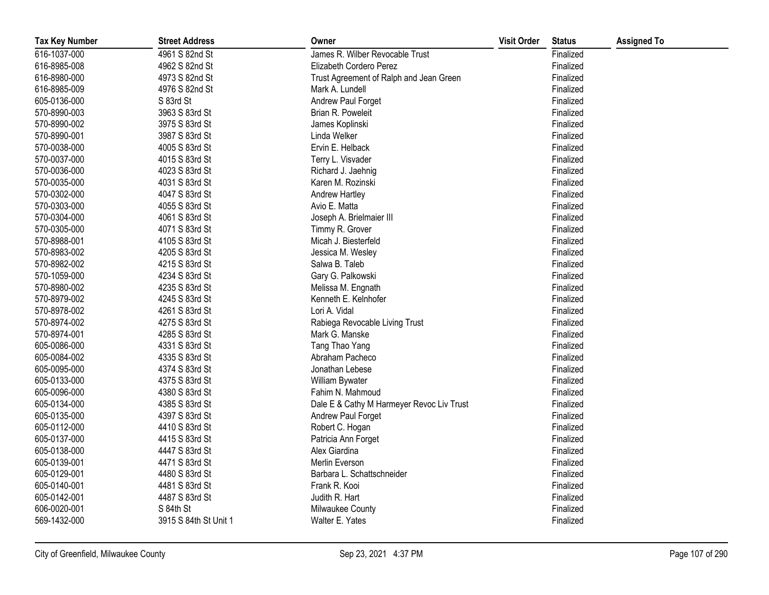| <b>Tax Key Number</b> | <b>Street Address</b> | Owner                                     | <b>Visit Order</b> | <b>Status</b> | <b>Assigned To</b> |
|-----------------------|-----------------------|-------------------------------------------|--------------------|---------------|--------------------|
| 616-1037-000          | 4961 S 82nd St        | James R. Wilber Revocable Trust           |                    | Finalized     |                    |
| 616-8985-008          | 4962 S 82nd St        | Elizabeth Cordero Perez                   |                    | Finalized     |                    |
| 616-8980-000          | 4973 S 82nd St        | Trust Agreement of Ralph and Jean Green   |                    | Finalized     |                    |
| 616-8985-009          | 4976 S 82nd St        | Mark A. Lundell                           |                    | Finalized     |                    |
| 605-0136-000          | S 83rd St             | Andrew Paul Forget                        |                    | Finalized     |                    |
| 570-8990-003          | 3963 S 83rd St        | Brian R. Poweleit                         |                    | Finalized     |                    |
| 570-8990-002          | 3975 S 83rd St        | James Koplinski                           |                    | Finalized     |                    |
| 570-8990-001          | 3987 S 83rd St        | Linda Welker                              |                    | Finalized     |                    |
| 570-0038-000          | 4005 S 83rd St        | Ervin E. Helback                          |                    | Finalized     |                    |
| 570-0037-000          | 4015 S 83rd St        | Terry L. Visvader                         |                    | Finalized     |                    |
| 570-0036-000          | 4023 S 83rd St        | Richard J. Jaehnig                        |                    | Finalized     |                    |
| 570-0035-000          | 4031 S 83rd St        | Karen M. Rozinski                         |                    | Finalized     |                    |
| 570-0302-000          | 4047 S 83rd St        | Andrew Hartley                            |                    | Finalized     |                    |
| 570-0303-000          | 4055 S 83rd St        | Avio E. Matta                             |                    | Finalized     |                    |
| 570-0304-000          | 4061 S 83rd St        | Joseph A. Brielmaier III                  |                    | Finalized     |                    |
| 570-0305-000          | 4071 S 83rd St        | Timmy R. Grover                           |                    | Finalized     |                    |
| 570-8988-001          | 4105 S 83rd St        | Micah J. Biesterfeld                      |                    | Finalized     |                    |
| 570-8983-002          | 4205 S 83rd St        | Jessica M. Wesley                         |                    | Finalized     |                    |
| 570-8982-002          | 4215 S 83rd St        | Salwa B. Taleb                            |                    | Finalized     |                    |
| 570-1059-000          | 4234 S 83rd St        | Gary G. Palkowski                         |                    | Finalized     |                    |
| 570-8980-002          | 4235 S 83rd St        | Melissa M. Engnath                        |                    | Finalized     |                    |
| 570-8979-002          | 4245 S 83rd St        | Kenneth E. Kelnhofer                      |                    | Finalized     |                    |
| 570-8978-002          | 4261 S 83rd St        | Lori A. Vidal                             |                    | Finalized     |                    |
| 570-8974-002          | 4275 S 83rd St        | Rabiega Revocable Living Trust            |                    | Finalized     |                    |
| 570-8974-001          | 4285 S 83rd St        | Mark G. Manske                            |                    | Finalized     |                    |
| 605-0086-000          | 4331 S 83rd St        | Tang Thao Yang                            |                    | Finalized     |                    |
| 605-0084-002          | 4335 S 83rd St        | Abraham Pacheco                           |                    | Finalized     |                    |
| 605-0095-000          | 4374 S 83rd St        | Jonathan Lebese                           |                    | Finalized     |                    |
| 605-0133-000          | 4375 S 83rd St        | William Bywater                           |                    | Finalized     |                    |
| 605-0096-000          | 4380 S 83rd St        | Fahim N. Mahmoud                          |                    | Finalized     |                    |
| 605-0134-000          | 4385 S 83rd St        | Dale E & Cathy M Harmeyer Revoc Liv Trust |                    | Finalized     |                    |
| 605-0135-000          | 4397 S 83rd St        | Andrew Paul Forget                        |                    | Finalized     |                    |
| 605-0112-000          | 4410 S 83rd St        | Robert C. Hogan                           |                    | Finalized     |                    |
| 605-0137-000          | 4415 S 83rd St        | Patricia Ann Forget                       |                    | Finalized     |                    |
| 605-0138-000          | 4447 S 83rd St        | Alex Giardina                             |                    | Finalized     |                    |
| 605-0139-001          | 4471 S 83rd St        | Merlin Everson                            |                    | Finalized     |                    |
| 605-0129-001          | 4480 S 83rd St        | Barbara L. Schattschneider                |                    | Finalized     |                    |
| 605-0140-001          | 4481 S 83rd St        | Frank R. Kooi                             |                    | Finalized     |                    |
| 605-0142-001          | 4487 S 83rd St        | Judith R. Hart                            |                    | Finalized     |                    |
| 606-0020-001          | S 84th St             | Milwaukee County                          |                    | Finalized     |                    |
| 569-1432-000          | 3915 S 84th St Unit 1 | Walter E. Yates                           |                    | Finalized     |                    |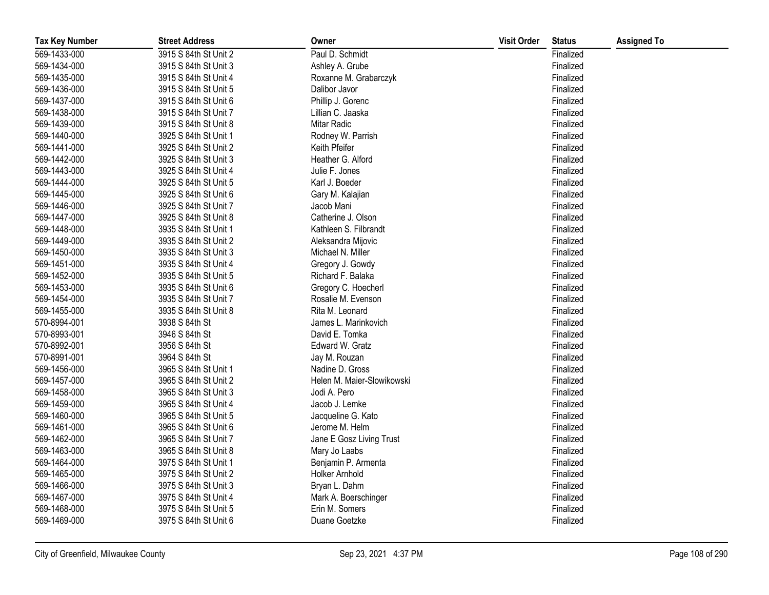| <b>Tax Key Number</b> | <b>Street Address</b> | Owner                      | <b>Visit Order</b> | <b>Status</b> | <b>Assigned To</b> |
|-----------------------|-----------------------|----------------------------|--------------------|---------------|--------------------|
| 569-1433-000          | 3915 S 84th St Unit 2 | Paul D. Schmidt            |                    | Finalized     |                    |
| 569-1434-000          | 3915 S 84th St Unit 3 | Ashley A. Grube            |                    | Finalized     |                    |
| 569-1435-000          | 3915 S 84th St Unit 4 | Roxanne M. Grabarczyk      |                    | Finalized     |                    |
| 569-1436-000          | 3915 S 84th St Unit 5 | Dalibor Javor              |                    | Finalized     |                    |
| 569-1437-000          | 3915 S 84th St Unit 6 | Phillip J. Gorenc          |                    | Finalized     |                    |
| 569-1438-000          | 3915 S 84th St Unit 7 | Lillian C. Jaaska          |                    | Finalized     |                    |
| 569-1439-000          | 3915 S 84th St Unit 8 | Mitar Radic                |                    | Finalized     |                    |
| 569-1440-000          | 3925 S 84th St Unit 1 | Rodney W. Parrish          |                    | Finalized     |                    |
| 569-1441-000          | 3925 S 84th St Unit 2 | Keith Pfeifer              |                    | Finalized     |                    |
| 569-1442-000          | 3925 S 84th St Unit 3 | Heather G. Alford          |                    | Finalized     |                    |
| 569-1443-000          | 3925 S 84th St Unit 4 | Julie F. Jones             |                    | Finalized     |                    |
| 569-1444-000          | 3925 S 84th St Unit 5 | Karl J. Boeder             |                    | Finalized     |                    |
| 569-1445-000          | 3925 S 84th St Unit 6 | Gary M. Kalajian           |                    | Finalized     |                    |
| 569-1446-000          | 3925 S 84th St Unit 7 | Jacob Mani                 |                    | Finalized     |                    |
| 569-1447-000          | 3925 S 84th St Unit 8 | Catherine J. Olson         |                    | Finalized     |                    |
| 569-1448-000          | 3935 S 84th St Unit 1 | Kathleen S. Filbrandt      |                    | Finalized     |                    |
| 569-1449-000          | 3935 S 84th St Unit 2 | Aleksandra Mijovic         |                    | Finalized     |                    |
| 569-1450-000          | 3935 S 84th St Unit 3 | Michael N. Miller          |                    | Finalized     |                    |
| 569-1451-000          | 3935 S 84th St Unit 4 | Gregory J. Gowdy           |                    | Finalized     |                    |
| 569-1452-000          | 3935 S 84th St Unit 5 | Richard F. Balaka          |                    | Finalized     |                    |
| 569-1453-000          | 3935 S 84th St Unit 6 | Gregory C. Hoecherl        |                    | Finalized     |                    |
| 569-1454-000          | 3935 S 84th St Unit 7 | Rosalie M. Evenson         |                    | Finalized     |                    |
| 569-1455-000          | 3935 S 84th St Unit 8 | Rita M. Leonard            |                    | Finalized     |                    |
| 570-8994-001          | 3938 S 84th St        | James L. Marinkovich       |                    | Finalized     |                    |
| 570-8993-001          | 3946 S 84th St        | David E. Tomka             |                    | Finalized     |                    |
| 570-8992-001          | 3956 S 84th St        | Edward W. Gratz            |                    | Finalized     |                    |
| 570-8991-001          | 3964 S 84th St        | Jay M. Rouzan              |                    | Finalized     |                    |
| 569-1456-000          | 3965 S 84th St Unit 1 | Nadine D. Gross            |                    | Finalized     |                    |
| 569-1457-000          | 3965 S 84th St Unit 2 | Helen M. Maier-Slowikowski |                    | Finalized     |                    |
| 569-1458-000          | 3965 S 84th St Unit 3 | Jodi A. Pero               |                    | Finalized     |                    |
| 569-1459-000          | 3965 S 84th St Unit 4 | Jacob J. Lemke             |                    | Finalized     |                    |
| 569-1460-000          | 3965 S 84th St Unit 5 | Jacqueline G. Kato         |                    | Finalized     |                    |
| 569-1461-000          | 3965 S 84th St Unit 6 | Jerome M. Helm             |                    | Finalized     |                    |
| 569-1462-000          | 3965 S 84th St Unit 7 | Jane E Gosz Living Trust   |                    | Finalized     |                    |
| 569-1463-000          | 3965 S 84th St Unit 8 | Mary Jo Laabs              |                    | Finalized     |                    |
| 569-1464-000          | 3975 S 84th St Unit 1 | Benjamin P. Armenta        |                    | Finalized     |                    |
| 569-1465-000          | 3975 S 84th St Unit 2 | <b>Holker Arnhold</b>      |                    | Finalized     |                    |
| 569-1466-000          | 3975 S 84th St Unit 3 | Bryan L. Dahm              |                    | Finalized     |                    |
| 569-1467-000          | 3975 S 84th St Unit 4 | Mark A. Boerschinger       |                    | Finalized     |                    |
| 569-1468-000          | 3975 S 84th St Unit 5 | Erin M. Somers             |                    | Finalized     |                    |
| 569-1469-000          | 3975 S 84th St Unit 6 | Duane Goetzke              |                    | Finalized     |                    |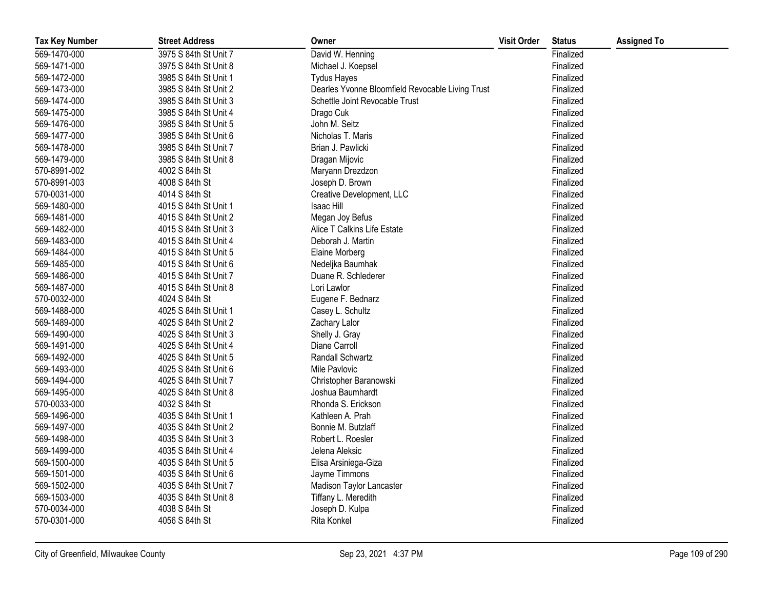| <b>Tax Key Number</b> | <b>Street Address</b> | Owner                                            | <b>Visit Order</b> | <b>Status</b> | <b>Assigned To</b> |
|-----------------------|-----------------------|--------------------------------------------------|--------------------|---------------|--------------------|
| 569-1470-000          | 3975 S 84th St Unit 7 | David W. Henning                                 |                    | Finalized     |                    |
| 569-1471-000          | 3975 S 84th St Unit 8 | Michael J. Koepsel                               |                    | Finalized     |                    |
| 569-1472-000          | 3985 S 84th St Unit 1 | <b>Tydus Hayes</b>                               |                    | Finalized     |                    |
| 569-1473-000          | 3985 S 84th St Unit 2 | Dearles Yvonne Bloomfield Revocable Living Trust |                    | Finalized     |                    |
| 569-1474-000          | 3985 S 84th St Unit 3 | Schettle Joint Revocable Trust                   |                    | Finalized     |                    |
| 569-1475-000          | 3985 S 84th St Unit 4 | Drago Cuk                                        |                    | Finalized     |                    |
| 569-1476-000          | 3985 S 84th St Unit 5 | John M. Seitz                                    |                    | Finalized     |                    |
| 569-1477-000          | 3985 S 84th St Unit 6 | Nicholas T. Maris                                |                    | Finalized     |                    |
| 569-1478-000          | 3985 S 84th St Unit 7 | Brian J. Pawlicki                                |                    | Finalized     |                    |
| 569-1479-000          | 3985 S 84th St Unit 8 | Dragan Mijovic                                   |                    | Finalized     |                    |
| 570-8991-002          | 4002 S 84th St        | Maryann Drezdzon                                 |                    | Finalized     |                    |
| 570-8991-003          | 4008 S 84th St        | Joseph D. Brown                                  |                    | Finalized     |                    |
| 570-0031-000          | 4014 S 84th St        | Creative Development, LLC                        |                    | Finalized     |                    |
| 569-1480-000          | 4015 S 84th St Unit 1 | Isaac Hill                                       |                    | Finalized     |                    |
| 569-1481-000          | 4015 S 84th St Unit 2 | Megan Joy Befus                                  |                    | Finalized     |                    |
| 569-1482-000          | 4015 S 84th St Unit 3 | Alice T Calkins Life Estate                      |                    | Finalized     |                    |
| 569-1483-000          | 4015 S 84th St Unit 4 | Deborah J. Martin                                |                    | Finalized     |                    |
| 569-1484-000          | 4015 S 84th St Unit 5 | Elaine Morberg                                   |                    | Finalized     |                    |
| 569-1485-000          | 4015 S 84th St Unit 6 | Nedeljka Baumhak                                 |                    | Finalized     |                    |
| 569-1486-000          | 4015 S 84th St Unit 7 | Duane R. Schlederer                              |                    | Finalized     |                    |
| 569-1487-000          | 4015 S 84th St Unit 8 | Lori Lawlor                                      |                    | Finalized     |                    |
| 570-0032-000          | 4024 S 84th St        | Eugene F. Bednarz                                |                    | Finalized     |                    |
| 569-1488-000          | 4025 S 84th St Unit 1 | Casey L. Schultz                                 |                    | Finalized     |                    |
| 569-1489-000          | 4025 S 84th St Unit 2 | Zachary Lalor                                    |                    | Finalized     |                    |
| 569-1490-000          | 4025 S 84th St Unit 3 | Shelly J. Gray                                   |                    | Finalized     |                    |
| 569-1491-000          | 4025 S 84th St Unit 4 | Diane Carroll                                    |                    | Finalized     |                    |
| 569-1492-000          | 4025 S 84th St Unit 5 | Randall Schwartz                                 |                    | Finalized     |                    |
| 569-1493-000          | 4025 S 84th St Unit 6 | Mile Pavlovic                                    |                    | Finalized     |                    |
| 569-1494-000          | 4025 S 84th St Unit 7 | Christopher Baranowski                           |                    | Finalized     |                    |
| 569-1495-000          | 4025 S 84th St Unit 8 | Joshua Baumhardt                                 |                    | Finalized     |                    |
| 570-0033-000          | 4032 S 84th St        | Rhonda S. Erickson                               |                    | Finalized     |                    |
| 569-1496-000          | 4035 S 84th St Unit 1 | Kathleen A. Prah                                 |                    | Finalized     |                    |
| 569-1497-000          | 4035 S 84th St Unit 2 | Bonnie M. Butzlaff                               |                    | Finalized     |                    |
| 569-1498-000          | 4035 S 84th St Unit 3 | Robert L. Roesler                                |                    | Finalized     |                    |
| 569-1499-000          | 4035 S 84th St Unit 4 | Jelena Aleksic                                   |                    | Finalized     |                    |
| 569-1500-000          | 4035 S 84th St Unit 5 | Elisa Arsiniega-Giza                             |                    | Finalized     |                    |
| 569-1501-000          | 4035 S 84th St Unit 6 | Jayme Timmons                                    |                    | Finalized     |                    |
| 569-1502-000          | 4035 S 84th St Unit 7 | Madison Taylor Lancaster                         |                    | Finalized     |                    |
| 569-1503-000          | 4035 S 84th St Unit 8 | Tiffany L. Meredith                              |                    | Finalized     |                    |
| 570-0034-000          | 4038 S 84th St        | Joseph D. Kulpa                                  |                    | Finalized     |                    |
| 570-0301-000          | 4056 S 84th St        | Rita Konkel                                      |                    | Finalized     |                    |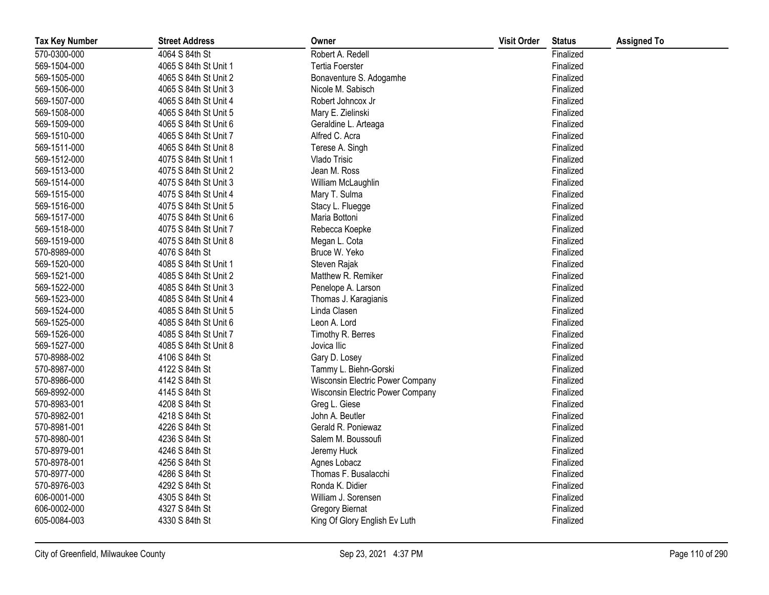| <b>Tax Key Number</b> | <b>Street Address</b> | Owner                            | <b>Visit Order</b> | <b>Status</b> | <b>Assigned To</b> |
|-----------------------|-----------------------|----------------------------------|--------------------|---------------|--------------------|
| 570-0300-000          | 4064 S 84th St        | Robert A. Redell                 |                    | Finalized     |                    |
| 569-1504-000          | 4065 S 84th St Unit 1 | <b>Tertia Foerster</b>           |                    | Finalized     |                    |
| 569-1505-000          | 4065 S 84th St Unit 2 | Bonaventure S. Adogamhe          |                    | Finalized     |                    |
| 569-1506-000          | 4065 S 84th St Unit 3 | Nicole M. Sabisch                |                    | Finalized     |                    |
| 569-1507-000          | 4065 S 84th St Unit 4 | Robert Johncox Jr                |                    | Finalized     |                    |
| 569-1508-000          | 4065 S 84th St Unit 5 | Mary E. Zielinski                |                    | Finalized     |                    |
| 569-1509-000          | 4065 S 84th St Unit 6 | Geraldine L. Arteaga             |                    | Finalized     |                    |
| 569-1510-000          | 4065 S 84th St Unit 7 | Alfred C. Acra                   |                    | Finalized     |                    |
| 569-1511-000          | 4065 S 84th St Unit 8 | Terese A. Singh                  |                    | Finalized     |                    |
| 569-1512-000          | 4075 S 84th St Unit 1 | Vlado Trisic                     |                    | Finalized     |                    |
| 569-1513-000          | 4075 S 84th St Unit 2 | Jean M. Ross                     |                    | Finalized     |                    |
| 569-1514-000          | 4075 S 84th St Unit 3 | William McLaughlin               |                    | Finalized     |                    |
| 569-1515-000          | 4075 S 84th St Unit 4 | Mary T. Sulma                    |                    | Finalized     |                    |
| 569-1516-000          | 4075 S 84th St Unit 5 | Stacy L. Fluegge                 |                    | Finalized     |                    |
| 569-1517-000          | 4075 S 84th St Unit 6 | Maria Bottoni                    |                    | Finalized     |                    |
| 569-1518-000          | 4075 S 84th St Unit 7 | Rebecca Koepke                   |                    | Finalized     |                    |
| 569-1519-000          | 4075 S 84th St Unit 8 | Megan L. Cota                    |                    | Finalized     |                    |
| 570-8989-000          | 4076 S 84th St        | Bruce W. Yeko                    |                    | Finalized     |                    |
| 569-1520-000          | 4085 S 84th St Unit 1 | Steven Rajak                     |                    | Finalized     |                    |
| 569-1521-000          | 4085 S 84th St Unit 2 | Matthew R. Remiker               |                    | Finalized     |                    |
| 569-1522-000          | 4085 S 84th St Unit 3 | Penelope A. Larson               |                    | Finalized     |                    |
| 569-1523-000          | 4085 S 84th St Unit 4 | Thomas J. Karagianis             |                    | Finalized     |                    |
| 569-1524-000          | 4085 S 84th St Unit 5 | Linda Clasen                     |                    | Finalized     |                    |
| 569-1525-000          | 4085 S 84th St Unit 6 | Leon A. Lord                     |                    | Finalized     |                    |
| 569-1526-000          | 4085 S 84th St Unit 7 | Timothy R. Berres                |                    | Finalized     |                    |
| 569-1527-000          | 4085 S 84th St Unit 8 | Jovica Ilic                      |                    | Finalized     |                    |
| 570-8988-002          | 4106 S 84th St        | Gary D. Losey                    |                    | Finalized     |                    |
| 570-8987-000          | 4122 S 84th St        | Tammy L. Biehn-Gorski            |                    | Finalized     |                    |
| 570-8986-000          | 4142 S 84th St        | Wisconsin Electric Power Company |                    | Finalized     |                    |
| 569-8992-000          | 4145 S 84th St        | Wisconsin Electric Power Company |                    | Finalized     |                    |
| 570-8983-001          | 4208 S 84th St        | Greg L. Giese                    |                    | Finalized     |                    |
| 570-8982-001          | 4218 S 84th St        | John A. Beutler                  |                    | Finalized     |                    |
| 570-8981-001          | 4226 S 84th St        | Gerald R. Poniewaz               |                    | Finalized     |                    |
| 570-8980-001          | 4236 S 84th St        | Salem M. Boussoufi               |                    | Finalized     |                    |
| 570-8979-001          | 4246 S 84th St        | Jeremy Huck                      |                    | Finalized     |                    |
| 570-8978-001          | 4256 S 84th St        | Agnes Lobacz                     |                    | Finalized     |                    |
| 570-8977-000          | 4286 S 84th St        | Thomas F. Busalacchi             |                    | Finalized     |                    |
| 570-8976-003          | 4292 S 84th St        | Ronda K. Didier                  |                    | Finalized     |                    |
| 606-0001-000          | 4305 S 84th St        | William J. Sorensen              |                    | Finalized     |                    |
| 606-0002-000          | 4327 S 84th St        | <b>Gregory Biernat</b>           |                    | Finalized     |                    |
| 605-0084-003          | 4330 S 84th St        | King Of Glory English Ev Luth    |                    | Finalized     |                    |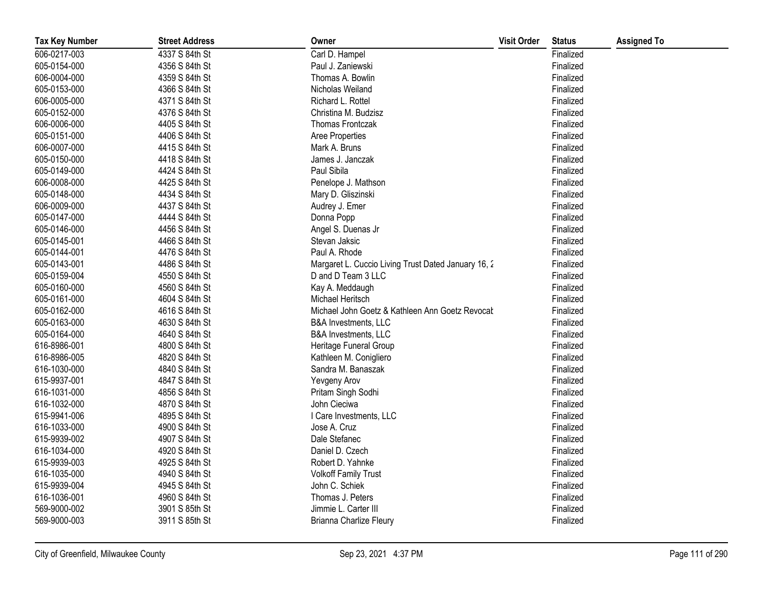| <b>Tax Key Number</b> | <b>Street Address</b> | Owner                                               | <b>Visit Order</b> | <b>Status</b> | <b>Assigned To</b> |
|-----------------------|-----------------------|-----------------------------------------------------|--------------------|---------------|--------------------|
| 606-0217-003          | 4337 S 84th St        | Carl D. Hampel                                      |                    | Finalized     |                    |
| 605-0154-000          | 4356 S 84th St        | Paul J. Zaniewski                                   |                    | Finalized     |                    |
| 606-0004-000          | 4359 S 84th St        | Thomas A. Bowlin                                    |                    | Finalized     |                    |
| 605-0153-000          | 4366 S 84th St        | Nicholas Weiland                                    |                    | Finalized     |                    |
| 606-0005-000          | 4371 S 84th St        | Richard L. Rottel                                   |                    | Finalized     |                    |
| 605-0152-000          | 4376 S 84th St        | Christina M. Budzisz                                |                    | Finalized     |                    |
| 606-0006-000          | 4405 S 84th St        | <b>Thomas Frontczak</b>                             |                    | Finalized     |                    |
| 605-0151-000          | 4406 S 84th St        | Aree Properties                                     |                    | Finalized     |                    |
| 606-0007-000          | 4415 S 84th St        | Mark A. Bruns                                       |                    | Finalized     |                    |
| 605-0150-000          | 4418 S 84th St        | James J. Janczak                                    |                    | Finalized     |                    |
| 605-0149-000          | 4424 S 84th St        | Paul Sibila                                         |                    | Finalized     |                    |
| 606-0008-000          | 4425 S 84th St        | Penelope J. Mathson                                 |                    | Finalized     |                    |
| 605-0148-000          | 4434 S 84th St        | Mary D. Gliszinski                                  |                    | Finalized     |                    |
| 606-0009-000          | 4437 S 84th St        | Audrey J. Emer                                      |                    | Finalized     |                    |
| 605-0147-000          | 4444 S 84th St        | Donna Popp                                          |                    | Finalized     |                    |
| 605-0146-000          | 4456 S 84th St        | Angel S. Duenas Jr                                  |                    | Finalized     |                    |
| 605-0145-001          | 4466 S 84th St        | Stevan Jaksic                                       |                    | Finalized     |                    |
| 605-0144-001          | 4476 S 84th St        | Paul A. Rhode                                       |                    | Finalized     |                    |
| 605-0143-001          | 4486 S 84th St        | Margaret L. Cuccio Living Trust Dated January 16, 2 |                    | Finalized     |                    |
| 605-0159-004          | 4550 S 84th St        | D and D Team 3 LLC                                  |                    | Finalized     |                    |
| 605-0160-000          | 4560 S 84th St        | Kay A. Meddaugh                                     |                    | Finalized     |                    |
| 605-0161-000          | 4604 S 84th St        | Michael Heritsch                                    |                    | Finalized     |                    |
| 605-0162-000          | 4616 S 84th St        | Michael John Goetz & Kathleen Ann Goetz Revocal     |                    | Finalized     |                    |
| 605-0163-000          | 4630 S 84th St        | <b>B&amp;A Investments, LLC</b>                     |                    | Finalized     |                    |
| 605-0164-000          | 4640 S 84th St        | <b>B&amp;A Investments, LLC</b>                     |                    | Finalized     |                    |
| 616-8986-001          | 4800 S 84th St        | Heritage Funeral Group                              |                    | Finalized     |                    |
| 616-8986-005          | 4820 S 84th St        | Kathleen M. Conigliero                              |                    | Finalized     |                    |
| 616-1030-000          | 4840 S 84th St        | Sandra M. Banaszak                                  |                    | Finalized     |                    |
| 615-9937-001          | 4847 S 84th St        | Yevgeny Arov                                        |                    | Finalized     |                    |
| 616-1031-000          | 4856 S 84th St        | Pritam Singh Sodhi                                  |                    | Finalized     |                    |
| 616-1032-000          | 4870 S 84th St        | John Cieciwa                                        |                    | Finalized     |                    |
| 615-9941-006          | 4895 S 84th St        | I Care Investments, LLC                             |                    | Finalized     |                    |
| 616-1033-000          | 4900 S 84th St        | Jose A. Cruz                                        |                    | Finalized     |                    |
| 615-9939-002          | 4907 S 84th St        | Dale Stefanec                                       |                    | Finalized     |                    |
| 616-1034-000          | 4920 S 84th St        | Daniel D. Czech                                     |                    | Finalized     |                    |
| 615-9939-003          | 4925 S 84th St        | Robert D. Yahnke                                    |                    | Finalized     |                    |
| 616-1035-000          | 4940 S 84th St        | <b>Volkoff Family Trust</b>                         |                    | Finalized     |                    |
| 615-9939-004          | 4945 S 84th St        | John C. Schiek                                      |                    | Finalized     |                    |
| 616-1036-001          | 4960 S 84th St        | Thomas J. Peters                                    |                    | Finalized     |                    |
| 569-9000-002          | 3901 S 85th St        | Jimmie L. Carter III                                |                    | Finalized     |                    |
| 569-9000-003          | 3911 S 85th St        | Brianna Charlize Fleury                             |                    | Finalized     |                    |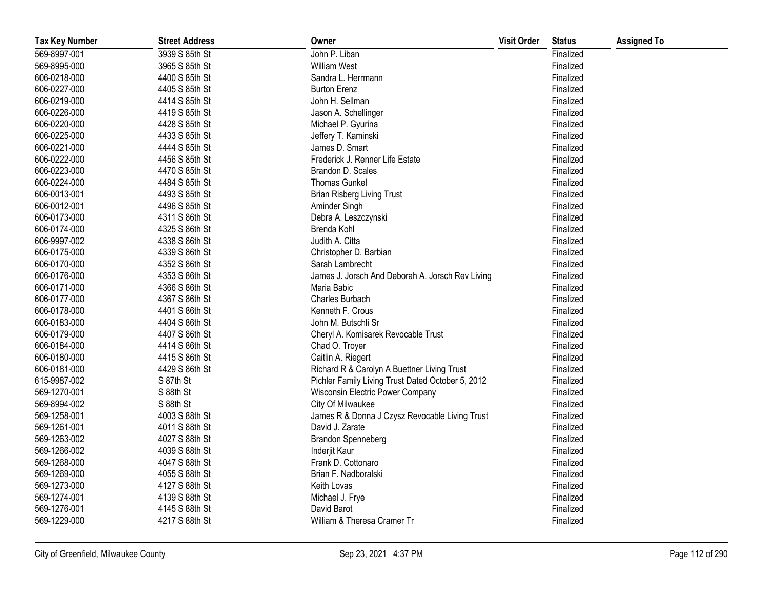| <b>Tax Key Number</b> | <b>Street Address</b> | Owner                                             | <b>Visit Order</b> | <b>Status</b> | <b>Assigned To</b> |
|-----------------------|-----------------------|---------------------------------------------------|--------------------|---------------|--------------------|
| 569-8997-001          | 3939 S 85th St        | John P. Liban                                     |                    | Finalized     |                    |
| 569-8995-000          | 3965 S 85th St        | <b>William West</b>                               |                    | Finalized     |                    |
| 606-0218-000          | 4400 S 85th St        | Sandra L. Herrmann                                |                    | Finalized     |                    |
| 606-0227-000          | 4405 S 85th St        | <b>Burton Erenz</b>                               |                    | Finalized     |                    |
| 606-0219-000          | 4414 S 85th St        | John H. Sellman                                   |                    | Finalized     |                    |
| 606-0226-000          | 4419 S 85th St        | Jason A. Schellinger                              |                    | Finalized     |                    |
| 606-0220-000          | 4428 S 85th St        | Michael P. Gyurina                                |                    | Finalized     |                    |
| 606-0225-000          | 4433 S 85th St        | Jeffery T. Kaminski                               |                    | Finalized     |                    |
| 606-0221-000          | 4444 S 85th St        | James D. Smart                                    |                    | Finalized     |                    |
| 606-0222-000          | 4456 S 85th St        | Frederick J. Renner Life Estate                   |                    | Finalized     |                    |
| 606-0223-000          | 4470 S 85th St        | Brandon D. Scales                                 |                    | Finalized     |                    |
| 606-0224-000          | 4484 S 85th St        | <b>Thomas Gunkel</b>                              |                    | Finalized     |                    |
| 606-0013-001          | 4493 S 85th St        | <b>Brian Risberg Living Trust</b>                 |                    | Finalized     |                    |
| 606-0012-001          | 4496 S 85th St        | Aminder Singh                                     |                    | Finalized     |                    |
| 606-0173-000          | 4311 S 86th St        | Debra A. Leszczynski                              |                    | Finalized     |                    |
| 606-0174-000          | 4325 S 86th St        | Brenda Kohl                                       |                    | Finalized     |                    |
| 606-9997-002          | 4338 S 86th St        | Judith A. Citta                                   |                    | Finalized     |                    |
| 606-0175-000          | 4339 S 86th St        | Christopher D. Barbian                            |                    | Finalized     |                    |
| 606-0170-000          | 4352 S 86th St        | Sarah Lambrecht                                   |                    | Finalized     |                    |
| 606-0176-000          | 4353 S 86th St        | James J. Jorsch And Deborah A. Jorsch Rev Living  |                    | Finalized     |                    |
| 606-0171-000          | 4366 S 86th St        | Maria Babic                                       |                    | Finalized     |                    |
| 606-0177-000          | 4367 S 86th St        | Charles Burbach                                   |                    | Finalized     |                    |
| 606-0178-000          | 4401 S 86th St        | Kenneth F. Crous                                  |                    | Finalized     |                    |
| 606-0183-000          | 4404 S 86th St        | John M. Butschli Sr                               |                    | Finalized     |                    |
| 606-0179-000          | 4407 S 86th St        | Cheryl A. Komisarek Revocable Trust               |                    | Finalized     |                    |
| 606-0184-000          | 4414 S 86th St        | Chad O. Troyer                                    |                    | Finalized     |                    |
| 606-0180-000          | 4415 S 86th St        | Caitlin A. Riegert                                |                    | Finalized     |                    |
| 606-0181-000          | 4429 S 86th St        | Richard R & Carolyn A Buettner Living Trust       |                    | Finalized     |                    |
| 615-9987-002          | S 87th St             | Pichler Family Living Trust Dated October 5, 2012 |                    | Finalized     |                    |
| 569-1270-001          | S 88th St             | Wisconsin Electric Power Company                  |                    | Finalized     |                    |
| 569-8994-002          | S 88th St             | City Of Milwaukee                                 |                    | Finalized     |                    |
| 569-1258-001          | 4003 S 88th St        | James R & Donna J Czysz Revocable Living Trust    |                    | Finalized     |                    |
| 569-1261-001          | 4011 S 88th St        | David J. Zarate                                   |                    | Finalized     |                    |
| 569-1263-002          | 4027 S 88th St        | <b>Brandon Spenneberg</b>                         |                    | Finalized     |                    |
| 569-1266-002          | 4039 S 88th St        | Inderjit Kaur                                     |                    | Finalized     |                    |
| 569-1268-000          | 4047 S 88th St        | Frank D. Cottonaro                                |                    | Finalized     |                    |
| 569-1269-000          | 4055 S 88th St        | Brian F. Nadboralski                              |                    | Finalized     |                    |
| 569-1273-000          | 4127 S 88th St        | Keith Lovas                                       |                    | Finalized     |                    |
| 569-1274-001          | 4139 S 88th St        | Michael J. Frye                                   |                    | Finalized     |                    |
| 569-1276-001          | 4145 S 88th St        | David Barot                                       |                    | Finalized     |                    |
| 569-1229-000          | 4217 S 88th St        | William & Theresa Cramer Tr                       |                    | Finalized     |                    |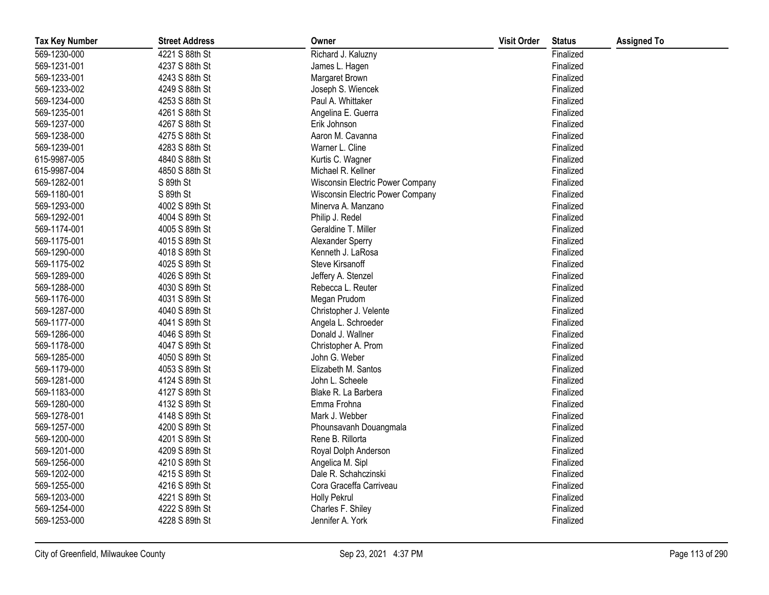| <b>Tax Key Number</b> | <b>Street Address</b> | Owner                            | <b>Visit Order</b> | <b>Status</b> | <b>Assigned To</b> |
|-----------------------|-----------------------|----------------------------------|--------------------|---------------|--------------------|
| 569-1230-000          | 4221 S 88th St        | Richard J. Kaluzny               |                    | Finalized     |                    |
| 569-1231-001          | 4237 S 88th St        | James L. Hagen                   |                    | Finalized     |                    |
| 569-1233-001          | 4243 S 88th St        | Margaret Brown                   |                    | Finalized     |                    |
| 569-1233-002          | 4249 S 88th St        | Joseph S. Wiencek                |                    | Finalized     |                    |
| 569-1234-000          | 4253 S 88th St        | Paul A. Whittaker                |                    | Finalized     |                    |
| 569-1235-001          | 4261 S 88th St        | Angelina E. Guerra               |                    | Finalized     |                    |
| 569-1237-000          | 4267 S 88th St        | Erik Johnson                     |                    | Finalized     |                    |
| 569-1238-000          | 4275 S 88th St        | Aaron M. Cavanna                 |                    | Finalized     |                    |
| 569-1239-001          | 4283 S 88th St        | Warner L. Cline                  |                    | Finalized     |                    |
| 615-9987-005          | 4840 S 88th St        | Kurtis C. Wagner                 |                    | Finalized     |                    |
| 615-9987-004          | 4850 S 88th St        | Michael R. Kellner               |                    | Finalized     |                    |
| 569-1282-001          | S 89th St             | Wisconsin Electric Power Company |                    | Finalized     |                    |
| 569-1180-001          | S 89th St             | Wisconsin Electric Power Company |                    | Finalized     |                    |
| 569-1293-000          | 4002 S 89th St        | Minerva A. Manzano               |                    | Finalized     |                    |
| 569-1292-001          | 4004 S 89th St        | Philip J. Redel                  |                    | Finalized     |                    |
| 569-1174-001          | 4005 S 89th St        | Geraldine T. Miller              |                    | Finalized     |                    |
| 569-1175-001          | 4015 S 89th St        | Alexander Sperry                 |                    | Finalized     |                    |
| 569-1290-000          | 4018 S 89th St        | Kenneth J. LaRosa                |                    | Finalized     |                    |
| 569-1175-002          | 4025 S 89th St        | Steve Kirsanoff                  |                    | Finalized     |                    |
| 569-1289-000          | 4026 S 89th St        | Jeffery A. Stenzel               |                    | Finalized     |                    |
| 569-1288-000          | 4030 S 89th St        | Rebecca L. Reuter                |                    | Finalized     |                    |
| 569-1176-000          | 4031 S 89th St        | Megan Prudom                     |                    | Finalized     |                    |
| 569-1287-000          | 4040 S 89th St        | Christopher J. Velente           |                    | Finalized     |                    |
| 569-1177-000          | 4041 S 89th St        | Angela L. Schroeder              |                    | Finalized     |                    |
| 569-1286-000          | 4046 S 89th St        | Donald J. Wallner                |                    | Finalized     |                    |
| 569-1178-000          | 4047 S 89th St        | Christopher A. Prom              |                    | Finalized     |                    |
| 569-1285-000          | 4050 S 89th St        | John G. Weber                    |                    | Finalized     |                    |
| 569-1179-000          | 4053 S 89th St        | Elizabeth M. Santos              |                    | Finalized     |                    |
| 569-1281-000          | 4124 S 89th St        | John L. Scheele                  |                    | Finalized     |                    |
| 569-1183-000          | 4127 S 89th St        | Blake R. La Barbera              |                    | Finalized     |                    |
| 569-1280-000          | 4132 S 89th St        | Emma Frohna                      |                    | Finalized     |                    |
| 569-1278-001          | 4148 S 89th St        | Mark J. Webber                   |                    | Finalized     |                    |
| 569-1257-000          | 4200 S 89th St        | Phounsavanh Douangmala           |                    | Finalized     |                    |
| 569-1200-000          | 4201 S 89th St        | Rene B. Rillorta                 |                    | Finalized     |                    |
| 569-1201-000          | 4209 S 89th St        | Royal Dolph Anderson             |                    | Finalized     |                    |
| 569-1256-000          | 4210 S 89th St        | Angelica M. Sipl                 |                    | Finalized     |                    |
| 569-1202-000          | 4215 S 89th St        | Dale R. Schahczinski             |                    | Finalized     |                    |
| 569-1255-000          | 4216 S 89th St        | Cora Graceffa Carriveau          |                    | Finalized     |                    |
| 569-1203-000          | 4221 S 89th St        | <b>Holly Pekrul</b>              |                    | Finalized     |                    |
| 569-1254-000          | 4222 S 89th St        | Charles F. Shiley                |                    | Finalized     |                    |
| 569-1253-000          | 4228 S 89th St        | Jennifer A. York                 |                    | Finalized     |                    |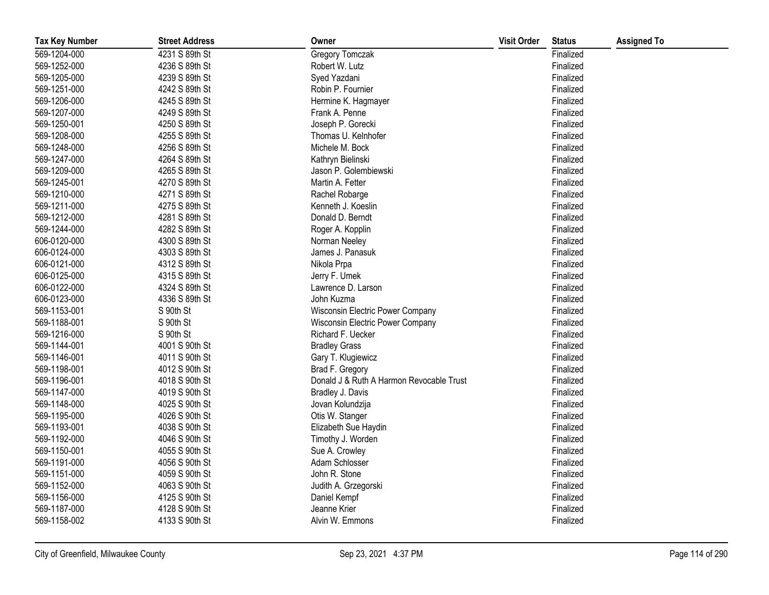| <b>Tax Key Number</b> | <b>Street Address</b> | Owner                                    | <b>Visit Order</b> | <b>Status</b> | <b>Assigned To</b> |
|-----------------------|-----------------------|------------------------------------------|--------------------|---------------|--------------------|
| 569-1204-000          | 4231 S 89th St        | Gregory Tomczak                          |                    | Finalized     |                    |
| 569-1252-000          | 4236 S 89th St        | Robert W. Lutz                           |                    | Finalized     |                    |
| 569-1205-000          | 4239 S 89th St        | Syed Yazdani                             |                    | Finalized     |                    |
| 569-1251-000          | 4242 S 89th St        | Robin P. Fournier                        |                    | Finalized     |                    |
| 569-1206-000          | 4245 S 89th St        | Hermine K. Hagmayer                      |                    | Finalized     |                    |
| 569-1207-000          | 4249 S 89th St        | Frank A. Penne                           |                    | Finalized     |                    |
| 569-1250-001          | 4250 S 89th St        | Joseph P. Gorecki                        |                    | Finalized     |                    |
| 569-1208-000          | 4255 S 89th St        | Thomas U. Kelnhofer                      |                    | Finalized     |                    |
| 569-1248-000          | 4256 S 89th St        | Michele M. Bock                          |                    | Finalized     |                    |
| 569-1247-000          | 4264 S 89th St        | Kathryn Bielinski                        |                    | Finalized     |                    |
| 569-1209-000          | 4265 S 89th St        | Jason P. Golembiewski                    |                    | Finalized     |                    |
| 569-1245-001          | 4270 S 89th St        | Martin A. Fetter                         |                    | Finalized     |                    |
| 569-1210-000          | 4271 S 89th St        | Rachel Robarge                           |                    | Finalized     |                    |
| 569-1211-000          | 4275 S 89th St        | Kenneth J. Koeslin                       |                    | Finalized     |                    |
| 569-1212-000          | 4281 S 89th St        | Donald D. Berndt                         |                    | Finalized     |                    |
| 569-1244-000          | 4282 S 89th St        | Roger A. Kopplin                         |                    | Finalized     |                    |
| 606-0120-000          | 4300 S 89th St        | Norman Neeley                            |                    | Finalized     |                    |
| 606-0124-000          | 4303 S 89th St        | James J. Panasuk                         |                    | Finalized     |                    |
| 606-0121-000          | 4312 S 89th St        | Nikola Prpa                              |                    | Finalized     |                    |
| 606-0125-000          | 4315 S 89th St        | Jerry F. Umek                            |                    | Finalized     |                    |
| 606-0122-000          | 4324 S 89th St        | Lawrence D. Larson                       |                    | Finalized     |                    |
| 606-0123-000          | 4336 S 89th St        | John Kuzma                               |                    | Finalized     |                    |
| 569-1153-001          | S 90th St             | Wisconsin Electric Power Company         |                    | Finalized     |                    |
| 569-1188-001          | S 90th St             | Wisconsin Electric Power Company         |                    | Finalized     |                    |
| 569-1216-000          | S 90th St             | Richard F. Uecker                        |                    | Finalized     |                    |
| 569-1144-001          | 4001 S 90th St        | <b>Bradley Grass</b>                     |                    | Finalized     |                    |
| 569-1146-001          | 4011 S 90th St        | Gary T. Klugiewicz                       |                    | Finalized     |                    |
| 569-1198-001          | 4012 S 90th St        | Brad F. Gregory                          |                    | Finalized     |                    |
| 569-1196-001          | 4018 S 90th St        | Donald J & Ruth A Harmon Revocable Trust |                    | Finalized     |                    |
| 569-1147-000          | 4019 S 90th St        | Bradley J. Davis                         |                    | Finalized     |                    |
| 569-1148-000          | 4025 S 90th St        | Jovan Kolundzija                         |                    | Finalized     |                    |
| 569-1195-000          | 4026 S 90th St        | Otis W. Stanger                          |                    | Finalized     |                    |
| 569-1193-001          | 4038 S 90th St        | Elizabeth Sue Haydin                     |                    | Finalized     |                    |
| 569-1192-000          | 4046 S 90th St        | Timothy J. Worden                        |                    | Finalized     |                    |
| 569-1150-001          | 4055 S 90th St        | Sue A. Crowley                           |                    | Finalized     |                    |
| 569-1191-000          | 4056 S 90th St        | Adam Schlosser                           |                    | Finalized     |                    |
| 569-1151-000          | 4059 S 90th St        | John R. Stone                            |                    | Finalized     |                    |
| 569-1152-000          | 4063 S 90th St        | Judith A. Grzegorski                     |                    | Finalized     |                    |
| 569-1156-000          | 4125 S 90th St        | Daniel Kempf                             |                    | Finalized     |                    |
| 569-1187-000          | 4128 S 90th St        | Jeanne Krier                             |                    | Finalized     |                    |
| 569-1158-002          | 4133 S 90th St        | Alvin W. Emmons                          |                    | Finalized     |                    |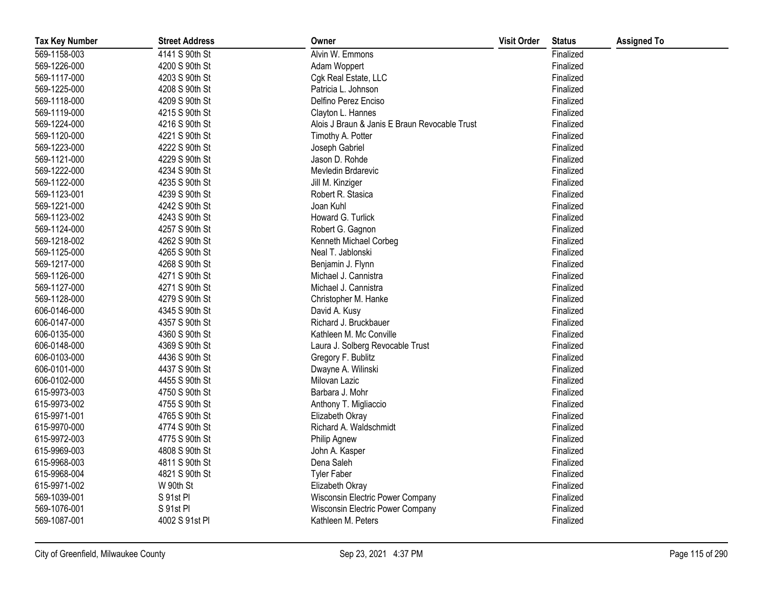| <b>Tax Key Number</b> | <b>Street Address</b> | Owner                                         | <b>Visit Order</b> | <b>Status</b> | <b>Assigned To</b> |
|-----------------------|-----------------------|-----------------------------------------------|--------------------|---------------|--------------------|
| 569-1158-003          | 4141 S 90th St        | Alvin W. Emmons                               |                    | Finalized     |                    |
| 569-1226-000          | 4200 S 90th St        | Adam Woppert                                  |                    | Finalized     |                    |
| 569-1117-000          | 4203 S 90th St        | Cgk Real Estate, LLC                          |                    | Finalized     |                    |
| 569-1225-000          | 4208 S 90th St        | Patricia L. Johnson                           |                    | Finalized     |                    |
| 569-1118-000          | 4209 S 90th St        | Delfino Perez Enciso                          |                    | Finalized     |                    |
| 569-1119-000          | 4215 S 90th St        | Clayton L. Hannes                             |                    | Finalized     |                    |
| 569-1224-000          | 4216 S 90th St        | Alois J Braun & Janis E Braun Revocable Trust |                    | Finalized     |                    |
| 569-1120-000          | 4221 S 90th St        | Timothy A. Potter                             |                    | Finalized     |                    |
| 569-1223-000          | 4222 S 90th St        | Joseph Gabriel                                |                    | Finalized     |                    |
| 569-1121-000          | 4229 S 90th St        | Jason D. Rohde                                |                    | Finalized     |                    |
| 569-1222-000          | 4234 S 90th St        | Mevledin Brdarevic                            |                    | Finalized     |                    |
| 569-1122-000          | 4235 S 90th St        | Jill M. Kinziger                              |                    | Finalized     |                    |
| 569-1123-001          | 4239 S 90th St        | Robert R. Stasica                             |                    | Finalized     |                    |
| 569-1221-000          | 4242 S 90th St        | Joan Kuhl                                     |                    | Finalized     |                    |
| 569-1123-002          | 4243 S 90th St        | Howard G. Turlick                             |                    | Finalized     |                    |
| 569-1124-000          | 4257 S 90th St        | Robert G. Gagnon                              |                    | Finalized     |                    |
| 569-1218-002          | 4262 S 90th St        | Kenneth Michael Corbeg                        |                    | Finalized     |                    |
| 569-1125-000          | 4265 S 90th St        | Neal T. Jablonski                             |                    | Finalized     |                    |
| 569-1217-000          | 4268 S 90th St        | Benjamin J. Flynn                             |                    | Finalized     |                    |
| 569-1126-000          | 4271 S 90th St        | Michael J. Cannistra                          |                    | Finalized     |                    |
| 569-1127-000          | 4271 S 90th St        | Michael J. Cannistra                          |                    | Finalized     |                    |
| 569-1128-000          | 4279 S 90th St        | Christopher M. Hanke                          |                    | Finalized     |                    |
| 606-0146-000          | 4345 S 90th St        | David A. Kusy                                 |                    | Finalized     |                    |
| 606-0147-000          | 4357 S 90th St        | Richard J. Bruckbauer                         |                    | Finalized     |                    |
| 606-0135-000          | 4360 S 90th St        | Kathleen M. Mc Conville                       |                    | Finalized     |                    |
| 606-0148-000          | 4369 S 90th St        | Laura J. Solberg Revocable Trust              |                    | Finalized     |                    |
| 606-0103-000          | 4436 S 90th St        | Gregory F. Bublitz                            |                    | Finalized     |                    |
| 606-0101-000          | 4437 S 90th St        | Dwayne A. Wilinski                            |                    | Finalized     |                    |
| 606-0102-000          | 4455 S 90th St        | Milovan Lazic                                 |                    | Finalized     |                    |
| 615-9973-003          | 4750 S 90th St        | Barbara J. Mohr                               |                    | Finalized     |                    |
| 615-9973-002          | 4755 S 90th St        | Anthony T. Migliaccio                         |                    | Finalized     |                    |
| 615-9971-001          | 4765 S 90th St        | Elizabeth Okray                               |                    | Finalized     |                    |
| 615-9970-000          | 4774 S 90th St        | Richard A. Waldschmidt                        |                    | Finalized     |                    |
| 615-9972-003          | 4775 S 90th St        | Philip Agnew                                  |                    | Finalized     |                    |
| 615-9969-003          | 4808 S 90th St        | John A. Kasper                                |                    | Finalized     |                    |
| 615-9968-003          | 4811 S 90th St        | Dena Saleh                                    |                    | Finalized     |                    |
| 615-9968-004          | 4821 S 90th St        | <b>Tyler Faber</b>                            |                    | Finalized     |                    |
| 615-9971-002          | W 90th St             | Elizabeth Okray                               |                    | Finalized     |                    |
| 569-1039-001          | S 91st PI             | Wisconsin Electric Power Company              |                    | Finalized     |                    |
| 569-1076-001          | S 91st Pl             | Wisconsin Electric Power Company              |                    | Finalized     |                    |
| 569-1087-001          | 4002 S 91st PI        | Kathleen M. Peters                            |                    | Finalized     |                    |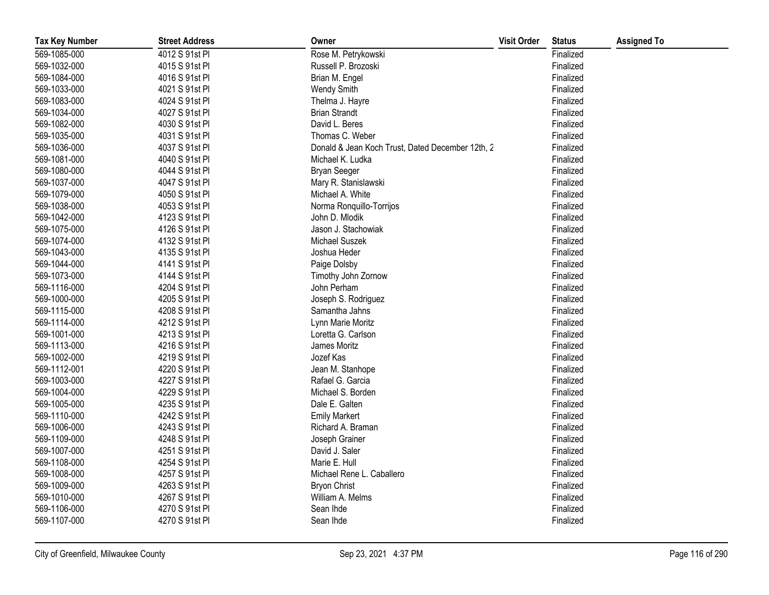| <b>Tax Key Number</b> | <b>Street Address</b> | Owner                                            | <b>Visit Order</b> | <b>Status</b> | <b>Assigned To</b> |
|-----------------------|-----------------------|--------------------------------------------------|--------------------|---------------|--------------------|
| 569-1085-000          | 4012 S 91st PI        | Rose M. Petrykowski                              |                    | Finalized     |                    |
| 569-1032-000          | 4015 S 91st PI        | Russell P. Brozoski                              |                    | Finalized     |                    |
| 569-1084-000          | 4016 S 91st PI        | Brian M. Engel                                   |                    | Finalized     |                    |
| 569-1033-000          | 4021 S 91st PI        | Wendy Smith                                      |                    | Finalized     |                    |
| 569-1083-000          | 4024 S 91st PI        | Thelma J. Hayre                                  |                    | Finalized     |                    |
| 569-1034-000          | 4027 S 91st PI        | <b>Brian Strandt</b>                             |                    | Finalized     |                    |
| 569-1082-000          | 4030 S 91st PI        | David L. Beres                                   |                    | Finalized     |                    |
| 569-1035-000          | 4031 S 91st PI        | Thomas C. Weber                                  |                    | Finalized     |                    |
| 569-1036-000          | 4037 S 91st PI        | Donald & Jean Koch Trust, Dated December 12th, 2 |                    | Finalized     |                    |
| 569-1081-000          | 4040 S 91st PI        | Michael K. Ludka                                 |                    | Finalized     |                    |
| 569-1080-000          | 4044 S 91st PI        | <b>Bryan Seeger</b>                              |                    | Finalized     |                    |
| 569-1037-000          | 4047 S 91st PI        | Mary R. Stanislawski                             |                    | Finalized     |                    |
| 569-1079-000          | 4050 S 91st PI        | Michael A. White                                 |                    | Finalized     |                    |
| 569-1038-000          | 4053 S 91st PI        | Norma Ronquillo-Torrijos                         |                    | Finalized     |                    |
| 569-1042-000          | 4123 S 91st PI        | John D. Mlodik                                   |                    | Finalized     |                    |
| 569-1075-000          | 4126 S 91st PI        | Jason J. Stachowiak                              |                    | Finalized     |                    |
| 569-1074-000          | 4132 S 91st PI        | Michael Suszek                                   |                    | Finalized     |                    |
| 569-1043-000          | 4135 S 91st PI        | Joshua Heder                                     |                    | Finalized     |                    |
| 569-1044-000          | 4141 S 91st PI        | Paige Dolsby                                     |                    | Finalized     |                    |
| 569-1073-000          | 4144 S 91st PI        | Timothy John Zornow                              |                    | Finalized     |                    |
| 569-1116-000          | 4204 S 91st PI        | John Perham                                      |                    | Finalized     |                    |
| 569-1000-000          | 4205 S 91st PI        | Joseph S. Rodriguez                              |                    | Finalized     |                    |
| 569-1115-000          | 4208 S 91st PI        | Samantha Jahns                                   |                    | Finalized     |                    |
| 569-1114-000          | 4212 S 91st PI        | Lynn Marie Moritz                                |                    | Finalized     |                    |
| 569-1001-000          | 4213 S 91st PI        | Loretta G. Carlson                               |                    | Finalized     |                    |
| 569-1113-000          | 4216 S 91st Pl        | James Moritz                                     |                    | Finalized     |                    |
| 569-1002-000          | 4219 S 91st PI        | Jozef Kas                                        |                    | Finalized     |                    |
| 569-1112-001          | 4220 S 91st PI        | Jean M. Stanhope                                 |                    | Finalized     |                    |
| 569-1003-000          | 4227 S 91st PI        | Rafael G. Garcia                                 |                    | Finalized     |                    |
| 569-1004-000          | 4229 S 91st PI        | Michael S. Borden                                |                    | Finalized     |                    |
| 569-1005-000          | 4235 S 91st PI        | Dale E. Galten                                   |                    | Finalized     |                    |
| 569-1110-000          | 4242 S 91st PI        | <b>Emily Markert</b>                             |                    | Finalized     |                    |
| 569-1006-000          | 4243 S 91st PI        | Richard A. Braman                                |                    | Finalized     |                    |
| 569-1109-000          | 4248 S 91st Pl        | Joseph Grainer                                   |                    | Finalized     |                    |
| 569-1007-000          | 4251 S 91st PI        | David J. Saler                                   |                    | Finalized     |                    |
| 569-1108-000          | 4254 S 91st PI        | Marie E. Hull                                    |                    | Finalized     |                    |
| 569-1008-000          | 4257 S 91st PI        | Michael Rene L. Caballero                        |                    | Finalized     |                    |
| 569-1009-000          | 4263 S 91st PI        | <b>Bryon Christ</b>                              |                    | Finalized     |                    |
| 569-1010-000          | 4267 S 91st PI        | William A. Melms                                 |                    | Finalized     |                    |
| 569-1106-000          | 4270 S 91st PI        | Sean Ihde                                        |                    | Finalized     |                    |
| 569-1107-000          | 4270 S 91st PI        | Sean Ihde                                        |                    | Finalized     |                    |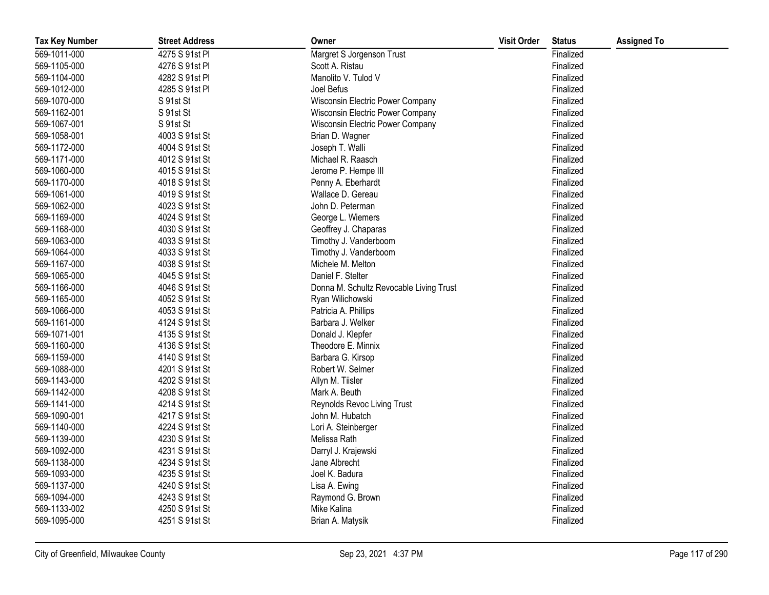| <b>Tax Key Number</b> | <b>Street Address</b> | Owner                                   | <b>Visit Order</b> | <b>Status</b> | <b>Assigned To</b> |
|-----------------------|-----------------------|-----------------------------------------|--------------------|---------------|--------------------|
| 569-1011-000          | 4275 S 91st PI        | Margret S Jorgenson Trust               |                    | Finalized     |                    |
| 569-1105-000          | 4276 S 91st Pl        | Scott A. Ristau                         |                    | Finalized     |                    |
| 569-1104-000          | 4282 S 91st Pl        | Manolito V. Tulod V                     |                    | Finalized     |                    |
| 569-1012-000          | 4285 S 91st Pl        | Joel Befus                              |                    | Finalized     |                    |
| 569-1070-000          | S 91st St             | Wisconsin Electric Power Company        |                    | Finalized     |                    |
| 569-1162-001          | S 91st St             | Wisconsin Electric Power Company        |                    | Finalized     |                    |
| 569-1067-001          | S 91st St             | Wisconsin Electric Power Company        |                    | Finalized     |                    |
| 569-1058-001          | 4003 S 91st St        | Brian D. Wagner                         |                    | Finalized     |                    |
| 569-1172-000          | 4004 S 91st St        | Joseph T. Walli                         |                    | Finalized     |                    |
| 569-1171-000          | 4012 S 91st St        | Michael R. Raasch                       |                    | Finalized     |                    |
| 569-1060-000          | 4015 S 91st St        | Jerome P. Hempe III                     |                    | Finalized     |                    |
| 569-1170-000          | 4018 S 91st St        | Penny A. Eberhardt                      |                    | Finalized     |                    |
| 569-1061-000          | 4019 S 91st St        | Wallace D. Gereau                       |                    | Finalized     |                    |
| 569-1062-000          | 4023 S 91st St        | John D. Peterman                        |                    | Finalized     |                    |
| 569-1169-000          | 4024 S 91st St        | George L. Wiemers                       |                    | Finalized     |                    |
| 569-1168-000          | 4030 S 91st St        | Geoffrey J. Chaparas                    |                    | Finalized     |                    |
| 569-1063-000          | 4033 S 91st St        | Timothy J. Vanderboom                   |                    | Finalized     |                    |
| 569-1064-000          | 4033 S 91st St        | Timothy J. Vanderboom                   |                    | Finalized     |                    |
| 569-1167-000          | 4038 S 91st St        | Michele M. Melton                       |                    | Finalized     |                    |
| 569-1065-000          | 4045 S 91st St        | Daniel F. Stelter                       |                    | Finalized     |                    |
| 569-1166-000          | 4046 S 91st St        | Donna M. Schultz Revocable Living Trust |                    | Finalized     |                    |
| 569-1165-000          | 4052 S 91st St        | Ryan Wilichowski                        |                    | Finalized     |                    |
| 569-1066-000          | 4053 S 91st St        | Patricia A. Phillips                    |                    | Finalized     |                    |
| 569-1161-000          | 4124 S 91st St        | Barbara J. Welker                       |                    | Finalized     |                    |
| 569-1071-001          | 4135 S 91st St        | Donald J. Klepfer                       |                    | Finalized     |                    |
| 569-1160-000          | 4136 S 91st St        | Theodore E. Minnix                      |                    | Finalized     |                    |
| 569-1159-000          | 4140 S 91st St        | Barbara G. Kirsop                       |                    | Finalized     |                    |
| 569-1088-000          | 4201 S 91st St        | Robert W. Selmer                        |                    | Finalized     |                    |
| 569-1143-000          | 4202 S 91st St        | Allyn M. Tiisler                        |                    | Finalized     |                    |
| 569-1142-000          | 4208 S 91st St        | Mark A. Beuth                           |                    | Finalized     |                    |
| 569-1141-000          | 4214 S 91st St        | Reynolds Revoc Living Trust             |                    | Finalized     |                    |
| 569-1090-001          | 4217 S 91st St        | John M. Hubatch                         |                    | Finalized     |                    |
| 569-1140-000          | 4224 S 91st St        | Lori A. Steinberger                     |                    | Finalized     |                    |
| 569-1139-000          | 4230 S 91st St        | Melissa Rath                            |                    | Finalized     |                    |
| 569-1092-000          | 4231 S 91st St        | Darryl J. Krajewski                     |                    | Finalized     |                    |
| 569-1138-000          | 4234 S 91st St        | Jane Albrecht                           |                    | Finalized     |                    |
| 569-1093-000          | 4235 S 91st St        | Joel K. Badura                          |                    | Finalized     |                    |
| 569-1137-000          | 4240 S 91st St        | Lisa A. Ewing                           |                    | Finalized     |                    |
| 569-1094-000          | 4243 S 91st St        | Raymond G. Brown                        |                    | Finalized     |                    |
| 569-1133-002          | 4250 S 91st St        | Mike Kalina                             |                    | Finalized     |                    |
| 569-1095-000          | 4251 S 91st St        | Brian A. Matysik                        |                    | Finalized     |                    |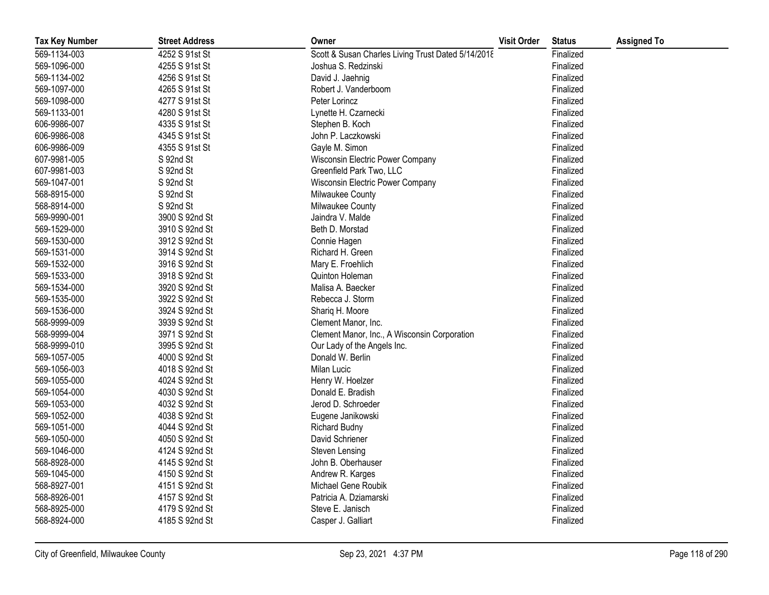| <b>Tax Key Number</b> | <b>Street Address</b> | Owner                                              | <b>Visit Order</b> | <b>Status</b> | <b>Assigned To</b> |
|-----------------------|-----------------------|----------------------------------------------------|--------------------|---------------|--------------------|
| 569-1134-003          | 4252 S 91st St        | Scott & Susan Charles Living Trust Dated 5/14/2018 |                    | Finalized     |                    |
| 569-1096-000          | 4255 S 91st St        | Joshua S. Redzinski                                |                    | Finalized     |                    |
| 569-1134-002          | 4256 S 91st St        | David J. Jaehnig                                   |                    | Finalized     |                    |
| 569-1097-000          | 4265 S 91st St        | Robert J. Vanderboom                               |                    | Finalized     |                    |
| 569-1098-000          | 4277 S 91st St        | Peter Lorincz                                      |                    | Finalized     |                    |
| 569-1133-001          | 4280 S 91st St        | Lynette H. Czarnecki                               |                    | Finalized     |                    |
| 606-9986-007          | 4335 S 91st St        | Stephen B. Koch                                    |                    | Finalized     |                    |
| 606-9986-008          | 4345 S 91st St        | John P. Laczkowski                                 |                    | Finalized     |                    |
| 606-9986-009          | 4355 S 91st St        | Gayle M. Simon                                     |                    | Finalized     |                    |
| 607-9981-005          | S 92nd St             | Wisconsin Electric Power Company                   |                    | Finalized     |                    |
| 607-9981-003          | S 92nd St             | Greenfield Park Two, LLC                           |                    | Finalized     |                    |
| 569-1047-001          | S 92nd St             | Wisconsin Electric Power Company                   |                    | Finalized     |                    |
| 568-8915-000          | S 92nd St             | Milwaukee County                                   |                    | Finalized     |                    |
| 568-8914-000          | S 92nd St             | Milwaukee County                                   |                    | Finalized     |                    |
| 569-9990-001          | 3900 S 92nd St        | Jaindra V. Malde                                   |                    | Finalized     |                    |
| 569-1529-000          | 3910 S 92nd St        | Beth D. Morstad                                    |                    | Finalized     |                    |
| 569-1530-000          | 3912 S 92nd St        | Connie Hagen                                       |                    | Finalized     |                    |
| 569-1531-000          | 3914 S 92nd St        | Richard H. Green                                   |                    | Finalized     |                    |
| 569-1532-000          | 3916 S 92nd St        | Mary E. Froehlich                                  |                    | Finalized     |                    |
| 569-1533-000          | 3918 S 92nd St        | Quinton Holeman                                    |                    | Finalized     |                    |
| 569-1534-000          | 3920 S 92nd St        | Malisa A. Baecker                                  |                    | Finalized     |                    |
| 569-1535-000          | 3922 S 92nd St        | Rebecca J. Storm                                   |                    | Finalized     |                    |
| 569-1536-000          | 3924 S 92nd St        | Shariq H. Moore                                    |                    | Finalized     |                    |
| 568-9999-009          | 3939 S 92nd St        | Clement Manor, Inc.                                |                    | Finalized     |                    |
| 568-9999-004          | 3971 S 92nd St        | Clement Manor, Inc., A Wisconsin Corporation       |                    | Finalized     |                    |
| 568-9999-010          | 3995 S 92nd St        | Our Lady of the Angels Inc.                        |                    | Finalized     |                    |
| 569-1057-005          | 4000 S 92nd St        | Donald W. Berlin                                   |                    | Finalized     |                    |
| 569-1056-003          | 4018 S 92nd St        | Milan Lucic                                        |                    | Finalized     |                    |
| 569-1055-000          | 4024 S 92nd St        | Henry W. Hoelzer                                   |                    | Finalized     |                    |
| 569-1054-000          | 4030 S 92nd St        | Donald E. Bradish                                  |                    | Finalized     |                    |
| 569-1053-000          | 4032 S 92nd St        | Jerod D. Schroeder                                 |                    | Finalized     |                    |
| 569-1052-000          | 4038 S 92nd St        | Eugene Janikowski                                  |                    | Finalized     |                    |
| 569-1051-000          | 4044 S 92nd St        | <b>Richard Budny</b>                               |                    | Finalized     |                    |
| 569-1050-000          | 4050 S 92nd St        | David Schriener                                    |                    | Finalized     |                    |
| 569-1046-000          | 4124 S 92nd St        | Steven Lensing                                     |                    | Finalized     |                    |
| 568-8928-000          | 4145 S 92nd St        | John B. Oberhauser                                 |                    | Finalized     |                    |
| 569-1045-000          | 4150 S 92nd St        | Andrew R. Karges                                   |                    | Finalized     |                    |
| 568-8927-001          | 4151 S 92nd St        | Michael Gene Roubik                                |                    | Finalized     |                    |
| 568-8926-001          | 4157 S 92nd St        | Patricia A. Dziamarski                             |                    | Finalized     |                    |
| 568-8925-000          | 4179 S 92nd St        | Steve E. Janisch                                   |                    | Finalized     |                    |
| 568-8924-000          | 4185 S 92nd St        | Casper J. Galliart                                 |                    | Finalized     |                    |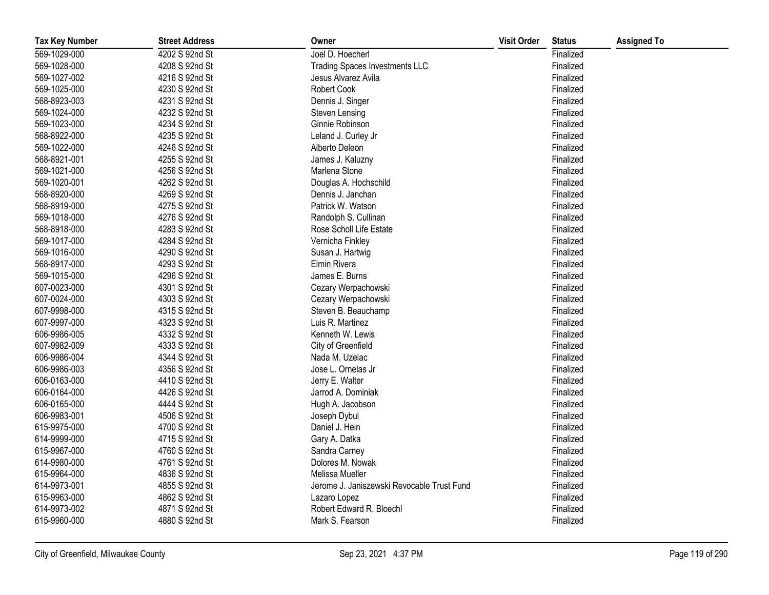| <b>Tax Key Number</b> | <b>Street Address</b> | Owner                                      | <b>Visit Order</b> | <b>Status</b> | <b>Assigned To</b> |
|-----------------------|-----------------------|--------------------------------------------|--------------------|---------------|--------------------|
| 569-1029-000          | 4202 S 92nd St        | Joel D. Hoecherl                           |                    | Finalized     |                    |
| 569-1028-000          | 4208 S 92nd St        | <b>Trading Spaces Investments LLC</b>      |                    | Finalized     |                    |
| 569-1027-002          | 4216 S 92nd St        | Jesus Alvarez Avila                        |                    | Finalized     |                    |
| 569-1025-000          | 4230 S 92nd St        | Robert Cook                                |                    | Finalized     |                    |
| 568-8923-003          | 4231 S 92nd St        | Dennis J. Singer                           |                    | Finalized     |                    |
| 569-1024-000          | 4232 S 92nd St        | Steven Lensing                             |                    | Finalized     |                    |
| 569-1023-000          | 4234 S 92nd St        | Ginnie Robinson                            |                    | Finalized     |                    |
| 568-8922-000          | 4235 S 92nd St        | Leland J. Curley Jr                        |                    | Finalized     |                    |
| 569-1022-000          | 4246 S 92nd St        | Alberto Deleon                             |                    | Finalized     |                    |
| 568-8921-001          | 4255 S 92nd St        | James J. Kaluzny                           |                    | Finalized     |                    |
| 569-1021-000          | 4256 S 92nd St        | Marlena Stone                              |                    | Finalized     |                    |
| 569-1020-001          | 4262 S 92nd St        | Douglas A. Hochschild                      |                    | Finalized     |                    |
| 568-8920-000          | 4269 S 92nd St        | Dennis J. Janchan                          |                    | Finalized     |                    |
| 568-8919-000          | 4275 S 92nd St        | Patrick W. Watson                          |                    | Finalized     |                    |
| 569-1018-000          | 4276 S 92nd St        | Randolph S. Cullinan                       |                    | Finalized     |                    |
| 568-8918-000          | 4283 S 92nd St        | Rose Scholl Life Estate                    |                    | Finalized     |                    |
| 569-1017-000          | 4284 S 92nd St        | Vernicha Finkley                           |                    | Finalized     |                    |
| 569-1016-000          | 4290 S 92nd St        | Susan J. Hartwig                           |                    | Finalized     |                    |
| 568-8917-000          | 4293 S 92nd St        | Elmin Rivera                               |                    | Finalized     |                    |
| 569-1015-000          | 4296 S 92nd St        | James E. Burns                             |                    | Finalized     |                    |
| 607-0023-000          | 4301 S 92nd St        | Cezary Werpachowski                        |                    | Finalized     |                    |
| 607-0024-000          | 4303 S 92nd St        | Cezary Werpachowski                        |                    | Finalized     |                    |
| 607-9998-000          | 4315 S 92nd St        | Steven B. Beauchamp                        |                    | Finalized     |                    |
| 607-9997-000          | 4323 S 92nd St        | Luis R. Martinez                           |                    | Finalized     |                    |
| 606-9986-005          | 4332 S 92nd St        | Kenneth W. Lewis                           |                    | Finalized     |                    |
| 607-9982-009          | 4333 S 92nd St        | City of Greenfield                         |                    | Finalized     |                    |
| 606-9986-004          | 4344 S 92nd St        | Nada M. Uzelac                             |                    | Finalized     |                    |
| 606-9986-003          | 4356 S 92nd St        | Jose L. Ornelas Jr                         |                    | Finalized     |                    |
| 606-0163-000          | 4410 S 92nd St        | Jerry E. Walter                            |                    | Finalized     |                    |
| 606-0164-000          | 4426 S 92nd St        | Jarrod A. Dominiak                         |                    | Finalized     |                    |
| 606-0165-000          | 4444 S 92nd St        | Hugh A. Jacobson                           |                    | Finalized     |                    |
| 606-9983-001          | 4506 S 92nd St        | Joseph Dybul                               |                    | Finalized     |                    |
| 615-9975-000          | 4700 S 92nd St        | Daniel J. Hein                             |                    | Finalized     |                    |
| 614-9999-000          | 4715 S 92nd St        | Gary A. Datka                              |                    | Finalized     |                    |
| 615-9967-000          | 4760 S 92nd St        | Sandra Carney                              |                    | Finalized     |                    |
| 614-9980-000          | 4761 S 92nd St        | Dolores M. Nowak                           |                    | Finalized     |                    |
| 615-9964-000          | 4836 S 92nd St        | Melissa Mueller                            |                    | Finalized     |                    |
| 614-9973-001          | 4855 S 92nd St        | Jerome J. Janiszewski Revocable Trust Fund |                    | Finalized     |                    |
| 615-9963-000          | 4862 S 92nd St        | Lazaro Lopez                               |                    | Finalized     |                    |
| 614-9973-002          | 4871 S 92nd St        | Robert Edward R. Bloechl                   |                    | Finalized     |                    |
| 615-9960-000          | 4880 S 92nd St        | Mark S. Fearson                            |                    | Finalized     |                    |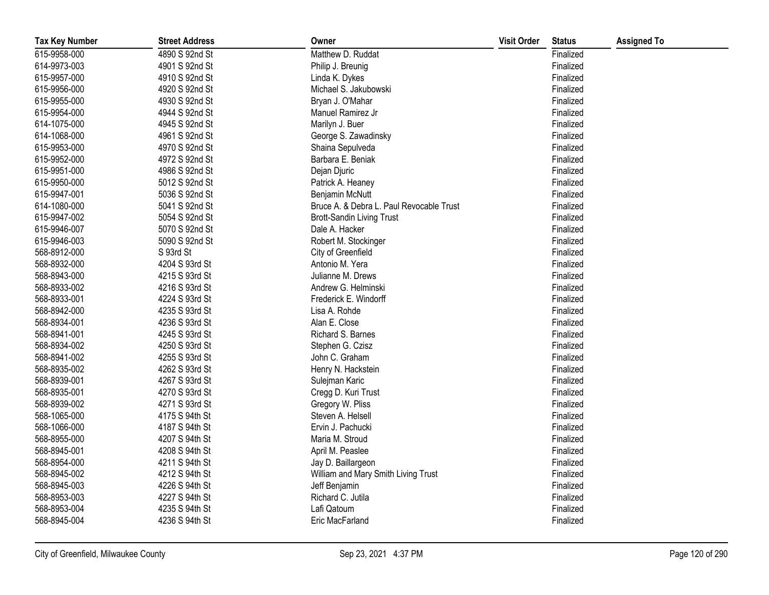| <b>Tax Key Number</b> | <b>Street Address</b> | Owner                                    | <b>Visit Order</b> | <b>Status</b> | <b>Assigned To</b> |
|-----------------------|-----------------------|------------------------------------------|--------------------|---------------|--------------------|
| 615-9958-000          | 4890 S 92nd St        | Matthew D. Ruddat                        |                    | Finalized     |                    |
| 614-9973-003          | 4901 S 92nd St        | Philip J. Breunig                        |                    | Finalized     |                    |
| 615-9957-000          | 4910 S 92nd St        | Linda K. Dykes                           |                    | Finalized     |                    |
| 615-9956-000          | 4920 S 92nd St        | Michael S. Jakubowski                    |                    | Finalized     |                    |
| 615-9955-000          | 4930 S 92nd St        | Bryan J. O'Mahar                         |                    | Finalized     |                    |
| 615-9954-000          | 4944 S 92nd St        | Manuel Ramirez Jr                        |                    | Finalized     |                    |
| 614-1075-000          | 4945 S 92nd St        | Marilyn J. Buer                          |                    | Finalized     |                    |
| 614-1068-000          | 4961 S 92nd St        | George S. Zawadinsky                     |                    | Finalized     |                    |
| 615-9953-000          | 4970 S 92nd St        | Shaina Sepulveda                         |                    | Finalized     |                    |
| 615-9952-000          | 4972 S 92nd St        | Barbara E. Beniak                        |                    | Finalized     |                    |
| 615-9951-000          | 4986 S 92nd St        | Dejan Djuric                             |                    | Finalized     |                    |
| 615-9950-000          | 5012 S 92nd St        | Patrick A. Heaney                        |                    | Finalized     |                    |
| 615-9947-001          | 5036 S 92nd St        | Benjamin McNutt                          |                    | Finalized     |                    |
| 614-1080-000          | 5041 S 92nd St        | Bruce A. & Debra L. Paul Revocable Trust |                    | Finalized     |                    |
| 615-9947-002          | 5054 S 92nd St        | <b>Brott-Sandin Living Trust</b>         |                    | Finalized     |                    |
| 615-9946-007          | 5070 S 92nd St        | Dale A. Hacker                           |                    | Finalized     |                    |
| 615-9946-003          | 5090 S 92nd St        | Robert M. Stockinger                     |                    | Finalized     |                    |
| 568-8912-000          | S 93rd St             | City of Greenfield                       |                    | Finalized     |                    |
| 568-8932-000          | 4204 S 93rd St        | Antonio M. Yera                          |                    | Finalized     |                    |
| 568-8943-000          | 4215 S 93rd St        | Julianne M. Drews                        |                    | Finalized     |                    |
| 568-8933-002          | 4216 S 93rd St        | Andrew G. Helminski                      |                    | Finalized     |                    |
| 568-8933-001          | 4224 S 93rd St        | Frederick E. Windorff                    |                    | Finalized     |                    |
| 568-8942-000          | 4235 S 93rd St        | Lisa A. Rohde                            |                    | Finalized     |                    |
| 568-8934-001          | 4236 S 93rd St        | Alan E. Close                            |                    | Finalized     |                    |
| 568-8941-001          | 4245 S 93rd St        | Richard S. Barnes                        |                    | Finalized     |                    |
| 568-8934-002          | 4250 S 93rd St        | Stephen G. Czisz                         |                    | Finalized     |                    |
| 568-8941-002          | 4255 S 93rd St        | John C. Graham                           |                    | Finalized     |                    |
| 568-8935-002          | 4262 S 93rd St        | Henry N. Hackstein                       |                    | Finalized     |                    |
| 568-8939-001          | 4267 S 93rd St        | Sulejman Karic                           |                    | Finalized     |                    |
| 568-8935-001          | 4270 S 93rd St        | Cregg D. Kuri Trust                      |                    | Finalized     |                    |
| 568-8939-002          | 4271 S 93rd St        | Gregory W. Pliss                         |                    | Finalized     |                    |
| 568-1065-000          | 4175 S 94th St        | Steven A. Helsell                        |                    | Finalized     |                    |
| 568-1066-000          | 4187 S 94th St        | Ervin J. Pachucki                        |                    | Finalized     |                    |
| 568-8955-000          | 4207 S 94th St        | Maria M. Stroud                          |                    | Finalized     |                    |
| 568-8945-001          | 4208 S 94th St        | April M. Peaslee                         |                    | Finalized     |                    |
| 568-8954-000          | 4211 S 94th St        | Jay D. Baillargeon                       |                    | Finalized     |                    |
| 568-8945-002          | 4212 S 94th St        | William and Mary Smith Living Trust      |                    | Finalized     |                    |
| 568-8945-003          | 4226 S 94th St        | Jeff Benjamin                            |                    | Finalized     |                    |
| 568-8953-003          | 4227 S 94th St        | Richard C. Jutila                        |                    | Finalized     |                    |
| 568-8953-004          | 4235 S 94th St        | Lafi Qatoum                              |                    | Finalized     |                    |
| 568-8945-004          | 4236 S 94th St        | Eric MacFarland                          |                    | Finalized     |                    |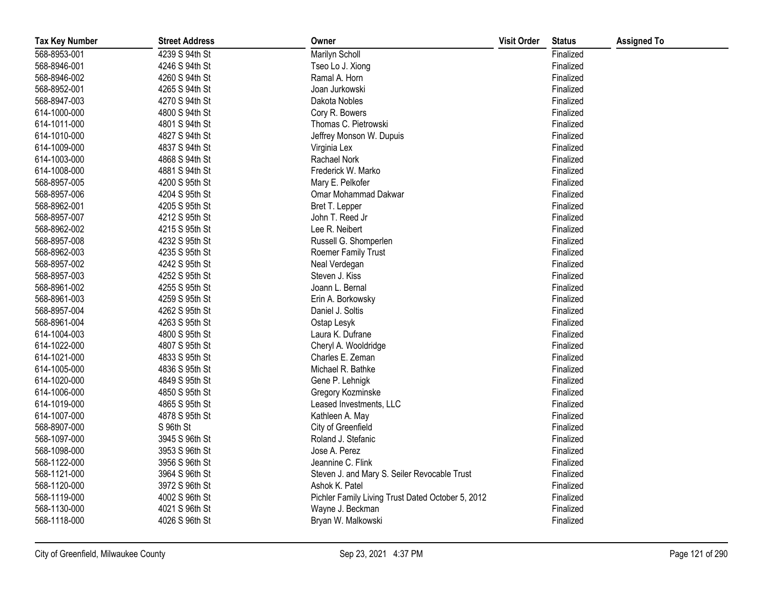| <b>Tax Key Number</b> | <b>Street Address</b> | Owner                                             | <b>Visit Order</b> | <b>Status</b> | <b>Assigned To</b> |
|-----------------------|-----------------------|---------------------------------------------------|--------------------|---------------|--------------------|
| 568-8953-001          | 4239 S 94th St        | Marilyn Scholl                                    |                    | Finalized     |                    |
| 568-8946-001          | 4246 S 94th St        | Tseo Lo J. Xiong                                  |                    | Finalized     |                    |
| 568-8946-002          | 4260 S 94th St        | Ramal A. Horn                                     |                    | Finalized     |                    |
| 568-8952-001          | 4265 S 94th St        | Joan Jurkowski                                    |                    | Finalized     |                    |
| 568-8947-003          | 4270 S 94th St        | Dakota Nobles                                     |                    | Finalized     |                    |
| 614-1000-000          | 4800 S 94th St        | Cory R. Bowers                                    |                    | Finalized     |                    |
| 614-1011-000          | 4801 S 94th St        | Thomas C. Pietrowski                              |                    | Finalized     |                    |
| 614-1010-000          | 4827 S 94th St        | Jeffrey Monson W. Dupuis                          |                    | Finalized     |                    |
| 614-1009-000          | 4837 S 94th St        | Virginia Lex                                      |                    | Finalized     |                    |
| 614-1003-000          | 4868 S 94th St        | Rachael Nork                                      |                    | Finalized     |                    |
| 614-1008-000          | 4881 S 94th St        | Frederick W. Marko                                |                    | Finalized     |                    |
| 568-8957-005          | 4200 S 95th St        | Mary E. Pelkofer                                  |                    | Finalized     |                    |
| 568-8957-006          | 4204 S 95th St        | Omar Mohammad Dakwar                              |                    | Finalized     |                    |
| 568-8962-001          | 4205 S 95th St        | Bret T. Lepper                                    |                    | Finalized     |                    |
| 568-8957-007          | 4212 S 95th St        | John T. Reed Jr                                   |                    | Finalized     |                    |
| 568-8962-002          | 4215 S 95th St        | Lee R. Neibert                                    |                    | Finalized     |                    |
| 568-8957-008          | 4232 S 95th St        | Russell G. Shomperlen                             |                    | Finalized     |                    |
| 568-8962-003          | 4235 S 95th St        | Roemer Family Trust                               |                    | Finalized     |                    |
| 568-8957-002          | 4242 S 95th St        | Neal Verdegan                                     |                    | Finalized     |                    |
| 568-8957-003          | 4252 S 95th St        | Steven J. Kiss                                    |                    | Finalized     |                    |
| 568-8961-002          | 4255 S 95th St        | Joann L. Bernal                                   |                    | Finalized     |                    |
| 568-8961-003          | 4259 S 95th St        | Erin A. Borkowsky                                 |                    | Finalized     |                    |
| 568-8957-004          | 4262 S 95th St        | Daniel J. Soltis                                  |                    | Finalized     |                    |
| 568-8961-004          | 4263 S 95th St        | Ostap Lesyk                                       |                    | Finalized     |                    |
| 614-1004-003          | 4800 S 95th St        | Laura K. Dufrane                                  |                    | Finalized     |                    |
| 614-1022-000          | 4807 S 95th St        | Cheryl A. Wooldridge                              |                    | Finalized     |                    |
| 614-1021-000          | 4833 S 95th St        | Charles E. Zeman                                  |                    | Finalized     |                    |
| 614-1005-000          | 4836 S 95th St        | Michael R. Bathke                                 |                    | Finalized     |                    |
| 614-1020-000          | 4849 S 95th St        | Gene P. Lehnigk                                   |                    | Finalized     |                    |
| 614-1006-000          | 4850 S 95th St        | Gregory Kozminske                                 |                    | Finalized     |                    |
| 614-1019-000          | 4865 S 95th St        | Leased Investments, LLC                           |                    | Finalized     |                    |
| 614-1007-000          | 4878 S 95th St        | Kathleen A. May                                   |                    | Finalized     |                    |
| 568-8907-000          | S 96th St             | City of Greenfield                                |                    | Finalized     |                    |
| 568-1097-000          | 3945 S 96th St        | Roland J. Stefanic                                |                    | Finalized     |                    |
| 568-1098-000          | 3953 S 96th St        | Jose A. Perez                                     |                    | Finalized     |                    |
| 568-1122-000          | 3956 S 96th St        | Jeannine C. Flink                                 |                    | Finalized     |                    |
| 568-1121-000          | 3964 S 96th St        | Steven J. and Mary S. Seiler Revocable Trust      |                    | Finalized     |                    |
| 568-1120-000          | 3972 S 96th St        | Ashok K. Patel                                    |                    | Finalized     |                    |
| 568-1119-000          | 4002 S 96th St        | Pichler Family Living Trust Dated October 5, 2012 |                    | Finalized     |                    |
| 568-1130-000          | 4021 S 96th St        | Wayne J. Beckman                                  |                    | Finalized     |                    |
| 568-1118-000          | 4026 S 96th St        | Bryan W. Malkowski                                |                    | Finalized     |                    |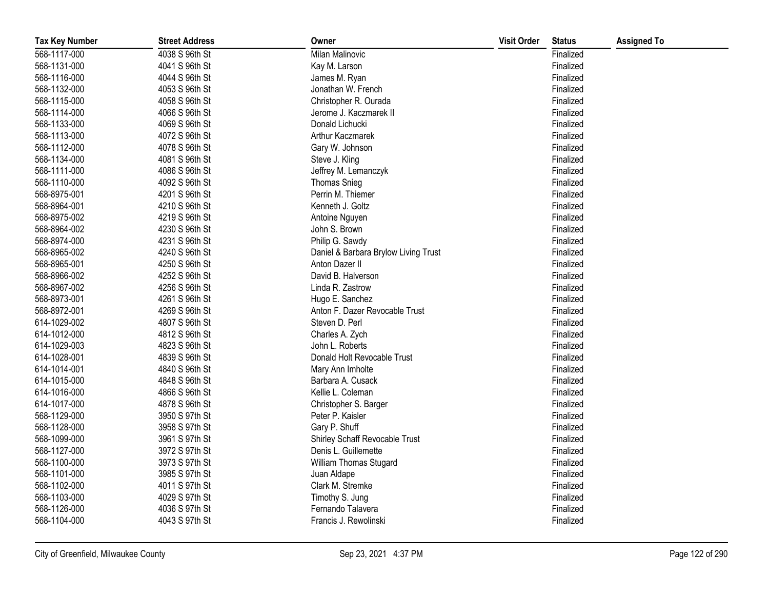| <b>Tax Key Number</b> | <b>Street Address</b> | Owner                                | <b>Visit Order</b> | <b>Status</b> | <b>Assigned To</b> |
|-----------------------|-----------------------|--------------------------------------|--------------------|---------------|--------------------|
| 568-1117-000          | 4038 S 96th St        | Milan Malinovic                      |                    | Finalized     |                    |
| 568-1131-000          | 4041 S 96th St        | Kay M. Larson                        |                    | Finalized     |                    |
| 568-1116-000          | 4044 S 96th St        | James M. Ryan                        |                    | Finalized     |                    |
| 568-1132-000          | 4053 S 96th St        | Jonathan W. French                   |                    | Finalized     |                    |
| 568-1115-000          | 4058 S 96th St        | Christopher R. Ourada                |                    | Finalized     |                    |
| 568-1114-000          | 4066 S 96th St        | Jerome J. Kaczmarek II               |                    | Finalized     |                    |
| 568-1133-000          | 4069 S 96th St        | Donald Lichucki                      |                    | Finalized     |                    |
| 568-1113-000          | 4072 S 96th St        | Arthur Kaczmarek                     |                    | Finalized     |                    |
| 568-1112-000          | 4078 S 96th St        | Gary W. Johnson                      |                    | Finalized     |                    |
| 568-1134-000          | 4081 S 96th St        | Steve J. Kling                       |                    | Finalized     |                    |
| 568-1111-000          | 4086 S 96th St        | Jeffrey M. Lemanczyk                 |                    | Finalized     |                    |
| 568-1110-000          | 4092 S 96th St        | <b>Thomas Snieg</b>                  |                    | Finalized     |                    |
| 568-8975-001          | 4201 S 96th St        | Perrin M. Thiemer                    |                    | Finalized     |                    |
| 568-8964-001          | 4210 S 96th St        | Kenneth J. Goltz                     |                    | Finalized     |                    |
| 568-8975-002          | 4219 S 96th St        | Antoine Nguyen                       |                    | Finalized     |                    |
| 568-8964-002          | 4230 S 96th St        | John S. Brown                        |                    | Finalized     |                    |
| 568-8974-000          | 4231 S 96th St        | Philip G. Sawdy                      |                    | Finalized     |                    |
| 568-8965-002          | 4240 S 96th St        | Daniel & Barbara Brylow Living Trust |                    | Finalized     |                    |
| 568-8965-001          | 4250 S 96th St        | Anton Dazer II                       |                    | Finalized     |                    |
| 568-8966-002          | 4252 S 96th St        | David B. Halverson                   |                    | Finalized     |                    |
| 568-8967-002          | 4256 S 96th St        | Linda R. Zastrow                     |                    | Finalized     |                    |
| 568-8973-001          | 4261 S 96th St        | Hugo E. Sanchez                      |                    | Finalized     |                    |
| 568-8972-001          | 4269 S 96th St        | Anton F. Dazer Revocable Trust       |                    | Finalized     |                    |
| 614-1029-002          | 4807 S 96th St        | Steven D. Perl                       |                    | Finalized     |                    |
| 614-1012-000          | 4812 S 96th St        | Charles A. Zych                      |                    | Finalized     |                    |
| 614-1029-003          | 4823 S 96th St        | John L. Roberts                      |                    | Finalized     |                    |
| 614-1028-001          | 4839 S 96th St        | Donald Holt Revocable Trust          |                    | Finalized     |                    |
| 614-1014-001          | 4840 S 96th St        | Mary Ann Imholte                     |                    | Finalized     |                    |
| 614-1015-000          | 4848 S 96th St        | Barbara A. Cusack                    |                    | Finalized     |                    |
| 614-1016-000          | 4866 S 96th St        | Kellie L. Coleman                    |                    | Finalized     |                    |
| 614-1017-000          | 4878 S 96th St        | Christopher S. Barger                |                    | Finalized     |                    |
| 568-1129-000          | 3950 S 97th St        | Peter P. Kaisler                     |                    | Finalized     |                    |
| 568-1128-000          | 3958 S 97th St        | Gary P. Shuff                        |                    | Finalized     |                    |
| 568-1099-000          | 3961 S 97th St        | Shirley Schaff Revocable Trust       |                    | Finalized     |                    |
| 568-1127-000          | 3972 S 97th St        | Denis L. Guillemette                 |                    | Finalized     |                    |
| 568-1100-000          | 3973 S 97th St        | William Thomas Stugard               |                    | Finalized     |                    |
| 568-1101-000          | 3985 S 97th St        | Juan Aldape                          |                    | Finalized     |                    |
| 568-1102-000          | 4011 S 97th St        | Clark M. Stremke                     |                    | Finalized     |                    |
| 568-1103-000          | 4029 S 97th St        | Timothy S. Jung                      |                    | Finalized     |                    |
| 568-1126-000          | 4036 S 97th St        | Fernando Talavera                    |                    | Finalized     |                    |
| 568-1104-000          | 4043 S 97th St        | Francis J. Rewolinski                |                    | Finalized     |                    |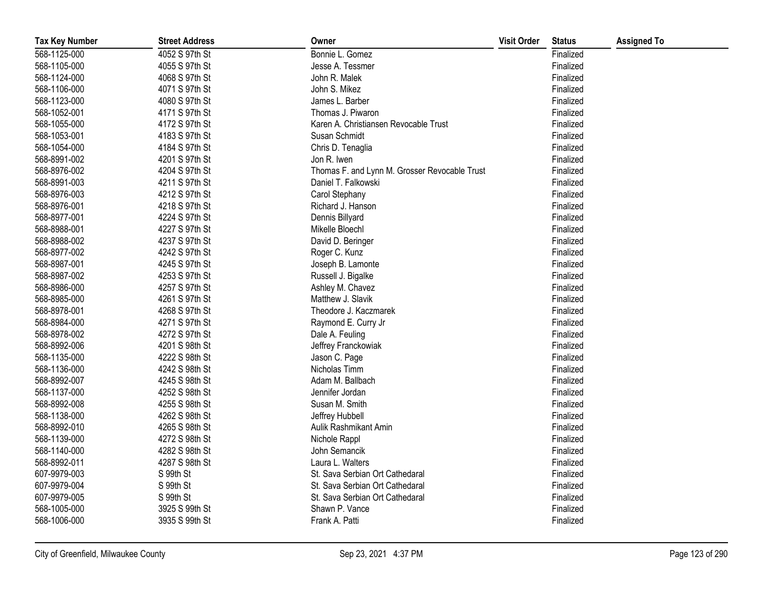| <b>Tax Key Number</b> | <b>Street Address</b> | Owner                                         | <b>Visit Order</b> | <b>Status</b> | <b>Assigned To</b> |
|-----------------------|-----------------------|-----------------------------------------------|--------------------|---------------|--------------------|
| 568-1125-000          | 4052 S 97th St        | Bonnie L. Gomez                               |                    | Finalized     |                    |
| 568-1105-000          | 4055 S 97th St        | Jesse A. Tessmer                              |                    | Finalized     |                    |
| 568-1124-000          | 4068 S 97th St        | John R. Malek                                 |                    | Finalized     |                    |
| 568-1106-000          | 4071 S 97th St        | John S. Mikez                                 |                    | Finalized     |                    |
| 568-1123-000          | 4080 S 97th St        | James L. Barber                               |                    | Finalized     |                    |
| 568-1052-001          | 4171 S 97th St        | Thomas J. Piwaron                             |                    | Finalized     |                    |
| 568-1055-000          | 4172 S 97th St        | Karen A. Christiansen Revocable Trust         |                    | Finalized     |                    |
| 568-1053-001          | 4183 S 97th St        | Susan Schmidt                                 |                    | Finalized     |                    |
| 568-1054-000          | 4184 S 97th St        | Chris D. Tenaglia                             |                    | Finalized     |                    |
| 568-8991-002          | 4201 S 97th St        | Jon R. Iwen                                   |                    | Finalized     |                    |
| 568-8976-002          | 4204 S 97th St        | Thomas F. and Lynn M. Grosser Revocable Trust |                    | Finalized     |                    |
| 568-8991-003          | 4211 S 97th St        | Daniel T. Falkowski                           |                    | Finalized     |                    |
| 568-8976-003          | 4212 S 97th St        | Carol Stephany                                |                    | Finalized     |                    |
| 568-8976-001          | 4218 S 97th St        | Richard J. Hanson                             |                    | Finalized     |                    |
| 568-8977-001          | 4224 S 97th St        | Dennis Billyard                               |                    | Finalized     |                    |
| 568-8988-001          | 4227 S 97th St        | Mikelle Bloechl                               |                    | Finalized     |                    |
| 568-8988-002          | 4237 S 97th St        | David D. Beringer                             |                    | Finalized     |                    |
| 568-8977-002          | 4242 S 97th St        | Roger C. Kunz                                 |                    | Finalized     |                    |
| 568-8987-001          | 4245 S 97th St        | Joseph B. Lamonte                             |                    | Finalized     |                    |
| 568-8987-002          | 4253 S 97th St        | Russell J. Bigalke                            |                    | Finalized     |                    |
| 568-8986-000          | 4257 S 97th St        | Ashley M. Chavez                              |                    | Finalized     |                    |
| 568-8985-000          | 4261 S 97th St        | Matthew J. Slavik                             |                    | Finalized     |                    |
| 568-8978-001          | 4268 S 97th St        | Theodore J. Kaczmarek                         |                    | Finalized     |                    |
| 568-8984-000          | 4271 S 97th St        | Raymond E. Curry Jr                           |                    | Finalized     |                    |
| 568-8978-002          | 4272 S 97th St        | Dale A. Feuling                               |                    | Finalized     |                    |
| 568-8992-006          | 4201 S 98th St        | Jeffrey Franckowiak                           |                    | Finalized     |                    |
| 568-1135-000          | 4222 S 98th St        | Jason C. Page                                 |                    | Finalized     |                    |
| 568-1136-000          | 4242 S 98th St        | Nicholas Timm                                 |                    | Finalized     |                    |
| 568-8992-007          | 4245 S 98th St        | Adam M. Ballbach                              |                    | Finalized     |                    |
| 568-1137-000          | 4252 S 98th St        | Jennifer Jordan                               |                    | Finalized     |                    |
| 568-8992-008          | 4255 S 98th St        | Susan M. Smith                                |                    | Finalized     |                    |
| 568-1138-000          | 4262 S 98th St        | Jeffrey Hubbell                               |                    | Finalized     |                    |
| 568-8992-010          | 4265 S 98th St        | Aulik Rashmikant Amin                         |                    | Finalized     |                    |
| 568-1139-000          | 4272 S 98th St        | Nichole Rappl                                 |                    | Finalized     |                    |
| 568-1140-000          | 4282 S 98th St        | John Semancik                                 |                    | Finalized     |                    |
| 568-8992-011          | 4287 S 98th St        | Laura L. Walters                              |                    | Finalized     |                    |
| 607-9979-003          | S 99th St             | St. Sava Serbian Ort Cathedaral               |                    | Finalized     |                    |
| 607-9979-004          | S 99th St             | St. Sava Serbian Ort Cathedaral               |                    | Finalized     |                    |
| 607-9979-005          | S 99th St             | St. Sava Serbian Ort Cathedaral               |                    | Finalized     |                    |
| 568-1005-000          | 3925 S 99th St        | Shawn P. Vance                                |                    | Finalized     |                    |
| 568-1006-000          | 3935 S 99th St        | Frank A. Patti                                |                    | Finalized     |                    |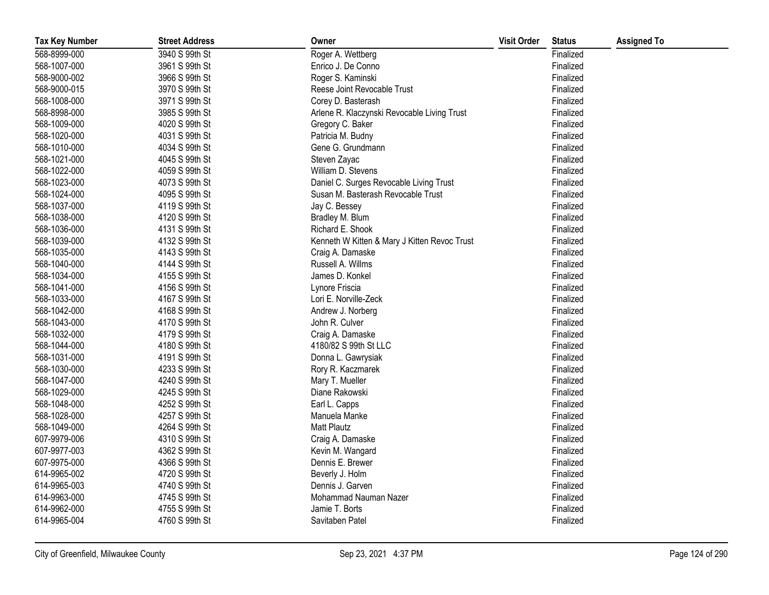| <b>Tax Key Number</b> | <b>Street Address</b> | Owner                                        | <b>Visit Order</b> | <b>Status</b> | <b>Assigned To</b> |
|-----------------------|-----------------------|----------------------------------------------|--------------------|---------------|--------------------|
| 568-8999-000          | 3940 S 99th St        | Roger A. Wettberg                            |                    | Finalized     |                    |
| 568-1007-000          | 3961 S 99th St        | Enrico J. De Conno                           |                    | Finalized     |                    |
| 568-9000-002          | 3966 S 99th St        | Roger S. Kaminski                            |                    | Finalized     |                    |
| 568-9000-015          | 3970 S 99th St        | Reese Joint Revocable Trust                  |                    | Finalized     |                    |
| 568-1008-000          | 3971 S 99th St        | Corey D. Basterash                           |                    | Finalized     |                    |
| 568-8998-000          | 3985 S 99th St        | Arlene R. Klaczynski Revocable Living Trust  |                    | Finalized     |                    |
| 568-1009-000          | 4020 S 99th St        | Gregory C. Baker                             |                    | Finalized     |                    |
| 568-1020-000          | 4031 S 99th St        | Patricia M. Budny                            |                    | Finalized     |                    |
| 568-1010-000          | 4034 S 99th St        | Gene G. Grundmann                            |                    | Finalized     |                    |
| 568-1021-000          | 4045 S 99th St        | Steven Zayac                                 |                    | Finalized     |                    |
| 568-1022-000          | 4059 S 99th St        | William D. Stevens                           |                    | Finalized     |                    |
| 568-1023-000          | 4073 S 99th St        | Daniel C. Surges Revocable Living Trust      |                    | Finalized     |                    |
| 568-1024-000          | 4095 S 99th St        | Susan M. Basterash Revocable Trust           |                    | Finalized     |                    |
| 568-1037-000          | 4119 S 99th St        | Jay C. Bessey                                |                    | Finalized     |                    |
| 568-1038-000          | 4120 S 99th St        | Bradley M. Blum                              |                    | Finalized     |                    |
| 568-1036-000          | 4131 S 99th St        | Richard E. Shook                             |                    | Finalized     |                    |
| 568-1039-000          | 4132 S 99th St        | Kenneth W Kitten & Mary J Kitten Revoc Trust |                    | Finalized     |                    |
| 568-1035-000          | 4143 S 99th St        | Craig A. Damaske                             |                    | Finalized     |                    |
| 568-1040-000          | 4144 S 99th St        | Russell A. Willms                            |                    | Finalized     |                    |
| 568-1034-000          | 4155 S 99th St        | James D. Konkel                              |                    | Finalized     |                    |
| 568-1041-000          | 4156 S 99th St        | Lynore Friscia                               |                    | Finalized     |                    |
| 568-1033-000          | 4167 S 99th St        | Lori E. Norville-Zeck                        |                    | Finalized     |                    |
| 568-1042-000          | 4168 S 99th St        | Andrew J. Norberg                            |                    | Finalized     |                    |
| 568-1043-000          | 4170 S 99th St        | John R. Culver                               |                    | Finalized     |                    |
| 568-1032-000          | 4179 S 99th St        | Craig A. Damaske                             |                    | Finalized     |                    |
| 568-1044-000          | 4180 S 99th St        | 4180/82 S 99th St LLC                        |                    | Finalized     |                    |
| 568-1031-000          | 4191 S 99th St        | Donna L. Gawrysiak                           |                    | Finalized     |                    |
| 568-1030-000          | 4233 S 99th St        | Rory R. Kaczmarek                            |                    | Finalized     |                    |
| 568-1047-000          | 4240 S 99th St        | Mary T. Mueller                              |                    | Finalized     |                    |
| 568-1029-000          | 4245 S 99th St        | Diane Rakowski                               |                    | Finalized     |                    |
| 568-1048-000          | 4252 S 99th St        | Earl L. Capps                                |                    | Finalized     |                    |
| 568-1028-000          | 4257 S 99th St        | Manuela Manke                                |                    | Finalized     |                    |
| 568-1049-000          | 4264 S 99th St        | <b>Matt Plautz</b>                           |                    | Finalized     |                    |
| 607-9979-006          | 4310 S 99th St        | Craig A. Damaske                             |                    | Finalized     |                    |
| 607-9977-003          | 4362 S 99th St        | Kevin M. Wangard                             |                    | Finalized     |                    |
| 607-9975-000          | 4366 S 99th St        | Dennis E. Brewer                             |                    | Finalized     |                    |
| 614-9965-002          | 4720 S 99th St        | Beverly J. Holm                              |                    | Finalized     |                    |
| 614-9965-003          | 4740 S 99th St        | Dennis J. Garven                             |                    | Finalized     |                    |
| 614-9963-000          | 4745 S 99th St        | Mohammad Nauman Nazer                        |                    | Finalized     |                    |
| 614-9962-000          | 4755 S 99th St        | Jamie T. Borts                               |                    | Finalized     |                    |
| 614-9965-004          | 4760 S 99th St        | Savitaben Patel                              |                    | Finalized     |                    |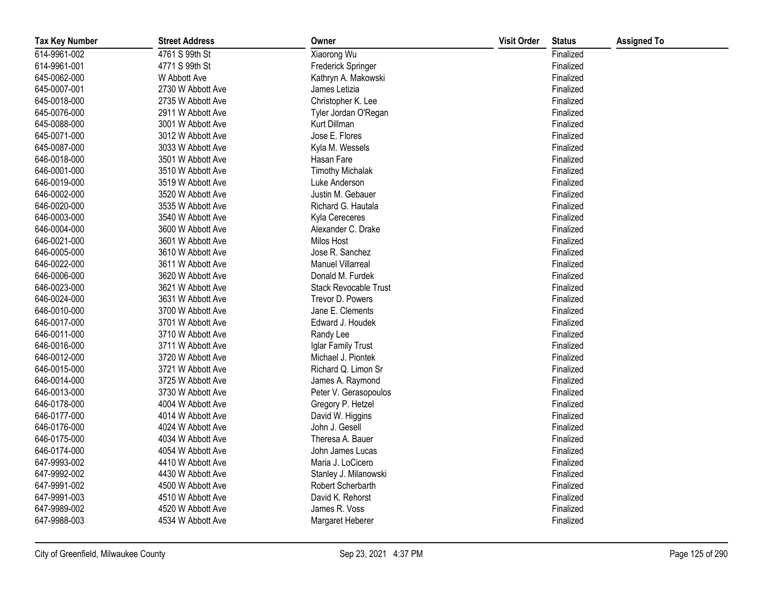| <b>Tax Key Number</b> | <b>Street Address</b> | Owner                        | <b>Visit Order</b> | <b>Status</b> | <b>Assigned To</b> |
|-----------------------|-----------------------|------------------------------|--------------------|---------------|--------------------|
| 614-9961-002          | 4761 S 99th St        | Xiaorong Wu                  |                    | Finalized     |                    |
| 614-9961-001          | 4771 S 99th St        | Frederick Springer           |                    | Finalized     |                    |
| 645-0062-000          | W Abbott Ave          | Kathryn A. Makowski          |                    | Finalized     |                    |
| 645-0007-001          | 2730 W Abbott Ave     | James Letizia                |                    | Finalized     |                    |
| 645-0018-000          | 2735 W Abbott Ave     | Christopher K. Lee           |                    | Finalized     |                    |
| 645-0076-000          | 2911 W Abbott Ave     | Tyler Jordan O'Regan         |                    | Finalized     |                    |
| 645-0088-000          | 3001 W Abbott Ave     | Kurt Dillman                 |                    | Finalized     |                    |
| 645-0071-000          | 3012 W Abbott Ave     | Jose E. Flores               |                    | Finalized     |                    |
| 645-0087-000          | 3033 W Abbott Ave     | Kyla M. Wessels              |                    | Finalized     |                    |
| 646-0018-000          | 3501 W Abbott Ave     | Hasan Fare                   |                    | Finalized     |                    |
| 646-0001-000          | 3510 W Abbott Ave     | <b>Timothy Michalak</b>      |                    | Finalized     |                    |
| 646-0019-000          | 3519 W Abbott Ave     | Luke Anderson                |                    | Finalized     |                    |
| 646-0002-000          | 3520 W Abbott Ave     | Justin M. Gebauer            |                    | Finalized     |                    |
| 646-0020-000          | 3535 W Abbott Ave     | Richard G. Hautala           |                    | Finalized     |                    |
| 646-0003-000          | 3540 W Abbott Ave     | Kyla Cereceres               |                    | Finalized     |                    |
| 646-0004-000          | 3600 W Abbott Ave     | Alexander C. Drake           |                    | Finalized     |                    |
| 646-0021-000          | 3601 W Abbott Ave     | <b>Milos Host</b>            |                    | Finalized     |                    |
| 646-0005-000          | 3610 W Abbott Ave     | Jose R. Sanchez              |                    | Finalized     |                    |
| 646-0022-000          | 3611 W Abbott Ave     | <b>Manuel Villarreal</b>     |                    | Finalized     |                    |
| 646-0006-000          | 3620 W Abbott Ave     | Donald M. Furdek             |                    | Finalized     |                    |
| 646-0023-000          | 3621 W Abbott Ave     | <b>Stack Revocable Trust</b> |                    | Finalized     |                    |
| 646-0024-000          | 3631 W Abbott Ave     | Trevor D. Powers             |                    | Finalized     |                    |
| 646-0010-000          | 3700 W Abbott Ave     | Jane E. Clements             |                    | Finalized     |                    |
| 646-0017-000          | 3701 W Abbott Ave     | Edward J. Houdek             |                    | Finalized     |                    |
| 646-0011-000          | 3710 W Abbott Ave     | Randy Lee                    |                    | Finalized     |                    |
| 646-0016-000          | 3711 W Abbott Ave     | Iglar Family Trust           |                    | Finalized     |                    |
| 646-0012-000          | 3720 W Abbott Ave     | Michael J. Piontek           |                    | Finalized     |                    |
| 646-0015-000          | 3721 W Abbott Ave     | Richard Q. Limon Sr          |                    | Finalized     |                    |
| 646-0014-000          | 3725 W Abbott Ave     | James A. Raymond             |                    | Finalized     |                    |
| 646-0013-000          | 3730 W Abbott Ave     | Peter V. Gerasopoulos        |                    | Finalized     |                    |
| 646-0178-000          | 4004 W Abbott Ave     | Gregory P. Hetzel            |                    | Finalized     |                    |
| 646-0177-000          | 4014 W Abbott Ave     | David W. Higgins             |                    | Finalized     |                    |
| 646-0176-000          | 4024 W Abbott Ave     | John J. Gesell               |                    | Finalized     |                    |
| 646-0175-000          | 4034 W Abbott Ave     | Theresa A. Bauer             |                    | Finalized     |                    |
| 646-0174-000          | 4054 W Abbott Ave     | John James Lucas             |                    | Finalized     |                    |
| 647-9993-002          | 4410 W Abbott Ave     | Maria J. LoCicero            |                    | Finalized     |                    |
| 647-9992-002          | 4430 W Abbott Ave     | Stanley J. Milanowski        |                    | Finalized     |                    |
| 647-9991-002          | 4500 W Abbott Ave     | Robert Scherbarth            |                    | Finalized     |                    |
| 647-9991-003          | 4510 W Abbott Ave     | David K. Rehorst             |                    | Finalized     |                    |
| 647-9989-002          | 4520 W Abbott Ave     | James R. Voss                |                    | Finalized     |                    |
| 647-9988-003          | 4534 W Abbott Ave     | Margaret Heberer             |                    | Finalized     |                    |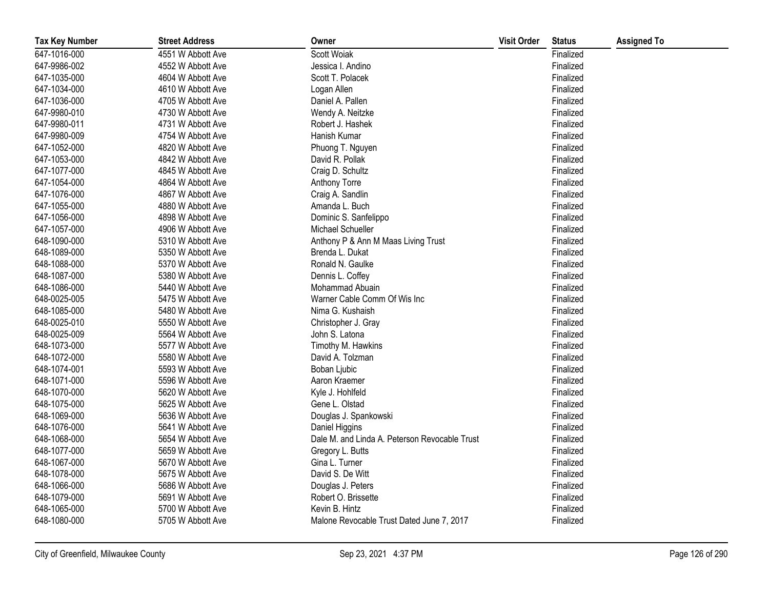| <b>Tax Key Number</b> | <b>Street Address</b> | Owner                                         | <b>Visit Order</b> | <b>Status</b> | <b>Assigned To</b> |
|-----------------------|-----------------------|-----------------------------------------------|--------------------|---------------|--------------------|
| 647-1016-000          | 4551 W Abbott Ave     | Scott Woiak                                   |                    | Finalized     |                    |
| 647-9986-002          | 4552 W Abbott Ave     | Jessica I. Andino                             |                    | Finalized     |                    |
| 647-1035-000          | 4604 W Abbott Ave     | Scott T. Polacek                              |                    | Finalized     |                    |
| 647-1034-000          | 4610 W Abbott Ave     | Logan Allen                                   |                    | Finalized     |                    |
| 647-1036-000          | 4705 W Abbott Ave     | Daniel A. Pallen                              |                    | Finalized     |                    |
| 647-9980-010          | 4730 W Abbott Ave     | Wendy A. Neitzke                              |                    | Finalized     |                    |
| 647-9980-011          | 4731 W Abbott Ave     | Robert J. Hashek                              |                    | Finalized     |                    |
| 647-9980-009          | 4754 W Abbott Ave     | Hanish Kumar                                  |                    | Finalized     |                    |
| 647-1052-000          | 4820 W Abbott Ave     | Phuong T. Nguyen                              |                    | Finalized     |                    |
| 647-1053-000          | 4842 W Abbott Ave     | David R. Pollak                               |                    | Finalized     |                    |
| 647-1077-000          | 4845 W Abbott Ave     | Craig D. Schultz                              |                    | Finalized     |                    |
| 647-1054-000          | 4864 W Abbott Ave     | Anthony Torre                                 |                    | Finalized     |                    |
| 647-1076-000          | 4867 W Abbott Ave     | Craig A. Sandlin                              |                    | Finalized     |                    |
| 647-1055-000          | 4880 W Abbott Ave     | Amanda L. Buch                                |                    | Finalized     |                    |
| 647-1056-000          | 4898 W Abbott Ave     | Dominic S. Sanfelippo                         |                    | Finalized     |                    |
| 647-1057-000          | 4906 W Abbott Ave     | Michael Schueller                             |                    | Finalized     |                    |
| 648-1090-000          | 5310 W Abbott Ave     | Anthony P & Ann M Maas Living Trust           |                    | Finalized     |                    |
| 648-1089-000          | 5350 W Abbott Ave     | Brenda L. Dukat                               |                    | Finalized     |                    |
| 648-1088-000          | 5370 W Abbott Ave     | Ronald N. Gaulke                              |                    | Finalized     |                    |
| 648-1087-000          | 5380 W Abbott Ave     | Dennis L. Coffey                              |                    | Finalized     |                    |
| 648-1086-000          | 5440 W Abbott Ave     | Mohammad Abuain                               |                    | Finalized     |                    |
| 648-0025-005          | 5475 W Abbott Ave     | Warner Cable Comm Of Wis Inc                  |                    | Finalized     |                    |
| 648-1085-000          | 5480 W Abbott Ave     | Nima G. Kushaish                              |                    | Finalized     |                    |
| 648-0025-010          | 5550 W Abbott Ave     | Christopher J. Gray                           |                    | Finalized     |                    |
| 648-0025-009          | 5564 W Abbott Ave     | John S. Latona                                |                    | Finalized     |                    |
| 648-1073-000          | 5577 W Abbott Ave     | Timothy M. Hawkins                            |                    | Finalized     |                    |
| 648-1072-000          | 5580 W Abbott Ave     | David A. Tolzman                              |                    | Finalized     |                    |
| 648-1074-001          | 5593 W Abbott Ave     | Boban Ljubic                                  |                    | Finalized     |                    |
| 648-1071-000          | 5596 W Abbott Ave     | Aaron Kraemer                                 |                    | Finalized     |                    |
| 648-1070-000          | 5620 W Abbott Ave     | Kyle J. Hohlfeld                              |                    | Finalized     |                    |
| 648-1075-000          | 5625 W Abbott Ave     | Gene L. Olstad                                |                    | Finalized     |                    |
| 648-1069-000          | 5636 W Abbott Ave     | Douglas J. Spankowski                         |                    | Finalized     |                    |
| 648-1076-000          | 5641 W Abbott Ave     | Daniel Higgins                                |                    | Finalized     |                    |
| 648-1068-000          | 5654 W Abbott Ave     | Dale M. and Linda A. Peterson Revocable Trust |                    | Finalized     |                    |
| 648-1077-000          | 5659 W Abbott Ave     | Gregory L. Butts                              |                    | Finalized     |                    |
| 648-1067-000          | 5670 W Abbott Ave     | Gina L. Turner                                |                    | Finalized     |                    |
| 648-1078-000          | 5675 W Abbott Ave     | David S. De Witt                              |                    | Finalized     |                    |
| 648-1066-000          | 5686 W Abbott Ave     | Douglas J. Peters                             |                    | Finalized     |                    |
| 648-1079-000          | 5691 W Abbott Ave     | Robert O. Brissette                           |                    | Finalized     |                    |
| 648-1065-000          | 5700 W Abbott Ave     | Kevin B. Hintz                                |                    | Finalized     |                    |
| 648-1080-000          | 5705 W Abbott Ave     | Malone Revocable Trust Dated June 7, 2017     |                    | Finalized     |                    |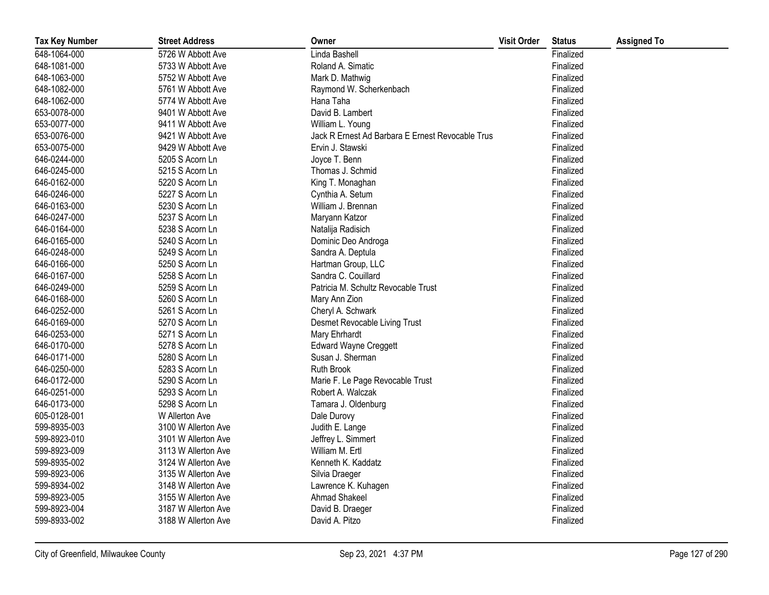| <b>Tax Key Number</b> | <b>Street Address</b> | Owner                                            | <b>Visit Order</b> | <b>Status</b> | <b>Assigned To</b> |
|-----------------------|-----------------------|--------------------------------------------------|--------------------|---------------|--------------------|
| 648-1064-000          | 5726 W Abbott Ave     | Linda Bashell                                    |                    | Finalized     |                    |
| 648-1081-000          | 5733 W Abbott Ave     | Roland A. Simatic                                |                    | Finalized     |                    |
| 648-1063-000          | 5752 W Abbott Ave     | Mark D. Mathwig                                  |                    | Finalized     |                    |
| 648-1082-000          | 5761 W Abbott Ave     | Raymond W. Scherkenbach                          |                    | Finalized     |                    |
| 648-1062-000          | 5774 W Abbott Ave     | Hana Taha                                        |                    | Finalized     |                    |
| 653-0078-000          | 9401 W Abbott Ave     | David B. Lambert                                 |                    | Finalized     |                    |
| 653-0077-000          | 9411 W Abbott Ave     | William L. Young                                 |                    | Finalized     |                    |
| 653-0076-000          | 9421 W Abbott Ave     | Jack R Ernest Ad Barbara E Ernest Revocable Trus |                    | Finalized     |                    |
| 653-0075-000          | 9429 W Abbott Ave     | Ervin J. Stawski                                 |                    | Finalized     |                    |
| 646-0244-000          | 5205 S Acorn Ln       | Joyce T. Benn                                    |                    | Finalized     |                    |
| 646-0245-000          | 5215 S Acorn Ln       | Thomas J. Schmid                                 |                    | Finalized     |                    |
| 646-0162-000          | 5220 S Acorn Ln       | King T. Monaghan                                 |                    | Finalized     |                    |
| 646-0246-000          | 5227 S Acorn Ln       | Cynthia A. Setum                                 |                    | Finalized     |                    |
| 646-0163-000          | 5230 S Acorn Ln       | William J. Brennan                               |                    | Finalized     |                    |
| 646-0247-000          | 5237 S Acorn Ln       | Maryann Katzor                                   |                    | Finalized     |                    |
| 646-0164-000          | 5238 S Acorn Ln       | Natalija Radisich                                |                    | Finalized     |                    |
| 646-0165-000          | 5240 S Acorn Ln       | Dominic Deo Androga                              |                    | Finalized     |                    |
| 646-0248-000          | 5249 S Acorn Ln       | Sandra A. Deptula                                |                    | Finalized     |                    |
| 646-0166-000          | 5250 S Acorn Ln       | Hartman Group, LLC                               |                    | Finalized     |                    |
| 646-0167-000          | 5258 S Acorn Ln       | Sandra C. Couillard                              |                    | Finalized     |                    |
| 646-0249-000          | 5259 S Acorn Ln       | Patricia M. Schultz Revocable Trust              |                    | Finalized     |                    |
| 646-0168-000          | 5260 S Acorn Ln       | Mary Ann Zion                                    |                    | Finalized     |                    |
| 646-0252-000          | 5261 S Acorn Ln       | Cheryl A. Schwark                                |                    | Finalized     |                    |
| 646-0169-000          | 5270 S Acorn Ln       | Desmet Revocable Living Trust                    |                    | Finalized     |                    |
| 646-0253-000          | 5271 S Acorn Ln       | Mary Ehrhardt                                    |                    | Finalized     |                    |
| 646-0170-000          | 5278 S Acorn Ln       | <b>Edward Wayne Creggett</b>                     |                    | Finalized     |                    |
| 646-0171-000          | 5280 S Acorn Ln       | Susan J. Sherman                                 |                    | Finalized     |                    |
| 646-0250-000          | 5283 S Acorn Ln       | <b>Ruth Brook</b>                                |                    | Finalized     |                    |
| 646-0172-000          | 5290 S Acorn Ln       | Marie F. Le Page Revocable Trust                 |                    | Finalized     |                    |
| 646-0251-000          | 5293 S Acorn Ln       | Robert A. Walczak                                |                    | Finalized     |                    |
| 646-0173-000          | 5298 S Acorn Ln       | Tamara J. Oldenburg                              |                    | Finalized     |                    |
| 605-0128-001          | W Allerton Ave        | Dale Durovy                                      |                    | Finalized     |                    |
| 599-8935-003          | 3100 W Allerton Ave   | Judith E. Lange                                  |                    | Finalized     |                    |
| 599-8923-010          | 3101 W Allerton Ave   | Jeffrey L. Simmert                               |                    | Finalized     |                    |
| 599-8923-009          | 3113 W Allerton Ave   | William M. Ertl                                  |                    | Finalized     |                    |
| 599-8935-002          | 3124 W Allerton Ave   | Kenneth K. Kaddatz                               |                    | Finalized     |                    |
| 599-8923-006          | 3135 W Allerton Ave   | Silvia Draeger                                   |                    | Finalized     |                    |
| 599-8934-002          | 3148 W Allerton Ave   | Lawrence K. Kuhagen                              |                    | Finalized     |                    |
| 599-8923-005          | 3155 W Allerton Ave   | Ahmad Shakeel                                    |                    | Finalized     |                    |
| 599-8923-004          | 3187 W Allerton Ave   | David B. Draeger                                 |                    | Finalized     |                    |
| 599-8933-002          | 3188 W Allerton Ave   | David A. Pitzo                                   |                    | Finalized     |                    |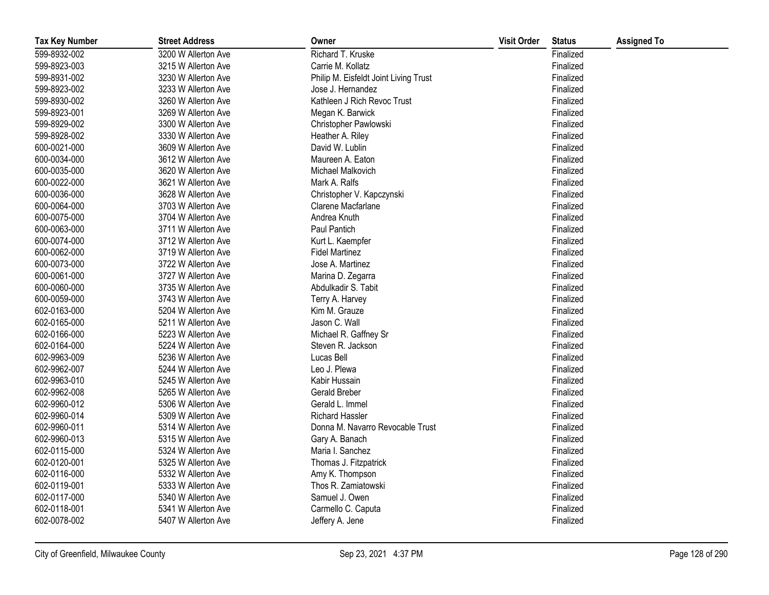| <b>Tax Key Number</b> | <b>Street Address</b> | Owner                                 | <b>Visit Order</b> | <b>Status</b> | <b>Assigned To</b> |
|-----------------------|-----------------------|---------------------------------------|--------------------|---------------|--------------------|
| 599-8932-002          | 3200 W Allerton Ave   | Richard T. Kruske                     |                    | Finalized     |                    |
| 599-8923-003          | 3215 W Allerton Ave   | Carrie M. Kollatz                     |                    | Finalized     |                    |
| 599-8931-002          | 3230 W Allerton Ave   | Philip M. Eisfeldt Joint Living Trust |                    | Finalized     |                    |
| 599-8923-002          | 3233 W Allerton Ave   | Jose J. Hernandez                     |                    | Finalized     |                    |
| 599-8930-002          | 3260 W Allerton Ave   | Kathleen J Rich Revoc Trust           |                    | Finalized     |                    |
| 599-8923-001          | 3269 W Allerton Ave   | Megan K. Barwick                      |                    | Finalized     |                    |
| 599-8929-002          | 3300 W Allerton Ave   | Christopher Pawlowski                 |                    | Finalized     |                    |
| 599-8928-002          | 3330 W Allerton Ave   | Heather A. Riley                      |                    | Finalized     |                    |
| 600-0021-000          | 3609 W Allerton Ave   | David W. Lublin                       |                    | Finalized     |                    |
| 600-0034-000          | 3612 W Allerton Ave   | Maureen A. Eaton                      |                    | Finalized     |                    |
| 600-0035-000          | 3620 W Allerton Ave   | Michael Malkovich                     |                    | Finalized     |                    |
| 600-0022-000          | 3621 W Allerton Ave   | Mark A. Ralfs                         |                    | Finalized     |                    |
| 600-0036-000          | 3628 W Allerton Ave   | Christopher V. Kapczynski             |                    | Finalized     |                    |
| 600-0064-000          | 3703 W Allerton Ave   | Clarene Macfarlane                    |                    | Finalized     |                    |
| 600-0075-000          | 3704 W Allerton Ave   | Andrea Knuth                          |                    | Finalized     |                    |
| 600-0063-000          | 3711 W Allerton Ave   | Paul Pantich                          |                    | Finalized     |                    |
| 600-0074-000          | 3712 W Allerton Ave   | Kurt L. Kaempfer                      |                    | Finalized     |                    |
| 600-0062-000          | 3719 W Allerton Ave   | <b>Fidel Martinez</b>                 |                    | Finalized     |                    |
| 600-0073-000          | 3722 W Allerton Ave   | Jose A. Martinez                      |                    | Finalized     |                    |
| 600-0061-000          | 3727 W Allerton Ave   | Marina D. Zegarra                     |                    | Finalized     |                    |
| 600-0060-000          | 3735 W Allerton Ave   | Abdulkadir S. Tabit                   |                    | Finalized     |                    |
| 600-0059-000          | 3743 W Allerton Ave   | Terry A. Harvey                       |                    | Finalized     |                    |
| 602-0163-000          | 5204 W Allerton Ave   | Kim M. Grauze                         |                    | Finalized     |                    |
| 602-0165-000          | 5211 W Allerton Ave   | Jason C. Wall                         |                    | Finalized     |                    |
| 602-0166-000          | 5223 W Allerton Ave   | Michael R. Gaffney Sr                 |                    | Finalized     |                    |
| 602-0164-000          | 5224 W Allerton Ave   | Steven R. Jackson                     |                    | Finalized     |                    |
| 602-9963-009          | 5236 W Allerton Ave   | Lucas Bell                            |                    | Finalized     |                    |
| 602-9962-007          | 5244 W Allerton Ave   | Leo J. Plewa                          |                    | Finalized     |                    |
| 602-9963-010          | 5245 W Allerton Ave   | Kabir Hussain                         |                    | Finalized     |                    |
| 602-9962-008          | 5265 W Allerton Ave   | <b>Gerald Breber</b>                  |                    | Finalized     |                    |
| 602-9960-012          | 5306 W Allerton Ave   | Gerald L. Immel                       |                    | Finalized     |                    |
| 602-9960-014          | 5309 W Allerton Ave   | <b>Richard Hassler</b>                |                    | Finalized     |                    |
| 602-9960-011          | 5314 W Allerton Ave   | Donna M. Navarro Revocable Trust      |                    | Finalized     |                    |
| 602-9960-013          | 5315 W Allerton Ave   | Gary A. Banach                        |                    | Finalized     |                    |
| 602-0115-000          | 5324 W Allerton Ave   | Maria I. Sanchez                      |                    | Finalized     |                    |
| 602-0120-001          | 5325 W Allerton Ave   | Thomas J. Fitzpatrick                 |                    | Finalized     |                    |
| 602-0116-000          | 5332 W Allerton Ave   | Amy K. Thompson                       |                    | Finalized     |                    |
| 602-0119-001          | 5333 W Allerton Ave   | Thos R. Zamiatowski                   |                    | Finalized     |                    |
| 602-0117-000          | 5340 W Allerton Ave   | Samuel J. Owen                        |                    | Finalized     |                    |
| 602-0118-001          | 5341 W Allerton Ave   | Carmello C. Caputa                    |                    | Finalized     |                    |
| 602-0078-002          | 5407 W Allerton Ave   | Jeffery A. Jene                       |                    | Finalized     |                    |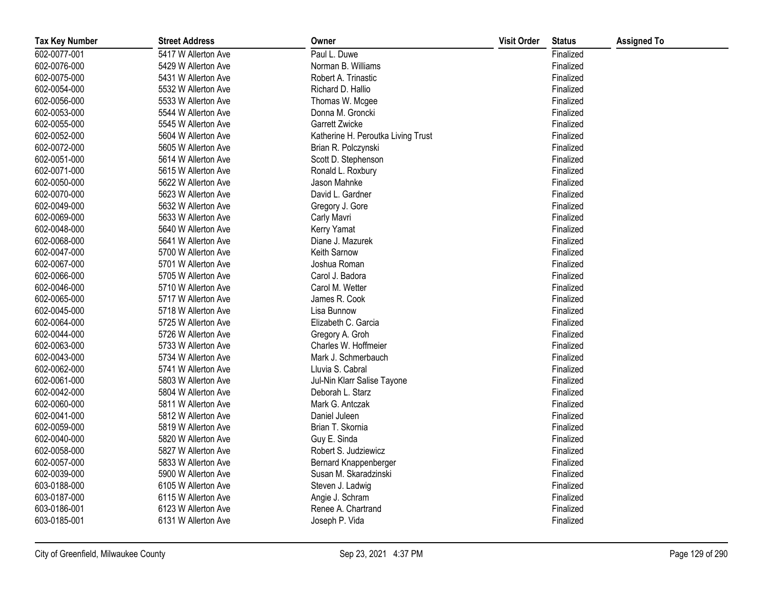| <b>Tax Key Number</b> | <b>Street Address</b> | Owner                              | <b>Visit Order</b> | <b>Status</b> | <b>Assigned To</b> |
|-----------------------|-----------------------|------------------------------------|--------------------|---------------|--------------------|
| 602-0077-001          | 5417 W Allerton Ave   | Paul L. Duwe                       |                    | Finalized     |                    |
| 602-0076-000          | 5429 W Allerton Ave   | Norman B. Williams                 |                    | Finalized     |                    |
| 602-0075-000          | 5431 W Allerton Ave   | Robert A. Trinastic                |                    | Finalized     |                    |
| 602-0054-000          | 5532 W Allerton Ave   | Richard D. Hallio                  |                    | Finalized     |                    |
| 602-0056-000          | 5533 W Allerton Ave   | Thomas W. Mcgee                    |                    | Finalized     |                    |
| 602-0053-000          | 5544 W Allerton Ave   | Donna M. Groncki                   |                    | Finalized     |                    |
| 602-0055-000          | 5545 W Allerton Ave   | Garrett Zwicke                     |                    | Finalized     |                    |
| 602-0052-000          | 5604 W Allerton Ave   | Katherine H. Peroutka Living Trust |                    | Finalized     |                    |
| 602-0072-000          | 5605 W Allerton Ave   | Brian R. Polczynski                |                    | Finalized     |                    |
| 602-0051-000          | 5614 W Allerton Ave   | Scott D. Stephenson                |                    | Finalized     |                    |
| 602-0071-000          | 5615 W Allerton Ave   | Ronald L. Roxbury                  |                    | Finalized     |                    |
| 602-0050-000          | 5622 W Allerton Ave   | Jason Mahnke                       |                    | Finalized     |                    |
| 602-0070-000          | 5623 W Allerton Ave   | David L. Gardner                   |                    | Finalized     |                    |
| 602-0049-000          | 5632 W Allerton Ave   | Gregory J. Gore                    |                    | Finalized     |                    |
| 602-0069-000          | 5633 W Allerton Ave   | Carly Mavri                        |                    | Finalized     |                    |
| 602-0048-000          | 5640 W Allerton Ave   | Kerry Yamat                        |                    | Finalized     |                    |
| 602-0068-000          | 5641 W Allerton Ave   | Diane J. Mazurek                   |                    | Finalized     |                    |
| 602-0047-000          | 5700 W Allerton Ave   | Keith Sarnow                       |                    | Finalized     |                    |
| 602-0067-000          | 5701 W Allerton Ave   | Joshua Roman                       |                    | Finalized     |                    |
| 602-0066-000          | 5705 W Allerton Ave   | Carol J. Badora                    |                    | Finalized     |                    |
| 602-0046-000          | 5710 W Allerton Ave   | Carol M. Wetter                    |                    | Finalized     |                    |
| 602-0065-000          | 5717 W Allerton Ave   | James R. Cook                      |                    | Finalized     |                    |
| 602-0045-000          | 5718 W Allerton Ave   | Lisa Bunnow                        |                    | Finalized     |                    |
| 602-0064-000          | 5725 W Allerton Ave   | Elizabeth C. Garcia                |                    | Finalized     |                    |
| 602-0044-000          | 5726 W Allerton Ave   | Gregory A. Groh                    |                    | Finalized     |                    |
| 602-0063-000          | 5733 W Allerton Ave   | Charles W. Hoffmeier               |                    | Finalized     |                    |
| 602-0043-000          | 5734 W Allerton Ave   | Mark J. Schmerbauch                |                    | Finalized     |                    |
| 602-0062-000          | 5741 W Allerton Ave   | Lluvia S. Cabral                   |                    | Finalized     |                    |
| 602-0061-000          | 5803 W Allerton Ave   | Jul-Nin Klarr Salise Tayone        |                    | Finalized     |                    |
| 602-0042-000          | 5804 W Allerton Ave   | Deborah L. Starz                   |                    | Finalized     |                    |
| 602-0060-000          | 5811 W Allerton Ave   | Mark G. Antczak                    |                    | Finalized     |                    |
| 602-0041-000          | 5812 W Allerton Ave   | Daniel Juleen                      |                    | Finalized     |                    |
| 602-0059-000          | 5819 W Allerton Ave   | Brian T. Skornia                   |                    | Finalized     |                    |
| 602-0040-000          | 5820 W Allerton Ave   | Guy E. Sinda                       |                    | Finalized     |                    |
| 602-0058-000          | 5827 W Allerton Ave   | Robert S. Judziewicz               |                    | Finalized     |                    |
| 602-0057-000          | 5833 W Allerton Ave   | Bernard Knappenberger              |                    | Finalized     |                    |
| 602-0039-000          | 5900 W Allerton Ave   | Susan M. Skaradzinski              |                    | Finalized     |                    |
| 603-0188-000          | 6105 W Allerton Ave   | Steven J. Ladwig                   |                    | Finalized     |                    |
| 603-0187-000          | 6115 W Allerton Ave   | Angie J. Schram                    |                    | Finalized     |                    |
| 603-0186-001          | 6123 W Allerton Ave   | Renee A. Chartrand                 |                    | Finalized     |                    |
| 603-0185-001          | 6131 W Allerton Ave   | Joseph P. Vida                     |                    | Finalized     |                    |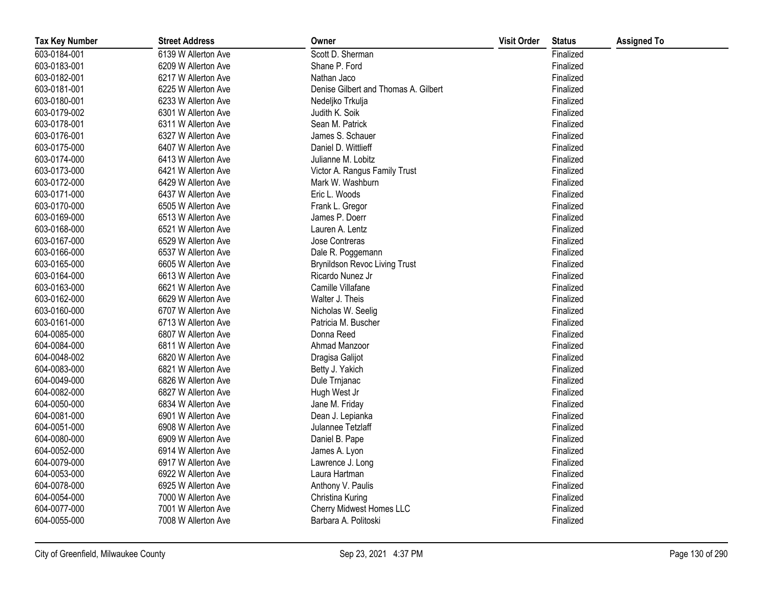| <b>Tax Key Number</b> | <b>Street Address</b> | Owner                                | <b>Visit Order</b> | <b>Status</b> | <b>Assigned To</b> |
|-----------------------|-----------------------|--------------------------------------|--------------------|---------------|--------------------|
| 603-0184-001          | 6139 W Allerton Ave   | Scott D. Sherman                     |                    | Finalized     |                    |
| 603-0183-001          | 6209 W Allerton Ave   | Shane P. Ford                        |                    | Finalized     |                    |
| 603-0182-001          | 6217 W Allerton Ave   | Nathan Jaco                          |                    | Finalized     |                    |
| 603-0181-001          | 6225 W Allerton Ave   | Denise Gilbert and Thomas A. Gilbert |                    | Finalized     |                    |
| 603-0180-001          | 6233 W Allerton Ave   | Nedeljko Trkulja                     |                    | Finalized     |                    |
| 603-0179-002          | 6301 W Allerton Ave   | Judith K. Soik                       |                    | Finalized     |                    |
| 603-0178-001          | 6311 W Allerton Ave   | Sean M. Patrick                      |                    | Finalized     |                    |
| 603-0176-001          | 6327 W Allerton Ave   | James S. Schauer                     |                    | Finalized     |                    |
| 603-0175-000          | 6407 W Allerton Ave   | Daniel D. Wittlieff                  |                    | Finalized     |                    |
| 603-0174-000          | 6413 W Allerton Ave   | Julianne M. Lobitz                   |                    | Finalized     |                    |
| 603-0173-000          | 6421 W Allerton Ave   | Victor A. Rangus Family Trust        |                    | Finalized     |                    |
| 603-0172-000          | 6429 W Allerton Ave   | Mark W. Washburn                     |                    | Finalized     |                    |
| 603-0171-000          | 6437 W Allerton Ave   | Eric L. Woods                        |                    | Finalized     |                    |
| 603-0170-000          | 6505 W Allerton Ave   | Frank L. Gregor                      |                    | Finalized     |                    |
| 603-0169-000          | 6513 W Allerton Ave   | James P. Doerr                       |                    | Finalized     |                    |
| 603-0168-000          | 6521 W Allerton Ave   | Lauren A. Lentz                      |                    | Finalized     |                    |
| 603-0167-000          | 6529 W Allerton Ave   | Jose Contreras                       |                    | Finalized     |                    |
| 603-0166-000          | 6537 W Allerton Ave   | Dale R. Poggemann                    |                    | Finalized     |                    |
| 603-0165-000          | 6605 W Allerton Ave   | <b>Brynildson Revoc Living Trust</b> |                    | Finalized     |                    |
| 603-0164-000          | 6613 W Allerton Ave   | Ricardo Nunez Jr                     |                    | Finalized     |                    |
| 603-0163-000          | 6621 W Allerton Ave   | Camille Villafane                    |                    | Finalized     |                    |
| 603-0162-000          | 6629 W Allerton Ave   | Walter J. Theis                      |                    | Finalized     |                    |
| 603-0160-000          | 6707 W Allerton Ave   | Nicholas W. Seelig                   |                    | Finalized     |                    |
| 603-0161-000          | 6713 W Allerton Ave   | Patricia M. Buscher                  |                    | Finalized     |                    |
| 604-0085-000          | 6807 W Allerton Ave   | Donna Reed                           |                    | Finalized     |                    |
| 604-0084-000          | 6811 W Allerton Ave   | Ahmad Manzoor                        |                    | Finalized     |                    |
| 604-0048-002          | 6820 W Allerton Ave   | Dragisa Galijot                      |                    | Finalized     |                    |
| 604-0083-000          | 6821 W Allerton Ave   | Betty J. Yakich                      |                    | Finalized     |                    |
| 604-0049-000          | 6826 W Allerton Ave   | Dule Trnjanac                        |                    | Finalized     |                    |
| 604-0082-000          | 6827 W Allerton Ave   | Hugh West Jr                         |                    | Finalized     |                    |
| 604-0050-000          | 6834 W Allerton Ave   | Jane M. Friday                       |                    | Finalized     |                    |
| 604-0081-000          | 6901 W Allerton Ave   | Dean J. Lepianka                     |                    | Finalized     |                    |
| 604-0051-000          | 6908 W Allerton Ave   | Julannee Tetzlaff                    |                    | Finalized     |                    |
| 604-0080-000          | 6909 W Allerton Ave   | Daniel B. Pape                       |                    | Finalized     |                    |
| 604-0052-000          | 6914 W Allerton Ave   | James A. Lyon                        |                    | Finalized     |                    |
| 604-0079-000          | 6917 W Allerton Ave   | Lawrence J. Long                     |                    | Finalized     |                    |
| 604-0053-000          | 6922 W Allerton Ave   | Laura Hartman                        |                    | Finalized     |                    |
| 604-0078-000          | 6925 W Allerton Ave   | Anthony V. Paulis                    |                    | Finalized     |                    |
| 604-0054-000          | 7000 W Allerton Ave   | Christina Kuring                     |                    | Finalized     |                    |
| 604-0077-000          | 7001 W Allerton Ave   | Cherry Midwest Homes LLC             |                    | Finalized     |                    |
| 604-0055-000          | 7008 W Allerton Ave   | Barbara A. Politoski                 |                    | Finalized     |                    |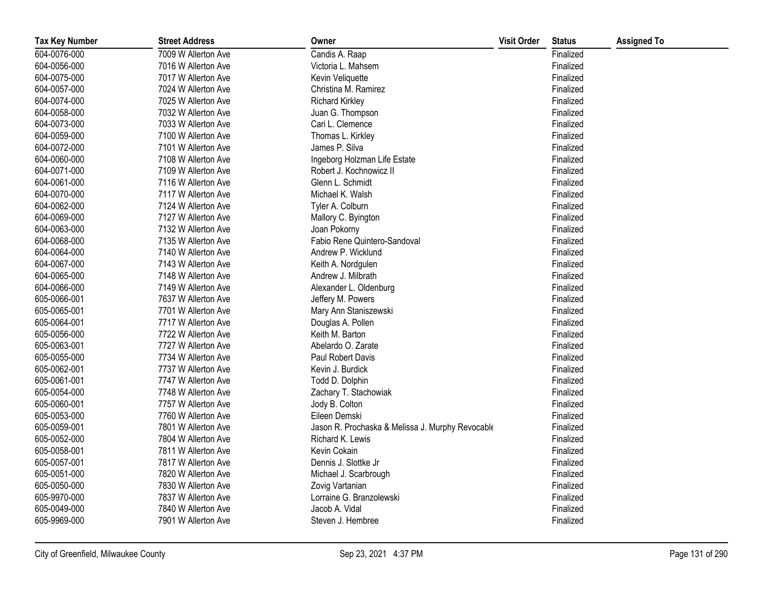| <b>Tax Key Number</b> | <b>Street Address</b> | Owner                                            | <b>Visit Order</b> | <b>Status</b> | <b>Assigned To</b> |
|-----------------------|-----------------------|--------------------------------------------------|--------------------|---------------|--------------------|
| 604-0076-000          | 7009 W Allerton Ave   | Candis A. Raap                                   |                    | Finalized     |                    |
| 604-0056-000          | 7016 W Allerton Ave   | Victoria L. Mahsem                               |                    | Finalized     |                    |
| 604-0075-000          | 7017 W Allerton Ave   | Kevin Veliquette                                 |                    | Finalized     |                    |
| 604-0057-000          | 7024 W Allerton Ave   | Christina M. Ramirez                             |                    | Finalized     |                    |
| 604-0074-000          | 7025 W Allerton Ave   | <b>Richard Kirkley</b>                           |                    | Finalized     |                    |
| 604-0058-000          | 7032 W Allerton Ave   | Juan G. Thompson                                 |                    | Finalized     |                    |
| 604-0073-000          | 7033 W Allerton Ave   | Cari L. Clemence                                 |                    | Finalized     |                    |
| 604-0059-000          | 7100 W Allerton Ave   | Thomas L. Kirkley                                |                    | Finalized     |                    |
| 604-0072-000          | 7101 W Allerton Ave   | James P. Silva                                   |                    | Finalized     |                    |
| 604-0060-000          | 7108 W Allerton Ave   | Ingeborg Holzman Life Estate                     |                    | Finalized     |                    |
| 604-0071-000          | 7109 W Allerton Ave   | Robert J. Kochnowicz II                          |                    | Finalized     |                    |
| 604-0061-000          | 7116 W Allerton Ave   | Glenn L. Schmidt                                 |                    | Finalized     |                    |
| 604-0070-000          | 7117 W Allerton Ave   | Michael K. Walsh                                 |                    | Finalized     |                    |
| 604-0062-000          | 7124 W Allerton Ave   | Tyler A. Colburn                                 |                    | Finalized     |                    |
| 604-0069-000          | 7127 W Allerton Ave   | Mallory C. Byington                              |                    | Finalized     |                    |
| 604-0063-000          | 7132 W Allerton Ave   | Joan Pokorny                                     |                    | Finalized     |                    |
| 604-0068-000          | 7135 W Allerton Ave   | Fabio Rene Quintero-Sandoval                     |                    | Finalized     |                    |
| 604-0064-000          | 7140 W Allerton Ave   | Andrew P. Wicklund                               |                    | Finalized     |                    |
| 604-0067-000          | 7143 W Allerton Ave   | Keith A. Nordgulen                               |                    | Finalized     |                    |
| 604-0065-000          | 7148 W Allerton Ave   | Andrew J. Milbrath                               |                    | Finalized     |                    |
| 604-0066-000          | 7149 W Allerton Ave   | Alexander L. Oldenburg                           |                    | Finalized     |                    |
| 605-0066-001          | 7637 W Allerton Ave   | Jeffery M. Powers                                |                    | Finalized     |                    |
| 605-0065-001          | 7701 W Allerton Ave   | Mary Ann Staniszewski                            |                    | Finalized     |                    |
| 605-0064-001          | 7717 W Allerton Ave   | Douglas A. Pollen                                |                    | Finalized     |                    |
| 605-0056-000          | 7722 W Allerton Ave   | Keith M. Barton                                  |                    | Finalized     |                    |
| 605-0063-001          | 7727 W Allerton Ave   | Abelardo O. Zarate                               |                    | Finalized     |                    |
| 605-0055-000          | 7734 W Allerton Ave   | Paul Robert Davis                                |                    | Finalized     |                    |
| 605-0062-001          | 7737 W Allerton Ave   | Kevin J. Burdick                                 |                    | Finalized     |                    |
| 605-0061-001          | 7747 W Allerton Ave   | Todd D. Dolphin                                  |                    | Finalized     |                    |
| 605-0054-000          | 7748 W Allerton Ave   | Zachary T. Stachowiak                            |                    | Finalized     |                    |
| 605-0060-001          | 7757 W Allerton Ave   | Jody B. Colton                                   |                    | Finalized     |                    |
| 605-0053-000          | 7760 W Allerton Ave   | Eileen Demski                                    |                    | Finalized     |                    |
| 605-0059-001          | 7801 W Allerton Ave   | Jason R. Prochaska & Melissa J. Murphy Revocable |                    | Finalized     |                    |
| 605-0052-000          | 7804 W Allerton Ave   | Richard K. Lewis                                 |                    | Finalized     |                    |
| 605-0058-001          | 7811 W Allerton Ave   | Kevin Cokain                                     |                    | Finalized     |                    |
| 605-0057-001          | 7817 W Allerton Ave   | Dennis J. Slottke Jr                             |                    | Finalized     |                    |
| 605-0051-000          | 7820 W Allerton Ave   | Michael J. Scarbrough                            |                    | Finalized     |                    |
| 605-0050-000          | 7830 W Allerton Ave   | Zovig Vartanian                                  |                    | Finalized     |                    |
| 605-9970-000          | 7837 W Allerton Ave   | Lorraine G. Branzolewski                         |                    | Finalized     |                    |
| 605-0049-000          | 7840 W Allerton Ave   | Jacob A. Vidal                                   |                    | Finalized     |                    |
| 605-9969-000          | 7901 W Allerton Ave   | Steven J. Hembree                                |                    | Finalized     |                    |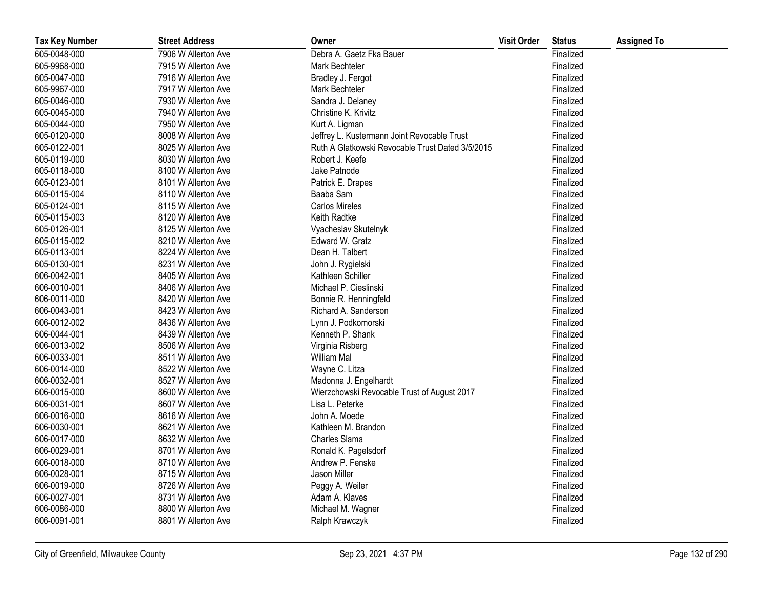| <b>Tax Key Number</b> | <b>Street Address</b> | Owner                                            | <b>Visit Order</b> | <b>Status</b> | <b>Assigned To</b> |
|-----------------------|-----------------------|--------------------------------------------------|--------------------|---------------|--------------------|
| 605-0048-000          | 7906 W Allerton Ave   | Debra A. Gaetz Fka Bauer                         |                    | Finalized     |                    |
| 605-9968-000          | 7915 W Allerton Ave   | Mark Bechteler                                   |                    | Finalized     |                    |
| 605-0047-000          | 7916 W Allerton Ave   | Bradley J. Fergot                                |                    | Finalized     |                    |
| 605-9967-000          | 7917 W Allerton Ave   | Mark Bechteler                                   |                    | Finalized     |                    |
| 605-0046-000          | 7930 W Allerton Ave   | Sandra J. Delaney                                |                    | Finalized     |                    |
| 605-0045-000          | 7940 W Allerton Ave   | Christine K. Krivitz                             |                    | Finalized     |                    |
| 605-0044-000          | 7950 W Allerton Ave   | Kurt A. Ligman                                   |                    | Finalized     |                    |
| 605-0120-000          | 8008 W Allerton Ave   | Jeffrey L. Kustermann Joint Revocable Trust      |                    | Finalized     |                    |
| 605-0122-001          | 8025 W Allerton Ave   | Ruth A Glatkowski Revocable Trust Dated 3/5/2015 |                    | Finalized     |                    |
| 605-0119-000          | 8030 W Allerton Ave   | Robert J. Keefe                                  |                    | Finalized     |                    |
| 605-0118-000          | 8100 W Allerton Ave   | Jake Patnode                                     |                    | Finalized     |                    |
| 605-0123-001          | 8101 W Allerton Ave   | Patrick E. Drapes                                |                    | Finalized     |                    |
| 605-0115-004          | 8110 W Allerton Ave   | Baaba Sam                                        |                    | Finalized     |                    |
| 605-0124-001          | 8115 W Allerton Ave   | <b>Carlos Mireles</b>                            |                    | Finalized     |                    |
| 605-0115-003          | 8120 W Allerton Ave   | Keith Radtke                                     |                    | Finalized     |                    |
| 605-0126-001          | 8125 W Allerton Ave   | Vyacheslav Skutelnyk                             |                    | Finalized     |                    |
| 605-0115-002          | 8210 W Allerton Ave   | Edward W. Gratz                                  |                    | Finalized     |                    |
| 605-0113-001          | 8224 W Allerton Ave   | Dean H. Talbert                                  |                    | Finalized     |                    |
| 605-0130-001          | 8231 W Allerton Ave   | John J. Rygielski                                |                    | Finalized     |                    |
| 606-0042-001          | 8405 W Allerton Ave   | Kathleen Schiller                                |                    | Finalized     |                    |
| 606-0010-001          | 8406 W Allerton Ave   | Michael P. Cieslinski                            |                    | Finalized     |                    |
| 606-0011-000          | 8420 W Allerton Ave   | Bonnie R. Henningfeld                            |                    | Finalized     |                    |
| 606-0043-001          | 8423 W Allerton Ave   | Richard A. Sanderson                             |                    | Finalized     |                    |
| 606-0012-002          | 8436 W Allerton Ave   | Lynn J. Podkomorski                              |                    | Finalized     |                    |
| 606-0044-001          | 8439 W Allerton Ave   | Kenneth P. Shank                                 |                    | Finalized     |                    |
| 606-0013-002          | 8506 W Allerton Ave   | Virginia Risberg                                 |                    | Finalized     |                    |
| 606-0033-001          | 8511 W Allerton Ave   | William Mal                                      |                    | Finalized     |                    |
| 606-0014-000          | 8522 W Allerton Ave   | Wayne C. Litza                                   |                    | Finalized     |                    |
| 606-0032-001          | 8527 W Allerton Ave   | Madonna J. Engelhardt                            |                    | Finalized     |                    |
| 606-0015-000          | 8600 W Allerton Ave   | Wierzchowski Revocable Trust of August 2017      |                    | Finalized     |                    |
| 606-0031-001          | 8607 W Allerton Ave   | Lisa L. Peterke                                  |                    | Finalized     |                    |
| 606-0016-000          | 8616 W Allerton Ave   | John A. Moede                                    |                    | Finalized     |                    |
| 606-0030-001          | 8621 W Allerton Ave   | Kathleen M. Brandon                              |                    | Finalized     |                    |
| 606-0017-000          | 8632 W Allerton Ave   | Charles Slama                                    |                    | Finalized     |                    |
| 606-0029-001          | 8701 W Allerton Ave   | Ronald K. Pagelsdorf                             |                    | Finalized     |                    |
| 606-0018-000          | 8710 W Allerton Ave   | Andrew P. Fenske                                 |                    | Finalized     |                    |
| 606-0028-001          | 8715 W Allerton Ave   | Jason Miller                                     |                    | Finalized     |                    |
| 606-0019-000          | 8726 W Allerton Ave   | Peggy A. Weiler                                  |                    | Finalized     |                    |
| 606-0027-001          | 8731 W Allerton Ave   | Adam A. Klaves                                   |                    | Finalized     |                    |
| 606-0086-000          | 8800 W Allerton Ave   | Michael M. Wagner                                |                    | Finalized     |                    |
| 606-0091-001          | 8801 W Allerton Ave   | Ralph Krawczyk                                   |                    | Finalized     |                    |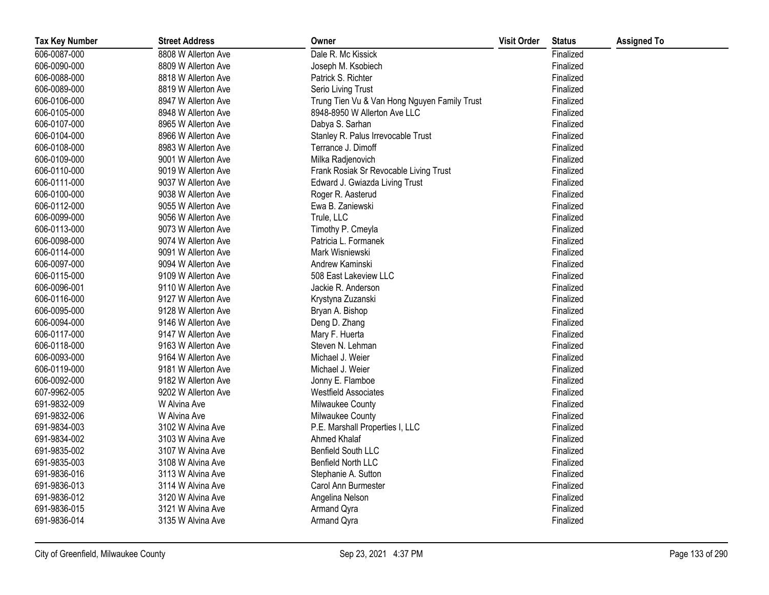| <b>Tax Key Number</b> | <b>Street Address</b> | Owner                                        | <b>Visit Order</b> | <b>Status</b> | <b>Assigned To</b> |
|-----------------------|-----------------------|----------------------------------------------|--------------------|---------------|--------------------|
| 606-0087-000          | 8808 W Allerton Ave   | Dale R. Mc Kissick                           |                    | Finalized     |                    |
| 606-0090-000          | 8809 W Allerton Ave   | Joseph M. Ksobiech                           |                    | Finalized     |                    |
| 606-0088-000          | 8818 W Allerton Ave   | Patrick S. Richter                           |                    | Finalized     |                    |
| 606-0089-000          | 8819 W Allerton Ave   | Serio Living Trust                           |                    | Finalized     |                    |
| 606-0106-000          | 8947 W Allerton Ave   | Trung Tien Vu & Van Hong Nguyen Family Trust |                    | Finalized     |                    |
| 606-0105-000          | 8948 W Allerton Ave   | 8948-8950 W Allerton Ave LLC                 |                    | Finalized     |                    |
| 606-0107-000          | 8965 W Allerton Ave   | Dabya S. Sarhan                              |                    | Finalized     |                    |
| 606-0104-000          | 8966 W Allerton Ave   | Stanley R. Palus Irrevocable Trust           |                    | Finalized     |                    |
| 606-0108-000          | 8983 W Allerton Ave   | Terrance J. Dimoff                           |                    | Finalized     |                    |
| 606-0109-000          | 9001 W Allerton Ave   | Milka Radjenovich                            |                    | Finalized     |                    |
| 606-0110-000          | 9019 W Allerton Ave   | Frank Rosiak Sr Revocable Living Trust       |                    | Finalized     |                    |
| 606-0111-000          | 9037 W Allerton Ave   | Edward J. Gwiazda Living Trust               |                    | Finalized     |                    |
| 606-0100-000          | 9038 W Allerton Ave   | Roger R. Aasterud                            |                    | Finalized     |                    |
| 606-0112-000          | 9055 W Allerton Ave   | Ewa B. Zaniewski                             |                    | Finalized     |                    |
| 606-0099-000          | 9056 W Allerton Ave   | Trule, LLC                                   |                    | Finalized     |                    |
| 606-0113-000          | 9073 W Allerton Ave   | Timothy P. Cmeyla                            |                    | Finalized     |                    |
| 606-0098-000          | 9074 W Allerton Ave   | Patricia L. Formanek                         |                    | Finalized     |                    |
| 606-0114-000          | 9091 W Allerton Ave   | Mark Wisniewski                              |                    | Finalized     |                    |
| 606-0097-000          | 9094 W Allerton Ave   | Andrew Kaminski                              |                    | Finalized     |                    |
| 606-0115-000          | 9109 W Allerton Ave   | 508 East Lakeview LLC                        |                    | Finalized     |                    |
| 606-0096-001          | 9110 W Allerton Ave   | Jackie R. Anderson                           |                    | Finalized     |                    |
| 606-0116-000          | 9127 W Allerton Ave   | Krystyna Zuzanski                            |                    | Finalized     |                    |
| 606-0095-000          | 9128 W Allerton Ave   | Bryan A. Bishop                              |                    | Finalized     |                    |
| 606-0094-000          | 9146 W Allerton Ave   | Deng D. Zhang                                |                    | Finalized     |                    |
| 606-0117-000          | 9147 W Allerton Ave   | Mary F. Huerta                               |                    | Finalized     |                    |
| 606-0118-000          | 9163 W Allerton Ave   | Steven N. Lehman                             |                    | Finalized     |                    |
| 606-0093-000          | 9164 W Allerton Ave   | Michael J. Weier                             |                    | Finalized     |                    |
| 606-0119-000          | 9181 W Allerton Ave   | Michael J. Weier                             |                    | Finalized     |                    |
| 606-0092-000          | 9182 W Allerton Ave   | Jonny E. Flamboe                             |                    | Finalized     |                    |
| 607-9962-005          | 9202 W Allerton Ave   | <b>Westfield Associates</b>                  |                    | Finalized     |                    |
| 691-9832-009          | W Alvina Ave          | Milwaukee County                             |                    | Finalized     |                    |
| 691-9832-006          | W Alvina Ave          | <b>Milwaukee County</b>                      |                    | Finalized     |                    |
| 691-9834-003          | 3102 W Alvina Ave     | P.E. Marshall Properties I, LLC              |                    | Finalized     |                    |
| 691-9834-002          | 3103 W Alvina Ave     | Ahmed Khalaf                                 |                    | Finalized     |                    |
| 691-9835-002          | 3107 W Alvina Ave     | <b>Benfield South LLC</b>                    |                    | Finalized     |                    |
| 691-9835-003          | 3108 W Alvina Ave     | Benfield North LLC                           |                    | Finalized     |                    |
| 691-9836-016          | 3113 W Alvina Ave     | Stephanie A. Sutton                          |                    | Finalized     |                    |
| 691-9836-013          | 3114 W Alvina Ave     | Carol Ann Burmester                          |                    | Finalized     |                    |
| 691-9836-012          | 3120 W Alvina Ave     | Angelina Nelson                              |                    | Finalized     |                    |
| 691-9836-015          | 3121 W Alvina Ave     | Armand Qyra                                  |                    | Finalized     |                    |
| 691-9836-014          | 3135 W Alvina Ave     | Armand Qyra                                  |                    | Finalized     |                    |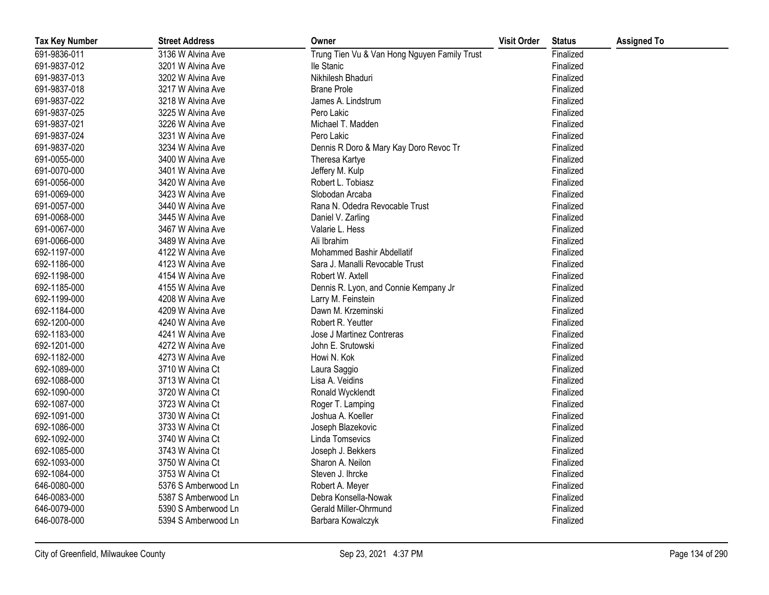| <b>Tax Key Number</b> | <b>Street Address</b> | Owner                                        | <b>Visit Order</b> | <b>Status</b> | <b>Assigned To</b> |
|-----------------------|-----------------------|----------------------------------------------|--------------------|---------------|--------------------|
| 691-9836-011          | 3136 W Alvina Ave     | Trung Tien Vu & Van Hong Nguyen Family Trust |                    | Finalized     |                    |
| 691-9837-012          | 3201 W Alvina Ave     | lle Stanic                                   |                    | Finalized     |                    |
| 691-9837-013          | 3202 W Alvina Ave     | Nikhilesh Bhaduri                            |                    | Finalized     |                    |
| 691-9837-018          | 3217 W Alvina Ave     | <b>Brane Prole</b>                           |                    | Finalized     |                    |
| 691-9837-022          | 3218 W Alvina Ave     | James A. Lindstrum                           |                    | Finalized     |                    |
| 691-9837-025          | 3225 W Alvina Ave     | Pero Lakic                                   |                    | Finalized     |                    |
| 691-9837-021          | 3226 W Alvina Ave     | Michael T. Madden                            |                    | Finalized     |                    |
| 691-9837-024          | 3231 W Alvina Ave     | Pero Lakic                                   |                    | Finalized     |                    |
| 691-9837-020          | 3234 W Alvina Ave     | Dennis R Doro & Mary Kay Doro Revoc Tr       |                    | Finalized     |                    |
| 691-0055-000          | 3400 W Alvina Ave     | Theresa Kartye                               |                    | Finalized     |                    |
| 691-0070-000          | 3401 W Alvina Ave     | Jeffery M. Kulp                              |                    | Finalized     |                    |
| 691-0056-000          | 3420 W Alvina Ave     | Robert L. Tobiasz                            |                    | Finalized     |                    |
| 691-0069-000          | 3423 W Alvina Ave     | Slobodan Arcaba                              |                    | Finalized     |                    |
| 691-0057-000          | 3440 W Alvina Ave     | Rana N. Odedra Revocable Trust               |                    | Finalized     |                    |
| 691-0068-000          | 3445 W Alvina Ave     | Daniel V. Zarling                            |                    | Finalized     |                    |
| 691-0067-000          | 3467 W Alvina Ave     | Valarie L. Hess                              |                    | Finalized     |                    |
| 691-0066-000          | 3489 W Alvina Ave     | Ali Ibrahim                                  |                    | Finalized     |                    |
| 692-1197-000          | 4122 W Alvina Ave     | Mohammed Bashir Abdellatif                   |                    | Finalized     |                    |
| 692-1186-000          | 4123 W Alvina Ave     | Sara J. Manalli Revocable Trust              |                    | Finalized     |                    |
| 692-1198-000          | 4154 W Alvina Ave     | Robert W. Axtell                             |                    | Finalized     |                    |
| 692-1185-000          | 4155 W Alvina Ave     | Dennis R. Lyon, and Connie Kempany Jr        |                    | Finalized     |                    |
| 692-1199-000          | 4208 W Alvina Ave     | Larry M. Feinstein                           |                    | Finalized     |                    |
| 692-1184-000          | 4209 W Alvina Ave     | Dawn M. Krzeminski                           |                    | Finalized     |                    |
| 692-1200-000          | 4240 W Alvina Ave     | Robert R. Yeutter                            |                    | Finalized     |                    |
| 692-1183-000          | 4241 W Alvina Ave     | Jose J Martinez Contreras                    |                    | Finalized     |                    |
| 692-1201-000          | 4272 W Alvina Ave     | John E. Srutowski                            |                    | Finalized     |                    |
| 692-1182-000          | 4273 W Alvina Ave     | Howi N. Kok                                  |                    | Finalized     |                    |
| 692-1089-000          | 3710 W Alvina Ct      | Laura Saggio                                 |                    | Finalized     |                    |
| 692-1088-000          | 3713 W Alvina Ct      | Lisa A. Veidins                              |                    | Finalized     |                    |
| 692-1090-000          | 3720 W Alvina Ct      | Ronald Wycklendt                             |                    | Finalized     |                    |
| 692-1087-000          | 3723 W Alvina Ct      | Roger T. Lamping                             |                    | Finalized     |                    |
| 692-1091-000          | 3730 W Alvina Ct      | Joshua A. Koeller                            |                    | Finalized     |                    |
| 692-1086-000          | 3733 W Alvina Ct      | Joseph Blazekovic                            |                    | Finalized     |                    |
| 692-1092-000          | 3740 W Alvina Ct      | Linda Tomsevics                              |                    | Finalized     |                    |
| 692-1085-000          | 3743 W Alvina Ct      | Joseph J. Bekkers                            |                    | Finalized     |                    |
| 692-1093-000          | 3750 W Alvina Ct      | Sharon A. Neilon                             |                    | Finalized     |                    |
| 692-1084-000          | 3753 W Alvina Ct      | Steven J. Ihrcke                             |                    | Finalized     |                    |
| 646-0080-000          | 5376 S Amberwood Ln   | Robert A. Meyer                              |                    | Finalized     |                    |
| 646-0083-000          | 5387 S Amberwood Ln   | Debra Konsella-Nowak                         |                    | Finalized     |                    |
| 646-0079-000          | 5390 S Amberwood Ln   | Gerald Miller-Ohrmund                        |                    | Finalized     |                    |
| 646-0078-000          | 5394 S Amberwood Ln   | Barbara Kowalczyk                            |                    | Finalized     |                    |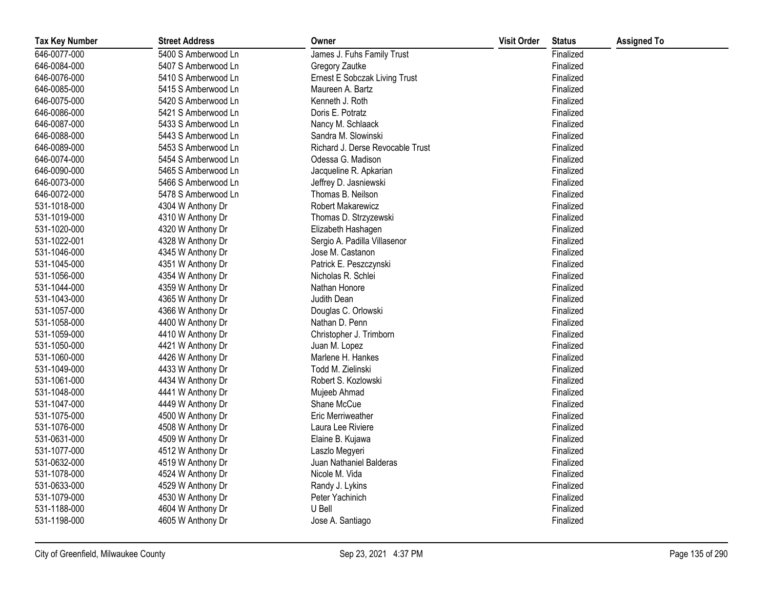| <b>Tax Key Number</b> | <b>Street Address</b> | Owner                            | <b>Visit Order</b> | <b>Status</b> | <b>Assigned To</b> |
|-----------------------|-----------------------|----------------------------------|--------------------|---------------|--------------------|
| 646-0077-000          | 5400 S Amberwood Ln   | James J. Fuhs Family Trust       |                    | Finalized     |                    |
| 646-0084-000          | 5407 S Amberwood Ln   | Gregory Zautke                   |                    | Finalized     |                    |
| 646-0076-000          | 5410 S Amberwood Ln   | Ernest E Sobczak Living Trust    |                    | Finalized     |                    |
| 646-0085-000          | 5415 S Amberwood Ln   | Maureen A. Bartz                 |                    | Finalized     |                    |
| 646-0075-000          | 5420 S Amberwood Ln   | Kenneth J. Roth                  |                    | Finalized     |                    |
| 646-0086-000          | 5421 S Amberwood Ln   | Doris E. Potratz                 |                    | Finalized     |                    |
| 646-0087-000          | 5433 S Amberwood Ln   | Nancy M. Schlaack                |                    | Finalized     |                    |
| 646-0088-000          | 5443 S Amberwood Ln   | Sandra M. Slowinski              |                    | Finalized     |                    |
| 646-0089-000          | 5453 S Amberwood Ln   | Richard J. Derse Revocable Trust |                    | Finalized     |                    |
| 646-0074-000          | 5454 S Amberwood Ln   | Odessa G. Madison                |                    | Finalized     |                    |
| 646-0090-000          | 5465 S Amberwood Ln   | Jacqueline R. Apkarian           |                    | Finalized     |                    |
| 646-0073-000          | 5466 S Amberwood Ln   | Jeffrey D. Jasniewski            |                    | Finalized     |                    |
| 646-0072-000          | 5478 S Amberwood Ln   | Thomas B. Neilson                |                    | Finalized     |                    |
| 531-1018-000          | 4304 W Anthony Dr     | Robert Makarewicz                |                    | Finalized     |                    |
| 531-1019-000          | 4310 W Anthony Dr     | Thomas D. Strzyzewski            |                    | Finalized     |                    |
| 531-1020-000          | 4320 W Anthony Dr     | Elizabeth Hashagen               |                    | Finalized     |                    |
| 531-1022-001          | 4328 W Anthony Dr     | Sergio A. Padilla Villasenor     |                    | Finalized     |                    |
| 531-1046-000          | 4345 W Anthony Dr     | Jose M. Castanon                 |                    | Finalized     |                    |
| 531-1045-000          | 4351 W Anthony Dr     | Patrick E. Peszczynski           |                    | Finalized     |                    |
| 531-1056-000          | 4354 W Anthony Dr     | Nicholas R. Schlei               |                    | Finalized     |                    |
| 531-1044-000          | 4359 W Anthony Dr     | Nathan Honore                    |                    | Finalized     |                    |
| 531-1043-000          | 4365 W Anthony Dr     | Judith Dean                      |                    | Finalized     |                    |
| 531-1057-000          | 4366 W Anthony Dr     | Douglas C. Orlowski              |                    | Finalized     |                    |
| 531-1058-000          | 4400 W Anthony Dr     | Nathan D. Penn                   |                    | Finalized     |                    |
| 531-1059-000          | 4410 W Anthony Dr     | Christopher J. Trimborn          |                    | Finalized     |                    |
| 531-1050-000          | 4421 W Anthony Dr     | Juan M. Lopez                    |                    | Finalized     |                    |
| 531-1060-000          | 4426 W Anthony Dr     | Marlene H. Hankes                |                    | Finalized     |                    |
| 531-1049-000          | 4433 W Anthony Dr     | Todd M. Zielinski                |                    | Finalized     |                    |
| 531-1061-000          | 4434 W Anthony Dr     | Robert S. Kozlowski              |                    | Finalized     |                    |
| 531-1048-000          | 4441 W Anthony Dr     | Mujeeb Ahmad                     |                    | Finalized     |                    |
| 531-1047-000          | 4449 W Anthony Dr     | Shane McCue                      |                    | Finalized     |                    |
| 531-1075-000          | 4500 W Anthony Dr     | Eric Merriweather                |                    | Finalized     |                    |
| 531-1076-000          | 4508 W Anthony Dr     | Laura Lee Riviere                |                    | Finalized     |                    |
| 531-0631-000          | 4509 W Anthony Dr     | Elaine B. Kujawa                 |                    | Finalized     |                    |
| 531-1077-000          | 4512 W Anthony Dr     | Laszlo Megyeri                   |                    | Finalized     |                    |
| 531-0632-000          | 4519 W Anthony Dr     | Juan Nathaniel Balderas          |                    | Finalized     |                    |
| 531-1078-000          | 4524 W Anthony Dr     | Nicole M. Vida                   |                    | Finalized     |                    |
| 531-0633-000          | 4529 W Anthony Dr     | Randy J. Lykins                  |                    | Finalized     |                    |
| 531-1079-000          | 4530 W Anthony Dr     | Peter Yachinich                  |                    | Finalized     |                    |
| 531-1188-000          | 4604 W Anthony Dr     | U Bell                           |                    | Finalized     |                    |
| 531-1198-000          | 4605 W Anthony Dr     | Jose A. Santiago                 |                    | Finalized     |                    |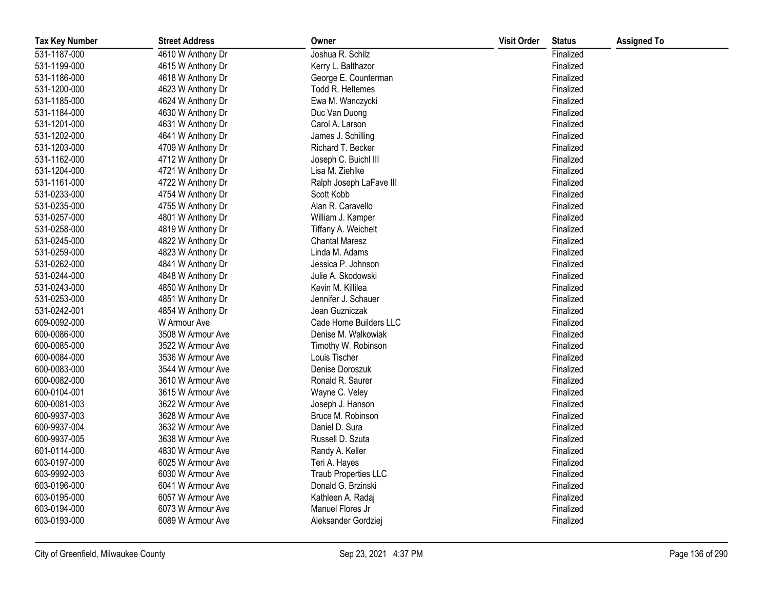| <b>Tax Key Number</b> | <b>Street Address</b> | Owner                       | <b>Visit Order</b> | <b>Status</b> | <b>Assigned To</b> |
|-----------------------|-----------------------|-----------------------------|--------------------|---------------|--------------------|
| 531-1187-000          | 4610 W Anthony Dr     | Joshua R. Schilz            |                    | Finalized     |                    |
| 531-1199-000          | 4615 W Anthony Dr     | Kerry L. Balthazor          |                    | Finalized     |                    |
| 531-1186-000          | 4618 W Anthony Dr     | George E. Counterman        |                    | Finalized     |                    |
| 531-1200-000          | 4623 W Anthony Dr     | Todd R. Heltemes            |                    | Finalized     |                    |
| 531-1185-000          | 4624 W Anthony Dr     | Ewa M. Wanczycki            |                    | Finalized     |                    |
| 531-1184-000          | 4630 W Anthony Dr     | Duc Van Duong               |                    | Finalized     |                    |
| 531-1201-000          | 4631 W Anthony Dr     | Carol A. Larson             |                    | Finalized     |                    |
| 531-1202-000          | 4641 W Anthony Dr     | James J. Schilling          |                    | Finalized     |                    |
| 531-1203-000          | 4709 W Anthony Dr     | Richard T. Becker           |                    | Finalized     |                    |
| 531-1162-000          | 4712 W Anthony Dr     | Joseph C. Buichl III        |                    | Finalized     |                    |
| 531-1204-000          | 4721 W Anthony Dr     | Lisa M. Ziehlke             |                    | Finalized     |                    |
| 531-1161-000          | 4722 W Anthony Dr     | Ralph Joseph LaFave III     |                    | Finalized     |                    |
| 531-0233-000          | 4754 W Anthony Dr     | Scott Kobb                  |                    | Finalized     |                    |
| 531-0235-000          | 4755 W Anthony Dr     | Alan R. Caravello           |                    | Finalized     |                    |
| 531-0257-000          | 4801 W Anthony Dr     | William J. Kamper           |                    | Finalized     |                    |
| 531-0258-000          | 4819 W Anthony Dr     | Tiffany A. Weichelt         |                    | Finalized     |                    |
| 531-0245-000          | 4822 W Anthony Dr     | <b>Chantal Maresz</b>       |                    | Finalized     |                    |
| 531-0259-000          | 4823 W Anthony Dr     | Linda M. Adams              |                    | Finalized     |                    |
| 531-0262-000          | 4841 W Anthony Dr     | Jessica P. Johnson          |                    | Finalized     |                    |
| 531-0244-000          | 4848 W Anthony Dr     | Julie A. Skodowski          |                    | Finalized     |                    |
| 531-0243-000          | 4850 W Anthony Dr     | Kevin M. Killilea           |                    | Finalized     |                    |
| 531-0253-000          | 4851 W Anthony Dr     | Jennifer J. Schauer         |                    | Finalized     |                    |
| 531-0242-001          | 4854 W Anthony Dr     | Jean Guzniczak              |                    | Finalized     |                    |
| 609-0092-000          | W Armour Ave          | Cade Home Builders LLC      |                    | Finalized     |                    |
| 600-0086-000          | 3508 W Armour Ave     | Denise M. Walkowiak         |                    | Finalized     |                    |
| 600-0085-000          | 3522 W Armour Ave     | Timothy W. Robinson         |                    | Finalized     |                    |
| 600-0084-000          | 3536 W Armour Ave     | Louis Tischer               |                    | Finalized     |                    |
| 600-0083-000          | 3544 W Armour Ave     | Denise Doroszuk             |                    | Finalized     |                    |
| 600-0082-000          | 3610 W Armour Ave     | Ronald R. Saurer            |                    | Finalized     |                    |
| 600-0104-001          | 3615 W Armour Ave     | Wayne C. Veley              |                    | Finalized     |                    |
| 600-0081-003          | 3622 W Armour Ave     | Joseph J. Hanson            |                    | Finalized     |                    |
| 600-9937-003          | 3628 W Armour Ave     | Bruce M. Robinson           |                    | Finalized     |                    |
| 600-9937-004          | 3632 W Armour Ave     | Daniel D. Sura              |                    | Finalized     |                    |
| 600-9937-005          | 3638 W Armour Ave     | Russell D. Szuta            |                    | Finalized     |                    |
| 601-0114-000          | 4830 W Armour Ave     | Randy A. Keller             |                    | Finalized     |                    |
| 603-0197-000          | 6025 W Armour Ave     | Teri A. Hayes               |                    | Finalized     |                    |
| 603-9992-003          | 6030 W Armour Ave     | <b>Traub Properties LLC</b> |                    | Finalized     |                    |
| 603-0196-000          | 6041 W Armour Ave     | Donald G. Brzinski          |                    | Finalized     |                    |
| 603-0195-000          | 6057 W Armour Ave     | Kathleen A. Radaj           |                    | Finalized     |                    |
| 603-0194-000          | 6073 W Armour Ave     | Manuel Flores Jr            |                    | Finalized     |                    |
| 603-0193-000          | 6089 W Armour Ave     | Aleksander Gordziej         |                    | Finalized     |                    |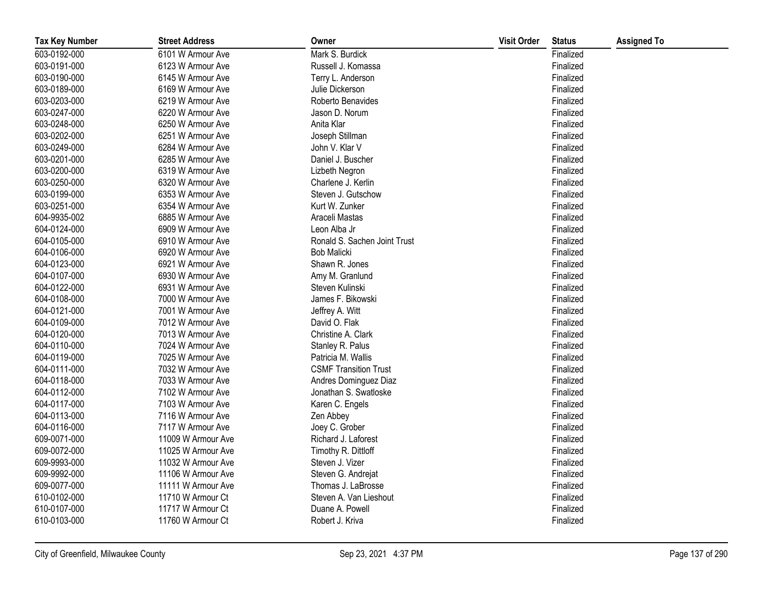| <b>Tax Key Number</b> | <b>Street Address</b> | Owner                        | <b>Visit Order</b> | <b>Status</b> | <b>Assigned To</b> |
|-----------------------|-----------------------|------------------------------|--------------------|---------------|--------------------|
| 603-0192-000          | 6101 W Armour Ave     | Mark S. Burdick              |                    | Finalized     |                    |
| 603-0191-000          | 6123 W Armour Ave     | Russell J. Komassa           |                    | Finalized     |                    |
| 603-0190-000          | 6145 W Armour Ave     | Terry L. Anderson            |                    | Finalized     |                    |
| 603-0189-000          | 6169 W Armour Ave     | Julie Dickerson              |                    | Finalized     |                    |
| 603-0203-000          | 6219 W Armour Ave     | Roberto Benavides            |                    | Finalized     |                    |
| 603-0247-000          | 6220 W Armour Ave     | Jason D. Norum               |                    | Finalized     |                    |
| 603-0248-000          | 6250 W Armour Ave     | Anita Klar                   |                    | Finalized     |                    |
| 603-0202-000          | 6251 W Armour Ave     | Joseph Stillman              |                    | Finalized     |                    |
| 603-0249-000          | 6284 W Armour Ave     | John V. Klar V               |                    | Finalized     |                    |
| 603-0201-000          | 6285 W Armour Ave     | Daniel J. Buscher            |                    | Finalized     |                    |
| 603-0200-000          | 6319 W Armour Ave     | Lizbeth Negron               |                    | Finalized     |                    |
| 603-0250-000          | 6320 W Armour Ave     | Charlene J. Kerlin           |                    | Finalized     |                    |
| 603-0199-000          | 6353 W Armour Ave     | Steven J. Gutschow           |                    | Finalized     |                    |
| 603-0251-000          | 6354 W Armour Ave     | Kurt W. Zunker               |                    | Finalized     |                    |
| 604-9935-002          | 6885 W Armour Ave     | Araceli Mastas               |                    | Finalized     |                    |
| 604-0124-000          | 6909 W Armour Ave     | Leon Alba Jr                 |                    | Finalized     |                    |
| 604-0105-000          | 6910 W Armour Ave     | Ronald S. Sachen Joint Trust |                    | Finalized     |                    |
| 604-0106-000          | 6920 W Armour Ave     | <b>Bob Malicki</b>           |                    | Finalized     |                    |
| 604-0123-000          | 6921 W Armour Ave     | Shawn R. Jones               |                    | Finalized     |                    |
| 604-0107-000          | 6930 W Armour Ave     | Amy M. Granlund              |                    | Finalized     |                    |
| 604-0122-000          | 6931 W Armour Ave     | Steven Kulinski              |                    | Finalized     |                    |
| 604-0108-000          | 7000 W Armour Ave     | James F. Bikowski            |                    | Finalized     |                    |
| 604-0121-000          | 7001 W Armour Ave     | Jeffrey A. Witt              |                    | Finalized     |                    |
| 604-0109-000          | 7012 W Armour Ave     | David O. Flak                |                    | Finalized     |                    |
| 604-0120-000          | 7013 W Armour Ave     | Christine A. Clark           |                    | Finalized     |                    |
| 604-0110-000          | 7024 W Armour Ave     | Stanley R. Palus             |                    | Finalized     |                    |
| 604-0119-000          | 7025 W Armour Ave     | Patricia M. Wallis           |                    | Finalized     |                    |
| 604-0111-000          | 7032 W Armour Ave     | <b>CSMF Transition Trust</b> |                    | Finalized     |                    |
| 604-0118-000          | 7033 W Armour Ave     | Andres Dominguez Diaz        |                    | Finalized     |                    |
| 604-0112-000          | 7102 W Armour Ave     | Jonathan S. Swatloske        |                    | Finalized     |                    |
| 604-0117-000          | 7103 W Armour Ave     | Karen C. Engels              |                    | Finalized     |                    |
| 604-0113-000          | 7116 W Armour Ave     | Zen Abbey                    |                    | Finalized     |                    |
| 604-0116-000          | 7117 W Armour Ave     | Joey C. Grober               |                    | Finalized     |                    |
| 609-0071-000          | 11009 W Armour Ave    | Richard J. Laforest          |                    | Finalized     |                    |
| 609-0072-000          | 11025 W Armour Ave    | Timothy R. Dittloff          |                    | Finalized     |                    |
| 609-9993-000          | 11032 W Armour Ave    | Steven J. Vizer              |                    | Finalized     |                    |
| 609-9992-000          | 11106 W Armour Ave    | Steven G. Andrejat           |                    | Finalized     |                    |
| 609-0077-000          | 11111 W Armour Ave    | Thomas J. LaBrosse           |                    | Finalized     |                    |
| 610-0102-000          | 11710 W Armour Ct     | Steven A. Van Lieshout       |                    | Finalized     |                    |
| 610-0107-000          | 11717 W Armour Ct     | Duane A. Powell              |                    | Finalized     |                    |
| 610-0103-000          | 11760 W Armour Ct     | Robert J. Kriva              |                    | Finalized     |                    |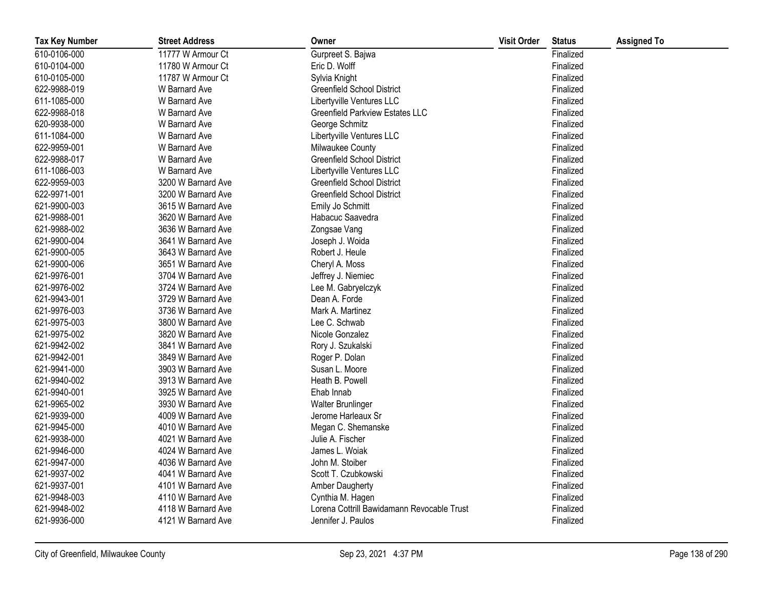| <b>Tax Key Number</b> | <b>Street Address</b> | Owner                                      | <b>Visit Order</b> | <b>Status</b> | <b>Assigned To</b> |
|-----------------------|-----------------------|--------------------------------------------|--------------------|---------------|--------------------|
| 610-0106-000          | 11777 W Armour Ct     | Gurpreet S. Bajwa                          |                    | Finalized     |                    |
| 610-0104-000          | 11780 W Armour Ct     | Eric D. Wolff                              |                    | Finalized     |                    |
| 610-0105-000          | 11787 W Armour Ct     | Sylvia Knight                              |                    | Finalized     |                    |
| 622-9988-019          | W Barnard Ave         | <b>Greenfield School District</b>          |                    | Finalized     |                    |
| 611-1085-000          | W Barnard Ave         | Libertyville Ventures LLC                  |                    | Finalized     |                    |
| 622-9988-018          | W Barnard Ave         | <b>Greenfield Parkview Estates LLC</b>     |                    | Finalized     |                    |
| 620-9938-000          | W Barnard Ave         | George Schmitz                             |                    | Finalized     |                    |
| 611-1084-000          | W Barnard Ave         | Libertyville Ventures LLC                  |                    | Finalized     |                    |
| 622-9959-001          | W Barnard Ave         | Milwaukee County                           |                    | Finalized     |                    |
| 622-9988-017          | W Barnard Ave         | <b>Greenfield School District</b>          |                    | Finalized     |                    |
| 611-1086-003          | W Barnard Ave         | Libertyville Ventures LLC                  |                    | Finalized     |                    |
| 622-9959-003          | 3200 W Barnard Ave    | <b>Greenfield School District</b>          |                    | Finalized     |                    |
| 622-9971-001          | 3200 W Barnard Ave    | <b>Greenfield School District</b>          |                    | Finalized     |                    |
| 621-9900-003          | 3615 W Barnard Ave    | Emily Jo Schmitt                           |                    | Finalized     |                    |
| 621-9988-001          | 3620 W Barnard Ave    | Habacuc Saavedra                           |                    | Finalized     |                    |
| 621-9988-002          | 3636 W Barnard Ave    | Zongsae Vang                               |                    | Finalized     |                    |
| 621-9900-004          | 3641 W Barnard Ave    | Joseph J. Woida                            |                    | Finalized     |                    |
| 621-9900-005          | 3643 W Barnard Ave    | Robert J. Heule                            |                    | Finalized     |                    |
| 621-9900-006          | 3651 W Barnard Ave    | Cheryl A. Moss                             |                    | Finalized     |                    |
| 621-9976-001          | 3704 W Barnard Ave    | Jeffrey J. Niemiec                         |                    | Finalized     |                    |
| 621-9976-002          | 3724 W Barnard Ave    | Lee M. Gabryelczyk                         |                    | Finalized     |                    |
| 621-9943-001          | 3729 W Barnard Ave    | Dean A. Forde                              |                    | Finalized     |                    |
| 621-9976-003          | 3736 W Barnard Ave    | Mark A. Martinez                           |                    | Finalized     |                    |
| 621-9975-003          | 3800 W Barnard Ave    | Lee C. Schwab                              |                    | Finalized     |                    |
| 621-9975-002          | 3820 W Barnard Ave    | Nicole Gonzalez                            |                    | Finalized     |                    |
| 621-9942-002          | 3841 W Barnard Ave    | Rory J. Szukalski                          |                    | Finalized     |                    |
| 621-9942-001          | 3849 W Barnard Ave    | Roger P. Dolan                             |                    | Finalized     |                    |
| 621-9941-000          | 3903 W Barnard Ave    | Susan L. Moore                             |                    | Finalized     |                    |
| 621-9940-002          | 3913 W Barnard Ave    | Heath B. Powell                            |                    | Finalized     |                    |
| 621-9940-001          | 3925 W Barnard Ave    | Ehab Innab                                 |                    | Finalized     |                    |
| 621-9965-002          | 3930 W Barnard Ave    | Walter Brunlinger                          |                    | Finalized     |                    |
| 621-9939-000          | 4009 W Barnard Ave    | Jerome Harleaux Sr                         |                    | Finalized     |                    |
| 621-9945-000          | 4010 W Barnard Ave    | Megan C. Shemanske                         |                    | Finalized     |                    |
| 621-9938-000          | 4021 W Barnard Ave    | Julie A. Fischer                           |                    | Finalized     |                    |
| 621-9946-000          | 4024 W Barnard Ave    | James L. Woiak                             |                    | Finalized     |                    |
| 621-9947-000          | 4036 W Barnard Ave    | John M. Stoiber                            |                    | Finalized     |                    |
| 621-9937-002          | 4041 W Barnard Ave    | Scott T. Czubkowski                        |                    | Finalized     |                    |
| 621-9937-001          | 4101 W Barnard Ave    | Amber Daugherty                            |                    | Finalized     |                    |
| 621-9948-003          | 4110 W Barnard Ave    | Cynthia M. Hagen                           |                    | Finalized     |                    |
| 621-9948-002          | 4118 W Barnard Ave    | Lorena Cottrill Bawidamann Revocable Trust |                    | Finalized     |                    |
| 621-9936-000          | 4121 W Barnard Ave    | Jennifer J. Paulos                         |                    | Finalized     |                    |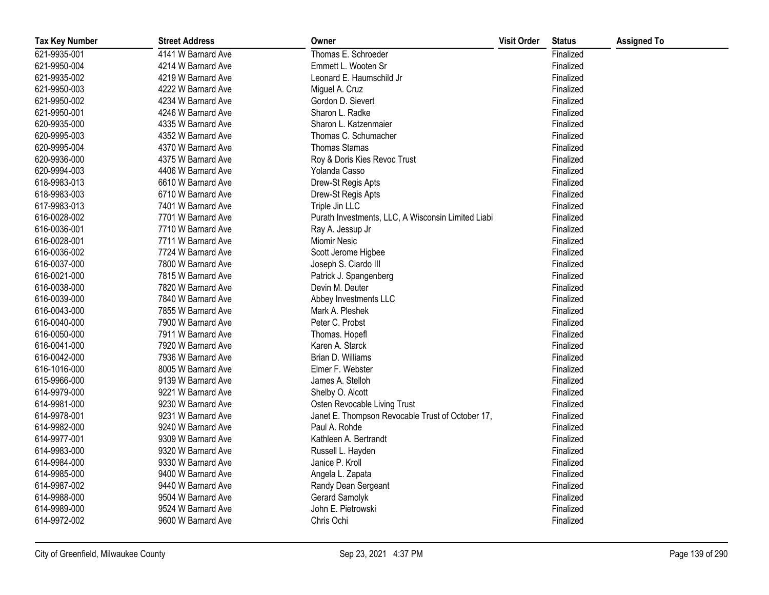| <b>Tax Key Number</b> | <b>Street Address</b> | Owner                                              | <b>Visit Order</b> | <b>Status</b> | <b>Assigned To</b> |
|-----------------------|-----------------------|----------------------------------------------------|--------------------|---------------|--------------------|
| 621-9935-001          | 4141 W Barnard Ave    | Thomas E. Schroeder                                |                    | Finalized     |                    |
| 621-9950-004          | 4214 W Barnard Ave    | Emmett L. Wooten Sr                                |                    | Finalized     |                    |
| 621-9935-002          | 4219 W Barnard Ave    | Leonard E. Haumschild Jr                           |                    | Finalized     |                    |
| 621-9950-003          | 4222 W Barnard Ave    | Miguel A. Cruz                                     |                    | Finalized     |                    |
| 621-9950-002          | 4234 W Barnard Ave    | Gordon D. Sievert                                  |                    | Finalized     |                    |
| 621-9950-001          | 4246 W Barnard Ave    | Sharon L. Radke                                    |                    | Finalized     |                    |
| 620-9935-000          | 4335 W Barnard Ave    | Sharon L. Katzenmaier                              |                    | Finalized     |                    |
| 620-9995-003          | 4352 W Barnard Ave    | Thomas C. Schumacher                               |                    | Finalized     |                    |
| 620-9995-004          | 4370 W Barnard Ave    | <b>Thomas Stamas</b>                               |                    | Finalized     |                    |
| 620-9936-000          | 4375 W Barnard Ave    | Roy & Doris Kies Revoc Trust                       |                    | Finalized     |                    |
| 620-9994-003          | 4406 W Barnard Ave    | Yolanda Casso                                      |                    | Finalized     |                    |
| 618-9983-013          | 6610 W Barnard Ave    | Drew-St Regis Apts                                 |                    | Finalized     |                    |
| 618-9983-003          | 6710 W Barnard Ave    | Drew-St Regis Apts                                 |                    | Finalized     |                    |
| 617-9983-013          | 7401 W Barnard Ave    | Triple Jin LLC                                     |                    | Finalized     |                    |
| 616-0028-002          | 7701 W Barnard Ave    | Purath Investments, LLC, A Wisconsin Limited Liabi |                    | Finalized     |                    |
| 616-0036-001          | 7710 W Barnard Ave    | Ray A. Jessup Jr                                   |                    | Finalized     |                    |
| 616-0028-001          | 7711 W Barnard Ave    | Miomir Nesic                                       |                    | Finalized     |                    |
| 616-0036-002          | 7724 W Barnard Ave    | Scott Jerome Higbee                                |                    | Finalized     |                    |
| 616-0037-000          | 7800 W Barnard Ave    | Joseph S. Ciardo III                               |                    | Finalized     |                    |
| 616-0021-000          | 7815 W Barnard Ave    | Patrick J. Spangenberg                             |                    | Finalized     |                    |
| 616-0038-000          | 7820 W Barnard Ave    | Devin M. Deuter                                    |                    | Finalized     |                    |
| 616-0039-000          | 7840 W Barnard Ave    | Abbey Investments LLC                              |                    | Finalized     |                    |
| 616-0043-000          | 7855 W Barnard Ave    | Mark A. Pleshek                                    |                    | Finalized     |                    |
| 616-0040-000          | 7900 W Barnard Ave    | Peter C. Probst                                    |                    | Finalized     |                    |
| 616-0050-000          | 7911 W Barnard Ave    | Thomas. Hopefl                                     |                    | Finalized     |                    |
| 616-0041-000          | 7920 W Barnard Ave    | Karen A. Starck                                    |                    | Finalized     |                    |
| 616-0042-000          | 7936 W Barnard Ave    | Brian D. Williams                                  |                    | Finalized     |                    |
| 616-1016-000          | 8005 W Barnard Ave    | Elmer F. Webster                                   |                    | Finalized     |                    |
| 615-9966-000          | 9139 W Barnard Ave    | James A. Stelloh                                   |                    | Finalized     |                    |
| 614-9979-000          | 9221 W Barnard Ave    | Shelby O. Alcott                                   |                    | Finalized     |                    |
| 614-9981-000          | 9230 W Barnard Ave    | Osten Revocable Living Trust                       |                    | Finalized     |                    |
| 614-9978-001          | 9231 W Barnard Ave    | Janet E. Thompson Revocable Trust of October 17,   |                    | Finalized     |                    |
| 614-9982-000          | 9240 W Barnard Ave    | Paul A. Rohde                                      |                    | Finalized     |                    |
| 614-9977-001          | 9309 W Barnard Ave    | Kathleen A. Bertrandt                              |                    | Finalized     |                    |
| 614-9983-000          | 9320 W Barnard Ave    | Russell L. Hayden                                  |                    | Finalized     |                    |
| 614-9984-000          | 9330 W Barnard Ave    | Janice P. Kroll                                    |                    | Finalized     |                    |
| 614-9985-000          | 9400 W Barnard Ave    | Angela L. Zapata                                   |                    | Finalized     |                    |
| 614-9987-002          | 9440 W Barnard Ave    | Randy Dean Sergeant                                |                    | Finalized     |                    |
| 614-9988-000          | 9504 W Barnard Ave    | Gerard Samolyk                                     |                    | Finalized     |                    |
| 614-9989-000          | 9524 W Barnard Ave    | John E. Pietrowski                                 |                    | Finalized     |                    |
| 614-9972-002          | 9600 W Barnard Ave    | Chris Ochi                                         |                    | Finalized     |                    |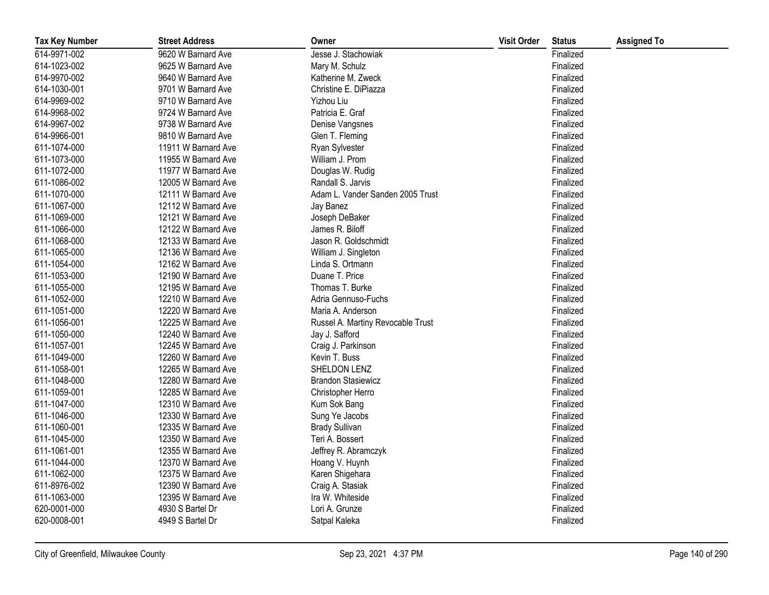| <b>Tax Key Number</b> | <b>Street Address</b> | Owner                             | <b>Visit Order</b> | <b>Status</b> | <b>Assigned To</b> |
|-----------------------|-----------------------|-----------------------------------|--------------------|---------------|--------------------|
| 614-9971-002          | 9620 W Barnard Ave    | Jesse J. Stachowiak               |                    | Finalized     |                    |
| 614-1023-002          | 9625 W Barnard Ave    | Mary M. Schulz                    |                    | Finalized     |                    |
| 614-9970-002          | 9640 W Barnard Ave    | Katherine M. Zweck                |                    | Finalized     |                    |
| 614-1030-001          | 9701 W Barnard Ave    | Christine E. DiPiazza             |                    | Finalized     |                    |
| 614-9969-002          | 9710 W Barnard Ave    | Yizhou Liu                        |                    | Finalized     |                    |
| 614-9968-002          | 9724 W Barnard Ave    | Patricia E. Graf                  |                    | Finalized     |                    |
| 614-9967-002          | 9738 W Barnard Ave    | Denise Vangsnes                   |                    | Finalized     |                    |
| 614-9966-001          | 9810 W Barnard Ave    | Glen T. Fleming                   |                    | Finalized     |                    |
| 611-1074-000          | 11911 W Barnard Ave   | Ryan Sylvester                    |                    | Finalized     |                    |
| 611-1073-000          | 11955 W Barnard Ave   | William J. Prom                   |                    | Finalized     |                    |
| 611-1072-000          | 11977 W Barnard Ave   | Douglas W. Rudig                  |                    | Finalized     |                    |
| 611-1086-002          | 12005 W Barnard Ave   | Randall S. Jarvis                 |                    | Finalized     |                    |
| 611-1070-000          | 12111 W Barnard Ave   | Adam L. Vander Sanden 2005 Trust  |                    | Finalized     |                    |
| 611-1067-000          | 12112 W Barnard Ave   | Jay Banez                         |                    | Finalized     |                    |
| 611-1069-000          | 12121 W Barnard Ave   | Joseph DeBaker                    |                    | Finalized     |                    |
| 611-1066-000          | 12122 W Barnard Ave   | James R. Biloff                   |                    | Finalized     |                    |
| 611-1068-000          | 12133 W Barnard Ave   | Jason R. Goldschmidt              |                    | Finalized     |                    |
| 611-1065-000          | 12136 W Barnard Ave   | William J. Singleton              |                    | Finalized     |                    |
| 611-1054-000          | 12162 W Barnard Ave   | Linda S. Ortmann                  |                    | Finalized     |                    |
| 611-1053-000          | 12190 W Barnard Ave   | Duane T. Price                    |                    | Finalized     |                    |
| 611-1055-000          | 12195 W Barnard Ave   | Thomas T. Burke                   |                    | Finalized     |                    |
| 611-1052-000          | 12210 W Barnard Ave   | Adria Gennuso-Fuchs               |                    | Finalized     |                    |
| 611-1051-000          | 12220 W Barnard Ave   | Maria A. Anderson                 |                    | Finalized     |                    |
| 611-1056-001          | 12225 W Barnard Ave   | Russel A. Martiny Revocable Trust |                    | Finalized     |                    |
| 611-1050-000          | 12240 W Barnard Ave   | Jay J. Safford                    |                    | Finalized     |                    |
| 611-1057-001          | 12245 W Barnard Ave   | Craig J. Parkinson                |                    | Finalized     |                    |
| 611-1049-000          | 12260 W Barnard Ave   | Kevin T. Buss                     |                    | Finalized     |                    |
| 611-1058-001          | 12265 W Barnard Ave   | SHELDON LENZ                      |                    | Finalized     |                    |
| 611-1048-000          | 12280 W Barnard Ave   | <b>Brandon Stasiewicz</b>         |                    | Finalized     |                    |
| 611-1059-001          | 12285 W Barnard Ave   | Christopher Herro                 |                    | Finalized     |                    |
| 611-1047-000          | 12310 W Barnard Ave   | Kum Sok Bang                      |                    | Finalized     |                    |
| 611-1046-000          | 12330 W Barnard Ave   | Sung Ye Jacobs                    |                    | Finalized     |                    |
| 611-1060-001          | 12335 W Barnard Ave   | <b>Brady Sullivan</b>             |                    | Finalized     |                    |
| 611-1045-000          | 12350 W Barnard Ave   | Teri A. Bossert                   |                    | Finalized     |                    |
| 611-1061-001          | 12355 W Barnard Ave   | Jeffrey R. Abramczyk              |                    | Finalized     |                    |
| 611-1044-000          | 12370 W Barnard Ave   | Hoang V. Huynh                    |                    | Finalized     |                    |
| 611-1062-000          | 12375 W Barnard Ave   | Karen Shigehara                   |                    | Finalized     |                    |
| 611-8976-002          | 12390 W Barnard Ave   | Craig A. Stasiak                  |                    | Finalized     |                    |
| 611-1063-000          | 12395 W Barnard Ave   | Ira W. Whiteside                  |                    | Finalized     |                    |
| 620-0001-000          | 4930 S Bartel Dr      | Lori A. Grunze                    |                    | Finalized     |                    |
| 620-0008-001          | 4949 S Bartel Dr      | Satpal Kaleka                     |                    | Finalized     |                    |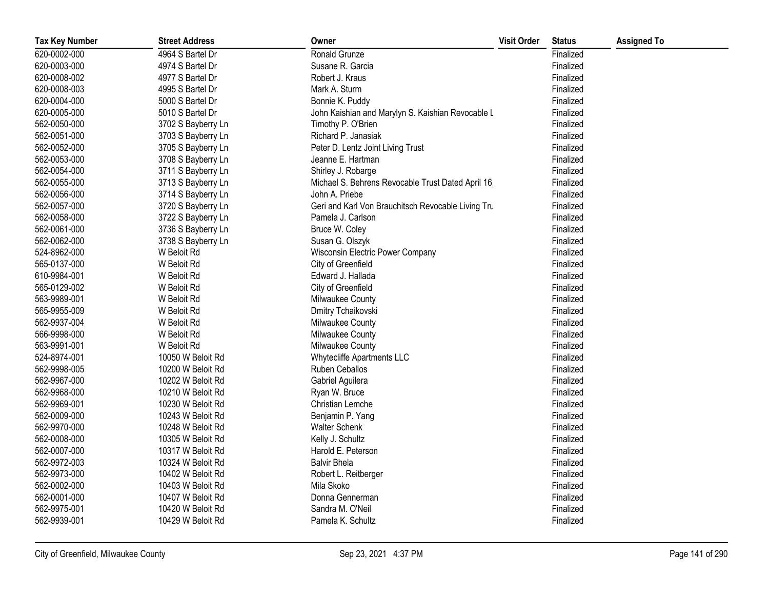| <b>Tax Key Number</b> | <b>Street Address</b> | Owner                                              | <b>Visit Order</b> | <b>Status</b> | <b>Assigned To</b> |
|-----------------------|-----------------------|----------------------------------------------------|--------------------|---------------|--------------------|
| 620-0002-000          | 4964 S Bartel Dr      | Ronald Grunze                                      |                    | Finalized     |                    |
| 620-0003-000          | 4974 S Bartel Dr      | Susane R. Garcia                                   |                    | Finalized     |                    |
| 620-0008-002          | 4977 S Bartel Dr      | Robert J. Kraus                                    |                    | Finalized     |                    |
| 620-0008-003          | 4995 S Bartel Dr      | Mark A. Sturm                                      |                    | Finalized     |                    |
| 620-0004-000          | 5000 S Bartel Dr      | Bonnie K. Puddy                                    |                    | Finalized     |                    |
| 620-0005-000          | 5010 S Bartel Dr      | John Kaishian and Marylyn S. Kaishian Revocable L  |                    | Finalized     |                    |
| 562-0050-000          | 3702 S Bayberry Ln    | Timothy P. O'Brien                                 |                    | Finalized     |                    |
| 562-0051-000          | 3703 S Bayberry Ln    | Richard P. Janasiak                                |                    | Finalized     |                    |
| 562-0052-000          | 3705 S Bayberry Ln    | Peter D. Lentz Joint Living Trust                  |                    | Finalized     |                    |
| 562-0053-000          | 3708 S Bayberry Ln    | Jeanne E. Hartman                                  |                    | Finalized     |                    |
| 562-0054-000          | 3711 S Bayberry Ln    | Shirley J. Robarge                                 |                    | Finalized     |                    |
| 562-0055-000          | 3713 S Bayberry Ln    | Michael S. Behrens Revocable Trust Dated April 16, |                    | Finalized     |                    |
| 562-0056-000          | 3714 S Bayberry Ln    | John A. Priebe                                     |                    | Finalized     |                    |
| 562-0057-000          | 3720 S Bayberry Ln    | Geri and Karl Von Brauchitsch Revocable Living Tru |                    | Finalized     |                    |
| 562-0058-000          | 3722 S Bayberry Ln    | Pamela J. Carlson                                  |                    | Finalized     |                    |
| 562-0061-000          | 3736 S Bayberry Ln    | Bruce W. Coley                                     |                    | Finalized     |                    |
| 562-0062-000          | 3738 S Bayberry Ln    | Susan G. Olszyk                                    |                    | Finalized     |                    |
| 524-8962-000          | W Beloit Rd           | Wisconsin Electric Power Company                   |                    | Finalized     |                    |
| 565-0137-000          | W Beloit Rd           | City of Greenfield                                 |                    | Finalized     |                    |
| 610-9984-001          | W Beloit Rd           | Edward J. Hallada                                  |                    | Finalized     |                    |
| 565-0129-002          | W Beloit Rd           | City of Greenfield                                 |                    | Finalized     |                    |
| 563-9989-001          | W Beloit Rd           | Milwaukee County                                   |                    | Finalized     |                    |
| 565-9955-009          | W Beloit Rd           | Dmitry Tchaikovski                                 |                    | Finalized     |                    |
| 562-9937-004          | W Beloit Rd           | Milwaukee County                                   |                    | Finalized     |                    |
| 566-9998-000          | W Beloit Rd           | Milwaukee County                                   |                    | Finalized     |                    |
| 563-9991-001          | W Beloit Rd           | Milwaukee County                                   |                    | Finalized     |                    |
| 524-8974-001          | 10050 W Beloit Rd     | <b>Whytecliffe Apartments LLC</b>                  |                    | Finalized     |                    |
| 562-9998-005          | 10200 W Beloit Rd     | Ruben Ceballos                                     |                    | Finalized     |                    |
| 562-9967-000          | 10202 W Beloit Rd     | Gabriel Aguilera                                   |                    | Finalized     |                    |
| 562-9968-000          | 10210 W Beloit Rd     | Ryan W. Bruce                                      |                    | Finalized     |                    |
| 562-9969-001          | 10230 W Beloit Rd     | Christian Lemche                                   |                    | Finalized     |                    |
| 562-0009-000          | 10243 W Beloit Rd     | Benjamin P. Yang                                   |                    | Finalized     |                    |
| 562-9970-000          | 10248 W Beloit Rd     | <b>Walter Schenk</b>                               |                    | Finalized     |                    |
| 562-0008-000          | 10305 W Beloit Rd     | Kelly J. Schultz                                   |                    | Finalized     |                    |
| 562-0007-000          | 10317 W Beloit Rd     | Harold E. Peterson                                 |                    | Finalized     |                    |
| 562-9972-003          | 10324 W Beloit Rd     | <b>Balvir Bhela</b>                                |                    | Finalized     |                    |
| 562-9973-000          | 10402 W Beloit Rd     | Robert L. Reitberger                               |                    | Finalized     |                    |
| 562-0002-000          | 10403 W Beloit Rd     | Mila Skoko                                         |                    | Finalized     |                    |
| 562-0001-000          | 10407 W Beloit Rd     | Donna Gennerman                                    |                    | Finalized     |                    |
| 562-9975-001          | 10420 W Beloit Rd     | Sandra M. O'Neil                                   |                    | Finalized     |                    |
| 562-9939-001          | 10429 W Beloit Rd     | Pamela K. Schultz                                  |                    | Finalized     |                    |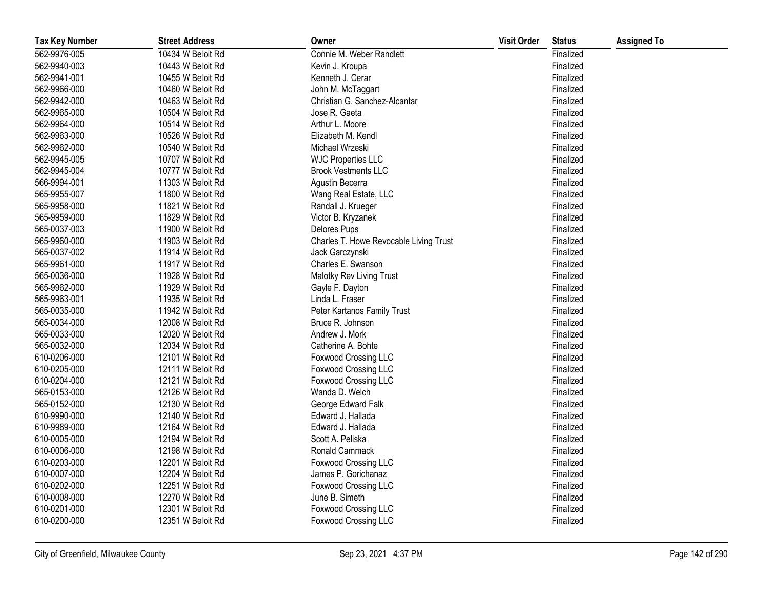| <b>Tax Key Number</b> | <b>Street Address</b> | Owner                                  | <b>Visit Order</b> | <b>Status</b> | <b>Assigned To</b> |
|-----------------------|-----------------------|----------------------------------------|--------------------|---------------|--------------------|
| 562-9976-005          | 10434 W Beloit Rd     | Connie M. Weber Randlett               |                    | Finalized     |                    |
| 562-9940-003          | 10443 W Beloit Rd     | Kevin J. Kroupa                        |                    | Finalized     |                    |
| 562-9941-001          | 10455 W Beloit Rd     | Kenneth J. Cerar                       |                    | Finalized     |                    |
| 562-9966-000          | 10460 W Beloit Rd     | John M. McTaggart                      |                    | Finalized     |                    |
| 562-9942-000          | 10463 W Beloit Rd     | Christian G. Sanchez-Alcantar          |                    | Finalized     |                    |
| 562-9965-000          | 10504 W Beloit Rd     | Jose R. Gaeta                          |                    | Finalized     |                    |
| 562-9964-000          | 10514 W Beloit Rd     | Arthur L. Moore                        |                    | Finalized     |                    |
| 562-9963-000          | 10526 W Beloit Rd     | Elizabeth M. Kendl                     |                    | Finalized     |                    |
| 562-9962-000          | 10540 W Beloit Rd     | Michael Wrzeski                        |                    | Finalized     |                    |
| 562-9945-005          | 10707 W Beloit Rd     | <b>WJC Properties LLC</b>              |                    | Finalized     |                    |
| 562-9945-004          | 10777 W Beloit Rd     | <b>Brook Vestments LLC</b>             |                    | Finalized     |                    |
| 566-9994-001          | 11303 W Beloit Rd     | Agustin Becerra                        |                    | Finalized     |                    |
| 565-9955-007          | 11800 W Beloit Rd     | Wang Real Estate, LLC                  |                    | Finalized     |                    |
| 565-9958-000          | 11821 W Beloit Rd     | Randall J. Krueger                     |                    | Finalized     |                    |
| 565-9959-000          | 11829 W Beloit Rd     | Victor B. Kryzanek                     |                    | Finalized     |                    |
| 565-0037-003          | 11900 W Beloit Rd     | Delores Pups                           |                    | Finalized     |                    |
| 565-9960-000          | 11903 W Beloit Rd     | Charles T. Howe Revocable Living Trust |                    | Finalized     |                    |
| 565-0037-002          | 11914 W Beloit Rd     | Jack Garczynski                        |                    | Finalized     |                    |
| 565-9961-000          | 11917 W Beloit Rd     | Charles E. Swanson                     |                    | Finalized     |                    |
| 565-0036-000          | 11928 W Beloit Rd     | Malotky Rev Living Trust               |                    | Finalized     |                    |
| 565-9962-000          | 11929 W Beloit Rd     | Gayle F. Dayton                        |                    | Finalized     |                    |
| 565-9963-001          | 11935 W Beloit Rd     | Linda L. Fraser                        |                    | Finalized     |                    |
| 565-0035-000          | 11942 W Beloit Rd     | Peter Kartanos Family Trust            |                    | Finalized     |                    |
| 565-0034-000          | 12008 W Beloit Rd     | Bruce R. Johnson                       |                    | Finalized     |                    |
| 565-0033-000          | 12020 W Beloit Rd     | Andrew J. Mork                         |                    | Finalized     |                    |
| 565-0032-000          | 12034 W Beloit Rd     | Catherine A. Bohte                     |                    | Finalized     |                    |
| 610-0206-000          | 12101 W Beloit Rd     | Foxwood Crossing LLC                   |                    | Finalized     |                    |
| 610-0205-000          | 12111 W Beloit Rd     | Foxwood Crossing LLC                   |                    | Finalized     |                    |
| 610-0204-000          | 12121 W Beloit Rd     | Foxwood Crossing LLC                   |                    | Finalized     |                    |
| 565-0153-000          | 12126 W Beloit Rd     | Wanda D. Welch                         |                    | Finalized     |                    |
| 565-0152-000          | 12130 W Beloit Rd     | George Edward Falk                     |                    | Finalized     |                    |
| 610-9990-000          | 12140 W Beloit Rd     | Edward J. Hallada                      |                    | Finalized     |                    |
| 610-9989-000          | 12164 W Beloit Rd     | Edward J. Hallada                      |                    | Finalized     |                    |
| 610-0005-000          | 12194 W Beloit Rd     | Scott A. Peliska                       |                    | Finalized     |                    |
| 610-0006-000          | 12198 W Beloit Rd     | Ronald Cammack                         |                    | Finalized     |                    |
| 610-0203-000          | 12201 W Beloit Rd     | <b>Foxwood Crossing LLC</b>            |                    | Finalized     |                    |
| 610-0007-000          | 12204 W Beloit Rd     | James P. Gorichanaz                    |                    | Finalized     |                    |
| 610-0202-000          | 12251 W Beloit Rd     | Foxwood Crossing LLC                   |                    | Finalized     |                    |
| 610-0008-000          | 12270 W Beloit Rd     | June B. Simeth                         |                    | Finalized     |                    |
| 610-0201-000          | 12301 W Beloit Rd     | Foxwood Crossing LLC                   |                    | Finalized     |                    |
| 610-0200-000          | 12351 W Beloit Rd     | Foxwood Crossing LLC                   |                    | Finalized     |                    |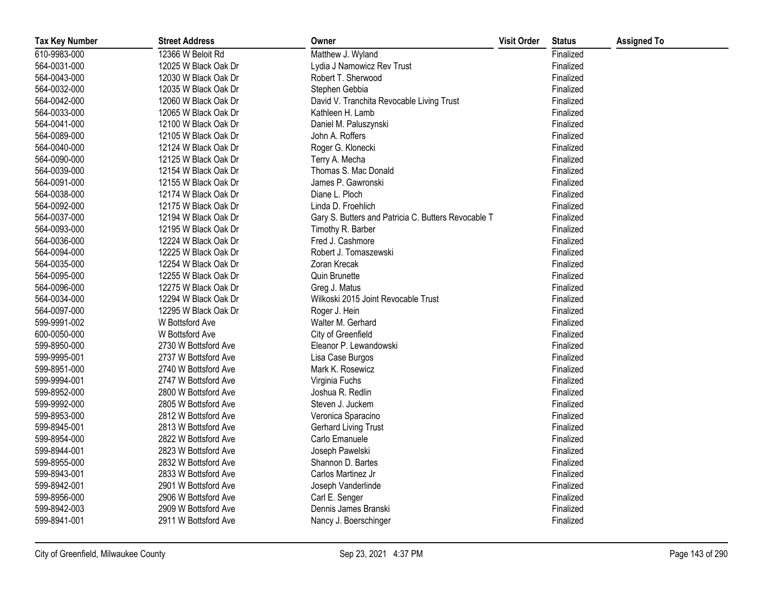| <b>Tax Key Number</b> | <b>Street Address</b> | Owner                                               | <b>Visit Order</b> | <b>Status</b> | <b>Assigned To</b> |
|-----------------------|-----------------------|-----------------------------------------------------|--------------------|---------------|--------------------|
| 610-9983-000          | 12366 W Beloit Rd     | Matthew J. Wyland                                   |                    | Finalized     |                    |
| 564-0031-000          | 12025 W Black Oak Dr  | Lydia J Namowicz Rev Trust                          |                    | Finalized     |                    |
| 564-0043-000          | 12030 W Black Oak Dr  | Robert T. Sherwood                                  |                    | Finalized     |                    |
| 564-0032-000          | 12035 W Black Oak Dr  | Stephen Gebbia                                      |                    | Finalized     |                    |
| 564-0042-000          | 12060 W Black Oak Dr  | David V. Tranchita Revocable Living Trust           |                    | Finalized     |                    |
| 564-0033-000          | 12065 W Black Oak Dr  | Kathleen H. Lamb                                    |                    | Finalized     |                    |
| 564-0041-000          | 12100 W Black Oak Dr  | Daniel M. Paluszynski                               |                    | Finalized     |                    |
| 564-0089-000          | 12105 W Black Oak Dr  | John A. Roffers                                     |                    | Finalized     |                    |
| 564-0040-000          | 12124 W Black Oak Dr  | Roger G. Klonecki                                   |                    | Finalized     |                    |
| 564-0090-000          | 12125 W Black Oak Dr  | Terry A. Mecha                                      |                    | Finalized     |                    |
| 564-0039-000          | 12154 W Black Oak Dr  | Thomas S. Mac Donald                                |                    | Finalized     |                    |
| 564-0091-000          | 12155 W Black Oak Dr  | James P. Gawronski                                  |                    | Finalized     |                    |
| 564-0038-000          | 12174 W Black Oak Dr  | Diane L. Ploch                                      |                    | Finalized     |                    |
| 564-0092-000          | 12175 W Black Oak Dr  | Linda D. Froehlich                                  |                    | Finalized     |                    |
| 564-0037-000          | 12194 W Black Oak Dr  | Gary S. Butters and Patricia C. Butters Revocable T |                    | Finalized     |                    |
| 564-0093-000          | 12195 W Black Oak Dr  | Timothy R. Barber                                   |                    | Finalized     |                    |
| 564-0036-000          | 12224 W Black Oak Dr  | Fred J. Cashmore                                    |                    | Finalized     |                    |
| 564-0094-000          | 12225 W Black Oak Dr  | Robert J. Tomaszewski                               |                    | Finalized     |                    |
| 564-0035-000          | 12254 W Black Oak Dr  | Zoran Krecak                                        |                    | Finalized     |                    |
| 564-0095-000          | 12255 W Black Oak Dr  | Quin Brunette                                       |                    | Finalized     |                    |
| 564-0096-000          | 12275 W Black Oak Dr  | Greg J. Matus                                       |                    | Finalized     |                    |
| 564-0034-000          | 12294 W Black Oak Dr  | Wilkoski 2015 Joint Revocable Trust                 |                    | Finalized     |                    |
| 564-0097-000          | 12295 W Black Oak Dr  | Roger J. Hein                                       |                    | Finalized     |                    |
| 599-9991-002          | W Bottsford Ave       | Walter M. Gerhard                                   |                    | Finalized     |                    |
| 600-0050-000          | W Bottsford Ave       | City of Greenfield                                  |                    | Finalized     |                    |
| 599-8950-000          | 2730 W Bottsford Ave  | Eleanor P. Lewandowski                              |                    | Finalized     |                    |
| 599-9995-001          | 2737 W Bottsford Ave  | Lisa Case Burgos                                    |                    | Finalized     |                    |
| 599-8951-000          | 2740 W Bottsford Ave  | Mark K. Rosewicz                                    |                    | Finalized     |                    |
| 599-9994-001          | 2747 W Bottsford Ave  | Virginia Fuchs                                      |                    | Finalized     |                    |
| 599-8952-000          | 2800 W Bottsford Ave  | Joshua R. Redlin                                    |                    | Finalized     |                    |
| 599-9992-000          | 2805 W Bottsford Ave  | Steven J. Juckem                                    |                    | Finalized     |                    |
| 599-8953-000          | 2812 W Bottsford Ave  | Veronica Sparacino                                  |                    | Finalized     |                    |
| 599-8945-001          | 2813 W Bottsford Ave  | <b>Gerhard Living Trust</b>                         |                    | Finalized     |                    |
| 599-8954-000          | 2822 W Bottsford Ave  | Carlo Emanuele                                      |                    | Finalized     |                    |
| 599-8944-001          | 2823 W Bottsford Ave  | Joseph Pawelski                                     |                    | Finalized     |                    |
| 599-8955-000          | 2832 W Bottsford Ave  | Shannon D. Bartes                                   |                    | Finalized     |                    |
| 599-8943-001          | 2833 W Bottsford Ave  | Carlos Martinez Jr                                  |                    | Finalized     |                    |
| 599-8942-001          | 2901 W Bottsford Ave  | Joseph Vanderlinde                                  |                    | Finalized     |                    |
| 599-8956-000          | 2906 W Bottsford Ave  | Carl E. Senger                                      |                    | Finalized     |                    |
| 599-8942-003          | 2909 W Bottsford Ave  | Dennis James Branski                                |                    | Finalized     |                    |
| 599-8941-001          | 2911 W Bottsford Ave  | Nancy J. Boerschinger                               |                    | Finalized     |                    |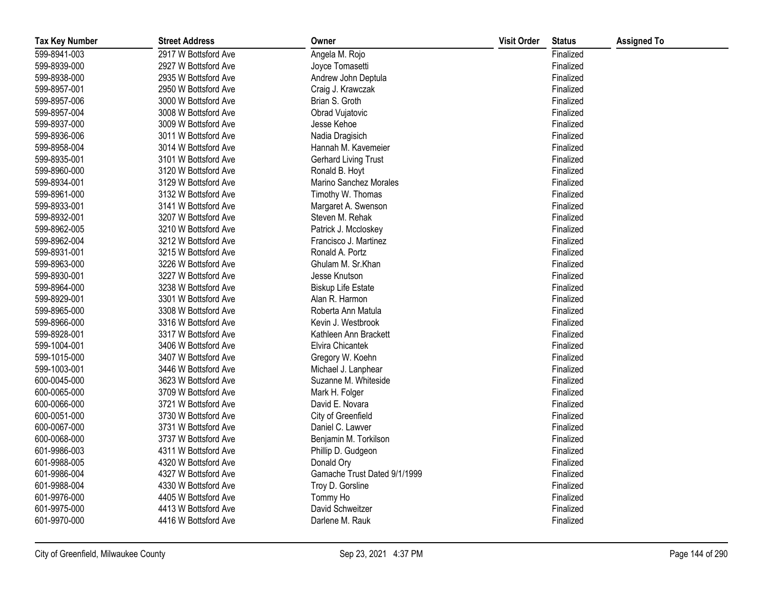| <b>Tax Key Number</b> | <b>Street Address</b> | Owner                        | <b>Visit Order</b> | <b>Status</b> | <b>Assigned To</b> |
|-----------------------|-----------------------|------------------------------|--------------------|---------------|--------------------|
| 599-8941-003          | 2917 W Bottsford Ave  | Angela M. Rojo               |                    | Finalized     |                    |
| 599-8939-000          | 2927 W Bottsford Ave  | Joyce Tomasetti              |                    | Finalized     |                    |
| 599-8938-000          | 2935 W Bottsford Ave  | Andrew John Deptula          |                    | Finalized     |                    |
| 599-8957-001          | 2950 W Bottsford Ave  | Craig J. Krawczak            |                    | Finalized     |                    |
| 599-8957-006          | 3000 W Bottsford Ave  | Brian S. Groth               |                    | Finalized     |                    |
| 599-8957-004          | 3008 W Bottsford Ave  | Obrad Vujatovic              |                    | Finalized     |                    |
| 599-8937-000          | 3009 W Bottsford Ave  | Jesse Kehoe                  |                    | Finalized     |                    |
| 599-8936-006          | 3011 W Bottsford Ave  | Nadia Dragisich              |                    | Finalized     |                    |
| 599-8958-004          | 3014 W Bottsford Ave  | Hannah M. Kavemeier          |                    | Finalized     |                    |
| 599-8935-001          | 3101 W Bottsford Ave  | Gerhard Living Trust         |                    | Finalized     |                    |
| 599-8960-000          | 3120 W Bottsford Ave  | Ronald B. Hoyt               |                    | Finalized     |                    |
| 599-8934-001          | 3129 W Bottsford Ave  | Marino Sanchez Morales       |                    | Finalized     |                    |
| 599-8961-000          | 3132 W Bottsford Ave  | Timothy W. Thomas            |                    | Finalized     |                    |
| 599-8933-001          | 3141 W Bottsford Ave  | Margaret A. Swenson          |                    | Finalized     |                    |
| 599-8932-001          | 3207 W Bottsford Ave  | Steven M. Rehak              |                    | Finalized     |                    |
| 599-8962-005          | 3210 W Bottsford Ave  | Patrick J. Mccloskey         |                    | Finalized     |                    |
| 599-8962-004          | 3212 W Bottsford Ave  | Francisco J. Martinez        |                    | Finalized     |                    |
| 599-8931-001          | 3215 W Bottsford Ave  | Ronald A. Portz              |                    | Finalized     |                    |
| 599-8963-000          | 3226 W Bottsford Ave  | Ghulam M. Sr.Khan            |                    | Finalized     |                    |
| 599-8930-001          | 3227 W Bottsford Ave  | Jesse Knutson                |                    | Finalized     |                    |
| 599-8964-000          | 3238 W Bottsford Ave  | <b>Biskup Life Estate</b>    |                    | Finalized     |                    |
| 599-8929-001          | 3301 W Bottsford Ave  | Alan R. Harmon               |                    | Finalized     |                    |
| 599-8965-000          | 3308 W Bottsford Ave  | Roberta Ann Matula           |                    | Finalized     |                    |
| 599-8966-000          | 3316 W Bottsford Ave  | Kevin J. Westbrook           |                    | Finalized     |                    |
| 599-8928-001          | 3317 W Bottsford Ave  | Kathleen Ann Brackett        |                    | Finalized     |                    |
| 599-1004-001          | 3406 W Bottsford Ave  | Elvira Chicantek             |                    | Finalized     |                    |
| 599-1015-000          | 3407 W Bottsford Ave  | Gregory W. Koehn             |                    | Finalized     |                    |
| 599-1003-001          | 3446 W Bottsford Ave  | Michael J. Lanphear          |                    | Finalized     |                    |
| 600-0045-000          | 3623 W Bottsford Ave  | Suzanne M. Whiteside         |                    | Finalized     |                    |
| 600-0065-000          | 3709 W Bottsford Ave  | Mark H. Folger               |                    | Finalized     |                    |
| 600-0066-000          | 3721 W Bottsford Ave  | David E. Novara              |                    | Finalized     |                    |
| 600-0051-000          | 3730 W Bottsford Ave  | City of Greenfield           |                    | Finalized     |                    |
| 600-0067-000          | 3731 W Bottsford Ave  | Daniel C. Lawver             |                    | Finalized     |                    |
| 600-0068-000          | 3737 W Bottsford Ave  | Benjamin M. Torkilson        |                    | Finalized     |                    |
| 601-9986-003          | 4311 W Bottsford Ave  | Phillip D. Gudgeon           |                    | Finalized     |                    |
| 601-9988-005          | 4320 W Bottsford Ave  | Donald Ory                   |                    | Finalized     |                    |
| 601-9986-004          | 4327 W Bottsford Ave  | Gamache Trust Dated 9/1/1999 |                    | Finalized     |                    |
| 601-9988-004          | 4330 W Bottsford Ave  | Troy D. Gorsline             |                    | Finalized     |                    |
| 601-9976-000          | 4405 W Bottsford Ave  | Tommy Ho                     |                    | Finalized     |                    |
| 601-9975-000          | 4413 W Bottsford Ave  | David Schweitzer             |                    | Finalized     |                    |
| 601-9970-000          | 4416 W Bottsford Ave  | Darlene M. Rauk              |                    | Finalized     |                    |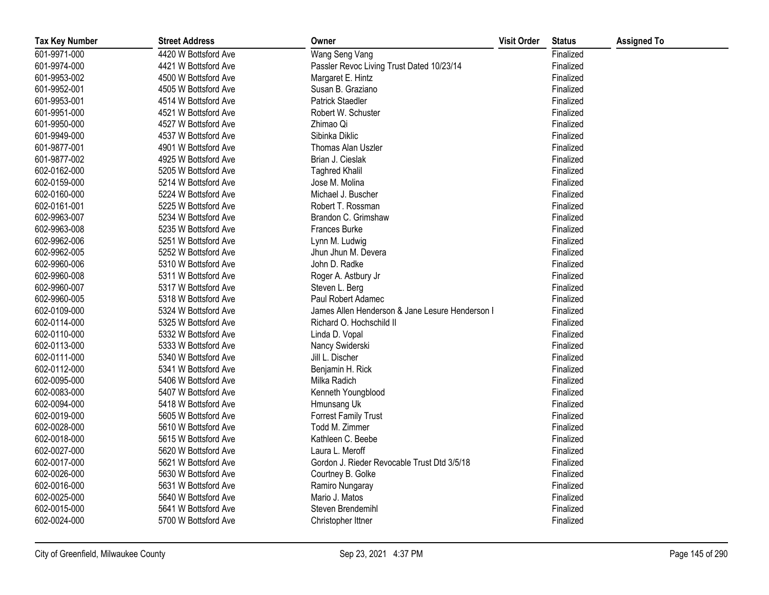| <b>Tax Key Number</b> | <b>Street Address</b> | Owner                                           | <b>Visit Order</b> | <b>Status</b> | <b>Assigned To</b> |
|-----------------------|-----------------------|-------------------------------------------------|--------------------|---------------|--------------------|
| 601-9971-000          | 4420 W Bottsford Ave  | Wang Seng Vang                                  |                    | Finalized     |                    |
| 601-9974-000          | 4421 W Bottsford Ave  | Passler Revoc Living Trust Dated 10/23/14       |                    | Finalized     |                    |
| 601-9953-002          | 4500 W Bottsford Ave  | Margaret E. Hintz                               |                    | Finalized     |                    |
| 601-9952-001          | 4505 W Bottsford Ave  | Susan B. Graziano                               |                    | Finalized     |                    |
| 601-9953-001          | 4514 W Bottsford Ave  | <b>Patrick Staedler</b>                         |                    | Finalized     |                    |
| 601-9951-000          | 4521 W Bottsford Ave  | Robert W. Schuster                              |                    | Finalized     |                    |
| 601-9950-000          | 4527 W Bottsford Ave  | Zhimao Qi                                       |                    | Finalized     |                    |
| 601-9949-000          | 4537 W Bottsford Ave  | Sibinka Diklic                                  |                    | Finalized     |                    |
| 601-9877-001          | 4901 W Bottsford Ave  | Thomas Alan Uszler                              |                    | Finalized     |                    |
| 601-9877-002          | 4925 W Bottsford Ave  | Brian J. Cieslak                                |                    | Finalized     |                    |
| 602-0162-000          | 5205 W Bottsford Ave  | <b>Taghred Khalil</b>                           |                    | Finalized     |                    |
| 602-0159-000          | 5214 W Bottsford Ave  | Jose M. Molina                                  |                    | Finalized     |                    |
| 602-0160-000          | 5224 W Bottsford Ave  | Michael J. Buscher                              |                    | Finalized     |                    |
| 602-0161-001          | 5225 W Bottsford Ave  | Robert T. Rossman                               |                    | Finalized     |                    |
| 602-9963-007          | 5234 W Bottsford Ave  | Brandon C. Grimshaw                             |                    | Finalized     |                    |
| 602-9963-008          | 5235 W Bottsford Ave  | Frances Burke                                   |                    | Finalized     |                    |
| 602-9962-006          | 5251 W Bottsford Ave  | Lynn M. Ludwig                                  |                    | Finalized     |                    |
| 602-9962-005          | 5252 W Bottsford Ave  | Jhun Jhun M. Devera                             |                    | Finalized     |                    |
| 602-9960-006          | 5310 W Bottsford Ave  | John D. Radke                                   |                    | Finalized     |                    |
| 602-9960-008          | 5311 W Bottsford Ave  | Roger A. Astbury Jr                             |                    | Finalized     |                    |
| 602-9960-007          | 5317 W Bottsford Ave  | Steven L. Berg                                  |                    | Finalized     |                    |
| 602-9960-005          | 5318 W Bottsford Ave  | Paul Robert Adamec                              |                    | Finalized     |                    |
| 602-0109-000          | 5324 W Bottsford Ave  | James Allen Henderson & Jane Lesure Henderson I |                    | Finalized     |                    |
| 602-0114-000          | 5325 W Bottsford Ave  | Richard O. Hochschild II                        |                    | Finalized     |                    |
| 602-0110-000          | 5332 W Bottsford Ave  | Linda D. Vopal                                  |                    | Finalized     |                    |
| 602-0113-000          | 5333 W Bottsford Ave  | Nancy Swiderski                                 |                    | Finalized     |                    |
| 602-0111-000          | 5340 W Bottsford Ave  | Jill L. Discher                                 |                    | Finalized     |                    |
| 602-0112-000          | 5341 W Bottsford Ave  | Benjamin H. Rick                                |                    | Finalized     |                    |
| 602-0095-000          | 5406 W Bottsford Ave  | Milka Radich                                    |                    | Finalized     |                    |
| 602-0083-000          | 5407 W Bottsford Ave  | Kenneth Youngblood                              |                    | Finalized     |                    |
| 602-0094-000          | 5418 W Bottsford Ave  | Hmunsang Uk                                     |                    | Finalized     |                    |
| 602-0019-000          | 5605 W Bottsford Ave  | <b>Forrest Family Trust</b>                     |                    | Finalized     |                    |
| 602-0028-000          | 5610 W Bottsford Ave  | Todd M. Zimmer                                  |                    | Finalized     |                    |
| 602-0018-000          | 5615 W Bottsford Ave  | Kathleen C. Beebe                               |                    | Finalized     |                    |
| 602-0027-000          | 5620 W Bottsford Ave  | Laura L. Meroff                                 |                    | Finalized     |                    |
| 602-0017-000          | 5621 W Bottsford Ave  | Gordon J. Rieder Revocable Trust Dtd 3/5/18     |                    | Finalized     |                    |
| 602-0026-000          | 5630 W Bottsford Ave  | Courtney B. Golke                               |                    | Finalized     |                    |
| 602-0016-000          | 5631 W Bottsford Ave  | Ramiro Nungaray                                 |                    | Finalized     |                    |
| 602-0025-000          | 5640 W Bottsford Ave  | Mario J. Matos                                  |                    | Finalized     |                    |
| 602-0015-000          | 5641 W Bottsford Ave  | Steven Brendemihl                               |                    | Finalized     |                    |
| 602-0024-000          | 5700 W Bottsford Ave  | Christopher Ittner                              |                    | Finalized     |                    |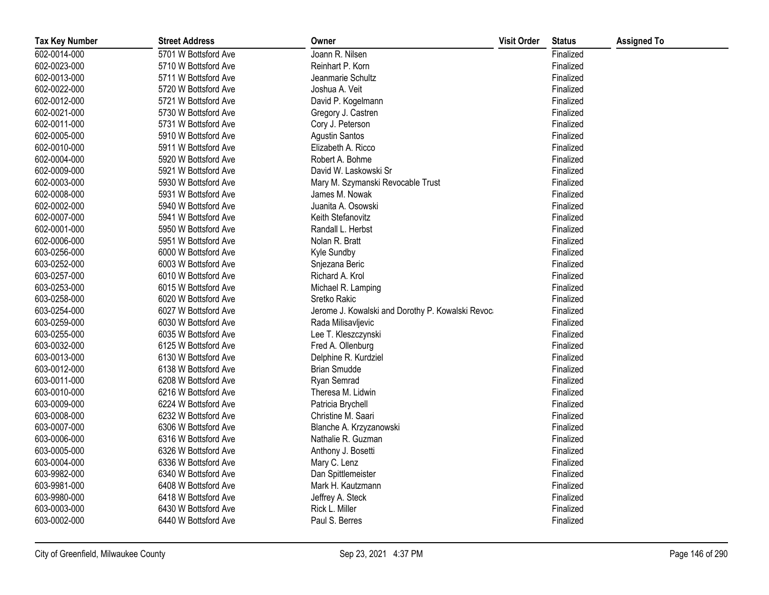| <b>Tax Key Number</b> | <b>Street Address</b> | Owner                                             | <b>Visit Order</b> | <b>Status</b> | <b>Assigned To</b> |
|-----------------------|-----------------------|---------------------------------------------------|--------------------|---------------|--------------------|
| 602-0014-000          | 5701 W Bottsford Ave  | Joann R. Nilsen                                   |                    | Finalized     |                    |
| 602-0023-000          | 5710 W Bottsford Ave  | Reinhart P. Korn                                  |                    | Finalized     |                    |
| 602-0013-000          | 5711 W Bottsford Ave  | Jeanmarie Schultz                                 |                    | Finalized     |                    |
| 602-0022-000          | 5720 W Bottsford Ave  | Joshua A. Veit                                    |                    | Finalized     |                    |
| 602-0012-000          | 5721 W Bottsford Ave  | David P. Kogelmann                                |                    | Finalized     |                    |
| 602-0021-000          | 5730 W Bottsford Ave  | Gregory J. Castren                                |                    | Finalized     |                    |
| 602-0011-000          | 5731 W Bottsford Ave  | Cory J. Peterson                                  |                    | Finalized     |                    |
| 602-0005-000          | 5910 W Bottsford Ave  | <b>Agustin Santos</b>                             |                    | Finalized     |                    |
| 602-0010-000          | 5911 W Bottsford Ave  | Elizabeth A. Ricco                                |                    | Finalized     |                    |
| 602-0004-000          | 5920 W Bottsford Ave  | Robert A. Bohme                                   |                    | Finalized     |                    |
| 602-0009-000          | 5921 W Bottsford Ave  | David W. Laskowski Sr                             |                    | Finalized     |                    |
| 602-0003-000          | 5930 W Bottsford Ave  | Mary M. Szymanski Revocable Trust                 |                    | Finalized     |                    |
| 602-0008-000          | 5931 W Bottsford Ave  | James M. Nowak                                    |                    | Finalized     |                    |
| 602-0002-000          | 5940 W Bottsford Ave  | Juanita A. Osowski                                |                    | Finalized     |                    |
| 602-0007-000          | 5941 W Bottsford Ave  | Keith Stefanovitz                                 |                    | Finalized     |                    |
| 602-0001-000          | 5950 W Bottsford Ave  | Randall L. Herbst                                 |                    | Finalized     |                    |
| 602-0006-000          | 5951 W Bottsford Ave  | Nolan R. Bratt                                    |                    | Finalized     |                    |
| 603-0256-000          | 6000 W Bottsford Ave  | Kyle Sundby                                       |                    | Finalized     |                    |
| 603-0252-000          | 6003 W Bottsford Ave  | Snjezana Beric                                    |                    | Finalized     |                    |
| 603-0257-000          | 6010 W Bottsford Ave  | Richard A. Krol                                   |                    | Finalized     |                    |
| 603-0253-000          | 6015 W Bottsford Ave  | Michael R. Lamping                                |                    | Finalized     |                    |
| 603-0258-000          | 6020 W Bottsford Ave  | Sretko Rakic                                      |                    | Finalized     |                    |
| 603-0254-000          | 6027 W Bottsford Ave  | Jerome J. Kowalski and Dorothy P. Kowalski Revoca |                    | Finalized     |                    |
| 603-0259-000          | 6030 W Bottsford Ave  | Rada Milisavljevic                                |                    | Finalized     |                    |
| 603-0255-000          | 6035 W Bottsford Ave  | Lee T. Kleszczynski                               |                    | Finalized     |                    |
| 603-0032-000          | 6125 W Bottsford Ave  | Fred A. Ollenburg                                 |                    | Finalized     |                    |
| 603-0013-000          | 6130 W Bottsford Ave  | Delphine R. Kurdziel                              |                    | Finalized     |                    |
| 603-0012-000          | 6138 W Bottsford Ave  | <b>Brian Smudde</b>                               |                    | Finalized     |                    |
| 603-0011-000          | 6208 W Bottsford Ave  | Ryan Semrad                                       |                    | Finalized     |                    |
| 603-0010-000          | 6216 W Bottsford Ave  | Theresa M. Lidwin                                 |                    | Finalized     |                    |
| 603-0009-000          | 6224 W Bottsford Ave  | Patricia Brychell                                 |                    | Finalized     |                    |
| 603-0008-000          | 6232 W Bottsford Ave  | Christine M. Saari                                |                    | Finalized     |                    |
| 603-0007-000          | 6306 W Bottsford Ave  | Blanche A. Krzyzanowski                           |                    | Finalized     |                    |
| 603-0006-000          | 6316 W Bottsford Ave  | Nathalie R. Guzman                                |                    | Finalized     |                    |
| 603-0005-000          | 6326 W Bottsford Ave  | Anthony J. Bosetti                                |                    | Finalized     |                    |
| 603-0004-000          | 6336 W Bottsford Ave  | Mary C. Lenz                                      |                    | Finalized     |                    |
| 603-9982-000          | 6340 W Bottsford Ave  | Dan Spittlemeister                                |                    | Finalized     |                    |
| 603-9981-000          | 6408 W Bottsford Ave  | Mark H. Kautzmann                                 |                    | Finalized     |                    |
| 603-9980-000          | 6418 W Bottsford Ave  | Jeffrey A. Steck                                  |                    | Finalized     |                    |
| 603-0003-000          | 6430 W Bottsford Ave  | Rick L. Miller                                    |                    | Finalized     |                    |
| 603-0002-000          | 6440 W Bottsford Ave  | Paul S. Berres                                    |                    | Finalized     |                    |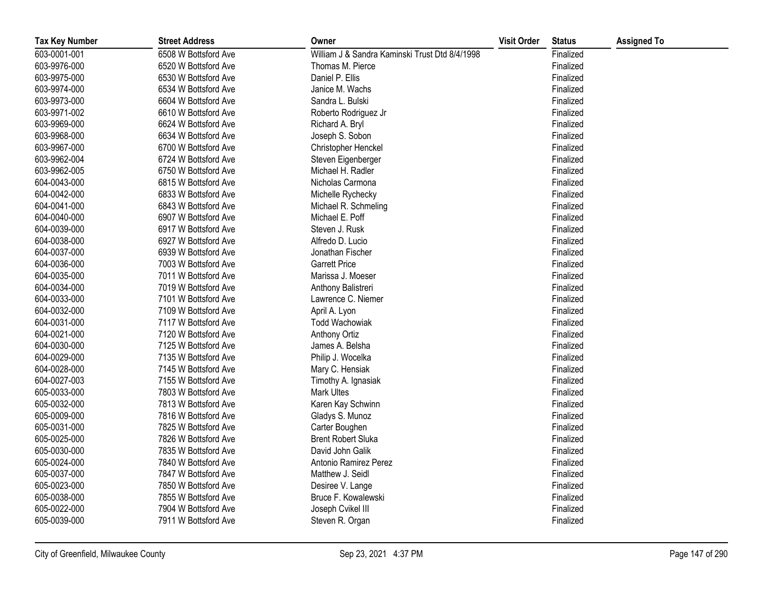| <b>Tax Key Number</b> | <b>Street Address</b> | Owner                                          | <b>Visit Order</b> | <b>Status</b> | <b>Assigned To</b> |
|-----------------------|-----------------------|------------------------------------------------|--------------------|---------------|--------------------|
| 603-0001-001          | 6508 W Bottsford Ave  | William J & Sandra Kaminski Trust Dtd 8/4/1998 |                    | Finalized     |                    |
| 603-9976-000          | 6520 W Bottsford Ave  | Thomas M. Pierce                               |                    | Finalized     |                    |
| 603-9975-000          | 6530 W Bottsford Ave  | Daniel P. Ellis                                |                    | Finalized     |                    |
| 603-9974-000          | 6534 W Bottsford Ave  | Janice M. Wachs                                |                    | Finalized     |                    |
| 603-9973-000          | 6604 W Bottsford Ave  | Sandra L. Bulski                               |                    | Finalized     |                    |
| 603-9971-002          | 6610 W Bottsford Ave  | Roberto Rodriguez Jr                           |                    | Finalized     |                    |
| 603-9969-000          | 6624 W Bottsford Ave  | Richard A. Bryl                                |                    | Finalized     |                    |
| 603-9968-000          | 6634 W Bottsford Ave  | Joseph S. Sobon                                |                    | Finalized     |                    |
| 603-9967-000          | 6700 W Bottsford Ave  | Christopher Henckel                            |                    | Finalized     |                    |
| 603-9962-004          | 6724 W Bottsford Ave  | Steven Eigenberger                             |                    | Finalized     |                    |
| 603-9962-005          | 6750 W Bottsford Ave  | Michael H. Radler                              |                    | Finalized     |                    |
| 604-0043-000          | 6815 W Bottsford Ave  | Nicholas Carmona                               |                    | Finalized     |                    |
| 604-0042-000          | 6833 W Bottsford Ave  | Michelle Rychecky                              |                    | Finalized     |                    |
| 604-0041-000          | 6843 W Bottsford Ave  | Michael R. Schmeling                           |                    | Finalized     |                    |
| 604-0040-000          | 6907 W Bottsford Ave  | Michael E. Poff                                |                    | Finalized     |                    |
| 604-0039-000          | 6917 W Bottsford Ave  | Steven J. Rusk                                 |                    | Finalized     |                    |
| 604-0038-000          | 6927 W Bottsford Ave  | Alfredo D. Lucio                               |                    | Finalized     |                    |
| 604-0037-000          | 6939 W Bottsford Ave  | Jonathan Fischer                               |                    | Finalized     |                    |
| 604-0036-000          | 7003 W Bottsford Ave  | <b>Garrett Price</b>                           |                    | Finalized     |                    |
| 604-0035-000          | 7011 W Bottsford Ave  | Marissa J. Moeser                              |                    | Finalized     |                    |
| 604-0034-000          | 7019 W Bottsford Ave  | Anthony Balistreri                             |                    | Finalized     |                    |
| 604-0033-000          | 7101 W Bottsford Ave  | Lawrence C. Niemer                             |                    | Finalized     |                    |
| 604-0032-000          | 7109 W Bottsford Ave  | April A. Lyon                                  |                    | Finalized     |                    |
| 604-0031-000          | 7117 W Bottsford Ave  | <b>Todd Wachowiak</b>                          |                    | Finalized     |                    |
| 604-0021-000          | 7120 W Bottsford Ave  | <b>Anthony Ortiz</b>                           |                    | Finalized     |                    |
| 604-0030-000          | 7125 W Bottsford Ave  | James A. Belsha                                |                    | Finalized     |                    |
| 604-0029-000          | 7135 W Bottsford Ave  | Philip J. Wocelka                              |                    | Finalized     |                    |
| 604-0028-000          | 7145 W Bottsford Ave  | Mary C. Hensiak                                |                    | Finalized     |                    |
| 604-0027-003          | 7155 W Bottsford Ave  | Timothy A. Ignasiak                            |                    | Finalized     |                    |
| 605-0033-000          | 7803 W Bottsford Ave  | <b>Mark Ultes</b>                              |                    | Finalized     |                    |
| 605-0032-000          | 7813 W Bottsford Ave  | Karen Kay Schwinn                              |                    | Finalized     |                    |
| 605-0009-000          | 7816 W Bottsford Ave  | Gladys S. Munoz                                |                    | Finalized     |                    |
| 605-0031-000          | 7825 W Bottsford Ave  | Carter Boughen                                 |                    | Finalized     |                    |
| 605-0025-000          | 7826 W Bottsford Ave  | <b>Brent Robert Sluka</b>                      |                    | Finalized     |                    |
| 605-0030-000          | 7835 W Bottsford Ave  | David John Galik                               |                    | Finalized     |                    |
| 605-0024-000          | 7840 W Bottsford Ave  | Antonio Ramirez Perez                          |                    | Finalized     |                    |
| 605-0037-000          | 7847 W Bottsford Ave  | Matthew J. Seidl                               |                    | Finalized     |                    |
| 605-0023-000          | 7850 W Bottsford Ave  | Desiree V. Lange                               |                    | Finalized     |                    |
| 605-0038-000          | 7855 W Bottsford Ave  | Bruce F. Kowalewski                            |                    | Finalized     |                    |
| 605-0022-000          | 7904 W Bottsford Ave  | Joseph Cvikel III                              |                    | Finalized     |                    |
| 605-0039-000          | 7911 W Bottsford Ave  | Steven R. Organ                                |                    | Finalized     |                    |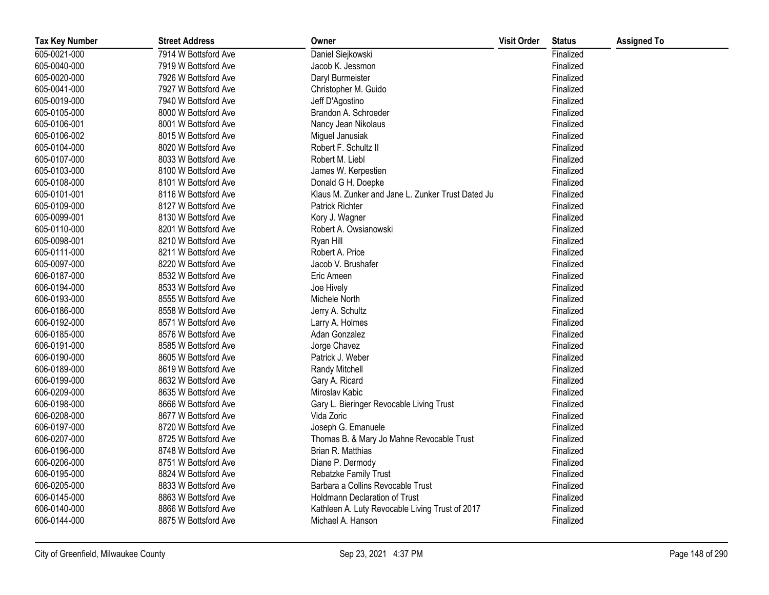| <b>Tax Key Number</b> | <b>Street Address</b> | Owner                                             | <b>Visit Order</b> | <b>Status</b> | <b>Assigned To</b> |
|-----------------------|-----------------------|---------------------------------------------------|--------------------|---------------|--------------------|
| 605-0021-000          | 7914 W Bottsford Ave  | Daniel Siejkowski                                 |                    | Finalized     |                    |
| 605-0040-000          | 7919 W Bottsford Ave  | Jacob K. Jessmon                                  |                    | Finalized     |                    |
| 605-0020-000          | 7926 W Bottsford Ave  | Daryl Burmeister                                  |                    | Finalized     |                    |
| 605-0041-000          | 7927 W Bottsford Ave  | Christopher M. Guido                              |                    | Finalized     |                    |
| 605-0019-000          | 7940 W Bottsford Ave  | Jeff D'Agostino                                   |                    | Finalized     |                    |
| 605-0105-000          | 8000 W Bottsford Ave  | Brandon A. Schroeder                              |                    | Finalized     |                    |
| 605-0106-001          | 8001 W Bottsford Ave  | Nancy Jean Nikolaus                               |                    | Finalized     |                    |
| 605-0106-002          | 8015 W Bottsford Ave  | Miguel Janusiak                                   |                    | Finalized     |                    |
| 605-0104-000          | 8020 W Bottsford Ave  | Robert F. Schultz II                              |                    | Finalized     |                    |
| 605-0107-000          | 8033 W Bottsford Ave  | Robert M. Liebl                                   |                    | Finalized     |                    |
| 605-0103-000          | 8100 W Bottsford Ave  | James W. Kerpestien                               |                    | Finalized     |                    |
| 605-0108-000          | 8101 W Bottsford Ave  | Donald G H. Doepke                                |                    | Finalized     |                    |
| 605-0101-001          | 8116 W Bottsford Ave  | Klaus M. Zunker and Jane L. Zunker Trust Dated Ju |                    | Finalized     |                    |
| 605-0109-000          | 8127 W Bottsford Ave  | <b>Patrick Richter</b>                            |                    | Finalized     |                    |
| 605-0099-001          | 8130 W Bottsford Ave  | Kory J. Wagner                                    |                    | Finalized     |                    |
| 605-0110-000          | 8201 W Bottsford Ave  | Robert A. Owsianowski                             |                    | Finalized     |                    |
| 605-0098-001          | 8210 W Bottsford Ave  | Ryan Hill                                         |                    | Finalized     |                    |
| 605-0111-000          | 8211 W Bottsford Ave  | Robert A. Price                                   |                    | Finalized     |                    |
| 605-0097-000          | 8220 W Bottsford Ave  | Jacob V. Brushafer                                |                    | Finalized     |                    |
| 606-0187-000          | 8532 W Bottsford Ave  | Eric Ameen                                        |                    | Finalized     |                    |
| 606-0194-000          | 8533 W Bottsford Ave  | Joe Hively                                        |                    | Finalized     |                    |
| 606-0193-000          | 8555 W Bottsford Ave  | Michele North                                     |                    | Finalized     |                    |
| 606-0186-000          | 8558 W Bottsford Ave  | Jerry A. Schultz                                  |                    | Finalized     |                    |
| 606-0192-000          | 8571 W Bottsford Ave  | Larry A. Holmes                                   |                    | Finalized     |                    |
| 606-0185-000          | 8576 W Bottsford Ave  | Adan Gonzalez                                     |                    | Finalized     |                    |
| 606-0191-000          | 8585 W Bottsford Ave  | Jorge Chavez                                      |                    | Finalized     |                    |
| 606-0190-000          | 8605 W Bottsford Ave  | Patrick J. Weber                                  |                    | Finalized     |                    |
| 606-0189-000          | 8619 W Bottsford Ave  | Randy Mitchell                                    |                    | Finalized     |                    |
| 606-0199-000          | 8632 W Bottsford Ave  | Gary A. Ricard                                    |                    | Finalized     |                    |
| 606-0209-000          | 8635 W Bottsford Ave  | Miroslav Kabic                                    |                    | Finalized     |                    |
| 606-0198-000          | 8666 W Bottsford Ave  | Gary L. Bieringer Revocable Living Trust          |                    | Finalized     |                    |
| 606-0208-000          | 8677 W Bottsford Ave  | Vida Zoric                                        |                    | Finalized     |                    |
| 606-0197-000          | 8720 W Bottsford Ave  | Joseph G. Emanuele                                |                    | Finalized     |                    |
| 606-0207-000          | 8725 W Bottsford Ave  | Thomas B. & Mary Jo Mahne Revocable Trust         |                    | Finalized     |                    |
| 606-0196-000          | 8748 W Bottsford Ave  | Brian R. Matthias                                 |                    | Finalized     |                    |
| 606-0206-000          | 8751 W Bottsford Ave  | Diane P. Dermody                                  |                    | Finalized     |                    |
| 606-0195-000          | 8824 W Bottsford Ave  | Rebatzke Family Trust                             |                    | Finalized     |                    |
| 606-0205-000          | 8833 W Bottsford Ave  | Barbara a Collins Revocable Trust                 |                    | Finalized     |                    |
| 606-0145-000          | 8863 W Bottsford Ave  | <b>Holdmann Declaration of Trust</b>              |                    | Finalized     |                    |
| 606-0140-000          | 8866 W Bottsford Ave  | Kathleen A. Luty Revocable Living Trust of 2017   |                    | Finalized     |                    |
| 606-0144-000          | 8875 W Bottsford Ave  | Michael A. Hanson                                 |                    | Finalized     |                    |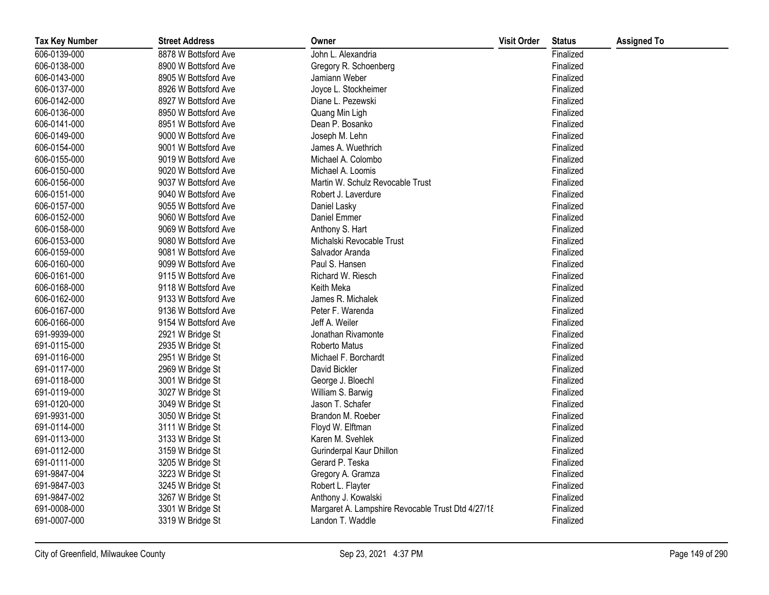| <b>Tax Key Number</b> | <b>Street Address</b> | Owner                                             | <b>Visit Order</b> | <b>Status</b> | <b>Assigned To</b> |
|-----------------------|-----------------------|---------------------------------------------------|--------------------|---------------|--------------------|
| 606-0139-000          | 8878 W Bottsford Ave  | John L. Alexandria                                |                    | Finalized     |                    |
| 606-0138-000          | 8900 W Bottsford Ave  | Gregory R. Schoenberg                             |                    | Finalized     |                    |
| 606-0143-000          | 8905 W Bottsford Ave  | Jamiann Weber                                     |                    | Finalized     |                    |
| 606-0137-000          | 8926 W Bottsford Ave  | Joyce L. Stockheimer                              |                    | Finalized     |                    |
| 606-0142-000          | 8927 W Bottsford Ave  | Diane L. Pezewski                                 |                    | Finalized     |                    |
| 606-0136-000          | 8950 W Bottsford Ave  | Quang Min Ligh                                    |                    | Finalized     |                    |
| 606-0141-000          | 8951 W Bottsford Ave  | Dean P. Bosanko                                   |                    | Finalized     |                    |
| 606-0149-000          | 9000 W Bottsford Ave  | Joseph M. Lehn                                    |                    | Finalized     |                    |
| 606-0154-000          | 9001 W Bottsford Ave  | James A. Wuethrich                                |                    | Finalized     |                    |
| 606-0155-000          | 9019 W Bottsford Ave  | Michael A. Colombo                                |                    | Finalized     |                    |
| 606-0150-000          | 9020 W Bottsford Ave  | Michael A. Loomis                                 |                    | Finalized     |                    |
| 606-0156-000          | 9037 W Bottsford Ave  | Martin W. Schulz Revocable Trust                  |                    | Finalized     |                    |
| 606-0151-000          | 9040 W Bottsford Ave  | Robert J. Laverdure                               |                    | Finalized     |                    |
| 606-0157-000          | 9055 W Bottsford Ave  | Daniel Lasky                                      |                    | Finalized     |                    |
| 606-0152-000          | 9060 W Bottsford Ave  | Daniel Emmer                                      |                    | Finalized     |                    |
| 606-0158-000          | 9069 W Bottsford Ave  | Anthony S. Hart                                   |                    | Finalized     |                    |
| 606-0153-000          | 9080 W Bottsford Ave  | Michalski Revocable Trust                         |                    | Finalized     |                    |
| 606-0159-000          | 9081 W Bottsford Ave  | Salvador Aranda                                   |                    | Finalized     |                    |
| 606-0160-000          | 9099 W Bottsford Ave  | Paul S. Hansen                                    |                    | Finalized     |                    |
| 606-0161-000          | 9115 W Bottsford Ave  | Richard W. Riesch                                 |                    | Finalized     |                    |
| 606-0168-000          | 9118 W Bottsford Ave  | Keith Meka                                        |                    | Finalized     |                    |
| 606-0162-000          | 9133 W Bottsford Ave  | James R. Michalek                                 |                    | Finalized     |                    |
| 606-0167-000          | 9136 W Bottsford Ave  | Peter F. Warenda                                  |                    | Finalized     |                    |
| 606-0166-000          | 9154 W Bottsford Ave  | Jeff A. Weiler                                    |                    | Finalized     |                    |
| 691-9939-000          | 2921 W Bridge St      | Jonathan Rivamonte                                |                    | Finalized     |                    |
| 691-0115-000          | 2935 W Bridge St      | Roberto Matus                                     |                    | Finalized     |                    |
| 691-0116-000          | 2951 W Bridge St      | Michael F. Borchardt                              |                    | Finalized     |                    |
| 691-0117-000          | 2969 W Bridge St      | David Bickler                                     |                    | Finalized     |                    |
| 691-0118-000          | 3001 W Bridge St      | George J. Bloechl                                 |                    | Finalized     |                    |
| 691-0119-000          | 3027 W Bridge St      | William S. Barwig                                 |                    | Finalized     |                    |
| 691-0120-000          | 3049 W Bridge St      | Jason T. Schafer                                  |                    | Finalized     |                    |
| 691-9931-000          | 3050 W Bridge St      | Brandon M. Roeber                                 |                    | Finalized     |                    |
| 691-0114-000          | 3111 W Bridge St      | Floyd W. Elftman                                  |                    | Finalized     |                    |
| 691-0113-000          | 3133 W Bridge St      | Karen M. Svehlek                                  |                    | Finalized     |                    |
| 691-0112-000          | 3159 W Bridge St      | Gurinderpal Kaur Dhillon                          |                    | Finalized     |                    |
| 691-0111-000          | 3205 W Bridge St      | Gerard P. Teska                                   |                    | Finalized     |                    |
| 691-9847-004          | 3223 W Bridge St      | Gregory A. Gramza                                 |                    | Finalized     |                    |
| 691-9847-003          | 3245 W Bridge St      | Robert L. Flayter                                 |                    | Finalized     |                    |
| 691-9847-002          | 3267 W Bridge St      | Anthony J. Kowalski                               |                    | Finalized     |                    |
| 691-0008-000          | 3301 W Bridge St      | Margaret A. Lampshire Revocable Trust Dtd 4/27/18 |                    | Finalized     |                    |
| 691-0007-000          | 3319 W Bridge St      | Landon T. Waddle                                  |                    | Finalized     |                    |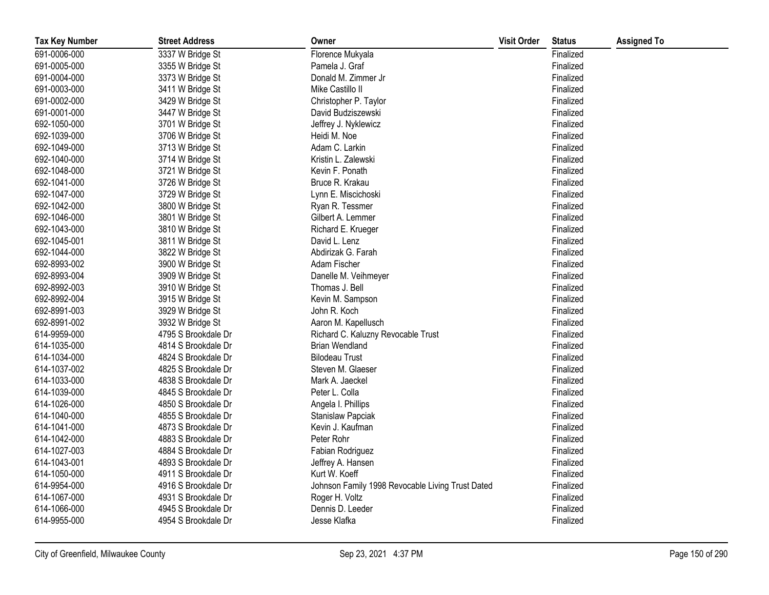| <b>Tax Key Number</b> | <b>Street Address</b> | Owner                                            | <b>Visit Order</b> | <b>Status</b> | <b>Assigned To</b> |
|-----------------------|-----------------------|--------------------------------------------------|--------------------|---------------|--------------------|
| 691-0006-000          | 3337 W Bridge St      | Florence Mukyala                                 |                    | Finalized     |                    |
| 691-0005-000          | 3355 W Bridge St      | Pamela J. Graf                                   |                    | Finalized     |                    |
| 691-0004-000          | 3373 W Bridge St      | Donald M. Zimmer Jr                              |                    | Finalized     |                    |
| 691-0003-000          | 3411 W Bridge St      | Mike Castillo II                                 |                    | Finalized     |                    |
| 691-0002-000          | 3429 W Bridge St      | Christopher P. Taylor                            |                    | Finalized     |                    |
| 691-0001-000          | 3447 W Bridge St      | David Budziszewski                               |                    | Finalized     |                    |
| 692-1050-000          | 3701 W Bridge St      | Jeffrey J. Nyklewicz                             |                    | Finalized     |                    |
| 692-1039-000          | 3706 W Bridge St      | Heidi M. Noe                                     |                    | Finalized     |                    |
| 692-1049-000          | 3713 W Bridge St      | Adam C. Larkin                                   |                    | Finalized     |                    |
| 692-1040-000          | 3714 W Bridge St      | Kristin L. Zalewski                              |                    | Finalized     |                    |
| 692-1048-000          | 3721 W Bridge St      | Kevin F. Ponath                                  |                    | Finalized     |                    |
| 692-1041-000          | 3726 W Bridge St      | Bruce R. Krakau                                  |                    | Finalized     |                    |
| 692-1047-000          | 3729 W Bridge St      | Lynn E. Miscichoski                              |                    | Finalized     |                    |
| 692-1042-000          | 3800 W Bridge St      | Ryan R. Tessmer                                  |                    | Finalized     |                    |
| 692-1046-000          | 3801 W Bridge St      | Gilbert A. Lemmer                                |                    | Finalized     |                    |
| 692-1043-000          | 3810 W Bridge St      | Richard E. Krueger                               |                    | Finalized     |                    |
| 692-1045-001          | 3811 W Bridge St      | David L. Lenz                                    |                    | Finalized     |                    |
| 692-1044-000          | 3822 W Bridge St      | Abdirizak G. Farah                               |                    | Finalized     |                    |
| 692-8993-002          | 3900 W Bridge St      | Adam Fischer                                     |                    | Finalized     |                    |
| 692-8993-004          | 3909 W Bridge St      | Danelle M. Veihmeyer                             |                    | Finalized     |                    |
| 692-8992-003          | 3910 W Bridge St      | Thomas J. Bell                                   |                    | Finalized     |                    |
| 692-8992-004          | 3915 W Bridge St      | Kevin M. Sampson                                 |                    | Finalized     |                    |
| 692-8991-003          | 3929 W Bridge St      | John R. Koch                                     |                    | Finalized     |                    |
| 692-8991-002          | 3932 W Bridge St      | Aaron M. Kapellusch                              |                    | Finalized     |                    |
| 614-9959-000          | 4795 S Brookdale Dr   | Richard C. Kaluzny Revocable Trust               |                    | Finalized     |                    |
| 614-1035-000          | 4814 S Brookdale Dr   | <b>Brian Wendland</b>                            |                    | Finalized     |                    |
| 614-1034-000          | 4824 S Brookdale Dr   | <b>Bilodeau Trust</b>                            |                    | Finalized     |                    |
| 614-1037-002          | 4825 S Brookdale Dr   | Steven M. Glaeser                                |                    | Finalized     |                    |
| 614-1033-000          | 4838 S Brookdale Dr   | Mark A. Jaeckel                                  |                    | Finalized     |                    |
| 614-1039-000          | 4845 S Brookdale Dr   | Peter L. Colla                                   |                    | Finalized     |                    |
| 614-1026-000          | 4850 S Brookdale Dr   | Angela I. Phillips                               |                    | Finalized     |                    |
| 614-1040-000          | 4855 S Brookdale Dr   | Stanislaw Papciak                                |                    | Finalized     |                    |
| 614-1041-000          | 4873 S Brookdale Dr   | Kevin J. Kaufman                                 |                    | Finalized     |                    |
| 614-1042-000          | 4883 S Brookdale Dr   | Peter Rohr                                       |                    | Finalized     |                    |
| 614-1027-003          | 4884 S Brookdale Dr   | Fabian Rodriguez                                 |                    | Finalized     |                    |
| 614-1043-001          | 4893 S Brookdale Dr   | Jeffrey A. Hansen                                |                    | Finalized     |                    |
| 614-1050-000          | 4911 S Brookdale Dr   | Kurt W. Koeff                                    |                    | Finalized     |                    |
| 614-9954-000          | 4916 S Brookdale Dr   | Johnson Family 1998 Revocable Living Trust Dated |                    | Finalized     |                    |
| 614-1067-000          | 4931 S Brookdale Dr   | Roger H. Voltz                                   |                    | Finalized     |                    |
| 614-1066-000          | 4945 S Brookdale Dr   | Dennis D. Leeder                                 |                    | Finalized     |                    |
| 614-9955-000          | 4954 S Brookdale Dr   | Jesse Klafka                                     |                    | Finalized     |                    |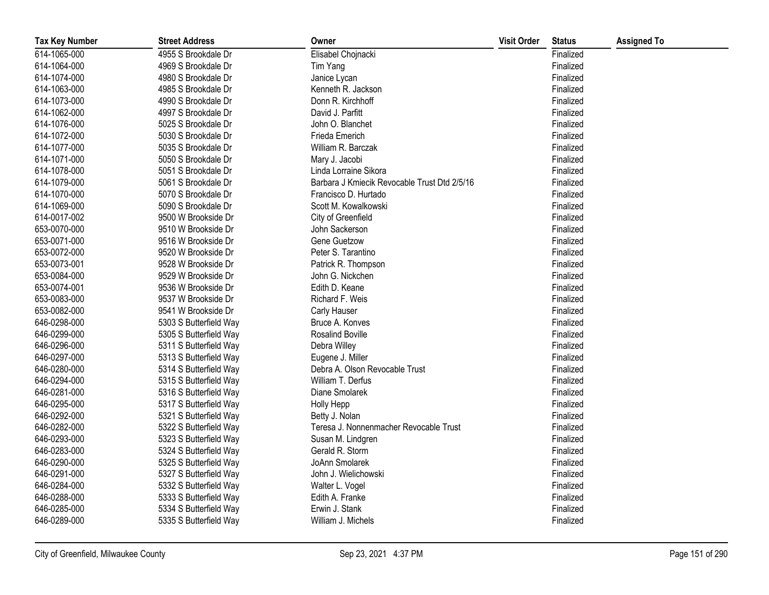| <b>Tax Key Number</b> | <b>Street Address</b>  | Owner                                        | <b>Visit Order</b> | <b>Status</b> | <b>Assigned To</b> |
|-----------------------|------------------------|----------------------------------------------|--------------------|---------------|--------------------|
| 614-1065-000          | 4955 S Brookdale Dr    | Elisabel Chojnacki                           |                    | Finalized     |                    |
| 614-1064-000          | 4969 S Brookdale Dr    | Tim Yang                                     |                    | Finalized     |                    |
| 614-1074-000          | 4980 S Brookdale Dr    | Janice Lycan                                 |                    | Finalized     |                    |
| 614-1063-000          | 4985 S Brookdale Dr    | Kenneth R. Jackson                           |                    | Finalized     |                    |
| 614-1073-000          | 4990 S Brookdale Dr    | Donn R. Kirchhoff                            |                    | Finalized     |                    |
| 614-1062-000          | 4997 S Brookdale Dr    | David J. Parfitt                             |                    | Finalized     |                    |
| 614-1076-000          | 5025 S Brookdale Dr    | John O. Blanchet                             |                    | Finalized     |                    |
| 614-1072-000          | 5030 S Brookdale Dr    | Frieda Emerich                               |                    | Finalized     |                    |
| 614-1077-000          | 5035 S Brookdale Dr    | William R. Barczak                           |                    | Finalized     |                    |
| 614-1071-000          | 5050 S Brookdale Dr    | Mary J. Jacobi                               |                    | Finalized     |                    |
| 614-1078-000          | 5051 S Brookdale Dr    | Linda Lorraine Sikora                        |                    | Finalized     |                    |
| 614-1079-000          | 5061 S Brookdale Dr    | Barbara J Kmiecik Revocable Trust Dtd 2/5/16 |                    | Finalized     |                    |
| 614-1070-000          | 5070 S Brookdale Dr    | Francisco D. Hurtado                         |                    | Finalized     |                    |
| 614-1069-000          | 5090 S Brookdale Dr    | Scott M. Kowalkowski                         |                    | Finalized     |                    |
| 614-0017-002          | 9500 W Brookside Dr    | City of Greenfield                           |                    | Finalized     |                    |
| 653-0070-000          | 9510 W Brookside Dr    | John Sackerson                               |                    | Finalized     |                    |
| 653-0071-000          | 9516 W Brookside Dr    | Gene Guetzow                                 |                    | Finalized     |                    |
| 653-0072-000          | 9520 W Brookside Dr    | Peter S. Tarantino                           |                    | Finalized     |                    |
| 653-0073-001          | 9528 W Brookside Dr    | Patrick R. Thompson                          |                    | Finalized     |                    |
| 653-0084-000          | 9529 W Brookside Dr    | John G. Nickchen                             |                    | Finalized     |                    |
| 653-0074-001          | 9536 W Brookside Dr    | Edith D. Keane                               |                    | Finalized     |                    |
| 653-0083-000          | 9537 W Brookside Dr    | Richard F. Weis                              |                    | Finalized     |                    |
| 653-0082-000          | 9541 W Brookside Dr    | Carly Hauser                                 |                    | Finalized     |                    |
| 646-0298-000          | 5303 S Butterfield Way | Bruce A. Konves                              |                    | Finalized     |                    |
| 646-0299-000          | 5305 S Butterfield Way | Rosalind Boville                             |                    | Finalized     |                    |
| 646-0296-000          | 5311 S Butterfield Way | Debra Willey                                 |                    | Finalized     |                    |
| 646-0297-000          | 5313 S Butterfield Way | Eugene J. Miller                             |                    | Finalized     |                    |
| 646-0280-000          | 5314 S Butterfield Way | Debra A. Olson Revocable Trust               |                    | Finalized     |                    |
| 646-0294-000          | 5315 S Butterfield Way | William T. Derfus                            |                    | Finalized     |                    |
| 646-0281-000          | 5316 S Butterfield Way | Diane Smolarek                               |                    | Finalized     |                    |
| 646-0295-000          | 5317 S Butterfield Way | <b>Holly Hepp</b>                            |                    | Finalized     |                    |
| 646-0292-000          | 5321 S Butterfield Way | Betty J. Nolan                               |                    | Finalized     |                    |
| 646-0282-000          | 5322 S Butterfield Way | Teresa J. Nonnenmacher Revocable Trust       |                    | Finalized     |                    |
| 646-0293-000          | 5323 S Butterfield Way | Susan M. Lindgren                            |                    | Finalized     |                    |
| 646-0283-000          | 5324 S Butterfield Way | Gerald R. Storm                              |                    | Finalized     |                    |
| 646-0290-000          | 5325 S Butterfield Way | JoAnn Smolarek                               |                    | Finalized     |                    |
| 646-0291-000          | 5327 S Butterfield Way | John J. Wielichowski                         |                    | Finalized     |                    |
| 646-0284-000          | 5332 S Butterfield Way | Walter L. Vogel                              |                    | Finalized     |                    |
| 646-0288-000          | 5333 S Butterfield Way | Edith A. Franke                              |                    | Finalized     |                    |
| 646-0285-000          | 5334 S Butterfield Way | Erwin J. Stank                               |                    | Finalized     |                    |
| 646-0289-000          | 5335 S Butterfield Way | William J. Michels                           |                    | Finalized     |                    |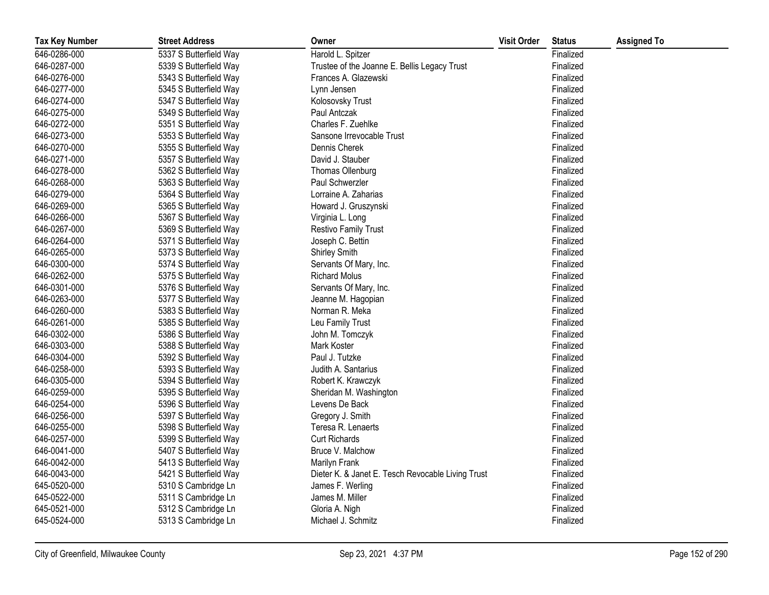| <b>Tax Key Number</b> | <b>Street Address</b>  | Owner                                             | <b>Visit Order</b> | <b>Status</b> | <b>Assigned To</b> |
|-----------------------|------------------------|---------------------------------------------------|--------------------|---------------|--------------------|
| 646-0286-000          | 5337 S Butterfield Way | Harold L. Spitzer                                 |                    | Finalized     |                    |
| 646-0287-000          | 5339 S Butterfield Way | Trustee of the Joanne E. Bellis Legacy Trust      |                    | Finalized     |                    |
| 646-0276-000          | 5343 S Butterfield Way | Frances A. Glazewski                              |                    | Finalized     |                    |
| 646-0277-000          | 5345 S Butterfield Way | Lynn Jensen                                       |                    | Finalized     |                    |
| 646-0274-000          | 5347 S Butterfield Way | Kolosovsky Trust                                  |                    | Finalized     |                    |
| 646-0275-000          | 5349 S Butterfield Way | Paul Antczak                                      |                    | Finalized     |                    |
| 646-0272-000          | 5351 S Butterfield Way | Charles F. Zuehlke                                |                    | Finalized     |                    |
| 646-0273-000          | 5353 S Butterfield Way | Sansone Irrevocable Trust                         |                    | Finalized     |                    |
| 646-0270-000          | 5355 S Butterfield Way | Dennis Cherek                                     |                    | Finalized     |                    |
| 646-0271-000          | 5357 S Butterfield Way | David J. Stauber                                  |                    | Finalized     |                    |
| 646-0278-000          | 5362 S Butterfield Way | Thomas Ollenburg                                  |                    | Finalized     |                    |
| 646-0268-000          | 5363 S Butterfield Way | Paul Schwerzler                                   |                    | Finalized     |                    |
| 646-0279-000          | 5364 S Butterfield Way | Lorraine A. Zaharias                              |                    | Finalized     |                    |
| 646-0269-000          | 5365 S Butterfield Way | Howard J. Gruszynski                              |                    | Finalized     |                    |
| 646-0266-000          | 5367 S Butterfield Way | Virginia L. Long                                  |                    | Finalized     |                    |
| 646-0267-000          | 5369 S Butterfield Way | <b>Restivo Family Trust</b>                       |                    | Finalized     |                    |
| 646-0264-000          | 5371 S Butterfield Way | Joseph C. Bettin                                  |                    | Finalized     |                    |
| 646-0265-000          | 5373 S Butterfield Way | Shirley Smith                                     |                    | Finalized     |                    |
| 646-0300-000          | 5374 S Butterfield Way | Servants Of Mary, Inc.                            |                    | Finalized     |                    |
| 646-0262-000          | 5375 S Butterfield Way | <b>Richard Molus</b>                              |                    | Finalized     |                    |
| 646-0301-000          | 5376 S Butterfield Way | Servants Of Mary, Inc.                            |                    | Finalized     |                    |
| 646-0263-000          | 5377 S Butterfield Way | Jeanne M. Hagopian                                |                    | Finalized     |                    |
| 646-0260-000          | 5383 S Butterfield Way | Norman R. Meka                                    |                    | Finalized     |                    |
| 646-0261-000          | 5385 S Butterfield Way | Leu Family Trust                                  |                    | Finalized     |                    |
| 646-0302-000          | 5386 S Butterfield Way | John M. Tomczyk                                   |                    | Finalized     |                    |
| 646-0303-000          | 5388 S Butterfield Way | Mark Koster                                       |                    | Finalized     |                    |
| 646-0304-000          | 5392 S Butterfield Way | Paul J. Tutzke                                    |                    | Finalized     |                    |
| 646-0258-000          | 5393 S Butterfield Way | Judith A. Santarius                               |                    | Finalized     |                    |
| 646-0305-000          | 5394 S Butterfield Way | Robert K. Krawczyk                                |                    | Finalized     |                    |
| 646-0259-000          | 5395 S Butterfield Way | Sheridan M. Washington                            |                    | Finalized     |                    |
| 646-0254-000          | 5396 S Butterfield Way | Levens De Back                                    |                    | Finalized     |                    |
| 646-0256-000          | 5397 S Butterfield Way | Gregory J. Smith                                  |                    | Finalized     |                    |
| 646-0255-000          | 5398 S Butterfield Way | Teresa R. Lenaerts                                |                    | Finalized     |                    |
| 646-0257-000          | 5399 S Butterfield Way | <b>Curt Richards</b>                              |                    | Finalized     |                    |
| 646-0041-000          | 5407 S Butterfield Way | Bruce V. Malchow                                  |                    | Finalized     |                    |
| 646-0042-000          | 5413 S Butterfield Way | Marilyn Frank                                     |                    | Finalized     |                    |
| 646-0043-000          | 5421 S Butterfield Way | Dieter K. & Janet E. Tesch Revocable Living Trust |                    | Finalized     |                    |
| 645-0520-000          | 5310 S Cambridge Ln    | James F. Werling                                  |                    | Finalized     |                    |
| 645-0522-000          | 5311 S Cambridge Ln    | James M. Miller                                   |                    | Finalized     |                    |
| 645-0521-000          | 5312 S Cambridge Ln    | Gloria A. Nigh                                    |                    | Finalized     |                    |
| 645-0524-000          | 5313 S Cambridge Ln    | Michael J. Schmitz                                |                    | Finalized     |                    |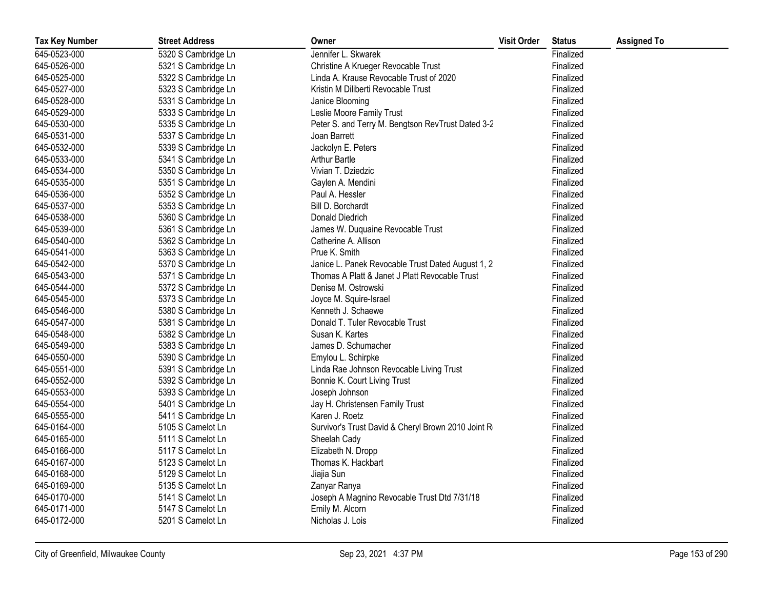| <b>Tax Key Number</b> | <b>Street Address</b> | Owner                                               | <b>Visit Order</b> | <b>Status</b> | <b>Assigned To</b> |
|-----------------------|-----------------------|-----------------------------------------------------|--------------------|---------------|--------------------|
| 645-0523-000          | 5320 S Cambridge Ln   | Jennifer L. Skwarek                                 |                    | Finalized     |                    |
| 645-0526-000          | 5321 S Cambridge Ln   | Christine A Krueger Revocable Trust                 |                    | Finalized     |                    |
| 645-0525-000          | 5322 S Cambridge Ln   | Linda A. Krause Revocable Trust of 2020             |                    | Finalized     |                    |
| 645-0527-000          | 5323 S Cambridge Ln   | Kristin M Diliberti Revocable Trust                 |                    | Finalized     |                    |
| 645-0528-000          | 5331 S Cambridge Ln   | Janice Blooming                                     |                    | Finalized     |                    |
| 645-0529-000          | 5333 S Cambridge Ln   | Leslie Moore Family Trust                           |                    | Finalized     |                    |
| 645-0530-000          | 5335 S Cambridge Ln   | Peter S. and Terry M. Bengtson RevTrust Dated 3-2   |                    | Finalized     |                    |
| 645-0531-000          | 5337 S Cambridge Ln   | Joan Barrett                                        |                    | Finalized     |                    |
| 645-0532-000          | 5339 S Cambridge Ln   | Jackolyn E. Peters                                  |                    | Finalized     |                    |
| 645-0533-000          | 5341 S Cambridge Ln   | <b>Arthur Bartle</b>                                |                    | Finalized     |                    |
| 645-0534-000          | 5350 S Cambridge Ln   | Vivian T. Dziedzic                                  |                    | Finalized     |                    |
| 645-0535-000          | 5351 S Cambridge Ln   | Gaylen A. Mendini                                   |                    | Finalized     |                    |
| 645-0536-000          | 5352 S Cambridge Ln   | Paul A. Hessler                                     |                    | Finalized     |                    |
| 645-0537-000          | 5353 S Cambridge Ln   | Bill D. Borchardt                                   |                    | Finalized     |                    |
| 645-0538-000          | 5360 S Cambridge Ln   | Donald Diedrich                                     |                    | Finalized     |                    |
| 645-0539-000          | 5361 S Cambridge Ln   | James W. Duquaine Revocable Trust                   |                    | Finalized     |                    |
| 645-0540-000          | 5362 S Cambridge Ln   | Catherine A. Allison                                |                    | Finalized     |                    |
| 645-0541-000          | 5363 S Cambridge Ln   | Prue K. Smith                                       |                    | Finalized     |                    |
| 645-0542-000          | 5370 S Cambridge Ln   | Janice L. Panek Revocable Trust Dated August 1, 2   |                    | Finalized     |                    |
| 645-0543-000          | 5371 S Cambridge Ln   | Thomas A Platt & Janet J Platt Revocable Trust      |                    | Finalized     |                    |
| 645-0544-000          | 5372 S Cambridge Ln   | Denise M. Ostrowski                                 |                    | Finalized     |                    |
| 645-0545-000          | 5373 S Cambridge Ln   | Joyce M. Squire-Israel                              |                    | Finalized     |                    |
| 645-0546-000          | 5380 S Cambridge Ln   | Kenneth J. Schaewe                                  |                    | Finalized     |                    |
| 645-0547-000          | 5381 S Cambridge Ln   | Donald T. Tuler Revocable Trust                     |                    | Finalized     |                    |
| 645-0548-000          | 5382 S Cambridge Ln   | Susan K. Kartes                                     |                    | Finalized     |                    |
| 645-0549-000          | 5383 S Cambridge Ln   | James D. Schumacher                                 |                    | Finalized     |                    |
| 645-0550-000          | 5390 S Cambridge Ln   | Emylou L. Schirpke                                  |                    | Finalized     |                    |
| 645-0551-000          | 5391 S Cambridge Ln   | Linda Rae Johnson Revocable Living Trust            |                    | Finalized     |                    |
| 645-0552-000          | 5392 S Cambridge Ln   | Bonnie K. Court Living Trust                        |                    | Finalized     |                    |
| 645-0553-000          | 5393 S Cambridge Ln   | Joseph Johnson                                      |                    | Finalized     |                    |
| 645-0554-000          | 5401 S Cambridge Ln   | Jay H. Christensen Family Trust                     |                    | Finalized     |                    |
| 645-0555-000          | 5411 S Cambridge Ln   | Karen J. Roetz                                      |                    | Finalized     |                    |
| 645-0164-000          | 5105 S Camelot Ln     | Survivor's Trust David & Cheryl Brown 2010 Joint Ro |                    | Finalized     |                    |
| 645-0165-000          | 5111 S Camelot Ln     | Sheelah Cady                                        |                    | Finalized     |                    |
| 645-0166-000          | 5117 S Camelot Ln     | Elizabeth N. Dropp                                  |                    | Finalized     |                    |
| 645-0167-000          | 5123 S Camelot Ln     | Thomas K. Hackbart                                  |                    | Finalized     |                    |
| 645-0168-000          | 5129 S Camelot Ln     | Jiajia Sun                                          |                    | Finalized     |                    |
| 645-0169-000          | 5135 S Camelot Ln     | Zanyar Ranya                                        |                    | Finalized     |                    |
| 645-0170-000          | 5141 S Camelot Ln     | Joseph A Magnino Revocable Trust Dtd 7/31/18        |                    | Finalized     |                    |
| 645-0171-000          | 5147 S Camelot Ln     | Emily M. Alcorn                                     |                    | Finalized     |                    |
| 645-0172-000          | 5201 S Camelot Ln     | Nicholas J. Lois                                    |                    | Finalized     |                    |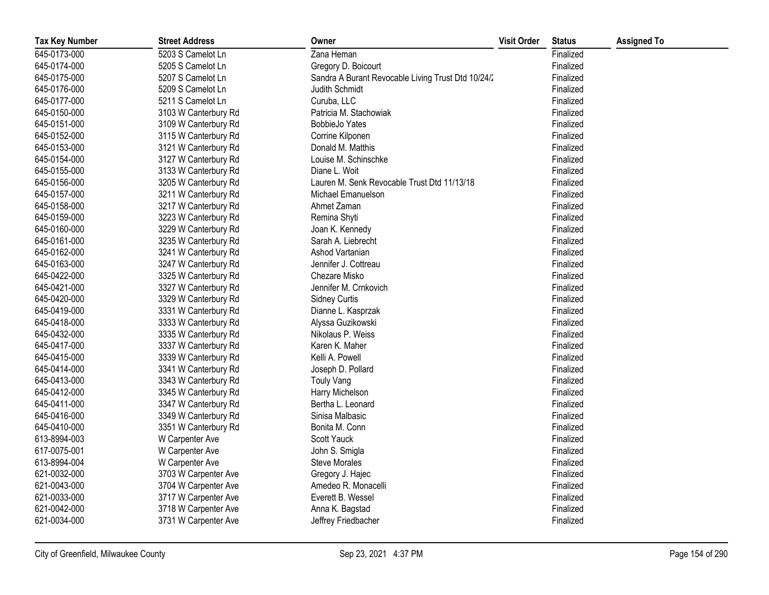| <b>Tax Key Number</b> | <b>Street Address</b> | Owner                                              | <b>Visit Order</b> | <b>Status</b> | <b>Assigned To</b> |
|-----------------------|-----------------------|----------------------------------------------------|--------------------|---------------|--------------------|
| 645-0173-000          | 5203 S Camelot Ln     | Zana Heman                                         |                    | Finalized     |                    |
| 645-0174-000          | 5205 S Camelot Ln     | Gregory D. Boicourt                                |                    | Finalized     |                    |
| 645-0175-000          | 5207 S Camelot Ln     | Sandra A Burant Revocable Living Trust Dtd 10/24/2 |                    | Finalized     |                    |
| 645-0176-000          | 5209 S Camelot Ln     | Judith Schmidt                                     |                    | Finalized     |                    |
| 645-0177-000          | 5211 S Camelot Ln     | Curuba, LLC                                        |                    | Finalized     |                    |
| 645-0150-000          | 3103 W Canterbury Rd  | Patricia M. Stachowiak                             |                    | Finalized     |                    |
| 645-0151-000          | 3109 W Canterbury Rd  | <b>BobbieJo Yates</b>                              |                    | Finalized     |                    |
| 645-0152-000          | 3115 W Canterbury Rd  | Corrine Kilponen                                   |                    | Finalized     |                    |
| 645-0153-000          | 3121 W Canterbury Rd  | Donald M. Matthis                                  |                    | Finalized     |                    |
| 645-0154-000          | 3127 W Canterbury Rd  | Louise M. Schinschke                               |                    | Finalized     |                    |
| 645-0155-000          | 3133 W Canterbury Rd  | Diane L. Woit                                      |                    | Finalized     |                    |
| 645-0156-000          | 3205 W Canterbury Rd  | Lauren M. Senk Revocable Trust Dtd 11/13/18        |                    | Finalized     |                    |
| 645-0157-000          | 3211 W Canterbury Rd  | Michael Emanuelson                                 |                    | Finalized     |                    |
| 645-0158-000          | 3217 W Canterbury Rd  | Ahmet Zaman                                        |                    | Finalized     |                    |
| 645-0159-000          | 3223 W Canterbury Rd  | Remina Shyti                                       |                    | Finalized     |                    |
| 645-0160-000          | 3229 W Canterbury Rd  | Joan K. Kennedy                                    |                    | Finalized     |                    |
| 645-0161-000          | 3235 W Canterbury Rd  | Sarah A. Liebrecht                                 |                    | Finalized     |                    |
| 645-0162-000          | 3241 W Canterbury Rd  | Ashod Vartanian                                    |                    | Finalized     |                    |
| 645-0163-000          | 3247 W Canterbury Rd  | Jennifer J. Cottreau                               |                    | Finalized     |                    |
| 645-0422-000          | 3325 W Canterbury Rd  | Chezare Misko                                      |                    | Finalized     |                    |
| 645-0421-000          | 3327 W Canterbury Rd  | Jennifer M. Crnkovich                              |                    | Finalized     |                    |
| 645-0420-000          | 3329 W Canterbury Rd  | <b>Sidney Curtis</b>                               |                    | Finalized     |                    |
| 645-0419-000          | 3331 W Canterbury Rd  | Dianne L. Kasprzak                                 |                    | Finalized     |                    |
| 645-0418-000          | 3333 W Canterbury Rd  | Alyssa Guzikowski                                  |                    | Finalized     |                    |
| 645-0432-000          | 3335 W Canterbury Rd  | Nikolaus P. Weiss                                  |                    | Finalized     |                    |
| 645-0417-000          | 3337 W Canterbury Rd  | Karen K. Maher                                     |                    | Finalized     |                    |
| 645-0415-000          | 3339 W Canterbury Rd  | Kelli A. Powell                                    |                    | Finalized     |                    |
| 645-0414-000          | 3341 W Canterbury Rd  | Joseph D. Pollard                                  |                    | Finalized     |                    |
| 645-0413-000          | 3343 W Canterbury Rd  | <b>Touly Vang</b>                                  |                    | Finalized     |                    |
| 645-0412-000          | 3345 W Canterbury Rd  | Harry Michelson                                    |                    | Finalized     |                    |
| 645-0411-000          | 3347 W Canterbury Rd  | Bertha L. Leonard                                  |                    | Finalized     |                    |
| 645-0416-000          | 3349 W Canterbury Rd  | Sinisa Malbasic                                    |                    | Finalized     |                    |
| 645-0410-000          | 3351 W Canterbury Rd  | Bonita M. Conn                                     |                    | Finalized     |                    |
| 613-8994-003          | W Carpenter Ave       | Scott Yauck                                        |                    | Finalized     |                    |
| 617-0075-001          | W Carpenter Ave       | John S. Smigla                                     |                    | Finalized     |                    |
| 613-8994-004          | W Carpenter Ave       | <b>Steve Morales</b>                               |                    | Finalized     |                    |
| 621-0032-000          | 3703 W Carpenter Ave  | Gregory J. Hajec                                   |                    | Finalized     |                    |
| 621-0043-000          | 3704 W Carpenter Ave  | Amedeo R. Monacelli                                |                    | Finalized     |                    |
| 621-0033-000          | 3717 W Carpenter Ave  | Everett B. Wessel                                  |                    | Finalized     |                    |
| 621-0042-000          | 3718 W Carpenter Ave  | Anna K. Bagstad                                    |                    | Finalized     |                    |
| 621-0034-000          | 3731 W Carpenter Ave  | Jeffrey Friedbacher                                |                    | Finalized     |                    |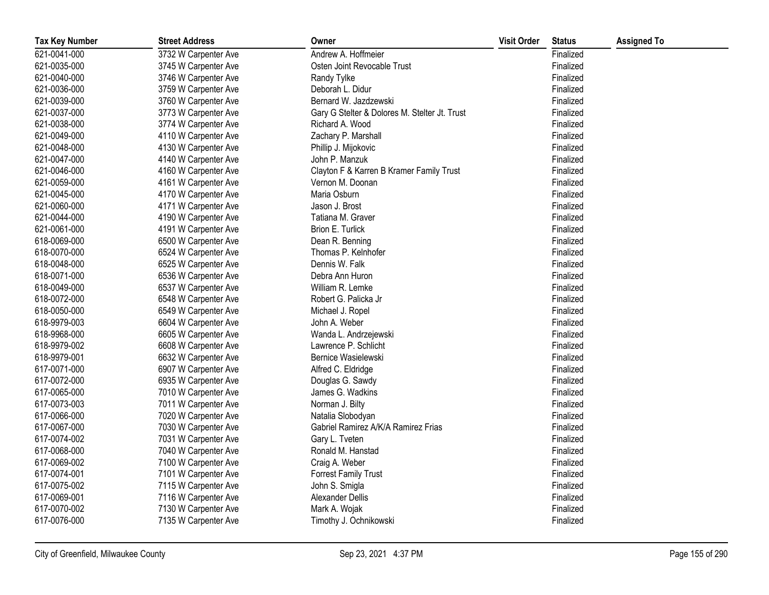| <b>Tax Key Number</b> | <b>Street Address</b> | Owner                                         | <b>Visit Order</b> | <b>Status</b> | <b>Assigned To</b> |
|-----------------------|-----------------------|-----------------------------------------------|--------------------|---------------|--------------------|
| 621-0041-000          | 3732 W Carpenter Ave  | Andrew A. Hoffmeier                           |                    | Finalized     |                    |
| 621-0035-000          | 3745 W Carpenter Ave  | Osten Joint Revocable Trust                   |                    | Finalized     |                    |
| 621-0040-000          | 3746 W Carpenter Ave  | Randy Tylke                                   |                    | Finalized     |                    |
| 621-0036-000          | 3759 W Carpenter Ave  | Deborah L. Didur                              |                    | Finalized     |                    |
| 621-0039-000          | 3760 W Carpenter Ave  | Bernard W. Jazdzewski                         |                    | Finalized     |                    |
| 621-0037-000          | 3773 W Carpenter Ave  | Gary G Stelter & Dolores M. Stelter Jt. Trust |                    | Finalized     |                    |
| 621-0038-000          | 3774 W Carpenter Ave  | Richard A. Wood                               |                    | Finalized     |                    |
| 621-0049-000          | 4110 W Carpenter Ave  | Zachary P. Marshall                           |                    | Finalized     |                    |
| 621-0048-000          | 4130 W Carpenter Ave  | Phillip J. Mijokovic                          |                    | Finalized     |                    |
| 621-0047-000          | 4140 W Carpenter Ave  | John P. Manzuk                                |                    | Finalized     |                    |
| 621-0046-000          | 4160 W Carpenter Ave  | Clayton F & Karren B Kramer Family Trust      |                    | Finalized     |                    |
| 621-0059-000          | 4161 W Carpenter Ave  | Vernon M. Doonan                              |                    | Finalized     |                    |
| 621-0045-000          | 4170 W Carpenter Ave  | Maria Osburn                                  |                    | Finalized     |                    |
| 621-0060-000          | 4171 W Carpenter Ave  | Jason J. Brost                                |                    | Finalized     |                    |
| 621-0044-000          | 4190 W Carpenter Ave  | Tatiana M. Graver                             |                    | Finalized     |                    |
| 621-0061-000          | 4191 W Carpenter Ave  | Brion E. Turlick                              |                    | Finalized     |                    |
| 618-0069-000          | 6500 W Carpenter Ave  | Dean R. Benning                               |                    | Finalized     |                    |
| 618-0070-000          | 6524 W Carpenter Ave  | Thomas P. Kelnhofer                           |                    | Finalized     |                    |
| 618-0048-000          | 6525 W Carpenter Ave  | Dennis W. Falk                                |                    | Finalized     |                    |
| 618-0071-000          | 6536 W Carpenter Ave  | Debra Ann Huron                               |                    | Finalized     |                    |
| 618-0049-000          | 6537 W Carpenter Ave  | William R. Lemke                              |                    | Finalized     |                    |
| 618-0072-000          | 6548 W Carpenter Ave  | Robert G. Palicka Jr                          |                    | Finalized     |                    |
| 618-0050-000          | 6549 W Carpenter Ave  | Michael J. Ropel                              |                    | Finalized     |                    |
| 618-9979-003          | 6604 W Carpenter Ave  | John A. Weber                                 |                    | Finalized     |                    |
| 618-9968-000          | 6605 W Carpenter Ave  | Wanda L. Andrzejewski                         |                    | Finalized     |                    |
| 618-9979-002          | 6608 W Carpenter Ave  | Lawrence P. Schlicht                          |                    | Finalized     |                    |
| 618-9979-001          | 6632 W Carpenter Ave  | Bernice Wasielewski                           |                    | Finalized     |                    |
| 617-0071-000          | 6907 W Carpenter Ave  | Alfred C. Eldridge                            |                    | Finalized     |                    |
| 617-0072-000          | 6935 W Carpenter Ave  | Douglas G. Sawdy                              |                    | Finalized     |                    |
| 617-0065-000          | 7010 W Carpenter Ave  | James G. Wadkins                              |                    | Finalized     |                    |
| 617-0073-003          | 7011 W Carpenter Ave  | Norman J. Bilty                               |                    | Finalized     |                    |
| 617-0066-000          | 7020 W Carpenter Ave  | Natalia Slobodyan                             |                    | Finalized     |                    |
| 617-0067-000          | 7030 W Carpenter Ave  | Gabriel Ramirez A/K/A Ramirez Frias           |                    | Finalized     |                    |
| 617-0074-002          | 7031 W Carpenter Ave  | Gary L. Tveten                                |                    | Finalized     |                    |
| 617-0068-000          | 7040 W Carpenter Ave  | Ronald M. Hanstad                             |                    | Finalized     |                    |
| 617-0069-002          | 7100 W Carpenter Ave  | Craig A. Weber                                |                    | Finalized     |                    |
| 617-0074-001          | 7101 W Carpenter Ave  | <b>Forrest Family Trust</b>                   |                    | Finalized     |                    |
| 617-0075-002          | 7115 W Carpenter Ave  | John S. Smigla                                |                    | Finalized     |                    |
| 617-0069-001          | 7116 W Carpenter Ave  | Alexander Dellis                              |                    | Finalized     |                    |
| 617-0070-002          | 7130 W Carpenter Ave  | Mark A. Wojak                                 |                    | Finalized     |                    |
| 617-0076-000          | 7135 W Carpenter Ave  | Timothy J. Ochnikowski                        |                    | Finalized     |                    |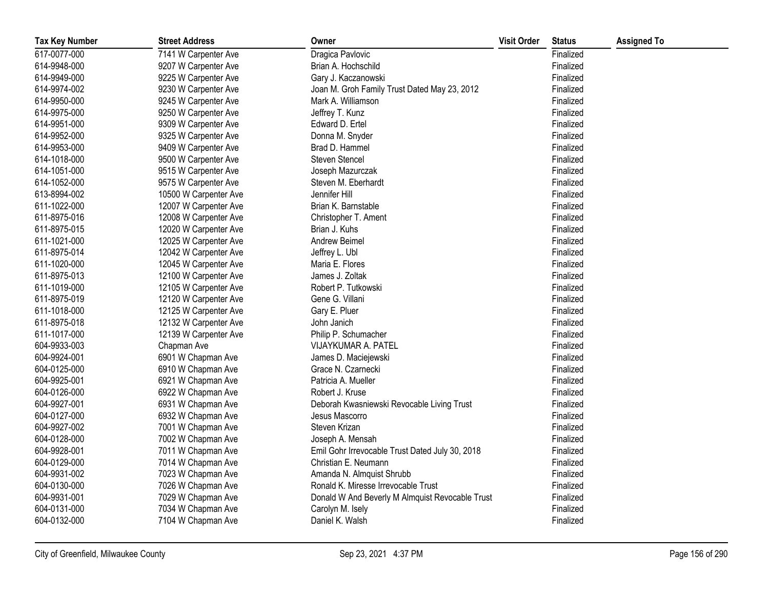| <b>Tax Key Number</b> | <b>Street Address</b> | Owner                                           | <b>Visit Order</b> | <b>Status</b> | <b>Assigned To</b> |
|-----------------------|-----------------------|-------------------------------------------------|--------------------|---------------|--------------------|
| 617-0077-000          | 7141 W Carpenter Ave  | Dragica Pavlovic                                |                    | Finalized     |                    |
| 614-9948-000          | 9207 W Carpenter Ave  | Brian A. Hochschild                             |                    | Finalized     |                    |
| 614-9949-000          | 9225 W Carpenter Ave  | Gary J. Kaczanowski                             |                    | Finalized     |                    |
| 614-9974-002          | 9230 W Carpenter Ave  | Joan M. Groh Family Trust Dated May 23, 2012    |                    | Finalized     |                    |
| 614-9950-000          | 9245 W Carpenter Ave  | Mark A. Williamson                              |                    | Finalized     |                    |
| 614-9975-000          | 9250 W Carpenter Ave  | Jeffrey T. Kunz                                 |                    | Finalized     |                    |
| 614-9951-000          | 9309 W Carpenter Ave  | Edward D. Ertel                                 |                    | Finalized     |                    |
| 614-9952-000          | 9325 W Carpenter Ave  | Donna M. Snyder                                 |                    | Finalized     |                    |
| 614-9953-000          | 9409 W Carpenter Ave  | Brad D. Hammel                                  |                    | Finalized     |                    |
| 614-1018-000          | 9500 W Carpenter Ave  | <b>Steven Stencel</b>                           |                    | Finalized     |                    |
| 614-1051-000          | 9515 W Carpenter Ave  | Joseph Mazurczak                                |                    | Finalized     |                    |
| 614-1052-000          | 9575 W Carpenter Ave  | Steven M. Eberhardt                             |                    | Finalized     |                    |
| 613-8994-002          | 10500 W Carpenter Ave | Jennifer Hill                                   |                    | Finalized     |                    |
| 611-1022-000          | 12007 W Carpenter Ave | Brian K. Barnstable                             |                    | Finalized     |                    |
| 611-8975-016          | 12008 W Carpenter Ave | Christopher T. Ament                            |                    | Finalized     |                    |
| 611-8975-015          | 12020 W Carpenter Ave | Brian J. Kuhs                                   |                    | Finalized     |                    |
| 611-1021-000          | 12025 W Carpenter Ave | Andrew Beimel                                   |                    | Finalized     |                    |
| 611-8975-014          | 12042 W Carpenter Ave | Jeffrey L. Ubl                                  |                    | Finalized     |                    |
| 611-1020-000          | 12045 W Carpenter Ave | Maria E. Flores                                 |                    | Finalized     |                    |
| 611-8975-013          | 12100 W Carpenter Ave | James J. Zoltak                                 |                    | Finalized     |                    |
| 611-1019-000          | 12105 W Carpenter Ave | Robert P. Tutkowski                             |                    | Finalized     |                    |
| 611-8975-019          | 12120 W Carpenter Ave | Gene G. Villani                                 |                    | Finalized     |                    |
| 611-1018-000          | 12125 W Carpenter Ave | Gary E. Pluer                                   |                    | Finalized     |                    |
| 611-8975-018          | 12132 W Carpenter Ave | John Janich                                     |                    | Finalized     |                    |
| 611-1017-000          | 12139 W Carpenter Ave | Philip P. Schumacher                            |                    | Finalized     |                    |
| 604-9933-003          | Chapman Ave           | VIJAYKUMAR A. PATEL                             |                    | Finalized     |                    |
| 604-9924-001          | 6901 W Chapman Ave    | James D. Maciejewski                            |                    | Finalized     |                    |
| 604-0125-000          | 6910 W Chapman Ave    | Grace N. Czarnecki                              |                    | Finalized     |                    |
| 604-9925-001          | 6921 W Chapman Ave    | Patricia A. Mueller                             |                    | Finalized     |                    |
| 604-0126-000          | 6922 W Chapman Ave    | Robert J. Kruse                                 |                    | Finalized     |                    |
| 604-9927-001          | 6931 W Chapman Ave    | Deborah Kwasniewski Revocable Living Trust      |                    | Finalized     |                    |
| 604-0127-000          | 6932 W Chapman Ave    | Jesus Mascorro                                  |                    | Finalized     |                    |
| 604-9927-002          | 7001 W Chapman Ave    | Steven Krizan                                   |                    | Finalized     |                    |
| 604-0128-000          | 7002 W Chapman Ave    | Joseph A. Mensah                                |                    | Finalized     |                    |
| 604-9928-001          | 7011 W Chapman Ave    | Emil Gohr Irrevocable Trust Dated July 30, 2018 |                    | Finalized     |                    |
| 604-0129-000          | 7014 W Chapman Ave    | Christian E. Neumann                            |                    | Finalized     |                    |
| 604-9931-002          | 7023 W Chapman Ave    | Amanda N. Almquist Shrubb                       |                    | Finalized     |                    |
| 604-0130-000          | 7026 W Chapman Ave    | Ronald K. Miresse Irrevocable Trust             |                    | Finalized     |                    |
| 604-9931-001          | 7029 W Chapman Ave    | Donald W And Beverly M Almquist Revocable Trust |                    | Finalized     |                    |
| 604-0131-000          | 7034 W Chapman Ave    | Carolyn M. Isely                                |                    | Finalized     |                    |
| 604-0132-000          | 7104 W Chapman Ave    | Daniel K. Walsh                                 |                    | Finalized     |                    |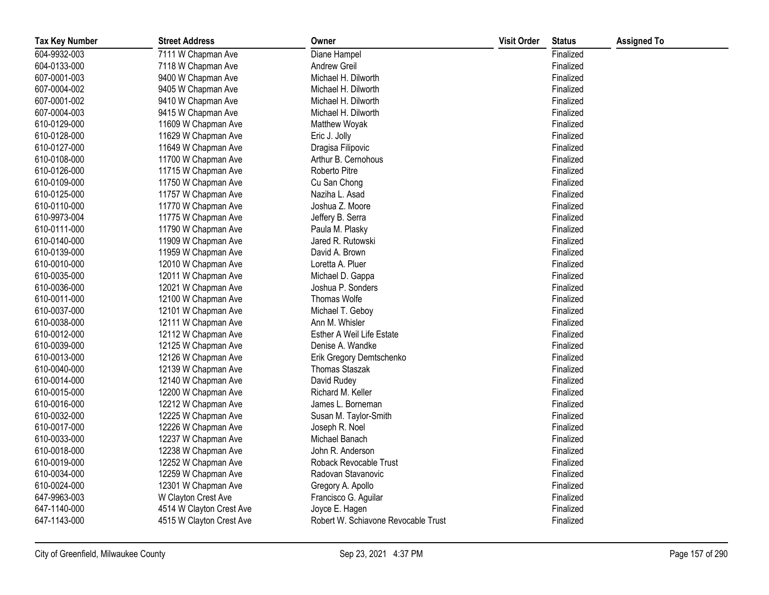| <b>Tax Key Number</b> | <b>Street Address</b>    | Owner                               | <b>Visit Order</b> | <b>Status</b> | <b>Assigned To</b> |
|-----------------------|--------------------------|-------------------------------------|--------------------|---------------|--------------------|
| 604-9932-003          | 7111 W Chapman Ave       | Diane Hampel                        |                    | Finalized     |                    |
| 604-0133-000          | 7118 W Chapman Ave       | <b>Andrew Greil</b>                 |                    | Finalized     |                    |
| 607-0001-003          | 9400 W Chapman Ave       | Michael H. Dilworth                 |                    | Finalized     |                    |
| 607-0004-002          | 9405 W Chapman Ave       | Michael H. Dilworth                 |                    | Finalized     |                    |
| 607-0001-002          | 9410 W Chapman Ave       | Michael H. Dilworth                 |                    | Finalized     |                    |
| 607-0004-003          | 9415 W Chapman Ave       | Michael H. Dilworth                 |                    | Finalized     |                    |
| 610-0129-000          | 11609 W Chapman Ave      | Matthew Woyak                       |                    | Finalized     |                    |
| 610-0128-000          | 11629 W Chapman Ave      | Eric J. Jolly                       |                    | Finalized     |                    |
| 610-0127-000          | 11649 W Chapman Ave      | Dragisa Filipovic                   |                    | Finalized     |                    |
| 610-0108-000          | 11700 W Chapman Ave      | Arthur B. Cernohous                 |                    | Finalized     |                    |
| 610-0126-000          | 11715 W Chapman Ave      | Roberto Pitre                       |                    | Finalized     |                    |
| 610-0109-000          | 11750 W Chapman Ave      | Cu San Chong                        |                    | Finalized     |                    |
| 610-0125-000          | 11757 W Chapman Ave      | Naziha L. Asad                      |                    | Finalized     |                    |
| 610-0110-000          | 11770 W Chapman Ave      | Joshua Z. Moore                     |                    | Finalized     |                    |
| 610-9973-004          | 11775 W Chapman Ave      | Jeffery B. Serra                    |                    | Finalized     |                    |
| 610-0111-000          | 11790 W Chapman Ave      | Paula M. Plasky                     |                    | Finalized     |                    |
| 610-0140-000          | 11909 W Chapman Ave      | Jared R. Rutowski                   |                    | Finalized     |                    |
| 610-0139-000          | 11959 W Chapman Ave      | David A. Brown                      |                    | Finalized     |                    |
| 610-0010-000          | 12010 W Chapman Ave      | Loretta A. Pluer                    |                    | Finalized     |                    |
| 610-0035-000          | 12011 W Chapman Ave      | Michael D. Gappa                    |                    | Finalized     |                    |
| 610-0036-000          | 12021 W Chapman Ave      | Joshua P. Sonders                   |                    | Finalized     |                    |
| 610-0011-000          | 12100 W Chapman Ave      | Thomas Wolfe                        |                    | Finalized     |                    |
| 610-0037-000          | 12101 W Chapman Ave      | Michael T. Geboy                    |                    | Finalized     |                    |
| 610-0038-000          | 12111 W Chapman Ave      | Ann M. Whisler                      |                    | Finalized     |                    |
| 610-0012-000          | 12112 W Chapman Ave      | Esther A Weil Life Estate           |                    | Finalized     |                    |
| 610-0039-000          | 12125 W Chapman Ave      | Denise A. Wandke                    |                    | Finalized     |                    |
| 610-0013-000          | 12126 W Chapman Ave      | Erik Gregory Demtschenko            |                    | Finalized     |                    |
| 610-0040-000          | 12139 W Chapman Ave      | Thomas Staszak                      |                    | Finalized     |                    |
| 610-0014-000          | 12140 W Chapman Ave      | David Rudey                         |                    | Finalized     |                    |
| 610-0015-000          | 12200 W Chapman Ave      | Richard M. Keller                   |                    | Finalized     |                    |
| 610-0016-000          | 12212 W Chapman Ave      | James L. Borneman                   |                    | Finalized     |                    |
| 610-0032-000          | 12225 W Chapman Ave      | Susan M. Taylor-Smith               |                    | Finalized     |                    |
| 610-0017-000          | 12226 W Chapman Ave      | Joseph R. Noel                      |                    | Finalized     |                    |
| 610-0033-000          | 12237 W Chapman Ave      | Michael Banach                      |                    | Finalized     |                    |
| 610-0018-000          | 12238 W Chapman Ave      | John R. Anderson                    |                    | Finalized     |                    |
| 610-0019-000          | 12252 W Chapman Ave      | Roback Revocable Trust              |                    | Finalized     |                    |
| 610-0034-000          | 12259 W Chapman Ave      | Radovan Stavanovic                  |                    | Finalized     |                    |
| 610-0024-000          | 12301 W Chapman Ave      | Gregory A. Apollo                   |                    | Finalized     |                    |
| 647-9963-003          | W Clayton Crest Ave      | Francisco G. Aguilar                |                    | Finalized     |                    |
| 647-1140-000          | 4514 W Clayton Crest Ave | Joyce E. Hagen                      |                    | Finalized     |                    |
| 647-1143-000          | 4515 W Clayton Crest Ave | Robert W. Schiavone Revocable Trust |                    | Finalized     |                    |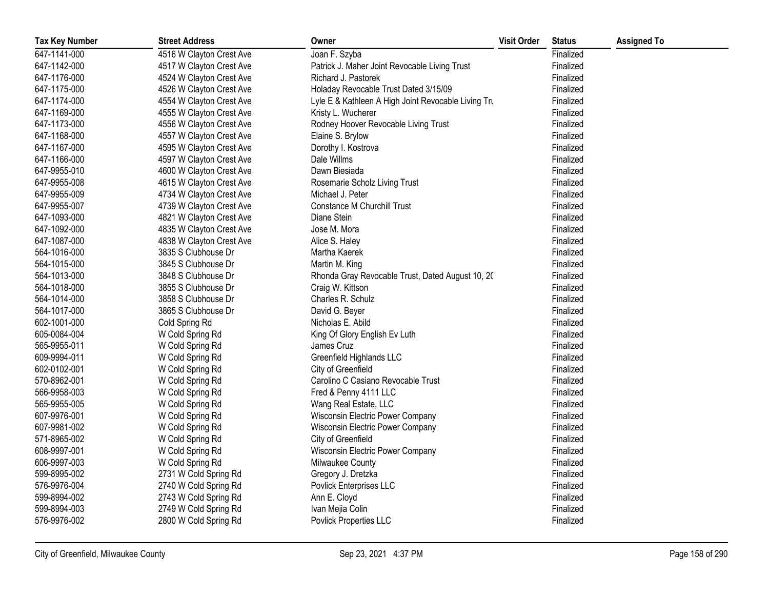| <b>Tax Key Number</b> | <b>Street Address</b>    | Owner                                               | <b>Visit Order</b> | <b>Status</b> | <b>Assigned To</b> |
|-----------------------|--------------------------|-----------------------------------------------------|--------------------|---------------|--------------------|
| 647-1141-000          | 4516 W Clayton Crest Ave | Joan F. Szyba                                       |                    | Finalized     |                    |
| 647-1142-000          | 4517 W Clayton Crest Ave | Patrick J. Maher Joint Revocable Living Trust       |                    | Finalized     |                    |
| 647-1176-000          | 4524 W Clayton Crest Ave | Richard J. Pastorek                                 |                    | Finalized     |                    |
| 647-1175-000          | 4526 W Clayton Crest Ave | Holaday Revocable Trust Dated 3/15/09               |                    | Finalized     |                    |
| 647-1174-000          | 4554 W Clayton Crest Ave | Lyle E & Kathleen A High Joint Revocable Living Tru |                    | Finalized     |                    |
| 647-1169-000          | 4555 W Clayton Crest Ave | Kristy L. Wucherer                                  |                    | Finalized     |                    |
| 647-1173-000          | 4556 W Clayton Crest Ave | Rodney Hoover Revocable Living Trust                |                    | Finalized     |                    |
| 647-1168-000          | 4557 W Clayton Crest Ave | Elaine S. Brylow                                    |                    | Finalized     |                    |
| 647-1167-000          | 4595 W Clayton Crest Ave | Dorothy I. Kostrova                                 |                    | Finalized     |                    |
| 647-1166-000          | 4597 W Clayton Crest Ave | Dale Willms                                         |                    | Finalized     |                    |
| 647-9955-010          | 4600 W Clayton Crest Ave | Dawn Biesiada                                       |                    | Finalized     |                    |
| 647-9955-008          | 4615 W Clayton Crest Ave | Rosemarie Scholz Living Trust                       |                    | Finalized     |                    |
| 647-9955-009          | 4734 W Clayton Crest Ave | Michael J. Peter                                    |                    | Finalized     |                    |
| 647-9955-007          | 4739 W Clayton Crest Ave | <b>Constance M Churchill Trust</b>                  |                    | Finalized     |                    |
| 647-1093-000          | 4821 W Clayton Crest Ave | Diane Stein                                         |                    | Finalized     |                    |
| 647-1092-000          | 4835 W Clayton Crest Ave | Jose M. Mora                                        |                    | Finalized     |                    |
| 647-1087-000          | 4838 W Clayton Crest Ave | Alice S. Haley                                      |                    | Finalized     |                    |
| 564-1016-000          | 3835 S Clubhouse Dr      | Martha Kaerek                                       |                    | Finalized     |                    |
| 564-1015-000          | 3845 S Clubhouse Dr      | Martin M. King                                      |                    | Finalized     |                    |
| 564-1013-000          | 3848 S Clubhouse Dr      | Rhonda Gray Revocable Trust, Dated August 10, 20    |                    | Finalized     |                    |
| 564-1018-000          | 3855 S Clubhouse Dr      | Craig W. Kittson                                    |                    | Finalized     |                    |
| 564-1014-000          | 3858 S Clubhouse Dr      | Charles R. Schulz                                   |                    | Finalized     |                    |
| 564-1017-000          | 3865 S Clubhouse Dr      | David G. Beyer                                      |                    | Finalized     |                    |
| 602-1001-000          | Cold Spring Rd           | Nicholas E. Abild                                   |                    | Finalized     |                    |
| 605-0084-004          | W Cold Spring Rd         | King Of Glory English Ev Luth                       |                    | Finalized     |                    |
| 565-9955-011          | W Cold Spring Rd         | James Cruz                                          |                    | Finalized     |                    |
| 609-9994-011          | W Cold Spring Rd         | Greenfield Highlands LLC                            |                    | Finalized     |                    |
| 602-0102-001          | W Cold Spring Rd         | City of Greenfield                                  |                    | Finalized     |                    |
| 570-8962-001          | W Cold Spring Rd         | Carolino C Casiano Revocable Trust                  |                    | Finalized     |                    |
| 566-9958-003          | W Cold Spring Rd         | Fred & Penny 4111 LLC                               |                    | Finalized     |                    |
| 565-9955-005          | W Cold Spring Rd         | Wang Real Estate, LLC                               |                    | Finalized     |                    |
| 607-9976-001          | W Cold Spring Rd         | Wisconsin Electric Power Company                    |                    | Finalized     |                    |
| 607-9981-002          | W Cold Spring Rd         | Wisconsin Electric Power Company                    |                    | Finalized     |                    |
| 571-8965-002          | W Cold Spring Rd         | City of Greenfield                                  |                    | Finalized     |                    |
| 608-9997-001          | W Cold Spring Rd         | Wisconsin Electric Power Company                    |                    | Finalized     |                    |
| 606-9997-003          | W Cold Spring Rd         | Milwaukee County                                    |                    | Finalized     |                    |
| 599-8995-002          | 2731 W Cold Spring Rd    | Gregory J. Dretzka                                  |                    | Finalized     |                    |
| 576-9976-004          | 2740 W Cold Spring Rd    | Povlick Enterprises LLC                             |                    | Finalized     |                    |
| 599-8994-002          | 2743 W Cold Spring Rd    | Ann E. Cloyd                                        |                    | Finalized     |                    |
| 599-8994-003          | 2749 W Cold Spring Rd    | Ivan Mejia Colin                                    |                    | Finalized     |                    |
| 576-9976-002          | 2800 W Cold Spring Rd    | Povlick Properties LLC                              |                    | Finalized     |                    |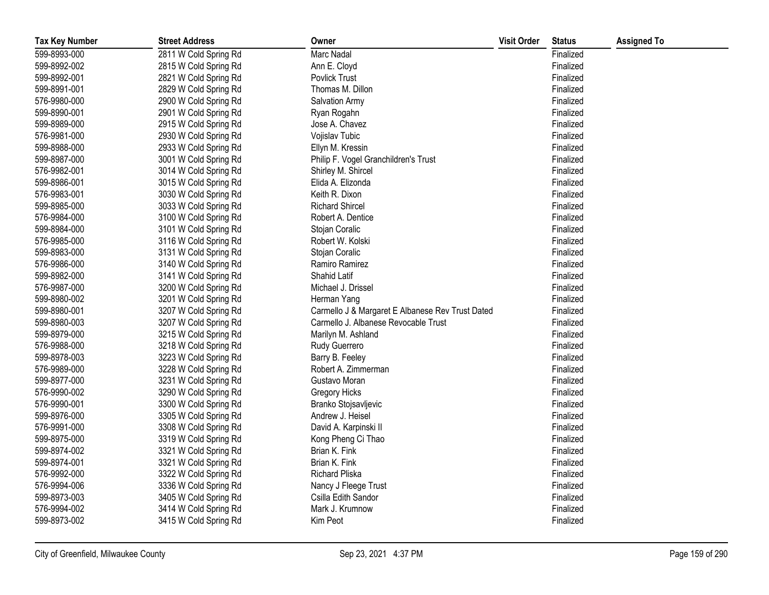| <b>Tax Key Number</b> | <b>Street Address</b> | Owner                                            | <b>Visit Order</b> | <b>Status</b> | <b>Assigned To</b> |
|-----------------------|-----------------------|--------------------------------------------------|--------------------|---------------|--------------------|
| 599-8993-000          | 2811 W Cold Spring Rd | <b>Marc Nadal</b>                                |                    | Finalized     |                    |
| 599-8992-002          | 2815 W Cold Spring Rd | Ann E. Cloyd                                     |                    | Finalized     |                    |
| 599-8992-001          | 2821 W Cold Spring Rd | <b>Povlick Trust</b>                             |                    | Finalized     |                    |
| 599-8991-001          | 2829 W Cold Spring Rd | Thomas M. Dillon                                 |                    | Finalized     |                    |
| 576-9980-000          | 2900 W Cold Spring Rd | Salvation Army                                   |                    | Finalized     |                    |
| 599-8990-001          | 2901 W Cold Spring Rd | Ryan Rogahn                                      |                    | Finalized     |                    |
| 599-8989-000          | 2915 W Cold Spring Rd | Jose A. Chavez                                   |                    | Finalized     |                    |
| 576-9981-000          | 2930 W Cold Spring Rd | Vojislav Tubic                                   |                    | Finalized     |                    |
| 599-8988-000          | 2933 W Cold Spring Rd | Ellyn M. Kressin                                 |                    | Finalized     |                    |
| 599-8987-000          | 3001 W Cold Spring Rd | Philip F. Vogel Granchildren's Trust             |                    | Finalized     |                    |
| 576-9982-001          | 3014 W Cold Spring Rd | Shirley M. Shircel                               |                    | Finalized     |                    |
| 599-8986-001          | 3015 W Cold Spring Rd | Elida A. Elizonda                                |                    | Finalized     |                    |
| 576-9983-001          | 3030 W Cold Spring Rd | Keith R. Dixon                                   |                    | Finalized     |                    |
| 599-8985-000          | 3033 W Cold Spring Rd | <b>Richard Shircel</b>                           |                    | Finalized     |                    |
| 576-9984-000          | 3100 W Cold Spring Rd | Robert A. Dentice                                |                    | Finalized     |                    |
| 599-8984-000          | 3101 W Cold Spring Rd | Stojan Coralic                                   |                    | Finalized     |                    |
| 576-9985-000          | 3116 W Cold Spring Rd | Robert W. Kolski                                 |                    | Finalized     |                    |
| 599-8983-000          | 3131 W Cold Spring Rd | Stojan Coralic                                   |                    | Finalized     |                    |
| 576-9986-000          | 3140 W Cold Spring Rd | Ramiro Ramirez                                   |                    | Finalized     |                    |
| 599-8982-000          | 3141 W Cold Spring Rd | Shahid Latif                                     |                    | Finalized     |                    |
| 576-9987-000          | 3200 W Cold Spring Rd | Michael J. Drissel                               |                    | Finalized     |                    |
| 599-8980-002          | 3201 W Cold Spring Rd | Herman Yang                                      |                    | Finalized     |                    |
| 599-8980-001          | 3207 W Cold Spring Rd | Carmello J & Margaret E Albanese Rev Trust Dated |                    | Finalized     |                    |
| 599-8980-003          | 3207 W Cold Spring Rd | Carmello J. Albanese Revocable Trust             |                    | Finalized     |                    |
| 599-8979-000          | 3215 W Cold Spring Rd | Marilyn M. Ashland                               |                    | Finalized     |                    |
| 576-9988-000          | 3218 W Cold Spring Rd | Rudy Guerrero                                    |                    | Finalized     |                    |
| 599-8978-003          | 3223 W Cold Spring Rd | Barry B. Feeley                                  |                    | Finalized     |                    |
| 576-9989-000          | 3228 W Cold Spring Rd | Robert A. Zimmerman                              |                    | Finalized     |                    |
| 599-8977-000          | 3231 W Cold Spring Rd | Gustavo Moran                                    |                    | Finalized     |                    |
| 576-9990-002          | 3290 W Cold Spring Rd | Gregory Hicks                                    |                    | Finalized     |                    |
| 576-9990-001          | 3300 W Cold Spring Rd | Branko Stojsavljevic                             |                    | Finalized     |                    |
| 599-8976-000          | 3305 W Cold Spring Rd | Andrew J. Heisel                                 |                    | Finalized     |                    |
| 576-9991-000          | 3308 W Cold Spring Rd | David A. Karpinski II                            |                    | Finalized     |                    |
| 599-8975-000          | 3319 W Cold Spring Rd | Kong Pheng Ci Thao                               |                    | Finalized     |                    |
| 599-8974-002          | 3321 W Cold Spring Rd | Brian K. Fink                                    |                    | Finalized     |                    |
| 599-8974-001          | 3321 W Cold Spring Rd | Brian K. Fink                                    |                    | Finalized     |                    |
| 576-9992-000          | 3322 W Cold Spring Rd | <b>Richard Pliska</b>                            |                    | Finalized     |                    |
| 576-9994-006          | 3336 W Cold Spring Rd | Nancy J Fleege Trust                             |                    | Finalized     |                    |
| 599-8973-003          | 3405 W Cold Spring Rd | Csilla Edith Sandor                              |                    | Finalized     |                    |
| 576-9994-002          | 3414 W Cold Spring Rd | Mark J. Krumnow                                  |                    | Finalized     |                    |
| 599-8973-002          | 3415 W Cold Spring Rd | Kim Peot                                         |                    | Finalized     |                    |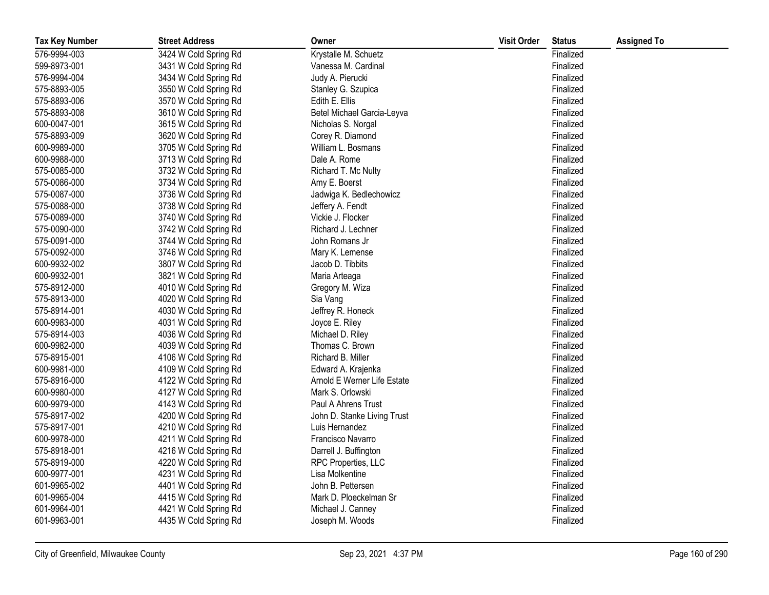| <b>Tax Key Number</b> | <b>Street Address</b> | Owner                       | <b>Visit Order</b> | <b>Status</b> | <b>Assigned To</b> |
|-----------------------|-----------------------|-----------------------------|--------------------|---------------|--------------------|
| 576-9994-003          | 3424 W Cold Spring Rd | Krystalle M. Schuetz        |                    | Finalized     |                    |
| 599-8973-001          | 3431 W Cold Spring Rd | Vanessa M. Cardinal         |                    | Finalized     |                    |
| 576-9994-004          | 3434 W Cold Spring Rd | Judy A. Pierucki            |                    | Finalized     |                    |
| 575-8893-005          | 3550 W Cold Spring Rd | Stanley G. Szupica          |                    | Finalized     |                    |
| 575-8893-006          | 3570 W Cold Spring Rd | Edith E. Ellis              |                    | Finalized     |                    |
| 575-8893-008          | 3610 W Cold Spring Rd | Betel Michael Garcia-Leyva  |                    | Finalized     |                    |
| 600-0047-001          | 3615 W Cold Spring Rd | Nicholas S. Norgal          |                    | Finalized     |                    |
| 575-8893-009          | 3620 W Cold Spring Rd | Corey R. Diamond            |                    | Finalized     |                    |
| 600-9989-000          | 3705 W Cold Spring Rd | William L. Bosmans          |                    | Finalized     |                    |
| 600-9988-000          | 3713 W Cold Spring Rd | Dale A. Rome                |                    | Finalized     |                    |
| 575-0085-000          | 3732 W Cold Spring Rd | Richard T. Mc Nulty         |                    | Finalized     |                    |
| 575-0086-000          | 3734 W Cold Spring Rd | Amy E. Boerst               |                    | Finalized     |                    |
| 575-0087-000          | 3736 W Cold Spring Rd | Jadwiga K. Bedlechowicz     |                    | Finalized     |                    |
| 575-0088-000          | 3738 W Cold Spring Rd | Jeffery A. Fendt            |                    | Finalized     |                    |
| 575-0089-000          | 3740 W Cold Spring Rd | Vickie J. Flocker           |                    | Finalized     |                    |
| 575-0090-000          | 3742 W Cold Spring Rd | Richard J. Lechner          |                    | Finalized     |                    |
| 575-0091-000          | 3744 W Cold Spring Rd | John Romans Jr              |                    | Finalized     |                    |
| 575-0092-000          | 3746 W Cold Spring Rd | Mary K. Lemense             |                    | Finalized     |                    |
| 600-9932-002          | 3807 W Cold Spring Rd | Jacob D. Tibbits            |                    | Finalized     |                    |
| 600-9932-001          | 3821 W Cold Spring Rd | Maria Arteaga               |                    | Finalized     |                    |
| 575-8912-000          | 4010 W Cold Spring Rd | Gregory M. Wiza             |                    | Finalized     |                    |
| 575-8913-000          | 4020 W Cold Spring Rd | Sia Vang                    |                    | Finalized     |                    |
| 575-8914-001          | 4030 W Cold Spring Rd | Jeffrey R. Honeck           |                    | Finalized     |                    |
| 600-9983-000          | 4031 W Cold Spring Rd | Joyce E. Riley              |                    | Finalized     |                    |
| 575-8914-003          | 4036 W Cold Spring Rd | Michael D. Riley            |                    | Finalized     |                    |
| 600-9982-000          | 4039 W Cold Spring Rd | Thomas C. Brown             |                    | Finalized     |                    |
| 575-8915-001          | 4106 W Cold Spring Rd | Richard B. Miller           |                    | Finalized     |                    |
| 600-9981-000          | 4109 W Cold Spring Rd | Edward A. Krajenka          |                    | Finalized     |                    |
| 575-8916-000          | 4122 W Cold Spring Rd | Arnold E Werner Life Estate |                    | Finalized     |                    |
| 600-9980-000          | 4127 W Cold Spring Rd | Mark S. Orlowski            |                    | Finalized     |                    |
| 600-9979-000          | 4143 W Cold Spring Rd | Paul A Ahrens Trust         |                    | Finalized     |                    |
| 575-8917-002          | 4200 W Cold Spring Rd | John D. Stanke Living Trust |                    | Finalized     |                    |
| 575-8917-001          | 4210 W Cold Spring Rd | Luis Hernandez              |                    | Finalized     |                    |
| 600-9978-000          | 4211 W Cold Spring Rd | Francisco Navarro           |                    | Finalized     |                    |
| 575-8918-001          | 4216 W Cold Spring Rd | Darrell J. Buffington       |                    | Finalized     |                    |
| 575-8919-000          | 4220 W Cold Spring Rd | RPC Properties, LLC         |                    | Finalized     |                    |
| 600-9977-001          | 4231 W Cold Spring Rd | Lisa Molkentine             |                    | Finalized     |                    |
| 601-9965-002          | 4401 W Cold Spring Rd | John B. Pettersen           |                    | Finalized     |                    |
| 601-9965-004          | 4415 W Cold Spring Rd | Mark D. Ploeckelman Sr      |                    | Finalized     |                    |
| 601-9964-001          | 4421 W Cold Spring Rd | Michael J. Canney           |                    | Finalized     |                    |
| 601-9963-001          | 4435 W Cold Spring Rd | Joseph M. Woods             |                    | Finalized     |                    |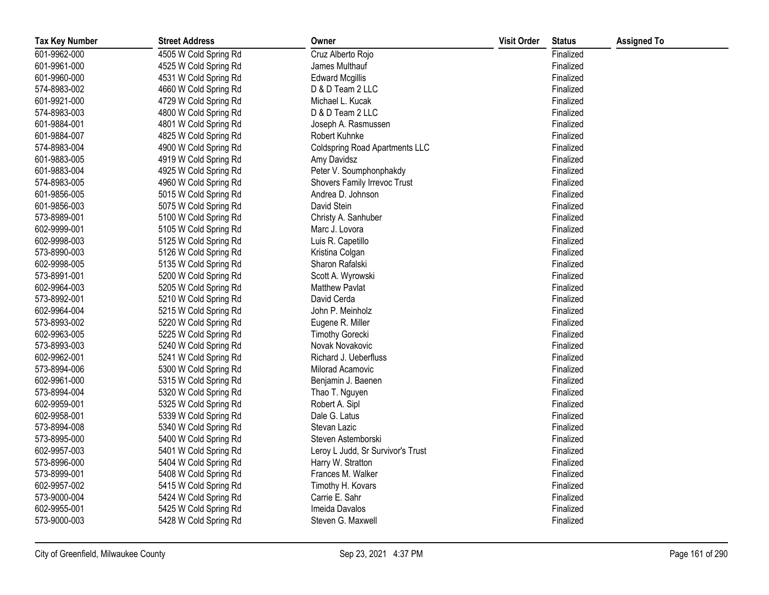| <b>Tax Key Number</b> | <b>Street Address</b> | Owner                                 | <b>Visit Order</b> | <b>Status</b> | <b>Assigned To</b> |
|-----------------------|-----------------------|---------------------------------------|--------------------|---------------|--------------------|
| 601-9962-000          | 4505 W Cold Spring Rd | Cruz Alberto Rojo                     |                    | Finalized     |                    |
| 601-9961-000          | 4525 W Cold Spring Rd | James Multhauf                        |                    | Finalized     |                    |
| 601-9960-000          | 4531 W Cold Spring Rd | <b>Edward Mcgillis</b>                |                    | Finalized     |                    |
| 574-8983-002          | 4660 W Cold Spring Rd | D & D Team 2 LLC                      |                    | Finalized     |                    |
| 601-9921-000          | 4729 W Cold Spring Rd | Michael L. Kucak                      |                    | Finalized     |                    |
| 574-8983-003          | 4800 W Cold Spring Rd | D & D Team 2 LLC                      |                    | Finalized     |                    |
| 601-9884-001          | 4801 W Cold Spring Rd | Joseph A. Rasmussen                   |                    | Finalized     |                    |
| 601-9884-007          | 4825 W Cold Spring Rd | Robert Kuhnke                         |                    | Finalized     |                    |
| 574-8983-004          | 4900 W Cold Spring Rd | <b>Coldspring Road Apartments LLC</b> |                    | Finalized     |                    |
| 601-9883-005          | 4919 W Cold Spring Rd | Amy Davidsz                           |                    | Finalized     |                    |
| 601-9883-004          | 4925 W Cold Spring Rd | Peter V. Soumphonphakdy               |                    | Finalized     |                    |
| 574-8983-005          | 4960 W Cold Spring Rd | Shovers Family Irrevoc Trust          |                    | Finalized     |                    |
| 601-9856-005          | 5015 W Cold Spring Rd | Andrea D. Johnson                     |                    | Finalized     |                    |
| 601-9856-003          | 5075 W Cold Spring Rd | David Stein                           |                    | Finalized     |                    |
| 573-8989-001          | 5100 W Cold Spring Rd | Christy A. Sanhuber                   |                    | Finalized     |                    |
| 602-9999-001          | 5105 W Cold Spring Rd | Marc J. Lovora                        |                    | Finalized     |                    |
| 602-9998-003          | 5125 W Cold Spring Rd | Luis R. Capetillo                     |                    | Finalized     |                    |
| 573-8990-003          | 5126 W Cold Spring Rd | Kristina Colgan                       |                    | Finalized     |                    |
| 602-9998-005          | 5135 W Cold Spring Rd | Sharon Rafalski                       |                    | Finalized     |                    |
| 573-8991-001          | 5200 W Cold Spring Rd | Scott A. Wyrowski                     |                    | Finalized     |                    |
| 602-9964-003          | 5205 W Cold Spring Rd | <b>Matthew Pavlat</b>                 |                    | Finalized     |                    |
| 573-8992-001          | 5210 W Cold Spring Rd | David Cerda                           |                    | Finalized     |                    |
| 602-9964-004          | 5215 W Cold Spring Rd | John P. Meinholz                      |                    | Finalized     |                    |
| 573-8993-002          | 5220 W Cold Spring Rd | Eugene R. Miller                      |                    | Finalized     |                    |
| 602-9963-005          | 5225 W Cold Spring Rd | <b>Timothy Gorecki</b>                |                    | Finalized     |                    |
| 573-8993-003          | 5240 W Cold Spring Rd | Novak Novakovic                       |                    | Finalized     |                    |
| 602-9962-001          | 5241 W Cold Spring Rd | Richard J. Ueberfluss                 |                    | Finalized     |                    |
| 573-8994-006          | 5300 W Cold Spring Rd | Milorad Acamovic                      |                    | Finalized     |                    |
| 602-9961-000          | 5315 W Cold Spring Rd | Benjamin J. Baenen                    |                    | Finalized     |                    |
| 573-8994-004          | 5320 W Cold Spring Rd | Thao T. Nguyen                        |                    | Finalized     |                    |
| 602-9959-001          | 5325 W Cold Spring Rd | Robert A. Sipl                        |                    | Finalized     |                    |
| 602-9958-001          | 5339 W Cold Spring Rd | Dale G. Latus                         |                    | Finalized     |                    |
| 573-8994-008          | 5340 W Cold Spring Rd | Stevan Lazic                          |                    | Finalized     |                    |
| 573-8995-000          | 5400 W Cold Spring Rd | Steven Astemborski                    |                    | Finalized     |                    |
| 602-9957-003          | 5401 W Cold Spring Rd | Leroy L Judd, Sr Survivor's Trust     |                    | Finalized     |                    |
| 573-8996-000          | 5404 W Cold Spring Rd | Harry W. Stratton                     |                    | Finalized     |                    |
| 573-8999-001          | 5408 W Cold Spring Rd | Frances M. Walker                     |                    | Finalized     |                    |
| 602-9957-002          | 5415 W Cold Spring Rd | Timothy H. Kovars                     |                    | Finalized     |                    |
| 573-9000-004          | 5424 W Cold Spring Rd | Carrie E. Sahr                        |                    | Finalized     |                    |
| 602-9955-001          | 5425 W Cold Spring Rd | Imeida Davalos                        |                    | Finalized     |                    |
| 573-9000-003          | 5428 W Cold Spring Rd | Steven G. Maxwell                     |                    | Finalized     |                    |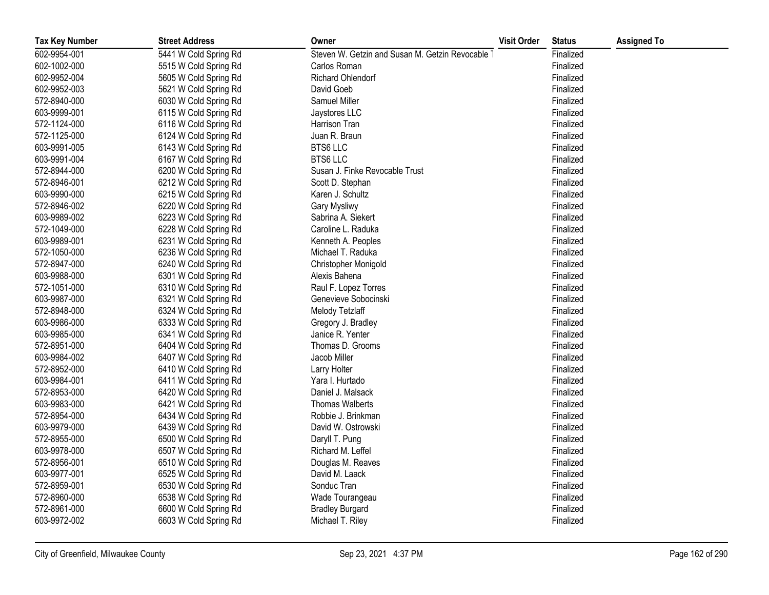| <b>Tax Key Number</b> | <b>Street Address</b> | Owner                                            | <b>Visit Order</b> | <b>Status</b> | <b>Assigned To</b> |
|-----------------------|-----------------------|--------------------------------------------------|--------------------|---------------|--------------------|
| 602-9954-001          | 5441 W Cold Spring Rd | Steven W. Getzin and Susan M. Getzin Revocable 7 |                    | Finalized     |                    |
| 602-1002-000          | 5515 W Cold Spring Rd | Carlos Roman                                     |                    | Finalized     |                    |
| 602-9952-004          | 5605 W Cold Spring Rd | Richard Ohlendorf                                |                    | Finalized     |                    |
| 602-9952-003          | 5621 W Cold Spring Rd | David Goeb                                       |                    | Finalized     |                    |
| 572-8940-000          | 6030 W Cold Spring Rd | Samuel Miller                                    |                    | Finalized     |                    |
| 603-9999-001          | 6115 W Cold Spring Rd | Jaystores LLC                                    |                    | Finalized     |                    |
| 572-1124-000          | 6116 W Cold Spring Rd | Harrison Tran                                    |                    | Finalized     |                    |
| 572-1125-000          | 6124 W Cold Spring Rd | Juan R. Braun                                    |                    | Finalized     |                    |
| 603-9991-005          | 6143 W Cold Spring Rd | <b>BTS6 LLC</b>                                  |                    | Finalized     |                    |
| 603-9991-004          | 6167 W Cold Spring Rd | <b>BTS6 LLC</b>                                  |                    | Finalized     |                    |
| 572-8944-000          | 6200 W Cold Spring Rd | Susan J. Finke Revocable Trust                   |                    | Finalized     |                    |
| 572-8946-001          | 6212 W Cold Spring Rd | Scott D. Stephan                                 |                    | Finalized     |                    |
| 603-9990-000          | 6215 W Cold Spring Rd | Karen J. Schultz                                 |                    | Finalized     |                    |
| 572-8946-002          | 6220 W Cold Spring Rd | Gary Mysliwy                                     |                    | Finalized     |                    |
| 603-9989-002          | 6223 W Cold Spring Rd | Sabrina A. Siekert                               |                    | Finalized     |                    |
| 572-1049-000          | 6228 W Cold Spring Rd | Caroline L. Raduka                               |                    | Finalized     |                    |
| 603-9989-001          | 6231 W Cold Spring Rd | Kenneth A. Peoples                               |                    | Finalized     |                    |
| 572-1050-000          | 6236 W Cold Spring Rd | Michael T. Raduka                                |                    | Finalized     |                    |
| 572-8947-000          | 6240 W Cold Spring Rd | Christopher Monigold                             |                    | Finalized     |                    |
| 603-9988-000          | 6301 W Cold Spring Rd | Alexis Bahena                                    |                    | Finalized     |                    |
| 572-1051-000          | 6310 W Cold Spring Rd | Raul F. Lopez Torres                             |                    | Finalized     |                    |
| 603-9987-000          | 6321 W Cold Spring Rd | Genevieve Sobocinski                             |                    | Finalized     |                    |
| 572-8948-000          | 6324 W Cold Spring Rd | Melody Tetzlaff                                  |                    | Finalized     |                    |
| 603-9986-000          | 6333 W Cold Spring Rd | Gregory J. Bradley                               |                    | Finalized     |                    |
| 603-9985-000          | 6341 W Cold Spring Rd | Janice R. Yenter                                 |                    | Finalized     |                    |
| 572-8951-000          | 6404 W Cold Spring Rd | Thomas D. Grooms                                 |                    | Finalized     |                    |
| 603-9984-002          | 6407 W Cold Spring Rd | Jacob Miller                                     |                    | Finalized     |                    |
| 572-8952-000          | 6410 W Cold Spring Rd | Larry Holter                                     |                    | Finalized     |                    |
| 603-9984-001          | 6411 W Cold Spring Rd | Yara I. Hurtado                                  |                    | Finalized     |                    |
| 572-8953-000          | 6420 W Cold Spring Rd | Daniel J. Malsack                                |                    | Finalized     |                    |
| 603-9983-000          | 6421 W Cold Spring Rd | <b>Thomas Walberts</b>                           |                    | Finalized     |                    |
| 572-8954-000          | 6434 W Cold Spring Rd | Robbie J. Brinkman                               |                    | Finalized     |                    |
| 603-9979-000          | 6439 W Cold Spring Rd | David W. Ostrowski                               |                    | Finalized     |                    |
| 572-8955-000          | 6500 W Cold Spring Rd | Daryll T. Pung                                   |                    | Finalized     |                    |
| 603-9978-000          | 6507 W Cold Spring Rd | Richard M. Leffel                                |                    | Finalized     |                    |
| 572-8956-001          | 6510 W Cold Spring Rd | Douglas M. Reaves                                |                    | Finalized     |                    |
| 603-9977-001          | 6525 W Cold Spring Rd | David M. Laack                                   |                    | Finalized     |                    |
| 572-8959-001          | 6530 W Cold Spring Rd | Sonduc Tran                                      |                    | Finalized     |                    |
| 572-8960-000          | 6538 W Cold Spring Rd | Wade Tourangeau                                  |                    | Finalized     |                    |
| 572-8961-000          | 6600 W Cold Spring Rd | <b>Bradley Burgard</b>                           |                    | Finalized     |                    |
| 603-9972-002          | 6603 W Cold Spring Rd | Michael T. Riley                                 |                    | Finalized     |                    |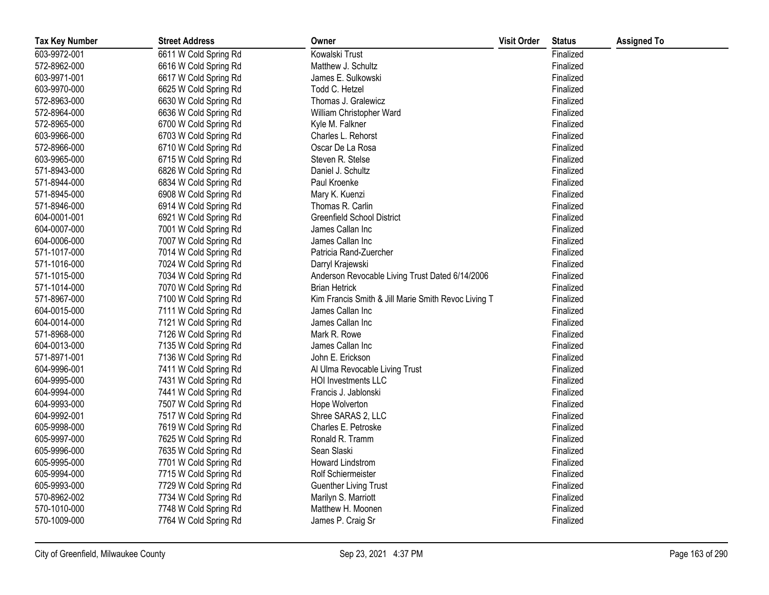| <b>Tax Key Number</b> | <b>Street Address</b> | Owner                                               | <b>Visit Order</b> | <b>Status</b> | <b>Assigned To</b> |
|-----------------------|-----------------------|-----------------------------------------------------|--------------------|---------------|--------------------|
| 603-9972-001          | 6611 W Cold Spring Rd | Kowalski Trust                                      |                    | Finalized     |                    |
| 572-8962-000          | 6616 W Cold Spring Rd | Matthew J. Schultz                                  |                    | Finalized     |                    |
| 603-9971-001          | 6617 W Cold Spring Rd | James E. Sulkowski                                  |                    | Finalized     |                    |
| 603-9970-000          | 6625 W Cold Spring Rd | Todd C. Hetzel                                      |                    | Finalized     |                    |
| 572-8963-000          | 6630 W Cold Spring Rd | Thomas J. Gralewicz                                 |                    | Finalized     |                    |
| 572-8964-000          | 6636 W Cold Spring Rd | William Christopher Ward                            |                    | Finalized     |                    |
| 572-8965-000          | 6700 W Cold Spring Rd | Kyle M. Falkner                                     |                    | Finalized     |                    |
| 603-9966-000          | 6703 W Cold Spring Rd | Charles L. Rehorst                                  |                    | Finalized     |                    |
| 572-8966-000          | 6710 W Cold Spring Rd | Oscar De La Rosa                                    |                    | Finalized     |                    |
| 603-9965-000          | 6715 W Cold Spring Rd | Steven R. Stelse                                    |                    | Finalized     |                    |
| 571-8943-000          | 6826 W Cold Spring Rd | Daniel J. Schultz                                   |                    | Finalized     |                    |
| 571-8944-000          | 6834 W Cold Spring Rd | Paul Kroenke                                        |                    | Finalized     |                    |
| 571-8945-000          | 6908 W Cold Spring Rd | Mary K. Kuenzi                                      |                    | Finalized     |                    |
| 571-8946-000          | 6914 W Cold Spring Rd | Thomas R. Carlin                                    |                    | Finalized     |                    |
| 604-0001-001          | 6921 W Cold Spring Rd | <b>Greenfield School District</b>                   |                    | Finalized     |                    |
| 604-0007-000          | 7001 W Cold Spring Rd | James Callan Inc                                    |                    | Finalized     |                    |
| 604-0006-000          | 7007 W Cold Spring Rd | James Callan Inc                                    |                    | Finalized     |                    |
| 571-1017-000          | 7014 W Cold Spring Rd | Patricia Rand-Zuercher                              |                    | Finalized     |                    |
| 571-1016-000          | 7024 W Cold Spring Rd | Darryl Krajewski                                    |                    | Finalized     |                    |
| 571-1015-000          | 7034 W Cold Spring Rd | Anderson Revocable Living Trust Dated 6/14/2006     |                    | Finalized     |                    |
| 571-1014-000          | 7070 W Cold Spring Rd | <b>Brian Hetrick</b>                                |                    | Finalized     |                    |
| 571-8967-000          | 7100 W Cold Spring Rd | Kim Francis Smith & Jill Marie Smith Revoc Living T |                    | Finalized     |                    |
| 604-0015-000          | 7111 W Cold Spring Rd | James Callan Inc                                    |                    | Finalized     |                    |
| 604-0014-000          | 7121 W Cold Spring Rd | James Callan Inc                                    |                    | Finalized     |                    |
| 571-8968-000          | 7126 W Cold Spring Rd | Mark R. Rowe                                        |                    | Finalized     |                    |
| 604-0013-000          | 7135 W Cold Spring Rd | James Callan Inc                                    |                    | Finalized     |                    |
| 571-8971-001          | 7136 W Cold Spring Rd | John E. Erickson                                    |                    | Finalized     |                    |
| 604-9996-001          | 7411 W Cold Spring Rd | Al Ulma Revocable Living Trust                      |                    | Finalized     |                    |
| 604-9995-000          | 7431 W Cold Spring Rd | <b>HOI Investments LLC</b>                          |                    | Finalized     |                    |
| 604-9994-000          | 7441 W Cold Spring Rd | Francis J. Jablonski                                |                    | Finalized     |                    |
| 604-9993-000          | 7507 W Cold Spring Rd | Hope Wolverton                                      |                    | Finalized     |                    |
| 604-9992-001          | 7517 W Cold Spring Rd | Shree SARAS 2, LLC                                  |                    | Finalized     |                    |
| 605-9998-000          | 7619 W Cold Spring Rd | Charles E. Petroske                                 |                    | Finalized     |                    |
| 605-9997-000          | 7625 W Cold Spring Rd | Ronald R. Tramm                                     |                    | Finalized     |                    |
| 605-9996-000          | 7635 W Cold Spring Rd | Sean Slaski                                         |                    | Finalized     |                    |
| 605-9995-000          | 7701 W Cold Spring Rd | Howard Lindstrom                                    |                    | Finalized     |                    |
| 605-9994-000          | 7715 W Cold Spring Rd | Rolf Schiermeister                                  |                    | Finalized     |                    |
| 605-9993-000          | 7729 W Cold Spring Rd | <b>Guenther Living Trust</b>                        |                    | Finalized     |                    |
| 570-8962-002          | 7734 W Cold Spring Rd | Marilyn S. Marriott                                 |                    | Finalized     |                    |
| 570-1010-000          | 7748 W Cold Spring Rd | Matthew H. Moonen                                   |                    | Finalized     |                    |
| 570-1009-000          | 7764 W Cold Spring Rd | James P. Craig Sr                                   |                    | Finalized     |                    |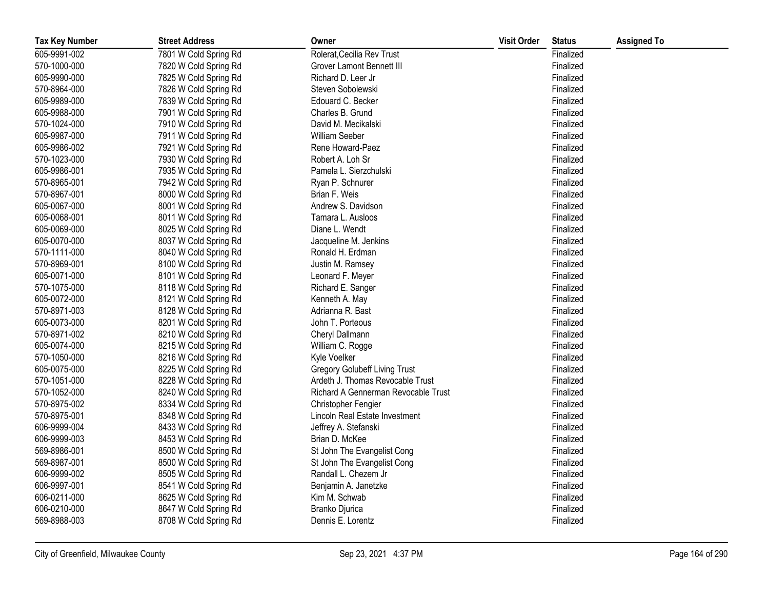| <b>Tax Key Number</b> | <b>Street Address</b> | Owner                                | <b>Visit Order</b> | <b>Status</b> | <b>Assigned To</b> |
|-----------------------|-----------------------|--------------------------------------|--------------------|---------------|--------------------|
| 605-9991-002          | 7801 W Cold Spring Rd | Rolerat, Cecilia Rev Trust           |                    | Finalized     |                    |
| 570-1000-000          | 7820 W Cold Spring Rd | Grover Lamont Bennett III            |                    | Finalized     |                    |
| 605-9990-000          | 7825 W Cold Spring Rd | Richard D. Leer Jr                   |                    | Finalized     |                    |
| 570-8964-000          | 7826 W Cold Spring Rd | Steven Sobolewski                    |                    | Finalized     |                    |
| 605-9989-000          | 7839 W Cold Spring Rd | Edouard C. Becker                    |                    | Finalized     |                    |
| 605-9988-000          | 7901 W Cold Spring Rd | Charles B. Grund                     |                    | Finalized     |                    |
| 570-1024-000          | 7910 W Cold Spring Rd | David M. Mecikalski                  |                    | Finalized     |                    |
| 605-9987-000          | 7911 W Cold Spring Rd | <b>William Seeber</b>                |                    | Finalized     |                    |
| 605-9986-002          | 7921 W Cold Spring Rd | Rene Howard-Paez                     |                    | Finalized     |                    |
| 570-1023-000          | 7930 W Cold Spring Rd | Robert A. Loh Sr                     |                    | Finalized     |                    |
| 605-9986-001          | 7935 W Cold Spring Rd | Pamela L. Sierzchulski               |                    | Finalized     |                    |
| 570-8965-001          | 7942 W Cold Spring Rd | Ryan P. Schnurer                     |                    | Finalized     |                    |
| 570-8967-001          | 8000 W Cold Spring Rd | Brian F. Weis                        |                    | Finalized     |                    |
| 605-0067-000          | 8001 W Cold Spring Rd | Andrew S. Davidson                   |                    | Finalized     |                    |
| 605-0068-001          | 8011 W Cold Spring Rd | Tamara L. Ausloos                    |                    | Finalized     |                    |
| 605-0069-000          | 8025 W Cold Spring Rd | Diane L. Wendt                       |                    | Finalized     |                    |
| 605-0070-000          | 8037 W Cold Spring Rd | Jacqueline M. Jenkins                |                    | Finalized     |                    |
| 570-1111-000          | 8040 W Cold Spring Rd | Ronald H. Erdman                     |                    | Finalized     |                    |
| 570-8969-001          | 8100 W Cold Spring Rd | Justin M. Ramsey                     |                    | Finalized     |                    |
| 605-0071-000          | 8101 W Cold Spring Rd | Leonard F. Meyer                     |                    | Finalized     |                    |
| 570-1075-000          | 8118 W Cold Spring Rd | Richard E. Sanger                    |                    | Finalized     |                    |
| 605-0072-000          | 8121 W Cold Spring Rd | Kenneth A. May                       |                    | Finalized     |                    |
| 570-8971-003          | 8128 W Cold Spring Rd | Adrianna R. Bast                     |                    | Finalized     |                    |
| 605-0073-000          | 8201 W Cold Spring Rd | John T. Porteous                     |                    | Finalized     |                    |
| 570-8971-002          | 8210 W Cold Spring Rd | Cheryl Dallmann                      |                    | Finalized     |                    |
| 605-0074-000          | 8215 W Cold Spring Rd | William C. Rogge                     |                    | Finalized     |                    |
| 570-1050-000          | 8216 W Cold Spring Rd | Kyle Voelker                         |                    | Finalized     |                    |
| 605-0075-000          | 8225 W Cold Spring Rd | <b>Gregory Golubeff Living Trust</b> |                    | Finalized     |                    |
| 570-1051-000          | 8228 W Cold Spring Rd | Ardeth J. Thomas Revocable Trust     |                    | Finalized     |                    |
| 570-1052-000          | 8240 W Cold Spring Rd | Richard A Gennerman Revocable Trust  |                    | Finalized     |                    |
| 570-8975-002          | 8334 W Cold Spring Rd | Christopher Fengier                  |                    | Finalized     |                    |
| 570-8975-001          | 8348 W Cold Spring Rd | Lincoln Real Estate Investment       |                    | Finalized     |                    |
| 606-9999-004          | 8433 W Cold Spring Rd | Jeffrey A. Stefanski                 |                    | Finalized     |                    |
| 606-9999-003          | 8453 W Cold Spring Rd | Brian D. McKee                       |                    | Finalized     |                    |
| 569-8986-001          | 8500 W Cold Spring Rd | St John The Evangelist Cong          |                    | Finalized     |                    |
| 569-8987-001          | 8500 W Cold Spring Rd | St John The Evangelist Cong          |                    | Finalized     |                    |
| 606-9999-002          | 8505 W Cold Spring Rd | Randall L. Chezem Jr                 |                    | Finalized     |                    |
| 606-9997-001          | 8541 W Cold Spring Rd | Benjamin A. Janetzke                 |                    | Finalized     |                    |
| 606-0211-000          | 8625 W Cold Spring Rd | Kim M. Schwab                        |                    | Finalized     |                    |
| 606-0210-000          | 8647 W Cold Spring Rd | Branko Djurica                       |                    | Finalized     |                    |
| 569-8988-003          | 8708 W Cold Spring Rd | Dennis E. Lorentz                    |                    | Finalized     |                    |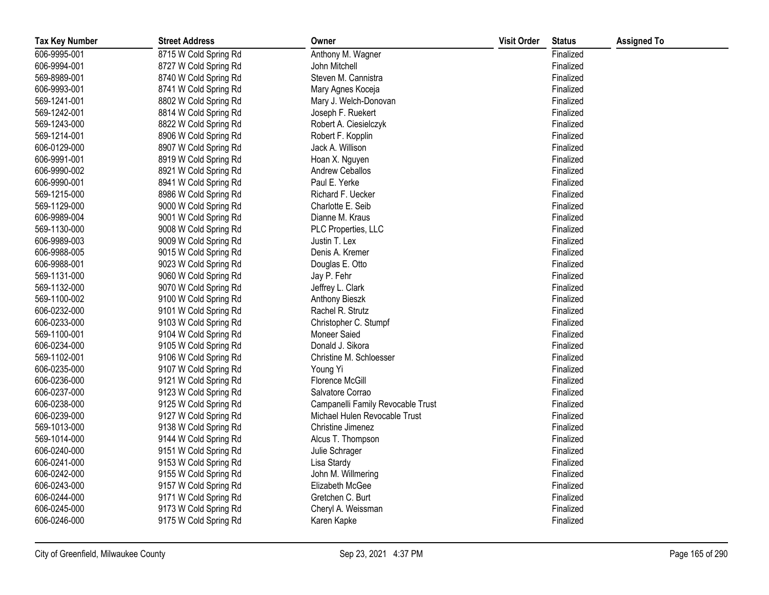| <b>Tax Key Number</b> | <b>Street Address</b> | Owner                             | <b>Visit Order</b> | <b>Status</b> | <b>Assigned To</b> |
|-----------------------|-----------------------|-----------------------------------|--------------------|---------------|--------------------|
| 606-9995-001          | 8715 W Cold Spring Rd | Anthony M. Wagner                 |                    | Finalized     |                    |
| 606-9994-001          | 8727 W Cold Spring Rd | John Mitchell                     |                    | Finalized     |                    |
| 569-8989-001          | 8740 W Cold Spring Rd | Steven M. Cannistra               |                    | Finalized     |                    |
| 606-9993-001          | 8741 W Cold Spring Rd | Mary Agnes Koceja                 |                    | Finalized     |                    |
| 569-1241-001          | 8802 W Cold Spring Rd | Mary J. Welch-Donovan             |                    | Finalized     |                    |
| 569-1242-001          | 8814 W Cold Spring Rd | Joseph F. Ruekert                 |                    | Finalized     |                    |
| 569-1243-000          | 8822 W Cold Spring Rd | Robert A. Ciesielczyk             |                    | Finalized     |                    |
| 569-1214-001          | 8906 W Cold Spring Rd | Robert F. Kopplin                 |                    | Finalized     |                    |
| 606-0129-000          | 8907 W Cold Spring Rd | Jack A. Willison                  |                    | Finalized     |                    |
| 606-9991-001          | 8919 W Cold Spring Rd | Hoan X. Nguyen                    |                    | Finalized     |                    |
| 606-9990-002          | 8921 W Cold Spring Rd | Andrew Ceballos                   |                    | Finalized     |                    |
| 606-9990-001          | 8941 W Cold Spring Rd | Paul E. Yerke                     |                    | Finalized     |                    |
| 569-1215-000          | 8986 W Cold Spring Rd | Richard F. Uecker                 |                    | Finalized     |                    |
| 569-1129-000          | 9000 W Cold Spring Rd | Charlotte E. Seib                 |                    | Finalized     |                    |
| 606-9989-004          | 9001 W Cold Spring Rd | Dianne M. Kraus                   |                    | Finalized     |                    |
| 569-1130-000          | 9008 W Cold Spring Rd | PLC Properties, LLC               |                    | Finalized     |                    |
| 606-9989-003          | 9009 W Cold Spring Rd | Justin T. Lex                     |                    | Finalized     |                    |
| 606-9988-005          | 9015 W Cold Spring Rd | Denis A. Kremer                   |                    | Finalized     |                    |
| 606-9988-001          | 9023 W Cold Spring Rd | Douglas E. Otto                   |                    | Finalized     |                    |
| 569-1131-000          | 9060 W Cold Spring Rd | Jay P. Fehr                       |                    | Finalized     |                    |
| 569-1132-000          | 9070 W Cold Spring Rd | Jeffrey L. Clark                  |                    | Finalized     |                    |
| 569-1100-002          | 9100 W Cold Spring Rd | Anthony Bieszk                    |                    | Finalized     |                    |
| 606-0232-000          | 9101 W Cold Spring Rd | Rachel R. Strutz                  |                    | Finalized     |                    |
| 606-0233-000          | 9103 W Cold Spring Rd | Christopher C. Stumpf             |                    | Finalized     |                    |
| 569-1100-001          | 9104 W Cold Spring Rd | Moneer Saied                      |                    | Finalized     |                    |
| 606-0234-000          | 9105 W Cold Spring Rd | Donald J. Sikora                  |                    | Finalized     |                    |
| 569-1102-001          | 9106 W Cold Spring Rd | Christine M. Schloesser           |                    | Finalized     |                    |
| 606-0235-000          | 9107 W Cold Spring Rd | Young Yi                          |                    | Finalized     |                    |
| 606-0236-000          | 9121 W Cold Spring Rd | <b>Florence McGill</b>            |                    | Finalized     |                    |
| 606-0237-000          | 9123 W Cold Spring Rd | Salvatore Corrao                  |                    | Finalized     |                    |
| 606-0238-000          | 9125 W Cold Spring Rd | Campanelli Family Revocable Trust |                    | Finalized     |                    |
| 606-0239-000          | 9127 W Cold Spring Rd | Michael Hulen Revocable Trust     |                    | Finalized     |                    |
| 569-1013-000          | 9138 W Cold Spring Rd | Christine Jimenez                 |                    | Finalized     |                    |
| 569-1014-000          | 9144 W Cold Spring Rd | Alcus T. Thompson                 |                    | Finalized     |                    |
| 606-0240-000          | 9151 W Cold Spring Rd | Julie Schrager                    |                    | Finalized     |                    |
| 606-0241-000          | 9153 W Cold Spring Rd | Lisa Stardy                       |                    | Finalized     |                    |
| 606-0242-000          | 9155 W Cold Spring Rd | John M. Willmering                |                    | Finalized     |                    |
| 606-0243-000          | 9157 W Cold Spring Rd | Elizabeth McGee                   |                    | Finalized     |                    |
| 606-0244-000          | 9171 W Cold Spring Rd | Gretchen C. Burt                  |                    | Finalized     |                    |
| 606-0245-000          | 9173 W Cold Spring Rd | Cheryl A. Weissman                |                    | Finalized     |                    |
| 606-0246-000          | 9175 W Cold Spring Rd | Karen Kapke                       |                    | Finalized     |                    |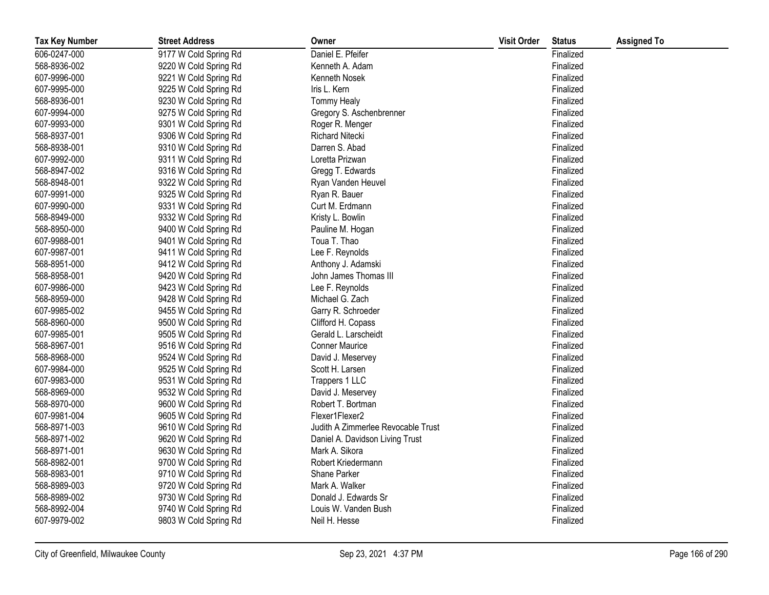| <b>Tax Key Number</b> | <b>Street Address</b> | Owner                              | <b>Visit Order</b> | <b>Status</b> | <b>Assigned To</b> |
|-----------------------|-----------------------|------------------------------------|--------------------|---------------|--------------------|
| 606-0247-000          | 9177 W Cold Spring Rd | Daniel E. Pfeifer                  |                    | Finalized     |                    |
| 568-8936-002          | 9220 W Cold Spring Rd | Kenneth A. Adam                    |                    | Finalized     |                    |
| 607-9996-000          | 9221 W Cold Spring Rd | Kenneth Nosek                      |                    | Finalized     |                    |
| 607-9995-000          | 9225 W Cold Spring Rd | Iris L. Kern                       |                    | Finalized     |                    |
| 568-8936-001          | 9230 W Cold Spring Rd | <b>Tommy Healy</b>                 |                    | Finalized     |                    |
| 607-9994-000          | 9275 W Cold Spring Rd | Gregory S. Aschenbrenner           |                    | Finalized     |                    |
| 607-9993-000          | 9301 W Cold Spring Rd | Roger R. Menger                    |                    | Finalized     |                    |
| 568-8937-001          | 9306 W Cold Spring Rd | <b>Richard Nitecki</b>             |                    | Finalized     |                    |
| 568-8938-001          | 9310 W Cold Spring Rd | Darren S. Abad                     |                    | Finalized     |                    |
| 607-9992-000          | 9311 W Cold Spring Rd | Loretta Prizwan                    |                    | Finalized     |                    |
| 568-8947-002          | 9316 W Cold Spring Rd | Gregg T. Edwards                   |                    | Finalized     |                    |
| 568-8948-001          | 9322 W Cold Spring Rd | Ryan Vanden Heuvel                 |                    | Finalized     |                    |
| 607-9991-000          | 9325 W Cold Spring Rd | Ryan R. Bauer                      |                    | Finalized     |                    |
| 607-9990-000          | 9331 W Cold Spring Rd | Curt M. Erdmann                    |                    | Finalized     |                    |
| 568-8949-000          | 9332 W Cold Spring Rd | Kristy L. Bowlin                   |                    | Finalized     |                    |
| 568-8950-000          | 9400 W Cold Spring Rd | Pauline M. Hogan                   |                    | Finalized     |                    |
| 607-9988-001          | 9401 W Cold Spring Rd | Toua T. Thao                       |                    | Finalized     |                    |
| 607-9987-001          | 9411 W Cold Spring Rd | Lee F. Reynolds                    |                    | Finalized     |                    |
| 568-8951-000          | 9412 W Cold Spring Rd | Anthony J. Adamski                 |                    | Finalized     |                    |
| 568-8958-001          | 9420 W Cold Spring Rd | John James Thomas III              |                    | Finalized     |                    |
| 607-9986-000          | 9423 W Cold Spring Rd | Lee F. Reynolds                    |                    | Finalized     |                    |
| 568-8959-000          | 9428 W Cold Spring Rd | Michael G. Zach                    |                    | Finalized     |                    |
| 607-9985-002          | 9455 W Cold Spring Rd | Garry R. Schroeder                 |                    | Finalized     |                    |
| 568-8960-000          | 9500 W Cold Spring Rd | Clifford H. Copass                 |                    | Finalized     |                    |
| 607-9985-001          | 9505 W Cold Spring Rd | Gerald L. Larscheidt               |                    | Finalized     |                    |
| 568-8967-001          | 9516 W Cold Spring Rd | <b>Conner Maurice</b>              |                    | Finalized     |                    |
| 568-8968-000          | 9524 W Cold Spring Rd | David J. Meservey                  |                    | Finalized     |                    |
| 607-9984-000          | 9525 W Cold Spring Rd | Scott H. Larsen                    |                    | Finalized     |                    |
| 607-9983-000          | 9531 W Cold Spring Rd | Trappers 1 LLC                     |                    | Finalized     |                    |
| 568-8969-000          | 9532 W Cold Spring Rd | David J. Meservey                  |                    | Finalized     |                    |
| 568-8970-000          | 9600 W Cold Spring Rd | Robert T. Bortman                  |                    | Finalized     |                    |
| 607-9981-004          | 9605 W Cold Spring Rd | Flexer1Flexer2                     |                    | Finalized     |                    |
| 568-8971-003          | 9610 W Cold Spring Rd | Judith A Zimmerlee Revocable Trust |                    | Finalized     |                    |
| 568-8971-002          | 9620 W Cold Spring Rd | Daniel A. Davidson Living Trust    |                    | Finalized     |                    |
| 568-8971-001          | 9630 W Cold Spring Rd | Mark A. Sikora                     |                    | Finalized     |                    |
| 568-8982-001          | 9700 W Cold Spring Rd | Robert Kriedermann                 |                    | Finalized     |                    |
| 568-8983-001          | 9710 W Cold Spring Rd | Shane Parker                       |                    | Finalized     |                    |
| 568-8989-003          | 9720 W Cold Spring Rd | Mark A. Walker                     |                    | Finalized     |                    |
| 568-8989-002          | 9730 W Cold Spring Rd | Donald J. Edwards Sr               |                    | Finalized     |                    |
| 568-8992-004          | 9740 W Cold Spring Rd | Louis W. Vanden Bush               |                    | Finalized     |                    |
| 607-9979-002          | 9803 W Cold Spring Rd | Neil H. Hesse                      |                    | Finalized     |                    |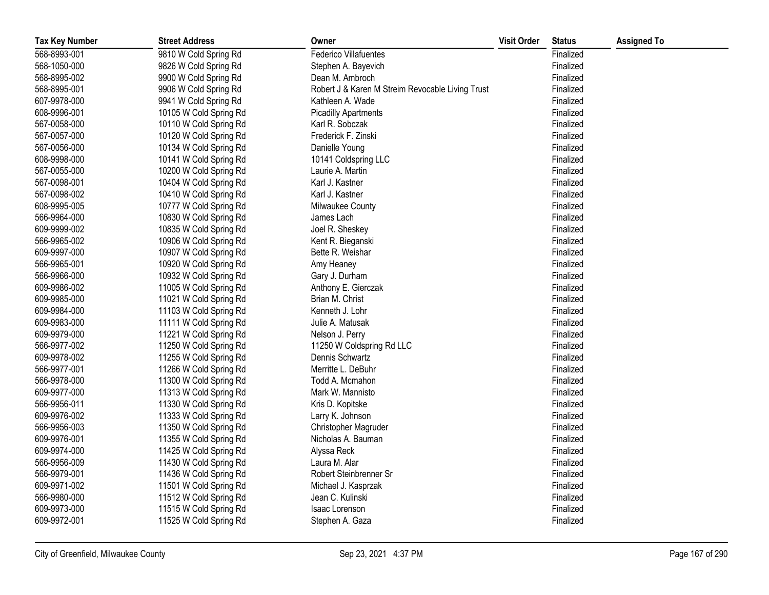| <b>Tax Key Number</b> | <b>Street Address</b>  | Owner                                            | <b>Visit Order</b> | <b>Status</b> | <b>Assigned To</b> |
|-----------------------|------------------------|--------------------------------------------------|--------------------|---------------|--------------------|
| 568-8993-001          | 9810 W Cold Spring Rd  | <b>Federico Villafuentes</b>                     |                    | Finalized     |                    |
| 568-1050-000          | 9826 W Cold Spring Rd  | Stephen A. Bayevich                              |                    | Finalized     |                    |
| 568-8995-002          | 9900 W Cold Spring Rd  | Dean M. Ambroch                                  |                    | Finalized     |                    |
| 568-8995-001          | 9906 W Cold Spring Rd  | Robert J & Karen M Streim Revocable Living Trust |                    | Finalized     |                    |
| 607-9978-000          | 9941 W Cold Spring Rd  | Kathleen A. Wade                                 |                    | Finalized     |                    |
| 608-9996-001          | 10105 W Cold Spring Rd | <b>Picadilly Apartments</b>                      |                    | Finalized     |                    |
| 567-0058-000          | 10110 W Cold Spring Rd | Karl R. Sobczak                                  |                    | Finalized     |                    |
| 567-0057-000          | 10120 W Cold Spring Rd | Frederick F. Zinski                              |                    | Finalized     |                    |
| 567-0056-000          | 10134 W Cold Spring Rd | Danielle Young                                   |                    | Finalized     |                    |
| 608-9998-000          | 10141 W Cold Spring Rd | 10141 Coldspring LLC                             |                    | Finalized     |                    |
| 567-0055-000          | 10200 W Cold Spring Rd | Laurie A. Martin                                 |                    | Finalized     |                    |
| 567-0098-001          | 10404 W Cold Spring Rd | Karl J. Kastner                                  |                    | Finalized     |                    |
| 567-0098-002          | 10410 W Cold Spring Rd | Karl J. Kastner                                  |                    | Finalized     |                    |
| 608-9995-005          | 10777 W Cold Spring Rd | Milwaukee County                                 |                    | Finalized     |                    |
| 566-9964-000          | 10830 W Cold Spring Rd | James Lach                                       |                    | Finalized     |                    |
| 609-9999-002          | 10835 W Cold Spring Rd | Joel R. Sheskey                                  |                    | Finalized     |                    |
| 566-9965-002          | 10906 W Cold Spring Rd | Kent R. Bieganski                                |                    | Finalized     |                    |
| 609-9997-000          | 10907 W Cold Spring Rd | Bette R. Weishar                                 |                    | Finalized     |                    |
| 566-9965-001          | 10920 W Cold Spring Rd | Amy Heaney                                       |                    | Finalized     |                    |
| 566-9966-000          | 10932 W Cold Spring Rd | Gary J. Durham                                   |                    | Finalized     |                    |
| 609-9986-002          | 11005 W Cold Spring Rd | Anthony E. Gierczak                              |                    | Finalized     |                    |
| 609-9985-000          | 11021 W Cold Spring Rd | Brian M. Christ                                  |                    | Finalized     |                    |
| 609-9984-000          | 11103 W Cold Spring Rd | Kenneth J. Lohr                                  |                    | Finalized     |                    |
| 609-9983-000          | 11111 W Cold Spring Rd | Julie A. Matusak                                 |                    | Finalized     |                    |
| 609-9979-000          | 11221 W Cold Spring Rd | Nelson J. Perry                                  |                    | Finalized     |                    |
| 566-9977-002          | 11250 W Cold Spring Rd | 11250 W Coldspring Rd LLC                        |                    | Finalized     |                    |
| 609-9978-002          | 11255 W Cold Spring Rd | Dennis Schwartz                                  |                    | Finalized     |                    |
| 566-9977-001          | 11266 W Cold Spring Rd | Merritte L. DeBuhr                               |                    | Finalized     |                    |
| 566-9978-000          | 11300 W Cold Spring Rd | Todd A. Mcmahon                                  |                    | Finalized     |                    |
| 609-9977-000          | 11313 W Cold Spring Rd | Mark W. Mannisto                                 |                    | Finalized     |                    |
| 566-9956-011          | 11330 W Cold Spring Rd | Kris D. Kopitske                                 |                    | Finalized     |                    |
| 609-9976-002          | 11333 W Cold Spring Rd | Larry K. Johnson                                 |                    | Finalized     |                    |
| 566-9956-003          | 11350 W Cold Spring Rd | Christopher Magruder                             |                    | Finalized     |                    |
| 609-9976-001          | 11355 W Cold Spring Rd | Nicholas A. Bauman                               |                    | Finalized     |                    |
| 609-9974-000          | 11425 W Cold Spring Rd | Alyssa Reck                                      |                    | Finalized     |                    |
| 566-9956-009          | 11430 W Cold Spring Rd | Laura M. Alar                                    |                    | Finalized     |                    |
| 566-9979-001          | 11436 W Cold Spring Rd | Robert Steinbrenner Sr                           |                    | Finalized     |                    |
| 609-9971-002          | 11501 W Cold Spring Rd | Michael J. Kasprzak                              |                    | Finalized     |                    |
| 566-9980-000          | 11512 W Cold Spring Rd | Jean C. Kulinski                                 |                    | Finalized     |                    |
| 609-9973-000          | 11515 W Cold Spring Rd | <b>Isaac Lorenson</b>                            |                    | Finalized     |                    |
| 609-9972-001          | 11525 W Cold Spring Rd | Stephen A. Gaza                                  |                    | Finalized     |                    |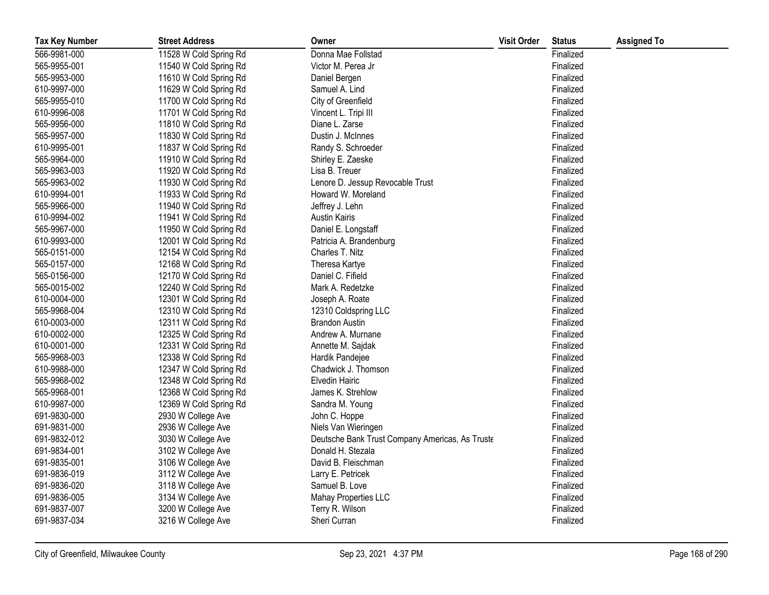| <b>Tax Key Number</b> | <b>Street Address</b>  | Owner                                           | <b>Visit Order</b> | <b>Status</b> | <b>Assigned To</b> |
|-----------------------|------------------------|-------------------------------------------------|--------------------|---------------|--------------------|
| 566-9981-000          | 11528 W Cold Spring Rd | Donna Mae Follstad                              |                    | Finalized     |                    |
| 565-9955-001          | 11540 W Cold Spring Rd | Victor M. Perea Jr                              |                    | Finalized     |                    |
| 565-9953-000          | 11610 W Cold Spring Rd | Daniel Bergen                                   |                    | Finalized     |                    |
| 610-9997-000          | 11629 W Cold Spring Rd | Samuel A. Lind                                  |                    | Finalized     |                    |
| 565-9955-010          | 11700 W Cold Spring Rd | City of Greenfield                              |                    | Finalized     |                    |
| 610-9996-008          | 11701 W Cold Spring Rd | Vincent L. Tripi III                            |                    | Finalized     |                    |
| 565-9956-000          | 11810 W Cold Spring Rd | Diane L. Zarse                                  |                    | Finalized     |                    |
| 565-9957-000          | 11830 W Cold Spring Rd | Dustin J. McInnes                               |                    | Finalized     |                    |
| 610-9995-001          | 11837 W Cold Spring Rd | Randy S. Schroeder                              |                    | Finalized     |                    |
| 565-9964-000          | 11910 W Cold Spring Rd | Shirley E. Zaeske                               |                    | Finalized     |                    |
| 565-9963-003          | 11920 W Cold Spring Rd | Lisa B. Treuer                                  |                    | Finalized     |                    |
| 565-9963-002          | 11930 W Cold Spring Rd | Lenore D. Jessup Revocable Trust                |                    | Finalized     |                    |
| 610-9994-001          | 11933 W Cold Spring Rd | Howard W. Moreland                              |                    | Finalized     |                    |
| 565-9966-000          | 11940 W Cold Spring Rd | Jeffrey J. Lehn                                 |                    | Finalized     |                    |
| 610-9994-002          | 11941 W Cold Spring Rd | <b>Austin Kairis</b>                            |                    | Finalized     |                    |
| 565-9967-000          | 11950 W Cold Spring Rd | Daniel E. Longstaff                             |                    | Finalized     |                    |
| 610-9993-000          | 12001 W Cold Spring Rd | Patricia A. Brandenburg                         |                    | Finalized     |                    |
| 565-0151-000          | 12154 W Cold Spring Rd | Charles T. Nitz                                 |                    | Finalized     |                    |
| 565-0157-000          | 12168 W Cold Spring Rd | Theresa Kartye                                  |                    | Finalized     |                    |
| 565-0156-000          | 12170 W Cold Spring Rd | Daniel C. Fifield                               |                    | Finalized     |                    |
| 565-0015-002          | 12240 W Cold Spring Rd | Mark A. Redetzke                                |                    | Finalized     |                    |
| 610-0004-000          | 12301 W Cold Spring Rd | Joseph A. Roate                                 |                    | Finalized     |                    |
| 565-9968-004          | 12310 W Cold Spring Rd | 12310 Coldspring LLC                            |                    | Finalized     |                    |
| 610-0003-000          | 12311 W Cold Spring Rd | <b>Brandon Austin</b>                           |                    | Finalized     |                    |
| 610-0002-000          | 12325 W Cold Spring Rd | Andrew A. Murnane                               |                    | Finalized     |                    |
| 610-0001-000          | 12331 W Cold Spring Rd | Annette M. Sajdak                               |                    | Finalized     |                    |
| 565-9968-003          | 12338 W Cold Spring Rd | Hardik Pandejee                                 |                    | Finalized     |                    |
| 610-9988-000          | 12347 W Cold Spring Rd | Chadwick J. Thomson                             |                    | Finalized     |                    |
| 565-9968-002          | 12348 W Cold Spring Rd | <b>Elvedin Hairic</b>                           |                    | Finalized     |                    |
| 565-9968-001          | 12368 W Cold Spring Rd | James K. Strehlow                               |                    | Finalized     |                    |
| 610-9987-000          | 12369 W Cold Spring Rd | Sandra M. Young                                 |                    | Finalized     |                    |
| 691-9830-000          | 2930 W College Ave     | John C. Hoppe                                   |                    | Finalized     |                    |
| 691-9831-000          | 2936 W College Ave     | Niels Van Wieringen                             |                    | Finalized     |                    |
| 691-9832-012          | 3030 W College Ave     | Deutsche Bank Trust Company Americas, As Truste |                    | Finalized     |                    |
| 691-9834-001          | 3102 W College Ave     | Donald H. Stezala                               |                    | Finalized     |                    |
| 691-9835-001          | 3106 W College Ave     | David B. Fleischman                             |                    | Finalized     |                    |
| 691-9836-019          | 3112 W College Ave     | Larry E. Petricek                               |                    | Finalized     |                    |
| 691-9836-020          | 3118 W College Ave     | Samuel B. Love                                  |                    | Finalized     |                    |
| 691-9836-005          | 3134 W College Ave     | Mahay Properties LLC                            |                    | Finalized     |                    |
| 691-9837-007          | 3200 W College Ave     | Terry R. Wilson                                 |                    | Finalized     |                    |
| 691-9837-034          | 3216 W College Ave     | Sheri Curran                                    |                    | Finalized     |                    |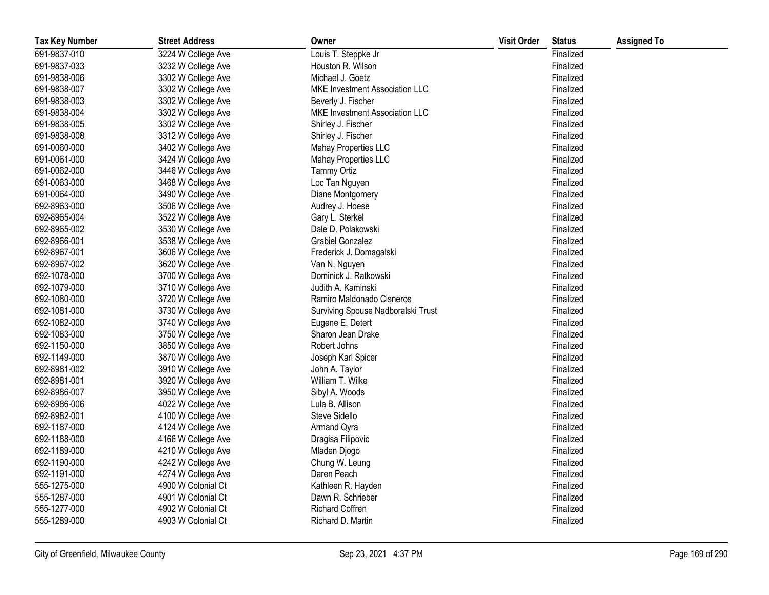| <b>Tax Key Number</b> | <b>Street Address</b> | Owner                                 | <b>Visit Order</b> | <b>Status</b> | <b>Assigned To</b> |
|-----------------------|-----------------------|---------------------------------------|--------------------|---------------|--------------------|
| 691-9837-010          | 3224 W College Ave    | Louis T. Steppke Jr                   |                    | Finalized     |                    |
| 691-9837-033          | 3232 W College Ave    | Houston R. Wilson                     |                    | Finalized     |                    |
| 691-9838-006          | 3302 W College Ave    | Michael J. Goetz                      |                    | Finalized     |                    |
| 691-9838-007          | 3302 W College Ave    | <b>MKE Investment Association LLC</b> |                    | Finalized     |                    |
| 691-9838-003          | 3302 W College Ave    | Beverly J. Fischer                    |                    | Finalized     |                    |
| 691-9838-004          | 3302 W College Ave    | <b>MKE Investment Association LLC</b> |                    | Finalized     |                    |
| 691-9838-005          | 3302 W College Ave    | Shirley J. Fischer                    |                    | Finalized     |                    |
| 691-9838-008          | 3312 W College Ave    | Shirley J. Fischer                    |                    | Finalized     |                    |
| 691-0060-000          | 3402 W College Ave    | Mahay Properties LLC                  |                    | Finalized     |                    |
| 691-0061-000          | 3424 W College Ave    | Mahay Properties LLC                  |                    | Finalized     |                    |
| 691-0062-000          | 3446 W College Ave    | <b>Tammy Ortiz</b>                    |                    | Finalized     |                    |
| 691-0063-000          | 3468 W College Ave    | Loc Tan Nguyen                        |                    | Finalized     |                    |
| 691-0064-000          | 3490 W College Ave    | Diane Montgomery                      |                    | Finalized     |                    |
| 692-8963-000          | 3506 W College Ave    | Audrey J. Hoese                       |                    | Finalized     |                    |
| 692-8965-004          | 3522 W College Ave    | Gary L. Sterkel                       |                    | Finalized     |                    |
| 692-8965-002          | 3530 W College Ave    | Dale D. Polakowski                    |                    | Finalized     |                    |
| 692-8966-001          | 3538 W College Ave    | <b>Grabiel Gonzalez</b>               |                    | Finalized     |                    |
| 692-8967-001          | 3606 W College Ave    | Frederick J. Domagalski               |                    | Finalized     |                    |
| 692-8967-002          | 3620 W College Ave    | Van N. Nguyen                         |                    | Finalized     |                    |
| 692-1078-000          | 3700 W College Ave    | Dominick J. Ratkowski                 |                    | Finalized     |                    |
| 692-1079-000          | 3710 W College Ave    | Judith A. Kaminski                    |                    | Finalized     |                    |
| 692-1080-000          | 3720 W College Ave    | Ramiro Maldonado Cisneros             |                    | Finalized     |                    |
| 692-1081-000          | 3730 W College Ave    | Surviving Spouse Nadboralski Trust    |                    | Finalized     |                    |
| 692-1082-000          | 3740 W College Ave    | Eugene E. Detert                      |                    | Finalized     |                    |
| 692-1083-000          | 3750 W College Ave    | Sharon Jean Drake                     |                    | Finalized     |                    |
| 692-1150-000          | 3850 W College Ave    | Robert Johns                          |                    | Finalized     |                    |
| 692-1149-000          | 3870 W College Ave    | Joseph Karl Spicer                    |                    | Finalized     |                    |
| 692-8981-002          | 3910 W College Ave    | John A. Taylor                        |                    | Finalized     |                    |
| 692-8981-001          | 3920 W College Ave    | William T. Wilke                      |                    | Finalized     |                    |
| 692-8986-007          | 3950 W College Ave    | Sibyl A. Woods                        |                    | Finalized     |                    |
| 692-8986-006          | 4022 W College Ave    | Lula B. Allison                       |                    | Finalized     |                    |
| 692-8982-001          | 4100 W College Ave    | Steve Sidello                         |                    | Finalized     |                    |
| 692-1187-000          | 4124 W College Ave    | Armand Qyra                           |                    | Finalized     |                    |
| 692-1188-000          | 4166 W College Ave    | Dragisa Filipovic                     |                    | Finalized     |                    |
| 692-1189-000          | 4210 W College Ave    | Mladen Djogo                          |                    | Finalized     |                    |
| 692-1190-000          | 4242 W College Ave    | Chung W. Leung                        |                    | Finalized     |                    |
| 692-1191-000          | 4274 W College Ave    | Daren Peach                           |                    | Finalized     |                    |
| 555-1275-000          | 4900 W Colonial Ct    | Kathleen R. Hayden                    |                    | Finalized     |                    |
| 555-1287-000          | 4901 W Colonial Ct    | Dawn R. Schrieber                     |                    | Finalized     |                    |
| 555-1277-000          | 4902 W Colonial Ct    | <b>Richard Coffren</b>                |                    | Finalized     |                    |
| 555-1289-000          | 4903 W Colonial Ct    | Richard D. Martin                     |                    | Finalized     |                    |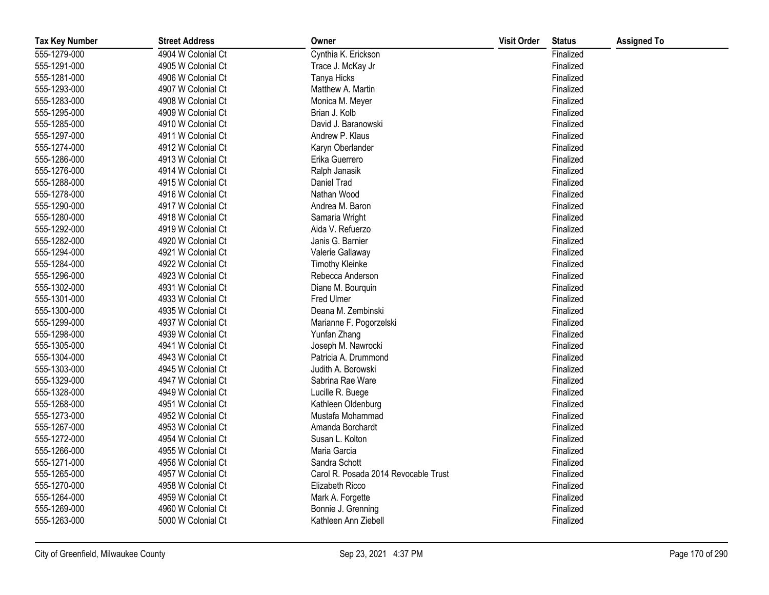| <b>Tax Key Number</b> | <b>Street Address</b> | Owner                                | <b>Visit Order</b> | <b>Status</b> | <b>Assigned To</b> |
|-----------------------|-----------------------|--------------------------------------|--------------------|---------------|--------------------|
| 555-1279-000          | 4904 W Colonial Ct    | Cynthia K. Erickson                  |                    | Finalized     |                    |
| 555-1291-000          | 4905 W Colonial Ct    | Trace J. McKay Jr                    |                    | Finalized     |                    |
| 555-1281-000          | 4906 W Colonial Ct    | Tanya Hicks                          |                    | Finalized     |                    |
| 555-1293-000          | 4907 W Colonial Ct    | Matthew A. Martin                    |                    | Finalized     |                    |
| 555-1283-000          | 4908 W Colonial Ct    | Monica M. Meyer                      |                    | Finalized     |                    |
| 555-1295-000          | 4909 W Colonial Ct    | Brian J. Kolb                        |                    | Finalized     |                    |
| 555-1285-000          | 4910 W Colonial Ct    | David J. Baranowski                  |                    | Finalized     |                    |
| 555-1297-000          | 4911 W Colonial Ct    | Andrew P. Klaus                      |                    | Finalized     |                    |
| 555-1274-000          | 4912 W Colonial Ct    | Karyn Oberlander                     |                    | Finalized     |                    |
| 555-1286-000          | 4913 W Colonial Ct    | Erika Guerrero                       |                    | Finalized     |                    |
| 555-1276-000          | 4914 W Colonial Ct    | Ralph Janasik                        |                    | Finalized     |                    |
| 555-1288-000          | 4915 W Colonial Ct    | Daniel Trad                          |                    | Finalized     |                    |
| 555-1278-000          | 4916 W Colonial Ct    | Nathan Wood                          |                    | Finalized     |                    |
| 555-1290-000          | 4917 W Colonial Ct    | Andrea M. Baron                      |                    | Finalized     |                    |
| 555-1280-000          | 4918 W Colonial Ct    | Samaria Wright                       |                    | Finalized     |                    |
| 555-1292-000          | 4919 W Colonial Ct    | Aida V. Refuerzo                     |                    | Finalized     |                    |
| 555-1282-000          | 4920 W Colonial Ct    | Janis G. Barnier                     |                    | Finalized     |                    |
| 555-1294-000          | 4921 W Colonial Ct    | Valerie Gallaway                     |                    | Finalized     |                    |
| 555-1284-000          | 4922 W Colonial Ct    | <b>Timothy Kleinke</b>               |                    | Finalized     |                    |
| 555-1296-000          | 4923 W Colonial Ct    | Rebecca Anderson                     |                    | Finalized     |                    |
| 555-1302-000          | 4931 W Colonial Ct    | Diane M. Bourquin                    |                    | Finalized     |                    |
| 555-1301-000          | 4933 W Colonial Ct    | Fred Ulmer                           |                    | Finalized     |                    |
| 555-1300-000          | 4935 W Colonial Ct    | Deana M. Zembinski                   |                    | Finalized     |                    |
| 555-1299-000          | 4937 W Colonial Ct    | Marianne F. Pogorzelski              |                    | Finalized     |                    |
| 555-1298-000          | 4939 W Colonial Ct    | Yunfan Zhang                         |                    | Finalized     |                    |
| 555-1305-000          | 4941 W Colonial Ct    | Joseph M. Nawrocki                   |                    | Finalized     |                    |
| 555-1304-000          | 4943 W Colonial Ct    | Patricia A. Drummond                 |                    | Finalized     |                    |
| 555-1303-000          | 4945 W Colonial Ct    | Judith A. Borowski                   |                    | Finalized     |                    |
| 555-1329-000          | 4947 W Colonial Ct    | Sabrina Rae Ware                     |                    | Finalized     |                    |
| 555-1328-000          | 4949 W Colonial Ct    | Lucille R. Buege                     |                    | Finalized     |                    |
| 555-1268-000          | 4951 W Colonial Ct    | Kathleen Oldenburg                   |                    | Finalized     |                    |
| 555-1273-000          | 4952 W Colonial Ct    | Mustafa Mohammad                     |                    | Finalized     |                    |
| 555-1267-000          | 4953 W Colonial Ct    | Amanda Borchardt                     |                    | Finalized     |                    |
| 555-1272-000          | 4954 W Colonial Ct    | Susan L. Kolton                      |                    | Finalized     |                    |
| 555-1266-000          | 4955 W Colonial Ct    | Maria Garcia                         |                    | Finalized     |                    |
| 555-1271-000          | 4956 W Colonial Ct    | Sandra Schott                        |                    | Finalized     |                    |
| 555-1265-000          | 4957 W Colonial Ct    | Carol R. Posada 2014 Revocable Trust |                    | Finalized     |                    |
| 555-1270-000          | 4958 W Colonial Ct    | Elizabeth Ricco                      |                    | Finalized     |                    |
| 555-1264-000          | 4959 W Colonial Ct    | Mark A. Forgette                     |                    | Finalized     |                    |
| 555-1269-000          | 4960 W Colonial Ct    | Bonnie J. Grenning                   |                    | Finalized     |                    |
| 555-1263-000          | 5000 W Colonial Ct    | Kathleen Ann Ziebell                 |                    | Finalized     |                    |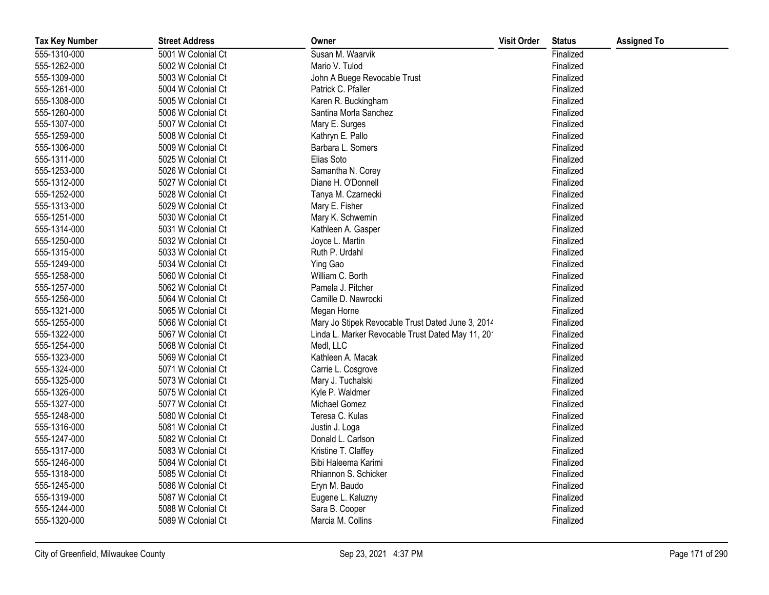| <b>Tax Key Number</b> | <b>Street Address</b> | Owner                                             | <b>Visit Order</b> | <b>Status</b> | <b>Assigned To</b> |
|-----------------------|-----------------------|---------------------------------------------------|--------------------|---------------|--------------------|
| 555-1310-000          | 5001 W Colonial Ct    | Susan M. Waarvik                                  |                    | Finalized     |                    |
| 555-1262-000          | 5002 W Colonial Ct    | Mario V. Tulod                                    |                    | Finalized     |                    |
| 555-1309-000          | 5003 W Colonial Ct    | John A Buege Revocable Trust                      |                    | Finalized     |                    |
| 555-1261-000          | 5004 W Colonial Ct    | Patrick C. Pfaller                                |                    | Finalized     |                    |
| 555-1308-000          | 5005 W Colonial Ct    | Karen R. Buckingham                               |                    | Finalized     |                    |
| 555-1260-000          | 5006 W Colonial Ct    | Santina Morla Sanchez                             |                    | Finalized     |                    |
| 555-1307-000          | 5007 W Colonial Ct    | Mary E. Surges                                    |                    | Finalized     |                    |
| 555-1259-000          | 5008 W Colonial Ct    | Kathryn E. Pallo                                  |                    | Finalized     |                    |
| 555-1306-000          | 5009 W Colonial Ct    | Barbara L. Somers                                 |                    | Finalized     |                    |
| 555-1311-000          | 5025 W Colonial Ct    | Elias Soto                                        |                    | Finalized     |                    |
| 555-1253-000          | 5026 W Colonial Ct    | Samantha N. Corey                                 |                    | Finalized     |                    |
| 555-1312-000          | 5027 W Colonial Ct    | Diane H. O'Donnell                                |                    | Finalized     |                    |
| 555-1252-000          | 5028 W Colonial Ct    | Tanya M. Czarnecki                                |                    | Finalized     |                    |
| 555-1313-000          | 5029 W Colonial Ct    | Mary E. Fisher                                    |                    | Finalized     |                    |
| 555-1251-000          | 5030 W Colonial Ct    | Mary K. Schwemin                                  |                    | Finalized     |                    |
| 555-1314-000          | 5031 W Colonial Ct    | Kathleen A. Gasper                                |                    | Finalized     |                    |
| 555-1250-000          | 5032 W Colonial Ct    | Joyce L. Martin                                   |                    | Finalized     |                    |
| 555-1315-000          | 5033 W Colonial Ct    | Ruth P. Urdahl                                    |                    | Finalized     |                    |
| 555-1249-000          | 5034 W Colonial Ct    | Ying Gao                                          |                    | Finalized     |                    |
| 555-1258-000          | 5060 W Colonial Ct    | William C. Borth                                  |                    | Finalized     |                    |
| 555-1257-000          | 5062 W Colonial Ct    | Pamela J. Pitcher                                 |                    | Finalized     |                    |
| 555-1256-000          | 5064 W Colonial Ct    | Camille D. Nawrocki                               |                    | Finalized     |                    |
| 555-1321-000          | 5065 W Colonial Ct    | Megan Horne                                       |                    | Finalized     |                    |
| 555-1255-000          | 5066 W Colonial Ct    | Mary Jo Stipek Revocable Trust Dated June 3, 2014 |                    | Finalized     |                    |
| 555-1322-000          | 5067 W Colonial Ct    | Linda L. Marker Revocable Trust Dated May 11, 201 |                    | Finalized     |                    |
| 555-1254-000          | 5068 W Colonial Ct    | Medl, LLC                                         |                    | Finalized     |                    |
| 555-1323-000          | 5069 W Colonial Ct    | Kathleen A. Macak                                 |                    | Finalized     |                    |
| 555-1324-000          | 5071 W Colonial Ct    | Carrie L. Cosgrove                                |                    | Finalized     |                    |
| 555-1325-000          | 5073 W Colonial Ct    | Mary J. Tuchalski                                 |                    | Finalized     |                    |
| 555-1326-000          | 5075 W Colonial Ct    | Kyle P. Waldmer                                   |                    | Finalized     |                    |
| 555-1327-000          | 5077 W Colonial Ct    | Michael Gomez                                     |                    | Finalized     |                    |
| 555-1248-000          | 5080 W Colonial Ct    | Teresa C. Kulas                                   |                    | Finalized     |                    |
| 555-1316-000          | 5081 W Colonial Ct    | Justin J. Loga                                    |                    | Finalized     |                    |
| 555-1247-000          | 5082 W Colonial Ct    | Donald L. Carlson                                 |                    | Finalized     |                    |
| 555-1317-000          | 5083 W Colonial Ct    | Kristine T. Claffey                               |                    | Finalized     |                    |
| 555-1246-000          | 5084 W Colonial Ct    | Bibi Haleema Karimi                               |                    | Finalized     |                    |
| 555-1318-000          | 5085 W Colonial Ct    | Rhiannon S. Schicker                              |                    | Finalized     |                    |
| 555-1245-000          | 5086 W Colonial Ct    | Eryn M. Baudo                                     |                    | Finalized     |                    |
| 555-1319-000          | 5087 W Colonial Ct    | Eugene L. Kaluzny                                 |                    | Finalized     |                    |
| 555-1244-000          | 5088 W Colonial Ct    | Sara B. Cooper                                    |                    | Finalized     |                    |
| 555-1320-000          | 5089 W Colonial Ct    | Marcia M. Collins                                 |                    | Finalized     |                    |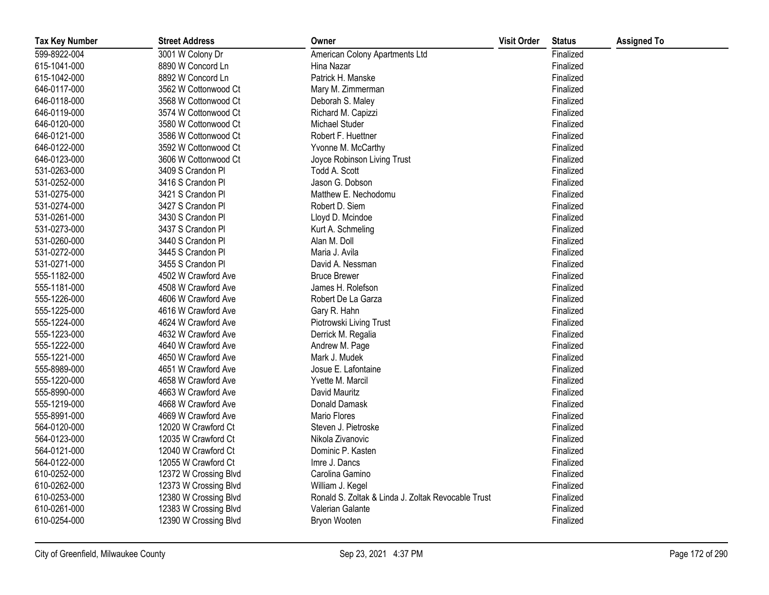| <b>Tax Key Number</b> | <b>Street Address</b> | Owner                                              | <b>Visit Order</b> | <b>Status</b> | <b>Assigned To</b> |
|-----------------------|-----------------------|----------------------------------------------------|--------------------|---------------|--------------------|
| 599-8922-004          | 3001 W Colony Dr      | American Colony Apartments Ltd                     |                    | Finalized     |                    |
| 615-1041-000          | 8890 W Concord Ln     | Hina Nazar                                         |                    | Finalized     |                    |
| 615-1042-000          | 8892 W Concord Ln     | Patrick H. Manske                                  |                    | Finalized     |                    |
| 646-0117-000          | 3562 W Cottonwood Ct  | Mary M. Zimmerman                                  |                    | Finalized     |                    |
| 646-0118-000          | 3568 W Cottonwood Ct  | Deborah S. Maley                                   |                    | Finalized     |                    |
| 646-0119-000          | 3574 W Cottonwood Ct  | Richard M. Capizzi                                 |                    | Finalized     |                    |
| 646-0120-000          | 3580 W Cottonwood Ct  | Michael Studer                                     |                    | Finalized     |                    |
| 646-0121-000          | 3586 W Cottonwood Ct  | Robert F. Huettner                                 |                    | Finalized     |                    |
| 646-0122-000          | 3592 W Cottonwood Ct  | Yvonne M. McCarthy                                 |                    | Finalized     |                    |
| 646-0123-000          | 3606 W Cottonwood Ct  | Joyce Robinson Living Trust                        |                    | Finalized     |                    |
| 531-0263-000          | 3409 S Crandon Pl     | Todd A. Scott                                      |                    | Finalized     |                    |
| 531-0252-000          | 3416 S Crandon Pl     | Jason G. Dobson                                    |                    | Finalized     |                    |
| 531-0275-000          | 3421 S Crandon Pl     | Matthew E. Nechodomu                               |                    | Finalized     |                    |
| 531-0274-000          | 3427 S Crandon Pl     | Robert D. Siem                                     |                    | Finalized     |                    |
| 531-0261-000          | 3430 S Crandon Pl     | Lloyd D. Mcindoe                                   |                    | Finalized     |                    |
| 531-0273-000          | 3437 S Crandon Pl     | Kurt A. Schmeling                                  |                    | Finalized     |                    |
| 531-0260-000          | 3440 S Crandon Pl     | Alan M. Doll                                       |                    | Finalized     |                    |
| 531-0272-000          | 3445 S Crandon Pl     | Maria J. Avila                                     |                    | Finalized     |                    |
| 531-0271-000          | 3455 S Crandon Pl     | David A. Nessman                                   |                    | Finalized     |                    |
| 555-1182-000          | 4502 W Crawford Ave   | <b>Bruce Brewer</b>                                |                    | Finalized     |                    |
| 555-1181-000          | 4508 W Crawford Ave   | James H. Rolefson                                  |                    | Finalized     |                    |
| 555-1226-000          | 4606 W Crawford Ave   | Robert De La Garza                                 |                    | Finalized     |                    |
| 555-1225-000          | 4616 W Crawford Ave   | Gary R. Hahn                                       |                    | Finalized     |                    |
| 555-1224-000          | 4624 W Crawford Ave   | Piotrowski Living Trust                            |                    | Finalized     |                    |
| 555-1223-000          | 4632 W Crawford Ave   | Derrick M. Regalia                                 |                    | Finalized     |                    |
| 555-1222-000          | 4640 W Crawford Ave   | Andrew M. Page                                     |                    | Finalized     |                    |
| 555-1221-000          | 4650 W Crawford Ave   | Mark J. Mudek                                      |                    | Finalized     |                    |
| 555-8989-000          | 4651 W Crawford Ave   | Josue E. Lafontaine                                |                    | Finalized     |                    |
| 555-1220-000          | 4658 W Crawford Ave   | Yvette M. Marcil                                   |                    | Finalized     |                    |
| 555-8990-000          | 4663 W Crawford Ave   | David Mauritz                                      |                    | Finalized     |                    |
| 555-1219-000          | 4668 W Crawford Ave   | Donald Damask                                      |                    | Finalized     |                    |
| 555-8991-000          | 4669 W Crawford Ave   | <b>Mario Flores</b>                                |                    | Finalized     |                    |
| 564-0120-000          | 12020 W Crawford Ct   | Steven J. Pietroske                                |                    | Finalized     |                    |
| 564-0123-000          | 12035 W Crawford Ct   | Nikola Zivanovic                                   |                    | Finalized     |                    |
| 564-0121-000          | 12040 W Crawford Ct   | Dominic P. Kasten                                  |                    | Finalized     |                    |
| 564-0122-000          | 12055 W Crawford Ct   | Imre J. Dancs                                      |                    | Finalized     |                    |
| 610-0252-000          | 12372 W Crossing Blvd | Carolina Gamino                                    |                    | Finalized     |                    |
| 610-0262-000          | 12373 W Crossing Blvd | William J. Kegel                                   |                    | Finalized     |                    |
| 610-0253-000          | 12380 W Crossing Blvd | Ronald S. Zoltak & Linda J. Zoltak Revocable Trust |                    | Finalized     |                    |
| 610-0261-000          | 12383 W Crossing Blvd | Valerian Galante                                   |                    | Finalized     |                    |
| 610-0254-000          | 12390 W Crossing Blvd | Bryon Wooten                                       |                    | Finalized     |                    |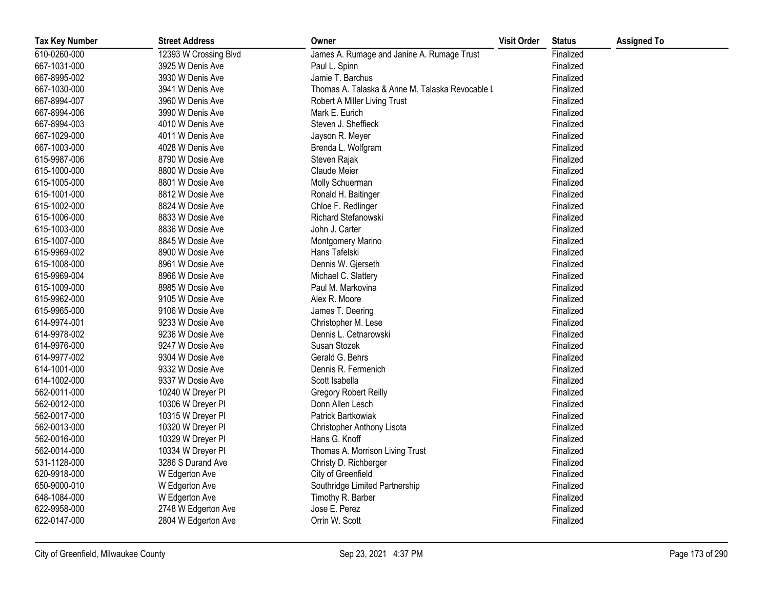| <b>Tax Key Number</b> | <b>Street Address</b> | Owner                                           | <b>Visit Order</b> | <b>Status</b> | <b>Assigned To</b> |
|-----------------------|-----------------------|-------------------------------------------------|--------------------|---------------|--------------------|
| 610-0260-000          | 12393 W Crossing Blvd | James A. Rumage and Janine A. Rumage Trust      |                    | Finalized     |                    |
| 667-1031-000          | 3925 W Denis Ave      | Paul L. Spinn                                   |                    | Finalized     |                    |
| 667-8995-002          | 3930 W Denis Ave      | Jamie T. Barchus                                |                    | Finalized     |                    |
| 667-1030-000          | 3941 W Denis Ave      | Thomas A. Talaska & Anne M. Talaska Revocable L |                    | Finalized     |                    |
| 667-8994-007          | 3960 W Denis Ave      | Robert A Miller Living Trust                    |                    | Finalized     |                    |
| 667-8994-006          | 3990 W Denis Ave      | Mark E. Eurich                                  |                    | Finalized     |                    |
| 667-8994-003          | 4010 W Denis Ave      | Steven J. Sheffieck                             |                    | Finalized     |                    |
| 667-1029-000          | 4011 W Denis Ave      | Jayson R. Meyer                                 |                    | Finalized     |                    |
| 667-1003-000          | 4028 W Denis Ave      | Brenda L. Wolfgram                              |                    | Finalized     |                    |
| 615-9987-006          | 8790 W Dosie Ave      | Steven Rajak                                    |                    | Finalized     |                    |
| 615-1000-000          | 8800 W Dosie Ave      | Claude Meier                                    |                    | Finalized     |                    |
| 615-1005-000          | 8801 W Dosie Ave      | Molly Schuerman                                 |                    | Finalized     |                    |
| 615-1001-000          | 8812 W Dosie Ave      | Ronald H. Baitinger                             |                    | Finalized     |                    |
| 615-1002-000          | 8824 W Dosie Ave      | Chloe F. Redlinger                              |                    | Finalized     |                    |
| 615-1006-000          | 8833 W Dosie Ave      | Richard Stefanowski                             |                    | Finalized     |                    |
| 615-1003-000          | 8836 W Dosie Ave      | John J. Carter                                  |                    | Finalized     |                    |
| 615-1007-000          | 8845 W Dosie Ave      | Montgomery Marino                               |                    | Finalized     |                    |
| 615-9969-002          | 8900 W Dosie Ave      | Hans Tafelski                                   |                    | Finalized     |                    |
| 615-1008-000          | 8961 W Dosie Ave      | Dennis W. Gjerseth                              |                    | Finalized     |                    |
| 615-9969-004          | 8966 W Dosie Ave      | Michael C. Slattery                             |                    | Finalized     |                    |
| 615-1009-000          | 8985 W Dosie Ave      | Paul M. Markovina                               |                    | Finalized     |                    |
| 615-9962-000          | 9105 W Dosie Ave      | Alex R. Moore                                   |                    | Finalized     |                    |
| 615-9965-000          | 9106 W Dosie Ave      | James T. Deering                                |                    | Finalized     |                    |
| 614-9974-001          | 9233 W Dosie Ave      | Christopher M. Lese                             |                    | Finalized     |                    |
| 614-9978-002          | 9236 W Dosie Ave      | Dennis L. Cetnarowski                           |                    | Finalized     |                    |
| 614-9976-000          | 9247 W Dosie Ave      | Susan Stozek                                    |                    | Finalized     |                    |
| 614-9977-002          | 9304 W Dosie Ave      | Gerald G. Behrs                                 |                    | Finalized     |                    |
| 614-1001-000          | 9332 W Dosie Ave      | Dennis R. Fermenich                             |                    | Finalized     |                    |
| 614-1002-000          | 9337 W Dosie Ave      | Scott Isabella                                  |                    | Finalized     |                    |
| 562-0011-000          | 10240 W Dreyer PI     | <b>Gregory Robert Reilly</b>                    |                    | Finalized     |                    |
| 562-0012-000          | 10306 W Dreyer PI     | Donn Allen Lesch                                |                    | Finalized     |                    |
| 562-0017-000          | 10315 W Dreyer PI     | Patrick Bartkowiak                              |                    | Finalized     |                    |
| 562-0013-000          | 10320 W Dreyer PI     | Christopher Anthony Lisota                      |                    | Finalized     |                    |
| 562-0016-000          | 10329 W Dreyer PI     | Hans G. Knoff                                   |                    | Finalized     |                    |
| 562-0014-000          | 10334 W Dreyer Pl     | Thomas A. Morrison Living Trust                 |                    | Finalized     |                    |
| 531-1128-000          | 3286 S Durand Ave     | Christy D. Richberger                           |                    | Finalized     |                    |
| 620-9918-000          | W Edgerton Ave        | City of Greenfield                              |                    | Finalized     |                    |
| 650-9000-010          | W Edgerton Ave        | Southridge Limited Partnership                  |                    | Finalized     |                    |
| 648-1084-000          | W Edgerton Ave        | Timothy R. Barber                               |                    | Finalized     |                    |
| 622-9958-000          | 2748 W Edgerton Ave   | Jose E. Perez                                   |                    | Finalized     |                    |
| 622-0147-000          | 2804 W Edgerton Ave   | Orrin W. Scott                                  |                    | Finalized     |                    |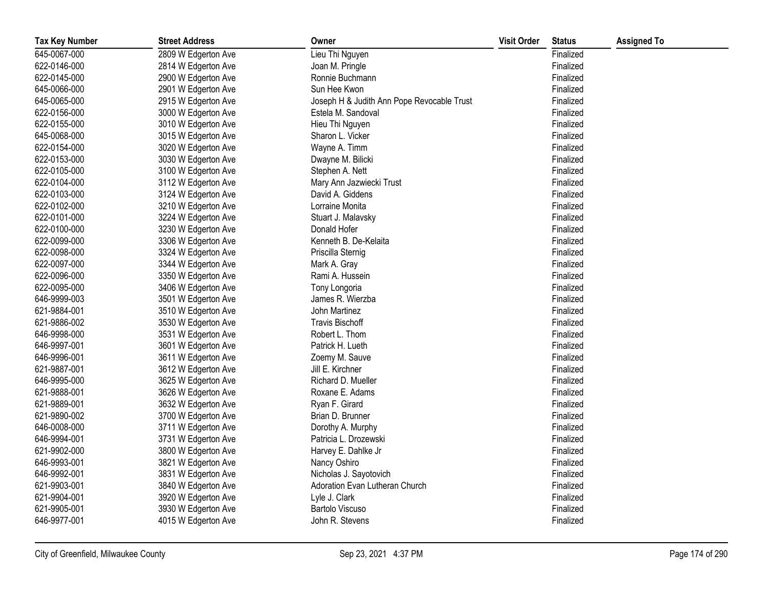| <b>Tax Key Number</b> | <b>Street Address</b> | Owner                                      | <b>Visit Order</b> | <b>Status</b> | <b>Assigned To</b> |
|-----------------------|-----------------------|--------------------------------------------|--------------------|---------------|--------------------|
| 645-0067-000          | 2809 W Edgerton Ave   | Lieu Thi Nguyen                            |                    | Finalized     |                    |
| 622-0146-000          | 2814 W Edgerton Ave   | Joan M. Pringle                            |                    | Finalized     |                    |
| 622-0145-000          | 2900 W Edgerton Ave   | Ronnie Buchmann                            |                    | Finalized     |                    |
| 645-0066-000          | 2901 W Edgerton Ave   | Sun Hee Kwon                               |                    | Finalized     |                    |
| 645-0065-000          | 2915 W Edgerton Ave   | Joseph H & Judith Ann Pope Revocable Trust |                    | Finalized     |                    |
| 622-0156-000          | 3000 W Edgerton Ave   | Estela M. Sandoval                         |                    | Finalized     |                    |
| 622-0155-000          | 3010 W Edgerton Ave   | Hieu Thi Nguyen                            |                    | Finalized     |                    |
| 645-0068-000          | 3015 W Edgerton Ave   | Sharon L. Vicker                           |                    | Finalized     |                    |
| 622-0154-000          | 3020 W Edgerton Ave   | Wayne A. Timm                              |                    | Finalized     |                    |
| 622-0153-000          | 3030 W Edgerton Ave   | Dwayne M. Bilicki                          |                    | Finalized     |                    |
| 622-0105-000          | 3100 W Edgerton Ave   | Stephen A. Nett                            |                    | Finalized     |                    |
| 622-0104-000          | 3112 W Edgerton Ave   | Mary Ann Jazwiecki Trust                   |                    | Finalized     |                    |
| 622-0103-000          | 3124 W Edgerton Ave   | David A. Giddens                           |                    | Finalized     |                    |
| 622-0102-000          | 3210 W Edgerton Ave   | Lorraine Monita                            |                    | Finalized     |                    |
| 622-0101-000          | 3224 W Edgerton Ave   | Stuart J. Malavsky                         |                    | Finalized     |                    |
| 622-0100-000          | 3230 W Edgerton Ave   | Donald Hofer                               |                    | Finalized     |                    |
| 622-0099-000          | 3306 W Edgerton Ave   | Kenneth B. De-Kelaita                      |                    | Finalized     |                    |
| 622-0098-000          | 3324 W Edgerton Ave   | Priscilla Sternig                          |                    | Finalized     |                    |
| 622-0097-000          | 3344 W Edgerton Ave   | Mark A. Gray                               |                    | Finalized     |                    |
| 622-0096-000          | 3350 W Edgerton Ave   | Rami A. Hussein                            |                    | Finalized     |                    |
| 622-0095-000          | 3406 W Edgerton Ave   | Tony Longoria                              |                    | Finalized     |                    |
| 646-9999-003          | 3501 W Edgerton Ave   | James R. Wierzba                           |                    | Finalized     |                    |
| 621-9884-001          | 3510 W Edgerton Ave   | John Martinez                              |                    | Finalized     |                    |
| 621-9886-002          | 3530 W Edgerton Ave   | <b>Travis Bischoff</b>                     |                    | Finalized     |                    |
| 646-9998-000          | 3531 W Edgerton Ave   | Robert L. Thom                             |                    | Finalized     |                    |
| 646-9997-001          | 3601 W Edgerton Ave   | Patrick H. Lueth                           |                    | Finalized     |                    |
| 646-9996-001          | 3611 W Edgerton Ave   | Zoemy M. Sauve                             |                    | Finalized     |                    |
| 621-9887-001          | 3612 W Edgerton Ave   | Jill E. Kirchner                           |                    | Finalized     |                    |
| 646-9995-000          | 3625 W Edgerton Ave   | Richard D. Mueller                         |                    | Finalized     |                    |
| 621-9888-001          | 3626 W Edgerton Ave   | Roxane E. Adams                            |                    | Finalized     |                    |
| 621-9889-001          | 3632 W Edgerton Ave   | Ryan F. Girard                             |                    | Finalized     |                    |
| 621-9890-002          | 3700 W Edgerton Ave   | Brian D. Brunner                           |                    | Finalized     |                    |
| 646-0008-000          | 3711 W Edgerton Ave   | Dorothy A. Murphy                          |                    | Finalized     |                    |
| 646-9994-001          | 3731 W Edgerton Ave   | Patricia L. Drozewski                      |                    | Finalized     |                    |
| 621-9902-000          | 3800 W Edgerton Ave   | Harvey E. Dahlke Jr                        |                    | Finalized     |                    |
| 646-9993-001          | 3821 W Edgerton Ave   | Nancy Oshiro                               |                    | Finalized     |                    |
| 646-9992-001          | 3831 W Edgerton Ave   | Nicholas J. Sayotovich                     |                    | Finalized     |                    |
| 621-9903-001          | 3840 W Edgerton Ave   | Adoration Evan Lutheran Church             |                    | Finalized     |                    |
| 621-9904-001          | 3920 W Edgerton Ave   | Lyle J. Clark                              |                    | Finalized     |                    |
| 621-9905-001          | 3930 W Edgerton Ave   | <b>Bartolo Viscuso</b>                     |                    | Finalized     |                    |
| 646-9977-001          | 4015 W Edgerton Ave   | John R. Stevens                            |                    | Finalized     |                    |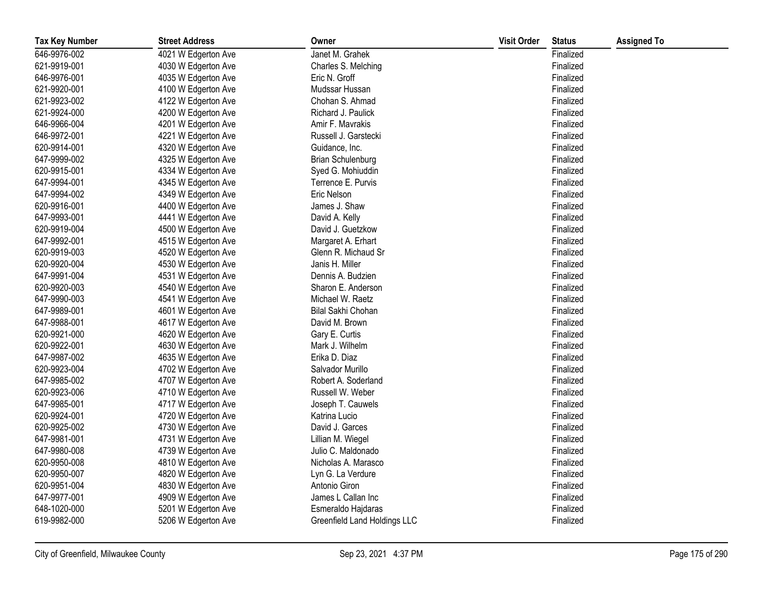| <b>Tax Key Number</b> | <b>Street Address</b> | Owner                        | <b>Visit Order</b> | <b>Status</b> | <b>Assigned To</b> |
|-----------------------|-----------------------|------------------------------|--------------------|---------------|--------------------|
| 646-9976-002          | 4021 W Edgerton Ave   | Janet M. Grahek              |                    | Finalized     |                    |
| 621-9919-001          | 4030 W Edgerton Ave   | Charles S. Melching          |                    | Finalized     |                    |
| 646-9976-001          | 4035 W Edgerton Ave   | Eric N. Groff                |                    | Finalized     |                    |
| 621-9920-001          | 4100 W Edgerton Ave   | Mudssar Hussan               |                    | Finalized     |                    |
| 621-9923-002          | 4122 W Edgerton Ave   | Chohan S. Ahmad              |                    | Finalized     |                    |
| 621-9924-000          | 4200 W Edgerton Ave   | Richard J. Paulick           |                    | Finalized     |                    |
| 646-9966-004          | 4201 W Edgerton Ave   | Amir F. Mavrakis             |                    | Finalized     |                    |
| 646-9972-001          | 4221 W Edgerton Ave   | Russell J. Garstecki         |                    | Finalized     |                    |
| 620-9914-001          | 4320 W Edgerton Ave   | Guidance, Inc.               |                    | Finalized     |                    |
| 647-9999-002          | 4325 W Edgerton Ave   | <b>Brian Schulenburg</b>     |                    | Finalized     |                    |
| 620-9915-001          | 4334 W Edgerton Ave   | Syed G. Mohiuddin            |                    | Finalized     |                    |
| 647-9994-001          | 4345 W Edgerton Ave   | Terrence E. Purvis           |                    | Finalized     |                    |
| 647-9994-002          | 4349 W Edgerton Ave   | Eric Nelson                  |                    | Finalized     |                    |
| 620-9916-001          | 4400 W Edgerton Ave   | James J. Shaw                |                    | Finalized     |                    |
| 647-9993-001          | 4441 W Edgerton Ave   | David A. Kelly               |                    | Finalized     |                    |
| 620-9919-004          | 4500 W Edgerton Ave   | David J. Guetzkow            |                    | Finalized     |                    |
| 647-9992-001          | 4515 W Edgerton Ave   | Margaret A. Erhart           |                    | Finalized     |                    |
| 620-9919-003          | 4520 W Edgerton Ave   | Glenn R. Michaud Sr          |                    | Finalized     |                    |
| 620-9920-004          | 4530 W Edgerton Ave   | Janis H. Miller              |                    | Finalized     |                    |
| 647-9991-004          | 4531 W Edgerton Ave   | Dennis A. Budzien            |                    | Finalized     |                    |
| 620-9920-003          | 4540 W Edgerton Ave   | Sharon E. Anderson           |                    | Finalized     |                    |
| 647-9990-003          | 4541 W Edgerton Ave   | Michael W. Raetz             |                    | Finalized     |                    |
| 647-9989-001          | 4601 W Edgerton Ave   | Bilal Sakhi Chohan           |                    | Finalized     |                    |
| 647-9988-001          | 4617 W Edgerton Ave   | David M. Brown               |                    | Finalized     |                    |
| 620-9921-000          | 4620 W Edgerton Ave   | Gary E. Curtis               |                    | Finalized     |                    |
| 620-9922-001          | 4630 W Edgerton Ave   | Mark J. Wilhelm              |                    | Finalized     |                    |
| 647-9987-002          | 4635 W Edgerton Ave   | Erika D. Diaz                |                    | Finalized     |                    |
| 620-9923-004          | 4702 W Edgerton Ave   | Salvador Murillo             |                    | Finalized     |                    |
| 647-9985-002          | 4707 W Edgerton Ave   | Robert A. Soderland          |                    | Finalized     |                    |
| 620-9923-006          | 4710 W Edgerton Ave   | Russell W. Weber             |                    | Finalized     |                    |
| 647-9985-001          | 4717 W Edgerton Ave   | Joseph T. Cauwels            |                    | Finalized     |                    |
| 620-9924-001          | 4720 W Edgerton Ave   | Katrina Lucio                |                    | Finalized     |                    |
| 620-9925-002          | 4730 W Edgerton Ave   | David J. Garces              |                    | Finalized     |                    |
| 647-9981-001          | 4731 W Edgerton Ave   | Lillian M. Wiegel            |                    | Finalized     |                    |
| 647-9980-008          | 4739 W Edgerton Ave   | Julio C. Maldonado           |                    | Finalized     |                    |
| 620-9950-008          | 4810 W Edgerton Ave   | Nicholas A. Marasco          |                    | Finalized     |                    |
| 620-9950-007          | 4820 W Edgerton Ave   | Lyn G. La Verdure            |                    | Finalized     |                    |
| 620-9951-004          | 4830 W Edgerton Ave   | Antonio Giron                |                    | Finalized     |                    |
| 647-9977-001          | 4909 W Edgerton Ave   | James L Callan Inc           |                    | Finalized     |                    |
| 648-1020-000          | 5201 W Edgerton Ave   | Esmeraldo Hajdaras           |                    | Finalized     |                    |
| 619-9982-000          | 5206 W Edgerton Ave   | Greenfield Land Holdings LLC |                    | Finalized     |                    |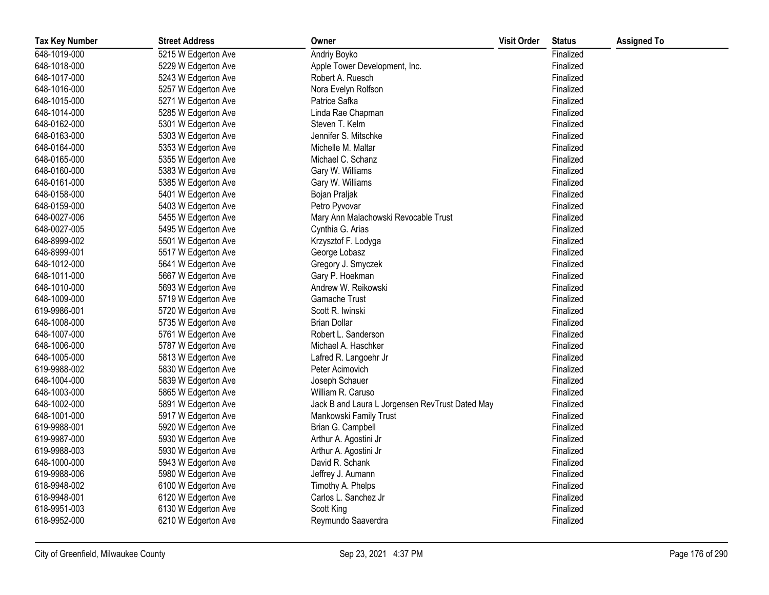| <b>Tax Key Number</b> | <b>Street Address</b> | Owner                                           | <b>Visit Order</b> | <b>Status</b> | <b>Assigned To</b> |
|-----------------------|-----------------------|-------------------------------------------------|--------------------|---------------|--------------------|
| 648-1019-000          | 5215 W Edgerton Ave   | Andriy Boyko                                    |                    | Finalized     |                    |
| 648-1018-000          | 5229 W Edgerton Ave   | Apple Tower Development, Inc.                   |                    | Finalized     |                    |
| 648-1017-000          | 5243 W Edgerton Ave   | Robert A. Ruesch                                |                    | Finalized     |                    |
| 648-1016-000          | 5257 W Edgerton Ave   | Nora Evelyn Rolfson                             |                    | Finalized     |                    |
| 648-1015-000          | 5271 W Edgerton Ave   | Patrice Safka                                   |                    | Finalized     |                    |
| 648-1014-000          | 5285 W Edgerton Ave   | Linda Rae Chapman                               |                    | Finalized     |                    |
| 648-0162-000          | 5301 W Edgerton Ave   | Steven T. Kelm                                  |                    | Finalized     |                    |
| 648-0163-000          | 5303 W Edgerton Ave   | Jennifer S. Mitschke                            |                    | Finalized     |                    |
| 648-0164-000          | 5353 W Edgerton Ave   | Michelle M. Maltar                              |                    | Finalized     |                    |
| 648-0165-000          | 5355 W Edgerton Ave   | Michael C. Schanz                               |                    | Finalized     |                    |
| 648-0160-000          | 5383 W Edgerton Ave   | Gary W. Williams                                |                    | Finalized     |                    |
| 648-0161-000          | 5385 W Edgerton Ave   | Gary W. Williams                                |                    | Finalized     |                    |
| 648-0158-000          | 5401 W Edgerton Ave   | Bojan Praljak                                   |                    | Finalized     |                    |
| 648-0159-000          | 5403 W Edgerton Ave   | Petro Pyvovar                                   |                    | Finalized     |                    |
| 648-0027-006          | 5455 W Edgerton Ave   | Mary Ann Malachowski Revocable Trust            |                    | Finalized     |                    |
| 648-0027-005          | 5495 W Edgerton Ave   | Cynthia G. Arias                                |                    | Finalized     |                    |
| 648-8999-002          | 5501 W Edgerton Ave   | Krzysztof F. Lodyga                             |                    | Finalized     |                    |
| 648-8999-001          | 5517 W Edgerton Ave   | George Lobasz                                   |                    | Finalized     |                    |
| 648-1012-000          | 5641 W Edgerton Ave   | Gregory J. Smyczek                              |                    | Finalized     |                    |
| 648-1011-000          | 5667 W Edgerton Ave   | Gary P. Hoekman                                 |                    | Finalized     |                    |
| 648-1010-000          | 5693 W Edgerton Ave   | Andrew W. Reikowski                             |                    | Finalized     |                    |
| 648-1009-000          | 5719 W Edgerton Ave   | Gamache Trust                                   |                    | Finalized     |                    |
| 619-9986-001          | 5720 W Edgerton Ave   | Scott R. Iwinski                                |                    | Finalized     |                    |
| 648-1008-000          | 5735 W Edgerton Ave   | <b>Brian Dollar</b>                             |                    | Finalized     |                    |
| 648-1007-000          | 5761 W Edgerton Ave   | Robert L. Sanderson                             |                    | Finalized     |                    |
| 648-1006-000          | 5787 W Edgerton Ave   | Michael A. Haschker                             |                    | Finalized     |                    |
| 648-1005-000          | 5813 W Edgerton Ave   | Lafred R. Langoehr Jr                           |                    | Finalized     |                    |
| 619-9988-002          | 5830 W Edgerton Ave   | Peter Acimovich                                 |                    | Finalized     |                    |
| 648-1004-000          | 5839 W Edgerton Ave   | Joseph Schauer                                  |                    | Finalized     |                    |
| 648-1003-000          | 5865 W Edgerton Ave   | William R. Caruso                               |                    | Finalized     |                    |
| 648-1002-000          | 5891 W Edgerton Ave   | Jack B and Laura L Jorgensen RevTrust Dated May |                    | Finalized     |                    |
| 648-1001-000          | 5917 W Edgerton Ave   | Mankowski Family Trust                          |                    | Finalized     |                    |
| 619-9988-001          | 5920 W Edgerton Ave   | Brian G. Campbell                               |                    | Finalized     |                    |
| 619-9987-000          | 5930 W Edgerton Ave   | Arthur A. Agostini Jr                           |                    | Finalized     |                    |
| 619-9988-003          | 5930 W Edgerton Ave   | Arthur A. Agostini Jr                           |                    | Finalized     |                    |
| 648-1000-000          | 5943 W Edgerton Ave   | David R. Schank                                 |                    | Finalized     |                    |
| 619-9988-006          | 5980 W Edgerton Ave   | Jeffrey J. Aumann                               |                    | Finalized     |                    |
| 618-9948-002          | 6100 W Edgerton Ave   | Timothy A. Phelps                               |                    | Finalized     |                    |
| 618-9948-001          | 6120 W Edgerton Ave   | Carlos L. Sanchez Jr                            |                    | Finalized     |                    |
| 618-9951-003          | 6130 W Edgerton Ave   | Scott King                                      |                    | Finalized     |                    |
| 618-9952-000          | 6210 W Edgerton Ave   | Reymundo Saaverdra                              |                    | Finalized     |                    |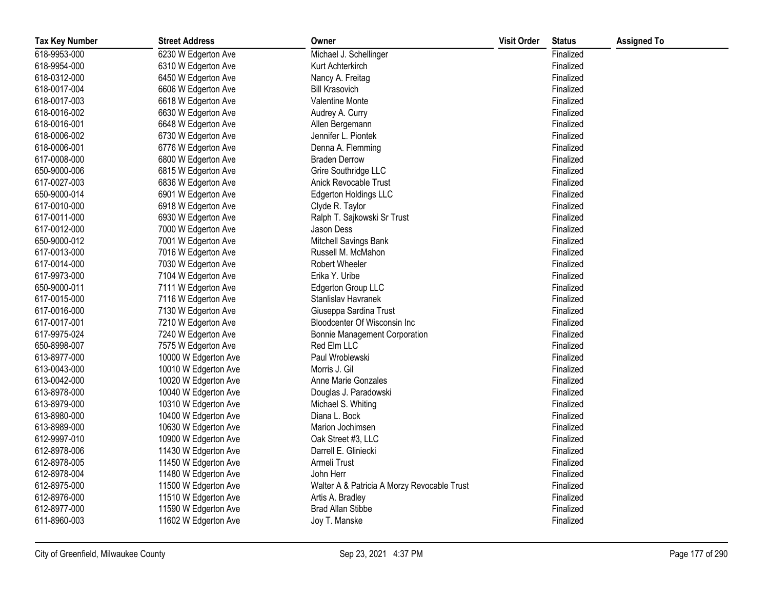| <b>Tax Key Number</b> | <b>Street Address</b> | Owner                                       | <b>Visit Order</b> | <b>Status</b> | <b>Assigned To</b> |
|-----------------------|-----------------------|---------------------------------------------|--------------------|---------------|--------------------|
| 618-9953-000          | 6230 W Edgerton Ave   | Michael J. Schellinger                      |                    | Finalized     |                    |
| 618-9954-000          | 6310 W Edgerton Ave   | Kurt Achterkirch                            |                    | Finalized     |                    |
| 618-0312-000          | 6450 W Edgerton Ave   | Nancy A. Freitag                            |                    | Finalized     |                    |
| 618-0017-004          | 6606 W Edgerton Ave   | <b>Bill Krasovich</b>                       |                    | Finalized     |                    |
| 618-0017-003          | 6618 W Edgerton Ave   | <b>Valentine Monte</b>                      |                    | Finalized     |                    |
| 618-0016-002          | 6630 W Edgerton Ave   | Audrey A. Curry                             |                    | Finalized     |                    |
| 618-0016-001          | 6648 W Edgerton Ave   | Allen Bergemann                             |                    | Finalized     |                    |
| 618-0006-002          | 6730 W Edgerton Ave   | Jennifer L. Piontek                         |                    | Finalized     |                    |
| 618-0006-001          | 6776 W Edgerton Ave   | Denna A. Flemming                           |                    | Finalized     |                    |
| 617-0008-000          | 6800 W Edgerton Ave   | <b>Braden Derrow</b>                        |                    | Finalized     |                    |
| 650-9000-006          | 6815 W Edgerton Ave   | Grire Southridge LLC                        |                    | Finalized     |                    |
| 617-0027-003          | 6836 W Edgerton Ave   | Anick Revocable Trust                       |                    | Finalized     |                    |
| 650-9000-014          | 6901 W Edgerton Ave   | <b>Edgerton Holdings LLC</b>                |                    | Finalized     |                    |
| 617-0010-000          | 6918 W Edgerton Ave   | Clyde R. Taylor                             |                    | Finalized     |                    |
| 617-0011-000          | 6930 W Edgerton Ave   | Ralph T. Sajkowski Sr Trust                 |                    | Finalized     |                    |
| 617-0012-000          | 7000 W Edgerton Ave   | Jason Dess                                  |                    | Finalized     |                    |
| 650-9000-012          | 7001 W Edgerton Ave   | Mitchell Savings Bank                       |                    | Finalized     |                    |
| 617-0013-000          | 7016 W Edgerton Ave   | Russell M. McMahon                          |                    | Finalized     |                    |
| 617-0014-000          | 7030 W Edgerton Ave   | Robert Wheeler                              |                    | Finalized     |                    |
| 617-9973-000          | 7104 W Edgerton Ave   | Erika Y. Uribe                              |                    | Finalized     |                    |
| 650-9000-011          | 7111 W Edgerton Ave   | Edgerton Group LLC                          |                    | Finalized     |                    |
| 617-0015-000          | 7116 W Edgerton Ave   | Stanlislav Havranek                         |                    | Finalized     |                    |
| 617-0016-000          | 7130 W Edgerton Ave   | Giuseppa Sardina Trust                      |                    | Finalized     |                    |
| 617-0017-001          | 7210 W Edgerton Ave   | <b>Bloodcenter Of Wisconsin Inc.</b>        |                    | Finalized     |                    |
| 617-9975-024          | 7240 W Edgerton Ave   | <b>Bonnie Management Corporation</b>        |                    | Finalized     |                    |
| 650-8998-007          | 7575 W Edgerton Ave   | Red Elm LLC                                 |                    | Finalized     |                    |
| 613-8977-000          | 10000 W Edgerton Ave  | Paul Wroblewski                             |                    | Finalized     |                    |
| 613-0043-000          | 10010 W Edgerton Ave  | Morris J. Gil                               |                    | Finalized     |                    |
| 613-0042-000          | 10020 W Edgerton Ave  | Anne Marie Gonzales                         |                    | Finalized     |                    |
| 613-8978-000          | 10040 W Edgerton Ave  | Douglas J. Paradowski                       |                    | Finalized     |                    |
| 613-8979-000          | 10310 W Edgerton Ave  | Michael S. Whiting                          |                    | Finalized     |                    |
| 613-8980-000          | 10400 W Edgerton Ave  | Diana L. Bock                               |                    | Finalized     |                    |
| 613-8989-000          | 10630 W Edgerton Ave  | Marion Jochimsen                            |                    | Finalized     |                    |
| 612-9997-010          | 10900 W Edgerton Ave  | Oak Street #3, LLC                          |                    | Finalized     |                    |
| 612-8978-006          | 11430 W Edgerton Ave  | Darrell E. Gliniecki                        |                    | Finalized     |                    |
| 612-8978-005          | 11450 W Edgerton Ave  | Armeli Trust                                |                    | Finalized     |                    |
| 612-8978-004          | 11480 W Edgerton Ave  | John Herr                                   |                    | Finalized     |                    |
| 612-8975-000          | 11500 W Edgerton Ave  | Walter A & Patricia A Morzy Revocable Trust |                    | Finalized     |                    |
| 612-8976-000          | 11510 W Edgerton Ave  | Artis A. Bradley                            |                    | Finalized     |                    |
| 612-8977-000          | 11590 W Edgerton Ave  | <b>Brad Allan Stibbe</b>                    |                    | Finalized     |                    |
| 611-8960-003          | 11602 W Edgerton Ave  | Joy T. Manske                               |                    | Finalized     |                    |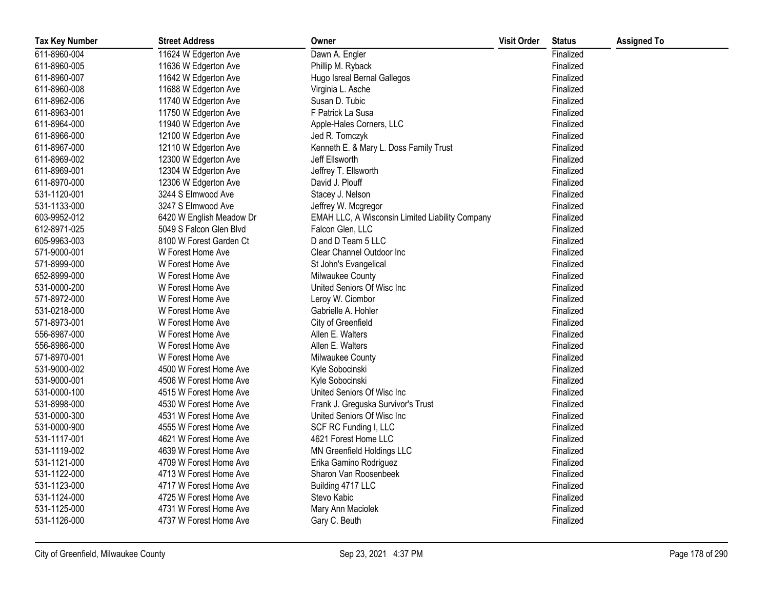| <b>Tax Key Number</b> | <b>Street Address</b>    | Owner                                                  | <b>Visit Order</b> | <b>Status</b> | <b>Assigned To</b> |
|-----------------------|--------------------------|--------------------------------------------------------|--------------------|---------------|--------------------|
| 611-8960-004          | 11624 W Edgerton Ave     | Dawn A. Engler                                         |                    | Finalized     |                    |
| 611-8960-005          | 11636 W Edgerton Ave     | Phillip M. Ryback                                      |                    | Finalized     |                    |
| 611-8960-007          | 11642 W Edgerton Ave     | Hugo Isreal Bernal Gallegos                            |                    | Finalized     |                    |
| 611-8960-008          | 11688 W Edgerton Ave     | Virginia L. Asche                                      |                    | Finalized     |                    |
| 611-8962-006          | 11740 W Edgerton Ave     | Susan D. Tubic                                         |                    | Finalized     |                    |
| 611-8963-001          | 11750 W Edgerton Ave     | F Patrick La Susa                                      |                    | Finalized     |                    |
| 611-8964-000          | 11940 W Edgerton Ave     | Apple-Hales Corners, LLC                               |                    | Finalized     |                    |
| 611-8966-000          | 12100 W Edgerton Ave     | Jed R. Tomczyk                                         |                    | Finalized     |                    |
| 611-8967-000          | 12110 W Edgerton Ave     | Kenneth E. & Mary L. Doss Family Trust                 |                    | Finalized     |                    |
| 611-8969-002          | 12300 W Edgerton Ave     | Jeff Ellsworth                                         |                    | Finalized     |                    |
| 611-8969-001          | 12304 W Edgerton Ave     | Jeffrey T. Ellsworth                                   |                    | Finalized     |                    |
| 611-8970-000          | 12306 W Edgerton Ave     | David J. Plouff                                        |                    | Finalized     |                    |
| 531-1120-001          | 3244 S Elmwood Ave       | Stacey J. Nelson                                       |                    | Finalized     |                    |
| 531-1133-000          | 3247 S Elmwood Ave       | Jeffrey W. Mcgregor                                    |                    | Finalized     |                    |
| 603-9952-012          | 6420 W English Meadow Dr | <b>EMAH LLC, A Wisconsin Limited Liability Company</b> |                    | Finalized     |                    |
| 612-8971-025          | 5049 S Falcon Glen Blvd  | Falcon Glen, LLC                                       |                    | Finalized     |                    |
| 605-9963-003          | 8100 W Forest Garden Ct  | D and D Team 5 LLC                                     |                    | Finalized     |                    |
| 571-9000-001          | W Forest Home Ave        | Clear Channel Outdoor Inc                              |                    | Finalized     |                    |
| 571-8999-000          | W Forest Home Ave        | St John's Evangelical                                  |                    | Finalized     |                    |
| 652-8999-000          | W Forest Home Ave        | Milwaukee County                                       |                    | Finalized     |                    |
| 531-0000-200          | W Forest Home Ave        | United Seniors Of Wisc Inc                             |                    | Finalized     |                    |
| 571-8972-000          | W Forest Home Ave        | Leroy W. Ciombor                                       |                    | Finalized     |                    |
| 531-0218-000          | W Forest Home Ave        | Gabrielle A. Hohler                                    |                    | Finalized     |                    |
| 571-8973-001          | W Forest Home Ave        | City of Greenfield                                     |                    | Finalized     |                    |
| 556-8987-000          | W Forest Home Ave        | Allen E. Walters                                       |                    | Finalized     |                    |
| 556-8986-000          | W Forest Home Ave        | Allen E. Walters                                       |                    | Finalized     |                    |
| 571-8970-001          | W Forest Home Ave        | Milwaukee County                                       |                    | Finalized     |                    |
| 531-9000-002          | 4500 W Forest Home Ave   | Kyle Sobocinski                                        |                    | Finalized     |                    |
| 531-9000-001          | 4506 W Forest Home Ave   | Kyle Sobocinski                                        |                    | Finalized     |                    |
| 531-0000-100          | 4515 W Forest Home Ave   | United Seniors Of Wisc Inc                             |                    | Finalized     |                    |
| 531-8998-000          | 4530 W Forest Home Ave   | Frank J. Greguska Survivor's Trust                     |                    | Finalized     |                    |
| 531-0000-300          | 4531 W Forest Home Ave   | United Seniors Of Wisc Inc                             |                    | Finalized     |                    |
| 531-0000-900          | 4555 W Forest Home Ave   | SCF RC Funding I, LLC                                  |                    | Finalized     |                    |
| 531-1117-001          | 4621 W Forest Home Ave   | 4621 Forest Home LLC                                   |                    | Finalized     |                    |
| 531-1119-002          | 4639 W Forest Home Ave   | MN Greenfield Holdings LLC                             |                    | Finalized     |                    |
| 531-1121-000          | 4709 W Forest Home Ave   | Erika Gamino Rodriguez                                 |                    | Finalized     |                    |
| 531-1122-000          | 4713 W Forest Home Ave   | Sharon Van Roosenbeek                                  |                    | Finalized     |                    |
| 531-1123-000          | 4717 W Forest Home Ave   | Building 4717 LLC                                      |                    | Finalized     |                    |
| 531-1124-000          | 4725 W Forest Home Ave   | Stevo Kabic                                            |                    | Finalized     |                    |
| 531-1125-000          | 4731 W Forest Home Ave   | Mary Ann Maciolek                                      |                    | Finalized     |                    |
| 531-1126-000          | 4737 W Forest Home Ave   | Gary C. Beuth                                          |                    | Finalized     |                    |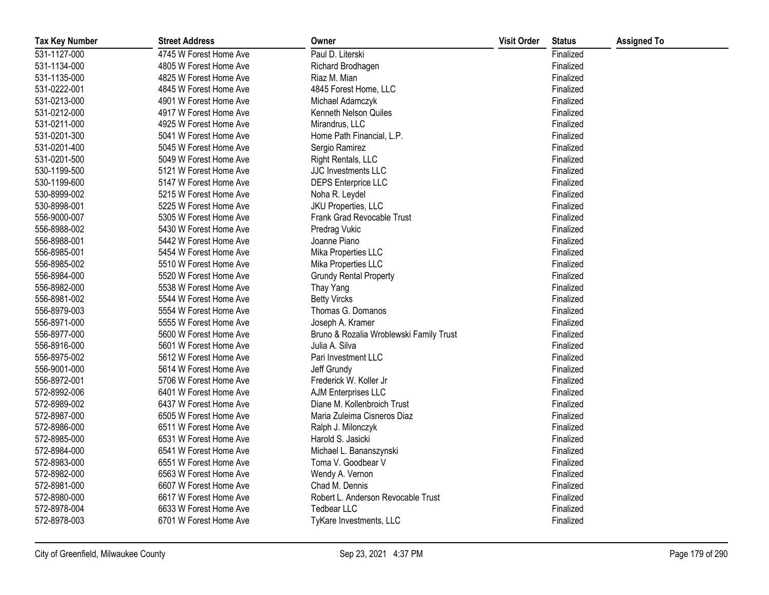| <b>Tax Key Number</b> | <b>Street Address</b>  | Owner                                   | <b>Visit Order</b> | <b>Status</b> | <b>Assigned To</b> |
|-----------------------|------------------------|-----------------------------------------|--------------------|---------------|--------------------|
| 531-1127-000          | 4745 W Forest Home Ave | Paul D. Literski                        |                    | Finalized     |                    |
| 531-1134-000          | 4805 W Forest Home Ave | Richard Brodhagen                       |                    | Finalized     |                    |
| 531-1135-000          | 4825 W Forest Home Ave | Riaz M. Mian                            |                    | Finalized     |                    |
| 531-0222-001          | 4845 W Forest Home Ave | 4845 Forest Home, LLC                   |                    | Finalized     |                    |
| 531-0213-000          | 4901 W Forest Home Ave | Michael Adamczyk                        |                    | Finalized     |                    |
| 531-0212-000          | 4917 W Forest Home Ave | Kenneth Nelson Quiles                   |                    | Finalized     |                    |
| 531-0211-000          | 4925 W Forest Home Ave | Mirandrus, LLC                          |                    | Finalized     |                    |
| 531-0201-300          | 5041 W Forest Home Ave | Home Path Financial, L.P.               |                    | Finalized     |                    |
| 531-0201-400          | 5045 W Forest Home Ave | Sergio Ramirez                          |                    | Finalized     |                    |
| 531-0201-500          | 5049 W Forest Home Ave | Right Rentals, LLC                      |                    | Finalized     |                    |
| 530-1199-500          | 5121 W Forest Home Ave | JJC Investments LLC                     |                    | Finalized     |                    |
| 530-1199-600          | 5147 W Forest Home Ave | <b>DEPS Enterprice LLC</b>              |                    | Finalized     |                    |
| 530-8999-002          | 5215 W Forest Home Ave | Noha R. Leydel                          |                    | Finalized     |                    |
| 530-8998-001          | 5225 W Forest Home Ave | JKU Properties, LLC                     |                    | Finalized     |                    |
| 556-9000-007          | 5305 W Forest Home Ave | Frank Grad Revocable Trust              |                    | Finalized     |                    |
| 556-8988-002          | 5430 W Forest Home Ave | Predrag Vukic                           |                    | Finalized     |                    |
| 556-8988-001          | 5442 W Forest Home Ave | Joanne Piano                            |                    | Finalized     |                    |
| 556-8985-001          | 5454 W Forest Home Ave | Mika Properties LLC                     |                    | Finalized     |                    |
| 556-8985-002          | 5510 W Forest Home Ave | Mika Properties LLC                     |                    | Finalized     |                    |
| 556-8984-000          | 5520 W Forest Home Ave | <b>Grundy Rental Property</b>           |                    | Finalized     |                    |
| 556-8982-000          | 5538 W Forest Home Ave | Thay Yang                               |                    | Finalized     |                    |
| 556-8981-002          | 5544 W Forest Home Ave | <b>Betty Vircks</b>                     |                    | Finalized     |                    |
| 556-8979-003          | 5554 W Forest Home Ave | Thomas G. Domanos                       |                    | Finalized     |                    |
| 556-8971-000          | 5555 W Forest Home Ave | Joseph A. Kramer                        |                    | Finalized     |                    |
| 556-8977-000          | 5600 W Forest Home Ave | Bruno & Rozalia Wroblewski Family Trust |                    | Finalized     |                    |
| 556-8916-000          | 5601 W Forest Home Ave | Julia A. Silva                          |                    | Finalized     |                    |
| 556-8975-002          | 5612 W Forest Home Ave | Pari Investment LLC                     |                    | Finalized     |                    |
| 556-9001-000          | 5614 W Forest Home Ave | Jeff Grundy                             |                    | Finalized     |                    |
| 556-8972-001          | 5706 W Forest Home Ave | Frederick W. Koller Jr                  |                    | Finalized     |                    |
| 572-8992-006          | 6401 W Forest Home Ave | AJM Enterprises LLC                     |                    | Finalized     |                    |
| 572-8989-002          | 6437 W Forest Home Ave | Diane M. Kollenbroich Trust             |                    | Finalized     |                    |
| 572-8987-000          | 6505 W Forest Home Ave | Maria Zuleima Cisneros Diaz             |                    | Finalized     |                    |
| 572-8986-000          | 6511 W Forest Home Ave | Ralph J. Milonczyk                      |                    | Finalized     |                    |
| 572-8985-000          | 6531 W Forest Home Ave | Harold S. Jasicki                       |                    | Finalized     |                    |
| 572-8984-000          | 6541 W Forest Home Ave | Michael L. Bananszynski                 |                    | Finalized     |                    |
| 572-8983-000          | 6551 W Forest Home Ave | Toma V. Goodbear V                      |                    | Finalized     |                    |
| 572-8982-000          | 6563 W Forest Home Ave | Wendy A. Vernon                         |                    | Finalized     |                    |
| 572-8981-000          | 6607 W Forest Home Ave | Chad M. Dennis                          |                    | Finalized     |                    |
| 572-8980-000          | 6617 W Forest Home Ave | Robert L. Anderson Revocable Trust      |                    | Finalized     |                    |
| 572-8978-004          | 6633 W Forest Home Ave | <b>Tedbear LLC</b>                      |                    | Finalized     |                    |
| 572-8978-003          | 6701 W Forest Home Ave | TyKare Investments, LLC                 |                    | Finalized     |                    |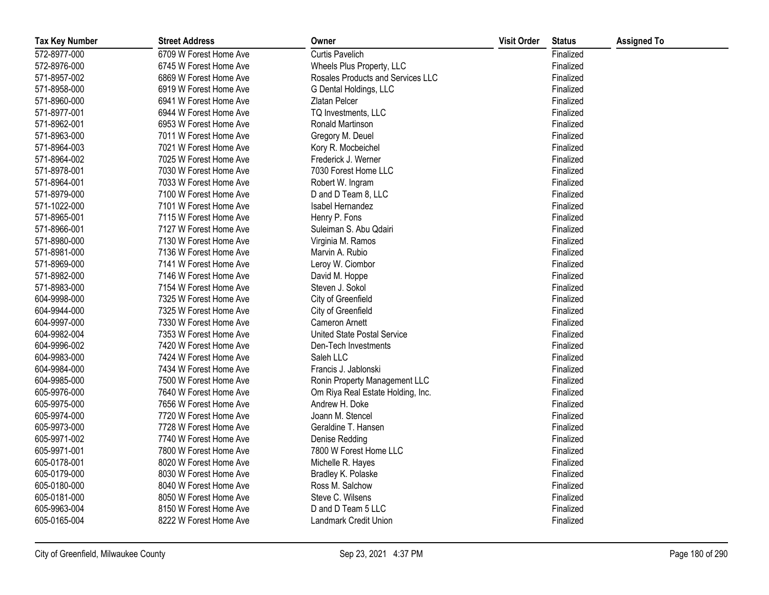| <b>Tax Key Number</b> | <b>Street Address</b>  | Owner                             | <b>Visit Order</b> | <b>Status</b> | <b>Assigned To</b> |
|-----------------------|------------------------|-----------------------------------|--------------------|---------------|--------------------|
| 572-8977-000          | 6709 W Forest Home Ave | <b>Curtis Pavelich</b>            |                    | Finalized     |                    |
| 572-8976-000          | 6745 W Forest Home Ave | Wheels Plus Property, LLC         |                    | Finalized     |                    |
| 571-8957-002          | 6869 W Forest Home Ave | Rosales Products and Services LLC |                    | Finalized     |                    |
| 571-8958-000          | 6919 W Forest Home Ave | G Dental Holdings, LLC            |                    | Finalized     |                    |
| 571-8960-000          | 6941 W Forest Home Ave | Zlatan Pelcer                     |                    | Finalized     |                    |
| 571-8977-001          | 6944 W Forest Home Ave | TQ Investments, LLC               |                    | Finalized     |                    |
| 571-8962-001          | 6953 W Forest Home Ave | Ronald Martinson                  |                    | Finalized     |                    |
| 571-8963-000          | 7011 W Forest Home Ave | Gregory M. Deuel                  |                    | Finalized     |                    |
| 571-8964-003          | 7021 W Forest Home Ave | Kory R. Mocbeichel                |                    | Finalized     |                    |
| 571-8964-002          | 7025 W Forest Home Ave | Frederick J. Werner               |                    | Finalized     |                    |
| 571-8978-001          | 7030 W Forest Home Ave | 7030 Forest Home LLC              |                    | Finalized     |                    |
| 571-8964-001          | 7033 W Forest Home Ave | Robert W. Ingram                  |                    | Finalized     |                    |
| 571-8979-000          | 7100 W Forest Home Ave | D and D Team 8, LLC               |                    | Finalized     |                    |
| 571-1022-000          | 7101 W Forest Home Ave | Isabel Hernandez                  |                    | Finalized     |                    |
| 571-8965-001          | 7115 W Forest Home Ave | Henry P. Fons                     |                    | Finalized     |                    |
| 571-8966-001          | 7127 W Forest Home Ave | Suleiman S. Abu Qdairi            |                    | Finalized     |                    |
| 571-8980-000          | 7130 W Forest Home Ave | Virginia M. Ramos                 |                    | Finalized     |                    |
| 571-8981-000          | 7136 W Forest Home Ave | Marvin A. Rubio                   |                    | Finalized     |                    |
| 571-8969-000          | 7141 W Forest Home Ave | Leroy W. Ciombor                  |                    | Finalized     |                    |
| 571-8982-000          | 7146 W Forest Home Ave | David M. Hoppe                    |                    | Finalized     |                    |
| 571-8983-000          | 7154 W Forest Home Ave | Steven J. Sokol                   |                    | Finalized     |                    |
| 604-9998-000          | 7325 W Forest Home Ave | City of Greenfield                |                    | Finalized     |                    |
| 604-9944-000          | 7325 W Forest Home Ave | City of Greenfield                |                    | Finalized     |                    |
| 604-9997-000          | 7330 W Forest Home Ave | Cameron Arnett                    |                    | Finalized     |                    |
| 604-9982-004          | 7353 W Forest Home Ave | United State Postal Service       |                    | Finalized     |                    |
| 604-9996-002          | 7420 W Forest Home Ave | Den-Tech Investments              |                    | Finalized     |                    |
| 604-9983-000          | 7424 W Forest Home Ave | Saleh LLC                         |                    | Finalized     |                    |
| 604-9984-000          | 7434 W Forest Home Ave | Francis J. Jablonski              |                    | Finalized     |                    |
| 604-9985-000          | 7500 W Forest Home Ave | Ronin Property Management LLC     |                    | Finalized     |                    |
| 605-9976-000          | 7640 W Forest Home Ave | Om Riya Real Estate Holding, Inc. |                    | Finalized     |                    |
| 605-9975-000          | 7656 W Forest Home Ave | Andrew H. Doke                    |                    | Finalized     |                    |
| 605-9974-000          | 7720 W Forest Home Ave | Joann M. Stencel                  |                    | Finalized     |                    |
| 605-9973-000          | 7728 W Forest Home Ave | Geraldine T. Hansen               |                    | Finalized     |                    |
| 605-9971-002          | 7740 W Forest Home Ave | Denise Redding                    |                    | Finalized     |                    |
| 605-9971-001          | 7800 W Forest Home Ave | 7800 W Forest Home LLC            |                    | Finalized     |                    |
| 605-0178-001          | 8020 W Forest Home Ave | Michelle R. Hayes                 |                    | Finalized     |                    |
| 605-0179-000          | 8030 W Forest Home Ave | Bradley K. Polaske                |                    | Finalized     |                    |
| 605-0180-000          | 8040 W Forest Home Ave | Ross M. Salchow                   |                    | Finalized     |                    |
| 605-0181-000          | 8050 W Forest Home Ave | Steve C. Wilsens                  |                    | Finalized     |                    |
| 605-9963-004          | 8150 W Forest Home Ave | D and D Team 5 LLC                |                    | Finalized     |                    |
| 605-0165-004          | 8222 W Forest Home Ave | Landmark Credit Union             |                    | Finalized     |                    |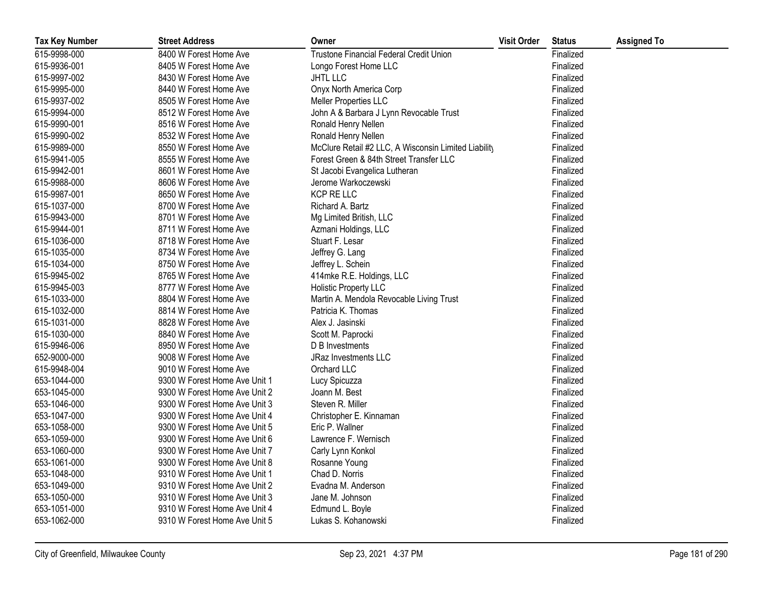| <b>Tax Key Number</b> | <b>Street Address</b>         | Owner                                                | <b>Visit Order</b> | <b>Status</b> | <b>Assigned To</b> |
|-----------------------|-------------------------------|------------------------------------------------------|--------------------|---------------|--------------------|
| 615-9998-000          | 8400 W Forest Home Ave        | Trustone Financial Federal Credit Union              |                    | Finalized     |                    |
| 615-9936-001          | 8405 W Forest Home Ave        | Longo Forest Home LLC                                |                    | Finalized     |                    |
| 615-9997-002          | 8430 W Forest Home Ave        | <b>JHTL LLC</b>                                      |                    | Finalized     |                    |
| 615-9995-000          | 8440 W Forest Home Ave        | Onyx North America Corp                              |                    | Finalized     |                    |
| 615-9937-002          | 8505 W Forest Home Ave        | Meller Properties LLC                                |                    | Finalized     |                    |
| 615-9994-000          | 8512 W Forest Home Ave        | John A & Barbara J Lynn Revocable Trust              |                    | Finalized     |                    |
| 615-9990-001          | 8516 W Forest Home Ave        | Ronald Henry Nellen                                  |                    | Finalized     |                    |
| 615-9990-002          | 8532 W Forest Home Ave        | Ronald Henry Nellen                                  |                    | Finalized     |                    |
| 615-9989-000          | 8550 W Forest Home Ave        | McClure Retail #2 LLC, A Wisconsin Limited Liability |                    | Finalized     |                    |
| 615-9941-005          | 8555 W Forest Home Ave        | Forest Green & 84th Street Transfer LLC              |                    | Finalized     |                    |
| 615-9942-001          | 8601 W Forest Home Ave        | St Jacobi Evangelica Lutheran                        |                    | Finalized     |                    |
| 615-9988-000          | 8606 W Forest Home Ave        | Jerome Warkoczewski                                  |                    | Finalized     |                    |
| 615-9987-001          | 8650 W Forest Home Ave        | KCP RE LLC                                           |                    | Finalized     |                    |
| 615-1037-000          | 8700 W Forest Home Ave        | Richard A. Bartz                                     |                    | Finalized     |                    |
| 615-9943-000          | 8701 W Forest Home Ave        | Mg Limited British, LLC                              |                    | Finalized     |                    |
| 615-9944-001          | 8711 W Forest Home Ave        | Azmani Holdings, LLC                                 |                    | Finalized     |                    |
| 615-1036-000          | 8718 W Forest Home Ave        | Stuart F. Lesar                                      |                    | Finalized     |                    |
| 615-1035-000          | 8734 W Forest Home Ave        | Jeffrey G. Lang                                      |                    | Finalized     |                    |
| 615-1034-000          | 8750 W Forest Home Ave        | Jeffrey L. Schein                                    |                    | Finalized     |                    |
| 615-9945-002          | 8765 W Forest Home Ave        | 414mke R.E. Holdings, LLC                            |                    | Finalized     |                    |
| 615-9945-003          | 8777 W Forest Home Ave        | Holistic Property LLC                                |                    | Finalized     |                    |
| 615-1033-000          | 8804 W Forest Home Ave        | Martin A. Mendola Revocable Living Trust             |                    | Finalized     |                    |
| 615-1032-000          | 8814 W Forest Home Ave        | Patricia K. Thomas                                   |                    | Finalized     |                    |
| 615-1031-000          | 8828 W Forest Home Ave        | Alex J. Jasinski                                     |                    | Finalized     |                    |
| 615-1030-000          | 8840 W Forest Home Ave        | Scott M. Paprocki                                    |                    | Finalized     |                    |
| 615-9946-006          | 8950 W Forest Home Ave        | D B Investments                                      |                    | Finalized     |                    |
| 652-9000-000          | 9008 W Forest Home Ave        | <b>JRaz Investments LLC</b>                          |                    | Finalized     |                    |
| 615-9948-004          | 9010 W Forest Home Ave        | Orchard LLC                                          |                    | Finalized     |                    |
| 653-1044-000          | 9300 W Forest Home Ave Unit 1 | Lucy Spicuzza                                        |                    | Finalized     |                    |
| 653-1045-000          | 9300 W Forest Home Ave Unit 2 | Joann M. Best                                        |                    | Finalized     |                    |
| 653-1046-000          | 9300 W Forest Home Ave Unit 3 | Steven R. Miller                                     |                    | Finalized     |                    |
| 653-1047-000          | 9300 W Forest Home Ave Unit 4 | Christopher E. Kinnaman                              |                    | Finalized     |                    |
| 653-1058-000          | 9300 W Forest Home Ave Unit 5 | Eric P. Wallner                                      |                    | Finalized     |                    |
| 653-1059-000          | 9300 W Forest Home Ave Unit 6 | Lawrence F. Wernisch                                 |                    | Finalized     |                    |
| 653-1060-000          | 9300 W Forest Home Ave Unit 7 | Carly Lynn Konkol                                    |                    | Finalized     |                    |
| 653-1061-000          | 9300 W Forest Home Ave Unit 8 | Rosanne Young                                        |                    | Finalized     |                    |
| 653-1048-000          | 9310 W Forest Home Ave Unit 1 | Chad D. Norris                                       |                    | Finalized     |                    |
| 653-1049-000          | 9310 W Forest Home Ave Unit 2 | Evadna M. Anderson                                   |                    | Finalized     |                    |
| 653-1050-000          | 9310 W Forest Home Ave Unit 3 | Jane M. Johnson                                      |                    | Finalized     |                    |
| 653-1051-000          | 9310 W Forest Home Ave Unit 4 | Edmund L. Boyle                                      |                    | Finalized     |                    |
| 653-1062-000          | 9310 W Forest Home Ave Unit 5 | Lukas S. Kohanowski                                  |                    | Finalized     |                    |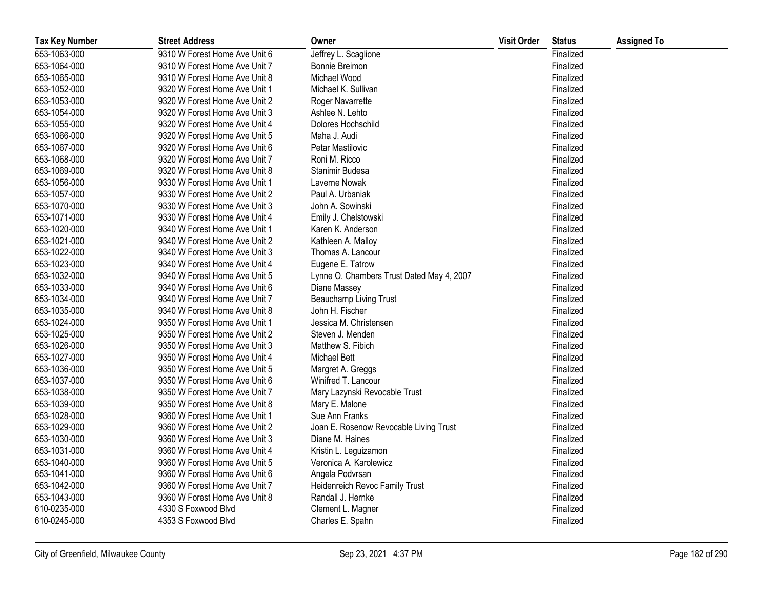| <b>Tax Key Number</b> | <b>Street Address</b>         | Owner                                     | <b>Visit Order</b> | <b>Status</b> | <b>Assigned To</b> |
|-----------------------|-------------------------------|-------------------------------------------|--------------------|---------------|--------------------|
| 653-1063-000          | 9310 W Forest Home Ave Unit 6 | Jeffrey L. Scaglione                      |                    | Finalized     |                    |
| 653-1064-000          | 9310 W Forest Home Ave Unit 7 | Bonnie Breimon                            |                    | Finalized     |                    |
| 653-1065-000          | 9310 W Forest Home Ave Unit 8 | Michael Wood                              |                    | Finalized     |                    |
| 653-1052-000          | 9320 W Forest Home Ave Unit 1 | Michael K. Sullivan                       |                    | Finalized     |                    |
| 653-1053-000          | 9320 W Forest Home Ave Unit 2 | Roger Navarrette                          |                    | Finalized     |                    |
| 653-1054-000          | 9320 W Forest Home Ave Unit 3 | Ashlee N. Lehto                           |                    | Finalized     |                    |
| 653-1055-000          | 9320 W Forest Home Ave Unit 4 | Dolores Hochschild                        |                    | Finalized     |                    |
| 653-1066-000          | 9320 W Forest Home Ave Unit 5 | Maha J. Audi                              |                    | Finalized     |                    |
| 653-1067-000          | 9320 W Forest Home Ave Unit 6 | Petar Mastilovic                          |                    | Finalized     |                    |
| 653-1068-000          | 9320 W Forest Home Ave Unit 7 | Roni M. Ricco                             |                    | Finalized     |                    |
| 653-1069-000          | 9320 W Forest Home Ave Unit 8 | Stanimir Budesa                           |                    | Finalized     |                    |
| 653-1056-000          | 9330 W Forest Home Ave Unit 1 | Laverne Nowak                             |                    | Finalized     |                    |
| 653-1057-000          | 9330 W Forest Home Ave Unit 2 | Paul A. Urbaniak                          |                    | Finalized     |                    |
| 653-1070-000          | 9330 W Forest Home Ave Unit 3 | John A. Sowinski                          |                    | Finalized     |                    |
| 653-1071-000          | 9330 W Forest Home Ave Unit 4 | Emily J. Chelstowski                      |                    | Finalized     |                    |
| 653-1020-000          | 9340 W Forest Home Ave Unit 1 | Karen K. Anderson                         |                    | Finalized     |                    |
| 653-1021-000          | 9340 W Forest Home Ave Unit 2 | Kathleen A. Malloy                        |                    | Finalized     |                    |
| 653-1022-000          | 9340 W Forest Home Ave Unit 3 | Thomas A. Lancour                         |                    | Finalized     |                    |
| 653-1023-000          | 9340 W Forest Home Ave Unit 4 | Eugene E. Tatrow                          |                    | Finalized     |                    |
| 653-1032-000          | 9340 W Forest Home Ave Unit 5 | Lynne O. Chambers Trust Dated May 4, 2007 |                    | Finalized     |                    |
| 653-1033-000          | 9340 W Forest Home Ave Unit 6 | Diane Massey                              |                    | Finalized     |                    |
| 653-1034-000          | 9340 W Forest Home Ave Unit 7 | Beauchamp Living Trust                    |                    | Finalized     |                    |
| 653-1035-000          | 9340 W Forest Home Ave Unit 8 | John H. Fischer                           |                    | Finalized     |                    |
| 653-1024-000          | 9350 W Forest Home Ave Unit 1 | Jessica M. Christensen                    |                    | Finalized     |                    |
| 653-1025-000          | 9350 W Forest Home Ave Unit 2 | Steven J. Menden                          |                    | Finalized     |                    |
| 653-1026-000          | 9350 W Forest Home Ave Unit 3 | Matthew S. Fibich                         |                    | Finalized     |                    |
| 653-1027-000          | 9350 W Forest Home Ave Unit 4 | Michael Bett                              |                    | Finalized     |                    |
| 653-1036-000          | 9350 W Forest Home Ave Unit 5 | Margret A. Greggs                         |                    | Finalized     |                    |
| 653-1037-000          | 9350 W Forest Home Ave Unit 6 | Winifred T. Lancour                       |                    | Finalized     |                    |
| 653-1038-000          | 9350 W Forest Home Ave Unit 7 | Mary Lazynski Revocable Trust             |                    | Finalized     |                    |
| 653-1039-000          | 9350 W Forest Home Ave Unit 8 | Mary E. Malone                            |                    | Finalized     |                    |
| 653-1028-000          | 9360 W Forest Home Ave Unit 1 | Sue Ann Franks                            |                    | Finalized     |                    |
| 653-1029-000          | 9360 W Forest Home Ave Unit 2 | Joan E. Rosenow Revocable Living Trust    |                    | Finalized     |                    |
| 653-1030-000          | 9360 W Forest Home Ave Unit 3 | Diane M. Haines                           |                    | Finalized     |                    |
| 653-1031-000          | 9360 W Forest Home Ave Unit 4 | Kristin L. Leguizamon                     |                    | Finalized     |                    |
| 653-1040-000          | 9360 W Forest Home Ave Unit 5 | Veronica A. Karolewicz                    |                    | Finalized     |                    |
| 653-1041-000          | 9360 W Forest Home Ave Unit 6 | Angela Podvrsan                           |                    | Finalized     |                    |
| 653-1042-000          | 9360 W Forest Home Ave Unit 7 | Heidenreich Revoc Family Trust            |                    | Finalized     |                    |
| 653-1043-000          | 9360 W Forest Home Ave Unit 8 | Randall J. Hernke                         |                    | Finalized     |                    |
| 610-0235-000          | 4330 S Foxwood Blvd           | Clement L. Magner                         |                    | Finalized     |                    |
| 610-0245-000          | 4353 S Foxwood Blvd           | Charles E. Spahn                          |                    | Finalized     |                    |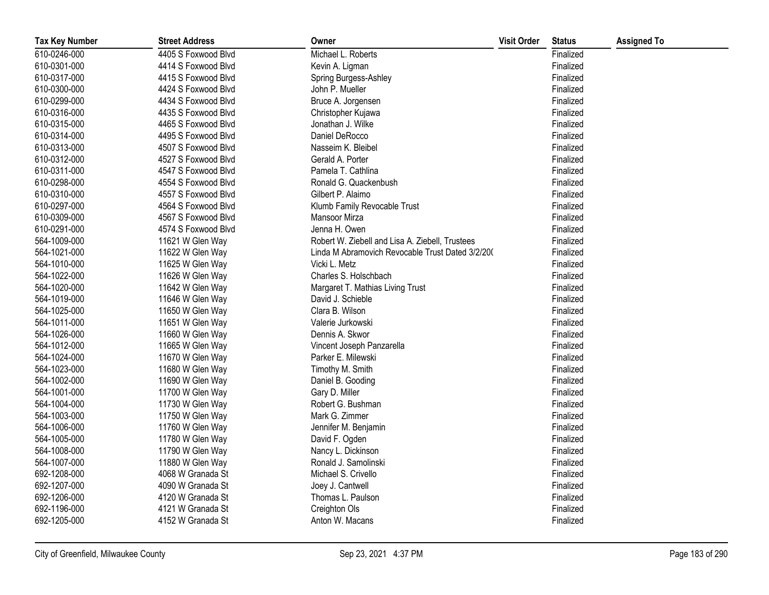| <b>Tax Key Number</b> | <b>Street Address</b> | Owner                                            | <b>Visit Order</b> | <b>Status</b> | <b>Assigned To</b> |
|-----------------------|-----------------------|--------------------------------------------------|--------------------|---------------|--------------------|
| 610-0246-000          | 4405 S Foxwood Blvd   | Michael L. Roberts                               |                    | Finalized     |                    |
| 610-0301-000          | 4414 S Foxwood Blvd   | Kevin A. Ligman                                  |                    | Finalized     |                    |
| 610-0317-000          | 4415 S Foxwood Blvd   | Spring Burgess-Ashley                            |                    | Finalized     |                    |
| 610-0300-000          | 4424 S Foxwood Blvd   | John P. Mueller                                  |                    | Finalized     |                    |
| 610-0299-000          | 4434 S Foxwood Blvd   | Bruce A. Jorgensen                               |                    | Finalized     |                    |
| 610-0316-000          | 4435 S Foxwood Blvd   | Christopher Kujawa                               |                    | Finalized     |                    |
| 610-0315-000          | 4465 S Foxwood Blvd   | Jonathan J. Wilke                                |                    | Finalized     |                    |
| 610-0314-000          | 4495 S Foxwood Blvd   | Daniel DeRocco                                   |                    | Finalized     |                    |
| 610-0313-000          | 4507 S Foxwood Blvd   | Nasseim K. Bleibel                               |                    | Finalized     |                    |
| 610-0312-000          | 4527 S Foxwood Blvd   | Gerald A. Porter                                 |                    | Finalized     |                    |
| 610-0311-000          | 4547 S Foxwood Blvd   | Pamela T. Cathlina                               |                    | Finalized     |                    |
| 610-0298-000          | 4554 S Foxwood Blvd   | Ronald G. Quackenbush                            |                    | Finalized     |                    |
| 610-0310-000          | 4557 S Foxwood Blvd   | Gilbert P. Alaimo                                |                    | Finalized     |                    |
| 610-0297-000          | 4564 S Foxwood Blvd   | Klumb Family Revocable Trust                     |                    | Finalized     |                    |
| 610-0309-000          | 4567 S Foxwood Blvd   | Mansoor Mirza                                    |                    | Finalized     |                    |
| 610-0291-000          | 4574 S Foxwood Blvd   | Jenna H. Owen                                    |                    | Finalized     |                    |
| 564-1009-000          | 11621 W Glen Way      | Robert W. Ziebell and Lisa A. Ziebell, Trustees  |                    | Finalized     |                    |
| 564-1021-000          | 11622 W Glen Way      | Linda M Abramovich Revocable Trust Dated 3/2/200 |                    | Finalized     |                    |
| 564-1010-000          | 11625 W Glen Way      | Vicki L. Metz                                    |                    | Finalized     |                    |
| 564-1022-000          | 11626 W Glen Way      | Charles S. Holschbach                            |                    | Finalized     |                    |
| 564-1020-000          | 11642 W Glen Way      | Margaret T. Mathias Living Trust                 |                    | Finalized     |                    |
| 564-1019-000          | 11646 W Glen Way      | David J. Schieble                                |                    | Finalized     |                    |
| 564-1025-000          | 11650 W Glen Way      | Clara B. Wilson                                  |                    | Finalized     |                    |
| 564-1011-000          | 11651 W Glen Way      | Valerie Jurkowski                                |                    | Finalized     |                    |
| 564-1026-000          | 11660 W Glen Way      | Dennis A. Skwor                                  |                    | Finalized     |                    |
| 564-1012-000          | 11665 W Glen Way      | Vincent Joseph Panzarella                        |                    | Finalized     |                    |
| 564-1024-000          | 11670 W Glen Way      | Parker E. Milewski                               |                    | Finalized     |                    |
| 564-1023-000          | 11680 W Glen Way      | Timothy M. Smith                                 |                    | Finalized     |                    |
| 564-1002-000          | 11690 W Glen Way      | Daniel B. Gooding                                |                    | Finalized     |                    |
| 564-1001-000          | 11700 W Glen Way      | Gary D. Miller                                   |                    | Finalized     |                    |
| 564-1004-000          | 11730 W Glen Way      | Robert G. Bushman                                |                    | Finalized     |                    |
| 564-1003-000          | 11750 W Glen Way      | Mark G. Zimmer                                   |                    | Finalized     |                    |
| 564-1006-000          | 11760 W Glen Way      | Jennifer M. Benjamin                             |                    | Finalized     |                    |
| 564-1005-000          | 11780 W Glen Way      | David F. Ogden                                   |                    | Finalized     |                    |
| 564-1008-000          | 11790 W Glen Way      | Nancy L. Dickinson                               |                    | Finalized     |                    |
| 564-1007-000          | 11880 W Glen Way      | Ronald J. Samolinski                             |                    | Finalized     |                    |
| 692-1208-000          | 4068 W Granada St     | Michael S. Crivello                              |                    | Finalized     |                    |
| 692-1207-000          | 4090 W Granada St     | Joey J. Cantwell                                 |                    | Finalized     |                    |
| 692-1206-000          | 4120 W Granada St     | Thomas L. Paulson                                |                    | Finalized     |                    |
| 692-1196-000          | 4121 W Granada St     | Creighton Ols                                    |                    | Finalized     |                    |
| 692-1205-000          | 4152 W Granada St     | Anton W. Macans                                  |                    | Finalized     |                    |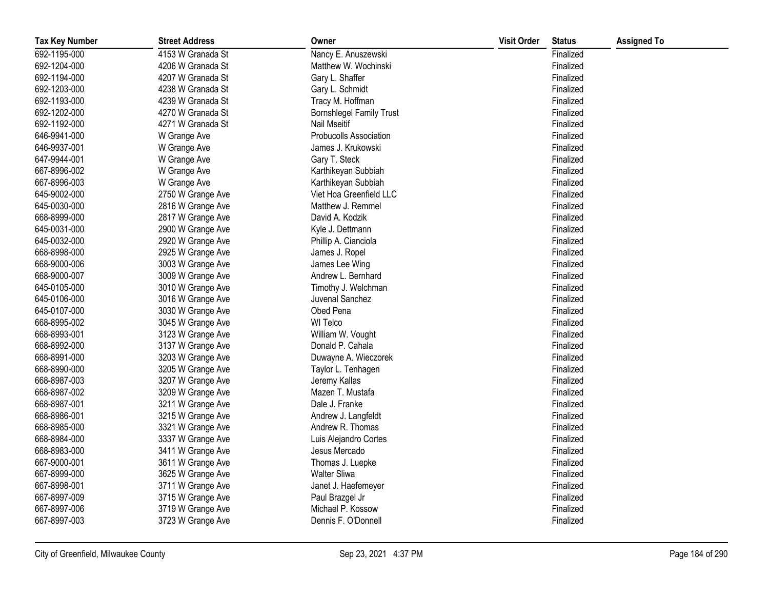| <b>Tax Key Number</b> | <b>Street Address</b> | Owner                           | <b>Visit Order</b> | <b>Status</b> | <b>Assigned To</b> |
|-----------------------|-----------------------|---------------------------------|--------------------|---------------|--------------------|
| 692-1195-000          | 4153 W Granada St     | Nancy E. Anuszewski             |                    | Finalized     |                    |
| 692-1204-000          | 4206 W Granada St     | Matthew W. Wochinski            |                    | Finalized     |                    |
| 692-1194-000          | 4207 W Granada St     | Gary L. Shaffer                 |                    | Finalized     |                    |
| 692-1203-000          | 4238 W Granada St     | Gary L. Schmidt                 |                    | Finalized     |                    |
| 692-1193-000          | 4239 W Granada St     | Tracy M. Hoffman                |                    | Finalized     |                    |
| 692-1202-000          | 4270 W Granada St     | <b>Bornshlegel Family Trust</b> |                    | Finalized     |                    |
| 692-1192-000          | 4271 W Granada St     | Nail Mseitif                    |                    | Finalized     |                    |
| 646-9941-000          | W Grange Ave          | <b>Probucolls Association</b>   |                    | Finalized     |                    |
| 646-9937-001          | W Grange Ave          | James J. Krukowski              |                    | Finalized     |                    |
| 647-9944-001          | W Grange Ave          | Gary T. Steck                   |                    | Finalized     |                    |
| 667-8996-002          | W Grange Ave          | Karthikeyan Subbiah             |                    | Finalized     |                    |
| 667-8996-003          | W Grange Ave          | Karthikeyan Subbiah             |                    | Finalized     |                    |
| 645-9002-000          | 2750 W Grange Ave     | Viet Hoa Greenfield LLC         |                    | Finalized     |                    |
| 645-0030-000          | 2816 W Grange Ave     | Matthew J. Remmel               |                    | Finalized     |                    |
| 668-8999-000          | 2817 W Grange Ave     | David A. Kodzik                 |                    | Finalized     |                    |
| 645-0031-000          | 2900 W Grange Ave     | Kyle J. Dettmann                |                    | Finalized     |                    |
| 645-0032-000          | 2920 W Grange Ave     | Phillip A. Cianciola            |                    | Finalized     |                    |
| 668-8998-000          | 2925 W Grange Ave     | James J. Ropel                  |                    | Finalized     |                    |
| 668-9000-006          | 3003 W Grange Ave     | James Lee Wing                  |                    | Finalized     |                    |
| 668-9000-007          | 3009 W Grange Ave     | Andrew L. Bernhard              |                    | Finalized     |                    |
| 645-0105-000          | 3010 W Grange Ave     | Timothy J. Welchman             |                    | Finalized     |                    |
| 645-0106-000          | 3016 W Grange Ave     | Juvenal Sanchez                 |                    | Finalized     |                    |
| 645-0107-000          | 3030 W Grange Ave     | Obed Pena                       |                    | Finalized     |                    |
| 668-8995-002          | 3045 W Grange Ave     | WI Telco                        |                    | Finalized     |                    |
| 668-8993-001          | 3123 W Grange Ave     | William W. Vought               |                    | Finalized     |                    |
| 668-8992-000          | 3137 W Grange Ave     | Donald P. Cahala                |                    | Finalized     |                    |
| 668-8991-000          | 3203 W Grange Ave     | Duwayne A. Wieczorek            |                    | Finalized     |                    |
| 668-8990-000          | 3205 W Grange Ave     | Taylor L. Tenhagen              |                    | Finalized     |                    |
| 668-8987-003          | 3207 W Grange Ave     | Jeremy Kallas                   |                    | Finalized     |                    |
| 668-8987-002          | 3209 W Grange Ave     | Mazen T. Mustafa                |                    | Finalized     |                    |
| 668-8987-001          | 3211 W Grange Ave     | Dale J. Franke                  |                    | Finalized     |                    |
| 668-8986-001          | 3215 W Grange Ave     | Andrew J. Langfeldt             |                    | Finalized     |                    |
| 668-8985-000          | 3321 W Grange Ave     | Andrew R. Thomas                |                    | Finalized     |                    |
| 668-8984-000          | 3337 W Grange Ave     | Luis Alejandro Cortes           |                    | Finalized     |                    |
| 668-8983-000          | 3411 W Grange Ave     | Jesus Mercado                   |                    | Finalized     |                    |
| 667-9000-001          | 3611 W Grange Ave     | Thomas J. Luepke                |                    | Finalized     |                    |
| 667-8999-000          | 3625 W Grange Ave     | <b>Walter Sliwa</b>             |                    | Finalized     |                    |
| 667-8998-001          | 3711 W Grange Ave     | Janet J. Haefemeyer             |                    | Finalized     |                    |
| 667-8997-009          | 3715 W Grange Ave     | Paul Brazgel Jr                 |                    | Finalized     |                    |
| 667-8997-006          | 3719 W Grange Ave     | Michael P. Kossow               |                    | Finalized     |                    |
| 667-8997-003          | 3723 W Grange Ave     | Dennis F. O'Donnell             |                    | Finalized     |                    |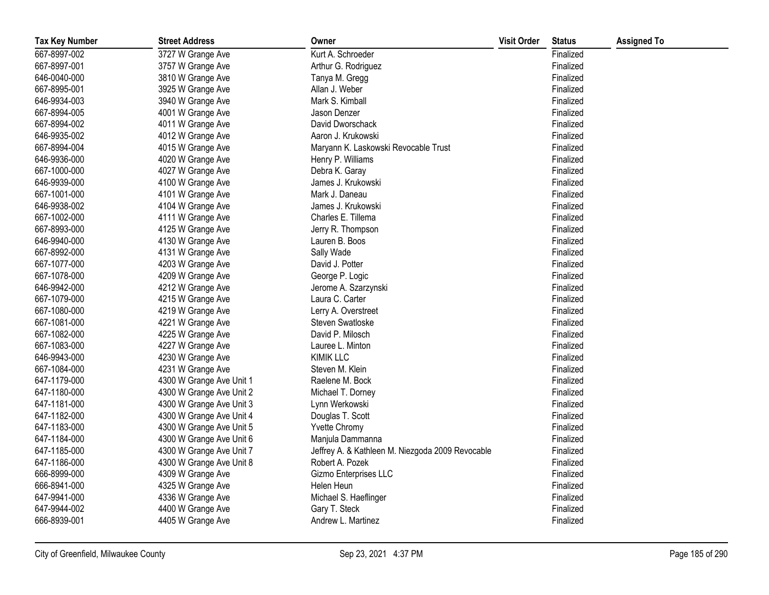| <b>Tax Key Number</b> | <b>Street Address</b>    | Owner                                            | <b>Visit Order</b> | <b>Status</b> | <b>Assigned To</b> |
|-----------------------|--------------------------|--------------------------------------------------|--------------------|---------------|--------------------|
| 667-8997-002          | 3727 W Grange Ave        | Kurt A. Schroeder                                |                    | Finalized     |                    |
| 667-8997-001          | 3757 W Grange Ave        | Arthur G. Rodriguez                              |                    | Finalized     |                    |
| 646-0040-000          | 3810 W Grange Ave        | Tanya M. Gregg                                   |                    | Finalized     |                    |
| 667-8995-001          | 3925 W Grange Ave        | Allan J. Weber                                   |                    | Finalized     |                    |
| 646-9934-003          | 3940 W Grange Ave        | Mark S. Kimball                                  |                    | Finalized     |                    |
| 667-8994-005          | 4001 W Grange Ave        | Jason Denzer                                     |                    | Finalized     |                    |
| 667-8994-002          | 4011 W Grange Ave        | David Dworschack                                 |                    | Finalized     |                    |
| 646-9935-002          | 4012 W Grange Ave        | Aaron J. Krukowski                               |                    | Finalized     |                    |
| 667-8994-004          | 4015 W Grange Ave        | Maryann K. Laskowski Revocable Trust             |                    | Finalized     |                    |
| 646-9936-000          | 4020 W Grange Ave        | Henry P. Williams                                |                    | Finalized     |                    |
| 667-1000-000          | 4027 W Grange Ave        | Debra K. Garay                                   |                    | Finalized     |                    |
| 646-9939-000          | 4100 W Grange Ave        | James J. Krukowski                               |                    | Finalized     |                    |
| 667-1001-000          | 4101 W Grange Ave        | Mark J. Daneau                                   |                    | Finalized     |                    |
| 646-9938-002          | 4104 W Grange Ave        | James J. Krukowski                               |                    | Finalized     |                    |
| 667-1002-000          | 4111 W Grange Ave        | Charles E. Tillema                               |                    | Finalized     |                    |
| 667-8993-000          | 4125 W Grange Ave        | Jerry R. Thompson                                |                    | Finalized     |                    |
| 646-9940-000          | 4130 W Grange Ave        | Lauren B. Boos                                   |                    | Finalized     |                    |
| 667-8992-000          | 4131 W Grange Ave        | Sally Wade                                       |                    | Finalized     |                    |
| 667-1077-000          | 4203 W Grange Ave        | David J. Potter                                  |                    | Finalized     |                    |
| 667-1078-000          | 4209 W Grange Ave        | George P. Logic                                  |                    | Finalized     |                    |
| 646-9942-000          | 4212 W Grange Ave        | Jerome A. Szarzynski                             |                    | Finalized     |                    |
| 667-1079-000          | 4215 W Grange Ave        | Laura C. Carter                                  |                    | Finalized     |                    |
| 667-1080-000          | 4219 W Grange Ave        | Lerry A. Overstreet                              |                    | Finalized     |                    |
| 667-1081-000          | 4221 W Grange Ave        | Steven Swatloske                                 |                    | Finalized     |                    |
| 667-1082-000          | 4225 W Grange Ave        | David P. Milosch                                 |                    | Finalized     |                    |
| 667-1083-000          | 4227 W Grange Ave        | Lauree L. Minton                                 |                    | Finalized     |                    |
| 646-9943-000          | 4230 W Grange Ave        | <b>KIMIK LLC</b>                                 |                    | Finalized     |                    |
| 667-1084-000          | 4231 W Grange Ave        | Steven M. Klein                                  |                    | Finalized     |                    |
| 647-1179-000          | 4300 W Grange Ave Unit 1 | Raelene M. Bock                                  |                    | Finalized     |                    |
| 647-1180-000          | 4300 W Grange Ave Unit 2 | Michael T. Dorney                                |                    | Finalized     |                    |
| 647-1181-000          | 4300 W Grange Ave Unit 3 | Lynn Werkowski                                   |                    | Finalized     |                    |
| 647-1182-000          | 4300 W Grange Ave Unit 4 | Douglas T. Scott                                 |                    | Finalized     |                    |
| 647-1183-000          | 4300 W Grange Ave Unit 5 | Yvette Chromy                                    |                    | Finalized     |                    |
| 647-1184-000          | 4300 W Grange Ave Unit 6 | Manjula Dammanna                                 |                    | Finalized     |                    |
| 647-1185-000          | 4300 W Grange Ave Unit 7 | Jeffrey A. & Kathleen M. Niezgoda 2009 Revocable |                    | Finalized     |                    |
| 647-1186-000          | 4300 W Grange Ave Unit 8 | Robert A. Pozek                                  |                    | Finalized     |                    |
| 666-8999-000          | 4309 W Grange Ave        | Gizmo Enterprises LLC                            |                    | Finalized     |                    |
| 666-8941-000          | 4325 W Grange Ave        | Helen Heun                                       |                    | Finalized     |                    |
| 647-9941-000          | 4336 W Grange Ave        | Michael S. Haeflinger                            |                    | Finalized     |                    |
| 647-9944-002          | 4400 W Grange Ave        | Gary T. Steck                                    |                    | Finalized     |                    |
| 666-8939-001          | 4405 W Grange Ave        | Andrew L. Martinez                               |                    | Finalized     |                    |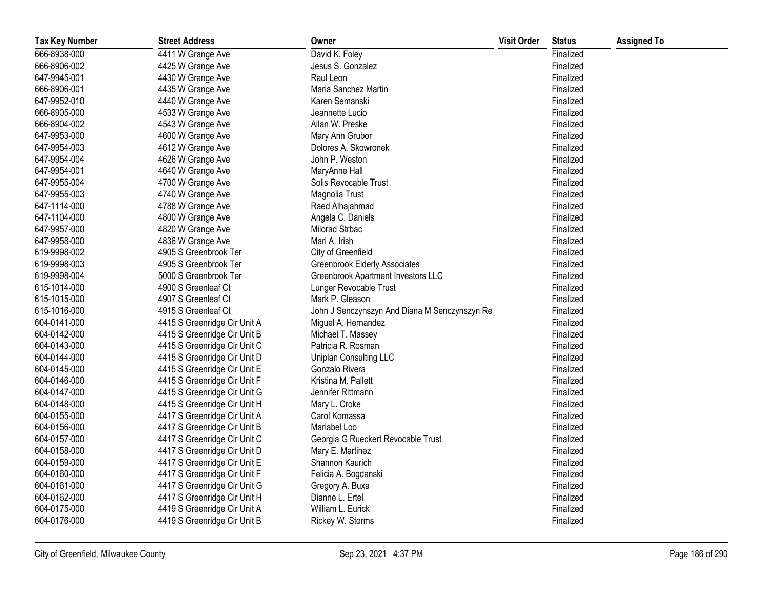| <b>Tax Key Number</b> | <b>Street Address</b>        | Owner                                          | <b>Visit Order</b> | <b>Status</b> | <b>Assigned To</b> |
|-----------------------|------------------------------|------------------------------------------------|--------------------|---------------|--------------------|
| 666-8938-000          | 4411 W Grange Ave            | David K. Foley                                 |                    | Finalized     |                    |
| 666-8906-002          | 4425 W Grange Ave            | Jesus S. Gonzalez                              |                    | Finalized     |                    |
| 647-9945-001          | 4430 W Grange Ave            | Raul Leon                                      |                    | Finalized     |                    |
| 666-8906-001          | 4435 W Grange Ave            | Maria Sanchez Martin                           |                    | Finalized     |                    |
| 647-9952-010          | 4440 W Grange Ave            | Karen Semanski                                 |                    | Finalized     |                    |
| 666-8905-000          | 4533 W Grange Ave            | Jeannette Lucio                                |                    | Finalized     |                    |
| 666-8904-002          | 4543 W Grange Ave            | Allan W. Preske                                |                    | Finalized     |                    |
| 647-9953-000          | 4600 W Grange Ave            | Mary Ann Grubor                                |                    | Finalized     |                    |
| 647-9954-003          | 4612 W Grange Ave            | Dolores A. Skowronek                           |                    | Finalized     |                    |
| 647-9954-004          | 4626 W Grange Ave            | John P. Weston                                 |                    | Finalized     |                    |
| 647-9954-001          | 4640 W Grange Ave            | MaryAnne Hall                                  |                    | Finalized     |                    |
| 647-9955-004          | 4700 W Grange Ave            | Solis Revocable Trust                          |                    | Finalized     |                    |
| 647-9955-003          | 4740 W Grange Ave            | Magnolia Trust                                 |                    | Finalized     |                    |
| 647-1114-000          | 4788 W Grange Ave            | Raed Alhajahmad                                |                    | Finalized     |                    |
| 647-1104-000          | 4800 W Grange Ave            | Angela C. Daniels                              |                    | Finalized     |                    |
| 647-9957-000          | 4820 W Grange Ave            | Milorad Strbac                                 |                    | Finalized     |                    |
| 647-9958-000          | 4836 W Grange Ave            | Mari A. Irish                                  |                    | Finalized     |                    |
| 619-9998-002          | 4905 S Greenbrook Ter        | City of Greenfield                             |                    | Finalized     |                    |
| 619-9998-003          | 4905 S Greenbrook Ter        | <b>Greenbrook Elderly Associates</b>           |                    | Finalized     |                    |
| 619-9998-004          | 5000 S Greenbrook Ter        | Greenbrook Apartment Investors LLC             |                    | Finalized     |                    |
| 615-1014-000          | 4900 S Greenleaf Ct          | Lunger Revocable Trust                         |                    | Finalized     |                    |
| 615-1015-000          | 4907 S Greenleaf Ct          | Mark P. Gleason                                |                    | Finalized     |                    |
| 615-1016-000          | 4915 S Greenleaf Ct          | John J Senczynszyn And Diana M Senczynszyn Rev |                    | Finalized     |                    |
| 604-0141-000          | 4415 S Greenridge Cir Unit A | Miguel A. Hernandez                            |                    | Finalized     |                    |
| 604-0142-000          | 4415 S Greenridge Cir Unit B | Michael T. Massey                              |                    | Finalized     |                    |
| 604-0143-000          | 4415 S Greenridge Cir Unit C | Patricia R. Rosman                             |                    | Finalized     |                    |
| 604-0144-000          | 4415 S Greenridge Cir Unit D | <b>Uniplan Consulting LLC</b>                  |                    | Finalized     |                    |
| 604-0145-000          | 4415 S Greenridge Cir Unit E | Gonzalo Rivera                                 |                    | Finalized     |                    |
| 604-0146-000          | 4415 S Greenridge Cir Unit F | Kristina M. Pallett                            |                    | Finalized     |                    |
| 604-0147-000          | 4415 S Greenridge Cir Unit G | Jennifer Rittmann                              |                    | Finalized     |                    |
| 604-0148-000          | 4415 S Greenridge Cir Unit H | Mary L. Croke                                  |                    | Finalized     |                    |
| 604-0155-000          | 4417 S Greenridge Cir Unit A | Carol Komassa                                  |                    | Finalized     |                    |
| 604-0156-000          | 4417 S Greenridge Cir Unit B | Mariabel Loo                                   |                    | Finalized     |                    |
| 604-0157-000          | 4417 S Greenridge Cir Unit C | Georgia G Rueckert Revocable Trust             |                    | Finalized     |                    |
| 604-0158-000          | 4417 S Greenridge Cir Unit D | Mary E. Martinez                               |                    | Finalized     |                    |
| 604-0159-000          | 4417 S Greenridge Cir Unit E | Shannon Kaurich                                |                    | Finalized     |                    |
| 604-0160-000          | 4417 S Greenridge Cir Unit F | Felicia A. Bogdanski                           |                    | Finalized     |                    |
| 604-0161-000          | 4417 S Greenridge Cir Unit G | Gregory A. Buxa                                |                    | Finalized     |                    |
| 604-0162-000          | 4417 S Greenridge Cir Unit H | Dianne L. Ertel                                |                    | Finalized     |                    |
| 604-0175-000          | 4419 S Greenridge Cir Unit A | William L. Eurick                              |                    | Finalized     |                    |
| 604-0176-000          | 4419 S Greenridge Cir Unit B | Rickey W. Storms                               |                    | Finalized     |                    |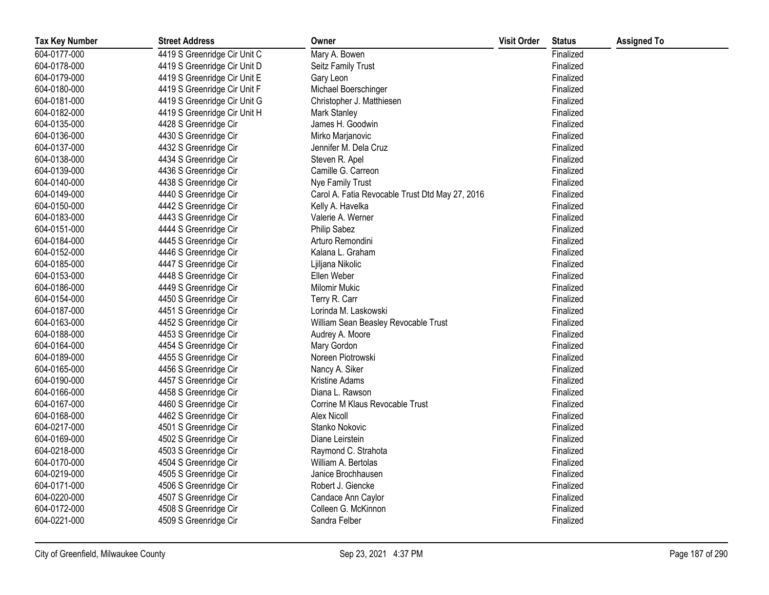| <b>Tax Key Number</b> | <b>Street Address</b>        | Owner                                           | <b>Visit Order</b> | <b>Status</b> | <b>Assigned To</b> |
|-----------------------|------------------------------|-------------------------------------------------|--------------------|---------------|--------------------|
| 604-0177-000          | 4419 S Greenridge Cir Unit C | Mary A. Bowen                                   |                    | Finalized     |                    |
| 604-0178-000          | 4419 S Greenridge Cir Unit D | Seitz Family Trust                              |                    | Finalized     |                    |
| 604-0179-000          | 4419 S Greenridge Cir Unit E | Gary Leon                                       |                    | Finalized     |                    |
| 604-0180-000          | 4419 S Greenridge Cir Unit F | Michael Boerschinger                            |                    | Finalized     |                    |
| 604-0181-000          | 4419 S Greenridge Cir Unit G | Christopher J. Matthiesen                       |                    | Finalized     |                    |
| 604-0182-000          | 4419 S Greenridge Cir Unit H | Mark Stanley                                    |                    | Finalized     |                    |
| 604-0135-000          | 4428 S Greenridge Cir        | James H. Goodwin                                |                    | Finalized     |                    |
| 604-0136-000          | 4430 S Greenridge Cir        | Mirko Marjanovic                                |                    | Finalized     |                    |
| 604-0137-000          | 4432 S Greenridge Cir        | Jennifer M. Dela Cruz                           |                    | Finalized     |                    |
| 604-0138-000          | 4434 S Greenridge Cir        | Steven R. Apel                                  |                    | Finalized     |                    |
| 604-0139-000          | 4436 S Greenridge Cir        | Camille G. Carreon                              |                    | Finalized     |                    |
| 604-0140-000          | 4438 S Greenridge Cir        | Nye Family Trust                                |                    | Finalized     |                    |
| 604-0149-000          | 4440 S Greenridge Cir        | Carol A. Fatia Revocable Trust Dtd May 27, 2016 |                    | Finalized     |                    |
| 604-0150-000          | 4442 S Greenridge Cir        | Kelly A. Havelka                                |                    | Finalized     |                    |
| 604-0183-000          | 4443 S Greenridge Cir        | Valerie A. Werner                               |                    | Finalized     |                    |
| 604-0151-000          | 4444 S Greenridge Cir        | <b>Philip Sabez</b>                             |                    | Finalized     |                    |
| 604-0184-000          | 4445 S Greenridge Cir        | Arturo Remondini                                |                    | Finalized     |                    |
| 604-0152-000          | 4446 S Greenridge Cir        | Kalana L. Graham                                |                    | Finalized     |                    |
| 604-0185-000          | 4447 S Greenridge Cir        | Ljiljana Nikolic                                |                    | Finalized     |                    |
| 604-0153-000          | 4448 S Greenridge Cir        | Ellen Weber                                     |                    | Finalized     |                    |
| 604-0186-000          | 4449 S Greenridge Cir        | <b>Milomir Mukic</b>                            |                    | Finalized     |                    |
| 604-0154-000          | 4450 S Greenridge Cir        | Terry R. Carr                                   |                    | Finalized     |                    |
| 604-0187-000          | 4451 S Greenridge Cir        | Lorinda M. Laskowski                            |                    | Finalized     |                    |
| 604-0163-000          | 4452 S Greenridge Cir        | William Sean Beasley Revocable Trust            |                    | Finalized     |                    |
| 604-0188-000          | 4453 S Greenridge Cir        | Audrey A. Moore                                 |                    | Finalized     |                    |
| 604-0164-000          | 4454 S Greenridge Cir        | Mary Gordon                                     |                    | Finalized     |                    |
| 604-0189-000          | 4455 S Greenridge Cir        | Noreen Piotrowski                               |                    | Finalized     |                    |
| 604-0165-000          | 4456 S Greenridge Cir        | Nancy A. Siker                                  |                    | Finalized     |                    |
| 604-0190-000          | 4457 S Greenridge Cir        | Kristine Adams                                  |                    | Finalized     |                    |
| 604-0166-000          | 4458 S Greenridge Cir        | Diana L. Rawson                                 |                    | Finalized     |                    |
| 604-0167-000          | 4460 S Greenridge Cir        | Corrine M Klaus Revocable Trust                 |                    | Finalized     |                    |
| 604-0168-000          | 4462 S Greenridge Cir        | <b>Alex Nicoll</b>                              |                    | Finalized     |                    |
| 604-0217-000          | 4501 S Greenridge Cir        | Stanko Nokovic                                  |                    | Finalized     |                    |
| 604-0169-000          | 4502 S Greenridge Cir        | Diane Leirstein                                 |                    | Finalized     |                    |
| 604-0218-000          | 4503 S Greenridge Cir        | Raymond C. Strahota                             |                    | Finalized     |                    |
| 604-0170-000          | 4504 S Greenridge Cir        | William A. Bertolas                             |                    | Finalized     |                    |
| 604-0219-000          | 4505 S Greenridge Cir        | Janice Brochhausen                              |                    | Finalized     |                    |
| 604-0171-000          | 4506 S Greenridge Cir        | Robert J. Giencke                               |                    | Finalized     |                    |
| 604-0220-000          | 4507 S Greenridge Cir        | Candace Ann Caylor                              |                    | Finalized     |                    |
| 604-0172-000          | 4508 S Greenridge Cir        | Colleen G. McKinnon                             |                    | Finalized     |                    |
| 604-0221-000          | 4509 S Greenridge Cir        | Sandra Felber                                   |                    | Finalized     |                    |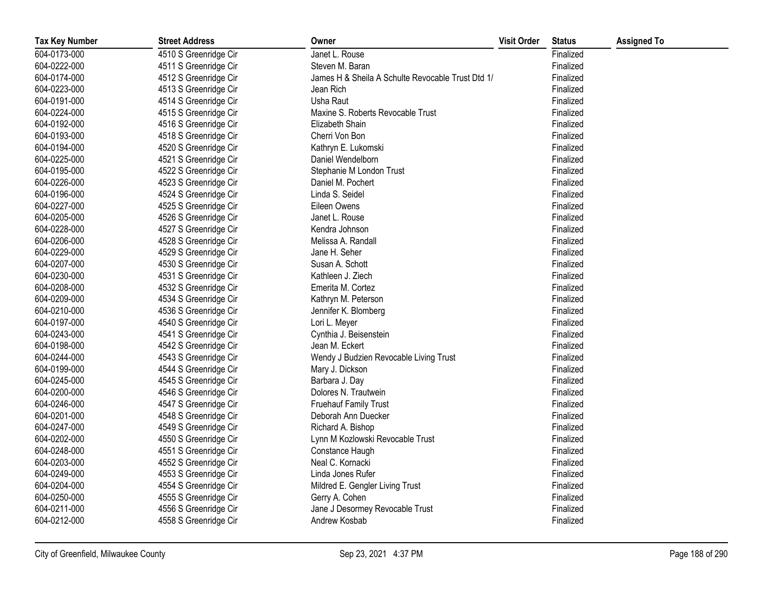| <b>Tax Key Number</b> | <b>Street Address</b> | Owner                                             | <b>Visit Order</b> | <b>Status</b> | <b>Assigned To</b> |
|-----------------------|-----------------------|---------------------------------------------------|--------------------|---------------|--------------------|
| 604-0173-000          | 4510 S Greenridge Cir | Janet L. Rouse                                    |                    | Finalized     |                    |
| 604-0222-000          | 4511 S Greenridge Cir | Steven M. Baran                                   |                    | Finalized     |                    |
| 604-0174-000          | 4512 S Greenridge Cir | James H & Sheila A Schulte Revocable Trust Dtd 1/ |                    | Finalized     |                    |
| 604-0223-000          | 4513 S Greenridge Cir | Jean Rich                                         |                    | Finalized     |                    |
| 604-0191-000          | 4514 S Greenridge Cir | Usha Raut                                         |                    | Finalized     |                    |
| 604-0224-000          | 4515 S Greenridge Cir | Maxine S. Roberts Revocable Trust                 |                    | Finalized     |                    |
| 604-0192-000          | 4516 S Greenridge Cir | Elizabeth Shain                                   |                    | Finalized     |                    |
| 604-0193-000          | 4518 S Greenridge Cir | Cherri Von Bon                                    |                    | Finalized     |                    |
| 604-0194-000          | 4520 S Greenridge Cir | Kathryn E. Lukomski                               |                    | Finalized     |                    |
| 604-0225-000          | 4521 S Greenridge Cir | Daniel Wendelborn                                 |                    | Finalized     |                    |
| 604-0195-000          | 4522 S Greenridge Cir | Stephanie M London Trust                          |                    | Finalized     |                    |
| 604-0226-000          | 4523 S Greenridge Cir | Daniel M. Pochert                                 |                    | Finalized     |                    |
| 604-0196-000          | 4524 S Greenridge Cir | Linda S. Seidel                                   |                    | Finalized     |                    |
| 604-0227-000          | 4525 S Greenridge Cir | Eileen Owens                                      |                    | Finalized     |                    |
| 604-0205-000          | 4526 S Greenridge Cir | Janet L. Rouse                                    |                    | Finalized     |                    |
| 604-0228-000          | 4527 S Greenridge Cir | Kendra Johnson                                    |                    | Finalized     |                    |
| 604-0206-000          | 4528 S Greenridge Cir | Melissa A. Randall                                |                    | Finalized     |                    |
| 604-0229-000          | 4529 S Greenridge Cir | Jane H. Seher                                     |                    | Finalized     |                    |
| 604-0207-000          | 4530 S Greenridge Cir | Susan A. Schott                                   |                    | Finalized     |                    |
| 604-0230-000          | 4531 S Greenridge Cir | Kathleen J. Ziech                                 |                    | Finalized     |                    |
| 604-0208-000          | 4532 S Greenridge Cir | Emerita M. Cortez                                 |                    | Finalized     |                    |
| 604-0209-000          | 4534 S Greenridge Cir | Kathryn M. Peterson                               |                    | Finalized     |                    |
| 604-0210-000          | 4536 S Greenridge Cir | Jennifer K. Blomberg                              |                    | Finalized     |                    |
| 604-0197-000          | 4540 S Greenridge Cir | Lori L. Meyer                                     |                    | Finalized     |                    |
| 604-0243-000          | 4541 S Greenridge Cir | Cynthia J. Beisenstein                            |                    | Finalized     |                    |
| 604-0198-000          | 4542 S Greenridge Cir | Jean M. Eckert                                    |                    | Finalized     |                    |
| 604-0244-000          | 4543 S Greenridge Cir | Wendy J Budzien Revocable Living Trust            |                    | Finalized     |                    |
| 604-0199-000          | 4544 S Greenridge Cir | Mary J. Dickson                                   |                    | Finalized     |                    |
| 604-0245-000          | 4545 S Greenridge Cir | Barbara J. Day                                    |                    | Finalized     |                    |
| 604-0200-000          | 4546 S Greenridge Cir | Dolores N. Trautwein                              |                    | Finalized     |                    |
| 604-0246-000          | 4547 S Greenridge Cir | <b>Fruehauf Family Trust</b>                      |                    | Finalized     |                    |
| 604-0201-000          | 4548 S Greenridge Cir | Deborah Ann Duecker                               |                    | Finalized     |                    |
| 604-0247-000          | 4549 S Greenridge Cir | Richard A. Bishop                                 |                    | Finalized     |                    |
| 604-0202-000          | 4550 S Greenridge Cir | Lynn M Kozlowski Revocable Trust                  |                    | Finalized     |                    |
| 604-0248-000          | 4551 S Greenridge Cir | Constance Haugh                                   |                    | Finalized     |                    |
| 604-0203-000          | 4552 S Greenridge Cir | Neal C. Kornacki                                  |                    | Finalized     |                    |
| 604-0249-000          | 4553 S Greenridge Cir | Linda Jones Rufer                                 |                    | Finalized     |                    |
| 604-0204-000          | 4554 S Greenridge Cir | Mildred E. Gengler Living Trust                   |                    | Finalized     |                    |
| 604-0250-000          | 4555 S Greenridge Cir | Gerry A. Cohen                                    |                    | Finalized     |                    |
| 604-0211-000          | 4556 S Greenridge Cir | Jane J Desormey Revocable Trust                   |                    | Finalized     |                    |
| 604-0212-000          | 4558 S Greenridge Cir | Andrew Kosbab                                     |                    | Finalized     |                    |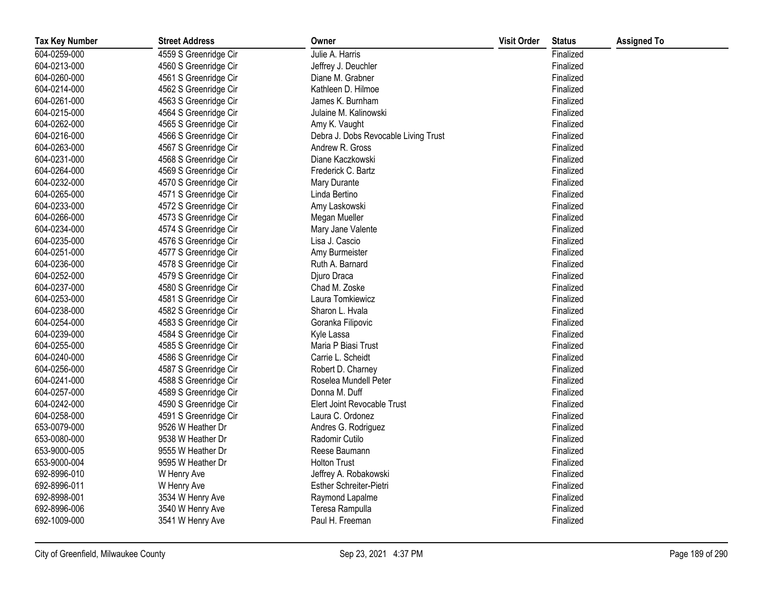| <b>Tax Key Number</b> | <b>Street Address</b> | Owner                                | <b>Visit Order</b> | <b>Status</b> | <b>Assigned To</b> |
|-----------------------|-----------------------|--------------------------------------|--------------------|---------------|--------------------|
| 604-0259-000          | 4559 S Greenridge Cir | Julie A. Harris                      |                    | Finalized     |                    |
| 604-0213-000          | 4560 S Greenridge Cir | Jeffrey J. Deuchler                  |                    | Finalized     |                    |
| 604-0260-000          | 4561 S Greenridge Cir | Diane M. Grabner                     |                    | Finalized     |                    |
| 604-0214-000          | 4562 S Greenridge Cir | Kathleen D. Hilmoe                   |                    | Finalized     |                    |
| 604-0261-000          | 4563 S Greenridge Cir | James K. Burnham                     |                    | Finalized     |                    |
| 604-0215-000          | 4564 S Greenridge Cir | Julaine M. Kalinowski                |                    | Finalized     |                    |
| 604-0262-000          | 4565 S Greenridge Cir | Amy K. Vaught                        |                    | Finalized     |                    |
| 604-0216-000          | 4566 S Greenridge Cir | Debra J. Dobs Revocable Living Trust |                    | Finalized     |                    |
| 604-0263-000          | 4567 S Greenridge Cir | Andrew R. Gross                      |                    | Finalized     |                    |
| 604-0231-000          | 4568 S Greenridge Cir | Diane Kaczkowski                     |                    | Finalized     |                    |
| 604-0264-000          | 4569 S Greenridge Cir | Frederick C. Bartz                   |                    | Finalized     |                    |
| 604-0232-000          | 4570 S Greenridge Cir | Mary Durante                         |                    | Finalized     |                    |
| 604-0265-000          | 4571 S Greenridge Cir | Linda Bertino                        |                    | Finalized     |                    |
| 604-0233-000          | 4572 S Greenridge Cir | Amy Laskowski                        |                    | Finalized     |                    |
| 604-0266-000          | 4573 S Greenridge Cir | Megan Mueller                        |                    | Finalized     |                    |
| 604-0234-000          | 4574 S Greenridge Cir | Mary Jane Valente                    |                    | Finalized     |                    |
| 604-0235-000          | 4576 S Greenridge Cir | Lisa J. Cascio                       |                    | Finalized     |                    |
| 604-0251-000          | 4577 S Greenridge Cir | Amy Burmeister                       |                    | Finalized     |                    |
| 604-0236-000          | 4578 S Greenridge Cir | Ruth A. Barnard                      |                    | Finalized     |                    |
| 604-0252-000          | 4579 S Greenridge Cir | Djuro Draca                          |                    | Finalized     |                    |
| 604-0237-000          | 4580 S Greenridge Cir | Chad M. Zoske                        |                    | Finalized     |                    |
| 604-0253-000          | 4581 S Greenridge Cir | Laura Tomkiewicz                     |                    | Finalized     |                    |
| 604-0238-000          | 4582 S Greenridge Cir | Sharon L. Hvala                      |                    | Finalized     |                    |
| 604-0254-000          | 4583 S Greenridge Cir | Goranka Filipovic                    |                    | Finalized     |                    |
| 604-0239-000          | 4584 S Greenridge Cir | Kyle Lassa                           |                    | Finalized     |                    |
| 604-0255-000          | 4585 S Greenridge Cir | Maria P Biasi Trust                  |                    | Finalized     |                    |
| 604-0240-000          | 4586 S Greenridge Cir | Carrie L. Scheidt                    |                    | Finalized     |                    |
| 604-0256-000          | 4587 S Greenridge Cir | Robert D. Charney                    |                    | Finalized     |                    |
| 604-0241-000          | 4588 S Greenridge Cir | Roselea Mundell Peter                |                    | Finalized     |                    |
| 604-0257-000          | 4589 S Greenridge Cir | Donna M. Duff                        |                    | Finalized     |                    |
| 604-0242-000          | 4590 S Greenridge Cir | Elert Joint Revocable Trust          |                    | Finalized     |                    |
| 604-0258-000          | 4591 S Greenridge Cir | Laura C. Ordonez                     |                    | Finalized     |                    |
| 653-0079-000          | 9526 W Heather Dr     | Andres G. Rodriguez                  |                    | Finalized     |                    |
| 653-0080-000          | 9538 W Heather Dr     | Radomir Cutilo                       |                    | Finalized     |                    |
| 653-9000-005          | 9555 W Heather Dr     | Reese Baumann                        |                    | Finalized     |                    |
| 653-9000-004          | 9595 W Heather Dr     | <b>Holton Trust</b>                  |                    | Finalized     |                    |
| 692-8996-010          | W Henry Ave           | Jeffrey A. Robakowski                |                    | Finalized     |                    |
| 692-8996-011          | W Henry Ave           | Esther Schreiter-Pietri              |                    | Finalized     |                    |
| 692-8998-001          | 3534 W Henry Ave      | Raymond Lapalme                      |                    | Finalized     |                    |
| 692-8996-006          | 3540 W Henry Ave      | Teresa Rampulla                      |                    | Finalized     |                    |
| 692-1009-000          | 3541 W Henry Ave      | Paul H. Freeman                      |                    | Finalized     |                    |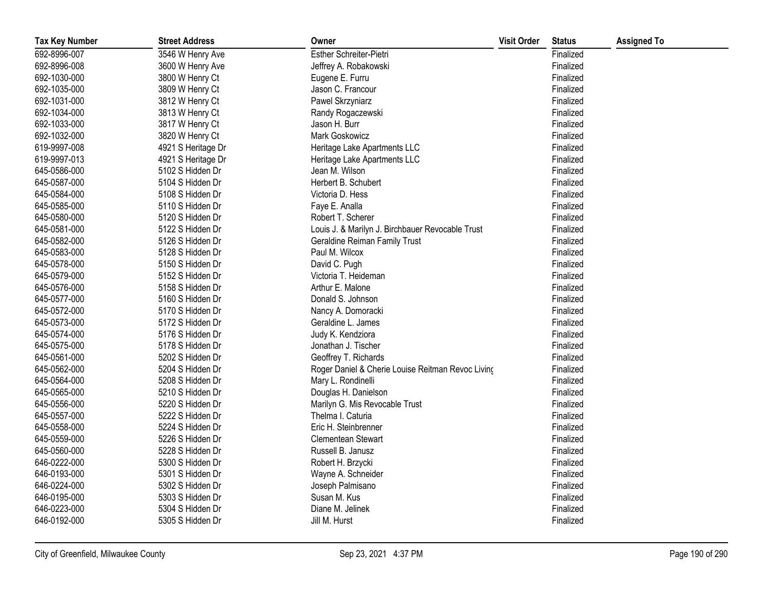| <b>Tax Key Number</b> | <b>Street Address</b> | Owner                                             | <b>Visit Order</b> | <b>Status</b> | <b>Assigned To</b> |
|-----------------------|-----------------------|---------------------------------------------------|--------------------|---------------|--------------------|
| 692-8996-007          | 3546 W Henry Ave      | Esther Schreiter-Pietri                           |                    | Finalized     |                    |
| 692-8996-008          | 3600 W Henry Ave      | Jeffrey A. Robakowski                             |                    | Finalized     |                    |
| 692-1030-000          | 3800 W Henry Ct       | Eugene E. Furru                                   |                    | Finalized     |                    |
| 692-1035-000          | 3809 W Henry Ct       | Jason C. Francour                                 |                    | Finalized     |                    |
| 692-1031-000          | 3812 W Henry Ct       | Pawel Skrzyniarz                                  |                    | Finalized     |                    |
| 692-1034-000          | 3813 W Henry Ct       | Randy Rogaczewski                                 |                    | Finalized     |                    |
| 692-1033-000          | 3817 W Henry Ct       | Jason H. Burr                                     |                    | Finalized     |                    |
| 692-1032-000          | 3820 W Henry Ct       | Mark Goskowicz                                    |                    | Finalized     |                    |
| 619-9997-008          | 4921 S Heritage Dr    | Heritage Lake Apartments LLC                      |                    | Finalized     |                    |
| 619-9997-013          | 4921 S Heritage Dr    | Heritage Lake Apartments LLC                      |                    | Finalized     |                    |
| 645-0586-000          | 5102 S Hidden Dr      | Jean M. Wilson                                    |                    | Finalized     |                    |
| 645-0587-000          | 5104 S Hidden Dr      | Herbert B. Schubert                               |                    | Finalized     |                    |
| 645-0584-000          | 5108 S Hidden Dr      | Victoria D. Hess                                  |                    | Finalized     |                    |
| 645-0585-000          | 5110 S Hidden Dr      | Faye E. Analla                                    |                    | Finalized     |                    |
| 645-0580-000          | 5120 S Hidden Dr      | Robert T. Scherer                                 |                    | Finalized     |                    |
| 645-0581-000          | 5122 S Hidden Dr      | Louis J. & Marilyn J. Birchbauer Revocable Trust  |                    | Finalized     |                    |
| 645-0582-000          | 5126 S Hidden Dr      | <b>Geraldine Reiman Family Trust</b>              |                    | Finalized     |                    |
| 645-0583-000          | 5128 S Hidden Dr      | Paul M. Wilcox                                    |                    | Finalized     |                    |
| 645-0578-000          | 5150 S Hidden Dr      | David C. Pugh                                     |                    | Finalized     |                    |
| 645-0579-000          | 5152 S Hidden Dr      | Victoria T. Heideman                              |                    | Finalized     |                    |
| 645-0576-000          | 5158 S Hidden Dr      | Arthur E. Malone                                  |                    | Finalized     |                    |
| 645-0577-000          | 5160 S Hidden Dr      | Donald S. Johnson                                 |                    | Finalized     |                    |
| 645-0572-000          | 5170 S Hidden Dr      | Nancy A. Domoracki                                |                    | Finalized     |                    |
| 645-0573-000          | 5172 S Hidden Dr      | Geraldine L. James                                |                    | Finalized     |                    |
| 645-0574-000          | 5176 S Hidden Dr      | Judy K. Kendziora                                 |                    | Finalized     |                    |
| 645-0575-000          | 5178 S Hidden Dr      | Jonathan J. Tischer                               |                    | Finalized     |                    |
| 645-0561-000          | 5202 S Hidden Dr      | Geoffrey T. Richards                              |                    | Finalized     |                    |
| 645-0562-000          | 5204 S Hidden Dr      | Roger Daniel & Cherie Louise Reitman Revoc Living |                    | Finalized     |                    |
| 645-0564-000          | 5208 S Hidden Dr      | Mary L. Rondinelli                                |                    | Finalized     |                    |
| 645-0565-000          | 5210 S Hidden Dr      | Douglas H. Danielson                              |                    | Finalized     |                    |
| 645-0556-000          | 5220 S Hidden Dr      | Marilyn G. Mis Revocable Trust                    |                    | Finalized     |                    |
| 645-0557-000          | 5222 S Hidden Dr      | Thelma I. Caturia                                 |                    | Finalized     |                    |
| 645-0558-000          | 5224 S Hidden Dr      | Eric H. Steinbrenner                              |                    | Finalized     |                    |
| 645-0559-000          | 5226 S Hidden Dr      | Clementean Stewart                                |                    | Finalized     |                    |
| 645-0560-000          | 5228 S Hidden Dr      | Russell B. Janusz                                 |                    | Finalized     |                    |
| 646-0222-000          | 5300 S Hidden Dr      | Robert H. Brzycki                                 |                    | Finalized     |                    |
| 646-0193-000          | 5301 S Hidden Dr      | Wayne A. Schneider                                |                    | Finalized     |                    |
| 646-0224-000          | 5302 S Hidden Dr      | Joseph Palmisano                                  |                    | Finalized     |                    |
| 646-0195-000          | 5303 S Hidden Dr      | Susan M. Kus                                      |                    | Finalized     |                    |
| 646-0223-000          | 5304 S Hidden Dr      | Diane M. Jelinek                                  |                    | Finalized     |                    |
| 646-0192-000          | 5305 S Hidden Dr      | Jill M. Hurst                                     |                    | Finalized     |                    |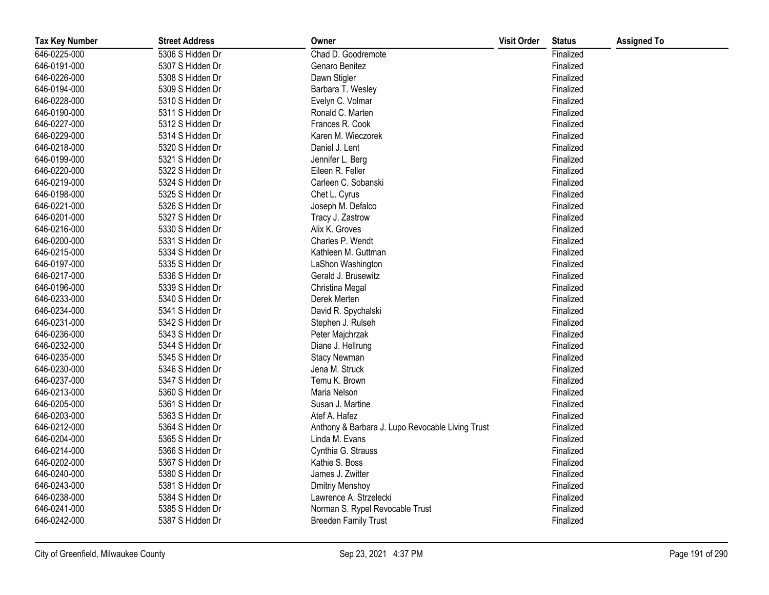| <b>Tax Key Number</b> | <b>Street Address</b> | Owner                                            | <b>Visit Order</b> | <b>Status</b> | <b>Assigned To</b> |
|-----------------------|-----------------------|--------------------------------------------------|--------------------|---------------|--------------------|
| 646-0225-000          | 5306 S Hidden Dr      | Chad D. Goodremote                               |                    | Finalized     |                    |
| 646-0191-000          | 5307 S Hidden Dr      | Genaro Benitez                                   |                    | Finalized     |                    |
| 646-0226-000          | 5308 S Hidden Dr      | Dawn Stigler                                     |                    | Finalized     |                    |
| 646-0194-000          | 5309 S Hidden Dr      | Barbara T. Wesley                                |                    | Finalized     |                    |
| 646-0228-000          | 5310 S Hidden Dr      | Evelyn C. Volmar                                 |                    | Finalized     |                    |
| 646-0190-000          | 5311 S Hidden Dr      | Ronald C. Marten                                 |                    | Finalized     |                    |
| 646-0227-000          | 5312 S Hidden Dr      | Frances R. Cook                                  |                    | Finalized     |                    |
| 646-0229-000          | 5314 S Hidden Dr      | Karen M. Wieczorek                               |                    | Finalized     |                    |
| 646-0218-000          | 5320 S Hidden Dr      | Daniel J. Lent                                   |                    | Finalized     |                    |
| 646-0199-000          | 5321 S Hidden Dr      | Jennifer L. Berg                                 |                    | Finalized     |                    |
| 646-0220-000          | 5322 S Hidden Dr      | Eileen R. Feller                                 |                    | Finalized     |                    |
| 646-0219-000          | 5324 S Hidden Dr      | Carleen C. Sobanski                              |                    | Finalized     |                    |
| 646-0198-000          | 5325 S Hidden Dr      | Chet L. Cyrus                                    |                    | Finalized     |                    |
| 646-0221-000          | 5326 S Hidden Dr      | Joseph M. Defalco                                |                    | Finalized     |                    |
| 646-0201-000          | 5327 S Hidden Dr      | Tracy J. Zastrow                                 |                    | Finalized     |                    |
| 646-0216-000          | 5330 S Hidden Dr      | Alix K. Groves                                   |                    | Finalized     |                    |
| 646-0200-000          | 5331 S Hidden Dr      | Charles P. Wendt                                 |                    | Finalized     |                    |
| 646-0215-000          | 5334 S Hidden Dr      | Kathleen M. Guttman                              |                    | Finalized     |                    |
| 646-0197-000          | 5335 S Hidden Dr      | LaShon Washington                                |                    | Finalized     |                    |
| 646-0217-000          | 5336 S Hidden Dr      | Gerald J. Brusewitz                              |                    | Finalized     |                    |
| 646-0196-000          | 5339 S Hidden Dr      | Christina Megal                                  |                    | Finalized     |                    |
| 646-0233-000          | 5340 S Hidden Dr      | Derek Merten                                     |                    | Finalized     |                    |
| 646-0234-000          | 5341 S Hidden Dr      | David R. Spychalski                              |                    | Finalized     |                    |
| 646-0231-000          | 5342 S Hidden Dr      | Stephen J. Rulseh                                |                    | Finalized     |                    |
| 646-0236-000          | 5343 S Hidden Dr      | Peter Majchrzak                                  |                    | Finalized     |                    |
| 646-0232-000          | 5344 S Hidden Dr      | Diane J. Hellrung                                |                    | Finalized     |                    |
| 646-0235-000          | 5345 S Hidden Dr      | <b>Stacy Newman</b>                              |                    | Finalized     |                    |
| 646-0230-000          | 5346 S Hidden Dr      | Jena M. Struck                                   |                    | Finalized     |                    |
| 646-0237-000          | 5347 S Hidden Dr      | Temu K. Brown                                    |                    | Finalized     |                    |
| 646-0213-000          | 5360 S Hidden Dr      | Maria Nelson                                     |                    | Finalized     |                    |
| 646-0205-000          | 5361 S Hidden Dr      | Susan J. Martine                                 |                    | Finalized     |                    |
| 646-0203-000          | 5363 S Hidden Dr      | Atef A. Hafez                                    |                    | Finalized     |                    |
| 646-0212-000          | 5364 S Hidden Dr      | Anthony & Barbara J. Lupo Revocable Living Trust |                    | Finalized     |                    |
| 646-0204-000          | 5365 S Hidden Dr      | Linda M. Evans                                   |                    | Finalized     |                    |
| 646-0214-000          | 5366 S Hidden Dr      | Cynthia G. Strauss                               |                    | Finalized     |                    |
| 646-0202-000          | 5367 S Hidden Dr      | Kathie S. Boss                                   |                    | Finalized     |                    |
| 646-0240-000          | 5380 S Hidden Dr      | James J. Zwitter                                 |                    | Finalized     |                    |
| 646-0243-000          | 5381 S Hidden Dr      | <b>Dmitriy Menshoy</b>                           |                    | Finalized     |                    |
| 646-0238-000          | 5384 S Hidden Dr      | Lawrence A. Strzelecki                           |                    | Finalized     |                    |
| 646-0241-000          | 5385 S Hidden Dr      | Norman S. Rypel Revocable Trust                  |                    | Finalized     |                    |
| 646-0242-000          | 5387 S Hidden Dr      | <b>Breeden Family Trust</b>                      |                    | Finalized     |                    |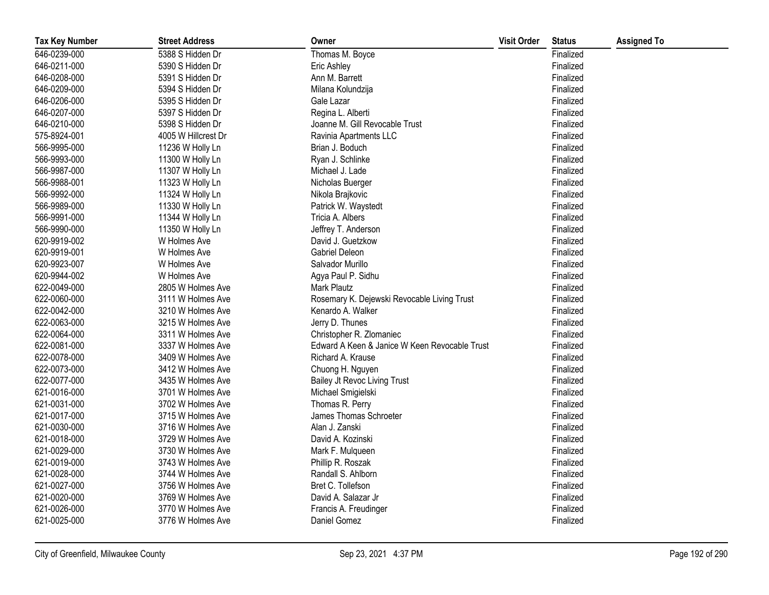| <b>Tax Key Number</b> | <b>Street Address</b> | Owner                                         | <b>Visit Order</b> | <b>Status</b> | <b>Assigned To</b> |
|-----------------------|-----------------------|-----------------------------------------------|--------------------|---------------|--------------------|
| 646-0239-000          | 5388 S Hidden Dr      | Thomas M. Boyce                               |                    | Finalized     |                    |
| 646-0211-000          | 5390 S Hidden Dr      | Eric Ashley                                   |                    | Finalized     |                    |
| 646-0208-000          | 5391 S Hidden Dr      | Ann M. Barrett                                |                    | Finalized     |                    |
| 646-0209-000          | 5394 S Hidden Dr      | Milana Kolundzija                             |                    | Finalized     |                    |
| 646-0206-000          | 5395 S Hidden Dr      | Gale Lazar                                    |                    | Finalized     |                    |
| 646-0207-000          | 5397 S Hidden Dr      | Regina L. Alberti                             |                    | Finalized     |                    |
| 646-0210-000          | 5398 S Hidden Dr      | Joanne M. Gill Revocable Trust                |                    | Finalized     |                    |
| 575-8924-001          | 4005 W Hillcrest Dr   | Ravinia Apartments LLC                        |                    | Finalized     |                    |
| 566-9995-000          | 11236 W Holly Ln      | Brian J. Boduch                               |                    | Finalized     |                    |
| 566-9993-000          | 11300 W Holly Ln      | Ryan J. Schlinke                              |                    | Finalized     |                    |
| 566-9987-000          | 11307 W Holly Ln      | Michael J. Lade                               |                    | Finalized     |                    |
| 566-9988-001          | 11323 W Holly Ln      | Nicholas Buerger                              |                    | Finalized     |                    |
| 566-9992-000          | 11324 W Holly Ln      | Nikola Brajkovic                              |                    | Finalized     |                    |
| 566-9989-000          | 11330 W Holly Ln      | Patrick W. Waystedt                           |                    | Finalized     |                    |
| 566-9991-000          | 11344 W Holly Ln      | Tricia A. Albers                              |                    | Finalized     |                    |
| 566-9990-000          | 11350 W Holly Ln      | Jeffrey T. Anderson                           |                    | Finalized     |                    |
| 620-9919-002          | W Holmes Ave          | David J. Guetzkow                             |                    | Finalized     |                    |
| 620-9919-001          | W Holmes Ave          | Gabriel Deleon                                |                    | Finalized     |                    |
| 620-9923-007          | W Holmes Ave          | Salvador Murillo                              |                    | Finalized     |                    |
| 620-9944-002          | W Holmes Ave          | Agya Paul P. Sidhu                            |                    | Finalized     |                    |
| 622-0049-000          | 2805 W Holmes Ave     | Mark Plautz                                   |                    | Finalized     |                    |
| 622-0060-000          | 3111 W Holmes Ave     | Rosemary K. Dejewski Revocable Living Trust   |                    | Finalized     |                    |
| 622-0042-000          | 3210 W Holmes Ave     | Kenardo A. Walker                             |                    | Finalized     |                    |
| 622-0063-000          | 3215 W Holmes Ave     | Jerry D. Thunes                               |                    | Finalized     |                    |
| 622-0064-000          | 3311 W Holmes Ave     | Christopher R. Zlomaniec                      |                    | Finalized     |                    |
| 622-0081-000          | 3337 W Holmes Ave     | Edward A Keen & Janice W Keen Revocable Trust |                    | Finalized     |                    |
| 622-0078-000          | 3409 W Holmes Ave     | Richard A. Krause                             |                    | Finalized     |                    |
| 622-0073-000          | 3412 W Holmes Ave     | Chuong H. Nguyen                              |                    | Finalized     |                    |
| 622-0077-000          | 3435 W Holmes Ave     | Bailey Jt Revoc Living Trust                  |                    | Finalized     |                    |
| 621-0016-000          | 3701 W Holmes Ave     | Michael Smigielski                            |                    | Finalized     |                    |
| 621-0031-000          | 3702 W Holmes Ave     | Thomas R. Perry                               |                    | Finalized     |                    |
| 621-0017-000          | 3715 W Holmes Ave     | James Thomas Schroeter                        |                    | Finalized     |                    |
| 621-0030-000          | 3716 W Holmes Ave     | Alan J. Zanski                                |                    | Finalized     |                    |
| 621-0018-000          | 3729 W Holmes Ave     | David A. Kozinski                             |                    | Finalized     |                    |
| 621-0029-000          | 3730 W Holmes Ave     | Mark F. Mulqueen                              |                    | Finalized     |                    |
| 621-0019-000          | 3743 W Holmes Ave     | Phillip R. Roszak                             |                    | Finalized     |                    |
| 621-0028-000          | 3744 W Holmes Ave     | Randall S. Ahlborn                            |                    | Finalized     |                    |
| 621-0027-000          | 3756 W Holmes Ave     | Bret C. Tollefson                             |                    | Finalized     |                    |
| 621-0020-000          | 3769 W Holmes Ave     | David A. Salazar Jr                           |                    | Finalized     |                    |
| 621-0026-000          | 3770 W Holmes Ave     | Francis A. Freudinger                         |                    | Finalized     |                    |
| 621-0025-000          | 3776 W Holmes Ave     | Daniel Gomez                                  |                    | Finalized     |                    |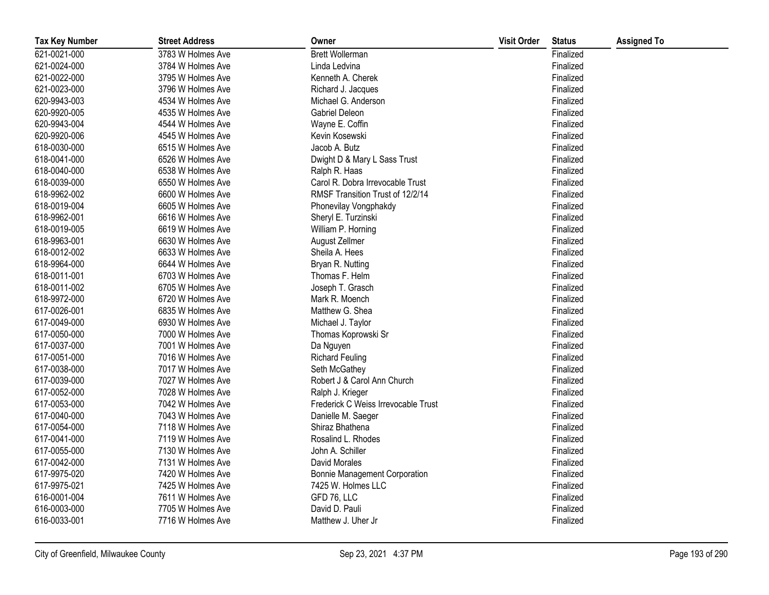| <b>Tax Key Number</b> | <b>Street Address</b> | Owner                                | <b>Visit Order</b> | <b>Status</b> | <b>Assigned To</b> |
|-----------------------|-----------------------|--------------------------------------|--------------------|---------------|--------------------|
| 621-0021-000          | 3783 W Holmes Ave     | <b>Brett Wollerman</b>               |                    | Finalized     |                    |
| 621-0024-000          | 3784 W Holmes Ave     | Linda Ledvina                        |                    | Finalized     |                    |
| 621-0022-000          | 3795 W Holmes Ave     | Kenneth A. Cherek                    |                    | Finalized     |                    |
| 621-0023-000          | 3796 W Holmes Ave     | Richard J. Jacques                   |                    | Finalized     |                    |
| 620-9943-003          | 4534 W Holmes Ave     | Michael G. Anderson                  |                    | Finalized     |                    |
| 620-9920-005          | 4535 W Holmes Ave     | <b>Gabriel Deleon</b>                |                    | Finalized     |                    |
| 620-9943-004          | 4544 W Holmes Ave     | Wayne E. Coffin                      |                    | Finalized     |                    |
| 620-9920-006          | 4545 W Holmes Ave     | Kevin Kosewski                       |                    | Finalized     |                    |
| 618-0030-000          | 6515 W Holmes Ave     | Jacob A. Butz                        |                    | Finalized     |                    |
| 618-0041-000          | 6526 W Holmes Ave     | Dwight D & Mary L Sass Trust         |                    | Finalized     |                    |
| 618-0040-000          | 6538 W Holmes Ave     | Ralph R. Haas                        |                    | Finalized     |                    |
| 618-0039-000          | 6550 W Holmes Ave     | Carol R. Dobra Irrevocable Trust     |                    | Finalized     |                    |
| 618-9962-002          | 6600 W Holmes Ave     | RMSF Transition Trust of 12/2/14     |                    | Finalized     |                    |
| 618-0019-004          | 6605 W Holmes Ave     | Phonevilay Vongphakdy                |                    | Finalized     |                    |
| 618-9962-001          | 6616 W Holmes Ave     | Sheryl E. Turzinski                  |                    | Finalized     |                    |
| 618-0019-005          | 6619 W Holmes Ave     | William P. Horning                   |                    | Finalized     |                    |
| 618-9963-001          | 6630 W Holmes Ave     | August Zellmer                       |                    | Finalized     |                    |
| 618-0012-002          | 6633 W Holmes Ave     | Sheila A. Hees                       |                    | Finalized     |                    |
| 618-9964-000          | 6644 W Holmes Ave     | Bryan R. Nutting                     |                    | Finalized     |                    |
| 618-0011-001          | 6703 W Holmes Ave     | Thomas F. Helm                       |                    | Finalized     |                    |
| 618-0011-002          | 6705 W Holmes Ave     | Joseph T. Grasch                     |                    | Finalized     |                    |
| 618-9972-000          | 6720 W Holmes Ave     | Mark R. Moench                       |                    | Finalized     |                    |
| 617-0026-001          | 6835 W Holmes Ave     | Matthew G. Shea                      |                    | Finalized     |                    |
| 617-0049-000          | 6930 W Holmes Ave     | Michael J. Taylor                    |                    | Finalized     |                    |
| 617-0050-000          | 7000 W Holmes Ave     | Thomas Koprowski Sr                  |                    | Finalized     |                    |
| 617-0037-000          | 7001 W Holmes Ave     | Da Nguyen                            |                    | Finalized     |                    |
| 617-0051-000          | 7016 W Holmes Ave     | <b>Richard Feuling</b>               |                    | Finalized     |                    |
| 617-0038-000          | 7017 W Holmes Ave     | Seth McGathey                        |                    | Finalized     |                    |
| 617-0039-000          | 7027 W Holmes Ave     | Robert J & Carol Ann Church          |                    | Finalized     |                    |
| 617-0052-000          | 7028 W Holmes Ave     | Ralph J. Krieger                     |                    | Finalized     |                    |
| 617-0053-000          | 7042 W Holmes Ave     | Frederick C Weiss Irrevocable Trust  |                    | Finalized     |                    |
| 617-0040-000          | 7043 W Holmes Ave     | Danielle M. Saeger                   |                    | Finalized     |                    |
| 617-0054-000          | 7118 W Holmes Ave     | Shiraz Bhathena                      |                    | Finalized     |                    |
| 617-0041-000          | 7119 W Holmes Ave     | Rosalind L. Rhodes                   |                    | Finalized     |                    |
| 617-0055-000          | 7130 W Holmes Ave     | John A. Schiller                     |                    | Finalized     |                    |
| 617-0042-000          | 7131 W Holmes Ave     | David Morales                        |                    | Finalized     |                    |
| 617-9975-020          | 7420 W Holmes Ave     | <b>Bonnie Management Corporation</b> |                    | Finalized     |                    |
| 617-9975-021          | 7425 W Holmes Ave     | 7425 W. Holmes LLC                   |                    | Finalized     |                    |
| 616-0001-004          | 7611 W Holmes Ave     | GFD 76, LLC                          |                    | Finalized     |                    |
| 616-0003-000          | 7705 W Holmes Ave     | David D. Pauli                       |                    | Finalized     |                    |
| 616-0033-001          | 7716 W Holmes Ave     | Matthew J. Uher Jr                   |                    | Finalized     |                    |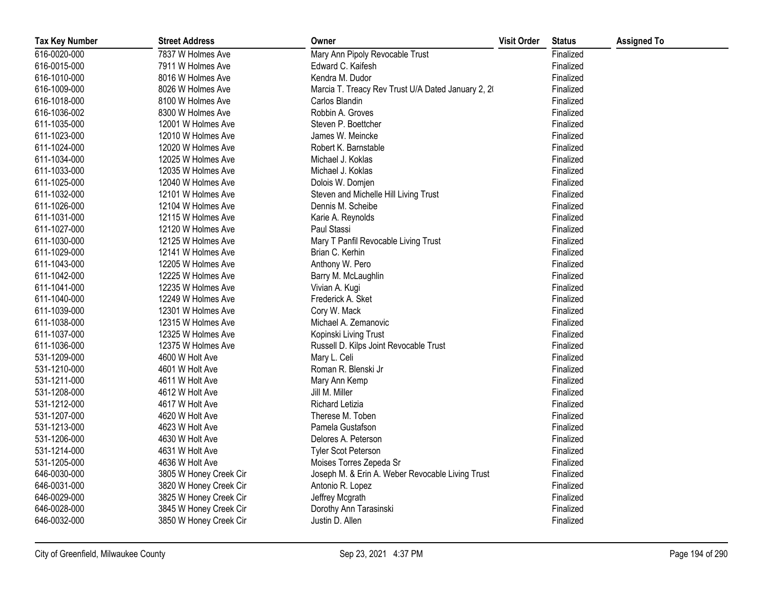| <b>Tax Key Number</b> | <b>Street Address</b>  | Owner                                              | <b>Visit Order</b> | <b>Status</b> | <b>Assigned To</b> |
|-----------------------|------------------------|----------------------------------------------------|--------------------|---------------|--------------------|
| 616-0020-000          | 7837 W Holmes Ave      | Mary Ann Pipoly Revocable Trust                    |                    | Finalized     |                    |
| 616-0015-000          | 7911 W Holmes Ave      | Edward C. Kaifesh                                  |                    | Finalized     |                    |
| 616-1010-000          | 8016 W Holmes Ave      | Kendra M. Dudor                                    |                    | Finalized     |                    |
| 616-1009-000          | 8026 W Holmes Ave      | Marcia T. Treacy Rev Trust U/A Dated January 2, 20 |                    | Finalized     |                    |
| 616-1018-000          | 8100 W Holmes Ave      | Carlos Blandin                                     |                    | Finalized     |                    |
| 616-1036-002          | 8300 W Holmes Ave      | Robbin A. Groves                                   |                    | Finalized     |                    |
| 611-1035-000          | 12001 W Holmes Ave     | Steven P. Boettcher                                |                    | Finalized     |                    |
| 611-1023-000          | 12010 W Holmes Ave     | James W. Meincke                                   |                    | Finalized     |                    |
| 611-1024-000          | 12020 W Holmes Ave     | Robert K. Barnstable                               |                    | Finalized     |                    |
| 611-1034-000          | 12025 W Holmes Ave     | Michael J. Koklas                                  |                    | Finalized     |                    |
| 611-1033-000          | 12035 W Holmes Ave     | Michael J. Koklas                                  |                    | Finalized     |                    |
| 611-1025-000          | 12040 W Holmes Ave     | Dolois W. Domjen                                   |                    | Finalized     |                    |
| 611-1032-000          | 12101 W Holmes Ave     | Steven and Michelle Hill Living Trust              |                    | Finalized     |                    |
| 611-1026-000          | 12104 W Holmes Ave     | Dennis M. Scheibe                                  |                    | Finalized     |                    |
| 611-1031-000          | 12115 W Holmes Ave     | Karie A. Reynolds                                  |                    | Finalized     |                    |
| 611-1027-000          | 12120 W Holmes Ave     | Paul Stassi                                        |                    | Finalized     |                    |
| 611-1030-000          | 12125 W Holmes Ave     | Mary T Panfil Revocable Living Trust               |                    | Finalized     |                    |
| 611-1029-000          | 12141 W Holmes Ave     | Brian C. Kerhin                                    |                    | Finalized     |                    |
| 611-1043-000          | 12205 W Holmes Ave     | Anthony W. Pero                                    |                    | Finalized     |                    |
| 611-1042-000          | 12225 W Holmes Ave     | Barry M. McLaughlin                                |                    | Finalized     |                    |
| 611-1041-000          | 12235 W Holmes Ave     | Vivian A. Kugi                                     |                    | Finalized     |                    |
| 611-1040-000          | 12249 W Holmes Ave     | Frederick A. Sket                                  |                    | Finalized     |                    |
| 611-1039-000          | 12301 W Holmes Ave     | Cory W. Mack                                       |                    | Finalized     |                    |
| 611-1038-000          | 12315 W Holmes Ave     | Michael A. Zemanovic                               |                    | Finalized     |                    |
| 611-1037-000          | 12325 W Holmes Ave     | Kopinski Living Trust                              |                    | Finalized     |                    |
| 611-1036-000          | 12375 W Holmes Ave     | Russell D. Kilps Joint Revocable Trust             |                    | Finalized     |                    |
| 531-1209-000          | 4600 W Holt Ave        | Mary L. Celi                                       |                    | Finalized     |                    |
| 531-1210-000          | 4601 W Holt Ave        | Roman R. Blenski Jr                                |                    | Finalized     |                    |
| 531-1211-000          | 4611 W Holt Ave        | Mary Ann Kemp                                      |                    | Finalized     |                    |
| 531-1208-000          | 4612 W Holt Ave        | Jill M. Miller                                     |                    | Finalized     |                    |
| 531-1212-000          | 4617 W Holt Ave        | <b>Richard Letizia</b>                             |                    | Finalized     |                    |
| 531-1207-000          | 4620 W Holt Ave        | Therese M. Toben                                   |                    | Finalized     |                    |
| 531-1213-000          | 4623 W Holt Ave        | Pamela Gustafson                                   |                    | Finalized     |                    |
| 531-1206-000          | 4630 W Holt Ave        | Delores A. Peterson                                |                    | Finalized     |                    |
| 531-1214-000          | 4631 W Holt Ave        | <b>Tyler Scot Peterson</b>                         |                    | Finalized     |                    |
| 531-1205-000          | 4636 W Holt Ave        | Moises Torres Zepeda Sr                            |                    | Finalized     |                    |
| 646-0030-000          | 3805 W Honey Creek Cir | Joseph M. & Erin A. Weber Revocable Living Trust   |                    | Finalized     |                    |
| 646-0031-000          | 3820 W Honey Creek Cir | Antonio R. Lopez                                   |                    | Finalized     |                    |
| 646-0029-000          | 3825 W Honey Creek Cir | Jeffrey Mcgrath                                    |                    | Finalized     |                    |
| 646-0028-000          | 3845 W Honey Creek Cir | Dorothy Ann Tarasinski                             |                    | Finalized     |                    |
| 646-0032-000          | 3850 W Honey Creek Cir | Justin D. Allen                                    |                    | Finalized     |                    |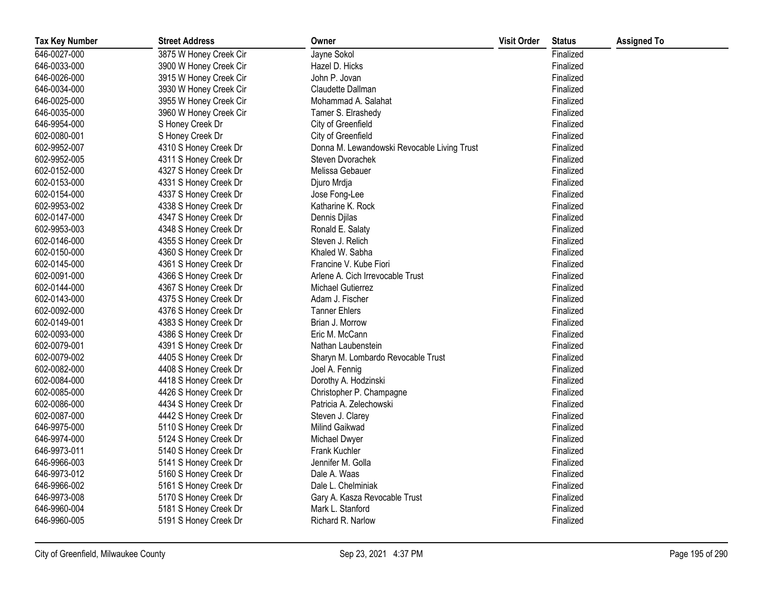| <b>Tax Key Number</b> | <b>Street Address</b>  | Owner                                       | <b>Visit Order</b> | <b>Status</b> | <b>Assigned To</b> |
|-----------------------|------------------------|---------------------------------------------|--------------------|---------------|--------------------|
| 646-0027-000          | 3875 W Honey Creek Cir | Jayne Sokol                                 |                    | Finalized     |                    |
| 646-0033-000          | 3900 W Honey Creek Cir | Hazel D. Hicks                              |                    | Finalized     |                    |
| 646-0026-000          | 3915 W Honey Creek Cir | John P. Jovan                               |                    | Finalized     |                    |
| 646-0034-000          | 3930 W Honey Creek Cir | Claudette Dallman                           |                    | Finalized     |                    |
| 646-0025-000          | 3955 W Honey Creek Cir | Mohammad A. Salahat                         |                    | Finalized     |                    |
| 646-0035-000          | 3960 W Honey Creek Cir | Tamer S. Elrashedy                          |                    | Finalized     |                    |
| 646-9954-000          | S Honey Creek Dr       | City of Greenfield                          |                    | Finalized     |                    |
| 602-0080-001          | S Honey Creek Dr       | City of Greenfield                          |                    | Finalized     |                    |
| 602-9952-007          | 4310 S Honey Creek Dr  | Donna M. Lewandowski Revocable Living Trust |                    | Finalized     |                    |
| 602-9952-005          | 4311 S Honey Creek Dr  | Steven Dvorachek                            |                    | Finalized     |                    |
| 602-0152-000          | 4327 S Honey Creek Dr  | Melissa Gebauer                             |                    | Finalized     |                    |
| 602-0153-000          | 4331 S Honey Creek Dr  | Djuro Mrdja                                 |                    | Finalized     |                    |
| 602-0154-000          | 4337 S Honey Creek Dr  | Jose Fong-Lee                               |                    | Finalized     |                    |
| 602-9953-002          | 4338 S Honey Creek Dr  | Katharine K. Rock                           |                    | Finalized     |                    |
| 602-0147-000          | 4347 S Honey Creek Dr  | Dennis Djilas                               |                    | Finalized     |                    |
| 602-9953-003          | 4348 S Honey Creek Dr  | Ronald E. Salaty                            |                    | Finalized     |                    |
| 602-0146-000          | 4355 S Honey Creek Dr  | Steven J. Relich                            |                    | Finalized     |                    |
| 602-0150-000          | 4360 S Honey Creek Dr  | Khaled W. Sabha                             |                    | Finalized     |                    |
| 602-0145-000          | 4361 S Honey Creek Dr  | Francine V. Kube Fiori                      |                    | Finalized     |                    |
| 602-0091-000          | 4366 S Honey Creek Dr  | Arlene A. Cich Irrevocable Trust            |                    | Finalized     |                    |
| 602-0144-000          | 4367 S Honey Creek Dr  | <b>Michael Gutierrez</b>                    |                    | Finalized     |                    |
| 602-0143-000          | 4375 S Honey Creek Dr  | Adam J. Fischer                             |                    | Finalized     |                    |
| 602-0092-000          | 4376 S Honey Creek Dr  | <b>Tanner Ehlers</b>                        |                    | Finalized     |                    |
| 602-0149-001          | 4383 S Honey Creek Dr  | Brian J. Morrow                             |                    | Finalized     |                    |
| 602-0093-000          | 4386 S Honey Creek Dr  | Eric M. McCann                              |                    | Finalized     |                    |
| 602-0079-001          | 4391 S Honey Creek Dr  | Nathan Laubenstein                          |                    | Finalized     |                    |
| 602-0079-002          | 4405 S Honey Creek Dr  | Sharyn M. Lombardo Revocable Trust          |                    | Finalized     |                    |
| 602-0082-000          | 4408 S Honey Creek Dr  | Joel A. Fennig                              |                    | Finalized     |                    |
| 602-0084-000          | 4418 S Honey Creek Dr  | Dorothy A. Hodzinski                        |                    | Finalized     |                    |
| 602-0085-000          | 4426 S Honey Creek Dr  | Christopher P. Champagne                    |                    | Finalized     |                    |
| 602-0086-000          | 4434 S Honey Creek Dr  | Patricia A. Zelechowski                     |                    | Finalized     |                    |
| 602-0087-000          | 4442 S Honey Creek Dr  | Steven J. Clarey                            |                    | Finalized     |                    |
| 646-9975-000          | 5110 S Honey Creek Dr  | Milind Gaikwad                              |                    | Finalized     |                    |
| 646-9974-000          | 5124 S Honey Creek Dr  | Michael Dwyer                               |                    | Finalized     |                    |
| 646-9973-011          | 5140 S Honey Creek Dr  | Frank Kuchler                               |                    | Finalized     |                    |
| 646-9966-003          | 5141 S Honey Creek Dr  | Jennifer M. Golla                           |                    | Finalized     |                    |
| 646-9973-012          | 5160 S Honey Creek Dr  | Dale A. Waas                                |                    | Finalized     |                    |
| 646-9966-002          | 5161 S Honey Creek Dr  | Dale L. Chelminiak                          |                    | Finalized     |                    |
| 646-9973-008          | 5170 S Honey Creek Dr  | Gary A. Kasza Revocable Trust               |                    | Finalized     |                    |
| 646-9960-004          | 5181 S Honey Creek Dr  | Mark L. Stanford                            |                    | Finalized     |                    |
| 646-9960-005          | 5191 S Honey Creek Dr  | Richard R. Narlow                           |                    | Finalized     |                    |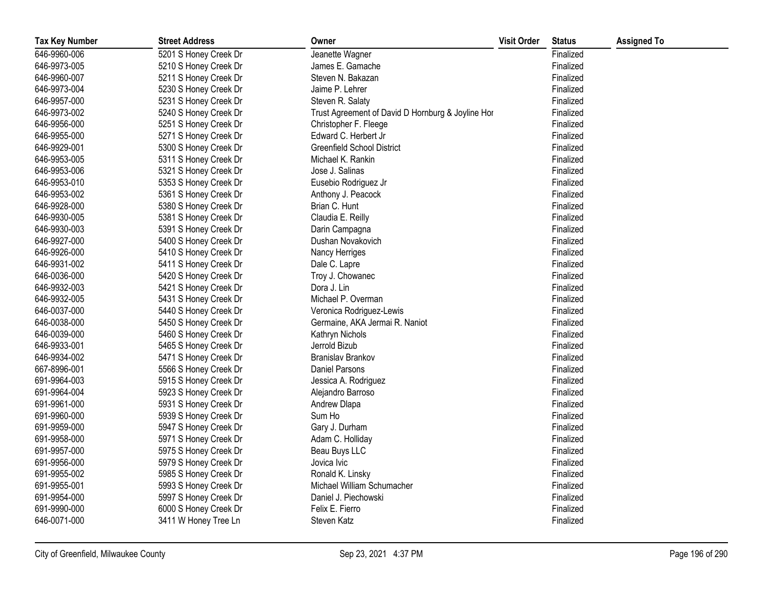| <b>Tax Key Number</b> | <b>Street Address</b> | Owner                                             | <b>Visit Order</b> | <b>Status</b> | <b>Assigned To</b> |
|-----------------------|-----------------------|---------------------------------------------------|--------------------|---------------|--------------------|
| 646-9960-006          | 5201 S Honey Creek Dr | Jeanette Wagner                                   |                    | Finalized     |                    |
| 646-9973-005          | 5210 S Honey Creek Dr | James E. Gamache                                  |                    | Finalized     |                    |
| 646-9960-007          | 5211 S Honey Creek Dr | Steven N. Bakazan                                 |                    | Finalized     |                    |
| 646-9973-004          | 5230 S Honey Creek Dr | Jaime P. Lehrer                                   |                    | Finalized     |                    |
| 646-9957-000          | 5231 S Honey Creek Dr | Steven R. Salaty                                  |                    | Finalized     |                    |
| 646-9973-002          | 5240 S Honey Creek Dr | Trust Agreement of David D Hornburg & Joyline Hor |                    | Finalized     |                    |
| 646-9956-000          | 5251 S Honey Creek Dr | Christopher F. Fleege                             |                    | Finalized     |                    |
| 646-9955-000          | 5271 S Honey Creek Dr | Edward C. Herbert Jr                              |                    | Finalized     |                    |
| 646-9929-001          | 5300 S Honey Creek Dr | <b>Greenfield School District</b>                 |                    | Finalized     |                    |
| 646-9953-005          | 5311 S Honey Creek Dr | Michael K. Rankin                                 |                    | Finalized     |                    |
| 646-9953-006          | 5321 S Honey Creek Dr | Jose J. Salinas                                   |                    | Finalized     |                    |
| 646-9953-010          | 5353 S Honey Creek Dr | Eusebio Rodriguez Jr                              |                    | Finalized     |                    |
| 646-9953-002          | 5361 S Honey Creek Dr | Anthony J. Peacock                                |                    | Finalized     |                    |
| 646-9928-000          | 5380 S Honey Creek Dr | Brian C. Hunt                                     |                    | Finalized     |                    |
| 646-9930-005          | 5381 S Honey Creek Dr | Claudia E. Reilly                                 |                    | Finalized     |                    |
| 646-9930-003          | 5391 S Honey Creek Dr | Darin Campagna                                    |                    | Finalized     |                    |
| 646-9927-000          | 5400 S Honey Creek Dr | Dushan Novakovich                                 |                    | Finalized     |                    |
| 646-9926-000          | 5410 S Honey Creek Dr | Nancy Herriges                                    |                    | Finalized     |                    |
| 646-9931-002          | 5411 S Honey Creek Dr | Dale C. Lapre                                     |                    | Finalized     |                    |
| 646-0036-000          | 5420 S Honey Creek Dr | Troy J. Chowanec                                  |                    | Finalized     |                    |
| 646-9932-003          | 5421 S Honey Creek Dr | Dora J. Lin                                       |                    | Finalized     |                    |
| 646-9932-005          | 5431 S Honey Creek Dr | Michael P. Overman                                |                    | Finalized     |                    |
| 646-0037-000          | 5440 S Honey Creek Dr | Veronica Rodriguez-Lewis                          |                    | Finalized     |                    |
| 646-0038-000          | 5450 S Honey Creek Dr | Germaine, AKA Jermai R. Naniot                    |                    | Finalized     |                    |
| 646-0039-000          | 5460 S Honey Creek Dr | Kathryn Nichols                                   |                    | Finalized     |                    |
| 646-9933-001          | 5465 S Honey Creek Dr | Jerrold Bizub                                     |                    | Finalized     |                    |
| 646-9934-002          | 5471 S Honey Creek Dr | Branislav Brankov                                 |                    | Finalized     |                    |
| 667-8996-001          | 5566 S Honey Creek Dr | Daniel Parsons                                    |                    | Finalized     |                    |
| 691-9964-003          | 5915 S Honey Creek Dr | Jessica A. Rodriguez                              |                    | Finalized     |                    |
| 691-9964-004          | 5923 S Honey Creek Dr | Alejandro Barroso                                 |                    | Finalized     |                    |
| 691-9961-000          | 5931 S Honey Creek Dr | Andrew Dlapa                                      |                    | Finalized     |                    |
| 691-9960-000          | 5939 S Honey Creek Dr | Sum Ho                                            |                    | Finalized     |                    |
| 691-9959-000          | 5947 S Honey Creek Dr | Gary J. Durham                                    |                    | Finalized     |                    |
| 691-9958-000          | 5971 S Honey Creek Dr | Adam C. Holliday                                  |                    | Finalized     |                    |
| 691-9957-000          | 5975 S Honey Creek Dr | Beau Buys LLC                                     |                    | Finalized     |                    |
| 691-9956-000          | 5979 S Honey Creek Dr | Jovica Ivic                                       |                    | Finalized     |                    |
| 691-9955-002          | 5985 S Honey Creek Dr | Ronald K. Linsky                                  |                    | Finalized     |                    |
| 691-9955-001          | 5993 S Honey Creek Dr | Michael William Schumacher                        |                    | Finalized     |                    |
| 691-9954-000          | 5997 S Honey Creek Dr | Daniel J. Piechowski                              |                    | Finalized     |                    |
| 691-9990-000          | 6000 S Honey Creek Dr | Felix E. Fierro                                   |                    | Finalized     |                    |
| 646-0071-000          | 3411 W Honey Tree Ln  | Steven Katz                                       |                    | Finalized     |                    |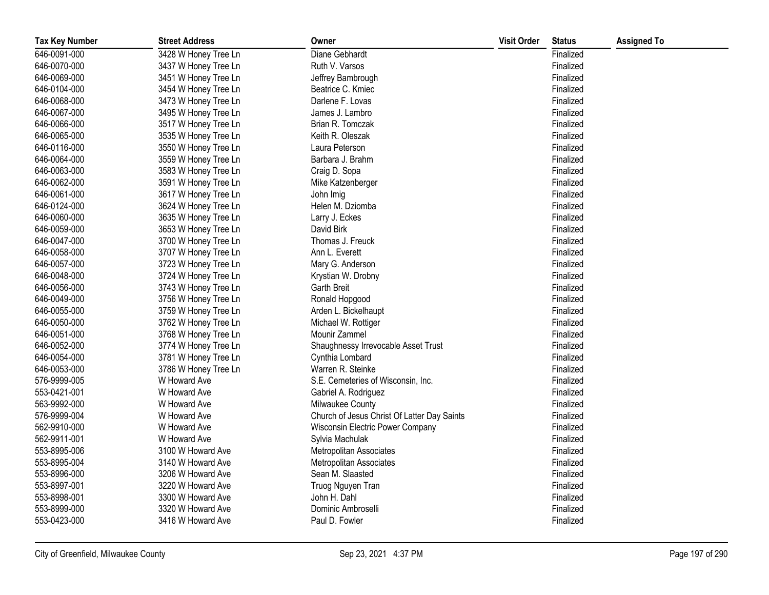| <b>Tax Key Number</b> | <b>Street Address</b> | Owner                                       | <b>Visit Order</b> | <b>Status</b> | <b>Assigned To</b> |
|-----------------------|-----------------------|---------------------------------------------|--------------------|---------------|--------------------|
| 646-0091-000          | 3428 W Honey Tree Ln  | Diane Gebhardt                              |                    | Finalized     |                    |
| 646-0070-000          | 3437 W Honey Tree Ln  | Ruth V. Varsos                              |                    | Finalized     |                    |
| 646-0069-000          | 3451 W Honey Tree Ln  | Jeffrey Bambrough                           |                    | Finalized     |                    |
| 646-0104-000          | 3454 W Honey Tree Ln  | Beatrice C. Kmiec                           |                    | Finalized     |                    |
| 646-0068-000          | 3473 W Honey Tree Ln  | Darlene F. Lovas                            |                    | Finalized     |                    |
| 646-0067-000          | 3495 W Honey Tree Ln  | James J. Lambro                             |                    | Finalized     |                    |
| 646-0066-000          | 3517 W Honey Tree Ln  | Brian R. Tomczak                            |                    | Finalized     |                    |
| 646-0065-000          | 3535 W Honey Tree Ln  | Keith R. Oleszak                            |                    | Finalized     |                    |
| 646-0116-000          | 3550 W Honey Tree Ln  | Laura Peterson                              |                    | Finalized     |                    |
| 646-0064-000          | 3559 W Honey Tree Ln  | Barbara J. Brahm                            |                    | Finalized     |                    |
| 646-0063-000          | 3583 W Honey Tree Ln  | Craig D. Sopa                               |                    | Finalized     |                    |
| 646-0062-000          | 3591 W Honey Tree Ln  | Mike Katzenberger                           |                    | Finalized     |                    |
| 646-0061-000          | 3617 W Honey Tree Ln  | John Imig                                   |                    | Finalized     |                    |
| 646-0124-000          | 3624 W Honey Tree Ln  | Helen M. Dziomba                            |                    | Finalized     |                    |
| 646-0060-000          | 3635 W Honey Tree Ln  | Larry J. Eckes                              |                    | Finalized     |                    |
| 646-0059-000          | 3653 W Honey Tree Ln  | David Birk                                  |                    | Finalized     |                    |
| 646-0047-000          | 3700 W Honey Tree Ln  | Thomas J. Freuck                            |                    | Finalized     |                    |
| 646-0058-000          | 3707 W Honey Tree Ln  | Ann L. Everett                              |                    | Finalized     |                    |
| 646-0057-000          | 3723 W Honey Tree Ln  | Mary G. Anderson                            |                    | Finalized     |                    |
| 646-0048-000          | 3724 W Honey Tree Ln  | Krystian W. Drobny                          |                    | Finalized     |                    |
| 646-0056-000          | 3743 W Honey Tree Ln  | <b>Garth Breit</b>                          |                    | Finalized     |                    |
| 646-0049-000          | 3756 W Honey Tree Ln  | Ronald Hopgood                              |                    | Finalized     |                    |
| 646-0055-000          | 3759 W Honey Tree Ln  | Arden L. Bickelhaupt                        |                    | Finalized     |                    |
| 646-0050-000          | 3762 W Honey Tree Ln  | Michael W. Rottiger                         |                    | Finalized     |                    |
| 646-0051-000          | 3768 W Honey Tree Ln  | Mounir Zammel                               |                    | Finalized     |                    |
| 646-0052-000          | 3774 W Honey Tree Ln  | Shaughnessy Irrevocable Asset Trust         |                    | Finalized     |                    |
| 646-0054-000          | 3781 W Honey Tree Ln  | Cynthia Lombard                             |                    | Finalized     |                    |
| 646-0053-000          | 3786 W Honey Tree Ln  | Warren R. Steinke                           |                    | Finalized     |                    |
| 576-9999-005          | W Howard Ave          | S.E. Cemeteries of Wisconsin, Inc.          |                    | Finalized     |                    |
| 553-0421-001          | W Howard Ave          | Gabriel A. Rodriguez                        |                    | Finalized     |                    |
| 563-9992-000          | W Howard Ave          | Milwaukee County                            |                    | Finalized     |                    |
| 576-9999-004          | W Howard Ave          | Church of Jesus Christ Of Latter Day Saints |                    | Finalized     |                    |
| 562-9910-000          | W Howard Ave          | Wisconsin Electric Power Company            |                    | Finalized     |                    |
| 562-9911-001          | W Howard Ave          | Sylvia Machulak                             |                    | Finalized     |                    |
| 553-8995-006          | 3100 W Howard Ave     | <b>Metropolitan Associates</b>              |                    | Finalized     |                    |
| 553-8995-004          | 3140 W Howard Ave     | Metropolitan Associates                     |                    | Finalized     |                    |
| 553-8996-000          | 3206 W Howard Ave     | Sean M. Slaasted                            |                    | Finalized     |                    |
| 553-8997-001          | 3220 W Howard Ave     | Truog Nguyen Tran                           |                    | Finalized     |                    |
| 553-8998-001          | 3300 W Howard Ave     | John H. Dahl                                |                    | Finalized     |                    |
| 553-8999-000          | 3320 W Howard Ave     | Dominic Ambroselli                          |                    | Finalized     |                    |
| 553-0423-000          | 3416 W Howard Ave     | Paul D. Fowler                              |                    | Finalized     |                    |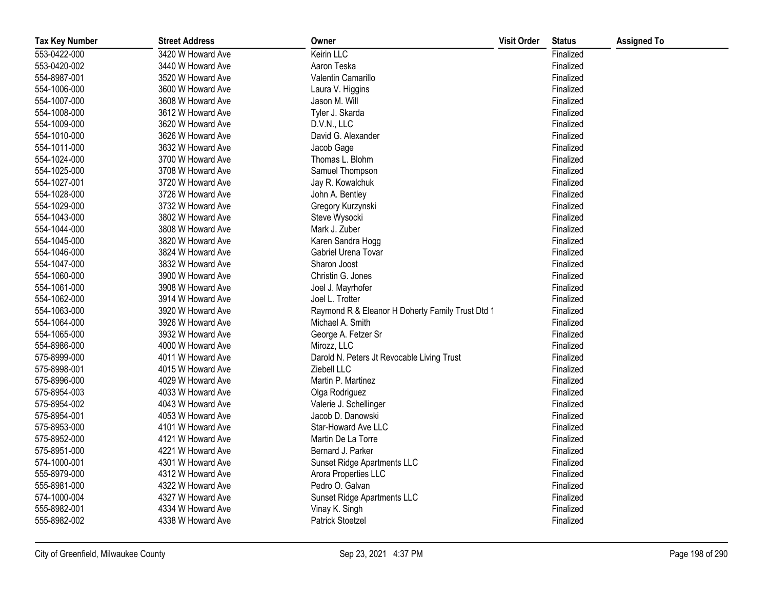| <b>Tax Key Number</b> | <b>Street Address</b> | Owner                                            | <b>Visit Order</b> | <b>Status</b> | <b>Assigned To</b> |
|-----------------------|-----------------------|--------------------------------------------------|--------------------|---------------|--------------------|
| 553-0422-000          | 3420 W Howard Ave     | Keirin LLC                                       |                    | Finalized     |                    |
| 553-0420-002          | 3440 W Howard Ave     | Aaron Teska                                      |                    | Finalized     |                    |
| 554-8987-001          | 3520 W Howard Ave     | Valentin Camarillo                               |                    | Finalized     |                    |
| 554-1006-000          | 3600 W Howard Ave     | Laura V. Higgins                                 |                    | Finalized     |                    |
| 554-1007-000          | 3608 W Howard Ave     | Jason M. Will                                    |                    | Finalized     |                    |
| 554-1008-000          | 3612 W Howard Ave     | Tyler J. Skarda                                  |                    | Finalized     |                    |
| 554-1009-000          | 3620 W Howard Ave     | D.V.N., LLC                                      |                    | Finalized     |                    |
| 554-1010-000          | 3626 W Howard Ave     | David G. Alexander                               |                    | Finalized     |                    |
| 554-1011-000          | 3632 W Howard Ave     | Jacob Gage                                       |                    | Finalized     |                    |
| 554-1024-000          | 3700 W Howard Ave     | Thomas L. Blohm                                  |                    | Finalized     |                    |
| 554-1025-000          | 3708 W Howard Ave     | Samuel Thompson                                  |                    | Finalized     |                    |
| 554-1027-001          | 3720 W Howard Ave     | Jay R. Kowalchuk                                 |                    | Finalized     |                    |
| 554-1028-000          | 3726 W Howard Ave     | John A. Bentley                                  |                    | Finalized     |                    |
| 554-1029-000          | 3732 W Howard Ave     | Gregory Kurzynski                                |                    | Finalized     |                    |
| 554-1043-000          | 3802 W Howard Ave     | Steve Wysocki                                    |                    | Finalized     |                    |
| 554-1044-000          | 3808 W Howard Ave     | Mark J. Zuber                                    |                    | Finalized     |                    |
| 554-1045-000          | 3820 W Howard Ave     | Karen Sandra Hogg                                |                    | Finalized     |                    |
| 554-1046-000          | 3824 W Howard Ave     | Gabriel Urena Tovar                              |                    | Finalized     |                    |
| 554-1047-000          | 3832 W Howard Ave     | Sharon Joost                                     |                    | Finalized     |                    |
| 554-1060-000          | 3900 W Howard Ave     | Christin G. Jones                                |                    | Finalized     |                    |
| 554-1061-000          | 3908 W Howard Ave     | Joel J. Mayrhofer                                |                    | Finalized     |                    |
| 554-1062-000          | 3914 W Howard Ave     | Joel L. Trotter                                  |                    | Finalized     |                    |
| 554-1063-000          | 3920 W Howard Ave     | Raymond R & Eleanor H Doherty Family Trust Dtd 1 |                    | Finalized     |                    |
| 554-1064-000          | 3926 W Howard Ave     | Michael A. Smith                                 |                    | Finalized     |                    |
| 554-1065-000          | 3932 W Howard Ave     | George A. Fetzer Sr                              |                    | Finalized     |                    |
| 554-8986-000          | 4000 W Howard Ave     | Mirozz, LLC                                      |                    | Finalized     |                    |
| 575-8999-000          | 4011 W Howard Ave     | Darold N. Peters Jt Revocable Living Trust       |                    | Finalized     |                    |
| 575-8998-001          | 4015 W Howard Ave     | Ziebell LLC                                      |                    | Finalized     |                    |
| 575-8996-000          | 4029 W Howard Ave     | Martin P. Martinez                               |                    | Finalized     |                    |
| 575-8954-003          | 4033 W Howard Ave     | Olga Rodriguez                                   |                    | Finalized     |                    |
| 575-8954-002          | 4043 W Howard Ave     | Valerie J. Schellinger                           |                    | Finalized     |                    |
| 575-8954-001          | 4053 W Howard Ave     | Jacob D. Danowski                                |                    | Finalized     |                    |
| 575-8953-000          | 4101 W Howard Ave     | Star-Howard Ave LLC                              |                    | Finalized     |                    |
| 575-8952-000          | 4121 W Howard Ave     | Martin De La Torre                               |                    | Finalized     |                    |
| 575-8951-000          | 4221 W Howard Ave     | Bernard J. Parker                                |                    | Finalized     |                    |
| 574-1000-001          | 4301 W Howard Ave     | Sunset Ridge Apartments LLC                      |                    | Finalized     |                    |
| 555-8979-000          | 4312 W Howard Ave     | Arora Properties LLC                             |                    | Finalized     |                    |
| 555-8981-000          | 4322 W Howard Ave     | Pedro O. Galvan                                  |                    | Finalized     |                    |
| 574-1000-004          | 4327 W Howard Ave     | Sunset Ridge Apartments LLC                      |                    | Finalized     |                    |
| 555-8982-001          | 4334 W Howard Ave     | Vinay K. Singh                                   |                    | Finalized     |                    |
| 555-8982-002          | 4338 W Howard Ave     | <b>Patrick Stoetzel</b>                          |                    | Finalized     |                    |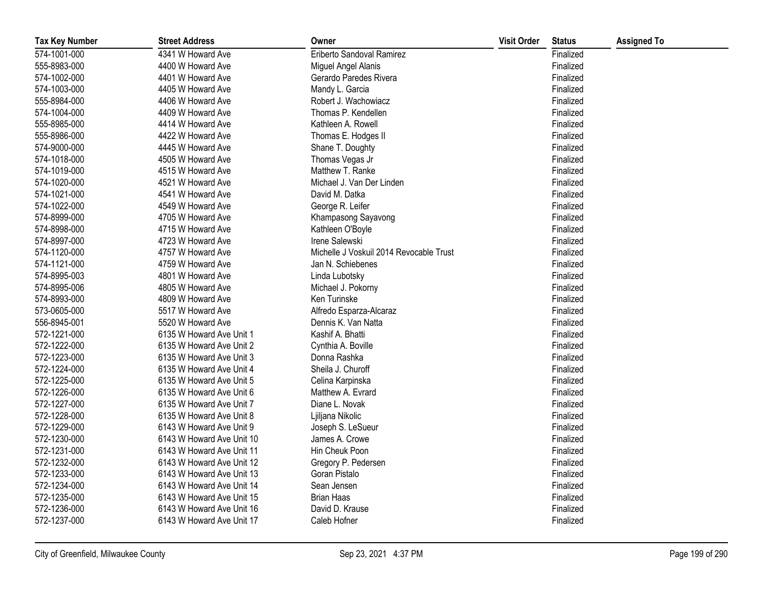| <b>Tax Key Number</b> | <b>Street Address</b>     | Owner                                   | <b>Visit Order</b> | <b>Status</b> | <b>Assigned To</b> |
|-----------------------|---------------------------|-----------------------------------------|--------------------|---------------|--------------------|
| 574-1001-000          | 4341 W Howard Ave         | Eriberto Sandoval Ramirez               |                    | Finalized     |                    |
| 555-8983-000          | 4400 W Howard Ave         | Miguel Angel Alanis                     |                    | Finalized     |                    |
| 574-1002-000          | 4401 W Howard Ave         | Gerardo Paredes Rivera                  |                    | Finalized     |                    |
| 574-1003-000          | 4405 W Howard Ave         | Mandy L. Garcia                         |                    | Finalized     |                    |
| 555-8984-000          | 4406 W Howard Ave         | Robert J. Wachowiacz                    |                    | Finalized     |                    |
| 574-1004-000          | 4409 W Howard Ave         | Thomas P. Kendellen                     |                    | Finalized     |                    |
| 555-8985-000          | 4414 W Howard Ave         | Kathleen A. Rowell                      |                    | Finalized     |                    |
| 555-8986-000          | 4422 W Howard Ave         | Thomas E. Hodges II                     |                    | Finalized     |                    |
| 574-9000-000          | 4445 W Howard Ave         | Shane T. Doughty                        |                    | Finalized     |                    |
| 574-1018-000          | 4505 W Howard Ave         | Thomas Vegas Jr                         |                    | Finalized     |                    |
| 574-1019-000          | 4515 W Howard Ave         | Matthew T. Ranke                        |                    | Finalized     |                    |
| 574-1020-000          | 4521 W Howard Ave         | Michael J. Van Der Linden               |                    | Finalized     |                    |
| 574-1021-000          | 4541 W Howard Ave         | David M. Datka                          |                    | Finalized     |                    |
| 574-1022-000          | 4549 W Howard Ave         | George R. Leifer                        |                    | Finalized     |                    |
| 574-8999-000          | 4705 W Howard Ave         | Khampasong Sayavong                     |                    | Finalized     |                    |
| 574-8998-000          | 4715 W Howard Ave         | Kathleen O'Boyle                        |                    | Finalized     |                    |
| 574-8997-000          | 4723 W Howard Ave         | Irene Salewski                          |                    | Finalized     |                    |
| 574-1120-000          | 4757 W Howard Ave         | Michelle J Voskuil 2014 Revocable Trust |                    | Finalized     |                    |
| 574-1121-000          | 4759 W Howard Ave         | Jan N. Schiebenes                       |                    | Finalized     |                    |
| 574-8995-003          | 4801 W Howard Ave         | Linda Lubotsky                          |                    | Finalized     |                    |
| 574-8995-006          | 4805 W Howard Ave         | Michael J. Pokorny                      |                    | Finalized     |                    |
| 574-8993-000          | 4809 W Howard Ave         | Ken Turinske                            |                    | Finalized     |                    |
| 573-0605-000          | 5517 W Howard Ave         | Alfredo Esparza-Alcaraz                 |                    | Finalized     |                    |
| 556-8945-001          | 5520 W Howard Ave         | Dennis K. Van Natta                     |                    | Finalized     |                    |
| 572-1221-000          | 6135 W Howard Ave Unit 1  | Kashif A. Bhatti                        |                    | Finalized     |                    |
| 572-1222-000          | 6135 W Howard Ave Unit 2  | Cynthia A. Boville                      |                    | Finalized     |                    |
| 572-1223-000          | 6135 W Howard Ave Unit 3  | Donna Rashka                            |                    | Finalized     |                    |
| 572-1224-000          | 6135 W Howard Ave Unit 4  | Sheila J. Churoff                       |                    | Finalized     |                    |
| 572-1225-000          | 6135 W Howard Ave Unit 5  | Celina Karpinska                        |                    | Finalized     |                    |
| 572-1226-000          | 6135 W Howard Ave Unit 6  | Matthew A. Evrard                       |                    | Finalized     |                    |
| 572-1227-000          | 6135 W Howard Ave Unit 7  | Diane L. Novak                          |                    | Finalized     |                    |
| 572-1228-000          | 6135 W Howard Ave Unit 8  | Ljiljana Nikolic                        |                    | Finalized     |                    |
| 572-1229-000          | 6143 W Howard Ave Unit 9  | Joseph S. LeSueur                       |                    | Finalized     |                    |
| 572-1230-000          | 6143 W Howard Ave Unit 10 | James A. Crowe                          |                    | Finalized     |                    |
| 572-1231-000          | 6143 W Howard Ave Unit 11 | Hin Cheuk Poon                          |                    | Finalized     |                    |
| 572-1232-000          | 6143 W Howard Ave Unit 12 | Gregory P. Pedersen                     |                    | Finalized     |                    |
| 572-1233-000          | 6143 W Howard Ave Unit 13 | Goran Pistalo                           |                    | Finalized     |                    |
| 572-1234-000          | 6143 W Howard Ave Unit 14 | Sean Jensen                             |                    | Finalized     |                    |
| 572-1235-000          | 6143 W Howard Ave Unit 15 | <b>Brian Haas</b>                       |                    | Finalized     |                    |
| 572-1236-000          | 6143 W Howard Ave Unit 16 | David D. Krause                         |                    | Finalized     |                    |
| 572-1237-000          | 6143 W Howard Ave Unit 17 | Caleb Hofner                            |                    | Finalized     |                    |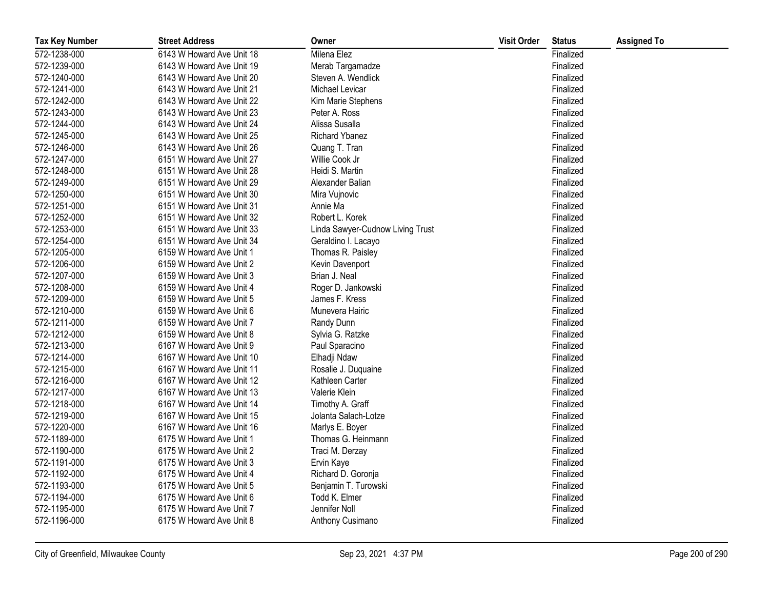| <b>Tax Key Number</b> | <b>Street Address</b>     | Owner                            | <b>Visit Order</b> | <b>Status</b> | <b>Assigned To</b> |
|-----------------------|---------------------------|----------------------------------|--------------------|---------------|--------------------|
| 572-1238-000          | 6143 W Howard Ave Unit 18 | Milena Elez                      |                    | Finalized     |                    |
| 572-1239-000          | 6143 W Howard Ave Unit 19 | Merab Targamadze                 |                    | Finalized     |                    |
| 572-1240-000          | 6143 W Howard Ave Unit 20 | Steven A. Wendlick               |                    | Finalized     |                    |
| 572-1241-000          | 6143 W Howard Ave Unit 21 | Michael Levicar                  |                    | Finalized     |                    |
| 572-1242-000          | 6143 W Howard Ave Unit 22 | Kim Marie Stephens               |                    | Finalized     |                    |
| 572-1243-000          | 6143 W Howard Ave Unit 23 | Peter A. Ross                    |                    | Finalized     |                    |
| 572-1244-000          | 6143 W Howard Ave Unit 24 | Alissa Susalla                   |                    | Finalized     |                    |
| 572-1245-000          | 6143 W Howard Ave Unit 25 | <b>Richard Ybanez</b>            |                    | Finalized     |                    |
| 572-1246-000          | 6143 W Howard Ave Unit 26 | Quang T. Tran                    |                    | Finalized     |                    |
| 572-1247-000          | 6151 W Howard Ave Unit 27 | Willie Cook Jr                   |                    | Finalized     |                    |
| 572-1248-000          | 6151 W Howard Ave Unit 28 | Heidi S. Martin                  |                    | Finalized     |                    |
| 572-1249-000          | 6151 W Howard Ave Unit 29 | Alexander Balian                 |                    | Finalized     |                    |
| 572-1250-000          | 6151 W Howard Ave Unit 30 | Mira Vujnovic                    |                    | Finalized     |                    |
| 572-1251-000          | 6151 W Howard Ave Unit 31 | Annie Ma                         |                    | Finalized     |                    |
| 572-1252-000          | 6151 W Howard Ave Unit 32 | Robert L. Korek                  |                    | Finalized     |                    |
| 572-1253-000          | 6151 W Howard Ave Unit 33 | Linda Sawyer-Cudnow Living Trust |                    | Finalized     |                    |
| 572-1254-000          | 6151 W Howard Ave Unit 34 | Geraldino I. Lacayo              |                    | Finalized     |                    |
| 572-1205-000          | 6159 W Howard Ave Unit 1  | Thomas R. Paisley                |                    | Finalized     |                    |
| 572-1206-000          | 6159 W Howard Ave Unit 2  | Kevin Davenport                  |                    | Finalized     |                    |
| 572-1207-000          | 6159 W Howard Ave Unit 3  | Brian J. Neal                    |                    | Finalized     |                    |
| 572-1208-000          | 6159 W Howard Ave Unit 4  | Roger D. Jankowski               |                    | Finalized     |                    |
| 572-1209-000          | 6159 W Howard Ave Unit 5  | James F. Kress                   |                    | Finalized     |                    |
| 572-1210-000          | 6159 W Howard Ave Unit 6  | Munevera Hairic                  |                    | Finalized     |                    |
| 572-1211-000          | 6159 W Howard Ave Unit 7  | Randy Dunn                       |                    | Finalized     |                    |
| 572-1212-000          | 6159 W Howard Ave Unit 8  | Sylvia G. Ratzke                 |                    | Finalized     |                    |
| 572-1213-000          | 6167 W Howard Ave Unit 9  | Paul Sparacino                   |                    | Finalized     |                    |
| 572-1214-000          | 6167 W Howard Ave Unit 10 | Elhadji Ndaw                     |                    | Finalized     |                    |
| 572-1215-000          | 6167 W Howard Ave Unit 11 | Rosalie J. Duquaine              |                    | Finalized     |                    |
| 572-1216-000          | 6167 W Howard Ave Unit 12 | Kathleen Carter                  |                    | Finalized     |                    |
| 572-1217-000          | 6167 W Howard Ave Unit 13 | Valerie Klein                    |                    | Finalized     |                    |
| 572-1218-000          | 6167 W Howard Ave Unit 14 | Timothy A. Graff                 |                    | Finalized     |                    |
| 572-1219-000          | 6167 W Howard Ave Unit 15 | Jolanta Salach-Lotze             |                    | Finalized     |                    |
| 572-1220-000          | 6167 W Howard Ave Unit 16 | Marlys E. Boyer                  |                    | Finalized     |                    |
| 572-1189-000          | 6175 W Howard Ave Unit 1  | Thomas G. Heinmann               |                    | Finalized     |                    |
| 572-1190-000          | 6175 W Howard Ave Unit 2  | Traci M. Derzay                  |                    | Finalized     |                    |
| 572-1191-000          | 6175 W Howard Ave Unit 3  | Ervin Kaye                       |                    | Finalized     |                    |
| 572-1192-000          | 6175 W Howard Ave Unit 4  | Richard D. Goronja               |                    | Finalized     |                    |
| 572-1193-000          | 6175 W Howard Ave Unit 5  | Benjamin T. Turowski             |                    | Finalized     |                    |
| 572-1194-000          | 6175 W Howard Ave Unit 6  | Todd K. Elmer                    |                    | Finalized     |                    |
| 572-1195-000          | 6175 W Howard Ave Unit 7  | Jennifer Noll                    |                    | Finalized     |                    |
| 572-1196-000          | 6175 W Howard Ave Unit 8  | Anthony Cusimano                 |                    | Finalized     |                    |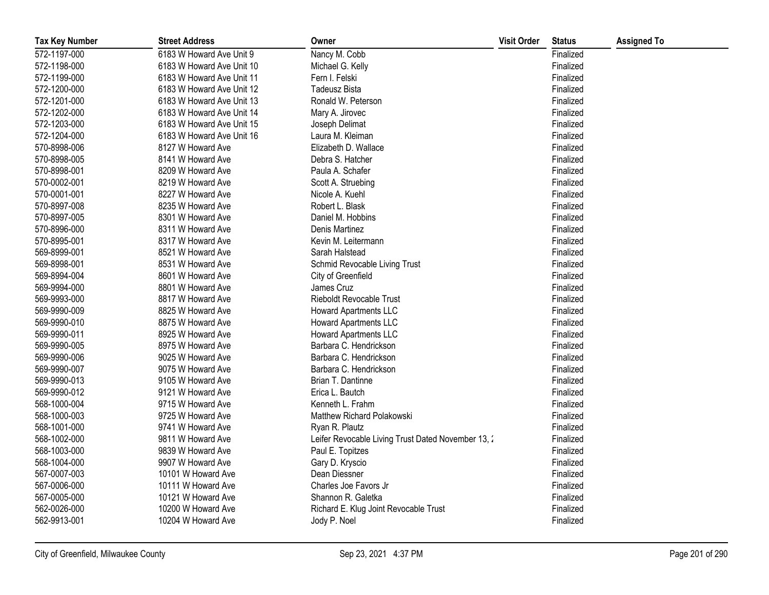| <b>Tax Key Number</b> | <b>Street Address</b>     | Owner                                              | <b>Visit Order</b> | <b>Status</b> | <b>Assigned To</b> |
|-----------------------|---------------------------|----------------------------------------------------|--------------------|---------------|--------------------|
| 572-1197-000          | 6183 W Howard Ave Unit 9  | Nancy M. Cobb                                      |                    | Finalized     |                    |
| 572-1198-000          | 6183 W Howard Ave Unit 10 | Michael G. Kelly                                   |                    | Finalized     |                    |
| 572-1199-000          | 6183 W Howard Ave Unit 11 | Fern I. Felski                                     |                    | Finalized     |                    |
| 572-1200-000          | 6183 W Howard Ave Unit 12 | Tadeusz Bista                                      |                    | Finalized     |                    |
| 572-1201-000          | 6183 W Howard Ave Unit 13 | Ronald W. Peterson                                 |                    | Finalized     |                    |
| 572-1202-000          | 6183 W Howard Ave Unit 14 | Mary A. Jirovec                                    |                    | Finalized     |                    |
| 572-1203-000          | 6183 W Howard Ave Unit 15 | Joseph Delimat                                     |                    | Finalized     |                    |
| 572-1204-000          | 6183 W Howard Ave Unit 16 | Laura M. Kleiman                                   |                    | Finalized     |                    |
| 570-8998-006          | 8127 W Howard Ave         | Elizabeth D. Wallace                               |                    | Finalized     |                    |
| 570-8998-005          | 8141 W Howard Ave         | Debra S. Hatcher                                   |                    | Finalized     |                    |
| 570-8998-001          | 8209 W Howard Ave         | Paula A. Schafer                                   |                    | Finalized     |                    |
| 570-0002-001          | 8219 W Howard Ave         | Scott A. Struebing                                 |                    | Finalized     |                    |
| 570-0001-001          | 8227 W Howard Ave         | Nicole A. Kuehl                                    |                    | Finalized     |                    |
| 570-8997-008          | 8235 W Howard Ave         | Robert L. Blask                                    |                    | Finalized     |                    |
| 570-8997-005          | 8301 W Howard Ave         | Daniel M. Hobbins                                  |                    | Finalized     |                    |
| 570-8996-000          | 8311 W Howard Ave         | Denis Martinez                                     |                    | Finalized     |                    |
| 570-8995-001          | 8317 W Howard Ave         | Kevin M. Leitermann                                |                    | Finalized     |                    |
| 569-8999-001          | 8521 W Howard Ave         | Sarah Halstead                                     |                    | Finalized     |                    |
| 569-8998-001          | 8531 W Howard Ave         | Schmid Revocable Living Trust                      |                    | Finalized     |                    |
| 569-8994-004          | 8601 W Howard Ave         | City of Greenfield                                 |                    | Finalized     |                    |
| 569-9994-000          | 8801 W Howard Ave         | James Cruz                                         |                    | Finalized     |                    |
| 569-9993-000          | 8817 W Howard Ave         | <b>Rieboldt Revocable Trust</b>                    |                    | Finalized     |                    |
| 569-9990-009          | 8825 W Howard Ave         | <b>Howard Apartments LLC</b>                       |                    | Finalized     |                    |
| 569-9990-010          | 8875 W Howard Ave         | <b>Howard Apartments LLC</b>                       |                    | Finalized     |                    |
| 569-9990-011          | 8925 W Howard Ave         | Howard Apartments LLC                              |                    | Finalized     |                    |
| 569-9990-005          | 8975 W Howard Ave         | Barbara C. Hendrickson                             |                    | Finalized     |                    |
| 569-9990-006          | 9025 W Howard Ave         | Barbara C. Hendrickson                             |                    | Finalized     |                    |
| 569-9990-007          | 9075 W Howard Ave         | Barbara C. Hendrickson                             |                    | Finalized     |                    |
| 569-9990-013          | 9105 W Howard Ave         | Brian T. Dantinne                                  |                    | Finalized     |                    |
| 569-9990-012          | 9121 W Howard Ave         | Erica L. Bautch                                    |                    | Finalized     |                    |
| 568-1000-004          | 9715 W Howard Ave         | Kenneth L. Frahm                                   |                    | Finalized     |                    |
| 568-1000-003          | 9725 W Howard Ave         | Matthew Richard Polakowski                         |                    | Finalized     |                    |
| 568-1001-000          | 9741 W Howard Ave         | Ryan R. Plautz                                     |                    | Finalized     |                    |
| 568-1002-000          | 9811 W Howard Ave         | Leifer Revocable Living Trust Dated November 13, 2 |                    | Finalized     |                    |
| 568-1003-000          | 9839 W Howard Ave         | Paul E. Topitzes                                   |                    | Finalized     |                    |
| 568-1004-000          | 9907 W Howard Ave         | Gary D. Kryscio                                    |                    | Finalized     |                    |
| 567-0007-003          | 10101 W Howard Ave        | Dean Diessner                                      |                    | Finalized     |                    |
| 567-0006-000          | 10111 W Howard Ave        | Charles Joe Favors Jr                              |                    | Finalized     |                    |
| 567-0005-000          | 10121 W Howard Ave        | Shannon R. Galetka                                 |                    | Finalized     |                    |
| 562-0026-000          | 10200 W Howard Ave        | Richard E. Klug Joint Revocable Trust              |                    | Finalized     |                    |
| 562-9913-001          | 10204 W Howard Ave        | Jody P. Noel                                       |                    | Finalized     |                    |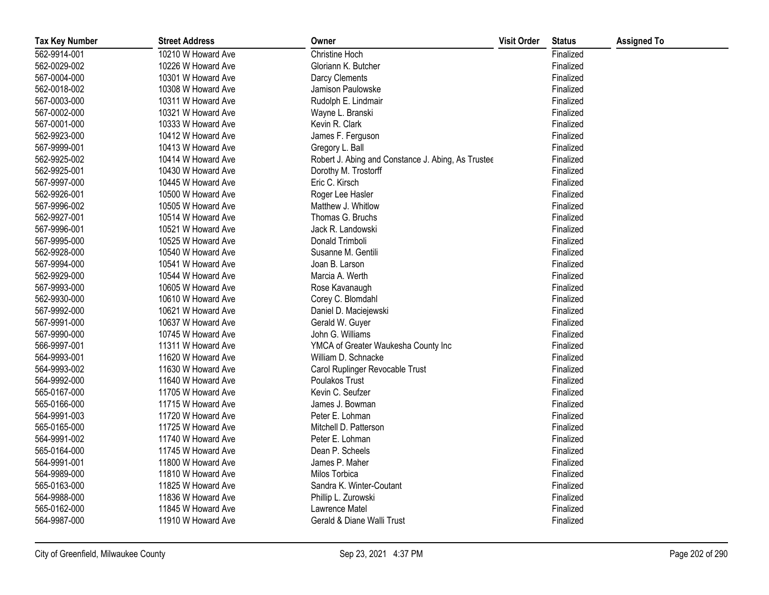| <b>Tax Key Number</b> | <b>Street Address</b> | Owner                                              | <b>Visit Order</b> | <b>Status</b> | <b>Assigned To</b> |
|-----------------------|-----------------------|----------------------------------------------------|--------------------|---------------|--------------------|
| 562-9914-001          | 10210 W Howard Ave    | Christine Hoch                                     |                    | Finalized     |                    |
| 562-0029-002          | 10226 W Howard Ave    | Gloriann K. Butcher                                |                    | Finalized     |                    |
| 567-0004-000          | 10301 W Howard Ave    | Darcy Clements                                     |                    | Finalized     |                    |
| 562-0018-002          | 10308 W Howard Ave    | Jamison Paulowske                                  |                    | Finalized     |                    |
| 567-0003-000          | 10311 W Howard Ave    | Rudolph E. Lindmair                                |                    | Finalized     |                    |
| 567-0002-000          | 10321 W Howard Ave    | Wayne L. Branski                                   |                    | Finalized     |                    |
| 567-0001-000          | 10333 W Howard Ave    | Kevin R. Clark                                     |                    | Finalized     |                    |
| 562-9923-000          | 10412 W Howard Ave    | James F. Ferguson                                  |                    | Finalized     |                    |
| 567-9999-001          | 10413 W Howard Ave    | Gregory L. Ball                                    |                    | Finalized     |                    |
| 562-9925-002          | 10414 W Howard Ave    | Robert J. Abing and Constance J. Abing, As Trustee |                    | Finalized     |                    |
| 562-9925-001          | 10430 W Howard Ave    | Dorothy M. Trostorff                               |                    | Finalized     |                    |
| 567-9997-000          | 10445 W Howard Ave    | Eric C. Kirsch                                     |                    | Finalized     |                    |
| 562-9926-001          | 10500 W Howard Ave    | Roger Lee Hasler                                   |                    | Finalized     |                    |
| 567-9996-002          | 10505 W Howard Ave    | Matthew J. Whitlow                                 |                    | Finalized     |                    |
| 562-9927-001          | 10514 W Howard Ave    | Thomas G. Bruchs                                   |                    | Finalized     |                    |
| 567-9996-001          | 10521 W Howard Ave    | Jack R. Landowski                                  |                    | Finalized     |                    |
| 567-9995-000          | 10525 W Howard Ave    | Donald Trimboli                                    |                    | Finalized     |                    |
| 562-9928-000          | 10540 W Howard Ave    | Susanne M. Gentili                                 |                    | Finalized     |                    |
| 567-9994-000          | 10541 W Howard Ave    | Joan B. Larson                                     |                    | Finalized     |                    |
| 562-9929-000          | 10544 W Howard Ave    | Marcia A. Werth                                    |                    | Finalized     |                    |
| 567-9993-000          | 10605 W Howard Ave    | Rose Kavanaugh                                     |                    | Finalized     |                    |
| 562-9930-000          | 10610 W Howard Ave    | Corey C. Blomdahl                                  |                    | Finalized     |                    |
| 567-9992-000          | 10621 W Howard Ave    | Daniel D. Maciejewski                              |                    | Finalized     |                    |
| 567-9991-000          | 10637 W Howard Ave    | Gerald W. Guyer                                    |                    | Finalized     |                    |
| 567-9990-000          | 10745 W Howard Ave    | John G. Williams                                   |                    | Finalized     |                    |
| 566-9997-001          | 11311 W Howard Ave    | YMCA of Greater Waukesha County Inc                |                    | Finalized     |                    |
| 564-9993-001          | 11620 W Howard Ave    | William D. Schnacke                                |                    | Finalized     |                    |
| 564-9993-002          | 11630 W Howard Ave    | Carol Ruplinger Revocable Trust                    |                    | Finalized     |                    |
| 564-9992-000          | 11640 W Howard Ave    | Poulakos Trust                                     |                    | Finalized     |                    |
| 565-0167-000          | 11705 W Howard Ave    | Kevin C. Seufzer                                   |                    | Finalized     |                    |
| 565-0166-000          | 11715 W Howard Ave    | James J. Bowman                                    |                    | Finalized     |                    |
| 564-9991-003          | 11720 W Howard Ave    | Peter E. Lohman                                    |                    | Finalized     |                    |
| 565-0165-000          | 11725 W Howard Ave    | Mitchell D. Patterson                              |                    | Finalized     |                    |
| 564-9991-002          | 11740 W Howard Ave    | Peter E. Lohman                                    |                    | Finalized     |                    |
| 565-0164-000          | 11745 W Howard Ave    | Dean P. Scheels                                    |                    | Finalized     |                    |
| 564-9991-001          | 11800 W Howard Ave    | James P. Maher                                     |                    | Finalized     |                    |
| 564-9989-000          | 11810 W Howard Ave    | Milos Torbica                                      |                    | Finalized     |                    |
| 565-0163-000          | 11825 W Howard Ave    | Sandra K. Winter-Coutant                           |                    | Finalized     |                    |
| 564-9988-000          | 11836 W Howard Ave    | Phillip L. Zurowski                                |                    | Finalized     |                    |
| 565-0162-000          | 11845 W Howard Ave    | Lawrence Matel                                     |                    | Finalized     |                    |
| 564-9987-000          | 11910 W Howard Ave    | Gerald & Diane Walli Trust                         |                    | Finalized     |                    |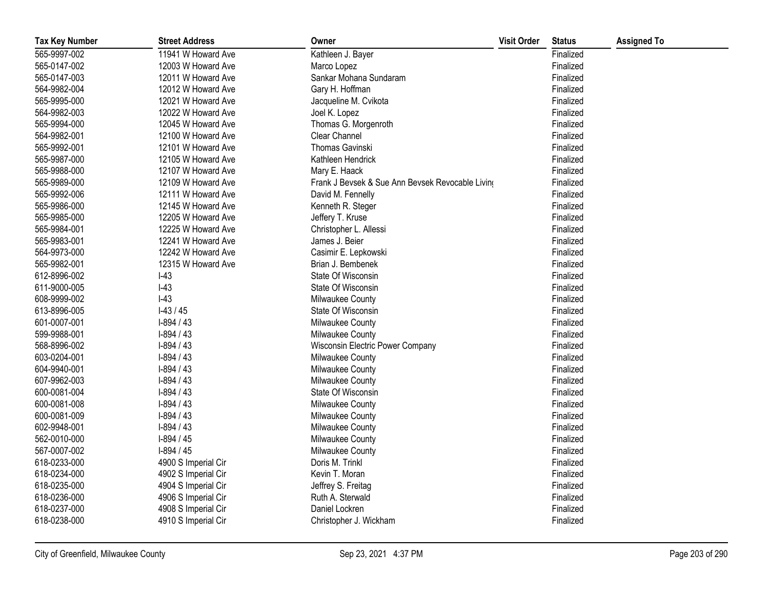| <b>Tax Key Number</b> | <b>Street Address</b> | Owner                                            | <b>Visit Order</b> | <b>Status</b> | <b>Assigned To</b> |
|-----------------------|-----------------------|--------------------------------------------------|--------------------|---------------|--------------------|
| 565-9997-002          | 11941 W Howard Ave    | Kathleen J. Bayer                                |                    | Finalized     |                    |
| 565-0147-002          | 12003 W Howard Ave    | Marco Lopez                                      |                    | Finalized     |                    |
| 565-0147-003          | 12011 W Howard Ave    | Sankar Mohana Sundaram                           |                    | Finalized     |                    |
| 564-9982-004          | 12012 W Howard Ave    | Gary H. Hoffman                                  |                    | Finalized     |                    |
| 565-9995-000          | 12021 W Howard Ave    | Jacqueline M. Cvikota                            |                    | Finalized     |                    |
| 564-9982-003          | 12022 W Howard Ave    | Joel K. Lopez                                    |                    | Finalized     |                    |
| 565-9994-000          | 12045 W Howard Ave    | Thomas G. Morgenroth                             |                    | Finalized     |                    |
| 564-9982-001          | 12100 W Howard Ave    | Clear Channel                                    |                    | Finalized     |                    |
| 565-9992-001          | 12101 W Howard Ave    | <b>Thomas Gavinski</b>                           |                    | Finalized     |                    |
| 565-9987-000          | 12105 W Howard Ave    | Kathleen Hendrick                                |                    | Finalized     |                    |
| 565-9988-000          | 12107 W Howard Ave    | Mary E. Haack                                    |                    | Finalized     |                    |
| 565-9989-000          | 12109 W Howard Ave    | Frank J Bevsek & Sue Ann Bevsek Revocable Living |                    | Finalized     |                    |
| 565-9992-006          | 12111 W Howard Ave    | David M. Fennelly                                |                    | Finalized     |                    |
| 565-9986-000          | 12145 W Howard Ave    | Kenneth R. Steger                                |                    | Finalized     |                    |
| 565-9985-000          | 12205 W Howard Ave    | Jeffery T. Kruse                                 |                    | Finalized     |                    |
| 565-9984-001          | 12225 W Howard Ave    | Christopher L. Allessi                           |                    | Finalized     |                    |
| 565-9983-001          | 12241 W Howard Ave    | James J. Beier                                   |                    | Finalized     |                    |
| 564-9973-000          | 12242 W Howard Ave    | Casimir E. Lepkowski                             |                    | Finalized     |                    |
| 565-9982-001          | 12315 W Howard Ave    | Brian J. Bembenek                                |                    | Finalized     |                    |
| 612-8996-002          | $I-43$                | State Of Wisconsin                               |                    | Finalized     |                    |
| 611-9000-005          | $I-43$                | State Of Wisconsin                               |                    | Finalized     |                    |
| 608-9999-002          | $I-43$                | Milwaukee County                                 |                    | Finalized     |                    |
| 613-8996-005          | $1-43/45$             | State Of Wisconsin                               |                    | Finalized     |                    |
| 601-0007-001          | $I-894/43$            | Milwaukee County                                 |                    | Finalized     |                    |
| 599-9988-001          | $I-894/43$            | Milwaukee County                                 |                    | Finalized     |                    |
| 568-8996-002          | $I-894/43$            | Wisconsin Electric Power Company                 |                    | Finalized     |                    |
| 603-0204-001          | $I-894/43$            | Milwaukee County                                 |                    | Finalized     |                    |
| 604-9940-001          | $I-894/43$            | Milwaukee County                                 |                    | Finalized     |                    |
| 607-9962-003          | $I-894/43$            | Milwaukee County                                 |                    | Finalized     |                    |
| 600-0081-004          | $I-894/43$            | State Of Wisconsin                               |                    | Finalized     |                    |
| 600-0081-008          | $I-894/43$            | Milwaukee County                                 |                    | Finalized     |                    |
| 600-0081-009          | $I-894/43$            | Milwaukee County                                 |                    | Finalized     |                    |
| 602-9948-001          | $I-894/43$            | Milwaukee County                                 |                    | Finalized     |                    |
| 562-0010-000          | $1-894/45$            | Milwaukee County                                 |                    | Finalized     |                    |
| 567-0007-002          | $1-894/45$            | Milwaukee County                                 |                    | Finalized     |                    |
| 618-0233-000          | 4900 S Imperial Cir   | Doris M. Trinkl                                  |                    | Finalized     |                    |
| 618-0234-000          | 4902 S Imperial Cir   | Kevin T. Moran                                   |                    | Finalized     |                    |
| 618-0235-000          | 4904 S Imperial Cir   | Jeffrey S. Freitag                               |                    | Finalized     |                    |
| 618-0236-000          | 4906 S Imperial Cir   | Ruth A. Sterwald                                 |                    | Finalized     |                    |
| 618-0237-000          | 4908 S Imperial Cir   | Daniel Lockren                                   |                    | Finalized     |                    |
| 618-0238-000          | 4910 S Imperial Cir   | Christopher J. Wickham                           |                    | Finalized     |                    |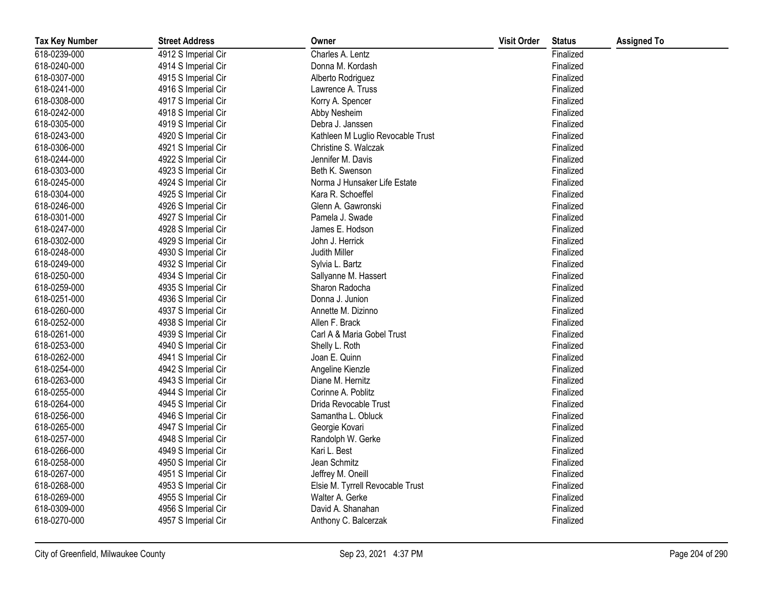| <b>Tax Key Number</b> | <b>Street Address</b> | Owner                             | <b>Visit Order</b> | <b>Status</b> | <b>Assigned To</b> |
|-----------------------|-----------------------|-----------------------------------|--------------------|---------------|--------------------|
| 618-0239-000          | 4912 S Imperial Cir   | Charles A. Lentz                  |                    | Finalized     |                    |
| 618-0240-000          | 4914 S Imperial Cir   | Donna M. Kordash                  |                    | Finalized     |                    |
| 618-0307-000          | 4915 S Imperial Cir   | Alberto Rodriguez                 |                    | Finalized     |                    |
| 618-0241-000          | 4916 S Imperial Cir   | Lawrence A. Truss                 |                    | Finalized     |                    |
| 618-0308-000          | 4917 S Imperial Cir   | Korry A. Spencer                  |                    | Finalized     |                    |
| 618-0242-000          | 4918 S Imperial Cir   | Abby Nesheim                      |                    | Finalized     |                    |
| 618-0305-000          | 4919 S Imperial Cir   | Debra J. Janssen                  |                    | Finalized     |                    |
| 618-0243-000          | 4920 S Imperial Cir   | Kathleen M Luglio Revocable Trust |                    | Finalized     |                    |
| 618-0306-000          | 4921 S Imperial Cir   | Christine S. Walczak              |                    | Finalized     |                    |
| 618-0244-000          | 4922 S Imperial Cir   | Jennifer M. Davis                 |                    | Finalized     |                    |
| 618-0303-000          | 4923 S Imperial Cir   | Beth K. Swenson                   |                    | Finalized     |                    |
| 618-0245-000          | 4924 S Imperial Cir   | Norma J Hunsaker Life Estate      |                    | Finalized     |                    |
| 618-0304-000          | 4925 S Imperial Cir   | Kara R. Schoeffel                 |                    | Finalized     |                    |
| 618-0246-000          | 4926 S Imperial Cir   | Glenn A. Gawronski                |                    | Finalized     |                    |
| 618-0301-000          | 4927 S Imperial Cir   | Pamela J. Swade                   |                    | Finalized     |                    |
| 618-0247-000          | 4928 S Imperial Cir   | James E. Hodson                   |                    | Finalized     |                    |
| 618-0302-000          | 4929 S Imperial Cir   | John J. Herrick                   |                    | Finalized     |                    |
| 618-0248-000          | 4930 S Imperial Cir   | Judith Miller                     |                    | Finalized     |                    |
| 618-0249-000          | 4932 S Imperial Cir   | Sylvia L. Bartz                   |                    | Finalized     |                    |
| 618-0250-000          | 4934 S Imperial Cir   | Sallyanne M. Hassert              |                    | Finalized     |                    |
| 618-0259-000          | 4935 S Imperial Cir   | Sharon Radocha                    |                    | Finalized     |                    |
| 618-0251-000          | 4936 S Imperial Cir   | Donna J. Junion                   |                    | Finalized     |                    |
| 618-0260-000          | 4937 S Imperial Cir   | Annette M. Dizinno                |                    | Finalized     |                    |
| 618-0252-000          | 4938 S Imperial Cir   | Allen F. Brack                    |                    | Finalized     |                    |
| 618-0261-000          | 4939 S Imperial Cir   | Carl A & Maria Gobel Trust        |                    | Finalized     |                    |
| 618-0253-000          | 4940 S Imperial Cir   | Shelly L. Roth                    |                    | Finalized     |                    |
| 618-0262-000          | 4941 S Imperial Cir   | Joan E. Quinn                     |                    | Finalized     |                    |
| 618-0254-000          | 4942 S Imperial Cir   | Angeline Kienzle                  |                    | Finalized     |                    |
| 618-0263-000          | 4943 S Imperial Cir   | Diane M. Hernitz                  |                    | Finalized     |                    |
| 618-0255-000          | 4944 S Imperial Cir   | Corinne A. Poblitz                |                    | Finalized     |                    |
| 618-0264-000          | 4945 S Imperial Cir   | Drida Revocable Trust             |                    | Finalized     |                    |
| 618-0256-000          | 4946 S Imperial Cir   | Samantha L. Obluck                |                    | Finalized     |                    |
| 618-0265-000          | 4947 S Imperial Cir   | Georgie Kovari                    |                    | Finalized     |                    |
| 618-0257-000          | 4948 S Imperial Cir   | Randolph W. Gerke                 |                    | Finalized     |                    |
| 618-0266-000          | 4949 S Imperial Cir   | Kari L. Best                      |                    | Finalized     |                    |
| 618-0258-000          | 4950 S Imperial Cir   | Jean Schmitz                      |                    | Finalized     |                    |
| 618-0267-000          | 4951 S Imperial Cir   | Jeffrey M. Oneill                 |                    | Finalized     |                    |
| 618-0268-000          | 4953 S Imperial Cir   | Elsie M. Tyrrell Revocable Trust  |                    | Finalized     |                    |
| 618-0269-000          | 4955 S Imperial Cir   | Walter A. Gerke                   |                    | Finalized     |                    |
| 618-0309-000          | 4956 S Imperial Cir   | David A. Shanahan                 |                    | Finalized     |                    |
| 618-0270-000          | 4957 S Imperial Cir   | Anthony C. Balcerzak              |                    | Finalized     |                    |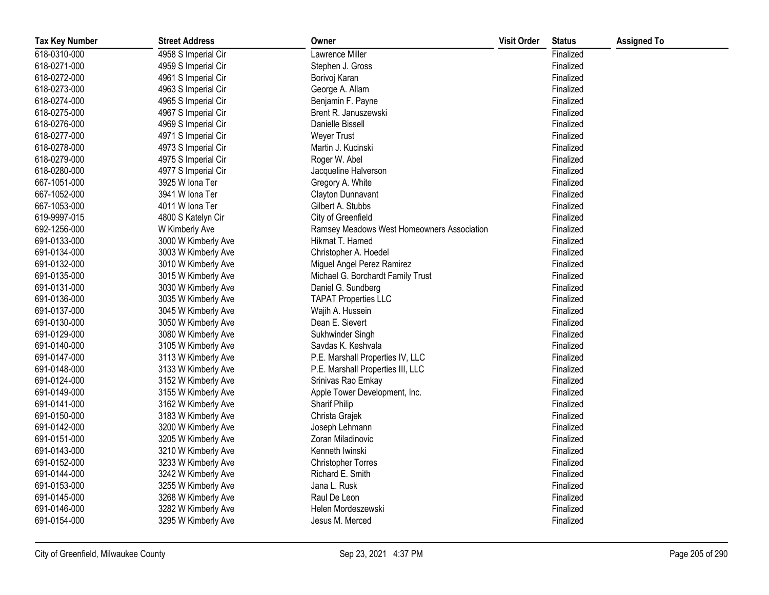| <b>Tax Key Number</b> | <b>Street Address</b> | Owner                                      | <b>Visit Order</b> | <b>Status</b> | <b>Assigned To</b> |
|-----------------------|-----------------------|--------------------------------------------|--------------------|---------------|--------------------|
| 618-0310-000          | 4958 S Imperial Cir   | Lawrence Miller                            |                    | Finalized     |                    |
| 618-0271-000          | 4959 S Imperial Cir   | Stephen J. Gross                           |                    | Finalized     |                    |
| 618-0272-000          | 4961 S Imperial Cir   | Borivoj Karan                              |                    | Finalized     |                    |
| 618-0273-000          | 4963 S Imperial Cir   | George A. Allam                            |                    | Finalized     |                    |
| 618-0274-000          | 4965 S Imperial Cir   | Benjamin F. Payne                          |                    | Finalized     |                    |
| 618-0275-000          | 4967 S Imperial Cir   | Brent R. Januszewski                       |                    | Finalized     |                    |
| 618-0276-000          | 4969 S Imperial Cir   | Danielle Bissell                           |                    | Finalized     |                    |
| 618-0277-000          | 4971 S Imperial Cir   | <b>Weyer Trust</b>                         |                    | Finalized     |                    |
| 618-0278-000          | 4973 S Imperial Cir   | Martin J. Kucinski                         |                    | Finalized     |                    |
| 618-0279-000          | 4975 S Imperial Cir   | Roger W. Abel                              |                    | Finalized     |                    |
| 618-0280-000          | 4977 S Imperial Cir   | Jacqueline Halverson                       |                    | Finalized     |                    |
| 667-1051-000          | 3925 W Iona Ter       | Gregory A. White                           |                    | Finalized     |                    |
| 667-1052-000          | 3941 W Iona Ter       | Clayton Dunnavant                          |                    | Finalized     |                    |
| 667-1053-000          | 4011 W Iona Ter       | Gilbert A. Stubbs                          |                    | Finalized     |                    |
| 619-9997-015          | 4800 S Katelyn Cir    | City of Greenfield                         |                    | Finalized     |                    |
| 692-1256-000          | W Kimberly Ave        | Ramsey Meadows West Homeowners Association |                    | Finalized     |                    |
| 691-0133-000          | 3000 W Kimberly Ave   | Hikmat T. Hamed                            |                    | Finalized     |                    |
| 691-0134-000          | 3003 W Kimberly Ave   | Christopher A. Hoedel                      |                    | Finalized     |                    |
| 691-0132-000          | 3010 W Kimberly Ave   | Miguel Angel Perez Ramirez                 |                    | Finalized     |                    |
| 691-0135-000          | 3015 W Kimberly Ave   | Michael G. Borchardt Family Trust          |                    | Finalized     |                    |
| 691-0131-000          | 3030 W Kimberly Ave   | Daniel G. Sundberg                         |                    | Finalized     |                    |
| 691-0136-000          | 3035 W Kimberly Ave   | <b>TAPAT Properties LLC</b>                |                    | Finalized     |                    |
| 691-0137-000          | 3045 W Kimberly Ave   | Wajih A. Hussein                           |                    | Finalized     |                    |
| 691-0130-000          | 3050 W Kimberly Ave   | Dean E. Sievert                            |                    | Finalized     |                    |
| 691-0129-000          | 3080 W Kimberly Ave   | Sukhwinder Singh                           |                    | Finalized     |                    |
| 691-0140-000          | 3105 W Kimberly Ave   | Savdas K. Keshvala                         |                    | Finalized     |                    |
| 691-0147-000          | 3113 W Kimberly Ave   | P.E. Marshall Properties IV, LLC           |                    | Finalized     |                    |
| 691-0148-000          | 3133 W Kimberly Ave   | P.E. Marshall Properties III, LLC          |                    | Finalized     |                    |
| 691-0124-000          | 3152 W Kimberly Ave   | Srinivas Rao Emkay                         |                    | Finalized     |                    |
| 691-0149-000          | 3155 W Kimberly Ave   | Apple Tower Development, Inc.              |                    | Finalized     |                    |
| 691-0141-000          | 3162 W Kimberly Ave   | <b>Sharif Philip</b>                       |                    | Finalized     |                    |
| 691-0150-000          | 3183 W Kimberly Ave   | Christa Grajek                             |                    | Finalized     |                    |
| 691-0142-000          | 3200 W Kimberly Ave   | Joseph Lehmann                             |                    | Finalized     |                    |
| 691-0151-000          | 3205 W Kimberly Ave   | Zoran Miladinovic                          |                    | Finalized     |                    |
| 691-0143-000          | 3210 W Kimberly Ave   | Kenneth Iwinski                            |                    | Finalized     |                    |
| 691-0152-000          | 3233 W Kimberly Ave   | <b>Christopher Torres</b>                  |                    | Finalized     |                    |
| 691-0144-000          | 3242 W Kimberly Ave   | Richard E. Smith                           |                    | Finalized     |                    |
| 691-0153-000          | 3255 W Kimberly Ave   | Jana L. Rusk                               |                    | Finalized     |                    |
| 691-0145-000          | 3268 W Kimberly Ave   | Raul De Leon                               |                    | Finalized     |                    |
| 691-0146-000          | 3282 W Kimberly Ave   | Helen Mordeszewski                         |                    | Finalized     |                    |
| 691-0154-000          | 3295 W Kimberly Ave   | Jesus M. Merced                            |                    | Finalized     |                    |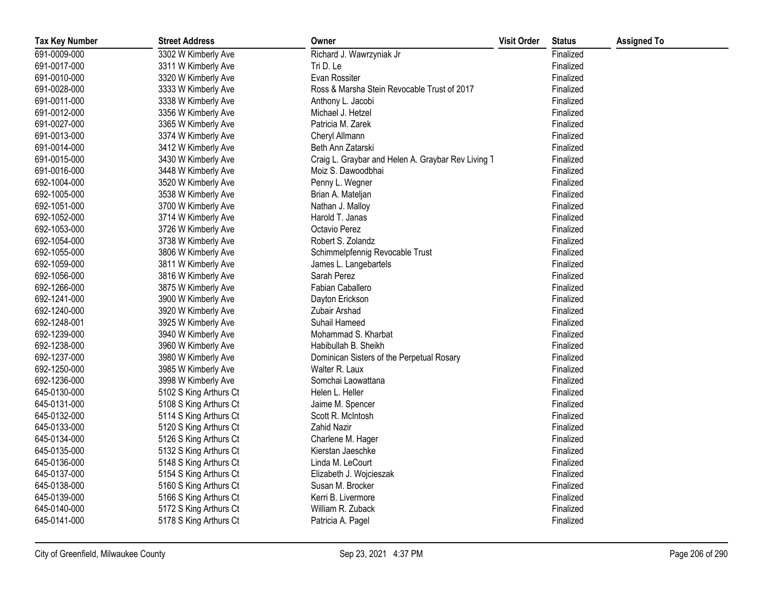| <b>Tax Key Number</b> | <b>Street Address</b>  | Owner                                              | <b>Visit Order</b> | <b>Status</b> | <b>Assigned To</b> |
|-----------------------|------------------------|----------------------------------------------------|--------------------|---------------|--------------------|
| 691-0009-000          | 3302 W Kimberly Ave    | Richard J. Wawrzyniak Jr                           |                    | Finalized     |                    |
| 691-0017-000          | 3311 W Kimberly Ave    | Tri D. Le                                          |                    | Finalized     |                    |
| 691-0010-000          | 3320 W Kimberly Ave    | Evan Rossiter                                      |                    | Finalized     |                    |
| 691-0028-000          | 3333 W Kimberly Ave    | Ross & Marsha Stein Revocable Trust of 2017        |                    | Finalized     |                    |
| 691-0011-000          | 3338 W Kimberly Ave    | Anthony L. Jacobi                                  |                    | Finalized     |                    |
| 691-0012-000          | 3356 W Kimberly Ave    | Michael J. Hetzel                                  |                    | Finalized     |                    |
| 691-0027-000          | 3365 W Kimberly Ave    | Patricia M. Zarek                                  |                    | Finalized     |                    |
| 691-0013-000          | 3374 W Kimberly Ave    | Cheryl Allmann                                     |                    | Finalized     |                    |
| 691-0014-000          | 3412 W Kimberly Ave    | Beth Ann Zatarski                                  |                    | Finalized     |                    |
| 691-0015-000          | 3430 W Kimberly Ave    | Craig L. Graybar and Helen A. Graybar Rev Living T |                    | Finalized     |                    |
| 691-0016-000          | 3448 W Kimberly Ave    | Moiz S. Dawoodbhai                                 |                    | Finalized     |                    |
| 692-1004-000          | 3520 W Kimberly Ave    | Penny L. Wegner                                    |                    | Finalized     |                    |
| 692-1005-000          | 3538 W Kimberly Ave    | Brian A. Mateljan                                  |                    | Finalized     |                    |
| 692-1051-000          | 3700 W Kimberly Ave    | Nathan J. Malloy                                   |                    | Finalized     |                    |
| 692-1052-000          | 3714 W Kimberly Ave    | Harold T. Janas                                    |                    | Finalized     |                    |
| 692-1053-000          | 3726 W Kimberly Ave    | Octavio Perez                                      |                    | Finalized     |                    |
| 692-1054-000          | 3738 W Kimberly Ave    | Robert S. Zolandz                                  |                    | Finalized     |                    |
| 692-1055-000          | 3806 W Kimberly Ave    | Schimmelpfennig Revocable Trust                    |                    | Finalized     |                    |
| 692-1059-000          | 3811 W Kimberly Ave    | James L. Langebartels                              |                    | Finalized     |                    |
| 692-1056-000          | 3816 W Kimberly Ave    | Sarah Perez                                        |                    | Finalized     |                    |
| 692-1266-000          | 3875 W Kimberly Ave    | Fabian Caballero                                   |                    | Finalized     |                    |
| 692-1241-000          | 3900 W Kimberly Ave    | Dayton Erickson                                    |                    | Finalized     |                    |
| 692-1240-000          | 3920 W Kimberly Ave    | Zubair Arshad                                      |                    | Finalized     |                    |
| 692-1248-001          | 3925 W Kimberly Ave    | Suhail Hameed                                      |                    | Finalized     |                    |
| 692-1239-000          | 3940 W Kimberly Ave    | Mohammad S. Kharbat                                |                    | Finalized     |                    |
| 692-1238-000          | 3960 W Kimberly Ave    | Habibullah B. Sheikh                               |                    | Finalized     |                    |
| 692-1237-000          | 3980 W Kimberly Ave    | Dominican Sisters of the Perpetual Rosary          |                    | Finalized     |                    |
| 692-1250-000          | 3985 W Kimberly Ave    | Walter R. Laux                                     |                    | Finalized     |                    |
| 692-1236-000          | 3998 W Kimberly Ave    | Somchai Laowattana                                 |                    | Finalized     |                    |
| 645-0130-000          | 5102 S King Arthurs Ct | Helen L. Heller                                    |                    | Finalized     |                    |
| 645-0131-000          | 5108 S King Arthurs Ct | Jaime M. Spencer                                   |                    | Finalized     |                    |
| 645-0132-000          | 5114 S King Arthurs Ct | Scott R. McIntosh                                  |                    | Finalized     |                    |
| 645-0133-000          | 5120 S King Arthurs Ct | Zahid Nazir                                        |                    | Finalized     |                    |
| 645-0134-000          | 5126 S King Arthurs Ct | Charlene M. Hager                                  |                    | Finalized     |                    |
| 645-0135-000          | 5132 S King Arthurs Ct | Kierstan Jaeschke                                  |                    | Finalized     |                    |
| 645-0136-000          | 5148 S King Arthurs Ct | Linda M. LeCourt                                   |                    | Finalized     |                    |
| 645-0137-000          | 5154 S King Arthurs Ct | Elizabeth J. Wojcieszak                            |                    | Finalized     |                    |
| 645-0138-000          | 5160 S King Arthurs Ct | Susan M. Brocker                                   |                    | Finalized     |                    |
| 645-0139-000          | 5166 S King Arthurs Ct | Kerri B. Livermore                                 |                    | Finalized     |                    |
| 645-0140-000          | 5172 S King Arthurs Ct | William R. Zuback                                  |                    | Finalized     |                    |
| 645-0141-000          | 5178 S King Arthurs Ct | Patricia A. Pagel                                  |                    | Finalized     |                    |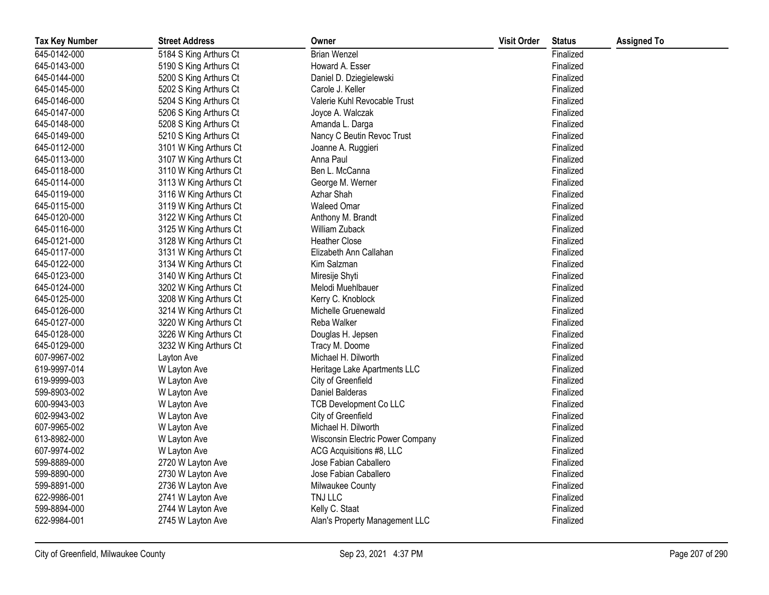| <b>Tax Key Number</b> | <b>Street Address</b>  | Owner                            | <b>Visit Order</b> | <b>Status</b> | <b>Assigned To</b> |
|-----------------------|------------------------|----------------------------------|--------------------|---------------|--------------------|
| 645-0142-000          | 5184 S King Arthurs Ct | <b>Brian Wenzel</b>              |                    | Finalized     |                    |
| 645-0143-000          | 5190 S King Arthurs Ct | Howard A. Esser                  |                    | Finalized     |                    |
| 645-0144-000          | 5200 S King Arthurs Ct | Daniel D. Dziegielewski          |                    | Finalized     |                    |
| 645-0145-000          | 5202 S King Arthurs Ct | Carole J. Keller                 |                    | Finalized     |                    |
| 645-0146-000          | 5204 S King Arthurs Ct | Valerie Kuhl Revocable Trust     |                    | Finalized     |                    |
| 645-0147-000          | 5206 S King Arthurs Ct | Joyce A. Walczak                 |                    | Finalized     |                    |
| 645-0148-000          | 5208 S King Arthurs Ct | Amanda L. Darga                  |                    | Finalized     |                    |
| 645-0149-000          | 5210 S King Arthurs Ct | Nancy C Beutin Revoc Trust       |                    | Finalized     |                    |
| 645-0112-000          | 3101 W King Arthurs Ct | Joanne A. Ruggieri               |                    | Finalized     |                    |
| 645-0113-000          | 3107 W King Arthurs Ct | Anna Paul                        |                    | Finalized     |                    |
| 645-0118-000          | 3110 W King Arthurs Ct | Ben L. McCanna                   |                    | Finalized     |                    |
| 645-0114-000          | 3113 W King Arthurs Ct | George M. Werner                 |                    | Finalized     |                    |
| 645-0119-000          | 3116 W King Arthurs Ct | Azhar Shah                       |                    | Finalized     |                    |
| 645-0115-000          | 3119 W King Arthurs Ct | <b>Waleed Omar</b>               |                    | Finalized     |                    |
| 645-0120-000          | 3122 W King Arthurs Ct | Anthony M. Brandt                |                    | Finalized     |                    |
| 645-0116-000          | 3125 W King Arthurs Ct | William Zuback                   |                    | Finalized     |                    |
| 645-0121-000          | 3128 W King Arthurs Ct | <b>Heather Close</b>             |                    | Finalized     |                    |
| 645-0117-000          | 3131 W King Arthurs Ct | Elizabeth Ann Callahan           |                    | Finalized     |                    |
| 645-0122-000          | 3134 W King Arthurs Ct | Kim Salzman                      |                    | Finalized     |                    |
| 645-0123-000          | 3140 W King Arthurs Ct | Miresije Shyti                   |                    | Finalized     |                    |
| 645-0124-000          | 3202 W King Arthurs Ct | Melodi Muehlbauer                |                    | Finalized     |                    |
| 645-0125-000          | 3208 W King Arthurs Ct | Kerry C. Knoblock                |                    | Finalized     |                    |
| 645-0126-000          | 3214 W King Arthurs Ct | Michelle Gruenewald              |                    | Finalized     |                    |
| 645-0127-000          | 3220 W King Arthurs Ct | Reba Walker                      |                    | Finalized     |                    |
| 645-0128-000          | 3226 W King Arthurs Ct | Douglas H. Jepsen                |                    | Finalized     |                    |
| 645-0129-000          | 3232 W King Arthurs Ct | Tracy M. Doome                   |                    | Finalized     |                    |
| 607-9967-002          | Layton Ave             | Michael H. Dilworth              |                    | Finalized     |                    |
| 619-9997-014          | W Layton Ave           | Heritage Lake Apartments LLC     |                    | Finalized     |                    |
| 619-9999-003          | W Layton Ave           | City of Greenfield               |                    | Finalized     |                    |
| 599-8903-002          | W Layton Ave           | Daniel Balderas                  |                    | Finalized     |                    |
| 600-9943-003          | W Layton Ave           | <b>TCB Development Co LLC</b>    |                    | Finalized     |                    |
| 602-9943-002          | W Layton Ave           | City of Greenfield               |                    | Finalized     |                    |
| 607-9965-002          | W Layton Ave           | Michael H. Dilworth              |                    | Finalized     |                    |
| 613-8982-000          | W Layton Ave           | Wisconsin Electric Power Company |                    | Finalized     |                    |
| 607-9974-002          | W Layton Ave           | ACG Acquisitions #8, LLC         |                    | Finalized     |                    |
| 599-8889-000          | 2720 W Layton Ave      | Jose Fabian Caballero            |                    | Finalized     |                    |
| 599-8890-000          | 2730 W Layton Ave      | Jose Fabian Caballero            |                    | Finalized     |                    |
| 599-8891-000          | 2736 W Layton Ave      | Milwaukee County                 |                    | Finalized     |                    |
| 622-9986-001          | 2741 W Layton Ave      | TNJ LLC                          |                    | Finalized     |                    |
| 599-8894-000          | 2744 W Layton Ave      | Kelly C. Staat                   |                    | Finalized     |                    |
| 622-9984-001          | 2745 W Layton Ave      | Alan's Property Management LLC   |                    | Finalized     |                    |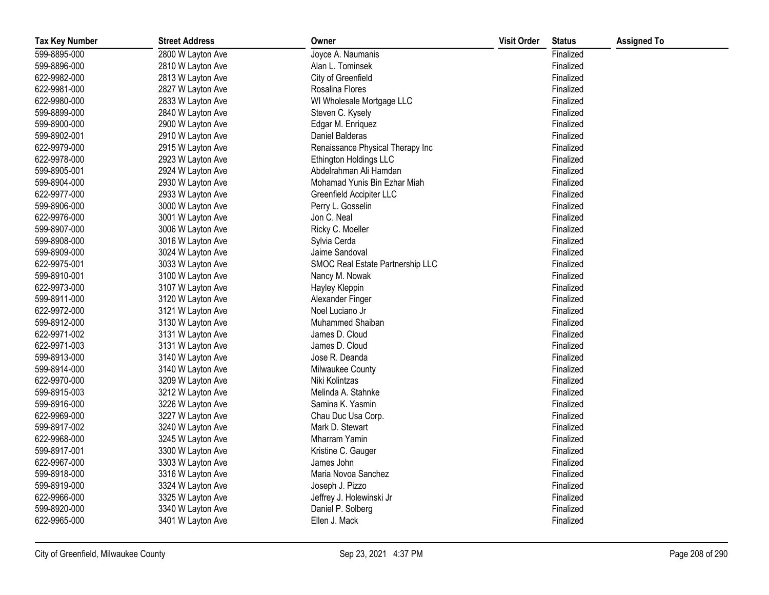| <b>Tax Key Number</b> | <b>Street Address</b> | Owner                            | <b>Visit Order</b> | <b>Status</b> | <b>Assigned To</b> |
|-----------------------|-----------------------|----------------------------------|--------------------|---------------|--------------------|
| 599-8895-000          | 2800 W Layton Ave     | Joyce A. Naumanis                |                    | Finalized     |                    |
| 599-8896-000          | 2810 W Layton Ave     | Alan L. Tominsek                 |                    | Finalized     |                    |
| 622-9982-000          | 2813 W Layton Ave     | City of Greenfield               |                    | Finalized     |                    |
| 622-9981-000          | 2827 W Layton Ave     | Rosalina Flores                  |                    | Finalized     |                    |
| 622-9980-000          | 2833 W Layton Ave     | WI Wholesale Mortgage LLC        |                    | Finalized     |                    |
| 599-8899-000          | 2840 W Layton Ave     | Steven C. Kysely                 |                    | Finalized     |                    |
| 599-8900-000          | 2900 W Layton Ave     | Edgar M. Enriquez                |                    | Finalized     |                    |
| 599-8902-001          | 2910 W Layton Ave     | Daniel Balderas                  |                    | Finalized     |                    |
| 622-9979-000          | 2915 W Layton Ave     | Renaissance Physical Therapy Inc |                    | Finalized     |                    |
| 622-9978-000          | 2923 W Layton Ave     | Ethington Holdings LLC           |                    | Finalized     |                    |
| 599-8905-001          | 2924 W Layton Ave     | Abdelrahman Ali Hamdan           |                    | Finalized     |                    |
| 599-8904-000          | 2930 W Layton Ave     | Mohamad Yunis Bin Ezhar Miah     |                    | Finalized     |                    |
| 622-9977-000          | 2933 W Layton Ave     | Greenfield Accipiter LLC         |                    | Finalized     |                    |
| 599-8906-000          | 3000 W Layton Ave     | Perry L. Gosselin                |                    | Finalized     |                    |
| 622-9976-000          | 3001 W Layton Ave     | Jon C. Neal                      |                    | Finalized     |                    |
| 599-8907-000          | 3006 W Layton Ave     | Ricky C. Moeller                 |                    | Finalized     |                    |
| 599-8908-000          | 3016 W Layton Ave     | Sylvia Cerda                     |                    | Finalized     |                    |
| 599-8909-000          | 3024 W Layton Ave     | Jaime Sandoval                   |                    | Finalized     |                    |
| 622-9975-001          | 3033 W Layton Ave     | SMOC Real Estate Partnership LLC |                    | Finalized     |                    |
| 599-8910-001          | 3100 W Layton Ave     | Nancy M. Nowak                   |                    | Finalized     |                    |
| 622-9973-000          | 3107 W Layton Ave     | Hayley Kleppin                   |                    | Finalized     |                    |
| 599-8911-000          | 3120 W Layton Ave     | Alexander Finger                 |                    | Finalized     |                    |
| 622-9972-000          | 3121 W Layton Ave     | Noel Luciano Jr                  |                    | Finalized     |                    |
| 599-8912-000          | 3130 W Layton Ave     | Muhammed Shaiban                 |                    | Finalized     |                    |
| 622-9971-002          | 3131 W Layton Ave     | James D. Cloud                   |                    | Finalized     |                    |
| 622-9971-003          | 3131 W Layton Ave     | James D. Cloud                   |                    | Finalized     |                    |
| 599-8913-000          | 3140 W Layton Ave     | Jose R. Deanda                   |                    | Finalized     |                    |
| 599-8914-000          | 3140 W Layton Ave     | Milwaukee County                 |                    | Finalized     |                    |
| 622-9970-000          | 3209 W Layton Ave     | Niki Kolintzas                   |                    | Finalized     |                    |
| 599-8915-003          | 3212 W Layton Ave     | Melinda A. Stahnke               |                    | Finalized     |                    |
| 599-8916-000          | 3226 W Layton Ave     | Samina K. Yasmin                 |                    | Finalized     |                    |
| 622-9969-000          | 3227 W Layton Ave     | Chau Duc Usa Corp.               |                    | Finalized     |                    |
| 599-8917-002          | 3240 W Layton Ave     | Mark D. Stewart                  |                    | Finalized     |                    |
| 622-9968-000          | 3245 W Layton Ave     | Mharram Yamin                    |                    | Finalized     |                    |
| 599-8917-001          | 3300 W Layton Ave     | Kristine C. Gauger               |                    | Finalized     |                    |
| 622-9967-000          | 3303 W Layton Ave     | James John                       |                    | Finalized     |                    |
| 599-8918-000          | 3316 W Layton Ave     | Maria Novoa Sanchez              |                    | Finalized     |                    |
| 599-8919-000          | 3324 W Layton Ave     | Joseph J. Pizzo                  |                    | Finalized     |                    |
| 622-9966-000          | 3325 W Layton Ave     | Jeffrey J. Holewinski Jr         |                    | Finalized     |                    |
| 599-8920-000          | 3340 W Layton Ave     | Daniel P. Solberg                |                    | Finalized     |                    |
| 622-9965-000          | 3401 W Layton Ave     | Ellen J. Mack                    |                    | Finalized     |                    |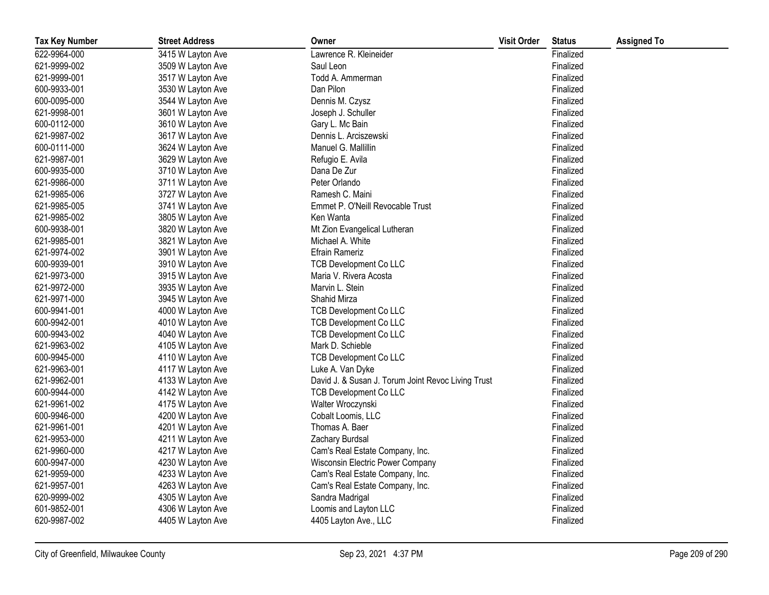| <b>Tax Key Number</b> | <b>Street Address</b> | Owner                                              | <b>Visit Order</b> | <b>Status</b> | <b>Assigned To</b> |
|-----------------------|-----------------------|----------------------------------------------------|--------------------|---------------|--------------------|
| 622-9964-000          | 3415 W Layton Ave     | Lawrence R. Kleineider                             |                    | Finalized     |                    |
| 621-9999-002          | 3509 W Layton Ave     | Saul Leon                                          |                    | Finalized     |                    |
| 621-9999-001          | 3517 W Layton Ave     | Todd A. Ammerman                                   |                    | Finalized     |                    |
| 600-9933-001          | 3530 W Layton Ave     | Dan Pilon                                          |                    | Finalized     |                    |
| 600-0095-000          | 3544 W Layton Ave     | Dennis M. Czysz                                    |                    | Finalized     |                    |
| 621-9998-001          | 3601 W Layton Ave     | Joseph J. Schuller                                 |                    | Finalized     |                    |
| 600-0112-000          | 3610 W Layton Ave     | Gary L. Mc Bain                                    |                    | Finalized     |                    |
| 621-9987-002          | 3617 W Layton Ave     | Dennis L. Arciszewski                              |                    | Finalized     |                    |
| 600-0111-000          | 3624 W Layton Ave     | Manuel G. Mallillin                                |                    | Finalized     |                    |
| 621-9987-001          | 3629 W Layton Ave     | Refugio E. Avila                                   |                    | Finalized     |                    |
| 600-9935-000          | 3710 W Layton Ave     | Dana De Zur                                        |                    | Finalized     |                    |
| 621-9986-000          | 3711 W Layton Ave     | Peter Orlando                                      |                    | Finalized     |                    |
| 621-9985-006          | 3727 W Layton Ave     | Ramesh C. Maini                                    |                    | Finalized     |                    |
| 621-9985-005          | 3741 W Layton Ave     | Emmet P. O'Neill Revocable Trust                   |                    | Finalized     |                    |
| 621-9985-002          | 3805 W Layton Ave     | Ken Wanta                                          |                    | Finalized     |                    |
| 600-9938-001          | 3820 W Layton Ave     | Mt Zion Evangelical Lutheran                       |                    | Finalized     |                    |
| 621-9985-001          | 3821 W Layton Ave     | Michael A. White                                   |                    | Finalized     |                    |
| 621-9974-002          | 3901 W Layton Ave     | <b>Efrain Rameriz</b>                              |                    | Finalized     |                    |
| 600-9939-001          | 3910 W Layton Ave     | <b>TCB Development Co LLC</b>                      |                    | Finalized     |                    |
| 621-9973-000          | 3915 W Layton Ave     | Maria V. Rivera Acosta                             |                    | Finalized     |                    |
| 621-9972-000          | 3935 W Layton Ave     | Marvin L. Stein                                    |                    | Finalized     |                    |
| 621-9971-000          | 3945 W Layton Ave     | Shahid Mirza                                       |                    | Finalized     |                    |
| 600-9941-001          | 4000 W Layton Ave     | <b>TCB Development Co LLC</b>                      |                    | Finalized     |                    |
| 600-9942-001          | 4010 W Layton Ave     | <b>TCB Development Co LLC</b>                      |                    | Finalized     |                    |
| 600-9943-002          | 4040 W Layton Ave     | <b>TCB Development Co LLC</b>                      |                    | Finalized     |                    |
| 621-9963-002          | 4105 W Layton Ave     | Mark D. Schieble                                   |                    | Finalized     |                    |
| 600-9945-000          | 4110 W Layton Ave     | <b>TCB Development Co LLC</b>                      |                    | Finalized     |                    |
| 621-9963-001          | 4117 W Layton Ave     | Luke A. Van Dyke                                   |                    | Finalized     |                    |
| 621-9962-001          | 4133 W Layton Ave     | David J. & Susan J. Torum Joint Revoc Living Trust |                    | Finalized     |                    |
| 600-9944-000          | 4142 W Layton Ave     | <b>TCB Development Co LLC</b>                      |                    | Finalized     |                    |
| 621-9961-002          | 4175 W Layton Ave     | Walter Wroczynski                                  |                    | Finalized     |                    |
| 600-9946-000          | 4200 W Layton Ave     | Cobalt Loomis, LLC                                 |                    | Finalized     |                    |
| 621-9961-001          | 4201 W Layton Ave     | Thomas A. Baer                                     |                    | Finalized     |                    |
| 621-9953-000          | 4211 W Layton Ave     | Zachary Burdsal                                    |                    | Finalized     |                    |
| 621-9960-000          | 4217 W Layton Ave     | Cam's Real Estate Company, Inc.                    |                    | Finalized     |                    |
| 600-9947-000          | 4230 W Layton Ave     | Wisconsin Electric Power Company                   |                    | Finalized     |                    |
| 621-9959-000          | 4233 W Layton Ave     | Cam's Real Estate Company, Inc.                    |                    | Finalized     |                    |
| 621-9957-001          | 4263 W Layton Ave     | Cam's Real Estate Company, Inc.                    |                    | Finalized     |                    |
| 620-9999-002          | 4305 W Layton Ave     | Sandra Madrigal                                    |                    | Finalized     |                    |
| 601-9852-001          | 4306 W Layton Ave     | Loomis and Layton LLC                              |                    | Finalized     |                    |
| 620-9987-002          | 4405 W Layton Ave     | 4405 Layton Ave., LLC                              |                    | Finalized     |                    |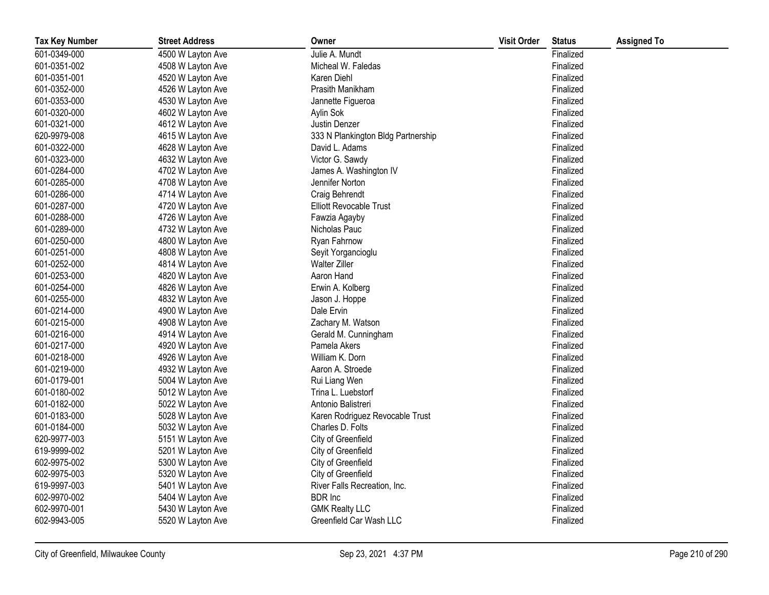| <b>Tax Key Number</b> | <b>Street Address</b> | Owner                              | <b>Visit Order</b> | <b>Status</b> | <b>Assigned To</b> |
|-----------------------|-----------------------|------------------------------------|--------------------|---------------|--------------------|
| 601-0349-000          | 4500 W Layton Ave     | Julie A. Mundt                     |                    | Finalized     |                    |
| 601-0351-002          | 4508 W Layton Ave     | Micheal W. Faledas                 |                    | Finalized     |                    |
| 601-0351-001          | 4520 W Layton Ave     | Karen Diehl                        |                    | Finalized     |                    |
| 601-0352-000          | 4526 W Layton Ave     | Prasith Manikham                   |                    | Finalized     |                    |
| 601-0353-000          | 4530 W Layton Ave     | Jannette Figueroa                  |                    | Finalized     |                    |
| 601-0320-000          | 4602 W Layton Ave     | Aylin Sok                          |                    | Finalized     |                    |
| 601-0321-000          | 4612 W Layton Ave     | Justin Denzer                      |                    | Finalized     |                    |
| 620-9979-008          | 4615 W Layton Ave     | 333 N Plankington Bldg Partnership |                    | Finalized     |                    |
| 601-0322-000          | 4628 W Layton Ave     | David L. Adams                     |                    | Finalized     |                    |
| 601-0323-000          | 4632 W Layton Ave     | Victor G. Sawdy                    |                    | Finalized     |                    |
| 601-0284-000          | 4702 W Layton Ave     | James A. Washington IV             |                    | Finalized     |                    |
| 601-0285-000          | 4708 W Layton Ave     | Jennifer Norton                    |                    | Finalized     |                    |
| 601-0286-000          | 4714 W Layton Ave     | Craig Behrendt                     |                    | Finalized     |                    |
| 601-0287-000          | 4720 W Layton Ave     | Elliott Revocable Trust            |                    | Finalized     |                    |
| 601-0288-000          | 4726 W Layton Ave     | Fawzia Agayby                      |                    | Finalized     |                    |
| 601-0289-000          | 4732 W Layton Ave     | Nicholas Pauc                      |                    | Finalized     |                    |
| 601-0250-000          | 4800 W Layton Ave     | Ryan Fahrnow                       |                    | Finalized     |                    |
| 601-0251-000          | 4808 W Layton Ave     | Seyit Yorgancioglu                 |                    | Finalized     |                    |
| 601-0252-000          | 4814 W Layton Ave     | <b>Walter Ziller</b>               |                    | Finalized     |                    |
| 601-0253-000          | 4820 W Layton Ave     | Aaron Hand                         |                    | Finalized     |                    |
| 601-0254-000          | 4826 W Layton Ave     | Erwin A. Kolberg                   |                    | Finalized     |                    |
| 601-0255-000          | 4832 W Layton Ave     | Jason J. Hoppe                     |                    | Finalized     |                    |
| 601-0214-000          | 4900 W Layton Ave     | Dale Ervin                         |                    | Finalized     |                    |
| 601-0215-000          | 4908 W Layton Ave     | Zachary M. Watson                  |                    | Finalized     |                    |
| 601-0216-000          | 4914 W Layton Ave     | Gerald M. Cunningham               |                    | Finalized     |                    |
| 601-0217-000          | 4920 W Layton Ave     | Pamela Akers                       |                    | Finalized     |                    |
| 601-0218-000          | 4926 W Layton Ave     | William K. Dorn                    |                    | Finalized     |                    |
| 601-0219-000          | 4932 W Layton Ave     | Aaron A. Stroede                   |                    | Finalized     |                    |
| 601-0179-001          | 5004 W Layton Ave     | Rui Liang Wen                      |                    | Finalized     |                    |
| 601-0180-002          | 5012 W Layton Ave     | Trina L. Luebstorf                 |                    | Finalized     |                    |
| 601-0182-000          | 5022 W Layton Ave     | Antonio Balistreri                 |                    | Finalized     |                    |
| 601-0183-000          | 5028 W Layton Ave     | Karen Rodriguez Revocable Trust    |                    | Finalized     |                    |
| 601-0184-000          | 5032 W Layton Ave     | Charles D. Folts                   |                    | Finalized     |                    |
| 620-9977-003          | 5151 W Layton Ave     | City of Greenfield                 |                    | Finalized     |                    |
| 619-9999-002          | 5201 W Layton Ave     | City of Greenfield                 |                    | Finalized     |                    |
| 602-9975-002          | 5300 W Layton Ave     | City of Greenfield                 |                    | Finalized     |                    |
| 602-9975-003          | 5320 W Layton Ave     | City of Greenfield                 |                    | Finalized     |                    |
| 619-9997-003          | 5401 W Layton Ave     | River Falls Recreation, Inc.       |                    | Finalized     |                    |
| 602-9970-002          | 5404 W Layton Ave     | <b>BDR</b> Inc                     |                    | Finalized     |                    |
| 602-9970-001          | 5430 W Layton Ave     | <b>GMK Realty LLC</b>              |                    | Finalized     |                    |
| 602-9943-005          | 5520 W Layton Ave     | Greenfield Car Wash LLC            |                    | Finalized     |                    |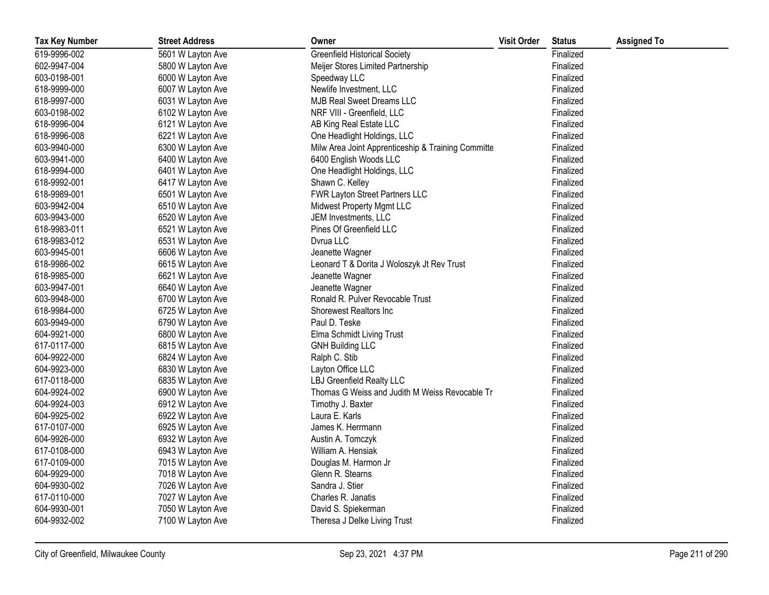| <b>Tax Key Number</b> | <b>Street Address</b> | Owner                                              | <b>Visit Order</b> | <b>Status</b> | <b>Assigned To</b> |
|-----------------------|-----------------------|----------------------------------------------------|--------------------|---------------|--------------------|
| 619-9996-002          | 5601 W Layton Ave     | <b>Greenfield Historical Society</b>               |                    | Finalized     |                    |
| 602-9947-004          | 5800 W Layton Ave     | Meijer Stores Limited Partnership                  |                    | Finalized     |                    |
| 603-0198-001          | 6000 W Layton Ave     | Speedway LLC                                       |                    | Finalized     |                    |
| 618-9999-000          | 6007 W Layton Ave     | Newlife Investment, LLC                            |                    | Finalized     |                    |
| 618-9997-000          | 6031 W Layton Ave     | MJB Real Sweet Dreams LLC                          |                    | Finalized     |                    |
| 603-0198-002          | 6102 W Layton Ave     | NRF VIII - Greenfield, LLC                         |                    | Finalized     |                    |
| 618-9996-004          | 6121 W Layton Ave     | AB King Real Estate LLC                            |                    | Finalized     |                    |
| 618-9996-008          | 6221 W Layton Ave     | One Headlight Holdings, LLC                        |                    | Finalized     |                    |
| 603-9940-000          | 6300 W Layton Ave     | Milw Area Joint Apprenticeship & Training Committe |                    | Finalized     |                    |
| 603-9941-000          | 6400 W Layton Ave     | 6400 English Woods LLC                             |                    | Finalized     |                    |
| 618-9994-000          | 6401 W Layton Ave     | One Headlight Holdings, LLC                        |                    | Finalized     |                    |
| 618-9992-001          | 6417 W Layton Ave     | Shawn C. Kelley                                    |                    | Finalized     |                    |
| 618-9989-001          | 6501 W Layton Ave     | FWR Layton Street Partners LLC                     |                    | Finalized     |                    |
| 603-9942-004          | 6510 W Layton Ave     | Midwest Property Mgmt LLC                          |                    | Finalized     |                    |
| 603-9943-000          | 6520 W Layton Ave     | JEM Investments, LLC                               |                    | Finalized     |                    |
| 618-9983-011          | 6521 W Layton Ave     | Pines Of Greenfield LLC                            |                    | Finalized     |                    |
| 618-9983-012          | 6531 W Layton Ave     | Dvrua LLC                                          |                    | Finalized     |                    |
| 603-9945-001          | 6606 W Layton Ave     | Jeanette Wagner                                    |                    | Finalized     |                    |
| 618-9986-002          | 6615 W Layton Ave     | Leonard T & Dorita J Woloszyk Jt Rev Trust         |                    | Finalized     |                    |
| 618-9985-000          | 6621 W Layton Ave     | Jeanette Wagner                                    |                    | Finalized     |                    |
| 603-9947-001          | 6640 W Layton Ave     | Jeanette Wagner                                    |                    | Finalized     |                    |
| 603-9948-000          | 6700 W Layton Ave     | Ronald R. Pulver Revocable Trust                   |                    | Finalized     |                    |
| 618-9984-000          | 6725 W Layton Ave     | Shorewest Realtors Inc                             |                    | Finalized     |                    |
| 603-9949-000          | 6790 W Layton Ave     | Paul D. Teske                                      |                    | Finalized     |                    |
| 604-9921-000          | 6800 W Layton Ave     | Elma Schmidt Living Trust                          |                    | Finalized     |                    |
| 617-0117-000          | 6815 W Layton Ave     | <b>GNH Building LLC</b>                            |                    | Finalized     |                    |
| 604-9922-000          | 6824 W Layton Ave     | Ralph C. Stib                                      |                    | Finalized     |                    |
| 604-9923-000          | 6830 W Layton Ave     | Layton Office LLC                                  |                    | Finalized     |                    |
| 617-0118-000          | 6835 W Layton Ave     | LBJ Greenfield Realty LLC                          |                    | Finalized     |                    |
| 604-9924-002          | 6900 W Layton Ave     | Thomas G Weiss and Judith M Weiss Revocable Tr     |                    | Finalized     |                    |
| 604-9924-003          | 6912 W Layton Ave     | Timothy J. Baxter                                  |                    | Finalized     |                    |
| 604-9925-002          | 6922 W Layton Ave     | Laura E. Karls                                     |                    | Finalized     |                    |
| 617-0107-000          | 6925 W Layton Ave     | James K. Herrmann                                  |                    | Finalized     |                    |
| 604-9926-000          | 6932 W Layton Ave     | Austin A. Tomczyk                                  |                    | Finalized     |                    |
| 617-0108-000          | 6943 W Layton Ave     | William A. Hensiak                                 |                    | Finalized     |                    |
| 617-0109-000          | 7015 W Layton Ave     | Douglas M. Harmon Jr                               |                    | Finalized     |                    |
| 604-9929-000          | 7018 W Layton Ave     | Glenn R. Stearns                                   |                    | Finalized     |                    |
| 604-9930-002          | 7026 W Layton Ave     | Sandra J. Stier                                    |                    | Finalized     |                    |
| 617-0110-000          | 7027 W Layton Ave     | Charles R. Janatis                                 |                    | Finalized     |                    |
| 604-9930-001          | 7050 W Layton Ave     | David S. Spiekerman                                |                    | Finalized     |                    |
| 604-9932-002          | 7100 W Layton Ave     | Theresa J Delke Living Trust                       |                    | Finalized     |                    |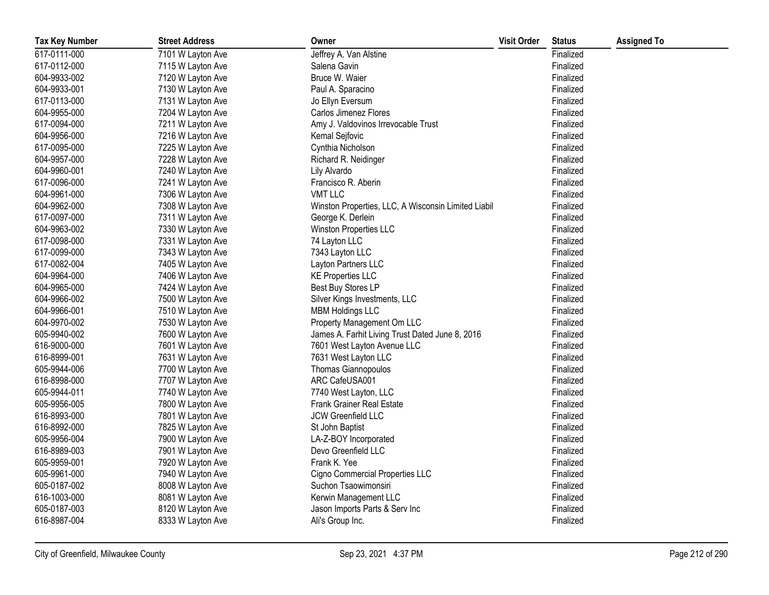| <b>Tax Key Number</b> | <b>Street Address</b> | Owner                                               | <b>Visit Order</b> | <b>Status</b> | <b>Assigned To</b> |
|-----------------------|-----------------------|-----------------------------------------------------|--------------------|---------------|--------------------|
| 617-0111-000          | 7101 W Layton Ave     | Jeffrey A. Van Alstine                              |                    | Finalized     |                    |
| 617-0112-000          | 7115 W Layton Ave     | Salena Gavin                                        |                    | Finalized     |                    |
| 604-9933-002          | 7120 W Layton Ave     | Bruce W. Waier                                      |                    | Finalized     |                    |
| 604-9933-001          | 7130 W Layton Ave     | Paul A. Sparacino                                   |                    | Finalized     |                    |
| 617-0113-000          | 7131 W Layton Ave     | Jo Ellyn Eversum                                    |                    | Finalized     |                    |
| 604-9955-000          | 7204 W Layton Ave     | Carlos Jimenez Flores                               |                    | Finalized     |                    |
| 617-0094-000          | 7211 W Layton Ave     | Amy J. Valdovinos Irrevocable Trust                 |                    | Finalized     |                    |
| 604-9956-000          | 7216 W Layton Ave     | Kemal Sejfovic                                      |                    | Finalized     |                    |
| 617-0095-000          | 7225 W Layton Ave     | Cynthia Nicholson                                   |                    | Finalized     |                    |
| 604-9957-000          | 7228 W Layton Ave     | Richard R. Neidinger                                |                    | Finalized     |                    |
| 604-9960-001          | 7240 W Layton Ave     | Lily Alvardo                                        |                    | Finalized     |                    |
| 617-0096-000          | 7241 W Layton Ave     | Francisco R. Aberin                                 |                    | Finalized     |                    |
| 604-9961-000          | 7306 W Layton Ave     | <b>VMT LLC</b>                                      |                    | Finalized     |                    |
| 604-9962-000          | 7308 W Layton Ave     | Winston Properties, LLC, A Wisconsin Limited Liabil |                    | Finalized     |                    |
| 617-0097-000          | 7311 W Layton Ave     | George K. Derlein                                   |                    | Finalized     |                    |
| 604-9963-002          | 7330 W Layton Ave     | Winston Properties LLC                              |                    | Finalized     |                    |
| 617-0098-000          | 7331 W Layton Ave     | 74 Layton LLC                                       |                    | Finalized     |                    |
| 617-0099-000          | 7343 W Layton Ave     | 7343 Layton LLC                                     |                    | Finalized     |                    |
| 617-0082-004          | 7405 W Layton Ave     | Layton Partners LLC                                 |                    | Finalized     |                    |
| 604-9964-000          | 7406 W Layton Ave     | <b>KE Properties LLC</b>                            |                    | Finalized     |                    |
| 604-9965-000          | 7424 W Layton Ave     | Best Buy Stores LP                                  |                    | Finalized     |                    |
| 604-9966-002          | 7500 W Layton Ave     | Silver Kings Investments, LLC                       |                    | Finalized     |                    |
| 604-9966-001          | 7510 W Layton Ave     | <b>MBM Holdings LLC</b>                             |                    | Finalized     |                    |
| 604-9970-002          | 7530 W Layton Ave     | Property Management Om LLC                          |                    | Finalized     |                    |
| 605-9940-002          | 7600 W Layton Ave     | James A. Farhit Living Trust Dated June 8, 2016     |                    | Finalized     |                    |
| 616-9000-000          | 7601 W Layton Ave     | 7601 West Layton Avenue LLC                         |                    | Finalized     |                    |
| 616-8999-001          | 7631 W Layton Ave     | 7631 West Layton LLC                                |                    | Finalized     |                    |
| 605-9944-006          | 7700 W Layton Ave     | Thomas Giannopoulos                                 |                    | Finalized     |                    |
| 616-8998-000          | 7707 W Layton Ave     | ARC CafeUSA001                                      |                    | Finalized     |                    |
| 605-9944-011          | 7740 W Layton Ave     | 7740 West Layton, LLC                               |                    | Finalized     |                    |
| 605-9956-005          | 7800 W Layton Ave     | <b>Frank Grainer Real Estate</b>                    |                    | Finalized     |                    |
| 616-8993-000          | 7801 W Layton Ave     | JCW Greenfield LLC                                  |                    | Finalized     |                    |
| 616-8992-000          | 7825 W Layton Ave     | St John Baptist                                     |                    | Finalized     |                    |
| 605-9956-004          | 7900 W Layton Ave     | LA-Z-BOY Incorporated                               |                    | Finalized     |                    |
| 616-8989-003          | 7901 W Layton Ave     | Devo Greenfield LLC                                 |                    | Finalized     |                    |
| 605-9959-001          | 7920 W Layton Ave     | Frank K. Yee                                        |                    | Finalized     |                    |
| 605-9961-000          | 7940 W Layton Ave     | Cigno Commercial Properties LLC                     |                    | Finalized     |                    |
| 605-0187-002          | 8008 W Layton Ave     | Suchon Tsaowimonsiri                                |                    | Finalized     |                    |
| 616-1003-000          | 8081 W Layton Ave     | Kerwin Management LLC                               |                    | Finalized     |                    |
| 605-0187-003          | 8120 W Layton Ave     | Jason Imports Parts & Serv Inc                      |                    | Finalized     |                    |
| 616-8987-004          | 8333 W Layton Ave     | Ali's Group Inc.                                    |                    | Finalized     |                    |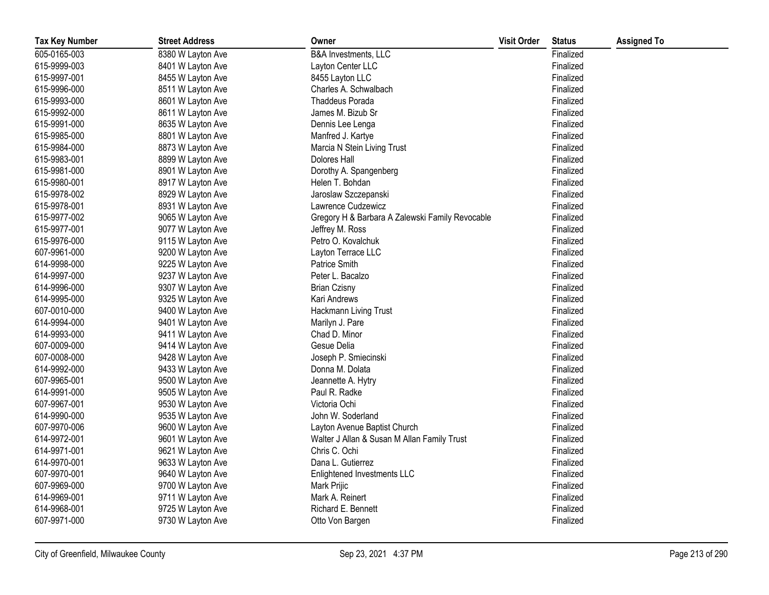| <b>Tax Key Number</b> | <b>Street Address</b> | Owner                                           | <b>Visit Order</b> | <b>Status</b> | <b>Assigned To</b> |
|-----------------------|-----------------------|-------------------------------------------------|--------------------|---------------|--------------------|
| 605-0165-003          | 8380 W Layton Ave     | B&A Investments, LLC                            |                    | Finalized     |                    |
| 615-9999-003          | 8401 W Layton Ave     | Layton Center LLC                               |                    | Finalized     |                    |
| 615-9997-001          | 8455 W Layton Ave     | 8455 Layton LLC                                 |                    | Finalized     |                    |
| 615-9996-000          | 8511 W Layton Ave     | Charles A. Schwalbach                           |                    | Finalized     |                    |
| 615-9993-000          | 8601 W Layton Ave     | <b>Thaddeus Porada</b>                          |                    | Finalized     |                    |
| 615-9992-000          | 8611 W Layton Ave     | James M. Bizub Sr                               |                    | Finalized     |                    |
| 615-9991-000          | 8635 W Layton Ave     | Dennis Lee Lenga                                |                    | Finalized     |                    |
| 615-9985-000          | 8801 W Layton Ave     | Manfred J. Kartye                               |                    | Finalized     |                    |
| 615-9984-000          | 8873 W Layton Ave     | Marcia N Stein Living Trust                     |                    | Finalized     |                    |
| 615-9983-001          | 8899 W Layton Ave     | Dolores Hall                                    |                    | Finalized     |                    |
| 615-9981-000          | 8901 W Layton Ave     | Dorothy A. Spangenberg                          |                    | Finalized     |                    |
| 615-9980-001          | 8917 W Layton Ave     | Helen T. Bohdan                                 |                    | Finalized     |                    |
| 615-9978-002          | 8929 W Layton Ave     | Jaroslaw Szczepanski                            |                    | Finalized     |                    |
| 615-9978-001          | 8931 W Layton Ave     | Lawrence Cudzewicz                              |                    | Finalized     |                    |
| 615-9977-002          | 9065 W Layton Ave     | Gregory H & Barbara A Zalewski Family Revocable |                    | Finalized     |                    |
| 615-9977-001          | 9077 W Layton Ave     | Jeffrey M. Ross                                 |                    | Finalized     |                    |
| 615-9976-000          | 9115 W Layton Ave     | Petro O. Kovalchuk                              |                    | Finalized     |                    |
| 607-9961-000          | 9200 W Layton Ave     | Layton Terrace LLC                              |                    | Finalized     |                    |
| 614-9998-000          | 9225 W Layton Ave     | Patrice Smith                                   |                    | Finalized     |                    |
| 614-9997-000          | 9237 W Layton Ave     | Peter L. Bacalzo                                |                    | Finalized     |                    |
| 614-9996-000          | 9307 W Layton Ave     | <b>Brian Czisny</b>                             |                    | Finalized     |                    |
| 614-9995-000          | 9325 W Layton Ave     | Kari Andrews                                    |                    | Finalized     |                    |
| 607-0010-000          | 9400 W Layton Ave     | Hackmann Living Trust                           |                    | Finalized     |                    |
| 614-9994-000          | 9401 W Layton Ave     | Marilyn J. Pare                                 |                    | Finalized     |                    |
| 614-9993-000          | 9411 W Layton Ave     | Chad D. Minor                                   |                    | Finalized     |                    |
| 607-0009-000          | 9414 W Layton Ave     | Gesue Delia                                     |                    | Finalized     |                    |
| 607-0008-000          | 9428 W Layton Ave     | Joseph P. Smiecinski                            |                    | Finalized     |                    |
| 614-9992-000          | 9433 W Layton Ave     | Donna M. Dolata                                 |                    | Finalized     |                    |
| 607-9965-001          | 9500 W Layton Ave     | Jeannette A. Hytry                              |                    | Finalized     |                    |
| 614-9991-000          | 9505 W Layton Ave     | Paul R. Radke                                   |                    | Finalized     |                    |
| 607-9967-001          | 9530 W Layton Ave     | Victoria Ochi                                   |                    | Finalized     |                    |
| 614-9990-000          | 9535 W Layton Ave     | John W. Soderland                               |                    | Finalized     |                    |
| 607-9970-006          | 9600 W Layton Ave     | Layton Avenue Baptist Church                    |                    | Finalized     |                    |
| 614-9972-001          | 9601 W Layton Ave     | Walter J Allan & Susan M Allan Family Trust     |                    | Finalized     |                    |
| 614-9971-001          | 9621 W Layton Ave     | Chris C. Ochi                                   |                    | Finalized     |                    |
| 614-9970-001          | 9633 W Layton Ave     | Dana L. Gutierrez                               |                    | Finalized     |                    |
| 607-9970-001          | 9640 W Layton Ave     | Enlightened Investments LLC                     |                    | Finalized     |                    |
| 607-9969-000          | 9700 W Layton Ave     | Mark Prijic                                     |                    | Finalized     |                    |
| 614-9969-001          | 9711 W Layton Ave     | Mark A. Reinert                                 |                    | Finalized     |                    |
| 614-9968-001          | 9725 W Layton Ave     | Richard E. Bennett                              |                    | Finalized     |                    |
| 607-9971-000          | 9730 W Layton Ave     | Otto Von Bargen                                 |                    | Finalized     |                    |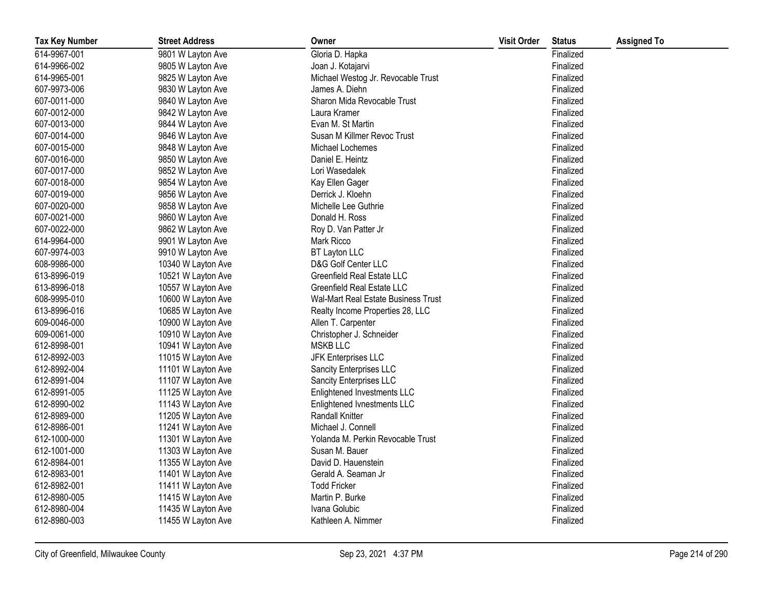| <b>Tax Key Number</b> | <b>Street Address</b> | Owner                               | <b>Visit Order</b> | <b>Status</b> | <b>Assigned To</b> |
|-----------------------|-----------------------|-------------------------------------|--------------------|---------------|--------------------|
| 614-9967-001          | 9801 W Layton Ave     | Gloria D. Hapka                     |                    | Finalized     |                    |
| 614-9966-002          | 9805 W Layton Ave     | Joan J. Kotajarvi                   |                    | Finalized     |                    |
| 614-9965-001          | 9825 W Layton Ave     | Michael Westog Jr. Revocable Trust  |                    | Finalized     |                    |
| 607-9973-006          | 9830 W Layton Ave     | James A. Diehn                      |                    | Finalized     |                    |
| 607-0011-000          | 9840 W Layton Ave     | Sharon Mida Revocable Trust         |                    | Finalized     |                    |
| 607-0012-000          | 9842 W Layton Ave     | Laura Kramer                        |                    | Finalized     |                    |
| 607-0013-000          | 9844 W Layton Ave     | Evan M. St Martin                   |                    | Finalized     |                    |
| 607-0014-000          | 9846 W Layton Ave     | Susan M Killmer Revoc Trust         |                    | Finalized     |                    |
| 607-0015-000          | 9848 W Layton Ave     | Michael Lochemes                    |                    | Finalized     |                    |
| 607-0016-000          | 9850 W Layton Ave     | Daniel E. Heintz                    |                    | Finalized     |                    |
| 607-0017-000          | 9852 W Layton Ave     | Lori Wasedalek                      |                    | Finalized     |                    |
| 607-0018-000          | 9854 W Layton Ave     | Kay Ellen Gager                     |                    | Finalized     |                    |
| 607-0019-000          | 9856 W Layton Ave     | Derrick J. Kloehn                   |                    | Finalized     |                    |
| 607-0020-000          | 9858 W Layton Ave     | Michelle Lee Guthrie                |                    | Finalized     |                    |
| 607-0021-000          | 9860 W Layton Ave     | Donald H. Ross                      |                    | Finalized     |                    |
| 607-0022-000          | 9862 W Layton Ave     | Roy D. Van Patter Jr                |                    | Finalized     |                    |
| 614-9964-000          | 9901 W Layton Ave     | Mark Ricco                          |                    | Finalized     |                    |
| 607-9974-003          | 9910 W Layton Ave     | BT Layton LLC                       |                    | Finalized     |                    |
| 608-9986-000          | 10340 W Layton Ave    | D&G Golf Center LLC                 |                    | Finalized     |                    |
| 613-8996-019          | 10521 W Layton Ave    | Greenfield Real Estate LLC          |                    | Finalized     |                    |
| 613-8996-018          | 10557 W Layton Ave    | <b>Greenfield Real Estate LLC</b>   |                    | Finalized     |                    |
| 608-9995-010          | 10600 W Layton Ave    | Wal-Mart Real Estate Business Trust |                    | Finalized     |                    |
| 613-8996-016          | 10685 W Layton Ave    | Realty Income Properties 28, LLC    |                    | Finalized     |                    |
| 609-0046-000          | 10900 W Layton Ave    | Allen T. Carpenter                  |                    | Finalized     |                    |
| 609-0061-000          | 10910 W Layton Ave    | Christopher J. Schneider            |                    | Finalized     |                    |
| 612-8998-001          | 10941 W Layton Ave    | <b>MSKB LLC</b>                     |                    | Finalized     |                    |
| 612-8992-003          | 11015 W Layton Ave    | JFK Enterprises LLC                 |                    | Finalized     |                    |
| 612-8992-004          | 11101 W Layton Ave    | Sancity Enterprises LLC             |                    | Finalized     |                    |
| 612-8991-004          | 11107 W Layton Ave    | Sancity Enterprises LLC             |                    | Finalized     |                    |
| 612-8991-005          | 11125 W Layton Ave    | Enlightened Investments LLC         |                    | Finalized     |                    |
| 612-8990-002          | 11143 W Layton Ave    | Enlightened Ivnestments LLC         |                    | Finalized     |                    |
| 612-8989-000          | 11205 W Layton Ave    | <b>Randall Knitter</b>              |                    | Finalized     |                    |
| 612-8986-001          | 11241 W Layton Ave    | Michael J. Connell                  |                    | Finalized     |                    |
| 612-1000-000          | 11301 W Layton Ave    | Yolanda M. Perkin Revocable Trust   |                    | Finalized     |                    |
| 612-1001-000          | 11303 W Layton Ave    | Susan M. Bauer                      |                    | Finalized     |                    |
| 612-8984-001          | 11355 W Layton Ave    | David D. Hauenstein                 |                    | Finalized     |                    |
| 612-8983-001          | 11401 W Layton Ave    | Gerald A. Seaman Jr                 |                    | Finalized     |                    |
| 612-8982-001          | 11411 W Layton Ave    | <b>Todd Fricker</b>                 |                    | Finalized     |                    |
| 612-8980-005          | 11415 W Layton Ave    | Martin P. Burke                     |                    | Finalized     |                    |
| 612-8980-004          | 11435 W Layton Ave    | Ivana Golubic                       |                    | Finalized     |                    |
| 612-8980-003          | 11455 W Layton Ave    | Kathleen A. Nimmer                  |                    | Finalized     |                    |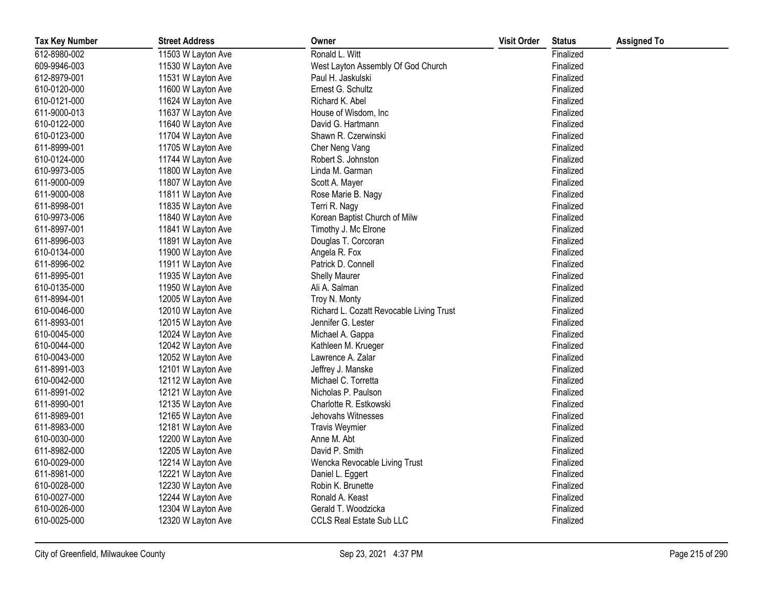| <b>Tax Key Number</b> | <b>Street Address</b> | Owner                                    | <b>Visit Order</b> | <b>Status</b> | <b>Assigned To</b> |
|-----------------------|-----------------------|------------------------------------------|--------------------|---------------|--------------------|
| 612-8980-002          | 11503 W Layton Ave    | Ronald L. Witt                           |                    | Finalized     |                    |
| 609-9946-003          | 11530 W Layton Ave    | West Layton Assembly Of God Church       |                    | Finalized     |                    |
| 612-8979-001          | 11531 W Layton Ave    | Paul H. Jaskulski                        |                    | Finalized     |                    |
| 610-0120-000          | 11600 W Layton Ave    | Ernest G. Schultz                        |                    | Finalized     |                    |
| 610-0121-000          | 11624 W Layton Ave    | Richard K. Abel                          |                    | Finalized     |                    |
| 611-9000-013          | 11637 W Layton Ave    | House of Wisdom, Inc.                    |                    | Finalized     |                    |
| 610-0122-000          | 11640 W Layton Ave    | David G. Hartmann                        |                    | Finalized     |                    |
| 610-0123-000          | 11704 W Layton Ave    | Shawn R. Czerwinski                      |                    | Finalized     |                    |
| 611-8999-001          | 11705 W Layton Ave    | Cher Neng Vang                           |                    | Finalized     |                    |
| 610-0124-000          | 11744 W Layton Ave    | Robert S. Johnston                       |                    | Finalized     |                    |
| 610-9973-005          | 11800 W Layton Ave    | Linda M. Garman                          |                    | Finalized     |                    |
| 611-9000-009          | 11807 W Layton Ave    | Scott A. Mayer                           |                    | Finalized     |                    |
| 611-9000-008          | 11811 W Layton Ave    | Rose Marie B. Nagy                       |                    | Finalized     |                    |
| 611-8998-001          | 11835 W Layton Ave    | Terri R. Nagy                            |                    | Finalized     |                    |
| 610-9973-006          | 11840 W Layton Ave    | Korean Baptist Church of Milw            |                    | Finalized     |                    |
| 611-8997-001          | 11841 W Layton Ave    | Timothy J. Mc Elrone                     |                    | Finalized     |                    |
| 611-8996-003          | 11891 W Layton Ave    | Douglas T. Corcoran                      |                    | Finalized     |                    |
| 610-0134-000          | 11900 W Layton Ave    | Angela R. Fox                            |                    | Finalized     |                    |
| 611-8996-002          | 11911 W Layton Ave    | Patrick D. Connell                       |                    | Finalized     |                    |
| 611-8995-001          | 11935 W Layton Ave    | Shelly Maurer                            |                    | Finalized     |                    |
| 610-0135-000          | 11950 W Layton Ave    | Ali A. Salman                            |                    | Finalized     |                    |
| 611-8994-001          | 12005 W Layton Ave    | Troy N. Monty                            |                    | Finalized     |                    |
| 610-0046-000          | 12010 W Layton Ave    | Richard L. Cozatt Revocable Living Trust |                    | Finalized     |                    |
| 611-8993-001          | 12015 W Layton Ave    | Jennifer G. Lester                       |                    | Finalized     |                    |
| 610-0045-000          | 12024 W Layton Ave    | Michael A. Gappa                         |                    | Finalized     |                    |
| 610-0044-000          | 12042 W Layton Ave    | Kathleen M. Krueger                      |                    | Finalized     |                    |
| 610-0043-000          | 12052 W Layton Ave    | Lawrence A. Zalar                        |                    | Finalized     |                    |
| 611-8991-003          | 12101 W Layton Ave    | Jeffrey J. Manske                        |                    | Finalized     |                    |
| 610-0042-000          | 12112 W Layton Ave    | Michael C. Torretta                      |                    | Finalized     |                    |
| 611-8991-002          | 12121 W Layton Ave    | Nicholas P. Paulson                      |                    | Finalized     |                    |
| 611-8990-001          | 12135 W Layton Ave    | Charlotte R. Estkowski                   |                    | Finalized     |                    |
| 611-8989-001          | 12165 W Layton Ave    | Jehovahs Witnesses                       |                    | Finalized     |                    |
| 611-8983-000          | 12181 W Layton Ave    | <b>Travis Weymier</b>                    |                    | Finalized     |                    |
| 610-0030-000          | 12200 W Layton Ave    | Anne M. Abt                              |                    | Finalized     |                    |
| 611-8982-000          | 12205 W Layton Ave    | David P. Smith                           |                    | Finalized     |                    |
| 610-0029-000          | 12214 W Layton Ave    | Wencka Revocable Living Trust            |                    | Finalized     |                    |
| 611-8981-000          | 12221 W Layton Ave    | Daniel L. Eggert                         |                    | Finalized     |                    |
| 610-0028-000          | 12230 W Layton Ave    | Robin K. Brunette                        |                    | Finalized     |                    |
| 610-0027-000          | 12244 W Layton Ave    | Ronald A. Keast                          |                    | Finalized     |                    |
| 610-0026-000          | 12304 W Layton Ave    | Gerald T. Woodzicka                      |                    | Finalized     |                    |
| 610-0025-000          | 12320 W Layton Ave    | <b>CCLS Real Estate Sub LLC</b>          |                    | Finalized     |                    |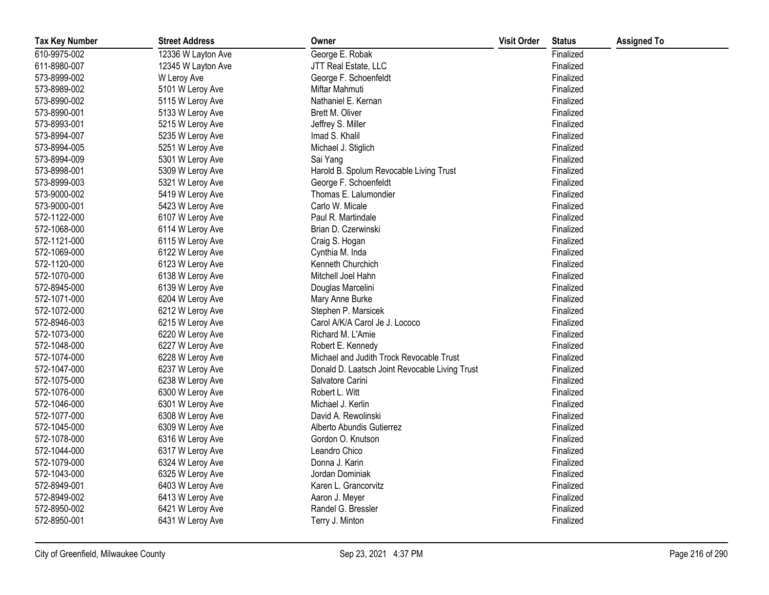| <b>Tax Key Number</b> | <b>Street Address</b> | Owner                                          | <b>Visit Order</b> | <b>Status</b> | <b>Assigned To</b> |
|-----------------------|-----------------------|------------------------------------------------|--------------------|---------------|--------------------|
| 610-9975-002          | 12336 W Layton Ave    | George E. Robak                                |                    | Finalized     |                    |
| 611-8980-007          | 12345 W Layton Ave    | JTT Real Estate, LLC                           |                    | Finalized     |                    |
| 573-8999-002          | W Leroy Ave           | George F. Schoenfeldt                          |                    | Finalized     |                    |
| 573-8989-002          | 5101 W Leroy Ave      | Miftar Mahmuti                                 |                    | Finalized     |                    |
| 573-8990-002          | 5115 W Leroy Ave      | Nathaniel E. Kernan                            |                    | Finalized     |                    |
| 573-8990-001          | 5133 W Leroy Ave      | Brett M. Oliver                                |                    | Finalized     |                    |
| 573-8993-001          | 5215 W Leroy Ave      | Jeffrey S. Miller                              |                    | Finalized     |                    |
| 573-8994-007          | 5235 W Leroy Ave      | Imad S. Khalil                                 |                    | Finalized     |                    |
| 573-8994-005          | 5251 W Leroy Ave      | Michael J. Stiglich                            |                    | Finalized     |                    |
| 573-8994-009          | 5301 W Leroy Ave      | Sai Yang                                       |                    | Finalized     |                    |
| 573-8998-001          | 5309 W Leroy Ave      | Harold B. Spolum Revocable Living Trust        |                    | Finalized     |                    |
| 573-8999-003          | 5321 W Leroy Ave      | George F. Schoenfeldt                          |                    | Finalized     |                    |
| 573-9000-002          | 5419 W Leroy Ave      | Thomas E. Lalumondier                          |                    | Finalized     |                    |
| 573-9000-001          | 5423 W Leroy Ave      | Carlo W. Micale                                |                    | Finalized     |                    |
| 572-1122-000          | 6107 W Leroy Ave      | Paul R. Martindale                             |                    | Finalized     |                    |
| 572-1068-000          | 6114 W Leroy Ave      | Brian D. Czerwinski                            |                    | Finalized     |                    |
| 572-1121-000          | 6115 W Leroy Ave      | Craig S. Hogan                                 |                    | Finalized     |                    |
| 572-1069-000          | 6122 W Leroy Ave      | Cynthia M. Inda                                |                    | Finalized     |                    |
| 572-1120-000          | 6123 W Leroy Ave      | Kenneth Churchich                              |                    | Finalized     |                    |
| 572-1070-000          | 6138 W Leroy Ave      | Mitchell Joel Hahn                             |                    | Finalized     |                    |
| 572-8945-000          | 6139 W Leroy Ave      | Douglas Marcelini                              |                    | Finalized     |                    |
| 572-1071-000          | 6204 W Leroy Ave      | Mary Anne Burke                                |                    | Finalized     |                    |
| 572-1072-000          | 6212 W Leroy Ave      | Stephen P. Marsicek                            |                    | Finalized     |                    |
| 572-8946-003          | 6215 W Leroy Ave      | Carol A/K/A Carol Je J. Lococo                 |                    | Finalized     |                    |
| 572-1073-000          | 6220 W Leroy Ave      | Richard M. L'Amie                              |                    | Finalized     |                    |
| 572-1048-000          | 6227 W Leroy Ave      | Robert E. Kennedy                              |                    | Finalized     |                    |
| 572-1074-000          | 6228 W Leroy Ave      | Michael and Judith Trock Revocable Trust       |                    | Finalized     |                    |
| 572-1047-000          | 6237 W Leroy Ave      | Donald D. Laatsch Joint Revocable Living Trust |                    | Finalized     |                    |
| 572-1075-000          | 6238 W Leroy Ave      | Salvatore Carini                               |                    | Finalized     |                    |
| 572-1076-000          | 6300 W Leroy Ave      | Robert L. Witt                                 |                    | Finalized     |                    |
| 572-1046-000          | 6301 W Leroy Ave      | Michael J. Kerlin                              |                    | Finalized     |                    |
| 572-1077-000          | 6308 W Leroy Ave      | David A. Rewolinski                            |                    | Finalized     |                    |
| 572-1045-000          | 6309 W Leroy Ave      | Alberto Abundis Gutierrez                      |                    | Finalized     |                    |
| 572-1078-000          | 6316 W Leroy Ave      | Gordon O. Knutson                              |                    | Finalized     |                    |
| 572-1044-000          | 6317 W Leroy Ave      | Leandro Chico                                  |                    | Finalized     |                    |
| 572-1079-000          | 6324 W Leroy Ave      | Donna J. Karin                                 |                    | Finalized     |                    |
| 572-1043-000          | 6325 W Leroy Ave      | Jordan Dominiak                                |                    | Finalized     |                    |
| 572-8949-001          | 6403 W Leroy Ave      | Karen L. Grancorvitz                           |                    | Finalized     |                    |
| 572-8949-002          | 6413 W Leroy Ave      | Aaron J. Meyer                                 |                    | Finalized     |                    |
| 572-8950-002          | 6421 W Leroy Ave      | Randel G. Bressler                             |                    | Finalized     |                    |
| 572-8950-001          | 6431 W Leroy Ave      | Terry J. Minton                                |                    | Finalized     |                    |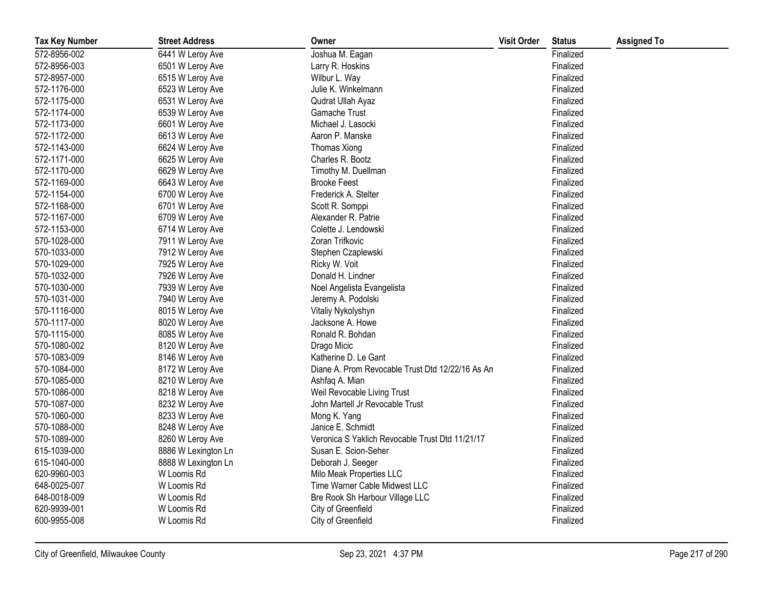| <b>Tax Key Number</b> | <b>Street Address</b> | Owner                                            | <b>Visit Order</b> | <b>Status</b> | <b>Assigned To</b> |
|-----------------------|-----------------------|--------------------------------------------------|--------------------|---------------|--------------------|
| 572-8956-002          | 6441 W Leroy Ave      | Joshua M. Eagan                                  |                    | Finalized     |                    |
| 572-8956-003          | 6501 W Leroy Ave      | Larry R. Hoskins                                 |                    | Finalized     |                    |
| 572-8957-000          | 6515 W Leroy Ave      | Wilbur L. Way                                    |                    | Finalized     |                    |
| 572-1176-000          | 6523 W Leroy Ave      | Julie K. Winkelmann                              |                    | Finalized     |                    |
| 572-1175-000          | 6531 W Leroy Ave      | Qudrat Ullah Ayaz                                |                    | Finalized     |                    |
| 572-1174-000          | 6539 W Leroy Ave      | Gamache Trust                                    |                    | Finalized     |                    |
| 572-1173-000          | 6601 W Leroy Ave      | Michael J. Lasocki                               |                    | Finalized     |                    |
| 572-1172-000          | 6613 W Leroy Ave      | Aaron P. Manske                                  |                    | Finalized     |                    |
| 572-1143-000          | 6624 W Leroy Ave      | <b>Thomas Xiong</b>                              |                    | Finalized     |                    |
| 572-1171-000          | 6625 W Leroy Ave      | Charles R. Bootz                                 |                    | Finalized     |                    |
| 572-1170-000          | 6629 W Leroy Ave      | Timothy M. Duellman                              |                    | Finalized     |                    |
| 572-1169-000          | 6643 W Leroy Ave      | <b>Brooke Feest</b>                              |                    | Finalized     |                    |
| 572-1154-000          | 6700 W Leroy Ave      | Frederick A. Stelter                             |                    | Finalized     |                    |
| 572-1168-000          | 6701 W Leroy Ave      | Scott R. Somppi                                  |                    | Finalized     |                    |
| 572-1167-000          | 6709 W Leroy Ave      | Alexander R. Patrie                              |                    | Finalized     |                    |
| 572-1153-000          | 6714 W Leroy Ave      | Colette J. Lendowski                             |                    | Finalized     |                    |
| 570-1028-000          | 7911 W Leroy Ave      | Zoran Trifkovic                                  |                    | Finalized     |                    |
| 570-1033-000          | 7912 W Leroy Ave      | Stephen Czaplewski                               |                    | Finalized     |                    |
| 570-1029-000          | 7925 W Leroy Ave      | Ricky W. Voit                                    |                    | Finalized     |                    |
| 570-1032-000          | 7926 W Leroy Ave      | Donald H. Lindner                                |                    | Finalized     |                    |
| 570-1030-000          | 7939 W Leroy Ave      | Noel Angelista Evangelista                       |                    | Finalized     |                    |
| 570-1031-000          | 7940 W Leroy Ave      | Jeremy A. Podolski                               |                    | Finalized     |                    |
| 570-1116-000          | 8015 W Leroy Ave      | Vitaliy Nykolyshyn                               |                    | Finalized     |                    |
| 570-1117-000          | 8020 W Leroy Ave      | Jacksone A. Howe                                 |                    | Finalized     |                    |
| 570-1115-000          | 8085 W Leroy Ave      | Ronald R. Bohdan                                 |                    | Finalized     |                    |
| 570-1080-002          | 8120 W Leroy Ave      | Drago Micic                                      |                    | Finalized     |                    |
| 570-1083-009          | 8146 W Leroy Ave      | Katherine D. Le Gant                             |                    | Finalized     |                    |
| 570-1084-000          | 8172 W Leroy Ave      | Diane A. Prom Revocable Trust Dtd 12/22/16 As An |                    | Finalized     |                    |
| 570-1085-000          | 8210 W Leroy Ave      | Ashfaq A. Mian                                   |                    | Finalized     |                    |
| 570-1086-000          | 8218 W Leroy Ave      | Weil Revocable Living Trust                      |                    | Finalized     |                    |
| 570-1087-000          | 8232 W Leroy Ave      | John Martell Jr Revocable Trust                  |                    | Finalized     |                    |
| 570-1060-000          | 8233 W Leroy Ave      | Mong K. Yang                                     |                    | Finalized     |                    |
| 570-1088-000          | 8248 W Leroy Ave      | Janice E. Schmidt                                |                    | Finalized     |                    |
| 570-1089-000          | 8260 W Leroy Ave      | Veronica S Yaklich Revocable Trust Dtd 11/21/17  |                    | Finalized     |                    |
| 615-1039-000          | 8886 W Lexington Ln   | Susan E. Scion-Seher                             |                    | Finalized     |                    |
| 615-1040-000          | 8888 W Lexington Ln   | Deborah J. Seeger                                |                    | Finalized     |                    |
| 620-9960-003          | W Loomis Rd           | Milo Meak Properties LLC                         |                    | Finalized     |                    |
| 648-0025-007          | W Loomis Rd           | Time Warner Cable Midwest LLC                    |                    | Finalized     |                    |
| 648-0018-009          | W Loomis Rd           | Bre Rook Sh Harbour Village LLC                  |                    | Finalized     |                    |
| 620-9939-001          | W Loomis Rd           | City of Greenfield                               |                    | Finalized     |                    |
| 600-9955-008          | W Loomis Rd           | City of Greenfield                               |                    | Finalized     |                    |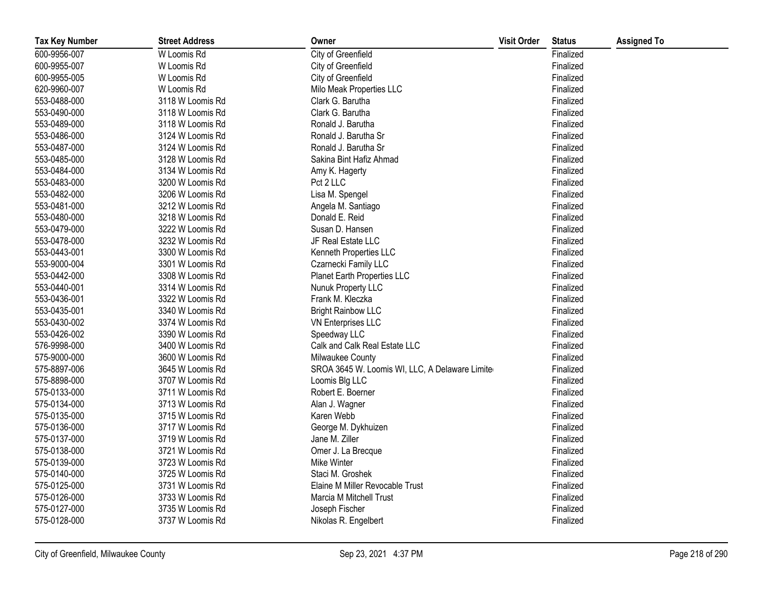| <b>Tax Key Number</b> | <b>Street Address</b> | Owner                                           | <b>Visit Order</b> | <b>Status</b> | <b>Assigned To</b> |
|-----------------------|-----------------------|-------------------------------------------------|--------------------|---------------|--------------------|
| 600-9956-007          | W Loomis Rd           | City of Greenfield                              |                    | Finalized     |                    |
| 600-9955-007          | W Loomis Rd           | City of Greenfield                              |                    | Finalized     |                    |
| 600-9955-005          | W Loomis Rd           | City of Greenfield                              |                    | Finalized     |                    |
| 620-9960-007          | W Loomis Rd           | Milo Meak Properties LLC                        |                    | Finalized     |                    |
| 553-0488-000          | 3118 W Loomis Rd      | Clark G. Barutha                                |                    | Finalized     |                    |
| 553-0490-000          | 3118 W Loomis Rd      | Clark G. Barutha                                |                    | Finalized     |                    |
| 553-0489-000          | 3118 W Loomis Rd      | Ronald J. Barutha                               |                    | Finalized     |                    |
| 553-0486-000          | 3124 W Loomis Rd      | Ronald J. Barutha Sr                            |                    | Finalized     |                    |
| 553-0487-000          | 3124 W Loomis Rd      | Ronald J. Barutha Sr                            |                    | Finalized     |                    |
| 553-0485-000          | 3128 W Loomis Rd      | Sakina Bint Hafiz Ahmad                         |                    | Finalized     |                    |
| 553-0484-000          | 3134 W Loomis Rd      | Amy K. Hagerty                                  |                    | Finalized     |                    |
| 553-0483-000          | 3200 W Loomis Rd      | Pct 2 LLC                                       |                    | Finalized     |                    |
| 553-0482-000          | 3206 W Loomis Rd      | Lisa M. Spengel                                 |                    | Finalized     |                    |
| 553-0481-000          | 3212 W Loomis Rd      | Angela M. Santiago                              |                    | Finalized     |                    |
| 553-0480-000          | 3218 W Loomis Rd      | Donald E. Reid                                  |                    | Finalized     |                    |
| 553-0479-000          | 3222 W Loomis Rd      | Susan D. Hansen                                 |                    | Finalized     |                    |
| 553-0478-000          | 3232 W Loomis Rd      | JF Real Estate LLC                              |                    | Finalized     |                    |
| 553-0443-001          | 3300 W Loomis Rd      | Kenneth Properties LLC                          |                    | Finalized     |                    |
| 553-9000-004          | 3301 W Loomis Rd      | Czarnecki Family LLC                            |                    | Finalized     |                    |
| 553-0442-000          | 3308 W Loomis Rd      | Planet Earth Properties LLC                     |                    | Finalized     |                    |
| 553-0440-001          | 3314 W Loomis Rd      | Nunuk Property LLC                              |                    | Finalized     |                    |
| 553-0436-001          | 3322 W Loomis Rd      | Frank M. Kleczka                                |                    | Finalized     |                    |
| 553-0435-001          | 3340 W Loomis Rd      | <b>Bright Rainbow LLC</b>                       |                    | Finalized     |                    |
| 553-0430-002          | 3374 W Loomis Rd      | VN Enterprises LLC                              |                    | Finalized     |                    |
| 553-0426-002          | 3390 W Loomis Rd      | Speedway LLC                                    |                    | Finalized     |                    |
| 576-9998-000          | 3400 W Loomis Rd      | Calk and Calk Real Estate LLC                   |                    | Finalized     |                    |
| 575-9000-000          | 3600 W Loomis Rd      | Milwaukee County                                |                    | Finalized     |                    |
| 575-8897-006          | 3645 W Loomis Rd      | SROA 3645 W. Loomis WI, LLC, A Delaware Limiter |                    | Finalized     |                    |
| 575-8898-000          | 3707 W Loomis Rd      | Loomis Blg LLC                                  |                    | Finalized     |                    |
| 575-0133-000          | 3711 W Loomis Rd      | Robert E. Boerner                               |                    | Finalized     |                    |
| 575-0134-000          | 3713 W Loomis Rd      | Alan J. Wagner                                  |                    | Finalized     |                    |
| 575-0135-000          | 3715 W Loomis Rd      | Karen Webb                                      |                    | Finalized     |                    |
| 575-0136-000          | 3717 W Loomis Rd      | George M. Dykhuizen                             |                    | Finalized     |                    |
| 575-0137-000          | 3719 W Loomis Rd      | Jane M. Ziller                                  |                    | Finalized     |                    |
| 575-0138-000          | 3721 W Loomis Rd      | Omer J. La Brecque                              |                    | Finalized     |                    |
| 575-0139-000          | 3723 W Loomis Rd      | Mike Winter                                     |                    | Finalized     |                    |
| 575-0140-000          | 3725 W Loomis Rd      | Staci M. Groshek                                |                    | Finalized     |                    |
| 575-0125-000          | 3731 W Loomis Rd      | Elaine M Miller Revocable Trust                 |                    | Finalized     |                    |
| 575-0126-000          | 3733 W Loomis Rd      | Marcia M Mitchell Trust                         |                    | Finalized     |                    |
| 575-0127-000          | 3735 W Loomis Rd      | Joseph Fischer                                  |                    | Finalized     |                    |
| 575-0128-000          | 3737 W Loomis Rd      | Nikolas R. Engelbert                            |                    | Finalized     |                    |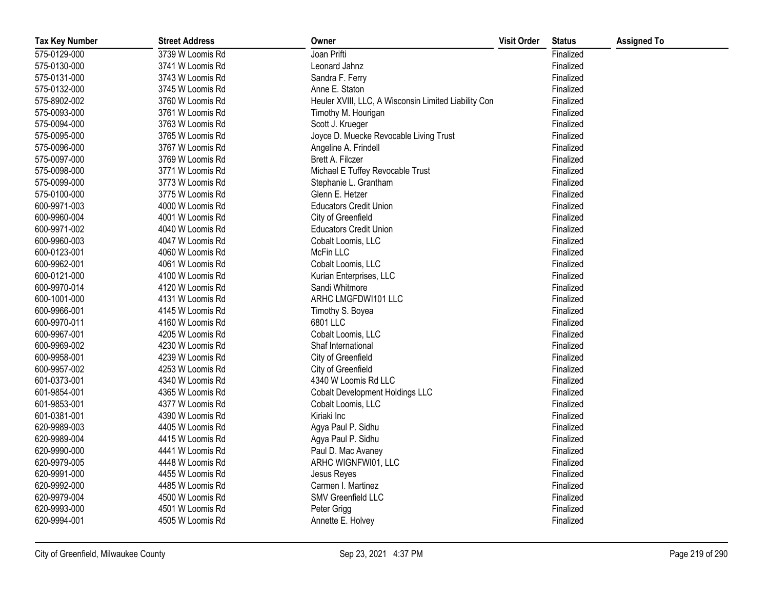| <b>Tax Key Number</b> | <b>Street Address</b> | Owner                                                | <b>Visit Order</b> | <b>Status</b> | <b>Assigned To</b> |
|-----------------------|-----------------------|------------------------------------------------------|--------------------|---------------|--------------------|
| 575-0129-000          | 3739 W Loomis Rd      | Joan Prifti                                          |                    | Finalized     |                    |
| 575-0130-000          | 3741 W Loomis Rd      | Leonard Jahnz                                        |                    | Finalized     |                    |
| 575-0131-000          | 3743 W Loomis Rd      | Sandra F. Ferry                                      |                    | Finalized     |                    |
| 575-0132-000          | 3745 W Loomis Rd      | Anne E. Staton                                       |                    | Finalized     |                    |
| 575-8902-002          | 3760 W Loomis Rd      | Heuler XVIII, LLC, A Wisconsin Limited Liability Con |                    | Finalized     |                    |
| 575-0093-000          | 3761 W Loomis Rd      | Timothy M. Hourigan                                  |                    | Finalized     |                    |
| 575-0094-000          | 3763 W Loomis Rd      | Scott J. Krueger                                     |                    | Finalized     |                    |
| 575-0095-000          | 3765 W Loomis Rd      | Joyce D. Muecke Revocable Living Trust               |                    | Finalized     |                    |
| 575-0096-000          | 3767 W Loomis Rd      | Angeline A. Frindell                                 |                    | Finalized     |                    |
| 575-0097-000          | 3769 W Loomis Rd      | Brett A. Filczer                                     |                    | Finalized     |                    |
| 575-0098-000          | 3771 W Loomis Rd      | Michael E Tuffey Revocable Trust                     |                    | Finalized     |                    |
| 575-0099-000          | 3773 W Loomis Rd      | Stephanie L. Grantham                                |                    | Finalized     |                    |
| 575-0100-000          | 3775 W Loomis Rd      | Glenn E. Hetzer                                      |                    | Finalized     |                    |
| 600-9971-003          | 4000 W Loomis Rd      | <b>Educators Credit Union</b>                        |                    | Finalized     |                    |
| 600-9960-004          | 4001 W Loomis Rd      | City of Greenfield                                   |                    | Finalized     |                    |
| 600-9971-002          | 4040 W Loomis Rd      | <b>Educators Credit Union</b>                        |                    | Finalized     |                    |
| 600-9960-003          | 4047 W Loomis Rd      | Cobalt Loomis, LLC                                   |                    | Finalized     |                    |
| 600-0123-001          | 4060 W Loomis Rd      | McFin LLC                                            |                    | Finalized     |                    |
| 600-9962-001          | 4061 W Loomis Rd      | Cobalt Loomis, LLC                                   |                    | Finalized     |                    |
| 600-0121-000          | 4100 W Loomis Rd      | Kurian Enterprises, LLC                              |                    | Finalized     |                    |
| 600-9970-014          | 4120 W Loomis Rd      | Sandi Whitmore                                       |                    | Finalized     |                    |
| 600-1001-000          | 4131 W Loomis Rd      | ARHC LMGFDWI101 LLC                                  |                    | Finalized     |                    |
| 600-9966-001          | 4145 W Loomis Rd      | Timothy S. Boyea                                     |                    | Finalized     |                    |
| 600-9970-011          | 4160 W Loomis Rd      | 6801 LLC                                             |                    | Finalized     |                    |
| 600-9967-001          | 4205 W Loomis Rd      | Cobalt Loomis, LLC                                   |                    | Finalized     |                    |
| 600-9969-002          | 4230 W Loomis Rd      | Shaf International                                   |                    | Finalized     |                    |
| 600-9958-001          | 4239 W Loomis Rd      | City of Greenfield                                   |                    | Finalized     |                    |
| 600-9957-002          | 4253 W Loomis Rd      | City of Greenfield                                   |                    | Finalized     |                    |
| 601-0373-001          | 4340 W Loomis Rd      | 4340 W Loomis Rd LLC                                 |                    | Finalized     |                    |
| 601-9854-001          | 4365 W Loomis Rd      | <b>Cobalt Development Holdings LLC</b>               |                    | Finalized     |                    |
| 601-9853-001          | 4377 W Loomis Rd      | Cobalt Loomis, LLC                                   |                    | Finalized     |                    |
| 601-0381-001          | 4390 W Loomis Rd      | Kiriaki Inc                                          |                    | Finalized     |                    |
| 620-9989-003          | 4405 W Loomis Rd      | Agya Paul P. Sidhu                                   |                    | Finalized     |                    |
| 620-9989-004          | 4415 W Loomis Rd      | Agya Paul P. Sidhu                                   |                    | Finalized     |                    |
| 620-9990-000          | 4441 W Loomis Rd      | Paul D. Mac Avaney                                   |                    | Finalized     |                    |
| 620-9979-005          | 4448 W Loomis Rd      | ARHC WIGNFWI01, LLC                                  |                    | Finalized     |                    |
| 620-9991-000          | 4455 W Loomis Rd      | Jesus Reyes                                          |                    | Finalized     |                    |
| 620-9992-000          | 4485 W Loomis Rd      | Carmen I. Martinez                                   |                    | Finalized     |                    |
| 620-9979-004          | 4500 W Loomis Rd      | SMV Greenfield LLC                                   |                    | Finalized     |                    |
| 620-9993-000          | 4501 W Loomis Rd      | Peter Grigg                                          |                    | Finalized     |                    |
| 620-9994-001          | 4505 W Loomis Rd      | Annette E. Holvey                                    |                    | Finalized     |                    |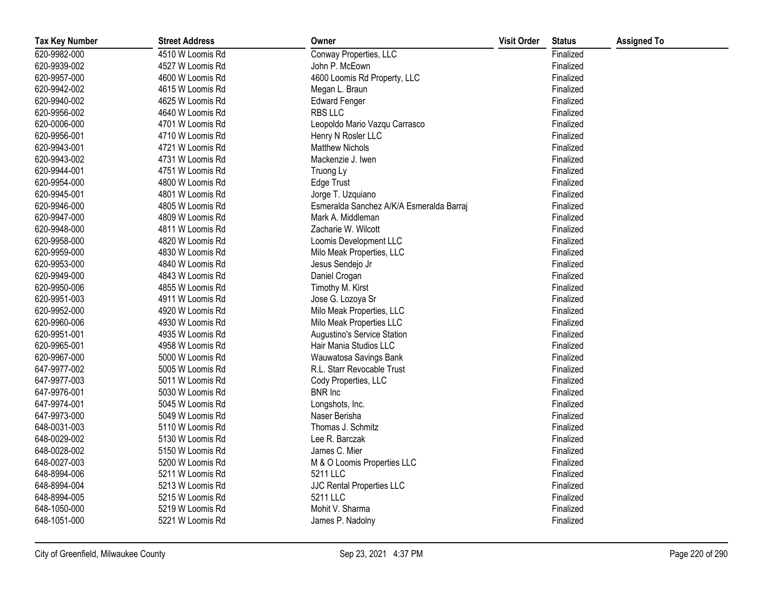| <b>Tax Key Number</b> | <b>Street Address</b> | Owner                                    | <b>Visit Order</b> | <b>Status</b> | <b>Assigned To</b> |
|-----------------------|-----------------------|------------------------------------------|--------------------|---------------|--------------------|
| 620-9982-000          | 4510 W Loomis Rd      | Conway Properties, LLC                   |                    | Finalized     |                    |
| 620-9939-002          | 4527 W Loomis Rd      | John P. McEown                           |                    | Finalized     |                    |
| 620-9957-000          | 4600 W Loomis Rd      | 4600 Loomis Rd Property, LLC             |                    | Finalized     |                    |
| 620-9942-002          | 4615 W Loomis Rd      | Megan L. Braun                           |                    | Finalized     |                    |
| 620-9940-002          | 4625 W Loomis Rd      | <b>Edward Fenger</b>                     |                    | Finalized     |                    |
| 620-9956-002          | 4640 W Loomis Rd      | <b>RBS LLC</b>                           |                    | Finalized     |                    |
| 620-0006-000          | 4701 W Loomis Rd      | Leopoldo Mario Vazqu Carrasco            |                    | Finalized     |                    |
| 620-9956-001          | 4710 W Loomis Rd      | Henry N Rosler LLC                       |                    | Finalized     |                    |
| 620-9943-001          | 4721 W Loomis Rd      | <b>Matthew Nichols</b>                   |                    | Finalized     |                    |
| 620-9943-002          | 4731 W Loomis Rd      | Mackenzie J. Iwen                        |                    | Finalized     |                    |
| 620-9944-001          | 4751 W Loomis Rd      | Truong Ly                                |                    | Finalized     |                    |
| 620-9954-000          | 4800 W Loomis Rd      | <b>Edge Trust</b>                        |                    | Finalized     |                    |
| 620-9945-001          | 4801 W Loomis Rd      | Jorge T. Uzquiano                        |                    | Finalized     |                    |
| 620-9946-000          | 4805 W Loomis Rd      | Esmeralda Sanchez A/K/A Esmeralda Barraj |                    | Finalized     |                    |
| 620-9947-000          | 4809 W Loomis Rd      | Mark A. Middleman                        |                    | Finalized     |                    |
| 620-9948-000          | 4811 W Loomis Rd      | Zacharie W. Wilcott                      |                    | Finalized     |                    |
| 620-9958-000          | 4820 W Loomis Rd      | Loomis Development LLC                   |                    | Finalized     |                    |
| 620-9959-000          | 4830 W Loomis Rd      | Milo Meak Properties, LLC                |                    | Finalized     |                    |
| 620-9953-000          | 4840 W Loomis Rd      | Jesus Sendejo Jr                         |                    | Finalized     |                    |
| 620-9949-000          | 4843 W Loomis Rd      | Daniel Crogan                            |                    | Finalized     |                    |
| 620-9950-006          | 4855 W Loomis Rd      | Timothy M. Kirst                         |                    | Finalized     |                    |
| 620-9951-003          | 4911 W Loomis Rd      | Jose G. Lozoya Sr                        |                    | Finalized     |                    |
| 620-9952-000          | 4920 W Loomis Rd      | Milo Meak Properties, LLC                |                    | Finalized     |                    |
| 620-9960-006          | 4930 W Loomis Rd      | Milo Meak Properties LLC                 |                    | Finalized     |                    |
| 620-9951-001          | 4935 W Loomis Rd      | Augustino's Service Station              |                    | Finalized     |                    |
| 620-9965-001          | 4958 W Loomis Rd      | Hair Mania Studios LLC                   |                    | Finalized     |                    |
| 620-9967-000          | 5000 W Loomis Rd      | Wauwatosa Savings Bank                   |                    | Finalized     |                    |
| 647-9977-002          | 5005 W Loomis Rd      | R.L. Starr Revocable Trust               |                    | Finalized     |                    |
| 647-9977-003          | 5011 W Loomis Rd      | Cody Properties, LLC                     |                    | Finalized     |                    |
| 647-9976-001          | 5030 W Loomis Rd      | <b>BNR</b> Inc                           |                    | Finalized     |                    |
| 647-9974-001          | 5045 W Loomis Rd      | Longshots, Inc.                          |                    | Finalized     |                    |
| 647-9973-000          | 5049 W Loomis Rd      | Naser Berisha                            |                    | Finalized     |                    |
| 648-0031-003          | 5110 W Loomis Rd      | Thomas J. Schmitz                        |                    | Finalized     |                    |
| 648-0029-002          | 5130 W Loomis Rd      | Lee R. Barczak                           |                    | Finalized     |                    |
| 648-0028-002          | 5150 W Loomis Rd      | James C. Mier                            |                    | Finalized     |                    |
| 648-0027-003          | 5200 W Loomis Rd      | M & O Loomis Properties LLC              |                    | Finalized     |                    |
| 648-8994-006          | 5211 W Loomis Rd      | 5211 LLC                                 |                    | Finalized     |                    |
| 648-8994-004          | 5213 W Loomis Rd      | JJC Rental Properties LLC                |                    | Finalized     |                    |
| 648-8994-005          | 5215 W Loomis Rd      | 5211 LLC                                 |                    | Finalized     |                    |
| 648-1050-000          | 5219 W Loomis Rd      | Mohit V. Sharma                          |                    | Finalized     |                    |
| 648-1051-000          | 5221 W Loomis Rd      | James P. Nadolny                         |                    | Finalized     |                    |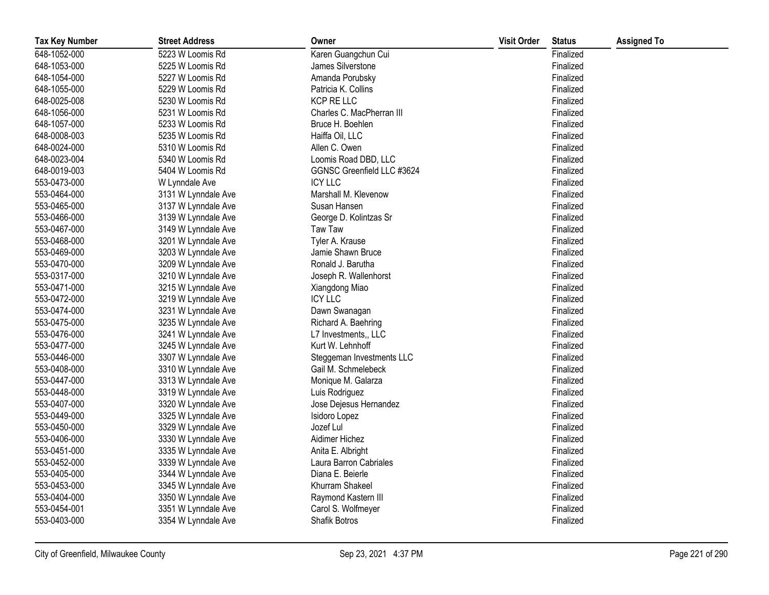| <b>Tax Key Number</b> | <b>Street Address</b> | Owner                      | <b>Visit Order</b> | <b>Status</b> | <b>Assigned To</b> |
|-----------------------|-----------------------|----------------------------|--------------------|---------------|--------------------|
| 648-1052-000          | 5223 W Loomis Rd      | Karen Guangchun Cui        |                    | Finalized     |                    |
| 648-1053-000          | 5225 W Loomis Rd      | James Silverstone          |                    | Finalized     |                    |
| 648-1054-000          | 5227 W Loomis Rd      | Amanda Porubsky            |                    | Finalized     |                    |
| 648-1055-000          | 5229 W Loomis Rd      | Patricia K. Collins        |                    | Finalized     |                    |
| 648-0025-008          | 5230 W Loomis Rd      | <b>KCP RE LLC</b>          |                    | Finalized     |                    |
| 648-1056-000          | 5231 W Loomis Rd      | Charles C. MacPherran III  |                    | Finalized     |                    |
| 648-1057-000          | 5233 W Loomis Rd      | Bruce H. Boehlen           |                    | Finalized     |                    |
| 648-0008-003          | 5235 W Loomis Rd      | Haiffa Oil, LLC            |                    | Finalized     |                    |
| 648-0024-000          | 5310 W Loomis Rd      | Allen C. Owen              |                    | Finalized     |                    |
| 648-0023-004          | 5340 W Loomis Rd      | Loomis Road DBD, LLC       |                    | Finalized     |                    |
| 648-0019-003          | 5404 W Loomis Rd      | GGNSC Greenfield LLC #3624 |                    | Finalized     |                    |
| 553-0473-000          | W Lynndale Ave        | <b>ICY LLC</b>             |                    | Finalized     |                    |
| 553-0464-000          | 3131 W Lynndale Ave   | Marshall M. Klevenow       |                    | Finalized     |                    |
| 553-0465-000          | 3137 W Lynndale Ave   | Susan Hansen               |                    | Finalized     |                    |
| 553-0466-000          | 3139 W Lynndale Ave   | George D. Kolintzas Sr     |                    | Finalized     |                    |
| 553-0467-000          | 3149 W Lynndale Ave   | <b>Taw Taw</b>             |                    | Finalized     |                    |
| 553-0468-000          | 3201 W Lynndale Ave   | Tyler A. Krause            |                    | Finalized     |                    |
| 553-0469-000          | 3203 W Lynndale Ave   | Jamie Shawn Bruce          |                    | Finalized     |                    |
| 553-0470-000          | 3209 W Lynndale Ave   | Ronald J. Barutha          |                    | Finalized     |                    |
| 553-0317-000          | 3210 W Lynndale Ave   | Joseph R. Wallenhorst      |                    | Finalized     |                    |
| 553-0471-000          | 3215 W Lynndale Ave   | Xiangdong Miao             |                    | Finalized     |                    |
| 553-0472-000          | 3219 W Lynndale Ave   | <b>ICY LLC</b>             |                    | Finalized     |                    |
| 553-0474-000          | 3231 W Lynndale Ave   | Dawn Swanagan              |                    | Finalized     |                    |
| 553-0475-000          | 3235 W Lynndale Ave   | Richard A. Baehring        |                    | Finalized     |                    |
| 553-0476-000          | 3241 W Lynndale Ave   | L7 Investments,, LLC       |                    | Finalized     |                    |
| 553-0477-000          | 3245 W Lynndale Ave   | Kurt W. Lehnhoff           |                    | Finalized     |                    |
| 553-0446-000          | 3307 W Lynndale Ave   | Steggeman Investments LLC  |                    | Finalized     |                    |
| 553-0408-000          | 3310 W Lynndale Ave   | Gail M. Schmelebeck        |                    | Finalized     |                    |
| 553-0447-000          | 3313 W Lynndale Ave   | Monique M. Galarza         |                    | Finalized     |                    |
| 553-0448-000          | 3319 W Lynndale Ave   | Luis Rodriguez             |                    | Finalized     |                    |
| 553-0407-000          | 3320 W Lynndale Ave   | Jose Dejesus Hernandez     |                    | Finalized     |                    |
| 553-0449-000          | 3325 W Lynndale Ave   | Isidoro Lopez              |                    | Finalized     |                    |
| 553-0450-000          | 3329 W Lynndale Ave   | Jozef Lul                  |                    | Finalized     |                    |
| 553-0406-000          | 3330 W Lynndale Ave   | Aidimer Hichez             |                    | Finalized     |                    |
| 553-0451-000          | 3335 W Lynndale Ave   | Anita E. Albright          |                    | Finalized     |                    |
| 553-0452-000          | 3339 W Lynndale Ave   | Laura Barron Cabriales     |                    | Finalized     |                    |
| 553-0405-000          | 3344 W Lynndale Ave   | Diana E. Beierle           |                    | Finalized     |                    |
| 553-0453-000          | 3345 W Lynndale Ave   | Khurram Shakeel            |                    | Finalized     |                    |
| 553-0404-000          | 3350 W Lynndale Ave   | Raymond Kastern III        |                    | Finalized     |                    |
| 553-0454-001          | 3351 W Lynndale Ave   | Carol S. Wolfmeyer         |                    | Finalized     |                    |
| 553-0403-000          | 3354 W Lynndale Ave   | Shafik Botros              |                    | Finalized     |                    |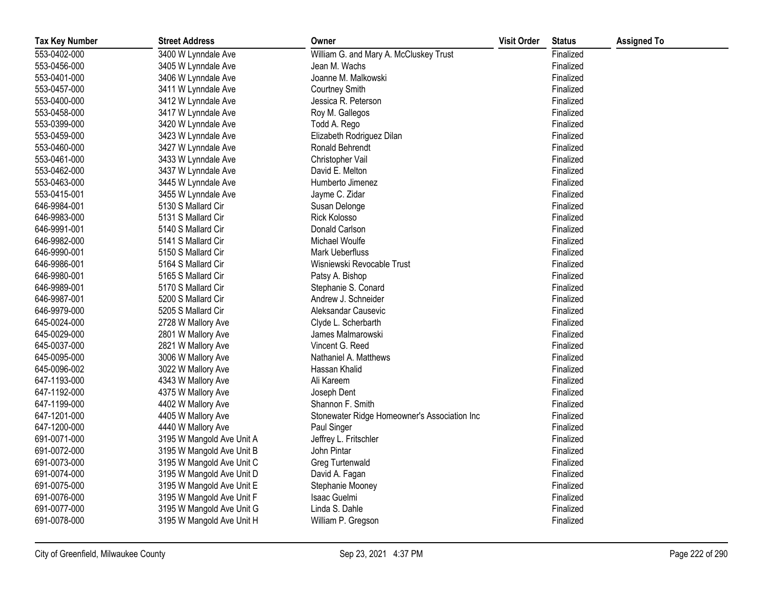| <b>Tax Key Number</b> | <b>Street Address</b>     | Owner                                        | <b>Visit Order</b> | <b>Status</b> | <b>Assigned To</b> |
|-----------------------|---------------------------|----------------------------------------------|--------------------|---------------|--------------------|
| 553-0402-000          | 3400 W Lynndale Ave       | William G. and Mary A. McCluskey Trust       |                    | Finalized     |                    |
| 553-0456-000          | 3405 W Lynndale Ave       | Jean M. Wachs                                |                    | Finalized     |                    |
| 553-0401-000          | 3406 W Lynndale Ave       | Joanne M. Malkowski                          |                    | Finalized     |                    |
| 553-0457-000          | 3411 W Lynndale Ave       | <b>Courtney Smith</b>                        |                    | Finalized     |                    |
| 553-0400-000          | 3412 W Lynndale Ave       | Jessica R. Peterson                          |                    | Finalized     |                    |
| 553-0458-000          | 3417 W Lynndale Ave       | Roy M. Gallegos                              |                    | Finalized     |                    |
| 553-0399-000          | 3420 W Lynndale Ave       | Todd A. Rego                                 |                    | Finalized     |                    |
| 553-0459-000          | 3423 W Lynndale Ave       | Elizabeth Rodriguez Dilan                    |                    | Finalized     |                    |
| 553-0460-000          | 3427 W Lynndale Ave       | Ronald Behrendt                              |                    | Finalized     |                    |
| 553-0461-000          | 3433 W Lynndale Ave       | Christopher Vail                             |                    | Finalized     |                    |
| 553-0462-000          | 3437 W Lynndale Ave       | David E. Melton                              |                    | Finalized     |                    |
| 553-0463-000          | 3445 W Lynndale Ave       | Humberto Jimenez                             |                    | Finalized     |                    |
| 553-0415-001          | 3455 W Lynndale Ave       | Jayme C. Zidar                               |                    | Finalized     |                    |
| 646-9984-001          | 5130 S Mallard Cir        | Susan Delonge                                |                    | Finalized     |                    |
| 646-9983-000          | 5131 S Mallard Cir        | <b>Rick Kolosso</b>                          |                    | Finalized     |                    |
| 646-9991-001          | 5140 S Mallard Cir        | Donald Carlson                               |                    | Finalized     |                    |
| 646-9982-000          | 5141 S Mallard Cir        | Michael Woulfe                               |                    | Finalized     |                    |
| 646-9990-001          | 5150 S Mallard Cir        | Mark Ueberfluss                              |                    | Finalized     |                    |
| 646-9986-001          | 5164 S Mallard Cir        | Wisniewski Revocable Trust                   |                    | Finalized     |                    |
| 646-9980-001          | 5165 S Mallard Cir        | Patsy A. Bishop                              |                    | Finalized     |                    |
| 646-9989-001          | 5170 S Mallard Cir        | Stephanie S. Conard                          |                    | Finalized     |                    |
| 646-9987-001          | 5200 S Mallard Cir        | Andrew J. Schneider                          |                    | Finalized     |                    |
| 646-9979-000          | 5205 S Mallard Cir        | Aleksandar Causevic                          |                    | Finalized     |                    |
| 645-0024-000          | 2728 W Mallory Ave        | Clyde L. Scherbarth                          |                    | Finalized     |                    |
| 645-0029-000          | 2801 W Mallory Ave        | James Malmarowski                            |                    | Finalized     |                    |
| 645-0037-000          | 2821 W Mallory Ave        | Vincent G. Reed                              |                    | Finalized     |                    |
| 645-0095-000          | 3006 W Mallory Ave        | Nathaniel A. Matthews                        |                    | Finalized     |                    |
| 645-0096-002          | 3022 W Mallory Ave        | Hassan Khalid                                |                    | Finalized     |                    |
| 647-1193-000          | 4343 W Mallory Ave        | Ali Kareem                                   |                    | Finalized     |                    |
| 647-1192-000          | 4375 W Mallory Ave        | Joseph Dent                                  |                    | Finalized     |                    |
| 647-1199-000          | 4402 W Mallory Ave        | Shannon F. Smith                             |                    | Finalized     |                    |
| 647-1201-000          | 4405 W Mallory Ave        | Stonewater Ridge Homeowner's Association Inc |                    | Finalized     |                    |
| 647-1200-000          | 4440 W Mallory Ave        | Paul Singer                                  |                    | Finalized     |                    |
| 691-0071-000          | 3195 W Mangold Ave Unit A | Jeffrey L. Fritschler                        |                    | Finalized     |                    |
| 691-0072-000          | 3195 W Mangold Ave Unit B | John Pintar                                  |                    | Finalized     |                    |
| 691-0073-000          | 3195 W Mangold Ave Unit C | Greg Turtenwald                              |                    | Finalized     |                    |
| 691-0074-000          | 3195 W Mangold Ave Unit D | David A. Fagan                               |                    | Finalized     |                    |
| 691-0075-000          | 3195 W Mangold Ave Unit E | Stephanie Mooney                             |                    | Finalized     |                    |
| 691-0076-000          | 3195 W Mangold Ave Unit F | Isaac Guelmi                                 |                    | Finalized     |                    |
| 691-0077-000          | 3195 W Mangold Ave Unit G | Linda S. Dahle                               |                    | Finalized     |                    |
| 691-0078-000          | 3195 W Mangold Ave Unit H | William P. Gregson                           |                    | Finalized     |                    |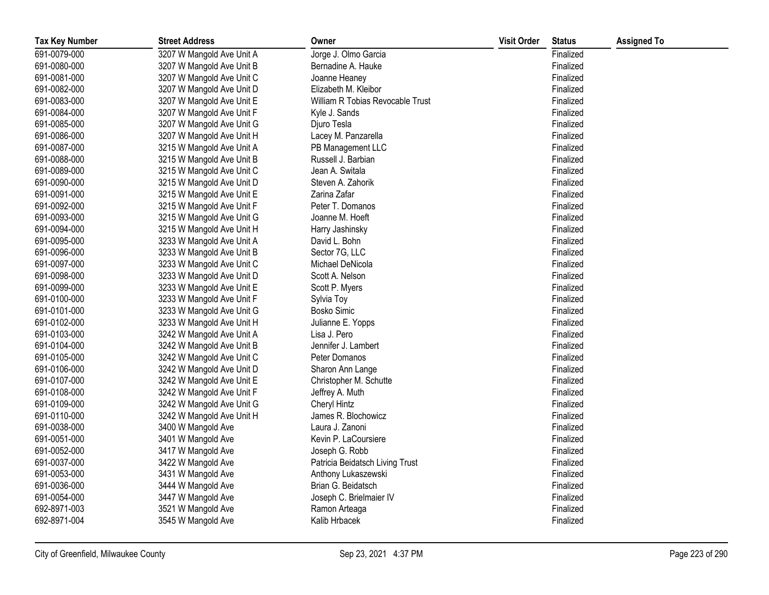| <b>Tax Key Number</b> | <b>Street Address</b>     | Owner                            | <b>Visit Order</b> | <b>Status</b> | <b>Assigned To</b> |
|-----------------------|---------------------------|----------------------------------|--------------------|---------------|--------------------|
| 691-0079-000          | 3207 W Mangold Ave Unit A | Jorge J. Olmo Garcia             |                    | Finalized     |                    |
| 691-0080-000          | 3207 W Mangold Ave Unit B | Bernadine A. Hauke               |                    | Finalized     |                    |
| 691-0081-000          | 3207 W Mangold Ave Unit C | Joanne Heaney                    |                    | Finalized     |                    |
| 691-0082-000          | 3207 W Mangold Ave Unit D | Elizabeth M. Kleibor             |                    | Finalized     |                    |
| 691-0083-000          | 3207 W Mangold Ave Unit E | William R Tobias Revocable Trust |                    | Finalized     |                    |
| 691-0084-000          | 3207 W Mangold Ave Unit F | Kyle J. Sands                    |                    | Finalized     |                    |
| 691-0085-000          | 3207 W Mangold Ave Unit G | Djuro Tesla                      |                    | Finalized     |                    |
| 691-0086-000          | 3207 W Mangold Ave Unit H | Lacey M. Panzarella              |                    | Finalized     |                    |
| 691-0087-000          | 3215 W Mangold Ave Unit A | PB Management LLC                |                    | Finalized     |                    |
| 691-0088-000          | 3215 W Mangold Ave Unit B | Russell J. Barbian               |                    | Finalized     |                    |
| 691-0089-000          | 3215 W Mangold Ave Unit C | Jean A. Switala                  |                    | Finalized     |                    |
| 691-0090-000          | 3215 W Mangold Ave Unit D | Steven A. Zahorik                |                    | Finalized     |                    |
| 691-0091-000          | 3215 W Mangold Ave Unit E | Zarina Zafar                     |                    | Finalized     |                    |
| 691-0092-000          | 3215 W Mangold Ave Unit F | Peter T. Domanos                 |                    | Finalized     |                    |
| 691-0093-000          | 3215 W Mangold Ave Unit G | Joanne M. Hoeft                  |                    | Finalized     |                    |
| 691-0094-000          | 3215 W Mangold Ave Unit H | Harry Jashinsky                  |                    | Finalized     |                    |
| 691-0095-000          | 3233 W Mangold Ave Unit A | David L. Bohn                    |                    | Finalized     |                    |
| 691-0096-000          | 3233 W Mangold Ave Unit B | Sector 7G, LLC                   |                    | Finalized     |                    |
| 691-0097-000          | 3233 W Mangold Ave Unit C | Michael DeNicola                 |                    | Finalized     |                    |
| 691-0098-000          | 3233 W Mangold Ave Unit D | Scott A. Nelson                  |                    | Finalized     |                    |
| 691-0099-000          | 3233 W Mangold Ave Unit E | Scott P. Myers                   |                    | Finalized     |                    |
| 691-0100-000          | 3233 W Mangold Ave Unit F | Sylvia Toy                       |                    | Finalized     |                    |
| 691-0101-000          | 3233 W Mangold Ave Unit G | <b>Bosko Simic</b>               |                    | Finalized     |                    |
| 691-0102-000          | 3233 W Mangold Ave Unit H | Julianne E. Yopps                |                    | Finalized     |                    |
| 691-0103-000          | 3242 W Mangold Ave Unit A | Lisa J. Pero                     |                    | Finalized     |                    |
| 691-0104-000          | 3242 W Mangold Ave Unit B | Jennifer J. Lambert              |                    | Finalized     |                    |
| 691-0105-000          | 3242 W Mangold Ave Unit C | Peter Domanos                    |                    | Finalized     |                    |
| 691-0106-000          | 3242 W Mangold Ave Unit D | Sharon Ann Lange                 |                    | Finalized     |                    |
| 691-0107-000          | 3242 W Mangold Ave Unit E | Christopher M. Schutte           |                    | Finalized     |                    |
| 691-0108-000          | 3242 W Mangold Ave Unit F | Jeffrey A. Muth                  |                    | Finalized     |                    |
| 691-0109-000          | 3242 W Mangold Ave Unit G | <b>Cheryl Hintz</b>              |                    | Finalized     |                    |
| 691-0110-000          | 3242 W Mangold Ave Unit H | James R. Blochowicz              |                    | Finalized     |                    |
| 691-0038-000          | 3400 W Mangold Ave        | Laura J. Zanoni                  |                    | Finalized     |                    |
| 691-0051-000          | 3401 W Mangold Ave        | Kevin P. LaCoursiere             |                    | Finalized     |                    |
| 691-0052-000          | 3417 W Mangold Ave        | Joseph G. Robb                   |                    | Finalized     |                    |
| 691-0037-000          | 3422 W Mangold Ave        | Patricia Beidatsch Living Trust  |                    | Finalized     |                    |
| 691-0053-000          | 3431 W Mangold Ave        | Anthony Lukaszewski              |                    | Finalized     |                    |
| 691-0036-000          | 3444 W Mangold Ave        | Brian G. Beidatsch               |                    | Finalized     |                    |
| 691-0054-000          | 3447 W Mangold Ave        | Joseph C. Brielmaier IV          |                    | Finalized     |                    |
| 692-8971-003          | 3521 W Mangold Ave        | Ramon Arteaga                    |                    | Finalized     |                    |
| 692-8971-004          | 3545 W Mangold Ave        | Kalib Hrbacek                    |                    | Finalized     |                    |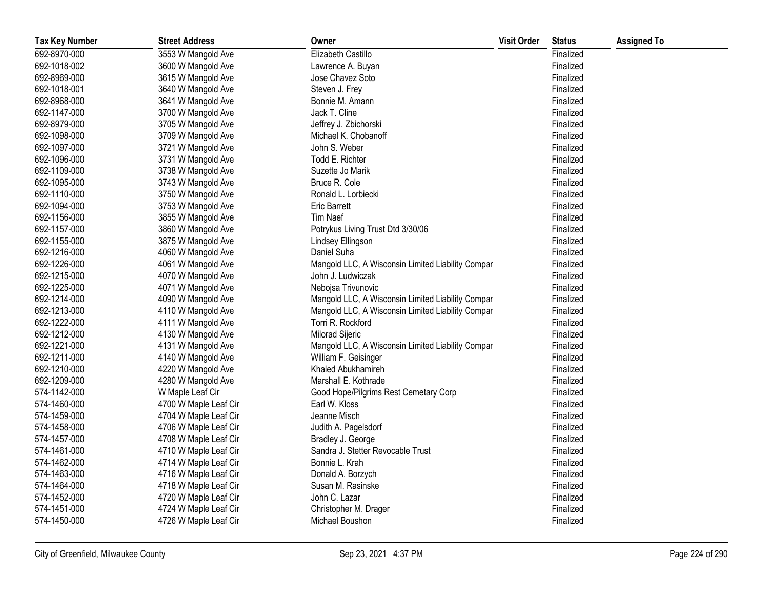| <b>Tax Key Number</b> | <b>Street Address</b> | Owner                                             | <b>Visit Order</b> | <b>Status</b> | <b>Assigned To</b> |
|-----------------------|-----------------------|---------------------------------------------------|--------------------|---------------|--------------------|
| 692-8970-000          | 3553 W Mangold Ave    | Elizabeth Castillo                                |                    | Finalized     |                    |
| 692-1018-002          | 3600 W Mangold Ave    | Lawrence A. Buyan                                 |                    | Finalized     |                    |
| 692-8969-000          | 3615 W Mangold Ave    | Jose Chavez Soto                                  |                    | Finalized     |                    |
| 692-1018-001          | 3640 W Mangold Ave    | Steven J. Frey                                    |                    | Finalized     |                    |
| 692-8968-000          | 3641 W Mangold Ave    | Bonnie M. Amann                                   |                    | Finalized     |                    |
| 692-1147-000          | 3700 W Mangold Ave    | Jack T. Cline                                     |                    | Finalized     |                    |
| 692-8979-000          | 3705 W Mangold Ave    | Jeffrey J. Zbichorski                             |                    | Finalized     |                    |
| 692-1098-000          | 3709 W Mangold Ave    | Michael K. Chobanoff                              |                    | Finalized     |                    |
| 692-1097-000          | 3721 W Mangold Ave    | John S. Weber                                     |                    | Finalized     |                    |
| 692-1096-000          | 3731 W Mangold Ave    | Todd E. Richter                                   |                    | Finalized     |                    |
| 692-1109-000          | 3738 W Mangold Ave    | Suzette Jo Marik                                  |                    | Finalized     |                    |
| 692-1095-000          | 3743 W Mangold Ave    | Bruce R. Cole                                     |                    | Finalized     |                    |
| 692-1110-000          | 3750 W Mangold Ave    | Ronald L. Lorbiecki                               |                    | Finalized     |                    |
| 692-1094-000          | 3753 W Mangold Ave    | <b>Eric Barrett</b>                               |                    | Finalized     |                    |
| 692-1156-000          | 3855 W Mangold Ave    | Tim Naef                                          |                    | Finalized     |                    |
| 692-1157-000          | 3860 W Mangold Ave    | Potrykus Living Trust Dtd 3/30/06                 |                    | Finalized     |                    |
| 692-1155-000          | 3875 W Mangold Ave    | Lindsey Ellingson                                 |                    | Finalized     |                    |
| 692-1216-000          | 4060 W Mangold Ave    | Daniel Suha                                       |                    | Finalized     |                    |
| 692-1226-000          | 4061 W Mangold Ave    | Mangold LLC, A Wisconsin Limited Liability Compar |                    | Finalized     |                    |
| 692-1215-000          | 4070 W Mangold Ave    | John J. Ludwiczak                                 |                    | Finalized     |                    |
| 692-1225-000          | 4071 W Mangold Ave    | Nebojsa Trivunovic                                |                    | Finalized     |                    |
| 692-1214-000          | 4090 W Mangold Ave    | Mangold LLC, A Wisconsin Limited Liability Compar |                    | Finalized     |                    |
| 692-1213-000          | 4110 W Mangold Ave    | Mangold LLC, A Wisconsin Limited Liability Compar |                    | Finalized     |                    |
| 692-1222-000          | 4111 W Mangold Ave    | Torri R. Rockford                                 |                    | Finalized     |                    |
| 692-1212-000          | 4130 W Mangold Ave    | <b>Milorad Sijeric</b>                            |                    | Finalized     |                    |
| 692-1221-000          | 4131 W Mangold Ave    | Mangold LLC, A Wisconsin Limited Liability Compar |                    | Finalized     |                    |
| 692-1211-000          | 4140 W Mangold Ave    | William F. Geisinger                              |                    | Finalized     |                    |
| 692-1210-000          | 4220 W Mangold Ave    | Khaled Abukhamireh                                |                    | Finalized     |                    |
| 692-1209-000          | 4280 W Mangold Ave    | Marshall E. Kothrade                              |                    | Finalized     |                    |
| 574-1142-000          | W Maple Leaf Cir      | Good Hope/Pilgrims Rest Cemetary Corp             |                    | Finalized     |                    |
| 574-1460-000          | 4700 W Maple Leaf Cir | Earl W. Kloss                                     |                    | Finalized     |                    |
| 574-1459-000          | 4704 W Maple Leaf Cir | Jeanne Misch                                      |                    | Finalized     |                    |
| 574-1458-000          | 4706 W Maple Leaf Cir | Judith A. Pagelsdorf                              |                    | Finalized     |                    |
| 574-1457-000          | 4708 W Maple Leaf Cir | Bradley J. George                                 |                    | Finalized     |                    |
| 574-1461-000          | 4710 W Maple Leaf Cir | Sandra J. Stetter Revocable Trust                 |                    | Finalized     |                    |
| 574-1462-000          | 4714 W Maple Leaf Cir | Bonnie L. Krah                                    |                    | Finalized     |                    |
| 574-1463-000          | 4716 W Maple Leaf Cir | Donald A. Borzych                                 |                    | Finalized     |                    |
| 574-1464-000          | 4718 W Maple Leaf Cir | Susan M. Rasinske                                 |                    | Finalized     |                    |
| 574-1452-000          | 4720 W Maple Leaf Cir | John C. Lazar                                     |                    | Finalized     |                    |
| 574-1451-000          | 4724 W Maple Leaf Cir | Christopher M. Drager                             |                    | Finalized     |                    |
| 574-1450-000          | 4726 W Maple Leaf Cir | Michael Boushon                                   |                    | Finalized     |                    |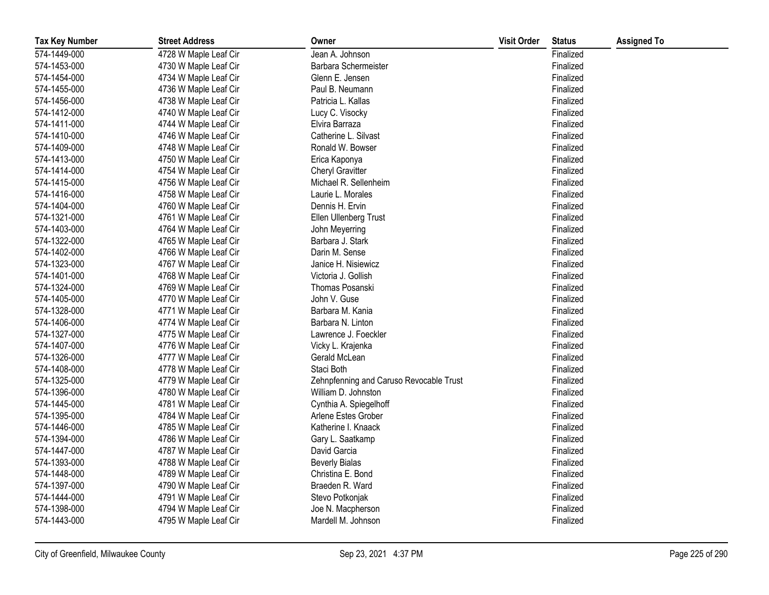| <b>Tax Key Number</b> | <b>Street Address</b> | Owner                                   | <b>Visit Order</b> | <b>Status</b> | <b>Assigned To</b> |
|-----------------------|-----------------------|-----------------------------------------|--------------------|---------------|--------------------|
| 574-1449-000          | 4728 W Maple Leaf Cir | Jean A. Johnson                         |                    | Finalized     |                    |
| 574-1453-000          | 4730 W Maple Leaf Cir | Barbara Schermeister                    |                    | Finalized     |                    |
| 574-1454-000          | 4734 W Maple Leaf Cir | Glenn E. Jensen                         |                    | Finalized     |                    |
| 574-1455-000          | 4736 W Maple Leaf Cir | Paul B. Neumann                         |                    | Finalized     |                    |
| 574-1456-000          | 4738 W Maple Leaf Cir | Patricia L. Kallas                      |                    | Finalized     |                    |
| 574-1412-000          | 4740 W Maple Leaf Cir | Lucy C. Visocky                         |                    | Finalized     |                    |
| 574-1411-000          | 4744 W Maple Leaf Cir | Elvira Barraza                          |                    | Finalized     |                    |
| 574-1410-000          | 4746 W Maple Leaf Cir | Catherine L. Silvast                    |                    | Finalized     |                    |
| 574-1409-000          | 4748 W Maple Leaf Cir | Ronald W. Bowser                        |                    | Finalized     |                    |
| 574-1413-000          | 4750 W Maple Leaf Cir | Erica Kaponya                           |                    | Finalized     |                    |
| 574-1414-000          | 4754 W Maple Leaf Cir | <b>Cheryl Gravitter</b>                 |                    | Finalized     |                    |
| 574-1415-000          | 4756 W Maple Leaf Cir | Michael R. Sellenheim                   |                    | Finalized     |                    |
| 574-1416-000          | 4758 W Maple Leaf Cir | Laurie L. Morales                       |                    | Finalized     |                    |
| 574-1404-000          | 4760 W Maple Leaf Cir | Dennis H. Ervin                         |                    | Finalized     |                    |
| 574-1321-000          | 4761 W Maple Leaf Cir | Ellen Ullenberg Trust                   |                    | Finalized     |                    |
| 574-1403-000          | 4764 W Maple Leaf Cir | John Meyerring                          |                    | Finalized     |                    |
| 574-1322-000          | 4765 W Maple Leaf Cir | Barbara J. Stark                        |                    | Finalized     |                    |
| 574-1402-000          | 4766 W Maple Leaf Cir | Darin M. Sense                          |                    | Finalized     |                    |
| 574-1323-000          | 4767 W Maple Leaf Cir | Janice H. Nisiewicz                     |                    | Finalized     |                    |
| 574-1401-000          | 4768 W Maple Leaf Cir | Victoria J. Gollish                     |                    | Finalized     |                    |
| 574-1324-000          | 4769 W Maple Leaf Cir | Thomas Posanski                         |                    | Finalized     |                    |
| 574-1405-000          | 4770 W Maple Leaf Cir | John V. Guse                            |                    | Finalized     |                    |
| 574-1328-000          | 4771 W Maple Leaf Cir | Barbara M. Kania                        |                    | Finalized     |                    |
| 574-1406-000          | 4774 W Maple Leaf Cir | Barbara N. Linton                       |                    | Finalized     |                    |
| 574-1327-000          | 4775 W Maple Leaf Cir | Lawrence J. Foeckler                    |                    | Finalized     |                    |
| 574-1407-000          | 4776 W Maple Leaf Cir | Vicky L. Krajenka                       |                    | Finalized     |                    |
| 574-1326-000          | 4777 W Maple Leaf Cir | Gerald McLean                           |                    | Finalized     |                    |
| 574-1408-000          | 4778 W Maple Leaf Cir | Staci Both                              |                    | Finalized     |                    |
| 574-1325-000          | 4779 W Maple Leaf Cir | Zehnpfenning and Caruso Revocable Trust |                    | Finalized     |                    |
| 574-1396-000          | 4780 W Maple Leaf Cir | William D. Johnston                     |                    | Finalized     |                    |
| 574-1445-000          | 4781 W Maple Leaf Cir | Cynthia A. Spiegelhoff                  |                    | Finalized     |                    |
| 574-1395-000          | 4784 W Maple Leaf Cir | Arlene Estes Grober                     |                    | Finalized     |                    |
| 574-1446-000          | 4785 W Maple Leaf Cir | Katherine I. Knaack                     |                    | Finalized     |                    |
| 574-1394-000          | 4786 W Maple Leaf Cir | Gary L. Saatkamp                        |                    | Finalized     |                    |
| 574-1447-000          | 4787 W Maple Leaf Cir | David Garcia                            |                    | Finalized     |                    |
| 574-1393-000          | 4788 W Maple Leaf Cir | <b>Beverly Bialas</b>                   |                    | Finalized     |                    |
| 574-1448-000          | 4789 W Maple Leaf Cir | Christina E. Bond                       |                    | Finalized     |                    |
| 574-1397-000          | 4790 W Maple Leaf Cir | Braeden R. Ward                         |                    | Finalized     |                    |
| 574-1444-000          | 4791 W Maple Leaf Cir | Stevo Potkonjak                         |                    | Finalized     |                    |
| 574-1398-000          | 4794 W Maple Leaf Cir | Joe N. Macpherson                       |                    | Finalized     |                    |
| 574-1443-000          | 4795 W Maple Leaf Cir | Mardell M. Johnson                      |                    | Finalized     |                    |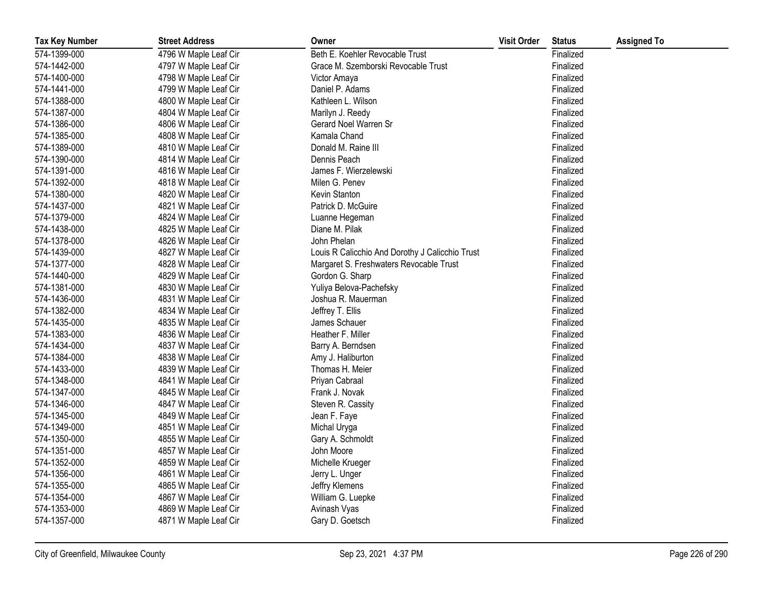| <b>Tax Key Number</b> | <b>Street Address</b> | Owner                                           | <b>Visit Order</b> | <b>Status</b> | <b>Assigned To</b> |
|-----------------------|-----------------------|-------------------------------------------------|--------------------|---------------|--------------------|
| 574-1399-000          | 4796 W Maple Leaf Cir | Beth E. Koehler Revocable Trust                 |                    | Finalized     |                    |
| 574-1442-000          | 4797 W Maple Leaf Cir | Grace M. Szemborski Revocable Trust             |                    | Finalized     |                    |
| 574-1400-000          | 4798 W Maple Leaf Cir | Victor Amaya                                    |                    | Finalized     |                    |
| 574-1441-000          | 4799 W Maple Leaf Cir | Daniel P. Adams                                 |                    | Finalized     |                    |
| 574-1388-000          | 4800 W Maple Leaf Cir | Kathleen L. Wilson                              |                    | Finalized     |                    |
| 574-1387-000          | 4804 W Maple Leaf Cir | Marilyn J. Reedy                                |                    | Finalized     |                    |
| 574-1386-000          | 4806 W Maple Leaf Cir | Gerard Noel Warren Sr                           |                    | Finalized     |                    |
| 574-1385-000          | 4808 W Maple Leaf Cir | Kamala Chand                                    |                    | Finalized     |                    |
| 574-1389-000          | 4810 W Maple Leaf Cir | Donald M. Raine III                             |                    | Finalized     |                    |
| 574-1390-000          | 4814 W Maple Leaf Cir | Dennis Peach                                    |                    | Finalized     |                    |
| 574-1391-000          | 4816 W Maple Leaf Cir | James F. Wierzelewski                           |                    | Finalized     |                    |
| 574-1392-000          | 4818 W Maple Leaf Cir | Milen G. Penev                                  |                    | Finalized     |                    |
| 574-1380-000          | 4820 W Maple Leaf Cir | Kevin Stanton                                   |                    | Finalized     |                    |
| 574-1437-000          | 4821 W Maple Leaf Cir | Patrick D. McGuire                              |                    | Finalized     |                    |
| 574-1379-000          | 4824 W Maple Leaf Cir | Luanne Hegeman                                  |                    | Finalized     |                    |
| 574-1438-000          | 4825 W Maple Leaf Cir | Diane M. Pilak                                  |                    | Finalized     |                    |
| 574-1378-000          | 4826 W Maple Leaf Cir | John Phelan                                     |                    | Finalized     |                    |
| 574-1439-000          | 4827 W Maple Leaf Cir | Louis R Calicchio And Dorothy J Calicchio Trust |                    | Finalized     |                    |
| 574-1377-000          | 4828 W Maple Leaf Cir | Margaret S. Freshwaters Revocable Trust         |                    | Finalized     |                    |
| 574-1440-000          | 4829 W Maple Leaf Cir | Gordon G. Sharp                                 |                    | Finalized     |                    |
| 574-1381-000          | 4830 W Maple Leaf Cir | Yuliya Belova-Pachefsky                         |                    | Finalized     |                    |
| 574-1436-000          | 4831 W Maple Leaf Cir | Joshua R. Mauerman                              |                    | Finalized     |                    |
| 574-1382-000          | 4834 W Maple Leaf Cir | Jeffrey T. Ellis                                |                    | Finalized     |                    |
| 574-1435-000          | 4835 W Maple Leaf Cir | James Schauer                                   |                    | Finalized     |                    |
| 574-1383-000          | 4836 W Maple Leaf Cir | Heather F. Miller                               |                    | Finalized     |                    |
| 574-1434-000          | 4837 W Maple Leaf Cir | Barry A. Berndsen                               |                    | Finalized     |                    |
| 574-1384-000          | 4838 W Maple Leaf Cir | Amy J. Haliburton                               |                    | Finalized     |                    |
| 574-1433-000          | 4839 W Maple Leaf Cir | Thomas H. Meier                                 |                    | Finalized     |                    |
| 574-1348-000          | 4841 W Maple Leaf Cir | Priyan Cabraal                                  |                    | Finalized     |                    |
| 574-1347-000          | 4845 W Maple Leaf Cir | Frank J. Novak                                  |                    | Finalized     |                    |
| 574-1346-000          | 4847 W Maple Leaf Cir | Steven R. Cassity                               |                    | Finalized     |                    |
| 574-1345-000          | 4849 W Maple Leaf Cir | Jean F. Faye                                    |                    | Finalized     |                    |
| 574-1349-000          | 4851 W Maple Leaf Cir | Michal Uryga                                    |                    | Finalized     |                    |
| 574-1350-000          | 4855 W Maple Leaf Cir | Gary A. Schmoldt                                |                    | Finalized     |                    |
| 574-1351-000          | 4857 W Maple Leaf Cir | John Moore                                      |                    | Finalized     |                    |
| 574-1352-000          | 4859 W Maple Leaf Cir | Michelle Krueger                                |                    | Finalized     |                    |
| 574-1356-000          | 4861 W Maple Leaf Cir | Jerry L. Unger                                  |                    | Finalized     |                    |
| 574-1355-000          | 4865 W Maple Leaf Cir | Jeffry Klemens                                  |                    | Finalized     |                    |
| 574-1354-000          | 4867 W Maple Leaf Cir | William G. Luepke                               |                    | Finalized     |                    |
| 574-1353-000          | 4869 W Maple Leaf Cir | Avinash Vyas                                    |                    | Finalized     |                    |
| 574-1357-000          | 4871 W Maple Leaf Cir | Gary D. Goetsch                                 |                    | Finalized     |                    |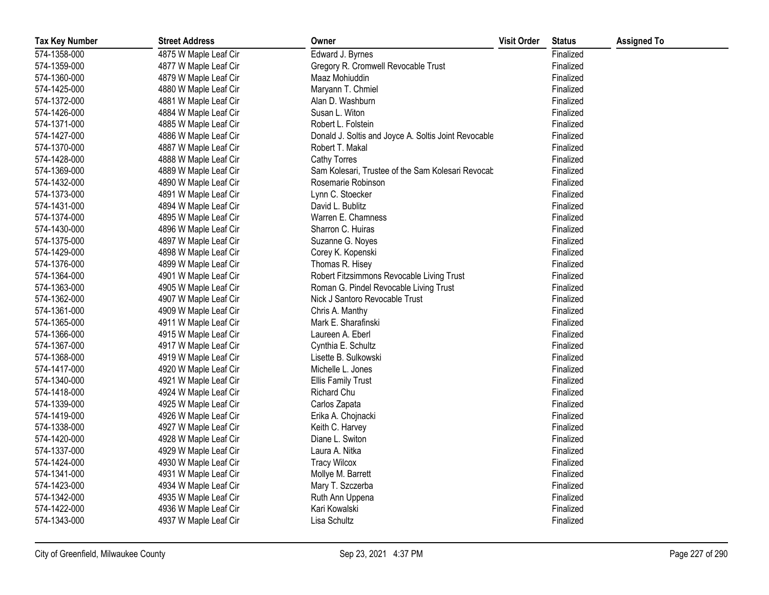| <b>Tax Key Number</b> | <b>Street Address</b> | Owner                                                | <b>Visit Order</b> | <b>Status</b> | <b>Assigned To</b> |
|-----------------------|-----------------------|------------------------------------------------------|--------------------|---------------|--------------------|
| 574-1358-000          | 4875 W Maple Leaf Cir | Edward J. Byrnes                                     |                    | Finalized     |                    |
| 574-1359-000          | 4877 W Maple Leaf Cir | Gregory R. Cromwell Revocable Trust                  |                    | Finalized     |                    |
| 574-1360-000          | 4879 W Maple Leaf Cir | Maaz Mohiuddin                                       |                    | Finalized     |                    |
| 574-1425-000          | 4880 W Maple Leaf Cir | Maryann T. Chmiel                                    |                    | Finalized     |                    |
| 574-1372-000          | 4881 W Maple Leaf Cir | Alan D. Washburn                                     |                    | Finalized     |                    |
| 574-1426-000          | 4884 W Maple Leaf Cir | Susan L. Witon                                       |                    | Finalized     |                    |
| 574-1371-000          | 4885 W Maple Leaf Cir | Robert L. Folstein                                   |                    | Finalized     |                    |
| 574-1427-000          | 4886 W Maple Leaf Cir | Donald J. Soltis and Joyce A. Soltis Joint Revocable |                    | Finalized     |                    |
| 574-1370-000          | 4887 W Maple Leaf Cir | Robert T. Makal                                      |                    | Finalized     |                    |
| 574-1428-000          | 4888 W Maple Leaf Cir | Cathy Torres                                         |                    | Finalized     |                    |
| 574-1369-000          | 4889 W Maple Leaf Cir | Sam Kolesari, Trustee of the Sam Kolesari Revocab    |                    | Finalized     |                    |
| 574-1432-000          | 4890 W Maple Leaf Cir | Rosemarie Robinson                                   |                    | Finalized     |                    |
| 574-1373-000          | 4891 W Maple Leaf Cir | Lynn C. Stoecker                                     |                    | Finalized     |                    |
| 574-1431-000          | 4894 W Maple Leaf Cir | David L. Bublitz                                     |                    | Finalized     |                    |
| 574-1374-000          | 4895 W Maple Leaf Cir | Warren E. Chamness                                   |                    | Finalized     |                    |
| 574-1430-000          | 4896 W Maple Leaf Cir | Sharron C. Huiras                                    |                    | Finalized     |                    |
| 574-1375-000          | 4897 W Maple Leaf Cir | Suzanne G. Noyes                                     |                    | Finalized     |                    |
| 574-1429-000          | 4898 W Maple Leaf Cir | Corey K. Kopenski                                    |                    | Finalized     |                    |
| 574-1376-000          | 4899 W Maple Leaf Cir | Thomas R. Hisey                                      |                    | Finalized     |                    |
| 574-1364-000          | 4901 W Maple Leaf Cir | Robert Fitzsimmons Revocable Living Trust            |                    | Finalized     |                    |
| 574-1363-000          | 4905 W Maple Leaf Cir | Roman G. Pindel Revocable Living Trust               |                    | Finalized     |                    |
| 574-1362-000          | 4907 W Maple Leaf Cir | Nick J Santoro Revocable Trust                       |                    | Finalized     |                    |
| 574-1361-000          | 4909 W Maple Leaf Cir | Chris A. Manthy                                      |                    | Finalized     |                    |
| 574-1365-000          | 4911 W Maple Leaf Cir | Mark E. Sharafinski                                  |                    | Finalized     |                    |
| 574-1366-000          | 4915 W Maple Leaf Cir | Laureen A. Eberl                                     |                    | Finalized     |                    |
| 574-1367-000          | 4917 W Maple Leaf Cir | Cynthia E. Schultz                                   |                    | Finalized     |                    |
| 574-1368-000          | 4919 W Maple Leaf Cir | Lisette B. Sulkowski                                 |                    | Finalized     |                    |
| 574-1417-000          | 4920 W Maple Leaf Cir | Michelle L. Jones                                    |                    | Finalized     |                    |
| 574-1340-000          | 4921 W Maple Leaf Cir | <b>Ellis Family Trust</b>                            |                    | Finalized     |                    |
| 574-1418-000          | 4924 W Maple Leaf Cir | Richard Chu                                          |                    | Finalized     |                    |
| 574-1339-000          | 4925 W Maple Leaf Cir | Carlos Zapata                                        |                    | Finalized     |                    |
| 574-1419-000          | 4926 W Maple Leaf Cir | Erika A. Chojnacki                                   |                    | Finalized     |                    |
| 574-1338-000          | 4927 W Maple Leaf Cir | Keith C. Harvey                                      |                    | Finalized     |                    |
| 574-1420-000          | 4928 W Maple Leaf Cir | Diane L. Switon                                      |                    | Finalized     |                    |
| 574-1337-000          | 4929 W Maple Leaf Cir | Laura A. Nitka                                       |                    | Finalized     |                    |
| 574-1424-000          | 4930 W Maple Leaf Cir | <b>Tracy Wilcox</b>                                  |                    | Finalized     |                    |
| 574-1341-000          | 4931 W Maple Leaf Cir | Mollye M. Barrett                                    |                    | Finalized     |                    |
| 574-1423-000          | 4934 W Maple Leaf Cir | Mary T. Szczerba                                     |                    | Finalized     |                    |
| 574-1342-000          | 4935 W Maple Leaf Cir | Ruth Ann Uppena                                      |                    | Finalized     |                    |
| 574-1422-000          | 4936 W Maple Leaf Cir | Kari Kowalski                                        |                    | Finalized     |                    |
| 574-1343-000          | 4937 W Maple Leaf Cir | Lisa Schultz                                         |                    | Finalized     |                    |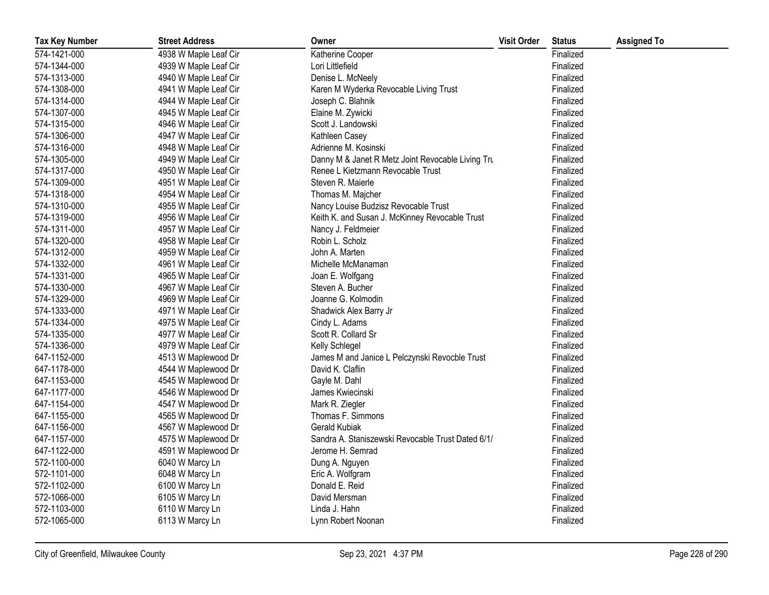| <b>Tax Key Number</b> | <b>Street Address</b> | Owner                                             | <b>Visit Order</b> | <b>Status</b> | <b>Assigned To</b> |
|-----------------------|-----------------------|---------------------------------------------------|--------------------|---------------|--------------------|
| 574-1421-000          | 4938 W Maple Leaf Cir | Katherine Cooper                                  |                    | Finalized     |                    |
| 574-1344-000          | 4939 W Maple Leaf Cir | Lori Littlefield                                  |                    | Finalized     |                    |
| 574-1313-000          | 4940 W Maple Leaf Cir | Denise L. McNeely                                 |                    | Finalized     |                    |
| 574-1308-000          | 4941 W Maple Leaf Cir | Karen M Wyderka Revocable Living Trust            |                    | Finalized     |                    |
| 574-1314-000          | 4944 W Maple Leaf Cir | Joseph C. Blahnik                                 |                    | Finalized     |                    |
| 574-1307-000          | 4945 W Maple Leaf Cir | Elaine M. Zywicki                                 |                    | Finalized     |                    |
| 574-1315-000          | 4946 W Maple Leaf Cir | Scott J. Landowski                                |                    | Finalized     |                    |
| 574-1306-000          | 4947 W Maple Leaf Cir | Kathleen Casey                                    |                    | Finalized     |                    |
| 574-1316-000          | 4948 W Maple Leaf Cir | Adrienne M. Kosinski                              |                    | Finalized     |                    |
| 574-1305-000          | 4949 W Maple Leaf Cir | Danny M & Janet R Metz Joint Revocable Living Tru |                    | Finalized     |                    |
| 574-1317-000          | 4950 W Maple Leaf Cir | Renee L Kietzmann Revocable Trust                 |                    | Finalized     |                    |
| 574-1309-000          | 4951 W Maple Leaf Cir | Steven R. Maierle                                 |                    | Finalized     |                    |
| 574-1318-000          | 4954 W Maple Leaf Cir | Thomas M. Majcher                                 |                    | Finalized     |                    |
| 574-1310-000          | 4955 W Maple Leaf Cir | Nancy Louise Budzisz Revocable Trust              |                    | Finalized     |                    |
| 574-1319-000          | 4956 W Maple Leaf Cir | Keith K. and Susan J. McKinney Revocable Trust    |                    | Finalized     |                    |
| 574-1311-000          | 4957 W Maple Leaf Cir | Nancy J. Feldmeier                                |                    | Finalized     |                    |
| 574-1320-000          | 4958 W Maple Leaf Cir | Robin L. Scholz                                   |                    | Finalized     |                    |
| 574-1312-000          | 4959 W Maple Leaf Cir | John A. Marten                                    |                    | Finalized     |                    |
| 574-1332-000          | 4961 W Maple Leaf Cir | Michelle McManaman                                |                    | Finalized     |                    |
| 574-1331-000          | 4965 W Maple Leaf Cir | Joan E. Wolfgang                                  |                    | Finalized     |                    |
| 574-1330-000          | 4967 W Maple Leaf Cir | Steven A. Bucher                                  |                    | Finalized     |                    |
| 574-1329-000          | 4969 W Maple Leaf Cir | Joanne G. Kolmodin                                |                    | Finalized     |                    |
| 574-1333-000          | 4971 W Maple Leaf Cir | Shadwick Alex Barry Jr                            |                    | Finalized     |                    |
| 574-1334-000          | 4975 W Maple Leaf Cir | Cindy L. Adams                                    |                    | Finalized     |                    |
| 574-1335-000          | 4977 W Maple Leaf Cir | Scott R. Collard Sr                               |                    | Finalized     |                    |
| 574-1336-000          | 4979 W Maple Leaf Cir | Kelly Schlegel                                    |                    | Finalized     |                    |
| 647-1152-000          | 4513 W Maplewood Dr   | James M and Janice L Pelczynski Revocble Trust    |                    | Finalized     |                    |
| 647-1178-000          | 4544 W Maplewood Dr   | David K. Claflin                                  |                    | Finalized     |                    |
| 647-1153-000          | 4545 W Maplewood Dr   | Gayle M. Dahl                                     |                    | Finalized     |                    |
| 647-1177-000          | 4546 W Maplewood Dr   | James Kwiecinski                                  |                    | Finalized     |                    |
| 647-1154-000          | 4547 W Maplewood Dr   | Mark R. Ziegler                                   |                    | Finalized     |                    |
| 647-1155-000          | 4565 W Maplewood Dr   | Thomas F. Simmons                                 |                    | Finalized     |                    |
| 647-1156-000          | 4567 W Maplewood Dr   | <b>Gerald Kubiak</b>                              |                    | Finalized     |                    |
| 647-1157-000          | 4575 W Maplewood Dr   | Sandra A. Staniszewski Revocable Trust Dated 6/1/ |                    | Finalized     |                    |
| 647-1122-000          | 4591 W Maplewood Dr   | Jerome H. Semrad                                  |                    | Finalized     |                    |
| 572-1100-000          | 6040 W Marcy Ln       | Dung A. Nguyen                                    |                    | Finalized     |                    |
| 572-1101-000          | 6048 W Marcy Ln       | Eric A. Wolfgram                                  |                    | Finalized     |                    |
| 572-1102-000          | 6100 W Marcy Ln       | Donald E. Reid                                    |                    | Finalized     |                    |
| 572-1066-000          | 6105 W Marcy Ln       | David Mersman                                     |                    | Finalized     |                    |
| 572-1103-000          | 6110 W Marcy Ln       | Linda J. Hahn                                     |                    | Finalized     |                    |
| 572-1065-000          | 6113 W Marcy Ln       | Lynn Robert Noonan                                |                    | Finalized     |                    |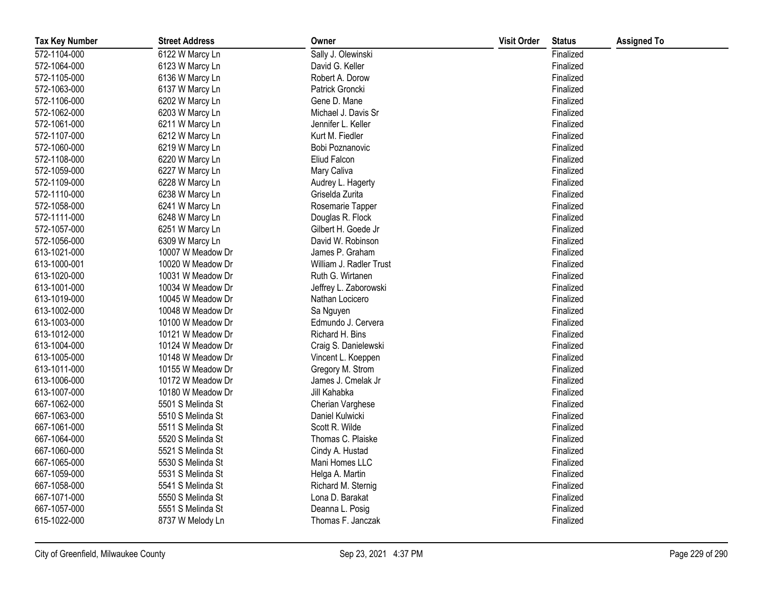| <b>Tax Key Number</b> | <b>Street Address</b> | Owner                   | <b>Visit Order</b> | <b>Status</b> | <b>Assigned To</b> |
|-----------------------|-----------------------|-------------------------|--------------------|---------------|--------------------|
| 572-1104-000          | 6122 W Marcy Ln       | Sally J. Olewinski      |                    | Finalized     |                    |
| 572-1064-000          | 6123 W Marcy Ln       | David G. Keller         |                    | Finalized     |                    |
| 572-1105-000          | 6136 W Marcy Ln       | Robert A. Dorow         |                    | Finalized     |                    |
| 572-1063-000          | 6137 W Marcy Ln       | Patrick Groncki         |                    | Finalized     |                    |
| 572-1106-000          | 6202 W Marcy Ln       | Gene D. Mane            |                    | Finalized     |                    |
| 572-1062-000          | 6203 W Marcy Ln       | Michael J. Davis Sr     |                    | Finalized     |                    |
| 572-1061-000          | 6211 W Marcy Ln       | Jennifer L. Keller      |                    | Finalized     |                    |
| 572-1107-000          | 6212 W Marcy Ln       | Kurt M. Fiedler         |                    | Finalized     |                    |
| 572-1060-000          | 6219 W Marcy Ln       | Bobi Poznanovic         |                    | Finalized     |                    |
| 572-1108-000          | 6220 W Marcy Ln       | Eliud Falcon            |                    | Finalized     |                    |
| 572-1059-000          | 6227 W Marcy Ln       | Mary Caliva             |                    | Finalized     |                    |
| 572-1109-000          | 6228 W Marcy Ln       | Audrey L. Hagerty       |                    | Finalized     |                    |
| 572-1110-000          | 6238 W Marcy Ln       | Griselda Zurita         |                    | Finalized     |                    |
| 572-1058-000          | 6241 W Marcy Ln       | Rosemarie Tapper        |                    | Finalized     |                    |
| 572-1111-000          | 6248 W Marcy Ln       | Douglas R. Flock        |                    | Finalized     |                    |
| 572-1057-000          | 6251 W Marcy Ln       | Gilbert H. Goede Jr     |                    | Finalized     |                    |
| 572-1056-000          | 6309 W Marcy Ln       | David W. Robinson       |                    | Finalized     |                    |
| 613-1021-000          | 10007 W Meadow Dr     | James P. Graham         |                    | Finalized     |                    |
| 613-1000-001          | 10020 W Meadow Dr     | William J. Radler Trust |                    | Finalized     |                    |
| 613-1020-000          | 10031 W Meadow Dr     | Ruth G. Wirtanen        |                    | Finalized     |                    |
| 613-1001-000          | 10034 W Meadow Dr     | Jeffrey L. Zaborowski   |                    | Finalized     |                    |
| 613-1019-000          | 10045 W Meadow Dr     | Nathan Locicero         |                    | Finalized     |                    |
| 613-1002-000          | 10048 W Meadow Dr     | Sa Nguyen               |                    | Finalized     |                    |
| 613-1003-000          | 10100 W Meadow Dr     | Edmundo J. Cervera      |                    | Finalized     |                    |
| 613-1012-000          | 10121 W Meadow Dr     | Richard H. Bins         |                    | Finalized     |                    |
| 613-1004-000          | 10124 W Meadow Dr     | Craig S. Danielewski    |                    | Finalized     |                    |
| 613-1005-000          | 10148 W Meadow Dr     | Vincent L. Koeppen      |                    | Finalized     |                    |
| 613-1011-000          | 10155 W Meadow Dr     | Gregory M. Strom        |                    | Finalized     |                    |
| 613-1006-000          | 10172 W Meadow Dr     | James J. Cmelak Jr      |                    | Finalized     |                    |
| 613-1007-000          | 10180 W Meadow Dr     | Jill Kahabka            |                    | Finalized     |                    |
| 667-1062-000          | 5501 S Melinda St     | Cherian Varghese        |                    | Finalized     |                    |
| 667-1063-000          | 5510 S Melinda St     | Daniel Kulwicki         |                    | Finalized     |                    |
| 667-1061-000          | 5511 S Melinda St     | Scott R. Wilde          |                    | Finalized     |                    |
| 667-1064-000          | 5520 S Melinda St     | Thomas C. Plaiske       |                    | Finalized     |                    |
| 667-1060-000          | 5521 S Melinda St     | Cindy A. Hustad         |                    | Finalized     |                    |
| 667-1065-000          | 5530 S Melinda St     | Mani Homes LLC          |                    | Finalized     |                    |
| 667-1059-000          | 5531 S Melinda St     | Helga A. Martin         |                    | Finalized     |                    |
| 667-1058-000          | 5541 S Melinda St     | Richard M. Sternig      |                    | Finalized     |                    |
| 667-1071-000          | 5550 S Melinda St     | Lona D. Barakat         |                    | Finalized     |                    |
| 667-1057-000          | 5551 S Melinda St     | Deanna L. Posig         |                    | Finalized     |                    |
| 615-1022-000          | 8737 W Melody Ln      | Thomas F. Janczak       |                    | Finalized     |                    |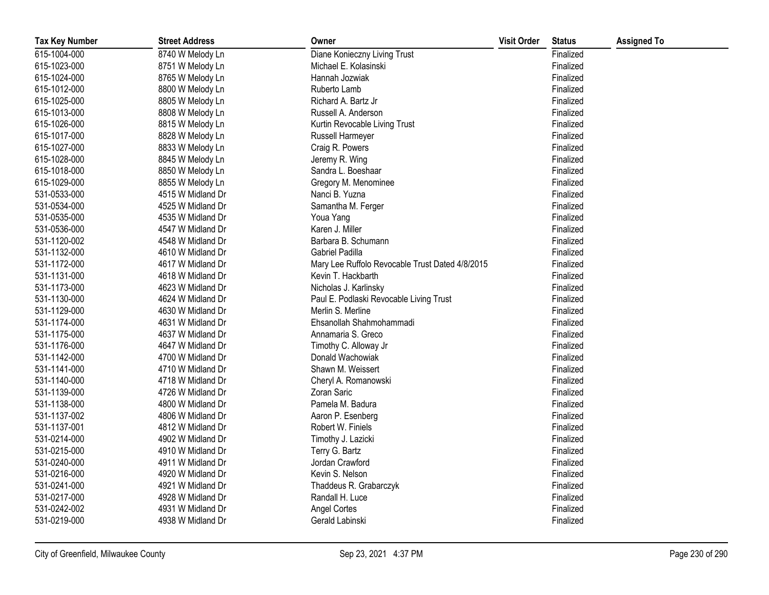| <b>Tax Key Number</b> | <b>Street Address</b> | Owner                                           | <b>Visit Order</b> | <b>Status</b> | <b>Assigned To</b> |
|-----------------------|-----------------------|-------------------------------------------------|--------------------|---------------|--------------------|
| 615-1004-000          | 8740 W Melody Ln      | Diane Konieczny Living Trust                    |                    | Finalized     |                    |
| 615-1023-000          | 8751 W Melody Ln      | Michael E. Kolasinski                           |                    | Finalized     |                    |
| 615-1024-000          | 8765 W Melody Ln      | Hannah Jozwiak                                  |                    | Finalized     |                    |
| 615-1012-000          | 8800 W Melody Ln      | Ruberto Lamb                                    |                    | Finalized     |                    |
| 615-1025-000          | 8805 W Melody Ln      | Richard A. Bartz Jr                             |                    | Finalized     |                    |
| 615-1013-000          | 8808 W Melody Ln      | Russell A. Anderson                             |                    | Finalized     |                    |
| 615-1026-000          | 8815 W Melody Ln      | Kurtin Revocable Living Trust                   |                    | Finalized     |                    |
| 615-1017-000          | 8828 W Melody Ln      | Russell Harmeyer                                |                    | Finalized     |                    |
| 615-1027-000          | 8833 W Melody Ln      | Craig R. Powers                                 |                    | Finalized     |                    |
| 615-1028-000          | 8845 W Melody Ln      | Jeremy R. Wing                                  |                    | Finalized     |                    |
| 615-1018-000          | 8850 W Melody Ln      | Sandra L. Boeshaar                              |                    | Finalized     |                    |
| 615-1029-000          | 8855 W Melody Ln      | Gregory M. Menominee                            |                    | Finalized     |                    |
| 531-0533-000          | 4515 W Midland Dr     | Nanci B. Yuzna                                  |                    | Finalized     |                    |
| 531-0534-000          | 4525 W Midland Dr     | Samantha M. Ferger                              |                    | Finalized     |                    |
| 531-0535-000          | 4535 W Midland Dr     | Youa Yang                                       |                    | Finalized     |                    |
| 531-0536-000          | 4547 W Midland Dr     | Karen J. Miller                                 |                    | Finalized     |                    |
| 531-1120-002          | 4548 W Midland Dr     | Barbara B. Schumann                             |                    | Finalized     |                    |
| 531-1132-000          | 4610 W Midland Dr     | <b>Gabriel Padilla</b>                          |                    | Finalized     |                    |
| 531-1172-000          | 4617 W Midland Dr     | Mary Lee Ruffolo Revocable Trust Dated 4/8/2015 |                    | Finalized     |                    |
| 531-1131-000          | 4618 W Midland Dr     | Kevin T. Hackbarth                              |                    | Finalized     |                    |
| 531-1173-000          | 4623 W Midland Dr     | Nicholas J. Karlinsky                           |                    | Finalized     |                    |
| 531-1130-000          | 4624 W Midland Dr     | Paul E. Podlaski Revocable Living Trust         |                    | Finalized     |                    |
| 531-1129-000          | 4630 W Midland Dr     | Merlin S. Merline                               |                    | Finalized     |                    |
| 531-1174-000          | 4631 W Midland Dr     | Ehsanollah Shahmohammadi                        |                    | Finalized     |                    |
| 531-1175-000          | 4637 W Midland Dr     | Annamaria S. Greco                              |                    | Finalized     |                    |
| 531-1176-000          | 4647 W Midland Dr     | Timothy C. Alloway Jr                           |                    | Finalized     |                    |
| 531-1142-000          | 4700 W Midland Dr     | Donald Wachowiak                                |                    | Finalized     |                    |
| 531-1141-000          | 4710 W Midland Dr     | Shawn M. Weissert                               |                    | Finalized     |                    |
| 531-1140-000          | 4718 W Midland Dr     | Cheryl A. Romanowski                            |                    | Finalized     |                    |
| 531-1139-000          | 4726 W Midland Dr     | Zoran Saric                                     |                    | Finalized     |                    |
| 531-1138-000          | 4800 W Midland Dr     | Pamela M. Badura                                |                    | Finalized     |                    |
| 531-1137-002          | 4806 W Midland Dr     | Aaron P. Esenberg                               |                    | Finalized     |                    |
| 531-1137-001          | 4812 W Midland Dr     | Robert W. Finiels                               |                    | Finalized     |                    |
| 531-0214-000          | 4902 W Midland Dr     | Timothy J. Lazicki                              |                    | Finalized     |                    |
| 531-0215-000          | 4910 W Midland Dr     | Terry G. Bartz                                  |                    | Finalized     |                    |
| 531-0240-000          | 4911 W Midland Dr     | Jordan Crawford                                 |                    | Finalized     |                    |
| 531-0216-000          | 4920 W Midland Dr     | Kevin S. Nelson                                 |                    | Finalized     |                    |
| 531-0241-000          | 4921 W Midland Dr     | Thaddeus R. Grabarczyk                          |                    | Finalized     |                    |
| 531-0217-000          | 4928 W Midland Dr     | Randall H. Luce                                 |                    | Finalized     |                    |
| 531-0242-002          | 4931 W Midland Dr     | <b>Angel Cortes</b>                             |                    | Finalized     |                    |
| 531-0219-000          | 4938 W Midland Dr     | Gerald Labinski                                 |                    | Finalized     |                    |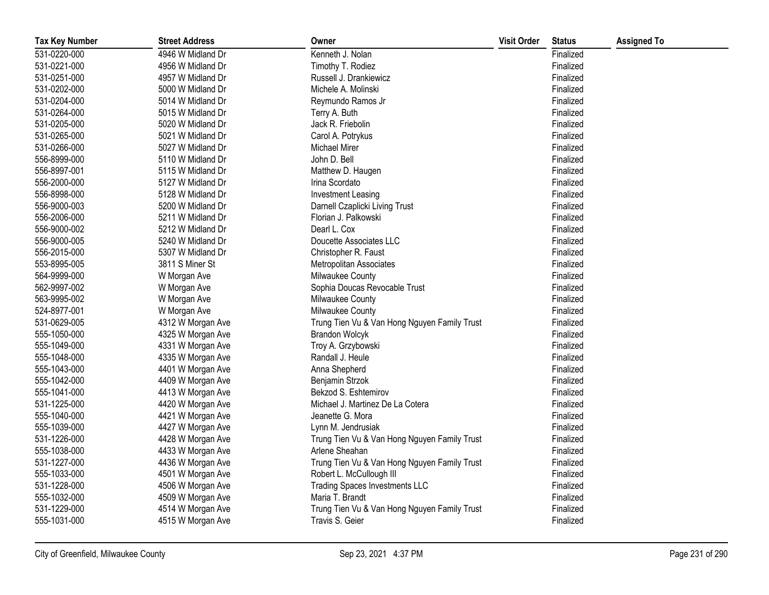| <b>Tax Key Number</b> | <b>Street Address</b> | Owner                                        | <b>Visit Order</b> | <b>Status</b> | <b>Assigned To</b> |
|-----------------------|-----------------------|----------------------------------------------|--------------------|---------------|--------------------|
| 531-0220-000          | 4946 W Midland Dr     | Kenneth J. Nolan                             |                    | Finalized     |                    |
| 531-0221-000          | 4956 W Midland Dr     | Timothy T. Rodiez                            |                    | Finalized     |                    |
| 531-0251-000          | 4957 W Midland Dr     | Russell J. Drankiewicz                       |                    | Finalized     |                    |
| 531-0202-000          | 5000 W Midland Dr     | Michele A. Molinski                          |                    | Finalized     |                    |
| 531-0204-000          | 5014 W Midland Dr     | Reymundo Ramos Jr                            |                    | Finalized     |                    |
| 531-0264-000          | 5015 W Midland Dr     | Terry A. Buth                                |                    | Finalized     |                    |
| 531-0205-000          | 5020 W Midland Dr     | Jack R. Friebolin                            |                    | Finalized     |                    |
| 531-0265-000          | 5021 W Midland Dr     | Carol A. Potrykus                            |                    | Finalized     |                    |
| 531-0266-000          | 5027 W Midland Dr     | <b>Michael Mirer</b>                         |                    | Finalized     |                    |
| 556-8999-000          | 5110 W Midland Dr     | John D. Bell                                 |                    | Finalized     |                    |
| 556-8997-001          | 5115 W Midland Dr     | Matthew D. Haugen                            |                    | Finalized     |                    |
| 556-2000-000          | 5127 W Midland Dr     | Irina Scordato                               |                    | Finalized     |                    |
| 556-8998-000          | 5128 W Midland Dr     | Investment Leasing                           |                    | Finalized     |                    |
| 556-9000-003          | 5200 W Midland Dr     | Darnell Czaplicki Living Trust               |                    | Finalized     |                    |
| 556-2006-000          | 5211 W Midland Dr     | Florian J. Palkowski                         |                    | Finalized     |                    |
| 556-9000-002          | 5212 W Midland Dr     | Dearl L. Cox                                 |                    | Finalized     |                    |
| 556-9000-005          | 5240 W Midland Dr     | Doucette Associates LLC                      |                    | Finalized     |                    |
| 556-2015-000          | 5307 W Midland Dr     | Christopher R. Faust                         |                    | Finalized     |                    |
| 553-8995-005          | 3811 S Miner St       | Metropolitan Associates                      |                    | Finalized     |                    |
| 564-9999-000          | W Morgan Ave          | Milwaukee County                             |                    | Finalized     |                    |
| 562-9997-002          | W Morgan Ave          | Sophia Doucas Revocable Trust                |                    | Finalized     |                    |
| 563-9995-002          | W Morgan Ave          | Milwaukee County                             |                    | Finalized     |                    |
| 524-8977-001          | W Morgan Ave          | Milwaukee County                             |                    | Finalized     |                    |
| 531-0629-005          | 4312 W Morgan Ave     | Trung Tien Vu & Van Hong Nguyen Family Trust |                    | Finalized     |                    |
| 555-1050-000          | 4325 W Morgan Ave     | <b>Brandon Wolcyk</b>                        |                    | Finalized     |                    |
| 555-1049-000          | 4331 W Morgan Ave     | Troy A. Grzybowski                           |                    | Finalized     |                    |
| 555-1048-000          | 4335 W Morgan Ave     | Randall J. Heule                             |                    | Finalized     |                    |
| 555-1043-000          | 4401 W Morgan Ave     | Anna Shepherd                                |                    | Finalized     |                    |
| 555-1042-000          | 4409 W Morgan Ave     | Benjamin Strzok                              |                    | Finalized     |                    |
| 555-1041-000          | 4413 W Morgan Ave     | Bekzod S. Eshtemirov                         |                    | Finalized     |                    |
| 531-1225-000          | 4420 W Morgan Ave     | Michael J. Martinez De La Cotera             |                    | Finalized     |                    |
| 555-1040-000          | 4421 W Morgan Ave     | Jeanette G. Mora                             |                    | Finalized     |                    |
| 555-1039-000          | 4427 W Morgan Ave     | Lynn M. Jendrusiak                           |                    | Finalized     |                    |
| 531-1226-000          | 4428 W Morgan Ave     | Trung Tien Vu & Van Hong Nguyen Family Trust |                    | Finalized     |                    |
| 555-1038-000          | 4433 W Morgan Ave     | Arlene Sheahan                               |                    | Finalized     |                    |
| 531-1227-000          | 4436 W Morgan Ave     | Trung Tien Vu & Van Hong Nguyen Family Trust |                    | Finalized     |                    |
| 555-1033-000          | 4501 W Morgan Ave     | Robert L. McCullough III                     |                    | Finalized     |                    |
| 531-1228-000          | 4506 W Morgan Ave     | <b>Trading Spaces Investments LLC</b>        |                    | Finalized     |                    |
| 555-1032-000          | 4509 W Morgan Ave     | Maria T. Brandt                              |                    | Finalized     |                    |
| 531-1229-000          | 4514 W Morgan Ave     | Trung Tien Vu & Van Hong Nguyen Family Trust |                    | Finalized     |                    |
| 555-1031-000          | 4515 W Morgan Ave     | Travis S. Geier                              |                    | Finalized     |                    |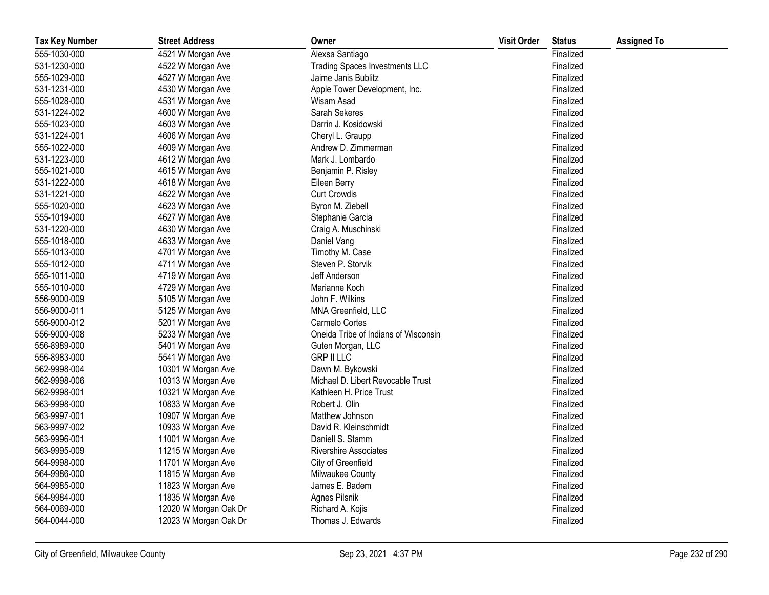| <b>Tax Key Number</b> | <b>Street Address</b> | Owner                                 | <b>Visit Order</b> | <b>Status</b> | <b>Assigned To</b> |
|-----------------------|-----------------------|---------------------------------------|--------------------|---------------|--------------------|
| 555-1030-000          | 4521 W Morgan Ave     | Alexsa Santiago                       |                    | Finalized     |                    |
| 531-1230-000          | 4522 W Morgan Ave     | <b>Trading Spaces Investments LLC</b> |                    | Finalized     |                    |
| 555-1029-000          | 4527 W Morgan Ave     | Jaime Janis Bublitz                   |                    | Finalized     |                    |
| 531-1231-000          | 4530 W Morgan Ave     | Apple Tower Development, Inc.         |                    | Finalized     |                    |
| 555-1028-000          | 4531 W Morgan Ave     | Wisam Asad                            |                    | Finalized     |                    |
| 531-1224-002          | 4600 W Morgan Ave     | Sarah Sekeres                         |                    | Finalized     |                    |
| 555-1023-000          | 4603 W Morgan Ave     | Darrin J. Kosidowski                  |                    | Finalized     |                    |
| 531-1224-001          | 4606 W Morgan Ave     | Cheryl L. Graupp                      |                    | Finalized     |                    |
| 555-1022-000          | 4609 W Morgan Ave     | Andrew D. Zimmerman                   |                    | Finalized     |                    |
| 531-1223-000          | 4612 W Morgan Ave     | Mark J. Lombardo                      |                    | Finalized     |                    |
| 555-1021-000          | 4615 W Morgan Ave     | Benjamin P. Risley                    |                    | Finalized     |                    |
| 531-1222-000          | 4618 W Morgan Ave     | Eileen Berry                          |                    | Finalized     |                    |
| 531-1221-000          | 4622 W Morgan Ave     | <b>Curt Crowdis</b>                   |                    | Finalized     |                    |
| 555-1020-000          | 4623 W Morgan Ave     | Byron M. Ziebell                      |                    | Finalized     |                    |
| 555-1019-000          | 4627 W Morgan Ave     | Stephanie Garcia                      |                    | Finalized     |                    |
| 531-1220-000          | 4630 W Morgan Ave     | Craig A. Muschinski                   |                    | Finalized     |                    |
| 555-1018-000          | 4633 W Morgan Ave     | Daniel Vang                           |                    | Finalized     |                    |
| 555-1013-000          | 4701 W Morgan Ave     | Timothy M. Case                       |                    | Finalized     |                    |
| 555-1012-000          | 4711 W Morgan Ave     | Steven P. Storvik                     |                    | Finalized     |                    |
| 555-1011-000          | 4719 W Morgan Ave     | Jeff Anderson                         |                    | Finalized     |                    |
| 555-1010-000          | 4729 W Morgan Ave     | Marianne Koch                         |                    | Finalized     |                    |
| 556-9000-009          | 5105 W Morgan Ave     | John F. Wilkins                       |                    | Finalized     |                    |
| 556-9000-011          | 5125 W Morgan Ave     | MNA Greenfield, LLC                   |                    | Finalized     |                    |
| 556-9000-012          | 5201 W Morgan Ave     | Carmelo Cortes                        |                    | Finalized     |                    |
| 556-9000-008          | 5233 W Morgan Ave     | Oneida Tribe of Indians of Wisconsin  |                    | Finalized     |                    |
| 556-8989-000          | 5401 W Morgan Ave     | Guten Morgan, LLC                     |                    | Finalized     |                    |
| 556-8983-000          | 5541 W Morgan Ave     | <b>GRP II LLC</b>                     |                    | Finalized     |                    |
| 562-9998-004          | 10301 W Morgan Ave    | Dawn M. Bykowski                      |                    | Finalized     |                    |
| 562-9998-006          | 10313 W Morgan Ave    | Michael D. Libert Revocable Trust     |                    | Finalized     |                    |
| 562-9998-001          | 10321 W Morgan Ave    | Kathleen H. Price Trust               |                    | Finalized     |                    |
| 563-9998-000          | 10833 W Morgan Ave    | Robert J. Olin                        |                    | Finalized     |                    |
| 563-9997-001          | 10907 W Morgan Ave    | Matthew Johnson                       |                    | Finalized     |                    |
| 563-9997-002          | 10933 W Morgan Ave    | David R. Kleinschmidt                 |                    | Finalized     |                    |
| 563-9996-001          | 11001 W Morgan Ave    | Daniell S. Stamm                      |                    | Finalized     |                    |
| 563-9995-009          | 11215 W Morgan Ave    | Rivershire Associates                 |                    | Finalized     |                    |
| 564-9998-000          | 11701 W Morgan Ave    | City of Greenfield                    |                    | Finalized     |                    |
| 564-9986-000          | 11815 W Morgan Ave    | Milwaukee County                      |                    | Finalized     |                    |
| 564-9985-000          | 11823 W Morgan Ave    | James E. Badem                        |                    | Finalized     |                    |
| 564-9984-000          | 11835 W Morgan Ave    | Agnes Pilsnik                         |                    | Finalized     |                    |
| 564-0069-000          | 12020 W Morgan Oak Dr | Richard A. Kojis                      |                    | Finalized     |                    |
| 564-0044-000          | 12023 W Morgan Oak Dr | Thomas J. Edwards                     |                    | Finalized     |                    |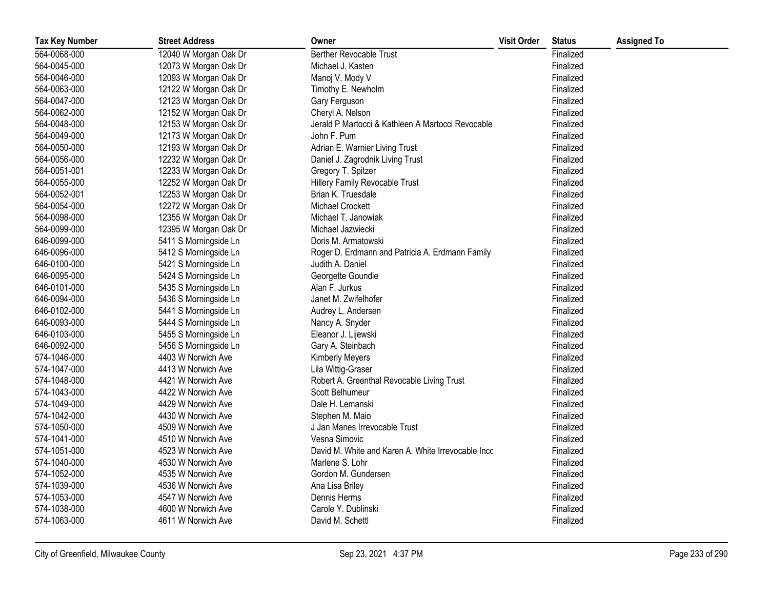| <b>Tax Key Number</b> | <b>Street Address</b> | Owner                                              | <b>Visit Order</b> | <b>Status</b> | <b>Assigned To</b> |
|-----------------------|-----------------------|----------------------------------------------------|--------------------|---------------|--------------------|
| 564-0068-000          | 12040 W Morgan Oak Dr | <b>Berther Revocable Trust</b>                     |                    | Finalized     |                    |
| 564-0045-000          | 12073 W Morgan Oak Dr | Michael J. Kasten                                  |                    | Finalized     |                    |
| 564-0046-000          | 12093 W Morgan Oak Dr | Manoj V. Mody V                                    |                    | Finalized     |                    |
| 564-0063-000          | 12122 W Morgan Oak Dr | Timothy E. Newholm                                 |                    | Finalized     |                    |
| 564-0047-000          | 12123 W Morgan Oak Dr | Gary Ferguson                                      |                    | Finalized     |                    |
| 564-0062-000          | 12152 W Morgan Oak Dr | Cheryl A. Nelson                                   |                    | Finalized     |                    |
| 564-0048-000          | 12153 W Morgan Oak Dr | Jerald P Martocci & Kathleen A Martocci Revocable  |                    | Finalized     |                    |
| 564-0049-000          | 12173 W Morgan Oak Dr | John F. Pum                                        |                    | Finalized     |                    |
| 564-0050-000          | 12193 W Morgan Oak Dr | Adrian E. Warnier Living Trust                     |                    | Finalized     |                    |
| 564-0056-000          | 12232 W Morgan Oak Dr | Daniel J. Zagrodnik Living Trust                   |                    | Finalized     |                    |
| 564-0051-001          | 12233 W Morgan Oak Dr | Gregory T. Spitzer                                 |                    | Finalized     |                    |
| 564-0055-000          | 12252 W Morgan Oak Dr | Hillery Family Revocable Trust                     |                    | Finalized     |                    |
| 564-0052-001          | 12253 W Morgan Oak Dr | Brian K. Truesdale                                 |                    | Finalized     |                    |
| 564-0054-000          | 12272 W Morgan Oak Dr | <b>Michael Crockett</b>                            |                    | Finalized     |                    |
| 564-0098-000          | 12355 W Morgan Oak Dr | Michael T. Janowiak                                |                    | Finalized     |                    |
| 564-0099-000          | 12395 W Morgan Oak Dr | Michael Jazwiecki                                  |                    | Finalized     |                    |
| 646-0099-000          | 5411 S Morningside Ln | Doris M. Armatowski                                |                    | Finalized     |                    |
| 646-0096-000          | 5412 S Morningside Ln | Roger D. Erdmann and Patricia A. Erdmann Family    |                    | Finalized     |                    |
| 646-0100-000          | 5421 S Morningside Ln | Judith A. Daniel                                   |                    | Finalized     |                    |
| 646-0095-000          | 5424 S Morningside Ln | Georgette Goundie                                  |                    | Finalized     |                    |
| 646-0101-000          | 5435 S Morningside Ln | Alan F. Jurkus                                     |                    | Finalized     |                    |
| 646-0094-000          | 5436 S Morningside Ln | Janet M. Zwifelhofer                               |                    | Finalized     |                    |
| 646-0102-000          | 5441 S Morningside Ln | Audrey L. Andersen                                 |                    | Finalized     |                    |
| 646-0093-000          | 5444 S Morningside Ln | Nancy A. Snyder                                    |                    | Finalized     |                    |
| 646-0103-000          | 5455 S Morningside Ln | Eleanor J. Lijewski                                |                    | Finalized     |                    |
| 646-0092-000          | 5456 S Morningside Ln | Gary A. Steinbach                                  |                    | Finalized     |                    |
| 574-1046-000          | 4403 W Norwich Ave    | <b>Kimberly Meyers</b>                             |                    | Finalized     |                    |
| 574-1047-000          | 4413 W Norwich Ave    | Lila Wittig-Graser                                 |                    | Finalized     |                    |
| 574-1048-000          | 4421 W Norwich Ave    | Robert A. Greenthal Revocable Living Trust         |                    | Finalized     |                    |
| 574-1043-000          | 4422 W Norwich Ave    | Scott Belhumeur                                    |                    | Finalized     |                    |
| 574-1049-000          | 4429 W Norwich Ave    | Dale H. Lemanski                                   |                    | Finalized     |                    |
| 574-1042-000          | 4430 W Norwich Ave    | Stephen M. Maio                                    |                    | Finalized     |                    |
| 574-1050-000          | 4509 W Norwich Ave    | J Jan Manes Irrevocable Trust                      |                    | Finalized     |                    |
| 574-1041-000          | 4510 W Norwich Ave    | Vesna Simovic                                      |                    | Finalized     |                    |
| 574-1051-000          | 4523 W Norwich Ave    | David M. White and Karen A. White Irrevocable Inco |                    | Finalized     |                    |
| 574-1040-000          | 4530 W Norwich Ave    | Marlene S. Lohr                                    |                    | Finalized     |                    |
| 574-1052-000          | 4535 W Norwich Ave    | Gordon M. Gundersen                                |                    | Finalized     |                    |
| 574-1039-000          | 4536 W Norwich Ave    | Ana Lisa Briley                                    |                    | Finalized     |                    |
| 574-1053-000          | 4547 W Norwich Ave    | Dennis Herms                                       |                    | Finalized     |                    |
| 574-1038-000          | 4600 W Norwich Ave    | Carole Y. Dublinski                                |                    | Finalized     |                    |
| 574-1063-000          | 4611 W Norwich Ave    | David M. Schettl                                   |                    | Finalized     |                    |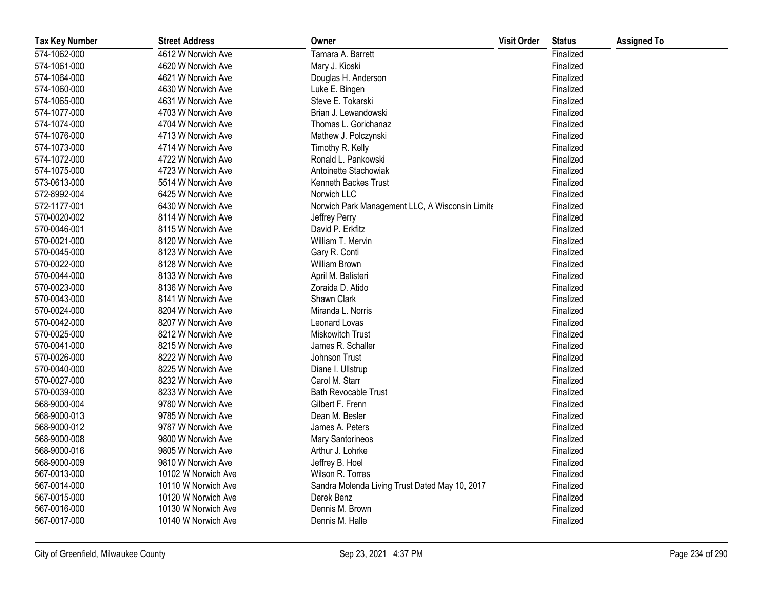| <b>Tax Key Number</b> | <b>Street Address</b> | Owner                                           | <b>Visit Order</b> | <b>Status</b> | <b>Assigned To</b> |
|-----------------------|-----------------------|-------------------------------------------------|--------------------|---------------|--------------------|
| 574-1062-000          | 4612 W Norwich Ave    | Tamara A. Barrett                               |                    | Finalized     |                    |
| 574-1061-000          | 4620 W Norwich Ave    | Mary J. Kioski                                  |                    | Finalized     |                    |
| 574-1064-000          | 4621 W Norwich Ave    | Douglas H. Anderson                             |                    | Finalized     |                    |
| 574-1060-000          | 4630 W Norwich Ave    | Luke E. Bingen                                  |                    | Finalized     |                    |
| 574-1065-000          | 4631 W Norwich Ave    | Steve E. Tokarski                               |                    | Finalized     |                    |
| 574-1077-000          | 4703 W Norwich Ave    | Brian J. Lewandowski                            |                    | Finalized     |                    |
| 574-1074-000          | 4704 W Norwich Ave    | Thomas L. Gorichanaz                            |                    | Finalized     |                    |
| 574-1076-000          | 4713 W Norwich Ave    | Mathew J. Polczynski                            |                    | Finalized     |                    |
| 574-1073-000          | 4714 W Norwich Ave    | Timothy R. Kelly                                |                    | Finalized     |                    |
| 574-1072-000          | 4722 W Norwich Ave    | Ronald L. Pankowski                             |                    | Finalized     |                    |
| 574-1075-000          | 4723 W Norwich Ave    | Antoinette Stachowiak                           |                    | Finalized     |                    |
| 573-0613-000          | 5514 W Norwich Ave    | Kenneth Backes Trust                            |                    | Finalized     |                    |
| 572-8992-004          | 6425 W Norwich Ave    | Norwich LLC                                     |                    | Finalized     |                    |
| 572-1177-001          | 6430 W Norwich Ave    | Norwich Park Management LLC, A Wisconsin Limite |                    | Finalized     |                    |
| 570-0020-002          | 8114 W Norwich Ave    | Jeffrey Perry                                   |                    | Finalized     |                    |
| 570-0046-001          | 8115 W Norwich Ave    | David P. Erkfitz                                |                    | Finalized     |                    |
| 570-0021-000          | 8120 W Norwich Ave    | William T. Mervin                               |                    | Finalized     |                    |
| 570-0045-000          | 8123 W Norwich Ave    | Gary R. Conti                                   |                    | Finalized     |                    |
| 570-0022-000          | 8128 W Norwich Ave    | William Brown                                   |                    | Finalized     |                    |
| 570-0044-000          | 8133 W Norwich Ave    | April M. Balisteri                              |                    | Finalized     |                    |
| 570-0023-000          | 8136 W Norwich Ave    | Zoraida D. Atido                                |                    | Finalized     |                    |
| 570-0043-000          | 8141 W Norwich Ave    | Shawn Clark                                     |                    | Finalized     |                    |
| 570-0024-000          | 8204 W Norwich Ave    | Miranda L. Norris                               |                    | Finalized     |                    |
| 570-0042-000          | 8207 W Norwich Ave    | Leonard Lovas                                   |                    | Finalized     |                    |
| 570-0025-000          | 8212 W Norwich Ave    | Miskowitch Trust                                |                    | Finalized     |                    |
| 570-0041-000          | 8215 W Norwich Ave    | James R. Schaller                               |                    | Finalized     |                    |
| 570-0026-000          | 8222 W Norwich Ave    | Johnson Trust                                   |                    | Finalized     |                    |
| 570-0040-000          | 8225 W Norwich Ave    | Diane I. Ullstrup                               |                    | Finalized     |                    |
| 570-0027-000          | 8232 W Norwich Ave    | Carol M. Starr                                  |                    | Finalized     |                    |
| 570-0039-000          | 8233 W Norwich Ave    | <b>Bath Revocable Trust</b>                     |                    | Finalized     |                    |
| 568-9000-004          | 9780 W Norwich Ave    | Gilbert F. Frenn                                |                    | Finalized     |                    |
| 568-9000-013          | 9785 W Norwich Ave    | Dean M. Besler                                  |                    | Finalized     |                    |
| 568-9000-012          | 9787 W Norwich Ave    | James A. Peters                                 |                    | Finalized     |                    |
| 568-9000-008          | 9800 W Norwich Ave    | Mary Santorineos                                |                    | Finalized     |                    |
| 568-9000-016          | 9805 W Norwich Ave    | Arthur J. Lohrke                                |                    | Finalized     |                    |
| 568-9000-009          | 9810 W Norwich Ave    | Jeffrey B. Hoel                                 |                    | Finalized     |                    |
| 567-0013-000          | 10102 W Norwich Ave   | Wilson R. Torres                                |                    | Finalized     |                    |
| 567-0014-000          | 10110 W Norwich Ave   | Sandra Molenda Living Trust Dated May 10, 2017  |                    | Finalized     |                    |
| 567-0015-000          | 10120 W Norwich Ave   | Derek Benz                                      |                    | Finalized     |                    |
| 567-0016-000          | 10130 W Norwich Ave   | Dennis M. Brown                                 |                    | Finalized     |                    |
| 567-0017-000          | 10140 W Norwich Ave   | Dennis M. Halle                                 |                    | Finalized     |                    |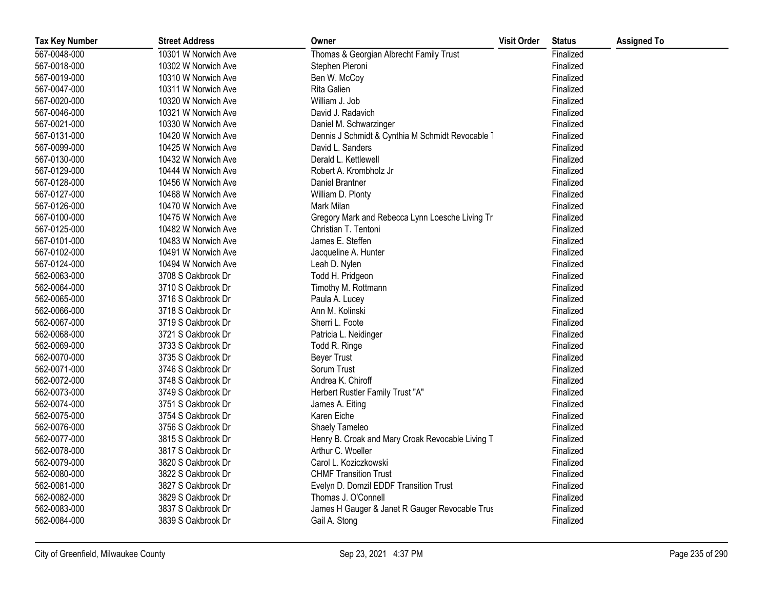| <b>Tax Key Number</b> | <b>Street Address</b> | Owner                                            | <b>Visit Order</b> | <b>Status</b> | <b>Assigned To</b> |
|-----------------------|-----------------------|--------------------------------------------------|--------------------|---------------|--------------------|
| 567-0048-000          | 10301 W Norwich Ave   | Thomas & Georgian Albrecht Family Trust          |                    | Finalized     |                    |
| 567-0018-000          | 10302 W Norwich Ave   | Stephen Pieroni                                  |                    | Finalized     |                    |
| 567-0019-000          | 10310 W Norwich Ave   | Ben W. McCoy                                     |                    | Finalized     |                    |
| 567-0047-000          | 10311 W Norwich Ave   | Rita Galien                                      |                    | Finalized     |                    |
| 567-0020-000          | 10320 W Norwich Ave   | William J. Job                                   |                    | Finalized     |                    |
| 567-0046-000          | 10321 W Norwich Ave   | David J. Radavich                                |                    | Finalized     |                    |
| 567-0021-000          | 10330 W Norwich Ave   | Daniel M. Schwarzinger                           |                    | Finalized     |                    |
| 567-0131-000          | 10420 W Norwich Ave   | Dennis J Schmidt & Cynthia M Schmidt Revocable 1 |                    | Finalized     |                    |
| 567-0099-000          | 10425 W Norwich Ave   | David L. Sanders                                 |                    | Finalized     |                    |
| 567-0130-000          | 10432 W Norwich Ave   | Derald L. Kettlewell                             |                    | Finalized     |                    |
| 567-0129-000          | 10444 W Norwich Ave   | Robert A. Krombholz Jr                           |                    | Finalized     |                    |
| 567-0128-000          | 10456 W Norwich Ave   | Daniel Brantner                                  |                    | Finalized     |                    |
| 567-0127-000          | 10468 W Norwich Ave   | William D. Plonty                                |                    | Finalized     |                    |
| 567-0126-000          | 10470 W Norwich Ave   | Mark Milan                                       |                    | Finalized     |                    |
| 567-0100-000          | 10475 W Norwich Ave   | Gregory Mark and Rebecca Lynn Loesche Living Tr  |                    | Finalized     |                    |
| 567-0125-000          | 10482 W Norwich Ave   | Christian T. Tentoni                             |                    | Finalized     |                    |
| 567-0101-000          | 10483 W Norwich Ave   | James E. Steffen                                 |                    | Finalized     |                    |
| 567-0102-000          | 10491 W Norwich Ave   | Jacqueline A. Hunter                             |                    | Finalized     |                    |
| 567-0124-000          | 10494 W Norwich Ave   | Leah D. Nylen                                    |                    | Finalized     |                    |
| 562-0063-000          | 3708 S Oakbrook Dr    | Todd H. Pridgeon                                 |                    | Finalized     |                    |
| 562-0064-000          | 3710 S Oakbrook Dr    | Timothy M. Rottmann                              |                    | Finalized     |                    |
| 562-0065-000          | 3716 S Oakbrook Dr    | Paula A. Lucey                                   |                    | Finalized     |                    |
| 562-0066-000          | 3718 S Oakbrook Dr    | Ann M. Kolinski                                  |                    | Finalized     |                    |
| 562-0067-000          | 3719 S Oakbrook Dr    | Sherri L. Foote                                  |                    | Finalized     |                    |
| 562-0068-000          | 3721 S Oakbrook Dr    | Patricia L. Neidinger                            |                    | Finalized     |                    |
| 562-0069-000          | 3733 S Oakbrook Dr    | Todd R. Ringe                                    |                    | Finalized     |                    |
| 562-0070-000          | 3735 S Oakbrook Dr    | <b>Beyer Trust</b>                               |                    | Finalized     |                    |
| 562-0071-000          | 3746 S Oakbrook Dr    | Sorum Trust                                      |                    | Finalized     |                    |
| 562-0072-000          | 3748 S Oakbrook Dr    | Andrea K. Chiroff                                |                    | Finalized     |                    |
| 562-0073-000          | 3749 S Oakbrook Dr    | Herbert Rustler Family Trust "A"                 |                    | Finalized     |                    |
| 562-0074-000          | 3751 S Oakbrook Dr    | James A. Eiting                                  |                    | Finalized     |                    |
| 562-0075-000          | 3754 S Oakbrook Dr    | Karen Eiche                                      |                    | Finalized     |                    |
| 562-0076-000          | 3756 S Oakbrook Dr    | Shaely Tameleo                                   |                    | Finalized     |                    |
| 562-0077-000          | 3815 S Oakbrook Dr    | Henry B. Croak and Mary Croak Revocable Living T |                    | Finalized     |                    |
| 562-0078-000          | 3817 S Oakbrook Dr    | Arthur C. Woeller                                |                    | Finalized     |                    |
| 562-0079-000          | 3820 S Oakbrook Dr    | Carol L. Koziczkowski                            |                    | Finalized     |                    |
| 562-0080-000          | 3822 S Oakbrook Dr    | <b>CHMF Transition Trust</b>                     |                    | Finalized     |                    |
| 562-0081-000          | 3827 S Oakbrook Dr    | Evelyn D. Domzil EDDF Transition Trust           |                    | Finalized     |                    |
| 562-0082-000          | 3829 S Oakbrook Dr    | Thomas J. O'Connell                              |                    | Finalized     |                    |
| 562-0083-000          | 3837 S Oakbrook Dr    | James H Gauger & Janet R Gauger Revocable Trus   |                    | Finalized     |                    |
| 562-0084-000          | 3839 S Oakbrook Dr    | Gail A. Stong                                    |                    | Finalized     |                    |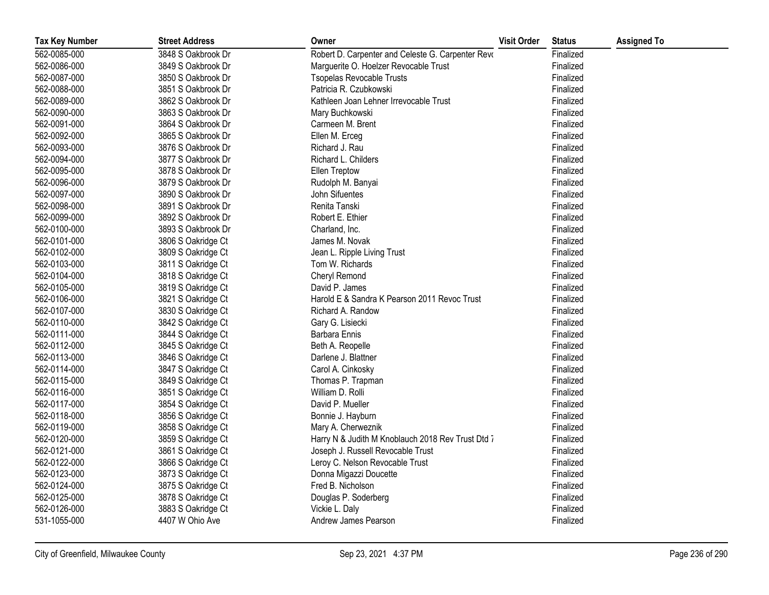| <b>Tax Key Number</b> | <b>Street Address</b> | Owner                                             | <b>Visit Order</b> | <b>Status</b> | <b>Assigned To</b> |
|-----------------------|-----------------------|---------------------------------------------------|--------------------|---------------|--------------------|
| 562-0085-000          | 3848 S Oakbrook Dr    | Robert D. Carpenter and Celeste G. Carpenter Revo |                    | Finalized     |                    |
| 562-0086-000          | 3849 S Oakbrook Dr    | Marguerite O. Hoelzer Revocable Trust             |                    | Finalized     |                    |
| 562-0087-000          | 3850 S Oakbrook Dr    | <b>Tsopelas Revocable Trusts</b>                  |                    | Finalized     |                    |
| 562-0088-000          | 3851 S Oakbrook Dr    | Patricia R. Czubkowski                            |                    | Finalized     |                    |
| 562-0089-000          | 3862 S Oakbrook Dr    | Kathleen Joan Lehner Irrevocable Trust            |                    | Finalized     |                    |
| 562-0090-000          | 3863 S Oakbrook Dr    | Mary Buchkowski                                   |                    | Finalized     |                    |
| 562-0091-000          | 3864 S Oakbrook Dr    | Carmeen M. Brent                                  |                    | Finalized     |                    |
| 562-0092-000          | 3865 S Oakbrook Dr    | Ellen M. Erceg                                    |                    | Finalized     |                    |
| 562-0093-000          | 3876 S Oakbrook Dr    | Richard J. Rau                                    |                    | Finalized     |                    |
| 562-0094-000          | 3877 S Oakbrook Dr    | Richard L. Childers                               |                    | Finalized     |                    |
| 562-0095-000          | 3878 S Oakbrook Dr    | Ellen Treptow                                     |                    | Finalized     |                    |
| 562-0096-000          | 3879 S Oakbrook Dr    | Rudolph M. Banyai                                 |                    | Finalized     |                    |
| 562-0097-000          | 3890 S Oakbrook Dr    | John Sifuentes                                    |                    | Finalized     |                    |
| 562-0098-000          | 3891 S Oakbrook Dr    | Renita Tanski                                     |                    | Finalized     |                    |
| 562-0099-000          | 3892 S Oakbrook Dr    | Robert E. Ethier                                  |                    | Finalized     |                    |
| 562-0100-000          | 3893 S Oakbrook Dr    | Charland, Inc.                                    |                    | Finalized     |                    |
| 562-0101-000          | 3806 S Oakridge Ct    | James M. Novak                                    |                    | Finalized     |                    |
| 562-0102-000          | 3809 S Oakridge Ct    | Jean L. Ripple Living Trust                       |                    | Finalized     |                    |
| 562-0103-000          | 3811 S Oakridge Ct    | Tom W. Richards                                   |                    | Finalized     |                    |
| 562-0104-000          | 3818 S Oakridge Ct    | Cheryl Remond                                     |                    | Finalized     |                    |
| 562-0105-000          | 3819 S Oakridge Ct    | David P. James                                    |                    | Finalized     |                    |
| 562-0106-000          | 3821 S Oakridge Ct    | Harold E & Sandra K Pearson 2011 Revoc Trust      |                    | Finalized     |                    |
| 562-0107-000          | 3830 S Oakridge Ct    | Richard A. Randow                                 |                    | Finalized     |                    |
| 562-0110-000          | 3842 S Oakridge Ct    | Gary G. Lisiecki                                  |                    | Finalized     |                    |
| 562-0111-000          | 3844 S Oakridge Ct    | Barbara Ennis                                     |                    | Finalized     |                    |
| 562-0112-000          | 3845 S Oakridge Ct    | Beth A. Reopelle                                  |                    | Finalized     |                    |
| 562-0113-000          | 3846 S Oakridge Ct    | Darlene J. Blattner                               |                    | Finalized     |                    |
| 562-0114-000          | 3847 S Oakridge Ct    | Carol A. Cinkosky                                 |                    | Finalized     |                    |
| 562-0115-000          | 3849 S Oakridge Ct    | Thomas P. Trapman                                 |                    | Finalized     |                    |
| 562-0116-000          | 3851 S Oakridge Ct    | William D. Rolli                                  |                    | Finalized     |                    |
| 562-0117-000          | 3854 S Oakridge Ct    | David P. Mueller                                  |                    | Finalized     |                    |
| 562-0118-000          | 3856 S Oakridge Ct    | Bonnie J. Hayburn                                 |                    | Finalized     |                    |
| 562-0119-000          | 3858 S Oakridge Ct    | Mary A. Cherweznik                                |                    | Finalized     |                    |
| 562-0120-000          | 3859 S Oakridge Ct    | Harry N & Judith M Knoblauch 2018 Rev Trust Dtd 7 |                    | Finalized     |                    |
| 562-0121-000          | 3861 S Oakridge Ct    | Joseph J. Russell Revocable Trust                 |                    | Finalized     |                    |
| 562-0122-000          | 3866 S Oakridge Ct    | Leroy C. Nelson Revocable Trust                   |                    | Finalized     |                    |
| 562-0123-000          | 3873 S Oakridge Ct    | Donna Migazzi Doucette                            |                    | Finalized     |                    |
| 562-0124-000          | 3875 S Oakridge Ct    | Fred B. Nicholson                                 |                    | Finalized     |                    |
| 562-0125-000          | 3878 S Oakridge Ct    | Douglas P. Soderberg                              |                    | Finalized     |                    |
| 562-0126-000          | 3883 S Oakridge Ct    | Vickie L. Daly                                    |                    | Finalized     |                    |
| 531-1055-000          | 4407 W Ohio Ave       | Andrew James Pearson                              |                    | Finalized     |                    |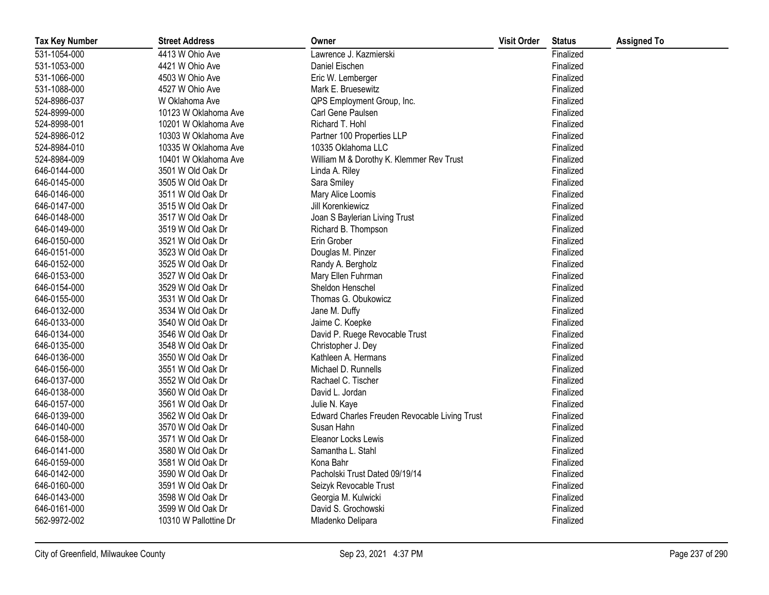| <b>Tax Key Number</b> | <b>Street Address</b> | Owner                                         | <b>Visit Order</b> | <b>Status</b> | <b>Assigned To</b> |
|-----------------------|-----------------------|-----------------------------------------------|--------------------|---------------|--------------------|
| 531-1054-000          | 4413 W Ohio Ave       | Lawrence J. Kazmierski                        |                    | Finalized     |                    |
| 531-1053-000          | 4421 W Ohio Ave       | Daniel Eischen                                |                    | Finalized     |                    |
| 531-1066-000          | 4503 W Ohio Ave       | Eric W. Lemberger                             |                    | Finalized     |                    |
| 531-1088-000          | 4527 W Ohio Ave       | Mark E. Bruesewitz                            |                    | Finalized     |                    |
| 524-8986-037          | W Oklahoma Ave        | QPS Employment Group, Inc.                    |                    | Finalized     |                    |
| 524-8999-000          | 10123 W Oklahoma Ave  | Carl Gene Paulsen                             |                    | Finalized     |                    |
| 524-8998-001          | 10201 W Oklahoma Ave  | Richard T. Hohl                               |                    | Finalized     |                    |
| 524-8986-012          | 10303 W Oklahoma Ave  | Partner 100 Properties LLP                    |                    | Finalized     |                    |
| 524-8984-010          | 10335 W Oklahoma Ave  | 10335 Oklahoma LLC                            |                    | Finalized     |                    |
| 524-8984-009          | 10401 W Oklahoma Ave  | William M & Dorothy K. Klemmer Rev Trust      |                    | Finalized     |                    |
| 646-0144-000          | 3501 W Old Oak Dr     | Linda A. Riley                                |                    | Finalized     |                    |
| 646-0145-000          | 3505 W Old Oak Dr     | Sara Smiley                                   |                    | Finalized     |                    |
| 646-0146-000          | 3511 W Old Oak Dr     | Mary Alice Loomis                             |                    | Finalized     |                    |
| 646-0147-000          | 3515 W Old Oak Dr     | Jill Korenkiewicz                             |                    | Finalized     |                    |
| 646-0148-000          | 3517 W Old Oak Dr     | Joan S Baylerian Living Trust                 |                    | Finalized     |                    |
| 646-0149-000          | 3519 W Old Oak Dr     | Richard B. Thompson                           |                    | Finalized     |                    |
| 646-0150-000          | 3521 W Old Oak Dr     | Erin Grober                                   |                    | Finalized     |                    |
| 646-0151-000          | 3523 W Old Oak Dr     | Douglas M. Pinzer                             |                    | Finalized     |                    |
| 646-0152-000          | 3525 W Old Oak Dr     | Randy A. Bergholz                             |                    | Finalized     |                    |
| 646-0153-000          | 3527 W Old Oak Dr     | Mary Ellen Fuhrman                            |                    | Finalized     |                    |
| 646-0154-000          | 3529 W Old Oak Dr     | Sheldon Henschel                              |                    | Finalized     |                    |
| 646-0155-000          | 3531 W Old Oak Dr     | Thomas G. Obukowicz                           |                    | Finalized     |                    |
| 646-0132-000          | 3534 W Old Oak Dr     | Jane M. Duffy                                 |                    | Finalized     |                    |
| 646-0133-000          | 3540 W Old Oak Dr     | Jaime C. Koepke                               |                    | Finalized     |                    |
| 646-0134-000          | 3546 W Old Oak Dr     | David P. Ruege Revocable Trust                |                    | Finalized     |                    |
| 646-0135-000          | 3548 W Old Oak Dr     | Christopher J. Dey                            |                    | Finalized     |                    |
| 646-0136-000          | 3550 W Old Oak Dr     | Kathleen A. Hermans                           |                    | Finalized     |                    |
| 646-0156-000          | 3551 W Old Oak Dr     | Michael D. Runnells                           |                    | Finalized     |                    |
| 646-0137-000          | 3552 W Old Oak Dr     | Rachael C. Tischer                            |                    | Finalized     |                    |
| 646-0138-000          | 3560 W Old Oak Dr     | David L. Jordan                               |                    | Finalized     |                    |
| 646-0157-000          | 3561 W Old Oak Dr     | Julie N. Kaye                                 |                    | Finalized     |                    |
| 646-0139-000          | 3562 W Old Oak Dr     | Edward Charles Freuden Revocable Living Trust |                    | Finalized     |                    |
| 646-0140-000          | 3570 W Old Oak Dr     | Susan Hahn                                    |                    | Finalized     |                    |
| 646-0158-000          | 3571 W Old Oak Dr     | Eleanor Locks Lewis                           |                    | Finalized     |                    |
| 646-0141-000          | 3580 W Old Oak Dr     | Samantha L. Stahl                             |                    | Finalized     |                    |
| 646-0159-000          | 3581 W Old Oak Dr     | Kona Bahr                                     |                    | Finalized     |                    |
| 646-0142-000          | 3590 W Old Oak Dr     | Pacholski Trust Dated 09/19/14                |                    | Finalized     |                    |
| 646-0160-000          | 3591 W Old Oak Dr     | Seizyk Revocable Trust                        |                    | Finalized     |                    |
| 646-0143-000          | 3598 W Old Oak Dr     | Georgia M. Kulwicki                           |                    | Finalized     |                    |
| 646-0161-000          | 3599 W Old Oak Dr     | David S. Grochowski                           |                    | Finalized     |                    |
| 562-9972-002          | 10310 W Pallottine Dr | Mladenko Delipara                             |                    | Finalized     |                    |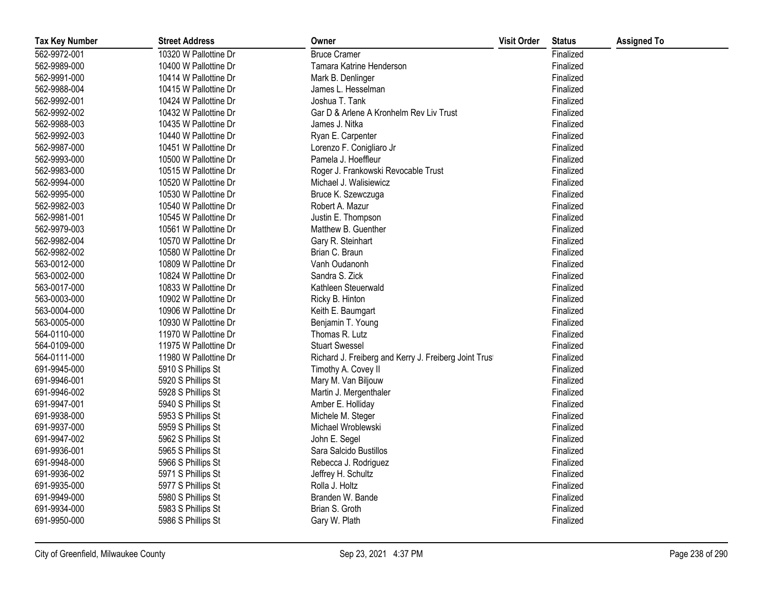| <b>Tax Key Number</b> | <b>Street Address</b> | Owner                                                 | <b>Visit Order</b> | <b>Status</b> | <b>Assigned To</b> |
|-----------------------|-----------------------|-------------------------------------------------------|--------------------|---------------|--------------------|
| 562-9972-001          | 10320 W Pallottine Dr | <b>Bruce Cramer</b>                                   |                    | Finalized     |                    |
| 562-9989-000          | 10400 W Pallottine Dr | Tamara Katrine Henderson                              |                    | Finalized     |                    |
| 562-9991-000          | 10414 W Pallottine Dr | Mark B. Denlinger                                     |                    | Finalized     |                    |
| 562-9988-004          | 10415 W Pallottine Dr | James L. Hesselman                                    |                    | Finalized     |                    |
| 562-9992-001          | 10424 W Pallottine Dr | Joshua T. Tank                                        |                    | Finalized     |                    |
| 562-9992-002          | 10432 W Pallottine Dr | Gar D & Arlene A Kronhelm Rev Liv Trust               |                    | Finalized     |                    |
| 562-9988-003          | 10435 W Pallottine Dr | James J. Nitka                                        |                    | Finalized     |                    |
| 562-9992-003          | 10440 W Pallottine Dr | Ryan E. Carpenter                                     |                    | Finalized     |                    |
| 562-9987-000          | 10451 W Pallottine Dr | Lorenzo F. Conigliaro Jr                              |                    | Finalized     |                    |
| 562-9993-000          | 10500 W Pallottine Dr | Pamela J. Hoeffleur                                   |                    | Finalized     |                    |
| 562-9983-000          | 10515 W Pallottine Dr | Roger J. Frankowski Revocable Trust                   |                    | Finalized     |                    |
| 562-9994-000          | 10520 W Pallottine Dr | Michael J. Walisiewicz                                |                    | Finalized     |                    |
| 562-9995-000          | 10530 W Pallottine Dr | Bruce K. Szewczuga                                    |                    | Finalized     |                    |
| 562-9982-003          | 10540 W Pallottine Dr | Robert A. Mazur                                       |                    | Finalized     |                    |
| 562-9981-001          | 10545 W Pallottine Dr | Justin E. Thompson                                    |                    | Finalized     |                    |
| 562-9979-003          | 10561 W Pallottine Dr | Matthew B. Guenther                                   |                    | Finalized     |                    |
| 562-9982-004          | 10570 W Pallottine Dr | Gary R. Steinhart                                     |                    | Finalized     |                    |
| 562-9982-002          | 10580 W Pallottine Dr | Brian C. Braun                                        |                    | Finalized     |                    |
| 563-0012-000          | 10809 W Pallottine Dr | Vanh Oudanonh                                         |                    | Finalized     |                    |
| 563-0002-000          | 10824 W Pallottine Dr | Sandra S. Zick                                        |                    | Finalized     |                    |
| 563-0017-000          | 10833 W Pallottine Dr | Kathleen Steuerwald                                   |                    | Finalized     |                    |
| 563-0003-000          | 10902 W Pallottine Dr | Ricky B. Hinton                                       |                    | Finalized     |                    |
| 563-0004-000          | 10906 W Pallottine Dr | Keith E. Baumgart                                     |                    | Finalized     |                    |
| 563-0005-000          | 10930 W Pallottine Dr | Benjamin T. Young                                     |                    | Finalized     |                    |
| 564-0110-000          | 11970 W Pallottine Dr | Thomas R. Lutz                                        |                    | Finalized     |                    |
| 564-0109-000          | 11975 W Pallottine Dr | <b>Stuart Swessel</b>                                 |                    | Finalized     |                    |
| 564-0111-000          | 11980 W Pallottine Dr | Richard J. Freiberg and Kerry J. Freiberg Joint Trust |                    | Finalized     |                    |
| 691-9945-000          | 5910 S Phillips St    | Timothy A. Covey II                                   |                    | Finalized     |                    |
| 691-9946-001          | 5920 S Phillips St    | Mary M. Van Biljouw                                   |                    | Finalized     |                    |
| 691-9946-002          | 5928 S Phillips St    | Martin J. Mergenthaler                                |                    | Finalized     |                    |
| 691-9947-001          | 5940 S Phillips St    | Amber E. Holliday                                     |                    | Finalized     |                    |
| 691-9938-000          | 5953 S Phillips St    | Michele M. Steger                                     |                    | Finalized     |                    |
| 691-9937-000          | 5959 S Phillips St    | Michael Wroblewski                                    |                    | Finalized     |                    |
| 691-9947-002          | 5962 S Phillips St    | John E. Segel                                         |                    | Finalized     |                    |
| 691-9936-001          | 5965 S Phillips St    | Sara Salcido Bustillos                                |                    | Finalized     |                    |
| 691-9948-000          | 5966 S Phillips St    | Rebecca J. Rodriguez                                  |                    | Finalized     |                    |
| 691-9936-002          | 5971 S Phillips St    | Jeffrey H. Schultz                                    |                    | Finalized     |                    |
| 691-9935-000          | 5977 S Phillips St    | Rolla J. Holtz                                        |                    | Finalized     |                    |
| 691-9949-000          | 5980 S Phillips St    | Branden W. Bande                                      |                    | Finalized     |                    |
| 691-9934-000          | 5983 S Phillips St    | Brian S. Groth                                        |                    | Finalized     |                    |
| 691-9950-000          | 5986 S Phillips St    | Gary W. Plath                                         |                    | Finalized     |                    |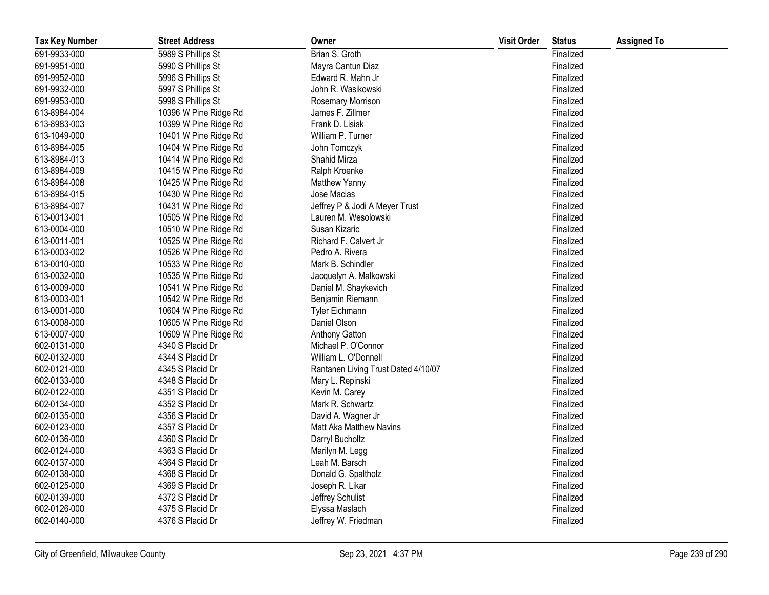| <b>Tax Key Number</b> | <b>Street Address</b> | Owner                               | <b>Visit Order</b> | <b>Status</b> | <b>Assigned To</b> |
|-----------------------|-----------------------|-------------------------------------|--------------------|---------------|--------------------|
| 691-9933-000          | 5989 S Phillips St    | Brian S. Groth                      |                    | Finalized     |                    |
| 691-9951-000          | 5990 S Phillips St    | Mayra Cantun Diaz                   |                    | Finalized     |                    |
| 691-9952-000          | 5996 S Phillips St    | Edward R. Mahn Jr                   |                    | Finalized     |                    |
| 691-9932-000          | 5997 S Phillips St    | John R. Wasikowski                  |                    | Finalized     |                    |
| 691-9953-000          | 5998 S Phillips St    | <b>Rosemary Morrison</b>            |                    | Finalized     |                    |
| 613-8984-004          | 10396 W Pine Ridge Rd | James F. Zillmer                    |                    | Finalized     |                    |
| 613-8983-003          | 10399 W Pine Ridge Rd | Frank D. Lisiak                     |                    | Finalized     |                    |
| 613-1049-000          | 10401 W Pine Ridge Rd | William P. Turner                   |                    | Finalized     |                    |
| 613-8984-005          | 10404 W Pine Ridge Rd | John Tomczyk                        |                    | Finalized     |                    |
| 613-8984-013          | 10414 W Pine Ridge Rd | Shahid Mirza                        |                    | Finalized     |                    |
| 613-8984-009          | 10415 W Pine Ridge Rd | Ralph Kroenke                       |                    | Finalized     |                    |
| 613-8984-008          | 10425 W Pine Ridge Rd | Matthew Yanny                       |                    | Finalized     |                    |
| 613-8984-015          | 10430 W Pine Ridge Rd | Jose Macias                         |                    | Finalized     |                    |
| 613-8984-007          | 10431 W Pine Ridge Rd | Jeffrey P & Jodi A Meyer Trust      |                    | Finalized     |                    |
| 613-0013-001          | 10505 W Pine Ridge Rd | Lauren M. Wesolowski                |                    | Finalized     |                    |
| 613-0004-000          | 10510 W Pine Ridge Rd | Susan Kizaric                       |                    | Finalized     |                    |
| 613-0011-001          | 10525 W Pine Ridge Rd | Richard F. Calvert Jr               |                    | Finalized     |                    |
| 613-0003-002          | 10526 W Pine Ridge Rd | Pedro A. Rivera                     |                    | Finalized     |                    |
| 613-0010-000          | 10533 W Pine Ridge Rd | Mark B. Schindler                   |                    | Finalized     |                    |
| 613-0032-000          | 10535 W Pine Ridge Rd | Jacquelyn A. Malkowski              |                    | Finalized     |                    |
| 613-0009-000          | 10541 W Pine Ridge Rd | Daniel M. Shaykevich                |                    | Finalized     |                    |
| 613-0003-001          | 10542 W Pine Ridge Rd | Benjamin Riemann                    |                    | Finalized     |                    |
| 613-0001-000          | 10604 W Pine Ridge Rd | Tyler Eichmann                      |                    | Finalized     |                    |
| 613-0008-000          | 10605 W Pine Ridge Rd | Daniel Olson                        |                    | Finalized     |                    |
| 613-0007-000          | 10609 W Pine Ridge Rd | Anthony Gatton                      |                    | Finalized     |                    |
| 602-0131-000          | 4340 S Placid Dr      | Michael P. O'Connor                 |                    | Finalized     |                    |
| 602-0132-000          | 4344 S Placid Dr      | William L. O'Donnell                |                    | Finalized     |                    |
| 602-0121-000          | 4345 S Placid Dr      | Rantanen Living Trust Dated 4/10/07 |                    | Finalized     |                    |
| 602-0133-000          | 4348 S Placid Dr      | Mary L. Repinski                    |                    | Finalized     |                    |
| 602-0122-000          | 4351 S Placid Dr      | Kevin M. Carey                      |                    | Finalized     |                    |
| 602-0134-000          | 4352 S Placid Dr      | Mark R. Schwartz                    |                    | Finalized     |                    |
| 602-0135-000          | 4356 S Placid Dr      | David A. Wagner Jr                  |                    | Finalized     |                    |
| 602-0123-000          | 4357 S Placid Dr      | <b>Matt Aka Matthew Navins</b>      |                    | Finalized     |                    |
| 602-0136-000          | 4360 S Placid Dr      | Darryl Bucholtz                     |                    | Finalized     |                    |
| 602-0124-000          | 4363 S Placid Dr      | Marilyn M. Legg                     |                    | Finalized     |                    |
| 602-0137-000          | 4364 S Placid Dr      | Leah M. Barsch                      |                    | Finalized     |                    |
| 602-0138-000          | 4368 S Placid Dr      | Donald G. Spaltholz                 |                    | Finalized     |                    |
| 602-0125-000          | 4369 S Placid Dr      | Joseph R. Likar                     |                    | Finalized     |                    |
| 602-0139-000          | 4372 S Placid Dr      | Jeffrey Schulist                    |                    | Finalized     |                    |
| 602-0126-000          | 4375 S Placid Dr      | Elyssa Maslach                      |                    | Finalized     |                    |
| 602-0140-000          | 4376 S Placid Dr      | Jeffrey W. Friedman                 |                    | Finalized     |                    |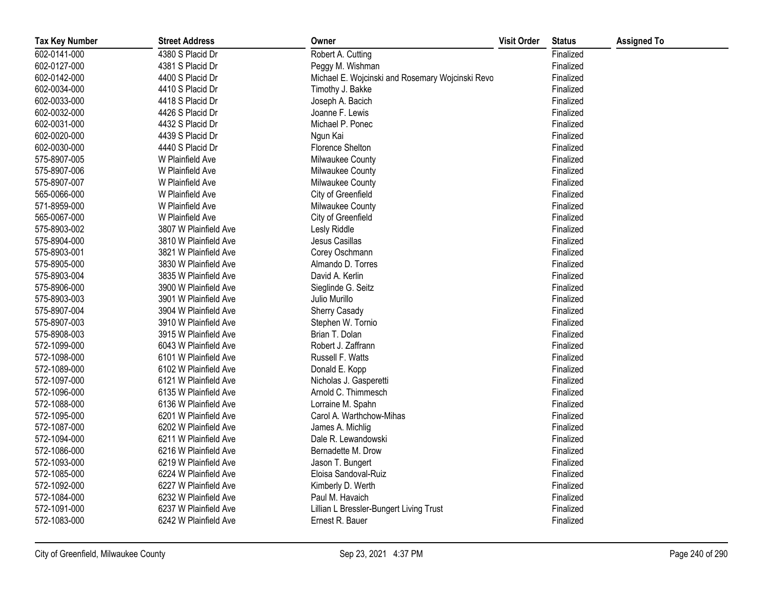| <b>Tax Key Number</b> | <b>Street Address</b> | Owner                                            | <b>Visit Order</b> | <b>Status</b> | <b>Assigned To</b> |
|-----------------------|-----------------------|--------------------------------------------------|--------------------|---------------|--------------------|
| 602-0141-000          | 4380 S Placid Dr      | Robert A. Cutting                                |                    | Finalized     |                    |
| 602-0127-000          | 4381 S Placid Dr      | Peggy M. Wishman                                 |                    | Finalized     |                    |
| 602-0142-000          | 4400 S Placid Dr      | Michael E. Wojcinski and Rosemary Wojcinski Revo |                    | Finalized     |                    |
| 602-0034-000          | 4410 S Placid Dr      | Timothy J. Bakke                                 |                    | Finalized     |                    |
| 602-0033-000          | 4418 S Placid Dr      | Joseph A. Bacich                                 |                    | Finalized     |                    |
| 602-0032-000          | 4426 S Placid Dr      | Joanne F. Lewis                                  |                    | Finalized     |                    |
| 602-0031-000          | 4432 S Placid Dr      | Michael P. Ponec                                 |                    | Finalized     |                    |
| 602-0020-000          | 4439 S Placid Dr      | Ngun Kai                                         |                    | Finalized     |                    |
| 602-0030-000          | 4440 S Placid Dr      | Florence Shelton                                 |                    | Finalized     |                    |
| 575-8907-005          | W Plainfield Ave      | Milwaukee County                                 |                    | Finalized     |                    |
| 575-8907-006          | W Plainfield Ave      | Milwaukee County                                 |                    | Finalized     |                    |
| 575-8907-007          | W Plainfield Ave      | Milwaukee County                                 |                    | Finalized     |                    |
| 565-0066-000          | W Plainfield Ave      | City of Greenfield                               |                    | Finalized     |                    |
| 571-8959-000          | W Plainfield Ave      | Milwaukee County                                 |                    | Finalized     |                    |
| 565-0067-000          | W Plainfield Ave      | City of Greenfield                               |                    | Finalized     |                    |
| 575-8903-002          | 3807 W Plainfield Ave | Lesly Riddle                                     |                    | Finalized     |                    |
| 575-8904-000          | 3810 W Plainfield Ave | Jesus Casillas                                   |                    | Finalized     |                    |
| 575-8903-001          | 3821 W Plainfield Ave | Corey Oschmann                                   |                    | Finalized     |                    |
| 575-8905-000          | 3830 W Plainfield Ave | Almando D. Torres                                |                    | Finalized     |                    |
| 575-8903-004          | 3835 W Plainfield Ave | David A. Kerlin                                  |                    | Finalized     |                    |
| 575-8906-000          | 3900 W Plainfield Ave | Sieglinde G. Seitz                               |                    | Finalized     |                    |
| 575-8903-003          | 3901 W Plainfield Ave | Julio Murillo                                    |                    | Finalized     |                    |
| 575-8907-004          | 3904 W Plainfield Ave | Sherry Casady                                    |                    | Finalized     |                    |
| 575-8907-003          | 3910 W Plainfield Ave | Stephen W. Tornio                                |                    | Finalized     |                    |
| 575-8908-003          | 3915 W Plainfield Ave | Brian T. Dolan                                   |                    | Finalized     |                    |
| 572-1099-000          | 6043 W Plainfield Ave | Robert J. Zaffrann                               |                    | Finalized     |                    |
| 572-1098-000          | 6101 W Plainfield Ave | Russell F. Watts                                 |                    | Finalized     |                    |
| 572-1089-000          | 6102 W Plainfield Ave | Donald E. Kopp                                   |                    | Finalized     |                    |
| 572-1097-000          | 6121 W Plainfield Ave | Nicholas J. Gasperetti                           |                    | Finalized     |                    |
| 572-1096-000          | 6135 W Plainfield Ave | Arnold C. Thimmesch                              |                    | Finalized     |                    |
| 572-1088-000          | 6136 W Plainfield Ave | Lorraine M. Spahn                                |                    | Finalized     |                    |
| 572-1095-000          | 6201 W Plainfield Ave | Carol A. Warthchow-Mihas                         |                    | Finalized     |                    |
| 572-1087-000          | 6202 W Plainfield Ave | James A. Michlig                                 |                    | Finalized     |                    |
| 572-1094-000          | 6211 W Plainfield Ave | Dale R. Lewandowski                              |                    | Finalized     |                    |
| 572-1086-000          | 6216 W Plainfield Ave | Bernadette M. Drow                               |                    | Finalized     |                    |
| 572-1093-000          | 6219 W Plainfield Ave | Jason T. Bungert                                 |                    | Finalized     |                    |
| 572-1085-000          | 6224 W Plainfield Ave | Eloisa Sandoval-Ruiz                             |                    | Finalized     |                    |
| 572-1092-000          | 6227 W Plainfield Ave | Kimberly D. Werth                                |                    | Finalized     |                    |
| 572-1084-000          | 6232 W Plainfield Ave | Paul M. Havaich                                  |                    | Finalized     |                    |
| 572-1091-000          | 6237 W Plainfield Ave | Lillian L Bressler-Bungert Living Trust          |                    | Finalized     |                    |
| 572-1083-000          | 6242 W Plainfield Ave | Ernest R. Bauer                                  |                    | Finalized     |                    |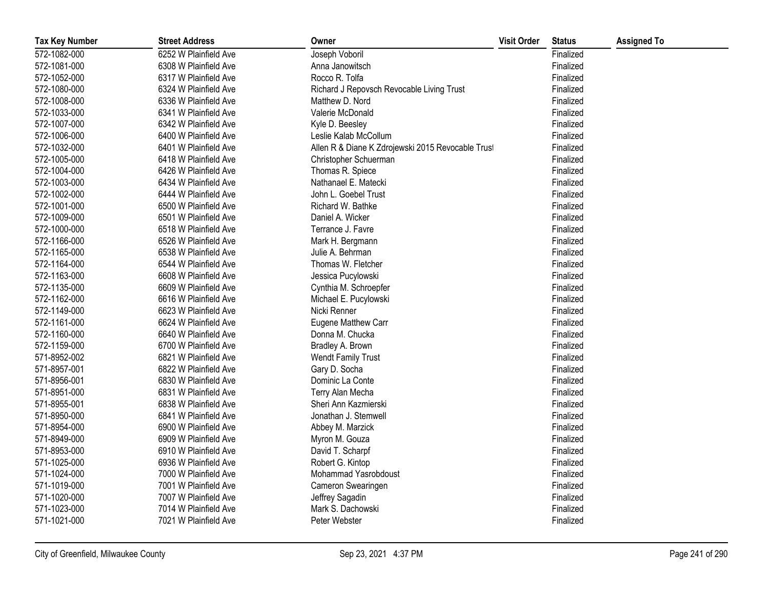| <b>Tax Key Number</b> | <b>Street Address</b> | Owner                                             | <b>Visit Order</b> | <b>Status</b> | <b>Assigned To</b> |
|-----------------------|-----------------------|---------------------------------------------------|--------------------|---------------|--------------------|
| 572-1082-000          | 6252 W Plainfield Ave | Joseph Voboril                                    |                    | Finalized     |                    |
| 572-1081-000          | 6308 W Plainfield Ave | Anna Janowitsch                                   |                    | Finalized     |                    |
| 572-1052-000          | 6317 W Plainfield Ave | Rocco R. Tolfa                                    |                    | Finalized     |                    |
| 572-1080-000          | 6324 W Plainfield Ave | Richard J Repovsch Revocable Living Trust         |                    | Finalized     |                    |
| 572-1008-000          | 6336 W Plainfield Ave | Matthew D. Nord                                   |                    | Finalized     |                    |
| 572-1033-000          | 6341 W Plainfield Ave | Valerie McDonald                                  |                    | Finalized     |                    |
| 572-1007-000          | 6342 W Plainfield Ave | Kyle D. Beesley                                   |                    | Finalized     |                    |
| 572-1006-000          | 6400 W Plainfield Ave | Leslie Kalab McCollum                             |                    | Finalized     |                    |
| 572-1032-000          | 6401 W Plainfield Ave | Allen R & Diane K Zdrojewski 2015 Revocable Trust |                    | Finalized     |                    |
| 572-1005-000          | 6418 W Plainfield Ave | Christopher Schuerman                             |                    | Finalized     |                    |
| 572-1004-000          | 6426 W Plainfield Ave | Thomas R. Spiece                                  |                    | Finalized     |                    |
| 572-1003-000          | 6434 W Plainfield Ave | Nathanael E. Matecki                              |                    | Finalized     |                    |
| 572-1002-000          | 6444 W Plainfield Ave | John L. Goebel Trust                              |                    | Finalized     |                    |
| 572-1001-000          | 6500 W Plainfield Ave | Richard W. Bathke                                 |                    | Finalized     |                    |
| 572-1009-000          | 6501 W Plainfield Ave | Daniel A. Wicker                                  |                    | Finalized     |                    |
| 572-1000-000          | 6518 W Plainfield Ave | Terrance J. Favre                                 |                    | Finalized     |                    |
| 572-1166-000          | 6526 W Plainfield Ave | Mark H. Bergmann                                  |                    | Finalized     |                    |
| 572-1165-000          | 6538 W Plainfield Ave | Julie A. Behrman                                  |                    | Finalized     |                    |
| 572-1164-000          | 6544 W Plainfield Ave | Thomas W. Fletcher                                |                    | Finalized     |                    |
| 572-1163-000          | 6608 W Plainfield Ave | Jessica Pucylowski                                |                    | Finalized     |                    |
| 572-1135-000          | 6609 W Plainfield Ave | Cynthia M. Schroepfer                             |                    | Finalized     |                    |
| 572-1162-000          | 6616 W Plainfield Ave | Michael E. Pucylowski                             |                    | Finalized     |                    |
| 572-1149-000          | 6623 W Plainfield Ave | Nicki Renner                                      |                    | Finalized     |                    |
| 572-1161-000          | 6624 W Plainfield Ave | Eugene Matthew Carr                               |                    | Finalized     |                    |
| 572-1160-000          | 6640 W Plainfield Ave | Donna M. Chucka                                   |                    | Finalized     |                    |
| 572-1159-000          | 6700 W Plainfield Ave | Bradley A. Brown                                  |                    | Finalized     |                    |
| 571-8952-002          | 6821 W Plainfield Ave | <b>Wendt Family Trust</b>                         |                    | Finalized     |                    |
| 571-8957-001          | 6822 W Plainfield Ave | Gary D. Socha                                     |                    | Finalized     |                    |
| 571-8956-001          | 6830 W Plainfield Ave | Dominic La Conte                                  |                    | Finalized     |                    |
| 571-8951-000          | 6831 W Plainfield Ave | Terry Alan Mecha                                  |                    | Finalized     |                    |
| 571-8955-001          | 6838 W Plainfield Ave | Sheri Ann Kazmierski                              |                    | Finalized     |                    |
| 571-8950-000          | 6841 W Plainfield Ave | Jonathan J. Stemwell                              |                    | Finalized     |                    |
| 571-8954-000          | 6900 W Plainfield Ave | Abbey M. Marzick                                  |                    | Finalized     |                    |
| 571-8949-000          | 6909 W Plainfield Ave | Myron M. Gouza                                    |                    | Finalized     |                    |
| 571-8953-000          | 6910 W Plainfield Ave | David T. Scharpf                                  |                    | Finalized     |                    |
| 571-1025-000          | 6936 W Plainfield Ave | Robert G. Kintop                                  |                    | Finalized     |                    |
| 571-1024-000          | 7000 W Plainfield Ave | Mohammad Yasrobdoust                              |                    | Finalized     |                    |
| 571-1019-000          | 7001 W Plainfield Ave | Cameron Swearingen                                |                    | Finalized     |                    |
| 571-1020-000          | 7007 W Plainfield Ave | Jeffrey Sagadin                                   |                    | Finalized     |                    |
| 571-1023-000          | 7014 W Plainfield Ave | Mark S. Dachowski                                 |                    | Finalized     |                    |
| 571-1021-000          | 7021 W Plainfield Ave | Peter Webster                                     |                    | Finalized     |                    |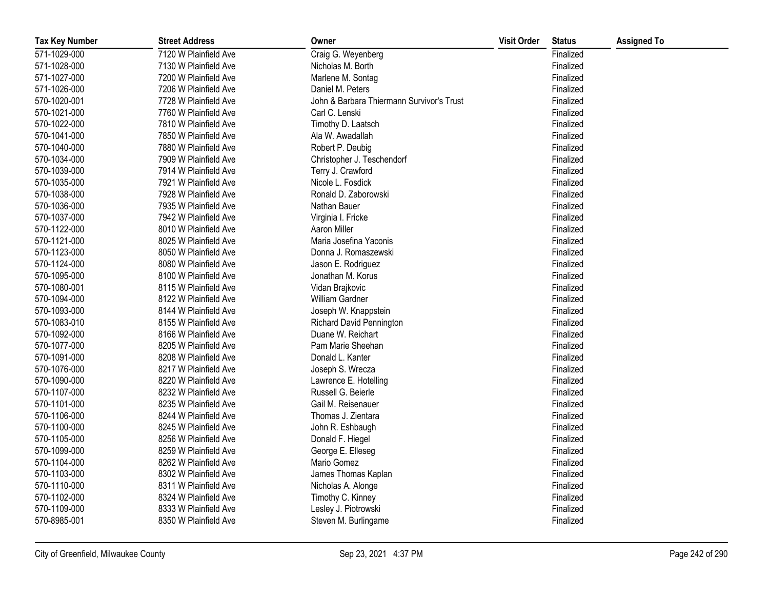| <b>Tax Key Number</b> | <b>Street Address</b> | Owner                                     | <b>Visit Order</b> | <b>Status</b> | <b>Assigned To</b> |
|-----------------------|-----------------------|-------------------------------------------|--------------------|---------------|--------------------|
| 571-1029-000          | 7120 W Plainfield Ave | Craig G. Weyenberg                        |                    | Finalized     |                    |
| 571-1028-000          | 7130 W Plainfield Ave | Nicholas M. Borth                         |                    | Finalized     |                    |
| 571-1027-000          | 7200 W Plainfield Ave | Marlene M. Sontag                         |                    | Finalized     |                    |
| 571-1026-000          | 7206 W Plainfield Ave | Daniel M. Peters                          |                    | Finalized     |                    |
| 570-1020-001          | 7728 W Plainfield Ave | John & Barbara Thiermann Survivor's Trust |                    | Finalized     |                    |
| 570-1021-000          | 7760 W Plainfield Ave | Carl C. Lenski                            |                    | Finalized     |                    |
| 570-1022-000          | 7810 W Plainfield Ave | Timothy D. Laatsch                        |                    | Finalized     |                    |
| 570-1041-000          | 7850 W Plainfield Ave | Ala W. Awadallah                          |                    | Finalized     |                    |
| 570-1040-000          | 7880 W Plainfield Ave | Robert P. Deubig                          |                    | Finalized     |                    |
| 570-1034-000          | 7909 W Plainfield Ave | Christopher J. Teschendorf                |                    | Finalized     |                    |
| 570-1039-000          | 7914 W Plainfield Ave | Terry J. Crawford                         |                    | Finalized     |                    |
| 570-1035-000          | 7921 W Plainfield Ave | Nicole L. Fosdick                         |                    | Finalized     |                    |
| 570-1038-000          | 7928 W Plainfield Ave | Ronald D. Zaborowski                      |                    | Finalized     |                    |
| 570-1036-000          | 7935 W Plainfield Ave | Nathan Bauer                              |                    | Finalized     |                    |
| 570-1037-000          | 7942 W Plainfield Ave | Virginia I. Fricke                        |                    | Finalized     |                    |
| 570-1122-000          | 8010 W Plainfield Ave | Aaron Miller                              |                    | Finalized     |                    |
| 570-1121-000          | 8025 W Plainfield Ave | Maria Josefina Yaconis                    |                    | Finalized     |                    |
| 570-1123-000          | 8050 W Plainfield Ave | Donna J. Romaszewski                      |                    | Finalized     |                    |
| 570-1124-000          | 8080 W Plainfield Ave | Jason E. Rodriguez                        |                    | Finalized     |                    |
| 570-1095-000          | 8100 W Plainfield Ave | Jonathan M. Korus                         |                    | Finalized     |                    |
| 570-1080-001          | 8115 W Plainfield Ave | Vidan Brajkovic                           |                    | Finalized     |                    |
| 570-1094-000          | 8122 W Plainfield Ave | William Gardner                           |                    | Finalized     |                    |
| 570-1093-000          | 8144 W Plainfield Ave | Joseph W. Knappstein                      |                    | Finalized     |                    |
| 570-1083-010          | 8155 W Plainfield Ave | <b>Richard David Pennington</b>           |                    | Finalized     |                    |
| 570-1092-000          | 8166 W Plainfield Ave | Duane W. Reichart                         |                    | Finalized     |                    |
| 570-1077-000          | 8205 W Plainfield Ave | Pam Marie Sheehan                         |                    | Finalized     |                    |
| 570-1091-000          | 8208 W Plainfield Ave | Donald L. Kanter                          |                    | Finalized     |                    |
| 570-1076-000          | 8217 W Plainfield Ave | Joseph S. Wrecza                          |                    | Finalized     |                    |
| 570-1090-000          | 8220 W Plainfield Ave | Lawrence E. Hotelling                     |                    | Finalized     |                    |
| 570-1107-000          | 8232 W Plainfield Ave | Russell G. Beierle                        |                    | Finalized     |                    |
| 570-1101-000          | 8235 W Plainfield Ave | Gail M. Reisenauer                        |                    | Finalized     |                    |
| 570-1106-000          | 8244 W Plainfield Ave | Thomas J. Zientara                        |                    | Finalized     |                    |
| 570-1100-000          | 8245 W Plainfield Ave | John R. Eshbaugh                          |                    | Finalized     |                    |
| 570-1105-000          | 8256 W Plainfield Ave | Donald F. Hiegel                          |                    | Finalized     |                    |
| 570-1099-000          | 8259 W Plainfield Ave | George E. Elleseg                         |                    | Finalized     |                    |
| 570-1104-000          | 8262 W Plainfield Ave | Mario Gomez                               |                    | Finalized     |                    |
| 570-1103-000          | 8302 W Plainfield Ave | James Thomas Kaplan                       |                    | Finalized     |                    |
| 570-1110-000          | 8311 W Plainfield Ave | Nicholas A. Alonge                        |                    | Finalized     |                    |
| 570-1102-000          | 8324 W Plainfield Ave | Timothy C. Kinney                         |                    | Finalized     |                    |
| 570-1109-000          | 8333 W Plainfield Ave | Lesley J. Piotrowski                      |                    | Finalized     |                    |
| 570-8985-001          | 8350 W Plainfield Ave | Steven M. Burlingame                      |                    | Finalized     |                    |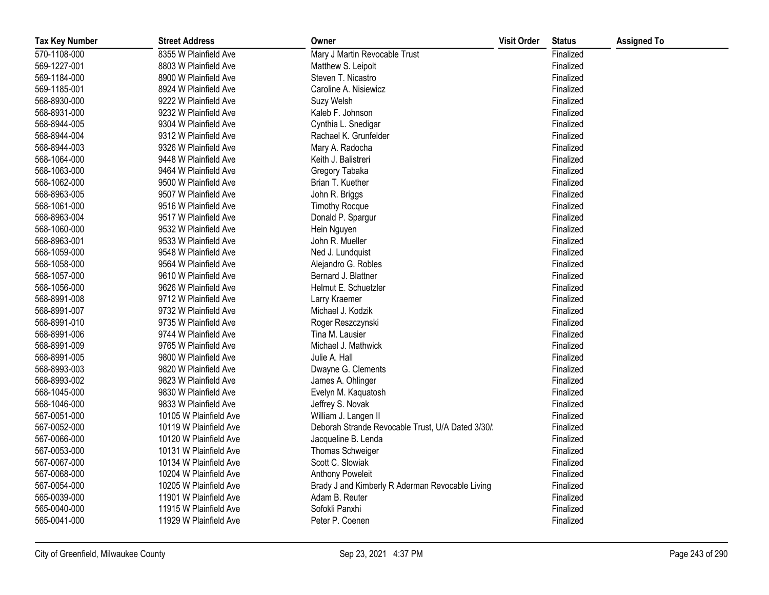| <b>Tax Key Number</b> | <b>Street Address</b>  | Owner                                             | <b>Visit Order</b> | <b>Status</b> | <b>Assigned To</b> |
|-----------------------|------------------------|---------------------------------------------------|--------------------|---------------|--------------------|
| 570-1108-000          | 8355 W Plainfield Ave  | Mary J Martin Revocable Trust                     |                    | Finalized     |                    |
| 569-1227-001          | 8803 W Plainfield Ave  | Matthew S. Leipolt                                |                    | Finalized     |                    |
| 569-1184-000          | 8900 W Plainfield Ave  | Steven T. Nicastro                                |                    | Finalized     |                    |
| 569-1185-001          | 8924 W Plainfield Ave  | Caroline A. Nisiewicz                             |                    | Finalized     |                    |
| 568-8930-000          | 9222 W Plainfield Ave  | Suzy Welsh                                        |                    | Finalized     |                    |
| 568-8931-000          | 9232 W Plainfield Ave  | Kaleb F. Johnson                                  |                    | Finalized     |                    |
| 568-8944-005          | 9304 W Plainfield Ave  | Cynthia L. Snedigar                               |                    | Finalized     |                    |
| 568-8944-004          | 9312 W Plainfield Ave  | Rachael K. Grunfelder                             |                    | Finalized     |                    |
| 568-8944-003          | 9326 W Plainfield Ave  | Mary A. Radocha                                   |                    | Finalized     |                    |
| 568-1064-000          | 9448 W Plainfield Ave  | Keith J. Balistreri                               |                    | Finalized     |                    |
| 568-1063-000          | 9464 W Plainfield Ave  | Gregory Tabaka                                    |                    | Finalized     |                    |
| 568-1062-000          | 9500 W Plainfield Ave  | Brian T. Kuether                                  |                    | Finalized     |                    |
| 568-8963-005          | 9507 W Plainfield Ave  | John R. Briggs                                    |                    | Finalized     |                    |
| 568-1061-000          | 9516 W Plainfield Ave  | <b>Timothy Rocque</b>                             |                    | Finalized     |                    |
| 568-8963-004          | 9517 W Plainfield Ave  | Donald P. Spargur                                 |                    | Finalized     |                    |
| 568-1060-000          | 9532 W Plainfield Ave  | Hein Nguyen                                       |                    | Finalized     |                    |
| 568-8963-001          | 9533 W Plainfield Ave  | John R. Mueller                                   |                    | Finalized     |                    |
| 568-1059-000          | 9548 W Plainfield Ave  | Ned J. Lundquist                                  |                    | Finalized     |                    |
| 568-1058-000          | 9564 W Plainfield Ave  | Alejandro G. Robles                               |                    | Finalized     |                    |
| 568-1057-000          | 9610 W Plainfield Ave  | Bernard J. Blattner                               |                    | Finalized     |                    |
| 568-1056-000          | 9626 W Plainfield Ave  | Helmut E. Schuetzler                              |                    | Finalized     |                    |
| 568-8991-008          | 9712 W Plainfield Ave  | Larry Kraemer                                     |                    | Finalized     |                    |
| 568-8991-007          | 9732 W Plainfield Ave  | Michael J. Kodzik                                 |                    | Finalized     |                    |
| 568-8991-010          | 9735 W Plainfield Ave  | Roger Reszczynski                                 |                    | Finalized     |                    |
| 568-8991-006          | 9744 W Plainfield Ave  | Tina M. Lausier                                   |                    | Finalized     |                    |
| 568-8991-009          | 9765 W Plainfield Ave  | Michael J. Mathwick                               |                    | Finalized     |                    |
| 568-8991-005          | 9800 W Plainfield Ave  | Julie A. Hall                                     |                    | Finalized     |                    |
| 568-8993-003          | 9820 W Plainfield Ave  | Dwayne G. Clements                                |                    | Finalized     |                    |
| 568-8993-002          | 9823 W Plainfield Ave  | James A. Ohlinger                                 |                    | Finalized     |                    |
| 568-1045-000          | 9830 W Plainfield Ave  | Evelyn M. Kaquatosh                               |                    | Finalized     |                    |
| 568-1046-000          | 9833 W Plainfield Ave  | Jeffrey S. Novak                                  |                    | Finalized     |                    |
| 567-0051-000          | 10105 W Plainfield Ave | William J. Langen II                              |                    | Finalized     |                    |
| 567-0052-000          | 10119 W Plainfield Ave | Deborah Strande Revocable Trust, U/A Dated 3/30/. |                    | Finalized     |                    |
| 567-0066-000          | 10120 W Plainfield Ave | Jacqueline B. Lenda                               |                    | Finalized     |                    |
| 567-0053-000          | 10131 W Plainfield Ave | Thomas Schweiger                                  |                    | Finalized     |                    |
| 567-0067-000          | 10134 W Plainfield Ave | Scott C. Slowiak                                  |                    | Finalized     |                    |
| 567-0068-000          | 10204 W Plainfield Ave | Anthony Poweleit                                  |                    | Finalized     |                    |
| 567-0054-000          | 10205 W Plainfield Ave | Brady J and Kimberly R Aderman Revocable Living   |                    | Finalized     |                    |
| 565-0039-000          | 11901 W Plainfield Ave | Adam B. Reuter                                    |                    | Finalized     |                    |
| 565-0040-000          | 11915 W Plainfield Ave | Sofokli Panxhi                                    |                    | Finalized     |                    |
| 565-0041-000          | 11929 W Plainfield Ave | Peter P. Coenen                                   |                    | Finalized     |                    |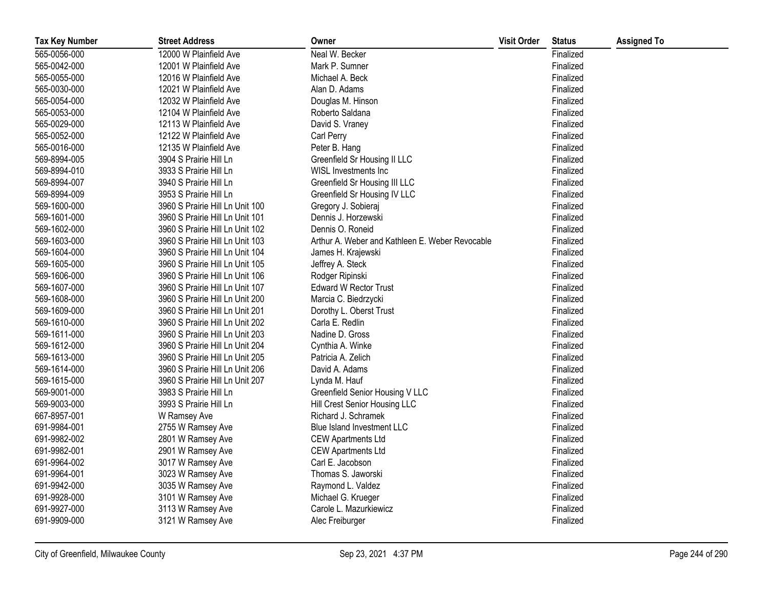| <b>Tax Key Number</b> | <b>Street Address</b>           | Owner                                           | <b>Visit Order</b> | <b>Status</b> | <b>Assigned To</b> |
|-----------------------|---------------------------------|-------------------------------------------------|--------------------|---------------|--------------------|
| 565-0056-000          | 12000 W Plainfield Ave          | Neal W. Becker                                  |                    | Finalized     |                    |
| 565-0042-000          | 12001 W Plainfield Ave          | Mark P. Sumner                                  |                    | Finalized     |                    |
| 565-0055-000          | 12016 W Plainfield Ave          | Michael A. Beck                                 |                    | Finalized     |                    |
| 565-0030-000          | 12021 W Plainfield Ave          | Alan D. Adams                                   |                    | Finalized     |                    |
| 565-0054-000          | 12032 W Plainfield Ave          | Douglas M. Hinson                               |                    | Finalized     |                    |
| 565-0053-000          | 12104 W Plainfield Ave          | Roberto Saldana                                 |                    | Finalized     |                    |
| 565-0029-000          | 12113 W Plainfield Ave          | David S. Vraney                                 |                    | Finalized     |                    |
| 565-0052-000          | 12122 W Plainfield Ave          | Carl Perry                                      |                    | Finalized     |                    |
| 565-0016-000          | 12135 W Plainfield Ave          | Peter B. Hang                                   |                    | Finalized     |                    |
| 569-8994-005          | 3904 S Prairie Hill Ln          | Greenfield Sr Housing II LLC                    |                    | Finalized     |                    |
| 569-8994-010          | 3933 S Prairie Hill Ln          | WISL Investments Inc                            |                    | Finalized     |                    |
| 569-8994-007          | 3940 S Prairie Hill Ln          | Greenfield Sr Housing III LLC                   |                    | Finalized     |                    |
| 569-8994-009          | 3953 S Prairie Hill Ln          | Greenfield Sr Housing IV LLC                    |                    | Finalized     |                    |
| 569-1600-000          | 3960 S Prairie Hill Ln Unit 100 | Gregory J. Sobieraj                             |                    | Finalized     |                    |
| 569-1601-000          | 3960 S Prairie Hill Ln Unit 101 | Dennis J. Horzewski                             |                    | Finalized     |                    |
| 569-1602-000          | 3960 S Prairie Hill Ln Unit 102 | Dennis O. Roneid                                |                    | Finalized     |                    |
| 569-1603-000          | 3960 S Prairie Hill Ln Unit 103 | Arthur A. Weber and Kathleen E. Weber Revocable |                    | Finalized     |                    |
| 569-1604-000          | 3960 S Prairie Hill Ln Unit 104 | James H. Krajewski                              |                    | Finalized     |                    |
| 569-1605-000          | 3960 S Prairie Hill Ln Unit 105 | Jeffrey A. Steck                                |                    | Finalized     |                    |
| 569-1606-000          | 3960 S Prairie Hill Ln Unit 106 | Rodger Ripinski                                 |                    | Finalized     |                    |
| 569-1607-000          | 3960 S Prairie Hill Ln Unit 107 | <b>Edward W Rector Trust</b>                    |                    | Finalized     |                    |
| 569-1608-000          | 3960 S Prairie Hill Ln Unit 200 | Marcia C. Biedrzycki                            |                    | Finalized     |                    |
| 569-1609-000          | 3960 S Prairie Hill Ln Unit 201 | Dorothy L. Oberst Trust                         |                    | Finalized     |                    |
| 569-1610-000          | 3960 S Prairie Hill Ln Unit 202 | Carla E. Redlin                                 |                    | Finalized     |                    |
| 569-1611-000          | 3960 S Prairie Hill Ln Unit 203 | Nadine D. Gross                                 |                    | Finalized     |                    |
| 569-1612-000          | 3960 S Prairie Hill Ln Unit 204 | Cynthia A. Winke                                |                    | Finalized     |                    |
| 569-1613-000          | 3960 S Prairie Hill Ln Unit 205 | Patricia A. Zelich                              |                    | Finalized     |                    |
| 569-1614-000          | 3960 S Prairie Hill Ln Unit 206 | David A. Adams                                  |                    | Finalized     |                    |
| 569-1615-000          | 3960 S Prairie Hill Ln Unit 207 | Lynda M. Hauf                                   |                    | Finalized     |                    |
| 569-9001-000          | 3983 S Prairie Hill Ln          | Greenfield Senior Housing V LLC                 |                    | Finalized     |                    |
| 569-9003-000          | 3993 S Prairie Hill Ln          | Hill Crest Senior Housing LLC                   |                    | Finalized     |                    |
| 667-8957-001          | W Ramsey Ave                    | Richard J. Schramek                             |                    | Finalized     |                    |
| 691-9984-001          | 2755 W Ramsey Ave               | Blue Island Investment LLC                      |                    | Finalized     |                    |
| 691-9982-002          | 2801 W Ramsey Ave               | <b>CEW Apartments Ltd</b>                       |                    | Finalized     |                    |
| 691-9982-001          | 2901 W Ramsey Ave               | <b>CEW Apartments Ltd</b>                       |                    | Finalized     |                    |
| 691-9964-002          | 3017 W Ramsey Ave               | Carl E. Jacobson                                |                    | Finalized     |                    |
| 691-9964-001          | 3023 W Ramsey Ave               | Thomas S. Jaworski                              |                    | Finalized     |                    |
| 691-9942-000          | 3035 W Ramsey Ave               | Raymond L. Valdez                               |                    | Finalized     |                    |
| 691-9928-000          | 3101 W Ramsey Ave               | Michael G. Krueger                              |                    | Finalized     |                    |
| 691-9927-000          | 3113 W Ramsey Ave               | Carole L. Mazurkiewicz                          |                    | Finalized     |                    |
| 691-9909-000          | 3121 W Ramsey Ave               | Alec Freiburger                                 |                    | Finalized     |                    |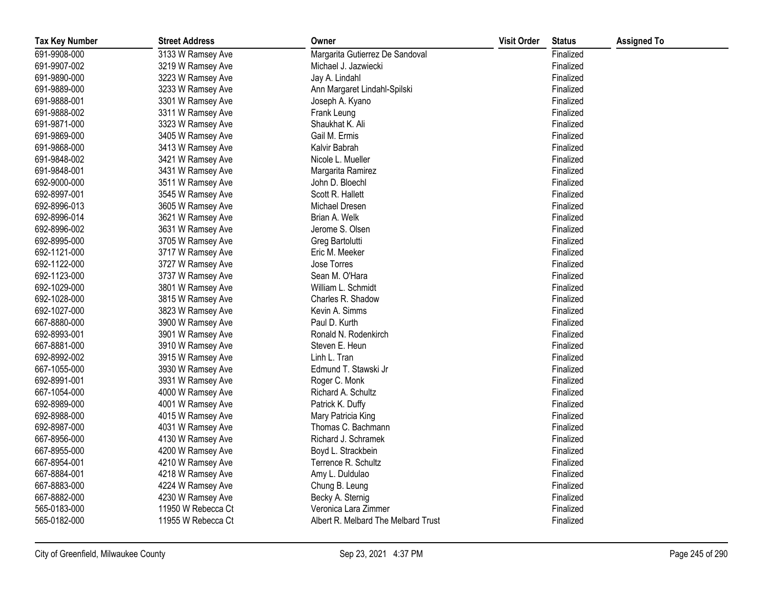| <b>Tax Key Number</b> | <b>Street Address</b> | Owner                               | <b>Visit Order</b> | <b>Status</b> | <b>Assigned To</b> |
|-----------------------|-----------------------|-------------------------------------|--------------------|---------------|--------------------|
| 691-9908-000          | 3133 W Ramsey Ave     | Margarita Gutierrez De Sandoval     |                    | Finalized     |                    |
| 691-9907-002          | 3219 W Ramsey Ave     | Michael J. Jazwiecki                |                    | Finalized     |                    |
| 691-9890-000          | 3223 W Ramsey Ave     | Jay A. Lindahl                      |                    | Finalized     |                    |
| 691-9889-000          | 3233 W Ramsey Ave     | Ann Margaret Lindahl-Spilski        |                    | Finalized     |                    |
| 691-9888-001          | 3301 W Ramsey Ave     | Joseph A. Kyano                     |                    | Finalized     |                    |
| 691-9888-002          | 3311 W Ramsey Ave     | Frank Leung                         |                    | Finalized     |                    |
| 691-9871-000          | 3323 W Ramsey Ave     | Shaukhat K. Ali                     |                    | Finalized     |                    |
| 691-9869-000          | 3405 W Ramsey Ave     | Gail M. Ermis                       |                    | Finalized     |                    |
| 691-9868-000          | 3413 W Ramsey Ave     | Kalvir Babrah                       |                    | Finalized     |                    |
| 691-9848-002          | 3421 W Ramsey Ave     | Nicole L. Mueller                   |                    | Finalized     |                    |
| 691-9848-001          | 3431 W Ramsey Ave     | Margarita Ramirez                   |                    | Finalized     |                    |
| 692-9000-000          | 3511 W Ramsey Ave     | John D. Bloechl                     |                    | Finalized     |                    |
| 692-8997-001          | 3545 W Ramsey Ave     | Scott R. Hallett                    |                    | Finalized     |                    |
| 692-8996-013          | 3605 W Ramsey Ave     | Michael Dresen                      |                    | Finalized     |                    |
| 692-8996-014          | 3621 W Ramsey Ave     | Brian A. Welk                       |                    | Finalized     |                    |
| 692-8996-002          | 3631 W Ramsey Ave     | Jerome S. Olsen                     |                    | Finalized     |                    |
| 692-8995-000          | 3705 W Ramsey Ave     | Greg Bartolutti                     |                    | Finalized     |                    |
| 692-1121-000          | 3717 W Ramsey Ave     | Eric M. Meeker                      |                    | Finalized     |                    |
| 692-1122-000          | 3727 W Ramsey Ave     | Jose Torres                         |                    | Finalized     |                    |
| 692-1123-000          | 3737 W Ramsey Ave     | Sean M. O'Hara                      |                    | Finalized     |                    |
| 692-1029-000          | 3801 W Ramsey Ave     | William L. Schmidt                  |                    | Finalized     |                    |
| 692-1028-000          | 3815 W Ramsey Ave     | Charles R. Shadow                   |                    | Finalized     |                    |
| 692-1027-000          | 3823 W Ramsey Ave     | Kevin A. Simms                      |                    | Finalized     |                    |
| 667-8880-000          | 3900 W Ramsey Ave     | Paul D. Kurth                       |                    | Finalized     |                    |
| 692-8993-001          | 3901 W Ramsey Ave     | Ronald N. Rodenkirch                |                    | Finalized     |                    |
| 667-8881-000          | 3910 W Ramsey Ave     | Steven E. Heun                      |                    | Finalized     |                    |
| 692-8992-002          | 3915 W Ramsey Ave     | Linh L. Tran                        |                    | Finalized     |                    |
| 667-1055-000          | 3930 W Ramsey Ave     | Edmund T. Stawski Jr                |                    | Finalized     |                    |
| 692-8991-001          | 3931 W Ramsey Ave     | Roger C. Monk                       |                    | Finalized     |                    |
| 667-1054-000          | 4000 W Ramsey Ave     | Richard A. Schultz                  |                    | Finalized     |                    |
| 692-8989-000          | 4001 W Ramsey Ave     | Patrick K. Duffy                    |                    | Finalized     |                    |
| 692-8988-000          | 4015 W Ramsey Ave     | Mary Patricia King                  |                    | Finalized     |                    |
| 692-8987-000          | 4031 W Ramsey Ave     | Thomas C. Bachmann                  |                    | Finalized     |                    |
| 667-8956-000          | 4130 W Ramsey Ave     | Richard J. Schramek                 |                    | Finalized     |                    |
| 667-8955-000          | 4200 W Ramsey Ave     | Boyd L. Strackbein                  |                    | Finalized     |                    |
| 667-8954-001          | 4210 W Ramsey Ave     | Terrence R. Schultz                 |                    | Finalized     |                    |
| 667-8884-001          | 4218 W Ramsey Ave     | Amy L. Duldulao                     |                    | Finalized     |                    |
| 667-8883-000          | 4224 W Ramsey Ave     | Chung B. Leung                      |                    | Finalized     |                    |
| 667-8882-000          | 4230 W Ramsey Ave     | Becky A. Sternig                    |                    | Finalized     |                    |
| 565-0183-000          | 11950 W Rebecca Ct    | Veronica Lara Zimmer                |                    | Finalized     |                    |
| 565-0182-000          | 11955 W Rebecca Ct    | Albert R. Melbard The Melbard Trust |                    | Finalized     |                    |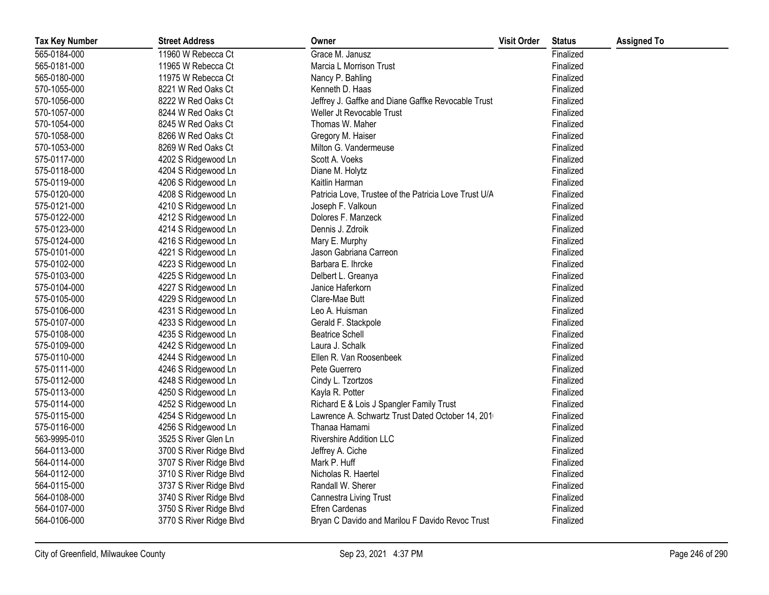| <b>Tax Key Number</b> | <b>Street Address</b>   | Owner                                                 | <b>Visit Order</b> | <b>Status</b> | <b>Assigned To</b> |
|-----------------------|-------------------------|-------------------------------------------------------|--------------------|---------------|--------------------|
| 565-0184-000          | 11960 W Rebecca Ct      | Grace M. Janusz                                       |                    | Finalized     |                    |
| 565-0181-000          | 11965 W Rebecca Ct      | Marcia L Morrison Trust                               |                    | Finalized     |                    |
| 565-0180-000          | 11975 W Rebecca Ct      | Nancy P. Bahling                                      |                    | Finalized     |                    |
| 570-1055-000          | 8221 W Red Oaks Ct      | Kenneth D. Haas                                       |                    | Finalized     |                    |
| 570-1056-000          | 8222 W Red Oaks Ct      | Jeffrey J. Gaffke and Diane Gaffke Revocable Trust    |                    | Finalized     |                    |
| 570-1057-000          | 8244 W Red Oaks Ct      | Weller Jt Revocable Trust                             |                    | Finalized     |                    |
| 570-1054-000          | 8245 W Red Oaks Ct      | Thomas W. Maher                                       |                    | Finalized     |                    |
| 570-1058-000          | 8266 W Red Oaks Ct      | Gregory M. Haiser                                     |                    | Finalized     |                    |
| 570-1053-000          | 8269 W Red Oaks Ct      | Milton G. Vandermeuse                                 |                    | Finalized     |                    |
| 575-0117-000          | 4202 S Ridgewood Ln     | Scott A. Voeks                                        |                    | Finalized     |                    |
| 575-0118-000          | 4204 S Ridgewood Ln     | Diane M. Holytz                                       |                    | Finalized     |                    |
| 575-0119-000          | 4206 S Ridgewood Ln     | Kaitlin Harman                                        |                    | Finalized     |                    |
| 575-0120-000          | 4208 S Ridgewood Ln     | Patricia Love, Trustee of the Patricia Love Trust U/A |                    | Finalized     |                    |
| 575-0121-000          | 4210 S Ridgewood Ln     | Joseph F. Valkoun                                     |                    | Finalized     |                    |
| 575-0122-000          | 4212 S Ridgewood Ln     | Dolores F. Manzeck                                    |                    | Finalized     |                    |
| 575-0123-000          | 4214 S Ridgewood Ln     | Dennis J. Zdroik                                      |                    | Finalized     |                    |
| 575-0124-000          | 4216 S Ridgewood Ln     | Mary E. Murphy                                        |                    | Finalized     |                    |
| 575-0101-000          | 4221 S Ridgewood Ln     | Jason Gabriana Carreon                                |                    | Finalized     |                    |
| 575-0102-000          | 4223 S Ridgewood Ln     | Barbara E. Ihrcke                                     |                    | Finalized     |                    |
| 575-0103-000          | 4225 S Ridgewood Ln     | Delbert L. Greanya                                    |                    | Finalized     |                    |
| 575-0104-000          | 4227 S Ridgewood Ln     | Janice Haferkorn                                      |                    | Finalized     |                    |
| 575-0105-000          | 4229 S Ridgewood Ln     | Clare-Mae Butt                                        |                    | Finalized     |                    |
| 575-0106-000          | 4231 S Ridgewood Ln     | Leo A. Huisman                                        |                    | Finalized     |                    |
| 575-0107-000          | 4233 S Ridgewood Ln     | Gerald F. Stackpole                                   |                    | Finalized     |                    |
| 575-0108-000          | 4235 S Ridgewood Ln     | <b>Beatrice Schell</b>                                |                    | Finalized     |                    |
| 575-0109-000          | 4242 S Ridgewood Ln     | Laura J. Schalk                                       |                    | Finalized     |                    |
| 575-0110-000          | 4244 S Ridgewood Ln     | Ellen R. Van Roosenbeek                               |                    | Finalized     |                    |
| 575-0111-000          | 4246 S Ridgewood Ln     | Pete Guerrero                                         |                    | Finalized     |                    |
| 575-0112-000          | 4248 S Ridgewood Ln     | Cindy L. Tzortzos                                     |                    | Finalized     |                    |
| 575-0113-000          | 4250 S Ridgewood Ln     | Kayla R. Potter                                       |                    | Finalized     |                    |
| 575-0114-000          | 4252 S Ridgewood Ln     | Richard E & Lois J Spangler Family Trust              |                    | Finalized     |                    |
| 575-0115-000          | 4254 S Ridgewood Ln     | Lawrence A. Schwartz Trust Dated October 14, 201      |                    | Finalized     |                    |
| 575-0116-000          | 4256 S Ridgewood Ln     | Thanaa Hamami                                         |                    | Finalized     |                    |
| 563-9995-010          | 3525 S River Glen Ln    | <b>Rivershire Addition LLC</b>                        |                    | Finalized     |                    |
| 564-0113-000          | 3700 S River Ridge Blvd | Jeffrey A. Ciche                                      |                    | Finalized     |                    |
| 564-0114-000          | 3707 S River Ridge Blvd | Mark P. Huff                                          |                    | Finalized     |                    |
| 564-0112-000          | 3710 S River Ridge Blvd | Nicholas R. Haertel                                   |                    | Finalized     |                    |
| 564-0115-000          | 3737 S River Ridge Blvd | Randall W. Sherer                                     |                    | Finalized     |                    |
| 564-0108-000          | 3740 S River Ridge Blvd | <b>Cannestra Living Trust</b>                         |                    | Finalized     |                    |
| 564-0107-000          | 3750 S River Ridge Blvd | Efren Cardenas                                        |                    | Finalized     |                    |
| 564-0106-000          | 3770 S River Ridge Blvd | Bryan C Davido and Marilou F Davido Revoc Trust       |                    | Finalized     |                    |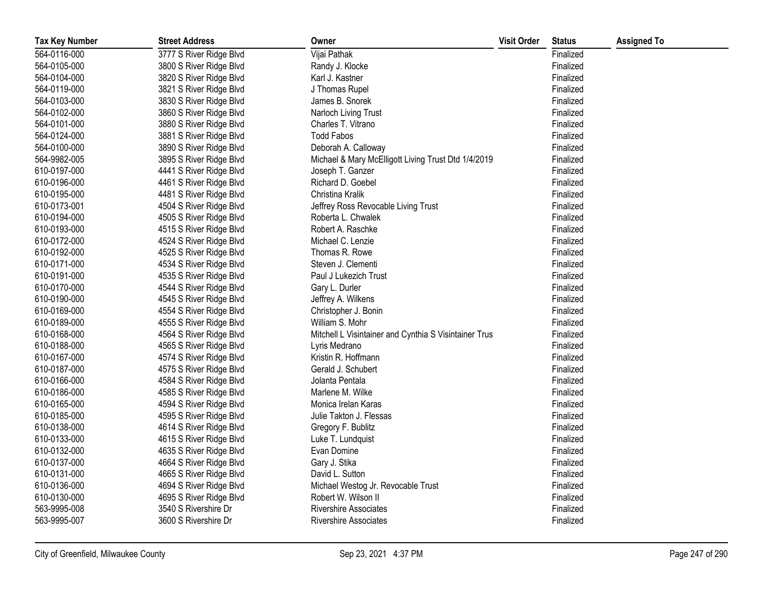| <b>Tax Key Number</b> | <b>Street Address</b>   | Owner                                                 | <b>Visit Order</b> | <b>Status</b> | <b>Assigned To</b> |
|-----------------------|-------------------------|-------------------------------------------------------|--------------------|---------------|--------------------|
| 564-0116-000          | 3777 S River Ridge Blvd | Vijai Pathak                                          |                    | Finalized     |                    |
| 564-0105-000          | 3800 S River Ridge Blvd | Randy J. Klocke                                       |                    | Finalized     |                    |
| 564-0104-000          | 3820 S River Ridge Blvd | Karl J. Kastner                                       |                    | Finalized     |                    |
| 564-0119-000          | 3821 S River Ridge Blvd | J Thomas Rupel                                        |                    | Finalized     |                    |
| 564-0103-000          | 3830 S River Ridge Blvd | James B. Snorek                                       |                    | Finalized     |                    |
| 564-0102-000          | 3860 S River Ridge Blvd | Narloch Living Trust                                  |                    | Finalized     |                    |
| 564-0101-000          | 3880 S River Ridge Blvd | Charles T. Vitrano                                    |                    | Finalized     |                    |
| 564-0124-000          | 3881 S River Ridge Blvd | <b>Todd Fabos</b>                                     |                    | Finalized     |                    |
| 564-0100-000          | 3890 S River Ridge Blvd | Deborah A. Calloway                                   |                    | Finalized     |                    |
| 564-9982-005          | 3895 S River Ridge Blvd | Michael & Mary McElligott Living Trust Dtd 1/4/2019   |                    | Finalized     |                    |
| 610-0197-000          | 4441 S River Ridge Blvd | Joseph T. Ganzer                                      |                    | Finalized     |                    |
| 610-0196-000          | 4461 S River Ridge Blvd | Richard D. Goebel                                     |                    | Finalized     |                    |
| 610-0195-000          | 4481 S River Ridge Blvd | Christina Kralik                                      |                    | Finalized     |                    |
| 610-0173-001          | 4504 S River Ridge Blvd | Jeffrey Ross Revocable Living Trust                   |                    | Finalized     |                    |
| 610-0194-000          | 4505 S River Ridge Blvd | Roberta L. Chwalek                                    |                    | Finalized     |                    |
| 610-0193-000          | 4515 S River Ridge Blvd | Robert A. Raschke                                     |                    | Finalized     |                    |
| 610-0172-000          | 4524 S River Ridge Blvd | Michael C. Lenzie                                     |                    | Finalized     |                    |
| 610-0192-000          | 4525 S River Ridge Blvd | Thomas R. Rowe                                        |                    | Finalized     |                    |
| 610-0171-000          | 4534 S River Ridge Blvd | Steven J. Clementi                                    |                    | Finalized     |                    |
| 610-0191-000          | 4535 S River Ridge Blvd | Paul J Lukezich Trust                                 |                    | Finalized     |                    |
| 610-0170-000          | 4544 S River Ridge Blvd | Gary L. Durler                                        |                    | Finalized     |                    |
| 610-0190-000          | 4545 S River Ridge Blvd | Jeffrey A. Wilkens                                    |                    | Finalized     |                    |
| 610-0169-000          | 4554 S River Ridge Blvd | Christopher J. Bonin                                  |                    | Finalized     |                    |
| 610-0189-000          | 4555 S River Ridge Blvd | William S. Mohr                                       |                    | Finalized     |                    |
| 610-0168-000          | 4564 S River Ridge Blvd | Mitchell L Visintainer and Cynthia S Visintainer Trus |                    | Finalized     |                    |
| 610-0188-000          | 4565 S River Ridge Blvd | Lyris Medrano                                         |                    | Finalized     |                    |
| 610-0167-000          | 4574 S River Ridge Blvd | Kristin R. Hoffmann                                   |                    | Finalized     |                    |
| 610-0187-000          | 4575 S River Ridge Blvd | Gerald J. Schubert                                    |                    | Finalized     |                    |
| 610-0166-000          | 4584 S River Ridge Blvd | Jolanta Pentala                                       |                    | Finalized     |                    |
| 610-0186-000          | 4585 S River Ridge Blvd | Marlene M. Wilke                                      |                    | Finalized     |                    |
| 610-0165-000          | 4594 S River Ridge Blvd | Monica Irelan Karas                                   |                    | Finalized     |                    |
| 610-0185-000          | 4595 S River Ridge Blvd | Julie Takton J. Flessas                               |                    | Finalized     |                    |
| 610-0138-000          | 4614 S River Ridge Blvd | Gregory F. Bublitz                                    |                    | Finalized     |                    |
| 610-0133-000          | 4615 S River Ridge Blvd | Luke T. Lundquist                                     |                    | Finalized     |                    |
| 610-0132-000          | 4635 S River Ridge Blvd | Evan Domine                                           |                    | Finalized     |                    |
| 610-0137-000          | 4664 S River Ridge Blvd | Gary J. Stika                                         |                    | Finalized     |                    |
| 610-0131-000          | 4665 S River Ridge Blvd | David L. Sutton                                       |                    | Finalized     |                    |
| 610-0136-000          | 4694 S River Ridge Blvd | Michael Westog Jr. Revocable Trust                    |                    | Finalized     |                    |
| 610-0130-000          | 4695 S River Ridge Blvd | Robert W. Wilson II                                   |                    | Finalized     |                    |
| 563-9995-008          | 3540 S Rivershire Dr    | <b>Rivershire Associates</b>                          |                    | Finalized     |                    |
| 563-9995-007          | 3600 S Rivershire Dr    | <b>Rivershire Associates</b>                          |                    | Finalized     |                    |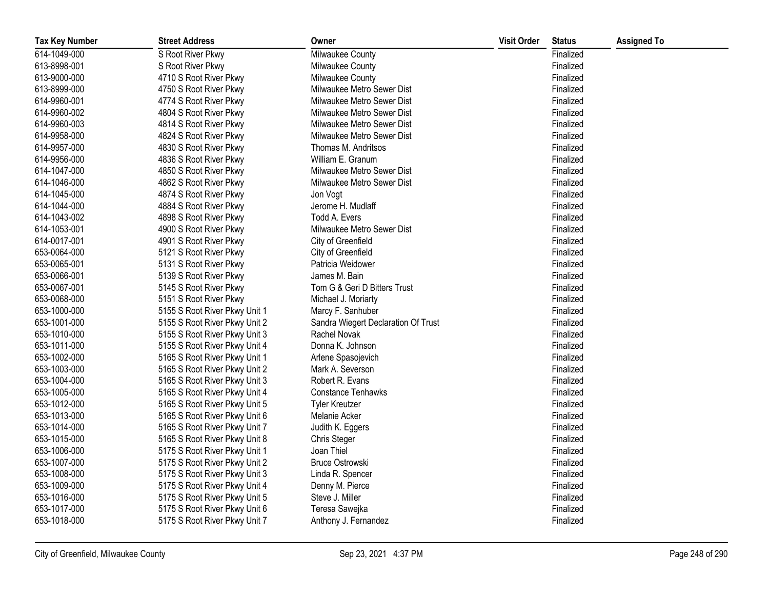| <b>Tax Key Number</b> | <b>Street Address</b>         | Owner                               | <b>Visit Order</b> | <b>Status</b> | <b>Assigned To</b> |
|-----------------------|-------------------------------|-------------------------------------|--------------------|---------------|--------------------|
| 614-1049-000          | S Root River Pkwy             | Milwaukee County                    |                    | Finalized     |                    |
| 613-8998-001          | S Root River Pkwy             | Milwaukee County                    |                    | Finalized     |                    |
| 613-9000-000          | 4710 S Root River Pkwy        | Milwaukee County                    |                    | Finalized     |                    |
| 613-8999-000          | 4750 S Root River Pkwy        | Milwaukee Metro Sewer Dist          |                    | Finalized     |                    |
| 614-9960-001          | 4774 S Root River Pkwy        | Milwaukee Metro Sewer Dist          |                    | Finalized     |                    |
| 614-9960-002          | 4804 S Root River Pkwy        | Milwaukee Metro Sewer Dist          |                    | Finalized     |                    |
| 614-9960-003          | 4814 S Root River Pkwy        | Milwaukee Metro Sewer Dist          |                    | Finalized     |                    |
| 614-9958-000          | 4824 S Root River Pkwy        | Milwaukee Metro Sewer Dist          |                    | Finalized     |                    |
| 614-9957-000          | 4830 S Root River Pkwy        | Thomas M. Andritsos                 |                    | Finalized     |                    |
| 614-9956-000          | 4836 S Root River Pkwy        | William E. Granum                   |                    | Finalized     |                    |
| 614-1047-000          | 4850 S Root River Pkwy        | Milwaukee Metro Sewer Dist          |                    | Finalized     |                    |
| 614-1046-000          | 4862 S Root River Pkwy        | Milwaukee Metro Sewer Dist          |                    | Finalized     |                    |
| 614-1045-000          | 4874 S Root River Pkwy        | Jon Vogt                            |                    | Finalized     |                    |
| 614-1044-000          | 4884 S Root River Pkwy        | Jerome H. Mudlaff                   |                    | Finalized     |                    |
| 614-1043-002          | 4898 S Root River Pkwy        | Todd A. Evers                       |                    | Finalized     |                    |
| 614-1053-001          | 4900 S Root River Pkwy        | Milwaukee Metro Sewer Dist          |                    | Finalized     |                    |
| 614-0017-001          | 4901 S Root River Pkwy        | City of Greenfield                  |                    | Finalized     |                    |
| 653-0064-000          | 5121 S Root River Pkwy        | City of Greenfield                  |                    | Finalized     |                    |
| 653-0065-001          | 5131 S Root River Pkwy        | Patricia Weidower                   |                    | Finalized     |                    |
| 653-0066-001          | 5139 S Root River Pkwy        | James M. Bain                       |                    | Finalized     |                    |
| 653-0067-001          | 5145 S Root River Pkwy        | Tom G & Geri D Bitters Trust        |                    | Finalized     |                    |
| 653-0068-000          | 5151 S Root River Pkwy        | Michael J. Moriarty                 |                    | Finalized     |                    |
| 653-1000-000          | 5155 S Root River Pkwy Unit 1 | Marcy F. Sanhuber                   |                    | Finalized     |                    |
| 653-1001-000          | 5155 S Root River Pkwy Unit 2 | Sandra Wiegert Declaration Of Trust |                    | Finalized     |                    |
| 653-1010-000          | 5155 S Root River Pkwy Unit 3 | Rachel Novak                        |                    | Finalized     |                    |
| 653-1011-000          | 5155 S Root River Pkwy Unit 4 | Donna K. Johnson                    |                    | Finalized     |                    |
| 653-1002-000          | 5165 S Root River Pkwy Unit 1 | Arlene Spasojevich                  |                    | Finalized     |                    |
| 653-1003-000          | 5165 S Root River Pkwy Unit 2 | Mark A. Severson                    |                    | Finalized     |                    |
| 653-1004-000          | 5165 S Root River Pkwy Unit 3 | Robert R. Evans                     |                    | Finalized     |                    |
| 653-1005-000          | 5165 S Root River Pkwy Unit 4 | <b>Constance Tenhawks</b>           |                    | Finalized     |                    |
| 653-1012-000          | 5165 S Root River Pkwy Unit 5 | <b>Tyler Kreutzer</b>               |                    | Finalized     |                    |
| 653-1013-000          | 5165 S Root River Pkwy Unit 6 | Melanie Acker                       |                    | Finalized     |                    |
| 653-1014-000          | 5165 S Root River Pkwy Unit 7 | Judith K. Eggers                    |                    | Finalized     |                    |
| 653-1015-000          | 5165 S Root River Pkwy Unit 8 | Chris Steger                        |                    | Finalized     |                    |
| 653-1006-000          | 5175 S Root River Pkwy Unit 1 | Joan Thiel                          |                    | Finalized     |                    |
| 653-1007-000          | 5175 S Root River Pkwy Unit 2 | <b>Bruce Ostrowski</b>              |                    | Finalized     |                    |
| 653-1008-000          | 5175 S Root River Pkwy Unit 3 | Linda R. Spencer                    |                    | Finalized     |                    |
| 653-1009-000          | 5175 S Root River Pkwy Unit 4 | Denny M. Pierce                     |                    | Finalized     |                    |
| 653-1016-000          | 5175 S Root River Pkwy Unit 5 | Steve J. Miller                     |                    | Finalized     |                    |
| 653-1017-000          | 5175 S Root River Pkwy Unit 6 | Teresa Sawejka                      |                    | Finalized     |                    |
| 653-1018-000          | 5175 S Root River Pkwy Unit 7 | Anthony J. Fernandez                |                    | Finalized     |                    |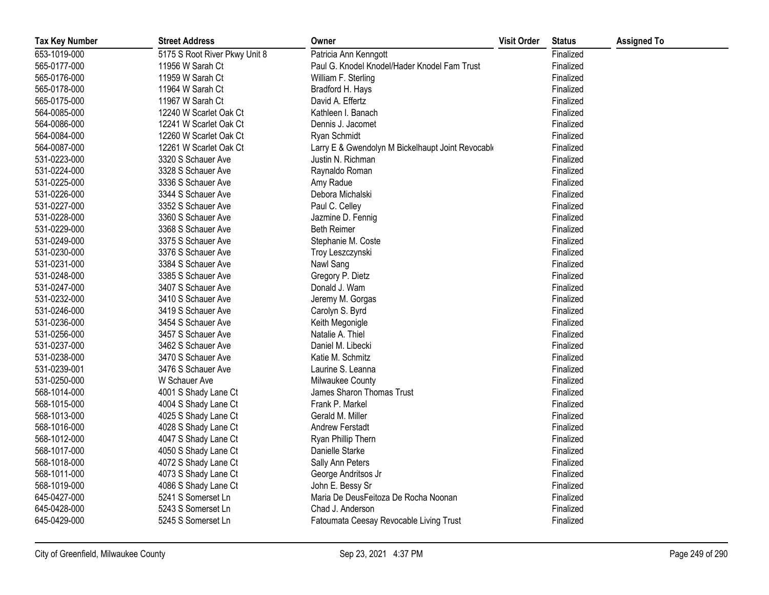| <b>Tax Key Number</b> | <b>Street Address</b>         | Owner                                             | <b>Visit Order</b> | <b>Status</b> | <b>Assigned To</b> |
|-----------------------|-------------------------------|---------------------------------------------------|--------------------|---------------|--------------------|
| 653-1019-000          | 5175 S Root River Pkwy Unit 8 | Patricia Ann Kenngott                             |                    | Finalized     |                    |
| 565-0177-000          | 11956 W Sarah Ct              | Paul G. Knodel Knodel/Hader Knodel Fam Trust      |                    | Finalized     |                    |
| 565-0176-000          | 11959 W Sarah Ct              | William F. Sterling                               |                    | Finalized     |                    |
| 565-0178-000          | 11964 W Sarah Ct              | Bradford H. Hays                                  |                    | Finalized     |                    |
| 565-0175-000          | 11967 W Sarah Ct              | David A. Effertz                                  |                    | Finalized     |                    |
| 564-0085-000          | 12240 W Scarlet Oak Ct        | Kathleen I. Banach                                |                    | Finalized     |                    |
| 564-0086-000          | 12241 W Scarlet Oak Ct        | Dennis J. Jacomet                                 |                    | Finalized     |                    |
| 564-0084-000          | 12260 W Scarlet Oak Ct        | Ryan Schmidt                                      |                    | Finalized     |                    |
| 564-0087-000          | 12261 W Scarlet Oak Ct        | Larry E & Gwendolyn M Bickelhaupt Joint Revocable |                    | Finalized     |                    |
| 531-0223-000          | 3320 S Schauer Ave            | Justin N. Richman                                 |                    | Finalized     |                    |
| 531-0224-000          | 3328 S Schauer Ave            | Raynaldo Roman                                    |                    | Finalized     |                    |
| 531-0225-000          | 3336 S Schauer Ave            | Amy Radue                                         |                    | Finalized     |                    |
| 531-0226-000          | 3344 S Schauer Ave            | Debora Michalski                                  |                    | Finalized     |                    |
| 531-0227-000          | 3352 S Schauer Ave            | Paul C. Celley                                    |                    | Finalized     |                    |
| 531-0228-000          | 3360 S Schauer Ave            | Jazmine D. Fennig                                 |                    | Finalized     |                    |
| 531-0229-000          | 3368 S Schauer Ave            | <b>Beth Reimer</b>                                |                    | Finalized     |                    |
| 531-0249-000          | 3375 S Schauer Ave            | Stephanie M. Coste                                |                    | Finalized     |                    |
| 531-0230-000          | 3376 S Schauer Ave            | Troy Leszczynski                                  |                    | Finalized     |                    |
| 531-0231-000          | 3384 S Schauer Ave            | Nawl Sang                                         |                    | Finalized     |                    |
| 531-0248-000          | 3385 S Schauer Ave            | Gregory P. Dietz                                  |                    | Finalized     |                    |
| 531-0247-000          | 3407 S Schauer Ave            | Donald J. Wam                                     |                    | Finalized     |                    |
| 531-0232-000          | 3410 S Schauer Ave            | Jeremy M. Gorgas                                  |                    | Finalized     |                    |
| 531-0246-000          | 3419 S Schauer Ave            | Carolyn S. Byrd                                   |                    | Finalized     |                    |
| 531-0236-000          | 3454 S Schauer Ave            | Keith Megonigle                                   |                    | Finalized     |                    |
| 531-0256-000          | 3457 S Schauer Ave            | Natalie A. Thiel                                  |                    | Finalized     |                    |
| 531-0237-000          | 3462 S Schauer Ave            | Daniel M. Libecki                                 |                    | Finalized     |                    |
| 531-0238-000          | 3470 S Schauer Ave            | Katie M. Schmitz                                  |                    | Finalized     |                    |
| 531-0239-001          | 3476 S Schauer Ave            | Laurine S. Leanna                                 |                    | Finalized     |                    |
| 531-0250-000          | W Schauer Ave                 | Milwaukee County                                  |                    | Finalized     |                    |
| 568-1014-000          | 4001 S Shady Lane Ct          | James Sharon Thomas Trust                         |                    | Finalized     |                    |
| 568-1015-000          | 4004 S Shady Lane Ct          | Frank P. Markel                                   |                    | Finalized     |                    |
| 568-1013-000          | 4025 S Shady Lane Ct          | Gerald M. Miller                                  |                    | Finalized     |                    |
| 568-1016-000          | 4028 S Shady Lane Ct          | Andrew Ferstadt                                   |                    | Finalized     |                    |
| 568-1012-000          | 4047 S Shady Lane Ct          | Ryan Phillip Thern                                |                    | Finalized     |                    |
| 568-1017-000          | 4050 S Shady Lane Ct          | Danielle Starke                                   |                    | Finalized     |                    |
| 568-1018-000          | 4072 S Shady Lane Ct          | Sally Ann Peters                                  |                    | Finalized     |                    |
| 568-1011-000          | 4073 S Shady Lane Ct          | George Andritsos Jr                               |                    | Finalized     |                    |
| 568-1019-000          | 4086 S Shady Lane Ct          | John E. Bessy Sr                                  |                    | Finalized     |                    |
| 645-0427-000          | 5241 S Somerset Ln            | Maria De DeusFeitoza De Rocha Noonan              |                    | Finalized     |                    |
| 645-0428-000          | 5243 S Somerset Ln            | Chad J. Anderson                                  |                    | Finalized     |                    |
| 645-0429-000          | 5245 S Somerset Ln            | Fatoumata Ceesay Revocable Living Trust           |                    | Finalized     |                    |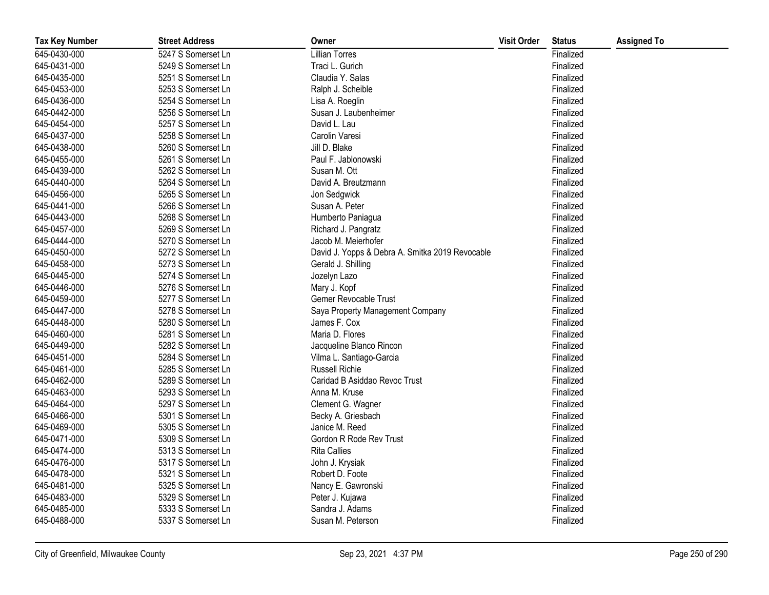| <b>Tax Key Number</b> | <b>Street Address</b> | Owner                                           | <b>Visit Order</b> | <b>Status</b> | <b>Assigned To</b> |
|-----------------------|-----------------------|-------------------------------------------------|--------------------|---------------|--------------------|
| 645-0430-000          | 5247 S Somerset Ln    | <b>Lillian Torres</b>                           |                    | Finalized     |                    |
| 645-0431-000          | 5249 S Somerset Ln    | Traci L. Gurich                                 |                    | Finalized     |                    |
| 645-0435-000          | 5251 S Somerset Ln    | Claudia Y. Salas                                |                    | Finalized     |                    |
| 645-0453-000          | 5253 S Somerset Ln    | Ralph J. Scheible                               |                    | Finalized     |                    |
| 645-0436-000          | 5254 S Somerset Ln    | Lisa A. Roeglin                                 |                    | Finalized     |                    |
| 645-0442-000          | 5256 S Somerset Ln    | Susan J. Laubenheimer                           |                    | Finalized     |                    |
| 645-0454-000          | 5257 S Somerset Ln    | David L. Lau                                    |                    | Finalized     |                    |
| 645-0437-000          | 5258 S Somerset Ln    | Carolin Varesi                                  |                    | Finalized     |                    |
| 645-0438-000          | 5260 S Somerset Ln    | Jill D. Blake                                   |                    | Finalized     |                    |
| 645-0455-000          | 5261 S Somerset Ln    | Paul F. Jablonowski                             |                    | Finalized     |                    |
| 645-0439-000          | 5262 S Somerset Ln    | Susan M. Ott                                    |                    | Finalized     |                    |
| 645-0440-000          | 5264 S Somerset Ln    | David A. Breutzmann                             |                    | Finalized     |                    |
| 645-0456-000          | 5265 S Somerset Ln    | Jon Sedgwick                                    |                    | Finalized     |                    |
| 645-0441-000          | 5266 S Somerset Ln    | Susan A. Peter                                  |                    | Finalized     |                    |
| 645-0443-000          | 5268 S Somerset Ln    | Humberto Paniagua                               |                    | Finalized     |                    |
| 645-0457-000          | 5269 S Somerset Ln    | Richard J. Pangratz                             |                    | Finalized     |                    |
| 645-0444-000          | 5270 S Somerset Ln    | Jacob M. Meierhofer                             |                    | Finalized     |                    |
| 645-0450-000          | 5272 S Somerset Ln    | David J. Yopps & Debra A. Smitka 2019 Revocable |                    | Finalized     |                    |
| 645-0458-000          | 5273 S Somerset Ln    | Gerald J. Shilling                              |                    | Finalized     |                    |
| 645-0445-000          | 5274 S Somerset Ln    | Jozelyn Lazo                                    |                    | Finalized     |                    |
| 645-0446-000          | 5276 S Somerset Ln    | Mary J. Kopf                                    |                    | Finalized     |                    |
| 645-0459-000          | 5277 S Somerset Ln    | Gemer Revocable Trust                           |                    | Finalized     |                    |
| 645-0447-000          | 5278 S Somerset Ln    | Saya Property Management Company                |                    | Finalized     |                    |
| 645-0448-000          | 5280 S Somerset Ln    | James F. Cox                                    |                    | Finalized     |                    |
| 645-0460-000          | 5281 S Somerset Ln    | Maria D. Flores                                 |                    | Finalized     |                    |
| 645-0449-000          | 5282 S Somerset Ln    | Jacqueline Blanco Rincon                        |                    | Finalized     |                    |
| 645-0451-000          | 5284 S Somerset Ln    | Vilma L. Santiago-Garcia                        |                    | Finalized     |                    |
| 645-0461-000          | 5285 S Somerset Ln    | <b>Russell Richie</b>                           |                    | Finalized     |                    |
| 645-0462-000          | 5289 S Somerset Ln    | Caridad B Asiddao Revoc Trust                   |                    | Finalized     |                    |
| 645-0463-000          | 5293 S Somerset Ln    | Anna M. Kruse                                   |                    | Finalized     |                    |
| 645-0464-000          | 5297 S Somerset Ln    | Clement G. Wagner                               |                    | Finalized     |                    |
| 645-0466-000          | 5301 S Somerset Ln    | Becky A. Griesbach                              |                    | Finalized     |                    |
| 645-0469-000          | 5305 S Somerset Ln    | Janice M. Reed                                  |                    | Finalized     |                    |
| 645-0471-000          | 5309 S Somerset Ln    | Gordon R Rode Rev Trust                         |                    | Finalized     |                    |
| 645-0474-000          | 5313 S Somerset Ln    | <b>Rita Callies</b>                             |                    | Finalized     |                    |
| 645-0476-000          | 5317 S Somerset Ln    | John J. Krysiak                                 |                    | Finalized     |                    |
| 645-0478-000          | 5321 S Somerset Ln    | Robert D. Foote                                 |                    | Finalized     |                    |
| 645-0481-000          | 5325 S Somerset Ln    | Nancy E. Gawronski                              |                    | Finalized     |                    |
| 645-0483-000          | 5329 S Somerset Ln    | Peter J. Kujawa                                 |                    | Finalized     |                    |
| 645-0485-000          | 5333 S Somerset Ln    | Sandra J. Adams                                 |                    | Finalized     |                    |
| 645-0488-000          | 5337 S Somerset Ln    | Susan M. Peterson                               |                    | Finalized     |                    |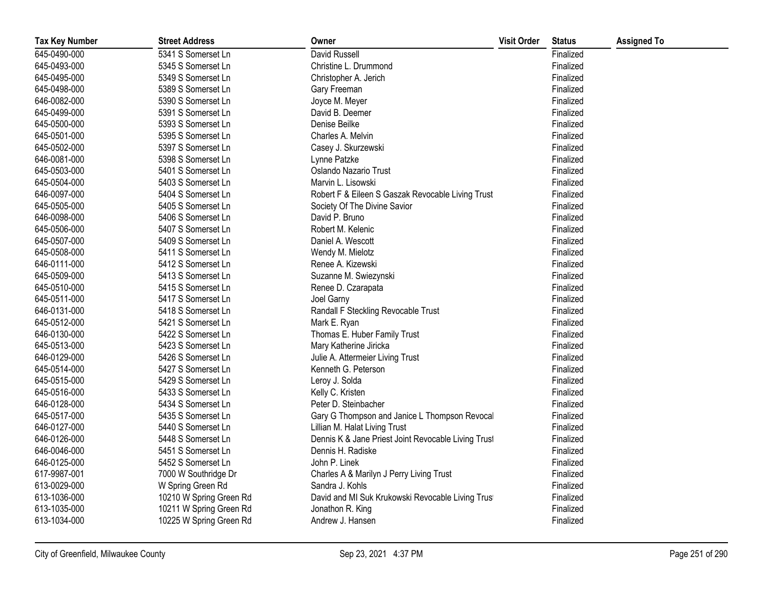| <b>Tax Key Number</b> | <b>Street Address</b>   | Owner                                               | <b>Visit Order</b> | <b>Status</b> | <b>Assigned To</b> |
|-----------------------|-------------------------|-----------------------------------------------------|--------------------|---------------|--------------------|
| 645-0490-000          | 5341 S Somerset Ln      | David Russell                                       |                    | Finalized     |                    |
| 645-0493-000          | 5345 S Somerset Ln      | Christine L. Drummond                               |                    | Finalized     |                    |
| 645-0495-000          | 5349 S Somerset Ln      | Christopher A. Jerich                               |                    | Finalized     |                    |
| 645-0498-000          | 5389 S Somerset Ln      | Gary Freeman                                        |                    | Finalized     |                    |
| 646-0082-000          | 5390 S Somerset Ln      | Joyce M. Meyer                                      |                    | Finalized     |                    |
| 645-0499-000          | 5391 S Somerset Ln      | David B. Deemer                                     |                    | Finalized     |                    |
| 645-0500-000          | 5393 S Somerset Ln      | Denise Beilke                                       |                    | Finalized     |                    |
| 645-0501-000          | 5395 S Somerset Ln      | Charles A. Melvin                                   |                    | Finalized     |                    |
| 645-0502-000          | 5397 S Somerset Ln      | Casey J. Skurzewski                                 |                    | Finalized     |                    |
| 646-0081-000          | 5398 S Somerset Ln      | Lynne Patzke                                        |                    | Finalized     |                    |
| 645-0503-000          | 5401 S Somerset Ln      | Oslando Nazario Trust                               |                    | Finalized     |                    |
| 645-0504-000          | 5403 S Somerset Ln      | Marvin L. Lisowski                                  |                    | Finalized     |                    |
| 646-0097-000          | 5404 S Somerset Ln      | Robert F & Eileen S Gaszak Revocable Living Trust   |                    | Finalized     |                    |
| 645-0505-000          | 5405 S Somerset Ln      | Society Of The Divine Savior                        |                    | Finalized     |                    |
| 646-0098-000          | 5406 S Somerset Ln      | David P. Bruno                                      |                    | Finalized     |                    |
| 645-0506-000          | 5407 S Somerset Ln      | Robert M. Kelenic                                   |                    | Finalized     |                    |
| 645-0507-000          | 5409 S Somerset Ln      | Daniel A. Wescott                                   |                    | Finalized     |                    |
| 645-0508-000          | 5411 S Somerset Ln      | Wendy M. Mielotz                                    |                    | Finalized     |                    |
| 646-0111-000          | 5412 S Somerset Ln      | Renee A. Kizewski                                   |                    | Finalized     |                    |
| 645-0509-000          | 5413 S Somerset Ln      | Suzanne M. Swiezynski                               |                    | Finalized     |                    |
| 645-0510-000          | 5415 S Somerset Ln      | Renee D. Czarapata                                  |                    | Finalized     |                    |
| 645-0511-000          | 5417 S Somerset Ln      | Joel Garny                                          |                    | Finalized     |                    |
| 646-0131-000          | 5418 S Somerset Ln      | Randall F Steckling Revocable Trust                 |                    | Finalized     |                    |
| 645-0512-000          | 5421 S Somerset Ln      | Mark E. Ryan                                        |                    | Finalized     |                    |
| 646-0130-000          | 5422 S Somerset Ln      | Thomas E. Huber Family Trust                        |                    | Finalized     |                    |
| 645-0513-000          | 5423 S Somerset Ln      | Mary Katherine Jiricka                              |                    | Finalized     |                    |
| 646-0129-000          | 5426 S Somerset Ln      | Julie A. Attermeier Living Trust                    |                    | Finalized     |                    |
| 645-0514-000          | 5427 S Somerset Ln      | Kenneth G. Peterson                                 |                    | Finalized     |                    |
| 645-0515-000          | 5429 S Somerset Ln      | Leroy J. Solda                                      |                    | Finalized     |                    |
| 645-0516-000          | 5433 S Somerset Ln      | Kelly C. Kristen                                    |                    | Finalized     |                    |
| 646-0128-000          | 5434 S Somerset Ln      | Peter D. Steinbacher                                |                    | Finalized     |                    |
| 645-0517-000          | 5435 S Somerset Ln      | Gary G Thompson and Janice L Thompson Revocal       |                    | Finalized     |                    |
| 646-0127-000          | 5440 S Somerset Ln      | Lillian M. Halat Living Trust                       |                    | Finalized     |                    |
| 646-0126-000          | 5448 S Somerset Ln      | Dennis K & Jane Priest Joint Revocable Living Trust |                    | Finalized     |                    |
| 646-0046-000          | 5451 S Somerset Ln      | Dennis H. Radiske                                   |                    | Finalized     |                    |
| 646-0125-000          | 5452 S Somerset Ln      | John P. Linek                                       |                    | Finalized     |                    |
| 617-9987-001          | 7000 W Southridge Dr    | Charles A & Marilyn J Perry Living Trust            |                    | Finalized     |                    |
| 613-0029-000          | W Spring Green Rd       | Sandra J. Kohls                                     |                    | Finalized     |                    |
| 613-1036-000          | 10210 W Spring Green Rd | David and MI Suk Krukowski Revocable Living Trust   |                    | Finalized     |                    |
| 613-1035-000          | 10211 W Spring Green Rd | Jonathon R. King                                    |                    | Finalized     |                    |
| 613-1034-000          | 10225 W Spring Green Rd | Andrew J. Hansen                                    |                    | Finalized     |                    |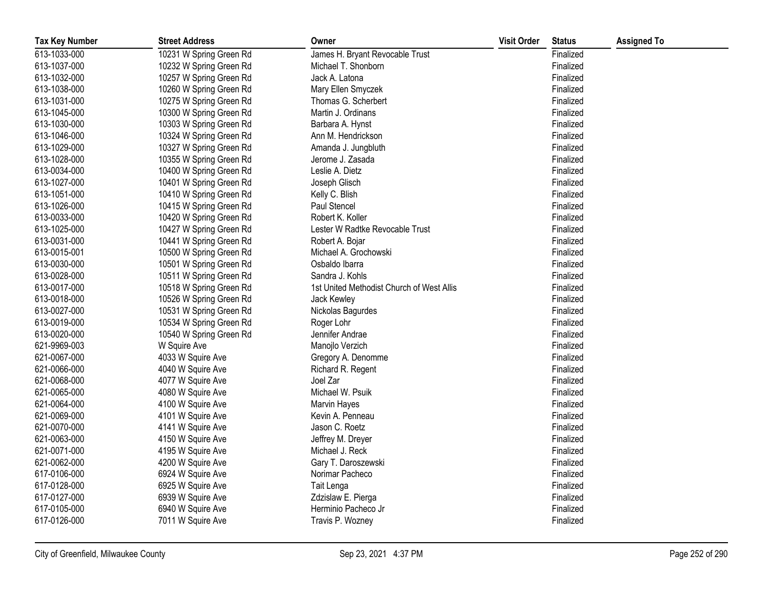| <b>Tax Key Number</b> | <b>Street Address</b>   | Owner                                     | <b>Visit Order</b> | <b>Status</b> | <b>Assigned To</b> |
|-----------------------|-------------------------|-------------------------------------------|--------------------|---------------|--------------------|
| 613-1033-000          | 10231 W Spring Green Rd | James H. Bryant Revocable Trust           |                    | Finalized     |                    |
| 613-1037-000          | 10232 W Spring Green Rd | Michael T. Shonborn                       |                    | Finalized     |                    |
| 613-1032-000          | 10257 W Spring Green Rd | Jack A. Latona                            |                    | Finalized     |                    |
| 613-1038-000          | 10260 W Spring Green Rd | Mary Ellen Smyczek                        |                    | Finalized     |                    |
| 613-1031-000          | 10275 W Spring Green Rd | Thomas G. Scherbert                       |                    | Finalized     |                    |
| 613-1045-000          | 10300 W Spring Green Rd | Martin J. Ordinans                        |                    | Finalized     |                    |
| 613-1030-000          | 10303 W Spring Green Rd | Barbara A. Hynst                          |                    | Finalized     |                    |
| 613-1046-000          | 10324 W Spring Green Rd | Ann M. Hendrickson                        |                    | Finalized     |                    |
| 613-1029-000          | 10327 W Spring Green Rd | Amanda J. Jungbluth                       |                    | Finalized     |                    |
| 613-1028-000          | 10355 W Spring Green Rd | Jerome J. Zasada                          |                    | Finalized     |                    |
| 613-0034-000          | 10400 W Spring Green Rd | Leslie A. Dietz                           |                    | Finalized     |                    |
| 613-1027-000          | 10401 W Spring Green Rd | Joseph Glisch                             |                    | Finalized     |                    |
| 613-1051-000          | 10410 W Spring Green Rd | Kelly C. Blish                            |                    | Finalized     |                    |
| 613-1026-000          | 10415 W Spring Green Rd | Paul Stencel                              |                    | Finalized     |                    |
| 613-0033-000          | 10420 W Spring Green Rd | Robert K. Koller                          |                    | Finalized     |                    |
| 613-1025-000          | 10427 W Spring Green Rd | Lester W Radtke Revocable Trust           |                    | Finalized     |                    |
| 613-0031-000          | 10441 W Spring Green Rd | Robert A. Bojar                           |                    | Finalized     |                    |
| 613-0015-001          | 10500 W Spring Green Rd | Michael A. Grochowski                     |                    | Finalized     |                    |
| 613-0030-000          | 10501 W Spring Green Rd | Osbaldo Ibarra                            |                    | Finalized     |                    |
| 613-0028-000          | 10511 W Spring Green Rd | Sandra J. Kohls                           |                    | Finalized     |                    |
| 613-0017-000          | 10518 W Spring Green Rd | 1st United Methodist Church of West Allis |                    | Finalized     |                    |
| 613-0018-000          | 10526 W Spring Green Rd | Jack Kewley                               |                    | Finalized     |                    |
| 613-0027-000          | 10531 W Spring Green Rd | Nickolas Bagurdes                         |                    | Finalized     |                    |
| 613-0019-000          | 10534 W Spring Green Rd | Roger Lohr                                |                    | Finalized     |                    |
| 613-0020-000          | 10540 W Spring Green Rd | Jennifer Andrae                           |                    | Finalized     |                    |
| 621-9969-003          | W Squire Ave            | Manojlo Verzich                           |                    | Finalized     |                    |
| 621-0067-000          | 4033 W Squire Ave       | Gregory A. Denomme                        |                    | Finalized     |                    |
| 621-0066-000          | 4040 W Squire Ave       | Richard R. Regent                         |                    | Finalized     |                    |
| 621-0068-000          | 4077 W Squire Ave       | Joel Zar                                  |                    | Finalized     |                    |
| 621-0065-000          | 4080 W Squire Ave       | Michael W. Psuik                          |                    | Finalized     |                    |
| 621-0064-000          | 4100 W Squire Ave       | Marvin Hayes                              |                    | Finalized     |                    |
| 621-0069-000          | 4101 W Squire Ave       | Kevin A. Penneau                          |                    | Finalized     |                    |
| 621-0070-000          | 4141 W Squire Ave       | Jason C. Roetz                            |                    | Finalized     |                    |
| 621-0063-000          | 4150 W Squire Ave       | Jeffrey M. Dreyer                         |                    | Finalized     |                    |
| 621-0071-000          | 4195 W Squire Ave       | Michael J. Reck                           |                    | Finalized     |                    |
| 621-0062-000          | 4200 W Squire Ave       | Gary T. Daroszewski                       |                    | Finalized     |                    |
| 617-0106-000          | 6924 W Squire Ave       | Norimar Pacheco                           |                    | Finalized     |                    |
| 617-0128-000          | 6925 W Squire Ave       | Tait Lenga                                |                    | Finalized     |                    |
| 617-0127-000          | 6939 W Squire Ave       | Zdzislaw E. Pierga                        |                    | Finalized     |                    |
| 617-0105-000          | 6940 W Squire Ave       | Herminio Pacheco Jr                       |                    | Finalized     |                    |
| 617-0126-000          | 7011 W Squire Ave       | Travis P. Wozney                          |                    | Finalized     |                    |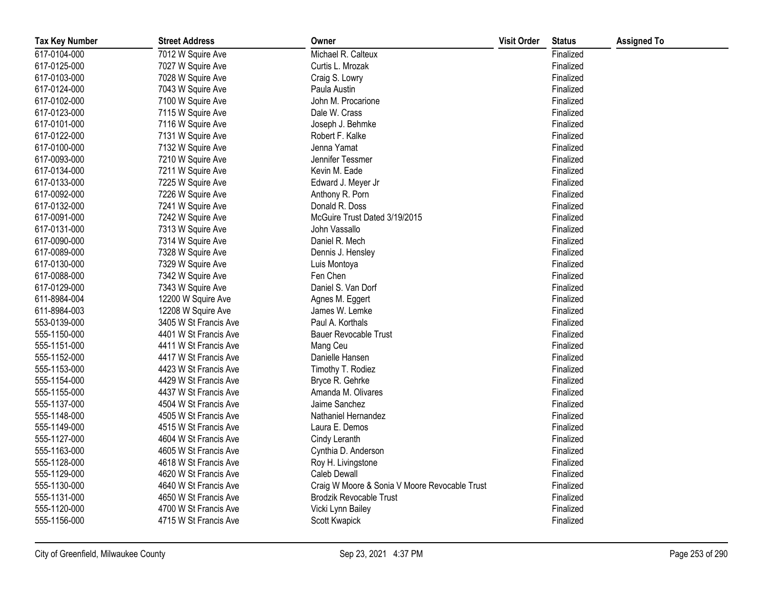| <b>Tax Key Number</b> | <b>Street Address</b> | Owner                                         | <b>Visit Order</b> | <b>Status</b> | <b>Assigned To</b> |
|-----------------------|-----------------------|-----------------------------------------------|--------------------|---------------|--------------------|
| 617-0104-000          | 7012 W Squire Ave     | Michael R. Calteux                            |                    | Finalized     |                    |
| 617-0125-000          | 7027 W Squire Ave     | Curtis L. Mrozak                              |                    | Finalized     |                    |
| 617-0103-000          | 7028 W Squire Ave     | Craig S. Lowry                                |                    | Finalized     |                    |
| 617-0124-000          | 7043 W Squire Ave     | Paula Austin                                  |                    | Finalized     |                    |
| 617-0102-000          | 7100 W Squire Ave     | John M. Procarione                            |                    | Finalized     |                    |
| 617-0123-000          | 7115 W Squire Ave     | Dale W. Crass                                 |                    | Finalized     |                    |
| 617-0101-000          | 7116 W Squire Ave     | Joseph J. Behmke                              |                    | Finalized     |                    |
| 617-0122-000          | 7131 W Squire Ave     | Robert F. Kalke                               |                    | Finalized     |                    |
| 617-0100-000          | 7132 W Squire Ave     | Jenna Yamat                                   |                    | Finalized     |                    |
| 617-0093-000          | 7210 W Squire Ave     | Jennifer Tessmer                              |                    | Finalized     |                    |
| 617-0134-000          | 7211 W Squire Ave     | Kevin M. Eade                                 |                    | Finalized     |                    |
| 617-0133-000          | 7225 W Squire Ave     | Edward J. Meyer Jr                            |                    | Finalized     |                    |
| 617-0092-000          | 7226 W Squire Ave     | Anthony R. Porn                               |                    | Finalized     |                    |
| 617-0132-000          | 7241 W Squire Ave     | Donald R. Doss                                |                    | Finalized     |                    |
| 617-0091-000          | 7242 W Squire Ave     | McGuire Trust Dated 3/19/2015                 |                    | Finalized     |                    |
| 617-0131-000          | 7313 W Squire Ave     | John Vassallo                                 |                    | Finalized     |                    |
| 617-0090-000          | 7314 W Squire Ave     | Daniel R. Mech                                |                    | Finalized     |                    |
| 617-0089-000          | 7328 W Squire Ave     | Dennis J. Hensley                             |                    | Finalized     |                    |
| 617-0130-000          | 7329 W Squire Ave     | Luis Montoya                                  |                    | Finalized     |                    |
| 617-0088-000          | 7342 W Squire Ave     | Fen Chen                                      |                    | Finalized     |                    |
| 617-0129-000          | 7343 W Squire Ave     | Daniel S. Van Dorf                            |                    | Finalized     |                    |
| 611-8984-004          | 12200 W Squire Ave    | Agnes M. Eggert                               |                    | Finalized     |                    |
| 611-8984-003          | 12208 W Squire Ave    | James W. Lemke                                |                    | Finalized     |                    |
| 553-0139-000          | 3405 W St Francis Ave | Paul A. Korthals                              |                    | Finalized     |                    |
| 555-1150-000          | 4401 W St Francis Ave | <b>Bauer Revocable Trust</b>                  |                    | Finalized     |                    |
| 555-1151-000          | 4411 W St Francis Ave | Mang Ceu                                      |                    | Finalized     |                    |
| 555-1152-000          | 4417 W St Francis Ave | Danielle Hansen                               |                    | Finalized     |                    |
| 555-1153-000          | 4423 W St Francis Ave | Timothy T. Rodiez                             |                    | Finalized     |                    |
| 555-1154-000          | 4429 W St Francis Ave | Bryce R. Gehrke                               |                    | Finalized     |                    |
| 555-1155-000          | 4437 W St Francis Ave | Amanda M. Olivares                            |                    | Finalized     |                    |
| 555-1137-000          | 4504 W St Francis Ave | Jaime Sanchez                                 |                    | Finalized     |                    |
| 555-1148-000          | 4505 W St Francis Ave | Nathaniel Hernandez                           |                    | Finalized     |                    |
| 555-1149-000          | 4515 W St Francis Ave | Laura E. Demos                                |                    | Finalized     |                    |
| 555-1127-000          | 4604 W St Francis Ave | Cindy Leranth                                 |                    | Finalized     |                    |
| 555-1163-000          | 4605 W St Francis Ave | Cynthia D. Anderson                           |                    | Finalized     |                    |
| 555-1128-000          | 4618 W St Francis Ave | Roy H. Livingstone                            |                    | Finalized     |                    |
| 555-1129-000          | 4620 W St Francis Ave | Caleb Dewall                                  |                    | Finalized     |                    |
| 555-1130-000          | 4640 W St Francis Ave | Craig W Moore & Sonia V Moore Revocable Trust |                    | Finalized     |                    |
| 555-1131-000          | 4650 W St Francis Ave | <b>Brodzik Revocable Trust</b>                |                    | Finalized     |                    |
| 555-1120-000          | 4700 W St Francis Ave | Vicki Lynn Bailey                             |                    | Finalized     |                    |
| 555-1156-000          | 4715 W St Francis Ave | Scott Kwapick                                 |                    | Finalized     |                    |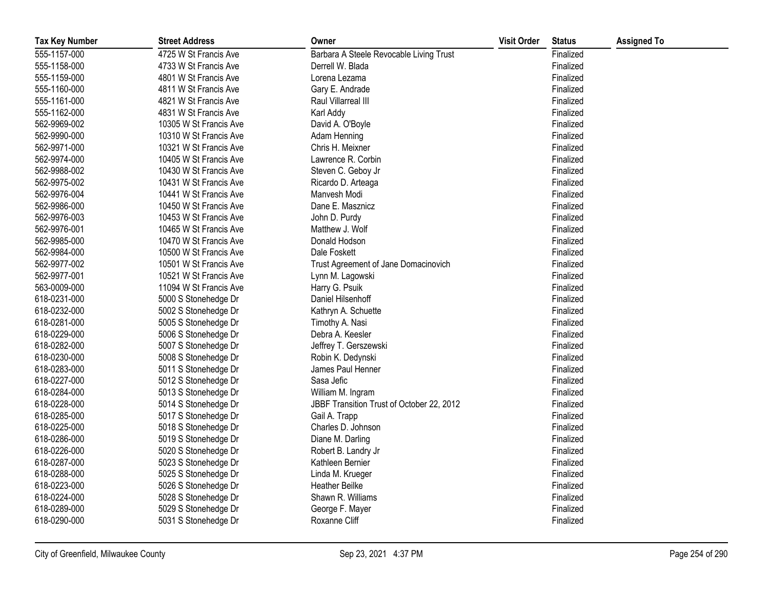| <b>Tax Key Number</b> | <b>Street Address</b>  | Owner                                     | <b>Visit Order</b> | <b>Status</b> | <b>Assigned To</b> |
|-----------------------|------------------------|-------------------------------------------|--------------------|---------------|--------------------|
| 555-1157-000          | 4725 W St Francis Ave  | Barbara A Steele Revocable Living Trust   |                    | Finalized     |                    |
| 555-1158-000          | 4733 W St Francis Ave  | Derrell W. Blada                          |                    | Finalized     |                    |
| 555-1159-000          | 4801 W St Francis Ave  | Lorena Lezama                             |                    | Finalized     |                    |
| 555-1160-000          | 4811 W St Francis Ave  | Gary E. Andrade                           |                    | Finalized     |                    |
| 555-1161-000          | 4821 W St Francis Ave  | Raul Villarreal III                       |                    | Finalized     |                    |
| 555-1162-000          | 4831 W St Francis Ave  | Karl Addy                                 |                    | Finalized     |                    |
| 562-9969-002          | 10305 W St Francis Ave | David A. O'Boyle                          |                    | Finalized     |                    |
| 562-9990-000          | 10310 W St Francis Ave | Adam Henning                              |                    | Finalized     |                    |
| 562-9971-000          | 10321 W St Francis Ave | Chris H. Meixner                          |                    | Finalized     |                    |
| 562-9974-000          | 10405 W St Francis Ave | Lawrence R. Corbin                        |                    | Finalized     |                    |
| 562-9988-002          | 10430 W St Francis Ave | Steven C. Geboy Jr                        |                    | Finalized     |                    |
| 562-9975-002          | 10431 W St Francis Ave | Ricardo D. Arteaga                        |                    | Finalized     |                    |
| 562-9976-004          | 10441 W St Francis Ave | Manvesh Modi                              |                    | Finalized     |                    |
| 562-9986-000          | 10450 W St Francis Ave | Dane E. Masznicz                          |                    | Finalized     |                    |
| 562-9976-003          | 10453 W St Francis Ave | John D. Purdy                             |                    | Finalized     |                    |
| 562-9976-001          | 10465 W St Francis Ave | Matthew J. Wolf                           |                    | Finalized     |                    |
| 562-9985-000          | 10470 W St Francis Ave | Donald Hodson                             |                    | Finalized     |                    |
| 562-9984-000          | 10500 W St Francis Ave | Dale Foskett                              |                    | Finalized     |                    |
| 562-9977-002          | 10501 W St Francis Ave | Trust Agreement of Jane Domacinovich      |                    | Finalized     |                    |
| 562-9977-001          | 10521 W St Francis Ave | Lynn M. Lagowski                          |                    | Finalized     |                    |
| 563-0009-000          | 11094 W St Francis Ave | Harry G. Psuik                            |                    | Finalized     |                    |
| 618-0231-000          | 5000 S Stonehedge Dr   | Daniel Hilsenhoff                         |                    | Finalized     |                    |
| 618-0232-000          | 5002 S Stonehedge Dr   | Kathryn A. Schuette                       |                    | Finalized     |                    |
| 618-0281-000          | 5005 S Stonehedge Dr   | Timothy A. Nasi                           |                    | Finalized     |                    |
| 618-0229-000          | 5006 S Stonehedge Dr   | Debra A. Keesler                          |                    | Finalized     |                    |
| 618-0282-000          | 5007 S Stonehedge Dr   | Jeffrey T. Gerszewski                     |                    | Finalized     |                    |
| 618-0230-000          | 5008 S Stonehedge Dr   | Robin K. Dedynski                         |                    | Finalized     |                    |
| 618-0283-000          | 5011 S Stonehedge Dr   | James Paul Henner                         |                    | Finalized     |                    |
| 618-0227-000          | 5012 S Stonehedge Dr   | Sasa Jefic                                |                    | Finalized     |                    |
| 618-0284-000          | 5013 S Stonehedge Dr   | William M. Ingram                         |                    | Finalized     |                    |
| 618-0228-000          | 5014 S Stonehedge Dr   | JBBF Transition Trust of October 22, 2012 |                    | Finalized     |                    |
| 618-0285-000          | 5017 S Stonehedge Dr   | Gail A. Trapp                             |                    | Finalized     |                    |
| 618-0225-000          | 5018 S Stonehedge Dr   | Charles D. Johnson                        |                    | Finalized     |                    |
| 618-0286-000          | 5019 S Stonehedge Dr   | Diane M. Darling                          |                    | Finalized     |                    |
| 618-0226-000          | 5020 S Stonehedge Dr   | Robert B. Landry Jr                       |                    | Finalized     |                    |
| 618-0287-000          | 5023 S Stonehedge Dr   | Kathleen Bernier                          |                    | Finalized     |                    |
| 618-0288-000          | 5025 S Stonehedge Dr   | Linda M. Krueger                          |                    | Finalized     |                    |
| 618-0223-000          | 5026 S Stonehedge Dr   | <b>Heather Beilke</b>                     |                    | Finalized     |                    |
| 618-0224-000          | 5028 S Stonehedge Dr   | Shawn R. Williams                         |                    | Finalized     |                    |
| 618-0289-000          | 5029 S Stonehedge Dr   | George F. Mayer                           |                    | Finalized     |                    |
| 618-0290-000          | 5031 S Stonehedge Dr   | Roxanne Cliff                             |                    | Finalized     |                    |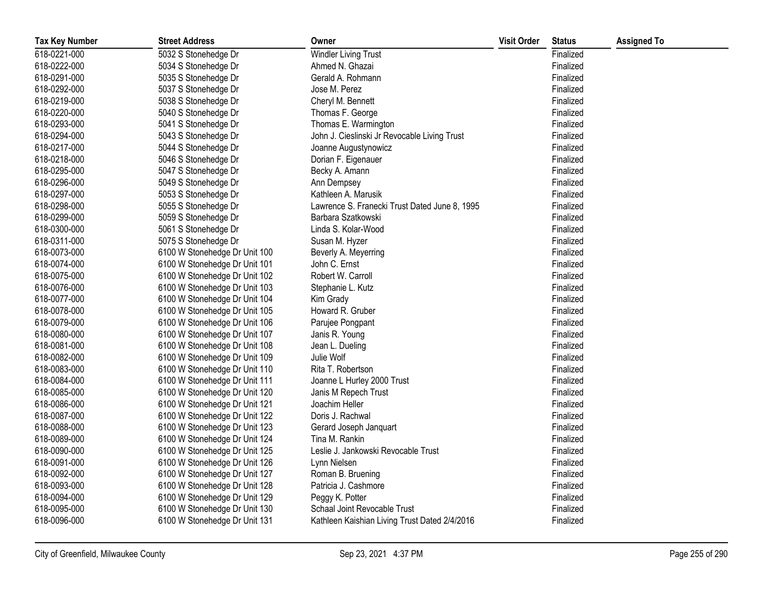| <b>Tax Key Number</b> | <b>Street Address</b>         | Owner                                         | <b>Visit Order</b> | <b>Status</b> | <b>Assigned To</b> |
|-----------------------|-------------------------------|-----------------------------------------------|--------------------|---------------|--------------------|
| 618-0221-000          | 5032 S Stonehedge Dr          | <b>Windler Living Trust</b>                   |                    | Finalized     |                    |
| 618-0222-000          | 5034 S Stonehedge Dr          | Ahmed N. Ghazai                               |                    | Finalized     |                    |
| 618-0291-000          | 5035 S Stonehedge Dr          | Gerald A. Rohmann                             |                    | Finalized     |                    |
| 618-0292-000          | 5037 S Stonehedge Dr          | Jose M. Perez                                 |                    | Finalized     |                    |
| 618-0219-000          | 5038 S Stonehedge Dr          | Cheryl M. Bennett                             |                    | Finalized     |                    |
| 618-0220-000          | 5040 S Stonehedge Dr          | Thomas F. George                              |                    | Finalized     |                    |
| 618-0293-000          | 5041 S Stonehedge Dr          | Thomas E. Warmington                          |                    | Finalized     |                    |
| 618-0294-000          | 5043 S Stonehedge Dr          | John J. Cieslinski Jr Revocable Living Trust  |                    | Finalized     |                    |
| 618-0217-000          | 5044 S Stonehedge Dr          | Joanne Augustynowicz                          |                    | Finalized     |                    |
| 618-0218-000          | 5046 S Stonehedge Dr          | Dorian F. Eigenauer                           |                    | Finalized     |                    |
| 618-0295-000          | 5047 S Stonehedge Dr          | Becky A. Amann                                |                    | Finalized     |                    |
| 618-0296-000          | 5049 S Stonehedge Dr          | Ann Dempsey                                   |                    | Finalized     |                    |
| 618-0297-000          | 5053 S Stonehedge Dr          | Kathleen A. Marusik                           |                    | Finalized     |                    |
| 618-0298-000          | 5055 S Stonehedge Dr          | Lawrence S. Franecki Trust Dated June 8, 1995 |                    | Finalized     |                    |
| 618-0299-000          | 5059 S Stonehedge Dr          | Barbara Szatkowski                            |                    | Finalized     |                    |
| 618-0300-000          | 5061 S Stonehedge Dr          | Linda S. Kolar-Wood                           |                    | Finalized     |                    |
| 618-0311-000          | 5075 S Stonehedge Dr          | Susan M. Hyzer                                |                    | Finalized     |                    |
| 618-0073-000          | 6100 W Stonehedge Dr Unit 100 | Beverly A. Meyerring                          |                    | Finalized     |                    |
| 618-0074-000          | 6100 W Stonehedge Dr Unit 101 | John C. Ernst                                 |                    | Finalized     |                    |
| 618-0075-000          | 6100 W Stonehedge Dr Unit 102 | Robert W. Carroll                             |                    | Finalized     |                    |
| 618-0076-000          | 6100 W Stonehedge Dr Unit 103 | Stephanie L. Kutz                             |                    | Finalized     |                    |
| 618-0077-000          | 6100 W Stonehedge Dr Unit 104 | Kim Grady                                     |                    | Finalized     |                    |
| 618-0078-000          | 6100 W Stonehedge Dr Unit 105 | Howard R. Gruber                              |                    | Finalized     |                    |
| 618-0079-000          | 6100 W Stonehedge Dr Unit 106 | Parujee Pongpant                              |                    | Finalized     |                    |
| 618-0080-000          | 6100 W Stonehedge Dr Unit 107 | Janis R. Young                                |                    | Finalized     |                    |
| 618-0081-000          | 6100 W Stonehedge Dr Unit 108 | Jean L. Dueling                               |                    | Finalized     |                    |
| 618-0082-000          | 6100 W Stonehedge Dr Unit 109 | Julie Wolf                                    |                    | Finalized     |                    |
| 618-0083-000          | 6100 W Stonehedge Dr Unit 110 | Rita T. Robertson                             |                    | Finalized     |                    |
| 618-0084-000          | 6100 W Stonehedge Dr Unit 111 | Joanne L Hurley 2000 Trust                    |                    | Finalized     |                    |
| 618-0085-000          | 6100 W Stonehedge Dr Unit 120 | Janis M Repech Trust                          |                    | Finalized     |                    |
| 618-0086-000          | 6100 W Stonehedge Dr Unit 121 | Joachim Heller                                |                    | Finalized     |                    |
| 618-0087-000          | 6100 W Stonehedge Dr Unit 122 | Doris J. Rachwal                              |                    | Finalized     |                    |
| 618-0088-000          | 6100 W Stonehedge Dr Unit 123 | Gerard Joseph Janquart                        |                    | Finalized     |                    |
| 618-0089-000          | 6100 W Stonehedge Dr Unit 124 | Tina M. Rankin                                |                    | Finalized     |                    |
| 618-0090-000          | 6100 W Stonehedge Dr Unit 125 | Leslie J. Jankowski Revocable Trust           |                    | Finalized     |                    |
| 618-0091-000          | 6100 W Stonehedge Dr Unit 126 | Lynn Nielsen                                  |                    | Finalized     |                    |
| 618-0092-000          | 6100 W Stonehedge Dr Unit 127 | Roman B. Bruening                             |                    | Finalized     |                    |
| 618-0093-000          | 6100 W Stonehedge Dr Unit 128 | Patricia J. Cashmore                          |                    | Finalized     |                    |
| 618-0094-000          | 6100 W Stonehedge Dr Unit 129 | Peggy K. Potter                               |                    | Finalized     |                    |
| 618-0095-000          | 6100 W Stonehedge Dr Unit 130 | Schaal Joint Revocable Trust                  |                    | Finalized     |                    |
| 618-0096-000          | 6100 W Stonehedge Dr Unit 131 | Kathleen Kaishian Living Trust Dated 2/4/2016 |                    | Finalized     |                    |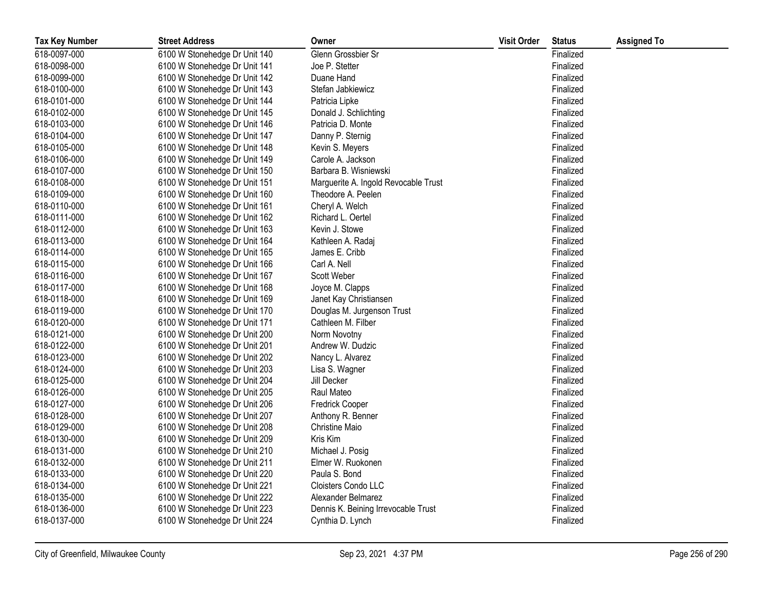| <b>Tax Key Number</b> | <b>Street Address</b>         | Owner                                | <b>Visit Order</b> | <b>Status</b> | <b>Assigned To</b> |
|-----------------------|-------------------------------|--------------------------------------|--------------------|---------------|--------------------|
| 618-0097-000          | 6100 W Stonehedge Dr Unit 140 | Glenn Grossbier Sr                   |                    | Finalized     |                    |
| 618-0098-000          | 6100 W Stonehedge Dr Unit 141 | Joe P. Stetter                       |                    | Finalized     |                    |
| 618-0099-000          | 6100 W Stonehedge Dr Unit 142 | Duane Hand                           |                    | Finalized     |                    |
| 618-0100-000          | 6100 W Stonehedge Dr Unit 143 | Stefan Jabkiewicz                    |                    | Finalized     |                    |
| 618-0101-000          | 6100 W Stonehedge Dr Unit 144 | Patricia Lipke                       |                    | Finalized     |                    |
| 618-0102-000          | 6100 W Stonehedge Dr Unit 145 | Donald J. Schlichting                |                    | Finalized     |                    |
| 618-0103-000          | 6100 W Stonehedge Dr Unit 146 | Patricia D. Monte                    |                    | Finalized     |                    |
| 618-0104-000          | 6100 W Stonehedge Dr Unit 147 | Danny P. Sternig                     |                    | Finalized     |                    |
| 618-0105-000          | 6100 W Stonehedge Dr Unit 148 | Kevin S. Meyers                      |                    | Finalized     |                    |
| 618-0106-000          | 6100 W Stonehedge Dr Unit 149 | Carole A. Jackson                    |                    | Finalized     |                    |
| 618-0107-000          | 6100 W Stonehedge Dr Unit 150 | Barbara B. Wisniewski                |                    | Finalized     |                    |
| 618-0108-000          | 6100 W Stonehedge Dr Unit 151 | Marguerite A. Ingold Revocable Trust |                    | Finalized     |                    |
| 618-0109-000          | 6100 W Stonehedge Dr Unit 160 | Theodore A. Peelen                   |                    | Finalized     |                    |
| 618-0110-000          | 6100 W Stonehedge Dr Unit 161 | Cheryl A. Welch                      |                    | Finalized     |                    |
| 618-0111-000          | 6100 W Stonehedge Dr Unit 162 | Richard L. Oertel                    |                    | Finalized     |                    |
| 618-0112-000          | 6100 W Stonehedge Dr Unit 163 | Kevin J. Stowe                       |                    | Finalized     |                    |
| 618-0113-000          | 6100 W Stonehedge Dr Unit 164 | Kathleen A. Radaj                    |                    | Finalized     |                    |
| 618-0114-000          | 6100 W Stonehedge Dr Unit 165 | James E. Cribb                       |                    | Finalized     |                    |
| 618-0115-000          | 6100 W Stonehedge Dr Unit 166 | Carl A. Nell                         |                    | Finalized     |                    |
| 618-0116-000          | 6100 W Stonehedge Dr Unit 167 | Scott Weber                          |                    | Finalized     |                    |
| 618-0117-000          | 6100 W Stonehedge Dr Unit 168 | Joyce M. Clapps                      |                    | Finalized     |                    |
| 618-0118-000          | 6100 W Stonehedge Dr Unit 169 | Janet Kay Christiansen               |                    | Finalized     |                    |
| 618-0119-000          | 6100 W Stonehedge Dr Unit 170 | Douglas M. Jurgenson Trust           |                    | Finalized     |                    |
| 618-0120-000          | 6100 W Stonehedge Dr Unit 171 | Cathleen M. Filber                   |                    | Finalized     |                    |
| 618-0121-000          | 6100 W Stonehedge Dr Unit 200 | Norm Novotny                         |                    | Finalized     |                    |
| 618-0122-000          | 6100 W Stonehedge Dr Unit 201 | Andrew W. Dudzic                     |                    | Finalized     |                    |
| 618-0123-000          | 6100 W Stonehedge Dr Unit 202 | Nancy L. Alvarez                     |                    | Finalized     |                    |
| 618-0124-000          | 6100 W Stonehedge Dr Unit 203 | Lisa S. Wagner                       |                    | Finalized     |                    |
| 618-0125-000          | 6100 W Stonehedge Dr Unit 204 | Jill Decker                          |                    | Finalized     |                    |
| 618-0126-000          | 6100 W Stonehedge Dr Unit 205 | Raul Mateo                           |                    | Finalized     |                    |
| 618-0127-000          | 6100 W Stonehedge Dr Unit 206 | <b>Fredrick Cooper</b>               |                    | Finalized     |                    |
| 618-0128-000          | 6100 W Stonehedge Dr Unit 207 | Anthony R. Benner                    |                    | Finalized     |                    |
| 618-0129-000          | 6100 W Stonehedge Dr Unit 208 | <b>Christine Maio</b>                |                    | Finalized     |                    |
| 618-0130-000          | 6100 W Stonehedge Dr Unit 209 | Kris Kim                             |                    | Finalized     |                    |
| 618-0131-000          | 6100 W Stonehedge Dr Unit 210 | Michael J. Posig                     |                    | Finalized     |                    |
| 618-0132-000          | 6100 W Stonehedge Dr Unit 211 | Elmer W. Ruokonen                    |                    | Finalized     |                    |
| 618-0133-000          | 6100 W Stonehedge Dr Unit 220 | Paula S. Bond                        |                    | Finalized     |                    |
| 618-0134-000          | 6100 W Stonehedge Dr Unit 221 | Cloisters Condo LLC                  |                    | Finalized     |                    |
| 618-0135-000          | 6100 W Stonehedge Dr Unit 222 | Alexander Belmarez                   |                    | Finalized     |                    |
| 618-0136-000          | 6100 W Stonehedge Dr Unit 223 | Dennis K. Beining Irrevocable Trust  |                    | Finalized     |                    |
| 618-0137-000          | 6100 W Stonehedge Dr Unit 224 | Cynthia D. Lynch                     |                    | Finalized     |                    |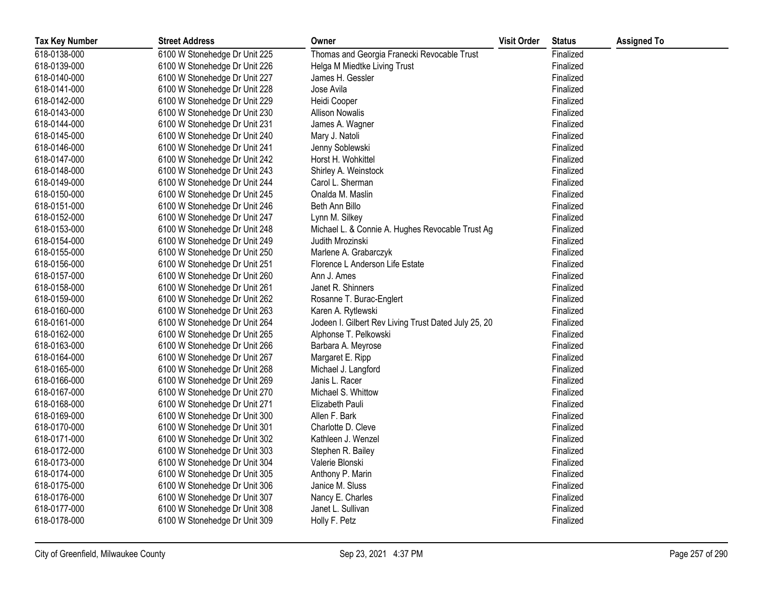| <b>Tax Key Number</b> | <b>Street Address</b>         | Owner                                                | <b>Visit Order</b> | <b>Status</b> | <b>Assigned To</b> |
|-----------------------|-------------------------------|------------------------------------------------------|--------------------|---------------|--------------------|
| 618-0138-000          | 6100 W Stonehedge Dr Unit 225 | Thomas and Georgia Franecki Revocable Trust          |                    | Finalized     |                    |
| 618-0139-000          | 6100 W Stonehedge Dr Unit 226 | Helga M Miedtke Living Trust                         |                    | Finalized     |                    |
| 618-0140-000          | 6100 W Stonehedge Dr Unit 227 | James H. Gessler                                     |                    | Finalized     |                    |
| 618-0141-000          | 6100 W Stonehedge Dr Unit 228 | Jose Avila                                           |                    | Finalized     |                    |
| 618-0142-000          | 6100 W Stonehedge Dr Unit 229 | Heidi Cooper                                         |                    | Finalized     |                    |
| 618-0143-000          | 6100 W Stonehedge Dr Unit 230 | <b>Allison Nowalis</b>                               |                    | Finalized     |                    |
| 618-0144-000          | 6100 W Stonehedge Dr Unit 231 | James A. Wagner                                      |                    | Finalized     |                    |
| 618-0145-000          | 6100 W Stonehedge Dr Unit 240 | Mary J. Natoli                                       |                    | Finalized     |                    |
| 618-0146-000          | 6100 W Stonehedge Dr Unit 241 | Jenny Soblewski                                      |                    | Finalized     |                    |
| 618-0147-000          | 6100 W Stonehedge Dr Unit 242 | Horst H. Wohkittel                                   |                    | Finalized     |                    |
| 618-0148-000          | 6100 W Stonehedge Dr Unit 243 | Shirley A. Weinstock                                 |                    | Finalized     |                    |
| 618-0149-000          | 6100 W Stonehedge Dr Unit 244 | Carol L. Sherman                                     |                    | Finalized     |                    |
| 618-0150-000          | 6100 W Stonehedge Dr Unit 245 | Onalda M. Maslin                                     |                    | Finalized     |                    |
| 618-0151-000          | 6100 W Stonehedge Dr Unit 246 | Beth Ann Billo                                       |                    | Finalized     |                    |
| 618-0152-000          | 6100 W Stonehedge Dr Unit 247 | Lynn M. Silkey                                       |                    | Finalized     |                    |
| 618-0153-000          | 6100 W Stonehedge Dr Unit 248 | Michael L. & Connie A. Hughes Revocable Trust Ag     |                    | Finalized     |                    |
| 618-0154-000          | 6100 W Stonehedge Dr Unit 249 | Judith Mrozinski                                     |                    | Finalized     |                    |
| 618-0155-000          | 6100 W Stonehedge Dr Unit 250 | Marlene A. Grabarczyk                                |                    | Finalized     |                    |
| 618-0156-000          | 6100 W Stonehedge Dr Unit 251 | Florence L Anderson Life Estate                      |                    | Finalized     |                    |
| 618-0157-000          | 6100 W Stonehedge Dr Unit 260 | Ann J. Ames                                          |                    | Finalized     |                    |
| 618-0158-000          | 6100 W Stonehedge Dr Unit 261 | Janet R. Shinners                                    |                    | Finalized     |                    |
| 618-0159-000          | 6100 W Stonehedge Dr Unit 262 | Rosanne T. Burac-Englert                             |                    | Finalized     |                    |
| 618-0160-000          | 6100 W Stonehedge Dr Unit 263 | Karen A. Rytlewski                                   |                    | Finalized     |                    |
| 618-0161-000          | 6100 W Stonehedge Dr Unit 264 | Jodeen I. Gilbert Rev Living Trust Dated July 25, 20 |                    | Finalized     |                    |
| 618-0162-000          | 6100 W Stonehedge Dr Unit 265 | Alphonse T. Pelkowski                                |                    | Finalized     |                    |
| 618-0163-000          | 6100 W Stonehedge Dr Unit 266 | Barbara A. Meyrose                                   |                    | Finalized     |                    |
| 618-0164-000          | 6100 W Stonehedge Dr Unit 267 | Margaret E. Ripp                                     |                    | Finalized     |                    |
| 618-0165-000          | 6100 W Stonehedge Dr Unit 268 | Michael J. Langford                                  |                    | Finalized     |                    |
| 618-0166-000          | 6100 W Stonehedge Dr Unit 269 | Janis L. Racer                                       |                    | Finalized     |                    |
| 618-0167-000          | 6100 W Stonehedge Dr Unit 270 | Michael S. Whittow                                   |                    | Finalized     |                    |
| 618-0168-000          | 6100 W Stonehedge Dr Unit 271 | Elizabeth Pauli                                      |                    | Finalized     |                    |
| 618-0169-000          | 6100 W Stonehedge Dr Unit 300 | Allen F. Bark                                        |                    | Finalized     |                    |
| 618-0170-000          | 6100 W Stonehedge Dr Unit 301 | Charlotte D. Cleve                                   |                    | Finalized     |                    |
| 618-0171-000          | 6100 W Stonehedge Dr Unit 302 | Kathleen J. Wenzel                                   |                    | Finalized     |                    |
| 618-0172-000          | 6100 W Stonehedge Dr Unit 303 | Stephen R. Bailey                                    |                    | Finalized     |                    |
| 618-0173-000          | 6100 W Stonehedge Dr Unit 304 | Valerie Blonski                                      |                    | Finalized     |                    |
| 618-0174-000          | 6100 W Stonehedge Dr Unit 305 | Anthony P. Marin                                     |                    | Finalized     |                    |
| 618-0175-000          | 6100 W Stonehedge Dr Unit 306 | Janice M. Sluss                                      |                    | Finalized     |                    |
| 618-0176-000          | 6100 W Stonehedge Dr Unit 307 | Nancy E. Charles                                     |                    | Finalized     |                    |
| 618-0177-000          | 6100 W Stonehedge Dr Unit 308 | Janet L. Sullivan                                    |                    | Finalized     |                    |
| 618-0178-000          | 6100 W Stonehedge Dr Unit 309 | Holly F. Petz                                        |                    | Finalized     |                    |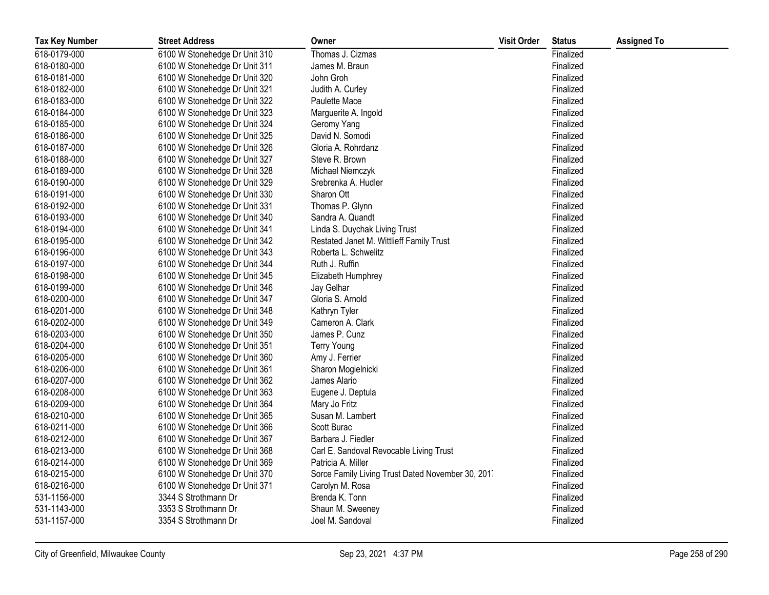| <b>Tax Key Number</b> | <b>Street Address</b>         | Owner                                             | <b>Visit Order</b> | <b>Status</b> | <b>Assigned To</b> |
|-----------------------|-------------------------------|---------------------------------------------------|--------------------|---------------|--------------------|
| 618-0179-000          | 6100 W Stonehedge Dr Unit 310 | Thomas J. Cizmas                                  |                    | Finalized     |                    |
| 618-0180-000          | 6100 W Stonehedge Dr Unit 311 | James M. Braun                                    |                    | Finalized     |                    |
| 618-0181-000          | 6100 W Stonehedge Dr Unit 320 | John Groh                                         |                    | Finalized     |                    |
| 618-0182-000          | 6100 W Stonehedge Dr Unit 321 | Judith A. Curley                                  |                    | Finalized     |                    |
| 618-0183-000          | 6100 W Stonehedge Dr Unit 322 | Paulette Mace                                     |                    | Finalized     |                    |
| 618-0184-000          | 6100 W Stonehedge Dr Unit 323 | Marguerite A. Ingold                              |                    | Finalized     |                    |
| 618-0185-000          | 6100 W Stonehedge Dr Unit 324 | Geromy Yang                                       |                    | Finalized     |                    |
| 618-0186-000          | 6100 W Stonehedge Dr Unit 325 | David N. Somodi                                   |                    | Finalized     |                    |
| 618-0187-000          | 6100 W Stonehedge Dr Unit 326 | Gloria A. Rohrdanz                                |                    | Finalized     |                    |
| 618-0188-000          | 6100 W Stonehedge Dr Unit 327 | Steve R. Brown                                    |                    | Finalized     |                    |
| 618-0189-000          | 6100 W Stonehedge Dr Unit 328 | Michael Niemczyk                                  |                    | Finalized     |                    |
| 618-0190-000          | 6100 W Stonehedge Dr Unit 329 | Srebrenka A. Hudler                               |                    | Finalized     |                    |
| 618-0191-000          | 6100 W Stonehedge Dr Unit 330 | Sharon Ott                                        |                    | Finalized     |                    |
| 618-0192-000          | 6100 W Stonehedge Dr Unit 331 | Thomas P. Glynn                                   |                    | Finalized     |                    |
| 618-0193-000          | 6100 W Stonehedge Dr Unit 340 | Sandra A. Quandt                                  |                    | Finalized     |                    |
| 618-0194-000          | 6100 W Stonehedge Dr Unit 341 | Linda S. Duychak Living Trust                     |                    | Finalized     |                    |
| 618-0195-000          | 6100 W Stonehedge Dr Unit 342 | Restated Janet M. Wittlieff Family Trust          |                    | Finalized     |                    |
| 618-0196-000          | 6100 W Stonehedge Dr Unit 343 | Roberta L. Schwelitz                              |                    | Finalized     |                    |
| 618-0197-000          | 6100 W Stonehedge Dr Unit 344 | Ruth J. Ruffin                                    |                    | Finalized     |                    |
| 618-0198-000          | 6100 W Stonehedge Dr Unit 345 | Elizabeth Humphrey                                |                    | Finalized     |                    |
| 618-0199-000          | 6100 W Stonehedge Dr Unit 346 | Jay Gelhar                                        |                    | Finalized     |                    |
| 618-0200-000          | 6100 W Stonehedge Dr Unit 347 | Gloria S. Arnold                                  |                    | Finalized     |                    |
| 618-0201-000          | 6100 W Stonehedge Dr Unit 348 | Kathryn Tyler                                     |                    | Finalized     |                    |
| 618-0202-000          | 6100 W Stonehedge Dr Unit 349 | Cameron A. Clark                                  |                    | Finalized     |                    |
| 618-0203-000          | 6100 W Stonehedge Dr Unit 350 | James P. Cunz                                     |                    | Finalized     |                    |
| 618-0204-000          | 6100 W Stonehedge Dr Unit 351 | <b>Terry Young</b>                                |                    | Finalized     |                    |
| 618-0205-000          | 6100 W Stonehedge Dr Unit 360 | Amy J. Ferrier                                    |                    | Finalized     |                    |
| 618-0206-000          | 6100 W Stonehedge Dr Unit 361 | Sharon Mogielnicki                                |                    | Finalized     |                    |
| 618-0207-000          | 6100 W Stonehedge Dr Unit 362 | James Alario                                      |                    | Finalized     |                    |
| 618-0208-000          | 6100 W Stonehedge Dr Unit 363 | Eugene J. Deptula                                 |                    | Finalized     |                    |
| 618-0209-000          | 6100 W Stonehedge Dr Unit 364 | Mary Jo Fritz                                     |                    | Finalized     |                    |
| 618-0210-000          | 6100 W Stonehedge Dr Unit 365 | Susan M. Lambert                                  |                    | Finalized     |                    |
| 618-0211-000          | 6100 W Stonehedge Dr Unit 366 | Scott Burac                                       |                    | Finalized     |                    |
| 618-0212-000          | 6100 W Stonehedge Dr Unit 367 | Barbara J. Fiedler                                |                    | Finalized     |                    |
| 618-0213-000          | 6100 W Stonehedge Dr Unit 368 | Carl E. Sandoval Revocable Living Trust           |                    | Finalized     |                    |
| 618-0214-000          | 6100 W Stonehedge Dr Unit 369 | Patricia A. Miller                                |                    | Finalized     |                    |
| 618-0215-000          | 6100 W Stonehedge Dr Unit 370 | Sorce Family Living Trust Dated November 30, 2017 |                    | Finalized     |                    |
| 618-0216-000          | 6100 W Stonehedge Dr Unit 371 | Carolyn M. Rosa                                   |                    | Finalized     |                    |
| 531-1156-000          | 3344 S Strothmann Dr          | Brenda K. Tonn                                    |                    | Finalized     |                    |
| 531-1143-000          | 3353 S Strothmann Dr          | Shaun M. Sweeney                                  |                    | Finalized     |                    |
| 531-1157-000          | 3354 S Strothmann Dr          | Joel M. Sandoval                                  |                    | Finalized     |                    |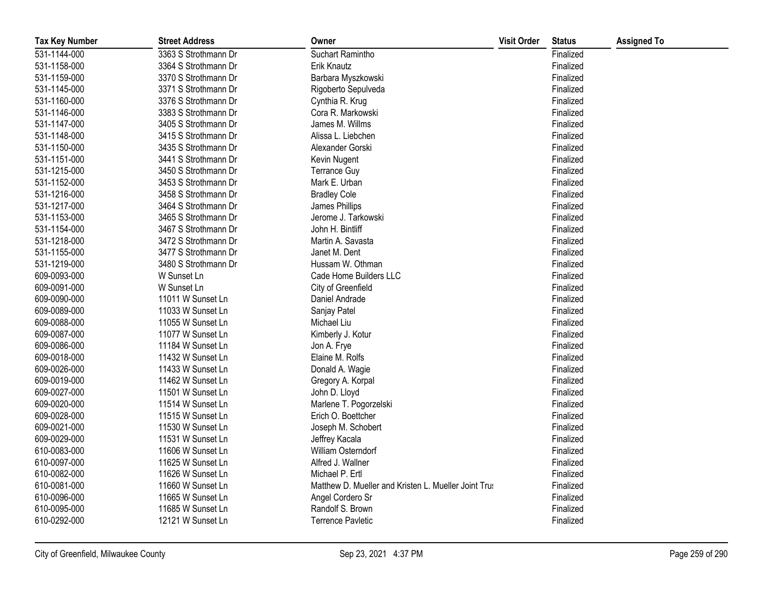| <b>Tax Key Number</b> | <b>Street Address</b> | Owner                                                | <b>Visit Order</b> | <b>Status</b> | <b>Assigned To</b> |
|-----------------------|-----------------------|------------------------------------------------------|--------------------|---------------|--------------------|
| 531-1144-000          | 3363 S Strothmann Dr  | Suchart Ramintho                                     |                    | Finalized     |                    |
| 531-1158-000          | 3364 S Strothmann Dr  | Erik Knautz                                          |                    | Finalized     |                    |
| 531-1159-000          | 3370 S Strothmann Dr  | Barbara Myszkowski                                   |                    | Finalized     |                    |
| 531-1145-000          | 3371 S Strothmann Dr  | Rigoberto Sepulveda                                  |                    | Finalized     |                    |
| 531-1160-000          | 3376 S Strothmann Dr  | Cynthia R. Krug                                      |                    | Finalized     |                    |
| 531-1146-000          | 3383 S Strothmann Dr  | Cora R. Markowski                                    |                    | Finalized     |                    |
| 531-1147-000          | 3405 S Strothmann Dr  | James M. Willms                                      |                    | Finalized     |                    |
| 531-1148-000          | 3415 S Strothmann Dr  | Alissa L. Liebchen                                   |                    | Finalized     |                    |
| 531-1150-000          | 3435 S Strothmann Dr  | Alexander Gorski                                     |                    | Finalized     |                    |
| 531-1151-000          | 3441 S Strothmann Dr  | Kevin Nugent                                         |                    | Finalized     |                    |
| 531-1215-000          | 3450 S Strothmann Dr  | <b>Terrance Guy</b>                                  |                    | Finalized     |                    |
| 531-1152-000          | 3453 S Strothmann Dr  | Mark E. Urban                                        |                    | Finalized     |                    |
| 531-1216-000          | 3458 S Strothmann Dr  | <b>Bradley Cole</b>                                  |                    | Finalized     |                    |
| 531-1217-000          | 3464 S Strothmann Dr  | James Phillips                                       |                    | Finalized     |                    |
| 531-1153-000          | 3465 S Strothmann Dr  | Jerome J. Tarkowski                                  |                    | Finalized     |                    |
| 531-1154-000          | 3467 S Strothmann Dr  | John H. Bintliff                                     |                    | Finalized     |                    |
| 531-1218-000          | 3472 S Strothmann Dr  | Martin A. Savasta                                    |                    | Finalized     |                    |
| 531-1155-000          | 3477 S Strothmann Dr  | Janet M. Dent                                        |                    | Finalized     |                    |
| 531-1219-000          | 3480 S Strothmann Dr  | Hussam W. Othman                                     |                    | Finalized     |                    |
| 609-0093-000          | W Sunset Ln           | Cade Home Builders LLC                               |                    | Finalized     |                    |
| 609-0091-000          | W Sunset Ln           | City of Greenfield                                   |                    | Finalized     |                    |
| 609-0090-000          | 11011 W Sunset Ln     | Daniel Andrade                                       |                    | Finalized     |                    |
| 609-0089-000          | 11033 W Sunset Ln     | Sanjay Patel                                         |                    | Finalized     |                    |
| 609-0088-000          | 11055 W Sunset Ln     | Michael Liu                                          |                    | Finalized     |                    |
| 609-0087-000          | 11077 W Sunset Ln     | Kimberly J. Kotur                                    |                    | Finalized     |                    |
| 609-0086-000          | 11184 W Sunset Ln     | Jon A. Frye                                          |                    | Finalized     |                    |
| 609-0018-000          | 11432 W Sunset Ln     | Elaine M. Rolfs                                      |                    | Finalized     |                    |
| 609-0026-000          | 11433 W Sunset Ln     | Donald A. Wagie                                      |                    | Finalized     |                    |
| 609-0019-000          | 11462 W Sunset Ln     | Gregory A. Korpal                                    |                    | Finalized     |                    |
| 609-0027-000          | 11501 W Sunset Ln     | John D. Lloyd                                        |                    | Finalized     |                    |
| 609-0020-000          | 11514 W Sunset Ln     | Marlene T. Pogorzelski                               |                    | Finalized     |                    |
| 609-0028-000          | 11515 W Sunset Ln     | Erich O. Boettcher                                   |                    | Finalized     |                    |
| 609-0021-000          | 11530 W Sunset Ln     | Joseph M. Schobert                                   |                    | Finalized     |                    |
| 609-0029-000          | 11531 W Sunset Ln     | Jeffrey Kacala                                       |                    | Finalized     |                    |
| 610-0083-000          | 11606 W Sunset Ln     | William Osterndorf                                   |                    | Finalized     |                    |
| 610-0097-000          | 11625 W Sunset Ln     | Alfred J. Wallner                                    |                    | Finalized     |                    |
| 610-0082-000          | 11626 W Sunset Ln     | Michael P. Ertl                                      |                    | Finalized     |                    |
| 610-0081-000          | 11660 W Sunset Ln     | Matthew D. Mueller and Kristen L. Mueller Joint Trus |                    | Finalized     |                    |
| 610-0096-000          | 11665 W Sunset Ln     | Angel Cordero Sr                                     |                    | Finalized     |                    |
| 610-0095-000          | 11685 W Sunset Ln     | Randolf S. Brown                                     |                    | Finalized     |                    |
| 610-0292-000          | 12121 W Sunset Ln     | <b>Terrence Pavletic</b>                             |                    | Finalized     |                    |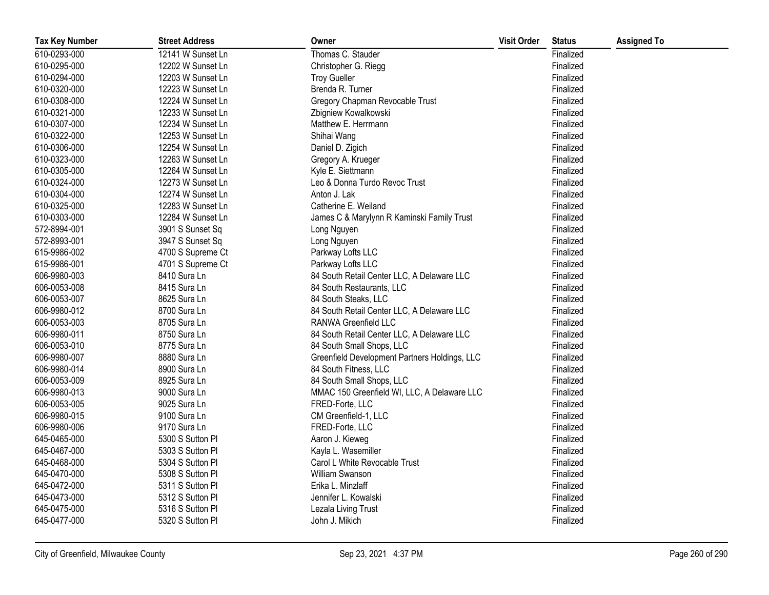| <b>Tax Key Number</b> | <b>Street Address</b> | Owner                                         | <b>Visit Order</b> | <b>Status</b> | <b>Assigned To</b> |
|-----------------------|-----------------------|-----------------------------------------------|--------------------|---------------|--------------------|
| 610-0293-000          | 12141 W Sunset Ln     | Thomas C. Stauder                             |                    | Finalized     |                    |
| 610-0295-000          | 12202 W Sunset Ln     | Christopher G. Riegg                          |                    | Finalized     |                    |
| 610-0294-000          | 12203 W Sunset Ln     | <b>Troy Gueller</b>                           |                    | Finalized     |                    |
| 610-0320-000          | 12223 W Sunset Ln     | Brenda R. Turner                              |                    | Finalized     |                    |
| 610-0308-000          | 12224 W Sunset Ln     | Gregory Chapman Revocable Trust               |                    | Finalized     |                    |
| 610-0321-000          | 12233 W Sunset Ln     | Zbigniew Kowalkowski                          |                    | Finalized     |                    |
| 610-0307-000          | 12234 W Sunset Ln     | Matthew E. Herrmann                           |                    | Finalized     |                    |
| 610-0322-000          | 12253 W Sunset Ln     | Shihai Wang                                   |                    | Finalized     |                    |
| 610-0306-000          | 12254 W Sunset Ln     | Daniel D. Zigich                              |                    | Finalized     |                    |
| 610-0323-000          | 12263 W Sunset Ln     | Gregory A. Krueger                            |                    | Finalized     |                    |
| 610-0305-000          | 12264 W Sunset Ln     | Kyle E. Siettmann                             |                    | Finalized     |                    |
| 610-0324-000          | 12273 W Sunset Ln     | Leo & Donna Turdo Revoc Trust                 |                    | Finalized     |                    |
| 610-0304-000          | 12274 W Sunset Ln     | Anton J. Lak                                  |                    | Finalized     |                    |
| 610-0325-000          | 12283 W Sunset Ln     | Catherine E. Weiland                          |                    | Finalized     |                    |
| 610-0303-000          | 12284 W Sunset Ln     | James C & Marylynn R Kaminski Family Trust    |                    | Finalized     |                    |
| 572-8994-001          | 3901 S Sunset Sq      | Long Nguyen                                   |                    | Finalized     |                    |
| 572-8993-001          | 3947 S Sunset Sq      | Long Nguyen                                   |                    | Finalized     |                    |
| 615-9986-002          | 4700 S Supreme Ct     | Parkway Lofts LLC                             |                    | Finalized     |                    |
| 615-9986-001          | 4701 S Supreme Ct     | Parkway Lofts LLC                             |                    | Finalized     |                    |
| 606-9980-003          | 8410 Sura Ln          | 84 South Retail Center LLC, A Delaware LLC    |                    | Finalized     |                    |
| 606-0053-008          | 8415 Sura Ln          | 84 South Restaurants, LLC                     |                    | Finalized     |                    |
| 606-0053-007          | 8625 Sura Ln          | 84 South Steaks, LLC                          |                    | Finalized     |                    |
| 606-9980-012          | 8700 Sura Ln          | 84 South Retail Center LLC, A Delaware LLC    |                    | Finalized     |                    |
| 606-0053-003          | 8705 Sura Ln          | RANWA Greenfield LLC                          |                    | Finalized     |                    |
| 606-9980-011          | 8750 Sura Ln          | 84 South Retail Center LLC, A Delaware LLC    |                    | Finalized     |                    |
| 606-0053-010          | 8775 Sura Ln          | 84 South Small Shops, LLC                     |                    | Finalized     |                    |
| 606-9980-007          | 8880 Sura Ln          | Greenfield Development Partners Holdings, LLC |                    | Finalized     |                    |
| 606-9980-014          | 8900 Sura Ln          | 84 South Fitness, LLC                         |                    | Finalized     |                    |
| 606-0053-009          | 8925 Sura Ln          | 84 South Small Shops, LLC                     |                    | Finalized     |                    |
| 606-9980-013          | 9000 Sura Ln          | MMAC 150 Greenfield WI, LLC, A Delaware LLC   |                    | Finalized     |                    |
| 606-0053-005          | 9025 Sura Ln          | FRED-Forte, LLC                               |                    | Finalized     |                    |
| 606-9980-015          | 9100 Sura Ln          | CM Greenfield-1, LLC                          |                    | Finalized     |                    |
| 606-9980-006          | 9170 Sura Ln          | FRED-Forte, LLC                               |                    | Finalized     |                    |
| 645-0465-000          | 5300 S Sutton PI      | Aaron J. Kieweg                               |                    | Finalized     |                    |
| 645-0467-000          | 5303 S Sutton Pl      | Kayla L. Wasemiller                           |                    | Finalized     |                    |
| 645-0468-000          | 5304 S Sutton Pl      | Carol L White Revocable Trust                 |                    | Finalized     |                    |
| 645-0470-000          | 5308 S Sutton Pl      | William Swanson                               |                    | Finalized     |                    |
| 645-0472-000          | 5311 S Sutton PI      | Erika L. Minzlaff                             |                    | Finalized     |                    |
| 645-0473-000          | 5312 S Sutton Pl      | Jennifer L. Kowalski                          |                    | Finalized     |                    |
| 645-0475-000          | 5316 S Sutton Pl      | Lezala Living Trust                           |                    | Finalized     |                    |
| 645-0477-000          | 5320 S Sutton Pl      | John J. Mikich                                |                    | Finalized     |                    |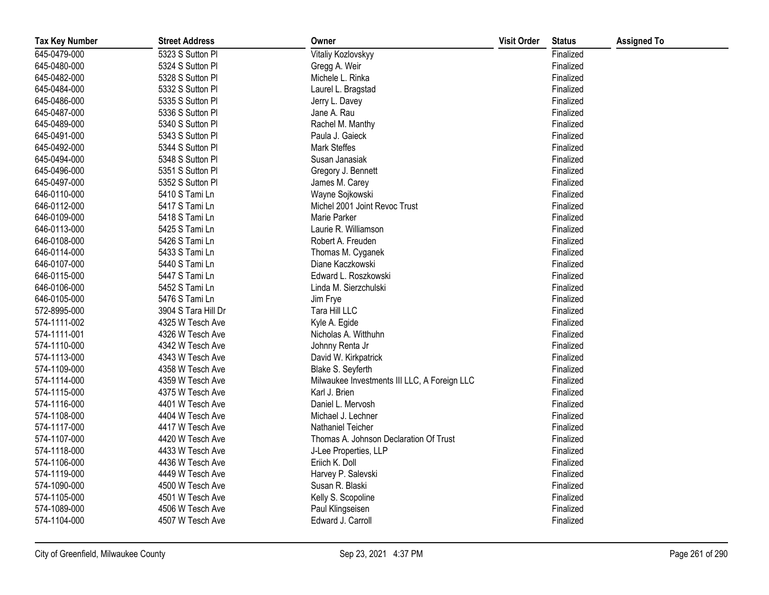| <b>Tax Key Number</b> | <b>Street Address</b> | Owner                                        | <b>Visit Order</b> | <b>Status</b> | <b>Assigned To</b> |
|-----------------------|-----------------------|----------------------------------------------|--------------------|---------------|--------------------|
| 645-0479-000          | 5323 S Sutton Pl      | Vitaliy Kozlovskyy                           |                    | Finalized     |                    |
| 645-0480-000          | 5324 S Sutton Pl      | Gregg A. Weir                                |                    | Finalized     |                    |
| 645-0482-000          | 5328 S Sutton Pl      | Michele L. Rinka                             |                    | Finalized     |                    |
| 645-0484-000          | 5332 S Sutton Pl      | Laurel L. Bragstad                           |                    | Finalized     |                    |
| 645-0486-000          | 5335 S Sutton Pl      | Jerry L. Davey                               |                    | Finalized     |                    |
| 645-0487-000          | 5336 S Sutton Pl      | Jane A. Rau                                  |                    | Finalized     |                    |
| 645-0489-000          | 5340 S Sutton Pl      | Rachel M. Manthy                             |                    | Finalized     |                    |
| 645-0491-000          | 5343 S Sutton Pl      | Paula J. Gaieck                              |                    | Finalized     |                    |
| 645-0492-000          | 5344 S Sutton Pl      | <b>Mark Steffes</b>                          |                    | Finalized     |                    |
| 645-0494-000          | 5348 S Sutton Pl      | Susan Janasiak                               |                    | Finalized     |                    |
| 645-0496-000          | 5351 S Sutton Pl      | Gregory J. Bennett                           |                    | Finalized     |                    |
| 645-0497-000          | 5352 S Sutton Pl      | James M. Carey                               |                    | Finalized     |                    |
| 646-0110-000          | 5410 S Tami Ln        | Wayne Sojkowski                              |                    | Finalized     |                    |
| 646-0112-000          | 5417 S Tami Ln        | Michel 2001 Joint Revoc Trust                |                    | Finalized     |                    |
| 646-0109-000          | 5418 S Tami Ln        | Marie Parker                                 |                    | Finalized     |                    |
| 646-0113-000          | 5425 S Tami Ln        | Laurie R. Williamson                         |                    | Finalized     |                    |
| 646-0108-000          | 5426 S Tami Ln        | Robert A. Freuden                            |                    | Finalized     |                    |
| 646-0114-000          | 5433 S Tami Ln        | Thomas M. Cyganek                            |                    | Finalized     |                    |
| 646-0107-000          | 5440 S Tami Ln        | Diane Kaczkowski                             |                    | Finalized     |                    |
| 646-0115-000          | 5447 S Tami Ln        | Edward L. Roszkowski                         |                    | Finalized     |                    |
| 646-0106-000          | 5452 S Tami Ln        | Linda M. Sierzchulski                        |                    | Finalized     |                    |
| 646-0105-000          | 5476 S Tami Ln        | Jim Frye                                     |                    | Finalized     |                    |
| 572-8995-000          | 3904 S Tara Hill Dr   | Tara Hill LLC                                |                    | Finalized     |                    |
| 574-1111-002          | 4325 W Tesch Ave      | Kyle A. Egide                                |                    | Finalized     |                    |
| 574-1111-001          | 4326 W Tesch Ave      | Nicholas A. Witthuhn                         |                    | Finalized     |                    |
| 574-1110-000          | 4342 W Tesch Ave      | Johnny Renta Jr                              |                    | Finalized     |                    |
| 574-1113-000          | 4343 W Tesch Ave      | David W. Kirkpatrick                         |                    | Finalized     |                    |
| 574-1109-000          | 4358 W Tesch Ave      | Blake S. Seyferth                            |                    | Finalized     |                    |
| 574-1114-000          | 4359 W Tesch Ave      | Milwaukee Investments III LLC, A Foreign LLC |                    | Finalized     |                    |
| 574-1115-000          | 4375 W Tesch Ave      | Karl J. Brien                                |                    | Finalized     |                    |
| 574-1116-000          | 4401 W Tesch Ave      | Daniel L. Mervosh                            |                    | Finalized     |                    |
| 574-1108-000          | 4404 W Tesch Ave      | Michael J. Lechner                           |                    | Finalized     |                    |
| 574-1117-000          | 4417 W Tesch Ave      | Nathaniel Teicher                            |                    | Finalized     |                    |
| 574-1107-000          | 4420 W Tesch Ave      | Thomas A. Johnson Declaration Of Trust       |                    | Finalized     |                    |
| 574-1118-000          | 4433 W Tesch Ave      | J-Lee Properties, LLP                        |                    | Finalized     |                    |
| 574-1106-000          | 4436 W Tesch Ave      | Eriich K. Doll                               |                    | Finalized     |                    |
| 574-1119-000          | 4449 W Tesch Ave      | Harvey P. Salevski                           |                    | Finalized     |                    |
| 574-1090-000          | 4500 W Tesch Ave      | Susan R. Blaski                              |                    | Finalized     |                    |
| 574-1105-000          | 4501 W Tesch Ave      | Kelly S. Scopoline                           |                    | Finalized     |                    |
| 574-1089-000          | 4506 W Tesch Ave      | Paul Klingseisen                             |                    | Finalized     |                    |
| 574-1104-000          | 4507 W Tesch Ave      | Edward J. Carroll                            |                    | Finalized     |                    |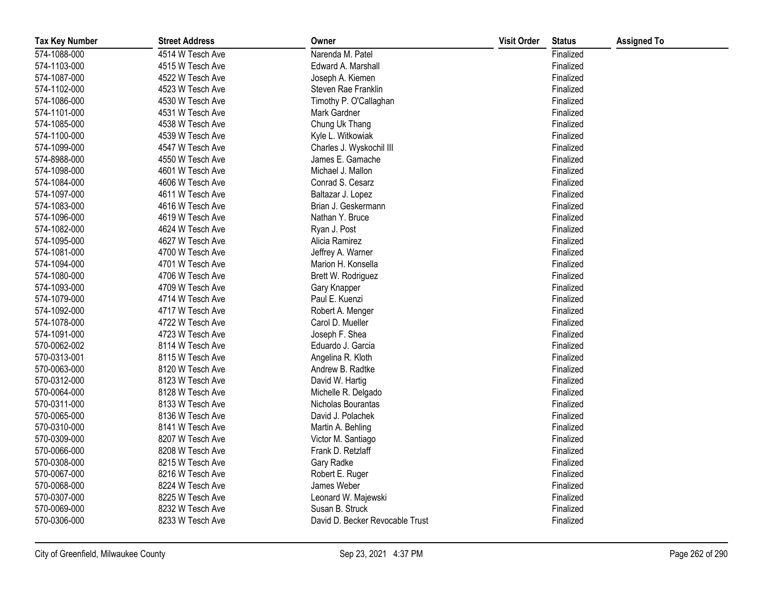| <b>Tax Key Number</b> | <b>Street Address</b> | Owner                           | <b>Visit Order</b> | <b>Status</b> | <b>Assigned To</b> |
|-----------------------|-----------------------|---------------------------------|--------------------|---------------|--------------------|
| 574-1088-000          | 4514 W Tesch Ave      | Narenda M. Patel                |                    | Finalized     |                    |
| 574-1103-000          | 4515 W Tesch Ave      | Edward A. Marshall              |                    | Finalized     |                    |
| 574-1087-000          | 4522 W Tesch Ave      | Joseph A. Kiemen                |                    | Finalized     |                    |
| 574-1102-000          | 4523 W Tesch Ave      | Steven Rae Franklin             |                    | Finalized     |                    |
| 574-1086-000          | 4530 W Tesch Ave      | Timothy P. O'Callaghan          |                    | Finalized     |                    |
| 574-1101-000          | 4531 W Tesch Ave      | Mark Gardner                    |                    | Finalized     |                    |
| 574-1085-000          | 4538 W Tesch Ave      | Chung Uk Thang                  |                    | Finalized     |                    |
| 574-1100-000          | 4539 W Tesch Ave      | Kyle L. Witkowiak               |                    | Finalized     |                    |
| 574-1099-000          | 4547 W Tesch Ave      | Charles J. Wyskochil III        |                    | Finalized     |                    |
| 574-8988-000          | 4550 W Tesch Ave      | James E. Gamache                |                    | Finalized     |                    |
| 574-1098-000          | 4601 W Tesch Ave      | Michael J. Mallon               |                    | Finalized     |                    |
| 574-1084-000          | 4606 W Tesch Ave      | Conrad S. Cesarz                |                    | Finalized     |                    |
| 574-1097-000          | 4611 W Tesch Ave      | Baltazar J. Lopez               |                    | Finalized     |                    |
| 574-1083-000          | 4616 W Tesch Ave      | Brian J. Geskermann             |                    | Finalized     |                    |
| 574-1096-000          | 4619 W Tesch Ave      | Nathan Y. Bruce                 |                    | Finalized     |                    |
| 574-1082-000          | 4624 W Tesch Ave      | Ryan J. Post                    |                    | Finalized     |                    |
| 574-1095-000          | 4627 W Tesch Ave      | Alicia Ramirez                  |                    | Finalized     |                    |
| 574-1081-000          | 4700 W Tesch Ave      | Jeffrey A. Warner               |                    | Finalized     |                    |
| 574-1094-000          | 4701 W Tesch Ave      | Marion H. Konsella              |                    | Finalized     |                    |
| 574-1080-000          | 4706 W Tesch Ave      | Brett W. Rodriguez              |                    | Finalized     |                    |
| 574-1093-000          | 4709 W Tesch Ave      | Gary Knapper                    |                    | Finalized     |                    |
| 574-1079-000          | 4714 W Tesch Ave      | Paul E. Kuenzi                  |                    | Finalized     |                    |
| 574-1092-000          | 4717 W Tesch Ave      | Robert A. Menger                |                    | Finalized     |                    |
| 574-1078-000          | 4722 W Tesch Ave      | Carol D. Mueller                |                    | Finalized     |                    |
| 574-1091-000          | 4723 W Tesch Ave      | Joseph F. Shea                  |                    | Finalized     |                    |
| 570-0062-002          | 8114 W Tesch Ave      | Eduardo J. Garcia               |                    | Finalized     |                    |
| 570-0313-001          | 8115 W Tesch Ave      | Angelina R. Kloth               |                    | Finalized     |                    |
| 570-0063-000          | 8120 W Tesch Ave      | Andrew B. Radtke                |                    | Finalized     |                    |
| 570-0312-000          | 8123 W Tesch Ave      | David W. Hartig                 |                    | Finalized     |                    |
| 570-0064-000          | 8128 W Tesch Ave      | Michelle R. Delgado             |                    | Finalized     |                    |
| 570-0311-000          | 8133 W Tesch Ave      | Nicholas Bourantas              |                    | Finalized     |                    |
| 570-0065-000          | 8136 W Tesch Ave      | David J. Polachek               |                    | Finalized     |                    |
| 570-0310-000          | 8141 W Tesch Ave      | Martin A. Behling               |                    | Finalized     |                    |
| 570-0309-000          | 8207 W Tesch Ave      | Victor M. Santiago              |                    | Finalized     |                    |
| 570-0066-000          | 8208 W Tesch Ave      | Frank D. Retzlaff               |                    | Finalized     |                    |
| 570-0308-000          | 8215 W Tesch Ave      | Gary Radke                      |                    | Finalized     |                    |
| 570-0067-000          | 8216 W Tesch Ave      | Robert E. Ruger                 |                    | Finalized     |                    |
| 570-0068-000          | 8224 W Tesch Ave      | James Weber                     |                    | Finalized     |                    |
| 570-0307-000          | 8225 W Tesch Ave      | Leonard W. Majewski             |                    | Finalized     |                    |
| 570-0069-000          | 8232 W Tesch Ave      | Susan B. Struck                 |                    | Finalized     |                    |
| 570-0306-000          | 8233 W Tesch Ave      | David D. Becker Revocable Trust |                    | Finalized     |                    |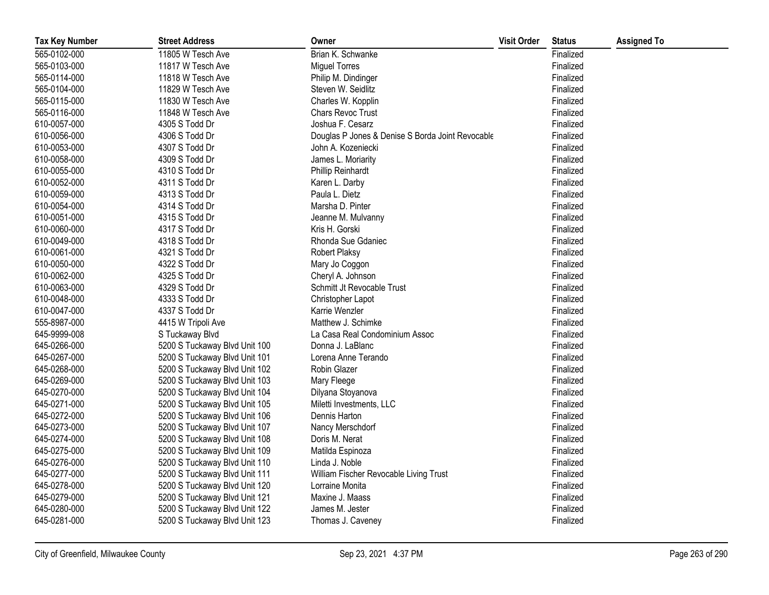| <b>Tax Key Number</b> | <b>Street Address</b>         | Owner                                            | <b>Visit Order</b> | <b>Status</b> | <b>Assigned To</b> |
|-----------------------|-------------------------------|--------------------------------------------------|--------------------|---------------|--------------------|
| 565-0102-000          | 11805 W Tesch Ave             | Brian K. Schwanke                                |                    | Finalized     |                    |
| 565-0103-000          | 11817 W Tesch Ave             | <b>Miguel Torres</b>                             |                    | Finalized     |                    |
| 565-0114-000          | 11818 W Tesch Ave             | Philip M. Dindinger                              |                    | Finalized     |                    |
| 565-0104-000          | 11829 W Tesch Ave             | Steven W. Seidlitz                               |                    | Finalized     |                    |
| 565-0115-000          | 11830 W Tesch Ave             | Charles W. Kopplin                               |                    | Finalized     |                    |
| 565-0116-000          | 11848 W Tesch Ave             | <b>Chars Revoc Trust</b>                         |                    | Finalized     |                    |
| 610-0057-000          | 4305 S Todd Dr                | Joshua F. Cesarz                                 |                    | Finalized     |                    |
| 610-0056-000          | 4306 S Todd Dr                | Douglas P Jones & Denise S Borda Joint Revocable |                    | Finalized     |                    |
| 610-0053-000          | 4307 S Todd Dr                | John A. Kozeniecki                               |                    | Finalized     |                    |
| 610-0058-000          | 4309 S Todd Dr                | James L. Moriarity                               |                    | Finalized     |                    |
| 610-0055-000          | 4310 S Todd Dr                | <b>Phillip Reinhardt</b>                         |                    | Finalized     |                    |
| 610-0052-000          | 4311 S Todd Dr                | Karen L. Darby                                   |                    | Finalized     |                    |
| 610-0059-000          | 4313 S Todd Dr                | Paula L. Dietz                                   |                    | Finalized     |                    |
| 610-0054-000          | 4314 S Todd Dr                | Marsha D. Pinter                                 |                    | Finalized     |                    |
| 610-0051-000          | 4315 S Todd Dr                | Jeanne M. Mulvanny                               |                    | Finalized     |                    |
| 610-0060-000          | 4317 S Todd Dr                | Kris H. Gorski                                   |                    | Finalized     |                    |
| 610-0049-000          | 4318 S Todd Dr                | Rhonda Sue Gdaniec                               |                    | Finalized     |                    |
| 610-0061-000          | 4321 S Todd Dr                | <b>Robert Plaksy</b>                             |                    | Finalized     |                    |
| 610-0050-000          | 4322 S Todd Dr                | Mary Jo Coggon                                   |                    | Finalized     |                    |
| 610-0062-000          | 4325 S Todd Dr                | Cheryl A. Johnson                                |                    | Finalized     |                    |
| 610-0063-000          | 4329 S Todd Dr                | Schmitt Jt Revocable Trust                       |                    | Finalized     |                    |
| 610-0048-000          | 4333 S Todd Dr                | Christopher Lapot                                |                    | Finalized     |                    |
| 610-0047-000          | 4337 S Todd Dr                | Karrie Wenzler                                   |                    | Finalized     |                    |
| 555-8987-000          | 4415 W Tripoli Ave            | Matthew J. Schimke                               |                    | Finalized     |                    |
| 645-9999-008          | S Tuckaway Blvd               | La Casa Real Condominium Assoc                   |                    | Finalized     |                    |
| 645-0266-000          | 5200 S Tuckaway Blvd Unit 100 | Donna J. LaBlanc                                 |                    | Finalized     |                    |
| 645-0267-000          | 5200 S Tuckaway Blvd Unit 101 | Lorena Anne Terando                              |                    | Finalized     |                    |
| 645-0268-000          | 5200 S Tuckaway Blvd Unit 102 | Robin Glazer                                     |                    | Finalized     |                    |
| 645-0269-000          | 5200 S Tuckaway Blvd Unit 103 | Mary Fleege                                      |                    | Finalized     |                    |
| 645-0270-000          | 5200 S Tuckaway Blvd Unit 104 | Dilyana Stoyanova                                |                    | Finalized     |                    |
| 645-0271-000          | 5200 S Tuckaway Blvd Unit 105 | Miletti Investments, LLC                         |                    | Finalized     |                    |
| 645-0272-000          | 5200 S Tuckaway Blvd Unit 106 | Dennis Harton                                    |                    | Finalized     |                    |
| 645-0273-000          | 5200 S Tuckaway Blvd Unit 107 | Nancy Merschdorf                                 |                    | Finalized     |                    |
| 645-0274-000          | 5200 S Tuckaway Blvd Unit 108 | Doris M. Nerat                                   |                    | Finalized     |                    |
| 645-0275-000          | 5200 S Tuckaway Blvd Unit 109 | Matilda Espinoza                                 |                    | Finalized     |                    |
| 645-0276-000          | 5200 S Tuckaway Blvd Unit 110 | Linda J. Noble                                   |                    | Finalized     |                    |
| 645-0277-000          | 5200 S Tuckaway Blvd Unit 111 | William Fischer Revocable Living Trust           |                    | Finalized     |                    |
| 645-0278-000          | 5200 S Tuckaway Blvd Unit 120 | Lorraine Monita                                  |                    | Finalized     |                    |
| 645-0279-000          | 5200 S Tuckaway Blvd Unit 121 | Maxine J. Maass                                  |                    | Finalized     |                    |
| 645-0280-000          | 5200 S Tuckaway Blvd Unit 122 | James M. Jester                                  |                    | Finalized     |                    |
| 645-0281-000          | 5200 S Tuckaway Blvd Unit 123 | Thomas J. Caveney                                |                    | Finalized     |                    |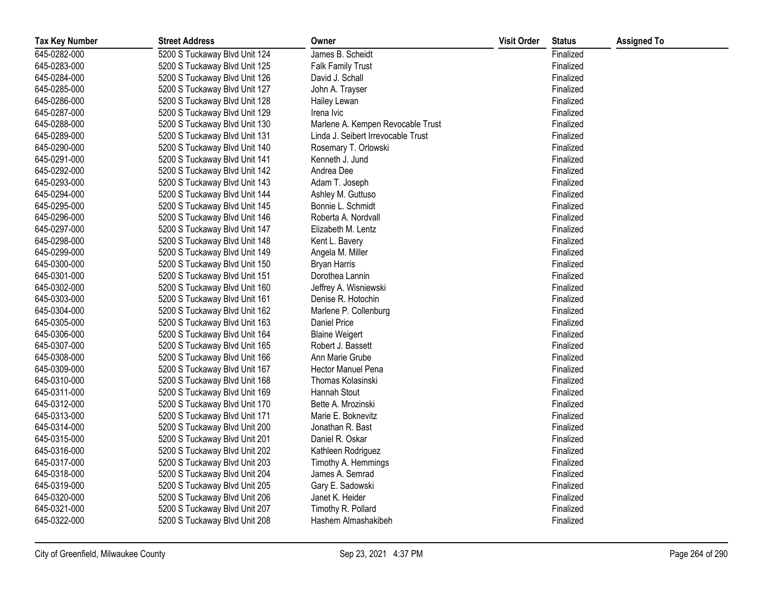| <b>Tax Key Number</b> | <b>Street Address</b>         | Owner                              | <b>Visit Order</b> | <b>Status</b> | <b>Assigned To</b> |
|-----------------------|-------------------------------|------------------------------------|--------------------|---------------|--------------------|
| 645-0282-000          | 5200 S Tuckaway Blvd Unit 124 | James B. Scheidt                   |                    | Finalized     |                    |
| 645-0283-000          | 5200 S Tuckaway Blvd Unit 125 | <b>Falk Family Trust</b>           |                    | Finalized     |                    |
| 645-0284-000          | 5200 S Tuckaway Blvd Unit 126 | David J. Schall                    |                    | Finalized     |                    |
| 645-0285-000          | 5200 S Tuckaway Blvd Unit 127 | John A. Trayser                    |                    | Finalized     |                    |
| 645-0286-000          | 5200 S Tuckaway Blvd Unit 128 | Hailey Lewan                       |                    | Finalized     |                    |
| 645-0287-000          | 5200 S Tuckaway Blvd Unit 129 | Irena Ivic                         |                    | Finalized     |                    |
| 645-0288-000          | 5200 S Tuckaway Blvd Unit 130 | Marlene A. Kempen Revocable Trust  |                    | Finalized     |                    |
| 645-0289-000          | 5200 S Tuckaway Blvd Unit 131 | Linda J. Seibert Irrevocable Trust |                    | Finalized     |                    |
| 645-0290-000          | 5200 S Tuckaway Blvd Unit 140 | Rosemary T. Orlowski               |                    | Finalized     |                    |
| 645-0291-000          | 5200 S Tuckaway Blvd Unit 141 | Kenneth J. Jund                    |                    | Finalized     |                    |
| 645-0292-000          | 5200 S Tuckaway Blvd Unit 142 | Andrea Dee                         |                    | Finalized     |                    |
| 645-0293-000          | 5200 S Tuckaway Blvd Unit 143 | Adam T. Joseph                     |                    | Finalized     |                    |
| 645-0294-000          | 5200 S Tuckaway Blvd Unit 144 | Ashley M. Guttuso                  |                    | Finalized     |                    |
| 645-0295-000          | 5200 S Tuckaway Blvd Unit 145 | Bonnie L. Schmidt                  |                    | Finalized     |                    |
| 645-0296-000          | 5200 S Tuckaway Blvd Unit 146 | Roberta A. Nordvall                |                    | Finalized     |                    |
| 645-0297-000          | 5200 S Tuckaway Blvd Unit 147 | Elizabeth M. Lentz                 |                    | Finalized     |                    |
| 645-0298-000          | 5200 S Tuckaway Blvd Unit 148 | Kent L. Bavery                     |                    | Finalized     |                    |
| 645-0299-000          | 5200 S Tuckaway Blvd Unit 149 | Angela M. Miller                   |                    | Finalized     |                    |
| 645-0300-000          | 5200 S Tuckaway Blvd Unit 150 | <b>Bryan Harris</b>                |                    | Finalized     |                    |
| 645-0301-000          | 5200 S Tuckaway Blvd Unit 151 | Dorothea Lannin                    |                    | Finalized     |                    |
| 645-0302-000          | 5200 S Tuckaway Blvd Unit 160 | Jeffrey A. Wisniewski              |                    | Finalized     |                    |
| 645-0303-000          | 5200 S Tuckaway Blvd Unit 161 | Denise R. Hotochin                 |                    | Finalized     |                    |
| 645-0304-000          | 5200 S Tuckaway Blvd Unit 162 | Marlene P. Collenburg              |                    | Finalized     |                    |
| 645-0305-000          | 5200 S Tuckaway Blvd Unit 163 | Daniel Price                       |                    | Finalized     |                    |
| 645-0306-000          | 5200 S Tuckaway Blvd Unit 164 | <b>Blaine Weigert</b>              |                    | Finalized     |                    |
| 645-0307-000          | 5200 S Tuckaway Blvd Unit 165 | Robert J. Bassett                  |                    | Finalized     |                    |
| 645-0308-000          | 5200 S Tuckaway Blvd Unit 166 | Ann Marie Grube                    |                    | Finalized     |                    |
| 645-0309-000          | 5200 S Tuckaway Blvd Unit 167 | Hector Manuel Pena                 |                    | Finalized     |                    |
| 645-0310-000          | 5200 S Tuckaway Blvd Unit 168 | Thomas Kolasinski                  |                    | Finalized     |                    |
| 645-0311-000          | 5200 S Tuckaway Blvd Unit 169 | Hannah Stout                       |                    | Finalized     |                    |
| 645-0312-000          | 5200 S Tuckaway Blvd Unit 170 | Bette A. Mrozinski                 |                    | Finalized     |                    |
| 645-0313-000          | 5200 S Tuckaway Blvd Unit 171 | Marie E. Boknevitz                 |                    | Finalized     |                    |
| 645-0314-000          | 5200 S Tuckaway Blvd Unit 200 | Jonathan R. Bast                   |                    | Finalized     |                    |
| 645-0315-000          | 5200 S Tuckaway Blvd Unit 201 | Daniel R. Oskar                    |                    | Finalized     |                    |
| 645-0316-000          | 5200 S Tuckaway Blvd Unit 202 | Kathleen Rodriguez                 |                    | Finalized     |                    |
| 645-0317-000          | 5200 S Tuckaway Blvd Unit 203 | Timothy A. Hemmings                |                    | Finalized     |                    |
| 645-0318-000          | 5200 S Tuckaway Blvd Unit 204 | James A. Semrad                    |                    | Finalized     |                    |
| 645-0319-000          | 5200 S Tuckaway Blvd Unit 205 | Gary E. Sadowski                   |                    | Finalized     |                    |
| 645-0320-000          | 5200 S Tuckaway Blvd Unit 206 | Janet K. Heider                    |                    | Finalized     |                    |
| 645-0321-000          | 5200 S Tuckaway Blvd Unit 207 | Timothy R. Pollard                 |                    | Finalized     |                    |
| 645-0322-000          | 5200 S Tuckaway Blvd Unit 208 | Hashem Almashakibeh                |                    | Finalized     |                    |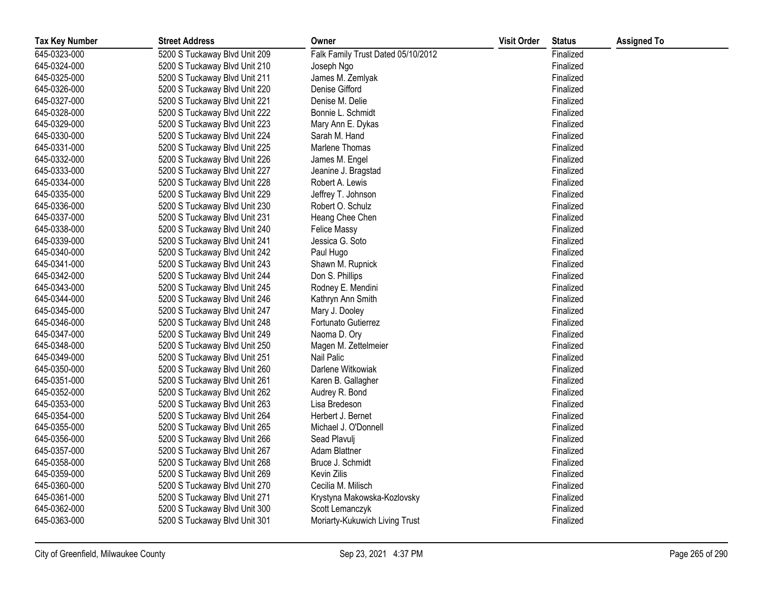| <b>Tax Key Number</b> | <b>Street Address</b>         | Owner                              | <b>Visit Order</b> | <b>Status</b> | <b>Assigned To</b> |
|-----------------------|-------------------------------|------------------------------------|--------------------|---------------|--------------------|
| 645-0323-000          | 5200 S Tuckaway Blvd Unit 209 | Falk Family Trust Dated 05/10/2012 |                    | Finalized     |                    |
| 645-0324-000          | 5200 S Tuckaway Blvd Unit 210 | Joseph Ngo                         |                    | Finalized     |                    |
| 645-0325-000          | 5200 S Tuckaway Blvd Unit 211 | James M. Zemlyak                   |                    | Finalized     |                    |
| 645-0326-000          | 5200 S Tuckaway Blvd Unit 220 | Denise Gifford                     |                    | Finalized     |                    |
| 645-0327-000          | 5200 S Tuckaway Blvd Unit 221 | Denise M. Delie                    |                    | Finalized     |                    |
| 645-0328-000          | 5200 S Tuckaway Blvd Unit 222 | Bonnie L. Schmidt                  |                    | Finalized     |                    |
| 645-0329-000          | 5200 S Tuckaway Blvd Unit 223 | Mary Ann E. Dykas                  |                    | Finalized     |                    |
| 645-0330-000          | 5200 S Tuckaway Blvd Unit 224 | Sarah M. Hand                      |                    | Finalized     |                    |
| 645-0331-000          | 5200 S Tuckaway Blvd Unit 225 | Marlene Thomas                     |                    | Finalized     |                    |
| 645-0332-000          | 5200 S Tuckaway Blvd Unit 226 | James M. Engel                     |                    | Finalized     |                    |
| 645-0333-000          | 5200 S Tuckaway Blvd Unit 227 | Jeanine J. Bragstad                |                    | Finalized     |                    |
| 645-0334-000          | 5200 S Tuckaway Blvd Unit 228 | Robert A. Lewis                    |                    | Finalized     |                    |
| 645-0335-000          | 5200 S Tuckaway Blvd Unit 229 | Jeffrey T. Johnson                 |                    | Finalized     |                    |
| 645-0336-000          | 5200 S Tuckaway Blvd Unit 230 | Robert O. Schulz                   |                    | Finalized     |                    |
| 645-0337-000          | 5200 S Tuckaway Blvd Unit 231 | Heang Chee Chen                    |                    | Finalized     |                    |
| 645-0338-000          | 5200 S Tuckaway Blvd Unit 240 | <b>Felice Massy</b>                |                    | Finalized     |                    |
| 645-0339-000          | 5200 S Tuckaway Blvd Unit 241 | Jessica G. Soto                    |                    | Finalized     |                    |
| 645-0340-000          | 5200 S Tuckaway Blvd Unit 242 | Paul Hugo                          |                    | Finalized     |                    |
| 645-0341-000          | 5200 S Tuckaway Blvd Unit 243 | Shawn M. Rupnick                   |                    | Finalized     |                    |
| 645-0342-000          | 5200 S Tuckaway Blvd Unit 244 | Don S. Phillips                    |                    | Finalized     |                    |
| 645-0343-000          | 5200 S Tuckaway Blvd Unit 245 | Rodney E. Mendini                  |                    | Finalized     |                    |
| 645-0344-000          | 5200 S Tuckaway Blvd Unit 246 | Kathryn Ann Smith                  |                    | Finalized     |                    |
| 645-0345-000          | 5200 S Tuckaway Blvd Unit 247 | Mary J. Dooley                     |                    | Finalized     |                    |
| 645-0346-000          | 5200 S Tuckaway Blvd Unit 248 | Fortunato Gutierrez                |                    | Finalized     |                    |
| 645-0347-000          | 5200 S Tuckaway Blvd Unit 249 | Naoma D. Ory                       |                    | Finalized     |                    |
| 645-0348-000          | 5200 S Tuckaway Blvd Unit 250 | Magen M. Zettelmeier               |                    | Finalized     |                    |
| 645-0349-000          | 5200 S Tuckaway Blvd Unit 251 | Nail Palic                         |                    | Finalized     |                    |
| 645-0350-000          | 5200 S Tuckaway Blvd Unit 260 | Darlene Witkowiak                  |                    | Finalized     |                    |
| 645-0351-000          | 5200 S Tuckaway Blvd Unit 261 | Karen B. Gallagher                 |                    | Finalized     |                    |
| 645-0352-000          | 5200 S Tuckaway Blvd Unit 262 | Audrey R. Bond                     |                    | Finalized     |                    |
| 645-0353-000          | 5200 S Tuckaway Blvd Unit 263 | Lisa Bredeson                      |                    | Finalized     |                    |
| 645-0354-000          | 5200 S Tuckaway Blvd Unit 264 | Herbert J. Bernet                  |                    | Finalized     |                    |
| 645-0355-000          | 5200 S Tuckaway Blvd Unit 265 | Michael J. O'Donnell               |                    | Finalized     |                    |
| 645-0356-000          | 5200 S Tuckaway Blvd Unit 266 | Sead Plavulj                       |                    | Finalized     |                    |
| 645-0357-000          | 5200 S Tuckaway Blvd Unit 267 | Adam Blattner                      |                    | Finalized     |                    |
| 645-0358-000          | 5200 S Tuckaway Blvd Unit 268 | Bruce J. Schmidt                   |                    | Finalized     |                    |
| 645-0359-000          | 5200 S Tuckaway Blvd Unit 269 | Kevin Zilis                        |                    | Finalized     |                    |
| 645-0360-000          | 5200 S Tuckaway Blvd Unit 270 | Cecilia M. Milisch                 |                    | Finalized     |                    |
| 645-0361-000          | 5200 S Tuckaway Blvd Unit 271 | Krystyna Makowska-Kozlovsky        |                    | Finalized     |                    |
| 645-0362-000          | 5200 S Tuckaway Blvd Unit 300 | Scott Lemanczyk                    |                    | Finalized     |                    |
| 645-0363-000          | 5200 S Tuckaway Blvd Unit 301 | Moriarty-Kukuwich Living Trust     |                    | Finalized     |                    |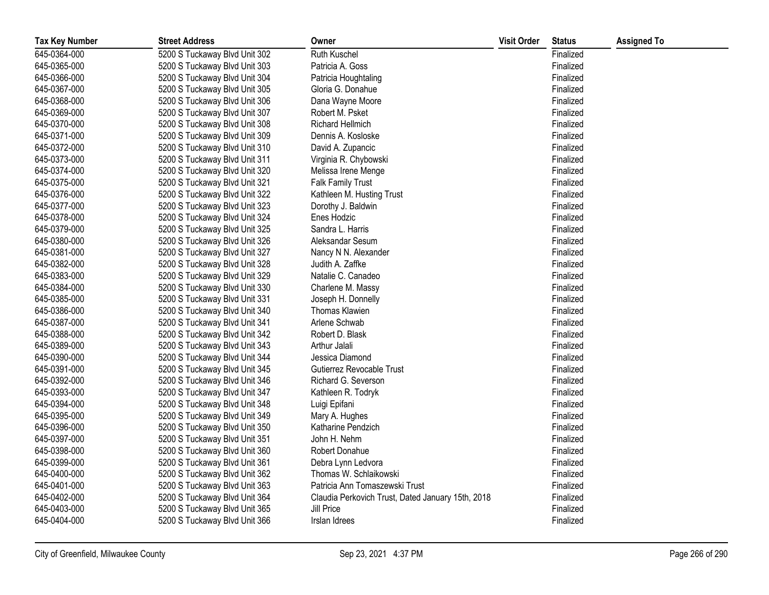| <b>Tax Key Number</b> | <b>Street Address</b>         | Owner                                             | <b>Visit Order</b> | <b>Status</b> | <b>Assigned To</b> |
|-----------------------|-------------------------------|---------------------------------------------------|--------------------|---------------|--------------------|
| 645-0364-000          | 5200 S Tuckaway Blvd Unit 302 | Ruth Kuschel                                      |                    | Finalized     |                    |
| 645-0365-000          | 5200 S Tuckaway Blvd Unit 303 | Patricia A. Goss                                  |                    | Finalized     |                    |
| 645-0366-000          | 5200 S Tuckaway Blvd Unit 304 | Patricia Houghtaling                              |                    | Finalized     |                    |
| 645-0367-000          | 5200 S Tuckaway Blvd Unit 305 | Gloria G. Donahue                                 |                    | Finalized     |                    |
| 645-0368-000          | 5200 S Tuckaway Blvd Unit 306 | Dana Wayne Moore                                  |                    | Finalized     |                    |
| 645-0369-000          | 5200 S Tuckaway Blvd Unit 307 | Robert M. Psket                                   |                    | Finalized     |                    |
| 645-0370-000          | 5200 S Tuckaway Blvd Unit 308 | Richard Hellmich                                  |                    | Finalized     |                    |
| 645-0371-000          | 5200 S Tuckaway Blvd Unit 309 | Dennis A. Kosloske                                |                    | Finalized     |                    |
| 645-0372-000          | 5200 S Tuckaway Blvd Unit 310 | David A. Zupancic                                 |                    | Finalized     |                    |
| 645-0373-000          | 5200 S Tuckaway Blvd Unit 311 | Virginia R. Chybowski                             |                    | Finalized     |                    |
| 645-0374-000          | 5200 S Tuckaway Blvd Unit 320 | Melissa Irene Menge                               |                    | Finalized     |                    |
| 645-0375-000          | 5200 S Tuckaway Blvd Unit 321 | <b>Falk Family Trust</b>                          |                    | Finalized     |                    |
| 645-0376-000          | 5200 S Tuckaway Blvd Unit 322 | Kathleen M. Husting Trust                         |                    | Finalized     |                    |
| 645-0377-000          | 5200 S Tuckaway Blvd Unit 323 | Dorothy J. Baldwin                                |                    | Finalized     |                    |
| 645-0378-000          | 5200 S Tuckaway Blvd Unit 324 | Enes Hodzic                                       |                    | Finalized     |                    |
| 645-0379-000          | 5200 S Tuckaway Blvd Unit 325 | Sandra L. Harris                                  |                    | Finalized     |                    |
| 645-0380-000          | 5200 S Tuckaway Blvd Unit 326 | Aleksandar Sesum                                  |                    | Finalized     |                    |
| 645-0381-000          | 5200 S Tuckaway Blvd Unit 327 | Nancy N N. Alexander                              |                    | Finalized     |                    |
| 645-0382-000          | 5200 S Tuckaway Blvd Unit 328 | Judith A. Zaffke                                  |                    | Finalized     |                    |
| 645-0383-000          | 5200 S Tuckaway Blvd Unit 329 | Natalie C. Canadeo                                |                    | Finalized     |                    |
| 645-0384-000          | 5200 S Tuckaway Blvd Unit 330 | Charlene M. Massy                                 |                    | Finalized     |                    |
| 645-0385-000          | 5200 S Tuckaway Blvd Unit 331 | Joseph H. Donnelly                                |                    | Finalized     |                    |
| 645-0386-000          | 5200 S Tuckaway Blvd Unit 340 | <b>Thomas Klawien</b>                             |                    | Finalized     |                    |
| 645-0387-000          | 5200 S Tuckaway Blvd Unit 341 | Arlene Schwab                                     |                    | Finalized     |                    |
| 645-0388-000          | 5200 S Tuckaway Blvd Unit 342 | Robert D. Blask                                   |                    | Finalized     |                    |
| 645-0389-000          | 5200 S Tuckaway Blvd Unit 343 | Arthur Jalali                                     |                    | Finalized     |                    |
| 645-0390-000          | 5200 S Tuckaway Blvd Unit 344 | Jessica Diamond                                   |                    | Finalized     |                    |
| 645-0391-000          | 5200 S Tuckaway Blvd Unit 345 | Gutierrez Revocable Trust                         |                    | Finalized     |                    |
| 645-0392-000          | 5200 S Tuckaway Blvd Unit 346 | Richard G. Severson                               |                    | Finalized     |                    |
| 645-0393-000          | 5200 S Tuckaway Blvd Unit 347 | Kathleen R. Todryk                                |                    | Finalized     |                    |
| 645-0394-000          | 5200 S Tuckaway Blvd Unit 348 | Luigi Epifani                                     |                    | Finalized     |                    |
| 645-0395-000          | 5200 S Tuckaway Blvd Unit 349 | Mary A. Hughes                                    |                    | Finalized     |                    |
| 645-0396-000          | 5200 S Tuckaway Blvd Unit 350 | Katharine Pendzich                                |                    | Finalized     |                    |
| 645-0397-000          | 5200 S Tuckaway Blvd Unit 351 | John H. Nehm                                      |                    | Finalized     |                    |
| 645-0398-000          | 5200 S Tuckaway Blvd Unit 360 | Robert Donahue                                    |                    | Finalized     |                    |
| 645-0399-000          | 5200 S Tuckaway Blvd Unit 361 | Debra Lynn Ledvora                                |                    | Finalized     |                    |
| 645-0400-000          | 5200 S Tuckaway Blvd Unit 362 | Thomas W. Schlaikowski                            |                    | Finalized     |                    |
| 645-0401-000          | 5200 S Tuckaway Blvd Unit 363 | Patricia Ann Tomaszewski Trust                    |                    | Finalized     |                    |
| 645-0402-000          | 5200 S Tuckaway Blvd Unit 364 | Claudia Perkovich Trust, Dated January 15th, 2018 |                    | Finalized     |                    |
| 645-0403-000          | 5200 S Tuckaway Blvd Unit 365 | Jill Price                                        |                    | Finalized     |                    |
| 645-0404-000          | 5200 S Tuckaway Blvd Unit 366 | Irslan Idrees                                     |                    | Finalized     |                    |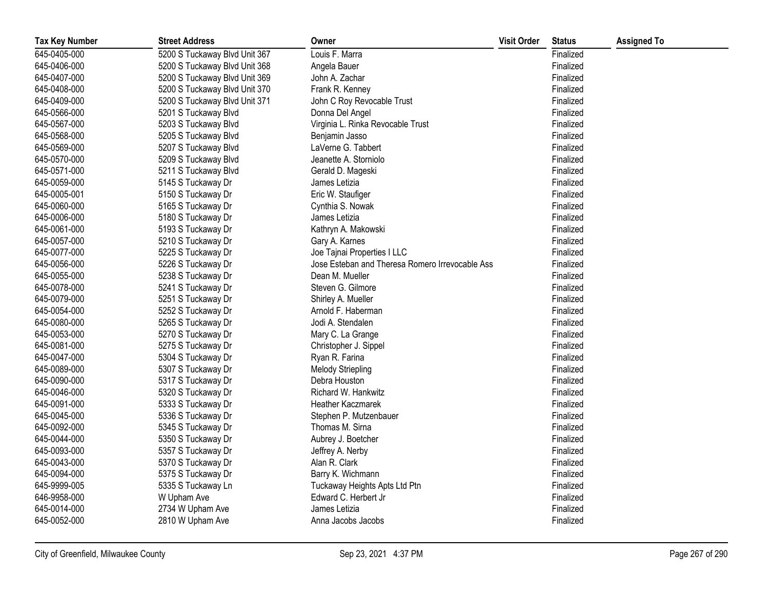| <b>Tax Key Number</b> | <b>Street Address</b>         | Owner                                           | <b>Visit Order</b> | <b>Status</b> | <b>Assigned To</b> |
|-----------------------|-------------------------------|-------------------------------------------------|--------------------|---------------|--------------------|
| 645-0405-000          | 5200 S Tuckaway Blvd Unit 367 | Louis F. Marra                                  |                    | Finalized     |                    |
| 645-0406-000          | 5200 S Tuckaway Blvd Unit 368 | Angela Bauer                                    |                    | Finalized     |                    |
| 645-0407-000          | 5200 S Tuckaway Blvd Unit 369 | John A. Zachar                                  |                    | Finalized     |                    |
| 645-0408-000          | 5200 S Tuckaway Blvd Unit 370 | Frank R. Kenney                                 |                    | Finalized     |                    |
| 645-0409-000          | 5200 S Tuckaway Blvd Unit 371 | John C Roy Revocable Trust                      |                    | Finalized     |                    |
| 645-0566-000          | 5201 S Tuckaway Blvd          | Donna Del Angel                                 |                    | Finalized     |                    |
| 645-0567-000          | 5203 S Tuckaway Blvd          | Virginia L. Rinka Revocable Trust               |                    | Finalized     |                    |
| 645-0568-000          | 5205 S Tuckaway Blvd          | Benjamin Jasso                                  |                    | Finalized     |                    |
| 645-0569-000          | 5207 S Tuckaway Blvd          | LaVerne G. Tabbert                              |                    | Finalized     |                    |
| 645-0570-000          | 5209 S Tuckaway Blvd          | Jeanette A. Storniolo                           |                    | Finalized     |                    |
| 645-0571-000          | 5211 S Tuckaway Blvd          | Gerald D. Mageski                               |                    | Finalized     |                    |
| 645-0059-000          | 5145 S Tuckaway Dr            | James Letizia                                   |                    | Finalized     |                    |
| 645-0005-001          | 5150 S Tuckaway Dr            | Eric W. Staufiger                               |                    | Finalized     |                    |
| 645-0060-000          | 5165 S Tuckaway Dr            | Cynthia S. Nowak                                |                    | Finalized     |                    |
| 645-0006-000          | 5180 S Tuckaway Dr            | James Letizia                                   |                    | Finalized     |                    |
| 645-0061-000          | 5193 S Tuckaway Dr            | Kathryn A. Makowski                             |                    | Finalized     |                    |
| 645-0057-000          | 5210 S Tuckaway Dr            | Gary A. Karnes                                  |                    | Finalized     |                    |
| 645-0077-000          | 5225 S Tuckaway Dr            | Joe Tajnai Properties I LLC                     |                    | Finalized     |                    |
| 645-0056-000          | 5226 S Tuckaway Dr            | Jose Esteban and Theresa Romero Irrevocable Ass |                    | Finalized     |                    |
| 645-0055-000          | 5238 S Tuckaway Dr            | Dean M. Mueller                                 |                    | Finalized     |                    |
| 645-0078-000          | 5241 S Tuckaway Dr            | Steven G. Gilmore                               |                    | Finalized     |                    |
| 645-0079-000          | 5251 S Tuckaway Dr            | Shirley A. Mueller                              |                    | Finalized     |                    |
| 645-0054-000          | 5252 S Tuckaway Dr            | Arnold F. Haberman                              |                    | Finalized     |                    |
| 645-0080-000          | 5265 S Tuckaway Dr            | Jodi A. Stendalen                               |                    | Finalized     |                    |
| 645-0053-000          | 5270 S Tuckaway Dr            | Mary C. La Grange                               |                    | Finalized     |                    |
| 645-0081-000          | 5275 S Tuckaway Dr            | Christopher J. Sippel                           |                    | Finalized     |                    |
| 645-0047-000          | 5304 S Tuckaway Dr            | Ryan R. Farina                                  |                    | Finalized     |                    |
| 645-0089-000          | 5307 S Tuckaway Dr            | <b>Melody Striepling</b>                        |                    | Finalized     |                    |
| 645-0090-000          | 5317 S Tuckaway Dr            | Debra Houston                                   |                    | Finalized     |                    |
| 645-0046-000          | 5320 S Tuckaway Dr            | Richard W. Hankwitz                             |                    | Finalized     |                    |
| 645-0091-000          | 5333 S Tuckaway Dr            | <b>Heather Kaczmarek</b>                        |                    | Finalized     |                    |
| 645-0045-000          | 5336 S Tuckaway Dr            | Stephen P. Mutzenbauer                          |                    | Finalized     |                    |
| 645-0092-000          | 5345 S Tuckaway Dr            | Thomas M. Sirna                                 |                    | Finalized     |                    |
| 645-0044-000          | 5350 S Tuckaway Dr            | Aubrey J. Boetcher                              |                    | Finalized     |                    |
| 645-0093-000          | 5357 S Tuckaway Dr            | Jeffrey A. Nerby                                |                    | Finalized     |                    |
| 645-0043-000          | 5370 S Tuckaway Dr            | Alan R. Clark                                   |                    | Finalized     |                    |
| 645-0094-000          | 5375 S Tuckaway Dr            | Barry K. Wichmann                               |                    | Finalized     |                    |
| 645-9999-005          | 5335 S Tuckaway Ln            | Tuckaway Heights Apts Ltd Ptn                   |                    | Finalized     |                    |
| 646-9958-000          | W Upham Ave                   | Edward C. Herbert Jr                            |                    | Finalized     |                    |
| 645-0014-000          | 2734 W Upham Ave              | James Letizia                                   |                    | Finalized     |                    |
| 645-0052-000          | 2810 W Upham Ave              | Anna Jacobs Jacobs                              |                    | Finalized     |                    |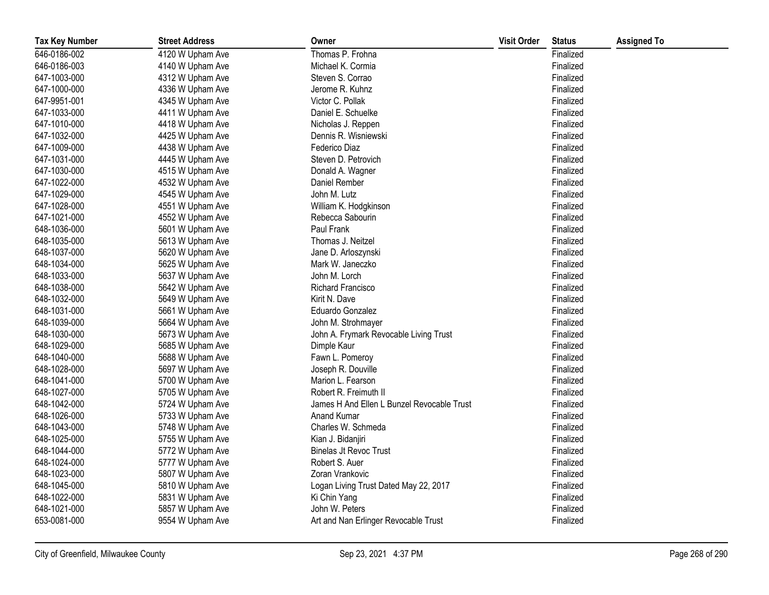| <b>Tax Key Number</b> | <b>Street Address</b> | Owner                                      | <b>Visit Order</b> | <b>Status</b> | <b>Assigned To</b> |
|-----------------------|-----------------------|--------------------------------------------|--------------------|---------------|--------------------|
| 646-0186-002          | 4120 W Upham Ave      | Thomas P. Frohna                           |                    | Finalized     |                    |
| 646-0186-003          | 4140 W Upham Ave      | Michael K. Cormia                          |                    | Finalized     |                    |
| 647-1003-000          | 4312 W Upham Ave      | Steven S. Corrao                           |                    | Finalized     |                    |
| 647-1000-000          | 4336 W Upham Ave      | Jerome R. Kuhnz                            |                    | Finalized     |                    |
| 647-9951-001          | 4345 W Upham Ave      | Victor C. Pollak                           |                    | Finalized     |                    |
| 647-1033-000          | 4411 W Upham Ave      | Daniel E. Schuelke                         |                    | Finalized     |                    |
| 647-1010-000          | 4418 W Upham Ave      | Nicholas J. Reppen                         |                    | Finalized     |                    |
| 647-1032-000          | 4425 W Upham Ave      | Dennis R. Wisniewski                       |                    | Finalized     |                    |
| 647-1009-000          | 4438 W Upham Ave      | Federico Diaz                              |                    | Finalized     |                    |
| 647-1031-000          | 4445 W Upham Ave      | Steven D. Petrovich                        |                    | Finalized     |                    |
| 647-1030-000          | 4515 W Upham Ave      | Donald A. Wagner                           |                    | Finalized     |                    |
| 647-1022-000          | 4532 W Upham Ave      | Daniel Rember                              |                    | Finalized     |                    |
| 647-1029-000          | 4545 W Upham Ave      | John M. Lutz                               |                    | Finalized     |                    |
| 647-1028-000          | 4551 W Upham Ave      | William K. Hodgkinson                      |                    | Finalized     |                    |
| 647-1021-000          | 4552 W Upham Ave      | Rebecca Sabourin                           |                    | Finalized     |                    |
| 648-1036-000          | 5601 W Upham Ave      | Paul Frank                                 |                    | Finalized     |                    |
| 648-1035-000          | 5613 W Upham Ave      | Thomas J. Neitzel                          |                    | Finalized     |                    |
| 648-1037-000          | 5620 W Upham Ave      | Jane D. Arloszynski                        |                    | Finalized     |                    |
| 648-1034-000          | 5625 W Upham Ave      | Mark W. Janeczko                           |                    | Finalized     |                    |
| 648-1033-000          | 5637 W Upham Ave      | John M. Lorch                              |                    | Finalized     |                    |
| 648-1038-000          | 5642 W Upham Ave      | Richard Francisco                          |                    | Finalized     |                    |
| 648-1032-000          | 5649 W Upham Ave      | Kirit N. Dave                              |                    | Finalized     |                    |
| 648-1031-000          | 5661 W Upham Ave      | Eduardo Gonzalez                           |                    | Finalized     |                    |
| 648-1039-000          | 5664 W Upham Ave      | John M. Strohmayer                         |                    | Finalized     |                    |
| 648-1030-000          | 5673 W Upham Ave      | John A. Frymark Revocable Living Trust     |                    | Finalized     |                    |
| 648-1029-000          | 5685 W Upham Ave      | Dimple Kaur                                |                    | Finalized     |                    |
| 648-1040-000          | 5688 W Upham Ave      | Fawn L. Pomeroy                            |                    | Finalized     |                    |
| 648-1028-000          | 5697 W Upham Ave      | Joseph R. Douville                         |                    | Finalized     |                    |
| 648-1041-000          | 5700 W Upham Ave      | Marion L. Fearson                          |                    | Finalized     |                    |
| 648-1027-000          | 5705 W Upham Ave      | Robert R. Freimuth II                      |                    | Finalized     |                    |
| 648-1042-000          | 5724 W Upham Ave      | James H And Ellen L Bunzel Revocable Trust |                    | Finalized     |                    |
| 648-1026-000          | 5733 W Upham Ave      | Anand Kumar                                |                    | Finalized     |                    |
| 648-1043-000          | 5748 W Upham Ave      | Charles W. Schmeda                         |                    | Finalized     |                    |
| 648-1025-000          | 5755 W Upham Ave      | Kian J. Bidanjiri                          |                    | Finalized     |                    |
| 648-1044-000          | 5772 W Upham Ave      | <b>Binelas Jt Revoc Trust</b>              |                    | Finalized     |                    |
| 648-1024-000          | 5777 W Upham Ave      | Robert S. Auer                             |                    | Finalized     |                    |
| 648-1023-000          | 5807 W Upham Ave      | Zoran Vrankovic                            |                    | Finalized     |                    |
| 648-1045-000          | 5810 W Upham Ave      | Logan Living Trust Dated May 22, 2017      |                    | Finalized     |                    |
| 648-1022-000          | 5831 W Upham Ave      | Ki Chin Yang                               |                    | Finalized     |                    |
| 648-1021-000          | 5857 W Upham Ave      | John W. Peters                             |                    | Finalized     |                    |
| 653-0081-000          | 9554 W Upham Ave      | Art and Nan Erlinger Revocable Trust       |                    | Finalized     |                    |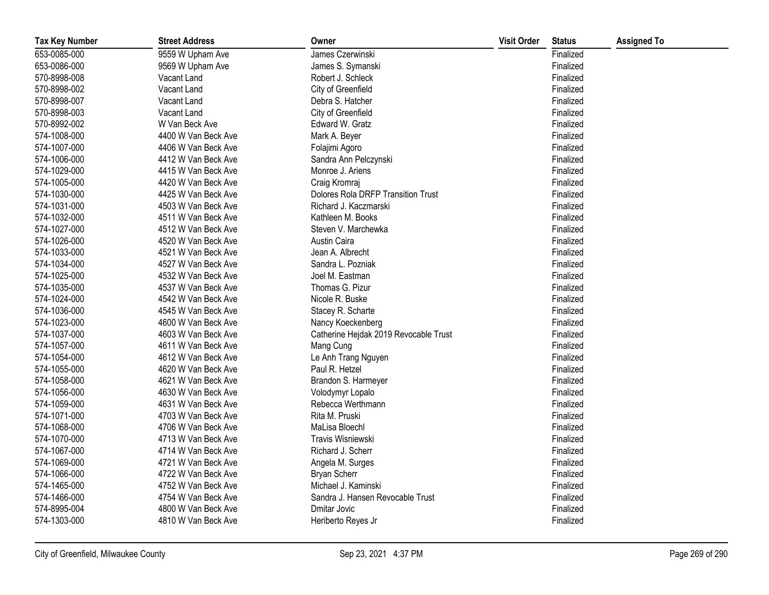| <b>Tax Key Number</b> | <b>Street Address</b> | Owner                                     | <b>Visit Order</b> | <b>Status</b> | <b>Assigned To</b> |
|-----------------------|-----------------------|-------------------------------------------|--------------------|---------------|--------------------|
| 653-0085-000          | 9559 W Upham Ave      | James Czerwinski                          |                    | Finalized     |                    |
| 653-0086-000          | 9569 W Upham Ave      | James S. Symanski                         |                    | Finalized     |                    |
| 570-8998-008          | Vacant Land           | Robert J. Schleck                         |                    | Finalized     |                    |
| 570-8998-002          | Vacant Land           | City of Greenfield                        |                    | Finalized     |                    |
| 570-8998-007          | Vacant Land           | Debra S. Hatcher                          |                    | Finalized     |                    |
| 570-8998-003          | Vacant Land           | City of Greenfield                        |                    | Finalized     |                    |
| 570-8992-002          | W Van Beck Ave        | Edward W. Gratz                           |                    | Finalized     |                    |
| 574-1008-000          | 4400 W Van Beck Ave   | Mark A. Beyer                             |                    | Finalized     |                    |
| 574-1007-000          | 4406 W Van Beck Ave   | Folajimi Agoro                            |                    | Finalized     |                    |
| 574-1006-000          | 4412 W Van Beck Ave   | Sandra Ann Pelczynski                     |                    | Finalized     |                    |
| 574-1029-000          | 4415 W Van Beck Ave   | Monroe J. Ariens                          |                    | Finalized     |                    |
| 574-1005-000          | 4420 W Van Beck Ave   | Craig Kromraj                             |                    | Finalized     |                    |
| 574-1030-000          | 4425 W Van Beck Ave   | <b>Dolores Rola DRFP Transition Trust</b> |                    | Finalized     |                    |
| 574-1031-000          | 4503 W Van Beck Ave   | Richard J. Kaczmarski                     |                    | Finalized     |                    |
| 574-1032-000          | 4511 W Van Beck Ave   | Kathleen M. Books                         |                    | Finalized     |                    |
| 574-1027-000          | 4512 W Van Beck Ave   | Steven V. Marchewka                       |                    | Finalized     |                    |
| 574-1026-000          | 4520 W Van Beck Ave   | Austin Caira                              |                    | Finalized     |                    |
| 574-1033-000          | 4521 W Van Beck Ave   | Jean A. Albrecht                          |                    | Finalized     |                    |
| 574-1034-000          | 4527 W Van Beck Ave   | Sandra L. Pozniak                         |                    | Finalized     |                    |
| 574-1025-000          | 4532 W Van Beck Ave   | Joel M. Eastman                           |                    | Finalized     |                    |
| 574-1035-000          | 4537 W Van Beck Ave   | Thomas G. Pizur                           |                    | Finalized     |                    |
| 574-1024-000          | 4542 W Van Beck Ave   | Nicole R. Buske                           |                    | Finalized     |                    |
| 574-1036-000          | 4545 W Van Beck Ave   | Stacey R. Scharte                         |                    | Finalized     |                    |
| 574-1023-000          | 4600 W Van Beck Ave   | Nancy Koeckenberg                         |                    | Finalized     |                    |
| 574-1037-000          | 4603 W Van Beck Ave   | Catherine Hejdak 2019 Revocable Trust     |                    | Finalized     |                    |
| 574-1057-000          | 4611 W Van Beck Ave   | Mang Cung                                 |                    | Finalized     |                    |
| 574-1054-000          | 4612 W Van Beck Ave   | Le Anh Trang Nguyen                       |                    | Finalized     |                    |
| 574-1055-000          | 4620 W Van Beck Ave   | Paul R. Hetzel                            |                    | Finalized     |                    |
| 574-1058-000          | 4621 W Van Beck Ave   | Brandon S. Harmeyer                       |                    | Finalized     |                    |
| 574-1056-000          | 4630 W Van Beck Ave   | Volodymyr Lopalo                          |                    | Finalized     |                    |
| 574-1059-000          | 4631 W Van Beck Ave   | Rebecca Werthmann                         |                    | Finalized     |                    |
| 574-1071-000          | 4703 W Van Beck Ave   | Rita M. Pruski                            |                    | Finalized     |                    |
| 574-1068-000          | 4706 W Van Beck Ave   | MaLisa Bloechl                            |                    | Finalized     |                    |
| 574-1070-000          | 4713 W Van Beck Ave   | Travis Wisniewski                         |                    | Finalized     |                    |
| 574-1067-000          | 4714 W Van Beck Ave   | Richard J. Scherr                         |                    | Finalized     |                    |
| 574-1069-000          | 4721 W Van Beck Ave   | Angela M. Surges                          |                    | Finalized     |                    |
| 574-1066-000          | 4722 W Van Beck Ave   | <b>Bryan Scherr</b>                       |                    | Finalized     |                    |
| 574-1465-000          | 4752 W Van Beck Ave   | Michael J. Kaminski                       |                    | Finalized     |                    |
| 574-1466-000          | 4754 W Van Beck Ave   | Sandra J. Hansen Revocable Trust          |                    | Finalized     |                    |
| 574-8995-004          | 4800 W Van Beck Ave   | Dmitar Jovic                              |                    | Finalized     |                    |
| 574-1303-000          | 4810 W Van Beck Ave   | Heriberto Reyes Jr                        |                    | Finalized     |                    |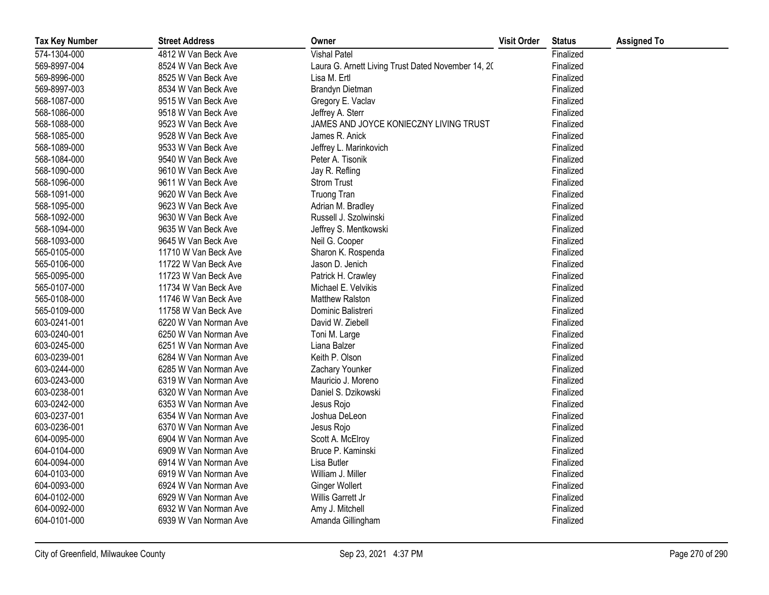| <b>Tax Key Number</b> | <b>Street Address</b> | Owner                                              | <b>Visit Order</b> | <b>Status</b> | <b>Assigned To</b> |
|-----------------------|-----------------------|----------------------------------------------------|--------------------|---------------|--------------------|
| 574-1304-000          | 4812 W Van Beck Ave   | <b>Vishal Patel</b>                                |                    | Finalized     |                    |
| 569-8997-004          | 8524 W Van Beck Ave   | Laura G. Arnett Living Trust Dated November 14, 20 |                    | Finalized     |                    |
| 569-8996-000          | 8525 W Van Beck Ave   | Lisa M. Ertl                                       |                    | Finalized     |                    |
| 569-8997-003          | 8534 W Van Beck Ave   | Brandyn Dietman                                    |                    | Finalized     |                    |
| 568-1087-000          | 9515 W Van Beck Ave   | Gregory E. Vaclav                                  |                    | Finalized     |                    |
| 568-1086-000          | 9518 W Van Beck Ave   | Jeffrey A. Sterr                                   |                    | Finalized     |                    |
| 568-1088-000          | 9523 W Van Beck Ave   | JAMES AND JOYCE KONIECZNY LIVING TRUST             |                    | Finalized     |                    |
| 568-1085-000          | 9528 W Van Beck Ave   | James R. Anick                                     |                    | Finalized     |                    |
| 568-1089-000          | 9533 W Van Beck Ave   | Jeffrey L. Marinkovich                             |                    | Finalized     |                    |
| 568-1084-000          | 9540 W Van Beck Ave   | Peter A. Tisonik                                   |                    | Finalized     |                    |
| 568-1090-000          | 9610 W Van Beck Ave   | Jay R. Refling                                     |                    | Finalized     |                    |
| 568-1096-000          | 9611 W Van Beck Ave   | <b>Strom Trust</b>                                 |                    | Finalized     |                    |
| 568-1091-000          | 9620 W Van Beck Ave   | <b>Truong Tran</b>                                 |                    | Finalized     |                    |
| 568-1095-000          | 9623 W Van Beck Ave   | Adrian M. Bradley                                  |                    | Finalized     |                    |
| 568-1092-000          | 9630 W Van Beck Ave   | Russell J. Szolwinski                              |                    | Finalized     |                    |
| 568-1094-000          | 9635 W Van Beck Ave   | Jeffrey S. Mentkowski                              |                    | Finalized     |                    |
| 568-1093-000          | 9645 W Van Beck Ave   | Neil G. Cooper                                     |                    | Finalized     |                    |
| 565-0105-000          | 11710 W Van Beck Ave  | Sharon K. Rospenda                                 |                    | Finalized     |                    |
| 565-0106-000          | 11722 W Van Beck Ave  | Jason D. Jenich                                    |                    | Finalized     |                    |
| 565-0095-000          | 11723 W Van Beck Ave  | Patrick H. Crawley                                 |                    | Finalized     |                    |
| 565-0107-000          | 11734 W Van Beck Ave  | Michael E. Velvikis                                |                    | Finalized     |                    |
| 565-0108-000          | 11746 W Van Beck Ave  | <b>Matthew Ralston</b>                             |                    | Finalized     |                    |
| 565-0109-000          | 11758 W Van Beck Ave  | Dominic Balistreri                                 |                    | Finalized     |                    |
| 603-0241-001          | 6220 W Van Norman Ave | David W. Ziebell                                   |                    | Finalized     |                    |
| 603-0240-001          | 6250 W Van Norman Ave | Toni M. Large                                      |                    | Finalized     |                    |
| 603-0245-000          | 6251 W Van Norman Ave | Liana Balzer                                       |                    | Finalized     |                    |
| 603-0239-001          | 6284 W Van Norman Ave | Keith P. Olson                                     |                    | Finalized     |                    |
| 603-0244-000          | 6285 W Van Norman Ave | Zachary Younker                                    |                    | Finalized     |                    |
| 603-0243-000          | 6319 W Van Norman Ave | Mauricio J. Moreno                                 |                    | Finalized     |                    |
| 603-0238-001          | 6320 W Van Norman Ave | Daniel S. Dzikowski                                |                    | Finalized     |                    |
| 603-0242-000          | 6353 W Van Norman Ave | Jesus Rojo                                         |                    | Finalized     |                    |
| 603-0237-001          | 6354 W Van Norman Ave | Joshua DeLeon                                      |                    | Finalized     |                    |
| 603-0236-001          | 6370 W Van Norman Ave | Jesus Rojo                                         |                    | Finalized     |                    |
| 604-0095-000          | 6904 W Van Norman Ave | Scott A. McElroy                                   |                    | Finalized     |                    |
| 604-0104-000          | 6909 W Van Norman Ave | Bruce P. Kaminski                                  |                    | Finalized     |                    |
| 604-0094-000          | 6914 W Van Norman Ave | Lisa Butler                                        |                    | Finalized     |                    |
| 604-0103-000          | 6919 W Van Norman Ave | William J. Miller                                  |                    | Finalized     |                    |
| 604-0093-000          | 6924 W Van Norman Ave | <b>Ginger Wollert</b>                              |                    | Finalized     |                    |
| 604-0102-000          | 6929 W Van Norman Ave | Willis Garrett Jr                                  |                    | Finalized     |                    |
| 604-0092-000          | 6932 W Van Norman Ave | Amy J. Mitchell                                    |                    | Finalized     |                    |
| 604-0101-000          | 6939 W Van Norman Ave | Amanda Gillingham                                  |                    | Finalized     |                    |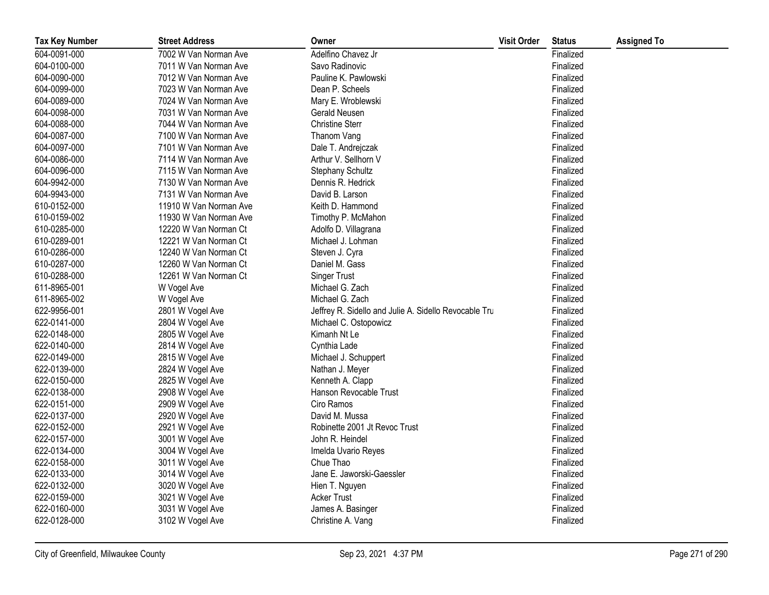| <b>Tax Key Number</b> | <b>Street Address</b>  | Owner                                                 | <b>Visit Order</b> | <b>Status</b> | <b>Assigned To</b> |
|-----------------------|------------------------|-------------------------------------------------------|--------------------|---------------|--------------------|
| 604-0091-000          | 7002 W Van Norman Ave  | Adelfino Chavez Jr                                    |                    | Finalized     |                    |
| 604-0100-000          | 7011 W Van Norman Ave  | Savo Radinovic                                        |                    | Finalized     |                    |
| 604-0090-000          | 7012 W Van Norman Ave  | Pauline K. Pawlowski                                  |                    | Finalized     |                    |
| 604-0099-000          | 7023 W Van Norman Ave  | Dean P. Scheels                                       |                    | Finalized     |                    |
| 604-0089-000          | 7024 W Van Norman Ave  | Mary E. Wroblewski                                    |                    | Finalized     |                    |
| 604-0098-000          | 7031 W Van Norman Ave  | Gerald Neusen                                         |                    | Finalized     |                    |
| 604-0088-000          | 7044 W Van Norman Ave  | <b>Christine Sterr</b>                                |                    | Finalized     |                    |
| 604-0087-000          | 7100 W Van Norman Ave  | Thanom Vang                                           |                    | Finalized     |                    |
| 604-0097-000          | 7101 W Van Norman Ave  | Dale T. Andrejczak                                    |                    | Finalized     |                    |
| 604-0086-000          | 7114 W Van Norman Ave  | Arthur V. Sellhorn V                                  |                    | Finalized     |                    |
| 604-0096-000          | 7115 W Van Norman Ave  | <b>Stephany Schultz</b>                               |                    | Finalized     |                    |
| 604-9942-000          | 7130 W Van Norman Ave  | Dennis R. Hedrick                                     |                    | Finalized     |                    |
| 604-9943-000          | 7131 W Van Norman Ave  | David B. Larson                                       |                    | Finalized     |                    |
| 610-0152-000          | 11910 W Van Norman Ave | Keith D. Hammond                                      |                    | Finalized     |                    |
| 610-0159-002          | 11930 W Van Norman Ave | Timothy P. McMahon                                    |                    | Finalized     |                    |
| 610-0285-000          | 12220 W Van Norman Ct  | Adolfo D. Villagrana                                  |                    | Finalized     |                    |
| 610-0289-001          | 12221 W Van Norman Ct  | Michael J. Lohman                                     |                    | Finalized     |                    |
| 610-0286-000          | 12240 W Van Norman Ct  | Steven J. Cyra                                        |                    | Finalized     |                    |
| 610-0287-000          | 12260 W Van Norman Ct  | Daniel M. Gass                                        |                    | Finalized     |                    |
| 610-0288-000          | 12261 W Van Norman Ct  | <b>Singer Trust</b>                                   |                    | Finalized     |                    |
| 611-8965-001          | W Vogel Ave            | Michael G. Zach                                       |                    | Finalized     |                    |
| 611-8965-002          | W Vogel Ave            | Michael G. Zach                                       |                    | Finalized     |                    |
| 622-9956-001          | 2801 W Vogel Ave       | Jeffrey R. Sidello and Julie A. Sidello Revocable Tru |                    | Finalized     |                    |
| 622-0141-000          | 2804 W Vogel Ave       | Michael C. Ostopowicz                                 |                    | Finalized     |                    |
| 622-0148-000          | 2805 W Vogel Ave       | Kimanh Nt Le                                          |                    | Finalized     |                    |
| 622-0140-000          | 2814 W Vogel Ave       | Cynthia Lade                                          |                    | Finalized     |                    |
| 622-0149-000          | 2815 W Vogel Ave       | Michael J. Schuppert                                  |                    | Finalized     |                    |
| 622-0139-000          | 2824 W Vogel Ave       | Nathan J. Meyer                                       |                    | Finalized     |                    |
| 622-0150-000          | 2825 W Vogel Ave       | Kenneth A. Clapp                                      |                    | Finalized     |                    |
| 622-0138-000          | 2908 W Vogel Ave       | Hanson Revocable Trust                                |                    | Finalized     |                    |
| 622-0151-000          | 2909 W Vogel Ave       | Ciro Ramos                                            |                    | Finalized     |                    |
| 622-0137-000          | 2920 W Vogel Ave       | David M. Mussa                                        |                    | Finalized     |                    |
| 622-0152-000          | 2921 W Vogel Ave       | Robinette 2001 Jt Revoc Trust                         |                    | Finalized     |                    |
| 622-0157-000          | 3001 W Vogel Ave       | John R. Heindel                                       |                    | Finalized     |                    |
| 622-0134-000          | 3004 W Vogel Ave       | Imelda Uvario Reyes                                   |                    | Finalized     |                    |
| 622-0158-000          | 3011 W Vogel Ave       | Chue Thao                                             |                    | Finalized     |                    |
| 622-0133-000          | 3014 W Vogel Ave       | Jane E. Jaworski-Gaessler                             |                    | Finalized     |                    |
| 622-0132-000          | 3020 W Vogel Ave       | Hien T. Nguyen                                        |                    | Finalized     |                    |
| 622-0159-000          | 3021 W Vogel Ave       | <b>Acker Trust</b>                                    |                    | Finalized     |                    |
| 622-0160-000          | 3031 W Vogel Ave       | James A. Basinger                                     |                    | Finalized     |                    |
| 622-0128-000          | 3102 W Vogel Ave       | Christine A. Vang                                     |                    | Finalized     |                    |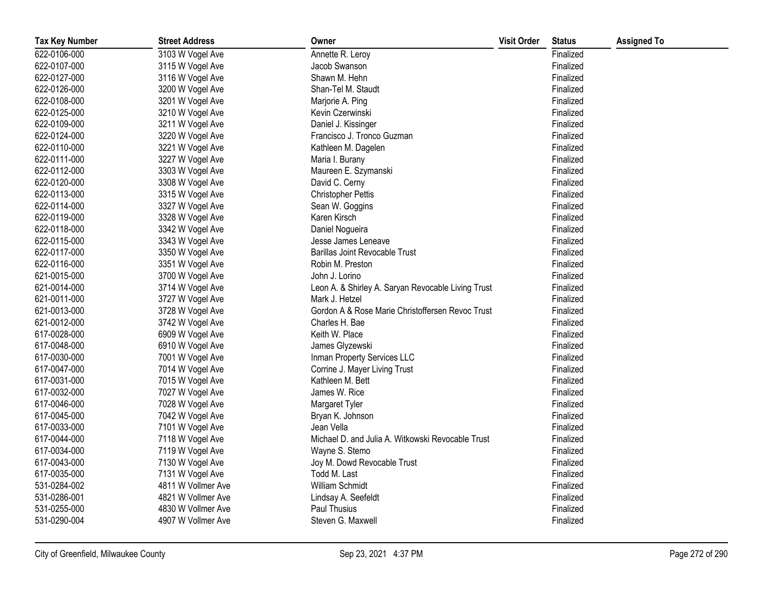| <b>Tax Key Number</b> | <b>Street Address</b> | Owner                                              | <b>Visit Order</b> | <b>Status</b> | <b>Assigned To</b> |
|-----------------------|-----------------------|----------------------------------------------------|--------------------|---------------|--------------------|
| 622-0106-000          | 3103 W Vogel Ave      | Annette R. Leroy                                   |                    | Finalized     |                    |
| 622-0107-000          | 3115 W Vogel Ave      | Jacob Swanson                                      |                    | Finalized     |                    |
| 622-0127-000          | 3116 W Vogel Ave      | Shawn M. Hehn                                      |                    | Finalized     |                    |
| 622-0126-000          | 3200 W Vogel Ave      | Shan-Tel M. Staudt                                 |                    | Finalized     |                    |
| 622-0108-000          | 3201 W Vogel Ave      | Marjorie A. Ping                                   |                    | Finalized     |                    |
| 622-0125-000          | 3210 W Vogel Ave      | Kevin Czerwinski                                   |                    | Finalized     |                    |
| 622-0109-000          | 3211 W Vogel Ave      | Daniel J. Kissinger                                |                    | Finalized     |                    |
| 622-0124-000          | 3220 W Vogel Ave      | Francisco J. Tronco Guzman                         |                    | Finalized     |                    |
| 622-0110-000          | 3221 W Vogel Ave      | Kathleen M. Dagelen                                |                    | Finalized     |                    |
| 622-0111-000          | 3227 W Vogel Ave      | Maria I. Burany                                    |                    | Finalized     |                    |
| 622-0112-000          | 3303 W Vogel Ave      | Maureen E. Szymanski                               |                    | Finalized     |                    |
| 622-0120-000          | 3308 W Vogel Ave      | David C. Cerny                                     |                    | Finalized     |                    |
| 622-0113-000          | 3315 W Vogel Ave      | <b>Christopher Pettis</b>                          |                    | Finalized     |                    |
| 622-0114-000          | 3327 W Vogel Ave      | Sean W. Goggins                                    |                    | Finalized     |                    |
| 622-0119-000          | 3328 W Vogel Ave      | Karen Kirsch                                       |                    | Finalized     |                    |
| 622-0118-000          | 3342 W Vogel Ave      | Daniel Nogueira                                    |                    | Finalized     |                    |
| 622-0115-000          | 3343 W Vogel Ave      | Jesse James Leneave                                |                    | Finalized     |                    |
| 622-0117-000          | 3350 W Vogel Ave      | <b>Barillas Joint Revocable Trust</b>              |                    | Finalized     |                    |
| 622-0116-000          | 3351 W Vogel Ave      | Robin M. Preston                                   |                    | Finalized     |                    |
| 621-0015-000          | 3700 W Vogel Ave      | John J. Lorino                                     |                    | Finalized     |                    |
| 621-0014-000          | 3714 W Vogel Ave      | Leon A. & Shirley A. Saryan Revocable Living Trust |                    | Finalized     |                    |
| 621-0011-000          | 3727 W Vogel Ave      | Mark J. Hetzel                                     |                    | Finalized     |                    |
| 621-0013-000          | 3728 W Vogel Ave      | Gordon A & Rose Marie Christoffersen Revoc Trust   |                    | Finalized     |                    |
| 621-0012-000          | 3742 W Vogel Ave      | Charles H. Bae                                     |                    | Finalized     |                    |
| 617-0028-000          | 6909 W Vogel Ave      | Keith W. Place                                     |                    | Finalized     |                    |
| 617-0048-000          | 6910 W Vogel Ave      | James Glyzewski                                    |                    | Finalized     |                    |
| 617-0030-000          | 7001 W Vogel Ave      | Inman Property Services LLC                        |                    | Finalized     |                    |
| 617-0047-000          | 7014 W Vogel Ave      | Corrine J. Mayer Living Trust                      |                    | Finalized     |                    |
| 617-0031-000          | 7015 W Vogel Ave      | Kathleen M. Bett                                   |                    | Finalized     |                    |
| 617-0032-000          | 7027 W Vogel Ave      | James W. Rice                                      |                    | Finalized     |                    |
| 617-0046-000          | 7028 W Vogel Ave      | Margaret Tyler                                     |                    | Finalized     |                    |
| 617-0045-000          | 7042 W Vogel Ave      | Bryan K. Johnson                                   |                    | Finalized     |                    |
| 617-0033-000          | 7101 W Vogel Ave      | Jean Vella                                         |                    | Finalized     |                    |
| 617-0044-000          | 7118 W Vogel Ave      | Michael D. and Julia A. Witkowski Revocable Trust  |                    | Finalized     |                    |
| 617-0034-000          | 7119 W Vogel Ave      | Wayne S. Stemo                                     |                    | Finalized     |                    |
| 617-0043-000          | 7130 W Vogel Ave      | Joy M. Dowd Revocable Trust                        |                    | Finalized     |                    |
| 617-0035-000          | 7131 W Vogel Ave      | Todd M. Last                                       |                    | Finalized     |                    |
| 531-0284-002          | 4811 W Vollmer Ave    | William Schmidt                                    |                    | Finalized     |                    |
| 531-0286-001          | 4821 W Vollmer Ave    | Lindsay A. Seefeldt                                |                    | Finalized     |                    |
| 531-0255-000          | 4830 W Vollmer Ave    | <b>Paul Thusius</b>                                |                    | Finalized     |                    |
| 531-0290-004          | 4907 W Vollmer Ave    | Steven G. Maxwell                                  |                    | Finalized     |                    |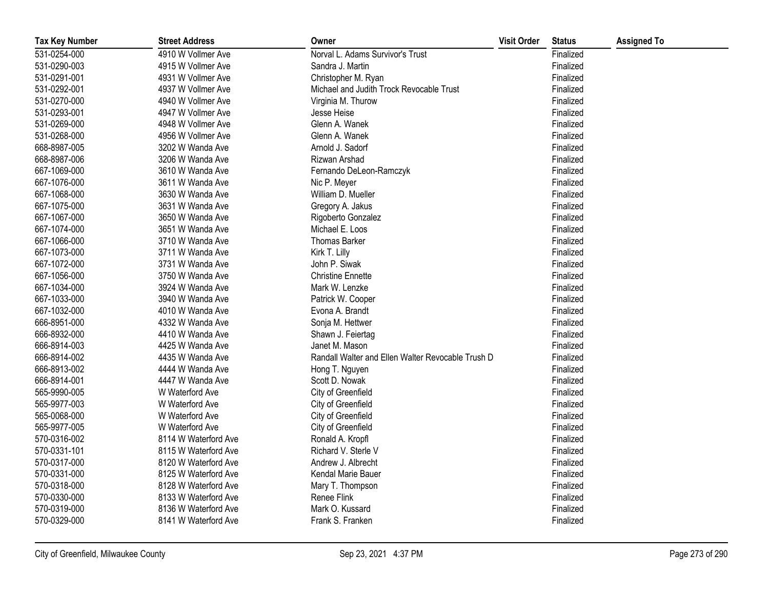| <b>Tax Key Number</b> | <b>Street Address</b> | Owner                                             | <b>Visit Order</b> | <b>Status</b> | <b>Assigned To</b> |
|-----------------------|-----------------------|---------------------------------------------------|--------------------|---------------|--------------------|
| 531-0254-000          | 4910 W Vollmer Ave    | Norval L. Adams Survivor's Trust                  |                    | Finalized     |                    |
| 531-0290-003          | 4915 W Vollmer Ave    | Sandra J. Martin                                  |                    | Finalized     |                    |
| 531-0291-001          | 4931 W Vollmer Ave    | Christopher M. Ryan                               |                    | Finalized     |                    |
| 531-0292-001          | 4937 W Vollmer Ave    | Michael and Judith Trock Revocable Trust          |                    | Finalized     |                    |
| 531-0270-000          | 4940 W Vollmer Ave    | Virginia M. Thurow                                |                    | Finalized     |                    |
| 531-0293-001          | 4947 W Vollmer Ave    | Jesse Heise                                       |                    | Finalized     |                    |
| 531-0269-000          | 4948 W Vollmer Ave    | Glenn A. Wanek                                    |                    | Finalized     |                    |
| 531-0268-000          | 4956 W Vollmer Ave    | Glenn A. Wanek                                    |                    | Finalized     |                    |
| 668-8987-005          | 3202 W Wanda Ave      | Arnold J. Sadorf                                  |                    | Finalized     |                    |
| 668-8987-006          | 3206 W Wanda Ave      | Rizwan Arshad                                     |                    | Finalized     |                    |
| 667-1069-000          | 3610 W Wanda Ave      | Fernando DeLeon-Ramczyk                           |                    | Finalized     |                    |
| 667-1076-000          | 3611 W Wanda Ave      | Nic P. Meyer                                      |                    | Finalized     |                    |
| 667-1068-000          | 3630 W Wanda Ave      | William D. Mueller                                |                    | Finalized     |                    |
| 667-1075-000          | 3631 W Wanda Ave      | Gregory A. Jakus                                  |                    | Finalized     |                    |
| 667-1067-000          | 3650 W Wanda Ave      | Rigoberto Gonzalez                                |                    | Finalized     |                    |
| 667-1074-000          | 3651 W Wanda Ave      | Michael E. Loos                                   |                    | Finalized     |                    |
| 667-1066-000          | 3710 W Wanda Ave      | Thomas Barker                                     |                    | Finalized     |                    |
| 667-1073-000          | 3711 W Wanda Ave      | Kirk T. Lilly                                     |                    | Finalized     |                    |
| 667-1072-000          | 3731 W Wanda Ave      | John P. Siwak                                     |                    | Finalized     |                    |
| 667-1056-000          | 3750 W Wanda Ave      | <b>Christine Ennette</b>                          |                    | Finalized     |                    |
| 667-1034-000          | 3924 W Wanda Ave      | Mark W. Lenzke                                    |                    | Finalized     |                    |
| 667-1033-000          | 3940 W Wanda Ave      | Patrick W. Cooper                                 |                    | Finalized     |                    |
| 667-1032-000          | 4010 W Wanda Ave      | Evona A. Brandt                                   |                    | Finalized     |                    |
| 666-8951-000          | 4332 W Wanda Ave      | Sonja M. Hettwer                                  |                    | Finalized     |                    |
| 666-8932-000          | 4410 W Wanda Ave      | Shawn J. Feiertag                                 |                    | Finalized     |                    |
| 666-8914-003          | 4425 W Wanda Ave      | Janet M. Mason                                    |                    | Finalized     |                    |
| 666-8914-002          | 4435 W Wanda Ave      | Randall Walter and Ellen Walter Revocable Trush D |                    | Finalized     |                    |
| 666-8913-002          | 4444 W Wanda Ave      | Hong T. Nguyen                                    |                    | Finalized     |                    |
| 666-8914-001          | 4447 W Wanda Ave      | Scott D. Nowak                                    |                    | Finalized     |                    |
| 565-9990-005          | W Waterford Ave       | City of Greenfield                                |                    | Finalized     |                    |
| 565-9977-003          | W Waterford Ave       | City of Greenfield                                |                    | Finalized     |                    |
| 565-0068-000          | W Waterford Ave       | City of Greenfield                                |                    | Finalized     |                    |
| 565-9977-005          | W Waterford Ave       | City of Greenfield                                |                    | Finalized     |                    |
| 570-0316-002          | 8114 W Waterford Ave  | Ronald A. Kropfl                                  |                    | Finalized     |                    |
| 570-0331-101          | 8115 W Waterford Ave  | Richard V. Sterle V                               |                    | Finalized     |                    |
| 570-0317-000          | 8120 W Waterford Ave  | Andrew J. Albrecht                                |                    | Finalized     |                    |
| 570-0331-000          | 8125 W Waterford Ave  | Kendal Marie Bauer                                |                    | Finalized     |                    |
| 570-0318-000          | 8128 W Waterford Ave  | Mary T. Thompson                                  |                    | Finalized     |                    |
| 570-0330-000          | 8133 W Waterford Ave  | Renee Flink                                       |                    | Finalized     |                    |
| 570-0319-000          | 8136 W Waterford Ave  | Mark O. Kussard                                   |                    | Finalized     |                    |
| 570-0329-000          | 8141 W Waterford Ave  | Frank S. Franken                                  |                    | Finalized     |                    |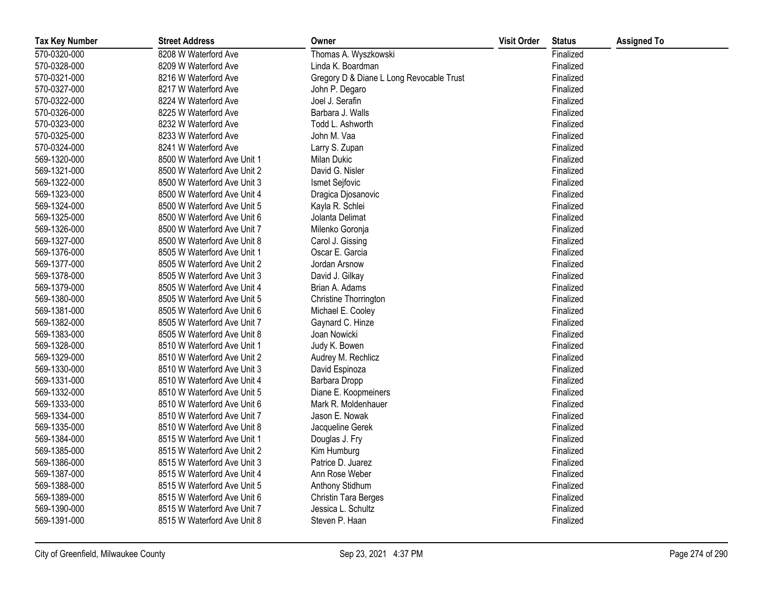| <b>Tax Key Number</b> | <b>Street Address</b>       | Owner                                    | <b>Visit Order</b> | <b>Status</b> | <b>Assigned To</b> |
|-----------------------|-----------------------------|------------------------------------------|--------------------|---------------|--------------------|
| 570-0320-000          | 8208 W Waterford Ave        | Thomas A. Wyszkowski                     |                    | Finalized     |                    |
| 570-0328-000          | 8209 W Waterford Ave        | Linda K. Boardman                        |                    | Finalized     |                    |
| 570-0321-000          | 8216 W Waterford Ave        | Gregory D & Diane L Long Revocable Trust |                    | Finalized     |                    |
| 570-0327-000          | 8217 W Waterford Ave        | John P. Degaro                           |                    | Finalized     |                    |
| 570-0322-000          | 8224 W Waterford Ave        | Joel J. Serafin                          |                    | Finalized     |                    |
| 570-0326-000          | 8225 W Waterford Ave        | Barbara J. Walls                         |                    | Finalized     |                    |
| 570-0323-000          | 8232 W Waterford Ave        | Todd L. Ashworth                         |                    | Finalized     |                    |
| 570-0325-000          | 8233 W Waterford Ave        | John M. Vaa                              |                    | Finalized     |                    |
| 570-0324-000          | 8241 W Waterford Ave        | Larry S. Zupan                           |                    | Finalized     |                    |
| 569-1320-000          | 8500 W Waterford Ave Unit 1 | <b>Milan Dukic</b>                       |                    | Finalized     |                    |
| 569-1321-000          | 8500 W Waterford Ave Unit 2 | David G. Nisler                          |                    | Finalized     |                    |
| 569-1322-000          | 8500 W Waterford Ave Unit 3 | Ismet Sejfovic                           |                    | Finalized     |                    |
| 569-1323-000          | 8500 W Waterford Ave Unit 4 | Dragica Djosanovic                       |                    | Finalized     |                    |
| 569-1324-000          | 8500 W Waterford Ave Unit 5 | Kayla R. Schlei                          |                    | Finalized     |                    |
| 569-1325-000          | 8500 W Waterford Ave Unit 6 | Jolanta Delimat                          |                    | Finalized     |                    |
| 569-1326-000          | 8500 W Waterford Ave Unit 7 | Milenko Goronja                          |                    | Finalized     |                    |
| 569-1327-000          | 8500 W Waterford Ave Unit 8 | Carol J. Gissing                         |                    | Finalized     |                    |
| 569-1376-000          | 8505 W Waterford Ave Unit 1 | Oscar E. Garcia                          |                    | Finalized     |                    |
| 569-1377-000          | 8505 W Waterford Ave Unit 2 | Jordan Arsnow                            |                    | Finalized     |                    |
| 569-1378-000          | 8505 W Waterford Ave Unit 3 | David J. Gilkay                          |                    | Finalized     |                    |
| 569-1379-000          | 8505 W Waterford Ave Unit 4 | Brian A. Adams                           |                    | Finalized     |                    |
| 569-1380-000          | 8505 W Waterford Ave Unit 5 | Christine Thorrington                    |                    | Finalized     |                    |
| 569-1381-000          | 8505 W Waterford Ave Unit 6 | Michael E. Cooley                        |                    | Finalized     |                    |
| 569-1382-000          | 8505 W Waterford Ave Unit 7 | Gaynard C. Hinze                         |                    | Finalized     |                    |
| 569-1383-000          | 8505 W Waterford Ave Unit 8 | Joan Nowicki                             |                    | Finalized     |                    |
| 569-1328-000          | 8510 W Waterford Ave Unit 1 | Judy K. Bowen                            |                    | Finalized     |                    |
| 569-1329-000          | 8510 W Waterford Ave Unit 2 | Audrey M. Rechlicz                       |                    | Finalized     |                    |
| 569-1330-000          | 8510 W Waterford Ave Unit 3 | David Espinoza                           |                    | Finalized     |                    |
| 569-1331-000          | 8510 W Waterford Ave Unit 4 | Barbara Dropp                            |                    | Finalized     |                    |
| 569-1332-000          | 8510 W Waterford Ave Unit 5 | Diane E. Koopmeiners                     |                    | Finalized     |                    |
| 569-1333-000          | 8510 W Waterford Ave Unit 6 | Mark R. Moldenhauer                      |                    | Finalized     |                    |
| 569-1334-000          | 8510 W Waterford Ave Unit 7 | Jason E. Nowak                           |                    | Finalized     |                    |
| 569-1335-000          | 8510 W Waterford Ave Unit 8 | Jacqueline Gerek                         |                    | Finalized     |                    |
| 569-1384-000          | 8515 W Waterford Ave Unit 1 | Douglas J. Fry                           |                    | Finalized     |                    |
| 569-1385-000          | 8515 W Waterford Ave Unit 2 | Kim Humburg                              |                    | Finalized     |                    |
| 569-1386-000          | 8515 W Waterford Ave Unit 3 | Patrice D. Juarez                        |                    | Finalized     |                    |
| 569-1387-000          | 8515 W Waterford Ave Unit 4 | Ann Rose Weber                           |                    | Finalized     |                    |
| 569-1388-000          | 8515 W Waterford Ave Unit 5 | Anthony Stidhum                          |                    | Finalized     |                    |
| 569-1389-000          | 8515 W Waterford Ave Unit 6 | Christin Tara Berges                     |                    | Finalized     |                    |
| 569-1390-000          | 8515 W Waterford Ave Unit 7 | Jessica L. Schultz                       |                    | Finalized     |                    |
| 569-1391-000          | 8515 W Waterford Ave Unit 8 | Steven P. Haan                           |                    | Finalized     |                    |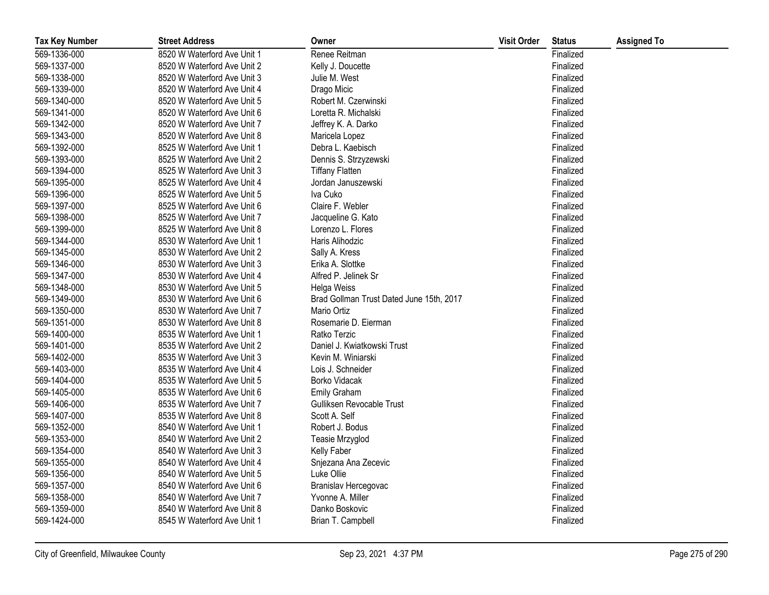| <b>Tax Key Number</b> | <b>Street Address</b>       | Owner                                    | <b>Visit Order</b> | <b>Status</b> | <b>Assigned To</b> |
|-----------------------|-----------------------------|------------------------------------------|--------------------|---------------|--------------------|
| 569-1336-000          | 8520 W Waterford Ave Unit 1 | Renee Reitman                            |                    | Finalized     |                    |
| 569-1337-000          | 8520 W Waterford Ave Unit 2 | Kelly J. Doucette                        |                    | Finalized     |                    |
| 569-1338-000          | 8520 W Waterford Ave Unit 3 | Julie M. West                            |                    | Finalized     |                    |
| 569-1339-000          | 8520 W Waterford Ave Unit 4 | Drago Micic                              |                    | Finalized     |                    |
| 569-1340-000          | 8520 W Waterford Ave Unit 5 | Robert M. Czerwinski                     |                    | Finalized     |                    |
| 569-1341-000          | 8520 W Waterford Ave Unit 6 | Loretta R. Michalski                     |                    | Finalized     |                    |
| 569-1342-000          | 8520 W Waterford Ave Unit 7 | Jeffrey K. A. Darko                      |                    | Finalized     |                    |
| 569-1343-000          | 8520 W Waterford Ave Unit 8 | Maricela Lopez                           |                    | Finalized     |                    |
| 569-1392-000          | 8525 W Waterford Ave Unit 1 | Debra L. Kaebisch                        |                    | Finalized     |                    |
| 569-1393-000          | 8525 W Waterford Ave Unit 2 | Dennis S. Strzyzewski                    |                    | Finalized     |                    |
| 569-1394-000          | 8525 W Waterford Ave Unit 3 | <b>Tiffany Flatten</b>                   |                    | Finalized     |                    |
| 569-1395-000          | 8525 W Waterford Ave Unit 4 | Jordan Januszewski                       |                    | Finalized     |                    |
| 569-1396-000          | 8525 W Waterford Ave Unit 5 | Iva Cuko                                 |                    | Finalized     |                    |
| 569-1397-000          | 8525 W Waterford Ave Unit 6 | Claire F. Webler                         |                    | Finalized     |                    |
| 569-1398-000          | 8525 W Waterford Ave Unit 7 | Jacqueline G. Kato                       |                    | Finalized     |                    |
| 569-1399-000          | 8525 W Waterford Ave Unit 8 | Lorenzo L. Flores                        |                    | Finalized     |                    |
| 569-1344-000          | 8530 W Waterford Ave Unit 1 | Haris Alihodzic                          |                    | Finalized     |                    |
| 569-1345-000          | 8530 W Waterford Ave Unit 2 | Sally A. Kress                           |                    | Finalized     |                    |
| 569-1346-000          | 8530 W Waterford Ave Unit 3 | Erika A. Slottke                         |                    | Finalized     |                    |
| 569-1347-000          | 8530 W Waterford Ave Unit 4 | Alfred P. Jelinek Sr                     |                    | Finalized     |                    |
| 569-1348-000          | 8530 W Waterford Ave Unit 5 | Helga Weiss                              |                    | Finalized     |                    |
| 569-1349-000          | 8530 W Waterford Ave Unit 6 | Brad Gollman Trust Dated June 15th, 2017 |                    | Finalized     |                    |
| 569-1350-000          | 8530 W Waterford Ave Unit 7 | Mario Ortiz                              |                    | Finalized     |                    |
| 569-1351-000          | 8530 W Waterford Ave Unit 8 | Rosemarie D. Eierman                     |                    | Finalized     |                    |
| 569-1400-000          | 8535 W Waterford Ave Unit 1 | Ratko Terzic                             |                    | Finalized     |                    |
| 569-1401-000          | 8535 W Waterford Ave Unit 2 | Daniel J. Kwiatkowski Trust              |                    | Finalized     |                    |
| 569-1402-000          | 8535 W Waterford Ave Unit 3 | Kevin M. Winiarski                       |                    | Finalized     |                    |
| 569-1403-000          | 8535 W Waterford Ave Unit 4 | Lois J. Schneider                        |                    | Finalized     |                    |
| 569-1404-000          | 8535 W Waterford Ave Unit 5 | Borko Vidacak                            |                    | Finalized     |                    |
| 569-1405-000          | 8535 W Waterford Ave Unit 6 | <b>Emily Graham</b>                      |                    | Finalized     |                    |
| 569-1406-000          | 8535 W Waterford Ave Unit 7 | Gulliksen Revocable Trust                |                    | Finalized     |                    |
| 569-1407-000          | 8535 W Waterford Ave Unit 8 | Scott A. Self                            |                    | Finalized     |                    |
| 569-1352-000          | 8540 W Waterford Ave Unit 1 | Robert J. Bodus                          |                    | Finalized     |                    |
| 569-1353-000          | 8540 W Waterford Ave Unit 2 | Teasie Mrzyglod                          |                    | Finalized     |                    |
| 569-1354-000          | 8540 W Waterford Ave Unit 3 | Kelly Faber                              |                    | Finalized     |                    |
| 569-1355-000          | 8540 W Waterford Ave Unit 4 | Snjezana Ana Zecevic                     |                    | Finalized     |                    |
| 569-1356-000          | 8540 W Waterford Ave Unit 5 | Luke Ollie                               |                    | Finalized     |                    |
| 569-1357-000          | 8540 W Waterford Ave Unit 6 | Branislav Hercegovac                     |                    | Finalized     |                    |
| 569-1358-000          | 8540 W Waterford Ave Unit 7 | Yvonne A. Miller                         |                    | Finalized     |                    |
| 569-1359-000          | 8540 W Waterford Ave Unit 8 | Danko Boskovic                           |                    | Finalized     |                    |
| 569-1424-000          | 8545 W Waterford Ave Unit 1 | Brian T. Campbell                        |                    | Finalized     |                    |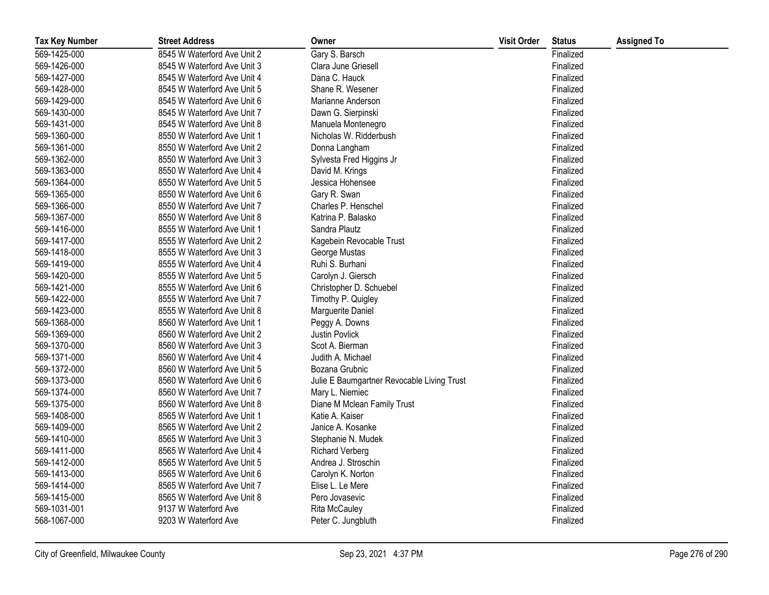| <b>Tax Key Number</b> | <b>Street Address</b>       | Owner                                      | <b>Visit Order</b> | <b>Status</b> | <b>Assigned To</b> |
|-----------------------|-----------------------------|--------------------------------------------|--------------------|---------------|--------------------|
| 569-1425-000          | 8545 W Waterford Ave Unit 2 | Gary S. Barsch                             |                    | Finalized     |                    |
| 569-1426-000          | 8545 W Waterford Ave Unit 3 | Clara June Griesell                        |                    | Finalized     |                    |
| 569-1427-000          | 8545 W Waterford Ave Unit 4 | Dana C. Hauck                              |                    | Finalized     |                    |
| 569-1428-000          | 8545 W Waterford Ave Unit 5 | Shane R. Wesener                           |                    | Finalized     |                    |
| 569-1429-000          | 8545 W Waterford Ave Unit 6 | Marianne Anderson                          |                    | Finalized     |                    |
| 569-1430-000          | 8545 W Waterford Ave Unit 7 | Dawn G. Sierpinski                         |                    | Finalized     |                    |
| 569-1431-000          | 8545 W Waterford Ave Unit 8 | Manuela Montenegro                         |                    | Finalized     |                    |
| 569-1360-000          | 8550 W Waterford Ave Unit 1 | Nicholas W. Ridderbush                     |                    | Finalized     |                    |
| 569-1361-000          | 8550 W Waterford Ave Unit 2 | Donna Langham                              |                    | Finalized     |                    |
| 569-1362-000          | 8550 W Waterford Ave Unit 3 | Sylvesta Fred Higgins Jr                   |                    | Finalized     |                    |
| 569-1363-000          | 8550 W Waterford Ave Unit 4 | David M. Krings                            |                    | Finalized     |                    |
| 569-1364-000          | 8550 W Waterford Ave Unit 5 | Jessica Hohensee                           |                    | Finalized     |                    |
| 569-1365-000          | 8550 W Waterford Ave Unit 6 | Gary R. Swan                               |                    | Finalized     |                    |
| 569-1366-000          | 8550 W Waterford Ave Unit 7 | Charles P. Henschel                        |                    | Finalized     |                    |
| 569-1367-000          | 8550 W Waterford Ave Unit 8 | Katrina P. Balasko                         |                    | Finalized     |                    |
| 569-1416-000          | 8555 W Waterford Ave Unit 1 | Sandra Plautz                              |                    | Finalized     |                    |
| 569-1417-000          | 8555 W Waterford Ave Unit 2 | Kagebein Revocable Trust                   |                    | Finalized     |                    |
| 569-1418-000          | 8555 W Waterford Ave Unit 3 | George Mustas                              |                    | Finalized     |                    |
| 569-1419-000          | 8555 W Waterford Ave Unit 4 | Ruhi S. Burhani                            |                    | Finalized     |                    |
| 569-1420-000          | 8555 W Waterford Ave Unit 5 | Carolyn J. Giersch                         |                    | Finalized     |                    |
| 569-1421-000          | 8555 W Waterford Ave Unit 6 | Christopher D. Schuebel                    |                    | Finalized     |                    |
| 569-1422-000          | 8555 W Waterford Ave Unit 7 | Timothy P. Quigley                         |                    | Finalized     |                    |
| 569-1423-000          | 8555 W Waterford Ave Unit 8 | Marguerite Daniel                          |                    | Finalized     |                    |
| 569-1368-000          | 8560 W Waterford Ave Unit 1 | Peggy A. Downs                             |                    | Finalized     |                    |
| 569-1369-000          | 8560 W Waterford Ave Unit 2 | Justin Povlick                             |                    | Finalized     |                    |
| 569-1370-000          | 8560 W Waterford Ave Unit 3 | Scot A. Bierman                            |                    | Finalized     |                    |
| 569-1371-000          | 8560 W Waterford Ave Unit 4 | Judith A. Michael                          |                    | Finalized     |                    |
| 569-1372-000          | 8560 W Waterford Ave Unit 5 | Bozana Grubnic                             |                    | Finalized     |                    |
| 569-1373-000          | 8560 W Waterford Ave Unit 6 | Julie E Baumgartner Revocable Living Trust |                    | Finalized     |                    |
| 569-1374-000          | 8560 W Waterford Ave Unit 7 | Mary L. Niemiec                            |                    | Finalized     |                    |
| 569-1375-000          | 8560 W Waterford Ave Unit 8 | Diane M Mclean Family Trust                |                    | Finalized     |                    |
| 569-1408-000          | 8565 W Waterford Ave Unit 1 | Katie A. Kaiser                            |                    | Finalized     |                    |
| 569-1409-000          | 8565 W Waterford Ave Unit 2 | Janice A. Kosanke                          |                    | Finalized     |                    |
| 569-1410-000          | 8565 W Waterford Ave Unit 3 | Stephanie N. Mudek                         |                    | Finalized     |                    |
| 569-1411-000          | 8565 W Waterford Ave Unit 4 | <b>Richard Verberg</b>                     |                    | Finalized     |                    |
| 569-1412-000          | 8565 W Waterford Ave Unit 5 | Andrea J. Stroschin                        |                    | Finalized     |                    |
| 569-1413-000          | 8565 W Waterford Ave Unit 6 | Carolyn K. Norton                          |                    | Finalized     |                    |
| 569-1414-000          | 8565 W Waterford Ave Unit 7 | Elise L. Le Mere                           |                    | Finalized     |                    |
| 569-1415-000          | 8565 W Waterford Ave Unit 8 | Pero Jovasevic                             |                    | Finalized     |                    |
| 569-1031-001          | 9137 W Waterford Ave        | <b>Rita McCauley</b>                       |                    | Finalized     |                    |
| 568-1067-000          | 9203 W Waterford Ave        | Peter C. Jungbluth                         |                    | Finalized     |                    |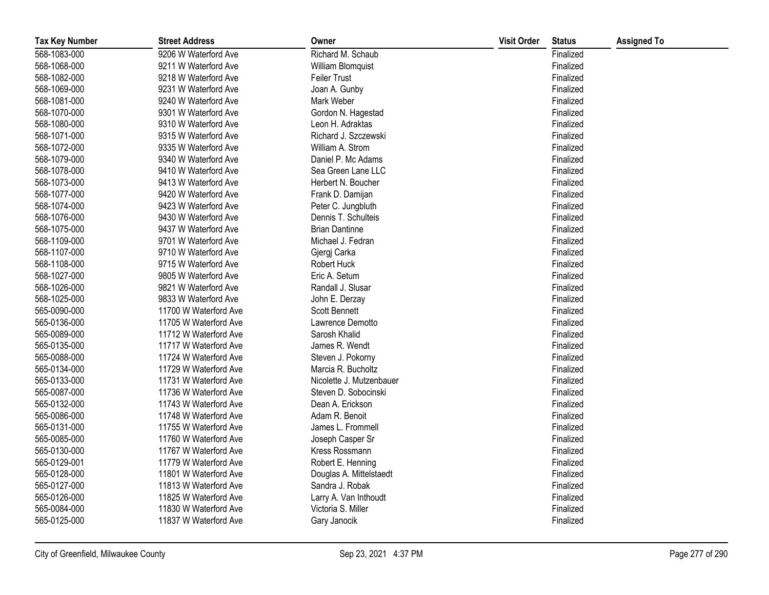| <b>Tax Key Number</b> | <b>Street Address</b> | Owner                    | <b>Visit Order</b> | <b>Status</b> | <b>Assigned To</b> |
|-----------------------|-----------------------|--------------------------|--------------------|---------------|--------------------|
| 568-1083-000          | 9206 W Waterford Ave  | Richard M. Schaub        |                    | Finalized     |                    |
| 568-1068-000          | 9211 W Waterford Ave  | William Blomquist        |                    | Finalized     |                    |
| 568-1082-000          | 9218 W Waterford Ave  | Feiler Trust             |                    | Finalized     |                    |
| 568-1069-000          | 9231 W Waterford Ave  | Joan A. Gunby            |                    | Finalized     |                    |
| 568-1081-000          | 9240 W Waterford Ave  | Mark Weber               |                    | Finalized     |                    |
| 568-1070-000          | 9301 W Waterford Ave  | Gordon N. Hagestad       |                    | Finalized     |                    |
| 568-1080-000          | 9310 W Waterford Ave  | Leon H. Adraktas         |                    | Finalized     |                    |
| 568-1071-000          | 9315 W Waterford Ave  | Richard J. Szczewski     |                    | Finalized     |                    |
| 568-1072-000          | 9335 W Waterford Ave  | William A. Strom         |                    | Finalized     |                    |
| 568-1079-000          | 9340 W Waterford Ave  | Daniel P. Mc Adams       |                    | Finalized     |                    |
| 568-1078-000          | 9410 W Waterford Ave  | Sea Green Lane LLC       |                    | Finalized     |                    |
| 568-1073-000          | 9413 W Waterford Ave  | Herbert N. Boucher       |                    | Finalized     |                    |
| 568-1077-000          | 9420 W Waterford Ave  | Frank D. Damijan         |                    | Finalized     |                    |
| 568-1074-000          | 9423 W Waterford Ave  | Peter C. Jungbluth       |                    | Finalized     |                    |
| 568-1076-000          | 9430 W Waterford Ave  | Dennis T. Schulteis      |                    | Finalized     |                    |
| 568-1075-000          | 9437 W Waterford Ave  | <b>Brian Dantinne</b>    |                    | Finalized     |                    |
| 568-1109-000          | 9701 W Waterford Ave  | Michael J. Fedran        |                    | Finalized     |                    |
| 568-1107-000          | 9710 W Waterford Ave  | Gjergj Carka             |                    | Finalized     |                    |
| 568-1108-000          | 9715 W Waterford Ave  | Robert Huck              |                    | Finalized     |                    |
| 568-1027-000          | 9805 W Waterford Ave  | Eric A. Setum            |                    | Finalized     |                    |
| 568-1026-000          | 9821 W Waterford Ave  | Randall J. Slusar        |                    | Finalized     |                    |
| 568-1025-000          | 9833 W Waterford Ave  | John E. Derzay           |                    | Finalized     |                    |
| 565-0090-000          | 11700 W Waterford Ave | <b>Scott Bennett</b>     |                    | Finalized     |                    |
| 565-0136-000          | 11705 W Waterford Ave | Lawrence Demotto         |                    | Finalized     |                    |
| 565-0089-000          | 11712 W Waterford Ave | Sarosh Khalid            |                    | Finalized     |                    |
| 565-0135-000          | 11717 W Waterford Ave | James R. Wendt           |                    | Finalized     |                    |
| 565-0088-000          | 11724 W Waterford Ave | Steven J. Pokorny        |                    | Finalized     |                    |
| 565-0134-000          | 11729 W Waterford Ave | Marcia R. Bucholtz       |                    | Finalized     |                    |
| 565-0133-000          | 11731 W Waterford Ave | Nicolette J. Mutzenbauer |                    | Finalized     |                    |
| 565-0087-000          | 11736 W Waterford Ave | Steven D. Sobocinski     |                    | Finalized     |                    |
| 565-0132-000          | 11743 W Waterford Ave | Dean A. Erickson         |                    | Finalized     |                    |
| 565-0086-000          | 11748 W Waterford Ave | Adam R. Benoit           |                    | Finalized     |                    |
| 565-0131-000          | 11755 W Waterford Ave | James L. Frommell        |                    | Finalized     |                    |
| 565-0085-000          | 11760 W Waterford Ave | Joseph Casper Sr         |                    | Finalized     |                    |
| 565-0130-000          | 11767 W Waterford Ave | Kress Rossmann           |                    | Finalized     |                    |
| 565-0129-001          | 11779 W Waterford Ave | Robert E. Henning        |                    | Finalized     |                    |
| 565-0128-000          | 11801 W Waterford Ave | Douglas A. Mittelstaedt  |                    | Finalized     |                    |
| 565-0127-000          | 11813 W Waterford Ave | Sandra J. Robak          |                    | Finalized     |                    |
| 565-0126-000          | 11825 W Waterford Ave | Larry A. Van Inthoudt    |                    | Finalized     |                    |
| 565-0084-000          | 11830 W Waterford Ave | Victoria S. Miller       |                    | Finalized     |                    |
| 565-0125-000          | 11837 W Waterford Ave | Gary Janocik             |                    | Finalized     |                    |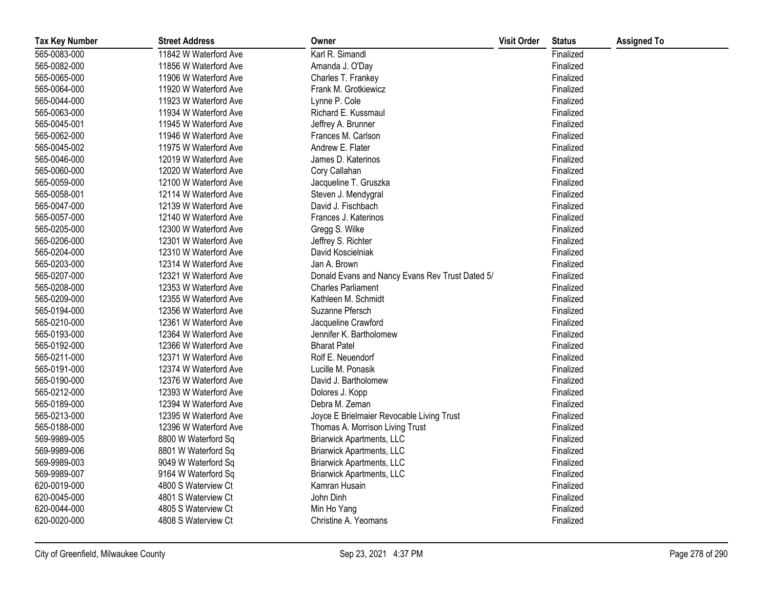| <b>Tax Key Number</b> | <b>Street Address</b> | Owner                                           | <b>Visit Order</b> | <b>Status</b> | <b>Assigned To</b> |
|-----------------------|-----------------------|-------------------------------------------------|--------------------|---------------|--------------------|
| 565-0083-000          | 11842 W Waterford Ave | Karl R. Simandl                                 |                    | Finalized     |                    |
| 565-0082-000          | 11856 W Waterford Ave | Amanda J. O'Day                                 |                    | Finalized     |                    |
| 565-0065-000          | 11906 W Waterford Ave | Charles T. Frankey                              |                    | Finalized     |                    |
| 565-0064-000          | 11920 W Waterford Ave | Frank M. Grotkiewicz                            |                    | Finalized     |                    |
| 565-0044-000          | 11923 W Waterford Ave | Lynne P. Cole                                   |                    | Finalized     |                    |
| 565-0063-000          | 11934 W Waterford Ave | Richard E. Kussmaul                             |                    | Finalized     |                    |
| 565-0045-001          | 11945 W Waterford Ave | Jeffrey A. Brunner                              |                    | Finalized     |                    |
| 565-0062-000          | 11946 W Waterford Ave | Frances M. Carlson                              |                    | Finalized     |                    |
| 565-0045-002          | 11975 W Waterford Ave | Andrew E. Flater                                |                    | Finalized     |                    |
| 565-0046-000          | 12019 W Waterford Ave | James D. Katerinos                              |                    | Finalized     |                    |
| 565-0060-000          | 12020 W Waterford Ave | Cory Callahan                                   |                    | Finalized     |                    |
| 565-0059-000          | 12100 W Waterford Ave | Jacqueline T. Gruszka                           |                    | Finalized     |                    |
| 565-0058-001          | 12114 W Waterford Ave | Steven J. Mendygral                             |                    | Finalized     |                    |
| 565-0047-000          | 12139 W Waterford Ave | David J. Fischbach                              |                    | Finalized     |                    |
| 565-0057-000          | 12140 W Waterford Ave | Frances J. Katerinos                            |                    | Finalized     |                    |
| 565-0205-000          | 12300 W Waterford Ave | Gregg S. Wilke                                  |                    | Finalized     |                    |
| 565-0206-000          | 12301 W Waterford Ave | Jeffrey S. Richter                              |                    | Finalized     |                    |
| 565-0204-000          | 12310 W Waterford Ave | David Koscielniak                               |                    | Finalized     |                    |
| 565-0203-000          | 12314 W Waterford Ave | Jan A. Brown                                    |                    | Finalized     |                    |
| 565-0207-000          | 12321 W Waterford Ave | Donald Evans and Nancy Evans Rev Trust Dated 5/ |                    | Finalized     |                    |
| 565-0208-000          | 12353 W Waterford Ave | <b>Charles Parliament</b>                       |                    | Finalized     |                    |
| 565-0209-000          | 12355 W Waterford Ave | Kathleen M. Schmidt                             |                    | Finalized     |                    |
| 565-0194-000          | 12356 W Waterford Ave | Suzanne Pfersch                                 |                    | Finalized     |                    |
| 565-0210-000          | 12361 W Waterford Ave | Jacqueline Crawford                             |                    | Finalized     |                    |
| 565-0193-000          | 12364 W Waterford Ave | Jennifer K. Bartholomew                         |                    | Finalized     |                    |
| 565-0192-000          | 12366 W Waterford Ave | <b>Bharat Patel</b>                             |                    | Finalized     |                    |
| 565-0211-000          | 12371 W Waterford Ave | Rolf E. Neuendorf                               |                    | Finalized     |                    |
| 565-0191-000          | 12374 W Waterford Ave | Lucille M. Ponasik                              |                    | Finalized     |                    |
| 565-0190-000          | 12376 W Waterford Ave | David J. Bartholomew                            |                    | Finalized     |                    |
| 565-0212-000          | 12393 W Waterford Ave | Dolores J. Kopp                                 |                    | Finalized     |                    |
| 565-0189-000          | 12394 W Waterford Ave | Debra M. Zeman                                  |                    | Finalized     |                    |
| 565-0213-000          | 12395 W Waterford Ave | Joyce E Brielmaier Revocable Living Trust       |                    | Finalized     |                    |
| 565-0188-000          | 12396 W Waterford Ave | Thomas A. Morrison Living Trust                 |                    | Finalized     |                    |
| 569-9989-005          | 8800 W Waterford Sq   | <b>Briarwick Apartments, LLC</b>                |                    | Finalized     |                    |
| 569-9989-006          | 8801 W Waterford Sq   | <b>Briarwick Apartments, LLC</b>                |                    | Finalized     |                    |
| 569-9989-003          | 9049 W Waterford Sq   | <b>Briarwick Apartments, LLC</b>                |                    | Finalized     |                    |
| 569-9989-007          | 9164 W Waterford Sq   | <b>Briarwick Apartments, LLC</b>                |                    | Finalized     |                    |
| 620-0019-000          | 4800 S Waterview Ct   | Kamran Husain                                   |                    | Finalized     |                    |
| 620-0045-000          | 4801 S Waterview Ct   | John Dinh                                       |                    | Finalized     |                    |
| 620-0044-000          | 4805 S Waterview Ct   | Min Ho Yang                                     |                    | Finalized     |                    |
| 620-0020-000          | 4808 S Waterview Ct   | Christine A. Yeomans                            |                    | Finalized     |                    |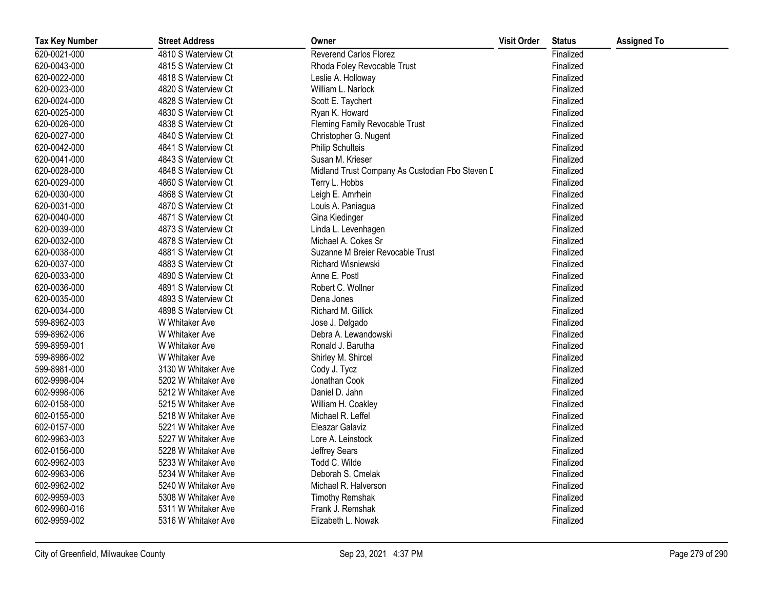| <b>Tax Key Number</b> | <b>Street Address</b> | Owner                                           | <b>Visit Order</b> | <b>Status</b> | <b>Assigned To</b> |
|-----------------------|-----------------------|-------------------------------------------------|--------------------|---------------|--------------------|
| 620-0021-000          | 4810 S Waterview Ct   | <b>Reverend Carlos Florez</b>                   |                    | Finalized     |                    |
| 620-0043-000          | 4815 S Waterview Ct   | Rhoda Foley Revocable Trust                     |                    | Finalized     |                    |
| 620-0022-000          | 4818 S Waterview Ct   | Leslie A. Holloway                              |                    | Finalized     |                    |
| 620-0023-000          | 4820 S Waterview Ct   | William L. Narlock                              |                    | Finalized     |                    |
| 620-0024-000          | 4828 S Waterview Ct   | Scott E. Taychert                               |                    | Finalized     |                    |
| 620-0025-000          | 4830 S Waterview Ct   | Ryan K. Howard                                  |                    | Finalized     |                    |
| 620-0026-000          | 4838 S Waterview Ct   | Fleming Family Revocable Trust                  |                    | Finalized     |                    |
| 620-0027-000          | 4840 S Waterview Ct   | Christopher G. Nugent                           |                    | Finalized     |                    |
| 620-0042-000          | 4841 S Waterview Ct   | Philip Schulteis                                |                    | Finalized     |                    |
| 620-0041-000          | 4843 S Waterview Ct   | Susan M. Krieser                                |                    | Finalized     |                    |
| 620-0028-000          | 4848 S Waterview Ct   | Midland Trust Company As Custodian Fbo Steven D |                    | Finalized     |                    |
| 620-0029-000          | 4860 S Waterview Ct   | Terry L. Hobbs                                  |                    | Finalized     |                    |
| 620-0030-000          | 4868 S Waterview Ct   | Leigh E. Amrhein                                |                    | Finalized     |                    |
| 620-0031-000          | 4870 S Waterview Ct   | Louis A. Paniagua                               |                    | Finalized     |                    |
| 620-0040-000          | 4871 S Waterview Ct   | Gina Kiedinger                                  |                    | Finalized     |                    |
| 620-0039-000          | 4873 S Waterview Ct   | Linda L. Levenhagen                             |                    | Finalized     |                    |
| 620-0032-000          | 4878 S Waterview Ct   | Michael A. Cokes Sr                             |                    | Finalized     |                    |
| 620-0038-000          | 4881 S Waterview Ct   | Suzanne M Breier Revocable Trust                |                    | Finalized     |                    |
| 620-0037-000          | 4883 S Waterview Ct   | Richard Wisniewski                              |                    | Finalized     |                    |
| 620-0033-000          | 4890 S Waterview Ct   | Anne E. Postl                                   |                    | Finalized     |                    |
| 620-0036-000          | 4891 S Waterview Ct   | Robert C. Wollner                               |                    | Finalized     |                    |
| 620-0035-000          | 4893 S Waterview Ct   | Dena Jones                                      |                    | Finalized     |                    |
| 620-0034-000          | 4898 S Waterview Ct   | Richard M. Gillick                              |                    | Finalized     |                    |
| 599-8962-003          | W Whitaker Ave        | Jose J. Delgado                                 |                    | Finalized     |                    |
| 599-8962-006          | W Whitaker Ave        | Debra A. Lewandowski                            |                    | Finalized     |                    |
| 599-8959-001          | W Whitaker Ave        | Ronald J. Barutha                               |                    | Finalized     |                    |
| 599-8986-002          | W Whitaker Ave        | Shirley M. Shircel                              |                    | Finalized     |                    |
| 599-8981-000          | 3130 W Whitaker Ave   | Cody J. Tycz                                    |                    | Finalized     |                    |
| 602-9998-004          | 5202 W Whitaker Ave   | Jonathan Cook                                   |                    | Finalized     |                    |
| 602-9998-006          | 5212 W Whitaker Ave   | Daniel D. Jahn                                  |                    | Finalized     |                    |
| 602-0158-000          | 5215 W Whitaker Ave   | William H. Coakley                              |                    | Finalized     |                    |
| 602-0155-000          | 5218 W Whitaker Ave   | Michael R. Leffel                               |                    | Finalized     |                    |
| 602-0157-000          | 5221 W Whitaker Ave   | Eleazar Galaviz                                 |                    | Finalized     |                    |
| 602-9963-003          | 5227 W Whitaker Ave   | Lore A. Leinstock                               |                    | Finalized     |                    |
| 602-0156-000          | 5228 W Whitaker Ave   | Jeffrey Sears                                   |                    | Finalized     |                    |
| 602-9962-003          | 5233 W Whitaker Ave   | Todd C. Wilde                                   |                    | Finalized     |                    |
| 602-9963-006          | 5234 W Whitaker Ave   | Deborah S. Cmelak                               |                    | Finalized     |                    |
| 602-9962-002          | 5240 W Whitaker Ave   | Michael R. Halverson                            |                    | Finalized     |                    |
| 602-9959-003          | 5308 W Whitaker Ave   | <b>Timothy Remshak</b>                          |                    | Finalized     |                    |
| 602-9960-016          | 5311 W Whitaker Ave   | Frank J. Remshak                                |                    | Finalized     |                    |
| 602-9959-002          | 5316 W Whitaker Ave   | Elizabeth L. Nowak                              |                    | Finalized     |                    |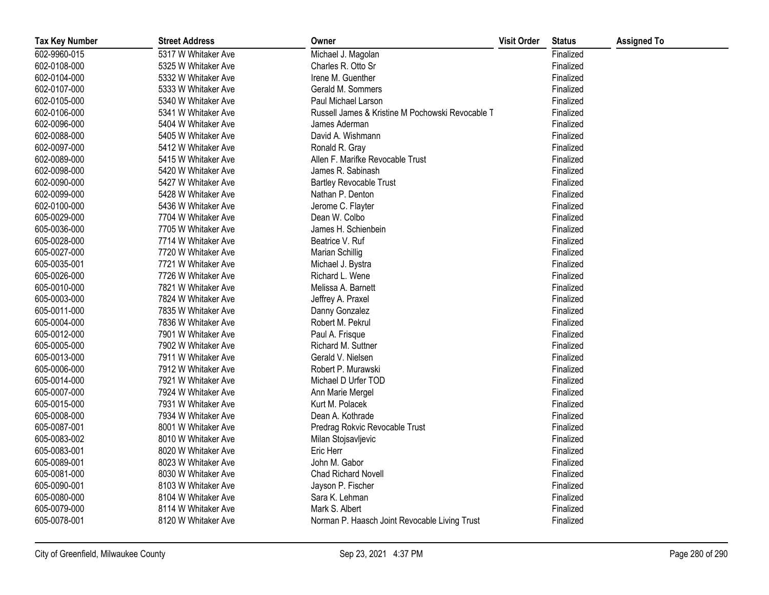| <b>Tax Key Number</b> | <b>Street Address</b> | Owner                                            | <b>Visit Order</b> | <b>Status</b> | <b>Assigned To</b> |
|-----------------------|-----------------------|--------------------------------------------------|--------------------|---------------|--------------------|
| 602-9960-015          | 5317 W Whitaker Ave   | Michael J. Magolan                               |                    | Finalized     |                    |
| 602-0108-000          | 5325 W Whitaker Ave   | Charles R. Otto Sr                               |                    | Finalized     |                    |
| 602-0104-000          | 5332 W Whitaker Ave   | Irene M. Guenther                                |                    | Finalized     |                    |
| 602-0107-000          | 5333 W Whitaker Ave   | Gerald M. Sommers                                |                    | Finalized     |                    |
| 602-0105-000          | 5340 W Whitaker Ave   | Paul Michael Larson                              |                    | Finalized     |                    |
| 602-0106-000          | 5341 W Whitaker Ave   | Russell James & Kristine M Pochowski Revocable T |                    | Finalized     |                    |
| 602-0096-000          | 5404 W Whitaker Ave   | James Aderman                                    |                    | Finalized     |                    |
| 602-0088-000          | 5405 W Whitaker Ave   | David A. Wishmann                                |                    | Finalized     |                    |
| 602-0097-000          | 5412 W Whitaker Ave   | Ronald R. Gray                                   |                    | Finalized     |                    |
| 602-0089-000          | 5415 W Whitaker Ave   | Allen F. Marifke Revocable Trust                 |                    | Finalized     |                    |
| 602-0098-000          | 5420 W Whitaker Ave   | James R. Sabinash                                |                    | Finalized     |                    |
| 602-0090-000          | 5427 W Whitaker Ave   | <b>Bartley Revocable Trust</b>                   |                    | Finalized     |                    |
| 602-0099-000          | 5428 W Whitaker Ave   | Nathan P. Denton                                 |                    | Finalized     |                    |
| 602-0100-000          | 5436 W Whitaker Ave   | Jerome C. Flayter                                |                    | Finalized     |                    |
| 605-0029-000          | 7704 W Whitaker Ave   | Dean W. Colbo                                    |                    | Finalized     |                    |
| 605-0036-000          | 7705 W Whitaker Ave   | James H. Schienbein                              |                    | Finalized     |                    |
| 605-0028-000          | 7714 W Whitaker Ave   | Beatrice V. Ruf                                  |                    | Finalized     |                    |
| 605-0027-000          | 7720 W Whitaker Ave   | Marian Schillig                                  |                    | Finalized     |                    |
| 605-0035-001          | 7721 W Whitaker Ave   | Michael J. Bystra                                |                    | Finalized     |                    |
| 605-0026-000          | 7726 W Whitaker Ave   | Richard L. Wene                                  |                    | Finalized     |                    |
| 605-0010-000          | 7821 W Whitaker Ave   | Melissa A. Barnett                               |                    | Finalized     |                    |
| 605-0003-000          | 7824 W Whitaker Ave   | Jeffrey A. Praxel                                |                    | Finalized     |                    |
| 605-0011-000          | 7835 W Whitaker Ave   | Danny Gonzalez                                   |                    | Finalized     |                    |
| 605-0004-000          | 7836 W Whitaker Ave   | Robert M. Pekrul                                 |                    | Finalized     |                    |
| 605-0012-000          | 7901 W Whitaker Ave   | Paul A. Frisque                                  |                    | Finalized     |                    |
| 605-0005-000          | 7902 W Whitaker Ave   | Richard M. Suttner                               |                    | Finalized     |                    |
| 605-0013-000          | 7911 W Whitaker Ave   | Gerald V. Nielsen                                |                    | Finalized     |                    |
| 605-0006-000          | 7912 W Whitaker Ave   | Robert P. Murawski                               |                    | Finalized     |                    |
| 605-0014-000          | 7921 W Whitaker Ave   | Michael D Urfer TOD                              |                    | Finalized     |                    |
| 605-0007-000          | 7924 W Whitaker Ave   | Ann Marie Mergel                                 |                    | Finalized     |                    |
| 605-0015-000          | 7931 W Whitaker Ave   | Kurt M. Polacek                                  |                    | Finalized     |                    |
| 605-0008-000          | 7934 W Whitaker Ave   | Dean A. Kothrade                                 |                    | Finalized     |                    |
| 605-0087-001          | 8001 W Whitaker Ave   | Predrag Rokvic Revocable Trust                   |                    | Finalized     |                    |
| 605-0083-002          | 8010 W Whitaker Ave   | Milan Stojsavljevic                              |                    | Finalized     |                    |
| 605-0083-001          | 8020 W Whitaker Ave   | Eric Herr                                        |                    | Finalized     |                    |
| 605-0089-001          | 8023 W Whitaker Ave   | John M. Gabor                                    |                    | Finalized     |                    |
| 605-0081-000          | 8030 W Whitaker Ave   | <b>Chad Richard Novell</b>                       |                    | Finalized     |                    |
| 605-0090-001          | 8103 W Whitaker Ave   | Jayson P. Fischer                                |                    | Finalized     |                    |
| 605-0080-000          | 8104 W Whitaker Ave   | Sara K. Lehman                                   |                    | Finalized     |                    |
| 605-0079-000          | 8114 W Whitaker Ave   | Mark S. Albert                                   |                    | Finalized     |                    |
| 605-0078-001          | 8120 W Whitaker Ave   | Norman P. Haasch Joint Revocable Living Trust    |                    | Finalized     |                    |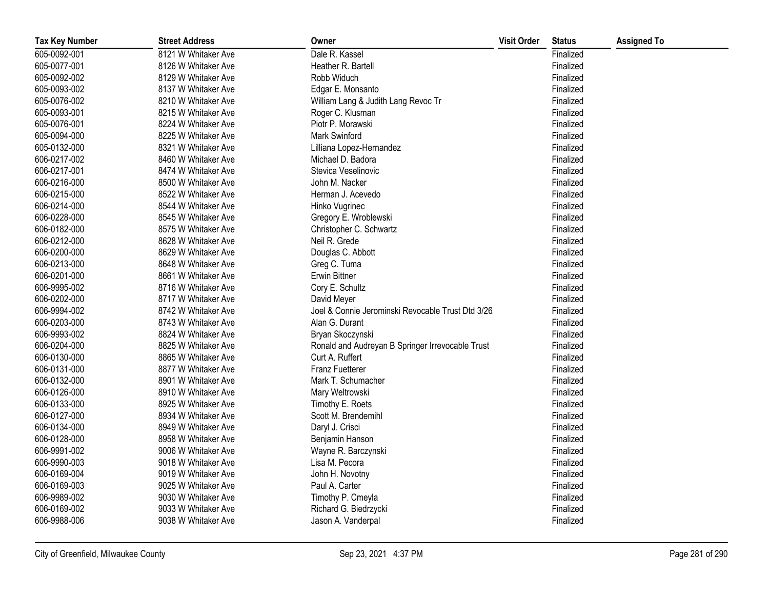| <b>Tax Key Number</b> | <b>Street Address</b> | Owner                                             | <b>Visit Order</b> | <b>Status</b> | <b>Assigned To</b> |
|-----------------------|-----------------------|---------------------------------------------------|--------------------|---------------|--------------------|
| 605-0092-001          | 8121 W Whitaker Ave   | Dale R. Kassel                                    |                    | Finalized     |                    |
| 605-0077-001          | 8126 W Whitaker Ave   | Heather R. Bartell                                |                    | Finalized     |                    |
| 605-0092-002          | 8129 W Whitaker Ave   | Robb Widuch                                       |                    | Finalized     |                    |
| 605-0093-002          | 8137 W Whitaker Ave   | Edgar E. Monsanto                                 |                    | Finalized     |                    |
| 605-0076-002          | 8210 W Whitaker Ave   | William Lang & Judith Lang Revoc Tr               |                    | Finalized     |                    |
| 605-0093-001          | 8215 W Whitaker Ave   | Roger C. Klusman                                  |                    | Finalized     |                    |
| 605-0076-001          | 8224 W Whitaker Ave   | Piotr P. Morawski                                 |                    | Finalized     |                    |
| 605-0094-000          | 8225 W Whitaker Ave   | Mark Swinford                                     |                    | Finalized     |                    |
| 605-0132-000          | 8321 W Whitaker Ave   | Lilliana Lopez-Hernandez                          |                    | Finalized     |                    |
| 606-0217-002          | 8460 W Whitaker Ave   | Michael D. Badora                                 |                    | Finalized     |                    |
| 606-0217-001          | 8474 W Whitaker Ave   | Stevica Veselinovic                               |                    | Finalized     |                    |
| 606-0216-000          | 8500 W Whitaker Ave   | John M. Nacker                                    |                    | Finalized     |                    |
| 606-0215-000          | 8522 W Whitaker Ave   | Herman J. Acevedo                                 |                    | Finalized     |                    |
| 606-0214-000          | 8544 W Whitaker Ave   | Hinko Vugrinec                                    |                    | Finalized     |                    |
| 606-0228-000          | 8545 W Whitaker Ave   | Gregory E. Wroblewski                             |                    | Finalized     |                    |
| 606-0182-000          | 8575 W Whitaker Ave   | Christopher C. Schwartz                           |                    | Finalized     |                    |
| 606-0212-000          | 8628 W Whitaker Ave   | Neil R. Grede                                     |                    | Finalized     |                    |
| 606-0200-000          | 8629 W Whitaker Ave   | Douglas C. Abbott                                 |                    | Finalized     |                    |
| 606-0213-000          | 8648 W Whitaker Ave   | Greg C. Tuma                                      |                    | Finalized     |                    |
| 606-0201-000          | 8661 W Whitaker Ave   | <b>Erwin Bittner</b>                              |                    | Finalized     |                    |
| 606-9995-002          | 8716 W Whitaker Ave   | Cory E. Schultz                                   |                    | Finalized     |                    |
| 606-0202-000          | 8717 W Whitaker Ave   | David Meyer                                       |                    | Finalized     |                    |
| 606-9994-002          | 8742 W Whitaker Ave   | Joel & Connie Jerominski Revocable Trust Dtd 3/26 |                    | Finalized     |                    |
| 606-0203-000          | 8743 W Whitaker Ave   | Alan G. Durant                                    |                    | Finalized     |                    |
| 606-9993-002          | 8824 W Whitaker Ave   | Bryan Skoczynski                                  |                    | Finalized     |                    |
| 606-0204-000          | 8825 W Whitaker Ave   | Ronald and Audreyan B Springer Irrevocable Trust  |                    | Finalized     |                    |
| 606-0130-000          | 8865 W Whitaker Ave   | Curt A. Ruffert                                   |                    | Finalized     |                    |
| 606-0131-000          | 8877 W Whitaker Ave   | <b>Franz Fuetterer</b>                            |                    | Finalized     |                    |
| 606-0132-000          | 8901 W Whitaker Ave   | Mark T. Schumacher                                |                    | Finalized     |                    |
| 606-0126-000          | 8910 W Whitaker Ave   | Mary Weltrowski                                   |                    | Finalized     |                    |
| 606-0133-000          | 8925 W Whitaker Ave   | Timothy E. Roets                                  |                    | Finalized     |                    |
| 606-0127-000          | 8934 W Whitaker Ave   | Scott M. Brendemihl                               |                    | Finalized     |                    |
| 606-0134-000          | 8949 W Whitaker Ave   | Daryl J. Crisci                                   |                    | Finalized     |                    |
| 606-0128-000          | 8958 W Whitaker Ave   | Benjamin Hanson                                   |                    | Finalized     |                    |
| 606-9991-002          | 9006 W Whitaker Ave   | Wayne R. Barczynski                               |                    | Finalized     |                    |
| 606-9990-003          | 9018 W Whitaker Ave   | Lisa M. Pecora                                    |                    | Finalized     |                    |
| 606-0169-004          | 9019 W Whitaker Ave   | John H. Novotny                                   |                    | Finalized     |                    |
| 606-0169-003          | 9025 W Whitaker Ave   | Paul A. Carter                                    |                    | Finalized     |                    |
| 606-9989-002          | 9030 W Whitaker Ave   | Timothy P. Cmeyla                                 |                    | Finalized     |                    |
| 606-0169-002          | 9033 W Whitaker Ave   | Richard G. Biedrzycki                             |                    | Finalized     |                    |
| 606-9988-006          | 9038 W Whitaker Ave   | Jason A. Vanderpal                                |                    | Finalized     |                    |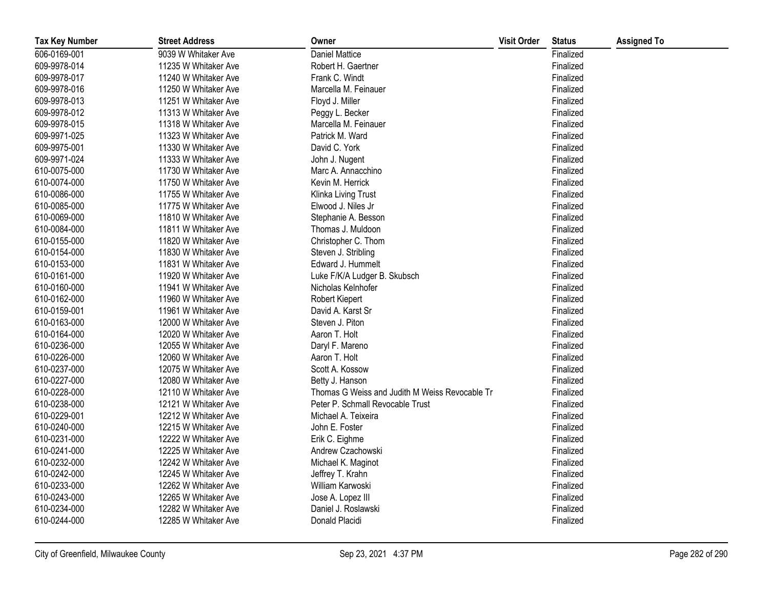| <b>Tax Key Number</b> | <b>Street Address</b> | Owner                                          | <b>Visit Order</b> | <b>Status</b> | <b>Assigned To</b> |
|-----------------------|-----------------------|------------------------------------------------|--------------------|---------------|--------------------|
| 606-0169-001          | 9039 W Whitaker Ave   | <b>Daniel Mattice</b>                          |                    | Finalized     |                    |
| 609-9978-014          | 11235 W Whitaker Ave  | Robert H. Gaertner                             |                    | Finalized     |                    |
| 609-9978-017          | 11240 W Whitaker Ave  | Frank C. Windt                                 |                    | Finalized     |                    |
| 609-9978-016          | 11250 W Whitaker Ave  | Marcella M. Feinauer                           |                    | Finalized     |                    |
| 609-9978-013          | 11251 W Whitaker Ave  | Floyd J. Miller                                |                    | Finalized     |                    |
| 609-9978-012          | 11313 W Whitaker Ave  | Peggy L. Becker                                |                    | Finalized     |                    |
| 609-9978-015          | 11318 W Whitaker Ave  | Marcella M. Feinauer                           |                    | Finalized     |                    |
| 609-9971-025          | 11323 W Whitaker Ave  | Patrick M. Ward                                |                    | Finalized     |                    |
| 609-9975-001          | 11330 W Whitaker Ave  | David C. York                                  |                    | Finalized     |                    |
| 609-9971-024          | 11333 W Whitaker Ave  | John J. Nugent                                 |                    | Finalized     |                    |
| 610-0075-000          | 11730 W Whitaker Ave  | Marc A. Annacchino                             |                    | Finalized     |                    |
| 610-0074-000          | 11750 W Whitaker Ave  | Kevin M. Herrick                               |                    | Finalized     |                    |
| 610-0086-000          | 11755 W Whitaker Ave  | Klinka Living Trust                            |                    | Finalized     |                    |
| 610-0085-000          | 11775 W Whitaker Ave  | Elwood J. Niles Jr                             |                    | Finalized     |                    |
| 610-0069-000          | 11810 W Whitaker Ave  | Stephanie A. Besson                            |                    | Finalized     |                    |
| 610-0084-000          | 11811 W Whitaker Ave  | Thomas J. Muldoon                              |                    | Finalized     |                    |
| 610-0155-000          | 11820 W Whitaker Ave  | Christopher C. Thom                            |                    | Finalized     |                    |
| 610-0154-000          | 11830 W Whitaker Ave  | Steven J. Stribling                            |                    | Finalized     |                    |
| 610-0153-000          | 11831 W Whitaker Ave  | Edward J. Hummelt                              |                    | Finalized     |                    |
| 610-0161-000          | 11920 W Whitaker Ave  | Luke F/K/A Ludger B. Skubsch                   |                    | Finalized     |                    |
| 610-0160-000          | 11941 W Whitaker Ave  | Nicholas Kelnhofer                             |                    | Finalized     |                    |
| 610-0162-000          | 11960 W Whitaker Ave  | Robert Kiepert                                 |                    | Finalized     |                    |
| 610-0159-001          | 11961 W Whitaker Ave  | David A. Karst Sr                              |                    | Finalized     |                    |
| 610-0163-000          | 12000 W Whitaker Ave  | Steven J. Piton                                |                    | Finalized     |                    |
| 610-0164-000          | 12020 W Whitaker Ave  | Aaron T. Holt                                  |                    | Finalized     |                    |
| 610-0236-000          | 12055 W Whitaker Ave  | Daryl F. Mareno                                |                    | Finalized     |                    |
| 610-0226-000          | 12060 W Whitaker Ave  | Aaron T. Holt                                  |                    | Finalized     |                    |
| 610-0237-000          | 12075 W Whitaker Ave  | Scott A. Kossow                                |                    | Finalized     |                    |
| 610-0227-000          | 12080 W Whitaker Ave  | Betty J. Hanson                                |                    | Finalized     |                    |
| 610-0228-000          | 12110 W Whitaker Ave  | Thomas G Weiss and Judith M Weiss Revocable Tr |                    | Finalized     |                    |
| 610-0238-000          | 12121 W Whitaker Ave  | Peter P. Schmall Revocable Trust               |                    | Finalized     |                    |
| 610-0229-001          | 12212 W Whitaker Ave  | Michael A. Teixeira                            |                    | Finalized     |                    |
| 610-0240-000          | 12215 W Whitaker Ave  | John E. Foster                                 |                    | Finalized     |                    |
| 610-0231-000          | 12222 W Whitaker Ave  | Erik C. Eighme                                 |                    | Finalized     |                    |
| 610-0241-000          | 12225 W Whitaker Ave  | Andrew Czachowski                              |                    | Finalized     |                    |
| 610-0232-000          | 12242 W Whitaker Ave  | Michael K. Maginot                             |                    | Finalized     |                    |
| 610-0242-000          | 12245 W Whitaker Ave  | Jeffrey T. Krahn                               |                    | Finalized     |                    |
| 610-0233-000          | 12262 W Whitaker Ave  | William Karwoski                               |                    | Finalized     |                    |
| 610-0243-000          | 12265 W Whitaker Ave  | Jose A. Lopez III                              |                    | Finalized     |                    |
| 610-0234-000          | 12282 W Whitaker Ave  | Daniel J. Roslawski                            |                    | Finalized     |                    |
| 610-0244-000          | 12285 W Whitaker Ave  | Donald Placidi                                 |                    | Finalized     |                    |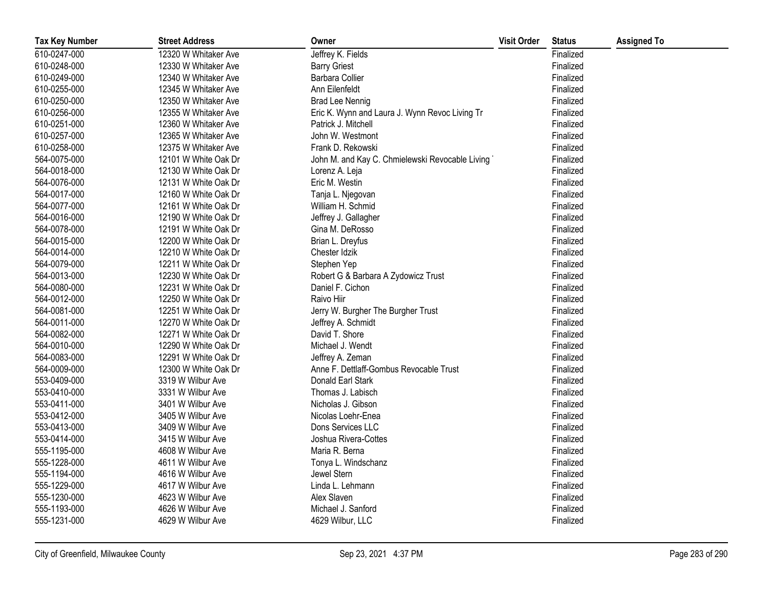| <b>Tax Key Number</b> | <b>Street Address</b> | Owner                                           | <b>Visit Order</b> | <b>Status</b> | <b>Assigned To</b> |
|-----------------------|-----------------------|-------------------------------------------------|--------------------|---------------|--------------------|
| 610-0247-000          | 12320 W Whitaker Ave  | Jeffrey K. Fields                               |                    | Finalized     |                    |
| 610-0248-000          | 12330 W Whitaker Ave  | <b>Barry Griest</b>                             |                    | Finalized     |                    |
| 610-0249-000          | 12340 W Whitaker Ave  | Barbara Collier                                 |                    | Finalized     |                    |
| 610-0255-000          | 12345 W Whitaker Ave  | Ann Eilenfeldt                                  |                    | Finalized     |                    |
| 610-0250-000          | 12350 W Whitaker Ave  | <b>Brad Lee Nennig</b>                          |                    | Finalized     |                    |
| 610-0256-000          | 12355 W Whitaker Ave  | Eric K. Wynn and Laura J. Wynn Revoc Living Tr  |                    | Finalized     |                    |
| 610-0251-000          | 12360 W Whitaker Ave  | Patrick J. Mitchell                             |                    | Finalized     |                    |
| 610-0257-000          | 12365 W Whitaker Ave  | John W. Westmont                                |                    | Finalized     |                    |
| 610-0258-000          | 12375 W Whitaker Ave  | Frank D. Rekowski                               |                    | Finalized     |                    |
| 564-0075-000          | 12101 W White Oak Dr  | John M. and Kay C. Chmielewski Revocable Living |                    | Finalized     |                    |
| 564-0018-000          | 12130 W White Oak Dr  | Lorenz A. Leja                                  |                    | Finalized     |                    |
| 564-0076-000          | 12131 W White Oak Dr  | Eric M. Westin                                  |                    | Finalized     |                    |
| 564-0017-000          | 12160 W White Oak Dr  | Tanja L. Njegovan                               |                    | Finalized     |                    |
| 564-0077-000          | 12161 W White Oak Dr  | William H. Schmid                               |                    | Finalized     |                    |
| 564-0016-000          | 12190 W White Oak Dr  | Jeffrey J. Gallagher                            |                    | Finalized     |                    |
| 564-0078-000          | 12191 W White Oak Dr  | Gina M. DeRosso                                 |                    | Finalized     |                    |
| 564-0015-000          | 12200 W White Oak Dr  | Brian L. Dreyfus                                |                    | Finalized     |                    |
| 564-0014-000          | 12210 W White Oak Dr  | Chester Idzik                                   |                    | Finalized     |                    |
| 564-0079-000          | 12211 W White Oak Dr  | Stephen Yep                                     |                    | Finalized     |                    |
| 564-0013-000          | 12230 W White Oak Dr  | Robert G & Barbara A Zydowicz Trust             |                    | Finalized     |                    |
| 564-0080-000          | 12231 W White Oak Dr  | Daniel F. Cichon                                |                    | Finalized     |                    |
| 564-0012-000          | 12250 W White Oak Dr  | Raivo Hiir                                      |                    | Finalized     |                    |
| 564-0081-000          | 12251 W White Oak Dr  | Jerry W. Burgher The Burgher Trust              |                    | Finalized     |                    |
| 564-0011-000          | 12270 W White Oak Dr  | Jeffrey A. Schmidt                              |                    | Finalized     |                    |
| 564-0082-000          | 12271 W White Oak Dr  | David T. Shore                                  |                    | Finalized     |                    |
| 564-0010-000          | 12290 W White Oak Dr  | Michael J. Wendt                                |                    | Finalized     |                    |
| 564-0083-000          | 12291 W White Oak Dr  | Jeffrey A. Zeman                                |                    | Finalized     |                    |
| 564-0009-000          | 12300 W White Oak Dr  | Anne F. Dettlaff-Gombus Revocable Trust         |                    | Finalized     |                    |
| 553-0409-000          | 3319 W Wilbur Ave     | Donald Earl Stark                               |                    | Finalized     |                    |
| 553-0410-000          | 3331 W Wilbur Ave     | Thomas J. Labisch                               |                    | Finalized     |                    |
| 553-0411-000          | 3401 W Wilbur Ave     | Nicholas J. Gibson                              |                    | Finalized     |                    |
| 553-0412-000          | 3405 W Wilbur Ave     | Nicolas Loehr-Enea                              |                    | Finalized     |                    |
| 553-0413-000          | 3409 W Wilbur Ave     | Dons Services LLC                               |                    | Finalized     |                    |
| 553-0414-000          | 3415 W Wilbur Ave     | Joshua Rivera-Cottes                            |                    | Finalized     |                    |
| 555-1195-000          | 4608 W Wilbur Ave     | Maria R. Berna                                  |                    | Finalized     |                    |
| 555-1228-000          | 4611 W Wilbur Ave     | Tonya L. Windschanz                             |                    | Finalized     |                    |
| 555-1194-000          | 4616 W Wilbur Ave     | Jewel Stern                                     |                    | Finalized     |                    |
| 555-1229-000          | 4617 W Wilbur Ave     | Linda L. Lehmann                                |                    | Finalized     |                    |
| 555-1230-000          | 4623 W Wilbur Ave     | Alex Slaven                                     |                    | Finalized     |                    |
| 555-1193-000          | 4626 W Wilbur Ave     | Michael J. Sanford                              |                    | Finalized     |                    |
| 555-1231-000          | 4629 W Wilbur Ave     | 4629 Wilbur, LLC                                |                    | Finalized     |                    |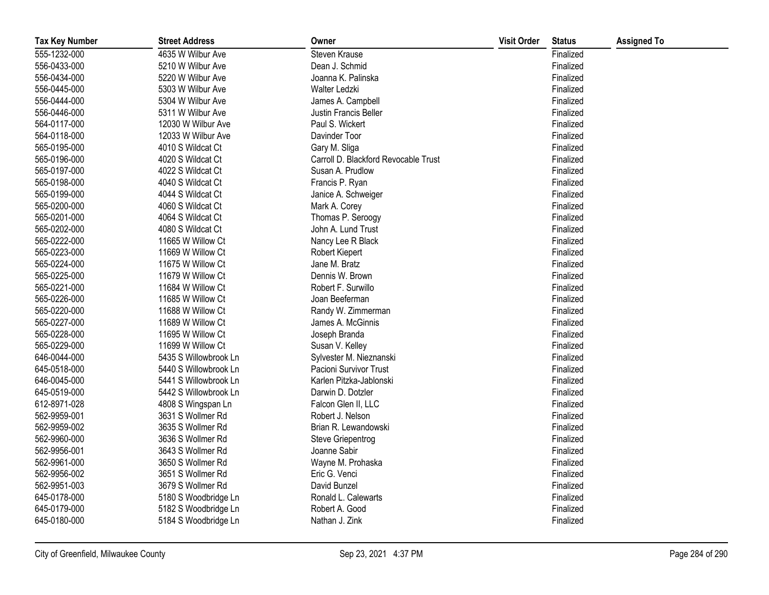| <b>Tax Key Number</b> | <b>Street Address</b> | Owner                                | <b>Visit Order</b> | <b>Status</b> | <b>Assigned To</b> |
|-----------------------|-----------------------|--------------------------------------|--------------------|---------------|--------------------|
| 555-1232-000          | 4635 W Wilbur Ave     | Steven Krause                        |                    | Finalized     |                    |
| 556-0433-000          | 5210 W Wilbur Ave     | Dean J. Schmid                       |                    | Finalized     |                    |
| 556-0434-000          | 5220 W Wilbur Ave     | Joanna K. Palinska                   |                    | Finalized     |                    |
| 556-0445-000          | 5303 W Wilbur Ave     | Walter Ledzki                        |                    | Finalized     |                    |
| 556-0444-000          | 5304 W Wilbur Ave     | James A. Campbell                    |                    | Finalized     |                    |
| 556-0446-000          | 5311 W Wilbur Ave     | Justin Francis Beller                |                    | Finalized     |                    |
| 564-0117-000          | 12030 W Wilbur Ave    | Paul S. Wickert                      |                    | Finalized     |                    |
| 564-0118-000          | 12033 W Wilbur Ave    | Davinder Toor                        |                    | Finalized     |                    |
| 565-0195-000          | 4010 S Wildcat Ct     | Gary M. Sliga                        |                    | Finalized     |                    |
| 565-0196-000          | 4020 S Wildcat Ct     | Carroll D. Blackford Revocable Trust |                    | Finalized     |                    |
| 565-0197-000          | 4022 S Wildcat Ct     | Susan A. Prudlow                     |                    | Finalized     |                    |
| 565-0198-000          | 4040 S Wildcat Ct     | Francis P. Ryan                      |                    | Finalized     |                    |
| 565-0199-000          | 4044 S Wildcat Ct     | Janice A. Schweiger                  |                    | Finalized     |                    |
| 565-0200-000          | 4060 S Wildcat Ct     | Mark A. Corey                        |                    | Finalized     |                    |
| 565-0201-000          | 4064 S Wildcat Ct     | Thomas P. Seroogy                    |                    | Finalized     |                    |
| 565-0202-000          | 4080 S Wildcat Ct     | John A. Lund Trust                   |                    | Finalized     |                    |
| 565-0222-000          | 11665 W Willow Ct     | Nancy Lee R Black                    |                    | Finalized     |                    |
| 565-0223-000          | 11669 W Willow Ct     | Robert Kiepert                       |                    | Finalized     |                    |
| 565-0224-000          | 11675 W Willow Ct     | Jane M. Bratz                        |                    | Finalized     |                    |
| 565-0225-000          | 11679 W Willow Ct     | Dennis W. Brown                      |                    | Finalized     |                    |
| 565-0221-000          | 11684 W Willow Ct     | Robert F. Surwillo                   |                    | Finalized     |                    |
| 565-0226-000          | 11685 W Willow Ct     | Joan Beeferman                       |                    | Finalized     |                    |
| 565-0220-000          | 11688 W Willow Ct     | Randy W. Zimmerman                   |                    | Finalized     |                    |
| 565-0227-000          | 11689 W Willow Ct     | James A. McGinnis                    |                    | Finalized     |                    |
| 565-0228-000          | 11695 W Willow Ct     | Joseph Branda                        |                    | Finalized     |                    |
| 565-0229-000          | 11699 W Willow Ct     | Susan V. Kelley                      |                    | Finalized     |                    |
| 646-0044-000          | 5435 S Willowbrook Ln | Sylvester M. Nieznanski              |                    | Finalized     |                    |
| 645-0518-000          | 5440 S Willowbrook Ln | Pacioni Survivor Trust               |                    | Finalized     |                    |
| 646-0045-000          | 5441 S Willowbrook Ln | Karlen Pitzka-Jablonski              |                    | Finalized     |                    |
| 645-0519-000          | 5442 S Willowbrook Ln | Darwin D. Dotzler                    |                    | Finalized     |                    |
| 612-8971-028          | 4808 S Wingspan Ln    | Falcon Glen II, LLC                  |                    | Finalized     |                    |
| 562-9959-001          | 3631 S Wollmer Rd     | Robert J. Nelson                     |                    | Finalized     |                    |
| 562-9959-002          | 3635 S Wollmer Rd     | Brian R. Lewandowski                 |                    | Finalized     |                    |
| 562-9960-000          | 3636 S Wollmer Rd     | Steve Griepentrog                    |                    | Finalized     |                    |
| 562-9956-001          | 3643 S Wollmer Rd     | Joanne Sabir                         |                    | Finalized     |                    |
| 562-9961-000          | 3650 S Wollmer Rd     | Wayne M. Prohaska                    |                    | Finalized     |                    |
| 562-9956-002          | 3651 S Wollmer Rd     | Eric G. Venci                        |                    | Finalized     |                    |
| 562-9951-003          | 3679 S Wollmer Rd     | David Bunzel                         |                    | Finalized     |                    |
| 645-0178-000          | 5180 S Woodbridge Ln  | Ronald L. Calewarts                  |                    | Finalized     |                    |
| 645-0179-000          | 5182 S Woodbridge Ln  | Robert A. Good                       |                    | Finalized     |                    |
| 645-0180-000          | 5184 S Woodbridge Ln  | Nathan J. Zink                       |                    | Finalized     |                    |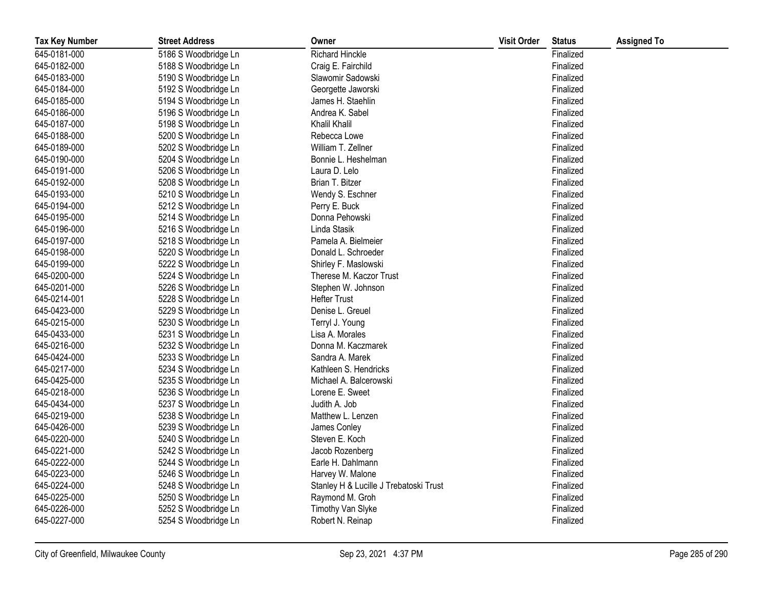| <b>Tax Key Number</b> | <b>Street Address</b> | Owner                                  | <b>Visit Order</b> | <b>Status</b> | <b>Assigned To</b> |
|-----------------------|-----------------------|----------------------------------------|--------------------|---------------|--------------------|
| 645-0181-000          | 5186 S Woodbridge Ln  | <b>Richard Hinckle</b>                 |                    | Finalized     |                    |
| 645-0182-000          | 5188 S Woodbridge Ln  | Craig E. Fairchild                     |                    | Finalized     |                    |
| 645-0183-000          | 5190 S Woodbridge Ln  | Slawomir Sadowski                      |                    | Finalized     |                    |
| 645-0184-000          | 5192 S Woodbridge Ln  | Georgette Jaworski                     |                    | Finalized     |                    |
| 645-0185-000          | 5194 S Woodbridge Ln  | James H. Staehlin                      |                    | Finalized     |                    |
| 645-0186-000          | 5196 S Woodbridge Ln  | Andrea K. Sabel                        |                    | Finalized     |                    |
| 645-0187-000          | 5198 S Woodbridge Ln  | Khalil Khalil                          |                    | Finalized     |                    |
| 645-0188-000          | 5200 S Woodbridge Ln  | Rebecca Lowe                           |                    | Finalized     |                    |
| 645-0189-000          | 5202 S Woodbridge Ln  | William T. Zellner                     |                    | Finalized     |                    |
| 645-0190-000          | 5204 S Woodbridge Ln  | Bonnie L. Heshelman                    |                    | Finalized     |                    |
| 645-0191-000          | 5206 S Woodbridge Ln  | Laura D. Lelo                          |                    | Finalized     |                    |
| 645-0192-000          | 5208 S Woodbridge Ln  | Brian T. Bitzer                        |                    | Finalized     |                    |
| 645-0193-000          | 5210 S Woodbridge Ln  | Wendy S. Eschner                       |                    | Finalized     |                    |
| 645-0194-000          | 5212 S Woodbridge Ln  | Perry E. Buck                          |                    | Finalized     |                    |
| 645-0195-000          | 5214 S Woodbridge Ln  | Donna Pehowski                         |                    | Finalized     |                    |
| 645-0196-000          | 5216 S Woodbridge Ln  | Linda Stasik                           |                    | Finalized     |                    |
| 645-0197-000          | 5218 S Woodbridge Ln  | Pamela A. Bielmeier                    |                    | Finalized     |                    |
| 645-0198-000          | 5220 S Woodbridge Ln  | Donald L. Schroeder                    |                    | Finalized     |                    |
| 645-0199-000          | 5222 S Woodbridge Ln  | Shirley F. Maslowski                   |                    | Finalized     |                    |
| 645-0200-000          | 5224 S Woodbridge Ln  | Therese M. Kaczor Trust                |                    | Finalized     |                    |
| 645-0201-000          | 5226 S Woodbridge Ln  | Stephen W. Johnson                     |                    | Finalized     |                    |
| 645-0214-001          | 5228 S Woodbridge Ln  | <b>Hefter Trust</b>                    |                    | Finalized     |                    |
| 645-0423-000          | 5229 S Woodbridge Ln  | Denise L. Greuel                       |                    | Finalized     |                    |
| 645-0215-000          | 5230 S Woodbridge Ln  | Terryl J. Young                        |                    | Finalized     |                    |
| 645-0433-000          | 5231 S Woodbridge Ln  | Lisa A. Morales                        |                    | Finalized     |                    |
| 645-0216-000          | 5232 S Woodbridge Ln  | Donna M. Kaczmarek                     |                    | Finalized     |                    |
| 645-0424-000          | 5233 S Woodbridge Ln  | Sandra A. Marek                        |                    | Finalized     |                    |
| 645-0217-000          | 5234 S Woodbridge Ln  | Kathleen S. Hendricks                  |                    | Finalized     |                    |
| 645-0425-000          | 5235 S Woodbridge Ln  | Michael A. Balcerowski                 |                    | Finalized     |                    |
| 645-0218-000          | 5236 S Woodbridge Ln  | Lorene E. Sweet                        |                    | Finalized     |                    |
| 645-0434-000          | 5237 S Woodbridge Ln  | Judith A. Job                          |                    | Finalized     |                    |
| 645-0219-000          | 5238 S Woodbridge Ln  | Matthew L. Lenzen                      |                    | Finalized     |                    |
| 645-0426-000          | 5239 S Woodbridge Ln  | James Conley                           |                    | Finalized     |                    |
| 645-0220-000          | 5240 S Woodbridge Ln  | Steven E. Koch                         |                    | Finalized     |                    |
| 645-0221-000          | 5242 S Woodbridge Ln  | Jacob Rozenberg                        |                    | Finalized     |                    |
| 645-0222-000          | 5244 S Woodbridge Ln  | Earle H. Dahlmann                      |                    | Finalized     |                    |
| 645-0223-000          | 5246 S Woodbridge Ln  | Harvey W. Malone                       |                    | Finalized     |                    |
| 645-0224-000          | 5248 S Woodbridge Ln  | Stanley H & Lucille J Trebatoski Trust |                    | Finalized     |                    |
| 645-0225-000          | 5250 S Woodbridge Ln  | Raymond M. Groh                        |                    | Finalized     |                    |
| 645-0226-000          | 5252 S Woodbridge Ln  | Timothy Van Slyke                      |                    | Finalized     |                    |
| 645-0227-000          | 5254 S Woodbridge Ln  | Robert N. Reinap                       |                    | Finalized     |                    |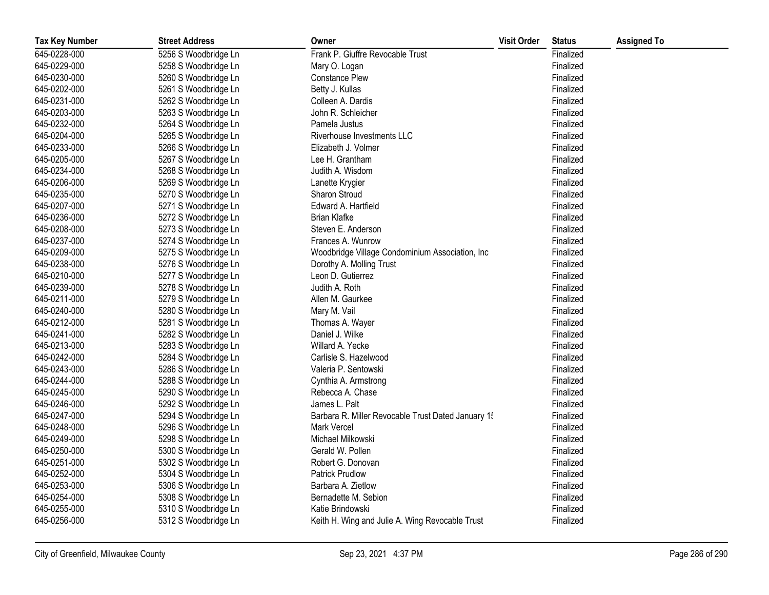| <b>Tax Key Number</b> | <b>Street Address</b> | Owner                                              | <b>Visit Order</b> | <b>Status</b> | <b>Assigned To</b> |
|-----------------------|-----------------------|----------------------------------------------------|--------------------|---------------|--------------------|
| 645-0228-000          | 5256 S Woodbridge Ln  | Frank P. Giuffre Revocable Trust                   |                    | Finalized     |                    |
| 645-0229-000          | 5258 S Woodbridge Ln  | Mary O. Logan                                      |                    | Finalized     |                    |
| 645-0230-000          | 5260 S Woodbridge Ln  | <b>Constance Plew</b>                              |                    | Finalized     |                    |
| 645-0202-000          | 5261 S Woodbridge Ln  | Betty J. Kullas                                    |                    | Finalized     |                    |
| 645-0231-000          | 5262 S Woodbridge Ln  | Colleen A. Dardis                                  |                    | Finalized     |                    |
| 645-0203-000          | 5263 S Woodbridge Ln  | John R. Schleicher                                 |                    | Finalized     |                    |
| 645-0232-000          | 5264 S Woodbridge Ln  | Pamela Justus                                      |                    | Finalized     |                    |
| 645-0204-000          | 5265 S Woodbridge Ln  | Riverhouse Investments LLC                         |                    | Finalized     |                    |
| 645-0233-000          | 5266 S Woodbridge Ln  | Elizabeth J. Volmer                                |                    | Finalized     |                    |
| 645-0205-000          | 5267 S Woodbridge Ln  | Lee H. Grantham                                    |                    | Finalized     |                    |
| 645-0234-000          | 5268 S Woodbridge Ln  | Judith A. Wisdom                                   |                    | Finalized     |                    |
| 645-0206-000          | 5269 S Woodbridge Ln  | Lanette Krygier                                    |                    | Finalized     |                    |
| 645-0235-000          | 5270 S Woodbridge Ln  | Sharon Stroud                                      |                    | Finalized     |                    |
| 645-0207-000          | 5271 S Woodbridge Ln  | Edward A. Hartfield                                |                    | Finalized     |                    |
| 645-0236-000          | 5272 S Woodbridge Ln  | <b>Brian Klafke</b>                                |                    | Finalized     |                    |
| 645-0208-000          | 5273 S Woodbridge Ln  | Steven E. Anderson                                 |                    | Finalized     |                    |
| 645-0237-000          | 5274 S Woodbridge Ln  | Frances A. Wunrow                                  |                    | Finalized     |                    |
| 645-0209-000          | 5275 S Woodbridge Ln  | Woodbridge Village Condominium Association, Inc    |                    | Finalized     |                    |
| 645-0238-000          | 5276 S Woodbridge Ln  | Dorothy A. Molling Trust                           |                    | Finalized     |                    |
| 645-0210-000          | 5277 S Woodbridge Ln  | Leon D. Gutierrez                                  |                    | Finalized     |                    |
| 645-0239-000          | 5278 S Woodbridge Ln  | Judith A. Roth                                     |                    | Finalized     |                    |
| 645-0211-000          | 5279 S Woodbridge Ln  | Allen M. Gaurkee                                   |                    | Finalized     |                    |
| 645-0240-000          | 5280 S Woodbridge Ln  | Mary M. Vail                                       |                    | Finalized     |                    |
| 645-0212-000          | 5281 S Woodbridge Ln  | Thomas A. Wayer                                    |                    | Finalized     |                    |
| 645-0241-000          | 5282 S Woodbridge Ln  | Daniel J. Wilke                                    |                    | Finalized     |                    |
| 645-0213-000          | 5283 S Woodbridge Ln  | Willard A. Yecke                                   |                    | Finalized     |                    |
| 645-0242-000          | 5284 S Woodbridge Ln  | Carlisle S. Hazelwood                              |                    | Finalized     |                    |
| 645-0243-000          | 5286 S Woodbridge Ln  | Valeria P. Sentowski                               |                    | Finalized     |                    |
| 645-0244-000          | 5288 S Woodbridge Ln  | Cynthia A. Armstrong                               |                    | Finalized     |                    |
| 645-0245-000          | 5290 S Woodbridge Ln  | Rebecca A. Chase                                   |                    | Finalized     |                    |
| 645-0246-000          | 5292 S Woodbridge Ln  | James L. Palt                                      |                    | Finalized     |                    |
| 645-0247-000          | 5294 S Woodbridge Ln  | Barbara R. Miller Revocable Trust Dated January 15 |                    | Finalized     |                    |
| 645-0248-000          | 5296 S Woodbridge Ln  | <b>Mark Vercel</b>                                 |                    | Finalized     |                    |
| 645-0249-000          | 5298 S Woodbridge Ln  | Michael Milkowski                                  |                    | Finalized     |                    |
| 645-0250-000          | 5300 S Woodbridge Ln  | Gerald W. Pollen                                   |                    | Finalized     |                    |
| 645-0251-000          | 5302 S Woodbridge Ln  | Robert G. Donovan                                  |                    | Finalized     |                    |
| 645-0252-000          | 5304 S Woodbridge Ln  | <b>Patrick Prudlow</b>                             |                    | Finalized     |                    |
| 645-0253-000          | 5306 S Woodbridge Ln  | Barbara A. Zietlow                                 |                    | Finalized     |                    |
| 645-0254-000          | 5308 S Woodbridge Ln  | Bernadette M. Sebion                               |                    | Finalized     |                    |
| 645-0255-000          | 5310 S Woodbridge Ln  | Katie Brindowski                                   |                    | Finalized     |                    |
| 645-0256-000          | 5312 S Woodbridge Ln  | Keith H. Wing and Julie A. Wing Revocable Trust    |                    | Finalized     |                    |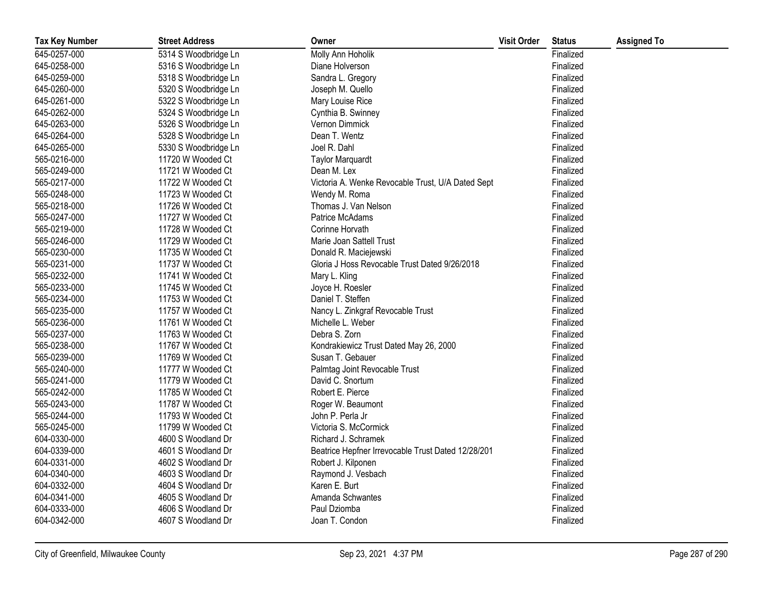| <b>Tax Key Number</b> | <b>Street Address</b> | Owner                                              | <b>Visit Order</b> | <b>Status</b> | <b>Assigned To</b> |
|-----------------------|-----------------------|----------------------------------------------------|--------------------|---------------|--------------------|
| 645-0257-000          | 5314 S Woodbridge Ln  | Molly Ann Hoholik                                  |                    | Finalized     |                    |
| 645-0258-000          | 5316 S Woodbridge Ln  | Diane Holverson                                    |                    | Finalized     |                    |
| 645-0259-000          | 5318 S Woodbridge Ln  | Sandra L. Gregory                                  |                    | Finalized     |                    |
| 645-0260-000          | 5320 S Woodbridge Ln  | Joseph M. Quello                                   |                    | Finalized     |                    |
| 645-0261-000          | 5322 S Woodbridge Ln  | Mary Louise Rice                                   |                    | Finalized     |                    |
| 645-0262-000          | 5324 S Woodbridge Ln  | Cynthia B. Swinney                                 |                    | Finalized     |                    |
| 645-0263-000          | 5326 S Woodbridge Ln  | Vernon Dimmick                                     |                    | Finalized     |                    |
| 645-0264-000          | 5328 S Woodbridge Ln  | Dean T. Wentz                                      |                    | Finalized     |                    |
| 645-0265-000          | 5330 S Woodbridge Ln  | Joel R. Dahl                                       |                    | Finalized     |                    |
| 565-0216-000          | 11720 W Wooded Ct     | <b>Taylor Marquardt</b>                            |                    | Finalized     |                    |
| 565-0249-000          | 11721 W Wooded Ct     | Dean M. Lex                                        |                    | Finalized     |                    |
| 565-0217-000          | 11722 W Wooded Ct     | Victoria A. Wenke Revocable Trust, U/A Dated Sept  |                    | Finalized     |                    |
| 565-0248-000          | 11723 W Wooded Ct     | Wendy M. Roma                                      |                    | Finalized     |                    |
| 565-0218-000          | 11726 W Wooded Ct     | Thomas J. Van Nelson                               |                    | Finalized     |                    |
| 565-0247-000          | 11727 W Wooded Ct     | Patrice McAdams                                    |                    | Finalized     |                    |
| 565-0219-000          | 11728 W Wooded Ct     | Corinne Horvath                                    |                    | Finalized     |                    |
| 565-0246-000          | 11729 W Wooded Ct     | Marie Joan Sattell Trust                           |                    | Finalized     |                    |
| 565-0230-000          | 11735 W Wooded Ct     | Donald R. Maciejewski                              |                    | Finalized     |                    |
| 565-0231-000          | 11737 W Wooded Ct     | Gloria J Hoss Revocable Trust Dated 9/26/2018      |                    | Finalized     |                    |
| 565-0232-000          | 11741 W Wooded Ct     | Mary L. Kling                                      |                    | Finalized     |                    |
| 565-0233-000          | 11745 W Wooded Ct     | Joyce H. Roesler                                   |                    | Finalized     |                    |
| 565-0234-000          | 11753 W Wooded Ct     | Daniel T. Steffen                                  |                    | Finalized     |                    |
| 565-0235-000          | 11757 W Wooded Ct     | Nancy L. Zinkgraf Revocable Trust                  |                    | Finalized     |                    |
| 565-0236-000          | 11761 W Wooded Ct     | Michelle L. Weber                                  |                    | Finalized     |                    |
| 565-0237-000          | 11763 W Wooded Ct     | Debra S. Zorn                                      |                    | Finalized     |                    |
| 565-0238-000          | 11767 W Wooded Ct     | Kondrakiewicz Trust Dated May 26, 2000             |                    | Finalized     |                    |
| 565-0239-000          | 11769 W Wooded Ct     | Susan T. Gebauer                                   |                    | Finalized     |                    |
| 565-0240-000          | 11777 W Wooded Ct     | Palmtag Joint Revocable Trust                      |                    | Finalized     |                    |
| 565-0241-000          | 11779 W Wooded Ct     | David C. Snortum                                   |                    | Finalized     |                    |
| 565-0242-000          | 11785 W Wooded Ct     | Robert E. Pierce                                   |                    | Finalized     |                    |
| 565-0243-000          | 11787 W Wooded Ct     | Roger W. Beaumont                                  |                    | Finalized     |                    |
| 565-0244-000          | 11793 W Wooded Ct     | John P. Perla Jr                                   |                    | Finalized     |                    |
| 565-0245-000          | 11799 W Wooded Ct     | Victoria S. McCormick                              |                    | Finalized     |                    |
| 604-0330-000          | 4600 S Woodland Dr    | Richard J. Schramek                                |                    | Finalized     |                    |
| 604-0339-000          | 4601 S Woodland Dr    | Beatrice Hepfner Irrevocable Trust Dated 12/28/201 |                    | Finalized     |                    |
| 604-0331-000          | 4602 S Woodland Dr    | Robert J. Kilponen                                 |                    | Finalized     |                    |
| 604-0340-000          | 4603 S Woodland Dr    | Raymond J. Vesbach                                 |                    | Finalized     |                    |
| 604-0332-000          | 4604 S Woodland Dr    | Karen E. Burt                                      |                    | Finalized     |                    |
| 604-0341-000          | 4605 S Woodland Dr    | Amanda Schwantes                                   |                    | Finalized     |                    |
| 604-0333-000          | 4606 S Woodland Dr    | Paul Dziomba                                       |                    | Finalized     |                    |
| 604-0342-000          | 4607 S Woodland Dr    | Joan T. Condon                                     |                    | Finalized     |                    |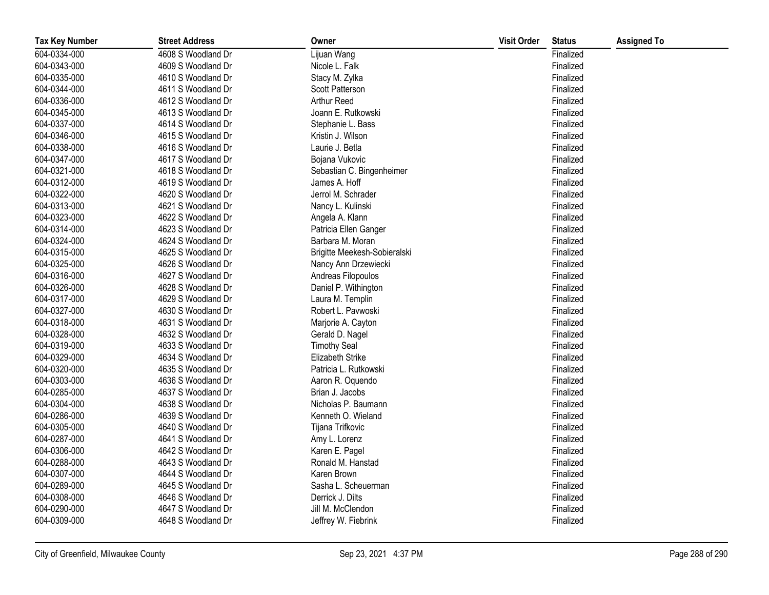| <b>Tax Key Number</b> | <b>Street Address</b> | Owner                        | <b>Visit Order</b> | <b>Status</b> | <b>Assigned To</b> |
|-----------------------|-----------------------|------------------------------|--------------------|---------------|--------------------|
| 604-0334-000          | 4608 S Woodland Dr    | Lijuan Wang                  |                    | Finalized     |                    |
| 604-0343-000          | 4609 S Woodland Dr    | Nicole L. Falk               |                    | Finalized     |                    |
| 604-0335-000          | 4610 S Woodland Dr    | Stacy M. Zylka               |                    | Finalized     |                    |
| 604-0344-000          | 4611 S Woodland Dr    | Scott Patterson              |                    | Finalized     |                    |
| 604-0336-000          | 4612 S Woodland Dr    | Arthur Reed                  |                    | Finalized     |                    |
| 604-0345-000          | 4613 S Woodland Dr    | Joann E. Rutkowski           |                    | Finalized     |                    |
| 604-0337-000          | 4614 S Woodland Dr    | Stephanie L. Bass            |                    | Finalized     |                    |
| 604-0346-000          | 4615 S Woodland Dr    | Kristin J. Wilson            |                    | Finalized     |                    |
| 604-0338-000          | 4616 S Woodland Dr    | Laurie J. Betla              |                    | Finalized     |                    |
| 604-0347-000          | 4617 S Woodland Dr    | Bojana Vukovic               |                    | Finalized     |                    |
| 604-0321-000          | 4618 S Woodland Dr    | Sebastian C. Bingenheimer    |                    | Finalized     |                    |
| 604-0312-000          | 4619 S Woodland Dr    | James A. Hoff                |                    | Finalized     |                    |
| 604-0322-000          | 4620 S Woodland Dr    | Jerrol M. Schrader           |                    | Finalized     |                    |
| 604-0313-000          | 4621 S Woodland Dr    | Nancy L. Kulinski            |                    | Finalized     |                    |
| 604-0323-000          | 4622 S Woodland Dr    | Angela A. Klann              |                    | Finalized     |                    |
| 604-0314-000          | 4623 S Woodland Dr    | Patricia Ellen Ganger        |                    | Finalized     |                    |
| 604-0324-000          | 4624 S Woodland Dr    | Barbara M. Moran             |                    | Finalized     |                    |
| 604-0315-000          | 4625 S Woodland Dr    | Brigitte Meekesh-Sobieralski |                    | Finalized     |                    |
| 604-0325-000          | 4626 S Woodland Dr    | Nancy Ann Drzewiecki         |                    | Finalized     |                    |
| 604-0316-000          | 4627 S Woodland Dr    | Andreas Filopoulos           |                    | Finalized     |                    |
| 604-0326-000          | 4628 S Woodland Dr    | Daniel P. Withington         |                    | Finalized     |                    |
| 604-0317-000          | 4629 S Woodland Dr    | Laura M. Templin             |                    | Finalized     |                    |
| 604-0327-000          | 4630 S Woodland Dr    | Robert L. Pavwoski           |                    | Finalized     |                    |
| 604-0318-000          | 4631 S Woodland Dr    | Marjorie A. Cayton           |                    | Finalized     |                    |
| 604-0328-000          | 4632 S Woodland Dr    | Gerald D. Nagel              |                    | Finalized     |                    |
| 604-0319-000          | 4633 S Woodland Dr    | <b>Timothy Seal</b>          |                    | Finalized     |                    |
| 604-0329-000          | 4634 S Woodland Dr    | Elizabeth Strike             |                    | Finalized     |                    |
| 604-0320-000          | 4635 S Woodland Dr    | Patricia L. Rutkowski        |                    | Finalized     |                    |
| 604-0303-000          | 4636 S Woodland Dr    | Aaron R. Oquendo             |                    | Finalized     |                    |
| 604-0285-000          | 4637 S Woodland Dr    | Brian J. Jacobs              |                    | Finalized     |                    |
| 604-0304-000          | 4638 S Woodland Dr    | Nicholas P. Baumann          |                    | Finalized     |                    |
| 604-0286-000          | 4639 S Woodland Dr    | Kenneth O. Wieland           |                    | Finalized     |                    |
| 604-0305-000          | 4640 S Woodland Dr    | Tijana Trifkovic             |                    | Finalized     |                    |
| 604-0287-000          | 4641 S Woodland Dr    | Amy L. Lorenz                |                    | Finalized     |                    |
| 604-0306-000          | 4642 S Woodland Dr    | Karen E. Pagel               |                    | Finalized     |                    |
| 604-0288-000          | 4643 S Woodland Dr    | Ronald M. Hanstad            |                    | Finalized     |                    |
| 604-0307-000          | 4644 S Woodland Dr    | Karen Brown                  |                    | Finalized     |                    |
| 604-0289-000          | 4645 S Woodland Dr    | Sasha L. Scheuerman          |                    | Finalized     |                    |
| 604-0308-000          | 4646 S Woodland Dr    | Derrick J. Dilts             |                    | Finalized     |                    |
| 604-0290-000          | 4647 S Woodland Dr    | Jill M. McClendon            |                    | Finalized     |                    |
| 604-0309-000          | 4648 S Woodland Dr    | Jeffrey W. Fiebrink          |                    | Finalized     |                    |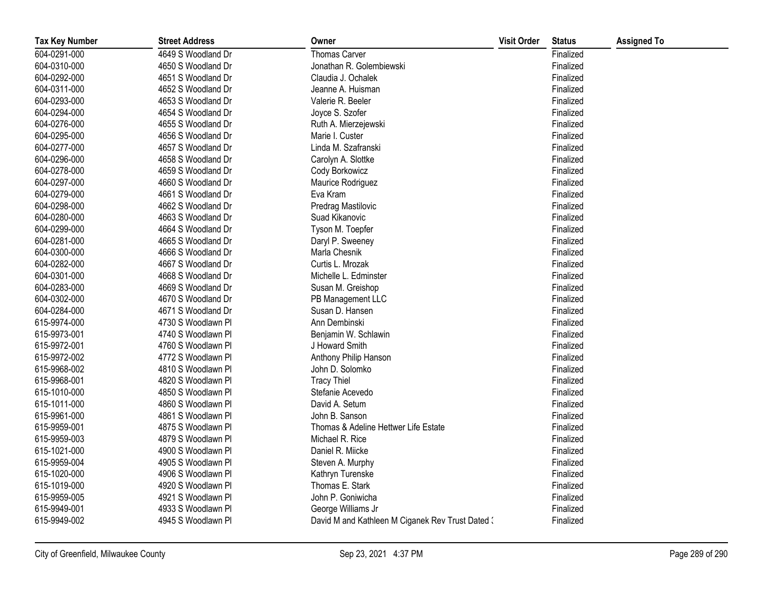| <b>Tax Key Number</b> | <b>Street Address</b> | Owner                                            | <b>Visit Order</b> | <b>Status</b> | <b>Assigned To</b> |
|-----------------------|-----------------------|--------------------------------------------------|--------------------|---------------|--------------------|
| 604-0291-000          | 4649 S Woodland Dr    | <b>Thomas Carver</b>                             |                    | Finalized     |                    |
| 604-0310-000          | 4650 S Woodland Dr    | Jonathan R. Golembiewski                         |                    | Finalized     |                    |
| 604-0292-000          | 4651 S Woodland Dr    | Claudia J. Ochalek                               |                    | Finalized     |                    |
| 604-0311-000          | 4652 S Woodland Dr    | Jeanne A. Huisman                                |                    | Finalized     |                    |
| 604-0293-000          | 4653 S Woodland Dr    | Valerie R. Beeler                                |                    | Finalized     |                    |
| 604-0294-000          | 4654 S Woodland Dr    | Joyce S. Szofer                                  |                    | Finalized     |                    |
| 604-0276-000          | 4655 S Woodland Dr    | Ruth A. Mierzejewski                             |                    | Finalized     |                    |
| 604-0295-000          | 4656 S Woodland Dr    | Marie I. Custer                                  |                    | Finalized     |                    |
| 604-0277-000          | 4657 S Woodland Dr    | Linda M. Szafranski                              |                    | Finalized     |                    |
| 604-0296-000          | 4658 S Woodland Dr    | Carolyn A. Slottke                               |                    | Finalized     |                    |
| 604-0278-000          | 4659 S Woodland Dr    | Cody Borkowicz                                   |                    | Finalized     |                    |
| 604-0297-000          | 4660 S Woodland Dr    | Maurice Rodriguez                                |                    | Finalized     |                    |
| 604-0279-000          | 4661 S Woodland Dr    | Eva Kram                                         |                    | Finalized     |                    |
| 604-0298-000          | 4662 S Woodland Dr    | Predrag Mastilovic                               |                    | Finalized     |                    |
| 604-0280-000          | 4663 S Woodland Dr    | Suad Kikanovic                                   |                    | Finalized     |                    |
| 604-0299-000          | 4664 S Woodland Dr    | Tyson M. Toepfer                                 |                    | Finalized     |                    |
| 604-0281-000          | 4665 S Woodland Dr    | Daryl P. Sweeney                                 |                    | Finalized     |                    |
| 604-0300-000          | 4666 S Woodland Dr    | Marla Chesnik                                    |                    | Finalized     |                    |
| 604-0282-000          | 4667 S Woodland Dr    | Curtis L. Mrozak                                 |                    | Finalized     |                    |
| 604-0301-000          | 4668 S Woodland Dr    | Michelle L. Edminster                            |                    | Finalized     |                    |
| 604-0283-000          | 4669 S Woodland Dr    | Susan M. Greishop                                |                    | Finalized     |                    |
| 604-0302-000          | 4670 S Woodland Dr    | PB Management LLC                                |                    | Finalized     |                    |
| 604-0284-000          | 4671 S Woodland Dr    | Susan D. Hansen                                  |                    | Finalized     |                    |
| 615-9974-000          | 4730 S Woodlawn Pl    | Ann Dembinski                                    |                    | Finalized     |                    |
| 615-9973-001          | 4740 S Woodlawn Pl    | Benjamin W. Schlawin                             |                    | Finalized     |                    |
| 615-9972-001          | 4760 S Woodlawn Pl    | J Howard Smith                                   |                    | Finalized     |                    |
| 615-9972-002          | 4772 S Woodlawn Pl    | Anthony Philip Hanson                            |                    | Finalized     |                    |
| 615-9968-002          | 4810 S Woodlawn Pl    | John D. Solomko                                  |                    | Finalized     |                    |
| 615-9968-001          | 4820 S Woodlawn Pl    | <b>Tracy Thiel</b>                               |                    | Finalized     |                    |
| 615-1010-000          | 4850 S Woodlawn Pl    | Stefanie Acevedo                                 |                    | Finalized     |                    |
| 615-1011-000          | 4860 S Woodlawn Pl    | David A. Setum                                   |                    | Finalized     |                    |
| 615-9961-000          | 4861 S Woodlawn Pl    | John B. Sanson                                   |                    | Finalized     |                    |
| 615-9959-001          | 4875 S Woodlawn Pl    | Thomas & Adeline Hettwer Life Estate             |                    | Finalized     |                    |
| 615-9959-003          | 4879 S Woodlawn Pl    | Michael R. Rice                                  |                    | Finalized     |                    |
| 615-1021-000          | 4900 S Woodlawn Pl    | Daniel R. Miicke                                 |                    | Finalized     |                    |
| 615-9959-004          | 4905 S Woodlawn Pl    | Steven A. Murphy                                 |                    | Finalized     |                    |
| 615-1020-000          | 4906 S Woodlawn Pl    | Kathryn Turenske                                 |                    | Finalized     |                    |
| 615-1019-000          | 4920 S Woodlawn Pl    | Thomas E. Stark                                  |                    | Finalized     |                    |
| 615-9959-005          | 4921 S Woodlawn Pl    | John P. Goniwicha                                |                    | Finalized     |                    |
| 615-9949-001          | 4933 S Woodlawn Pl    | George Williams Jr                               |                    | Finalized     |                    |
| 615-9949-002          | 4945 S Woodlawn Pl    | David M and Kathleen M Ciganek Rev Trust Dated 3 |                    | Finalized     |                    |